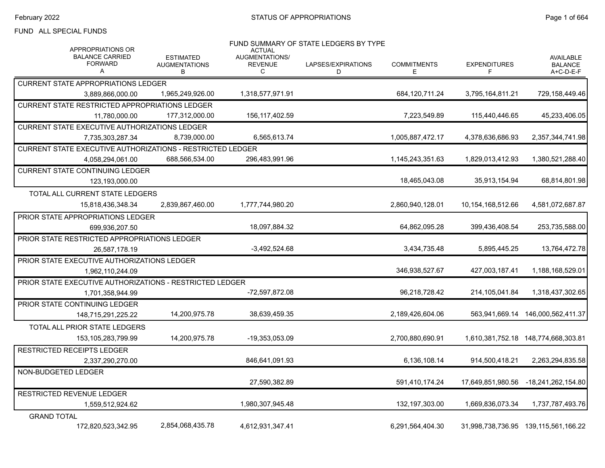## FUND ALL SPECIAL FUNDS

| <b>APPROPRIATIONS OR</b>                                   |                                               | <b>ACTUAL</b>                         | FUND SUMMARY OF STATE LEDGERS BY TYPE |                          |                          |                                                 |
|------------------------------------------------------------|-----------------------------------------------|---------------------------------------|---------------------------------------|--------------------------|--------------------------|-------------------------------------------------|
| <b>BALANCE CARRIED</b><br><b>FORWARD</b><br>А              | <b>ESTIMATED</b><br><b>AUGMENTATIONS</b><br>B | AUGMENTATIONS/<br><b>REVENUE</b><br>C | LAPSES/EXPIRATIONS<br>D               | <b>COMMITMENTS</b><br>E. | <b>EXPENDITURES</b><br>F | <b>AVAILABLE</b><br><b>BALANCE</b><br>A+C-D-E-F |
| <b>CURRENT STATE APPROPRIATIONS LEDGER</b>                 |                                               |                                       |                                       |                          |                          |                                                 |
| 3.889.866.000.00                                           | 1,965,249,926.00                              | 1,318,577,971.91                      |                                       | 684,120,711.24           | 3,795,164,811.21         | 729,158,449.46                                  |
| <b>CURRENT STATE RESTRICTED APPROPRIATIONS LEDGER</b>      |                                               |                                       |                                       |                          |                          |                                                 |
| 11,780,000.00                                              | 177,312,000.00                                | 156, 117, 402.59                      |                                       | 7,223,549.89             | 115,440,446.65           | 45,233,406.05                                   |
| <b>CURRENT STATE EXECUTIVE AUTHORIZATIONS LEDGER</b>       |                                               |                                       |                                       |                          |                          |                                                 |
| 7,735,303,287.34                                           | 8,739,000.00                                  | 6,565,613.74                          |                                       | 1,005,887,472.17         | 4,378,636,686.93         | 2,357,344,741.98                                |
| CURRENT STATE EXECUTIVE AUTHORIZATIONS - RESTRICTED LEDGER |                                               |                                       |                                       |                          |                          |                                                 |
| 4,058,294,061.00                                           | 688,566,534.00                                | 296,483,991.96                        |                                       | 1,145,243,351.63         | 1,829,013,412.93         | 1,380,521,288.40                                |
| <b>CURRENT STATE CONTINUING LEDGER</b>                     |                                               |                                       |                                       |                          |                          |                                                 |
| 123,193,000.00                                             |                                               |                                       |                                       | 18,465,043.08            | 35,913,154.94            | 68,814,801.98                                   |
| TOTAL ALL CURRENT STATE LEDGERS                            |                                               |                                       |                                       |                          |                          |                                                 |
| 15,818,436,348.34                                          | 2,839,867,460.00                              | 1,777,744,980.20                      |                                       | 2,860,940,128.01         | 10,154,168,512.66        | 4,581,072,687.87                                |
| PRIOR STATE APPROPRIATIONS LEDGER                          |                                               |                                       |                                       |                          |                          |                                                 |
| 699,936,207.50                                             |                                               | 18,097,884.32                         |                                       | 64,862,095.28            | 399,436,408.54           | 253,735,588.00                                  |
| PRIOR STATE RESTRICTED APPROPRIATIONS LEDGER               |                                               |                                       |                                       |                          |                          |                                                 |
| 26,587,178.19                                              |                                               | $-3,492,524.68$                       |                                       | 3.434.735.48             | 5,895,445.25             | 13,764,472.78                                   |
| PRIOR STATE EXECUTIVE AUTHORIZATIONS LEDGER                |                                               |                                       |                                       |                          |                          |                                                 |
| 1,962,110,244.09                                           |                                               |                                       |                                       | 346,938,527.67           | 427,003,187.41           | 1,188,168,529.01                                |
| PRIOR STATE EXECUTIVE AUTHORIZATIONS - RESTRICTED LEDGER   |                                               |                                       |                                       |                          |                          |                                                 |
| 1.701.358.944.99                                           |                                               | -72,597,872.08                        |                                       | 96,218,728.42            | 214,105,041.84           | 1,318,437,302.65                                |
| <b>PRIOR STATE CONTINUING LEDGER</b>                       |                                               |                                       |                                       |                          |                          |                                                 |
| 148,715,291,225.22                                         | 14,200,975.78                                 | 38,639,459.35                         |                                       | 2,189,426,604.06         |                          | 563,941,669.14 146,000,562,411.37               |
| TOTAL ALL PRIOR STATE LEDGERS                              |                                               |                                       |                                       |                          |                          |                                                 |
| 153,105,283,799.99                                         | 14,200,975.78                                 | -19,353,053.09                        |                                       | 2,700,880,690.91         |                          |                                                 |
| <b>RESTRICTED RECEIPTS LEDGER</b>                          |                                               |                                       |                                       |                          |                          |                                                 |
| 2,337,290,270.00                                           |                                               | 846,641,091.93                        |                                       | 6,136,108.14             | 914,500,418.21           | 2,263,294,835.58                                |
| NON-BUDGETED LEDGER                                        |                                               |                                       |                                       |                          |                          |                                                 |
|                                                            |                                               | 27,590,382.89                         |                                       | 591,410,174.24           | 17,649,851,980.56        | -18,241,262,154.80                              |
| <b>RESTRICTED REVENUE LEDGER</b>                           |                                               |                                       |                                       |                          |                          |                                                 |
| 1,559,512,924.62                                           |                                               | 1.980.307.945.48                      |                                       | 132.197.303.00           | 1.669.836.073.34         | 1.737.787.493.76                                |
| <b>GRAND TOTAL</b>                                         |                                               |                                       |                                       |                          |                          |                                                 |
| 172,820,523,342.95                                         | 2,854,068,435.78                              | 4,612,931,347.41                      |                                       | 6,291,564,404.30         |                          | 31,998,738,736.95 139,115,561,166.22            |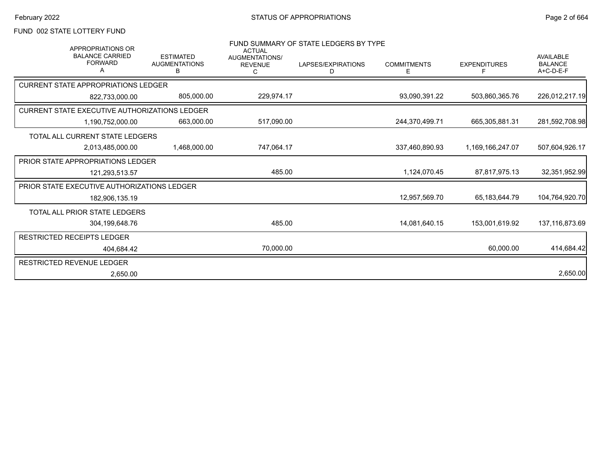### FUND 002 STATE LOTTERY FUND

| APPROPRIATIONS OR<br><b>BALANCE CARRIED</b><br><b>FORWARD</b><br>A | <b>ESTIMATED</b><br><b>AUGMENTATIONS</b><br>B | <b>ACTUAL</b><br>AUGMENTATIONS/<br><b>REVENUE</b> | FUND SUMMARY OF STATE LEDGERS BY TYPE<br>LAPSES/EXPIRATIONS<br>D | <b>COMMITMENTS</b><br>E | <b>EXPENDITURES</b> | AVAILABLE<br><b>BALANCE</b><br>$A+C-D-E-F$ |
|--------------------------------------------------------------------|-----------------------------------------------|---------------------------------------------------|------------------------------------------------------------------|-------------------------|---------------------|--------------------------------------------|
| <b>CURRENT STATE APPROPRIATIONS LEDGER</b>                         |                                               |                                                   |                                                                  |                         |                     |                                            |
| 822,733,000.00                                                     | 805,000.00                                    | 229,974.17                                        |                                                                  | 93,090,391.22           | 503,860,365.76      | 226,012,217.19                             |
| CURRENT STATE EXECUTIVE AUTHORIZATIONS LEDGER                      |                                               |                                                   |                                                                  |                         |                     |                                            |
| 1,190,752,000.00                                                   | 663.000.00                                    | 517,090.00                                        |                                                                  | 244.370.499.71          | 665.305.881.31      | 281,592,708.98                             |
| TOTAL ALL CURRENT STATE LEDGERS                                    |                                               |                                                   |                                                                  |                         |                     |                                            |
| 2,013,485,000.00                                                   | 1,468,000.00                                  | 747,064.17                                        |                                                                  | 337,460,890.93          | 1,169,166,247.07    | 507,604,926.17                             |
| PRIOR STATE APPROPRIATIONS LEDGER                                  |                                               |                                                   |                                                                  |                         |                     |                                            |
| 121,293,513.57                                                     |                                               | 485.00                                            |                                                                  | 1.124.070.45            | 87.817.975.13       | 32,351,952.99                              |
| PRIOR STATE EXECUTIVE AUTHORIZATIONS LEDGER                        |                                               |                                                   |                                                                  |                         |                     |                                            |
| 182,906,135.19                                                     |                                               |                                                   |                                                                  | 12.957.569.70           | 65.183.644.79       | 104,764,920.70                             |
| <b>TOTAL ALL PRIOR STATE LEDGERS</b>                               |                                               |                                                   |                                                                  |                         |                     |                                            |
| 304,199,648.76                                                     |                                               | 485.00                                            |                                                                  | 14,081,640.15           | 153,001,619.92      | 137,116,873.69                             |
| <b>RESTRICTED RECEIPTS LEDGER</b>                                  |                                               |                                                   |                                                                  |                         |                     |                                            |
| 404.684.42                                                         |                                               | 70,000.00                                         |                                                                  |                         | 60,000.00           | 414,684.42                                 |
| RESTRICTED REVENUE LEDGER                                          |                                               |                                                   |                                                                  |                         |                     |                                            |
| 2,650.00                                                           |                                               |                                                   |                                                                  |                         |                     | 2,650.00                                   |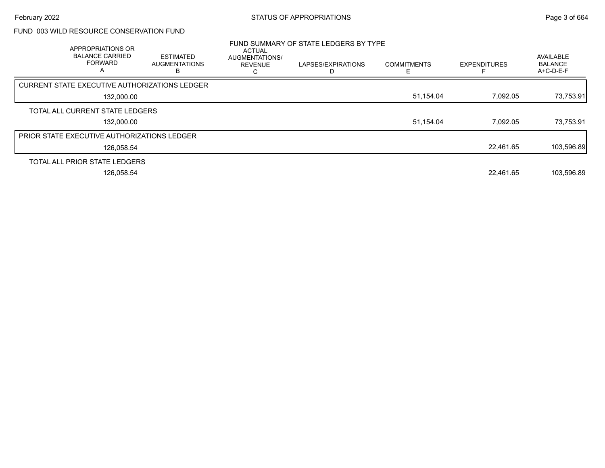## FUND 003 WILD RESOURCE CONSERVATION FUND

| APPROPRIATIONS OR<br><b>BALANCE CARRIED</b><br><b>FORWARD</b><br>$\mathsf{A}$ | <b>ESTIMATED</b><br><b>AUGMENTATIONS</b> | ACTUAL<br>AUGMENTATIONS/<br><b>REVENUE</b> | FUND SUMMARY OF STATE LEDGERS BY TYPE<br>LAPSES/EXPIRATIONS | <b>COMMITMENTS</b> | <b>EXPENDITURES</b> | AVAILABLE<br><b>BALANCE</b><br>A+C-D-E-F |
|-------------------------------------------------------------------------------|------------------------------------------|--------------------------------------------|-------------------------------------------------------------|--------------------|---------------------|------------------------------------------|
| <b>CURRENT STATE EXECUTIVE AUTHORIZATIONS LEDGER</b>                          |                                          |                                            |                                                             |                    |                     |                                          |
| 132,000.00                                                                    |                                          |                                            |                                                             | 51,154.04          | 7,092.05            | 73,753.91                                |
| TOTAL ALL CURRENT STATE LEDGERS                                               |                                          |                                            |                                                             |                    |                     |                                          |
| 132,000.00                                                                    |                                          |                                            |                                                             | 51,154.04          | 7.092.05            | 73,753.91                                |
| PRIOR STATE EXECUTIVE AUTHORIZATIONS LEDGER                                   |                                          |                                            |                                                             |                    |                     |                                          |
| 126,058.54                                                                    |                                          |                                            |                                                             |                    | 22.461.65           | 103,596.89                               |
| TOTAL ALL PRIOR STATE LEDGERS                                                 |                                          |                                            |                                                             |                    |                     |                                          |
| 126,058.54                                                                    |                                          |                                            |                                                             |                    | 22,461.65           | 103,596.89                               |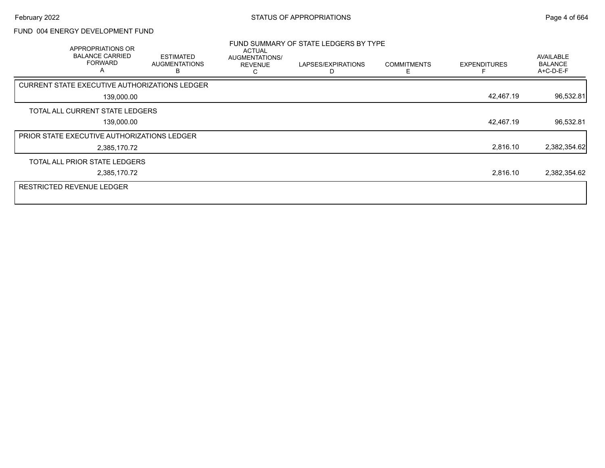### FUND 004 ENERGY DEVELOPMENT FUND

| APPROPRIATIONS OR<br><b>BALANCE CARRIED</b><br><b>FORWARD</b><br>A | <b>ESTIMATED</b><br><b>AUGMENTATIONS</b><br>R | ACTUAL<br>AUGMENTATIONS/<br><b>REVENUE</b><br>С | FUND SUMMARY OF STATE LEDGERS BY TYPE<br>LAPSES/EXPIRATIONS | <b>COMMITMENTS</b><br>F | <b>EXPENDITURES</b> | AVAILABLE<br><b>BALANCE</b><br>A+C-D-E-F |
|--------------------------------------------------------------------|-----------------------------------------------|-------------------------------------------------|-------------------------------------------------------------|-------------------------|---------------------|------------------------------------------|
| CURRENT STATE EXECUTIVE AUTHORIZATIONS LEDGER                      |                                               |                                                 |                                                             |                         |                     |                                          |
| 139,000.00                                                         |                                               |                                                 |                                                             |                         | 42,467.19           | 96,532.81                                |
| TOTAL ALL CURRENT STATE LEDGERS                                    |                                               |                                                 |                                                             |                         |                     |                                          |
| 139,000.00                                                         |                                               |                                                 |                                                             |                         | 42,467.19           | 96,532.81                                |
| <b>PRIOR STATE EXECUTIVE AUTHORIZATIONS LEDGER</b>                 |                                               |                                                 |                                                             |                         |                     |                                          |
| 2,385,170.72                                                       |                                               |                                                 |                                                             |                         | 2,816.10            | 2,382,354.62                             |
| TOTAL ALL PRIOR STATE LEDGERS                                      |                                               |                                                 |                                                             |                         |                     |                                          |
| 2,385,170.72                                                       |                                               |                                                 |                                                             |                         | 2,816.10            | 2,382,354.62                             |
| <b>RESTRICTED REVENUE LEDGER</b>                                   |                                               |                                                 |                                                             |                         |                     |                                          |
|                                                                    |                                               |                                                 |                                                             |                         |                     |                                          |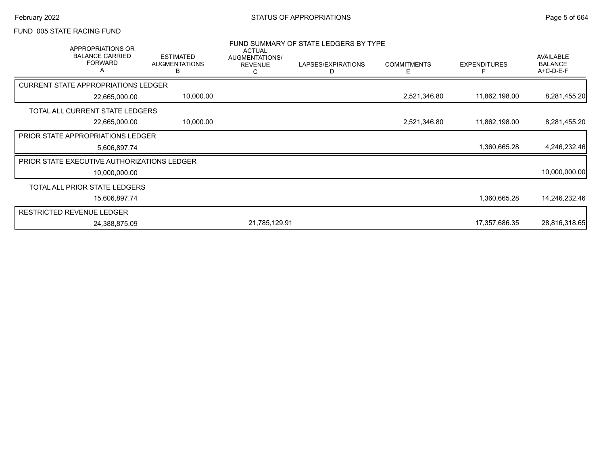#### FUND 005 STATE RACING FUND

| <b>APPROPRIATIONS OR</b><br><b>BALANCE CARRIED</b><br><b>FORWARD</b> | <b>ESTIMATED</b><br><b>AUGMENTATIONS</b><br>в | <b>ACTUAL</b><br>AUGMENTATIONS/<br><b>REVENUE</b><br>C | FUND SUMMARY OF STATE LEDGERS BY TYPE<br>LAPSES/EXPIRATIONS<br>D | <b>COMMITMENTS</b><br>E. | <b>EXPENDITURES</b> | AVAILABLE<br><b>BALANCE</b><br>$A+C-D-E-F$ |
|----------------------------------------------------------------------|-----------------------------------------------|--------------------------------------------------------|------------------------------------------------------------------|--------------------------|---------------------|--------------------------------------------|
| <b>CURRENT STATE APPROPRIATIONS LEDGER</b>                           |                                               |                                                        |                                                                  |                          |                     |                                            |
| 22,665,000.00                                                        | 10,000.00                                     |                                                        |                                                                  | 2,521,346.80             | 11,862,198.00       | 8,281,455.20                               |
| TOTAL ALL CURRENT STATE LEDGERS                                      |                                               |                                                        |                                                                  |                          |                     |                                            |
| 22,665,000.00                                                        | 10,000.00                                     |                                                        |                                                                  | 2,521,346.80             | 11,862,198.00       | 8,281,455.20                               |
| <b>PRIOR STATE APPROPRIATIONS LEDGER</b>                             |                                               |                                                        |                                                                  |                          |                     |                                            |
| 5,606,897.74                                                         |                                               |                                                        |                                                                  |                          | 1,360,665.28        | 4,246,232.46                               |
| PRIOR STATE EXECUTIVE AUTHORIZATIONS LEDGER                          |                                               |                                                        |                                                                  |                          |                     |                                            |
| 10,000,000.00                                                        |                                               |                                                        |                                                                  |                          |                     | 10,000,000.00                              |
| TOTAL ALL PRIOR STATE LEDGERS                                        |                                               |                                                        |                                                                  |                          |                     |                                            |
| 15,606,897.74                                                        |                                               |                                                        |                                                                  |                          | 1,360,665.28        | 14,246,232.46                              |
| <b>RESTRICTED REVENUE LEDGER</b>                                     |                                               |                                                        |                                                                  |                          |                     |                                            |
| 24,388,875.09                                                        |                                               | 21,785,129.91                                          |                                                                  |                          | 17,357,686.35       | 28,816,318.65                              |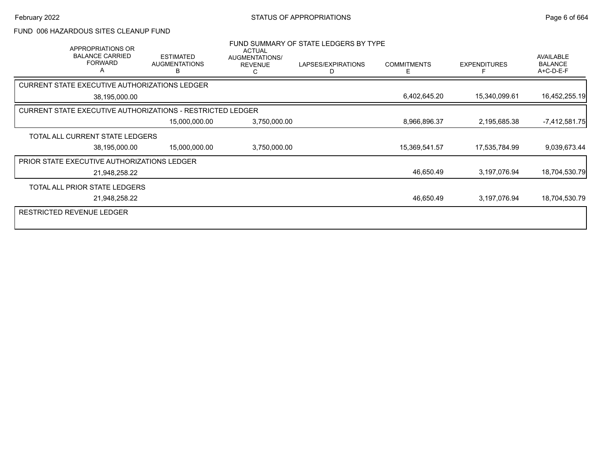#### FUND 006 HAZARDOUS SITES CLEANUP FUND

| APPROPRIATIONS OR<br><b>BALANCE CARRIED</b><br><b>FORWARD</b>     | <b>ESTIMATED</b><br><b>AUGMENTATIONS</b><br>B | <b>ACTUAL</b><br><b>AUGMENTATIONS/</b><br><b>REVENUE</b><br>C | FUND SUMMARY OF STATE LEDGERS BY TYPE<br>LAPSES/EXPIRATIONS<br>D | <b>COMMITMENTS</b><br>E | <b>EXPENDITURES</b> | <b>AVAILABLE</b><br><b>BALANCE</b><br>A+C-D-E-F |
|-------------------------------------------------------------------|-----------------------------------------------|---------------------------------------------------------------|------------------------------------------------------------------|-------------------------|---------------------|-------------------------------------------------|
| CURRENT STATE EXECUTIVE AUTHORIZATIONS LEDGER                     |                                               |                                                               |                                                                  |                         |                     |                                                 |
| 38,195,000.00                                                     |                                               |                                                               |                                                                  | 6,402,645.20            | 15,340,099.61       | 16,452,255.19                                   |
| <b>CURRENT STATE EXECUTIVE AUTHORIZATIONS - RESTRICTED LEDGER</b> |                                               |                                                               |                                                                  |                         |                     |                                                 |
|                                                                   | 15,000,000.00                                 | 3,750,000.00                                                  |                                                                  | 8,966,896.37            | 2,195,685.38        | $-7,412,581.75$                                 |
| TOTAL ALL CURRENT STATE LEDGERS                                   |                                               |                                                               |                                                                  |                         |                     |                                                 |
| 38,195,000.00                                                     | 15,000,000.00                                 | 3,750,000.00                                                  |                                                                  | 15,369,541.57           | 17,535,784.99       | 9,039,673.44                                    |
| <b>PRIOR STATE EXECUTIVE AUTHORIZATIONS LEDGER</b>                |                                               |                                                               |                                                                  |                         |                     |                                                 |
| 21,948,258.22                                                     |                                               |                                                               |                                                                  | 46,650.49               | 3,197,076.94        | 18,704,530.79                                   |
| TOTAL ALL PRIOR STATE LEDGERS                                     |                                               |                                                               |                                                                  |                         |                     |                                                 |
| 21,948,258.22                                                     |                                               |                                                               |                                                                  | 46,650.49               | 3,197,076.94        | 18,704,530.79                                   |
| RESTRICTED REVENUE LEDGER                                         |                                               |                                                               |                                                                  |                         |                     |                                                 |
|                                                                   |                                               |                                                               |                                                                  |                         |                     |                                                 |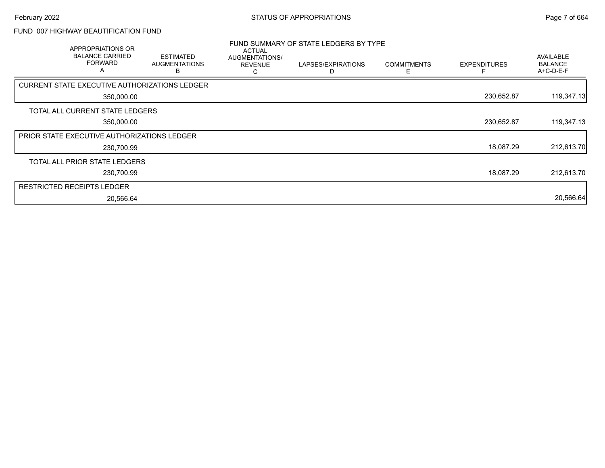#### FUND 007 HIGHWAY BEAUTIFICATION FUND

| APPROPRIATIONS OR<br><b>BALANCE CARRIED</b><br><b>FORWARD</b><br>A | <b>ESTIMATED</b><br><b>AUGMENTATIONS</b><br>в | <b>ACTUAL</b><br>AUGMENTATIONS/<br><b>REVENUE</b><br>C | FUND SUMMARY OF STATE LEDGERS BY TYPE<br>LAPSES/EXPIRATIONS<br>D | <b>COMMITMENTS</b><br>E | <b>EXPENDITURES</b> | AVAILABLE<br><b>BALANCE</b><br>A+C-D-E-F |
|--------------------------------------------------------------------|-----------------------------------------------|--------------------------------------------------------|------------------------------------------------------------------|-------------------------|---------------------|------------------------------------------|
| CURRENT STATE EXECUTIVE AUTHORIZATIONS LEDGER                      |                                               |                                                        |                                                                  |                         |                     |                                          |
| 350,000.00                                                         |                                               |                                                        |                                                                  |                         | 230,652.87          | 119,347.13                               |
| TOTAL ALL CURRENT STATE LEDGERS                                    |                                               |                                                        |                                                                  |                         |                     |                                          |
| 350,000.00                                                         |                                               |                                                        |                                                                  |                         | 230,652.87          | 119,347.13                               |
| <b>PRIOR STATE EXECUTIVE AUTHORIZATIONS LEDGER</b>                 |                                               |                                                        |                                                                  |                         |                     |                                          |
| 230,700.99                                                         |                                               |                                                        |                                                                  |                         | 18,087.29           | 212,613.70                               |
| TOTAL ALL PRIOR STATE LEDGERS                                      |                                               |                                                        |                                                                  |                         |                     |                                          |
| 230,700.99                                                         |                                               |                                                        |                                                                  |                         | 18,087.29           | 212,613.70                               |
| <b>RESTRICTED RECEIPTS LEDGER</b>                                  |                                               |                                                        |                                                                  |                         |                     |                                          |
| 20,566.64                                                          |                                               |                                                        |                                                                  |                         |                     | 20,566.64                                |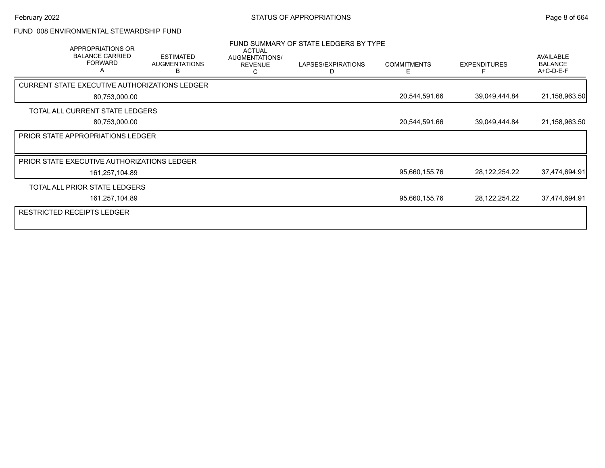### FUND 008 ENVIRONMENTAL STEWARDSHIP FUND

|                                   | APPROPRIATIONS OR<br><b>BALANCE CARRIED</b><br><b>FORWARD</b><br>A | <b>ESTIMATED</b><br><b>AUGMENTATIONS</b><br>в | <b>ACTUAL</b><br><b>AUGMENTATIONS/</b><br><b>REVENUE</b><br>С | FUND SUMMARY OF STATE LEDGERS BY TYPE<br>LAPSES/EXPIRATIONS<br>D | <b>COMMITMENTS</b><br>Е | <b>EXPENDITURES</b> | AVAILABLE<br><b>BALANCE</b><br>A+C-D-E-F |
|-----------------------------------|--------------------------------------------------------------------|-----------------------------------------------|---------------------------------------------------------------|------------------------------------------------------------------|-------------------------|---------------------|------------------------------------------|
|                                   |                                                                    | CURRENT STATE EXECUTIVE AUTHORIZATIONS LEDGER |                                                               |                                                                  |                         |                     |                                          |
|                                   | 80,753,000.00                                                      |                                               |                                                               |                                                                  | 20,544,591.66           | 39,049,444.84       | 21,158,963.50                            |
|                                   | TOTAL ALL CURRENT STATE LEDGERS                                    |                                               |                                                               |                                                                  |                         |                     |                                          |
|                                   | 80,753,000.00                                                      |                                               |                                                               |                                                                  | 20,544,591.66           | 39,049,444.84       | 21,158,963.50                            |
|                                   | PRIOR STATE APPROPRIATIONS LEDGER                                  |                                               |                                                               |                                                                  |                         |                     |                                          |
|                                   |                                                                    |                                               |                                                               |                                                                  |                         |                     |                                          |
|                                   | PRIOR STATE EXECUTIVE AUTHORIZATIONS LEDGER                        |                                               |                                                               |                                                                  |                         |                     |                                          |
|                                   | 161,257,104.89                                                     |                                               |                                                               |                                                                  | 95,660,155.76           | 28, 122, 254. 22    | 37,474,694.91                            |
|                                   | TOTAL ALL PRIOR STATE LEDGERS                                      |                                               |                                                               |                                                                  |                         |                     |                                          |
|                                   | 161,257,104.89                                                     |                                               |                                                               |                                                                  | 95,660,155.76           | 28,122,254.22       | 37,474,694.91                            |
| <b>RESTRICTED RECEIPTS LEDGER</b> |                                                                    |                                               |                                                               |                                                                  |                         |                     |                                          |
|                                   |                                                                    |                                               |                                                               |                                                                  |                         |                     |                                          |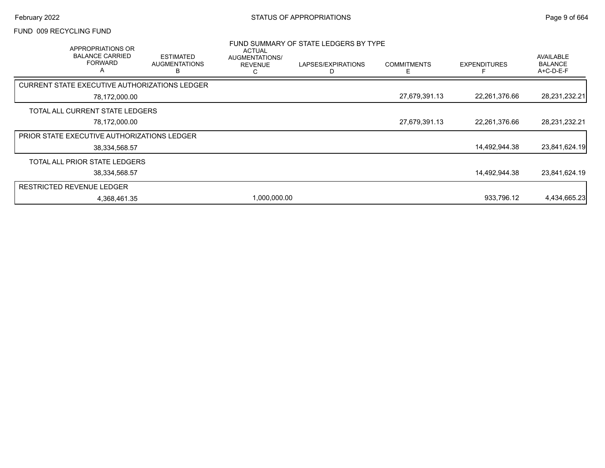#### FUND 009 RECYCLING FUND

|                                                    | APPROPRIATIONS OR<br><b>BALANCE CARRIED</b><br><b>FORWARD</b><br>$\overline{\mathsf{A}}$ | <b>ESTIMATED</b><br><b>AUGMENTATIONS</b><br>В | ACTUAL<br>AUGMENTATIONS/<br><b>REVENUE</b><br>С | FUND SUMMARY OF STATE LEDGERS BY TYPE<br>LAPSES/EXPIRATIONS | <b>COMMITMENTS</b><br>⊢ | <b>EXPENDITURES</b> | AVAILABLE<br><b>BALANCE</b><br>$A+C-D-E-F$ |
|----------------------------------------------------|------------------------------------------------------------------------------------------|-----------------------------------------------|-------------------------------------------------|-------------------------------------------------------------|-------------------------|---------------------|--------------------------------------------|
| CURRENT STATE EXECUTIVE AUTHORIZATIONS LEDGER      |                                                                                          |                                               |                                                 |                                                             |                         |                     |                                            |
|                                                    | 78,172,000.00                                                                            |                                               |                                                 |                                                             | 27,679,391.13           | 22,261,376.66       | 28,231,232.21                              |
|                                                    | TOTAL ALL CURRENT STATE LEDGERS                                                          |                                               |                                                 |                                                             |                         |                     |                                            |
|                                                    | 78,172,000.00                                                                            |                                               |                                                 |                                                             | 27,679,391.13           | 22,261,376.66       | 28,231,232.21                              |
| <b>PRIOR STATE EXECUTIVE AUTHORIZATIONS LEDGER</b> |                                                                                          |                                               |                                                 |                                                             |                         |                     |                                            |
|                                                    | 38,334,568.57                                                                            |                                               |                                                 |                                                             |                         | 14,492,944.38       | 23,841,624.19                              |
|                                                    | TOTAL ALL PRIOR STATE LEDGERS                                                            |                                               |                                                 |                                                             |                         |                     |                                            |
|                                                    | 38,334,568.57                                                                            |                                               |                                                 |                                                             |                         | 14,492,944.38       | 23,841,624.19                              |
| <b>RESTRICTED REVENUE LEDGER</b>                   |                                                                                          |                                               |                                                 |                                                             |                         |                     |                                            |
|                                                    | 4,368,461.35                                                                             |                                               | 1.000.000.00                                    |                                                             |                         | 933.796.12          | 4,434,665.23                               |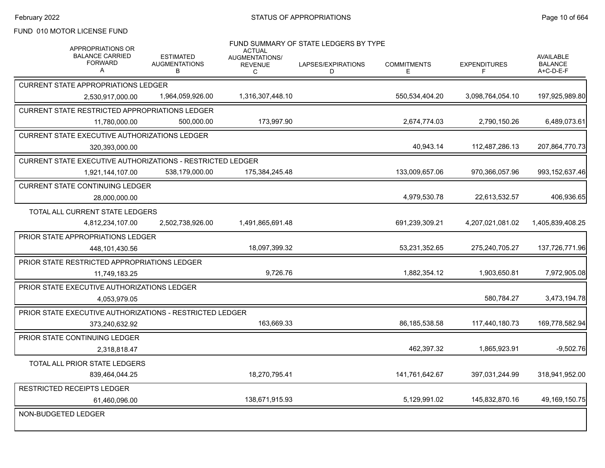### FUND 010 MOTOR LICENSE FUND

| <b>APPROPRIATIONS OR</b><br><b>BALANCE CARRIED</b><br><b>FORWARD</b><br>A | <b>ESTIMATED</b><br><b>AUGMENTATIONS</b><br>в | <b>ACTUAL</b><br>AUGMENTATIONS/<br><b>REVENUE</b><br>C | FUND SUMMARY OF STATE LEDGERS BY TYPE<br>LAPSES/EXPIRATIONS<br>D | <b>COMMITMENTS</b><br>Е | <b>EXPENDITURES</b><br>F | <b>AVAILABLE</b><br><b>BALANCE</b><br>A+C-D-E-F |
|---------------------------------------------------------------------------|-----------------------------------------------|--------------------------------------------------------|------------------------------------------------------------------|-------------------------|--------------------------|-------------------------------------------------|
| <b>CURRENT STATE APPROPRIATIONS LEDGER</b>                                |                                               |                                                        |                                                                  |                         |                          |                                                 |
| 2,530,917,000.00                                                          | 1.964.059.926.00                              | 1,316,307,448.10                                       |                                                                  | 550,534,404.20          | 3,098,764,054.10         | 197,925,989.80                                  |
| CURRENT STATE RESTRICTED APPROPRIATIONS LEDGER                            |                                               |                                                        |                                                                  |                         |                          |                                                 |
| 11,780,000.00                                                             | 500,000.00                                    | 173,997.90                                             |                                                                  | 2,674,774.03            | 2,790,150.26             | 6,489,073.61                                    |
| CURRENT STATE EXECUTIVE AUTHORIZATIONS LEDGER                             |                                               |                                                        |                                                                  |                         |                          |                                                 |
| 320,393,000.00                                                            |                                               |                                                        |                                                                  | 40,943.14               | 112,487,286.13           | 207,864,770.73                                  |
| CURRENT STATE EXECUTIVE AUTHORIZATIONS - RESTRICTED LEDGER                |                                               |                                                        |                                                                  |                         |                          |                                                 |
| 1,921,144,107.00                                                          | 538,179,000.00                                | 175,384,245.48                                         |                                                                  | 133,009,657.06          | 970,366,057.96           | 993, 152, 637. 46                               |
| CURRENT STATE CONTINUING LEDGER                                           |                                               |                                                        |                                                                  |                         |                          |                                                 |
| 28,000,000.00                                                             |                                               |                                                        |                                                                  | 4,979,530.78            | 22,613,532.57            | 406,936.65                                      |
| TOTAL ALL CURRENT STATE LEDGERS                                           |                                               |                                                        |                                                                  |                         |                          |                                                 |
| 4,812,234,107.00                                                          | 2,502,738,926.00                              | 1,491,865,691.48                                       |                                                                  | 691,239,309.21          | 4,207,021,081.02         | 1,405,839,408.25                                |
| PRIOR STATE APPROPRIATIONS LEDGER                                         |                                               |                                                        |                                                                  |                         |                          |                                                 |
| 448,101,430.56                                                            |                                               | 18,097,399.32                                          |                                                                  | 53,231,352.65           | 275,240,705.27           | 137,726,771.96                                  |
| PRIOR STATE RESTRICTED APPROPRIATIONS LEDGER                              |                                               |                                                        |                                                                  |                         |                          |                                                 |
| 11,749,183.25                                                             |                                               | 9.726.76                                               |                                                                  | 1,882,354.12            | 1.903.650.81             | 7,972,905.08                                    |
| PRIOR STATE EXECUTIVE AUTHORIZATIONS LEDGER                               |                                               |                                                        |                                                                  |                         |                          |                                                 |
| 4,053,979.05                                                              |                                               |                                                        |                                                                  |                         | 580,784.27               | 3,473,194.78                                    |
| <b>PRIOR STATE EXECUTIVE AUTHORIZATIONS - RESTRICTED LEDGER</b>           |                                               |                                                        |                                                                  |                         |                          |                                                 |
| 373,240,632.92                                                            |                                               | 163.669.33                                             |                                                                  | 86,185,538.58           | 117,440,180.73           | 169,778,582.94                                  |
| PRIOR STATE CONTINUING LEDGER                                             |                                               |                                                        |                                                                  |                         |                          |                                                 |
| 2.318.818.47                                                              |                                               |                                                        |                                                                  | 462,397.32              | 1,865,923.91             | $-9,502.76$                                     |
| TOTAL ALL PRIOR STATE LEDGERS                                             |                                               |                                                        |                                                                  |                         |                          |                                                 |
| 839,464,044.25                                                            |                                               | 18,270,795.41                                          |                                                                  | 141,761,642.67          | 397,031,244.99           | 318,941,952.00                                  |
| <b>RESTRICTED RECEIPTS LEDGER</b>                                         |                                               |                                                        |                                                                  |                         |                          |                                                 |
| 61,460,096.00                                                             |                                               | 138,671,915.93                                         |                                                                  | 5,129,991.02            | 145,832,870.16           | 49,169,150.75                                   |
| NON-BUDGETED LEDGER                                                       |                                               |                                                        |                                                                  |                         |                          |                                                 |
|                                                                           |                                               |                                                        |                                                                  |                         |                          |                                                 |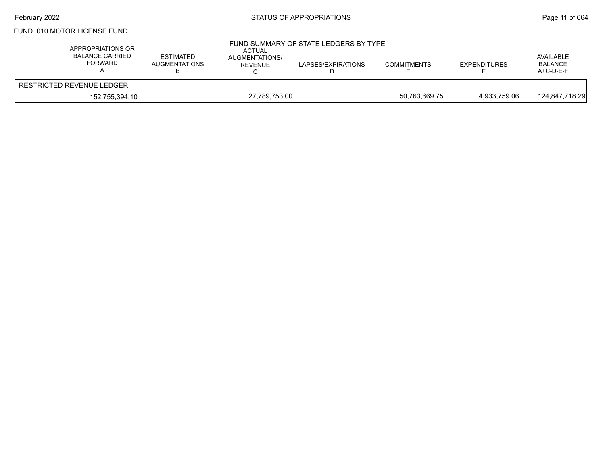## February 2022 **Example 2022** Page 11 of 664

### FUND 010 MOTOR LICENSE FUND

| APPROPRIATIONS OR<br>BALANCE CARRIED<br>FORWARD | <b>ESTIMATED</b><br><b>AUGMENTATIONS</b> | <b>ACTUAL</b><br>AUGMENTATIONS/<br>REVENUE | FUND SUMMARY OF STATE LEDGERS BY TYPE<br>LAPSES/EXPIRATIONS | <b>COMMITMENTS</b> | <b>EXPENDITURES</b> | AVAILABLE<br><b>BALANCE</b><br>$A+C-D-E-F$ |
|-------------------------------------------------|------------------------------------------|--------------------------------------------|-------------------------------------------------------------|--------------------|---------------------|--------------------------------------------|
| <b>RESTRICTED REVENUE LEDGER</b>                |                                          |                                            |                                                             |                    |                     |                                            |
| 152.755.394.10                                  |                                          | 27.789.753.00                              |                                                             | 50.763.669.75      | 4.933.759.06        | 124,847,718.29                             |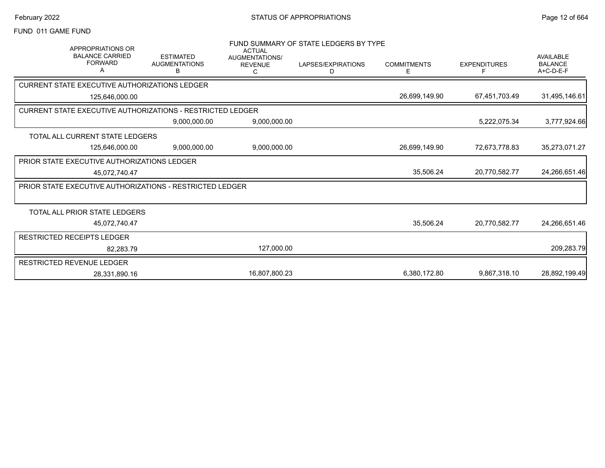#### FUND 011 GAME FUND

| <b>APPROPRIATIONS OR</b>                                          |                                               | <b>ACTUAL</b>                         | FUND SUMMARY OF STATE LEDGERS BY TYPE |                         |                     |                                                 |
|-------------------------------------------------------------------|-----------------------------------------------|---------------------------------------|---------------------------------------|-------------------------|---------------------|-------------------------------------------------|
| <b>BALANCE CARRIED</b><br><b>FORWARD</b><br>Α                     | <b>ESTIMATED</b><br><b>AUGMENTATIONS</b><br>B | AUGMENTATIONS/<br><b>REVENUE</b><br>С | LAPSES/EXPIRATIONS<br>D               | <b>COMMITMENTS</b><br>Е | <b>EXPENDITURES</b> | <b>AVAILABLE</b><br><b>BALANCE</b><br>A+C-D-E-F |
| CURRENT STATE EXECUTIVE AUTHORIZATIONS LEDGER                     |                                               |                                       |                                       |                         |                     |                                                 |
| 125.646.000.00                                                    |                                               |                                       |                                       | 26,699,149.90           | 67,451,703.49       | 31,495,146.61                                   |
| <b>CURRENT STATE EXECUTIVE AUTHORIZATIONS - RESTRICTED LEDGER</b> |                                               |                                       |                                       |                         |                     |                                                 |
|                                                                   | 9,000,000.00                                  | 9,000,000.00                          |                                       |                         | 5,222,075.34        | 3,777,924.66                                    |
| TOTAL ALL CURRENT STATE LEDGERS                                   |                                               |                                       |                                       |                         |                     |                                                 |
| 125,646,000.00                                                    | 9,000,000.00                                  | 9,000,000.00                          |                                       | 26,699,149.90           | 72,673,778.83       | 35,273,071.27                                   |
| <b>PRIOR STATE EXECUTIVE AUTHORIZATIONS LEDGER</b>                |                                               |                                       |                                       |                         |                     |                                                 |
| 45,072,740.47                                                     |                                               |                                       |                                       | 35,506.24               | 20,770,582.77       | 24,266,651.46                                   |
| <b>PRIOR STATE EXECUTIVE AUTHORIZATIONS - RESTRICTED LEDGER</b>   |                                               |                                       |                                       |                         |                     |                                                 |
|                                                                   |                                               |                                       |                                       |                         |                     |                                                 |
| TOTAL ALL PRIOR STATE LEDGERS                                     |                                               |                                       |                                       |                         |                     |                                                 |
| 45,072,740.47                                                     |                                               |                                       |                                       | 35,506.24               | 20,770,582.77       | 24,266,651.46                                   |
| RESTRICTED RECEIPTS LEDGER                                        |                                               |                                       |                                       |                         |                     |                                                 |
| 82,283.79                                                         |                                               | 127,000.00                            |                                       |                         |                     | 209,283.79                                      |
| RESTRICTED REVENUE LEDGER                                         |                                               |                                       |                                       |                         |                     |                                                 |
| 28,331,890.16                                                     |                                               | 16,807,800.23                         |                                       | 6,380,172.80            | 9,867,318.10        | 28,892,199.49                                   |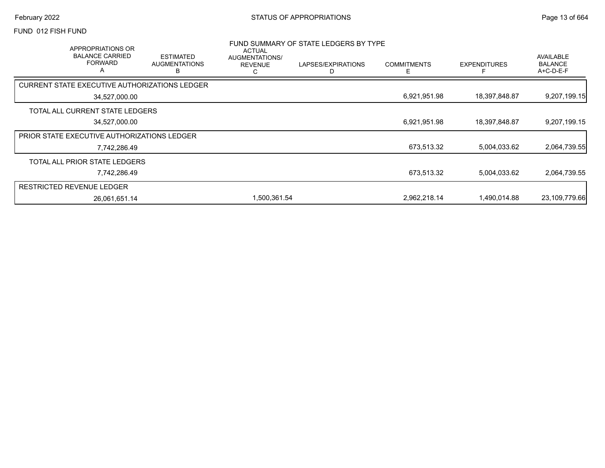#### FUND 012 FISH FUND

|                                                    | APPROPRIATIONS OR<br><b>BALANCE CARRIED</b><br><b>FORWARD</b><br>$\overline{\mathsf{A}}$ | <b>ESTIMATED</b><br><b>AUGMENTATIONS</b><br>В | <b>ACTUAL</b><br>AUGMENTATIONS/<br><b>REVENUE</b><br>ι. | FUND SUMMARY OF STATE LEDGERS BY TYPE<br>LAPSES/EXPIRATIONS<br>D | <b>COMMITMENTS</b><br>F | <b>EXPENDITURES</b> | AVAILABLE<br><b>BALANCE</b><br>$A+C-D-E-F$ |
|----------------------------------------------------|------------------------------------------------------------------------------------------|-----------------------------------------------|---------------------------------------------------------|------------------------------------------------------------------|-------------------------|---------------------|--------------------------------------------|
| CURRENT STATE EXECUTIVE AUTHORIZATIONS LEDGER      |                                                                                          |                                               |                                                         |                                                                  |                         |                     |                                            |
|                                                    | 34,527,000.00                                                                            |                                               |                                                         |                                                                  | 6,921,951.98            | 18,397,848.87       | 9,207,199.15                               |
| TOTAL ALL CURRENT STATE LEDGERS                    |                                                                                          |                                               |                                                         |                                                                  |                         |                     |                                            |
|                                                    | 34,527,000.00                                                                            |                                               |                                                         |                                                                  | 6,921,951.98            | 18,397,848.87       | 9,207,199.15                               |
| <b>PRIOR STATE EXECUTIVE AUTHORIZATIONS LEDGER</b> |                                                                                          |                                               |                                                         |                                                                  |                         |                     |                                            |
|                                                    | 7,742,286.49                                                                             |                                               |                                                         |                                                                  | 673,513.32              | 5,004,033.62        | 2,064,739.55                               |
| TOTAL ALL PRIOR STATE LEDGERS                      |                                                                                          |                                               |                                                         |                                                                  |                         |                     |                                            |
|                                                    | 7,742,286.49                                                                             |                                               |                                                         |                                                                  | 673,513.32              | 5,004,033.62        | 2,064,739.55                               |
| <b>RESTRICTED REVENUE LEDGER</b>                   |                                                                                          |                                               |                                                         |                                                                  |                         |                     |                                            |
|                                                    | 26,061,651.14                                                                            |                                               | 1,500,361.54                                            |                                                                  | 2,962,218.14            | 1,490,014.88        | 23,109,779.66                              |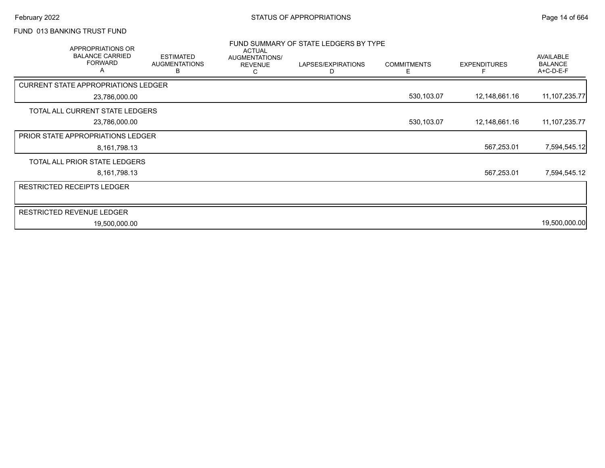# FUND 013 BANKING TRUST FUND

| APPROPRIATIONS OR<br><b>BALANCE CARRIED</b><br><b>FORWARD</b> | <b>ESTIMATED</b><br><b>AUGMENTATIONS</b><br>в | <b>ACTUAL</b><br>AUGMENTATIONS/<br><b>REVENUE</b><br>С | FUND SUMMARY OF STATE LEDGERS BY TYPE<br>LAPSES/EXPIRATIONS | <b>COMMITMENTS</b><br>E. | <b>EXPENDITURES</b> | <b>AVAILABLE</b><br><b>BALANCE</b><br>A+C-D-E-F |
|---------------------------------------------------------------|-----------------------------------------------|--------------------------------------------------------|-------------------------------------------------------------|--------------------------|---------------------|-------------------------------------------------|
| <b>CURRENT STATE APPROPRIATIONS LEDGER</b>                    |                                               |                                                        |                                                             |                          |                     |                                                 |
| 23,786,000.00                                                 |                                               |                                                        |                                                             | 530,103.07               | 12,148,661.16       | 11, 107, 235. 77                                |
| TOTAL ALL CURRENT STATE LEDGERS                               |                                               |                                                        |                                                             |                          |                     |                                                 |
| 23,786,000.00                                                 |                                               |                                                        |                                                             | 530,103.07               | 12,148,661.16       | 11, 107, 235. 77                                |
| <b>PRIOR STATE APPROPRIATIONS LEDGER</b>                      |                                               |                                                        |                                                             |                          |                     |                                                 |
| 8,161,798.13                                                  |                                               |                                                        |                                                             |                          | 567,253.01          | 7,594,545.12                                    |
| TOTAL ALL PRIOR STATE LEDGERS                                 |                                               |                                                        |                                                             |                          |                     |                                                 |
| 8,161,798.13                                                  |                                               |                                                        |                                                             |                          | 567,253.01          | 7,594,545.12                                    |
| <b>RESTRICTED RECEIPTS LEDGER</b>                             |                                               |                                                        |                                                             |                          |                     |                                                 |
|                                                               |                                               |                                                        |                                                             |                          |                     |                                                 |
| <b>RESTRICTED REVENUE LEDGER</b>                              |                                               |                                                        |                                                             |                          |                     |                                                 |
| 19,500,000.00                                                 |                                               |                                                        |                                                             |                          |                     | 19,500,000.00                                   |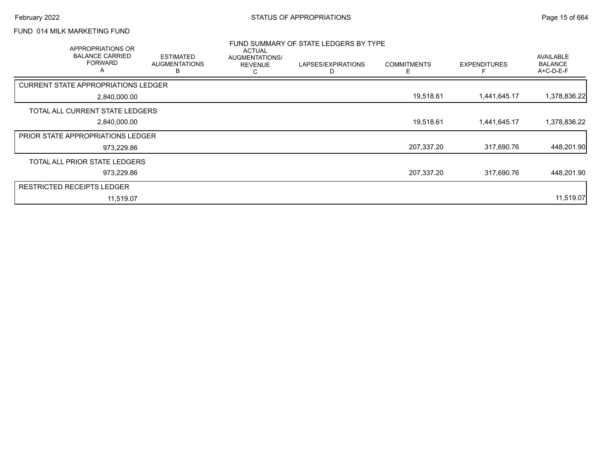# FUND 014 MILK MARKETING FUND

| APPROPRIATIONS OR<br><b>BALANCE CARRIED</b><br><b>FORWARD</b><br>A | <b>ESTIMATED</b><br><b>AUGMENTATIONS</b><br>В | <b>ACTUAL</b><br>AUGMENTATIONS/<br><b>REVENUE</b> | FUND SUMMARY OF STATE LEDGERS BY TYPE<br>LAPSES/EXPIRATIONS<br>D | <b>COMMITMENTS</b><br>E | <b>EXPENDITURES</b> | <b>AVAILABLE</b><br><b>BALANCE</b><br>A+C-D-E-F |
|--------------------------------------------------------------------|-----------------------------------------------|---------------------------------------------------|------------------------------------------------------------------|-------------------------|---------------------|-------------------------------------------------|
| <b>CURRENT STATE APPROPRIATIONS LEDGER</b>                         |                                               |                                                   |                                                                  |                         |                     |                                                 |
| 2,840,000.00                                                       |                                               |                                                   |                                                                  | 19,518.61               | 1,441,645.17        | 1,378,836.22                                    |
| TOTAL ALL CURRENT STATE LEDGERS                                    |                                               |                                                   |                                                                  |                         |                     |                                                 |
| 2,840,000.00                                                       |                                               |                                                   |                                                                  | 19,518.61               | 1,441,645.17        | 1,378,836.22                                    |
| <b>PRIOR STATE APPROPRIATIONS LEDGER</b>                           |                                               |                                                   |                                                                  |                         |                     |                                                 |
| 973,229.86                                                         |                                               |                                                   |                                                                  | 207,337.20              | 317,690.76          | 448,201.90                                      |
| TOTAL ALL PRIOR STATE LEDGERS                                      |                                               |                                                   |                                                                  |                         |                     |                                                 |
| 973,229.86                                                         |                                               |                                                   |                                                                  | 207,337.20              | 317.690.76          | 448,201.90                                      |
| <b>RESTRICTED RECEIPTS LEDGER</b>                                  |                                               |                                                   |                                                                  |                         |                     |                                                 |
| 11,519.07                                                          |                                               |                                                   |                                                                  |                         |                     | 11,519.07                                       |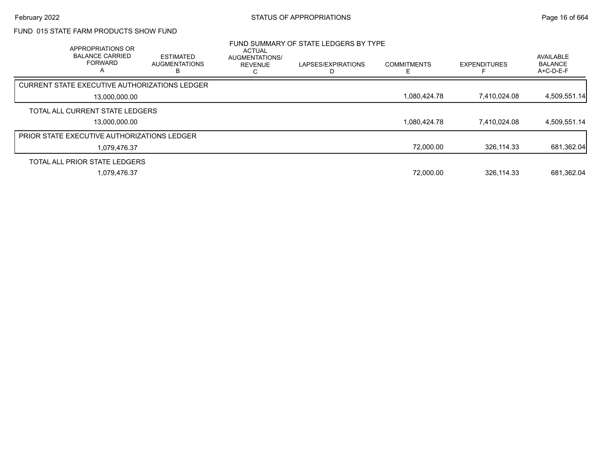## FUND 015 STATE FARM PRODUCTS SHOW FUND

| <b>APPROPRIATIONS OR</b><br><b>BALANCE CARRIED</b><br><b>FORWARD</b><br>А | <b>ESTIMATED</b><br><b>AUGMENTATIONS</b> | <b>ACTUAL</b><br>AUGMENTATIONS/<br><b>REVENUE</b> | FUND SUMMARY OF STATE LEDGERS BY TYPE<br>LAPSES/EXPIRATIONS | <b>COMMITMENTS</b> | <b>EXPENDITURES</b> | AVAILABLE<br><b>BALANCE</b><br>$A+C-D-E-F$ |
|---------------------------------------------------------------------------|------------------------------------------|---------------------------------------------------|-------------------------------------------------------------|--------------------|---------------------|--------------------------------------------|
| CURRENT STATE EXECUTIVE AUTHORIZATIONS LEDGER                             |                                          |                                                   |                                                             |                    |                     |                                            |
| 13.000.000.00                                                             |                                          |                                                   |                                                             | 1,080,424.78       | 7.410.024.08        | 4,509,551.14                               |
| TOTAL ALL CURRENT STATE LEDGERS                                           |                                          |                                                   |                                                             |                    |                     |                                            |
| 13.000.000.00                                                             |                                          |                                                   |                                                             | 1,080,424.78       | 7.410.024.08        | 4,509,551.14                               |
| PRIOR STATE EXECUTIVE AUTHORIZATIONS LEDGER                               |                                          |                                                   |                                                             |                    |                     |                                            |
| 1,079,476.37                                                              |                                          |                                                   |                                                             | 72,000.00          | 326.114.33          | 681,362.04                                 |
| TOTAL ALL PRIOR STATE LEDGERS                                             |                                          |                                                   |                                                             |                    |                     |                                            |
| 1,079,476.37                                                              |                                          |                                                   |                                                             | 72,000.00          | 326,114.33          | 681,362.04                                 |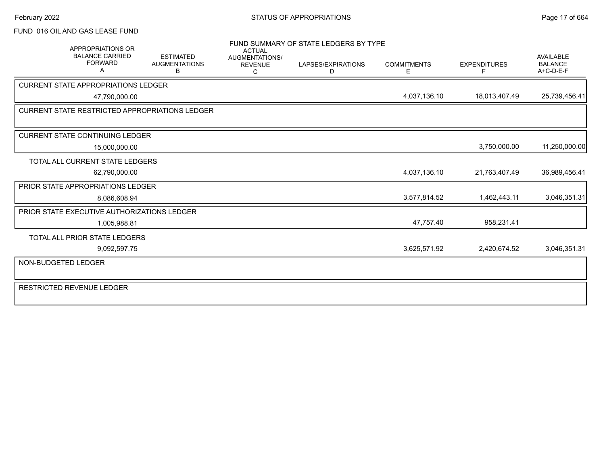#### FUND 016 OIL AND GAS LEASE FUND

| APPROPRIATIONS OR                                     |                                               | <b>ACTUAL</b>                         | FUND SUMMARY OF STATE LEDGERS BY TYPE |                          |                          |                                                 |
|-------------------------------------------------------|-----------------------------------------------|---------------------------------------|---------------------------------------|--------------------------|--------------------------|-------------------------------------------------|
| <b>BALANCE CARRIED</b><br><b>FORWARD</b><br>A         | <b>ESTIMATED</b><br><b>AUGMENTATIONS</b><br>B | AUGMENTATIONS/<br><b>REVENUE</b><br>C | LAPSES/EXPIRATIONS<br>D               | <b>COMMITMENTS</b><br>E. | <b>EXPENDITURES</b><br>F | <b>AVAILABLE</b><br><b>BALANCE</b><br>A+C-D-E-F |
| <b>CURRENT STATE APPROPRIATIONS LEDGER</b>            |                                               |                                       |                                       |                          |                          |                                                 |
| 47,790,000.00                                         |                                               |                                       |                                       | 4,037,136.10             | 18,013,407.49            | 25,739,456.41                                   |
| <b>CURRENT STATE RESTRICTED APPROPRIATIONS LEDGER</b> |                                               |                                       |                                       |                          |                          |                                                 |
|                                                       |                                               |                                       |                                       |                          |                          |                                                 |
| <b>CURRENT STATE CONTINUING LEDGER</b>                |                                               |                                       |                                       |                          |                          |                                                 |
| 15,000,000.00                                         |                                               |                                       |                                       |                          | 3,750,000.00             | 11,250,000.00                                   |
| <b>TOTAL ALL CURRENT STATE LEDGERS</b>                |                                               |                                       |                                       |                          |                          |                                                 |
| 62,790,000.00                                         |                                               |                                       |                                       | 4,037,136.10             | 21,763,407.49            | 36,989,456.41                                   |
| <b>PRIOR STATE APPROPRIATIONS LEDGER</b>              |                                               |                                       |                                       |                          |                          |                                                 |
| 8,086,608.94                                          |                                               |                                       |                                       | 3,577,814.52             | 1,462,443.11             | 3,046,351.31                                    |
| <b>PRIOR STATE EXECUTIVE AUTHORIZATIONS LEDGER</b>    |                                               |                                       |                                       |                          |                          |                                                 |
| 1,005,988.81                                          |                                               |                                       |                                       | 47,757.40                | 958,231.41               |                                                 |
| TOTAL ALL PRIOR STATE LEDGERS                         |                                               |                                       |                                       |                          |                          |                                                 |
| 9,092,597.75                                          |                                               |                                       |                                       | 3,625,571.92             | 2,420,674.52             | 3,046,351.31                                    |
| NON-BUDGETED LEDGER                                   |                                               |                                       |                                       |                          |                          |                                                 |
| <b>RESTRICTED REVENUE LEDGER</b>                      |                                               |                                       |                                       |                          |                          |                                                 |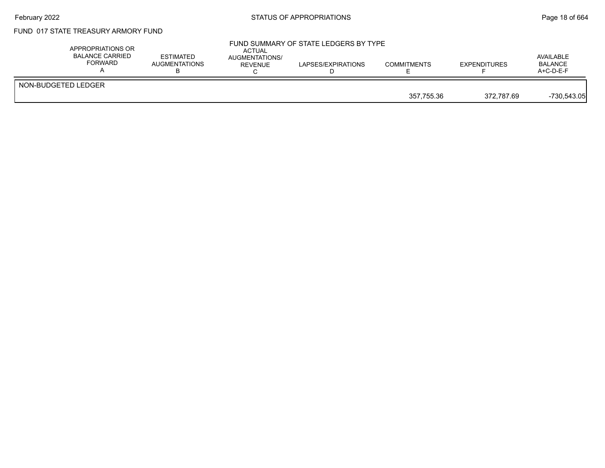## February 2022 **Example 2022** Page 18 of 664

### FUND 017 STATE TREASURY ARMORY FUND

| APPROPRIATIONS OR<br>BALANCE CARRIED<br>FORWARD | <b>ESTIMATED</b><br>AUGMENTATIONS | ACTUAL<br><b>AUGMENTATIONS/</b><br>REVENUE | FUND SUMMARY OF STATE LEDGERS BY TYPE<br>LAPSES/EXPIRATIONS | <b>COMMITMENTS</b> | <b>EXPENDITURES</b> | AVAILABLE<br><b>BALANCE</b><br>$A+C-D-E-F$ |
|-------------------------------------------------|-----------------------------------|--------------------------------------------|-------------------------------------------------------------|--------------------|---------------------|--------------------------------------------|
| NON-BUDGETED LEDGER                             |                                   |                                            |                                                             | 357.755.36         | 372.787.69          | $-730,543.05$                              |
|                                                 |                                   |                                            |                                                             |                    |                     |                                            |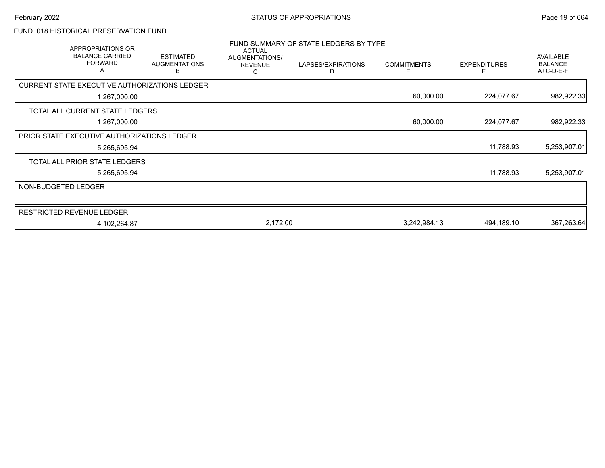## FUND 018 HISTORICAL PRESERVATION FUND

|                     | <b>APPROPRIATIONS OR</b><br><b>BALANCE CARRIED</b><br><b>FORWARD</b> | <b>ESTIMATED</b><br><b>AUGMENTATIONS</b><br>в | <b>ACTUAL</b><br>AUGMENTATIONS/<br><b>REVENUE</b><br>С | FUND SUMMARY OF STATE LEDGERS BY TYPE<br>LAPSES/EXPIRATIONS<br>D | <b>COMMITMENTS</b><br>Е | <b>EXPENDITURES</b> | <b>AVAILABLE</b><br><b>BALANCE</b><br>A+C-D-E-F |
|---------------------|----------------------------------------------------------------------|-----------------------------------------------|--------------------------------------------------------|------------------------------------------------------------------|-------------------------|---------------------|-------------------------------------------------|
|                     | CURRENT STATE EXECUTIVE AUTHORIZATIONS LEDGER                        |                                               |                                                        |                                                                  |                         |                     |                                                 |
|                     | 1,267,000.00                                                         |                                               |                                                        |                                                                  | 60,000.00               | 224,077.67          | 982,922.33                                      |
|                     | TOTAL ALL CURRENT STATE LEDGERS                                      |                                               |                                                        |                                                                  |                         |                     |                                                 |
|                     | 1,267,000.00                                                         |                                               |                                                        |                                                                  | 60,000.00               | 224,077.67          | 982,922.33                                      |
|                     | <b>PRIOR STATE EXECUTIVE AUTHORIZATIONS LEDGER</b>                   |                                               |                                                        |                                                                  |                         |                     |                                                 |
|                     | 5,265,695.94                                                         |                                               |                                                        |                                                                  |                         | 11,788.93           | 5,253,907.01                                    |
|                     | TOTAL ALL PRIOR STATE LEDGERS                                        |                                               |                                                        |                                                                  |                         |                     |                                                 |
|                     | 5,265,695.94                                                         |                                               |                                                        |                                                                  |                         | 11,788.93           | 5,253,907.01                                    |
| NON-BUDGETED LEDGER |                                                                      |                                               |                                                        |                                                                  |                         |                     |                                                 |
|                     | <b>RESTRICTED REVENUE LEDGER</b>                                     |                                               |                                                        |                                                                  |                         |                     |                                                 |
|                     | 4,102,264.87                                                         |                                               | 2,172.00                                               |                                                                  | 3,242,984.13            | 494,189.10          | 367,263.64                                      |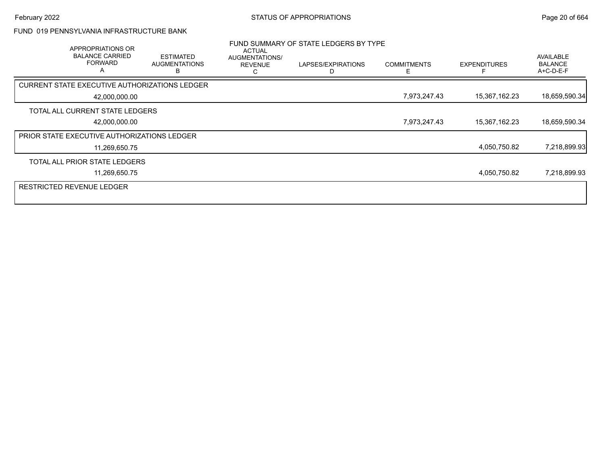#### FUND 019 PENNSYLVANIA INFRASTRUCTURE BANK

| APPROPRIATIONS OR<br><b>BALANCE CARRIED</b><br><b>FORWARD</b><br>A |               | <b>ESTIMATED</b><br><b>AUGMENTATIONS</b><br>в | <b>ACTUAL</b><br>AUGMENTATIONS/<br><b>REVENUE</b> | FUND SUMMARY OF STATE LEDGERS BY TYPE<br>LAPSES/EXPIRATIONS | <b>COMMITMENTS</b><br>F | <b>EXPENDITURES</b> | <b>AVAILABLE</b><br><b>BALANCE</b><br>$A+C-D-E-F$ |
|--------------------------------------------------------------------|---------------|-----------------------------------------------|---------------------------------------------------|-------------------------------------------------------------|-------------------------|---------------------|---------------------------------------------------|
| <b>CURRENT STATE EXECUTIVE AUTHORIZATIONS LEDGER</b>               |               |                                               |                                                   |                                                             |                         |                     |                                                   |
|                                                                    | 42,000,000.00 |                                               |                                                   |                                                             | 7,973,247.43            | 15,367,162.23       | 18,659,590.34                                     |
| TOTAL ALL CURRENT STATE LEDGERS                                    |               |                                               |                                                   |                                                             |                         |                     |                                                   |
|                                                                    | 42,000,000.00 |                                               |                                                   |                                                             | 7,973,247.43            | 15,367,162.23       | 18,659,590.34                                     |
| <b>PRIOR STATE EXECUTIVE AUTHORIZATIONS LEDGER</b>                 |               |                                               |                                                   |                                                             |                         |                     |                                                   |
|                                                                    | 11,269,650.75 |                                               |                                                   |                                                             |                         | 4,050,750.82        | 7,218,899.93                                      |
| TOTAL ALL PRIOR STATE LEDGERS                                      |               |                                               |                                                   |                                                             |                         |                     |                                                   |
|                                                                    | 11,269,650.75 |                                               |                                                   |                                                             |                         | 4,050,750.82        | 7,218,899.93                                      |
| <b>RESTRICTED REVENUE LEDGER</b>                                   |               |                                               |                                                   |                                                             |                         |                     |                                                   |
|                                                                    |               |                                               |                                                   |                                                             |                         |                     |                                                   |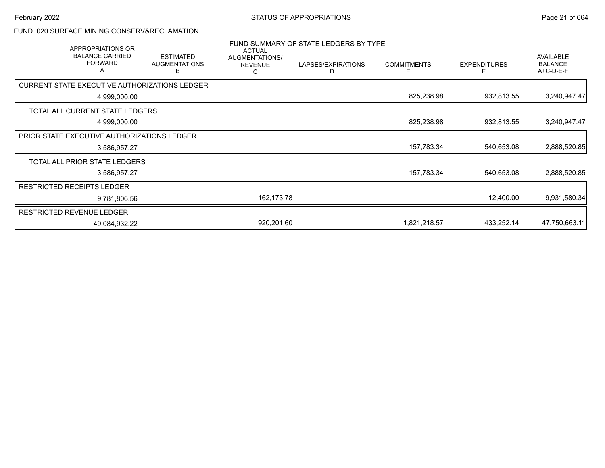## FUND 020 SURFACE MINING CONSERV&RECLAMATION

| <b>APPROPRIATIONS OR</b><br><b>BALANCE CARRIED</b><br><b>FORWARD</b><br>Α | <b>ESTIMATED</b><br><b>AUGMENTATIONS</b><br>в | <b>ACTUAL</b><br>AUGMENTATIONS/<br><b>REVENUE</b><br>С | FUND SUMMARY OF STATE LEDGERS BY TYPE<br>LAPSES/EXPIRATIONS<br>D | <b>COMMITMENTS</b><br>Е | <b>EXPENDITURES</b> | AVAILABLE<br><b>BALANCE</b><br>A+C-D-E-F |
|---------------------------------------------------------------------------|-----------------------------------------------|--------------------------------------------------------|------------------------------------------------------------------|-------------------------|---------------------|------------------------------------------|
| <b>CURRENT STATE EXECUTIVE AUTHORIZATIONS LEDGER</b>                      |                                               |                                                        |                                                                  |                         |                     |                                          |
| 4,999,000.00                                                              |                                               |                                                        |                                                                  | 825,238.98              | 932,813.55          | 3,240,947.47                             |
| TOTAL ALL CURRENT STATE LEDGERS                                           |                                               |                                                        |                                                                  |                         |                     |                                          |
| 4,999,000.00                                                              |                                               |                                                        |                                                                  | 825,238.98              | 932,813.55          | 3,240,947.47                             |
| <b>PRIOR STATE EXECUTIVE AUTHORIZATIONS LEDGER</b>                        |                                               |                                                        |                                                                  |                         |                     |                                          |
| 3,586,957.27                                                              |                                               |                                                        |                                                                  | 157,783.34              | 540,653.08          | 2,888,520.85                             |
| TOTAL ALL PRIOR STATE LEDGERS                                             |                                               |                                                        |                                                                  |                         |                     |                                          |
| 3,586,957.27                                                              |                                               |                                                        |                                                                  | 157,783.34              | 540,653.08          | 2,888,520.85                             |
| <b>RESTRICTED RECEIPTS LEDGER</b>                                         |                                               |                                                        |                                                                  |                         |                     |                                          |
| 9,781,806.56                                                              |                                               | 162,173.78                                             |                                                                  |                         | 12,400.00           | 9,931,580.34                             |
| <b>RESTRICTED REVENUE LEDGER</b>                                          |                                               |                                                        |                                                                  |                         |                     |                                          |
| 49,084,932.22                                                             |                                               | 920,201.60                                             |                                                                  | 1,821,218.57            | 433,252.14          | 47,750,663.11                            |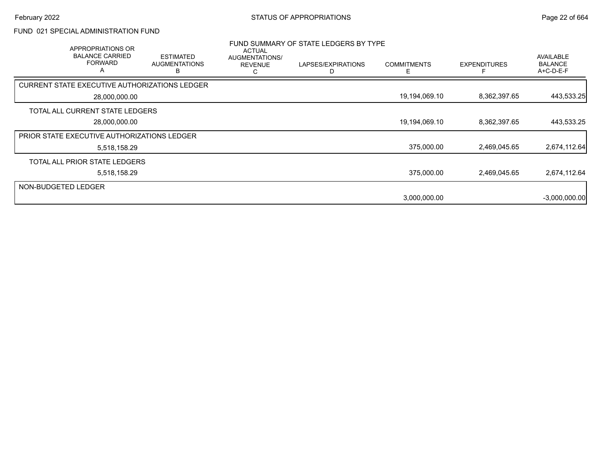## FUND 021 SPECIAL ADMINISTRATION FUND

|                     | <b>APPROPRIATIONS OR</b><br><b>BALANCE CARRIED</b><br><b>FORWARD</b> | <b>ESTIMATED</b><br><b>AUGMENTATIONS</b><br>В | <b>ACTUAL</b><br>AUGMENTATIONS/<br><b>REVENUE</b><br>С | FUND SUMMARY OF STATE LEDGERS BY TYPE<br>LAPSES/EXPIRATIONS<br>D | <b>COMMITMENTS</b> | <b>EXPENDITURES</b> | <b>AVAILABLE</b><br><b>BALANCE</b><br>A+C-D-E-F |
|---------------------|----------------------------------------------------------------------|-----------------------------------------------|--------------------------------------------------------|------------------------------------------------------------------|--------------------|---------------------|-------------------------------------------------|
|                     | CURRENT STATE EXECUTIVE AUTHORIZATIONS LEDGER                        |                                               |                                                        |                                                                  |                    |                     |                                                 |
|                     | 28,000,000.00                                                        |                                               |                                                        |                                                                  | 19,194,069.10      | 8,362,397.65        | 443,533.25                                      |
|                     | TOTAL ALL CURRENT STATE LEDGERS                                      |                                               |                                                        |                                                                  |                    |                     |                                                 |
|                     | 28,000,000.00                                                        |                                               |                                                        |                                                                  | 19,194,069.10      | 8,362,397.65        | 443,533.25                                      |
|                     | <b>PRIOR STATE EXECUTIVE AUTHORIZATIONS LEDGER</b>                   |                                               |                                                        |                                                                  |                    |                     |                                                 |
|                     | 5,518,158.29                                                         |                                               |                                                        |                                                                  | 375,000.00         | 2,469,045.65        | 2,674,112.64                                    |
|                     | TOTAL ALL PRIOR STATE LEDGERS                                        |                                               |                                                        |                                                                  |                    |                     |                                                 |
|                     | 5,518,158.29                                                         |                                               |                                                        |                                                                  | 375,000.00         | 2,469,045.65        | 2,674,112.64                                    |
| NON-BUDGETED LEDGER |                                                                      |                                               |                                                        |                                                                  |                    |                     |                                                 |
|                     |                                                                      |                                               |                                                        |                                                                  | 3,000,000.00       |                     | $-3,000,000.00$                                 |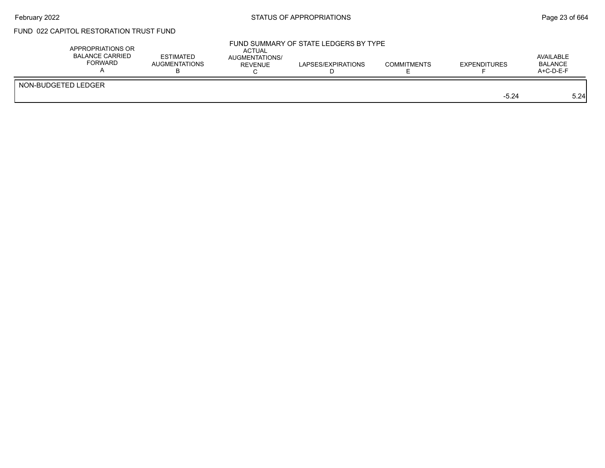## February 2022 **Example 23 of 664** STATUS OF APPROPRIATIONS **Page 23 of 664**

# FUND 022 CAPITOL RESTORATION TRUST FUND

| APPROPRIATIONS OR<br>BALANCE CARRIED<br><b>FORWARD</b> | <b>ESTIMATED</b><br>AUGMENTATIONS | ACTUAL<br>AUGMENTATIONS/<br><b>REVENUE</b> | FUND SUMMARY OF STATE LEDGERS BY TYPE<br>LAPSES/EXPIRATIONS | <b>COMMITMENTS</b> | <b>EXPENDITURES</b> | AVAILABLE<br><b>BALANCE</b><br>$A+C-D-E-F$ |
|--------------------------------------------------------|-----------------------------------|--------------------------------------------|-------------------------------------------------------------|--------------------|---------------------|--------------------------------------------|
| NON-BUDGETED LEDGER                                    |                                   |                                            |                                                             |                    | $-5.24$             | 5.24                                       |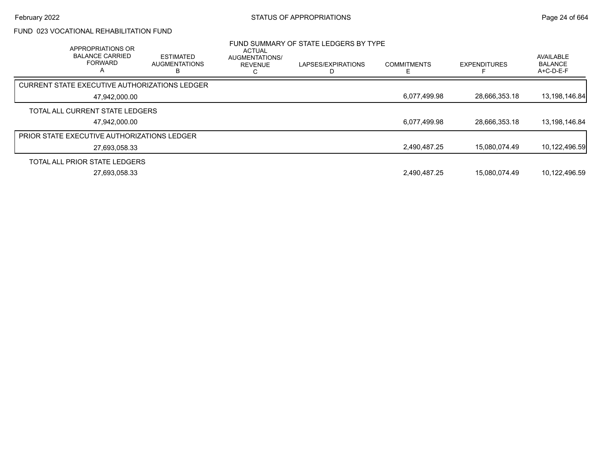# FUND 023 VOCATIONAL REHABILITATION FUND

| APPROPRIATIONS OR<br><b>BALANCE CARRIED</b><br><b>FORWARD</b><br>A | <b>ESTIMATED</b><br><b>AUGMENTATIONS</b> | ACTUAL<br>AUGMENTATIONS/<br><b>REVENUE</b><br>ι. | FUND SUMMARY OF STATE LEDGERS BY TYPE<br>LAPSES/EXPIRATIONS | <b>COMMITMENTS</b> | <b>EXPENDITURES</b> | AVAILABLE<br><b>BALANCE</b><br>A+C-D-E-F |
|--------------------------------------------------------------------|------------------------------------------|--------------------------------------------------|-------------------------------------------------------------|--------------------|---------------------|------------------------------------------|
| <b>CURRENT STATE EXECUTIVE AUTHORIZATIONS LEDGER</b>               |                                          |                                                  |                                                             |                    |                     |                                          |
| 47.942.000.00                                                      |                                          |                                                  |                                                             | 6,077,499.98       | 28,666,353.18       | 13,198,146.84                            |
| TOTAL ALL CURRENT STATE LEDGERS                                    |                                          |                                                  |                                                             |                    |                     |                                          |
| 47.942.000.00                                                      |                                          |                                                  |                                                             | 6,077,499.98       | 28,666,353.18       | 13,198,146.84                            |
| <b>PRIOR STATE EXECUTIVE AUTHORIZATIONS LEDGER</b>                 |                                          |                                                  |                                                             |                    |                     |                                          |
| 27,693,058.33                                                      |                                          |                                                  |                                                             | 2,490,487.25       | 15.080.074.49       | 10,122,496.59                            |
| TOTAL ALL PRIOR STATE LEDGERS                                      |                                          |                                                  |                                                             |                    |                     |                                          |
| 27,693,058.33                                                      |                                          |                                                  |                                                             | 2,490,487.25       | 15,080,074.49       | 10,122,496.59                            |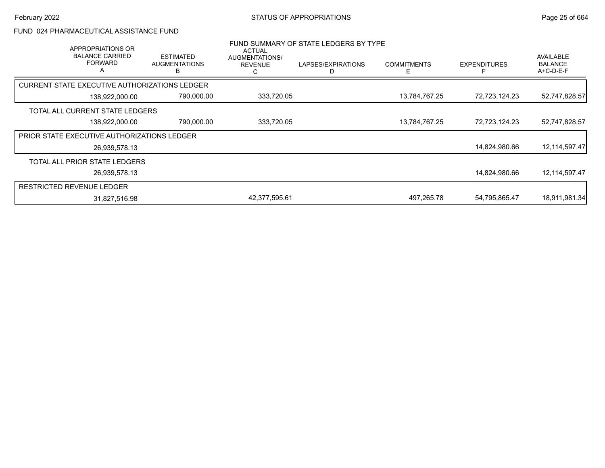#### FUND 024 PHARMACEUTICAL ASSISTANCE FUND

| APPROPRIATIONS OR<br><b>BALANCE CARRIED</b><br><b>FORWARD</b><br>A | <b>ESTIMATED</b><br><b>AUGMENTATIONS</b> | <b>ACTUAL</b><br>AUGMENTATIONS/<br><b>REVENUE</b><br>С | FUND SUMMARY OF STATE LEDGERS BY TYPE<br>LAPSES/EXPIRATIONS | <b>COMMITMENTS</b> | <b>EXPENDITURES</b> | AVAILABLE<br><b>BALANCE</b><br>$A+C-D-E-F$ |
|--------------------------------------------------------------------|------------------------------------------|--------------------------------------------------------|-------------------------------------------------------------|--------------------|---------------------|--------------------------------------------|
| CURRENT STATE EXECUTIVE AUTHORIZATIONS LEDGER                      |                                          |                                                        |                                                             |                    |                     |                                            |
| 138,922,000.00                                                     |                                          | 790,000.00<br>333,720.05                               |                                                             | 13,784,767.25      | 72,723,124.23       | 52,747,828.57                              |
| TOTAL ALL CURRENT STATE LEDGERS                                    |                                          |                                                        |                                                             |                    |                     |                                            |
| 138,922,000.00                                                     |                                          | 790,000.00<br>333,720.05                               |                                                             | 13,784,767.25      | 72,723,124.23       | 52,747,828.57                              |
| <b>PRIOR STATE EXECUTIVE AUTHORIZATIONS LEDGER</b>                 |                                          |                                                        |                                                             |                    |                     |                                            |
| 26,939,578.13                                                      |                                          |                                                        |                                                             |                    | 14,824,980.66       | 12, 114, 597. 47                           |
| TOTAL ALL PRIOR STATE LEDGERS                                      |                                          |                                                        |                                                             |                    |                     |                                            |
| 26,939,578.13                                                      |                                          |                                                        |                                                             |                    | 14,824,980.66       | 12,114,597.47                              |
| <b>RESTRICTED REVENUE LEDGER</b>                                   |                                          |                                                        |                                                             |                    |                     |                                            |
| 31,827,516.98                                                      |                                          | 42,377,595.61                                          |                                                             | 497.265.78         | 54,795,865.47       | 18,911,981.34                              |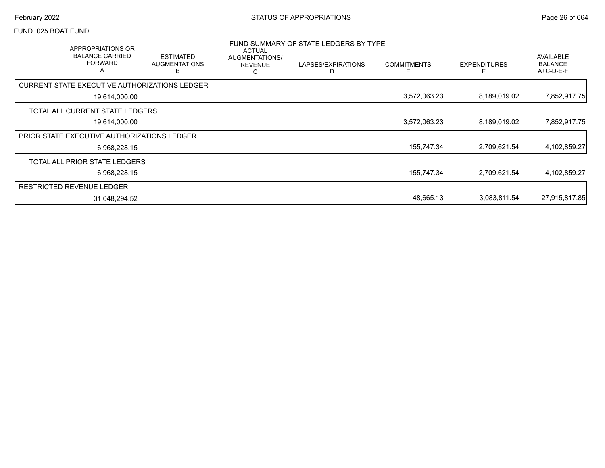#### FUND 025 BOAT FUND

|                                                    | <b>APPROPRIATIONS OR</b><br><b>BALANCE CARRIED</b><br><b>FORWARD</b><br>A | <b>ESTIMATED</b><br><b>AUGMENTATIONS</b><br>В | <b>ACTUAL</b><br>AUGMENTATIONS/<br><b>REVENUE</b><br>С | FUND SUMMARY OF STATE LEDGERS BY TYPE<br>LAPSES/EXPIRATIONS<br>D | <b>COMMITMENTS</b><br>F | <b>EXPENDITURES</b> | AVAILABLE<br><b>BALANCE</b><br>A+C-D-E-F |
|----------------------------------------------------|---------------------------------------------------------------------------|-----------------------------------------------|--------------------------------------------------------|------------------------------------------------------------------|-------------------------|---------------------|------------------------------------------|
|                                                    |                                                                           | CURRENT STATE EXECUTIVE AUTHORIZATIONS LEDGER |                                                        |                                                                  |                         |                     |                                          |
|                                                    | 19,614,000.00                                                             |                                               |                                                        |                                                                  | 3,572,063.23            | 8,189,019.02        | 7,852,917.75                             |
|                                                    | TOTAL ALL CURRENT STATE LEDGERS                                           |                                               |                                                        |                                                                  |                         |                     |                                          |
|                                                    | 19,614,000.00                                                             |                                               |                                                        |                                                                  | 3,572,063.23            | 8,189,019.02        | 7,852,917.75                             |
| <b>PRIOR STATE EXECUTIVE AUTHORIZATIONS LEDGER</b> |                                                                           |                                               |                                                        |                                                                  |                         |                     |                                          |
|                                                    | 6.968.228.15                                                              |                                               |                                                        |                                                                  | 155,747.34              | 2,709,621.54        | 4,102,859.27                             |
|                                                    | TOTAL ALL PRIOR STATE LEDGERS                                             |                                               |                                                        |                                                                  |                         |                     |                                          |
|                                                    | 6,968,228.15                                                              |                                               |                                                        |                                                                  | 155,747.34              | 2,709,621.54        | 4,102,859.27                             |
| <b>RESTRICTED REVENUE LEDGER</b>                   |                                                                           |                                               |                                                        |                                                                  |                         |                     |                                          |
|                                                    | 31,048,294.52                                                             |                                               |                                                        |                                                                  | 48,665.13               | 3,083,811.54        | 27,915,817.85                            |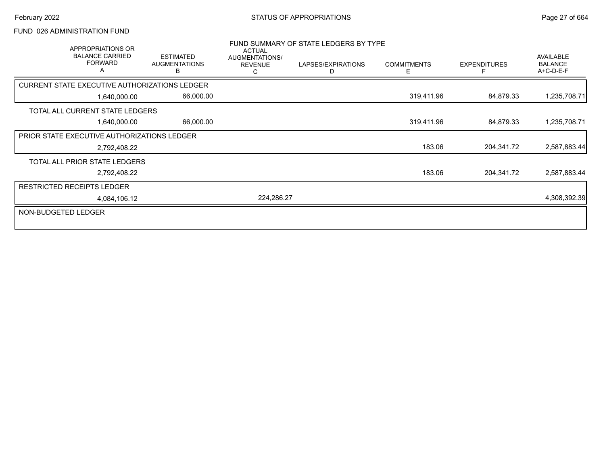## FUND 026 ADMINISTRATION FUND

| APPROPRIATIONS OR<br><b>BALANCE CARRIED</b><br><b>FORWARD</b><br>A |              | <b>ESTIMATED</b><br><b>AUGMENTATIONS</b><br>B | <b>ACTUAL</b><br>AUGMENTATIONS/<br><b>REVENUE</b><br>С | FUND SUMMARY OF STATE LEDGERS BY TYPE<br>LAPSES/EXPIRATIONS<br>D | <b>COMMITMENTS</b><br>E. | <b>EXPENDITURES</b> | <b>AVAILABLE</b><br><b>BALANCE</b><br>A+C-D-E-F |
|--------------------------------------------------------------------|--------------|-----------------------------------------------|--------------------------------------------------------|------------------------------------------------------------------|--------------------------|---------------------|-------------------------------------------------|
| CURRENT STATE EXECUTIVE AUTHORIZATIONS LEDGER                      |              |                                               |                                                        |                                                                  |                          |                     |                                                 |
|                                                                    | 1,640,000.00 | 66,000.00                                     |                                                        |                                                                  | 319,411.96               | 84,879.33           | 1,235,708.71                                    |
| TOTAL ALL CURRENT STATE LEDGERS                                    |              |                                               |                                                        |                                                                  |                          |                     |                                                 |
|                                                                    | 1,640,000.00 | 66,000.00                                     |                                                        |                                                                  | 319,411.96               | 84,879.33           | 1,235,708.71                                    |
| PRIOR STATE EXECUTIVE AUTHORIZATIONS LEDGER                        |              |                                               |                                                        |                                                                  |                          |                     |                                                 |
|                                                                    | 2,792,408.22 |                                               |                                                        |                                                                  | 183.06                   | 204,341.72          | 2,587,883.44                                    |
| TOTAL ALL PRIOR STATE LEDGERS                                      |              |                                               |                                                        |                                                                  |                          |                     |                                                 |
|                                                                    | 2,792,408.22 |                                               |                                                        |                                                                  | 183.06                   | 204,341.72          | 2,587,883.44                                    |
| <b>RESTRICTED RECEIPTS LEDGER</b>                                  |              |                                               |                                                        |                                                                  |                          |                     |                                                 |
|                                                                    | 4,084,106.12 |                                               | 224,286.27                                             |                                                                  |                          |                     | 4,308,392.39                                    |
| NON-BUDGETED LEDGER                                                |              |                                               |                                                        |                                                                  |                          |                     |                                                 |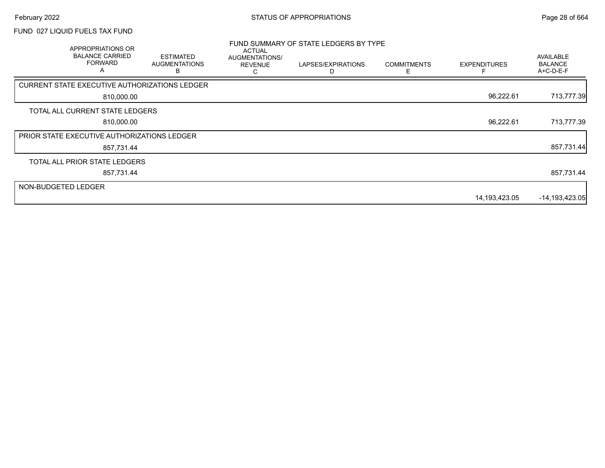### FUND 027 LIQUID FUELS TAX FUND

|                     | APPROPRIATIONS OR<br><b>BALANCE CARRIED</b><br><b>FORWARD</b><br>A | <b>ESTIMATED</b><br><b>AUGMENTATIONS</b> | <b>ACTUAL</b><br>AUGMENTATIONS/<br><b>REVENUE</b><br>С | FUND SUMMARY OF STATE LEDGERS BY TYPE<br>LAPSES/EXPIRATIONS | <b>COMMITMENTS</b><br>Е | <b>EXPENDITURES</b> | AVAILABLE<br><b>BALANCE</b><br>A+C-D-E-F |
|---------------------|--------------------------------------------------------------------|------------------------------------------|--------------------------------------------------------|-------------------------------------------------------------|-------------------------|---------------------|------------------------------------------|
|                     | CURRENT STATE EXECUTIVE AUTHORIZATIONS LEDGER                      |                                          |                                                        |                                                             |                         |                     |                                          |
|                     | 810,000.00                                                         |                                          |                                                        |                                                             |                         | 96,222.61           | 713,777.39                               |
|                     | TOTAL ALL CURRENT STATE LEDGERS                                    |                                          |                                                        |                                                             |                         |                     |                                          |
|                     | 810,000.00                                                         |                                          |                                                        |                                                             |                         | 96,222.61           | 713,777.39                               |
|                     | <b>PRIOR STATE EXECUTIVE AUTHORIZATIONS LEDGER</b>                 |                                          |                                                        |                                                             |                         |                     |                                          |
|                     | 857,731.44                                                         |                                          |                                                        |                                                             |                         |                     | 857,731.44                               |
|                     | TOTAL ALL PRIOR STATE LEDGERS                                      |                                          |                                                        |                                                             |                         |                     |                                          |
|                     | 857,731.44                                                         |                                          |                                                        |                                                             |                         |                     | 857,731.44                               |
| NON-BUDGETED LEDGER |                                                                    |                                          |                                                        |                                                             |                         |                     |                                          |
|                     |                                                                    |                                          |                                                        |                                                             |                         | 14,193,423.05       | $-14,193,423.05$                         |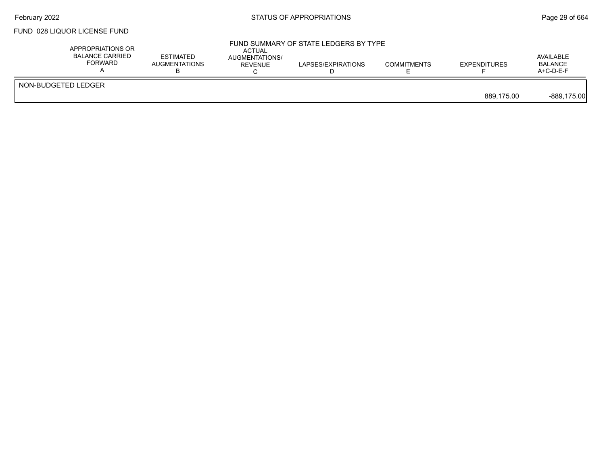### FUND 028 LIQUOR LICENSE FUND

|                     | APPROPRIATIONS OR<br><b>BALANCE CARRIED</b><br>FORWARD | <b>ESTIMATED</b><br><b>AUGMENTATIONS</b> | FUND SUMMARY OF STATE LEDGERS BY TYPE<br><b>ACTUAL</b><br>AUGMENTATIONS/<br>LAPSES/EXPIRATIONS<br><b>REVENUE</b> | <b>COMMITMENTS</b> | <b>EXPENDITURES</b> | AVAILABLE<br><b>BALANCE</b><br>$A+C-D-E-F$ |
|---------------------|--------------------------------------------------------|------------------------------------------|------------------------------------------------------------------------------------------------------------------|--------------------|---------------------|--------------------------------------------|
| NON-BUDGETED LEDGER |                                                        |                                          |                                                                                                                  |                    | 889.175.00          | $-889,175.00$                              |
|                     |                                                        |                                          |                                                                                                                  |                    |                     |                                            |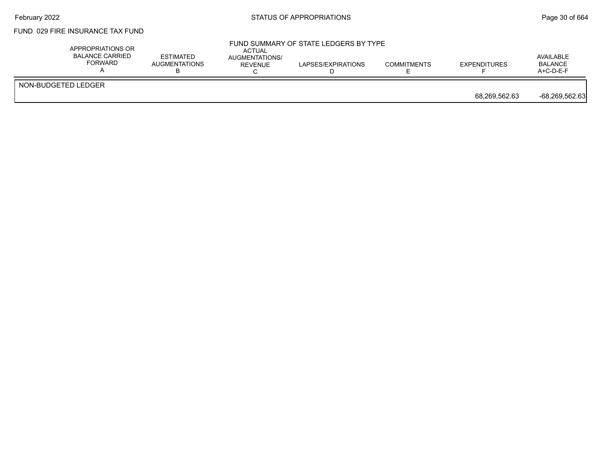## February 2022 **Example 2018** STATUS OF APPROPRIATIONS **Page 30** of 664

## FUND 029 FIRE INSURANCE TAX FUND

| APPROPRIATIONS OR<br>BALANCE CARRIED<br>FORWARD | <b>ESTIMATED</b><br>AUGMENTATIONS | ACTUAL<br>AUGMENTATIONS/<br><b>REVENUE</b> | FUND SUMMARY OF STATE LEDGERS BY TYPE<br>LAPSES/EXPIRATIONS | <b>COMMITMENTS</b> | <b>EXPENDITURES</b> | AVAILABLE<br><b>BALANCE</b><br>$A+C-D-E-F$ |
|-------------------------------------------------|-----------------------------------|--------------------------------------------|-------------------------------------------------------------|--------------------|---------------------|--------------------------------------------|
| NON-BUDGETED LEDGER                             |                                   |                                            |                                                             |                    | 68,269,562.63       | -68,269,562.63                             |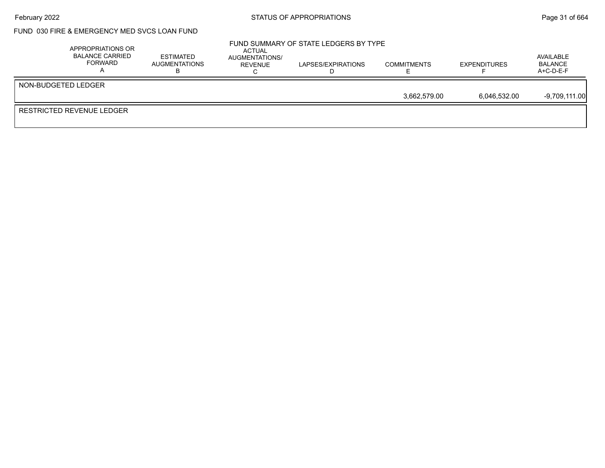## February 2022 **Example 2022** Page 31 of 664

#### FUND 030 FIRE & EMERGENCY MED SVCS LOAN FUND

|                     | APPROPRIATIONS OR<br><b>BALANCE CARRIED</b><br>FORWARD | <b>ESTIMATED</b><br>AUGMENTATIONS | ACTUAL<br>AUGMENTATIONS/<br>REVENUE | FUND SUMMARY OF STATE LEDGERS BY TYPE<br>LAPSES/EXPIRATIONS | <b>COMMITMENTS</b> | <b>EXPENDITURES</b> | AVAILABLE<br><b>BALANCE</b><br>A+C-D-E-F |
|---------------------|--------------------------------------------------------|-----------------------------------|-------------------------------------|-------------------------------------------------------------|--------------------|---------------------|------------------------------------------|
| NON-BUDGETED LEDGER |                                                        |                                   |                                     |                                                             |                    |                     |                                          |
|                     |                                                        |                                   |                                     |                                                             | 3.662.579.00       | 6.046.532.00        | $-9,709,111.00$                          |
|                     | RESTRICTED REVENUE LEDGER                              |                                   |                                     |                                                             |                    |                     |                                          |
|                     |                                                        |                                   |                                     |                                                             |                    |                     |                                          |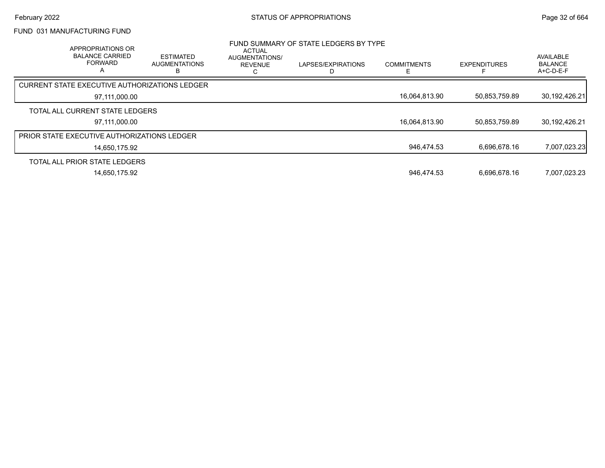### FUND 031 MANUFACTURING FUND

| APPROPRIATIONS OR<br><b>BALANCE CARRIED</b><br><b>FORWARD</b><br>$\overline{\mathsf{A}}$ | <b>ESTIMATED</b><br><b>AUGMENTATIONS</b><br>в | <b>ACTUAL</b><br>AUGMENTATIONS/<br><b>REVENUE</b><br>U | FUND SUMMARY OF STATE LEDGERS BY TYPE<br>LAPSES/EXPIRATIONS | <b>COMMITMENTS</b> | <b>EXPENDITURES</b> | AVAILABLE<br><b>BALANCE</b><br>$A+C-D-E-F$ |
|------------------------------------------------------------------------------------------|-----------------------------------------------|--------------------------------------------------------|-------------------------------------------------------------|--------------------|---------------------|--------------------------------------------|
| CURRENT STATE EXECUTIVE AUTHORIZATIONS LEDGER                                            |                                               |                                                        |                                                             |                    |                     |                                            |
| 97,111,000.00                                                                            |                                               |                                                        |                                                             | 16,064,813.90      | 50,853,759.89       | 30,192,426.21                              |
| TOTAL ALL CURRENT STATE LEDGERS                                                          |                                               |                                                        |                                                             |                    |                     |                                            |
| 97.111.000.00                                                                            |                                               |                                                        |                                                             | 16,064,813.90      | 50,853,759.89       | 30,192,426.21                              |
| <b>PRIOR STATE EXECUTIVE AUTHORIZATIONS LEDGER</b>                                       |                                               |                                                        |                                                             |                    |                     |                                            |
| 14,650,175.92                                                                            |                                               |                                                        |                                                             | 946,474.53         | 6.696.678.16        | 7,007,023.23                               |
| TOTAL ALL PRIOR STATE LEDGERS                                                            |                                               |                                                        |                                                             |                    |                     |                                            |
| 14,650,175.92                                                                            |                                               |                                                        |                                                             | 946,474.53         | 6.696.678.16        | 7,007,023.23                               |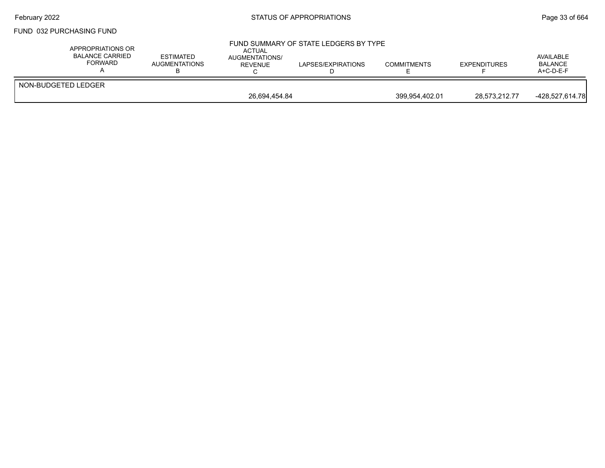## February 2022 **Example 2022** Page 33 of 664

#### FUND 032 PURCHASING FUND

| APPROPRIATIONS OR<br><b>BALANCE CARRIED</b><br><b>FORWARD</b> | <b>ESTIMATED</b><br>AUGMENTATIONS | ACTUAL<br><b>AUGMENTATIONS/</b><br><b>REVENUE</b> | FUND SUMMARY OF STATE LEDGERS BY TYPE<br>LAPSES/EXPIRATIONS | <b>COMMITMENTS</b> | <b>EXPENDITURES</b> | AVAILABLE<br>BALANCE<br>$A+C-D-E-F$ |
|---------------------------------------------------------------|-----------------------------------|---------------------------------------------------|-------------------------------------------------------------|--------------------|---------------------|-------------------------------------|
| NON-BUDGETED LEDGER                                           |                                   |                                                   |                                                             |                    |                     |                                     |
|                                                               |                                   | 26,694,454.84                                     |                                                             | 399,954,402.01     | 28.573.212.77       | -428.527.614.78                     |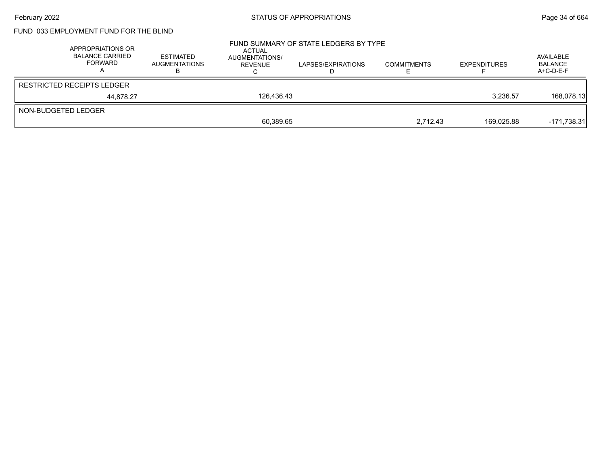# FUND 033 EMPLOYMENT FUND FOR THE BLIND

|                     | APPROPRIATIONS OR<br><b>BALANCE CARRIED</b><br>FORWARD | <b>ESTIMATED</b><br><b>AUGMENTATIONS</b> | ACTUAL<br>AUGMENTATIONS/<br>REVENUE | FUND SUMMARY OF STATE LEDGERS BY TYPE<br>LAPSES/EXPIRATIONS | <b>COMMITMENTS</b> | <b>EXPENDITURES</b> | AVAILABLE<br><b>BALANCE</b><br>$A+C-D-E-F$ |
|---------------------|--------------------------------------------------------|------------------------------------------|-------------------------------------|-------------------------------------------------------------|--------------------|---------------------|--------------------------------------------|
|                     | <b>RESTRICTED RECEIPTS LEDGER</b>                      |                                          |                                     |                                                             |                    |                     |                                            |
|                     | 44.878.27                                              |                                          | 126.436.43                          |                                                             |                    | 3,236.57            | 168.078.13                                 |
| NON-BUDGETED LEDGER |                                                        |                                          |                                     |                                                             |                    |                     |                                            |
|                     |                                                        |                                          | 60,389.65                           |                                                             | 2,712.43           | 169,025.88          | $-171,738.31$                              |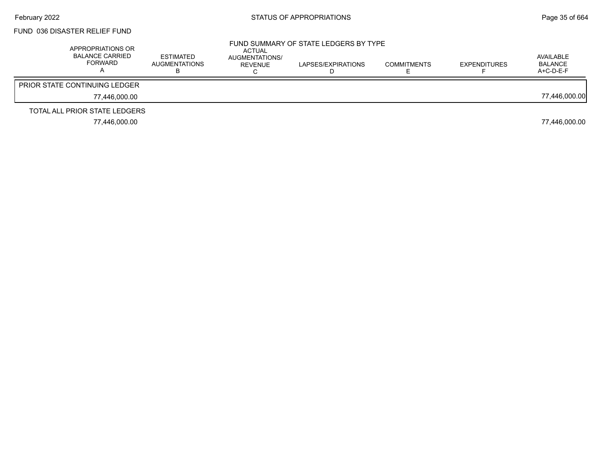### FUND 036 DISASTER RELIEF FUND

| APPROPRIATIONS OR<br><b>BALANCE CARRIED</b><br>FORWARD | <b>ESTIMATED</b><br>AUGMENTATIONS<br>D | ACTUAL<br>AUGMENTATIONS/<br>REVENUE | FUND SUMMARY OF STATE LEDGERS BY TYPE<br>LAPSES/EXPIRATIONS | <b>COMMITMENTS</b> | <b>EXPENDITURES</b> | AVAILABLE<br><b>BALANCE</b><br>$A+C-D-E-F$ |
|--------------------------------------------------------|----------------------------------------|-------------------------------------|-------------------------------------------------------------|--------------------|---------------------|--------------------------------------------|
| <b>PRIOR STATE CONTINUING LEDGER</b>                   |                                        |                                     |                                                             |                    |                     |                                            |
| 77.446.000.00                                          |                                        |                                     |                                                             |                    |                     | 77,446,000.00                              |
| TOTAL ALL PRIOR STATE LEDGERS                          |                                        |                                     |                                                             |                    |                     |                                            |
| 77.446.000.00                                          |                                        |                                     |                                                             |                    |                     | 77.446.000.00                              |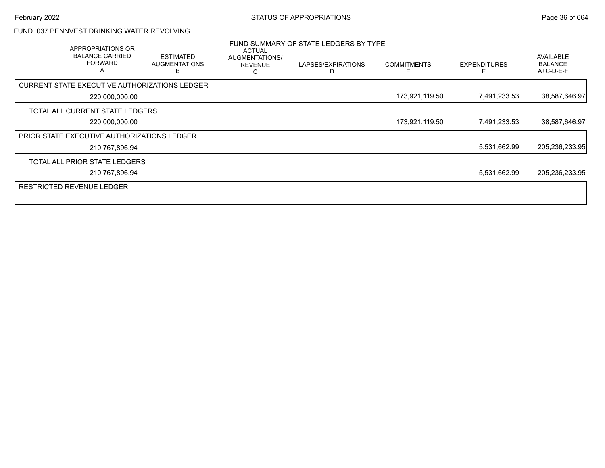## FUND 037 PENNVEST DRINKING WATER REVOLVING

| <b>APPROPRIATIONS OR</b><br><b>BALANCE CARRIED</b><br><b>FORWARD</b><br>A | <b>ESTIMATED</b><br><b>AUGMENTATIONS</b> | ACTUAL<br>AUGMENTATIONS/<br><b>REVENUE</b><br>r. | FUND SUMMARY OF STATE LEDGERS BY TYPE<br>LAPSES/EXPIRATIONS | <b>COMMITMENTS</b><br>F | <b>EXPENDITURES</b> | AVAILABLE<br><b>BALANCE</b><br>A+C-D-E-F |
|---------------------------------------------------------------------------|------------------------------------------|--------------------------------------------------|-------------------------------------------------------------|-------------------------|---------------------|------------------------------------------|
| <b>CURRENT STATE EXECUTIVE AUTHORIZATIONS LEDGER</b>                      |                                          |                                                  |                                                             |                         |                     |                                          |
| 220,000,000.00                                                            |                                          |                                                  |                                                             | 173,921,119.50          | 7,491,233.53        | 38,587,646.97                            |
| TOTAL ALL CURRENT STATE LEDGERS                                           |                                          |                                                  |                                                             |                         |                     |                                          |
| 220,000,000.00                                                            |                                          |                                                  |                                                             | 173,921,119.50          | 7,491,233.53        | 38,587,646.97                            |
| PRIOR STATE EXECUTIVE AUTHORIZATIONS LEDGER                               |                                          |                                                  |                                                             |                         |                     |                                          |
| 210,767,896.94                                                            |                                          |                                                  |                                                             |                         | 5,531,662.99        | 205,236,233.95                           |
| TOTAL ALL PRIOR STATE LEDGERS                                             |                                          |                                                  |                                                             |                         |                     |                                          |
| 210,767,896.94                                                            |                                          |                                                  |                                                             |                         | 5,531,662.99        | 205,236,233.95                           |
| <b>RESTRICTED REVENUE LEDGER</b>                                          |                                          |                                                  |                                                             |                         |                     |                                          |
|                                                                           |                                          |                                                  |                                                             |                         |                     |                                          |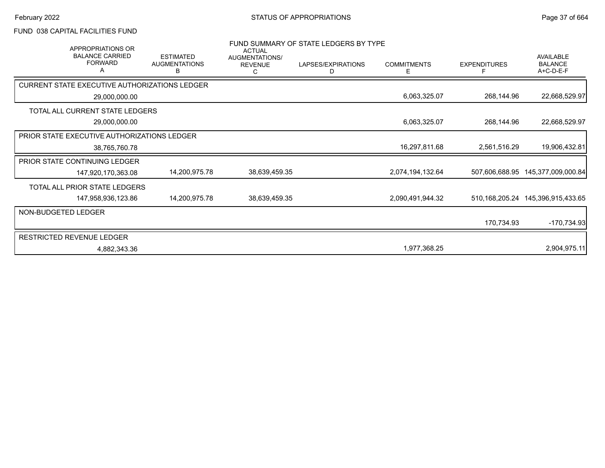### FUND 038 CAPITAL FACILITIES FUND

| APPROPRIATIONS OR<br><b>BALANCE CARRIED</b><br><b>FORWARD</b> | <b>ESTIMATED</b><br><b>AUGMENTATIONS</b><br>В | <b>ACTUAL</b><br>AUGMENTATIONS/<br><b>REVENUE</b><br>C | FUND SUMMARY OF STATE LEDGERS BY TYPE<br>LAPSES/EXPIRATIONS<br>D | <b>COMMITMENTS</b><br>Е | <b>EXPENDITURES</b> | AVAILABLE<br><b>BALANCE</b><br>A+C-D-E-F |
|---------------------------------------------------------------|-----------------------------------------------|--------------------------------------------------------|------------------------------------------------------------------|-------------------------|---------------------|------------------------------------------|
| CURRENT STATE EXECUTIVE AUTHORIZATIONS LEDGER                 |                                               |                                                        |                                                                  |                         |                     |                                          |
| 29,000,000.00                                                 |                                               |                                                        |                                                                  | 6,063,325.07            | 268,144.96          | 22,668,529.97                            |
| TOTAL ALL CURRENT STATE LEDGERS                               |                                               |                                                        |                                                                  |                         |                     |                                          |
| 29,000,000.00                                                 |                                               |                                                        |                                                                  | 6,063,325.07            | 268,144.96          | 22,668,529.97                            |
| <b>PRIOR STATE EXECUTIVE AUTHORIZATIONS LEDGER</b>            |                                               |                                                        |                                                                  |                         |                     |                                          |
| 38,765,760.78                                                 |                                               |                                                        |                                                                  | 16,297,811.68           | 2,561,516.29        | 19,906,432.81                            |
| <b>PRIOR STATE CONTINUING LEDGER</b>                          |                                               |                                                        |                                                                  |                         |                     |                                          |
| 147,920,170,363.08                                            | 14,200,975.78                                 | 38,639,459.35                                          |                                                                  | 2,074,194,132.64        | 507,606,688.95      | 145,377,009,000.84                       |
| TOTAL ALL PRIOR STATE LEDGERS                                 |                                               |                                                        |                                                                  |                         |                     |                                          |
| 147,958,936,123.86                                            | 14,200,975.78                                 | 38,639,459.35                                          |                                                                  | 2,090,491,944.32        |                     | 510, 168, 205. 24 145, 396, 915, 433. 65 |
| NON-BUDGETED LEDGER                                           |                                               |                                                        |                                                                  |                         |                     |                                          |
|                                                               |                                               |                                                        |                                                                  |                         | 170,734.93          | $-170,734.93$                            |
| <b>RESTRICTED REVENUE LEDGER</b>                              |                                               |                                                        |                                                                  |                         |                     |                                          |
| 4,882,343.36                                                  |                                               |                                                        |                                                                  | 1,977,368.25            |                     | 2,904,975.11                             |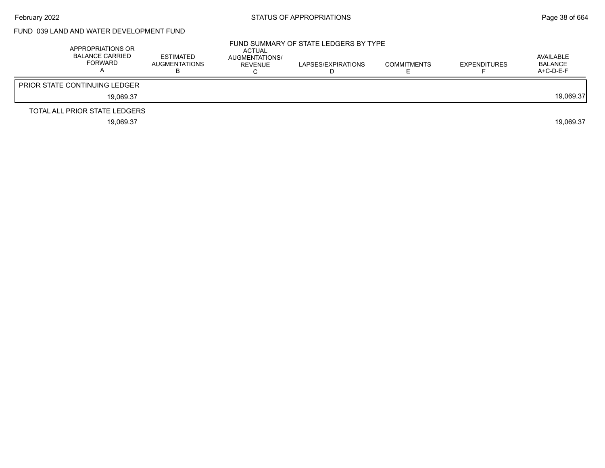### FUND 039 LAND AND WATER DEVELOPMENT FUND

| APPROPRIATIONS OR<br><b>BALANCE CARRIED</b><br>FORWARD | <b>ESTIMATED</b><br><b>AUGMENTATIONS</b> | <b>ACTUAL</b><br>AUGMENTATIONS/<br>REVENUE | FUND SUMMARY OF STATE LEDGERS BY TYPE<br>LAPSES/EXPIRATIONS | <b>COMMITMENTS</b> | <b>EXPENDITURES</b> | AVAILABLE<br>BALANCE<br>$A+C-D-E-F$ |
|--------------------------------------------------------|------------------------------------------|--------------------------------------------|-------------------------------------------------------------|--------------------|---------------------|-------------------------------------|
| <b>PRIOR STATE CONTINUING LEDGER</b>                   |                                          |                                            |                                                             |                    |                     |                                     |
| 19.069.37                                              |                                          |                                            |                                                             |                    |                     | 19.069.37                           |
| TOTAL ALL PRIOR STATE LEDGERS                          |                                          |                                            |                                                             |                    |                     |                                     |
| 19.069.37                                              |                                          |                                            |                                                             |                    |                     | 19.069.37                           |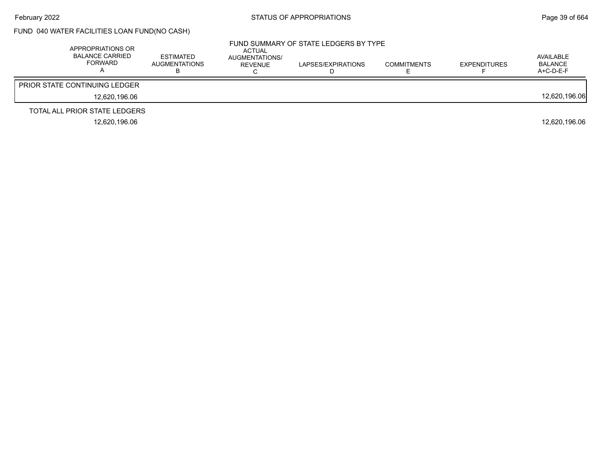## FUND 040 WATER FACILITIES LOAN FUND(NO CASH)

| APPROPRIATIONS OR<br>BALANCE CARRIED<br><b>FORWARD</b> | <b>ESTIMATED</b><br><b>AUGMENTATIONS</b> | ACTUAL<br>AUGMENTATIONS/<br>REVENUE | FUND SUMMARY OF STATE LEDGERS BY TYPE<br>LAPSES/EXPIRATIONS | <b>COMMITMENTS</b> | <b>EXPENDITURES</b> | AVAILABLE<br><b>BALANCE</b><br>$A+C-D-E-F$ |
|--------------------------------------------------------|------------------------------------------|-------------------------------------|-------------------------------------------------------------|--------------------|---------------------|--------------------------------------------|
| <b>PRIOR STATE CONTINUING LEDGER</b>                   |                                          |                                     |                                                             |                    |                     |                                            |
| 12.620.196.06                                          |                                          |                                     |                                                             |                    |                     | 12,620,196.06                              |
| TOTAL ALL PRIOR STATE LEDGERS                          |                                          |                                     |                                                             |                    |                     |                                            |
| 12.620.196.06                                          |                                          |                                     |                                                             |                    |                     | 12.620.196.06                              |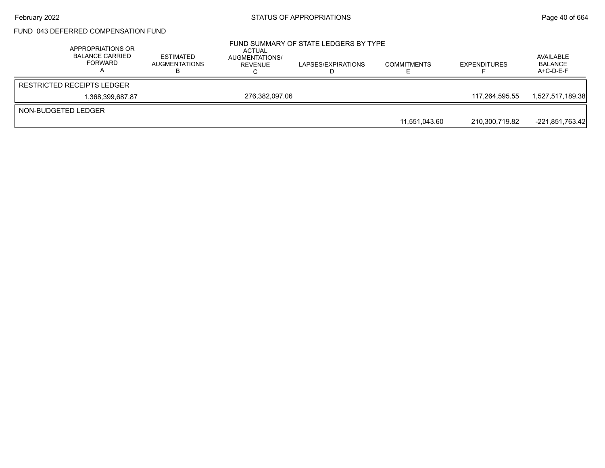### February 2022 **Example 2022** Page 40 of 664

# FUND 043 DEFERRED COMPENSATION FUND

|                     | APPROPRIATIONS OR<br><b>BALANCE CARRIED</b><br>FORWARD | <b>ESTIMATED</b><br><b>AUGMENTATIONS</b> | ACTUAL<br>AUGMENTATIONS/<br>REVENUE | FUND SUMMARY OF STATE LEDGERS BY TYPE<br>LAPSES/EXPIRATIONS | <b>COMMITMENTS</b> | <b>EXPENDITURES</b> | AVAILABLE<br><b>BALANCE</b><br>$A+C-D-E-F$ |
|---------------------|--------------------------------------------------------|------------------------------------------|-------------------------------------|-------------------------------------------------------------|--------------------|---------------------|--------------------------------------------|
|                     | <b>RESTRICTED RECEIPTS LEDGER</b>                      |                                          |                                     |                                                             |                    |                     |                                            |
|                     | 1,368,399,687.87                                       |                                          | 276.382.097.06                      |                                                             |                    | 117.264.595.55      | 1,527,517,189.38                           |
| NON-BUDGETED LEDGER |                                                        |                                          |                                     |                                                             |                    |                     |                                            |
|                     |                                                        |                                          |                                     |                                                             | 11,551,043.60      | 210,300,719.82      | -221,851,763.42                            |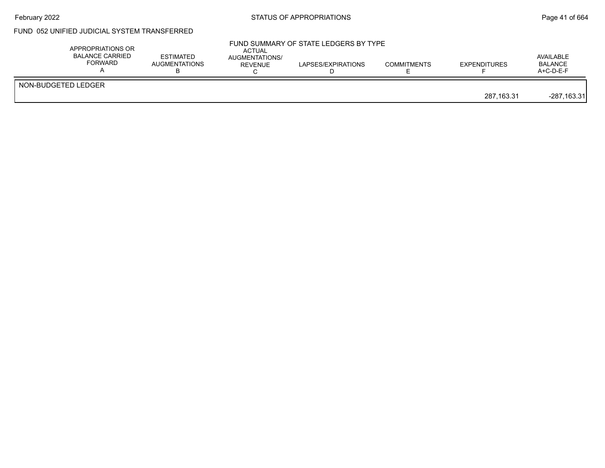## February 2022 **Example 2022** Page 41 of 664

# FUND 052 UNIFIED JUDICIAL SYSTEM TRANSFERRED

| APPROPRIATIONS OR<br><b>BALANCE CARRIED</b><br><b>FORWARD</b> | ESTIMATED<br><b>AUGMENTATIONS</b> | ACTUAL<br>AUGMENTATIONS/<br>REVENUE | FUND SUMMARY OF STATE LEDGERS BY TYPE<br>LAPSES/EXPIRATIONS | <b>COMMITMENTS</b> | <b>EXPENDITURES</b> | AVAILABLE<br><b>BALANCE</b><br>$A+C-D-E-F$ |
|---------------------------------------------------------------|-----------------------------------|-------------------------------------|-------------------------------------------------------------|--------------------|---------------------|--------------------------------------------|
| NON-BUDGETED LEDGER                                           |                                   |                                     |                                                             |                    | 287.163.31          | $-287,163.31$                              |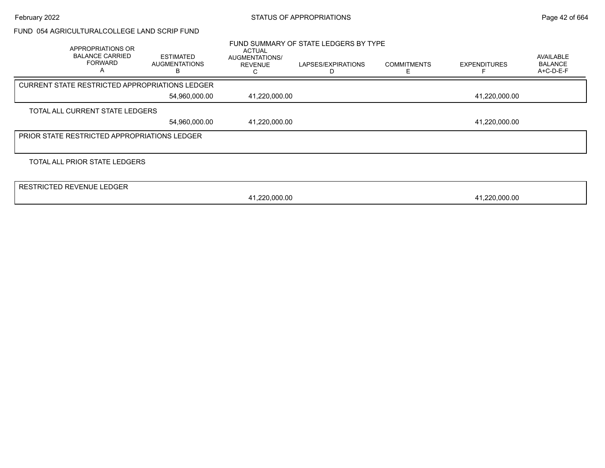#### FUND 054 AGRICULTURALCOLLEGE LAND SCRIP FUND

| APPROPRIATIONS OR<br><b>BALANCE CARRIED</b><br><b>FORWARD</b><br>А | ESTIMATED<br><b>AUGMENTATIONS</b><br>В | <b>ACTUAL</b><br>AUGMENTATIONS/<br><b>REVENUE</b> | FUND SUMMARY OF STATE LEDGERS BY TYPE<br>LAPSES/EXPIRATIONS | <b>COMMITMENTS</b> | <b>EXPENDITURES</b> | <b>AVAILABLE</b><br><b>BALANCE</b><br>A+C-D-E-F |
|--------------------------------------------------------------------|----------------------------------------|---------------------------------------------------|-------------------------------------------------------------|--------------------|---------------------|-------------------------------------------------|
|                                                                    |                                        |                                                   |                                                             |                    |                     |                                                 |
| CURRENT STATE RESTRICTED APPROPRIATIONS LEDGER                     |                                        |                                                   |                                                             |                    |                     |                                                 |
|                                                                    | 54,960,000.00                          | 41,220,000.00                                     |                                                             |                    | 41,220,000.00       |                                                 |
| TOTAL ALL CURRENT STATE LEDGERS                                    |                                        |                                                   |                                                             |                    |                     |                                                 |
|                                                                    | 54,960,000.00                          | 41,220,000.00                                     |                                                             |                    | 41,220,000.00       |                                                 |
| <b>PRIOR STATE RESTRICTED APPROPRIATIONS LEDGER</b>                |                                        |                                                   |                                                             |                    |                     |                                                 |
|                                                                    |                                        |                                                   |                                                             |                    |                     |                                                 |
| TOTAL ALL PRIOR STATE LEDGERS                                      |                                        |                                                   |                                                             |                    |                     |                                                 |
| <b>RESTRICTED REVENUE LEDGER</b>                                   |                                        |                                                   |                                                             |                    |                     |                                                 |
|                                                                    |                                        |                                                   |                                                             |                    |                     |                                                 |
|                                                                    |                                        | 41,220,000.00                                     |                                                             |                    | 41,220,000.00       |                                                 |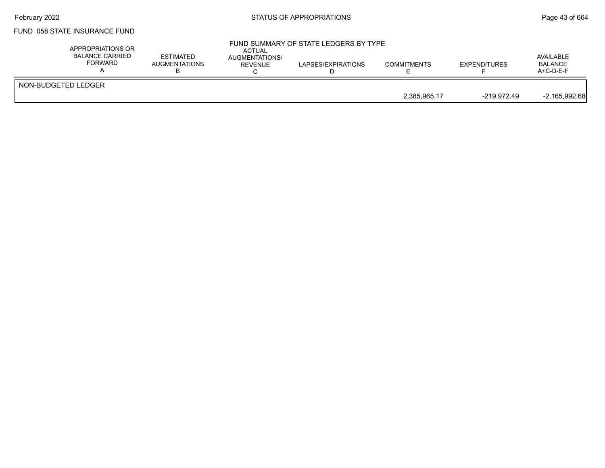## February 2022 **Example 2022** Page 43 of 664

# FUND 058 STATE INSURANCE FUND

| APPROPRIATIONS OR<br><b>BALANCE CARRIED</b><br>FORWARD | <b>ESTIMATED</b><br><b>AUGMENTATIONS</b> | <b>ACTUAL</b><br><b>AUGMENTATIONS/</b><br><b>REVENUE</b> | FUND SUMMARY OF STATE LEDGERS BY TYPE<br>LAPSES/EXPIRATIONS | <b>COMMITMENTS</b> | <b>EXPENDITURES</b> | AVAILABLE<br><b>BALANCE</b><br>$A+C-D-E-F$ |
|--------------------------------------------------------|------------------------------------------|----------------------------------------------------------|-------------------------------------------------------------|--------------------|---------------------|--------------------------------------------|
| NON-BUDGETED LEDGER                                    |                                          |                                                          |                                                             | 2.385.965.17       | -219.972.49         | $-2,165,992.68$                            |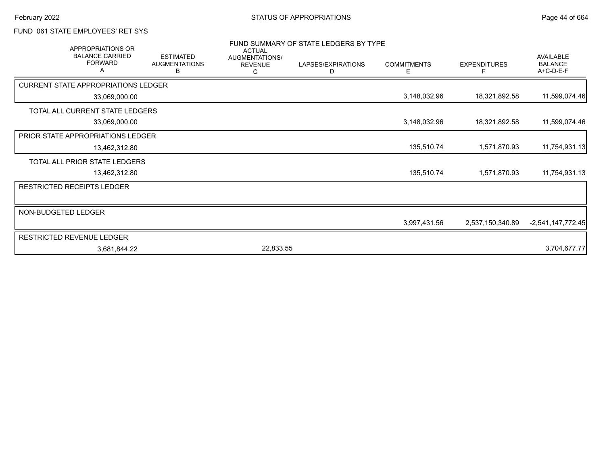### FUND 061 STATE EMPLOYEES' RET SYS

| FUND SUMMARY OF STATE LEDGERS BY TYPE<br><b>APPROPRIATIONS OR</b><br><b>ACTUAL</b><br><b>BALANCE CARRIED</b><br><b>ESTIMATED</b><br>AUGMENTATIONS/ |                                            |                           |                |                         |                         |                     | <b>AVAILABLE</b>            |
|----------------------------------------------------------------------------------------------------------------------------------------------------|--------------------------------------------|---------------------------|----------------|-------------------------|-------------------------|---------------------|-----------------------------|
|                                                                                                                                                    | <b>FORWARD</b><br>A                        | <b>AUGMENTATIONS</b><br>в | <b>REVENUE</b> | LAPSES/EXPIRATIONS<br>D | <b>COMMITMENTS</b><br>Е | <b>EXPENDITURES</b> | <b>BALANCE</b><br>A+C-D-E-F |
|                                                                                                                                                    | <b>CURRENT STATE APPROPRIATIONS LEDGER</b> |                           |                |                         |                         |                     |                             |
|                                                                                                                                                    | 33,069,000.00                              |                           |                |                         | 3,148,032.96            | 18,321,892.58       | 11,599,074.46               |
|                                                                                                                                                    | TOTAL ALL CURRENT STATE LEDGERS            |                           |                |                         |                         |                     |                             |
|                                                                                                                                                    | 33,069,000.00                              |                           |                |                         | 3,148,032.96            | 18,321,892.58       | 11,599,074.46               |
|                                                                                                                                                    | <b>PRIOR STATE APPROPRIATIONS LEDGER</b>   |                           |                |                         |                         |                     |                             |
|                                                                                                                                                    | 13,462,312.80                              |                           |                |                         | 135,510.74              | 1,571,870.93        | 11,754,931.13               |
|                                                                                                                                                    | TOTAL ALL PRIOR STATE LEDGERS              |                           |                |                         |                         |                     |                             |
|                                                                                                                                                    | 13,462,312.80                              |                           |                |                         | 135,510.74              | 1,571,870.93        | 11,754,931.13               |
|                                                                                                                                                    | <b>RESTRICTED RECEIPTS LEDGER</b>          |                           |                |                         |                         |                     |                             |
|                                                                                                                                                    |                                            |                           |                |                         |                         |                     |                             |
| NON-BUDGETED LEDGER                                                                                                                                |                                            |                           |                |                         | 3,997,431.56            | 2,537,150,340.89    | $-2,541,147,772.45$         |
|                                                                                                                                                    | RESTRICTED REVENUE LEDGER                  |                           |                |                         |                         |                     |                             |
|                                                                                                                                                    | 3,681,844.22                               |                           | 22,833.55      |                         |                         |                     | 3,704,677.77                |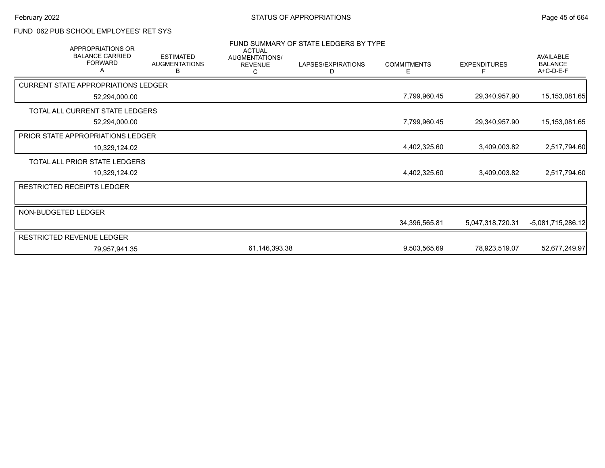# FUND 062 PUB SCHOOL EMPLOYEES' RET SYS

| FUND SUMMARY OF STATE LEDGERS BY TYPE<br><b>APPROPRIATIONS OR</b><br><b>ACTUAL</b> |                                               |                                       |                         |                         |                     |                                                 |  |
|------------------------------------------------------------------------------------|-----------------------------------------------|---------------------------------------|-------------------------|-------------------------|---------------------|-------------------------------------------------|--|
| <b>BALANCE CARRIED</b><br><b>FORWARD</b><br>А                                      | <b>ESTIMATED</b><br><b>AUGMENTATIONS</b><br>В | AUGMENTATIONS/<br><b>REVENUE</b><br>С | LAPSES/EXPIRATIONS<br>D | <b>COMMITMENTS</b><br>Ε | <b>EXPENDITURES</b> | <b>AVAILABLE</b><br><b>BALANCE</b><br>A+C-D-E-F |  |
| <b>CURRENT STATE APPROPRIATIONS LEDGER</b>                                         |                                               |                                       |                         |                         |                     |                                                 |  |
| 52,294,000.00                                                                      |                                               |                                       |                         | 7,799,960.45            | 29,340,957.90       | 15, 153, 081.65                                 |  |
| TOTAL ALL CURRENT STATE LEDGERS                                                    |                                               |                                       |                         |                         |                     |                                                 |  |
| 52,294,000.00                                                                      |                                               |                                       |                         | 7,799,960.45            | 29,340,957.90       | 15,153,081.65                                   |  |
| PRIOR STATE APPROPRIATIONS LEDGER                                                  |                                               |                                       |                         |                         |                     |                                                 |  |
| 10,329,124.02                                                                      |                                               |                                       |                         | 4,402,325.60            | 3,409,003.82        | 2,517,794.60                                    |  |
| TOTAL ALL PRIOR STATE LEDGERS                                                      |                                               |                                       |                         |                         |                     |                                                 |  |
| 10,329,124.02                                                                      |                                               |                                       |                         | 4,402,325.60            | 3,409,003.82        | 2,517,794.60                                    |  |
| <b>RESTRICTED RECEIPTS LEDGER</b>                                                  |                                               |                                       |                         |                         |                     |                                                 |  |
|                                                                                    |                                               |                                       |                         |                         |                     |                                                 |  |
| NON-BUDGETED LEDGER                                                                |                                               |                                       |                         |                         |                     |                                                 |  |
|                                                                                    |                                               |                                       |                         | 34,396,565.81           | 5,047,318,720.31    | -5,081,715,286.12                               |  |
| <b>RESTRICTED REVENUE LEDGER</b>                                                   |                                               |                                       |                         |                         |                     |                                                 |  |
| 79,957,941.35                                                                      |                                               | 61,146,393.38                         |                         | 9,503,565.69            | 78,923,519.07       | 52,677,249.97                                   |  |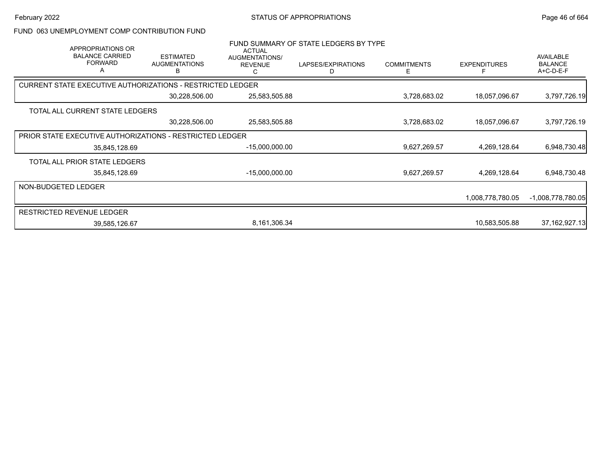#### FUND 063 UNEMPLOYMENT COMP CONTRIBUTION FUND

| APPROPRIATIONS OR<br><b>BALANCE CARRIED</b><br><b>FORWARD</b><br>A | <b>ESTIMATED</b><br><b>AUGMENTATIONS</b> | <b>ACTUAL</b><br>AUGMENTATIONS/<br><b>REVENUE</b> | FUND SUMMARY OF STATE LEDGERS BY TYPE<br>LAPSES/EXPIRATIONS<br>D | <b>COMMITMENTS</b><br>E | <b>EXPENDITURES</b> | AVAILABLE<br><b>BALANCE</b><br>A+C-D-E-F |
|--------------------------------------------------------------------|------------------------------------------|---------------------------------------------------|------------------------------------------------------------------|-------------------------|---------------------|------------------------------------------|
| <b>CURRENT STATE EXECUTIVE AUTHORIZATIONS - RESTRICTED LEDGER</b>  |                                          |                                                   |                                                                  |                         |                     |                                          |
|                                                                    | 30,228,506.00                            | 25,583,505.88                                     |                                                                  | 3,728,683.02            | 18,057,096.67       | 3,797,726.19                             |
| TOTAL ALL CURRENT STATE LEDGERS                                    |                                          |                                                   |                                                                  |                         |                     |                                          |
|                                                                    | 30,228,506.00                            | 25,583,505.88                                     |                                                                  | 3,728,683.02            | 18,057,096.67       | 3,797,726.19                             |
| PRIOR STATE EXECUTIVE AUTHORIZATIONS - RESTRICTED LEDGER           |                                          |                                                   |                                                                  |                         |                     |                                          |
| 35,845,128.69                                                      |                                          | $-15,000,000.00$                                  |                                                                  | 9,627,269.57            | 4,269,128.64        | 6,948,730.48                             |
| TOTAL ALL PRIOR STATE LEDGERS                                      |                                          |                                                   |                                                                  |                         |                     |                                          |
| 35,845,128.69                                                      |                                          | $-15,000,000.00$                                  |                                                                  | 9,627,269.57            | 4,269,128.64        | 6,948,730.48                             |
| NON-BUDGETED LEDGER                                                |                                          |                                                   |                                                                  |                         |                     |                                          |
|                                                                    |                                          |                                                   |                                                                  |                         | 1,008,778,780.05    | -1,008,778,780.05                        |
| <b>RESTRICTED REVENUE LEDGER</b>                                   |                                          |                                                   |                                                                  |                         |                     |                                          |
| 39,585,126.67                                                      |                                          | 8,161,306.34                                      |                                                                  |                         | 10,583,505.88       | 37, 162, 927. 13                         |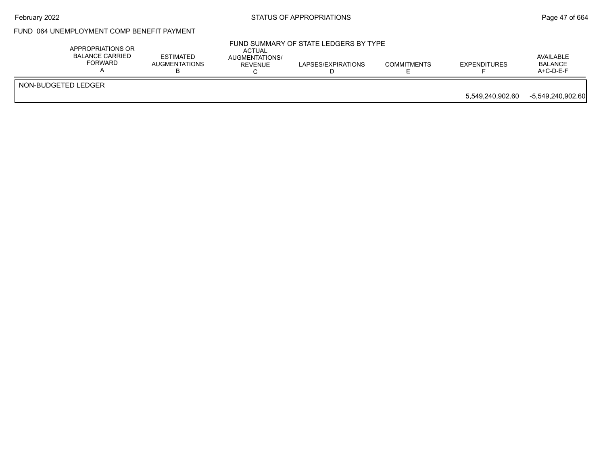## February 2022 **Example 2022** Page 47 of 664

# FUND 064 UNEMPLOYMENT COMP BENEFIT PAYMENT

|                     | APPROPRIATIONS OR<br>BALANCE CARRIED<br>FORWARD | <b>ESTIMATED</b><br><b>AUGMENTATIONS</b> | ACTUAL<br>AUGMENTATIONS/<br>REVENUE | FUND SUMMARY OF STATE LEDGERS BY TYPE<br>LAPSES/EXPIRATIONS | <b>COMMITMENTS</b> | <b>EXPENDITURES</b> | AVAILABLE<br><b>BALANCE</b><br>$A+C-D-E-F$ |
|---------------------|-------------------------------------------------|------------------------------------------|-------------------------------------|-------------------------------------------------------------|--------------------|---------------------|--------------------------------------------|
| NON-BUDGETED LEDGER |                                                 |                                          |                                     |                                                             |                    |                     |                                            |
|                     |                                                 |                                          |                                     |                                                             |                    | 5,549,240,902.60    | -5,549,240,902.60                          |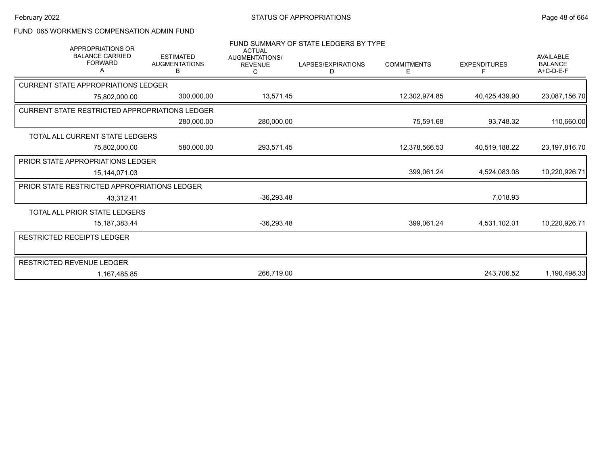### FUND 065 WORKMEN'S COMPENSATION ADMIN FUND

| APPROPRIATIONS OR                                     |                                               | <b>ACTUAL</b>                         | FUND SUMMARY OF STATE LEDGERS BY TYPE |                         |                          |                                                   |
|-------------------------------------------------------|-----------------------------------------------|---------------------------------------|---------------------------------------|-------------------------|--------------------------|---------------------------------------------------|
| <b>BALANCE CARRIED</b><br><b>FORWARD</b><br>А         | <b>ESTIMATED</b><br><b>AUGMENTATIONS</b><br>В | AUGMENTATIONS/<br><b>REVENUE</b><br>С | LAPSES/EXPIRATIONS<br>D               | <b>COMMITMENTS</b><br>Е | <b>EXPENDITURES</b><br>F | <b>AVAILABLE</b><br><b>BALANCE</b><br>$A+C-D-E-F$ |
| <b>CURRENT STATE APPROPRIATIONS LEDGER</b>            |                                               |                                       |                                       |                         |                          |                                                   |
| 75,802,000.00                                         | 300,000.00                                    | 13,571.45                             |                                       | 12,302,974.85           | 40,425,439.90            | 23,087,156.70                                     |
| <b>CURRENT STATE RESTRICTED APPROPRIATIONS LEDGER</b> |                                               |                                       |                                       |                         |                          |                                                   |
|                                                       | 280,000.00                                    | 280,000.00                            |                                       | 75,591.68               | 93,748.32                | 110,660.00                                        |
| TOTAL ALL CURRENT STATE LEDGERS                       |                                               |                                       |                                       |                         |                          |                                                   |
| 75,802,000.00                                         | 580,000.00                                    | 293,571.45                            |                                       | 12,378,566.53           | 40,519,188.22            | 23, 197, 816. 70                                  |
| PRIOR STATE APPROPRIATIONS LEDGER                     |                                               |                                       |                                       |                         |                          |                                                   |
| 15,144,071.03                                         |                                               |                                       |                                       | 399,061.24              | 4,524,083.08             | 10,220,926.71                                     |
| PRIOR STATE RESTRICTED APPROPRIATIONS LEDGER          |                                               |                                       |                                       |                         |                          |                                                   |
| 43,312.41                                             |                                               | $-36,293.48$                          |                                       |                         | 7,018.93                 |                                                   |
| TOTAL ALL PRIOR STATE LEDGERS                         |                                               |                                       |                                       |                         |                          |                                                   |
| 15, 187, 383. 44                                      |                                               | $-36,293.48$                          |                                       | 399,061.24              | 4,531,102.01             | 10,220,926.71                                     |
| <b>RESTRICTED RECEIPTS LEDGER</b>                     |                                               |                                       |                                       |                         |                          |                                                   |
|                                                       |                                               |                                       |                                       |                         |                          |                                                   |
| RESTRICTED REVENUE LEDGER                             |                                               |                                       |                                       |                         |                          |                                                   |
| 1,167,485.85                                          |                                               | 266,719.00                            |                                       |                         | 243,706.52               | 1,190,498.33                                      |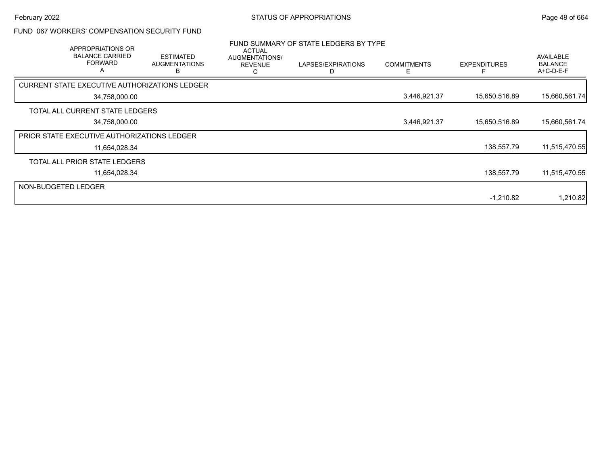## FUND 067 WORKERS' COMPENSATION SECURITY FUND

|                     | APPROPRIATIONS OR<br><b>BALANCE CARRIED</b><br><b>FORWARD</b><br>A | <b>ESTIMATED</b><br><b>AUGMENTATIONS</b> | <b>ACTUAL</b><br>AUGMENTATIONS/<br><b>REVENUE</b><br>ت | FUND SUMMARY OF STATE LEDGERS BY TYPE<br>LAPSES/EXPIRATIONS | <b>COMMITMENTS</b><br>F | <b>EXPENDITURES</b> | AVAILABLE<br><b>BALANCE</b><br>A+C-D-E-F |
|---------------------|--------------------------------------------------------------------|------------------------------------------|--------------------------------------------------------|-------------------------------------------------------------|-------------------------|---------------------|------------------------------------------|
|                     | CURRENT STATE EXECUTIVE AUTHORIZATIONS LEDGER                      |                                          |                                                        |                                                             |                         |                     |                                          |
|                     | 34,758,000.00                                                      |                                          |                                                        |                                                             | 3,446,921.37            | 15,650,516.89       | 15,660,561.74                            |
|                     | TOTAL ALL CURRENT STATE LEDGERS                                    |                                          |                                                        |                                                             |                         |                     |                                          |
|                     | 34,758,000.00                                                      |                                          |                                                        |                                                             | 3,446,921.37            | 15,650,516.89       | 15,660,561.74                            |
|                     | <b>PRIOR STATE EXECUTIVE AUTHORIZATIONS LEDGER</b>                 |                                          |                                                        |                                                             |                         |                     |                                          |
|                     | 11,654,028.34                                                      |                                          |                                                        |                                                             |                         | 138,557.79          | 11,515,470.55                            |
|                     | TOTAL ALL PRIOR STATE LEDGERS                                      |                                          |                                                        |                                                             |                         |                     |                                          |
|                     | 11,654,028.34                                                      |                                          |                                                        |                                                             |                         | 138,557.79          | 11,515,470.55                            |
| NON-BUDGETED LEDGER |                                                                    |                                          |                                                        |                                                             |                         |                     |                                          |
|                     |                                                                    |                                          |                                                        |                                                             |                         | $-1,210.82$         | 1,210.82                                 |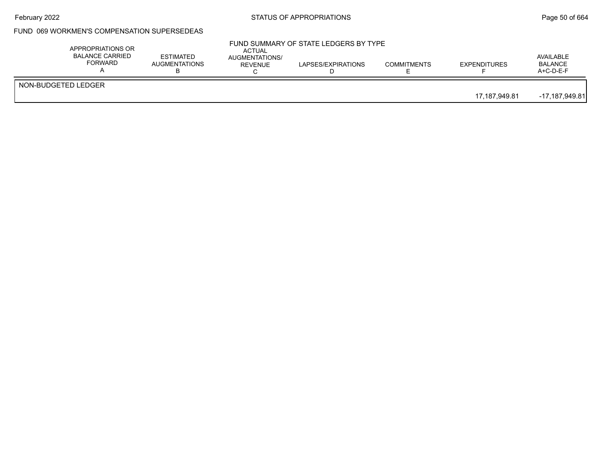## February 2022 **Example 2018** STATUS OF APPROPRIATIONS **Page 50 of 664**

# FUND 069 WORKMEN'S COMPENSATION SUPERSEDEAS

|                     | APPROPRIATIONS OR<br><b>BALANCE CARRIED</b><br>FORWARD | ESTIMATED<br><b>AUGMENTATIONS</b> | <b>ACTUAL</b><br>AUGMENTATIONS/<br>REVENUE | FUND SUMMARY OF STATE LEDGERS BY TYPE<br>LAPSES/EXPIRATIONS | <b>COMMITMENTS</b> | <b>EXPENDITURES</b> | AVAILABLE<br><b>BALANCE</b><br>A+C-D-E-F |
|---------------------|--------------------------------------------------------|-----------------------------------|--------------------------------------------|-------------------------------------------------------------|--------------------|---------------------|------------------------------------------|
| NON-BUDGETED LEDGER |                                                        |                                   |                                            |                                                             |                    | 17.187.949.81       | -17,187,949.81                           |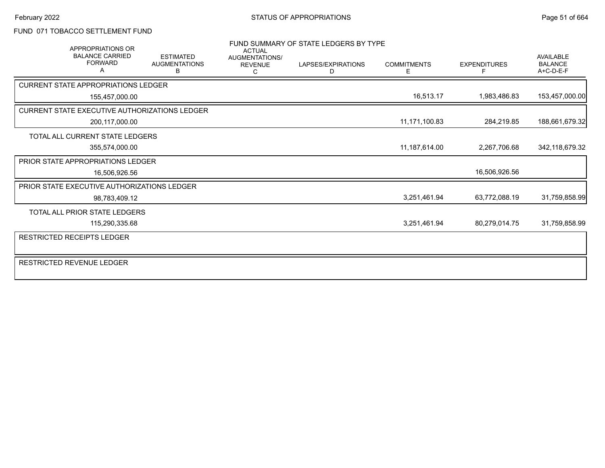### FUND 071 TOBACCO SETTLEMENT FUND

|                                               | <b>APPROPRIATIONS OR</b><br><b>BALANCE CARRIED</b><br><b>FORWARD</b> | <b>ESTIMATED</b><br><b>AUGMENTATIONS</b> | <b>ACTUAL</b><br>AUGMENTATIONS/<br><b>REVENUE</b> | FUND SUMMARY OF STATE LEDGERS BY TYPE<br>LAPSES/EXPIRATIONS | <b>COMMITMENTS</b> | <b>EXPENDITURES</b> | <b>AVAILABLE</b><br><b>BALANCE</b> |
|-----------------------------------------------|----------------------------------------------------------------------|------------------------------------------|---------------------------------------------------|-------------------------------------------------------------|--------------------|---------------------|------------------------------------|
|                                               |                                                                      | В                                        | C                                                 | D                                                           | E                  |                     | A+C-D-E-F                          |
| <b>CURRENT STATE APPROPRIATIONS LEDGER</b>    |                                                                      |                                          |                                                   |                                                             |                    |                     |                                    |
|                                               | 155,457,000.00                                                       |                                          |                                                   |                                                             | 16,513.17          | 1,983,486.83        | 153,457,000.00                     |
| CURRENT STATE EXECUTIVE AUTHORIZATIONS LEDGER |                                                                      |                                          |                                                   |                                                             |                    |                     |                                    |
|                                               | 200,117,000.00                                                       |                                          |                                                   |                                                             | 11,171,100.83      | 284,219.85          | 188,661,679.32                     |
| TOTAL ALL CURRENT STATE LEDGERS               |                                                                      |                                          |                                                   |                                                             |                    |                     |                                    |
|                                               | 355,574,000.00                                                       |                                          |                                                   |                                                             | 11,187,614.00      | 2,267,706.68        | 342,118,679.32                     |
| PRIOR STATE APPROPRIATIONS LEDGER             |                                                                      |                                          |                                                   |                                                             |                    |                     |                                    |
|                                               | 16,506,926.56                                                        |                                          |                                                   |                                                             |                    | 16,506,926.56       |                                    |
| PRIOR STATE EXECUTIVE AUTHORIZATIONS LEDGER   |                                                                      |                                          |                                                   |                                                             |                    |                     |                                    |
|                                               | 98,783,409.12                                                        |                                          |                                                   |                                                             | 3,251,461.94       | 63,772,088.19       | 31,759,858.99                      |
| TOTAL ALL PRIOR STATE LEDGERS                 |                                                                      |                                          |                                                   |                                                             |                    |                     |                                    |
|                                               | 115,290,335.68                                                       |                                          |                                                   |                                                             | 3,251,461.94       | 80,279,014.75       | 31,759,858.99                      |
| <b>RESTRICTED RECEIPTS LEDGER</b>             |                                                                      |                                          |                                                   |                                                             |                    |                     |                                    |
|                                               |                                                                      |                                          |                                                   |                                                             |                    |                     |                                    |
| RESTRICTED REVENUE LEDGER                     |                                                                      |                                          |                                                   |                                                             |                    |                     |                                    |
|                                               |                                                                      |                                          |                                                   |                                                             |                    |                     |                                    |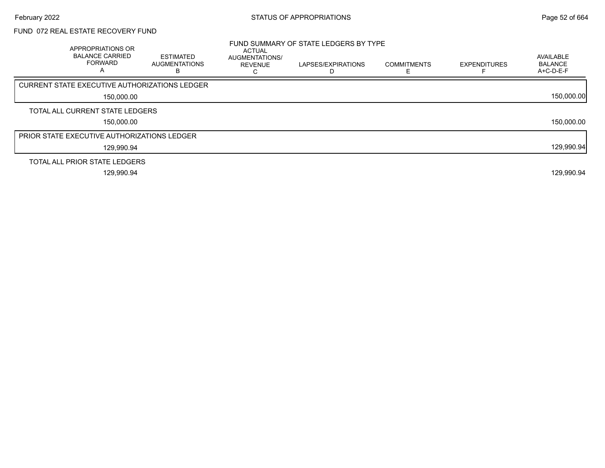# FUND 072 REAL ESTATE RECOVERY FUND

| APPROPRIATIONS OR<br><b>BALANCE CARRIED</b><br><b>FORWARD</b><br>A | <b>ESTIMATED</b><br>AUGMENTATIONS | <b>ACTUAL</b><br><b>AUGMENTATIONS/</b><br><b>REVENUE</b> | FUND SUMMARY OF STATE LEDGERS BY TYPE<br>LAPSES/EXPIRATIONS<br>D | <b>COMMITMENTS</b> | <b>EXPENDITURES</b> | AVAILABLE<br><b>BALANCE</b><br>A+C-D-E-F |
|--------------------------------------------------------------------|-----------------------------------|----------------------------------------------------------|------------------------------------------------------------------|--------------------|---------------------|------------------------------------------|
| <b>CURRENT STATE EXECUTIVE AUTHORIZATIONS LEDGER</b>               |                                   |                                                          |                                                                  |                    |                     |                                          |
| 150,000.00                                                         |                                   |                                                          |                                                                  |                    |                     | 150,000.00                               |
| TOTAL ALL CURRENT STATE LEDGERS                                    |                                   |                                                          |                                                                  |                    |                     |                                          |
| 150,000.00                                                         |                                   |                                                          |                                                                  |                    |                     | 150,000.00                               |
| <b>PRIOR STATE EXECUTIVE AUTHORIZATIONS LEDGER</b>                 |                                   |                                                          |                                                                  |                    |                     |                                          |
| 129,990.94                                                         |                                   |                                                          |                                                                  |                    |                     | 129,990.94                               |
| TOTAL ALL PRIOR STATE LEDGERS                                      |                                   |                                                          |                                                                  |                    |                     |                                          |
| 129,990.94                                                         |                                   |                                                          |                                                                  |                    |                     | 129,990.94                               |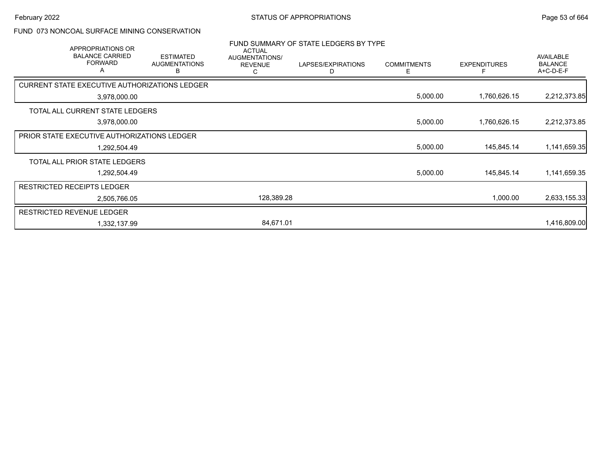#### FUND 073 NONCOAL SURFACE MINING CONSERVATION

| APPROPRIATIONS OR                                    |                                               | <b>ACTUAL</b>                         | FUND SUMMARY OF STATE LEDGERS BY TYPE |                          |                     |                                                 |
|------------------------------------------------------|-----------------------------------------------|---------------------------------------|---------------------------------------|--------------------------|---------------------|-------------------------------------------------|
| <b>BALANCE CARRIED</b><br><b>FORWARD</b><br>A        | <b>ESTIMATED</b><br><b>AUGMENTATIONS</b><br>В | AUGMENTATIONS/<br><b>REVENUE</b><br>С | LAPSES/EXPIRATIONS<br>D               | <b>COMMITMENTS</b><br>E. | <b>EXPENDITURES</b> | <b>AVAILABLE</b><br><b>BALANCE</b><br>A+C-D-E-F |
| <b>CURRENT STATE EXECUTIVE AUTHORIZATIONS LEDGER</b> |                                               |                                       |                                       |                          |                     |                                                 |
| 3,978,000.00                                         |                                               |                                       |                                       | 5,000.00                 | 1,760,626.15        | 2,212,373.85                                    |
| TOTAL ALL CURRENT STATE LEDGERS                      |                                               |                                       |                                       |                          |                     |                                                 |
| 3,978,000.00                                         |                                               |                                       |                                       | 5,000.00                 | 1,760,626.15        | 2,212,373.85                                    |
| <b>PRIOR STATE EXECUTIVE AUTHORIZATIONS LEDGER</b>   |                                               |                                       |                                       |                          |                     |                                                 |
| 1,292,504.49                                         |                                               |                                       |                                       | 5,000.00                 | 145,845.14          | 1,141,659.35                                    |
| TOTAL ALL PRIOR STATE LEDGERS                        |                                               |                                       |                                       |                          |                     |                                                 |
| 1,292,504.49                                         |                                               |                                       |                                       | 5,000.00                 | 145,845.14          | 1,141,659.35                                    |
| <b>RESTRICTED RECEIPTS LEDGER</b>                    |                                               |                                       |                                       |                          |                     |                                                 |
| 2,505,766.05                                         |                                               | 128,389.28                            |                                       |                          | 1,000.00            | 2,633,155.33                                    |
| <b>RESTRICTED REVENUE LEDGER</b>                     |                                               |                                       |                                       |                          |                     |                                                 |
| 1,332,137.99                                         |                                               | 84,671.01                             |                                       |                          |                     | 1,416,809.00                                    |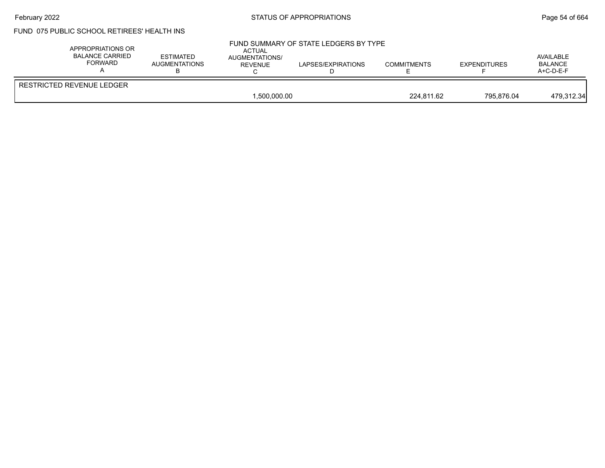### February 2022 **Example 2022** Page 54 of 664

# FUND 075 PUBLIC SCHOOL RETIREES' HEALTH INS

| RESTRICTED REVENUE LEDGER | APPROPRIATIONS OR<br><b>BALANCE CARRIED</b><br><b>FORWARD</b> | <b>ESTIMATED</b><br>AUGMENTATIONS | <b>ACTUAL</b><br>AUGMENTATIONS/<br>REVENUE | FUND SUMMARY OF STATE LEDGERS BY TYPE<br>LAPSES/EXPIRATIONS | <b>COMMITMENTS</b> | <b>EXPENDITURES</b> | AVAILABLE<br><b>BALANCE</b><br>$A+C-D-E-F$ |
|---------------------------|---------------------------------------------------------------|-----------------------------------|--------------------------------------------|-------------------------------------------------------------|--------------------|---------------------|--------------------------------------------|
|                           |                                                               |                                   | 1.500.000.00                               |                                                             | 224.811.62         | 795.876.04          | 479,312.34                                 |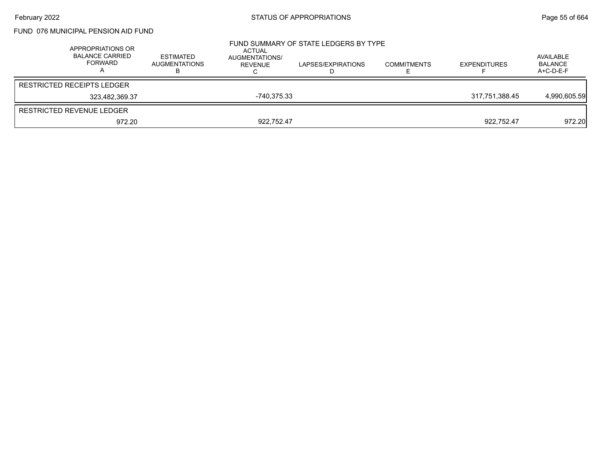### FUND 076 MUNICIPAL PENSION AID FUND

| APPROPRIATIONS OR<br><b>BALANCE CARRIED</b><br>FORWARD | <b>ESTIMATED</b><br>AUGMENTATIONS | ACTUAL<br>AUGMENTATIONS/<br>REVENUE | FUND SUMMARY OF STATE LEDGERS BY TYPE<br>LAPSES/EXPIRATIONS | <b>COMMITMENTS</b> | <b>EXPENDITURES</b> | AVAILABLE<br>BALANCE<br>A+C-D-E-F |
|--------------------------------------------------------|-----------------------------------|-------------------------------------|-------------------------------------------------------------|--------------------|---------------------|-----------------------------------|
| <b>RESTRICTED RECEIPTS LEDGER</b>                      |                                   |                                     |                                                             |                    |                     |                                   |
| 323.482.369.37                                         |                                   | -740.375.33                         |                                                             |                    | 317.751.388.45      | 4,990,605.59                      |
| RESTRICTED REVENUE LEDGER                              |                                   |                                     |                                                             |                    |                     |                                   |
| 972.20                                                 |                                   | 922.752.47                          |                                                             |                    | 922.752.47          | 972.20                            |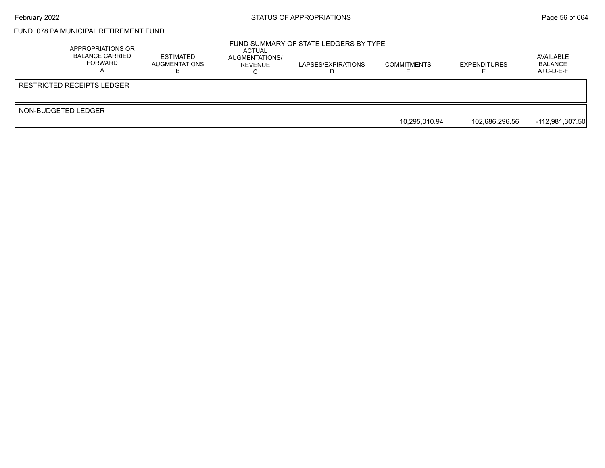# FUND 078 PA MUNICIPAL RETIREMENT FUND

|                     | APPROPRIATIONS OR<br><b>BALANCE CARRIED</b><br>FORWARD | ESTIMATED<br>AUGMENTATIONS | ACTUAL<br>AUGMENTATIONS/<br>REVENUE | FUND SUMMARY OF STATE LEDGERS BY TYPE<br>LAPSES/EXPIRATIONS | <b>COMMITMENTS</b> | <b>EXPENDITURES</b> | AVAILABLE<br>BALANCE<br>$A+C-D-E-F$ |
|---------------------|--------------------------------------------------------|----------------------------|-------------------------------------|-------------------------------------------------------------|--------------------|---------------------|-------------------------------------|
|                     | RESTRICTED RECEIPTS LEDGER                             |                            |                                     |                                                             |                    |                     |                                     |
| NON-BUDGETED LEDGER |                                                        |                            |                                     |                                                             |                    |                     |                                     |
|                     |                                                        |                            |                                     |                                                             | 10.295.010.94      | 102.686.296.56      | $-112,981,307.50$                   |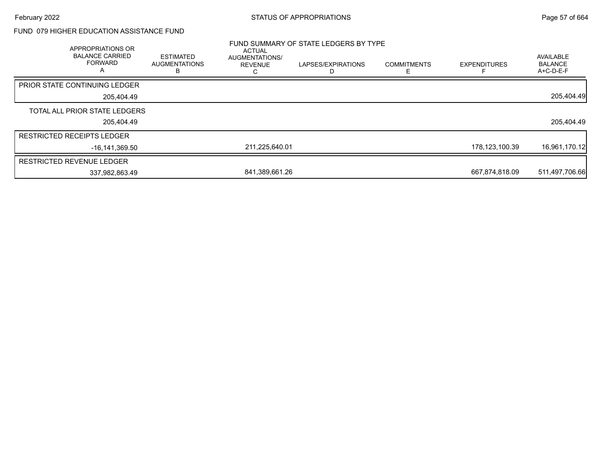### FUND 079 HIGHER EDUCATION ASSISTANCE FUND

| APPROPRIATIONS OR<br><b>BALANCE CARRIED</b><br><b>FORWARD</b><br>$\overline{A}$ | <b>ESTIMATED</b><br><b>AUGMENTATIONS</b> | ACTUAL<br>AUGMENTATIONS/<br><b>REVENUE</b> | FUND SUMMARY OF STATE LEDGERS BY TYPE<br>LAPSES/EXPIRATIONS | <b>COMMITMENTS</b> | <b>EXPENDITURES</b> | AVAILABLE<br><b>BALANCE</b><br>A+C-D-E-F |
|---------------------------------------------------------------------------------|------------------------------------------|--------------------------------------------|-------------------------------------------------------------|--------------------|---------------------|------------------------------------------|
| <b>PRIOR STATE CONTINUING LEDGER</b>                                            |                                          |                                            |                                                             |                    |                     |                                          |
| 205,404.49                                                                      |                                          |                                            |                                                             |                    |                     | 205,404.49                               |
| TOTAL ALL PRIOR STATE LEDGERS                                                   |                                          |                                            |                                                             |                    |                     |                                          |
| 205.404.49                                                                      |                                          |                                            |                                                             |                    |                     | 205,404.49                               |
| <b>RESTRICTED RECEIPTS LEDGER</b>                                               |                                          |                                            |                                                             |                    |                     |                                          |
| -16,141,369.50                                                                  |                                          | 211,225,640.01                             |                                                             |                    | 178,123,100.39      | 16,961,170.12                            |
| <b>RESTRICTED REVENUE LEDGER</b>                                                |                                          |                                            |                                                             |                    |                     |                                          |
| 337,982,863.49                                                                  |                                          | 841,389,661.26                             |                                                             |                    | 667,874,818.09      | 511,497,706.66                           |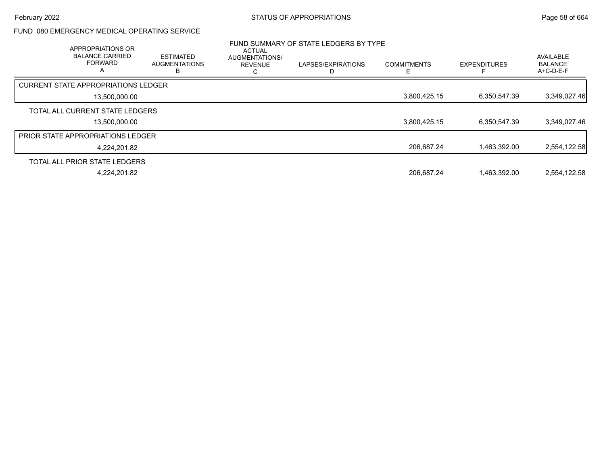### FUND 080 EMERGENCY MEDICAL OPERATING SERVICE

| APPROPRIATIONS OR<br><b>BALANCE CARRIED</b><br><b>FORWARD</b><br>А | <b>ESTIMATED</b><br><b>AUGMENTATIONS</b> | <b>ACTUAL</b><br><b>AUGMENTATIONS/</b><br><b>REVENUE</b> | FUND SUMMARY OF STATE LEDGERS BY TYPE<br>LAPSES/EXPIRATIONS | <b>COMMITMENTS</b> | <b>EXPENDITURES</b> | AVAILABLE<br><b>BALANCE</b><br>$A+C-D-E-F$ |
|--------------------------------------------------------------------|------------------------------------------|----------------------------------------------------------|-------------------------------------------------------------|--------------------|---------------------|--------------------------------------------|
| <b>CURRENT STATE APPROPRIATIONS LEDGER</b>                         |                                          |                                                          |                                                             |                    |                     |                                            |
| 13.500.000.00                                                      |                                          |                                                          |                                                             | 3,800,425.15       | 6,350,547.39        | 3,349,027.46                               |
| TOTAL ALL CURRENT STATE LEDGERS                                    |                                          |                                                          |                                                             |                    |                     |                                            |
| 13.500.000.00                                                      |                                          |                                                          |                                                             | 3,800,425.15       | 6,350,547.39        | 3,349,027.46                               |
| <b>PRIOR STATE APPROPRIATIONS LEDGER</b>                           |                                          |                                                          |                                                             |                    |                     |                                            |
| 4.224.201.82                                                       |                                          |                                                          |                                                             | 206.687.24         | 1.463.392.00        | 2,554,122.58                               |
| TOTAL ALL PRIOR STATE LEDGERS                                      |                                          |                                                          |                                                             |                    |                     |                                            |
| 4.224.201.82                                                       |                                          |                                                          |                                                             | 206.687.24         | 1.463.392.00        | 2.554.122.58                               |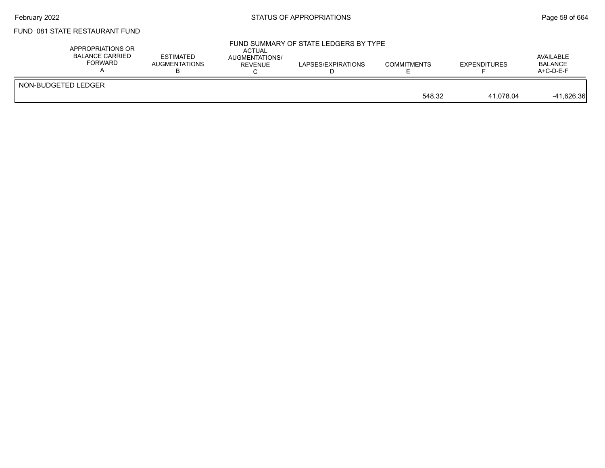## February 2022 **Example 2022** Page 59 of 664

# FUND 081 STATE RESTAURANT FUND

| APPROPRIATIONS OR<br>BALANCE CARRIED<br>FORWARD | <b>ESTIMATED</b><br>AUGMENTATIONS | ACTUAL<br>AUGMENTATIONS/<br>REVENUE | FUND SUMMARY OF STATE LEDGERS BY TYPE<br>LAPSES/EXPIRATIONS | <b>COMMITMENTS</b> | <b>EXPENDITURES</b> | AVAILABLE<br><b>BALANCE</b><br>$A+C-D-E-F$ |
|-------------------------------------------------|-----------------------------------|-------------------------------------|-------------------------------------------------------------|--------------------|---------------------|--------------------------------------------|
| NON-BUDGETED LEDGER                             |                                   |                                     |                                                             | 548.32             | 41.078.04           | $-41,626.36$                               |
|                                                 |                                   |                                     |                                                             |                    |                     |                                            |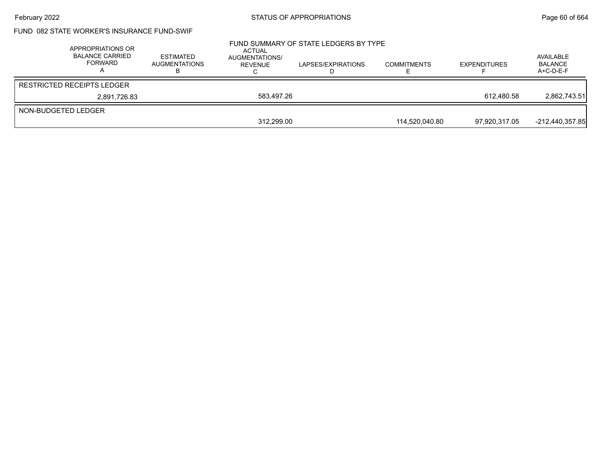## February 2022 **Example 2018** STATUS OF APPROPRIATIONS **Page 60 of 664**

# FUND 082 STATE WORKER'S INSURANCE FUND-SWIF

|                     | APPROPRIATIONS OR<br><b>BALANCE CARRIED</b><br>FORWARD | <b>ESTIMATED</b><br><b>AUGMENTATIONS</b> | ACTUAL<br>AUGMENTATIONS/<br>REVENUE | FUND SUMMARY OF STATE LEDGERS BY TYPE<br>LAPSES/EXPIRATIONS | <b>COMMITMENTS</b> | <b>EXPENDITURES</b> | AVAILABLE<br><b>BALANCE</b><br>$A+C-D-E-F$ |
|---------------------|--------------------------------------------------------|------------------------------------------|-------------------------------------|-------------------------------------------------------------|--------------------|---------------------|--------------------------------------------|
|                     | <b>RESTRICTED RECEIPTS LEDGER</b>                      |                                          |                                     |                                                             |                    |                     |                                            |
|                     | 2,891,726.83                                           |                                          | 583.497.26                          |                                                             |                    | 612.480.58          | 2.862.743.51                               |
| NON-BUDGETED LEDGER |                                                        |                                          |                                     |                                                             |                    |                     |                                            |
|                     |                                                        |                                          | 312,299.00                          |                                                             | 114.520.040.80     | 97,920,317.05       | $-212,440,357.85$                          |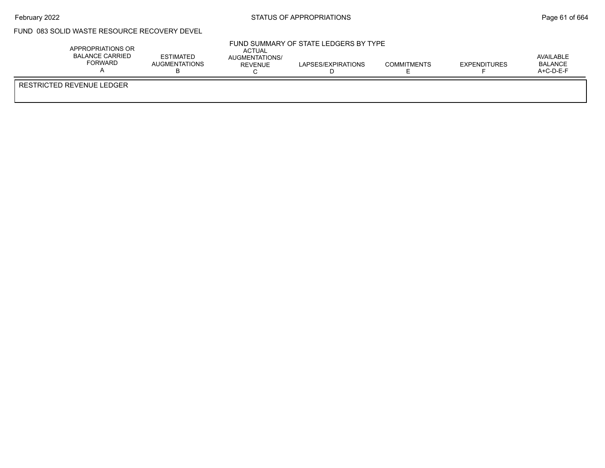### FUND 083 SOLID WASTE RESOURCE RECOVERY DEVEL

|                           | APPROPRIATIONS OR<br><b>BALANCE CARRIED</b><br>FORWARD | <b>ESTIMATED</b><br><b>AUGMENTATIONS</b> | ACTUAL<br>AUGMENTATIONS/<br>REVENUE | FUND SUMMARY OF STATE LEDGERS BY TYPE<br>LAPSES/EXPIRATIONS | <b>COMMITMENTS</b> | <b>EXPENDITURES</b> | AVAILABLE<br>BALANCE<br>$A+C-D-E-F$ |
|---------------------------|--------------------------------------------------------|------------------------------------------|-------------------------------------|-------------------------------------------------------------|--------------------|---------------------|-------------------------------------|
| RESTRICTED REVENUE LEDGER |                                                        |                                          |                                     |                                                             |                    |                     |                                     |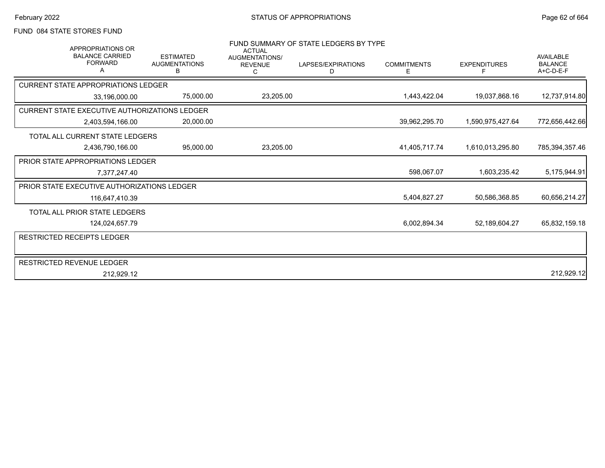### FUND 084 STATE STORES FUND

| <b>APPROPRIATIONS OR</b><br><b>BALANCE CARRIED</b><br><b>FORWARD</b><br>A | <b>ESTIMATED</b><br><b>AUGMENTATIONS</b><br>в | <b>ACTUAL</b><br><b>AUGMENTATIONS/</b><br><b>REVENUE</b><br>C | FUND SUMMARY OF STATE LEDGERS BY TYPE<br>LAPSES/EXPIRATIONS<br>D | <b>COMMITMENTS</b><br>Е | <b>EXPENDITURES</b> | <b>AVAILABLE</b><br><b>BALANCE</b><br>$A+C-D-E-F$ |
|---------------------------------------------------------------------------|-----------------------------------------------|---------------------------------------------------------------|------------------------------------------------------------------|-------------------------|---------------------|---------------------------------------------------|
| <b>CURRENT STATE APPROPRIATIONS LEDGER</b>                                |                                               |                                                               |                                                                  |                         |                     |                                                   |
| 33,196,000.00                                                             | 75,000.00                                     | 23,205.00                                                     |                                                                  | 1,443,422.04            | 19,037,868.16       | 12,737,914.80                                     |
| CURRENT STATE EXECUTIVE AUTHORIZATIONS LEDGER                             |                                               |                                                               |                                                                  |                         |                     |                                                   |
| 2,403,594,166.00                                                          | 20,000.00                                     |                                                               |                                                                  | 39,962,295.70           | 1,590,975,427.64    | 772,656,442.66                                    |
| TOTAL ALL CURRENT STATE LEDGERS                                           |                                               |                                                               |                                                                  |                         |                     |                                                   |
| 2,436,790,166.00                                                          | 95,000.00                                     | 23,205.00                                                     |                                                                  | 41,405,717.74           | 1,610,013,295.80    | 785,394,357.46                                    |
| <b>PRIOR STATE APPROPRIATIONS LEDGER</b>                                  |                                               |                                                               |                                                                  |                         |                     |                                                   |
| 7,377,247.40                                                              |                                               |                                                               |                                                                  | 598,067.07              | 1,603,235.42        | 5,175,944.91                                      |
| PRIOR STATE EXECUTIVE AUTHORIZATIONS LEDGER                               |                                               |                                                               |                                                                  |                         |                     |                                                   |
| 116,647,410.39                                                            |                                               |                                                               |                                                                  | 5,404,827.27            | 50,586,368.85       | 60,656,214.27                                     |
| <b>TOTAL ALL PRIOR STATE LEDGERS</b>                                      |                                               |                                                               |                                                                  |                         |                     |                                                   |
| 124,024,657.79                                                            |                                               |                                                               |                                                                  | 6,002,894.34            | 52,189,604.27       | 65,832,159.18                                     |
| <b>RESTRICTED RECEIPTS LEDGER</b>                                         |                                               |                                                               |                                                                  |                         |                     |                                                   |
|                                                                           |                                               |                                                               |                                                                  |                         |                     |                                                   |
| RESTRICTED REVENUE LEDGER                                                 |                                               |                                                               |                                                                  |                         |                     |                                                   |
| 212,929.12                                                                |                                               |                                                               |                                                                  |                         |                     | 212,929.12                                        |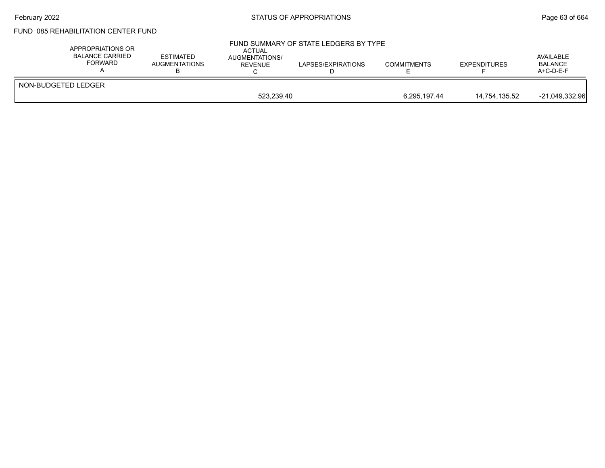## February 2022 **Example 2022** Page 63 of 664

# FUND 085 REHABILITATION CENTER FUND

| APPROPRIATIONS OR<br><b>BALANCE CARRIED</b><br><b>FORWARD</b> | <b>ESTIMATED</b><br><b>AUGMENTATIONS</b> | <b>ACTUAL</b><br>AUGMENTATIONS/<br><b>REVENUE</b> | FUND SUMMARY OF STATE LEDGERS BY TYPE<br>LAPSES/EXPIRATIONS | <b>COMMITMENTS</b> | <b>EXPENDITURES</b> | AVAILABLE<br><b>BALANCE</b><br>$A+C-D-E-F$ |
|---------------------------------------------------------------|------------------------------------------|---------------------------------------------------|-------------------------------------------------------------|--------------------|---------------------|--------------------------------------------|
| NON-BUDGETED LEDGER                                           |                                          |                                                   |                                                             |                    |                     |                                            |
|                                                               | 523.239.40                               |                                                   |                                                             | 6,295,197.44       | 14,754,135.52       | $-21.049.332.96$                           |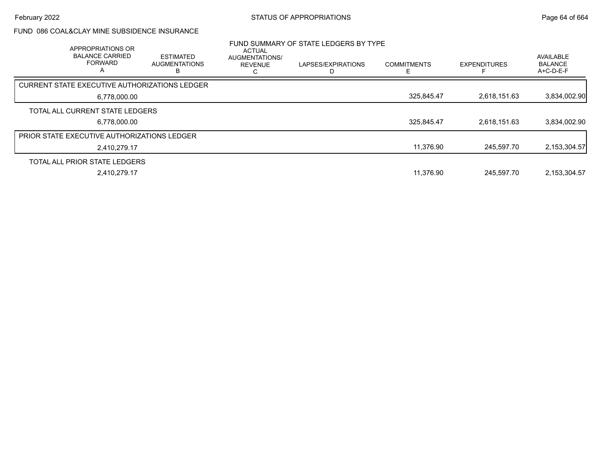## FUND 086 COAL&CLAY MINE SUBSIDENCE INSURANCE

| <b>APPROPRIATIONS OR</b><br><b>BALANCE CARRIED</b><br><b>FORWARD</b><br>А | <b>ESTIMATED</b><br><b>AUGMENTATIONS</b> | <b>ACTUAL</b><br>AUGMENTATIONS/<br><b>REVENUE</b> | FUND SUMMARY OF STATE LEDGERS BY TYPE<br>LAPSES/EXPIRATIONS | <b>COMMITMENTS</b> | <b>EXPENDITURES</b> | <b>AVAILABLE</b><br><b>BALANCE</b><br>$A+C-D-E-F$ |
|---------------------------------------------------------------------------|------------------------------------------|---------------------------------------------------|-------------------------------------------------------------|--------------------|---------------------|---------------------------------------------------|
| CURRENT STATE EXECUTIVE AUTHORIZATIONS LEDGER                             |                                          |                                                   |                                                             |                    |                     |                                                   |
| 6,778,000.00                                                              |                                          |                                                   |                                                             | 325,845.47         | 2.618.151.63        | 3,834,002.90                                      |
| TOTAL ALL CURRENT STATE LEDGERS                                           |                                          |                                                   |                                                             |                    |                     |                                                   |
| 6.778.000.00                                                              |                                          |                                                   |                                                             | 325.845.47         | 2.618.151.63        | 3,834,002.90                                      |
| PRIOR STATE EXECUTIVE AUTHORIZATIONS LEDGER                               |                                          |                                                   |                                                             |                    |                     |                                                   |
| 2.410.279.17                                                              |                                          |                                                   |                                                             | 11,376.90          | 245.597.70          | 2,153,304.57                                      |
| TOTAL ALL PRIOR STATE LEDGERS                                             |                                          |                                                   |                                                             |                    |                     |                                                   |
| 2.410.279.17                                                              |                                          |                                                   |                                                             | 11.376.90          | 245.597.70          | 2,153,304.57                                      |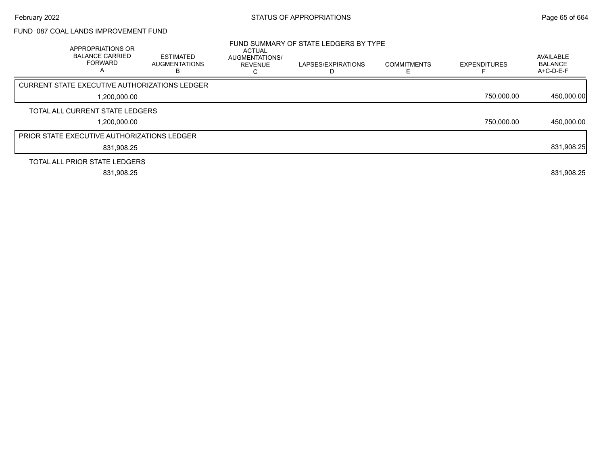# FUND 087 COAL LANDS IMPROVEMENT FUND

| APPROPRIATIONS OR<br><b>BALANCE CARRIED</b><br><b>FORWARD</b><br>$\mathsf{\Lambda}$ | <b>ESTIMATED</b><br><b>AUGMENTATIONS</b><br>в | <b>ACTUAL</b><br>AUGMENTATIONS/<br><b>REVENUE</b> | FUND SUMMARY OF STATE LEDGERS BY TYPE<br>LAPSES/EXPIRATIONS | <b>COMMITMENTS</b> | <b>EXPENDITURES</b> | AVAILABLE<br><b>BALANCE</b><br>$A+C-D-E-F$ |
|-------------------------------------------------------------------------------------|-----------------------------------------------|---------------------------------------------------|-------------------------------------------------------------|--------------------|---------------------|--------------------------------------------|
| CURRENT STATE EXECUTIVE AUTHORIZATIONS LEDGER                                       |                                               |                                                   |                                                             |                    |                     |                                            |
| 1,200,000.00                                                                        |                                               |                                                   |                                                             |                    | 750,000.00          | 450,000.00                                 |
| TOTAL ALL CURRENT STATE LEDGERS                                                     |                                               |                                                   |                                                             |                    |                     |                                            |
| ,200,000.00                                                                         |                                               |                                                   |                                                             |                    | 750,000.00          | 450,000.00                                 |
| PRIOR STATE EXECUTIVE AUTHORIZATIONS LEDGER                                         |                                               |                                                   |                                                             |                    |                     |                                            |
| 831,908.25                                                                          |                                               |                                                   |                                                             |                    |                     | 831,908.25                                 |
| TOTAL ALL PRIOR STATE LEDGERS                                                       |                                               |                                                   |                                                             |                    |                     |                                            |
| 831,908.25                                                                          |                                               |                                                   |                                                             |                    |                     | 831,908.25                                 |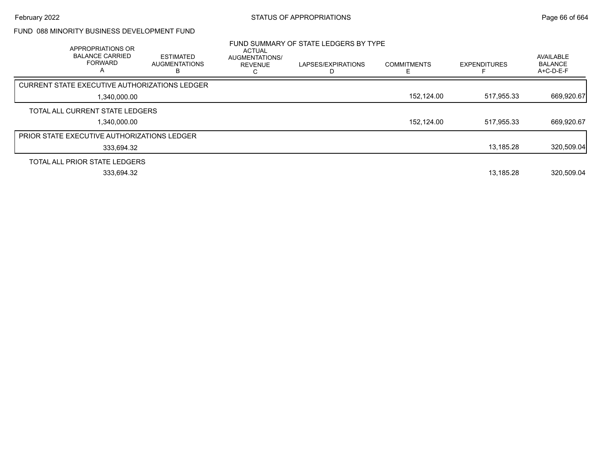### FUND 088 MINORITY BUSINESS DEVELOPMENT FUND

| APPROPRIATIONS OR<br><b>BALANCE CARRIED</b><br><b>FORWARD</b><br>А | <b>ESTIMATED</b><br><b>AUGMENTATIONS</b> | ACTUAL<br>AUGMENTATIONS/<br><b>REVENUE</b> | FUND SUMMARY OF STATE LEDGERS BY TYPE<br>LAPSES/EXPIRATIONS | <b>COMMITMENTS</b> | <b>EXPENDITURES</b> | AVAILABLE<br><b>BALANCE</b><br>A+C-D-E-F |
|--------------------------------------------------------------------|------------------------------------------|--------------------------------------------|-------------------------------------------------------------|--------------------|---------------------|------------------------------------------|
| CURRENT STATE EXECUTIVE AUTHORIZATIONS LEDGER                      |                                          |                                            |                                                             |                    |                     |                                          |
| 1,340,000.00                                                       |                                          |                                            |                                                             | 152,124.00         | 517,955.33          | 669,920.67                               |
| TOTAL ALL CURRENT STATE LEDGERS                                    |                                          |                                            |                                                             |                    |                     |                                          |
| 1,340,000.00                                                       |                                          |                                            |                                                             | 152,124.00         | 517,955.33          | 669,920.67                               |
| PRIOR STATE EXECUTIVE AUTHORIZATIONS LEDGER                        |                                          |                                            |                                                             |                    |                     |                                          |
| 333,694.32                                                         |                                          |                                            |                                                             |                    | 13,185.28           | 320,509.04                               |
| TOTAL ALL PRIOR STATE LEDGERS                                      |                                          |                                            |                                                             |                    |                     |                                          |
| 333,694.32                                                         |                                          |                                            |                                                             |                    | 13,185.28           | 320,509.04                               |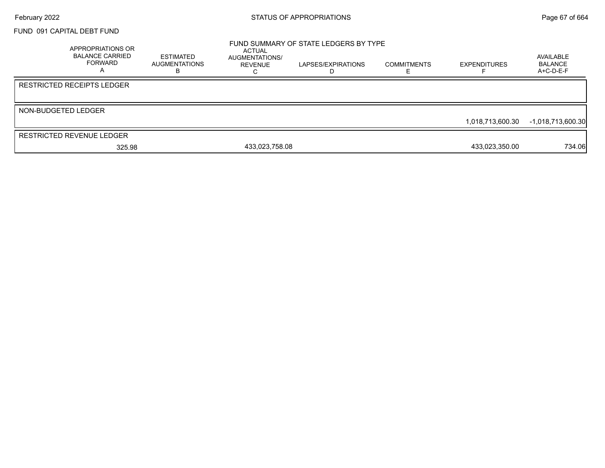#### FUND 091 CAPITAL DEBT FUND

|                     | <b>APPROPRIATIONS OR</b><br><b>BALANCE CARRIED</b><br>FORWARD | ESTIMATED<br>AUGMENTATIONS<br>ĸ | ACTUAL<br>AUGMENTATIONS/<br>REVENUE | FUND SUMMARY OF STATE LEDGERS BY TYPE<br>LAPSES/EXPIRATIONS<br>D | <b>COMMITMENTS</b> | <b>EXPENDITURES</b> | AVAILABLE<br><b>BALANCE</b><br>$A+C-D-E-F$ |
|---------------------|---------------------------------------------------------------|---------------------------------|-------------------------------------|------------------------------------------------------------------|--------------------|---------------------|--------------------------------------------|
|                     | <b>RESTRICTED RECEIPTS LEDGER</b>                             |                                 |                                     |                                                                  |                    |                     |                                            |
| NON-BUDGETED LEDGER |                                                               |                                 |                                     |                                                                  |                    | 1,018,713,600.30    | $-1,018,713,600.30$                        |
|                     | <b>RESTRICTED REVENUE LEDGER</b>                              |                                 |                                     |                                                                  |                    |                     |                                            |
|                     | 325.98                                                        |                                 | 433,023,758.08                      |                                                                  |                    | 433,023,350.00      | 734.06                                     |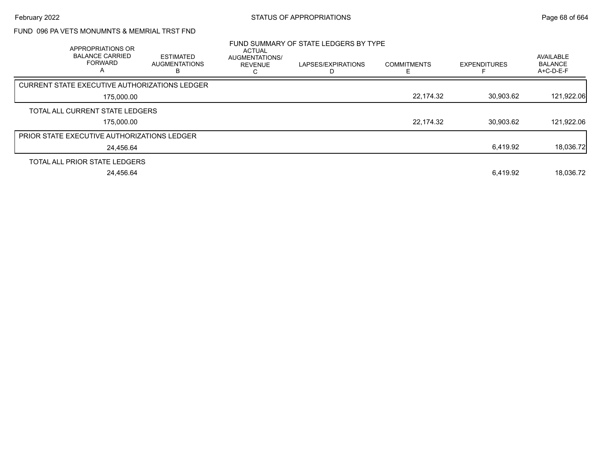# FUND 096 PA VETS MONUMNTS & MEMRIAL TRST FND

| APPROPRIATIONS OR<br><b>BALANCE CARRIED</b><br><b>FORWARD</b><br>A | <b>ESTIMATED</b><br><b>AUGMENTATIONS</b><br>в | <b>ACTUAL</b><br><b>AUGMENTATIONS/</b><br><b>REVENUE</b> | FUND SUMMARY OF STATE LEDGERS BY TYPE<br>LAPSES/EXPIRATIONS | <b>COMMITMENTS</b> | <b>EXPENDITURES</b> | AVAILABLE<br><b>BALANCE</b><br>A+C-D-E-F |
|--------------------------------------------------------------------|-----------------------------------------------|----------------------------------------------------------|-------------------------------------------------------------|--------------------|---------------------|------------------------------------------|
| CURRENT STATE EXECUTIVE AUTHORIZATIONS LEDGER                      |                                               |                                                          |                                                             |                    |                     |                                          |
| 175,000.00                                                         |                                               |                                                          |                                                             | 22,174.32          | 30,903.62           | 121,922.06                               |
| TOTAL ALL CURRENT STATE LEDGERS                                    |                                               |                                                          |                                                             |                    |                     |                                          |
| 175,000.00                                                         |                                               |                                                          |                                                             | 22,174.32          | 30.903.62           | 121,922.06                               |
| <b>PRIOR STATE EXECUTIVE AUTHORIZATIONS LEDGER</b>                 |                                               |                                                          |                                                             |                    |                     |                                          |
| 24.456.64                                                          |                                               |                                                          |                                                             |                    | 6,419.92            | 18,036.72                                |
| TOTAL ALL PRIOR STATE LEDGERS                                      |                                               |                                                          |                                                             |                    |                     |                                          |
| 24.456.64                                                          |                                               |                                                          |                                                             |                    | 6.419.92            | 18.036.72                                |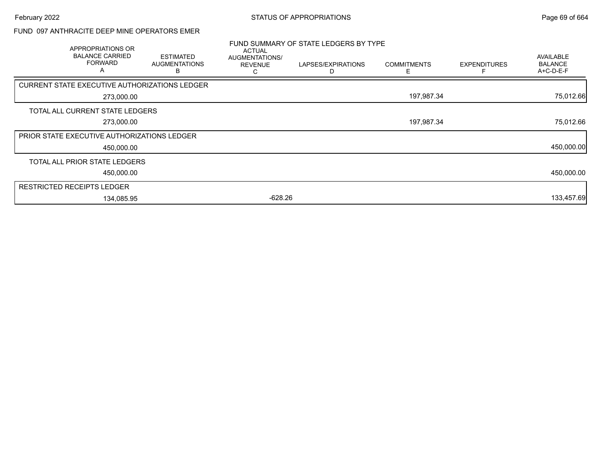### FUND 097 ANTHRACITE DEEP MINE OPERATORS EMER

| APPROPRIATIONS OR<br><b>BALANCE CARRIED</b><br><b>FORWARD</b><br>A | <b>ESTIMATED</b><br><b>AUGMENTATIONS</b> | <b>ACTUAL</b><br>AUGMENTATIONS/<br><b>REVENUE</b> | FUND SUMMARY OF STATE LEDGERS BY TYPE<br>LAPSES/EXPIRATIONS | <b>COMMITMENTS</b><br>⊢ | <b>EXPENDITURES</b> | AVAILABLE<br><b>BALANCE</b><br>A+C-D-E-F |
|--------------------------------------------------------------------|------------------------------------------|---------------------------------------------------|-------------------------------------------------------------|-------------------------|---------------------|------------------------------------------|
| CURRENT STATE EXECUTIVE AUTHORIZATIONS LEDGER                      |                                          |                                                   |                                                             |                         |                     |                                          |
| 273,000.00                                                         |                                          |                                                   |                                                             | 197,987.34              |                     | 75,012.66                                |
| TOTAL ALL CURRENT STATE LEDGERS                                    |                                          |                                                   |                                                             |                         |                     |                                          |
| 273,000.00                                                         |                                          |                                                   |                                                             | 197,987.34              |                     | 75,012.66                                |
| PRIOR STATE EXECUTIVE AUTHORIZATIONS LEDGER                        |                                          |                                                   |                                                             |                         |                     |                                          |
| 450,000.00                                                         |                                          |                                                   |                                                             |                         |                     | 450,000.00                               |
| TOTAL ALL PRIOR STATE LEDGERS                                      |                                          |                                                   |                                                             |                         |                     |                                          |
| 450,000.00                                                         |                                          |                                                   |                                                             |                         |                     | 450,000.00                               |
| <b>RESTRICTED RECEIPTS LEDGER</b>                                  |                                          |                                                   |                                                             |                         |                     |                                          |
| 134,085.95                                                         |                                          | $-628.26$                                         |                                                             |                         |                     | 133,457.69                               |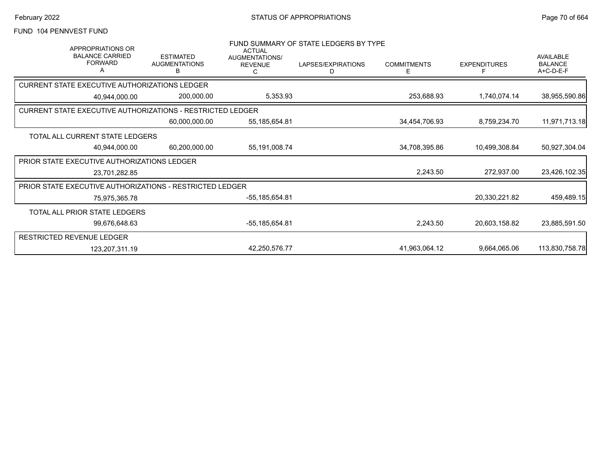### FUND 104 PENNVEST FUND

| <b>APPROPRIATIONS OR</b><br><b>BALANCE CARRIED</b><br><b>FORWARD</b> | <b>ESTIMATED</b><br><b>AUGMENTATIONS</b><br>B | <b>ACTUAL</b><br>AUGMENTATIONS/<br><b>REVENUE</b> | FUND SUMMARY OF STATE LEDGERS BY TYPE<br>LAPSES/EXPIRATIONS<br>D | <b>COMMITMENTS</b><br>Ε | <b>EXPENDITURES</b><br>F | <b>AVAILABLE</b><br><b>BALANCE</b><br>A+C-D-E-F |
|----------------------------------------------------------------------|-----------------------------------------------|---------------------------------------------------|------------------------------------------------------------------|-------------------------|--------------------------|-------------------------------------------------|
| <b>CURRENT STATE EXECUTIVE AUTHORIZATIONS LEDGER</b>                 |                                               |                                                   |                                                                  |                         |                          |                                                 |
| 40.944.000.00                                                        | 200,000.00                                    | 5,353.93                                          |                                                                  | 253,688.93              | 1,740,074.14             | 38,955,590.86                                   |
| <b>CURRENT STATE EXECUTIVE AUTHORIZATIONS - RESTRICTED LEDGER</b>    |                                               |                                                   |                                                                  |                         |                          |                                                 |
|                                                                      | 60,000,000.00                                 | 55, 185, 654.81                                   |                                                                  | 34,454,706.93           | 8,759,234.70             | 11,971,713.18                                   |
| TOTAL ALL CURRENT STATE LEDGERS                                      |                                               |                                                   |                                                                  |                         |                          |                                                 |
| 40,944,000.00                                                        | 60,200,000.00                                 | 55, 191, 008. 74                                  |                                                                  | 34,708,395.86           | 10,499,308.84            | 50,927,304.04                                   |
| <b>PRIOR STATE EXECUTIVE AUTHORIZATIONS LEDGER</b>                   |                                               |                                                   |                                                                  |                         |                          |                                                 |
| 23,701,282.85                                                        |                                               |                                                   |                                                                  | 2,243.50                | 272,937.00               | 23,426,102.35                                   |
| <b>PRIOR STATE EXECUTIVE AUTHORIZATIONS - RESTRICTED LEDGER</b>      |                                               |                                                   |                                                                  |                         |                          |                                                 |
| 75,975,365.78                                                        |                                               | $-55, 185, 654.81$                                |                                                                  |                         | 20,330,221.82            | 459,489.15                                      |
| TOTAL ALL PRIOR STATE LEDGERS                                        |                                               |                                                   |                                                                  |                         |                          |                                                 |
| 99,676,648.63                                                        |                                               | -55,185,654.81                                    |                                                                  | 2,243.50                | 20,603,158.82            | 23,885,591.50                                   |
| <b>RESTRICTED REVENUE LEDGER</b>                                     |                                               |                                                   |                                                                  |                         |                          |                                                 |
| 123,207,311.19                                                       |                                               | 42,250,576.77                                     |                                                                  | 41,963,064.12           | 9,664,065.06             | 113,830,758.78                                  |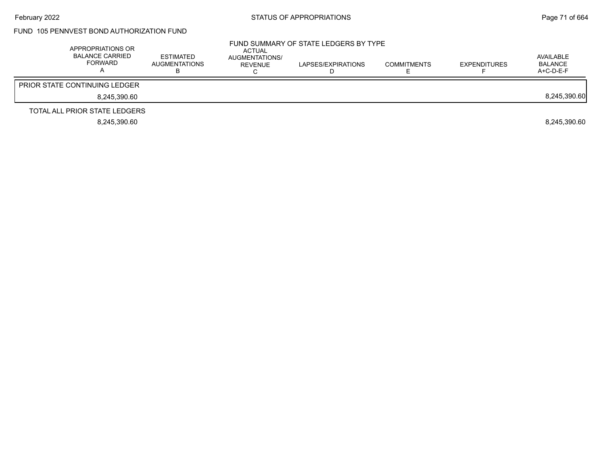### FUND 105 PENNVEST BOND AUTHORIZATION FUND

| APPROPRIATIONS OR<br><b>BALANCE CARRIED</b><br>FORWARD | <b>ESTIMATED</b><br>AUGMENTATIONS<br>D | ACTUAL<br>AUGMENTATIONS/<br>REVENUE | FUND SUMMARY OF STATE LEDGERS BY TYPE<br>LAPSES/EXPIRATIONS | <b>COMMITMENTS</b> | <b>EXPENDITURES</b> | AVAILABLE<br><b>BALANCE</b><br>A+C-D-E-F |
|--------------------------------------------------------|----------------------------------------|-------------------------------------|-------------------------------------------------------------|--------------------|---------------------|------------------------------------------|
| <b>PRIOR STATE CONTINUING LEDGER</b>                   |                                        |                                     |                                                             |                    |                     |                                          |
| 8.245.390.60                                           |                                        |                                     |                                                             |                    |                     | 8,245,390.60                             |
| TOTAL ALL PRIOR STATE LEDGERS                          |                                        |                                     |                                                             |                    |                     |                                          |
| 8.245.390.60                                           |                                        |                                     |                                                             |                    |                     | 8.245.390.60                             |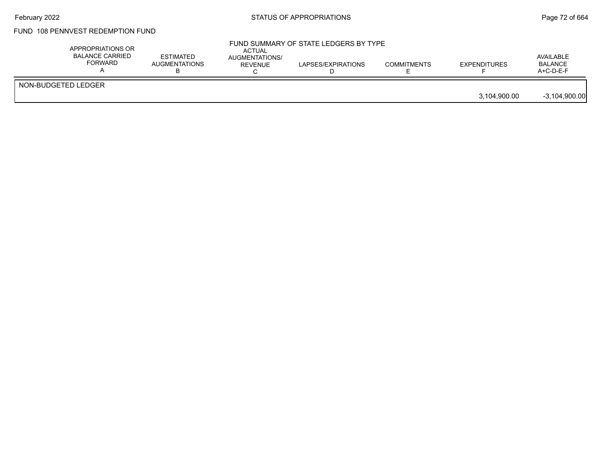# FUND 108 PENNVEST REDEMPTION FUND

|                     | APPROPRIATIONS OR<br><b>BALANCE CARRIED</b><br>FORWARD | ESTIMATED<br><b>AUGMENTATIONS</b> | <b>ACTUAL</b><br>AUGMENTATIONS/<br>REVENUE | FUND SUMMARY OF STATE LEDGERS BY TYPE<br>LAPSES/EXPIRATIONS | <b>COMMITMENTS</b> | <b>EXPENDITURES</b> | AVAILABLE<br><b>BALANCE</b><br>$A+C-D-E-F$ |
|---------------------|--------------------------------------------------------|-----------------------------------|--------------------------------------------|-------------------------------------------------------------|--------------------|---------------------|--------------------------------------------|
| NON-BUDGETED LEDGER |                                                        |                                   |                                            |                                                             |                    | 3,104,900.00        | $-3,104,900.00$                            |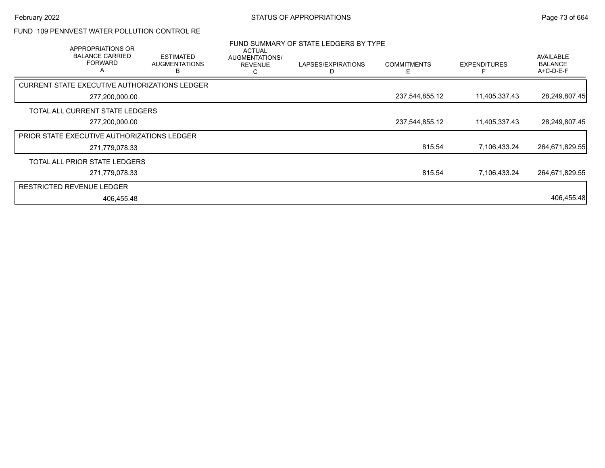### FUND 109 PENNVEST WATER POLLUTION CONTROL RE

| APPROPRIATIONS OR<br><b>BALANCE CARRIED</b><br><b>FORWARD</b> | <b>ESTIMATED</b><br><b>AUGMENTATIONS</b><br>В | <b>ACTUAL</b><br>AUGMENTATIONS/<br><b>REVENUE</b><br>C | FUND SUMMARY OF STATE LEDGERS BY TYPE<br>LAPSES/EXPIRATIONS<br>D | <b>COMMITMENTS</b> | <b>EXPENDITURES</b> | <b>AVAILABLE</b><br><b>BALANCE</b><br>A+C-D-E-F |
|---------------------------------------------------------------|-----------------------------------------------|--------------------------------------------------------|------------------------------------------------------------------|--------------------|---------------------|-------------------------------------------------|
| CURRENT STATE EXECUTIVE AUTHORIZATIONS LEDGER                 |                                               |                                                        |                                                                  |                    |                     |                                                 |
| 277,200,000.00                                                |                                               |                                                        |                                                                  | 237,544,855.12     | 11,405,337.43       | 28,249,807.45                                   |
| TOTAL ALL CURRENT STATE LEDGERS                               |                                               |                                                        |                                                                  |                    |                     |                                                 |
| 277,200,000.00                                                |                                               |                                                        |                                                                  | 237,544,855.12     | 11,405,337.43       | 28,249,807.45                                   |
| <b>PRIOR STATE EXECUTIVE AUTHORIZATIONS LEDGER</b>            |                                               |                                                        |                                                                  |                    |                     |                                                 |
| 271,779,078.33                                                |                                               |                                                        |                                                                  | 815.54             | 7,106,433.24        | 264,671,829.55                                  |
| TOTAL ALL PRIOR STATE LEDGERS                                 |                                               |                                                        |                                                                  |                    |                     |                                                 |
| 271,779,078.33                                                |                                               |                                                        |                                                                  | 815.54             | 7,106,433.24        | 264,671,829.55                                  |
| <b>RESTRICTED REVENUE LEDGER</b>                              |                                               |                                                        |                                                                  |                    |                     |                                                 |
| 406,455.48                                                    |                                               |                                                        |                                                                  |                    |                     | 406,455.48                                      |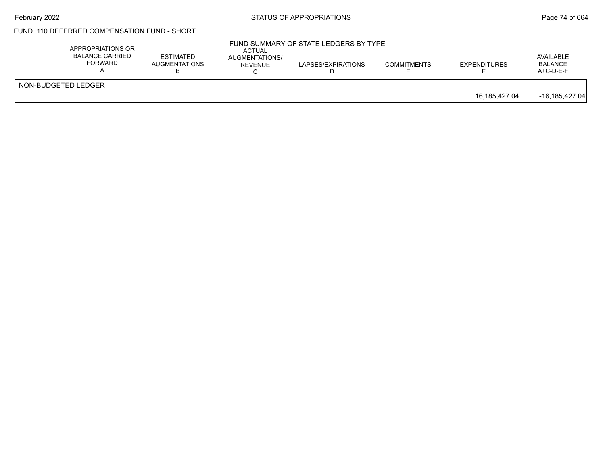# February 2022 **Example 2022** Page 74 of 664

### FUND 110 DEFERRED COMPENSATION FUND - SHORT

| NON-BUDGETED LEDGER |               |                    |
|---------------------|---------------|--------------------|
|                     | 16,185,427.04 | $-16, 185, 427.04$ |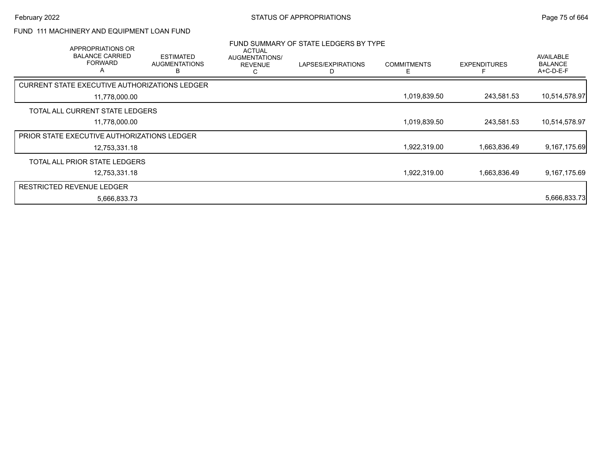# FUND 111 MACHINERY AND EQUIPMENT LOAN FUND

| APPROPRIATIONS OR<br><b>BALANCE CARRIED</b><br><b>FORWARD</b> | <b>ESTIMATED</b><br><b>AUGMENTATIONS</b><br>В | ACTUAL<br>AUGMENTATIONS/<br><b>REVENUE</b><br>C | FUND SUMMARY OF STATE LEDGERS BY TYPE<br>LAPSES/EXPIRATIONS<br>D | <b>COMMITMENTS</b><br>Е | <b>EXPENDITURES</b> | <b>AVAILABLE</b><br><b>BALANCE</b><br>$A+C-D-E-F$ |
|---------------------------------------------------------------|-----------------------------------------------|-------------------------------------------------|------------------------------------------------------------------|-------------------------|---------------------|---------------------------------------------------|
| CURRENT STATE EXECUTIVE AUTHORIZATIONS LEDGER                 |                                               |                                                 |                                                                  |                         |                     |                                                   |
| 11,778,000.00                                                 |                                               |                                                 |                                                                  | 1,019,839.50            | 243,581.53          | 10,514,578.97                                     |
| TOTAL ALL CURRENT STATE LEDGERS                               |                                               |                                                 |                                                                  |                         |                     |                                                   |
| 11,778,000.00                                                 |                                               |                                                 |                                                                  | 1,019,839.50            | 243,581.53          | 10,514,578.97                                     |
| <b>PRIOR STATE EXECUTIVE AUTHORIZATIONS LEDGER</b>            |                                               |                                                 |                                                                  |                         |                     |                                                   |
| 12,753,331.18                                                 |                                               |                                                 |                                                                  | 1,922,319.00            | 1,663,836.49        | 9,167,175.69                                      |
| TOTAL ALL PRIOR STATE LEDGERS                                 |                                               |                                                 |                                                                  |                         |                     |                                                   |
| 12.753.331.18                                                 |                                               |                                                 |                                                                  | 1.922.319.00            | 1.663.836.49        | 9.167.175.69                                      |
| <b>RESTRICTED REVENUE LEDGER</b>                              |                                               |                                                 |                                                                  |                         |                     |                                                   |
| 5,666,833.73                                                  |                                               |                                                 |                                                                  |                         |                     | 5,666,833.73                                      |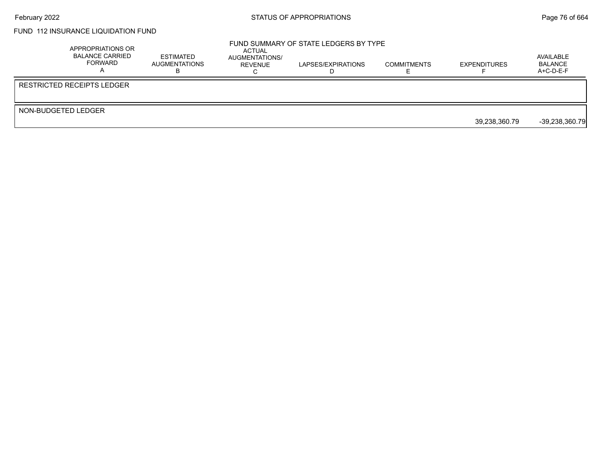### FUND 112 INSURANCE LIQUIDATION FUND

|                     | APPROPRIATIONS OR<br><b>BALANCE CARRIED</b><br>FORWARD | <b>ESTIMATED</b><br>AUGMENTATIONS | ACTUAL<br>AUGMENTATIONS/<br>REVENUE | FUND SUMMARY OF STATE LEDGERS BY TYPE<br>LAPSES/EXPIRATIONS | <b>COMMITMENTS</b> | <b>EXPENDITURES</b> | AVAILABLE<br>BALANCE<br>$A+C-D-E-F$ |
|---------------------|--------------------------------------------------------|-----------------------------------|-------------------------------------|-------------------------------------------------------------|--------------------|---------------------|-------------------------------------|
|                     | <b>RESTRICTED RECEIPTS LEDGER</b>                      |                                   |                                     |                                                             |                    |                     |                                     |
| NON-BUDGETED LEDGER |                                                        |                                   |                                     |                                                             |                    |                     |                                     |
|                     |                                                        |                                   |                                     |                                                             |                    | 39,238,360.79       | $-39,238,360.79$                    |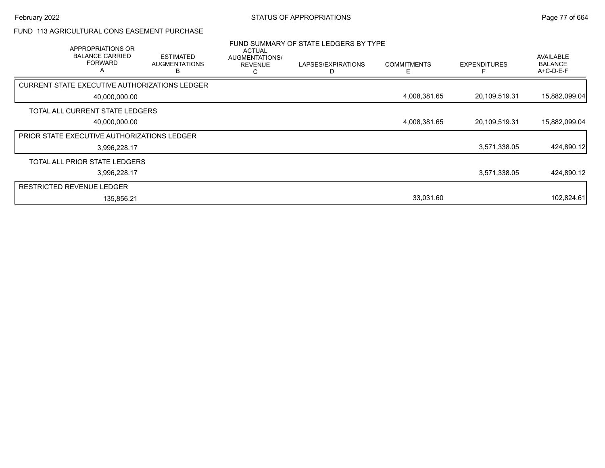### FUND 113 AGRICULTURAL CONS EASEMENT PURCHASE

| APPROPRIATIONS OR<br><b>BALANCE CARRIED</b><br><b>FORWARD</b><br>A | <b>ESTIMATED</b><br><b>AUGMENTATIONS</b><br>B | ACTUAL<br>AUGMENTATIONS/<br><b>REVENUE</b><br>С | FUND SUMMARY OF STATE LEDGERS BY TYPE<br>LAPSES/EXPIRATIONS | <b>COMMITMENTS</b><br>F | <b>EXPENDITURES</b> | <b>AVAILABLE</b><br><b>BALANCE</b><br>A+C-D-E-F |
|--------------------------------------------------------------------|-----------------------------------------------|-------------------------------------------------|-------------------------------------------------------------|-------------------------|---------------------|-------------------------------------------------|
| CURRENT STATE EXECUTIVE AUTHORIZATIONS LEDGER                      |                                               |                                                 |                                                             |                         |                     |                                                 |
| 40,000,000.00                                                      |                                               |                                                 |                                                             | 4,008,381.65            | 20,109,519.31       | 15,882,099.04                                   |
| TOTAL ALL CURRENT STATE LEDGERS                                    |                                               |                                                 |                                                             |                         |                     |                                                 |
| 40,000,000.00                                                      |                                               |                                                 |                                                             | 4,008,381.65            | 20,109,519.31       | 15,882,099.04                                   |
| PRIOR STATE EXECUTIVE AUTHORIZATIONS LEDGER                        |                                               |                                                 |                                                             |                         |                     |                                                 |
| 3,996,228.17                                                       |                                               |                                                 |                                                             |                         | 3,571,338.05        | 424,890.12                                      |
| TOTAL ALL PRIOR STATE LEDGERS                                      |                                               |                                                 |                                                             |                         |                     |                                                 |
| 3,996,228.17                                                       |                                               |                                                 |                                                             |                         | 3,571,338.05        | 424,890.12                                      |
| <b>RESTRICTED REVENUE LEDGER</b>                                   |                                               |                                                 |                                                             |                         |                     |                                                 |
| 135,856.21                                                         |                                               |                                                 |                                                             | 33,031.60               |                     | 102,824.61                                      |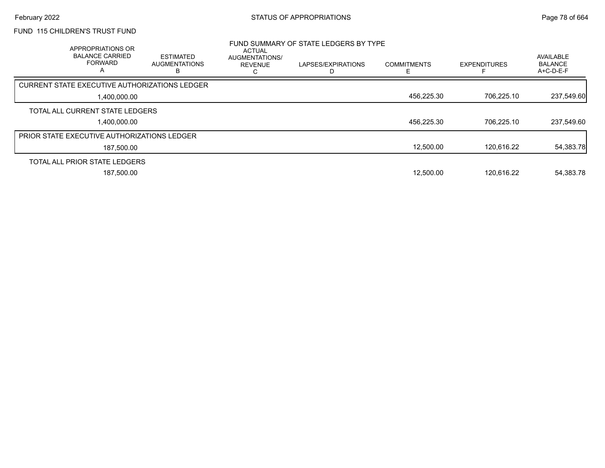## FUND 115 CHILDREN'S TRUST FUND

| APPROPRIATIONS OR<br><b>BALANCE CARRIED</b><br><b>FORWARD</b><br>$\overline{\mathsf{A}}$ | <b>ESTIMATED</b><br><b>AUGMENTATIONS</b> | ACTUAL<br>AUGMENTATIONS/<br><b>REVENUE</b> | FUND SUMMARY OF STATE LEDGERS BY TYPE<br>LAPSES/EXPIRATIONS | <b>COMMITMENTS</b> | <b>EXPENDITURES</b> | AVAILABLE<br><b>BALANCE</b><br>$A+C-D-E-F$ |
|------------------------------------------------------------------------------------------|------------------------------------------|--------------------------------------------|-------------------------------------------------------------|--------------------|---------------------|--------------------------------------------|
| CURRENT STATE EXECUTIVE AUTHORIZATIONS LEDGER                                            |                                          |                                            |                                                             |                    |                     |                                            |
| 1.400.000.00                                                                             |                                          |                                            |                                                             | 456,225.30         | 706.225.10          | 237,549.60                                 |
| TOTAL ALL CURRENT STATE LEDGERS                                                          |                                          |                                            |                                                             |                    |                     |                                            |
| 1.400.000.00                                                                             |                                          |                                            |                                                             | 456,225.30         | 706.225.10          | 237,549.60                                 |
| <b>PRIOR STATE EXECUTIVE AUTHORIZATIONS LEDGER</b>                                       |                                          |                                            |                                                             |                    |                     |                                            |
| 187,500.00                                                                               |                                          |                                            |                                                             | 12.500.00          | 120.616.22          | 54,383.78                                  |
| TOTAL ALL PRIOR STATE LEDGERS                                                            |                                          |                                            |                                                             |                    |                     |                                            |
| 187.500.00                                                                               |                                          |                                            |                                                             | 12.500.00          | 120.616.22          | 54,383.78                                  |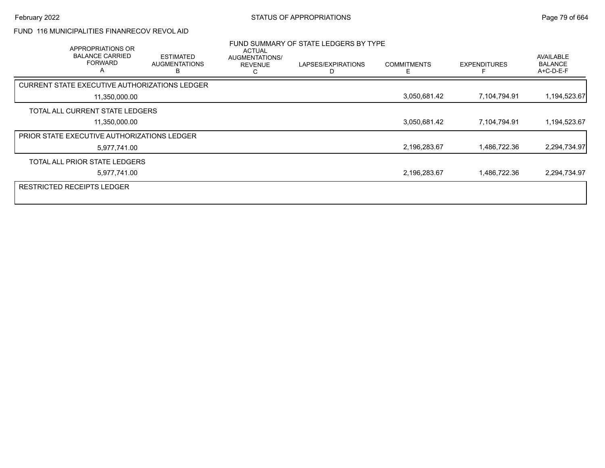### FUND 116 MUNICIPALITIES FINANRECOV REVOL AID

| APPROPRIATIONS OR<br><b>BALANCE CARRIED</b><br><b>FORWARD</b><br>A | <b>ESTIMATED</b><br><b>AUGMENTATIONS</b><br>R | <b>ACTUAL</b><br>AUGMENTATIONS/<br><b>REVENUE</b><br>С | FUND SUMMARY OF STATE LEDGERS BY TYPE<br>LAPSES/EXPIRATIONS | <b>COMMITMENTS</b><br>Е | <b>EXPENDITURES</b> | AVAILABLE<br><b>BALANCE</b><br>A+C-D-E-F |
|--------------------------------------------------------------------|-----------------------------------------------|--------------------------------------------------------|-------------------------------------------------------------|-------------------------|---------------------|------------------------------------------|
| CURRENT STATE EXECUTIVE AUTHORIZATIONS LEDGER                      |                                               |                                                        |                                                             |                         |                     |                                          |
| 11,350,000.00                                                      |                                               |                                                        |                                                             | 3,050,681.42            | 7,104,794.91        | 1,194,523.67                             |
| TOTAL ALL CURRENT STATE LEDGERS                                    |                                               |                                                        |                                                             |                         |                     |                                          |
| 11,350,000.00                                                      |                                               |                                                        |                                                             | 3,050,681.42            | 7,104,794.91        | 1,194,523.67                             |
| <b>PRIOR STATE EXECUTIVE AUTHORIZATIONS LEDGER</b>                 |                                               |                                                        |                                                             |                         |                     |                                          |
| 5,977,741.00                                                       |                                               |                                                        |                                                             | 2,196,283.67            | 1,486,722.36        | 2,294,734.97                             |
| TOTAL ALL PRIOR STATE LEDGERS                                      |                                               |                                                        |                                                             |                         |                     |                                          |
| 5,977,741.00                                                       |                                               |                                                        |                                                             | 2,196,283.67            | 1,486,722.36        | 2,294,734.97                             |
| <b>RESTRICTED RECEIPTS LEDGER</b>                                  |                                               |                                                        |                                                             |                         |                     |                                          |
|                                                                    |                                               |                                                        |                                                             |                         |                     |                                          |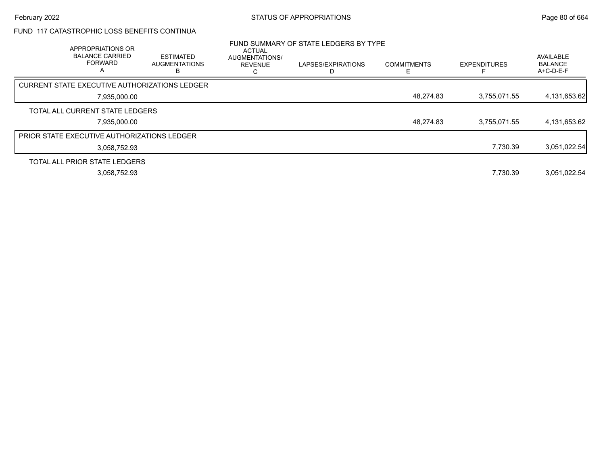### FUND 117 CATASTROPHIC LOSS BENEFITS CONTINUA

| APPROPRIATIONS OR<br><b>BALANCE CARRIED</b><br><b>FORWARD</b><br>А | <b>ESTIMATED</b><br><b>AUGMENTATIONS</b> | ACTUAL<br>AUGMENTATIONS/<br><b>REVENUE</b> | FUND SUMMARY OF STATE LEDGERS BY TYPE<br>LAPSES/EXPIRATIONS | <b>COMMITMENTS</b> | <b>EXPENDITURES</b> | AVAILABLE<br><b>BALANCE</b><br>A+C-D-E-F |
|--------------------------------------------------------------------|------------------------------------------|--------------------------------------------|-------------------------------------------------------------|--------------------|---------------------|------------------------------------------|
| <b>CURRENT STATE EXECUTIVE AUTHORIZATIONS LEDGER</b>               |                                          |                                            |                                                             |                    |                     |                                          |
| 7,935,000.00                                                       |                                          |                                            |                                                             | 48,274.83          | 3,755,071.55        | 4,131,653.62                             |
| TOTAL ALL CURRENT STATE LEDGERS                                    |                                          |                                            |                                                             |                    |                     |                                          |
| 7,935,000.00                                                       |                                          |                                            |                                                             | 48,274.83          | 3,755,071.55        | 4,131,653.62                             |
| <b>PRIOR STATE EXECUTIVE AUTHORIZATIONS LEDGER</b>                 |                                          |                                            |                                                             |                    |                     |                                          |
| 3.058.752.93                                                       |                                          |                                            |                                                             |                    | 7,730.39            | 3,051,022.54                             |
| TOTAL ALL PRIOR STATE LEDGERS                                      |                                          |                                            |                                                             |                    |                     |                                          |
| 3.058.752.93                                                       |                                          |                                            |                                                             |                    | 7.730.39            | 3.051.022.54                             |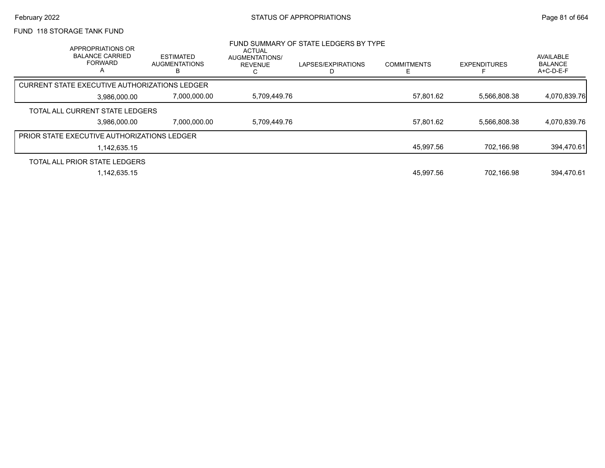### FUND 118 STORAGE TANK FUND

| APPROPRIATIONS OR<br><b>BALANCE CARRIED</b><br><b>FORWARD</b><br>A | <b>ESTIMATED</b><br><b>AUGMENTATIONS</b><br>ь | <b>ACTUAL</b><br><b>AUGMENTATIONS/</b><br><b>REVENUE</b> | FUND SUMMARY OF STATE LEDGERS BY TYPE<br>LAPSES/EXPIRATIONS | <b>COMMITMENTS</b> | <b>EXPENDITURES</b> | AVAILABLE<br><b>BALANCE</b><br>A+C-D-E-F |
|--------------------------------------------------------------------|-----------------------------------------------|----------------------------------------------------------|-------------------------------------------------------------|--------------------|---------------------|------------------------------------------|
| CURRENT STATE EXECUTIVE AUTHORIZATIONS LEDGER                      |                                               |                                                          |                                                             |                    |                     |                                          |
| 3,986,000.00                                                       | 7,000,000.00                                  | 5,709,449.76                                             |                                                             | 57,801.62          | 5,566,808.38        | 4,070,839.76                             |
| TOTAL ALL CURRENT STATE LEDGERS                                    |                                               |                                                          |                                                             |                    |                     |                                          |
| 3.986.000.00                                                       | 7,000,000.00                                  | 5,709,449.76                                             |                                                             | 57,801.62          | 5.566.808.38        | 4,070,839.76                             |
| <b>PRIOR STATE EXECUTIVE AUTHORIZATIONS LEDGER</b>                 |                                               |                                                          |                                                             |                    |                     |                                          |
| 1.142.635.15                                                       |                                               |                                                          |                                                             | 45,997.56          | 702.166.98          | 394,470.61                               |
| TOTAL ALL PRIOR STATE LEDGERS                                      |                                               |                                                          |                                                             |                    |                     |                                          |
| 1.142.635.15                                                       |                                               |                                                          |                                                             | 45.997.56          | 702.166.98          | 394.470.61                               |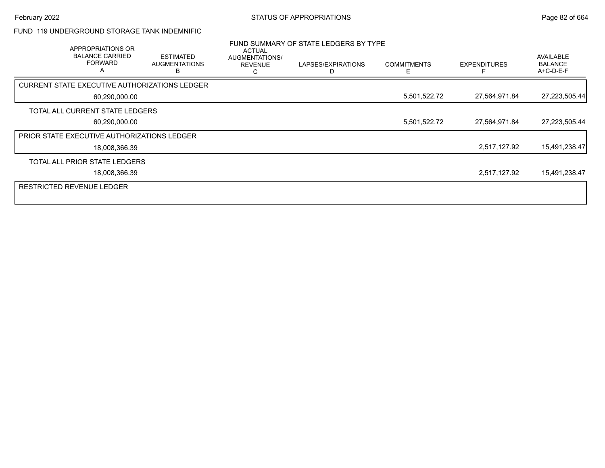### FUND 119 UNDERGROUND STORAGE TANK INDEMNIFIC

| APPROPRIATIONS OR<br><b>BALANCE CARRIED</b><br><b>FORWARD</b><br>A | <b>ESTIMATED</b><br><b>AUGMENTATIONS</b> | <b>ACTUAL</b><br>AUGMENTATIONS/<br><b>REVENUE</b> | FUND SUMMARY OF STATE LEDGERS BY TYPE<br>LAPSES/EXPIRATIONS | <b>COMMITMENTS</b> | <b>EXPENDITURES</b> | AVAILABLE<br><b>BALANCE</b><br>A+C-D-E-F |
|--------------------------------------------------------------------|------------------------------------------|---------------------------------------------------|-------------------------------------------------------------|--------------------|---------------------|------------------------------------------|
| CURRENT STATE EXECUTIVE AUTHORIZATIONS LEDGER                      |                                          |                                                   |                                                             |                    |                     |                                          |
| 60,290,000.00                                                      |                                          |                                                   |                                                             | 5,501,522.72       | 27,564,971.84       | 27,223,505.44                            |
| TOTAL ALL CURRENT STATE LEDGERS                                    |                                          |                                                   |                                                             |                    |                     |                                          |
| 60,290,000.00                                                      |                                          |                                                   |                                                             | 5,501,522.72       | 27,564,971.84       | 27,223,505.44                            |
| PRIOR STATE EXECUTIVE AUTHORIZATIONS LEDGER                        |                                          |                                                   |                                                             |                    |                     |                                          |
| 18,008,366.39                                                      |                                          |                                                   |                                                             |                    | 2,517,127.92        | 15,491,238.47                            |
| TOTAL ALL PRIOR STATE LEDGERS                                      |                                          |                                                   |                                                             |                    |                     |                                          |
| 18,008,366.39                                                      |                                          |                                                   |                                                             |                    | 2,517,127.92        | 15,491,238.47                            |
| <b>RESTRICTED REVENUE LEDGER</b>                                   |                                          |                                                   |                                                             |                    |                     |                                          |
|                                                                    |                                          |                                                   |                                                             |                    |                     |                                          |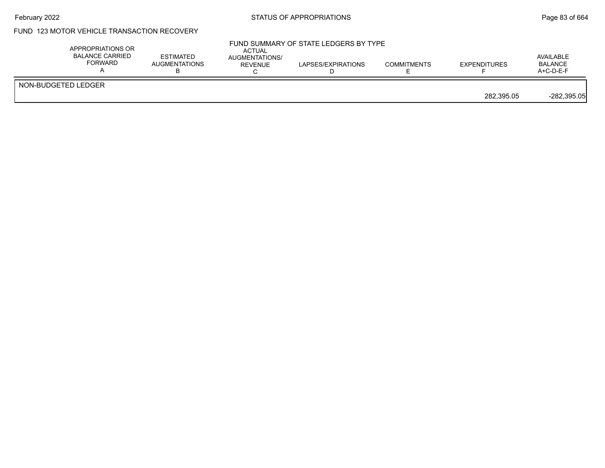# February 2022 **Example 2022** Page 83 of 664

### FUND 123 MOTOR VEHICLE TRANSACTION RECOVERY

|                     | APPROPRIATIONS OR<br><b>BALANCE CARRIED</b><br>FORWARD | ESTIMATED<br><b>AUGMENTATIONS</b> | <b>ACTUAL</b><br>AUGMENTATIONS/<br>REVENUE | FUND SUMMARY OF STATE LEDGERS BY TYPE<br>LAPSES/EXPIRATIONS | <b>COMMITMENTS</b> | <b>EXPENDITURES</b> | AVAILABLE<br><b>BALANCE</b><br>$A+C-D-E-F$ |
|---------------------|--------------------------------------------------------|-----------------------------------|--------------------------------------------|-------------------------------------------------------------|--------------------|---------------------|--------------------------------------------|
| NON-BUDGETED LEDGER |                                                        |                                   |                                            |                                                             |                    | 282.395.05          | $-282,395.05$                              |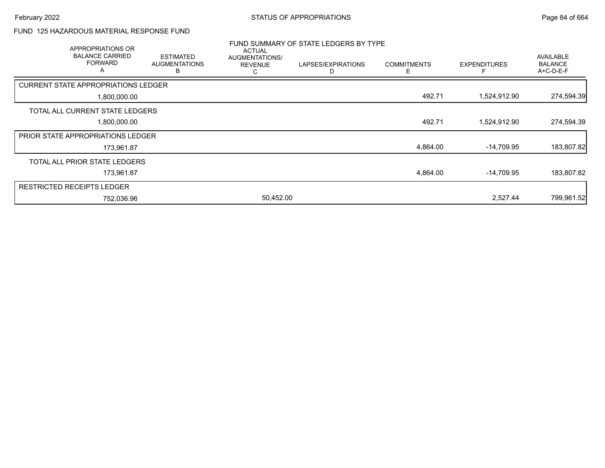### FUND 125 HAZARDOUS MATERIAL RESPONSE FUND

| <b>APPROPRIATIONS OR</b>                   |                                               |                                                        | FUND SUMMARY OF STATE LEDGERS BY TYPE |                    |                     |                                                 |  |  |
|--------------------------------------------|-----------------------------------------------|--------------------------------------------------------|---------------------------------------|--------------------|---------------------|-------------------------------------------------|--|--|
| <b>BALANCE CARRIED</b><br><b>FORWARD</b>   | <b>ESTIMATED</b><br><b>AUGMENTATIONS</b><br>В | <b>ACTUAL</b><br>AUGMENTATIONS/<br><b>REVENUE</b><br>С | LAPSES/EXPIRATIONS                    | <b>COMMITMENTS</b> | <b>EXPENDITURES</b> | <b>AVAILABLE</b><br><b>BALANCE</b><br>A+C-D-E-F |  |  |
| <b>CURRENT STATE APPROPRIATIONS LEDGER</b> |                                               |                                                        |                                       |                    |                     |                                                 |  |  |
| 1,800,000.00                               |                                               |                                                        |                                       | 492.71             | 1,524,912.90        | 274,594.39                                      |  |  |
| TOTAL ALL CURRENT STATE LEDGERS            |                                               |                                                        |                                       |                    |                     |                                                 |  |  |
| 1,800,000.00                               |                                               |                                                        |                                       | 492.71             | 1,524,912.90        | 274,594.39                                      |  |  |
| <b>PRIOR STATE APPROPRIATIONS LEDGER</b>   |                                               |                                                        |                                       |                    |                     |                                                 |  |  |
| 173,961.87                                 |                                               |                                                        |                                       | 4,864.00           | $-14,709.95$        | 183,807.82                                      |  |  |
| TOTAL ALL PRIOR STATE LEDGERS              |                                               |                                                        |                                       |                    |                     |                                                 |  |  |
| 173,961.87                                 |                                               |                                                        |                                       | 4,864.00           | $-14,709.95$        | 183,807.82                                      |  |  |
| <b>RESTRICTED RECEIPTS LEDGER</b>          |                                               |                                                        |                                       |                    |                     |                                                 |  |  |
| 752,036.96                                 |                                               | 50,452.00                                              |                                       |                    | 2,527.44            | 799,961.52                                      |  |  |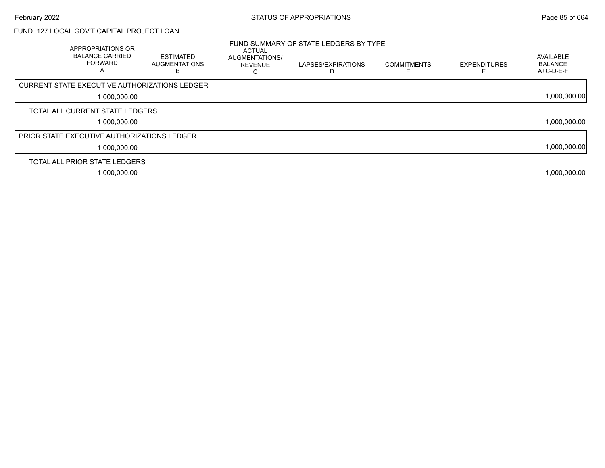# FUND 127 LOCAL GOV'T CAPITAL PROJECT LOAN

| APPROPRIATIONS OR<br><b>BALANCE CARRIED</b><br><b>FORWARD</b><br>Α | <b>ESTIMATED</b><br>AUGMENTATIONS<br>в | <b>ACTUAL</b><br>AUGMENTATIONS/<br><b>REVENUE</b> | FUND SUMMARY OF STATE LEDGERS BY TYPE<br>LAPSES/EXPIRATIONS | <b>COMMITMENTS</b> | <b>EXPENDITURES</b> | AVAILABLE<br><b>BALANCE</b><br>$A+C-D-E-F$ |
|--------------------------------------------------------------------|----------------------------------------|---------------------------------------------------|-------------------------------------------------------------|--------------------|---------------------|--------------------------------------------|
| <b>CURRENT STATE EXECUTIVE AUTHORIZATIONS LEDGER</b>               |                                        |                                                   |                                                             |                    |                     |                                            |
| 1,000,000.00                                                       |                                        |                                                   |                                                             |                    |                     | 1,000,000.00                               |
| TOTAL ALL CURRENT STATE LEDGERS                                    |                                        |                                                   |                                                             |                    |                     |                                            |
| 1,000,000.00                                                       |                                        |                                                   |                                                             |                    |                     | 1,000,000.00                               |
| PRIOR STATE EXECUTIVE AUTHORIZATIONS LEDGER                        |                                        |                                                   |                                                             |                    |                     |                                            |
| 1,000,000.00                                                       |                                        |                                                   |                                                             |                    |                     | 1,000,000.00                               |
| TOTAL ALL PRIOR STATE LEDGERS                                      |                                        |                                                   |                                                             |                    |                     |                                            |
| 1,000,000.00                                                       |                                        |                                                   |                                                             |                    |                     | 1,000,000.00                               |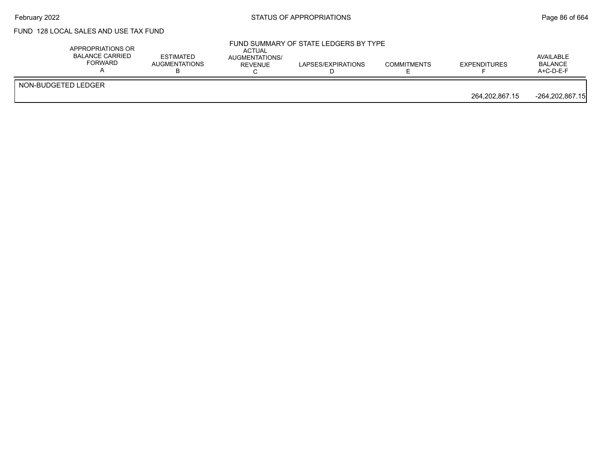# February 2022 **Example 2022** Page 86 of 664

## FUND 128 LOCAL SALES AND USE TAX FUND

| APPROPRIATIONS OR<br>BALANCE CARRIED<br>FORWARD | <b>ESTIMATED</b><br><b>AUGMENTATIONS</b> | ACTUAL<br>AUGMENTATIONS/<br>REVENUE | FUND SUMMARY OF STATE LEDGERS BY TYPE<br>LAPSES/EXPIRATIONS | <b>COMMITMENTS</b> | <b>EXPENDITURES</b> | AVAILABLE<br><b>BALANCE</b><br>$A+C-D-E-F$ |
|-------------------------------------------------|------------------------------------------|-------------------------------------|-------------------------------------------------------------|--------------------|---------------------|--------------------------------------------|
| NON-BUDGETED LEDGER                             |                                          |                                     |                                                             |                    | 264.202.867.15      | $-264, 202, 867.15$                        |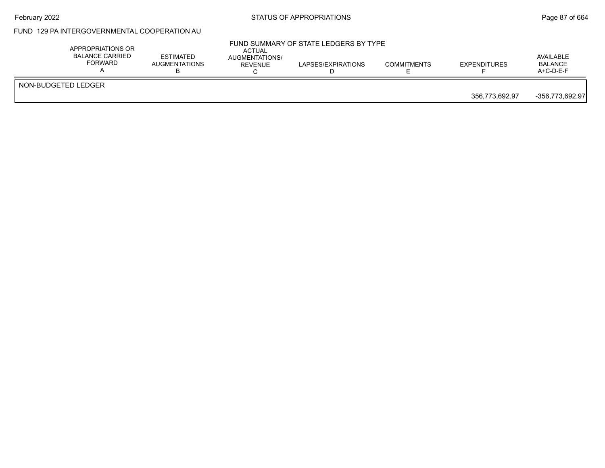# February 2022 **Example 2022** Page 87 of 664

### FUND 129 PA INTERGOVERNMENTAL COOPERATION AU

|                     | APPROPRIATIONS OR<br><b>BALANCE CARRIED</b><br><b>ESTIMATED</b><br>FORWARD<br>AUGMENTATIONS | ACTUAL<br>AUGMENTATIONS/<br>REVENUE | FUND SUMMARY OF STATE LEDGERS BY TYPE<br>LAPSES/EXPIRATIONS | <b>COMMITMENTS</b> | <b>EXPENDITURES</b> | AVAILABLE<br><b>BALANCE</b><br>$A+C-D-E-F$ |
|---------------------|---------------------------------------------------------------------------------------------|-------------------------------------|-------------------------------------------------------------|--------------------|---------------------|--------------------------------------------|
| NON-BUDGETED LEDGER |                                                                                             |                                     |                                                             |                    | 356,773,692.97      | -356.773.692.97                            |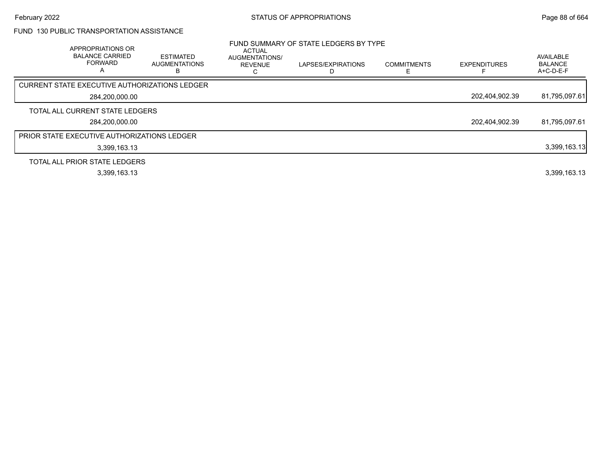# FUND 130 PUBLIC TRANSPORTATION ASSISTANCE

| APPROPRIATIONS OR<br><b>BALANCE CARRIED</b><br><b>FORWARD</b><br>$\overline{A}$ | <b>ESTIMATED</b><br><b>AUGMENTATIONS</b> | ACTUAL<br>AUGMENTATIONS/<br><b>REVENUE</b><br>Ō | FUND SUMMARY OF STATE LEDGERS BY TYPE<br>LAPSES/EXPIRATIONS | <b>COMMITMENTS</b> | <b>EXPENDITURES</b> | AVAILABLE<br><b>BALANCE</b><br>A+C-D-E-F |
|---------------------------------------------------------------------------------|------------------------------------------|-------------------------------------------------|-------------------------------------------------------------|--------------------|---------------------|------------------------------------------|
| <b>CURRENT STATE EXECUTIVE AUTHORIZATIONS LEDGER</b>                            |                                          |                                                 |                                                             |                    |                     |                                          |
| 284,200,000.00                                                                  |                                          |                                                 |                                                             |                    | 202,404,902.39      | 81,795,097.61                            |
| TOTAL ALL CURRENT STATE LEDGERS                                                 |                                          |                                                 |                                                             |                    |                     |                                          |
| 284.200.000.00                                                                  |                                          |                                                 |                                                             |                    | 202,404,902.39      | 81,795,097.61                            |
| PRIOR STATE EXECUTIVE AUTHORIZATIONS LEDGER                                     |                                          |                                                 |                                                             |                    |                     |                                          |
| 3,399,163.13                                                                    |                                          |                                                 |                                                             |                    |                     | 3,399,163.13                             |
| TOTAL ALL PRIOR STATE LEDGERS                                                   |                                          |                                                 |                                                             |                    |                     |                                          |
| 3,399,163.13                                                                    |                                          |                                                 |                                                             |                    |                     | 3,399,163.13                             |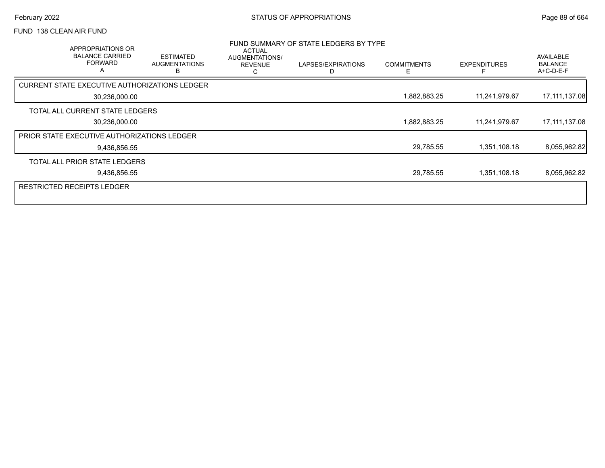### FUND 138 CLEAN AIR FUND

| APPROPRIATIONS OR<br><b>BALANCE CARRIED</b><br><b>FORWARD</b><br>$\mathsf{A}$ | <b>ESTIMATED</b><br><b>AUGMENTATIONS</b><br>в | ACTUAL<br>AUGMENTATIONS/<br><b>REVENUE</b><br>С | FUND SUMMARY OF STATE LEDGERS BY TYPE<br>LAPSES/EXPIRATIONS | <b>COMMITMENTS</b><br>E. | <b>EXPENDITURES</b> | AVAILABLE<br><b>BALANCE</b><br>$A+C-D-E-F$ |
|-------------------------------------------------------------------------------|-----------------------------------------------|-------------------------------------------------|-------------------------------------------------------------|--------------------------|---------------------|--------------------------------------------|
| CURRENT STATE EXECUTIVE AUTHORIZATIONS LEDGER                                 |                                               |                                                 |                                                             |                          |                     |                                            |
| 30,236,000.00                                                                 |                                               |                                                 |                                                             | 1,882,883.25             | 11,241,979.67       | 17,111,137.08                              |
| TOTAL ALL CURRENT STATE LEDGERS                                               |                                               |                                                 |                                                             |                          |                     |                                            |
| 30,236,000.00                                                                 |                                               |                                                 |                                                             | 1,882,883.25             | 11,241,979.67       | 17,111,137.08                              |
| PRIOR STATE EXECUTIVE AUTHORIZATIONS LEDGER                                   |                                               |                                                 |                                                             |                          |                     |                                            |
| 9,436,856.55                                                                  |                                               |                                                 |                                                             | 29,785.55                | 1,351,108.18        | 8,055,962.82                               |
| TOTAL ALL PRIOR STATE LEDGERS                                                 |                                               |                                                 |                                                             |                          |                     |                                            |
| 9,436,856.55                                                                  |                                               |                                                 |                                                             | 29,785.55                | 1,351,108.18        | 8,055,962.82                               |
| <b>RESTRICTED RECEIPTS LEDGER</b>                                             |                                               |                                                 |                                                             |                          |                     |                                            |
|                                                                               |                                               |                                                 |                                                             |                          |                     |                                            |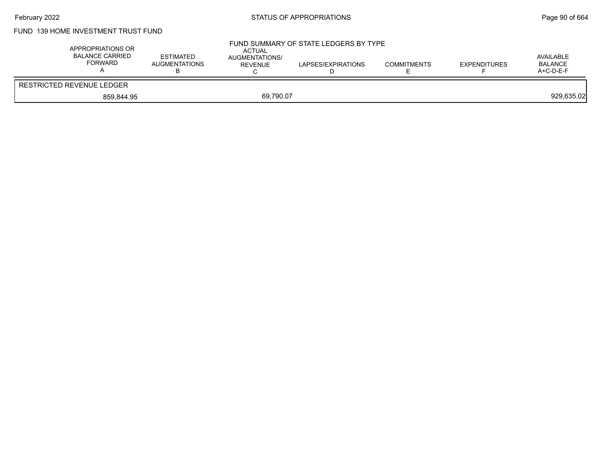# February 2022 **Example 2018** STATUS OF APPROPRIATIONS **Page 90** of 664

# FUND 139 HOME INVESTMENT TRUST FUND

| APPROPRIATIONS OR<br><b>BALANCE CARRIED</b><br>FORWARD | <b>ESTIMATED</b><br><b>AUGMENTATIONS</b> | <b>ACTUAL</b><br>AUGMENTATIONS/<br>REVENUE | FUND SUMMARY OF STATE LEDGERS BY TYPE<br>LAPSES/EXPIRATIONS | <b>COMMITMENTS</b> | <b>EXPENDITURES</b> | AVAILABLE<br><b>BALANCE</b><br>$A+C-D-E-F$ |
|--------------------------------------------------------|------------------------------------------|--------------------------------------------|-------------------------------------------------------------|--------------------|---------------------|--------------------------------------------|
| RESTRICTED REVENUE LEDGER                              |                                          |                                            |                                                             |                    |                     |                                            |
| 859.844.95                                             |                                          | 69.790.07                                  |                                                             |                    |                     | 929,635.02                                 |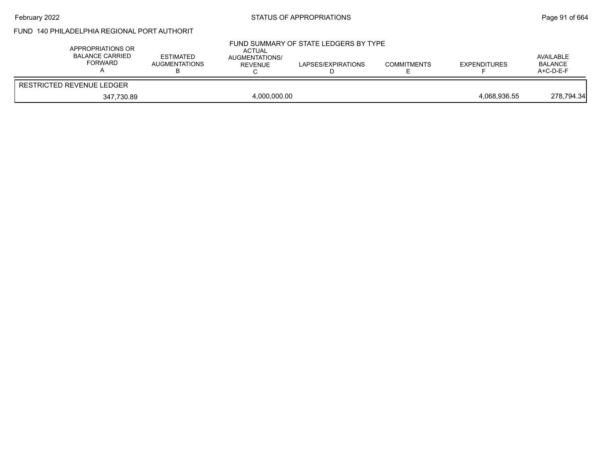# February 2022 **Example 2018** STATUS OF APPROPRIATIONS **Page 91** of 664

# FUND 140 PHILADELPHIA REGIONAL PORT AUTHORIT

| APPROPRIATIONS OR<br><b>BALANCE CARRIED</b><br><b>FORWARD</b> | <b>ESTIMATED</b><br><b>AUGMENTATIONS</b> | <b>ACTUAL</b><br>AUGMENTATIONS/<br>REVENUE | FUND SUMMARY OF STATE LEDGERS BY TYPE<br>LAPSES/EXPIRATIONS | <b>COMMITMENTS</b> | <b>EXPENDITURES</b> | AVAILABLE<br>BALANCE<br>$A+C-D-E-F$ |
|---------------------------------------------------------------|------------------------------------------|--------------------------------------------|-------------------------------------------------------------|--------------------|---------------------|-------------------------------------|
| RESTRICTED REVENUE LEDGER                                     |                                          |                                            |                                                             |                    |                     |                                     |
| 347.730.89                                                    |                                          | 4,000,000.00                               |                                                             |                    | 4.068.936.55        | 278,794.34                          |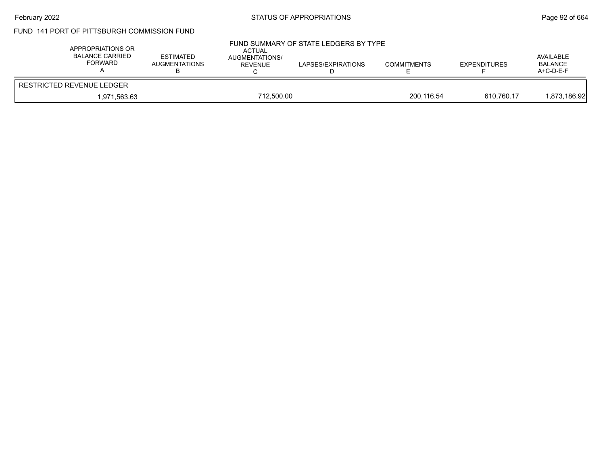# February 2022 **Example 2018** STATUS OF APPROPRIATIONS **Page 92** of 664

## FUND 141 PORT OF PITTSBURGH COMMISSION FUND

| APPROPRIATIONS OR<br><b>BALANCE CARRIED</b><br>FORWARD | <b>ESTIMATED</b><br><b>AUGMENTATIONS</b> | ACTUAL<br><b>AUGMENTATIONS/</b><br>REVENUE | FUND SUMMARY OF STATE LEDGERS BY TYPE<br>LAPSES/EXPIRATIONS | <b>COMMITMENTS</b> | <b>EXPENDITURES</b> | AVAILABLE<br><b>BALANCE</b><br>$A+C-D-E-F$ |
|--------------------------------------------------------|------------------------------------------|--------------------------------------------|-------------------------------------------------------------|--------------------|---------------------|--------------------------------------------|
| RESTRICTED REVENUE LEDGER                              |                                          |                                            |                                                             |                    |                     |                                            |
| 1.971.563.63                                           | 712.500.00                               |                                            |                                                             | 200.116.54         | 610.760.17          | 1,873,186.92                               |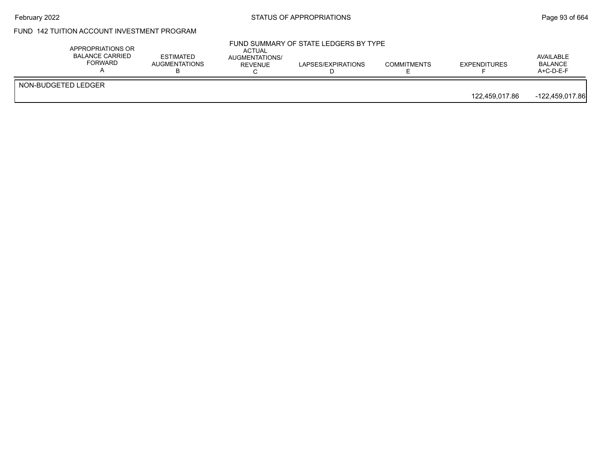# February 2022 **Example 2018** STATUS OF APPROPRIATIONS **Page 93** of 664

# FUND 142 TUITION ACCOUNT INVESTMENT PROGRAM

|                     | APPROPRIATIONS OR<br>BALANCE CARRIED<br>FORWARD | <b>ESTIMATED</b><br><b>AUGMENTATIONS</b> | ACTUAL<br>AUGMENTATIONS/<br><b>REVENUE</b> | FUND SUMMARY OF STATE LEDGERS BY TYPE<br>LAPSES/EXPIRATIONS | <b>COMMITMENTS</b> | <b>EXPENDITURES</b> | AVAILABLE<br><b>BALANCE</b><br>$A+C-D-E-F$ |
|---------------------|-------------------------------------------------|------------------------------------------|--------------------------------------------|-------------------------------------------------------------|--------------------|---------------------|--------------------------------------------|
| NON-BUDGETED LEDGER |                                                 |                                          |                                            |                                                             |                    | 122.459.017.86      | -122,459,017.86                            |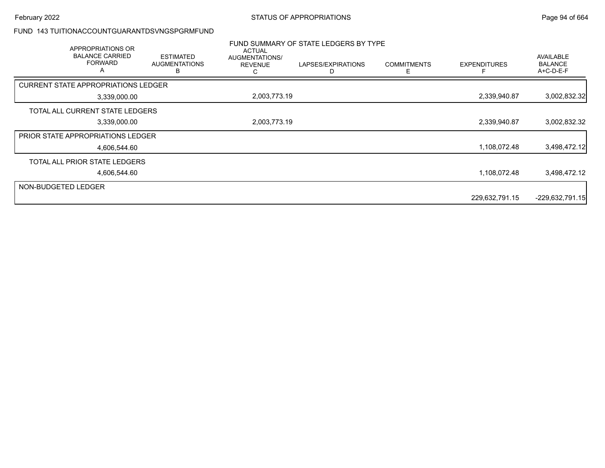#### FUND 143 TUITIONACCOUNTGUARANTDSVNGSPGRMFUND

|                     | APPROPRIATIONS OR<br><b>BALANCE CARRIED</b><br><b>FORWARD</b><br>A | <b>ESTIMATED</b><br><b>AUGMENTATIONS</b><br>в | <b>ACTUAL</b><br>AUGMENTATIONS/<br><b>REVENUE</b><br>С | FUND SUMMARY OF STATE LEDGERS BY TYPE<br>LAPSES/EXPIRATIONS | <b>COMMITMENTS</b><br>F | <b>EXPENDITURES</b> | <b>AVAILABLE</b><br><b>BALANCE</b><br>A+C-D-E-F |
|---------------------|--------------------------------------------------------------------|-----------------------------------------------|--------------------------------------------------------|-------------------------------------------------------------|-------------------------|---------------------|-------------------------------------------------|
|                     | <b>CURRENT STATE APPROPRIATIONS LEDGER</b>                         |                                               |                                                        |                                                             |                         |                     |                                                 |
|                     | 3,339,000.00                                                       |                                               | 2,003,773.19                                           |                                                             |                         | 2,339,940.87        | 3,002,832.32                                    |
|                     | TOTAL ALL CURRENT STATE LEDGERS                                    |                                               |                                                        |                                                             |                         |                     |                                                 |
|                     | 3,339,000.00                                                       |                                               | 2,003,773.19                                           |                                                             |                         | 2,339,940.87        | 3,002,832.32                                    |
|                     | <b>PRIOR STATE APPROPRIATIONS LEDGER</b>                           |                                               |                                                        |                                                             |                         |                     |                                                 |
|                     | 4,606,544.60                                                       |                                               |                                                        |                                                             |                         | 1,108,072.48        | 3,498,472.12                                    |
|                     | TOTAL ALL PRIOR STATE LEDGERS                                      |                                               |                                                        |                                                             |                         |                     |                                                 |
|                     | 4,606,544.60                                                       |                                               |                                                        |                                                             |                         | 1,108,072.48        | 3,498,472.12                                    |
| NON-BUDGETED LEDGER |                                                                    |                                               |                                                        |                                                             |                         |                     |                                                 |
|                     |                                                                    |                                               |                                                        |                                                             |                         | 229,632,791.15      | $-229,632,791.15$                               |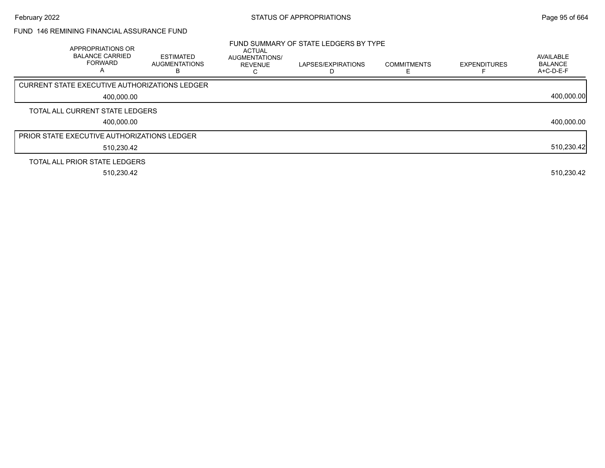### FUND 146 REMINING FINANCIAL ASSURANCE FUND

| APPROPRIATIONS OR<br><b>BALANCE CARRIED</b><br><b>FORWARD</b><br>A | <b>ESTIMATED</b><br><b>AUGMENTATIONS</b><br>в | <b>ACTUAL</b><br>AUGMENTATIONS/<br><b>REVENUE</b> | FUND SUMMARY OF STATE LEDGERS BY TYPE<br>LAPSES/EXPIRATIONS | <b>COMMITMENTS</b> | <b>EXPENDITURES</b> | AVAILABLE<br><b>BALANCE</b><br>$A+C-D-E-F$ |
|--------------------------------------------------------------------|-----------------------------------------------|---------------------------------------------------|-------------------------------------------------------------|--------------------|---------------------|--------------------------------------------|
| <b>CURRENT STATE EXECUTIVE AUTHORIZATIONS LEDGER</b>               |                                               |                                                   |                                                             |                    |                     |                                            |
| 400.000.00                                                         |                                               |                                                   |                                                             |                    |                     | 400,000.00                                 |
| TOTAL ALL CURRENT STATE LEDGERS                                    |                                               |                                                   |                                                             |                    |                     |                                            |
| 400.000.00                                                         |                                               |                                                   |                                                             |                    |                     | 400,000.00                                 |
| <b>PRIOR STATE EXECUTIVE AUTHORIZATIONS LEDGER</b>                 |                                               |                                                   |                                                             |                    |                     |                                            |
| 510,230.42                                                         |                                               |                                                   |                                                             |                    |                     | 510,230.42                                 |
| TOTAL ALL PRIOR STATE LEDGERS                                      |                                               |                                                   |                                                             |                    |                     |                                            |
| 510,230.42                                                         |                                               |                                                   |                                                             |                    |                     | 510,230.42                                 |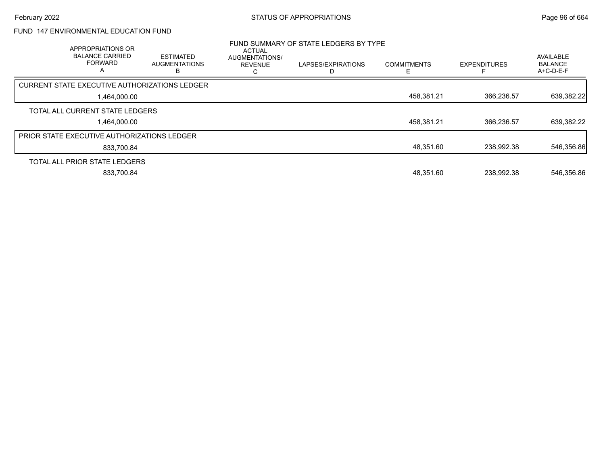# FUND 147 ENVIRONMENTAL EDUCATION FUND

| APPROPRIATIONS OR<br><b>BALANCE CARRIED</b><br><b>FORWARD</b><br>А | <b>ESTIMATED</b><br><b>AUGMENTATIONS</b> | <b>ACTUAL</b><br><b>AUGMENTATIONS/</b><br><b>REVENUE</b> | FUND SUMMARY OF STATE LEDGERS BY TYPE<br>LAPSES/EXPIRATIONS | <b>COMMITMENTS</b> | <b>EXPENDITURES</b> | <b>AVAILABLE</b><br><b>BALANCE</b><br>$A+C-D-E-F$ |
|--------------------------------------------------------------------|------------------------------------------|----------------------------------------------------------|-------------------------------------------------------------|--------------------|---------------------|---------------------------------------------------|
| CURRENT STATE EXECUTIVE AUTHORIZATIONS LEDGER                      |                                          |                                                          |                                                             |                    |                     |                                                   |
| 1,464,000.00                                                       |                                          |                                                          |                                                             | 458,381.21         | 366.236.57          | 639,382.22                                        |
| TOTAL ALL CURRENT STATE LEDGERS                                    |                                          |                                                          |                                                             |                    |                     |                                                   |
| 1,464,000.00                                                       |                                          |                                                          |                                                             | 458,381.21         | 366.236.57          | 639,382.22                                        |
| <b>PRIOR STATE EXECUTIVE AUTHORIZATIONS LEDGER</b>                 |                                          |                                                          |                                                             |                    |                     |                                                   |
| 833.700.84                                                         |                                          |                                                          |                                                             | 48,351.60          | 238,992.38          | 546,356.86                                        |
| TOTAL ALL PRIOR STATE LEDGERS                                      |                                          |                                                          |                                                             |                    |                     |                                                   |
| 833,700.84                                                         |                                          |                                                          |                                                             | 48,351.60          | 238.992.38          | 546,356.86                                        |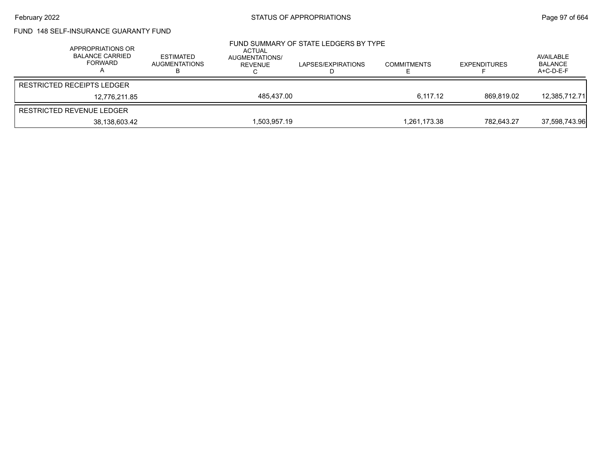# FUND 148 SELF-INSURANCE GUARANTY FUND

| APPROPRIATIONS OR<br><b>BALANCE CARRIED</b><br>FORWARD | <b>ESTIMATED</b><br>AUGMENTATIONS | ACTUAL<br>AUGMENTATIONS/<br><b>REVENUE</b> | FUND SUMMARY OF STATE LEDGERS BY TYPE<br>LAPSES/EXPIRATIONS | <b>COMMITMENTS</b> | <b>EXPENDITURES</b> | AVAILABLE<br><b>BALANCE</b><br>$A+C-D-E-F$ |
|--------------------------------------------------------|-----------------------------------|--------------------------------------------|-------------------------------------------------------------|--------------------|---------------------|--------------------------------------------|
| <b>RESTRICTED RECEIPTS LEDGER</b>                      |                                   |                                            |                                                             |                    |                     |                                            |
| 12.776.211.85                                          |                                   | 485.437.00                                 |                                                             | 6.117.12           | 869.819.02          | 12,385,712.71                              |
| RESTRICTED REVENUE LEDGER                              |                                   |                                            |                                                             |                    |                     |                                            |
| 38,138,603.42                                          |                                   | 1,503,957.19                               |                                                             | 1,261,173.38       | 782.643.27          | 37,598,743.96                              |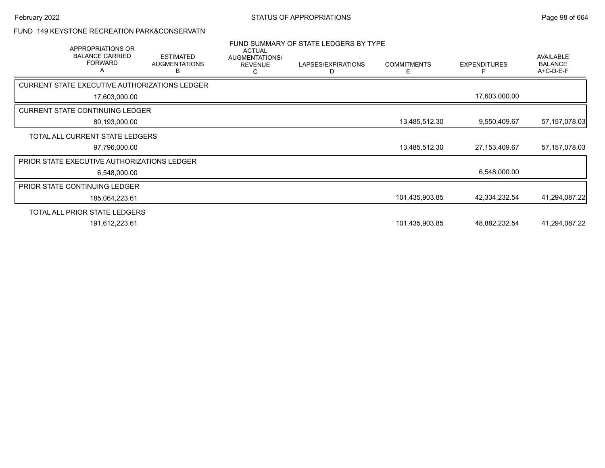## FUND 149 KEYSTONE RECREATION PARK&CONSERVATN

| APPROPRIATIONS OR<br><b>BALANCE CARRIED</b><br><b>FORWARD</b><br>A | <b>ESTIMATED</b><br><b>AUGMENTATIONS</b><br>в | <b>ACTUAL</b><br>AUGMENTATIONS/<br><b>REVENUE</b> | FUND SUMMARY OF STATE LEDGERS BY TYPE<br>LAPSES/EXPIRATIONS<br>D | <b>COMMITMENTS</b><br>E. | <b>EXPENDITURES</b> | <b>AVAILABLE</b><br><b>BALANCE</b><br>A+C-D-E-F |
|--------------------------------------------------------------------|-----------------------------------------------|---------------------------------------------------|------------------------------------------------------------------|--------------------------|---------------------|-------------------------------------------------|
| CURRENT STATE EXECUTIVE AUTHORIZATIONS LEDGER                      |                                               |                                                   |                                                                  |                          |                     |                                                 |
| 17,603,000.00                                                      |                                               |                                                   |                                                                  |                          | 17,603,000.00       |                                                 |
| <b>CURRENT STATE CONTINUING LEDGER</b>                             |                                               |                                                   |                                                                  |                          |                     |                                                 |
| 80,193,000.00                                                      |                                               |                                                   |                                                                  | 13,485,512.30            | 9,550,409.67        | 57, 157, 078.03                                 |
| TOTAL ALL CURRENT STATE LEDGERS                                    |                                               |                                                   |                                                                  |                          |                     |                                                 |
| 97,796,000.00                                                      |                                               |                                                   |                                                                  | 13,485,512.30            | 27,153,409.67       | 57, 157, 078.03                                 |
| PRIOR STATE EXECUTIVE AUTHORIZATIONS LEDGER                        |                                               |                                                   |                                                                  |                          |                     |                                                 |
| 6,548,000.00                                                       |                                               |                                                   |                                                                  |                          | 6,548,000.00        |                                                 |
| PRIOR STATE CONTINUING LEDGER                                      |                                               |                                                   |                                                                  |                          |                     |                                                 |
| 185,064,223.61                                                     |                                               |                                                   |                                                                  | 101,435,903.85           | 42,334,232.54       | 41,294,087.22                                   |
| TOTAL ALL PRIOR STATE LEDGERS                                      |                                               |                                                   |                                                                  |                          |                     |                                                 |
| 191,612,223.61                                                     |                                               |                                                   |                                                                  | 101,435,903.85           | 48,882,232.54       | 41,294,087.22                                   |
|                                                                    |                                               |                                                   |                                                                  |                          |                     |                                                 |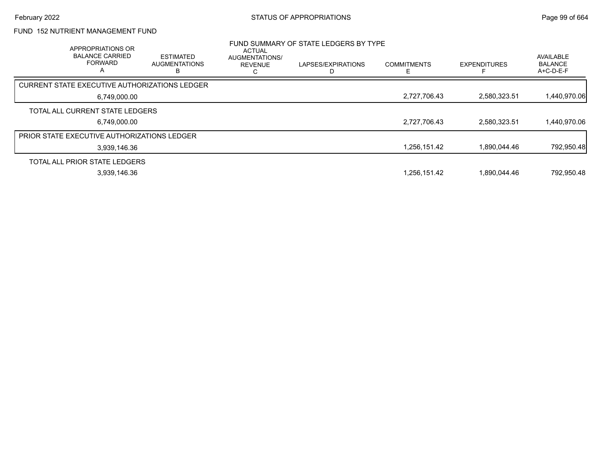# FUND 152 NUTRIENT MANAGEMENT FUND

| <b>APPROPRIATIONS OR</b><br><b>BALANCE CARRIED</b><br><b>FORWARD</b><br>A | <b>ESTIMATED</b><br><b>AUGMENTATIONS</b> | ACTUAL<br>AUGMENTATIONS/<br><b>REVENUE</b> | FUND SUMMARY OF STATE LEDGERS BY TYPE<br>LAPSES/EXPIRATIONS | <b>COMMITMENTS</b> | <b>EXPENDITURES</b> | AVAILABLE<br><b>BALANCE</b><br>$A+C-D-E-F$ |
|---------------------------------------------------------------------------|------------------------------------------|--------------------------------------------|-------------------------------------------------------------|--------------------|---------------------|--------------------------------------------|
| <b>CURRENT STATE EXECUTIVE AUTHORIZATIONS LEDGER</b>                      |                                          |                                            |                                                             |                    |                     |                                            |
| 6,749,000.00                                                              |                                          |                                            |                                                             | 2,727,706.43       | 2,580,323.51        | 1,440,970.06                               |
| TOTAL ALL CURRENT STATE LEDGERS                                           |                                          |                                            |                                                             |                    |                     |                                            |
| 6.749.000.00                                                              |                                          |                                            |                                                             | 2,727,706.43       | 2.580.323.51        | 1,440,970.06                               |
| PRIOR STATE EXECUTIVE AUTHORIZATIONS LEDGER                               |                                          |                                            |                                                             |                    |                     |                                            |
| 3,939,146.36                                                              |                                          |                                            |                                                             | 1,256,151.42       | 1.890.044.46        | 792,950.48                                 |
| TOTAL ALL PRIOR STATE LEDGERS                                             |                                          |                                            |                                                             |                    |                     |                                            |
| 3,939,146.36                                                              |                                          |                                            |                                                             | 1,256,151.42       | 1.890.044.46        | 792,950.48                                 |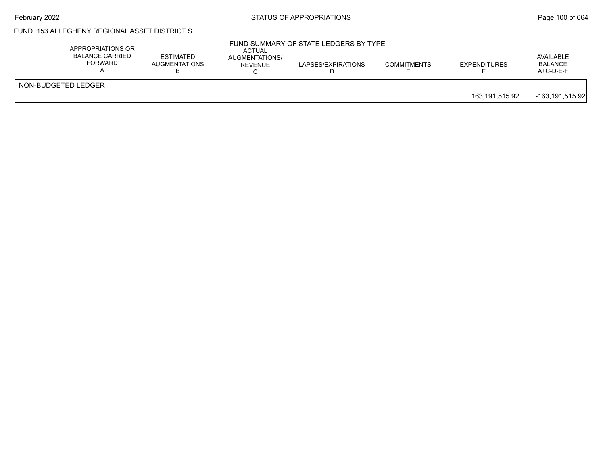# February 2022 **Example 2022** Page 100 of 664

## FUND 153 ALLEGHENY REGIONAL ASSET DISTRICT S

| NON-BUDGETED LEDGER | APPROPRIATIONS OR<br><b>BALANCE CARRIED</b><br>FORWARD | <b>ESTIMATED</b><br><b>AUGMENTATIONS</b> | ACTUAL<br>AUGMENTATIONS/<br><b>REVENUE</b> | FUND SUMMARY OF STATE LEDGERS BY TYPE<br>LAPSES/EXPIRATIONS | <b>COMMITMENTS</b> | <b>EXPENDITURES</b> | AVAILABLE<br>BALANCE<br>A+C-D-E-F |
|---------------------|--------------------------------------------------------|------------------------------------------|--------------------------------------------|-------------------------------------------------------------|--------------------|---------------------|-----------------------------------|
|                     |                                                        |                                          |                                            |                                                             |                    | 163,191,515.92      | $-163, 191, 515.92$               |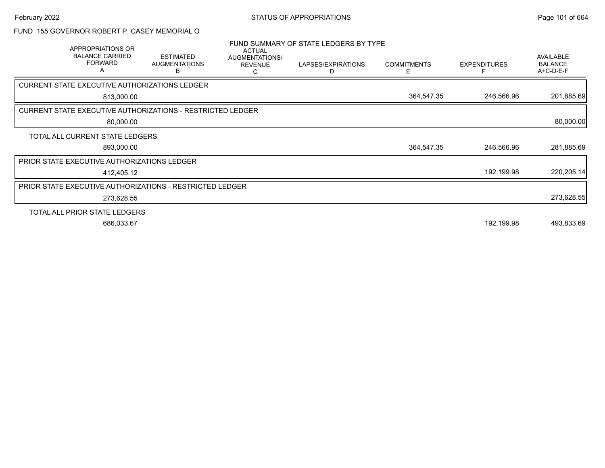#### FUND 155 GOVERNOR ROBERT P. CASEY MEMORIAL O

| APPROPRIATIONS OR<br><b>BALANCE CARRIED</b><br><b>FORWARD</b><br>Α | <b>ESTIMATED</b><br><b>AUGMENTATIONS</b><br>в                     | <b>ACTUAL</b><br>AUGMENTATIONS/<br><b>REVENUE</b> | FUND SUMMARY OF STATE LEDGERS BY TYPE<br>LAPSES/EXPIRATIONS<br>D | <b>COMMITMENTS</b><br>F. | <b>EXPENDITURES</b> | AVAILABLE<br><b>BALANCE</b><br>A+C-D-E-F |
|--------------------------------------------------------------------|-------------------------------------------------------------------|---------------------------------------------------|------------------------------------------------------------------|--------------------------|---------------------|------------------------------------------|
| CURRENT STATE EXECUTIVE AUTHORIZATIONS LEDGER                      |                                                                   |                                                   |                                                                  |                          |                     |                                          |
| 813,000.00                                                         |                                                                   |                                                   |                                                                  | 364,547.35               | 246,566.96          | 201,885.69                               |
|                                                                    | <b>CURRENT STATE EXECUTIVE AUTHORIZATIONS - RESTRICTED LEDGER</b> |                                                   |                                                                  |                          |                     |                                          |
| 80,000.00                                                          |                                                                   |                                                   |                                                                  |                          |                     | 80,000.00                                |
| TOTAL ALL CURRENT STATE LEDGERS                                    |                                                                   |                                                   |                                                                  |                          |                     |                                          |
| 893,000.00                                                         |                                                                   |                                                   |                                                                  | 364,547.35               | 246,566.96          | 281,885.69                               |
| PRIOR STATE EXECUTIVE AUTHORIZATIONS LEDGER                        |                                                                   |                                                   |                                                                  |                          |                     |                                          |
| 412,405.12                                                         |                                                                   |                                                   |                                                                  |                          | 192,199.98          | 220,205.14                               |
|                                                                    | <b>PRIOR STATE EXECUTIVE AUTHORIZATIONS - RESTRICTED LEDGER</b>   |                                                   |                                                                  |                          |                     |                                          |
| 273,628.55                                                         |                                                                   |                                                   |                                                                  |                          |                     | 273,628.55                               |
| TOTAL ALL PRIOR STATE LEDGERS                                      |                                                                   |                                                   |                                                                  |                          |                     |                                          |
| 686,033.67                                                         |                                                                   |                                                   |                                                                  |                          | 192,199.98          | 493,833.69                               |
|                                                                    |                                                                   |                                                   |                                                                  |                          |                     |                                          |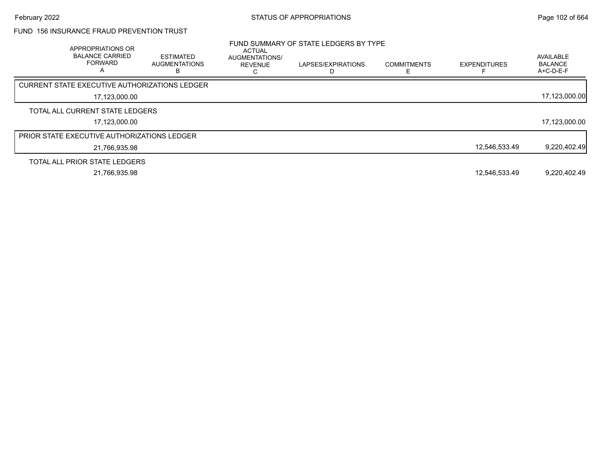# FUND 156 INSURANCE FRAUD PREVENTION TRUST

| APPROPRIATIONS OR<br><b>BALANCE CARRIED</b><br><b>FORWARD</b> | <b>ESTIMATED</b><br><b>AUGMENTATIONS</b><br>в | <b>ACTUAL</b><br>AUGMENTATIONS/<br><b>REVENUE</b> | FUND SUMMARY OF STATE LEDGERS BY TYPE<br>LAPSES/EXPIRATIONS | <b>COMMITMENTS</b> | <b>EXPENDITURES</b> | AVAILABLE<br><b>BALANCE</b><br>A+C-D-E-F |
|---------------------------------------------------------------|-----------------------------------------------|---------------------------------------------------|-------------------------------------------------------------|--------------------|---------------------|------------------------------------------|
| CURRENT STATE EXECUTIVE AUTHORIZATIONS LEDGER                 |                                               |                                                   |                                                             |                    |                     |                                          |
| 17,123,000.00                                                 |                                               |                                                   |                                                             |                    |                     | 17,123,000.00                            |
| TOTAL ALL CURRENT STATE LEDGERS                               |                                               |                                                   |                                                             |                    |                     |                                          |
| 17.123.000.00                                                 |                                               |                                                   |                                                             |                    |                     | 17,123,000.00                            |
| <b>PRIOR STATE EXECUTIVE AUTHORIZATIONS LEDGER</b>            |                                               |                                                   |                                                             |                    |                     |                                          |
| 21,766,935.98                                                 |                                               |                                                   |                                                             |                    | 12.546.533.49       | 9,220,402.49                             |
| TOTAL ALL PRIOR STATE LEDGERS                                 |                                               |                                                   |                                                             |                    |                     |                                          |
| 21.766.935.98                                                 |                                               |                                                   |                                                             |                    | 12,546,533.49       | 9,220,402.49                             |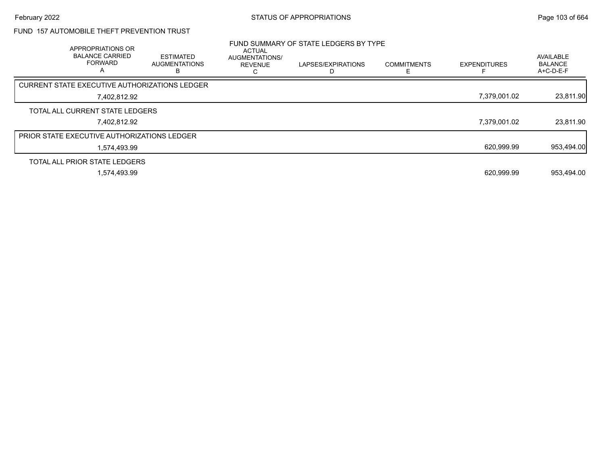# FUND 157 AUTOMOBILE THEFT PREVENTION TRUST

| APPROPRIATIONS OR<br><b>BALANCE CARRIED</b><br><b>FORWARD</b><br>A | <b>ESTIMATED</b><br><b>AUGMENTATIONS</b> | <b>ACTUAL</b><br>AUGMENTATIONS/<br><b>REVENUE</b> | FUND SUMMARY OF STATE LEDGERS BY TYPE<br>LAPSES/EXPIRATIONS | <b>COMMITMENTS</b> | <b>EXPENDITURES</b> | AVAILABLE<br><b>BALANCE</b><br>A+C-D-E-F |
|--------------------------------------------------------------------|------------------------------------------|---------------------------------------------------|-------------------------------------------------------------|--------------------|---------------------|------------------------------------------|
| CURRENT STATE EXECUTIVE AUTHORIZATIONS LEDGER                      |                                          |                                                   |                                                             |                    |                     |                                          |
| 7,402,812.92                                                       |                                          |                                                   |                                                             |                    | 7,379,001.02        | 23,811.90                                |
| TOTAL ALL CURRENT STATE LEDGERS                                    |                                          |                                                   |                                                             |                    |                     |                                          |
| 7.402.812.92                                                       |                                          |                                                   |                                                             |                    | 7.379.001.02        | 23,811.90                                |
| <b>PRIOR STATE EXECUTIVE AUTHORIZATIONS LEDGER</b>                 |                                          |                                                   |                                                             |                    |                     |                                          |
| 1.574.493.99                                                       |                                          |                                                   |                                                             |                    | 620,999.99          | 953,494.00                               |
| TOTAL ALL PRIOR STATE LEDGERS                                      |                                          |                                                   |                                                             |                    |                     |                                          |
| 1.574.493.99                                                       |                                          |                                                   |                                                             |                    | 620.999.99          | 953.494.00                               |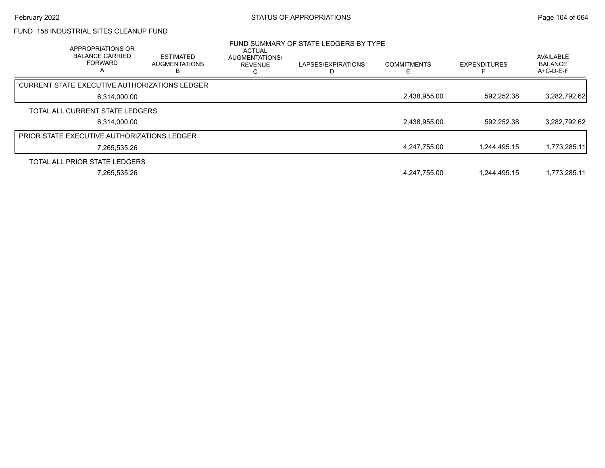### FUND 158 INDUSTRIAL SITES CLEANUP FUND

| <b>APPROPRIATIONS OR</b><br><b>BALANCE CARRIED</b><br><b>FORWARD</b><br>$\overline{A}$ | <b>ESTIMATED</b><br><b>AUGMENTATIONS</b> | <b>ACTUAL</b><br><b>AUGMENTATIONS/</b><br><b>REVENUE</b> | FUND SUMMARY OF STATE LEDGERS BY TYPE<br>LAPSES/EXPIRATIONS | <b>COMMITMENTS</b> | <b>EXPENDITURES</b> | <b>AVAILABLE</b><br><b>BALANCE</b><br>$A+C-D-E-F$ |
|----------------------------------------------------------------------------------------|------------------------------------------|----------------------------------------------------------|-------------------------------------------------------------|--------------------|---------------------|---------------------------------------------------|
| CURRENT STATE EXECUTIVE AUTHORIZATIONS LEDGER                                          |                                          |                                                          |                                                             |                    |                     |                                                   |
| 6,314,000.00                                                                           |                                          |                                                          |                                                             | 2,438,955.00       | 592,252.38          | 3,282,792.62                                      |
| TOTAL ALL CURRENT STATE LEDGERS                                                        |                                          |                                                          |                                                             |                    |                     |                                                   |
| 6.314.000.00                                                                           |                                          |                                                          |                                                             | 2,438,955.00       | 592.252.38          | 3,282,792.62                                      |
| PRIOR STATE EXECUTIVE AUTHORIZATIONS LEDGER                                            |                                          |                                                          |                                                             |                    |                     |                                                   |
| 7.265.535.26                                                                           |                                          |                                                          |                                                             | 4,247,755.00       | 1.244.495.15        | 1,773,285.11                                      |
| TOTAL ALL PRIOR STATE LEDGERS                                                          |                                          |                                                          |                                                             |                    |                     |                                                   |
| 7,265,535.26                                                                           |                                          |                                                          |                                                             | 4.247.755.00       | 1.244.495.15        | 1,773,285.11                                      |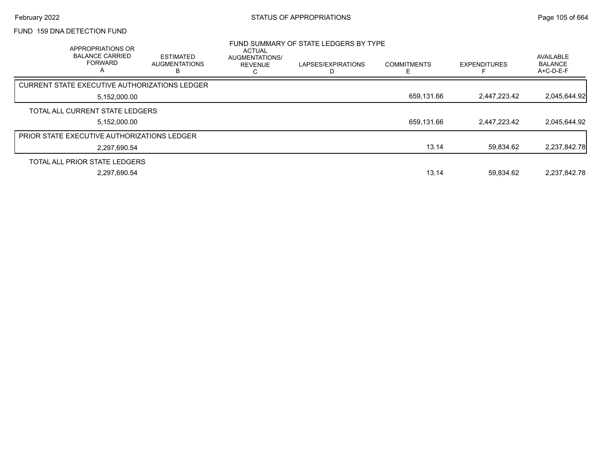### FUND 159 DNA DETECTION FUND

| APPROPRIATIONS OR<br><b>BALANCE CARRIED</b><br><b>FORWARD</b><br>А | <b>ESTIMATED</b><br><b>AUGMENTATIONS</b> | ACTUAL<br>AUGMENTATIONS/<br><b>REVENUE</b> | FUND SUMMARY OF STATE LEDGERS BY TYPE<br>LAPSES/EXPIRATIONS | <b>COMMITMENTS</b> | <b>EXPENDITURES</b> | AVAILABLE<br><b>BALANCE</b><br>A+C-D-E-F |
|--------------------------------------------------------------------|------------------------------------------|--------------------------------------------|-------------------------------------------------------------|--------------------|---------------------|------------------------------------------|
| <b>CURRENT STATE EXECUTIVE AUTHORIZATIONS LEDGER</b>               |                                          |                                            |                                                             |                    |                     |                                          |
| 5,152,000.00                                                       |                                          |                                            |                                                             | 659,131.66         | 2,447,223.42        | 2,045,644.92                             |
| TOTAL ALL CURRENT STATE LEDGERS                                    |                                          |                                            |                                                             |                    |                     |                                          |
| 5,152,000.00                                                       |                                          |                                            |                                                             | 659,131.66         | 2,447,223.42        | 2,045,644.92                             |
| <b>PRIOR STATE EXECUTIVE AUTHORIZATIONS LEDGER</b>                 |                                          |                                            |                                                             |                    |                     |                                          |
| 2.297.690.54                                                       |                                          |                                            |                                                             | 13.14              | 59.834.62           | 2,237,842.78                             |
| TOTAL ALL PRIOR STATE LEDGERS                                      |                                          |                                            |                                                             |                    |                     |                                          |
| 2.297.690.54                                                       |                                          |                                            |                                                             | 13.14              | 59.834.62           | 2.237.842.78                             |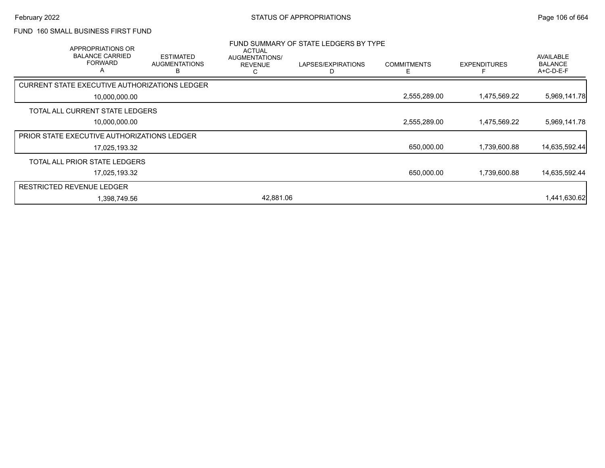### FUND 160 SMALL BUSINESS FIRST FUND

|                                  | APPROPRIATIONS OR<br><b>BALANCE CARRIED</b><br><b>FORWARD</b><br>A | <b>ESTIMATED</b><br><b>AUGMENTATIONS</b><br>В | ACTUAL<br>AUGMENTATIONS/<br><b>REVENUE</b><br>С | FUND SUMMARY OF STATE LEDGERS BY TYPE<br>LAPSES/EXPIRATIONS<br>D | <b>COMMITMENTS</b><br>F | <b>EXPENDITURES</b> | AVAILABLE<br><b>BALANCE</b><br>A+C-D-E-F |
|----------------------------------|--------------------------------------------------------------------|-----------------------------------------------|-------------------------------------------------|------------------------------------------------------------------|-------------------------|---------------------|------------------------------------------|
|                                  |                                                                    | CURRENT STATE EXECUTIVE AUTHORIZATIONS LEDGER |                                                 |                                                                  |                         |                     |                                          |
|                                  | 10,000,000.00                                                      |                                               |                                                 |                                                                  | 2,555,289.00            | 1,475,569.22        | 5,969,141.78                             |
|                                  | TOTAL ALL CURRENT STATE LEDGERS                                    |                                               |                                                 |                                                                  |                         |                     |                                          |
|                                  | 10,000,000.00                                                      |                                               |                                                 |                                                                  | 2,555,289.00            | 1,475,569.22        | 5,969,141.78                             |
|                                  | <b>PRIOR STATE EXECUTIVE AUTHORIZATIONS LEDGER</b>                 |                                               |                                                 |                                                                  |                         |                     |                                          |
|                                  | 17,025,193.32                                                      |                                               |                                                 |                                                                  | 650,000.00              | 1,739,600.88        | 14,635,592.44                            |
|                                  | TOTAL ALL PRIOR STATE LEDGERS                                      |                                               |                                                 |                                                                  |                         |                     |                                          |
|                                  | 17,025,193.32                                                      |                                               |                                                 |                                                                  | 650,000.00              | 1,739,600.88        | 14,635,592.44                            |
| <b>RESTRICTED REVENUE LEDGER</b> |                                                                    |                                               |                                                 |                                                                  |                         |                     |                                          |
|                                  | 1,398,749.56                                                       |                                               | 42,881.06                                       |                                                                  |                         |                     | 1,441,630.62                             |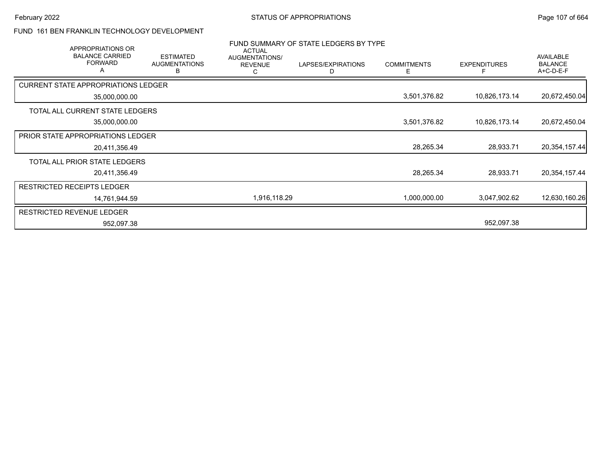### FUND 161 BEN FRANKLIN TECHNOLOGY DEVELOPMENT

| APPROPRIATIONS OR                             |                                               | <b>ACTUAL</b>                         | FUND SUMMARY OF STATE LEDGERS BY TYPE |                         |                     |                                                 |
|-----------------------------------------------|-----------------------------------------------|---------------------------------------|---------------------------------------|-------------------------|---------------------|-------------------------------------------------|
| <b>BALANCE CARRIED</b><br><b>FORWARD</b><br>A | <b>ESTIMATED</b><br><b>AUGMENTATIONS</b><br>В | AUGMENTATIONS/<br><b>REVENUE</b><br>С | LAPSES/EXPIRATIONS                    | <b>COMMITMENTS</b><br>F | <b>EXPENDITURES</b> | <b>AVAILABLE</b><br><b>BALANCE</b><br>A+C-D-E-F |
| <b>CURRENT STATE APPROPRIATIONS LEDGER</b>    |                                               |                                       |                                       |                         |                     |                                                 |
| 35,000,000.00                                 |                                               |                                       |                                       | 3,501,376.82            | 10,826,173.14       | 20,672,450.04                                   |
| TOTAL ALL CURRENT STATE LEDGERS               |                                               |                                       |                                       |                         |                     |                                                 |
| 35,000,000.00                                 |                                               |                                       |                                       | 3,501,376.82            | 10,826,173.14       | 20,672,450.04                                   |
| PRIOR STATE APPROPRIATIONS LEDGER             |                                               |                                       |                                       |                         |                     |                                                 |
| 20,411,356.49                                 |                                               |                                       |                                       | 28,265.34               | 28,933.71           | 20, 354, 157. 44                                |
| TOTAL ALL PRIOR STATE LEDGERS                 |                                               |                                       |                                       |                         |                     |                                                 |
| 20,411,356.49                                 |                                               |                                       |                                       | 28,265.34               | 28,933.71           | 20,354,157.44                                   |
| <b>RESTRICTED RECEIPTS LEDGER</b>             |                                               |                                       |                                       |                         |                     |                                                 |
| 14,761,944.59                                 |                                               | 1,916,118.29                          |                                       | 1,000,000.00            | 3,047,902.62        | 12,630,160.26                                   |
| <b>RESTRICTED REVENUE LEDGER</b>              |                                               |                                       |                                       |                         |                     |                                                 |
| 952,097.38                                    |                                               |                                       |                                       |                         | 952,097.38          |                                                 |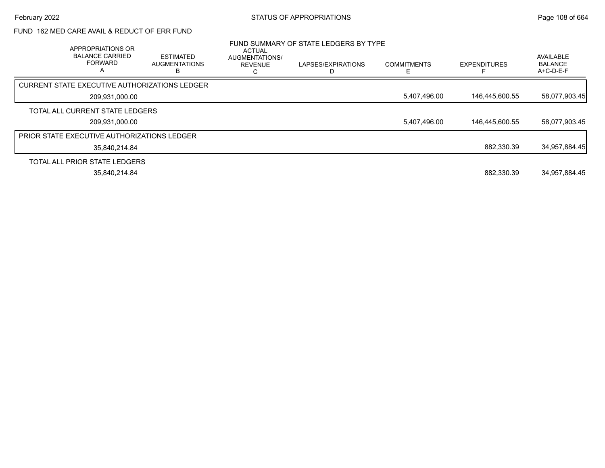## FUND 162 MED CARE AVAIL & REDUCT OF ERR FUND

| APPROPRIATIONS OR<br><b>BALANCE CARRIED</b><br><b>FORWARD</b><br>А | <b>ESTIMATED</b><br><b>AUGMENTATIONS</b> | ACTUAL<br>AUGMENTATIONS/<br><b>REVENUE</b> | FUND SUMMARY OF STATE LEDGERS BY TYPE<br>LAPSES/EXPIRATIONS | <b>COMMITMENTS</b> | <b>EXPENDITURES</b> | AVAILABLE<br><b>BALANCE</b><br>A+C-D-E-F |
|--------------------------------------------------------------------|------------------------------------------|--------------------------------------------|-------------------------------------------------------------|--------------------|---------------------|------------------------------------------|
| CURRENT STATE EXECUTIVE AUTHORIZATIONS LEDGER                      |                                          |                                            |                                                             |                    |                     |                                          |
| 209,931,000.00                                                     |                                          |                                            |                                                             | 5,407,496.00       | 146,445,600.55      | 58,077,903.45                            |
| TOTAL ALL CURRENT STATE LEDGERS                                    |                                          |                                            |                                                             |                    |                     |                                          |
| 209,931,000.00                                                     |                                          |                                            |                                                             | 5,407,496.00       | 146,445,600.55      | 58,077,903.45                            |
| <b>PRIOR STATE EXECUTIVE AUTHORIZATIONS LEDGER</b>                 |                                          |                                            |                                                             |                    |                     |                                          |
| 35.840.214.84                                                      |                                          |                                            |                                                             |                    | 882.330.39          | 34,957,884.45                            |
| TOTAL ALL PRIOR STATE LEDGERS                                      |                                          |                                            |                                                             |                    |                     |                                          |
| 35,840,214.84                                                      |                                          |                                            |                                                             |                    | 882.330.39          | 34,957,884.45                            |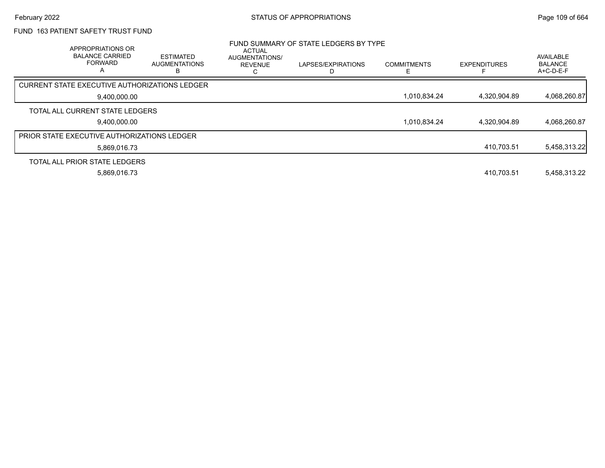## FUND 163 PATIENT SAFETY TRUST FUND

| APPROPRIATIONS OR<br><b>BALANCE CARRIED</b><br><b>FORWARD</b><br>A | <b>ESTIMATED</b><br><b>AUGMENTATIONS</b> | ACTUAL<br>AUGMENTATIONS/<br><b>REVENUE</b><br>ι. | FUND SUMMARY OF STATE LEDGERS BY TYPE<br>LAPSES/EXPIRATIONS | <b>COMMITMENTS</b> | <b>EXPENDITURES</b> | <b>AVAILABLE</b><br><b>BALANCE</b><br>$A+C-D-E-F$ |
|--------------------------------------------------------------------|------------------------------------------|--------------------------------------------------|-------------------------------------------------------------|--------------------|---------------------|---------------------------------------------------|
| <b>CURRENT STATE EXECUTIVE AUTHORIZATIONS LEDGER</b>               |                                          |                                                  |                                                             |                    |                     |                                                   |
| 9.400.000.00                                                       |                                          |                                                  |                                                             | 1,010,834.24       | 4,320,904.89        | 4,068,260.87                                      |
| TOTAL ALL CURRENT STATE LEDGERS                                    |                                          |                                                  |                                                             |                    |                     |                                                   |
| 9,400,000.00                                                       |                                          |                                                  |                                                             | 1,010,834.24       | 4,320,904.89        | 4,068,260.87                                      |
| <b>PRIOR STATE EXECUTIVE AUTHORIZATIONS LEDGER</b>                 |                                          |                                                  |                                                             |                    |                     |                                                   |
| 5.869.016.73                                                       |                                          |                                                  |                                                             |                    | 410,703.51          | 5,458,313.22                                      |
| TOTAL ALL PRIOR STATE LEDGERS                                      |                                          |                                                  |                                                             |                    |                     |                                                   |
| 5,869,016.73                                                       |                                          |                                                  |                                                             |                    | 410.703.51          | 5,458,313.22                                      |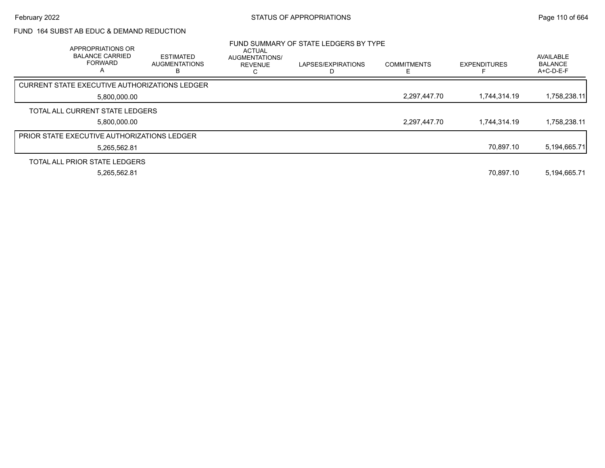### FUND 164 SUBST AB EDUC & DEMAND REDUCTION

| APPROPRIATIONS OR<br><b>BALANCE CARRIED</b><br><b>FORWARD</b><br>A | <b>ESTIMATED</b><br><b>AUGMENTATIONS</b> | <b>ACTUAL</b><br><b>AUGMENTATIONS/</b><br><b>REVENUE</b> | FUND SUMMARY OF STATE LEDGERS BY TYPE<br>LAPSES/EXPIRATIONS | <b>COMMITMENTS</b> | <b>EXPENDITURES</b> | AVAILABLE<br><b>BALANCE</b><br>A+C-D-E-F |
|--------------------------------------------------------------------|------------------------------------------|----------------------------------------------------------|-------------------------------------------------------------|--------------------|---------------------|------------------------------------------|
| CURRENT STATE EXECUTIVE AUTHORIZATIONS LEDGER                      |                                          |                                                          |                                                             |                    |                     |                                          |
| 5,800,000.00                                                       |                                          |                                                          |                                                             | 2,297,447.70       | 1.744.314.19        | 1,758,238.11                             |
| TOTAL ALL CURRENT STATE LEDGERS                                    |                                          |                                                          |                                                             |                    |                     |                                          |
| 5.800.000.00                                                       |                                          |                                                          |                                                             | 2,297,447.70       | 1.744.314.19        | 1,758,238.11                             |
| <b>PRIOR STATE EXECUTIVE AUTHORIZATIONS LEDGER</b>                 |                                          |                                                          |                                                             |                    |                     |                                          |
| 5,265,562.81                                                       |                                          |                                                          |                                                             |                    | 70.897.10           | 5,194,665.71                             |
| TOTAL ALL PRIOR STATE LEDGERS                                      |                                          |                                                          |                                                             |                    |                     |                                          |
| 5,265,562.81                                                       |                                          |                                                          |                                                             |                    | 70.897.10           | 5,194,665.71                             |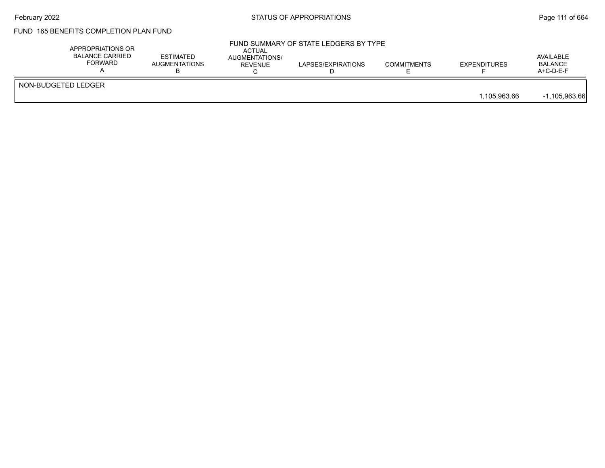## February 2022 **Example 2022** Page 111 of 664

# FUND 165 BENEFITS COMPLETION PLAN FUND

| NON-BUDGETED LEDGER | APPROPRIATIONS OR<br><b>BALANCE CARRIED</b><br><b>FORWARD</b> | <b>ESTIMATED</b><br><b>AUGMENTATIONS</b> | <b>ACTUAL</b><br>AUGMENTATIONS/<br>REVENUE | FUND SUMMARY OF STATE LEDGERS BY TYPE<br>LAPSES/EXPIRATIONS | <b>COMMITMENTS</b> | <b>EXPENDITURES</b> | AVAILABLE<br><b>BALANCE</b><br>$A+C-D-E-F$ |
|---------------------|---------------------------------------------------------------|------------------------------------------|--------------------------------------------|-------------------------------------------------------------|--------------------|---------------------|--------------------------------------------|
|                     |                                                               |                                          |                                            |                                                             |                    | 1.105.963.66        | $-1,105,963.66$                            |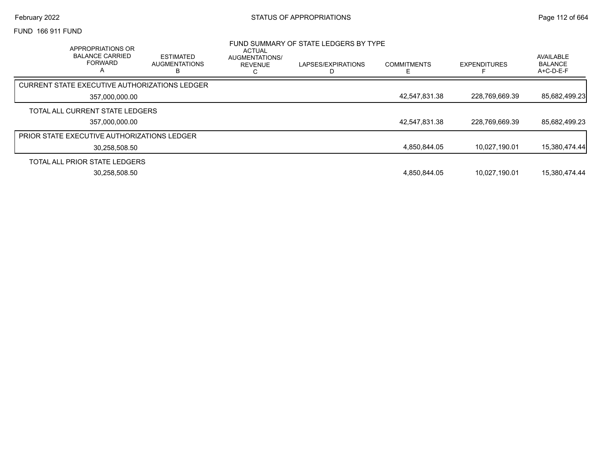FUND 166 911 FUND

| APPROPRIATIONS OR<br><b>BALANCE CARRIED</b><br><b>FORWARD</b><br>$\overline{a}$ | <b>ESTIMATED</b><br><b>AUGMENTATIONS</b><br>R | <b>ACTUAL</b><br>AUGMENTATIONS/<br><b>REVENUE</b><br>U | FUND SUMMARY OF STATE LEDGERS BY TYPE<br>LAPSES/EXPIRATIONS | <b>COMMITMENTS</b> | <b>EXPENDITURES</b> | AVAILABLE<br><b>BALANCE</b><br>A+C-D-E-F |
|---------------------------------------------------------------------------------|-----------------------------------------------|--------------------------------------------------------|-------------------------------------------------------------|--------------------|---------------------|------------------------------------------|
| CURRENT STATE EXECUTIVE AUTHORIZATIONS LEDGER                                   |                                               |                                                        |                                                             |                    |                     |                                          |
| 357.000.000.00                                                                  |                                               |                                                        |                                                             | 42,547,831.38      | 228,769,669.39      | 85,682,499.23                            |
| TOTAL ALL CURRENT STATE LEDGERS                                                 |                                               |                                                        |                                                             |                    |                     |                                          |
| 357.000.000.00                                                                  |                                               |                                                        |                                                             | 42,547,831.38      | 228,769,669.39      | 85,682,499.23                            |
| <b>PRIOR STATE EXECUTIVE AUTHORIZATIONS LEDGER</b>                              |                                               |                                                        |                                                             |                    |                     |                                          |
| 30.258.508.50                                                                   |                                               |                                                        |                                                             | 4.850.844.05       | 10.027.190.01       | 15,380,474.44                            |
| TOTAL ALL PRIOR STATE LEDGERS                                                   |                                               |                                                        |                                                             |                    |                     |                                          |
| 30.258.508.50                                                                   |                                               |                                                        |                                                             | 4.850.844.05       | 10.027.190.01       | 15.380.474.44                            |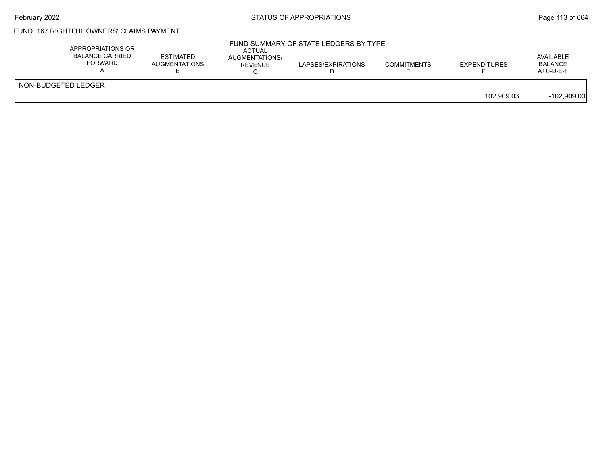### February 2022 **STATUS OF APPROPRIATIONS** STATUS OF APPROPRIATIONS

## FUND 167 RIGHTFUL OWNERS' CLAIMS PAYMENT

|            | APPROPRIATIONS OR<br><b>BALANCE CARRIED</b><br>FORWARD | <b>ESTIMATED</b><br>AUGMENTATIONS | <b>ACTUAL</b><br>AUGMENTATIONS/<br>REVENUE | FUND SUMMARY OF STATE LEDGERS BY TYPE<br>LAPSES/EXPIRATIONS | <b>COMMITMENTS</b> | <b>EXPENDITURES</b> | AVAILABLE<br>BALANCE<br>$A+C-D-E-F$ |
|------------|--------------------------------------------------------|-----------------------------------|--------------------------------------------|-------------------------------------------------------------|--------------------|---------------------|-------------------------------------|
| 102.909.03 | NON-BUDGETED LEDGER                                    |                                   |                                            |                                                             |                    |                     | $-102,909.03$                       |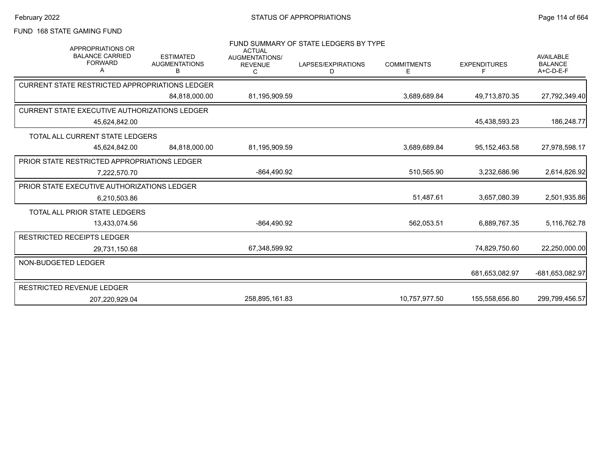### FUND 168 STATE GAMING FUND

| <b>APPROPRIATIONS OR</b><br><b>BALANCE CARRIED</b><br><b>FORWARD</b><br>А | <b>ESTIMATED</b><br><b>AUGMENTATIONS</b><br>B | <b>ACTUAL</b><br><b>AUGMENTATIONS/</b><br><b>REVENUE</b><br>С | FUND SUMMARY OF STATE LEDGERS BY TYPE<br>LAPSES/EXPIRATIONS<br>D | <b>COMMITMENTS</b><br>Е | <b>EXPENDITURES</b><br>F | <b>AVAILABLE</b><br><b>BALANCE</b><br>A+C-D-E-F |
|---------------------------------------------------------------------------|-----------------------------------------------|---------------------------------------------------------------|------------------------------------------------------------------|-------------------------|--------------------------|-------------------------------------------------|
| <b>CURRENT STATE RESTRICTED APPROPRIATIONS LEDGER</b>                     |                                               |                                                               |                                                                  |                         |                          |                                                 |
|                                                                           | 84.818.000.00                                 | 81,195,909.59                                                 |                                                                  | 3,689,689.84            | 49,713,870.35            | 27,792,349.40                                   |
| <b>CURRENT STATE EXECUTIVE AUTHORIZATIONS LEDGER</b>                      |                                               |                                                               |                                                                  |                         |                          |                                                 |
| 45,624,842.00                                                             |                                               |                                                               |                                                                  |                         | 45,438,593.23            | 186,248.77                                      |
| TOTAL ALL CURRENT STATE LEDGERS                                           |                                               |                                                               |                                                                  |                         |                          |                                                 |
| 45,624,842.00                                                             | 84,818,000.00                                 | 81,195,909.59                                                 |                                                                  | 3,689,689.84            | 95, 152, 463.58          | 27,978,598.17                                   |
| PRIOR STATE RESTRICTED APPROPRIATIONS LEDGER                              |                                               |                                                               |                                                                  |                         |                          |                                                 |
| 7.222.570.70                                                              |                                               | -864,490.92                                                   |                                                                  | 510,565.90              | 3,232,686.96             | 2,614,826.92                                    |
| PRIOR STATE EXECUTIVE AUTHORIZATIONS LEDGER                               |                                               |                                                               |                                                                  |                         |                          |                                                 |
| 6,210,503.86                                                              |                                               |                                                               |                                                                  | 51,487.61               | 3,657,080.39             | 2,501,935.86                                    |
| TOTAL ALL PRIOR STATE LEDGERS                                             |                                               |                                                               |                                                                  |                         |                          |                                                 |
| 13,433,074.56                                                             |                                               | -864,490.92                                                   |                                                                  | 562,053.51              | 6,889,767.35             | 5,116,762.78                                    |
| <b>RESTRICTED RECEIPTS LEDGER</b>                                         |                                               |                                                               |                                                                  |                         |                          |                                                 |
| 29,731,150.68                                                             |                                               | 67,348,599.92                                                 |                                                                  |                         | 74,829,750.60            | 22,250,000.00                                   |
| NON-BUDGETED LEDGER                                                       |                                               |                                                               |                                                                  |                         |                          |                                                 |
|                                                                           |                                               |                                                               |                                                                  |                         | 681,653,082.97           | -681,653,082.97                                 |
| RESTRICTED REVENUE LEDGER                                                 |                                               |                                                               |                                                                  |                         |                          |                                                 |
| 207,220,929.04                                                            |                                               | 258,895,161.83                                                |                                                                  | 10,757,977.50           | 155,558,656.80           | 299,799,456.57                                  |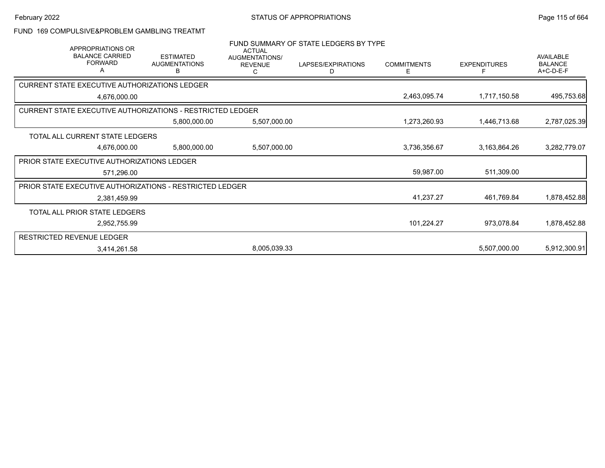## FUND 169 COMPULSIVE&PROBLEM GAMBLING TREATMT

| <b>APPROPRIATIONS OR</b>                                          |                                               | <b>ACTUAL</b>                         | FUND SUMMARY OF STATE LEDGERS BY TYPE |                         |                     |                                                 |
|-------------------------------------------------------------------|-----------------------------------------------|---------------------------------------|---------------------------------------|-------------------------|---------------------|-------------------------------------------------|
| <b>BALANCE CARRIED</b><br><b>FORWARD</b>                          | <b>ESTIMATED</b><br><b>AUGMENTATIONS</b><br>в | AUGMENTATIONS/<br><b>REVENUE</b><br>С | LAPSES/EXPIRATIONS<br>D               | <b>COMMITMENTS</b><br>E | <b>EXPENDITURES</b> | <b>AVAILABLE</b><br><b>BALANCE</b><br>A+C-D-E-F |
| <b>CURRENT STATE EXECUTIVE AUTHORIZATIONS LEDGER</b>              |                                               |                                       |                                       |                         |                     |                                                 |
| 4,676,000.00                                                      |                                               |                                       |                                       | 2,463,095.74            | 1,717,150.58        | 495,753.68                                      |
| <b>CURRENT STATE EXECUTIVE AUTHORIZATIONS - RESTRICTED LEDGER</b> |                                               |                                       |                                       |                         |                     |                                                 |
|                                                                   | 5,800,000.00                                  | 5,507,000.00                          |                                       | 1,273,260.93            | 1,446,713.68        | 2,787,025.39                                    |
| TOTAL ALL CURRENT STATE LEDGERS                                   |                                               |                                       |                                       |                         |                     |                                                 |
| 4,676,000.00                                                      | 5,800,000.00                                  | 5,507,000.00                          |                                       | 3,736,356.67            | 3,163,864.26        | 3,282,779.07                                    |
| PRIOR STATE EXECUTIVE AUTHORIZATIONS LEDGER                       |                                               |                                       |                                       |                         |                     |                                                 |
| 571,296.00                                                        |                                               |                                       |                                       | 59,987.00               | 511,309.00          |                                                 |
| <b>PRIOR STATE EXECUTIVE AUTHORIZATIONS - RESTRICTED LEDGER</b>   |                                               |                                       |                                       |                         |                     |                                                 |
| 2,381,459.99                                                      |                                               |                                       |                                       | 41,237.27               | 461,769.84          | 1,878,452.88                                    |
| TOTAL ALL PRIOR STATE LEDGERS                                     |                                               |                                       |                                       |                         |                     |                                                 |
| 2,952,755.99                                                      |                                               |                                       |                                       | 101,224.27              | 973,078.84          | 1,878,452.88                                    |
| <b>RESTRICTED REVENUE LEDGER</b>                                  |                                               |                                       |                                       |                         |                     |                                                 |
| 3,414,261.58                                                      |                                               | 8,005,039.33                          |                                       |                         | 5,507,000.00        | 5,912,300.91                                    |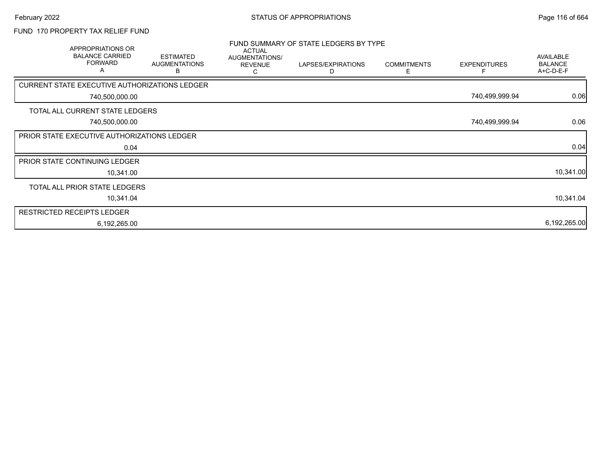## FUND 170 PROPERTY TAX RELIEF FUND

| APPROPRIATIONS OR<br><b>BALANCE CARRIED</b><br><b>FORWARD</b><br>Α | <b>ESTIMATED</b><br><b>AUGMENTATIONS</b><br>В | <b>ACTUAL</b><br>AUGMENTATIONS/<br><b>REVENUE</b><br>С | FUND SUMMARY OF STATE LEDGERS BY TYPE<br>LAPSES/EXPIRATIONS<br>D | <b>COMMITMENTS</b><br>E. | <b>EXPENDITURES</b> | AVAILABLE<br><b>BALANCE</b><br>A+C-D-E-F |
|--------------------------------------------------------------------|-----------------------------------------------|--------------------------------------------------------|------------------------------------------------------------------|--------------------------|---------------------|------------------------------------------|
| CURRENT STATE EXECUTIVE AUTHORIZATIONS LEDGER                      |                                               |                                                        |                                                                  |                          |                     |                                          |
| 740,500,000.00                                                     |                                               |                                                        |                                                                  |                          | 740,499,999.94      | 0.06                                     |
| TOTAL ALL CURRENT STATE LEDGERS                                    |                                               |                                                        |                                                                  |                          |                     |                                          |
| 740,500,000.00                                                     |                                               |                                                        |                                                                  |                          | 740,499,999.94      | 0.06                                     |
| PRIOR STATE EXECUTIVE AUTHORIZATIONS LEDGER                        |                                               |                                                        |                                                                  |                          |                     |                                          |
| 0.04                                                               |                                               |                                                        |                                                                  |                          |                     | 0.04                                     |
| PRIOR STATE CONTINUING LEDGER                                      |                                               |                                                        |                                                                  |                          |                     |                                          |
| 10,341.00                                                          |                                               |                                                        |                                                                  |                          |                     | 10,341.00                                |
| TOTAL ALL PRIOR STATE LEDGERS                                      |                                               |                                                        |                                                                  |                          |                     |                                          |
| 10,341.04                                                          |                                               |                                                        |                                                                  |                          |                     | 10,341.04                                |
| <b>RESTRICTED RECEIPTS LEDGER</b>                                  |                                               |                                                        |                                                                  |                          |                     |                                          |
| 6,192,265.00                                                       |                                               |                                                        |                                                                  |                          |                     | 6,192,265.00                             |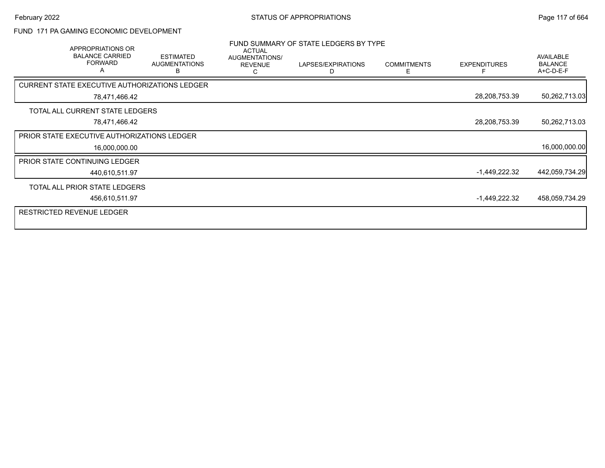### FUND 171 PA GAMING ECONOMIC DEVELOPMENT

| APPROPRIATIONS OR<br><b>BALANCE CARRIED</b><br><b>FORWARD</b><br>Α | <b>ESTIMATED</b><br><b>AUGMENTATIONS</b><br>В | <b>ACTUAL</b><br>AUGMENTATIONS/<br><b>REVENUE</b><br>С | FUND SUMMARY OF STATE LEDGERS BY TYPE<br>LAPSES/EXPIRATIONS<br>Ð | <b>COMMITMENTS</b><br>E | <b>EXPENDITURES</b> | <b>AVAILABLE</b><br><b>BALANCE</b><br>A+C-D-E-F |
|--------------------------------------------------------------------|-----------------------------------------------|--------------------------------------------------------|------------------------------------------------------------------|-------------------------|---------------------|-------------------------------------------------|
| CURRENT STATE EXECUTIVE AUTHORIZATIONS LEDGER                      |                                               |                                                        |                                                                  |                         |                     |                                                 |
| 78,471,466.42                                                      |                                               |                                                        |                                                                  |                         | 28,208,753.39       | 50,262,713.03                                   |
| TOTAL ALL CURRENT STATE LEDGERS                                    |                                               |                                                        |                                                                  |                         |                     |                                                 |
| 78,471,466.42                                                      |                                               |                                                        |                                                                  |                         | 28,208,753.39       | 50,262,713.03                                   |
| PRIOR STATE EXECUTIVE AUTHORIZATIONS LEDGER                        |                                               |                                                        |                                                                  |                         |                     |                                                 |
| 16,000,000.00                                                      |                                               |                                                        |                                                                  |                         |                     | 16,000,000.00                                   |
| <b>PRIOR STATE CONTINUING LEDGER</b>                               |                                               |                                                        |                                                                  |                         |                     |                                                 |
| 440,610,511.97                                                     |                                               |                                                        |                                                                  |                         | -1,449,222.32       | 442,059,734.29                                  |
| TOTAL ALL PRIOR STATE LEDGERS                                      |                                               |                                                        |                                                                  |                         |                     |                                                 |
| 456,610,511.97                                                     |                                               |                                                        |                                                                  |                         | -1,449,222.32       | 458,059,734.29                                  |
| <b>RESTRICTED REVENUE LEDGER</b>                                   |                                               |                                                        |                                                                  |                         |                     |                                                 |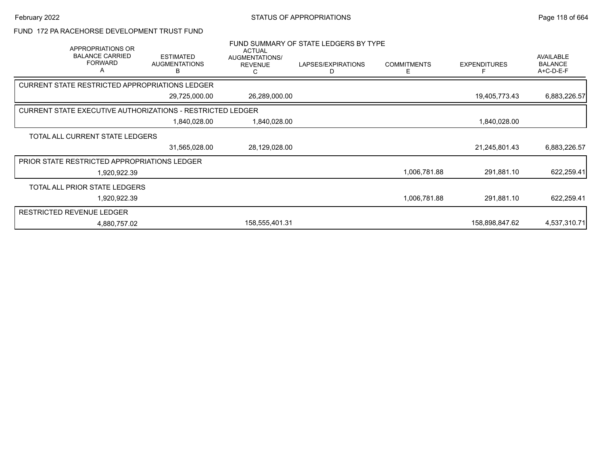#### FUND 172 PA RACEHORSE DEVELOPMENT TRUST FUND

| APPROPRIATIONS OR<br><b>BALANCE CARRIED</b><br><b>FORWARD</b><br>Α | <b>ESTIMATED</b><br><b>AUGMENTATIONS</b><br>в | <b>ACTUAL</b><br>AUGMENTATIONS/<br><b>REVENUE</b> | FUND SUMMARY OF STATE LEDGERS BY TYPE<br>LAPSES/EXPIRATIONS<br>D | <b>COMMITMENTS</b><br>E | <b>EXPENDITURES</b> | <b>AVAILABLE</b><br><b>BALANCE</b><br>A+C-D-E-F |
|--------------------------------------------------------------------|-----------------------------------------------|---------------------------------------------------|------------------------------------------------------------------|-------------------------|---------------------|-------------------------------------------------|
| <b>CURRENT STATE RESTRICTED APPROPRIATIONS LEDGER</b>              |                                               |                                                   |                                                                  |                         |                     |                                                 |
|                                                                    | 29,725,000.00                                 | 26,289,000.00                                     |                                                                  |                         | 19,405,773.43       | 6,883,226.57                                    |
| <b>CURRENT STATE EXECUTIVE AUTHORIZATIONS - RESTRICTED LEDGER</b>  |                                               |                                                   |                                                                  |                         |                     |                                                 |
|                                                                    | 1,840,028.00                                  | 1,840,028.00                                      |                                                                  |                         | 1,840,028.00        |                                                 |
| TOTAL ALL CURRENT STATE LEDGERS                                    |                                               |                                                   |                                                                  |                         |                     |                                                 |
|                                                                    | 31,565,028.00                                 | 28,129,028.00                                     |                                                                  |                         | 21,245,801.43       | 6,883,226.57                                    |
| PRIOR STATE RESTRICTED APPROPRIATIONS LEDGER                       |                                               |                                                   |                                                                  |                         |                     |                                                 |
| 1,920,922.39                                                       |                                               |                                                   |                                                                  | 1,006,781.88            | 291,881.10          | 622,259.41                                      |
| TOTAL ALL PRIOR STATE LEDGERS                                      |                                               |                                                   |                                                                  |                         |                     |                                                 |
| 1,920,922.39                                                       |                                               |                                                   |                                                                  | 1,006,781.88            | 291,881.10          | 622,259.41                                      |
| <b>RESTRICTED REVENUE LEDGER</b>                                   |                                               |                                                   |                                                                  |                         |                     |                                                 |
| 4.880.757.02                                                       |                                               | 158,555,401.31                                    |                                                                  |                         | 158,898,847.62      | 4,537,310.71                                    |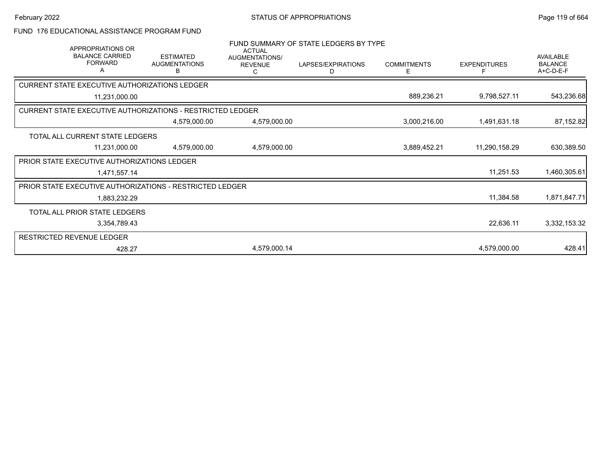## FUND 176 EDUCATIONAL ASSISTANCE PROGRAM FUND

| <b>APPROPRIATIONS OR</b><br><b>BALANCE CARRIED</b><br><b>FORWARD</b><br>A | <b>ESTIMATED</b><br><b>AUGMENTATIONS</b><br>В | <b>ACTUAL</b><br>AUGMENTATIONS/<br><b>REVENUE</b><br>С | FUND SUMMARY OF STATE LEDGERS BY TYPE<br>LAPSES/EXPIRATIONS<br>D | <b>COMMITMENTS</b><br>Е | <b>EXPENDITURES</b><br>F | <b>AVAILABLE</b><br><b>BALANCE</b><br>A+C-D-E-F |
|---------------------------------------------------------------------------|-----------------------------------------------|--------------------------------------------------------|------------------------------------------------------------------|-------------------------|--------------------------|-------------------------------------------------|
| CURRENT STATE EXECUTIVE AUTHORIZATIONS LEDGER                             |                                               |                                                        |                                                                  |                         |                          |                                                 |
| 11,231,000.00                                                             |                                               |                                                        |                                                                  | 889,236.21              | 9,798,527.11             | 543,236.68                                      |
| <b>CURRENT STATE EXECUTIVE AUTHORIZATIONS - RESTRICTED LEDGER</b>         |                                               |                                                        |                                                                  |                         |                          |                                                 |
|                                                                           | 4,579,000.00                                  | 4,579,000.00                                           |                                                                  | 3,000,216.00            | 1,491,631.18             | 87,152.82                                       |
| TOTAL ALL CURRENT STATE LEDGERS                                           |                                               |                                                        |                                                                  |                         |                          |                                                 |
| 11,231,000.00                                                             | 4,579,000.00                                  | 4,579,000.00                                           |                                                                  | 3,889,452.21            | 11,290,158.29            | 630,389.50                                      |
| <b>PRIOR STATE EXECUTIVE AUTHORIZATIONS LEDGER</b>                        |                                               |                                                        |                                                                  |                         |                          |                                                 |
| 1,471,557.14                                                              |                                               |                                                        |                                                                  |                         | 11,251.53                | 1,460,305.61                                    |
| <b>PRIOR STATE EXECUTIVE AUTHORIZATIONS - RESTRICTED LEDGER</b>           |                                               |                                                        |                                                                  |                         |                          |                                                 |
| 1,883,232.29                                                              |                                               |                                                        |                                                                  |                         | 11,384.58                | 1,871,847.71                                    |
| TOTAL ALL PRIOR STATE LEDGERS                                             |                                               |                                                        |                                                                  |                         |                          |                                                 |
| 3,354,789.43                                                              |                                               |                                                        |                                                                  |                         | 22,636.11                | 3,332,153.32                                    |
| RESTRICTED REVENUE LEDGER                                                 |                                               |                                                        |                                                                  |                         |                          |                                                 |
| 428.27                                                                    |                                               | 4,579,000.14                                           |                                                                  |                         | 4,579,000.00             | 428.41                                          |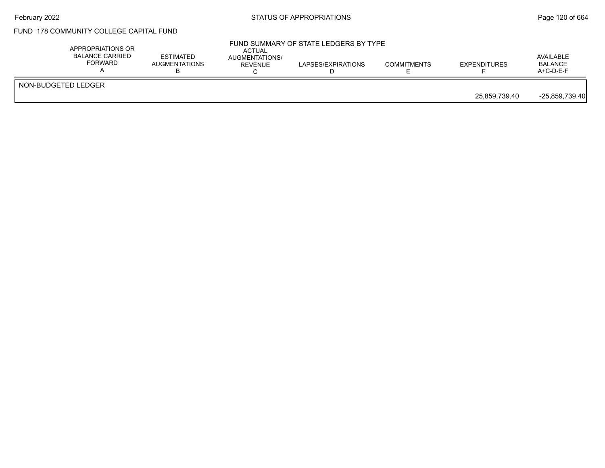## FUND 178 COMMUNITY COLLEGE CAPITAL FUND

|                     | APPROPRIATIONS OR<br><b>BALANCE CARRIED</b><br><b>FORWARD</b> | <b>ESTIMATED</b><br>AUGMENTATIONS | ACTUAL<br>AUGMENTATIONS/<br>REVENUE | FUND SUMMARY OF STATE LEDGERS BY TYPE<br>LAPSES/EXPIRATIONS | <b>COMMITMENTS</b> | <b>EXPENDITURES</b> | AVAILABLE<br><b>BALANCE</b><br>$A+C-D-E-F$ |
|---------------------|---------------------------------------------------------------|-----------------------------------|-------------------------------------|-------------------------------------------------------------|--------------------|---------------------|--------------------------------------------|
| NON-BUDGETED LEDGER |                                                               |                                   |                                     |                                                             |                    | 25,859,739.40       | $-25,859,739.40$                           |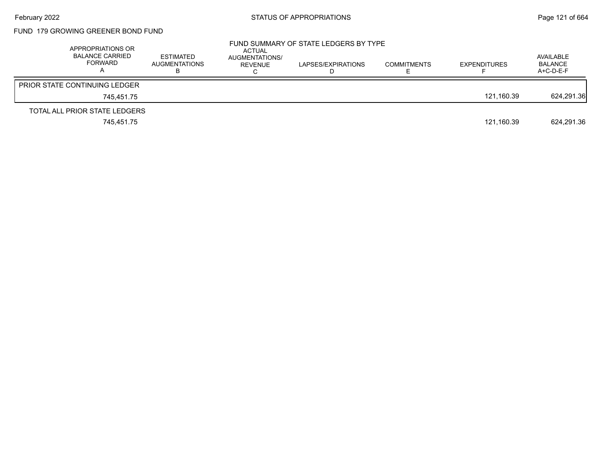# FUND 179 GROWING GREENER BOND FUND

| APPROPRIATIONS OR<br><b>BALANCE CARRIED</b><br>FORWARD | <b>ESTIMATED</b><br><b>AUGMENTATIONS</b> | ACTUAL<br>AUGMENTATIONS/<br>REVENUE | FUND SUMMARY OF STATE LEDGERS BY TYPE<br>LAPSES/EXPIRATIONS | <b>COMMITMENTS</b> | <b>EXPENDITURES</b> | AVAILABLE<br><b>BALANCE</b><br>$A+C-D-E-F$ |
|--------------------------------------------------------|------------------------------------------|-------------------------------------|-------------------------------------------------------------|--------------------|---------------------|--------------------------------------------|
| <b>PRIOR STATE CONTINUING LEDGER</b>                   |                                          |                                     |                                                             |                    |                     |                                            |
| 745.451.75                                             |                                          |                                     |                                                             |                    | 121.160.39          | 624,291.36                                 |
| TOTAL ALL PRIOR STATE LEDGERS                          |                                          |                                     |                                                             |                    |                     |                                            |
| 745,451.75                                             |                                          |                                     |                                                             |                    | 121,160.39          | 624.291.36                                 |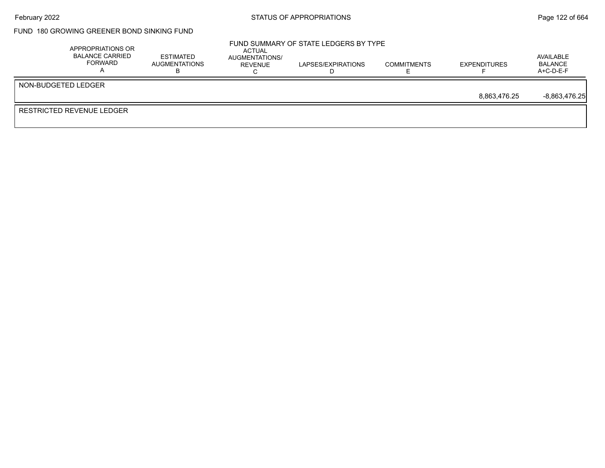## February 2022 **Example 2022** STATUS OF APPROPRIATIONS **Page 122 of 664**

## FUND 180 GROWING GREENER BOND SINKING FUND

|                     | APPROPRIATIONS OR<br><b>BALANCE CARRIED</b><br><b>FORWARD</b> | <b>ESTIMATED</b><br>AUGMENTATIONS | <b>ACTUAL</b><br>AUGMENTATIONS/<br>REVENUE | FUND SUMMARY OF STATE LEDGERS BY TYPE<br>LAPSES/EXPIRATIONS | <b>COMMITMENTS</b> | <b>EXPENDITURES</b> | AVAILABLE<br><b>BALANCE</b><br>$A+C-D-E-F$ |
|---------------------|---------------------------------------------------------------|-----------------------------------|--------------------------------------------|-------------------------------------------------------------|--------------------|---------------------|--------------------------------------------|
| NON-BUDGETED LEDGER |                                                               |                                   |                                            |                                                             |                    |                     |                                            |
|                     |                                                               |                                   |                                            |                                                             |                    | 8.863.476.25        | $-8,863,476.25$                            |
|                     | <b>RESTRICTED REVENUE LEDGER</b>                              |                                   |                                            |                                                             |                    |                     |                                            |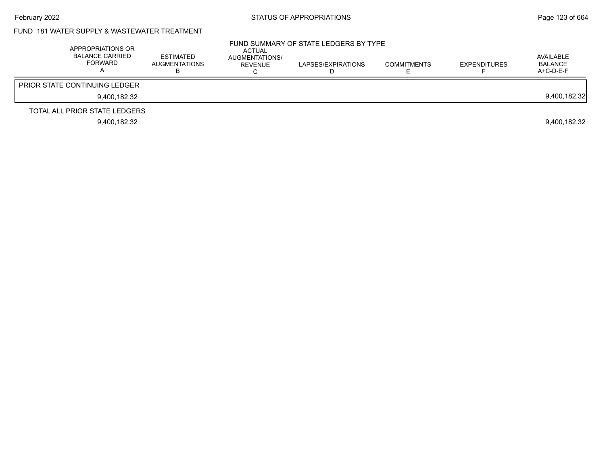### FUND 181 WATER SUPPLY & WASTEWATER TREATMENT

| APPROPRIATIONS OR<br>BALANCE CARRIED<br><b>FORWARD</b> | <b>ESTIMATED</b><br><b>AUGMENTATIONS</b> | ACTUAL<br>AUGMENTATIONS/<br>REVENUE | FUND SUMMARY OF STATE LEDGERS BY TYPE<br>LAPSES/EXPIRATIONS | <b>COMMITMENTS</b> | <b>EXPENDITURES</b> | AVAILABLE<br><b>BALANCE</b><br>$A+C-D-E-F$ |
|--------------------------------------------------------|------------------------------------------|-------------------------------------|-------------------------------------------------------------|--------------------|---------------------|--------------------------------------------|
| <b>PRIOR STATE CONTINUING LEDGER</b>                   |                                          |                                     |                                                             |                    |                     |                                            |
| 9.400.182.32                                           |                                          |                                     |                                                             |                    |                     | 9,400,182.32                               |
| TOTAL ALL PRIOR STATE LEDGERS                          |                                          |                                     |                                                             |                    |                     |                                            |
| 9.400.182.32                                           |                                          |                                     |                                                             |                    |                     | 9.400.182.32                               |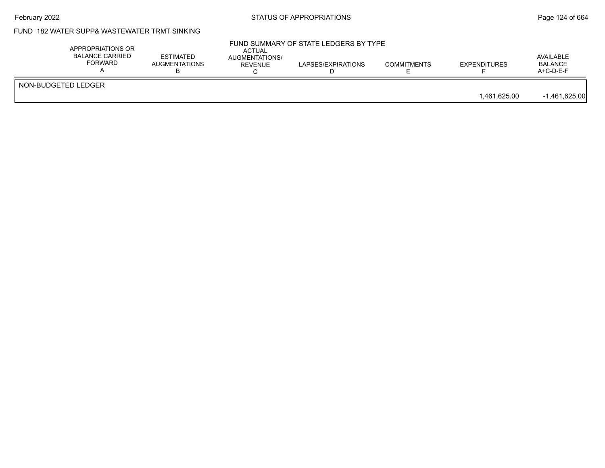## February 2022 **Example 2022** Page 124 of 664

## FUND 182 WATER SUPP& WASTEWATER TRMT SINKING

| APPROPRIATIONS OR<br>BALANCE CARRIED<br><b>FORWARD</b> | <b>ESTIMATED</b><br><b>AUGMENTATIONS</b> | ACTUAL<br>AUGMENTATIONS/<br><b>REVENUE</b> | FUND SUMMARY OF STATE LEDGERS BY TYPE<br>LAPSES/EXPIRATIONS | <b>COMMITMENTS</b> | <b>EXPENDITURES</b> | AVAILABLE<br><b>BALANCE</b><br>$A+C-D-E-F$ |
|--------------------------------------------------------|------------------------------------------|--------------------------------------------|-------------------------------------------------------------|--------------------|---------------------|--------------------------------------------|
| NON-BUDGETED LEDGER                                    |                                          |                                            |                                                             |                    | 1.461.625.00        | $-1,461,625.00$                            |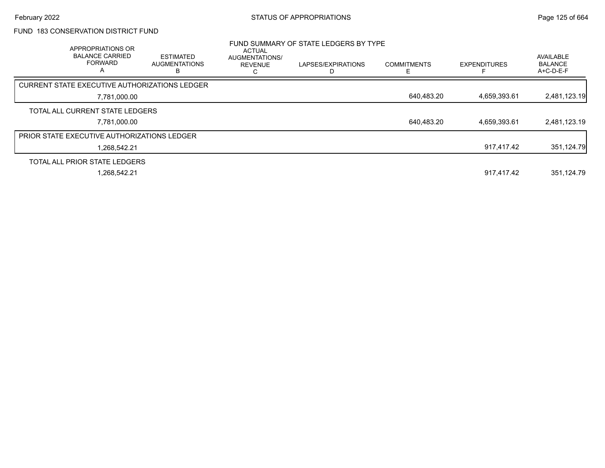## FUND 183 CONSERVATION DISTRICT FUND

| <b>APPROPRIATIONS OR</b><br><b>BALANCE CARRIED</b><br><b>FORWARD</b><br>$\overline{A}$ | <b>ESTIMATED</b><br><b>AUGMENTATIONS</b><br>B | ACTUAL<br>AUGMENTATIONS/<br><b>REVENUE</b><br>ι. | FUND SUMMARY OF STATE LEDGERS BY TYPE<br>LAPSES/EXPIRATIONS | <b>COMMITMENTS</b> | <b>EXPENDITURES</b> | AVAILABLE<br><b>BALANCE</b><br>A+C-D-E-F |
|----------------------------------------------------------------------------------------|-----------------------------------------------|--------------------------------------------------|-------------------------------------------------------------|--------------------|---------------------|------------------------------------------|
| <b>CURRENT STATE EXECUTIVE AUTHORIZATIONS LEDGER</b>                                   |                                               |                                                  |                                                             |                    |                     |                                          |
| 7,781,000.00                                                                           |                                               |                                                  |                                                             | 640,483.20         | 4,659,393.61        | 2,481,123.19                             |
| TOTAL ALL CURRENT STATE LEDGERS                                                        |                                               |                                                  |                                                             |                    |                     |                                          |
| 7.781.000.00                                                                           |                                               |                                                  |                                                             | 640,483.20         | 4.659.393.61        | 2,481,123.19                             |
| <b>PRIOR STATE EXECUTIVE AUTHORIZATIONS LEDGER</b>                                     |                                               |                                                  |                                                             |                    |                     |                                          |
| 1.268.542.21                                                                           |                                               |                                                  |                                                             |                    | 917.417.42          | 351,124.79                               |
| TOTAL ALL PRIOR STATE LEDGERS                                                          |                                               |                                                  |                                                             |                    |                     |                                          |
| 1.268.542.21                                                                           |                                               |                                                  |                                                             |                    | 917.417.42          | 351.124.79                               |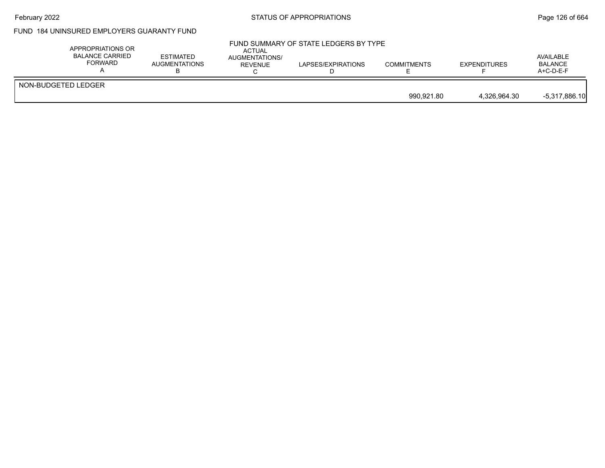## February 2022 **Example 2018** STATUS OF APPROPRIATIONS **Page 126 of 664**

## FUND 184 UNINSURED EMPLOYERS GUARANTY FUND

| APPROPRIATIONS OR<br><b>BALANCE CARRIED</b><br>FORWARD | <b>ESTIMATED</b><br><b>AUGMENTATIONS</b> | ACTUAL<br>AUGMENTATIONS/<br><b>REVENUE</b> | FUND SUMMARY OF STATE LEDGERS BY TYPE<br>LAPSES/EXPIRATIONS | <b>COMMITMENTS</b> | <b>EXPENDITURES</b> | AVAILABLE<br><b>BALANCE</b><br>$A+C-D-E-F$ |
|--------------------------------------------------------|------------------------------------------|--------------------------------------------|-------------------------------------------------------------|--------------------|---------------------|--------------------------------------------|
| NON-BUDGETED LEDGER                                    |                                          |                                            |                                                             |                    |                     |                                            |
|                                                        |                                          |                                            |                                                             | 990.921.80         | 4.326.964.30        | $-5,317,886.10$                            |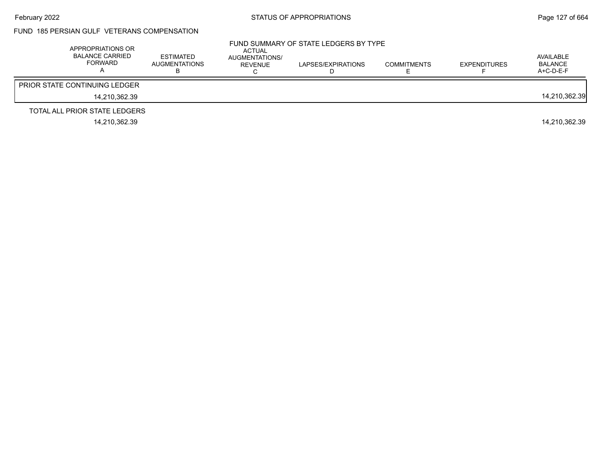#### FUND 185 PERSIAN GULF VETERANS COMPENSATION

| APPROPRIATIONS OR<br><b>BALANCE CARRIED</b><br><b>FORWARD</b> | <b>ESTIMATED</b><br><b>AUGMENTATIONS</b> | ACTUAL<br>AUGMENTATIONS/<br>REVENUE | FUND SUMMARY OF STATE LEDGERS BY TYPE<br>LAPSES/EXPIRATIONS | <b>COMMITMENTS</b> | <b>EXPENDITURES</b> | AVAILABLE<br>BALANCE<br>$A+C-D-E-F$ |
|---------------------------------------------------------------|------------------------------------------|-------------------------------------|-------------------------------------------------------------|--------------------|---------------------|-------------------------------------|
| <b>PRIOR STATE CONTINUING LEDGER</b>                          |                                          |                                     |                                                             |                    |                     |                                     |
| 14.210.362.39                                                 |                                          |                                     |                                                             |                    |                     | 14,210,362.39                       |
| TOTAL ALL PRIOR STATE LEDGERS                                 |                                          |                                     |                                                             |                    |                     |                                     |
| 14.210.362.39                                                 |                                          |                                     |                                                             |                    |                     | 14.210.362.39                       |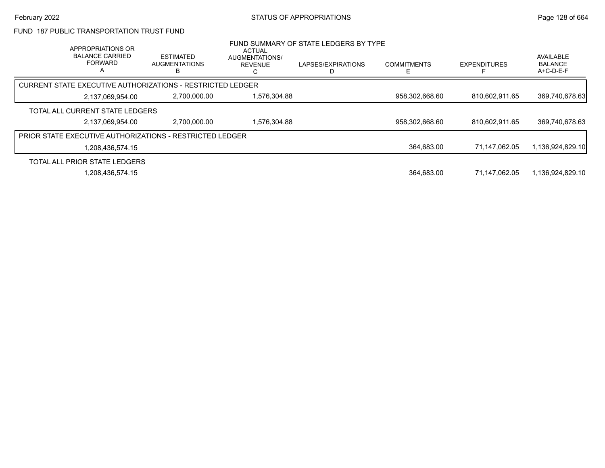#### FUND 187 PUBLIC TRANSPORTATION TRUST FUND

| APPROPRIATIONS OR<br><b>BALANCE CARRIED</b><br><b>FORWARD</b><br>A | <b>ESTIMATED</b><br><b>AUGMENTATIONS</b>                        | <b>ACTUAL</b><br>AUGMENTATIONS/<br><b>REVENUE</b> | FUND SUMMARY OF STATE LEDGERS BY TYPE<br>LAPSES/EXPIRATIONS | <b>COMMITMENTS</b> | <b>EXPENDITURES</b> | AVAILABLE<br><b>BALANCE</b><br>$A+C-D-E-F$ |
|--------------------------------------------------------------------|-----------------------------------------------------------------|---------------------------------------------------|-------------------------------------------------------------|--------------------|---------------------|--------------------------------------------|
|                                                                    | CURRENT STATE EXECUTIVE AUTHORIZATIONS - RESTRICTED LEDGER      |                                                   |                                                             |                    |                     |                                            |
| 2,137,069,954.00                                                   | 2,700,000.00                                                    | 576,304.88                                        |                                                             | 958.302.668.60     | 810.602.911.65      | 369,740,678.63                             |
| TOTAL ALL CURRENT STATE LEDGERS                                    |                                                                 |                                                   |                                                             |                    |                     |                                            |
| 2,137,069,954.00                                                   | 2.700.000.00                                                    | .576.304.88                                       |                                                             | 958,302,668.60     | 810.602.911.65      | 369,740,678.63                             |
|                                                                    | <b>PRIOR STATE EXECUTIVE AUTHORIZATIONS - RESTRICTED LEDGER</b> |                                                   |                                                             |                    |                     |                                            |
| 1,208,436,574.15                                                   |                                                                 |                                                   |                                                             | 364,683.00         | 71.147.062.05       | 1,136,924,829.10                           |
| TOTAL ALL PRIOR STATE LEDGERS                                      |                                                                 |                                                   |                                                             |                    |                     |                                            |
| 1,208,436,574.15                                                   |                                                                 |                                                   |                                                             | 364,683.00         | 71.147.062.05       | 1,136,924,829.10                           |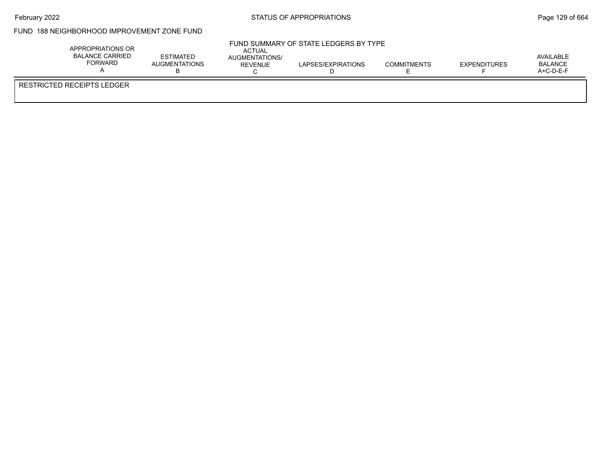## FUND 188 NEIGHBORHOOD IMPROVEMENT ZONE FUND

| APPROPRIATIONS OR<br><b>BALANCE CARRIED</b><br><b>FORWARD</b> | <b>ESTIMATED</b><br><b>AUGMENTATIONS</b> | <b>ACTUAL</b><br>AUGMENTATIONS/<br>REVENUE | FUND SUMMARY OF STATE LEDGERS BY TYPE<br>LAPSES/EXPIRATIONS | <b>COMMITMENTS</b> | <b>EXPENDITURES</b> | AVAILABLE<br><b>BALANCE</b><br>A+C-D-E-F |
|---------------------------------------------------------------|------------------------------------------|--------------------------------------------|-------------------------------------------------------------|--------------------|---------------------|------------------------------------------|
| <b>RESTRICTED RECEIPTS LEDGER</b>                             |                                          |                                            |                                                             |                    |                     |                                          |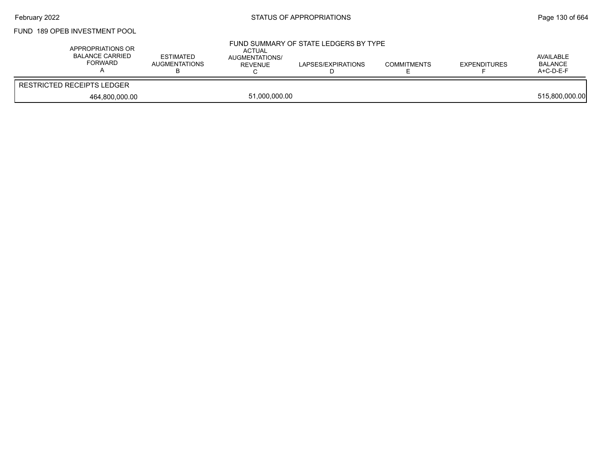### FUND 189 OPEB INVESTMENT POOL

| APPROPRIATIONS OR<br>BALANCE CARRIED<br>FORWARD | <b>ESTIMATED</b><br><b>AUGMENTATIONS</b> | <b>ACTUAL</b><br>AUGMENTATIONS/<br>REVENUE | FUND SUMMARY OF STATE LEDGERS BY TYPE<br>LAPSES/EXPIRATIONS | <b>COMMITMENTS</b> | <b>EXPENDITURES</b> | AVAILABLE<br><b>BALANCE</b><br>$A+C-D-E-F$ |
|-------------------------------------------------|------------------------------------------|--------------------------------------------|-------------------------------------------------------------|--------------------|---------------------|--------------------------------------------|
| <b>RESTRICTED RECEIPTS LEDGER</b>               |                                          |                                            |                                                             |                    |                     |                                            |
| 464.800.000.00                                  |                                          | 51,000,000.00                              |                                                             |                    |                     | 515,800,000.00                             |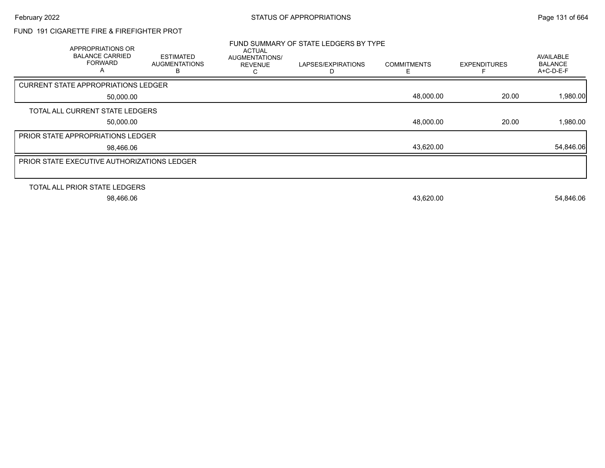### FUND 191 CIGARETTE FIRE & FIREFIGHTER PROT

| APPROPRIATIONS OR<br><b>BALANCE CARRIED</b><br><b>FORWARD</b><br>A | <b>ESTIMATED</b><br><b>AUGMENTATIONS</b><br>B | <b>ACTUAL</b><br>AUGMENTATIONS/<br><b>REVENUE</b> | FUND SUMMARY OF STATE LEDGERS BY TYPE<br>LAPSES/EXPIRATIONS | <b>COMMITMENTS</b> | <b>EXPENDITURES</b> | <b>AVAILABLE</b><br><b>BALANCE</b><br>$A+C-D-E-F$ |
|--------------------------------------------------------------------|-----------------------------------------------|---------------------------------------------------|-------------------------------------------------------------|--------------------|---------------------|---------------------------------------------------|
| <b>CURRENT STATE APPROPRIATIONS LEDGER</b>                         |                                               |                                                   |                                                             |                    |                     |                                                   |
| 50,000.00                                                          |                                               |                                                   |                                                             | 48,000.00          | 20.00               | 1,980.00                                          |
| TOTAL ALL CURRENT STATE LEDGERS                                    |                                               |                                                   |                                                             |                    |                     |                                                   |
| 50,000.00                                                          |                                               |                                                   |                                                             | 48,000.00          | 20.00               | 1,980.00                                          |
| <b>PRIOR STATE APPROPRIATIONS LEDGER</b>                           |                                               |                                                   |                                                             |                    |                     |                                                   |
| 98,466.06                                                          |                                               |                                                   |                                                             | 43,620.00          |                     | 54,846.06                                         |
| <b>PRIOR STATE EXECUTIVE AUTHORIZATIONS LEDGER</b>                 |                                               |                                                   |                                                             |                    |                     |                                                   |
|                                                                    |                                               |                                                   |                                                             |                    |                     |                                                   |
| TOTAL ALL PRIOR STATE LEDGERS                                      |                                               |                                                   |                                                             |                    |                     |                                                   |
| 98,466.06                                                          |                                               |                                                   |                                                             | 43,620.00          |                     | 54,846.06                                         |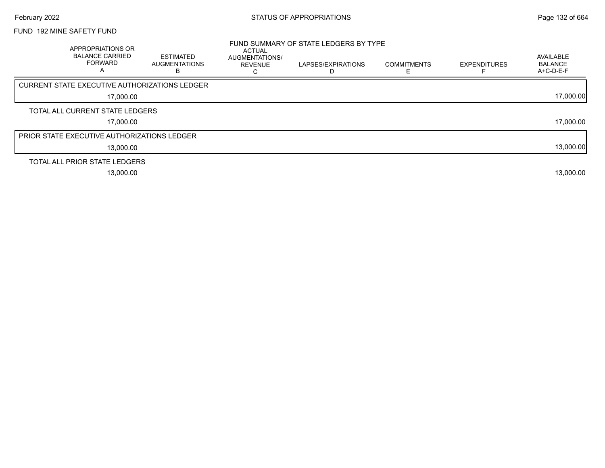### FUND 192 MINE SAFETY FUND

| APPROPRIATIONS OR<br><b>BALANCE CARRIED</b><br><b>FORWARD</b><br>A | <b>ESTIMATED</b><br><b>AUGMENTATIONS</b><br>в | <b>ACTUAL</b><br>AUGMENTATIONS/<br><b>REVENUE</b> | FUND SUMMARY OF STATE LEDGERS BY TYPE<br>LAPSES/EXPIRATIONS | <b>COMMITMENTS</b> | <b>EXPENDITURES</b> | AVAILABLE<br><b>BALANCE</b><br>A+C-D-E-F |
|--------------------------------------------------------------------|-----------------------------------------------|---------------------------------------------------|-------------------------------------------------------------|--------------------|---------------------|------------------------------------------|
| CURRENT STATE EXECUTIVE AUTHORIZATIONS LEDGER                      |                                               |                                                   |                                                             |                    |                     |                                          |
| 17,000.00                                                          |                                               |                                                   |                                                             |                    |                     | 17,000.00                                |
| TOTAL ALL CURRENT STATE LEDGERS                                    |                                               |                                                   |                                                             |                    |                     |                                          |
| 17.000.00                                                          |                                               |                                                   |                                                             |                    |                     | 17,000.00                                |
| <b>PRIOR STATE EXECUTIVE AUTHORIZATIONS LEDGER</b>                 |                                               |                                                   |                                                             |                    |                     |                                          |
| 13,000.00                                                          |                                               |                                                   |                                                             |                    |                     | 13,000.00                                |
| TOTAL ALL PRIOR STATE LEDGERS                                      |                                               |                                                   |                                                             |                    |                     |                                          |
| 13,000.00                                                          |                                               |                                                   |                                                             |                    |                     | 13,000.00                                |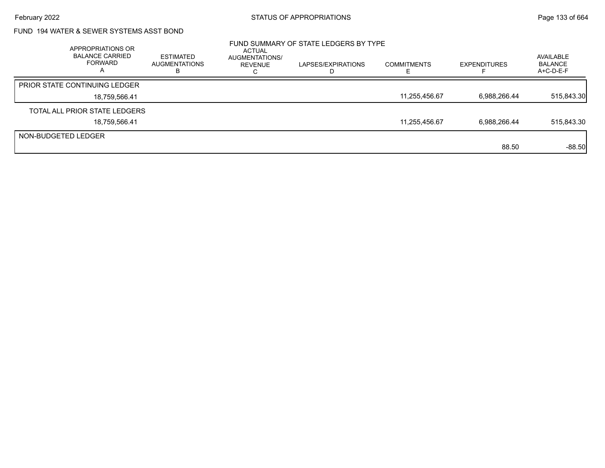### FUND 194 WATER & SEWER SYSTEMS ASST BOND

|                     | APPROPRIATIONS OR<br><b>BALANCE CARRIED</b><br><b>FORWARD</b><br>$\overline{a}$ | ESTIMATED<br><b>AUGMENTATIONS</b><br>в | <b>ACTUAL</b><br>AUGMENTATIONS/<br>REVENUE | FUND SUMMARY OF STATE LEDGERS BY TYPE<br>LAPSES/EXPIRATIONS | <b>COMMITMENTS</b> | <b>EXPENDITURES</b> | AVAILABLE<br><b>BALANCE</b><br>A+C-D-E-F |
|---------------------|---------------------------------------------------------------------------------|----------------------------------------|--------------------------------------------|-------------------------------------------------------------|--------------------|---------------------|------------------------------------------|
|                     | PRIOR STATE CONTINUING LEDGER                                                   |                                        |                                            |                                                             |                    |                     |                                          |
|                     | 18,759,566.41                                                                   |                                        |                                            |                                                             | 11,255,456.67      | 6,988,266.44        | 515,843.30                               |
|                     | TOTAL ALL PRIOR STATE LEDGERS                                                   |                                        |                                            |                                                             |                    |                     |                                          |
|                     | 18,759,566.41                                                                   |                                        |                                            |                                                             | 11,255,456.67      | 6,988,266.44        | 515,843.30                               |
| NON-BUDGETED LEDGER |                                                                                 |                                        |                                            |                                                             |                    |                     |                                          |
|                     |                                                                                 |                                        |                                            |                                                             |                    | 88.50               | $-88.50$                                 |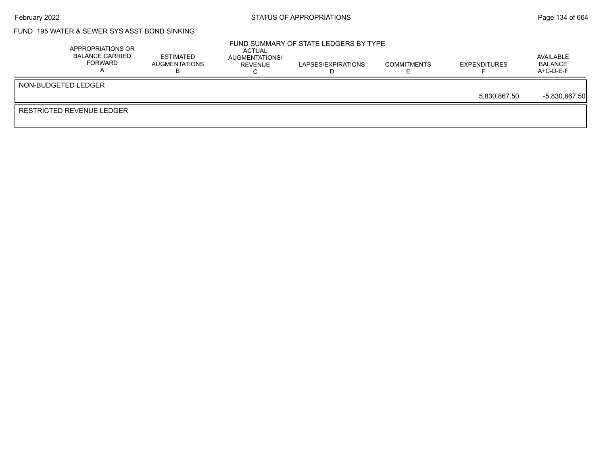## February 2022 **Example 2022** Page 134 of 664

### FUND 195 WATER & SEWER SYS ASST BOND SINKING

| APPROPRIATIONS OR<br>BALANCE CARRIED<br>FORWARD | <b>ESTIMATED</b><br>AUGMENTATIONS | ACTUAL<br>AUGMENTATIONS/<br><b>REVENUE</b> | FUND SUMMARY OF STATE LEDGERS BY TYPE<br>LAPSES/EXPIRATIONS | <b>COMMITMENTS</b> | <b>EXPENDITURES</b> | AVAILABLE<br>BALANCE<br>$A+C-D-E-F$ |
|-------------------------------------------------|-----------------------------------|--------------------------------------------|-------------------------------------------------------------|--------------------|---------------------|-------------------------------------|
| NON-BUDGETED LEDGER                             |                                   |                                            |                                                             |                    |                     |                                     |
|                                                 |                                   |                                            |                                                             |                    | 5.830.867.50        | $-5,830,867.50$                     |
| <b>RESTRICTED REVENUE LEDGER</b>                |                                   |                                            |                                                             |                    |                     |                                     |
|                                                 |                                   |                                            |                                                             |                    |                     |                                     |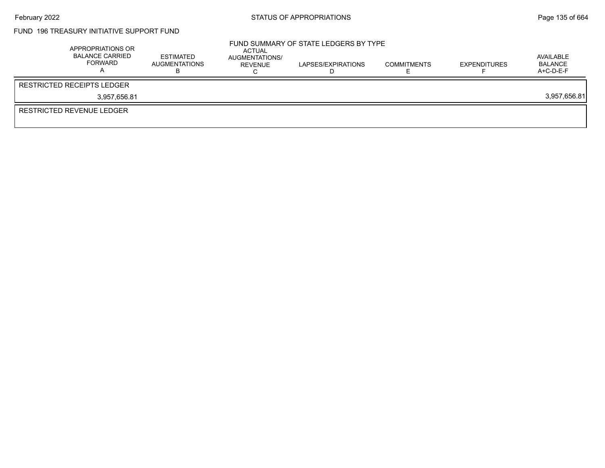### FUND 196 TREASURY INITIATIVE SUPPORT FUND

| APPROPRIATIONS OR<br><b>BALANCE CARRIED</b><br>FORWARD | <b>ESTIMATED</b><br><b>AUGMENTATIONS</b> | ACTUAL<br>AUGMENTATIONS/<br>REVENUE | FUND SUMMARY OF STATE LEDGERS BY TYPE<br>LAPSES/EXPIRATIONS | <b>COMMITMENTS</b> | <b>EXPENDITURES</b> | AVAILABLE<br>BALANCE<br>$A+C-D-E-F$ |
|--------------------------------------------------------|------------------------------------------|-------------------------------------|-------------------------------------------------------------|--------------------|---------------------|-------------------------------------|
| <b>RESTRICTED RECEIPTS LEDGER</b>                      |                                          |                                     |                                                             |                    |                     |                                     |
| 3.957.656.81                                           |                                          |                                     |                                                             |                    |                     | 3,957,656.81                        |
| RESTRICTED REVENUE LEDGER                              |                                          |                                     |                                                             |                    |                     |                                     |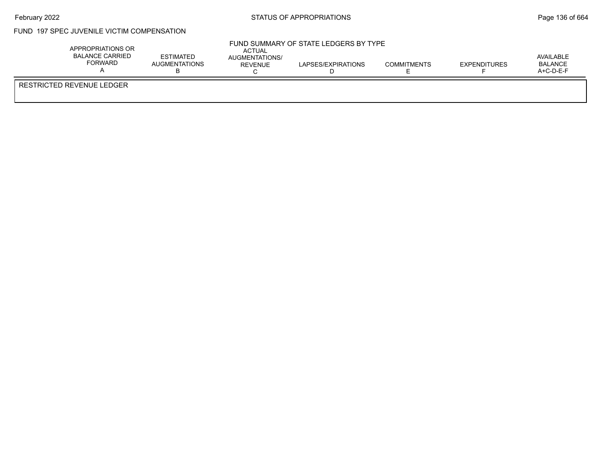$\bar{r}$ 

### FUND 197 SPEC JUVENILE VICTIM COMPENSATION

| APPROPRIATIONS OR<br><b>BALANCE CARRIED</b><br>FORWARD | <b>ESTIMATED</b><br><b>AUGMENTATIONS</b> | ACTUAL<br>AUGMENTATIONS/<br><b>REVENUE</b> | FUND SUMMARY OF STATE LEDGERS BY TYPE<br>LAPSES/EXPIRATIONS | <b>COMMITMENTS</b> | <b>EXPENDITURES</b> | AVAILABLE<br><b>BALANCE</b><br>$A+C-D-E-F$ |
|--------------------------------------------------------|------------------------------------------|--------------------------------------------|-------------------------------------------------------------|--------------------|---------------------|--------------------------------------------|
| RESTRICTED REVENUE LEDGER                              |                                          |                                            |                                                             |                    |                     |                                            |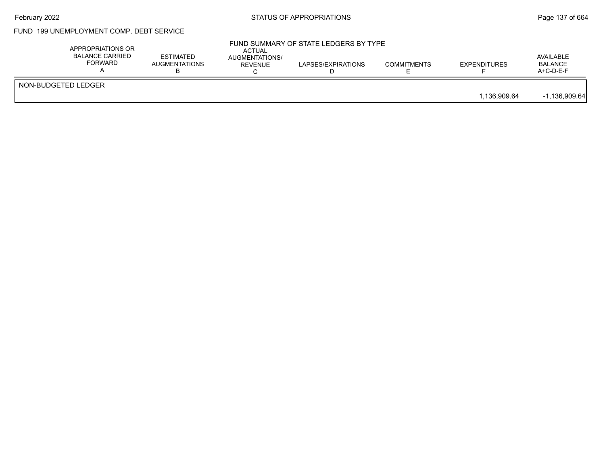## February 2022 **Example 2022** Page 137 of 664

### FUND 199 UNEMPLOYMENT COMP. DEBT SERVICE

|                     | APPROPRIATIONS OR<br><b>BALANCE CARRIED</b><br><b>FORWARD</b> | <b>ESTIMATED</b><br><b>AUGMENTATIONS</b> | <b>ACTUAL</b><br>AUGMENTATIONS/<br><b>REVENUE</b> | FUND SUMMARY OF STATE LEDGERS BY TYPE<br>LAPSES/EXPIRATIONS | <b>COMMITMENTS</b> | <b>EXPENDITURES</b> | AVAILABLE<br><b>BALANCE</b><br>$A+C-D-E-F$ |
|---------------------|---------------------------------------------------------------|------------------------------------------|---------------------------------------------------|-------------------------------------------------------------|--------------------|---------------------|--------------------------------------------|
| NON-BUDGETED LEDGER |                                                               |                                          |                                                   |                                                             |                    | 1.136.909.64        | $-1,136,909.64$                            |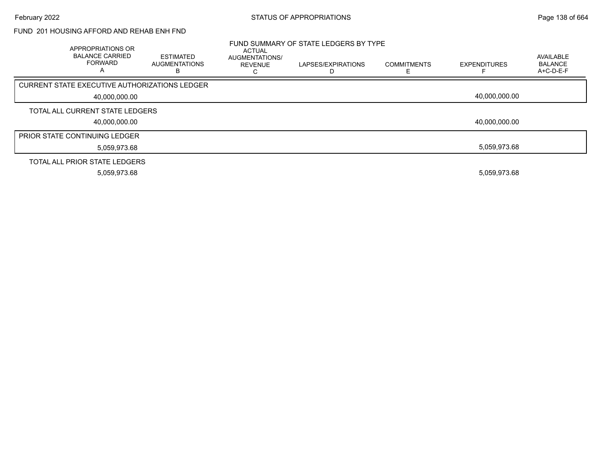#### FUND 201 HOUSING AFFORD AND REHAB ENH FND

| APPROPRIATIONS OR<br><b>BALANCE CARRIED</b><br><b>FORWARD</b> | ESTIMATED<br><b>AUGMENTATIONS</b><br>в | ACTUAL<br>AUGMENTATIONS/<br><b>REVENUE</b> | FUND SUMMARY OF STATE LEDGERS BY TYPE<br>LAPSES/EXPIRATIONS | <b>COMMITMENTS</b> | <b>EXPENDITURES</b> | AVAILABLE<br><b>BALANCE</b><br>$A+C-D-E-F$ |
|---------------------------------------------------------------|----------------------------------------|--------------------------------------------|-------------------------------------------------------------|--------------------|---------------------|--------------------------------------------|
| CURRENT STATE EXECUTIVE AUTHORIZATIONS LEDGER                 |                                        |                                            |                                                             |                    |                     |                                            |
| 40,000,000.00                                                 |                                        |                                            |                                                             |                    | 40.000.000.00       |                                            |
| TOTAL ALL CURRENT STATE LEDGERS                               |                                        |                                            |                                                             |                    |                     |                                            |
| 40,000,000.00                                                 |                                        |                                            |                                                             |                    | 40,000,000.00       |                                            |
| <b>PRIOR STATE CONTINUING LEDGER</b>                          |                                        |                                            |                                                             |                    |                     |                                            |
| 5,059,973.68                                                  |                                        |                                            |                                                             |                    | 5.059.973.68        |                                            |
| TOTAL ALL PRIOR STATE LEDGERS                                 |                                        |                                            |                                                             |                    |                     |                                            |
| 5,059,973.68                                                  |                                        |                                            |                                                             |                    | 5,059,973.68        |                                            |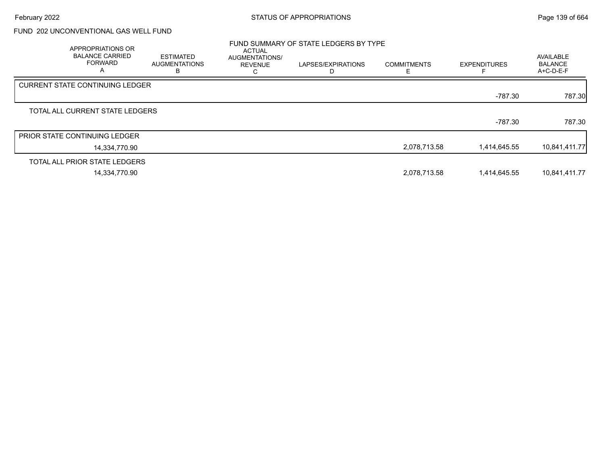### FUND 202 UNCONVENTIONAL GAS WELL FUND

| APPROPRIATIONS OR<br><b>BALANCE CARRIED</b><br><b>FORWARD</b><br>A | <b>ESTIMATED</b><br><b>AUGMENTATIONS</b><br>в | <b>ACTUAL</b><br>AUGMENTATIONS/<br><b>REVENUE</b><br>Ü | FUND SUMMARY OF STATE LEDGERS BY TYPE<br>LAPSES/EXPIRATIONS<br>D | <b>COMMITMENTS</b><br>E | <b>EXPENDITURES</b> | AVAILABLE<br><b>BALANCE</b><br>$A+C-D-E-F$ |
|--------------------------------------------------------------------|-----------------------------------------------|--------------------------------------------------------|------------------------------------------------------------------|-------------------------|---------------------|--------------------------------------------|
| <b>CURRENT STATE CONTINUING LEDGER</b>                             |                                               |                                                        |                                                                  |                         |                     |                                            |
|                                                                    |                                               |                                                        |                                                                  |                         | $-787.30$           | 787.30                                     |
| TOTAL ALL CURRENT STATE LEDGERS                                    |                                               |                                                        |                                                                  |                         |                     |                                            |
|                                                                    |                                               |                                                        |                                                                  |                         | $-787.30$           | 787.30                                     |
| <b>PRIOR STATE CONTINUING LEDGER</b>                               |                                               |                                                        |                                                                  |                         |                     |                                            |
| 14,334,770.90                                                      |                                               |                                                        |                                                                  | 2,078,713.58            | 1,414,645.55        | 10,841,411.77                              |
| TOTAL ALL PRIOR STATE LEDGERS                                      |                                               |                                                        |                                                                  |                         |                     |                                            |
| 14,334,770.90                                                      |                                               |                                                        |                                                                  | 2,078,713.58            | 1,414,645.55        | 10,841,411.77                              |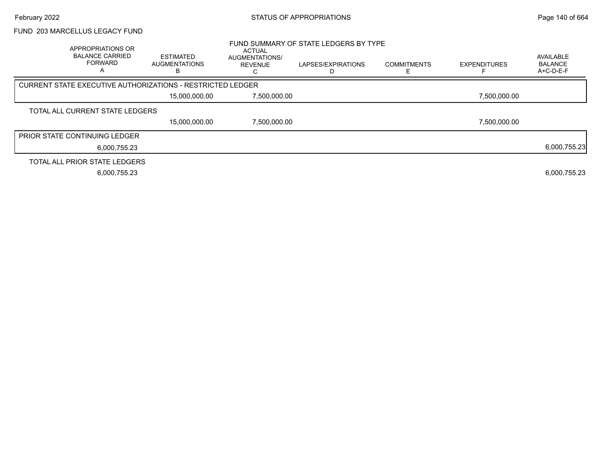#### FUND 203 MARCELLUS LEGACY FUND

| APPROPRIATIONS OR<br><b>BALANCE CARRIED</b><br><b>FORWARD</b><br>A | <b>ESTIMATED</b><br><b>AUGMENTATIONS</b>                   | <b>ACTUAL</b><br>AUGMENTATIONS/<br><b>REVENUE</b> | FUND SUMMARY OF STATE LEDGERS BY TYPE<br>LAPSES/EXPIRATIONS | <b>COMMITMENTS</b> | <b>EXPENDITURES</b> | <b>AVAILABLE</b><br><b>BALANCE</b><br>$A+C-D-E-F$ |
|--------------------------------------------------------------------|------------------------------------------------------------|---------------------------------------------------|-------------------------------------------------------------|--------------------|---------------------|---------------------------------------------------|
|                                                                    | CURRENT STATE EXECUTIVE AUTHORIZATIONS - RESTRICTED LEDGER |                                                   |                                                             |                    |                     |                                                   |
|                                                                    | 15,000,000.00                                              | 7,500,000.00                                      |                                                             |                    | 7,500,000.00        |                                                   |
| TOTAL ALL CURRENT STATE LEDGERS                                    |                                                            |                                                   |                                                             |                    |                     |                                                   |
|                                                                    | 15.000.000.00                                              | 7,500,000.00                                      |                                                             |                    | 7,500,000.00        |                                                   |
| <b>PRIOR STATE CONTINUING LEDGER</b>                               |                                                            |                                                   |                                                             |                    |                     |                                                   |
|                                                                    | 6,000,755.23                                               |                                                   |                                                             |                    |                     | 6,000,755.23                                      |
| TOTAL ALL PRIOR STATE LEDGERS                                      |                                                            |                                                   |                                                             |                    |                     |                                                   |
|                                                                    | 6,000,755.23                                               |                                                   |                                                             |                    |                     | 6,000,755.23                                      |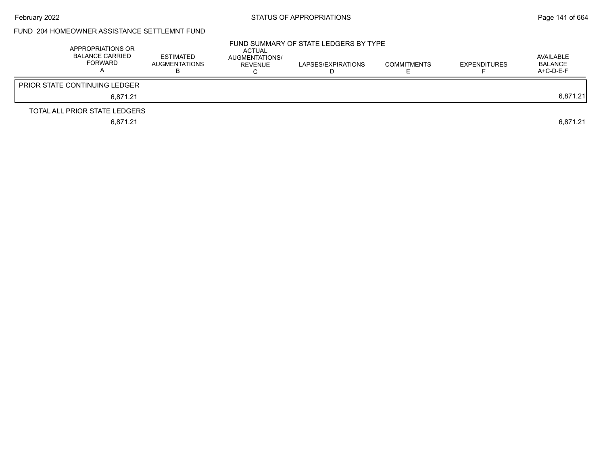### FUND 204 HOMEOWNER ASSISTANCE SETTLEMNT FUND

| APPROPRIATIONS OR<br>BALANCE CARRIED<br>FORWARD | <b>ESTIMATED</b><br><b>AUGMENTATIONS</b> | ACTUAL<br>AUGMENTATIONS/<br><b>REVENUE</b> | FUND SUMMARY OF STATE LEDGERS BY TYPE<br>LAPSES/EXPIRATIONS | <b>COMMITMENTS</b> | <b>EXPENDITURES</b> | AVAILABLE<br>BALANCE<br>$A+C-D-E-F$ |
|-------------------------------------------------|------------------------------------------|--------------------------------------------|-------------------------------------------------------------|--------------------|---------------------|-------------------------------------|
| <b>PRIOR STATE CONTINUING LEDGER</b>            |                                          |                                            |                                                             |                    |                     |                                     |
| 6.871.21                                        |                                          |                                            |                                                             |                    |                     | 6,871.21                            |
| TOTAL ALL PRIOR STATE LEDGERS                   |                                          |                                            |                                                             |                    |                     |                                     |
| 6,871.21                                        |                                          |                                            |                                                             |                    |                     | 6.871.21                            |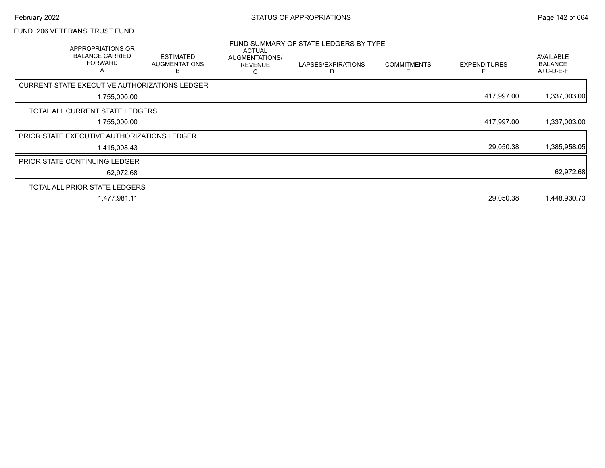## FUND 206 VETERANS' TRUST FUND

| APPROPRIATIONS OR<br><b>BALANCE CARRIED</b><br><b>FORWARD</b> | <b>ESTIMATED</b><br><b>AUGMENTATIONS</b><br>В | <b>ACTUAL</b><br>AUGMENTATIONS/<br><b>REVENUE</b><br>U | FUND SUMMARY OF STATE LEDGERS BY TYPE<br>LAPSES/EXPIRATIONS | <b>COMMITMENTS</b> | <b>EXPENDITURES</b> | AVAILABLE<br><b>BALANCE</b><br>$A+C-D-E-F$ |
|---------------------------------------------------------------|-----------------------------------------------|--------------------------------------------------------|-------------------------------------------------------------|--------------------|---------------------|--------------------------------------------|
| CURRENT STATE EXECUTIVE AUTHORIZATIONS LEDGER                 |                                               |                                                        |                                                             |                    |                     |                                            |
| 1,755,000.00                                                  |                                               |                                                        |                                                             |                    | 417,997.00          | 1,337,003.00                               |
| TOTAL ALL CURRENT STATE LEDGERS                               |                                               |                                                        |                                                             |                    |                     |                                            |
| 1,755,000.00                                                  |                                               |                                                        |                                                             |                    | 417,997.00          | 1,337,003.00                               |
| <b>PRIOR STATE EXECUTIVE AUTHORIZATIONS LEDGER</b>            |                                               |                                                        |                                                             |                    |                     |                                            |
| 1,415,008.43                                                  |                                               |                                                        |                                                             |                    | 29,050.38           | 1,385,958.05                               |
| <b>PRIOR STATE CONTINUING LEDGER</b>                          |                                               |                                                        |                                                             |                    |                     |                                            |
| 62,972.68                                                     |                                               |                                                        |                                                             |                    |                     | 62,972.68                                  |
| TOTAL ALL PRIOR STATE LEDGERS                                 |                                               |                                                        |                                                             |                    |                     |                                            |
| 1,477,981.11                                                  |                                               |                                                        |                                                             |                    | 29,050.38           | 1,448,930.73                               |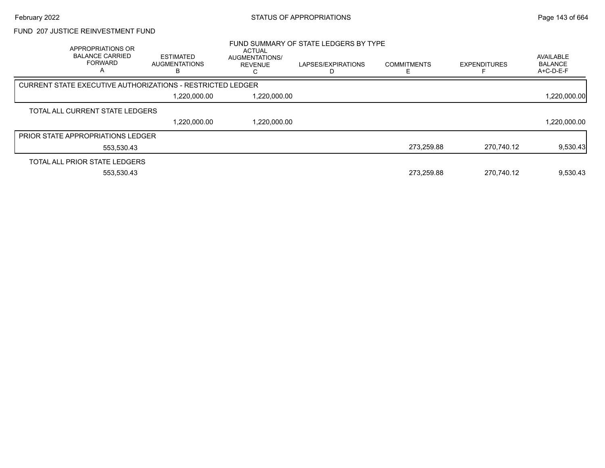#### FUND 207 JUSTICE REINVESTMENT FUND

| APPROPRIATIONS OR<br><b>BALANCE CARRIED</b><br><b>FORWARD</b> | ESTIMATED<br><b>AUGMENTATIONS</b><br>в | ACTUAL<br><b>AUGMENTATIONS/</b><br><b>REVENUE</b> | FUND SUMMARY OF STATE LEDGERS BY TYPE<br>LAPSES/EXPIRATIONS | <b>COMMITMENTS</b> | <b>EXPENDITURES</b> | AVAILABLE<br><b>BALANCE</b><br>A+C-D-E-F |
|---------------------------------------------------------------|----------------------------------------|---------------------------------------------------|-------------------------------------------------------------|--------------------|---------------------|------------------------------------------|
| CURRENT STATE EXECUTIVE AUTHORIZATIONS - RESTRICTED LEDGER    |                                        |                                                   |                                                             |                    |                     |                                          |
|                                                               | 1,220,000.00                           | 1,220,000.00                                      |                                                             |                    |                     | 1,220,000.00                             |
| TOTAL ALL CURRENT STATE LEDGERS                               |                                        |                                                   |                                                             |                    |                     |                                          |
|                                                               | 1,220,000.00                           | 1,220,000.00                                      |                                                             |                    |                     | 1,220,000.00                             |
| <b>PRIOR STATE APPROPRIATIONS LEDGER</b>                      |                                        |                                                   |                                                             |                    |                     |                                          |
| 553.530.43                                                    |                                        |                                                   |                                                             | 273.259.88         | 270.740.12          | 9,530.43                                 |
| TOTAL ALL PRIOR STATE LEDGERS                                 |                                        |                                                   |                                                             |                    |                     |                                          |
| 553.530.43                                                    |                                        |                                                   |                                                             | 273.259.88         | 270.740.12          | 9.530.43                                 |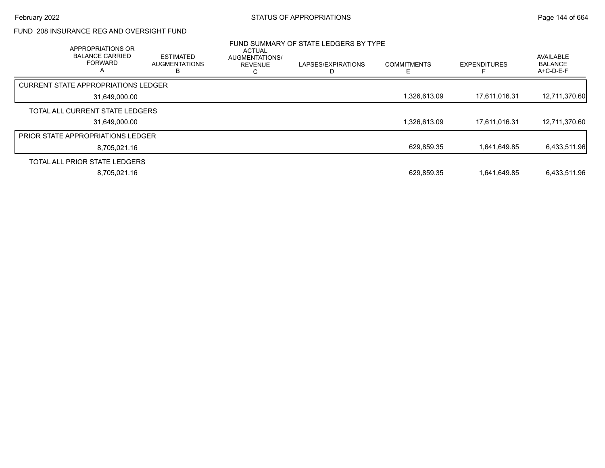### FUND 208 INSURANCE REG AND OVERSIGHT FUND

| APPROPRIATIONS OR<br><b>BALANCE CARRIED</b><br><b>FORWARD</b><br>A | <b>ESTIMATED</b><br><b>AUGMENTATIONS</b><br>ь | <b>ACTUAL</b><br>AUGMENTATIONS/<br><b>REVENUE</b> | FUND SUMMARY OF STATE LEDGERS BY TYPE<br>LAPSES/EXPIRATIONS | <b>COMMITMENTS</b> | <b>EXPENDITURES</b> | AVAILABLE<br><b>BALANCE</b><br>$A+C-D-E-F$ |
|--------------------------------------------------------------------|-----------------------------------------------|---------------------------------------------------|-------------------------------------------------------------|--------------------|---------------------|--------------------------------------------|
| <b>CURRENT STATE APPROPRIATIONS LEDGER</b>                         |                                               |                                                   |                                                             |                    |                     |                                            |
| 31,649,000.00                                                      |                                               |                                                   |                                                             | 1.326.613.09       | 17.611.016.31       | 12,711,370.60                              |
| TOTAL ALL CURRENT STATE LEDGERS                                    |                                               |                                                   |                                                             |                    |                     |                                            |
| 31,649,000.00                                                      |                                               |                                                   |                                                             | 1,326,613.09       | 17,611,016.31       | 12,711,370.60                              |
| <b>PRIOR STATE APPROPRIATIONS LEDGER</b>                           |                                               |                                                   |                                                             |                    |                     |                                            |
| 8,705,021.16                                                       |                                               |                                                   |                                                             | 629,859.35         | 1,641,649.85        | 6,433,511.96                               |
| TOTAL ALL PRIOR STATE LEDGERS                                      |                                               |                                                   |                                                             |                    |                     |                                            |
| 8,705,021.16                                                       |                                               |                                                   |                                                             | 629,859.35         | 1,641,649.85        | 6,433,511.96                               |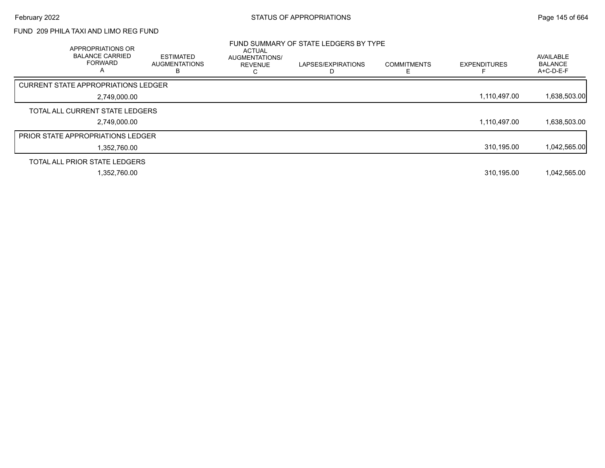# FUND 209 PHILA TAXI AND LIMO REG FUND

| APPROPRIATIONS OR<br><b>BALANCE CARRIED</b><br><b>FORWARD</b><br>A | <b>ESTIMATED</b><br><b>AUGMENTATIONS</b><br>в | <b>ACTUAL</b><br>AUGMENTATIONS/<br><b>REVENUE</b> | FUND SUMMARY OF STATE LEDGERS BY TYPE<br>LAPSES/EXPIRATIONS | <b>COMMITMENTS</b> | <b>EXPENDITURES</b> | <b>AVAILABLE</b><br><b>BALANCE</b><br>A+C-D-E-F |
|--------------------------------------------------------------------|-----------------------------------------------|---------------------------------------------------|-------------------------------------------------------------|--------------------|---------------------|-------------------------------------------------|
| <b>CURRENT STATE APPROPRIATIONS LEDGER</b>                         |                                               |                                                   |                                                             |                    |                     |                                                 |
| 2,749,000.00                                                       |                                               |                                                   |                                                             |                    | 1,110,497.00        | 1,638,503.00                                    |
| TOTAL ALL CURRENT STATE LEDGERS                                    |                                               |                                                   |                                                             |                    |                     |                                                 |
| 2,749,000.00                                                       |                                               |                                                   |                                                             |                    | 1,110,497.00        | 1,638,503.00                                    |
| <b>PRIOR STATE APPROPRIATIONS LEDGER</b>                           |                                               |                                                   |                                                             |                    |                     |                                                 |
| 1,352,760.00                                                       |                                               |                                                   |                                                             |                    | 310,195.00          | 1,042,565.00                                    |
| TOTAL ALL PRIOR STATE LEDGERS                                      |                                               |                                                   |                                                             |                    |                     |                                                 |
| 1,352,760.00                                                       |                                               |                                                   |                                                             |                    | 310,195.00          | 1,042,565.00                                    |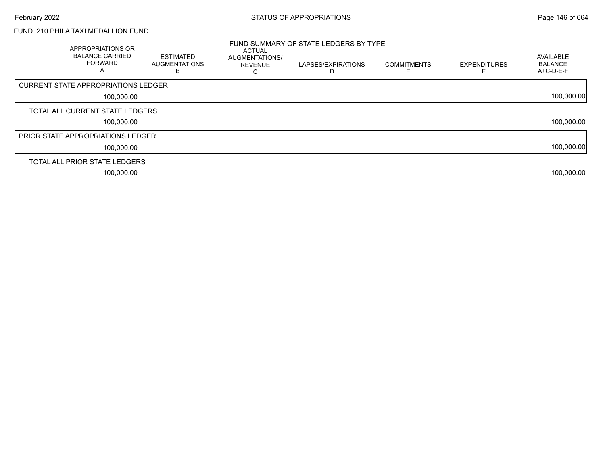# FUND 210 PHILA TAXI MEDALLION FUND

| APPROPRIATIONS OR<br><b>BALANCE CARRIED</b><br><b>FORWARD</b><br>A | <b>ESTIMATED</b><br><b>AUGMENTATIONS</b> | ACTUAL<br>AUGMENTATIONS/<br><b>REVENUE</b> | FUND SUMMARY OF STATE LEDGERS BY TYPE<br>LAPSES/EXPIRATIONS | <b>COMMITMENTS</b> | <b>EXPENDITURES</b> | AVAILABLE<br><b>BALANCE</b><br>A+C-D-E-F |
|--------------------------------------------------------------------|------------------------------------------|--------------------------------------------|-------------------------------------------------------------|--------------------|---------------------|------------------------------------------|
| CURRENT STATE APPROPRIATIONS LEDGER                                |                                          |                                            |                                                             |                    |                     |                                          |
| 100,000.00                                                         |                                          |                                            |                                                             |                    |                     | 100,000.00                               |
| TOTAL ALL CURRENT STATE LEDGERS                                    |                                          |                                            |                                                             |                    |                     |                                          |
| 100.000.00                                                         |                                          |                                            |                                                             |                    |                     | 100,000.00                               |
| <b>PRIOR STATE APPROPRIATIONS LEDGER</b>                           |                                          |                                            |                                                             |                    |                     |                                          |
| 100,000.00                                                         |                                          |                                            |                                                             |                    |                     | 100,000.00                               |
| TOTAL ALL PRIOR STATE LEDGERS                                      |                                          |                                            |                                                             |                    |                     |                                          |
| 100,000.00                                                         |                                          |                                            |                                                             |                    |                     | 100,000.00                               |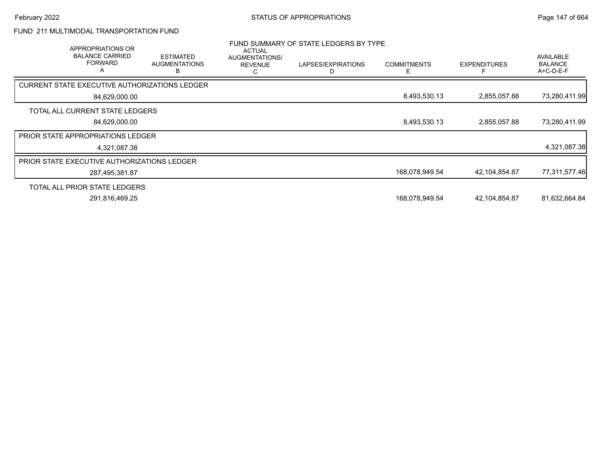# FUND 211 MULTIMODAL TRANSPORTATION FUND

| FUND SUMMARY OF STATE LEDGERS BY TYPE<br>APPROPRIATIONS OR<br><b>ACTUAL</b> |                                               |                                  |                    |                          |                     |                                                 |
|-----------------------------------------------------------------------------|-----------------------------------------------|----------------------------------|--------------------|--------------------------|---------------------|-------------------------------------------------|
| <b>BALANCE CARRIED</b><br><b>FORWARD</b><br>А                               | <b>ESTIMATED</b><br><b>AUGMENTATIONS</b><br>R | AUGMENTATIONS/<br><b>REVENUE</b> | LAPSES/EXPIRATIONS | <b>COMMITMENTS</b><br>E. | <b>EXPENDITURES</b> | <b>AVAILABLE</b><br><b>BALANCE</b><br>A+C-D-E-F |
| <b>CURRENT STATE EXECUTIVE AUTHORIZATIONS LEDGER</b>                        |                                               |                                  |                    |                          |                     |                                                 |
| 84,629,000.00                                                               |                                               |                                  |                    | 8,493,530.13             | 2,855,057.88        | 73,280,411.99                                   |
| TOTAL ALL CURRENT STATE LEDGERS                                             |                                               |                                  |                    |                          |                     |                                                 |
| 84,629,000.00                                                               |                                               |                                  |                    | 8,493,530.13             | 2,855,057.88        | 73,280,411.99                                   |
| <b>PRIOR STATE APPROPRIATIONS LEDGER</b>                                    |                                               |                                  |                    |                          |                     |                                                 |
| 4,321,087.38                                                                |                                               |                                  |                    |                          |                     | 4,321,087.38                                    |
| PRIOR STATE EXECUTIVE AUTHORIZATIONS LEDGER                                 |                                               |                                  |                    |                          |                     |                                                 |
| 287,495,381.87                                                              |                                               |                                  |                    | 168,078,949.54           | 42,104,854.87       | 77,311,577.46                                   |
| TOTAL ALL PRIOR STATE LEDGERS                                               |                                               |                                  |                    |                          |                     |                                                 |
| 291,816,469.25                                                              |                                               |                                  |                    | 168,078,949.54           | 42,104,854.87       | 81,632,664.84                                   |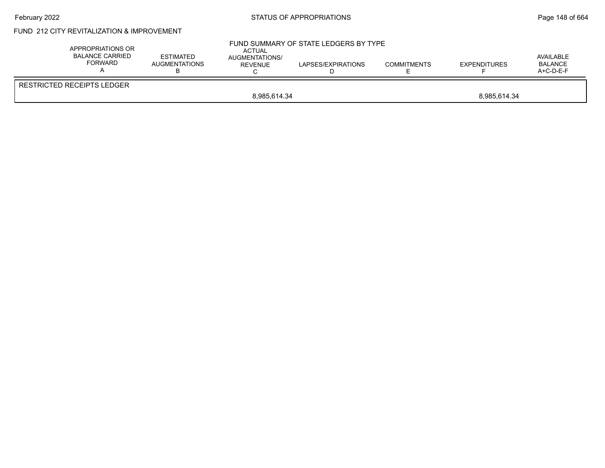## February 2022 **STATUS OF APPROPRIATIONS** STATUS OF APPROPRIATIONS

# FUND 212 CITY REVITALIZATION & IMPROVEMENT

| APPROPRIATIONS OR<br>BALANCE CARRIED<br>FORWARD | <b>ESTIMATED</b><br>AUGMENTATIONS | <b>ACTUAL</b><br>AUGMENTATIONS/<br>REVENUE | FUND SUMMARY OF STATE LEDGERS BY TYPE<br>LAPSES/EXPIRATIONS | <b>COMMITMENTS</b> | <b>EXPENDITURES</b> | AVAILABLE<br>BALANCE<br>$A+C-D-E-F$ |  |  |
|-------------------------------------------------|-----------------------------------|--------------------------------------------|-------------------------------------------------------------|--------------------|---------------------|-------------------------------------|--|--|
| RESTRICTED RECEIPTS LEDGER                      |                                   |                                            |                                                             |                    |                     |                                     |  |  |
|                                                 | 8,985,614.34<br>8,985,614.34      |                                            |                                                             |                    |                     |                                     |  |  |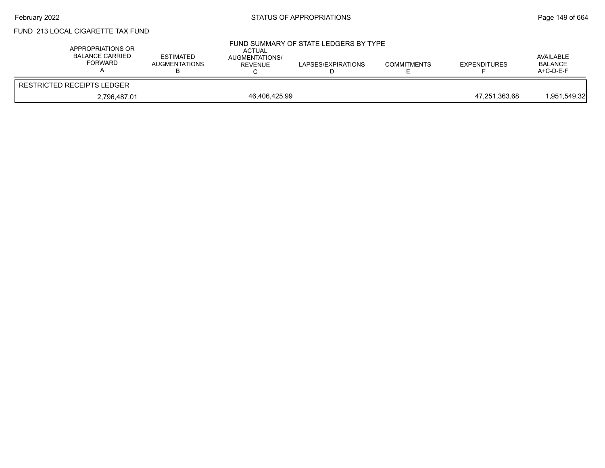# February 2022 **Example 2022 STATUS OF APPROPRIATIONS** STATUS OF APPROPRIATIONS

# FUND 213 LOCAL CIGARETTE TAX FUND

| APPROPRIATIONS OR<br><b>BALANCE CARRIED</b><br><b>FORWARD</b> | <b>ESTIMATED</b><br><b>AUGMENTATIONS</b> | ACTUAL<br><b>AUGMENTATIONS/</b><br><b>REVENUE</b> | FUND SUMMARY OF STATE LEDGERS BY TYPE<br>LAPSES/EXPIRATIONS | <b>COMMITMENTS</b> | <b>EXPENDITURES</b> | AVAILABLE<br><b>BALANCE</b><br>$A+C-D-E-F$ |
|---------------------------------------------------------------|------------------------------------------|---------------------------------------------------|-------------------------------------------------------------|--------------------|---------------------|--------------------------------------------|
| <b>RESTRICTED RECEIPTS LEDGER</b>                             |                                          |                                                   |                                                             |                    |                     |                                            |
| 2,796,487.01                                                  |                                          | 46,406,425.99                                     |                                                             |                    | 47,251,363.68       | 1,951,549.32                               |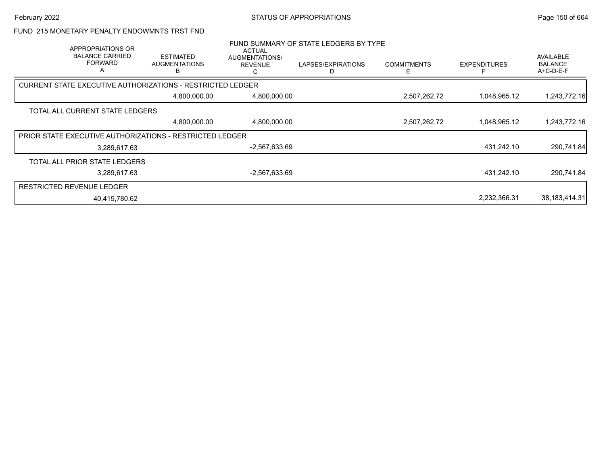#### FUND 215 MONETARY PENALTY ENDOWMNTS TRST FND

| APPROPRIATIONS OR<br><b>BALANCE CARRIED</b><br><b>FORWARD</b><br>A | <b>ESTIMATED</b><br><b>AUGMENTATIONS</b><br>в                     | ACTUAL<br>AUGMENTATIONS/<br><b>REVENUE</b><br>ι. | FUND SUMMARY OF STATE LEDGERS BY TYPE<br>LAPSES/EXPIRATIONS | <b>COMMITMENTS</b><br>F | <b>EXPENDITURES</b> | <b>AVAILABLE</b><br><b>BALANCE</b><br>A+C-D-E-F |
|--------------------------------------------------------------------|-------------------------------------------------------------------|--------------------------------------------------|-------------------------------------------------------------|-------------------------|---------------------|-------------------------------------------------|
|                                                                    | <b>CURRENT STATE EXECUTIVE AUTHORIZATIONS - RESTRICTED LEDGER</b> |                                                  |                                                             |                         |                     |                                                 |
|                                                                    | 4,800,000.00                                                      | 4,800,000.00                                     |                                                             | 2,507,262.72            | 1,048,965.12        | 1,243,772.16                                    |
| TOTAL ALL CURRENT STATE LEDGERS                                    |                                                                   |                                                  |                                                             |                         |                     |                                                 |
|                                                                    | 4,800,000.00                                                      | 4,800,000.00                                     |                                                             | 2,507,262.72            | 1,048,965.12        | 1,243,772.16                                    |
|                                                                    | <b>PRIOR STATE EXECUTIVE AUTHORIZATIONS - RESTRICTED LEDGER</b>   |                                                  |                                                             |                         |                     |                                                 |
| 3.289.617.63                                                       |                                                                   | -2,567,633.69                                    |                                                             |                         | 431,242.10          | 290,741.84                                      |
| TOTAL ALL PRIOR STATE LEDGERS                                      |                                                                   |                                                  |                                                             |                         |                     |                                                 |
| 3,289,617.63                                                       |                                                                   | $-2,567,633.69$                                  |                                                             |                         | 431,242.10          | 290,741.84                                      |
| <b>RESTRICTED REVENUE LEDGER</b>                                   |                                                                   |                                                  |                                                             |                         |                     |                                                 |
| 40,415,780.62                                                      |                                                                   |                                                  |                                                             |                         | 2,232,366.31        | 38,183,414.31                                   |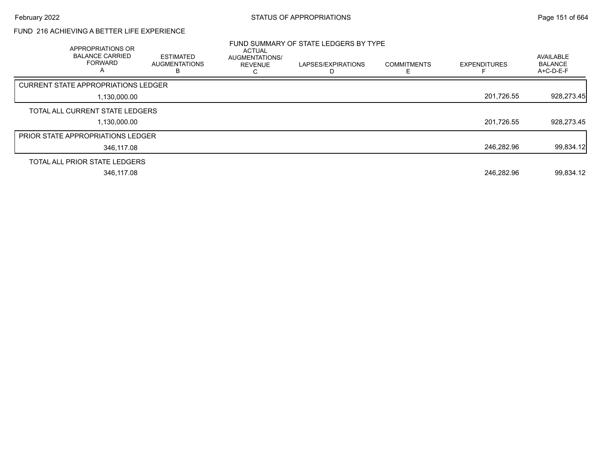# FUND 216 ACHIEVING A BETTER LIFE EXPERIENCE

| <b>APPROPRIATIONS OR</b><br><b>BALANCE CARRIED</b><br><b>FORWARD</b><br>A | ESTIMATED<br><b>AUGMENTATIONS</b><br>в | <b>ACTUAL</b><br>AUGMENTATIONS/<br><b>REVENUE</b> | FUND SUMMARY OF STATE LEDGERS BY TYPE<br>LAPSES/EXPIRATIONS | <b>COMMITMENTS</b> | <b>EXPENDITURES</b> | AVAILABLE<br><b>BALANCE</b><br>A+C-D-E-F |
|---------------------------------------------------------------------------|----------------------------------------|---------------------------------------------------|-------------------------------------------------------------|--------------------|---------------------|------------------------------------------|
| <b>CURRENT STATE APPROPRIATIONS LEDGER</b>                                |                                        |                                                   |                                                             |                    |                     |                                          |
| 1,130,000.00                                                              |                                        |                                                   |                                                             |                    | 201,726.55          | 928,273.45                               |
| TOTAL ALL CURRENT STATE LEDGERS                                           |                                        |                                                   |                                                             |                    |                     |                                          |
| 1,130,000.00                                                              |                                        |                                                   |                                                             |                    | 201,726.55          | 928,273.45                               |
| <b>PRIOR STATE APPROPRIATIONS LEDGER</b>                                  |                                        |                                                   |                                                             |                    |                     |                                          |
| 346.117.08                                                                |                                        |                                                   |                                                             |                    | 246,282.96          | 99,834.12                                |
| TOTAL ALL PRIOR STATE LEDGERS                                             |                                        |                                                   |                                                             |                    |                     |                                          |
| 346,117.08                                                                |                                        |                                                   |                                                             |                    | 246,282.96          | 99,834.12                                |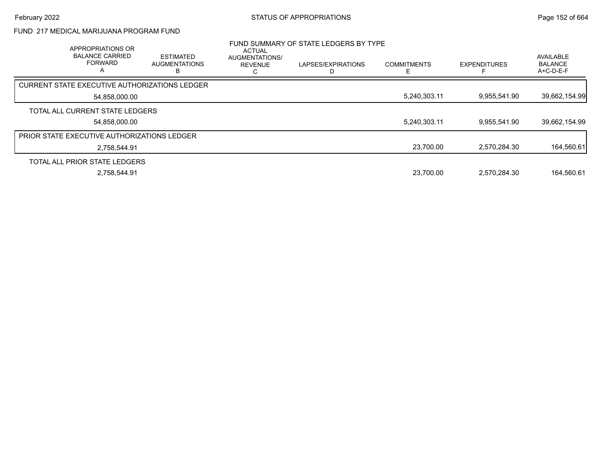# FUND 217 MEDICAL MARIJUANA PROGRAM FUND

| APPROPRIATIONS OR<br><b>BALANCE CARRIED</b><br><b>FORWARD</b><br>A | <b>ESTIMATED</b><br><b>AUGMENTATIONS</b><br>B | <b>ACTUAL</b><br>AUGMENTATIONS/<br><b>REVENUE</b><br>ι. | FUND SUMMARY OF STATE LEDGERS BY TYPE<br>LAPSES/EXPIRATIONS | <b>COMMITMENTS</b> | <b>EXPENDITURES</b> | AVAILABLE<br><b>BALANCE</b><br>A+C-D-E-F |
|--------------------------------------------------------------------|-----------------------------------------------|---------------------------------------------------------|-------------------------------------------------------------|--------------------|---------------------|------------------------------------------|
| CURRENT STATE EXECUTIVE AUTHORIZATIONS LEDGER                      |                                               |                                                         |                                                             |                    |                     |                                          |
| 54,858,000.00                                                      |                                               |                                                         |                                                             | 5,240,303.11       | 9.955.541.90        | 39,662,154.99                            |
| TOTAL ALL CURRENT STATE LEDGERS                                    |                                               |                                                         |                                                             |                    |                     |                                          |
| 54.858.000.00                                                      |                                               |                                                         |                                                             | 5,240,303.11       | 9.955.541.90        | 39,662,154.99                            |
| <b>PRIOR STATE EXECUTIVE AUTHORIZATIONS LEDGER</b>                 |                                               |                                                         |                                                             |                    |                     |                                          |
| 2,758,544.91                                                       |                                               |                                                         |                                                             | 23,700.00          | 2,570,284.30        | 164,560.61                               |
| TOTAL ALL PRIOR STATE LEDGERS                                      |                                               |                                                         |                                                             |                    |                     |                                          |
| 2,758,544.91                                                       |                                               |                                                         |                                                             | 23,700.00          | 2,570,284.30        | 164.560.61                               |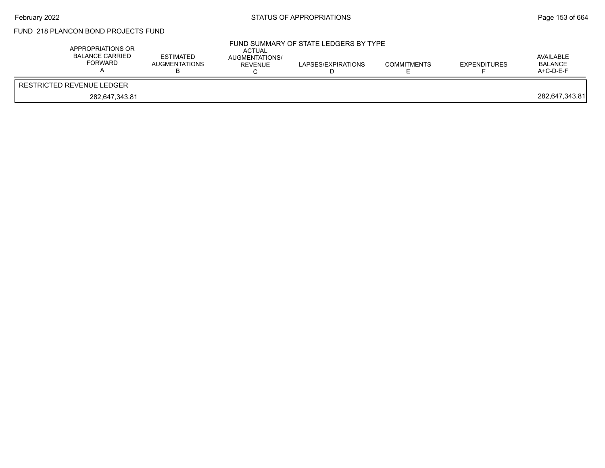# FUND 218 PLANCON BOND PROJECTS FUND

| APPROPRIATIONS OR<br><b>BALANCE CARRIED</b><br>FORWARD | <b>ESTIMATED</b><br><b>AUGMENTATIONS</b> | ACTUAL<br><b>AUGMENTATIONS/</b><br>REVENUE | FUND SUMMARY OF STATE LEDGERS BY TYPE<br>LAPSES/EXPIRATIONS | <b>COMMITMENTS</b> | <b>EXPENDITURES</b> | AVAILABLE<br>BALANCE<br>$A+C-D-E-F$ |
|--------------------------------------------------------|------------------------------------------|--------------------------------------------|-------------------------------------------------------------|--------------------|---------------------|-------------------------------------|
| RESTRICTED REVENUE LEDGER                              |                                          |                                            |                                                             |                    |                     |                                     |
| 282,647,343.81                                         |                                          |                                            |                                                             |                    |                     | 282,647,343.81                      |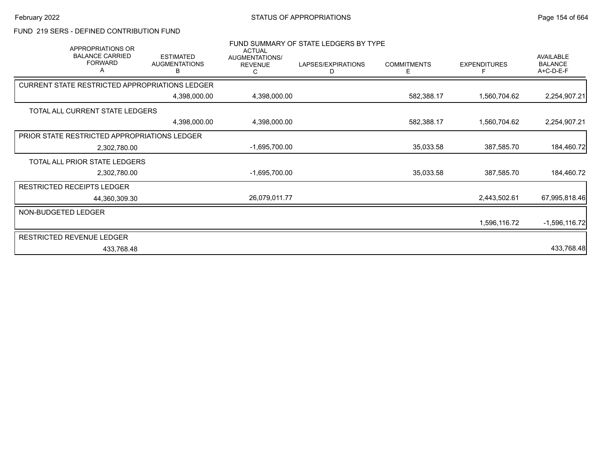## FUND 219 SERS - DEFINED CONTRIBUTION FUND

| APPROPRIATIONS OR<br><b>BALANCE CARRIED</b><br><b>FORWARD</b><br>Α | <b>ESTIMATED</b><br><b>AUGMENTATIONS</b><br>В | <b>ACTUAL</b><br>AUGMENTATIONS/<br><b>REVENUE</b><br>C. | FUND SUMMARY OF STATE LEDGERS BY TYPE<br>LAPSES/EXPIRATIONS<br>D | <b>COMMITMENTS</b><br>Е | <b>EXPENDITURES</b><br>F | AVAILABLE<br><b>BALANCE</b><br>A+C-D-E-F |
|--------------------------------------------------------------------|-----------------------------------------------|---------------------------------------------------------|------------------------------------------------------------------|-------------------------|--------------------------|------------------------------------------|
| CURRENT STATE RESTRICTED APPROPRIATIONS LEDGER                     |                                               |                                                         |                                                                  |                         |                          |                                          |
|                                                                    | 4,398,000.00                                  | 4,398,000.00                                            |                                                                  | 582,388.17              | 1,560,704.62             | 2,254,907.21                             |
| TOTAL ALL CURRENT STATE LEDGERS                                    |                                               |                                                         |                                                                  |                         |                          |                                          |
|                                                                    | 4,398,000.00                                  | 4,398,000.00                                            |                                                                  | 582,388.17              | 1,560,704.62             | 2,254,907.21                             |
| PRIOR STATE RESTRICTED APPROPRIATIONS LEDGER                       |                                               |                                                         |                                                                  |                         |                          |                                          |
| 2,302,780.00                                                       |                                               | $-1,695,700.00$                                         |                                                                  | 35,033.58               | 387,585.70               | 184,460.72                               |
| TOTAL ALL PRIOR STATE LEDGERS                                      |                                               |                                                         |                                                                  |                         |                          |                                          |
| 2,302,780.00                                                       |                                               | $-1,695,700.00$                                         |                                                                  | 35,033.58               | 387,585.70               | 184,460.72                               |
| <b>RESTRICTED RECEIPTS LEDGER</b>                                  |                                               |                                                         |                                                                  |                         |                          |                                          |
| 44,360,309.30                                                      |                                               | 26,079,011.77                                           |                                                                  |                         | 2,443,502.61             | 67,995,818.46                            |
| NON-BUDGETED LEDGER                                                |                                               |                                                         |                                                                  |                         |                          |                                          |
|                                                                    |                                               |                                                         |                                                                  |                         | 1,596,116.72             | $-1,596,116.72$                          |
| <b>RESTRICTED REVENUE LEDGER</b>                                   |                                               |                                                         |                                                                  |                         |                          |                                          |
| 433,768.48                                                         |                                               |                                                         |                                                                  |                         |                          | 433,768.48                               |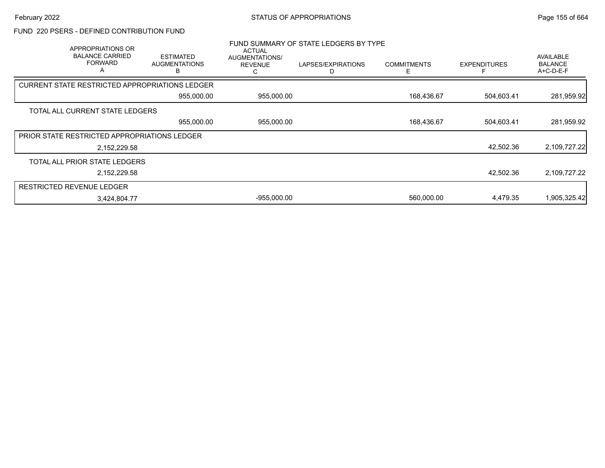### FUND 220 PSERS - DEFINED CONTRIBUTION FUND

| APPROPRIATIONS OR<br><b>BALANCE CARRIED</b><br><b>FORWARD</b><br>A | <b>ESTIMATED</b><br><b>AUGMENTATIONS</b> | <b>ACTUAL</b><br>AUGMENTATIONS/<br><b>REVENUE</b> | FUND SUMMARY OF STATE LEDGERS BY TYPE<br>LAPSES/EXPIRATIONS | <b>COMMITMENTS</b> | <b>EXPENDITURES</b> | <b>AVAILABLE</b><br><b>BALANCE</b><br>A+C-D-E-F |
|--------------------------------------------------------------------|------------------------------------------|---------------------------------------------------|-------------------------------------------------------------|--------------------|---------------------|-------------------------------------------------|
| <b>CURRENT STATE RESTRICTED APPROPRIATIONS LEDGER</b>              |                                          |                                                   |                                                             |                    |                     |                                                 |
|                                                                    | 955,000.00                               | 955,000.00                                        |                                                             | 168,436.67         | 504,603.41          | 281,959.92                                      |
| TOTAL ALL CURRENT STATE LEDGERS                                    |                                          |                                                   |                                                             |                    |                     |                                                 |
|                                                                    | 955,000.00                               | 955,000.00                                        |                                                             | 168,436.67         | 504,603.41          | 281,959.92                                      |
| PRIOR STATE RESTRICTED APPROPRIATIONS LEDGER                       |                                          |                                                   |                                                             |                    |                     |                                                 |
|                                                                    | 2,152,229.58                             |                                                   |                                                             |                    | 42,502.36           | 2,109,727.22                                    |
| TOTAL ALL PRIOR STATE LEDGERS                                      |                                          |                                                   |                                                             |                    |                     |                                                 |
|                                                                    | 2,152,229.58                             |                                                   |                                                             |                    | 42,502.36           | 2,109,727.22                                    |
| <b>RESTRICTED REVENUE LEDGER</b>                                   |                                          |                                                   |                                                             |                    |                     |                                                 |
|                                                                    | 3,424,804.77                             | $-955,000.00$                                     |                                                             | 560,000.00         | 4,479.35            | 1,905,325.42                                    |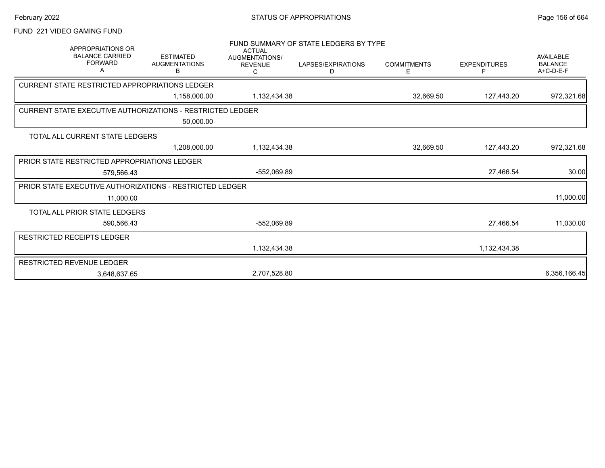# FUND 221 VIDEO GAMING FUND

| <b>APPROPRIATIONS OR</b><br><b>BALANCE CARRIED</b><br><b>FORWARD</b><br>Α | <b>ESTIMATED</b><br><b>AUGMENTATIONS</b><br>в | <b>ACTUAL</b><br>AUGMENTATIONS/<br><b>REVENUE</b><br>С | FUND SUMMARY OF STATE LEDGERS BY TYPE<br>LAPSES/EXPIRATIONS<br>D | <b>COMMITMENTS</b><br>Ε | <b>EXPENDITURES</b><br>F | <b>AVAILABLE</b><br><b>BALANCE</b><br>$A+C-D-E-F$ |
|---------------------------------------------------------------------------|-----------------------------------------------|--------------------------------------------------------|------------------------------------------------------------------|-------------------------|--------------------------|---------------------------------------------------|
| CURRENT STATE RESTRICTED APPROPRIATIONS LEDGER                            |                                               |                                                        |                                                                  |                         |                          |                                                   |
|                                                                           | 1,158,000.00                                  | 1,132,434.38                                           |                                                                  | 32,669.50               | 127,443.20               | 972,321.68                                        |
| <b>CURRENT STATE EXECUTIVE AUTHORIZATIONS - RESTRICTED LEDGER</b>         |                                               |                                                        |                                                                  |                         |                          |                                                   |
|                                                                           | 50,000.00                                     |                                                        |                                                                  |                         |                          |                                                   |
| TOTAL ALL CURRENT STATE LEDGERS                                           |                                               |                                                        |                                                                  |                         |                          |                                                   |
|                                                                           | 1.208.000.00                                  | 1,132,434.38                                           |                                                                  | 32,669.50               | 127,443.20               | 972,321.68                                        |
| PRIOR STATE RESTRICTED APPROPRIATIONS LEDGER                              |                                               |                                                        |                                                                  |                         |                          |                                                   |
| 579.566.43                                                                |                                               | -552,069.89                                            |                                                                  |                         | 27,466.54                | 30.00                                             |
| <b>PRIOR STATE EXECUTIVE AUTHORIZATIONS - RESTRICTED LEDGER</b>           |                                               |                                                        |                                                                  |                         |                          |                                                   |
| 11,000.00                                                                 |                                               |                                                        |                                                                  |                         |                          | 11,000.00                                         |
| TOTAL ALL PRIOR STATE LEDGERS                                             |                                               |                                                        |                                                                  |                         |                          |                                                   |
| 590,566.43                                                                |                                               | -552,069.89                                            |                                                                  |                         | 27,466.54                | 11,030.00                                         |
| RESTRICTED RECEIPTS LEDGER                                                |                                               |                                                        |                                                                  |                         |                          |                                                   |
|                                                                           |                                               | 1,132,434.38                                           |                                                                  |                         | 1,132,434.38             |                                                   |
| <b>RESTRICTED REVENUE LEDGER</b>                                          |                                               |                                                        |                                                                  |                         |                          |                                                   |
| 3,648,637.65                                                              |                                               | 2,707,528.80                                           |                                                                  |                         |                          | 6,356,166.45                                      |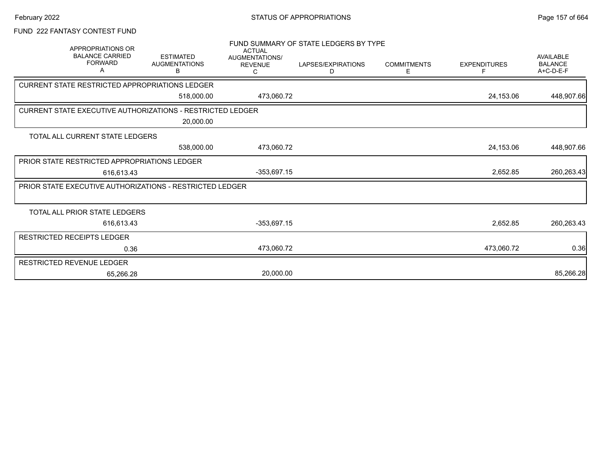# FUND 222 FANTASY CONTEST FUND

| APPROPRIATIONS OR<br><b>BALANCE CARRIED</b><br><b>FORWARD</b><br>A | <b>ESTIMATED</b><br><b>AUGMENTATIONS</b><br>В | <b>ACTUAL</b><br>AUGMENTATIONS/<br><b>REVENUE</b><br>С | FUND SUMMARY OF STATE LEDGERS BY TYPE<br>LAPSES/EXPIRATIONS<br>D | <b>COMMITMENTS</b><br>Ε | <b>EXPENDITURES</b><br>F | <b>AVAILABLE</b><br><b>BALANCE</b><br>$A+C-D-E-F$ |
|--------------------------------------------------------------------|-----------------------------------------------|--------------------------------------------------------|------------------------------------------------------------------|-------------------------|--------------------------|---------------------------------------------------|
| CURRENT STATE RESTRICTED APPROPRIATIONS LEDGER                     |                                               |                                                        |                                                                  |                         |                          |                                                   |
|                                                                    | 518,000.00                                    | 473,060.72                                             |                                                                  |                         | 24,153.06                | 448,907.66                                        |
| <b>CURRENT STATE EXECUTIVE AUTHORIZATIONS - RESTRICTED LEDGER</b>  |                                               |                                                        |                                                                  |                         |                          |                                                   |
|                                                                    | 20,000.00                                     |                                                        |                                                                  |                         |                          |                                                   |
| TOTAL ALL CURRENT STATE LEDGERS                                    |                                               |                                                        |                                                                  |                         |                          |                                                   |
|                                                                    | 538,000.00                                    | 473,060.72                                             |                                                                  |                         | 24,153.06                | 448,907.66                                        |
| PRIOR STATE RESTRICTED APPROPRIATIONS LEDGER                       |                                               |                                                        |                                                                  |                         |                          |                                                   |
| 616,613.43                                                         |                                               | $-353,697.15$                                          |                                                                  |                         | 2,652.85                 | 260,263.43                                        |
| <b>PRIOR STATE EXECUTIVE AUTHORIZATIONS - RESTRICTED LEDGER</b>    |                                               |                                                        |                                                                  |                         |                          |                                                   |
|                                                                    |                                               |                                                        |                                                                  |                         |                          |                                                   |
| TOTAL ALL PRIOR STATE LEDGERS                                      |                                               |                                                        |                                                                  |                         |                          |                                                   |
| 616,613.43                                                         |                                               | $-353,697.15$                                          |                                                                  |                         | 2,652.85                 | 260,263.43                                        |
| <b>RESTRICTED RECEIPTS LEDGER</b>                                  |                                               |                                                        |                                                                  |                         |                          |                                                   |
|                                                                    | 0.36                                          | 473,060.72                                             |                                                                  |                         | 473,060.72               | 0.36                                              |
| RESTRICTED REVENUE LEDGER                                          |                                               |                                                        |                                                                  |                         |                          |                                                   |
|                                                                    | 65,266.28                                     | 20,000.00                                              |                                                                  |                         |                          | 85,266.28                                         |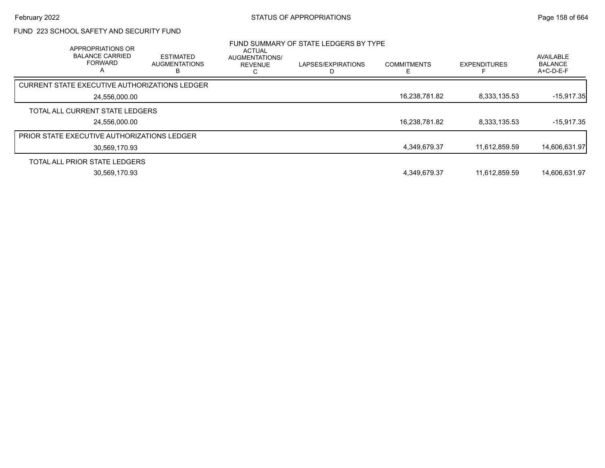# FUND 223 SCHOOL SAFETY AND SECURITY FUND

| APPROPRIATIONS OR<br><b>BALANCE CARRIED</b><br><b>FORWARD</b><br>$\mathsf{A}$ | <b>ESTIMATED</b><br><b>AUGMENTATIONS</b> | ACTUAL<br>AUGMENTATIONS/<br><b>REVENUE</b><br>ι. | FUND SUMMARY OF STATE LEDGERS BY TYPE<br>LAPSES/EXPIRATIONS | <b>COMMITMENTS</b> | <b>EXPENDITURES</b> | AVAILABLE<br><b>BALANCE</b><br>A+C-D-E-F |
|-------------------------------------------------------------------------------|------------------------------------------|--------------------------------------------------|-------------------------------------------------------------|--------------------|---------------------|------------------------------------------|
| <b>CURRENT STATE EXECUTIVE AUTHORIZATIONS LEDGER</b>                          |                                          |                                                  |                                                             |                    |                     |                                          |
| 24.556.000.00                                                                 |                                          |                                                  |                                                             | 16,238,781.82      | 8,333,135.53        | $-15,917.35$                             |
| TOTAL ALL CURRENT STATE LEDGERS                                               |                                          |                                                  |                                                             |                    |                     |                                          |
| 24.556.000.00                                                                 |                                          |                                                  |                                                             | 16.238.781.82      | 8.333.135.53        | $-15.917.35$                             |
| PRIOR STATE EXECUTIVE AUTHORIZATIONS LEDGER                                   |                                          |                                                  |                                                             |                    |                     |                                          |
| 30,569,170.93                                                                 |                                          |                                                  |                                                             | 4,349,679.37       | 11,612,859.59       | 14,606,631.97                            |
| TOTAL ALL PRIOR STATE LEDGERS                                                 |                                          |                                                  |                                                             |                    |                     |                                          |
| 30.569.170.93                                                                 |                                          |                                                  |                                                             | 4,349,679.37       | 11.612.859.59       | 14.606.631.97                            |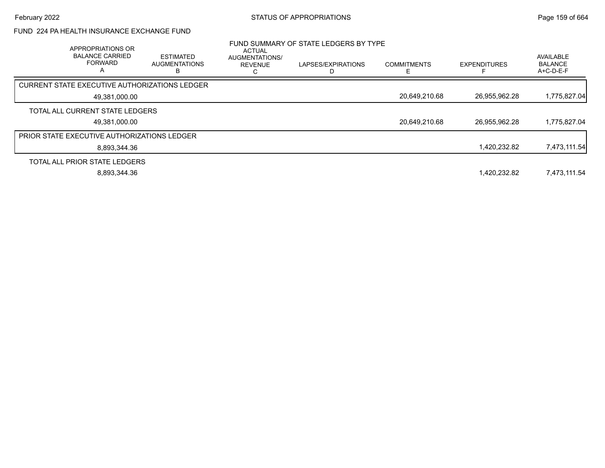# FUND 224 PA HEALTH INSURANCE EXCHANGE FUND

| APPROPRIATIONS OR<br><b>BALANCE CARRIED</b><br><b>FORWARD</b><br>А | <b>ESTIMATED</b><br><b>AUGMENTATIONS</b> | <b>ACTUAL</b><br><b>AUGMENTATIONS/</b><br><b>REVENUE</b> | FUND SUMMARY OF STATE LEDGERS BY TYPE<br>LAPSES/EXPIRATIONS | <b>COMMITMENTS</b> | <b>EXPENDITURES</b> | <b>AVAILABLE</b><br><b>BALANCE</b><br>$A+C-D-E-F$ |
|--------------------------------------------------------------------|------------------------------------------|----------------------------------------------------------|-------------------------------------------------------------|--------------------|---------------------|---------------------------------------------------|
| CURRENT STATE EXECUTIVE AUTHORIZATIONS LEDGER                      |                                          |                                                          |                                                             |                    |                     |                                                   |
| 49,381,000.00                                                      |                                          |                                                          |                                                             | 20,649,210.68      | 26,955,962.28       | 1,775,827.04                                      |
| TOTAL ALL CURRENT STATE LEDGERS                                    |                                          |                                                          |                                                             |                    |                     |                                                   |
| 49,381,000.00                                                      |                                          |                                                          |                                                             | 20,649,210.68      | 26,955,962.28       | 1,775,827.04                                      |
| <b>PRIOR STATE EXECUTIVE AUTHORIZATIONS LEDGER</b>                 |                                          |                                                          |                                                             |                    |                     |                                                   |
| 8.893.344.36                                                       |                                          |                                                          |                                                             |                    | 1,420,232.82        | 7,473,111.54                                      |
| TOTAL ALL PRIOR STATE LEDGERS                                      |                                          |                                                          |                                                             |                    |                     |                                                   |
| 8,893,344.36                                                       |                                          |                                                          |                                                             |                    | 1.420.232.82        | 7,473,111.54                                      |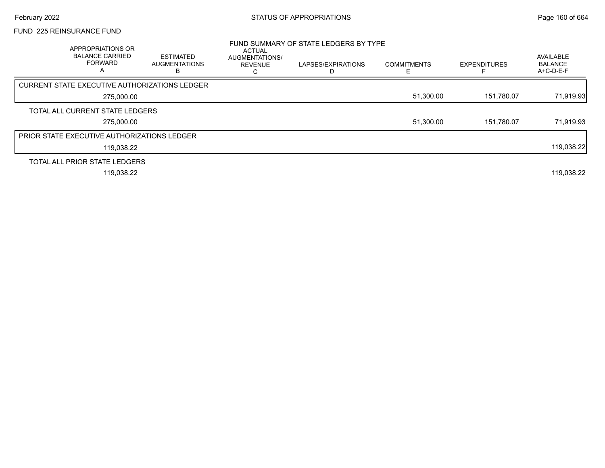## FUND 225 REINSURANCE FUND

| APPROPRIATIONS OR<br><b>BALANCE CARRIED</b><br><b>FORWARD</b><br>A | <b>ESTIMATED</b><br><b>AUGMENTATIONS</b> | <b>ACTUAL</b><br>AUGMENTATIONS/<br><b>REVENUE</b> | FUND SUMMARY OF STATE LEDGERS BY TYPE<br>LAPSES/EXPIRATIONS | <b>COMMITMENTS</b> | <b>EXPENDITURES</b> | AVAILABLE<br><b>BALANCE</b><br>A+C-D-E-F |
|--------------------------------------------------------------------|------------------------------------------|---------------------------------------------------|-------------------------------------------------------------|--------------------|---------------------|------------------------------------------|
| <b>CURRENT STATE EXECUTIVE AUTHORIZATIONS LEDGER</b>               |                                          |                                                   |                                                             |                    |                     |                                          |
| 275,000.00                                                         |                                          |                                                   |                                                             | 51,300.00          | 151.780.07          | 71,919.93                                |
| TOTAL ALL CURRENT STATE LEDGERS                                    |                                          |                                                   |                                                             |                    |                     |                                          |
| 275,000.00                                                         |                                          |                                                   |                                                             | 51,300.00          | 151.780.07          | 71,919.93                                |
| <b>PRIOR STATE EXECUTIVE AUTHORIZATIONS LEDGER</b>                 |                                          |                                                   |                                                             |                    |                     |                                          |
| 119,038.22                                                         |                                          |                                                   |                                                             |                    |                     | 119,038.22                               |
| TOTAL ALL PRIOR STATE LEDGERS                                      |                                          |                                                   |                                                             |                    |                     |                                          |
| 119,038.22                                                         |                                          |                                                   |                                                             |                    |                     | 119,038.22                               |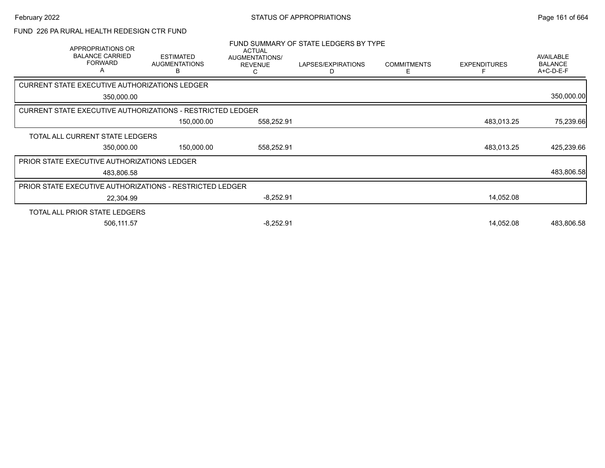# FUND 226 PA RURAL HEALTH REDESIGN CTR FUND

|                                                    | APPROPRIATIONS OR<br><b>BALANCE CARRIED</b><br><b>FORWARD</b><br>Α | <b>ESTIMATED</b><br><b>AUGMENTATIONS</b><br>В              | <b>ACTUAL</b><br>AUGMENTATIONS/<br><b>REVENUE</b> | FUND SUMMARY OF STATE LEDGERS BY TYPE<br>LAPSES/EXPIRATIONS<br>D | <b>COMMITMENTS</b><br>E. | <b>EXPENDITURES</b> | <b>AVAILABLE</b><br><b>BALANCE</b><br>A+C-D-E-F |
|----------------------------------------------------|--------------------------------------------------------------------|------------------------------------------------------------|---------------------------------------------------|------------------------------------------------------------------|--------------------------|---------------------|-------------------------------------------------|
| CURRENT STATE EXECUTIVE AUTHORIZATIONS LEDGER      |                                                                    |                                                            |                                                   |                                                                  |                          |                     |                                                 |
|                                                    | 350,000.00                                                         |                                                            |                                                   |                                                                  |                          |                     | 350,000.00                                      |
|                                                    |                                                                    | CURRENT STATE EXECUTIVE AUTHORIZATIONS - RESTRICTED LEDGER |                                                   |                                                                  |                          |                     |                                                 |
|                                                    |                                                                    | 150,000.00                                                 | 558,252.91                                        |                                                                  |                          | 483,013.25          | 75,239.66                                       |
|                                                    | TOTAL ALL CURRENT STATE LEDGERS                                    |                                                            |                                                   |                                                                  |                          |                     |                                                 |
|                                                    | 350,000.00                                                         | 150,000.00                                                 | 558,252.91                                        |                                                                  |                          | 483,013.25          | 425,239.66                                      |
| <b>PRIOR STATE EXECUTIVE AUTHORIZATIONS LEDGER</b> |                                                                    |                                                            |                                                   |                                                                  |                          |                     |                                                 |
|                                                    | 483,806.58                                                         |                                                            |                                                   |                                                                  |                          |                     | 483,806.58                                      |
|                                                    |                                                                    | PRIOR STATE EXECUTIVE AUTHORIZATIONS - RESTRICTED LEDGER   |                                                   |                                                                  |                          |                     |                                                 |
|                                                    | 22,304.99                                                          |                                                            | $-8,252.91$                                       |                                                                  |                          | 14,052.08           |                                                 |
|                                                    | TOTAL ALL PRIOR STATE LEDGERS                                      |                                                            |                                                   |                                                                  |                          |                     |                                                 |
|                                                    | 506,111.57                                                         |                                                            | $-8,252.91$                                       |                                                                  |                          | 14,052.08           | 483,806.58                                      |
|                                                    |                                                                    |                                                            |                                                   |                                                                  |                          |                     |                                                 |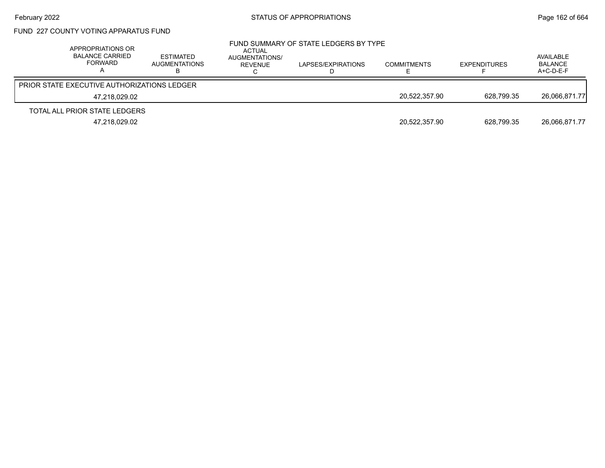# FUND 227 COUNTY VOTING APPARATUS FUND

|                                                    | APPROPRIATIONS OR<br><b>BALANCE CARRIED</b><br>FORWARD | <b>ESTIMATED</b><br>AUGMENTATIONS | ACTUAL<br>AUGMENTATIONS/<br>REVENUE | FUND SUMMARY OF STATE LEDGERS BY TYPE<br>LAPSES/EXPIRATIONS | <b>COMMITMENTS</b> | <b>EXPENDITURES</b> | AVAILABLE<br><b>BALANCE</b><br>A+C-D-E-F |
|----------------------------------------------------|--------------------------------------------------------|-----------------------------------|-------------------------------------|-------------------------------------------------------------|--------------------|---------------------|------------------------------------------|
| <b>PRIOR STATE EXECUTIVE AUTHORIZATIONS LEDGER</b> |                                                        |                                   |                                     |                                                             |                    |                     |                                          |
|                                                    | 47,218,029.02                                          |                                   |                                     |                                                             | 20.522.357.90      | 628.799.35          | 26,066,871.77                            |
| TOTAL ALL PRIOR STATE LEDGERS                      |                                                        |                                   |                                     |                                                             |                    |                     |                                          |
|                                                    | 47,218,029.02                                          |                                   |                                     |                                                             | 20,522,357.90      | 628.799.35          | 26,066,871.77                            |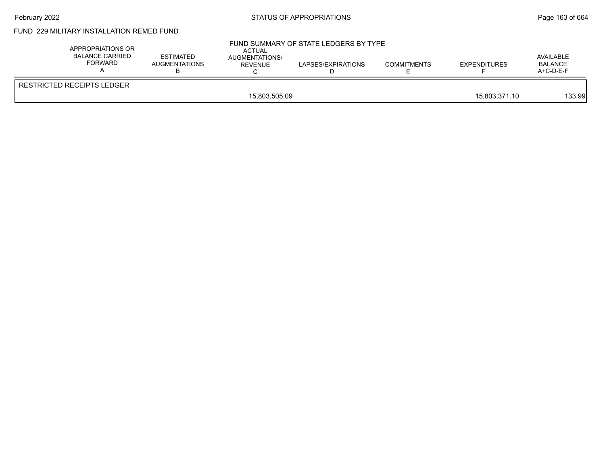# February 2022 **Example 2022** Page 163 of 664

# FUND 229 MILITARY INSTALLATION REMED FUND

| APPROPRIATIONS OR<br>BALANCE CARRIED<br>FORWARD | <b>ESTIMATED</b><br>AUGMENTATIONS | ACTUAL<br>AUGMENTATIONS/<br><b>REVENUE</b> | FUND SUMMARY OF STATE LEDGERS BY TYPE<br>LAPSES/EXPIRATIONS | <b>COMMITMENTS</b> | <b>EXPENDITURES</b> | AVAILABLE<br><b>BALANCE</b><br>A+C-D-E-F |
|-------------------------------------------------|-----------------------------------|--------------------------------------------|-------------------------------------------------------------|--------------------|---------------------|------------------------------------------|
| <b>RESTRICTED RECEIPTS LEDGER</b>               |                                   |                                            |                                                             |                    |                     |                                          |
|                                                 |                                   | 15,803,505.09                              |                                                             |                    | 15,803,371.10       | 133.99                                   |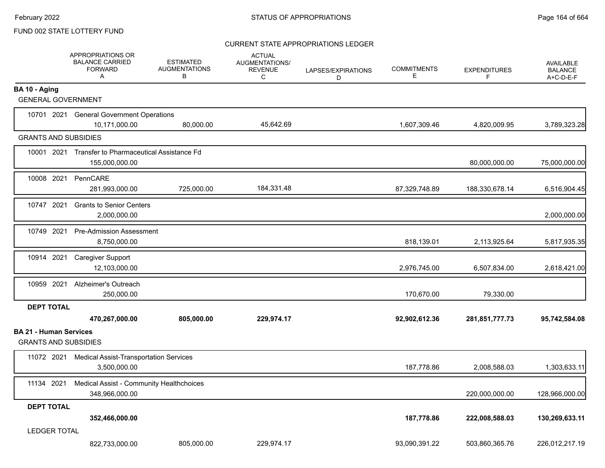#### CURRENT STATE APPROPRIATIONS LEDGER

|                                                              | APPROPRIATIONS OR<br><b>BALANCE CARRIED</b><br><b>FORWARD</b><br>A    | <b>ESTIMATED</b><br><b>AUGMENTATIONS</b><br>В | <b>ACTUAL</b><br><b>AUGMENTATIONS/</b><br><b>REVENUE</b><br>C | LAPSES/EXPIRATIONS<br>D | <b>COMMITMENTS</b><br>E | <b>EXPENDITURES</b><br>F. | AVAILABLE<br><b>BALANCE</b><br>A+C-D-E-F |
|--------------------------------------------------------------|-----------------------------------------------------------------------|-----------------------------------------------|---------------------------------------------------------------|-------------------------|-------------------------|---------------------------|------------------------------------------|
| BA 10 - Aging<br><b>GENERAL GOVERNMENT</b>                   |                                                                       |                                               |                                                               |                         |                         |                           |                                          |
|                                                              | 10701 2021 General Government Operations                              |                                               |                                                               |                         |                         |                           |                                          |
|                                                              | 10,171,000.00                                                         | 80,000.00                                     | 45,642.69                                                     |                         | 1,607,309.46            | 4,820,009.95              | 3,789,323.28                             |
| <b>GRANTS AND SUBSIDIES</b>                                  |                                                                       |                                               |                                                               |                         |                         |                           |                                          |
|                                                              | 10001 2021 Transfer to Pharmaceutical Assistance Fd<br>155,000,000.00 |                                               |                                                               |                         |                         | 80,000,000.00             | 75,000,000.00                            |
| 10008 2021                                                   | PennCARE<br>281,993,000.00                                            | 725,000.00                                    | 184,331.48                                                    |                         | 87,329,748.89           | 188,330,678.14            | 6,516,904.45                             |
| 10747 2021                                                   | <b>Grants to Senior Centers</b><br>2,000,000.00                       |                                               |                                                               |                         |                         |                           | 2,000,000.00                             |
| 10749 2021                                                   | <b>Pre-Admission Assessment</b><br>8,750,000.00                       |                                               |                                                               |                         | 818,139.01              | 2,113,925.64              | 5,817,935.35                             |
| 10914 2021                                                   | <b>Caregiver Support</b><br>12,103,000.00                             |                                               |                                                               |                         | 2,976,745.00            | 6,507,834.00              | 2,618,421.00                             |
| 10959 2021                                                   | Alzheimer's Outreach<br>250.000.00                                    |                                               |                                                               |                         | 170,670.00              | 79,330.00                 |                                          |
| <b>DEPT TOTAL</b>                                            | 470,267,000.00                                                        | 805,000.00                                    | 229,974.17                                                    |                         | 92,902,612.36           | 281,851,777.73            | 95,742,584.08                            |
| <b>BA 21 - Human Services</b><br><b>GRANTS AND SUBSIDIES</b> |                                                                       |                                               |                                                               |                         |                         |                           |                                          |
| 11072 2021                                                   | <b>Medical Assist-Transportation Services</b><br>3,500,000.00         |                                               |                                                               |                         | 187,778.86              | 2,008,588.03              | 1,303,633.11                             |
| 11134 2021                                                   | Medical Assist - Community Healthchoices<br>348,966,000.00            |                                               |                                                               |                         |                         | 220,000,000.00            | 128,966,000.00                           |
| <b>DEPT TOTAL</b>                                            | 352,466,000.00                                                        |                                               |                                                               |                         | 187,778.86              | 222,008,588.03            | 130,269,633.11                           |
| <b>LEDGER TOTAL</b>                                          | 822,733,000.00                                                        | 805,000.00                                    | 229,974.17                                                    |                         | 93,090,391.22           | 503,860,365.76            | 226,012,217.19                           |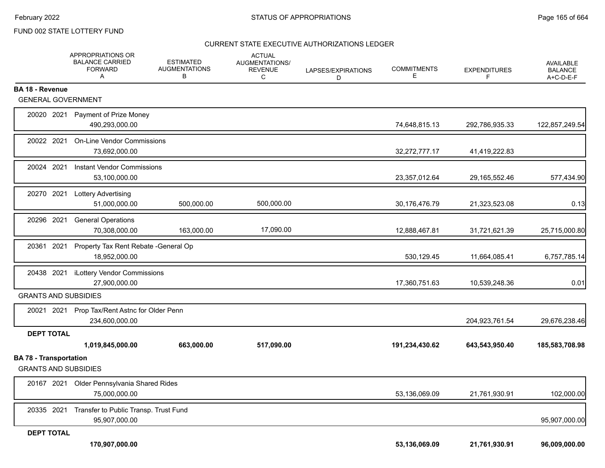#### CURRENT STATE EXECUTIVE AUTHORIZATIONS LEDGER

|                                                              | APPROPRIATIONS OR<br><b>BALANCE CARRIED</b><br><b>FORWARD</b><br>Α | <b>ESTIMATED</b><br><b>AUGMENTATIONS</b><br>В | <b>ACTUAL</b><br>AUGMENTATIONS/<br><b>REVENUE</b><br>C | LAPSES/EXPIRATIONS<br>D | <b>COMMITMENTS</b><br>E. | <b>EXPENDITURES</b><br>F | <b>AVAILABLE</b><br><b>BALANCE</b><br>A+C-D-E-F |
|--------------------------------------------------------------|--------------------------------------------------------------------|-----------------------------------------------|--------------------------------------------------------|-------------------------|--------------------------|--------------------------|-------------------------------------------------|
| <b>BA 18 - Revenue</b>                                       |                                                                    |                                               |                                                        |                         |                          |                          |                                                 |
| <b>GENERAL GOVERNMENT</b>                                    |                                                                    |                                               |                                                        |                         |                          |                          |                                                 |
|                                                              | 20020 2021 Payment of Prize Money<br>490,293,000.00                |                                               |                                                        |                         | 74,648,815.13            | 292,786,935.33           | 122,857,249.54                                  |
| 20022 2021                                                   | <b>On-Line Vendor Commissions</b><br>73,692,000.00                 |                                               |                                                        |                         | 32,272,777.17            | 41,419,222.83            |                                                 |
|                                                              | 20024 2021 Instant Vendor Commissions<br>53,100,000.00             |                                               |                                                        |                         | 23,357,012.64            | 29, 165, 552. 46         | 577,434.90                                      |
|                                                              | 20270 2021 Lottery Advertising<br>51,000,000.00                    | 500,000.00                                    | 500,000.00                                             |                         | 30,176,476.79            | 21,323,523.08            | 0.13                                            |
| 20296 2021                                                   | <b>General Operations</b><br>70,308,000.00                         | 163,000.00                                    | 17,090.00                                              |                         | 12,888,467.81            | 31,721,621.39            | 25,715,000.80                                   |
|                                                              | 20361 2021 Property Tax Rent Rebate - General Op<br>18,952,000.00  |                                               |                                                        |                         | 530,129.45               | 11,664,085.41            | 6,757,785.14                                    |
| 20438 2021                                                   | iLottery Vendor Commissions<br>27,900,000.00                       |                                               |                                                        |                         | 17,360,751.63            | 10,539,248.36            | 0.01                                            |
| <b>GRANTS AND SUBSIDIES</b>                                  |                                                                    |                                               |                                                        |                         |                          |                          |                                                 |
|                                                              | 20021 2021 Prop Tax/Rent Astnc for Older Penn<br>234,600,000.00    |                                               |                                                        |                         |                          | 204,923,761.54           | 29,676,238.46                                   |
| <b>DEPT TOTAL</b>                                            |                                                                    |                                               |                                                        |                         |                          |                          |                                                 |
|                                                              | 1,019,845,000.00                                                   | 663,000.00                                    | 517,090.00                                             |                         | 191,234,430.62           | 643,543,950.40           | 185,583,708.98                                  |
| <b>BA 78 - Transportation</b><br><b>GRANTS AND SUBSIDIES</b> |                                                                    |                                               |                                                        |                         |                          |                          |                                                 |
|                                                              | 20167 2021 Older Pennsylvania Shared Rides<br>75.000.000.00        |                                               |                                                        |                         | 53,136,069.09            | 21,761,930.91            | 102,000.00                                      |
| 20335 2021                                                   | Transfer to Public Transp. Trust Fund<br>95,907,000.00             |                                               |                                                        |                         |                          |                          | 95,907,000.00                                   |
| <b>DEPT TOTAL</b>                                            |                                                                    |                                               |                                                        |                         |                          |                          |                                                 |
|                                                              | 170,907,000.00                                                     |                                               |                                                        |                         | 53,136,069.09            | 21,761,930.91            | 96,009,000.00                                   |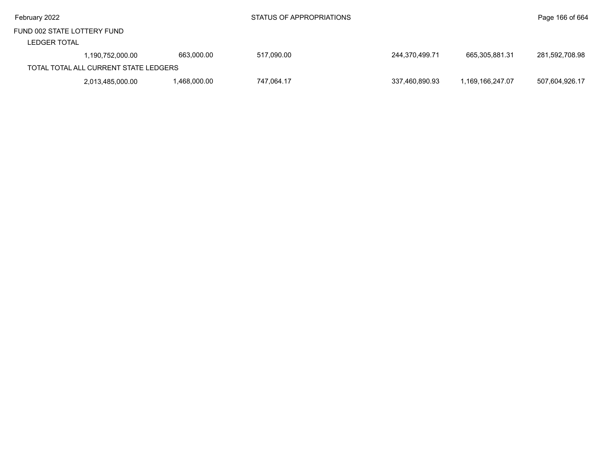| February 2022                                      |                                       |              | STATUS OF APPROPRIATIONS |                |                  | Page 166 of 664 |
|----------------------------------------------------|---------------------------------------|--------------|--------------------------|----------------|------------------|-----------------|
| FUND 002 STATE LOTTERY FUND<br><b>LEDGER TOTAL</b> |                                       |              |                          |                |                  |                 |
|                                                    | 1,190,752,000.00                      | 663.000.00   | 517,090.00               | 244,370,499.71 | 665,305,881.31   | 281,592,708.98  |
|                                                    | TOTAL TOTAL ALL CURRENT STATE LEDGERS |              |                          |                |                  |                 |
|                                                    | 2,013,485,000.00                      | 1,468,000.00 | 747.064.17               | 337,460,890.93 | 1.169.166.247.07 | 507,604,926.17  |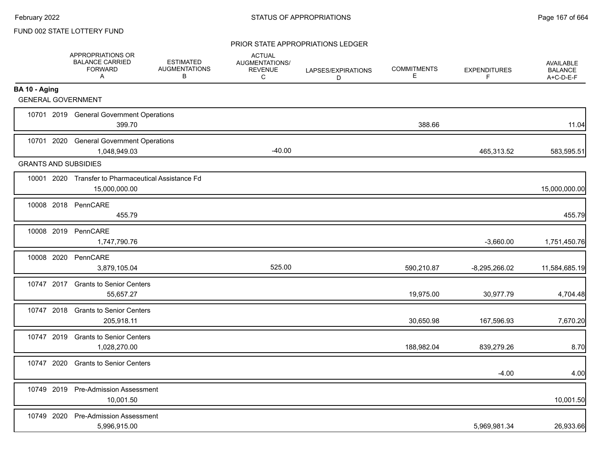#### PRIOR STATE APPROPRIATIONS LEDGER

|                             | APPROPRIATIONS OR<br><b>BALANCE CARRIED</b><br><b>FORWARD</b><br>A   | <b>ESTIMATED</b><br><b>AUGMENTATIONS</b><br>B | <b>ACTUAL</b><br>AUGMENTATIONS/<br><b>REVENUE</b><br>C | LAPSES/EXPIRATIONS<br>D | <b>COMMITMENTS</b><br>E | <b>EXPENDITURES</b><br>F | AVAILABLE<br><b>BALANCE</b><br>A+C-D-E-F |
|-----------------------------|----------------------------------------------------------------------|-----------------------------------------------|--------------------------------------------------------|-------------------------|-------------------------|--------------------------|------------------------------------------|
| BA 10 - Aging               |                                                                      |                                               |                                                        |                         |                         |                          |                                          |
| <b>GENERAL GOVERNMENT</b>   |                                                                      |                                               |                                                        |                         |                         |                          |                                          |
|                             | 10701 2019 General Government Operations<br>399.70                   |                                               |                                                        |                         | 388.66                  |                          | 11.04                                    |
|                             | 10701 2020 General Government Operations<br>1,048,949.03             |                                               | $-40.00$                                               |                         |                         | 465,313.52               | 583,595.51                               |
| <b>GRANTS AND SUBSIDIES</b> |                                                                      |                                               |                                                        |                         |                         |                          |                                          |
|                             | 10001 2020 Transfer to Pharmaceutical Assistance Fd<br>15,000,000.00 |                                               |                                                        |                         |                         |                          | 15,000,000.00                            |
|                             | 10008 2018 PennCARE<br>455.79                                        |                                               |                                                        |                         |                         |                          | 455.79                                   |
|                             | 10008 2019 PennCARE<br>1,747,790.76                                  |                                               |                                                        |                         |                         | $-3,660.00$              | 1,751,450.76                             |
| 10008 2020                  | PennCARE<br>3,879,105.04                                             |                                               | 525.00                                                 |                         | 590,210.87              | $-8,295,266.02$          | 11,584,685.19                            |
|                             | 10747 2017 Grants to Senior Centers<br>55,657.27                     |                                               |                                                        |                         | 19,975.00               | 30,977.79                | 4,704.48                                 |
|                             | 10747 2018 Grants to Senior Centers<br>205,918.11                    |                                               |                                                        |                         | 30,650.98               | 167,596.93               | 7,670.20                                 |
|                             | 10747 2019 Grants to Senior Centers<br>1,028,270.00                  |                                               |                                                        |                         | 188,982.04              | 839,279.26               | 8.70                                     |
| 10747 2020                  | <b>Grants to Senior Centers</b>                                      |                                               |                                                        |                         |                         | $-4.00$                  | 4.00                                     |
|                             | 10749 2019 Pre-Admission Assessment<br>10,001.50                     |                                               |                                                        |                         |                         |                          | 10,001.50                                |
| 10749 2020                  | <b>Pre-Admission Assessment</b><br>5,996,915.00                      |                                               |                                                        |                         |                         | 5,969,981.34             | 26,933.66                                |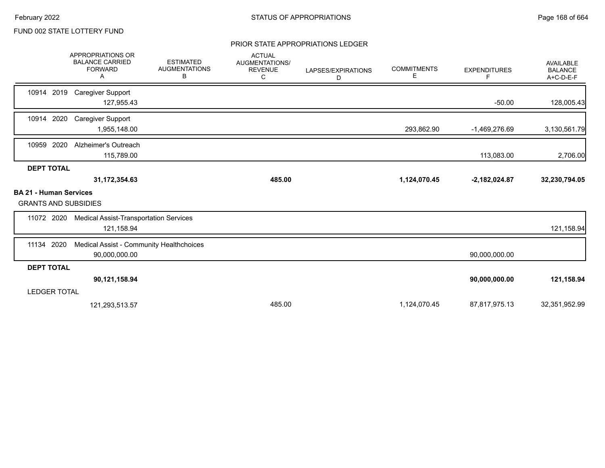#### PRIOR STATE APPROPRIATIONS LEDGER

|                                                              | APPROPRIATIONS OR<br><b>BALANCE CARRIED</b><br><b>FORWARD</b><br>Α | <b>ESTIMATED</b><br><b>AUGMENTATIONS</b><br>В | <b>ACTUAL</b><br>AUGMENTATIONS/<br><b>REVENUE</b><br>С | LAPSES/EXPIRATIONS<br>D | <b>COMMITMENTS</b><br>Е | <b>EXPENDITURES</b><br>F. | AVAILABLE<br><b>BALANCE</b><br>A+C-D-E-F |
|--------------------------------------------------------------|--------------------------------------------------------------------|-----------------------------------------------|--------------------------------------------------------|-------------------------|-------------------------|---------------------------|------------------------------------------|
| 10914 2019                                                   | <b>Caregiver Support</b><br>127,955.43                             |                                               |                                                        |                         |                         | $-50.00$                  | 128,005.43                               |
| 2020<br>10914                                                | <b>Caregiver Support</b><br>1,955,148.00                           |                                               |                                                        |                         | 293,862.90              | -1,469,276.69             | 3,130,561.79                             |
| 10959 2020                                                   | Alzheimer's Outreach<br>115,789.00                                 |                                               |                                                        |                         |                         | 113,083.00                | 2,706.00                                 |
| <b>DEPT TOTAL</b>                                            |                                                                    |                                               |                                                        |                         |                         |                           |                                          |
|                                                              | 31,172,354.63                                                      |                                               | 485.00                                                 |                         | 1,124,070.45            | $-2,182,024.87$           | 32,230,794.05                            |
| <b>BA 21 - Human Services</b><br><b>GRANTS AND SUBSIDIES</b> |                                                                    |                                               |                                                        |                         |                         |                           |                                          |
| 11072 2020                                                   | <b>Medical Assist-Transportation Services</b><br>121,158.94        |                                               |                                                        |                         |                         |                           | 121,158.94                               |
| 2020<br>11134                                                | Medical Assist - Community Healthchoices<br>90,000,000.00          |                                               |                                                        |                         |                         | 90,000,000.00             |                                          |
| <b>DEPT TOTAL</b>                                            |                                                                    |                                               |                                                        |                         |                         |                           |                                          |
|                                                              | 90,121,158.94                                                      |                                               |                                                        |                         |                         | 90,000,000.00             | 121,158.94                               |
| <b>LEDGER TOTAL</b>                                          |                                                                    |                                               |                                                        |                         |                         |                           |                                          |
|                                                              | 121,293,513.57                                                     |                                               | 485.00                                                 |                         | 1,124,070.45            | 87,817,975.13             | 32,351,952.99                            |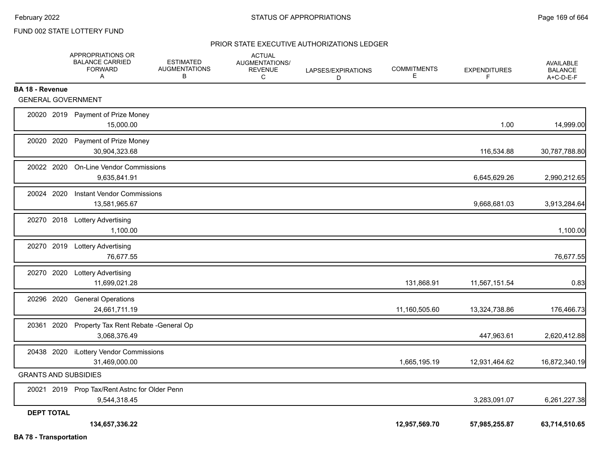#### PRIOR STATE EXECUTIVE AUTHORIZATIONS LEDGER

|                               | APPROPRIATIONS OR<br><b>BALANCE CARRIED</b><br><b>FORWARD</b><br>Α | <b>ESTIMATED</b><br><b>AUGMENTATIONS</b><br>В | <b>ACTUAL</b><br>AUGMENTATIONS/<br><b>REVENUE</b><br>C | LAPSES/EXPIRATIONS<br>D | <b>COMMITMENTS</b><br>Е | <b>EXPENDITURES</b><br>F | <b>AVAILABLE</b><br><b>BALANCE</b><br>A+C-D-E-F |
|-------------------------------|--------------------------------------------------------------------|-----------------------------------------------|--------------------------------------------------------|-------------------------|-------------------------|--------------------------|-------------------------------------------------|
| <b>BA 18 - Revenue</b>        |                                                                    |                                               |                                                        |                         |                         |                          |                                                 |
| <b>GENERAL GOVERNMENT</b>     |                                                                    |                                               |                                                        |                         |                         |                          |                                                 |
|                               | 20020 2019 Payment of Prize Money<br>15,000.00                     |                                               |                                                        |                         |                         | 1.00                     | 14,999.00                                       |
| 20020 2020                    | Payment of Prize Money<br>30,904,323.68                            |                                               |                                                        |                         |                         | 116,534.88               | 30,787,788.80                                   |
| 20022 2020                    | <b>On-Line Vendor Commissions</b><br>9,635,841.91                  |                                               |                                                        |                         |                         | 6,645,629.26             | 2,990,212.65                                    |
| 20024 2020                    | <b>Instant Vendor Commissions</b><br>13,581,965.67                 |                                               |                                                        |                         |                         | 9,668,681.03             | 3,913,284.64                                    |
|                               | 20270 2018 Lottery Advertising<br>1,100.00                         |                                               |                                                        |                         |                         |                          | 1,100.00                                        |
|                               | 20270 2019 Lottery Advertising<br>76,677.55                        |                                               |                                                        |                         |                         |                          | 76,677.55                                       |
|                               | 20270 2020 Lottery Advertising<br>11,699,021.28                    |                                               |                                                        |                         | 131,868.91              | 11,567,151.54            | 0.83                                            |
| 20296 2020                    | <b>General Operations</b><br>24,661,711.19                         |                                               |                                                        |                         | 11,160,505.60           | 13,324,738.86            | 176,466.73                                      |
|                               | 20361 2020 Property Tax Rent Rebate - General Op<br>3,068,376.49   |                                               |                                                        |                         |                         | 447,963.61               | 2,620,412.88                                    |
|                               | 20438 2020 iLottery Vendor Commissions<br>31,469,000.00            |                                               |                                                        |                         | 1,665,195.19            | 12,931,464.62            | 16,872,340.19                                   |
| <b>GRANTS AND SUBSIDIES</b>   |                                                                    |                                               |                                                        |                         |                         |                          |                                                 |
|                               | 20021 2019 Prop Tax/Rent Astnc for Older Penn<br>9,544,318.45      |                                               |                                                        |                         |                         | 3,283,091.07             | 6,261,227.38                                    |
| <b>DEPT TOTAL</b>             | 134,657,336.22                                                     |                                               |                                                        |                         | 12,957,569.70           | 57,985,255.87            | 63,714,510.65                                   |
| <b>BA 78 - Transportation</b> |                                                                    |                                               |                                                        |                         |                         |                          |                                                 |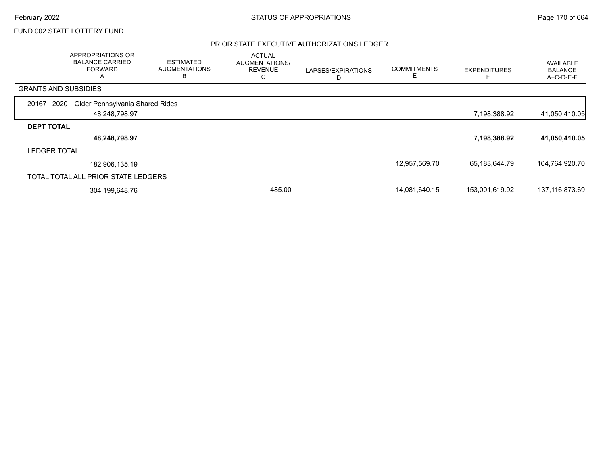#### PRIOR STATE EXECUTIVE AUTHORIZATIONS LEDGER

|                             | APPROPRIATIONS OR<br><b>BALANCE CARRIED</b><br><b>FORWARD</b><br>$\mathsf{A}$ | <b>ESTIMATED</b><br><b>AUGMENTATIONS</b><br>в | <b>ACTUAL</b><br>AUGMENTATIONS/<br><b>REVENUE</b><br>C | LAPSES/EXPIRATIONS<br>D | <b>COMMITMENTS</b> | <b>EXPENDITURES</b> | AVAILABLE<br><b>BALANCE</b><br>A+C-D-E-F |
|-----------------------------|-------------------------------------------------------------------------------|-----------------------------------------------|--------------------------------------------------------|-------------------------|--------------------|---------------------|------------------------------------------|
| <b>GRANTS AND SUBSIDIES</b> |                                                                               |                                               |                                                        |                         |                    |                     |                                          |
| 2020<br>20167               | Older Pennsylvania Shared Rides                                               |                                               |                                                        |                         |                    |                     |                                          |
|                             | 48,248,798.97                                                                 |                                               |                                                        |                         |                    | 7,198,388.92        | 41,050,410.05                            |
| <b>DEPT TOTAL</b>           |                                                                               |                                               |                                                        |                         |                    |                     |                                          |
|                             | 48,248,798.97                                                                 |                                               |                                                        |                         |                    | 7,198,388.92        | 41,050,410.05                            |
| <b>LEDGER TOTAL</b>         |                                                                               |                                               |                                                        |                         |                    |                     |                                          |
|                             | 182,906,135.19                                                                |                                               |                                                        |                         | 12,957,569.70      | 65,183,644.79       | 104,764,920.70                           |
|                             | TOTAL TOTAL ALL PRIOR STATE LEDGERS                                           |                                               |                                                        |                         |                    |                     |                                          |
|                             | 304,199,648.76                                                                |                                               | 485.00                                                 |                         | 14,081,640.15      | 153,001,619.92      | 137,116,873.69                           |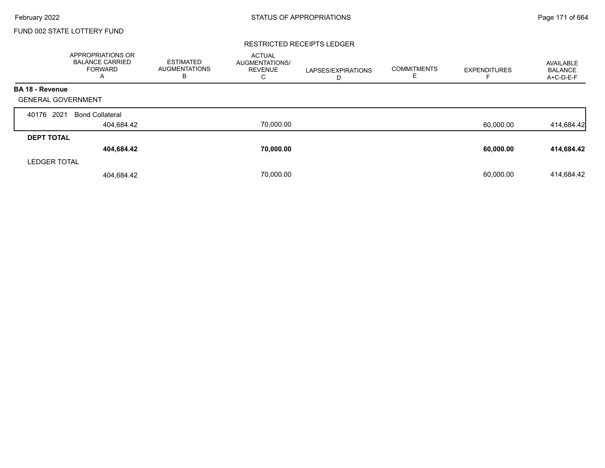#### RESTRICTED RECEIPTS LEDGER

|                           | <b>APPROPRIATIONS OR</b><br><b>BALANCE CARRIED</b><br><b>FORWARD</b><br>A | <b>ESTIMATED</b><br><b>AUGMENTATIONS</b><br>в | <b>ACTUAL</b><br><b>AUGMENTATIONS/</b><br><b>REVENUE</b><br>С | LAPSES/EXPIRATIONS<br>D | <b>COMMITMENTS</b><br>ᄂ | <b>EXPENDITURES</b> | AVAILABLE<br><b>BALANCE</b><br>A+C-D-E-F |
|---------------------------|---------------------------------------------------------------------------|-----------------------------------------------|---------------------------------------------------------------|-------------------------|-------------------------|---------------------|------------------------------------------|
| <b>BA 18 - Revenue</b>    |                                                                           |                                               |                                                               |                         |                         |                     |                                          |
| <b>GENERAL GOVERNMENT</b> |                                                                           |                                               |                                                               |                         |                         |                     |                                          |
| 2021<br>40176             | <b>Bond Collateral</b>                                                    |                                               |                                                               |                         |                         |                     |                                          |
|                           | 404,684.42                                                                |                                               | 70,000.00                                                     |                         |                         | 60,000.00           | 414,684.42                               |
| <b>DEPT TOTAL</b>         |                                                                           |                                               |                                                               |                         |                         |                     |                                          |
|                           | 404,684.42                                                                |                                               | 70,000.00                                                     |                         |                         | 60,000.00           | 414,684.42                               |
| <b>LEDGER TOTAL</b>       |                                                                           |                                               |                                                               |                         |                         |                     |                                          |
|                           | 404,684.42                                                                |                                               | 70.000.00                                                     |                         |                         | 60.000.00           | 414,684.42                               |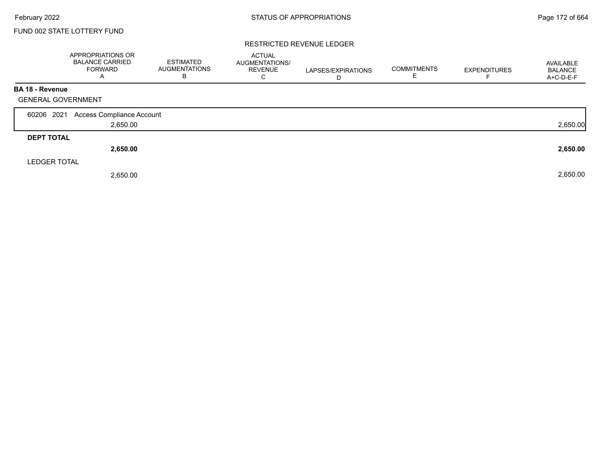#### RESTRICTED REVENUE LEDGER

|                           | APPROPRIATIONS OR<br><b>BALANCE CARRIED</b><br><b>FORWARD</b><br>$\overline{A}$ | <b>ESTIMATED</b><br><b>AUGMENTATIONS</b><br>В | <b>ACTUAL</b><br>AUGMENTATIONS/<br><b>REVENUE</b><br>C | LAPSES/EXPIRATIONS<br>D | <b>COMMITMENTS</b><br>Е | <b>EXPENDITURES</b> | AVAILABLE<br><b>BALANCE</b><br>A+C-D-E-F |
|---------------------------|---------------------------------------------------------------------------------|-----------------------------------------------|--------------------------------------------------------|-------------------------|-------------------------|---------------------|------------------------------------------|
| <b>BA 18 - Revenue</b>    |                                                                                 |                                               |                                                        |                         |                         |                     |                                          |
| <b>GENERAL GOVERNMENT</b> |                                                                                 |                                               |                                                        |                         |                         |                     |                                          |
| 60206 2021                | Access Compliance Account                                                       |                                               |                                                        |                         |                         |                     |                                          |
|                           | 2,650.00                                                                        |                                               |                                                        |                         |                         |                     | 2,650.00                                 |
| <b>DEPT TOTAL</b>         |                                                                                 |                                               |                                                        |                         |                         |                     |                                          |
|                           | 2,650.00                                                                        |                                               |                                                        |                         |                         |                     | 2,650.00                                 |
| <b>LEDGER TOTAL</b>       |                                                                                 |                                               |                                                        |                         |                         |                     |                                          |
|                           | 2,650.00                                                                        |                                               |                                                        |                         |                         |                     | 2,650.00                                 |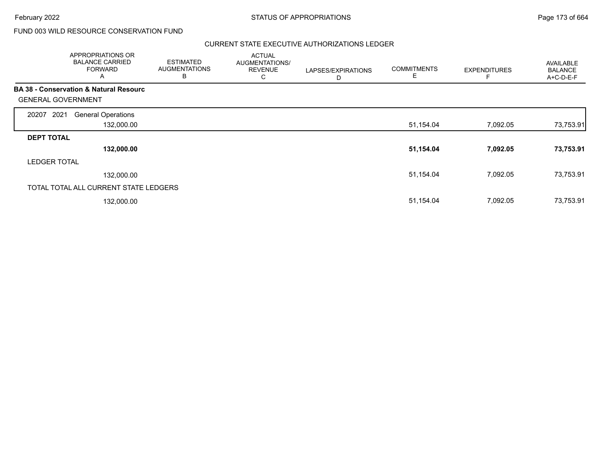# FUND 003 WILD RESOURCE CONSERVATION FUND

#### CURRENT STATE EXECUTIVE AUTHORIZATIONS LEDGER

|                           | APPROPRIATIONS OR<br><b>BALANCE CARRIED</b><br><b>FORWARD</b><br>A | <b>ESTIMATED</b><br><b>AUGMENTATIONS</b><br>B | <b>ACTUAL</b><br>AUGMENTATIONS/<br><b>REVENUE</b><br>C | LAPSES/EXPIRATIONS<br>D | <b>COMMITMENTS</b><br>Е | <b>EXPENDITURES</b> | AVAILABLE<br><b>BALANCE</b><br>A+C-D-E-F |
|---------------------------|--------------------------------------------------------------------|-----------------------------------------------|--------------------------------------------------------|-------------------------|-------------------------|---------------------|------------------------------------------|
|                           | <b>BA 38 - Conservation &amp; Natural Resourc</b>                  |                                               |                                                        |                         |                         |                     |                                          |
| <b>GENERAL GOVERNMENT</b> |                                                                    |                                               |                                                        |                         |                         |                     |                                          |
| 2021<br>20207             | <b>General Operations</b>                                          |                                               |                                                        |                         |                         |                     |                                          |
|                           | 132,000.00                                                         |                                               |                                                        |                         | 51,154.04               | 7,092.05            | 73,753.91                                |
| <b>DEPT TOTAL</b>         |                                                                    |                                               |                                                        |                         |                         |                     |                                          |
|                           | 132,000.00                                                         |                                               |                                                        |                         | 51,154.04               | 7,092.05            | 73,753.91                                |
| <b>LEDGER TOTAL</b>       |                                                                    |                                               |                                                        |                         |                         |                     |                                          |
|                           | 132,000.00                                                         |                                               |                                                        |                         | 51,154.04               | 7,092.05            | 73,753.91                                |
|                           | TOTAL TOTAL ALL CURRENT STATE LEDGERS                              |                                               |                                                        |                         |                         |                     |                                          |
|                           | 132,000.00                                                         |                                               |                                                        |                         | 51,154.04               | 7,092.05            | 73,753.91                                |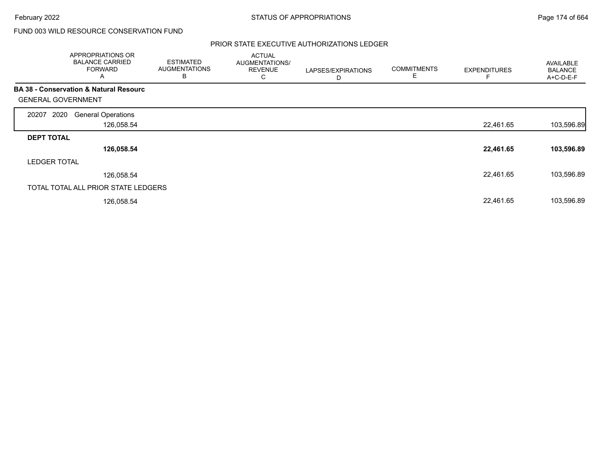# FUND 003 WILD RESOURCE CONSERVATION FUND

#### PRIOR STATE EXECUTIVE AUTHORIZATIONS LEDGER

|                           | APPROPRIATIONS OR<br><b>BALANCE CARRIED</b><br><b>FORWARD</b><br>A | <b>ESTIMATED</b><br><b>AUGMENTATIONS</b><br>B | <b>ACTUAL</b><br>AUGMENTATIONS/<br><b>REVENUE</b><br>С | LAPSES/EXPIRATIONS<br>D | <b>COMMITMENTS</b><br>Е | <b>EXPENDITURES</b> | AVAILABLE<br><b>BALANCE</b><br>A+C-D-E-F |
|---------------------------|--------------------------------------------------------------------|-----------------------------------------------|--------------------------------------------------------|-------------------------|-------------------------|---------------------|------------------------------------------|
| <b>GENERAL GOVERNMENT</b> | <b>BA 38 - Conservation &amp; Natural Resourc</b>                  |                                               |                                                        |                         |                         |                     |                                          |
| 2020<br>20207             | <b>General Operations</b>                                          |                                               |                                                        |                         |                         |                     |                                          |
|                           | 126,058.54                                                         |                                               |                                                        |                         |                         | 22,461.65           | 103,596.89                               |
| <b>DEPT TOTAL</b>         |                                                                    |                                               |                                                        |                         |                         |                     |                                          |
|                           | 126,058.54                                                         |                                               |                                                        |                         |                         | 22,461.65           | 103,596.89                               |
| <b>LEDGER TOTAL</b>       |                                                                    |                                               |                                                        |                         |                         |                     |                                          |
|                           | 126,058.54                                                         |                                               |                                                        |                         |                         | 22,461.65           | 103,596.89                               |
|                           | TOTAL TOTAL ALL PRIOR STATE LEDGERS                                |                                               |                                                        |                         |                         |                     |                                          |
|                           | 126,058.54                                                         |                                               |                                                        |                         |                         | 22,461.65           | 103,596.89                               |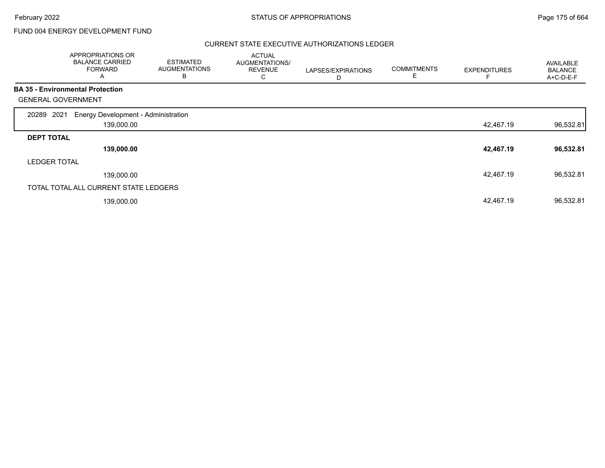# FUND 004 ENERGY DEVELOPMENT FUND

#### CURRENT STATE EXECUTIVE AUTHORIZATIONS LEDGER

|                           | APPROPRIATIONS OR<br><b>BALANCE CARRIED</b><br><b>FORWARD</b><br>A | <b>ESTIMATED</b><br><b>AUGMENTATIONS</b><br>В | <b>ACTUAL</b><br>AUGMENTATIONS/<br><b>REVENUE</b><br>С | LAPSES/EXPIRATIONS<br>D | <b>COMMITMENTS</b><br>E | <b>EXPENDITURES</b> | AVAILABLE<br><b>BALANCE</b><br>A+C-D-E-F |
|---------------------------|--------------------------------------------------------------------|-----------------------------------------------|--------------------------------------------------------|-------------------------|-------------------------|---------------------|------------------------------------------|
|                           | <b>BA 35 - Environmental Protection</b>                            |                                               |                                                        |                         |                         |                     |                                          |
| <b>GENERAL GOVERNMENT</b> |                                                                    |                                               |                                                        |                         |                         |                     |                                          |
| 2021<br>20289             | Energy Development - Administration                                |                                               |                                                        |                         |                         |                     |                                          |
|                           | 139,000.00                                                         |                                               |                                                        |                         |                         | 42,467.19           | 96,532.81                                |
| <b>DEPT TOTAL</b>         |                                                                    |                                               |                                                        |                         |                         |                     |                                          |
|                           | 139,000.00                                                         |                                               |                                                        |                         |                         | 42,467.19           | 96,532.81                                |
| <b>LEDGER TOTAL</b>       |                                                                    |                                               |                                                        |                         |                         |                     |                                          |
|                           | 139,000.00                                                         |                                               |                                                        |                         |                         | 42,467.19           | 96,532.81                                |
|                           | TOTAL TOTAL ALL CURRENT STATE LEDGERS                              |                                               |                                                        |                         |                         |                     |                                          |
|                           | 139,000.00                                                         |                                               |                                                        |                         |                         | 42,467.19           | 96,532.81                                |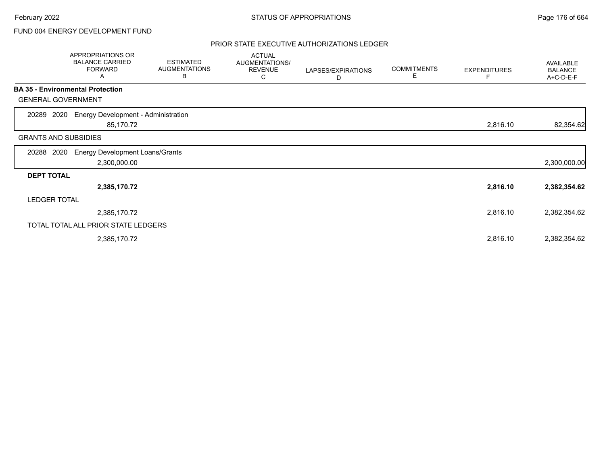# FUND 004 ENERGY DEVELOPMENT FUND

#### PRIOR STATE EXECUTIVE AUTHORIZATIONS LEDGER

|                                         | APPROPRIATIONS OR<br><b>BALANCE CARRIED</b><br><b>FORWARD</b><br>А | <b>ESTIMATED</b><br><b>AUGMENTATIONS</b><br>B | <b>ACTUAL</b><br>AUGMENTATIONS/<br><b>REVENUE</b><br>С | LAPSES/EXPIRATIONS<br>D | <b>COMMITMENTS</b><br>Е | <b>EXPENDITURES</b> | AVAILABLE<br><b>BALANCE</b><br>A+C-D-E-F |
|-----------------------------------------|--------------------------------------------------------------------|-----------------------------------------------|--------------------------------------------------------|-------------------------|-------------------------|---------------------|------------------------------------------|
| <b>BA 35 - Environmental Protection</b> |                                                                    |                                               |                                                        |                         |                         |                     |                                          |
| <b>GENERAL GOVERNMENT</b>               |                                                                    |                                               |                                                        |                         |                         |                     |                                          |
| 20289<br>2020                           | Energy Development - Administration<br>85,170.72                   |                                               |                                                        |                         |                         | 2,816.10            | 82,354.62                                |
| <b>GRANTS AND SUBSIDIES</b>             |                                                                    |                                               |                                                        |                         |                         |                     |                                          |
| 2020<br>20288                           | <b>Energy Development Loans/Grants</b><br>2,300,000.00             |                                               |                                                        |                         |                         |                     | 2,300,000.00                             |
| <b>DEPT TOTAL</b>                       |                                                                    |                                               |                                                        |                         |                         |                     |                                          |
|                                         | 2,385,170.72                                                       |                                               |                                                        |                         |                         | 2,816.10            | 2,382,354.62                             |
| <b>LEDGER TOTAL</b>                     |                                                                    |                                               |                                                        |                         |                         |                     |                                          |
|                                         | 2,385,170.72                                                       |                                               |                                                        |                         |                         | 2,816.10            | 2,382,354.62                             |
|                                         | TOTAL TOTAL ALL PRIOR STATE LEDGERS                                |                                               |                                                        |                         |                         |                     |                                          |
|                                         | 2,385,170.72                                                       |                                               |                                                        |                         |                         | 2,816.10            | 2,382,354.62                             |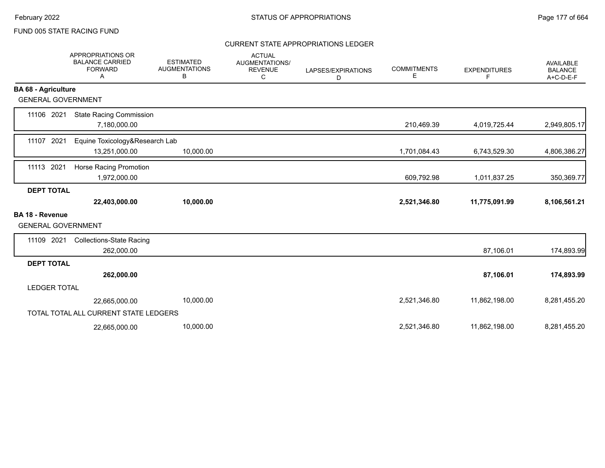#### CURRENT STATE APPROPRIATIONS LEDGER

|                                              | <b>APPROPRIATIONS OR</b><br><b>BALANCE CARRIED</b><br><b>FORWARD</b><br>A | <b>ESTIMATED</b><br><b>AUGMENTATIONS</b><br>В | <b>ACTUAL</b><br>AUGMENTATIONS/<br><b>REVENUE</b><br>C | LAPSES/EXPIRATIONS<br>D | <b>COMMITMENTS</b><br>E | <b>EXPENDITURES</b><br>F | <b>AVAILABLE</b><br><b>BALANCE</b><br>A+C-D-E-F |
|----------------------------------------------|---------------------------------------------------------------------------|-----------------------------------------------|--------------------------------------------------------|-------------------------|-------------------------|--------------------------|-------------------------------------------------|
| <b>BA 68 - Agriculture</b>                   |                                                                           |                                               |                                                        |                         |                         |                          |                                                 |
| <b>GENERAL GOVERNMENT</b>                    |                                                                           |                                               |                                                        |                         |                         |                          |                                                 |
| 11106 2021                                   | <b>State Racing Commission</b><br>7,180,000.00                            |                                               |                                                        |                         | 210,469.39              | 4,019,725.44             | 2,949,805.17                                    |
| 11107 2021                                   | Equine Toxicology&Research Lab<br>13,251,000.00                           | 10,000.00                                     |                                                        |                         | 1,701,084.43            | 6,743,529.30             | 4,806,386.27                                    |
| 2021<br>11113                                | Horse Racing Promotion<br>1,972,000.00                                    |                                               |                                                        |                         | 609,792.98              | 1,011,837.25             | 350,369.77                                      |
| <b>DEPT TOTAL</b>                            |                                                                           |                                               |                                                        |                         |                         |                          |                                                 |
|                                              | 22,403,000.00                                                             | 10,000.00                                     |                                                        |                         | 2,521,346.80            | 11,775,091.99            | 8,106,561.21                                    |
| BA 18 - Revenue<br><b>GENERAL GOVERNMENT</b> |                                                                           |                                               |                                                        |                         |                         |                          |                                                 |
| 11109 2021                                   | <b>Collections-State Racing</b><br>262,000.00                             |                                               |                                                        |                         |                         | 87,106.01                | 174,893.99                                      |
| <b>DEPT TOTAL</b>                            |                                                                           |                                               |                                                        |                         |                         |                          |                                                 |
|                                              | 262,000.00                                                                |                                               |                                                        |                         |                         | 87,106.01                | 174,893.99                                      |
| <b>LEDGER TOTAL</b>                          |                                                                           |                                               |                                                        |                         |                         |                          |                                                 |
|                                              | 22,665,000.00                                                             | 10,000.00                                     |                                                        |                         | 2,521,346.80            | 11,862,198.00            | 8,281,455.20                                    |
|                                              | TOTAL TOTAL ALL CURRENT STATE LEDGERS                                     |                                               |                                                        |                         |                         |                          |                                                 |
|                                              | 22,665,000.00                                                             | 10,000.00                                     |                                                        |                         | 2,521,346.80            | 11,862,198.00            | 8,281,455.20                                    |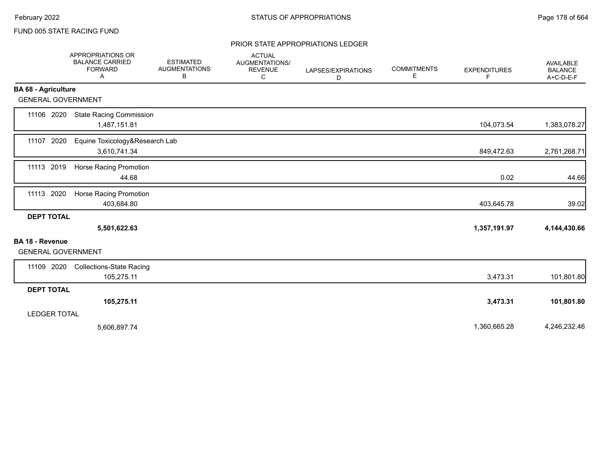#### PRIOR STATE APPROPRIATIONS LEDGER

|                                                     | APPROPRIATIONS OR<br><b>BALANCE CARRIED</b><br><b>FORWARD</b><br>Α | <b>ESTIMATED</b><br><b>AUGMENTATIONS</b><br>В | <b>ACTUAL</b><br>AUGMENTATIONS/<br><b>REVENUE</b><br>C | LAPSES/EXPIRATIONS<br>D | <b>COMMITMENTS</b><br>Е | <b>EXPENDITURES</b><br>F | <b>AVAILABLE</b><br><b>BALANCE</b><br>$A+C-D-E-F$ |
|-----------------------------------------------------|--------------------------------------------------------------------|-----------------------------------------------|--------------------------------------------------------|-------------------------|-------------------------|--------------------------|---------------------------------------------------|
| <b>BA 68 - Agriculture</b>                          |                                                                    |                                               |                                                        |                         |                         |                          |                                                   |
| <b>GENERAL GOVERNMENT</b>                           |                                                                    |                                               |                                                        |                         |                         |                          |                                                   |
| 11106 2020                                          | <b>State Racing Commission</b><br>1,487,151.81                     |                                               |                                                        |                         |                         | 104,073.54               | 1,383,078.27                                      |
| 11107 2020                                          | Equine Toxicology&Research Lab<br>3,610,741.34                     |                                               |                                                        |                         |                         | 849,472.63               | 2,761,268.71                                      |
| 11113 2019                                          | Horse Racing Promotion<br>44.68                                    |                                               |                                                        |                         |                         | 0.02                     | 44.66                                             |
| 11113 2020                                          | <b>Horse Racing Promotion</b><br>403,684.80                        |                                               |                                                        |                         |                         | 403,645.78               | 39.02                                             |
| <b>DEPT TOTAL</b>                                   | 5,501,622.63                                                       |                                               |                                                        |                         |                         | 1,357,191.97             | 4,144,430.66                                      |
| <b>BA 18 - Revenue</b><br><b>GENERAL GOVERNMENT</b> |                                                                    |                                               |                                                        |                         |                         |                          |                                                   |
| 11109 2020                                          | <b>Collections-State Racing</b><br>105,275.11                      |                                               |                                                        |                         |                         | 3,473.31                 | 101,801.80                                        |
| <b>DEPT TOTAL</b>                                   |                                                                    |                                               |                                                        |                         |                         |                          |                                                   |
|                                                     | 105,275.11                                                         |                                               |                                                        |                         |                         | 3,473.31                 | 101,801.80                                        |
| <b>LEDGER TOTAL</b>                                 |                                                                    |                                               |                                                        |                         |                         |                          |                                                   |
|                                                     | 5,606,897.74                                                       |                                               |                                                        |                         |                         | 1,360,665.28             | 4,246,232.46                                      |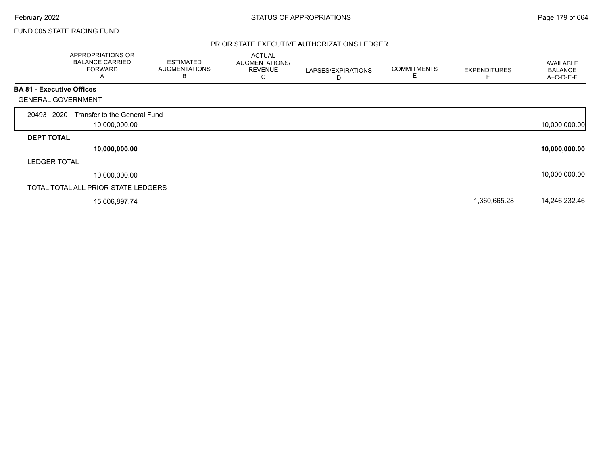#### PRIOR STATE EXECUTIVE AUTHORIZATIONS LEDGER

|                                  | APPROPRIATIONS OR<br><b>BALANCE CARRIED</b><br><b>FORWARD</b><br>A | <b>ESTIMATED</b><br><b>AUGMENTATIONS</b><br>В | <b>ACTUAL</b><br>AUGMENTATIONS/<br><b>REVENUE</b><br>U | LAPSES/EXPIRATIONS<br>D | <b>COMMITMENTS</b><br>E | <b>EXPENDITURES</b> | AVAILABLE<br><b>BALANCE</b><br>A+C-D-E-F |
|----------------------------------|--------------------------------------------------------------------|-----------------------------------------------|--------------------------------------------------------|-------------------------|-------------------------|---------------------|------------------------------------------|
| <b>BA 81 - Executive Offices</b> |                                                                    |                                               |                                                        |                         |                         |                     |                                          |
| <b>GENERAL GOVERNMENT</b>        |                                                                    |                                               |                                                        |                         |                         |                     |                                          |
| 20493 2020                       | Transfer to the General Fund<br>10,000,000.00                      |                                               |                                                        |                         |                         |                     | 10,000,000.00                            |
| <b>DEPT TOTAL</b>                |                                                                    |                                               |                                                        |                         |                         |                     |                                          |
|                                  | 10,000,000.00                                                      |                                               |                                                        |                         |                         |                     | 10,000,000.00                            |
| <b>LEDGER TOTAL</b>              |                                                                    |                                               |                                                        |                         |                         |                     |                                          |
|                                  | 10,000,000.00                                                      |                                               |                                                        |                         |                         |                     | 10,000,000.00                            |
|                                  | TOTAL TOTAL ALL PRIOR STATE LEDGERS                                |                                               |                                                        |                         |                         |                     |                                          |
|                                  | 15,606,897.74                                                      |                                               |                                                        |                         |                         | 1,360,665.28        | 14,246,232.46                            |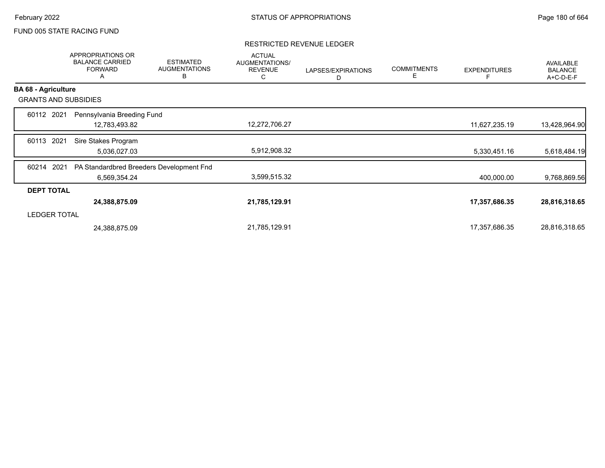#### RESTRICTED REVENUE LEDGER

|                             | APPROPRIATIONS OR<br><b>BALANCE CARRIED</b><br><b>FORWARD</b><br>A | <b>ESTIMATED</b><br><b>AUGMENTATIONS</b><br>B | <b>ACTUAL</b><br>AUGMENTATIONS/<br><b>REVENUE</b><br>С | LAPSES/EXPIRATIONS<br>D | <b>COMMITMENTS</b><br>E | <b>EXPENDITURES</b> | AVAILABLE<br><b>BALANCE</b><br>A+C-D-E-F |
|-----------------------------|--------------------------------------------------------------------|-----------------------------------------------|--------------------------------------------------------|-------------------------|-------------------------|---------------------|------------------------------------------|
| <b>BA 68 - Agriculture</b>  |                                                                    |                                               |                                                        |                         |                         |                     |                                          |
| <b>GRANTS AND SUBSIDIES</b> |                                                                    |                                               |                                                        |                         |                         |                     |                                          |
| 60112 2021                  | Pennsylvania Breeding Fund                                         |                                               |                                                        |                         |                         |                     |                                          |
|                             | 12,783,493.82                                                      |                                               | 12,272,706.27                                          |                         |                         | 11,627,235.19       | 13,428,964.90                            |
| 2021<br>60113               | Sire Stakes Program                                                |                                               |                                                        |                         |                         |                     |                                          |
|                             | 5,036,027.03                                                       |                                               | 5,912,908.32                                           |                         |                         | 5,330,451.16        | 5,618,484.19                             |
| 60214<br>2021               | PA Standardbred Breeders Development Fnd                           |                                               |                                                        |                         |                         |                     |                                          |
|                             | 6,569,354.24                                                       |                                               | 3,599,515.32                                           |                         |                         | 400,000.00          | 9,768,869.56                             |
| <b>DEPT TOTAL</b>           |                                                                    |                                               |                                                        |                         |                         |                     |                                          |
|                             | 24,388,875.09                                                      |                                               | 21,785,129.91                                          |                         |                         | 17,357,686.35       | 28,816,318.65                            |
| <b>LEDGER TOTAL</b>         |                                                                    |                                               |                                                        |                         |                         |                     |                                          |
|                             | 24,388,875.09                                                      |                                               | 21,785,129.91                                          |                         |                         | 17,357,686.35       | 28,816,318.65                            |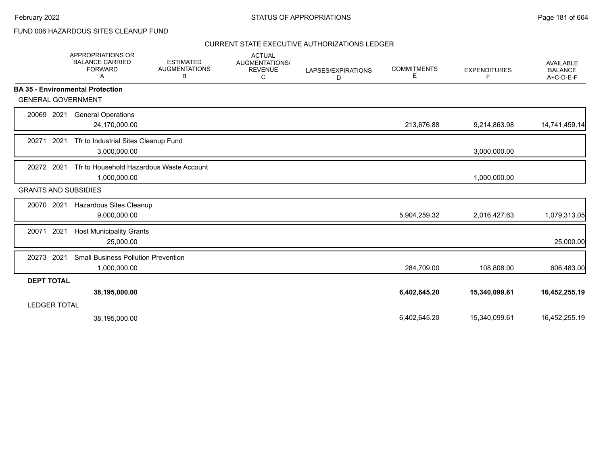### FUND 006 HAZARDOUS SITES CLEANUP FUND

|                     | <b>APPROPRIATIONS OR</b><br><b>BALANCE CARRIED</b><br><b>FORWARD</b><br>A | <b>ESTIMATED</b><br><b>AUGMENTATIONS</b><br>В | <b>ACTUAL</b><br><b>AUGMENTATIONS/</b><br><b>REVENUE</b><br>С | LAPSES/EXPIRATIONS<br>D | <b>COMMITMENTS</b><br>E | <b>EXPENDITURES</b><br>F | AVAILABLE<br><b>BALANCE</b><br>$A+C-D-E-F$ |
|---------------------|---------------------------------------------------------------------------|-----------------------------------------------|---------------------------------------------------------------|-------------------------|-------------------------|--------------------------|--------------------------------------------|
|                     | <b>BA 35 - Environmental Protection</b>                                   |                                               |                                                               |                         |                         |                          |                                            |
|                     | <b>GENERAL GOVERNMENT</b>                                                 |                                               |                                                               |                         |                         |                          |                                            |
| 20069               | 2021<br><b>General Operations</b><br>24,170,000.00                        |                                               |                                                               |                         | 213,676.88              | 9,214,863.98             | 14,741,459.14                              |
| 20271               | 2021<br>Tfr to Industrial Sites Cleanup Fund<br>3,000,000.00              |                                               |                                                               |                         |                         | 3,000,000.00             |                                            |
| 20272 2021          | Tfr to Household Hazardous Waste Account<br>1,000,000.00                  |                                               |                                                               |                         |                         | 1,000,000.00             |                                            |
|                     | <b>GRANTS AND SUBSIDIES</b>                                               |                                               |                                                               |                         |                         |                          |                                            |
| 20070               | 2021<br>Hazardous Sites Cleanup<br>9,000,000.00                           |                                               |                                                               |                         | 5,904,259.32            | 2,016,427.63             | 1,079,313.05                               |
| 20071               | 2021<br><b>Host Municipality Grants</b><br>25,000.00                      |                                               |                                                               |                         |                         |                          | 25,000.00                                  |
| 20273               | 2021<br><b>Small Business Pollution Prevention</b><br>1,000,000.00        |                                               |                                                               |                         | 284,709.00              | 108,808.00               | 606,483.00                                 |
| <b>DEPT TOTAL</b>   |                                                                           |                                               |                                                               |                         |                         |                          |                                            |
| <b>LEDGER TOTAL</b> | 38,195,000.00                                                             |                                               |                                                               |                         | 6,402,645.20            | 15,340,099.61            | 16,452,255.19                              |
|                     | 38,195,000.00                                                             |                                               |                                                               |                         | 6,402,645.20            | 15,340,099.61            | 16,452,255.19                              |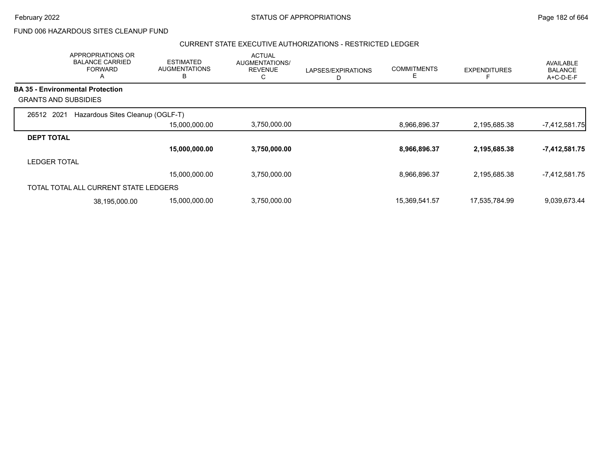FUND 006 HAZARDOUS SITES CLEANUP FUND

#### CURRENT STATE EXECUTIVE AUTHORIZATIONS - RESTRICTED LEDGER

|                             | APPROPRIATIONS OR<br><b>BALANCE CARRIED</b><br><b>FORWARD</b><br>A | <b>ESTIMATED</b><br><b>AUGMENTATIONS</b><br>B | <b>ACTUAL</b><br>AUGMENTATIONS/<br><b>REVENUE</b><br>С | LAPSES/EXPIRATIONS | <b>COMMITMENTS</b><br>Е | <b>EXPENDITURES</b> | AVAILABLE<br><b>BALANCE</b><br>A+C-D-E-F |
|-----------------------------|--------------------------------------------------------------------|-----------------------------------------------|--------------------------------------------------------|--------------------|-------------------------|---------------------|------------------------------------------|
|                             | <b>BA 35 - Environmental Protection</b>                            |                                               |                                                        |                    |                         |                     |                                          |
| <b>GRANTS AND SUBSIDIES</b> |                                                                    |                                               |                                                        |                    |                         |                     |                                          |
| 26512 2021                  | Hazardous Sites Cleanup (OGLF-T)                                   |                                               |                                                        |                    |                         |                     |                                          |
|                             |                                                                    | 15,000,000.00                                 | 3,750,000.00                                           |                    | 8,966,896.37            | 2,195,685.38        | $-7,412,581.75$                          |
| <b>DEPT TOTAL</b>           |                                                                    |                                               |                                                        |                    |                         |                     |                                          |
|                             |                                                                    | 15,000,000.00                                 | 3,750,000.00                                           |                    | 8,966,896.37            | 2,195,685.38        | -7,412,581.75                            |
| <b>LEDGER TOTAL</b>         |                                                                    |                                               |                                                        |                    |                         |                     |                                          |
|                             |                                                                    | 15,000,000.00                                 | 3,750,000.00                                           |                    | 8,966,896.37            | 2,195,685.38        | $-7,412,581.75$                          |
|                             | TOTAL TOTAL ALL CURRENT STATE LEDGERS                              |                                               |                                                        |                    |                         |                     |                                          |
|                             | 38,195,000.00                                                      | 15,000,000.00                                 | 3,750,000.00                                           |                    | 15,369,541.57           | 17,535,784.99       | 9,039,673.44                             |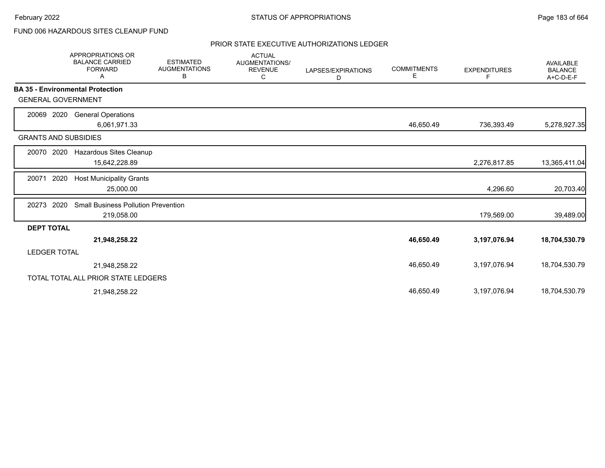### FUND 006 HAZARDOUS SITES CLEANUP FUND

|                                         | <b>APPROPRIATIONS OR</b><br><b>BALANCE CARRIED</b><br><b>FORWARD</b><br>Α | <b>ESTIMATED</b><br><b>AUGMENTATIONS</b><br>В | <b>ACTUAL</b><br>AUGMENTATIONS/<br><b>REVENUE</b><br>С | LAPSES/EXPIRATIONS<br>D | <b>COMMITMENTS</b><br>Е | <b>EXPENDITURES</b><br>F | <b>AVAILABLE</b><br><b>BALANCE</b><br>A+C-D-E-F |
|-----------------------------------------|---------------------------------------------------------------------------|-----------------------------------------------|--------------------------------------------------------|-------------------------|-------------------------|--------------------------|-------------------------------------------------|
| <b>BA 35 - Environmental Protection</b> |                                                                           |                                               |                                                        |                         |                         |                          |                                                 |
| <b>GENERAL GOVERNMENT</b>               |                                                                           |                                               |                                                        |                         |                         |                          |                                                 |
| 2020<br>20069                           | <b>General Operations</b>                                                 |                                               |                                                        |                         |                         |                          |                                                 |
|                                         | 6,061,971.33                                                              |                                               |                                                        |                         | 46,650.49               | 736,393.49               | 5,278,927.35                                    |
| <b>GRANTS AND SUBSIDIES</b>             |                                                                           |                                               |                                                        |                         |                         |                          |                                                 |
| 20070<br>2020                           | Hazardous Sites Cleanup                                                   |                                               |                                                        |                         |                         |                          |                                                 |
|                                         | 15,642,228.89                                                             |                                               |                                                        |                         |                         | 2,276,817.85             | 13,365,411.04                                   |
| 2020<br>20071                           | <b>Host Municipality Grants</b>                                           |                                               |                                                        |                         |                         |                          |                                                 |
|                                         | 25,000.00                                                                 |                                               |                                                        |                         |                         | 4,296.60                 | 20,703.40                                       |
| 2020<br>20273                           | <b>Small Business Pollution Prevention</b>                                |                                               |                                                        |                         |                         |                          |                                                 |
|                                         | 219,058.00                                                                |                                               |                                                        |                         |                         | 179,569.00               | 39,489.00                                       |
| <b>DEPT TOTAL</b>                       |                                                                           |                                               |                                                        |                         |                         |                          |                                                 |
|                                         | 21,948,258.22                                                             |                                               |                                                        |                         | 46,650.49               | 3,197,076.94             | 18,704,530.79                                   |
| <b>LEDGER TOTAL</b>                     |                                                                           |                                               |                                                        |                         |                         |                          |                                                 |
|                                         | 21,948,258.22                                                             |                                               |                                                        |                         | 46,650.49               | 3,197,076.94             | 18,704,530.79                                   |
|                                         | TOTAL TOTAL ALL PRIOR STATE LEDGERS                                       |                                               |                                                        |                         |                         |                          |                                                 |
|                                         | 21,948,258.22                                                             |                                               |                                                        |                         | 46,650.49               | 3,197,076.94             | 18,704,530.79                                   |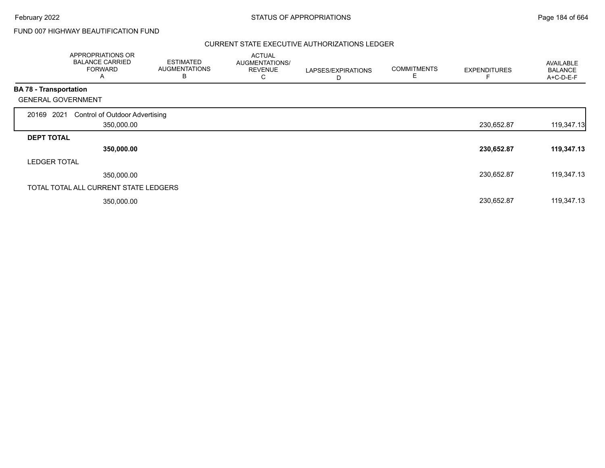## FUND 007 HIGHWAY BEAUTIFICATION FUND

|                               | APPROPRIATIONS OR<br><b>BALANCE CARRIED</b><br><b>FORWARD</b><br>Α | <b>ESTIMATED</b><br><b>AUGMENTATIONS</b><br>B | <b>ACTUAL</b><br><b>AUGMENTATIONS/</b><br><b>REVENUE</b><br>С | LAPSES/EXPIRATIONS<br>D | <b>COMMITMENTS</b><br>E | <b>EXPENDITURES</b> | AVAILABLE<br><b>BALANCE</b><br>A+C-D-E-F |
|-------------------------------|--------------------------------------------------------------------|-----------------------------------------------|---------------------------------------------------------------|-------------------------|-------------------------|---------------------|------------------------------------------|
| <b>BA 78 - Transportation</b> |                                                                    |                                               |                                                               |                         |                         |                     |                                          |
|                               | <b>GENERAL GOVERNMENT</b>                                          |                                               |                                                               |                         |                         |                     |                                          |
| 20169 2021                    | <b>Control of Outdoor Advertising</b>                              |                                               |                                                               |                         |                         |                     |                                          |
|                               | 350,000.00                                                         |                                               |                                                               |                         |                         | 230,652.87          | 119,347.13                               |
| <b>DEPT TOTAL</b>             |                                                                    |                                               |                                                               |                         |                         |                     |                                          |
|                               | 350,000.00                                                         |                                               |                                                               |                         |                         | 230,652.87          | 119,347.13                               |
| <b>LEDGER TOTAL</b>           |                                                                    |                                               |                                                               |                         |                         |                     |                                          |
|                               | 350,000.00                                                         |                                               |                                                               |                         |                         | 230,652.87          | 119,347.13                               |
|                               | TOTAL TOTAL ALL CURRENT STATE LEDGERS                              |                                               |                                                               |                         |                         |                     |                                          |
|                               | 350,000.00                                                         |                                               |                                                               |                         |                         | 230,652.87          | 119,347.13                               |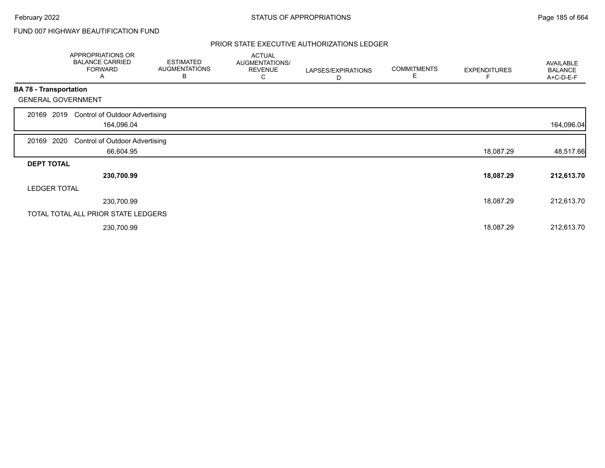## FUND 007 HIGHWAY BEAUTIFICATION FUND

|                               | APPROPRIATIONS OR<br><b>BALANCE CARRIED</b><br><b>FORWARD</b><br>A | <b>ESTIMATED</b><br><b>AUGMENTATIONS</b><br>В | <b>ACTUAL</b><br>AUGMENTATIONS/<br><b>REVENUE</b><br>С | LAPSES/EXPIRATIONS<br>D | <b>COMMITMENTS</b><br>Е | <b>EXPENDITURES</b> | AVAILABLE<br><b>BALANCE</b><br>A+C-D-E-F |
|-------------------------------|--------------------------------------------------------------------|-----------------------------------------------|--------------------------------------------------------|-------------------------|-------------------------|---------------------|------------------------------------------|
| <b>BA 78 - Transportation</b> |                                                                    |                                               |                                                        |                         |                         |                     |                                          |
|                               | <b>GENERAL GOVERNMENT</b>                                          |                                               |                                                        |                         |                         |                     |                                          |
| 20169                         | <b>Control of Outdoor Advertising</b><br>2019<br>164,096.04        |                                               |                                                        |                         |                         |                     | 164,096.04                               |
| 20169 2020                    | <b>Control of Outdoor Advertising</b>                              |                                               |                                                        |                         |                         |                     |                                          |
|                               | 66,604.95                                                          |                                               |                                                        |                         |                         | 18,087.29           | 48,517.66                                |
| <b>DEPT TOTAL</b>             |                                                                    |                                               |                                                        |                         |                         |                     |                                          |
|                               | 230,700.99                                                         |                                               |                                                        |                         |                         | 18,087.29           | 212,613.70                               |
|                               | <b>LEDGER TOTAL</b>                                                |                                               |                                                        |                         |                         |                     |                                          |
|                               | 230,700.99                                                         |                                               |                                                        |                         |                         | 18,087.29           | 212,613.70                               |
|                               | TOTAL TOTAL ALL PRIOR STATE LEDGERS                                |                                               |                                                        |                         |                         |                     |                                          |
|                               | 230,700.99                                                         |                                               |                                                        |                         |                         | 18,087.29           | 212,613.70                               |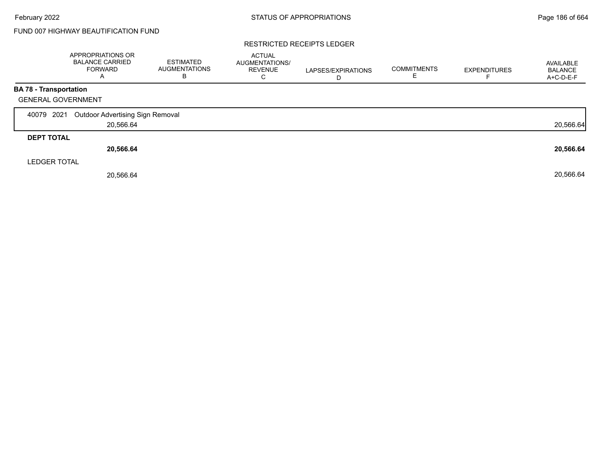## FUND 007 HIGHWAY BEAUTIFICATION FUND

#### RESTRICTED RECEIPTS LEDGER

|                   | <b>APPROPRIATIONS OR</b><br><b>BALANCE CARRIED</b><br><b>FORWARD</b> | <b>ESTIMATED</b><br><b>AUGMENTATIONS</b><br>В | <b>ACTUAL</b><br>AUGMENTATIONS/<br><b>REVENUE</b><br>C | LAPSES/EXPIRATIONS<br>D | <b>COMMITMENTS</b> | <b>EXPENDITURES</b> | AVAILABLE<br><b>BALANCE</b><br>A+C-D-E-F |
|-------------------|----------------------------------------------------------------------|-----------------------------------------------|--------------------------------------------------------|-------------------------|--------------------|---------------------|------------------------------------------|
|                   | BA 78 - Transportation                                               |                                               |                                                        |                         |                    |                     |                                          |
|                   | <b>GENERAL GOVERNMENT</b>                                            |                                               |                                                        |                         |                    |                     |                                          |
| 40079             | 2021<br>Outdoor Advertising Sign Removal                             |                                               |                                                        |                         |                    |                     |                                          |
|                   | 20,566.64                                                            |                                               |                                                        |                         |                    |                     | 20,566.64                                |
| <b>DEPT TOTAL</b> |                                                                      |                                               |                                                        |                         |                    |                     |                                          |
|                   | 20,566.64                                                            |                                               |                                                        |                         |                    |                     | 20,566.64                                |
|                   | <b>LEDGER TOTAL</b>                                                  |                                               |                                                        |                         |                    |                     |                                          |
|                   | 20,566.64                                                            |                                               |                                                        |                         |                    |                     | 20,566.64                                |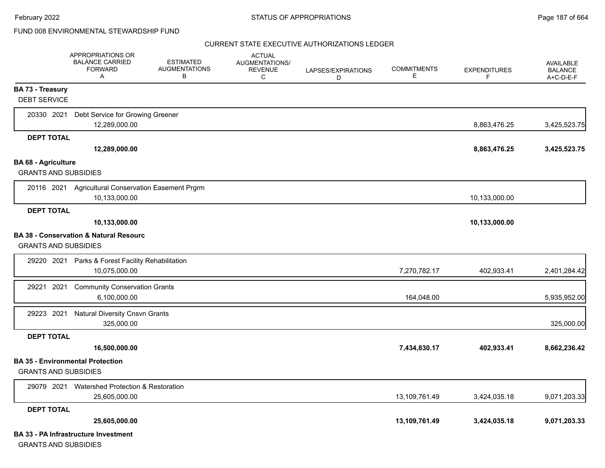#### CURRENT STATE EXECUTIVE AUTHORIZATIONS LEDGER

|                                                           | <b>APPROPRIATIONS OR</b><br><b>BALANCE CARRIED</b><br><b>FORWARD</b><br>Α | <b>ESTIMATED</b><br><b>AUGMENTATIONS</b><br>В | <b>ACTUAL</b><br><b>AUGMENTATIONS/</b><br><b>REVENUE</b><br>C | LAPSES/EXPIRATIONS<br>D | <b>COMMITMENTS</b><br>Е | <b>EXPENDITURES</b><br>F. | <b>AVAILABLE</b><br><b>BALANCE</b><br>A+C-D-E-F |
|-----------------------------------------------------------|---------------------------------------------------------------------------|-----------------------------------------------|---------------------------------------------------------------|-------------------------|-------------------------|---------------------------|-------------------------------------------------|
| <b>BA 73 - Treasury</b>                                   |                                                                           |                                               |                                                               |                         |                         |                           |                                                 |
| <b>DEBT SERVICE</b>                                       |                                                                           |                                               |                                                               |                         |                         |                           |                                                 |
| 20330 2021                                                | Debt Service for Growing Greener                                          |                                               |                                                               |                         |                         |                           |                                                 |
|                                                           | 12,289,000.00                                                             |                                               |                                                               |                         |                         | 8,863,476.25              | 3,425,523.75                                    |
| <b>DEPT TOTAL</b>                                         |                                                                           |                                               |                                                               |                         |                         |                           |                                                 |
|                                                           | 12,289,000.00                                                             |                                               |                                                               |                         |                         | 8,863,476.25              | 3,425,523.75                                    |
| <b>BA 68 - Agriculture</b><br><b>GRANTS AND SUBSIDIES</b> |                                                                           |                                               |                                                               |                         |                         |                           |                                                 |
|                                                           | 20116 2021 Agricultural Conservation Easement Prgrm                       |                                               |                                                               |                         |                         |                           |                                                 |
|                                                           | 10,133,000.00                                                             |                                               |                                                               |                         |                         | 10,133,000.00             |                                                 |
| <b>DEPT TOTAL</b>                                         |                                                                           |                                               |                                                               |                         |                         |                           |                                                 |
|                                                           | 10,133,000.00                                                             |                                               |                                                               |                         |                         | 10,133,000.00             |                                                 |
|                                                           | <b>BA 38 - Conservation &amp; Natural Resourc</b>                         |                                               |                                                               |                         |                         |                           |                                                 |
| <b>GRANTS AND SUBSIDIES</b>                               |                                                                           |                                               |                                                               |                         |                         |                           |                                                 |
| 29220 2021                                                | Parks & Forest Facility Rehabilitation                                    |                                               |                                                               |                         |                         |                           |                                                 |
|                                                           | 10.075.000.00                                                             |                                               |                                                               |                         | 7,270,782.17            | 402,933.41                | 2,401,284.42                                    |
| 2021<br>29221                                             | <b>Community Conservation Grants</b>                                      |                                               |                                                               |                         |                         |                           |                                                 |
|                                                           | 6,100,000.00                                                              |                                               |                                                               |                         | 164,048.00              |                           | 5,935,952.00                                    |
| 29223 2021                                                | <b>Natural Diversity Cnsvn Grants</b>                                     |                                               |                                                               |                         |                         |                           |                                                 |
|                                                           | 325,000.00                                                                |                                               |                                                               |                         |                         |                           | 325,000.00                                      |
| <b>DEPT TOTAL</b>                                         |                                                                           |                                               |                                                               |                         |                         |                           |                                                 |
|                                                           | 16,500,000.00                                                             |                                               |                                                               |                         | 7,434,830.17            | 402,933.41                | 8,662,236.42                                    |
| <b>GRANTS AND SUBSIDIES</b>                               | <b>BA 35 - Environmental Protection</b>                                   |                                               |                                                               |                         |                         |                           |                                                 |
| 29079 2021                                                | Watershed Protection & Restoration                                        |                                               |                                                               |                         |                         |                           |                                                 |
|                                                           | 25,605,000.00                                                             |                                               |                                                               |                         | 13,109,761.49           | 3,424,035.18              | 9,071,203.33                                    |
| <b>DEPT TOTAL</b>                                         |                                                                           |                                               |                                                               |                         |                         |                           |                                                 |
|                                                           | 25,605,000.00                                                             |                                               |                                                               |                         | 13,109,761.49           | 3,424,035.18              | 9,071,203.33                                    |
|                                                           | <b>BA 33 - PA Infrastructure Investment</b>                               |                                               |                                                               |                         |                         |                           |                                                 |

GRANTS AND SUBSIDIES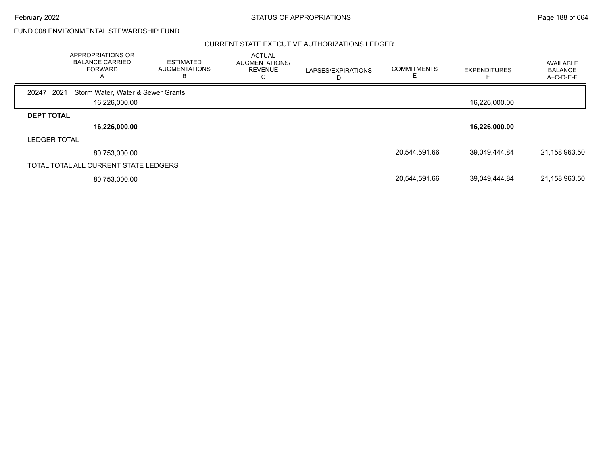February 2022 **Example 2022** Page 188 of 664

FUND 008 ENVIRONMENTAL STEWARDSHIP FUND

|                     | APPROPRIATIONS OR<br><b>BALANCE CARRIED</b><br><b>FORWARD</b> | <b>ESTIMATED</b><br><b>AUGMENTATIONS</b><br>в | <b>ACTUAL</b><br>AUGMENTATIONS/<br><b>REVENUE</b><br>◡ | LAPSES/EXPIRATIONS | <b>COMMITMENTS</b> | <b>EXPENDITURES</b> | AVAILABLE<br><b>BALANCE</b><br>A+C-D-E-F |
|---------------------|---------------------------------------------------------------|-----------------------------------------------|--------------------------------------------------------|--------------------|--------------------|---------------------|------------------------------------------|
| 20247               | 2021<br>Storm Water, Water & Sewer Grants                     |                                               |                                                        |                    |                    |                     |                                          |
|                     | 16,226,000.00                                                 |                                               |                                                        |                    |                    | 16,226,000.00       |                                          |
| <b>DEPT TOTAL</b>   |                                                               |                                               |                                                        |                    |                    |                     |                                          |
|                     | 16,226,000.00                                                 |                                               |                                                        |                    |                    | 16,226,000.00       |                                          |
| <b>LEDGER TOTAL</b> |                                                               |                                               |                                                        |                    |                    |                     |                                          |
|                     | 80,753,000.00                                                 |                                               |                                                        |                    | 20,544,591.66      | 39,049,444.84       | 21,158,963.50                            |
|                     | TOTAL TOTAL ALL CURRENT STATE LEDGERS                         |                                               |                                                        |                    |                    |                     |                                          |
|                     | 80,753,000.00                                                 |                                               |                                                        |                    | 20,544,591.66      | 39,049,444.84       | 21,158,963.50                            |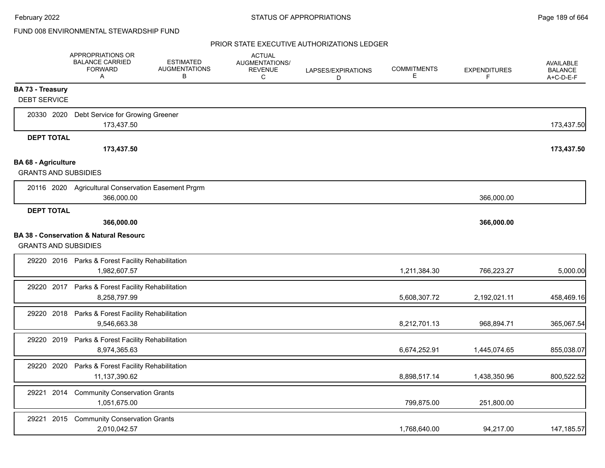|                             | <b>APPROPRIATIONS OR</b><br><b>BALANCE CARRIED</b><br><b>FORWARD</b><br>Α | <b>ESTIMATED</b><br><b>AUGMENTATIONS</b><br>В | <b>ACTUAL</b><br>AUGMENTATIONS/<br><b>REVENUE</b><br>C | LAPSES/EXPIRATIONS<br>D | <b>COMMITMENTS</b><br>Е | <b>EXPENDITURES</b><br>F. | <b>AVAILABLE</b><br><b>BALANCE</b><br>A+C-D-E-F |
|-----------------------------|---------------------------------------------------------------------------|-----------------------------------------------|--------------------------------------------------------|-------------------------|-------------------------|---------------------------|-------------------------------------------------|
| <b>BA 73 - Treasury</b>     |                                                                           |                                               |                                                        |                         |                         |                           |                                                 |
| <b>DEBT SERVICE</b>         |                                                                           |                                               |                                                        |                         |                         |                           |                                                 |
| 20330 2020                  | Debt Service for Growing Greener                                          |                                               |                                                        |                         |                         |                           |                                                 |
|                             | 173,437.50                                                                |                                               |                                                        |                         |                         |                           | 173,437.50                                      |
| <b>DEPT TOTAL</b>           |                                                                           |                                               |                                                        |                         |                         |                           |                                                 |
|                             | 173,437.50                                                                |                                               |                                                        |                         |                         |                           | 173,437.50                                      |
| <b>BA 68 - Agriculture</b>  |                                                                           |                                               |                                                        |                         |                         |                           |                                                 |
| <b>GRANTS AND SUBSIDIES</b> |                                                                           |                                               |                                                        |                         |                         |                           |                                                 |
|                             | 20116 2020 Agricultural Conservation Easement Prgrm                       |                                               |                                                        |                         |                         |                           |                                                 |
|                             | 366,000.00                                                                |                                               |                                                        |                         |                         | 366,000.00                |                                                 |
| <b>DEPT TOTAL</b>           |                                                                           |                                               |                                                        |                         |                         |                           |                                                 |
|                             | 366,000.00                                                                |                                               |                                                        |                         |                         | 366,000.00                |                                                 |
|                             | <b>BA 38 - Conservation &amp; Natural Resourc</b>                         |                                               |                                                        |                         |                         |                           |                                                 |
| <b>GRANTS AND SUBSIDIES</b> |                                                                           |                                               |                                                        |                         |                         |                           |                                                 |
|                             | 29220 2016 Parks & Forest Facility Rehabilitation                         |                                               |                                                        |                         |                         |                           |                                                 |
|                             | 1,982,607.57                                                              |                                               |                                                        |                         | 1,211,384.30            | 766,223.27                | 5,000.00                                        |
|                             | 29220 2017 Parks & Forest Facility Rehabilitation                         |                                               |                                                        |                         |                         |                           |                                                 |
|                             | 8,258,797.99                                                              |                                               |                                                        |                         | 5,608,307.72            | 2,192,021.11              | 458,469.16                                      |
|                             | 29220 2018 Parks & Forest Facility Rehabilitation                         |                                               |                                                        |                         |                         |                           |                                                 |
|                             | 9,546,663.38                                                              |                                               |                                                        |                         | 8,212,701.13            | 968,894.71                | 365,067.54                                      |
|                             | 29220 2019 Parks & Forest Facility Rehabilitation                         |                                               |                                                        |                         |                         |                           |                                                 |
|                             | 8,974,365.63                                                              |                                               |                                                        |                         | 6,674,252.91            | 1,445,074.65              | 855,038.07                                      |
| 29220 2020                  | Parks & Forest Facility Rehabilitation                                    |                                               |                                                        |                         |                         |                           |                                                 |
|                             | 11,137,390.62                                                             |                                               |                                                        |                         | 8,898,517.14            | 1,438,350.96              | 800,522.52                                      |
| 29221 2014                  | <b>Community Conservation Grants</b>                                      |                                               |                                                        |                         |                         |                           |                                                 |
|                             | 1,051,675.00                                                              |                                               |                                                        |                         | 799,875.00              | 251,800.00                |                                                 |
|                             |                                                                           |                                               |                                                        |                         |                         |                           |                                                 |
| 2015<br>29221               | <b>Community Conservation Grants</b><br>2,010,042.57                      |                                               |                                                        |                         | 1,768,640.00            |                           |                                                 |
|                             |                                                                           |                                               |                                                        |                         |                         | 94,217.00                 | 147,185.57                                      |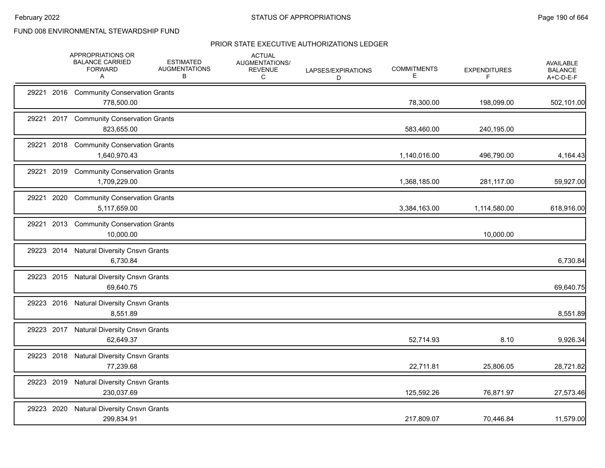|            |      | APPROPRIATIONS OR<br><b>BALANCE CARRIED</b><br><b>FORWARD</b><br>A | <b>ESTIMATED</b><br><b>AUGMENTATIONS</b><br>В | <b>ACTUAL</b><br>AUGMENTATIONS/<br>REVENUE<br>C | LAPSES/EXPIRATIONS<br>D | <b>COMMITMENTS</b><br>Е | <b>EXPENDITURES</b><br>F | <b>AVAILABLE</b><br><b>BALANCE</b><br>A+C-D-E-F |
|------------|------|--------------------------------------------------------------------|-----------------------------------------------|-------------------------------------------------|-------------------------|-------------------------|--------------------------|-------------------------------------------------|
|            |      | 29221 2016 Community Conservation Grants<br>778,500.00             |                                               |                                                 |                         | 78,300.00               | 198,099.00               | 502,101.00                                      |
| 29221      |      | 2017 Community Conservation Grants<br>823,655.00                   |                                               |                                                 |                         | 583,460.00              | 240,195.00               |                                                 |
| 29221      | 2018 | <b>Community Conservation Grants</b><br>1,640,970.43               |                                               |                                                 |                         | 1,140,016.00            | 496,790.00               | 4,164.43                                        |
| 29221 2019 |      | <b>Community Conservation Grants</b><br>1,709,229.00               |                                               |                                                 |                         | 1,368,185.00            | 281,117.00               | 59,927.00                                       |
| 29221      |      | 2020 Community Conservation Grants<br>5,117,659.00                 |                                               |                                                 |                         | 3,384,163.00            | 1,114,580.00             | 618,916.00                                      |
| 29221      |      | 2013 Community Conservation Grants<br>10,000.00                    |                                               |                                                 |                         |                         | 10,000.00                |                                                 |
|            |      | 29223 2014 Natural Diversity Cnsvn Grants<br>6,730.84              |                                               |                                                 |                         |                         |                          | 6,730.84                                        |
|            |      | 29223 2015 Natural Diversity Cnsvn Grants<br>69,640.75             |                                               |                                                 |                         |                         |                          | 69,640.75                                       |
|            |      | 29223 2016 Natural Diversity Cnsvn Grants<br>8,551.89              |                                               |                                                 |                         |                         |                          | 8,551.89                                        |
|            |      | 29223 2017 Natural Diversity Cnsvn Grants<br>62,649.37             |                                               |                                                 |                         | 52,714.93               | 8.10                     | 9,926.34                                        |
|            |      | 29223 2018 Natural Diversity Cnsvn Grants<br>77,239.68             |                                               |                                                 |                         | 22,711.81               | 25,806.05                | 28,721.82                                       |
|            |      | 29223 2019 Natural Diversity Cnsvn Grants<br>230,037.69            |                                               |                                                 |                         | 125,592.26              | 76,871.97                | 27,573.46                                       |
| 29223 2020 |      | <b>Natural Diversity Cnsvn Grants</b><br>299,834.91                |                                               |                                                 |                         | 217,809.07              | 70,446.84                | 11,579.00                                       |
|            |      |                                                                    |                                               |                                                 |                         |                         |                          |                                                 |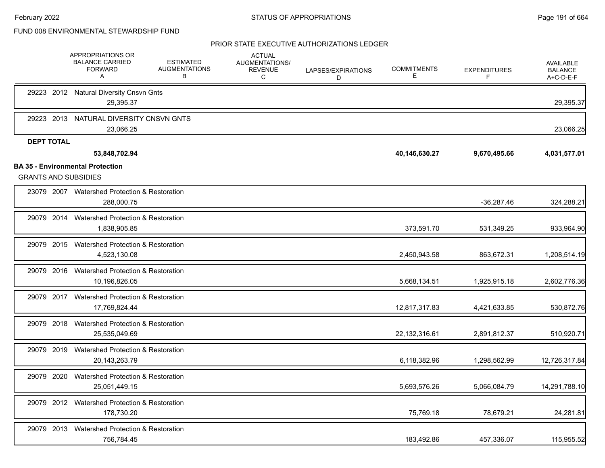|                                                                        | APPROPRIATIONS OR<br><b>BALANCE CARRIED</b><br><b>FORWARD</b><br>Α | <b>ESTIMATED</b><br><b>AUGMENTATIONS</b><br>В | <b>ACTUAL</b><br>AUGMENTATIONS/<br><b>REVENUE</b><br>C | LAPSES/EXPIRATIONS<br>D | <b>COMMITMENTS</b><br>Е | <b>EXPENDITURES</b><br>F | <b>AVAILABLE</b><br><b>BALANCE</b><br>A+C-D-E-F |
|------------------------------------------------------------------------|--------------------------------------------------------------------|-----------------------------------------------|--------------------------------------------------------|-------------------------|-------------------------|--------------------------|-------------------------------------------------|
|                                                                        | 29223 2012 Natural Diversity Cnsvn Gnts<br>29,395.37               |                                               |                                                        |                         |                         |                          | 29,395.37                                       |
| 29223 2013                                                             | NATURAL DIVERSITY CNSVN GNTS<br>23,066.25                          |                                               |                                                        |                         |                         |                          | 23,066.25                                       |
| <b>DEPT TOTAL</b>                                                      | 53,848,702.94                                                      |                                               |                                                        |                         | 40,146,630.27           | 9,670,495.66             | 4,031,577.01                                    |
| <b>BA 35 - Environmental Protection</b><br><b>GRANTS AND SUBSIDIES</b> |                                                                    |                                               |                                                        |                         |                         |                          |                                                 |
|                                                                        | 23079 2007 Watershed Protection & Restoration<br>288,000.75        |                                               |                                                        |                         |                         | $-36,287.46$             | 324,288.21                                      |
| 29079 2014                                                             | Watershed Protection & Restoration<br>1,838,905.85                 |                                               |                                                        |                         | 373,591.70              | 531,349.25               | 933,964.90                                      |
|                                                                        | 29079 2015 Watershed Protection & Restoration<br>4,523,130.08      |                                               |                                                        |                         | 2,450,943.58            | 863,672.31               | 1,208,514.19                                    |
| 29079 2016                                                             | Watershed Protection & Restoration<br>10,196,826.05                |                                               |                                                        |                         | 5,668,134.51            | 1,925,915.18             | 2,602,776.36                                    |
|                                                                        | 29079 2017 Watershed Protection & Restoration<br>17,769,824.44     |                                               |                                                        |                         | 12,817,317.83           | 4,421,633.85             | 530,872.76                                      |
| 29079 2018                                                             | Watershed Protection & Restoration<br>25,535,049.69                |                                               |                                                        |                         | 22,132,316.61           | 2,891,812.37             | 510,920.71                                      |
| 29079 2019                                                             | <b>Watershed Protection &amp; Restoration</b><br>20,143,263.79     |                                               |                                                        |                         | 6,118,382.96            | 1,298,562.99             | 12,726,317.84                                   |
| 29079 2020                                                             | Watershed Protection & Restoration<br>25,051,449.15                |                                               |                                                        |                         | 5,693,576.26            | 5,066,084.79             | 14,291,788.10                                   |
|                                                                        | 29079 2012 Watershed Protection & Restoration<br>178,730.20        |                                               |                                                        |                         | 75,769.18               | 78,679.21                | 24,281.81                                       |
| 29079 2013                                                             | Watershed Protection & Restoration<br>756,784.45                   |                                               |                                                        |                         | 183,492.86              | 457,336.07               | 115,955.52                                      |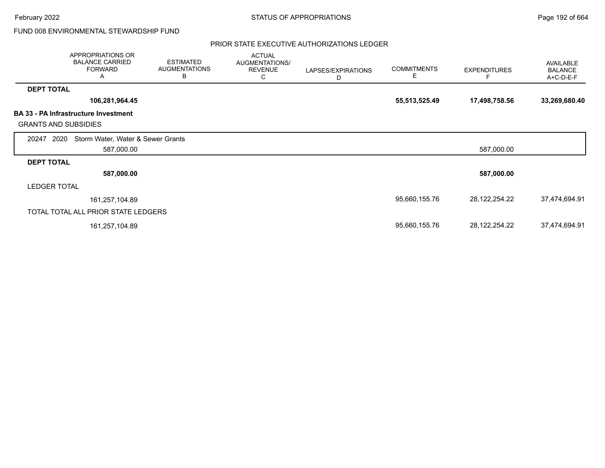February 2022 **Example 2022** Page 192 of 664

FUND 008 ENVIRONMENTAL STEWARDSHIP FUND

|                             | APPROPRIATIONS OR<br><b>BALANCE CARRIED</b><br><b>FORWARD</b><br>Α | <b>ESTIMATED</b><br><b>AUGMENTATIONS</b><br>В | <b>ACTUAL</b><br><b>AUGMENTATIONS/</b><br><b>REVENUE</b><br>С | LAPSES/EXPIRATIONS<br>D | <b>COMMITMENTS</b><br>Е | <b>EXPENDITURES</b> | AVAILABLE<br><b>BALANCE</b><br>A+C-D-E-F |
|-----------------------------|--------------------------------------------------------------------|-----------------------------------------------|---------------------------------------------------------------|-------------------------|-------------------------|---------------------|------------------------------------------|
| <b>DEPT TOTAL</b>           |                                                                    |                                               |                                                               |                         |                         |                     |                                          |
|                             | 106,281,964.45                                                     |                                               |                                                               |                         | 55,513,525.49           | 17,498,758.56       | 33,269,680.40                            |
| <b>GRANTS AND SUBSIDIES</b> | <b>BA 33 - PA Infrastructure Investment</b>                        |                                               |                                                               |                         |                         |                     |                                          |
| 2020<br>20247               | Storm Water, Water & Sewer Grants                                  |                                               |                                                               |                         |                         |                     |                                          |
|                             | 587,000.00                                                         |                                               |                                                               |                         |                         | 587,000.00          |                                          |
| <b>DEPT TOTAL</b>           |                                                                    |                                               |                                                               |                         |                         |                     |                                          |
|                             | 587,000.00                                                         |                                               |                                                               |                         |                         | 587,000.00          |                                          |
| <b>LEDGER TOTAL</b>         |                                                                    |                                               |                                                               |                         |                         |                     |                                          |
|                             | 161,257,104.89                                                     |                                               |                                                               |                         | 95,660,155.76           | 28,122,254.22       | 37,474,694.91                            |
|                             | TOTAL TOTAL ALL PRIOR STATE LEDGERS                                |                                               |                                                               |                         |                         |                     |                                          |
|                             | 161,257,104.89                                                     |                                               |                                                               |                         | 95,660,155.76           | 28,122,254.22       | 37,474,694.91                            |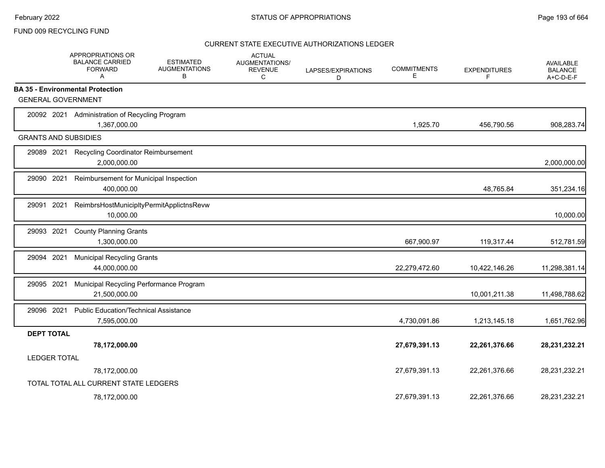### FUND 009 RECYCLING FUND

|                                                                      | APPROPRIATIONS OR<br><b>BALANCE CARRIED</b><br>FORWARD<br>A  | <b>ESTIMATED</b><br><b>AUGMENTATIONS</b><br>В | <b>ACTUAL</b><br>AUGMENTATIONS/<br><b>REVENUE</b><br>C | LAPSES/EXPIRATIONS<br>D | <b>COMMITMENTS</b><br>E. | <b>EXPENDITURES</b><br>F | AVAILABLE<br><b>BALANCE</b><br>A+C-D-E-F |
|----------------------------------------------------------------------|--------------------------------------------------------------|-----------------------------------------------|--------------------------------------------------------|-------------------------|--------------------------|--------------------------|------------------------------------------|
| <b>BA 35 - Environmental Protection</b><br><b>GENERAL GOVERNMENT</b> |                                                              |                                               |                                                        |                         |                          |                          |                                          |
| 20092 2021                                                           | Administration of Recycling Program<br>1,367,000.00          |                                               |                                                        |                         | 1,925.70                 | 456,790.56               | 908,283.74                               |
| <b>GRANTS AND SUBSIDIES</b>                                          |                                                              |                                               |                                                        |                         |                          |                          |                                          |
| 29089 2021                                                           | Recycling Coordinator Reimbursement<br>2,000,000.00          |                                               |                                                        |                         |                          |                          | 2,000,000.00                             |
| 29090 2021                                                           | Reimbursement for Municipal Inspection<br>400,000.00         |                                               |                                                        |                         |                          | 48,765.84                | 351,234.16                               |
| 29091<br>2021                                                        | ReimbrsHostMunicipltyPermitApplictnsRevw<br>10,000.00        |                                               |                                                        |                         |                          |                          | 10,000.00                                |
| 29093 2021                                                           | <b>County Planning Grants</b><br>1,300,000.00                |                                               |                                                        |                         | 667,900.97               | 119,317.44               | 512,781.59                               |
| 29094 2021                                                           | <b>Municipal Recycling Grants</b><br>44,000,000.00           |                                               |                                                        |                         | 22,279,472.60            | 10,422,146.26            | 11,298,381.14                            |
| 29095 2021                                                           | Municipal Recycling Performance Program<br>21,500,000.00     |                                               |                                                        |                         |                          | 10,001,211.38            | 11,498,788.62                            |
| 29096 2021                                                           | <b>Public Education/Technical Assistance</b><br>7,595,000.00 |                                               |                                                        |                         | 4,730,091.86             | 1,213,145.18             | 1,651,762.96                             |
| <b>DEPT TOTAL</b>                                                    |                                                              |                                               |                                                        |                         |                          |                          |                                          |
|                                                                      | 78,172,000.00                                                |                                               |                                                        |                         | 27,679,391.13            | 22,261,376.66            | 28,231,232.21                            |
| <b>LEDGER TOTAL</b>                                                  |                                                              |                                               |                                                        |                         |                          |                          |                                          |
|                                                                      | 78,172,000.00                                                |                                               |                                                        |                         | 27,679,391.13            | 22,261,376.66            | 28,231,232.21                            |
|                                                                      | TOTAL TOTAL ALL CURRENT STATE LEDGERS                        |                                               |                                                        |                         |                          |                          |                                          |
|                                                                      | 78,172,000.00                                                |                                               |                                                        |                         | 27,679,391.13            | 22.261.376.66            | 28,231,232.21                            |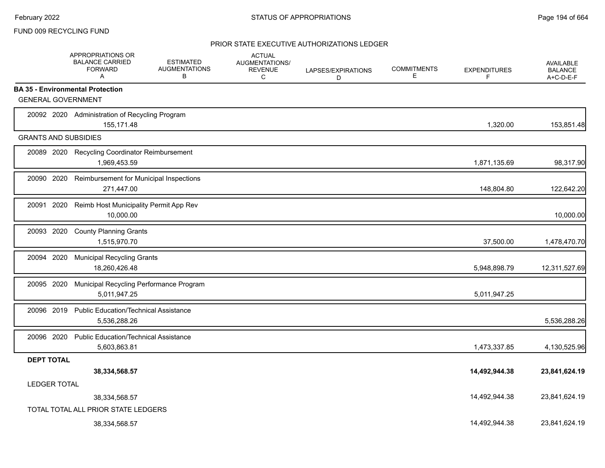### FUND 009 RECYCLING FUND

|                                         | <b>APPROPRIATIONS OR</b><br><b>BALANCE CARRIED</b><br><b>FORWARD</b><br>Α | <b>ESTIMATED</b><br><b>AUGMENTATIONS</b><br>B | <b>ACTUAL</b><br>AUGMENTATIONS/<br><b>REVENUE</b><br>С | LAPSES/EXPIRATIONS<br>D | <b>COMMITMENTS</b><br>Е | <b>EXPENDITURES</b><br>F | <b>AVAILABLE</b><br><b>BALANCE</b><br>A+C-D-E-F |
|-----------------------------------------|---------------------------------------------------------------------------|-----------------------------------------------|--------------------------------------------------------|-------------------------|-------------------------|--------------------------|-------------------------------------------------|
| <b>BA 35 - Environmental Protection</b> |                                                                           |                                               |                                                        |                         |                         |                          |                                                 |
| <b>GENERAL GOVERNMENT</b>               |                                                                           |                                               |                                                        |                         |                         |                          |                                                 |
|                                         | 20092 2020 Administration of Recycling Program<br>155,171.48              |                                               |                                                        |                         |                         | 1,320.00                 | 153,851.48                                      |
| <b>GRANTS AND SUBSIDIES</b>             |                                                                           |                                               |                                                        |                         |                         |                          |                                                 |
| 20089 2020                              | Recycling Coordinator Reimbursement<br>1,969,453.59                       |                                               |                                                        |                         |                         | 1,871,135.69             | 98,317.90                                       |
| 20090 2020                              | Reimbursement for Municipal Inspections<br>271,447.00                     |                                               |                                                        |                         |                         | 148,804.80               | 122,642.20                                      |
| 20091 2020                              | Reimb Host Municipality Permit App Rev<br>10,000.00                       |                                               |                                                        |                         |                         |                          | 10,000.00                                       |
| 20093 2020                              | <b>County Planning Grants</b><br>1,515,970.70                             |                                               |                                                        |                         |                         | 37,500.00                | 1,478,470.70                                    |
| 20094 2020                              | <b>Municipal Recycling Grants</b><br>18,260,426.48                        |                                               |                                                        |                         |                         | 5,948,898.79             | 12,311,527.69                                   |
| 20095 2020                              | Municipal Recycling Performance Program<br>5,011,947.25                   |                                               |                                                        |                         |                         | 5,011,947.25             |                                                 |
| 20096 2019                              | <b>Public Education/Technical Assistance</b><br>5,536,288.26              |                                               |                                                        |                         |                         |                          | 5,536,288.26                                    |
| 20096 2020                              | <b>Public Education/Technical Assistance</b><br>5,603,863.81              |                                               |                                                        |                         |                         | 1,473,337.85             | 4,130,525.96                                    |
| <b>DEPT TOTAL</b>                       |                                                                           |                                               |                                                        |                         |                         |                          |                                                 |
|                                         | 38,334,568.57                                                             |                                               |                                                        |                         |                         | 14,492,944.38            | 23,841,624.19                                   |
| <b>LEDGER TOTAL</b>                     |                                                                           |                                               |                                                        |                         |                         |                          |                                                 |
|                                         | 38,334,568.57                                                             |                                               |                                                        |                         |                         | 14,492,944.38            | 23,841,624.19                                   |
|                                         | TOTAL TOTAL ALL PRIOR STATE LEDGERS                                       |                                               |                                                        |                         |                         |                          |                                                 |
|                                         | 38,334,568.57                                                             |                                               |                                                        |                         |                         | 14.492.944.38            | 23,841,624.19                                   |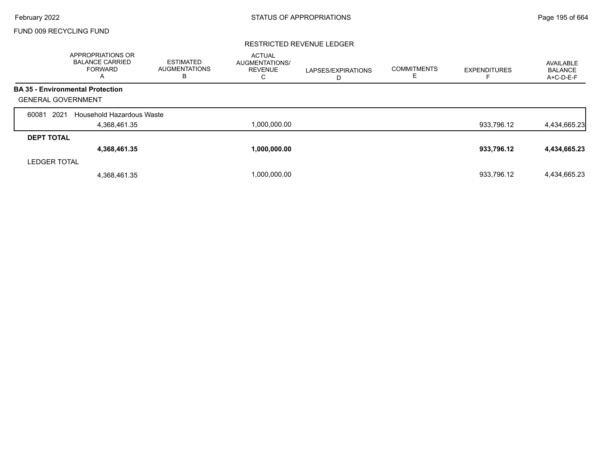# FUND 009 RECYCLING FUND

### RESTRICTED REVENUE LEDGER

|                           | APPROPRIATIONS OR<br><b>BALANCE CARRIED</b><br><b>FORWARD</b><br>A | <b>ESTIMATED</b><br><b>AUGMENTATIONS</b><br>в | <b>ACTUAL</b><br>AUGMENTATIONS/<br><b>REVENUE</b><br>С | LAPSES/EXPIRATIONS<br>D | <b>COMMITMENTS</b> | <b>EXPENDITURES</b> | AVAILABLE<br><b>BALANCE</b><br>A+C-D-E-F |
|---------------------------|--------------------------------------------------------------------|-----------------------------------------------|--------------------------------------------------------|-------------------------|--------------------|---------------------|------------------------------------------|
|                           | <b>BA 35 - Environmental Protection</b>                            |                                               |                                                        |                         |                    |                     |                                          |
| <b>GENERAL GOVERNMENT</b> |                                                                    |                                               |                                                        |                         |                    |                     |                                          |
| 2021<br>60081             | Household Hazardous Waste                                          |                                               |                                                        |                         |                    |                     |                                          |
|                           | 4,368,461.35                                                       |                                               | 1,000,000.00                                           |                         |                    | 933,796.12          | 4,434,665.23                             |
| <b>DEPT TOTAL</b>         |                                                                    |                                               |                                                        |                         |                    |                     |                                          |
|                           | 4,368,461.35                                                       |                                               | 1,000,000.00                                           |                         |                    | 933,796.12          | 4,434,665.23                             |
| <b>LEDGER TOTAL</b>       |                                                                    |                                               |                                                        |                         |                    |                     |                                          |
|                           | 4,368,461.35                                                       |                                               | 1.000.000.00                                           |                         |                    | 933.796.12          | 4,434,665.23                             |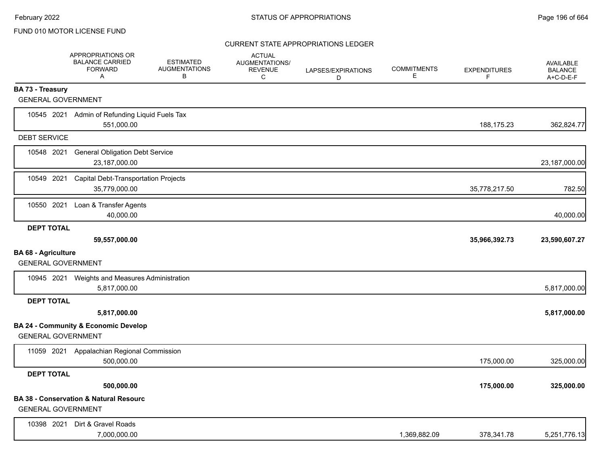|                                                         | <b>APPROPRIATIONS OR</b><br><b>BALANCE CARRIED</b><br><b>FORWARD</b><br>Α | <b>ESTIMATED</b><br><b>AUGMENTATIONS</b><br>В | <b>ACTUAL</b><br><b>AUGMENTATIONS/</b><br><b>REVENUE</b><br>C | LAPSES/EXPIRATIONS<br>D | <b>COMMITMENTS</b><br>E. | <b>EXPENDITURES</b><br>F | <b>AVAILABLE</b><br><b>BALANCE</b><br>$A+C-D-E-F$ |
|---------------------------------------------------------|---------------------------------------------------------------------------|-----------------------------------------------|---------------------------------------------------------------|-------------------------|--------------------------|--------------------------|---------------------------------------------------|
| <b>BA 73 - Treasury</b>                                 |                                                                           |                                               |                                                               |                         |                          |                          |                                                   |
| <b>GENERAL GOVERNMENT</b>                               |                                                                           |                                               |                                                               |                         |                          |                          |                                                   |
|                                                         | 10545 2021 Admin of Refunding Liquid Fuels Tax<br>551,000.00              |                                               |                                                               |                         |                          | 188,175.23               | 362,824.77                                        |
| <b>DEBT SERVICE</b>                                     |                                                                           |                                               |                                                               |                         |                          |                          |                                                   |
| 10548 2021                                              | <b>General Obligation Debt Service</b><br>23,187,000.00                   |                                               |                                                               |                         |                          |                          | 23,187,000.00                                     |
| 10549 2021                                              | <b>Capital Debt-Transportation Projects</b><br>35,779,000.00              |                                               |                                                               |                         |                          | 35,778,217.50            | 782.50                                            |
| 10550 2021                                              | Loan & Transfer Agents<br>40,000.00                                       |                                               |                                                               |                         |                          |                          | 40,000.00                                         |
| <b>DEPT TOTAL</b>                                       |                                                                           |                                               |                                                               |                         |                          |                          |                                                   |
| <b>BA 68 - Agriculture</b><br><b>GENERAL GOVERNMENT</b> | 59,557,000.00                                                             |                                               |                                                               |                         |                          | 35,966,392.73            | 23,590,607.27                                     |
|                                                         | 10945 2021 Weights and Measures Administration<br>5,817,000.00            |                                               |                                                               |                         |                          |                          | 5,817,000.00                                      |
| <b>DEPT TOTAL</b>                                       |                                                                           |                                               |                                                               |                         |                          |                          |                                                   |
|                                                         | 5,817,000.00                                                              |                                               |                                                               |                         |                          |                          | 5,817,000.00                                      |
| <b>GENERAL GOVERNMENT</b>                               | <b>BA 24 - Community &amp; Economic Develop</b>                           |                                               |                                                               |                         |                          |                          |                                                   |
|                                                         | 11059 2021 Appalachian Regional Commission<br>500,000.00                  |                                               |                                                               |                         |                          | 175,000.00               | 325,000.00                                        |
| <b>DEPT TOTAL</b>                                       |                                                                           |                                               |                                                               |                         |                          |                          |                                                   |
|                                                         | 500,000.00                                                                |                                               |                                                               |                         |                          | 175,000.00               | 325,000.00                                        |
| <b>GENERAL GOVERNMENT</b>                               | <b>BA 38 - Conservation &amp; Natural Resourc</b>                         |                                               |                                                               |                         |                          |                          |                                                   |
| 10398 2021                                              | Dirt & Gravel Roads<br>7,000,000.00                                       |                                               |                                                               |                         | 1,369,882.09             | 378,341.78               | 5,251,776.13                                      |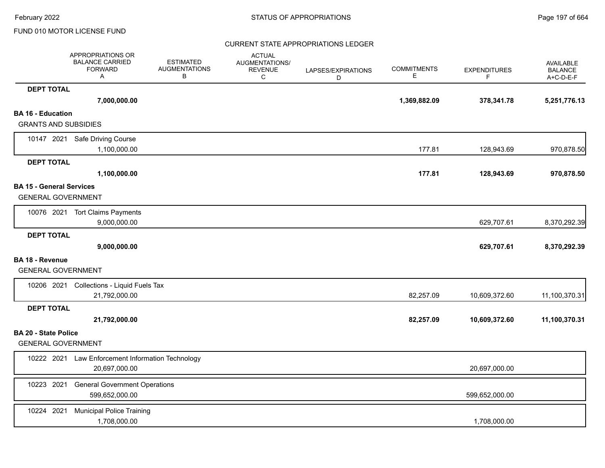|                                                              | APPROPRIATIONS OR<br><b>BALANCE CARRIED</b><br><b>FORWARD</b><br>Α | <b>ESTIMATED</b><br><b>AUGMENTATIONS</b><br>B | <b>ACTUAL</b><br><b>AUGMENTATIONS/</b><br><b>REVENUE</b><br>C | LAPSES/EXPIRATIONS<br>D | <b>COMMITMENTS</b><br>Е | <b>EXPENDITURES</b><br>F. | <b>AVAILABLE</b><br><b>BALANCE</b><br>A+C-D-E-F |
|--------------------------------------------------------------|--------------------------------------------------------------------|-----------------------------------------------|---------------------------------------------------------------|-------------------------|-------------------------|---------------------------|-------------------------------------------------|
| <b>DEPT TOTAL</b>                                            |                                                                    |                                               |                                                               |                         |                         |                           |                                                 |
|                                                              | 7,000,000.00                                                       |                                               |                                                               |                         | 1,369,882.09            | 378,341.78                | 5,251,776.13                                    |
| <b>BA 16 - Education</b>                                     |                                                                    |                                               |                                                               |                         |                         |                           |                                                 |
| <b>GRANTS AND SUBSIDIES</b>                                  |                                                                    |                                               |                                                               |                         |                         |                           |                                                 |
|                                                              | 10147 2021 Safe Driving Course                                     |                                               |                                                               |                         |                         |                           |                                                 |
|                                                              | 1,100,000.00                                                       |                                               |                                                               |                         | 177.81                  | 128,943.69                | 970,878.50                                      |
| <b>DEPT TOTAL</b>                                            |                                                                    |                                               |                                                               |                         |                         |                           |                                                 |
|                                                              | 1,100,000.00                                                       |                                               |                                                               |                         | 177.81                  | 128,943.69                | 970,878.50                                      |
| <b>BA 15 - General Services</b><br><b>GENERAL GOVERNMENT</b> |                                                                    |                                               |                                                               |                         |                         |                           |                                                 |
|                                                              | 10076 2021 Tort Claims Payments<br>9,000,000.00                    |                                               |                                                               |                         |                         | 629,707.61                | 8,370,292.39                                    |
| <b>DEPT TOTAL</b>                                            |                                                                    |                                               |                                                               |                         |                         |                           |                                                 |
|                                                              | 9,000,000.00                                                       |                                               |                                                               |                         |                         | 629,707.61                | 8,370,292.39                                    |
| <b>BA 18 - Revenue</b>                                       |                                                                    |                                               |                                                               |                         |                         |                           |                                                 |
| <b>GENERAL GOVERNMENT</b>                                    |                                                                    |                                               |                                                               |                         |                         |                           |                                                 |
|                                                              | 10206 2021 Collections - Liquid Fuels Tax                          |                                               |                                                               |                         |                         |                           |                                                 |
|                                                              | 21,792,000.00                                                      |                                               |                                                               |                         | 82,257.09               | 10,609,372.60             | 11,100,370.31                                   |
| <b>DEPT TOTAL</b>                                            |                                                                    |                                               |                                                               |                         |                         |                           |                                                 |
|                                                              | 21,792,000.00                                                      |                                               |                                                               |                         | 82,257.09               | 10,609,372.60             | 11,100,370.31                                   |
| <b>BA 20 - State Police</b>                                  |                                                                    |                                               |                                                               |                         |                         |                           |                                                 |
| <b>GENERAL GOVERNMENT</b>                                    |                                                                    |                                               |                                                               |                         |                         |                           |                                                 |
|                                                              | 10222 2021 Law Enforcement Information Technology<br>20.697.000.00 |                                               |                                                               |                         |                         | 20,697,000.00             |                                                 |
| 10223 2021                                                   | <b>General Government Operations</b><br>599,652,000.00             |                                               |                                                               |                         |                         | 599,652,000.00            |                                                 |
| 10224 2021                                                   | <b>Municipal Police Training</b><br>1,708,000.00                   |                                               |                                                               |                         |                         | 1,708,000.00              |                                                 |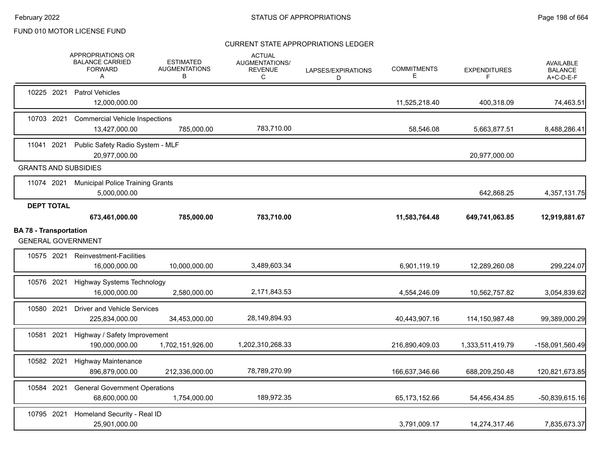|                               |                   | APPROPRIATIONS OR<br><b>BALANCE CARRIED</b><br><b>FORWARD</b><br>A | <b>ESTIMATED</b><br><b>AUGMENTATIONS</b><br>В | <b>ACTUAL</b><br>AUGMENTATIONS/<br><b>REVENUE</b><br>C | LAPSES/EXPIRATIONS<br>D | <b>COMMITMENTS</b><br>Е | <b>EXPENDITURES</b><br>F | <b>AVAILABLE</b><br><b>BALANCE</b><br>A+C-D-E-F |
|-------------------------------|-------------------|--------------------------------------------------------------------|-----------------------------------------------|--------------------------------------------------------|-------------------------|-------------------------|--------------------------|-------------------------------------------------|
|                               | 10225 2021        | <b>Patrol Vehicles</b><br>12,000,000.00                            |                                               |                                                        |                         | 11,525,218.40           | 400,318.09               | 74,463.51                                       |
|                               | 10703 2021        | <b>Commercial Vehicle Inspections</b><br>13,427,000.00             | 785.000.00                                    | 783,710.00                                             |                         | 58,546.08               | 5,663,877.51             | 8,488,286.41                                    |
| 11041                         | 2021              | Public Safety Radio System - MLF<br>20,977,000.00                  |                                               |                                                        |                         |                         | 20,977,000.00            |                                                 |
|                               |                   | <b>GRANTS AND SUBSIDIES</b>                                        |                                               |                                                        |                         |                         |                          |                                                 |
|                               | 11074 2021        | <b>Municipal Police Training Grants</b><br>5,000,000.00            |                                               |                                                        |                         |                         | 642,868.25               | 4,357,131.75                                    |
|                               | <b>DEPT TOTAL</b> | 673,461,000.00                                                     | 785,000.00                                    | 783,710.00                                             |                         | 11,583,764.48           | 649,741,063.85           | 12,919,881.67                                   |
| <b>BA 78 - Transportation</b> |                   | <b>GENERAL GOVERNMENT</b>                                          |                                               |                                                        |                         |                         |                          |                                                 |
|                               | 10575 2021        | <b>Reinvestment-Facilities</b><br>16,000,000.00                    | 10,000,000.00                                 | 3,489,603.34                                           |                         | 6,901,119.19            | 12,289,260.08            | 299,224.07                                      |
| 10576 2021                    |                   | <b>Highway Systems Technology</b><br>16,000,000.00                 | 2,580,000.00                                  | 2,171,843.53                                           |                         | 4,554,246.09            | 10,562,757.82            | 3,054,839.62                                    |
|                               | 10580 2021        | <b>Driver and Vehicle Services</b><br>225,834,000.00               | 34,453,000.00                                 | 28,149,894.93                                          |                         | 40,443,907.16           | 114,150,987.48           | 99,389,000.29                                   |
|                               | 10581 2021        | Highway / Safety Improvement<br>190,000,000.00                     | 1,702,151,926.00                              | 1,202,310,268.33                                       |                         | 216,890,409.03          | 1,333,511,419.79         | -158,091,560.49                                 |
|                               | 10582 2021        | <b>Highway Maintenance</b><br>896,879,000.00                       | 212,336,000.00                                | 78,789,270.99                                          |                         | 166,637,346.66          | 688,209,250.48           | 120,821,673.85                                  |
|                               | 10584 2021        | <b>General Government Operations</b><br>68,600,000.00              | 1,754,000.00                                  | 189,972.35                                             |                         | 65,173,152.66           | 54,456,434.85            | $-50,839,615.16$                                |
| 10795 2021                    |                   | Homeland Security - Real ID<br>25,901,000.00                       |                                               |                                                        |                         | 3,791,009.17            | 14,274,317.46            | 7,835,673.37                                    |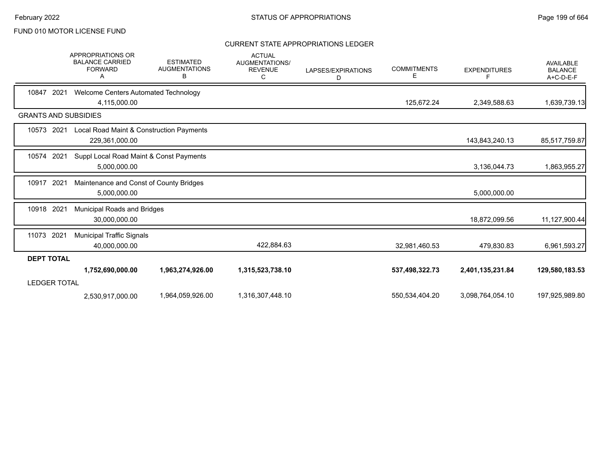|                             | <b>APPROPRIATIONS OR</b><br><b>BALANCE CARRIED</b><br><b>FORWARD</b><br>А | <b>ESTIMATED</b><br><b>AUGMENTATIONS</b><br>в | <b>ACTUAL</b><br>AUGMENTATIONS/<br><b>REVENUE</b><br>C | LAPSES/EXPIRATIONS<br>D | <b>COMMITMENTS</b><br>E. | <b>EXPENDITURES</b><br>F | <b>AVAILABLE</b><br><b>BALANCE</b><br>A+C-D-E-F |
|-----------------------------|---------------------------------------------------------------------------|-----------------------------------------------|--------------------------------------------------------|-------------------------|--------------------------|--------------------------|-------------------------------------------------|
| 10847<br>2021               | Welcome Centers Automated Technology<br>4,115,000.00                      |                                               |                                                        |                         | 125,672.24               | 2,349,588.63             | 1,639,739.13                                    |
| <b>GRANTS AND SUBSIDIES</b> |                                                                           |                                               |                                                        |                         |                          |                          |                                                 |
| 10573<br>2021               | Local Road Maint & Construction Payments<br>229,361,000.00                |                                               |                                                        |                         |                          | 143,843,240.13           | 85,517,759.87                                   |
| 10574<br>2021               | Suppl Local Road Maint & Const Payments<br>5,000,000.00                   |                                               |                                                        |                         |                          | 3,136,044.73             | 1,863,955.27                                    |
| 10917<br>2021               | Maintenance and Const of County Bridges<br>5,000,000.00                   |                                               |                                                        |                         |                          | 5,000,000.00             |                                                 |
| 2021<br>10918               | Municipal Roads and Bridges<br>30,000,000.00                              |                                               |                                                        |                         |                          | 18,872,099.56            | 11,127,900.44                                   |
| 11073 2021                  | <b>Municipal Traffic Signals</b><br>40,000,000.00                         |                                               | 422,884.63                                             |                         | 32,981,460.53            | 479,830.83               | 6,961,593.27                                    |
| <b>DEPT TOTAL</b>           |                                                                           |                                               |                                                        |                         |                          |                          |                                                 |
| <b>LEDGER TOTAL</b>         | 1,752,690,000.00                                                          | 1,963,274,926.00                              | 1,315,523,738.10                                       |                         | 537,498,322.73           | 2,401,135,231.84         | 129,580,183.53                                  |
|                             | 2.530.917.000.00                                                          | 1,964,059,926.00                              | 1,316,307,448.10                                       |                         | 550,534,404.20           | 3,098,764,054.10         | 197,925,989.80                                  |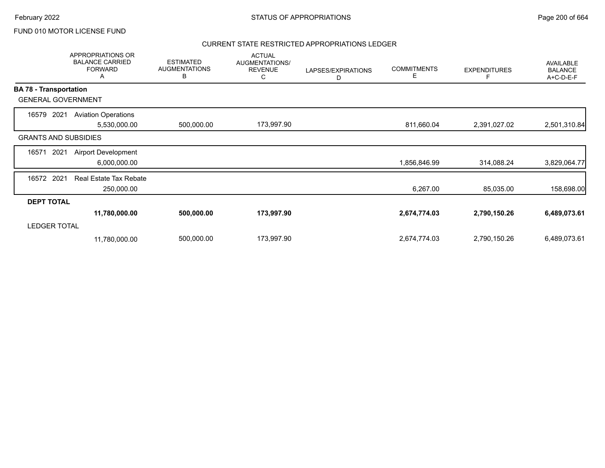#### CURRENT STATE RESTRICTED APPROPRIATIONS LEDGER

|                               | <b>APPROPRIATIONS OR</b><br><b>BALANCE CARRIED</b><br><b>FORWARD</b><br>Α | <b>ESTIMATED</b><br><b>AUGMENTATIONS</b><br>В | <b>ACTUAL</b><br>AUGMENTATIONS/<br><b>REVENUE</b><br>С | LAPSES/EXPIRATIONS<br>D | <b>COMMITMENTS</b><br>Е | <b>EXPENDITURES</b><br>F | <b>AVAILABLE</b><br><b>BALANCE</b><br>A+C-D-E-F |
|-------------------------------|---------------------------------------------------------------------------|-----------------------------------------------|--------------------------------------------------------|-------------------------|-------------------------|--------------------------|-------------------------------------------------|
| <b>BA 78 - Transportation</b> |                                                                           |                                               |                                                        |                         |                         |                          |                                                 |
| <b>GENERAL GOVERNMENT</b>     |                                                                           |                                               |                                                        |                         |                         |                          |                                                 |
| 2021<br>16579                 | <b>Aviation Operations</b><br>5,530,000.00                                | 500,000.00                                    | 173,997.90                                             |                         | 811,660.04              | 2,391,027.02             | 2,501,310.84                                    |
| <b>GRANTS AND SUBSIDIES</b>   |                                                                           |                                               |                                                        |                         |                         |                          |                                                 |
| 16571<br>2021                 | <b>Airport Development</b><br>6,000,000.00                                |                                               |                                                        |                         | 1,856,846.99            | 314,088.24               | 3,829,064.77                                    |
| 16572 2021                    | <b>Real Estate Tax Rebate</b><br>250,000.00                               |                                               |                                                        |                         | 6,267.00                | 85,035.00                | 158,698.00                                      |
| <b>DEPT TOTAL</b>             |                                                                           |                                               |                                                        |                         |                         |                          |                                                 |
|                               | 11,780,000.00                                                             | 500,000.00                                    | 173,997.90                                             |                         | 2,674,774.03            | 2,790,150.26             | 6,489,073.61                                    |
| <b>LEDGER TOTAL</b>           |                                                                           |                                               |                                                        |                         |                         |                          |                                                 |
|                               | 11,780,000.00                                                             | 500,000.00                                    | 173,997.90                                             |                         | 2,674,774.03            | 2,790,150.26             | 6,489,073.61                                    |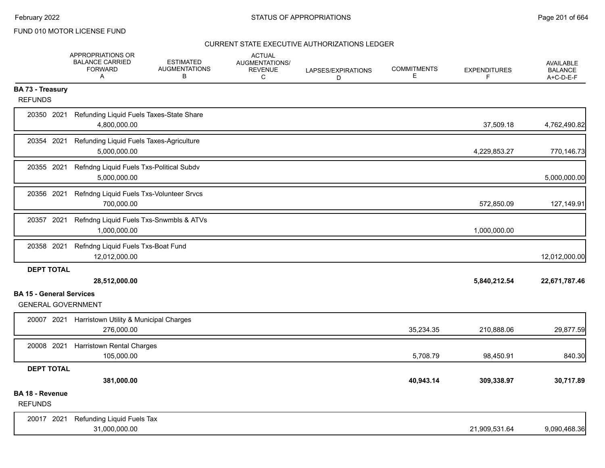|                                                              | <b>APPROPRIATIONS OR</b><br><b>BALANCE CARRIED</b><br><b>FORWARD</b><br>A | <b>ESTIMATED</b><br><b>AUGMENTATIONS</b><br>В | <b>ACTUAL</b><br>AUGMENTATIONS/<br><b>REVENUE</b><br>С | LAPSES/EXPIRATIONS<br>D | <b>COMMITMENTS</b><br>E. | <b>EXPENDITURES</b><br>F | <b>AVAILABLE</b><br><b>BALANCE</b><br>A+C-D-E-F |
|--------------------------------------------------------------|---------------------------------------------------------------------------|-----------------------------------------------|--------------------------------------------------------|-------------------------|--------------------------|--------------------------|-------------------------------------------------|
| <b>BA 73 - Treasury</b><br><b>REFUNDS</b>                    |                                                                           |                                               |                                                        |                         |                          |                          |                                                 |
| 20350 2021                                                   | Refunding Liquid Fuels Taxes-State Share<br>4,800,000.00                  |                                               |                                                        |                         |                          | 37,509.18                | 4,762,490.82                                    |
| 20354 2021                                                   | Refunding Liquid Fuels Taxes-Agriculture<br>5,000,000.00                  |                                               |                                                        |                         |                          | 4,229,853.27             | 770,146.73                                      |
| 20355 2021                                                   | Refndng Liquid Fuels Txs-Political Subdv<br>5,000,000.00                  |                                               |                                                        |                         |                          |                          | 5,000,000.00                                    |
| 20356 2021                                                   | Refndng Liquid Fuels Txs-Volunteer Srvcs<br>700,000.00                    |                                               |                                                        |                         |                          | 572,850.09               | 127,149.91                                      |
| 20357 2021                                                   | Refndng Liquid Fuels Txs-Snwmbls & ATVs<br>1,000,000.00                   |                                               |                                                        |                         |                          | 1,000,000.00             |                                                 |
| 20358 2021                                                   | Refndng Liquid Fuels Txs-Boat Fund<br>12,012,000.00                       |                                               |                                                        |                         |                          |                          | 12,012,000.00                                   |
| <b>DEPT TOTAL</b>                                            | 28,512,000.00                                                             |                                               |                                                        |                         |                          | 5,840,212.54             | 22,671,787.46                                   |
| <b>BA 15 - General Services</b><br><b>GENERAL GOVERNMENT</b> |                                                                           |                                               |                                                        |                         |                          |                          |                                                 |
| 20007 2021                                                   | Harristown Utility & Municipal Charges<br>276,000.00                      |                                               |                                                        |                         | 35,234.35                | 210,888.06               | 29,877.59                                       |
| 20008 2021                                                   | <b>Harristown Rental Charges</b><br>105,000.00                            |                                               |                                                        |                         | 5,708.79                 | 98,450.91                | 840.30                                          |
| <b>DEPT TOTAL</b>                                            |                                                                           |                                               |                                                        |                         |                          |                          |                                                 |
| BA 18 - Revenue                                              | 381,000.00                                                                |                                               |                                                        |                         | 40,943.14                | 309,338.97               | 30,717.89                                       |
| <b>REFUNDS</b>                                               |                                                                           |                                               |                                                        |                         |                          |                          |                                                 |
| 20017 2021                                                   | Refunding Liquid Fuels Tax<br>31,000,000.00                               |                                               |                                                        |                         |                          | 21,909,531.64            | 9,090,468.36                                    |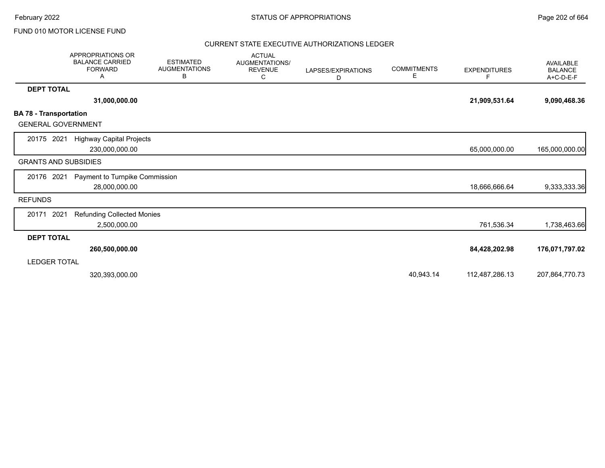February 2022 **Example 202** of 664 STATUS OF APPROPRIATIONS

### FUND 010 MOTOR LICENSE FUND

|                                                            | <b>APPROPRIATIONS OR</b><br><b>BALANCE CARRIED</b><br><b>FORWARD</b><br>Α | <b>ESTIMATED</b><br><b>AUGMENTATIONS</b><br>В | <b>ACTUAL</b><br>AUGMENTATIONS/<br><b>REVENUE</b><br>С | LAPSES/EXPIRATIONS<br>D | <b>COMMITMENTS</b><br>Е | <b>EXPENDITURES</b><br>F. | <b>AVAILABLE</b><br><b>BALANCE</b><br>A+C-D-E-F |
|------------------------------------------------------------|---------------------------------------------------------------------------|-----------------------------------------------|--------------------------------------------------------|-------------------------|-------------------------|---------------------------|-------------------------------------------------|
| <b>DEPT TOTAL</b>                                          |                                                                           |                                               |                                                        |                         |                         |                           |                                                 |
|                                                            | 31,000,000.00                                                             |                                               |                                                        |                         |                         | 21,909,531.64             | 9,090,468.36                                    |
| <b>BA 78 - Transportation</b><br><b>GENERAL GOVERNMENT</b> |                                                                           |                                               |                                                        |                         |                         |                           |                                                 |
| 20175 2021                                                 | <b>Highway Capital Projects</b><br>230,000,000.00                         |                                               |                                                        |                         |                         | 65,000,000.00             | 165,000,000.00                                  |
| <b>GRANTS AND SUBSIDIES</b>                                |                                                                           |                                               |                                                        |                         |                         |                           |                                                 |
| 20176 2021                                                 | Payment to Turnpike Commission<br>28,000,000.00                           |                                               |                                                        |                         |                         | 18,666,666.64             | 9,333,333.36                                    |
| <b>REFUNDS</b>                                             |                                                                           |                                               |                                                        |                         |                         |                           |                                                 |
| 2021<br>20171                                              | <b>Refunding Collected Monies</b><br>2,500,000.00                         |                                               |                                                        |                         |                         | 761,536.34                | 1,738,463.66                                    |
| <b>DEPT TOTAL</b>                                          |                                                                           |                                               |                                                        |                         |                         |                           |                                                 |
|                                                            | 260,500,000.00                                                            |                                               |                                                        |                         |                         | 84,428,202.98             | 176,071,797.02                                  |
| LEDGER TOTAL                                               |                                                                           |                                               |                                                        |                         |                         |                           |                                                 |
|                                                            | 320,393,000.00                                                            |                                               |                                                        |                         | 40,943.14               | 112,487,286.13            | 207,864,770.73                                  |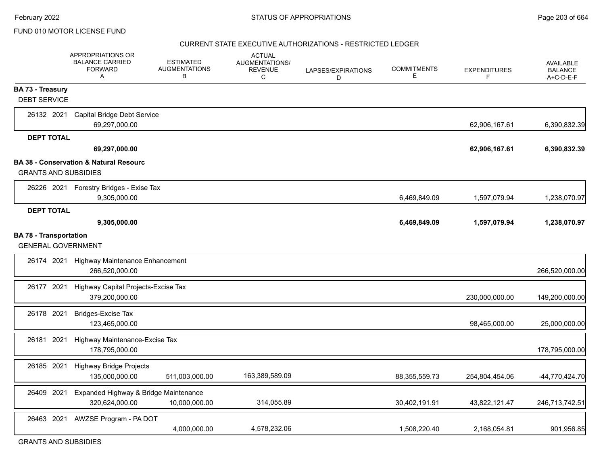#### CURRENT STATE EXECUTIVE AUTHORIZATIONS - RESTRICTED LEDGER

|                               | APPROPRIATIONS OR<br><b>BALANCE CARRIED</b><br><b>FORWARD</b><br>A | <b>ESTIMATED</b><br><b>AUGMENTATIONS</b><br>B | <b>ACTUAL</b><br>AUGMENTATIONS/<br><b>REVENUE</b><br>$\mathsf{C}$ | LAPSES/EXPIRATIONS<br>D | <b>COMMITMENTS</b><br>Е | <b>EXPENDITURES</b><br>F | <b>AVAILABLE</b><br><b>BALANCE</b><br>A+C-D-E-F |
|-------------------------------|--------------------------------------------------------------------|-----------------------------------------------|-------------------------------------------------------------------|-------------------------|-------------------------|--------------------------|-------------------------------------------------|
| <b>BA 73 - Treasury</b>       |                                                                    |                                               |                                                                   |                         |                         |                          |                                                 |
| <b>DEBT SERVICE</b>           |                                                                    |                                               |                                                                   |                         |                         |                          |                                                 |
| 26132 2021                    | Capital Bridge Debt Service<br>69,297,000.00                       |                                               |                                                                   |                         |                         | 62,906,167.61            | 6,390,832.39                                    |
| <b>DEPT TOTAL</b>             |                                                                    |                                               |                                                                   |                         |                         |                          |                                                 |
|                               | 69,297,000.00                                                      |                                               |                                                                   |                         |                         | 62,906,167.61            | 6,390,832.39                                    |
|                               | <b>BA 38 - Conservation &amp; Natural Resourc</b>                  |                                               |                                                                   |                         |                         |                          |                                                 |
| <b>GRANTS AND SUBSIDIES</b>   |                                                                    |                                               |                                                                   |                         |                         |                          |                                                 |
|                               | 26226 2021 Forestry Bridges - Exise Tax<br>9,305,000.00            |                                               |                                                                   |                         | 6,469,849.09            | 1,597,079.94             | 1,238,070.97                                    |
| <b>DEPT TOTAL</b>             |                                                                    |                                               |                                                                   |                         |                         |                          |                                                 |
|                               | 9,305,000.00                                                       |                                               |                                                                   |                         | 6,469,849.09            | 1,597,079.94             | 1,238,070.97                                    |
| <b>BA 78 - Transportation</b> |                                                                    |                                               |                                                                   |                         |                         |                          |                                                 |
| <b>GENERAL GOVERNMENT</b>     |                                                                    |                                               |                                                                   |                         |                         |                          |                                                 |
|                               | 26174 2021 Highway Maintenance Enhancement<br>266,520,000.00       |                                               |                                                                   |                         |                         |                          | 266,520,000.00                                  |
| 26177 2021                    | Highway Capital Projects-Excise Tax<br>379,200,000.00              |                                               |                                                                   |                         |                         | 230,000,000.00           | 149,200,000.00                                  |
| 26178 2021                    | <b>Bridges-Excise Tax</b><br>123,465,000.00                        |                                               |                                                                   |                         |                         | 98,465,000.00            | 25,000,000.00                                   |
| 26181 2021                    | Highway Maintenance-Excise Tax<br>178,795,000.00                   |                                               |                                                                   |                         |                         |                          | 178,795,000.00                                  |
| 26185 2021                    | <b>Highway Bridge Projects</b><br>135,000,000.00                   | 511,003,000.00                                | 163,389,589.09                                                    |                         | 88,355,559.73           | 254,804,454.06           | -44,770,424.70                                  |
| 26409 2021                    | Expanded Highway & Bridge Maintenance<br>320,624,000.00            | 10,000,000.00                                 | 314,055.89                                                        |                         | 30,402,191.91           | 43,822,121.47            | 246,713,742.51                                  |
| 26463 2021                    | AWZSE Program - PA DOT                                             | 4,000,000.00                                  | 4,578,232.06                                                      |                         | 1,508,220.40            | 2,168,054.81             | 901,956.85                                      |

GRANTS AND SUBSIDIES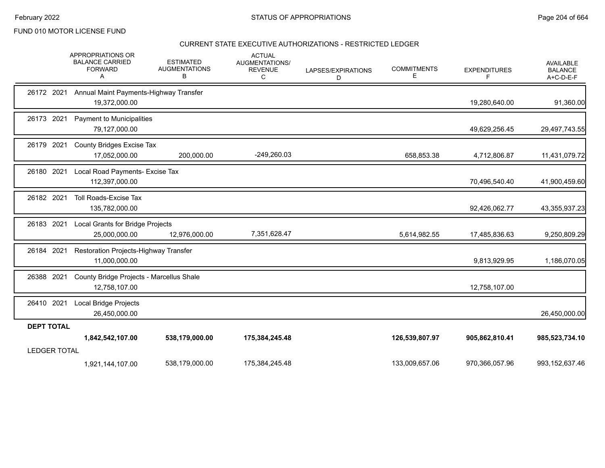### CURRENT STATE EXECUTIVE AUTHORIZATIONS - RESTRICTED LEDGER

|                     | <b>APPROPRIATIONS OR</b><br><b>BALANCE CARRIED</b><br><b>FORWARD</b><br>A | <b>ESTIMATED</b><br><b>AUGMENTATIONS</b><br>В | <b>ACTUAL</b><br>AUGMENTATIONS/<br><b>REVENUE</b><br>C | LAPSES/EXPIRATIONS<br>D | <b>COMMITMENTS</b><br>Е | <b>EXPENDITURES</b><br>F | AVAILABLE<br><b>BALANCE</b><br>A+C-D-E-F |
|---------------------|---------------------------------------------------------------------------|-----------------------------------------------|--------------------------------------------------------|-------------------------|-------------------------|--------------------------|------------------------------------------|
| 26172 2021          | Annual Maint Payments-Highway Transfer<br>19,372,000.00                   |                                               |                                                        |                         |                         | 19,280,640.00            | 91,360.00                                |
| 26173 2021          | Payment to Municipalities<br>79,127,000.00                                |                                               |                                                        |                         |                         | 49,629,256.45            | 29,497,743.55                            |
| 26179 2021          | <b>County Bridges Excise Tax</b><br>17,052,000.00                         | 200,000.00                                    | $-249,260.03$                                          |                         | 658,853.38              | 4,712,806.87             | 11,431,079.72                            |
| 2021<br>26180       | Local Road Payments- Excise Tax<br>112,397,000.00                         |                                               |                                                        |                         |                         | 70,496,540.40            | 41,900,459.60                            |
| 26182 2021          | <b>Toll Roads-Excise Tax</b><br>135,782,000.00                            |                                               |                                                        |                         |                         | 92,426,062.77            | 43,355,937.23                            |
| 26183 2021          | Local Grants for Bridge Projects<br>25,000,000.00                         | 12,976,000.00                                 | 7,351,628.47                                           |                         | 5,614,982.55            | 17,485,836.63            | 9,250,809.29                             |
| 26184 2021          | Restoration Projects-Highway Transfer<br>11,000,000.00                    |                                               |                                                        |                         |                         | 9,813,929.95             | 1,186,070.05                             |
| 26388 2021          | County Bridge Projects - Marcellus Shale<br>12,758,107.00                 |                                               |                                                        |                         |                         | 12,758,107.00            |                                          |
| 26410 2021          | <b>Local Bridge Projects</b><br>26,450,000.00                             |                                               |                                                        |                         |                         |                          | 26,450,000.00                            |
| <b>DEPT TOTAL</b>   |                                                                           |                                               |                                                        |                         |                         |                          |                                          |
|                     | 1,842,542,107.00                                                          | 538,179,000.00                                | 175,384,245.48                                         |                         | 126,539,807.97          | 905,862,810.41           | 985,523,734.10                           |
| <b>LEDGER TOTAL</b> |                                                                           |                                               |                                                        |                         |                         |                          |                                          |
|                     | 1,921,144,107.00                                                          | 538,179,000.00                                | 175,384,245.48                                         |                         | 133,009,657.06          | 970,366,057.96           | 993, 152, 637. 46                        |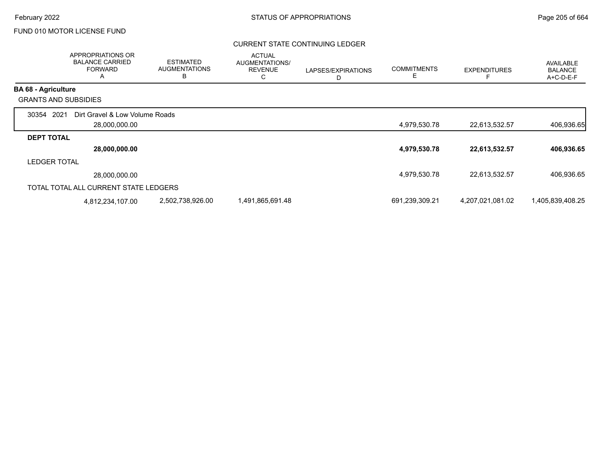#### CURRENT STATE CONTINUING LEDGER

|                             | APPROPRIATIONS OR<br><b>BALANCE CARRIED</b><br><b>FORWARD</b><br>A | <b>ESTIMATED</b><br><b>AUGMENTATIONS</b><br>В | <b>ACTUAL</b><br>AUGMENTATIONS/<br><b>REVENUE</b><br>С | LAPSES/EXPIRATIONS<br>D | <b>COMMITMENTS</b><br>Е | <b>EXPENDITURES</b> | AVAILABLE<br><b>BALANCE</b><br>A+C-D-E-F |
|-----------------------------|--------------------------------------------------------------------|-----------------------------------------------|--------------------------------------------------------|-------------------------|-------------------------|---------------------|------------------------------------------|
| <b>BA 68 - Agriculture</b>  |                                                                    |                                               |                                                        |                         |                         |                     |                                          |
| <b>GRANTS AND SUBSIDIES</b> |                                                                    |                                               |                                                        |                         |                         |                     |                                          |
| 30354 2021                  | Dirt Gravel & Low Volume Roads                                     |                                               |                                                        |                         |                         |                     |                                          |
|                             | 28,000,000.00                                                      |                                               |                                                        |                         | 4,979,530.78            | 22,613,532.57       | 406,936.65                               |
| <b>DEPT TOTAL</b>           |                                                                    |                                               |                                                        |                         |                         |                     |                                          |
|                             | 28,000,000.00                                                      |                                               |                                                        |                         | 4,979,530.78            | 22,613,532.57       | 406,936.65                               |
| <b>LEDGER TOTAL</b>         |                                                                    |                                               |                                                        |                         |                         |                     |                                          |
|                             | 28,000,000.00                                                      |                                               |                                                        |                         | 4,979,530.78            | 22,613,532.57       | 406,936.65                               |
|                             | TOTAL TOTAL ALL CURRENT STATE LEDGERS                              |                                               |                                                        |                         |                         |                     |                                          |
|                             | 4,812,234,107.00                                                   | 2,502,738,926.00                              | 1,491,865,691.48                                       |                         | 691,239,309.21          | 4,207,021,081.02    | 1,405,839,408.25                         |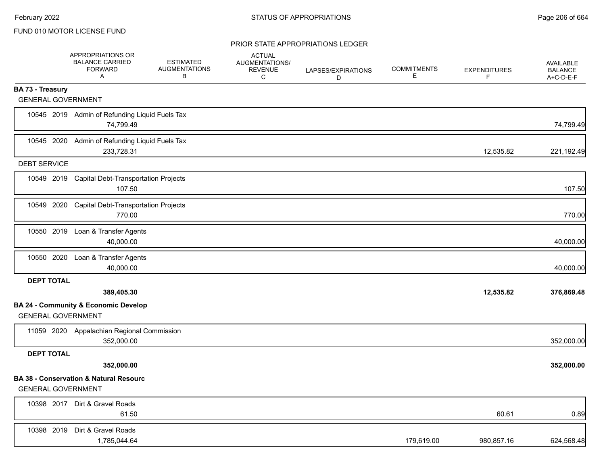|                           | APPROPRIATIONS OR<br><b>BALANCE CARRIED</b><br><b>FORWARD</b><br>Α | <b>ESTIMATED</b><br><b>AUGMENTATIONS</b><br>В | <b>ACTUAL</b><br>AUGMENTATIONS/<br><b>REVENUE</b><br>C | LAPSES/EXPIRATIONS<br>D | <b>COMMITMENTS</b><br>Е | <b>EXPENDITURES</b><br>F. | AVAILABLE<br><b>BALANCE</b><br>A+C-D-E-F |
|---------------------------|--------------------------------------------------------------------|-----------------------------------------------|--------------------------------------------------------|-------------------------|-------------------------|---------------------------|------------------------------------------|
| <b>BA 73 - Treasury</b>   |                                                                    |                                               |                                                        |                         |                         |                           |                                          |
| <b>GENERAL GOVERNMENT</b> |                                                                    |                                               |                                                        |                         |                         |                           |                                          |
|                           | 10545 2019 Admin of Refunding Liquid Fuels Tax<br>74,799.49        |                                               |                                                        |                         |                         |                           | 74,799.49                                |
|                           | 10545 2020 Admin of Refunding Liquid Fuels Tax<br>233,728.31       |                                               |                                                        |                         |                         | 12,535.82                 | 221,192.49                               |
| <b>DEBT SERVICE</b>       |                                                                    |                                               |                                                        |                         |                         |                           |                                          |
|                           | 10549 2019 Capital Debt-Transportation Projects<br>107.50          |                                               |                                                        |                         |                         |                           | 107.50                                   |
|                           | 10549 2020 Capital Debt-Transportation Projects<br>770.00          |                                               |                                                        |                         |                         |                           | 770.00                                   |
|                           | 10550 2019 Loan & Transfer Agents<br>40,000.00                     |                                               |                                                        |                         |                         |                           | 40,000.00                                |
|                           | 10550 2020 Loan & Transfer Agents<br>40,000.00                     |                                               |                                                        |                         |                         |                           | 40,000.00                                |
| <b>DEPT TOTAL</b>         |                                                                    |                                               |                                                        |                         |                         |                           |                                          |
|                           | 389,405.30                                                         |                                               |                                                        |                         |                         | 12,535.82                 | 376,869.48                               |
| <b>GENERAL GOVERNMENT</b> | <b>BA 24 - Community &amp; Economic Develop</b>                    |                                               |                                                        |                         |                         |                           |                                          |
|                           | 11059 2020 Appalachian Regional Commission<br>352,000.00           |                                               |                                                        |                         |                         |                           | 352,000.00                               |
| <b>DEPT TOTAL</b>         |                                                                    |                                               |                                                        |                         |                         |                           |                                          |
|                           | 352,000.00                                                         |                                               |                                                        |                         |                         |                           | 352,000.00                               |
| <b>GENERAL GOVERNMENT</b> | <b>BA 38 - Conservation &amp; Natural Resourc</b>                  |                                               |                                                        |                         |                         |                           |                                          |
|                           | 10398 2017 Dirt & Gravel Roads<br>61.50                            |                                               |                                                        |                         |                         | 60.61                     | 0.89                                     |
|                           | 10398 2019 Dirt & Gravel Roads<br>1,785,044.64                     |                                               |                                                        |                         | 179,619.00              | 980,857.16                | 624,568.48                               |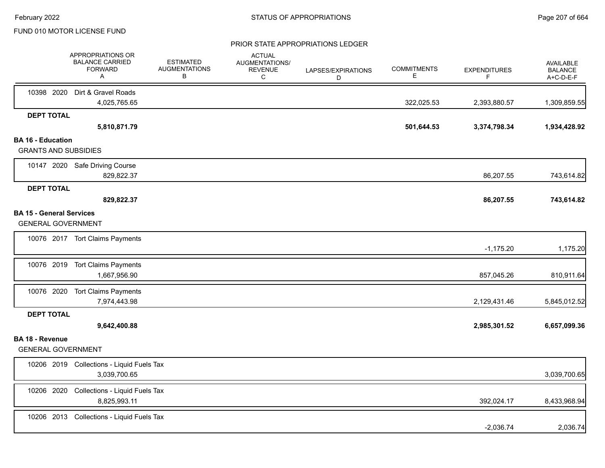|                                                              | APPROPRIATIONS OR<br><b>BALANCE CARRIED</b><br><b>FORWARD</b><br>A | <b>ESTIMATED</b><br><b>AUGMENTATIONS</b><br>В | <b>ACTUAL</b><br>AUGMENTATIONS/<br><b>REVENUE</b><br>С | LAPSES/EXPIRATIONS<br>D | <b>COMMITMENTS</b><br>Е | <b>EXPENDITURES</b><br>F | AVAILABLE<br><b>BALANCE</b><br>A+C-D-E-F |
|--------------------------------------------------------------|--------------------------------------------------------------------|-----------------------------------------------|--------------------------------------------------------|-------------------------|-------------------------|--------------------------|------------------------------------------|
|                                                              | 10398 2020 Dirt & Gravel Roads<br>4,025,765.65                     |                                               |                                                        |                         | 322,025.53              | 2,393,880.57             | 1,309,859.55                             |
| <b>DEPT TOTAL</b>                                            |                                                                    |                                               |                                                        |                         |                         |                          |                                          |
| <b>BA 16 - Education</b>                                     | 5,810,871.79                                                       |                                               |                                                        |                         | 501,644.53              | 3,374,798.34             | 1,934,428.92                             |
| <b>GRANTS AND SUBSIDIES</b>                                  |                                                                    |                                               |                                                        |                         |                         |                          |                                          |
|                                                              | 10147 2020 Safe Driving Course<br>829,822.37                       |                                               |                                                        |                         |                         | 86,207.55                | 743,614.82                               |
| <b>DEPT TOTAL</b>                                            | 829,822.37                                                         |                                               |                                                        |                         |                         | 86,207.55                | 743,614.82                               |
| <b>BA 15 - General Services</b><br><b>GENERAL GOVERNMENT</b> |                                                                    |                                               |                                                        |                         |                         |                          |                                          |
|                                                              | 10076 2017 Tort Claims Payments                                    |                                               |                                                        |                         |                         | $-1,175.20$              | 1,175.20                                 |
|                                                              | 10076 2019 Tort Claims Payments<br>1,667,956.90                    |                                               |                                                        |                         |                         | 857,045.26               | 810,911.64                               |
|                                                              | 10076 2020 Tort Claims Payments<br>7,974,443.98                    |                                               |                                                        |                         |                         | 2,129,431.46             | 5,845,012.52                             |
| <b>DEPT TOTAL</b>                                            | 9,642,400.88                                                       |                                               |                                                        |                         |                         | 2,985,301.52             | 6,657,099.36                             |
| <b>BA 18 - Revenue</b><br><b>GENERAL GOVERNMENT</b>          |                                                                    |                                               |                                                        |                         |                         |                          |                                          |
|                                                              | 10206 2019 Collections - Liquid Fuels Tax<br>3,039,700.65          |                                               |                                                        |                         |                         |                          | 3,039,700.65                             |
| 10206 2020                                                   | Collections - Liquid Fuels Tax<br>8,825,993.11                     |                                               |                                                        |                         |                         | 392,024.17               | 8,433,968.94                             |
|                                                              | 10206 2013 Collections - Liquid Fuels Tax                          |                                               |                                                        |                         |                         | $-2,036.74$              | 2,036.74                                 |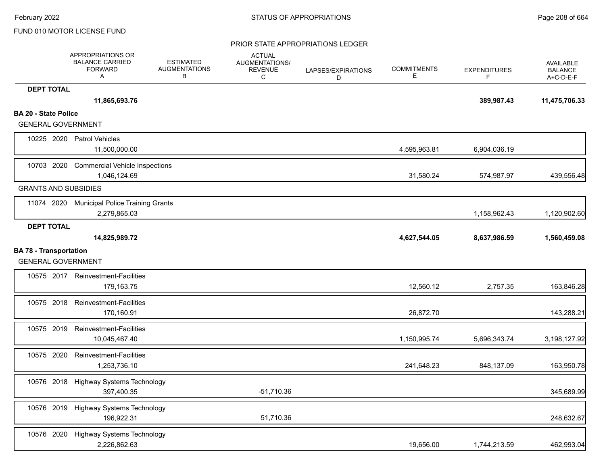|                               | APPROPRIATIONS OR<br><b>BALANCE CARRIED</b><br><b>FORWARD</b><br>A | <b>ESTIMATED</b><br><b>AUGMENTATIONS</b><br>В | <b>ACTUAL</b><br>AUGMENTATIONS/<br><b>REVENUE</b><br>C | LAPSES/EXPIRATIONS<br>D | <b>COMMITMENTS</b><br>E. | <b>EXPENDITURES</b><br>F | <b>AVAILABLE</b><br><b>BALANCE</b><br>A+C-D-E-F |
|-------------------------------|--------------------------------------------------------------------|-----------------------------------------------|--------------------------------------------------------|-------------------------|--------------------------|--------------------------|-------------------------------------------------|
| <b>DEPT TOTAL</b>             |                                                                    |                                               |                                                        |                         |                          |                          |                                                 |
|                               | 11,865,693.76                                                      |                                               |                                                        |                         |                          | 389,987.43               | 11,475,706.33                                   |
| <b>BA 20 - State Police</b>   |                                                                    |                                               |                                                        |                         |                          |                          |                                                 |
| <b>GENERAL GOVERNMENT</b>     |                                                                    |                                               |                                                        |                         |                          |                          |                                                 |
|                               | 10225 2020 Patrol Vehicles<br>11,500,000.00                        |                                               |                                                        |                         | 4,595,963.81             | 6,904,036.19             |                                                 |
|                               |                                                                    |                                               |                                                        |                         |                          |                          |                                                 |
| 10703 2020                    | <b>Commercial Vehicle Inspections</b><br>1,046,124.69              |                                               |                                                        |                         | 31,580.24                | 574,987.97               | 439,556.48                                      |
| <b>GRANTS AND SUBSIDIES</b>   |                                                                    |                                               |                                                        |                         |                          |                          |                                                 |
|                               |                                                                    |                                               |                                                        |                         |                          |                          |                                                 |
| 11074 2020                    | <b>Municipal Police Training Grants</b><br>2,279,865.03            |                                               |                                                        |                         |                          | 1,158,962.43             | 1,120,902.60                                    |
| <b>DEPT TOTAL</b>             |                                                                    |                                               |                                                        |                         |                          |                          |                                                 |
|                               | 14,825,989.72                                                      |                                               |                                                        |                         | 4,627,544.05             | 8,637,986.59             | 1,560,459.08                                    |
| <b>BA 78 - Transportation</b> |                                                                    |                                               |                                                        |                         |                          |                          |                                                 |
| <b>GENERAL GOVERNMENT</b>     |                                                                    |                                               |                                                        |                         |                          |                          |                                                 |
|                               | 10575 2017 Reinvestment-Facilities                                 |                                               |                                                        |                         |                          |                          |                                                 |
|                               | 179,163.75                                                         |                                               |                                                        |                         | 12,560.12                | 2,757.35                 | 163,846.28                                      |
|                               | 10575 2018 Reinvestment-Facilities                                 |                                               |                                                        |                         |                          |                          |                                                 |
|                               | 170,160.91                                                         |                                               |                                                        |                         | 26,872.70                |                          | 143,288.21                                      |
| 10575 2019                    | <b>Reinvestment-Facilities</b>                                     |                                               |                                                        |                         |                          |                          |                                                 |
|                               | 10,045,467.40                                                      |                                               |                                                        |                         | 1,150,995.74             | 5,696,343.74             | 3,198,127.92                                    |
| 10575 2020                    | Reinvestment-Facilities                                            |                                               |                                                        |                         |                          |                          |                                                 |
|                               | 1,253,736.10                                                       |                                               |                                                        |                         | 241,648.23               | 848,137.09               | 163,950.78                                      |
| 10576 2018                    | Highway Systems Technology                                         |                                               |                                                        |                         |                          |                          |                                                 |
|                               | 397,400.35                                                         |                                               | $-51,710.36$                                           |                         |                          |                          | 345,689.99                                      |
|                               | 10576 2019 Highway Systems Technology                              |                                               |                                                        |                         |                          |                          |                                                 |
|                               | 196,922.31                                                         |                                               | 51,710.36                                              |                         |                          |                          | 248,632.67                                      |
|                               | 10576 2020 Highway Systems Technology                              |                                               |                                                        |                         |                          |                          |                                                 |
|                               | 2,226,862.63                                                       |                                               |                                                        |                         | 19,656.00                | 1,744,213.59             | 462,993.04                                      |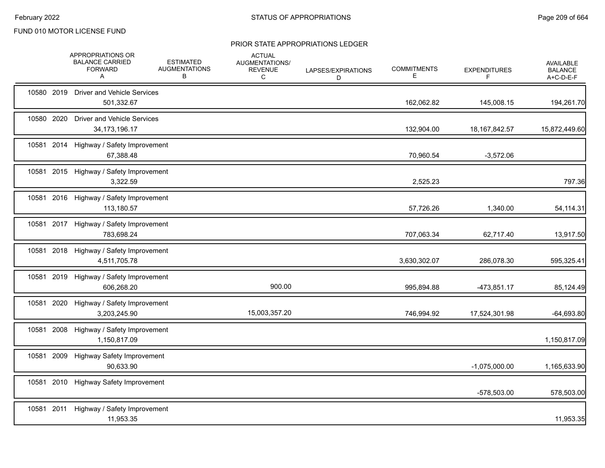|       |            | APPROPRIATIONS OR<br><b>BALANCE CARRIED</b><br><b>FORWARD</b><br>A | <b>ESTIMATED</b><br><b>AUGMENTATIONS</b><br>В | <b>ACTUAL</b><br>AUGMENTATIONS/<br><b>REVENUE</b><br>С | LAPSES/EXPIRATIONS<br>D | <b>COMMITMENTS</b><br>Е | <b>EXPENDITURES</b><br>F | <b>AVAILABLE</b><br><b>BALANCE</b><br>A+C-D-E-F |
|-------|------------|--------------------------------------------------------------------|-----------------------------------------------|--------------------------------------------------------|-------------------------|-------------------------|--------------------------|-------------------------------------------------|
|       | 10580 2019 | <b>Driver and Vehicle Services</b><br>501,332.67                   |                                               |                                                        |                         | 162,062.82              | 145,008.15               | 194,261.70                                      |
|       | 10580 2020 | <b>Driver and Vehicle Services</b><br>34, 173, 196. 17             |                                               |                                                        |                         | 132,904.00              | 18, 167, 842.57          | 15,872,449.60                                   |
|       | 10581 2014 | Highway / Safety Improvement<br>67,388.48                          |                                               |                                                        |                         | 70,960.54               | $-3,572.06$              |                                                 |
|       |            | 10581 2015 Highway / Safety Improvement<br>3,322.59                |                                               |                                                        |                         | 2,525.23                |                          | 797.36                                          |
|       |            | 10581 2016 Highway / Safety Improvement<br>113,180.57              |                                               |                                                        |                         | 57,726.26               | 1,340.00                 | 54,114.31                                       |
|       |            | 10581 2017 Highway / Safety Improvement<br>783,698.24              |                                               |                                                        |                         | 707,063.34              | 62,717.40                | 13,917.50                                       |
|       | 10581 2018 | Highway / Safety Improvement<br>4,511,705.78                       |                                               |                                                        |                         | 3,630,302.07            | 286,078.30               | 595,325.41                                      |
|       |            | 10581 2019 Highway / Safety Improvement<br>606,268.20              |                                               | 900.00                                                 |                         | 995,894.88              | $-473,851.17$            | 85,124.49                                       |
|       | 10581 2020 | Highway / Safety Improvement<br>3,203,245.90                       |                                               | 15,003,357.20                                          |                         | 746,994.92              | 17,524,301.98            | $-64,693.80$                                    |
|       | 10581 2008 | Highway / Safety Improvement<br>1,150,817.09                       |                                               |                                                        |                         |                         |                          | 1,150,817.09                                    |
|       | 10581 2009 | <b>Highway Safety Improvement</b><br>90,633.90                     |                                               |                                                        |                         |                         | $-1,075,000.00$          | 1,165,633.90                                    |
| 10581 | 2010       | <b>Highway Safety Improvement</b>                                  |                                               |                                                        |                         |                         | -578,503.00              | 578,503.00                                      |
|       |            | 10581 2011 Highway / Safety Improvement<br>11,953.35               |                                               |                                                        |                         |                         |                          | 11,953.35                                       |
|       |            |                                                                    |                                               |                                                        |                         |                         |                          |                                                 |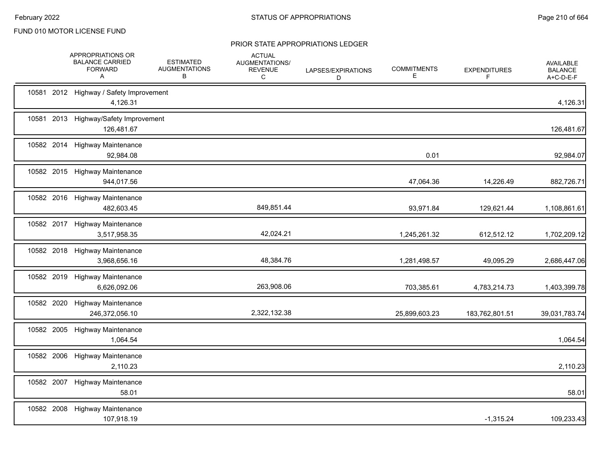|            | APPROPRIATIONS OR<br><b>BALANCE CARRIED</b><br><b>FORWARD</b><br>A | <b>ESTIMATED</b><br><b>AUGMENTATIONS</b><br>B | <b>ACTUAL</b><br>AUGMENTATIONS/<br><b>REVENUE</b><br>C | LAPSES/EXPIRATIONS<br>D | <b>COMMITMENTS</b><br>Е | <b>EXPENDITURES</b><br>F | AVAILABLE<br><b>BALANCE</b><br>A+C-D-E-F |
|------------|--------------------------------------------------------------------|-----------------------------------------------|--------------------------------------------------------|-------------------------|-------------------------|--------------------------|------------------------------------------|
|            | 10581 2012 Highway / Safety Improvement<br>4,126.31                |                                               |                                                        |                         |                         |                          | 4,126.31                                 |
|            | 10581 2013 Highway/Safety Improvement<br>126,481.67                |                                               |                                                        |                         |                         |                          | 126,481.67                               |
|            | 10582 2014 Highway Maintenance<br>92,984.08                        |                                               |                                                        |                         | 0.01                    |                          | 92,984.07                                |
|            | 10582 2015 Highway Maintenance<br>944,017.56                       |                                               |                                                        |                         | 47,064.36               | 14,226.49                | 882,726.71                               |
|            | 10582 2016 Highway Maintenance<br>482,603.45                       |                                               | 849,851.44                                             |                         | 93,971.84               | 129,621.44               | 1,108,861.61                             |
|            | 10582 2017 Highway Maintenance<br>3,517,958.35                     |                                               | 42,024.21                                              |                         | 1,245,261.32            | 612,512.12               | 1,702,209.12                             |
|            | 10582 2018 Highway Maintenance<br>3,968,656.16                     |                                               | 48,384.76                                              |                         | 1,281,498.57            | 49,095.29                | 2,686,447.06                             |
|            | 10582 2019 Highway Maintenance<br>6,626,092.06                     |                                               | 263,908.06                                             |                         | 703,385.61              | 4,783,214.73             | 1,403,399.78                             |
| 10582 2020 | <b>Highway Maintenance</b><br>246,372,056.10                       |                                               | 2,322,132.38                                           |                         | 25,899,603.23           | 183,762,801.51           | 39,031,783.74                            |
| 10582 2005 | <b>Highway Maintenance</b><br>1,064.54                             |                                               |                                                        |                         |                         |                          | 1,064.54                                 |
|            | 10582 2006 Highway Maintenance<br>2,110.23                         |                                               |                                                        |                         |                         |                          | 2,110.23                                 |
|            | 10582 2007 Highway Maintenance<br>58.01                            |                                               |                                                        |                         |                         |                          | 58.01                                    |
|            | 10582 2008 Highway Maintenance<br>107,918.19                       |                                               |                                                        |                         |                         | $-1,315.24$              | 109,233.43                               |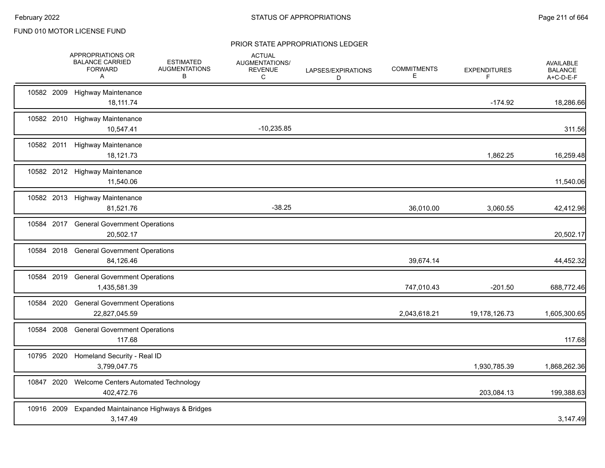|            | APPROPRIATIONS OR<br><b>BALANCE CARRIED</b><br><b>FORWARD</b><br>A | <b>ESTIMATED</b><br><b>AUGMENTATIONS</b><br>В | <b>ACTUAL</b><br>AUGMENTATIONS/<br><b>REVENUE</b><br>C | LAPSES/EXPIRATIONS<br>D | <b>COMMITMENTS</b><br>Ε | <b>EXPENDITURES</b><br>F | AVAILABLE<br><b>BALANCE</b><br>A+C-D-E-F |
|------------|--------------------------------------------------------------------|-----------------------------------------------|--------------------------------------------------------|-------------------------|-------------------------|--------------------------|------------------------------------------|
| 10582 2009 | <b>Highway Maintenance</b><br>18,111.74                            |                                               |                                                        |                         |                         | $-174.92$                | 18,286.66                                |
|            | 10582 2010 Highway Maintenance<br>10,547.41                        |                                               | $-10,235.85$                                           |                         |                         |                          | 311.56                                   |
|            | 10582 2011 Highway Maintenance<br>18,121.73                        |                                               |                                                        |                         |                         | 1,862.25                 | 16,259.48                                |
|            | 10582 2012 Highway Maintenance<br>11,540.06                        |                                               |                                                        |                         |                         |                          | 11,540.06                                |
|            | 10582 2013 Highway Maintenance<br>81,521.76                        |                                               | $-38.25$                                               |                         | 36,010.00               | 3,060.55                 | 42,412.96                                |
|            | 10584 2017 General Government Operations<br>20,502.17              |                                               |                                                        |                         |                         |                          | 20,502.17                                |
| 10584 2018 | <b>General Government Operations</b><br>84,126.46                  |                                               |                                                        |                         | 39,674.14               |                          | 44,452.32                                |
| 10584 2019 | <b>General Government Operations</b><br>1,435,581.39               |                                               |                                                        |                         | 747,010.43              | $-201.50$                | 688,772.46                               |
| 10584 2020 | <b>General Government Operations</b><br>22,827,045.59              |                                               |                                                        |                         | 2,043,618.21            | 19,178,126.73            | 1,605,300.65                             |
| 10584 2008 | <b>General Government Operations</b><br>117.68                     |                                               |                                                        |                         |                         |                          | 117.68                                   |
| 10795 2020 | Homeland Security - Real ID<br>3,799,047.75                        |                                               |                                                        |                         |                         | 1,930,785.39             | 1,868,262.36                             |
| 10847 2020 | Welcome Centers Automated Technology<br>402,472.76                 |                                               |                                                        |                         |                         | 203,084.13               | 199,388.63                               |
| 10916 2009 | Expanded Maintainance Highways & Bridges<br>3,147.49               |                                               |                                                        |                         |                         |                          | 3,147.49                                 |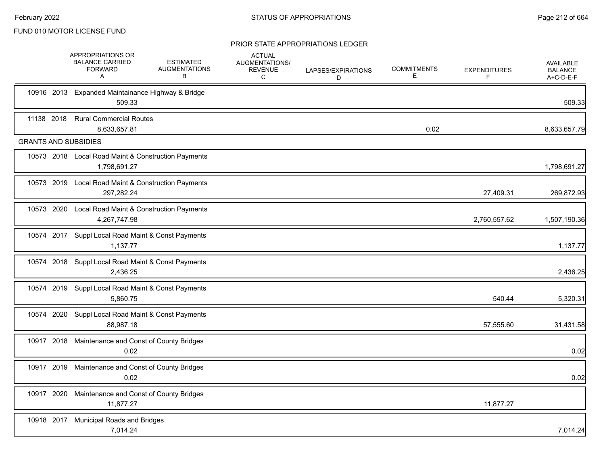|                             | APPROPRIATIONS OR<br><b>BALANCE CARRIED</b><br><b>FORWARD</b><br>A  | <b>ESTIMATED</b><br><b>AUGMENTATIONS</b><br>В | <b>ACTUAL</b><br>AUGMENTATIONS/<br>REVENUE<br>C | LAPSES/EXPIRATIONS<br>D | <b>COMMITMENTS</b><br>Е | <b>EXPENDITURES</b><br>F | <b>AVAILABLE</b><br><b>BALANCE</b><br>A+C-D-E-F |
|-----------------------------|---------------------------------------------------------------------|-----------------------------------------------|-------------------------------------------------|-------------------------|-------------------------|--------------------------|-------------------------------------------------|
|                             | 10916 2013 Expanded Maintainance Highway & Bridge<br>509.33         |                                               |                                                 |                         |                         |                          | 509.33                                          |
| 11138 2018                  | <b>Rural Commercial Routes</b><br>8,633,657.81                      |                                               |                                                 |                         | 0.02                    |                          | 8,633,657.79                                    |
| <b>GRANTS AND SUBSIDIES</b> |                                                                     |                                               |                                                 |                         |                         |                          |                                                 |
|                             | 10573 2018 Local Road Maint & Construction Payments<br>1,798,691.27 |                                               |                                                 |                         |                         |                          | 1,798,691.27                                    |
|                             | 10573 2019 Local Road Maint & Construction Payments<br>297,282.24   |                                               |                                                 |                         |                         | 27,409.31                | 269,872.93                                      |
|                             | 10573 2020 Local Road Maint & Construction Payments<br>4,267,747.98 |                                               |                                                 |                         |                         | 2,760,557.62             | 1,507,190.36                                    |
|                             | 10574 2017 Suppl Local Road Maint & Const Payments<br>1,137.77      |                                               |                                                 |                         |                         |                          | 1,137.77                                        |
|                             | 10574 2018 Suppl Local Road Maint & Const Payments<br>2,436.25      |                                               |                                                 |                         |                         |                          | 2,436.25                                        |
|                             | 10574 2019 Suppl Local Road Maint & Const Payments<br>5,860.75      |                                               |                                                 |                         |                         | 540.44                   | 5,320.31                                        |
|                             | 10574 2020 Suppl Local Road Maint & Const Payments<br>88,987.18     |                                               |                                                 |                         |                         | 57,555.60                | 31,431.58                                       |
|                             | 10917 2018 Maintenance and Const of County Bridges<br>0.02          |                                               |                                                 |                         |                         |                          | 0.02                                            |
|                             | 10917 2019 Maintenance and Const of County Bridges<br>0.02          |                                               |                                                 |                         |                         |                          | 0.02                                            |
|                             | 10917 2020 Maintenance and Const of County Bridges<br>11,877.27     |                                               |                                                 |                         |                         | 11,877.27                |                                                 |
|                             | 10918 2017 Municipal Roads and Bridges<br>7,014.24                  |                                               |                                                 |                         |                         |                          | 7,014.24                                        |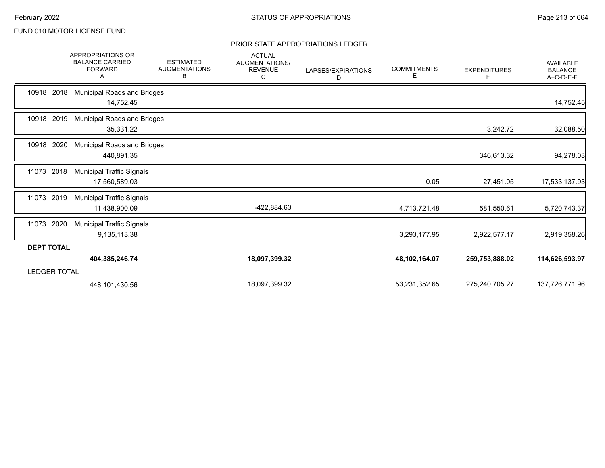|                     | <b>APPROPRIATIONS OR</b><br><b>BALANCE CARRIED</b><br><b>FORWARD</b><br>A | <b>ESTIMATED</b><br><b>AUGMENTATIONS</b><br>в | <b>ACTUAL</b><br><b>AUGMENTATIONS/</b><br><b>REVENUE</b><br>C | LAPSES/EXPIRATIONS<br>D | <b>COMMITMENTS</b><br>Е | <b>EXPENDITURES</b> | <b>AVAILABLE</b><br><b>BALANCE</b><br>A+C-D-E-F |
|---------------------|---------------------------------------------------------------------------|-----------------------------------------------|---------------------------------------------------------------|-------------------------|-------------------------|---------------------|-------------------------------------------------|
| 10918 2018          | <b>Municipal Roads and Bridges</b><br>14,752.45                           |                                               |                                                               |                         |                         |                     | 14,752.45                                       |
| 10918 2019          | <b>Municipal Roads and Bridges</b><br>35,331.22                           |                                               |                                                               |                         |                         | 3,242.72            | 32,088.50                                       |
| 10918 2020          | <b>Municipal Roads and Bridges</b><br>440,891.35                          |                                               |                                                               |                         |                         | 346,613.32          | 94,278.03                                       |
| 11073<br>2018       | <b>Municipal Traffic Signals</b><br>17,560,589.03                         |                                               |                                                               |                         | 0.05                    | 27,451.05           | 17,533,137.93                                   |
| 2019<br>11073       | <b>Municipal Traffic Signals</b><br>11,438,900.09                         |                                               | -422,884.63                                                   |                         | 4,713,721.48            | 581,550.61          | 5,720,743.37                                    |
| 2020<br>11073       | <b>Municipal Traffic Signals</b><br>9,135,113.38                          |                                               |                                                               |                         | 3,293,177.95            | 2,922,577.17        | 2,919,358.26                                    |
| <b>DEPT TOTAL</b>   |                                                                           |                                               |                                                               |                         |                         |                     |                                                 |
|                     | 404,385,246.74                                                            |                                               | 18,097,399.32                                                 |                         | 48,102,164.07           | 259,753,888.02      | 114,626,593.97                                  |
| <b>LEDGER TOTAL</b> |                                                                           |                                               |                                                               |                         |                         |                     |                                                 |
|                     | 448,101,430.56                                                            |                                               | 18,097,399.32                                                 |                         | 53,231,352.65           | 275,240,705.27      | 137,726,771.96                                  |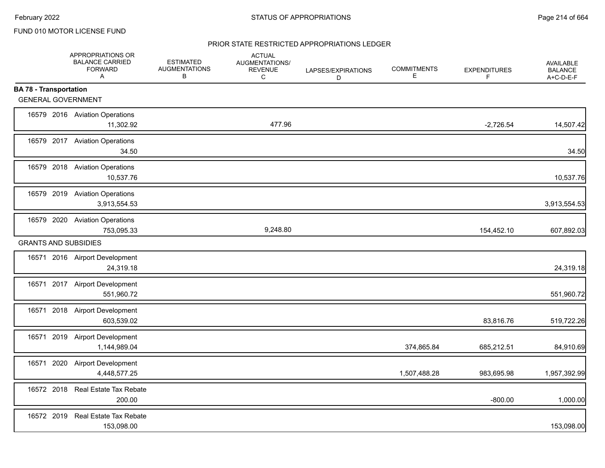#### PRIOR STATE RESTRICTED APPROPRIATIONS LEDGER

|                               | APPROPRIATIONS OR<br><b>BALANCE CARRIED</b><br><b>FORWARD</b><br>$\mathsf{A}$ | <b>ESTIMATED</b><br><b>AUGMENTATIONS</b><br>В | <b>ACTUAL</b><br>AUGMENTATIONS/<br><b>REVENUE</b><br>C | LAPSES/EXPIRATIONS<br>D | <b>COMMITMENTS</b><br>Е | <b>EXPENDITURES</b><br>F | <b>AVAILABLE</b><br><b>BALANCE</b><br>A+C-D-E-F |
|-------------------------------|-------------------------------------------------------------------------------|-----------------------------------------------|--------------------------------------------------------|-------------------------|-------------------------|--------------------------|-------------------------------------------------|
| <b>BA 78 - Transportation</b> |                                                                               |                                               |                                                        |                         |                         |                          |                                                 |
| <b>GENERAL GOVERNMENT</b>     |                                                                               |                                               |                                                        |                         |                         |                          |                                                 |
|                               | 16579 2016 Aviation Operations<br>11,302.92                                   |                                               | 477.96                                                 |                         |                         | $-2,726.54$              | 14,507.42                                       |
|                               | 16579 2017 Aviation Operations<br>34.50                                       |                                               |                                                        |                         |                         |                          | 34.50                                           |
|                               | 16579 2018 Aviation Operations<br>10,537.76                                   |                                               |                                                        |                         |                         |                          | 10,537.76                                       |
|                               | 16579 2019 Aviation Operations<br>3,913,554.53                                |                                               |                                                        |                         |                         |                          | 3,913,554.53                                    |
|                               | 16579 2020 Aviation Operations<br>753,095.33                                  |                                               | 9,248.80                                               |                         |                         | 154,452.10               | 607,892.03                                      |
| <b>GRANTS AND SUBSIDIES</b>   |                                                                               |                                               |                                                        |                         |                         |                          |                                                 |
|                               | 16571 2016 Airport Development<br>24,319.18                                   |                                               |                                                        |                         |                         |                          | 24,319.18                                       |
|                               | 16571 2017 Airport Development<br>551,960.72                                  |                                               |                                                        |                         |                         |                          | 551,960.72                                      |
|                               | 16571 2018 Airport Development<br>603,539.02                                  |                                               |                                                        |                         |                         | 83,816.76                | 519,722.26                                      |
|                               | 16571 2019 Airport Development<br>1,144,989.04                                |                                               |                                                        |                         | 374,865.84              | 685,212.51               | 84,910.69                                       |
|                               | 16571 2020 Airport Development<br>4,448,577.25                                |                                               |                                                        |                         | 1,507,488.28            | 983,695.98               | 1,957,392.99                                    |
|                               | 16572 2018 Real Estate Tax Rebate<br>200.00                                   |                                               |                                                        |                         |                         | $-800.00$                | 1,000.00                                        |
|                               | 16572 2019 Real Estate Tax Rebate<br>153,098.00                               |                                               |                                                        |                         |                         |                          | 153,098.00                                      |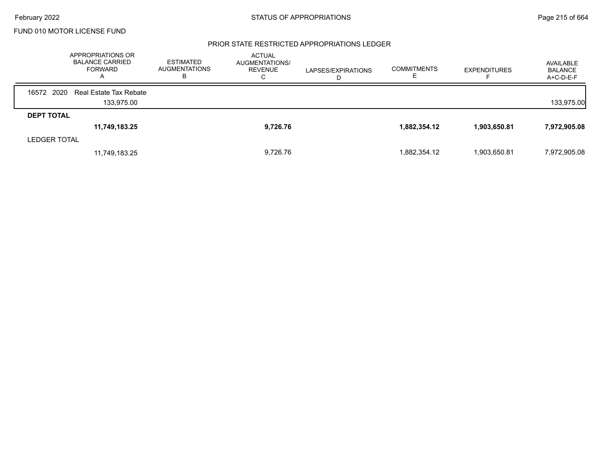#### PRIOR STATE RESTRICTED APPROPRIATIONS LEDGER

|                     | APPROPRIATIONS OR<br><b>BALANCE CARRIED</b><br><b>FORWARD</b><br>$\mathsf{A}$ | <b>ESTIMATED</b><br>AUGMENTATIONS<br>в | <b>ACTUAL</b><br>AUGMENTATIONS/<br><b>REVENUE</b><br>◡ | LAPSES/EXPIRATIONS | <b>COMMITMENTS</b> | <b>EXPENDITURES</b> | AVAILABLE<br><b>BALANCE</b><br>$A+C-D-E-F$ |
|---------------------|-------------------------------------------------------------------------------|----------------------------------------|--------------------------------------------------------|--------------------|--------------------|---------------------|--------------------------------------------|
| 16572 2020          | Real Estate Tax Rebate                                                        |                                        |                                                        |                    |                    |                     |                                            |
|                     | 133,975.00                                                                    |                                        |                                                        |                    |                    |                     | 133,975.00                                 |
| <b>DEPT TOTAL</b>   |                                                                               |                                        |                                                        |                    |                    |                     |                                            |
|                     | 11,749,183.25                                                                 |                                        | 9,726.76                                               |                    | 1,882,354.12       | 1,903,650.81        | 7,972,905.08                               |
| <b>LEDGER TOTAL</b> |                                                                               |                                        |                                                        |                    |                    |                     |                                            |
|                     | 11,749,183.25                                                                 |                                        | 9,726.76                                               |                    | 1,882,354.12       | 1,903,650.81        | 7,972,905.08                               |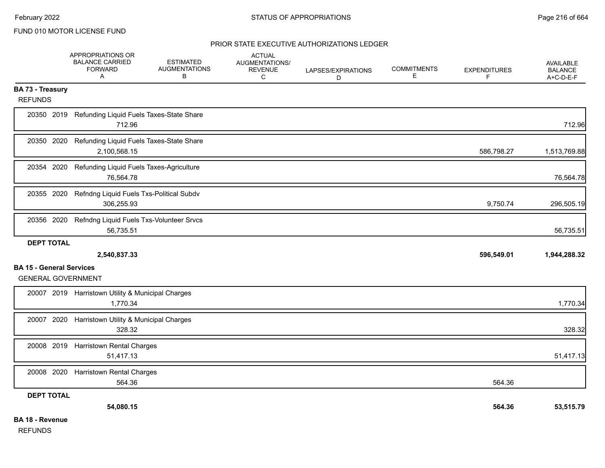### PRIOR STATE EXECUTIVE AUTHORIZATIONS LEDGER

|                                 | APPROPRIATIONS OR<br><b>BALANCE CARRIED</b><br><b>FORWARD</b><br>$\overline{A}$ | <b>ESTIMATED</b><br><b>AUGMENTATIONS</b><br>В | <b>ACTUAL</b><br>AUGMENTATIONS/<br><b>REVENUE</b><br>C | LAPSES/EXPIRATIONS<br>D | <b>COMMITMENTS</b><br>E | <b>EXPENDITURES</b><br>F. | <b>AVAILABLE</b><br><b>BALANCE</b><br>A+C-D-E-F |
|---------------------------------|---------------------------------------------------------------------------------|-----------------------------------------------|--------------------------------------------------------|-------------------------|-------------------------|---------------------------|-------------------------------------------------|
| <b>BA 73 - Treasury</b>         |                                                                                 |                                               |                                                        |                         |                         |                           |                                                 |
| <b>REFUNDS</b>                  |                                                                                 |                                               |                                                        |                         |                         |                           |                                                 |
|                                 | 20350 2019 Refunding Liquid Fuels Taxes-State Share<br>712.96                   |                                               |                                                        |                         |                         |                           | 712.96                                          |
| 20350 2020                      | Refunding Liquid Fuels Taxes-State Share<br>2,100,568.15                        |                                               |                                                        |                         |                         | 586,798.27                | 1,513,769.88                                    |
| 20354 2020                      | Refunding Liquid Fuels Taxes-Agriculture<br>76,564.78                           |                                               |                                                        |                         |                         |                           | 76,564.78                                       |
| 20355 2020                      | Refndng Liquid Fuels Txs-Political Subdv<br>306,255.93                          |                                               |                                                        |                         |                         | 9,750.74                  | 296,505.19                                      |
| 20356 2020                      | Refndng Liquid Fuels Txs-Volunteer Srvcs<br>56,735.51                           |                                               |                                                        |                         |                         |                           | 56,735.51                                       |
| <b>DEPT TOTAL</b>               |                                                                                 |                                               |                                                        |                         |                         |                           |                                                 |
|                                 | 2,540,837.33                                                                    |                                               |                                                        |                         |                         | 596,549.01                | 1,944,288.32                                    |
| <b>BA 15 - General Services</b> |                                                                                 |                                               |                                                        |                         |                         |                           |                                                 |
| <b>GENERAL GOVERNMENT</b>       |                                                                                 |                                               |                                                        |                         |                         |                           |                                                 |
|                                 | 20007 2019 Harristown Utility & Municipal Charges<br>1,770.34                   |                                               |                                                        |                         |                         |                           | 1,770.34                                        |
| 20007 2020                      | Harristown Utility & Municipal Charges<br>328.32                                |                                               |                                                        |                         |                         |                           | 328.32                                          |
|                                 | 20008 2019 Harristown Rental Charges<br>51,417.13                               |                                               |                                                        |                         |                         |                           | 51,417.13                                       |
| 20008 2020                      | <b>Harristown Rental Charges</b><br>564.36                                      |                                               |                                                        |                         |                         | 564.36                    |                                                 |
| <b>DEPT TOTAL</b>               |                                                                                 |                                               |                                                        |                         |                         |                           |                                                 |
|                                 | 54,080.15                                                                       |                                               |                                                        |                         |                         | 564.36                    | 53,515.79                                       |
| <b>BA 18 - Revenue</b>          |                                                                                 |                                               |                                                        |                         |                         |                           |                                                 |

REFUNDS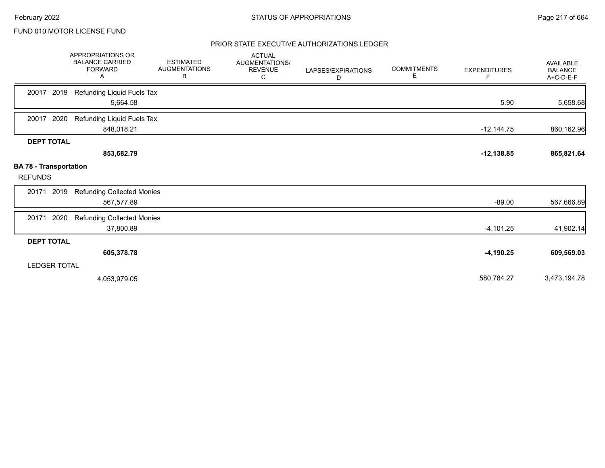## PRIOR STATE EXECUTIVE AUTHORIZATIONS LEDGER

|                                                 | APPROPRIATIONS OR<br><b>BALANCE CARRIED</b><br><b>FORWARD</b><br>Α | <b>ESTIMATED</b><br><b>AUGMENTATIONS</b><br>В | <b>ACTUAL</b><br>AUGMENTATIONS/<br><b>REVENUE</b><br>C | LAPSES/EXPIRATIONS<br>D | <b>COMMITMENTS</b><br>Е | <b>EXPENDITURES</b><br>F | <b>AVAILABLE</b><br><b>BALANCE</b><br>A+C-D-E-F |
|-------------------------------------------------|--------------------------------------------------------------------|-----------------------------------------------|--------------------------------------------------------|-------------------------|-------------------------|--------------------------|-------------------------------------------------|
| 2019<br>20017                                   | Refunding Liquid Fuels Tax<br>5,664.58                             |                                               |                                                        |                         |                         | 5.90                     | 5,658.68                                        |
| 2020<br>20017                                   | Refunding Liquid Fuels Tax<br>848,018.21                           |                                               |                                                        |                         |                         | $-12,144.75$             | 860,162.96                                      |
| <b>DEPT TOTAL</b>                               | 853,682.79                                                         |                                               |                                                        |                         |                         | $-12,138.85$             | 865,821.64                                      |
| <b>BA 78 - Transportation</b><br><b>REFUNDS</b> |                                                                    |                                               |                                                        |                         |                         |                          |                                                 |
| 2019<br>20171                                   | <b>Refunding Collected Monies</b><br>567,577.89                    |                                               |                                                        |                         |                         | $-89.00$                 | 567,666.89                                      |
| 2020<br>20171                                   | <b>Refunding Collected Monies</b><br>37,800.89                     |                                               |                                                        |                         |                         | $-4,101.25$              | 41,902.14                                       |
| <b>DEPT TOTAL</b>                               |                                                                    |                                               |                                                        |                         |                         |                          |                                                 |
|                                                 | 605,378.78                                                         |                                               |                                                        |                         |                         | $-4,190.25$              | 609,569.03                                      |
| <b>LEDGER TOTAL</b>                             |                                                                    |                                               |                                                        |                         |                         |                          |                                                 |
|                                                 | 4,053,979.05                                                       |                                               |                                                        |                         |                         | 580,784.27               | 3,473,194.78                                    |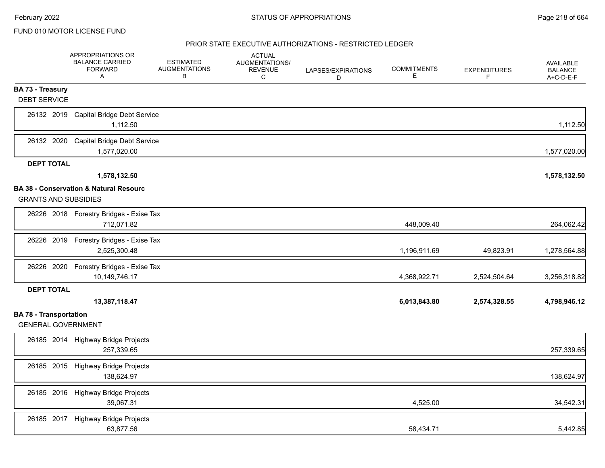|                                                            | APPROPRIATIONS OR<br><b>BALANCE CARRIED</b><br><b>FORWARD</b><br>A | <b>ESTIMATED</b><br><b>AUGMENTATIONS</b><br>В | <b>ACTUAL</b><br>AUGMENTATIONS/<br><b>REVENUE</b><br>C | LAPSES/EXPIRATIONS<br>D | <b>COMMITMENTS</b><br>Е | <b>EXPENDITURES</b><br>F | <b>AVAILABLE</b><br><b>BALANCE</b><br>A+C-D-E-F |
|------------------------------------------------------------|--------------------------------------------------------------------|-----------------------------------------------|--------------------------------------------------------|-------------------------|-------------------------|--------------------------|-------------------------------------------------|
| BA 73 - Treasury                                           |                                                                    |                                               |                                                        |                         |                         |                          |                                                 |
| <b>DEBT SERVICE</b>                                        |                                                                    |                                               |                                                        |                         |                         |                          |                                                 |
| 26132 2019                                                 | <b>Capital Bridge Debt Service</b><br>1,112.50                     |                                               |                                                        |                         |                         |                          | 1,112.50                                        |
| 26132 2020                                                 | Capital Bridge Debt Service<br>1,577,020.00                        |                                               |                                                        |                         |                         |                          | 1,577,020.00                                    |
| <b>DEPT TOTAL</b>                                          |                                                                    |                                               |                                                        |                         |                         |                          |                                                 |
|                                                            | 1,578,132.50                                                       |                                               |                                                        |                         |                         |                          | 1,578,132.50                                    |
| <b>GRANTS AND SUBSIDIES</b>                                | BA 38 - Conservation & Natural Resourc                             |                                               |                                                        |                         |                         |                          |                                                 |
|                                                            | 26226 2018 Forestry Bridges - Exise Tax<br>712,071.82              |                                               |                                                        |                         | 448,009.40              |                          | 264,062.42                                      |
| 26226 2019                                                 | Forestry Bridges - Exise Tax<br>2,525,300.48                       |                                               |                                                        |                         | 1,196,911.69            | 49,823.91                | 1,278,564.88                                    |
| 26226 2020                                                 | Forestry Bridges - Exise Tax<br>10,149,746.17                      |                                               |                                                        |                         | 4,368,922.71            | 2,524,504.64             | 3,256,318.82                                    |
| <b>DEPT TOTAL</b>                                          |                                                                    |                                               |                                                        |                         |                         |                          |                                                 |
|                                                            | 13,387,118.47                                                      |                                               |                                                        |                         | 6,013,843.80            | 2,574,328.55             | 4,798,946.12                                    |
| <b>BA 78 - Transportation</b><br><b>GENERAL GOVERNMENT</b> |                                                                    |                                               |                                                        |                         |                         |                          |                                                 |
|                                                            | 26185 2014 Highway Bridge Projects<br>257,339.65                   |                                               |                                                        |                         |                         |                          | 257,339.65                                      |
| 26185 2015                                                 | <b>Highway Bridge Projects</b><br>138,624.97                       |                                               |                                                        |                         |                         |                          | 138,624.97                                      |
|                                                            | 26185 2016 Highway Bridge Projects<br>39,067.31                    |                                               |                                                        |                         | 4,525.00                |                          | 34,542.31                                       |
| 26185 2017                                                 | <b>Highway Bridge Projects</b><br>63,877.56                        |                                               |                                                        |                         | 58,434.71               |                          | 5,442.85                                        |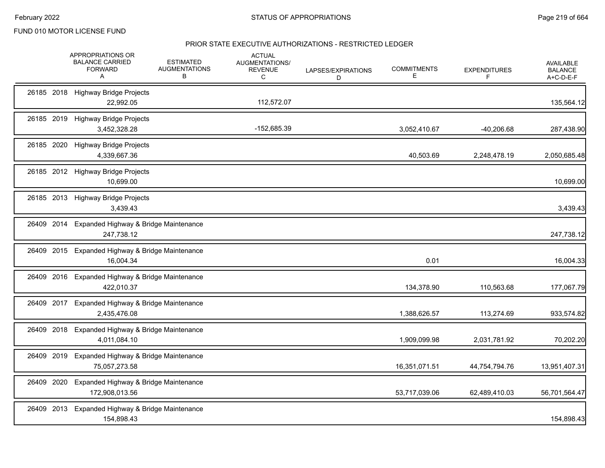|            | APPROPRIATIONS OR<br><b>BALANCE CARRIED</b><br><b>FORWARD</b><br>A | <b>ESTIMATED</b><br><b>AUGMENTATIONS</b><br>В | <b>ACTUAL</b><br>AUGMENTATIONS/<br><b>REVENUE</b><br>C | LAPSES/EXPIRATIONS<br>D | <b>COMMITMENTS</b><br>Е | <b>EXPENDITURES</b><br>F. | AVAILABLE<br><b>BALANCE</b><br>A+C-D-E-F |
|------------|--------------------------------------------------------------------|-----------------------------------------------|--------------------------------------------------------|-------------------------|-------------------------|---------------------------|------------------------------------------|
|            | 26185 2018 Highway Bridge Projects<br>22,992.05                    |                                               | 112,572.07                                             |                         |                         |                           | 135,564.12                               |
|            | 26185 2019 Highway Bridge Projects<br>3,452,328.28                 |                                               | -152,685.39                                            |                         | 3,052,410.67            | $-40,206.68$              | 287,438.90                               |
|            | 26185 2020 Highway Bridge Projects<br>4,339,667.36                 |                                               |                                                        |                         | 40,503.69               | 2,248,478.19              | 2,050,685.48                             |
|            | 26185 2012 Highway Bridge Projects<br>10,699.00                    |                                               |                                                        |                         |                         |                           | 10,699.00                                |
|            | 26185 2013 Highway Bridge Projects<br>3,439.43                     |                                               |                                                        |                         |                         |                           | 3,439.43                                 |
| 26409 2014 | Expanded Highway & Bridge Maintenance<br>247,738.12                |                                               |                                                        |                         |                         |                           | 247,738.12                               |
|            | 26409 2015 Expanded Highway & Bridge Maintenance<br>16,004.34      |                                               |                                                        |                         | 0.01                    |                           | 16,004.33                                |
|            | 26409 2016 Expanded Highway & Bridge Maintenance<br>422,010.37     |                                               |                                                        |                         | 134,378.90              | 110,563.68                | 177,067.79                               |
| 26409 2017 | Expanded Highway & Bridge Maintenance<br>2,435,476.08              |                                               |                                                        |                         | 1,388,626.57            | 113,274.69                | 933,574.82                               |
| 26409 2018 | Expanded Highway & Bridge Maintenance<br>4,011,084.10              |                                               |                                                        |                         | 1,909,099.98            | 2,031,781.92              | 70,202.20                                |
|            | 26409 2019 Expanded Highway & Bridge Maintenance<br>75,057,273.58  |                                               |                                                        |                         | 16,351,071.51           | 44,754,794.76             | 13,951,407.31                            |
| 26409 2020 | Expanded Highway & Bridge Maintenance<br>172,908,013.56            |                                               |                                                        |                         | 53,717,039.06           | 62,489,410.03             | 56,701,564.47                            |
|            | 26409 2013 Expanded Highway & Bridge Maintenance<br>154,898.43     |                                               |                                                        |                         |                         |                           | 154,898.43                               |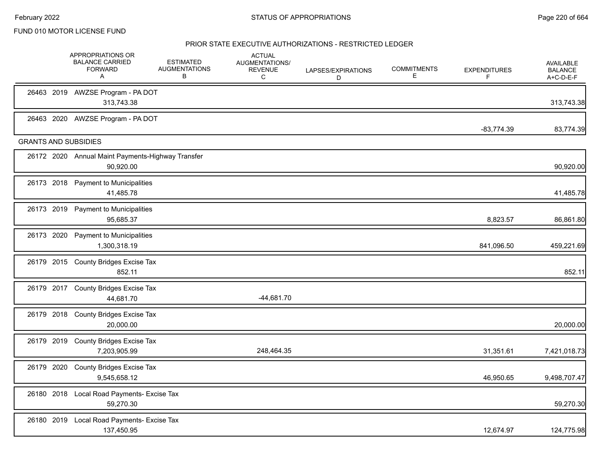February 2022 **Example 220 of 664** STATUS OF APPROPRIATIONS **Page 220 of 664** 

FUND 010 MOTOR LICENSE FUND

|            | APPROPRIATIONS OR<br><b>BALANCE CARRIED</b><br><b>FORWARD</b><br>A | <b>ESTIMATED</b><br><b>AUGMENTATIONS</b><br>В | <b>ACTUAL</b><br>AUGMENTATIONS/<br><b>REVENUE</b><br>C | LAPSES/EXPIRATIONS<br>D | <b>COMMITMENTS</b><br>Е | <b>EXPENDITURES</b><br>F | <b>AVAILABLE</b><br><b>BALANCE</b><br>A+C-D-E-F |
|------------|--------------------------------------------------------------------|-----------------------------------------------|--------------------------------------------------------|-------------------------|-------------------------|--------------------------|-------------------------------------------------|
|            | 26463 2019 AWZSE Program - PA DOT<br>313,743.38                    |                                               |                                                        |                         |                         |                          | 313,743.38                                      |
|            | 26463 2020 AWZSE Program - PA DOT                                  |                                               |                                                        |                         |                         | $-83.774.39$             | 83,774.39                                       |
|            | <b>GRANTS AND SUBSIDIES</b>                                        |                                               |                                                        |                         |                         |                          |                                                 |
|            | 26172 2020 Annual Maint Payments-Highway Transfer<br>90,920.00     |                                               |                                                        |                         |                         |                          | 90,920.00                                       |
|            | 26173 2018 Payment to Municipalities<br>41,485.78                  |                                               |                                                        |                         |                         |                          | 41,485.78                                       |
|            | 26173 2019 Payment to Municipalities<br>95,685.37                  |                                               |                                                        |                         |                         | 8,823.57                 | 86,861.80                                       |
| 26173 2020 | <b>Payment to Municipalities</b><br>1,300,318.19                   |                                               |                                                        |                         |                         | 841,096.50               | 459,221.69                                      |
|            | 26179 2015 County Bridges Excise Tax<br>852.11                     |                                               |                                                        |                         |                         |                          | 852.11                                          |
|            | 26179 2017 County Bridges Excise Tax<br>44,681.70                  |                                               | $-44,681.70$                                           |                         |                         |                          |                                                 |
|            | 26179 2018 County Bridges Excise Tax<br>20,000.00                  |                                               |                                                        |                         |                         |                          | 20,000.00                                       |
|            | 26179 2019 County Bridges Excise Tax<br>7,203,905.99               |                                               | 248,464.35                                             |                         |                         | 31,351.61                | 7,421,018.73                                    |
|            | 26179 2020 County Bridges Excise Tax<br>9,545,658.12               |                                               |                                                        |                         |                         | 46,950.65                | 9,498,707.47                                    |
|            | 26180 2018 Local Road Payments- Excise Tax<br>59,270.30            |                                               |                                                        |                         |                         |                          | 59,270.30                                       |
|            | 26180 2019 Local Road Payments- Excise Tax<br>137,450.95           |                                               |                                                        |                         |                         | 12,674.97                | 124,775.98                                      |
|            |                                                                    |                                               |                                                        |                         |                         |                          |                                                 |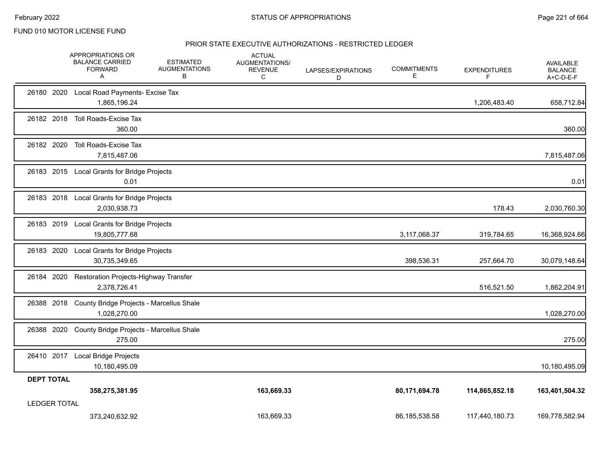|                     | APPROPRIATIONS OR<br><b>BALANCE CARRIED</b><br><b>FORWARD</b><br>A | <b>ESTIMATED</b><br><b>AUGMENTATIONS</b><br>В | <b>ACTUAL</b><br>AUGMENTATIONS/<br><b>REVENUE</b><br>C | LAPSES/EXPIRATIONS<br>D | <b>COMMITMENTS</b><br>Ε | <b>EXPENDITURES</b><br>F | <b>AVAILABLE</b><br><b>BALANCE</b><br>A+C-D-E-F |
|---------------------|--------------------------------------------------------------------|-----------------------------------------------|--------------------------------------------------------|-------------------------|-------------------------|--------------------------|-------------------------------------------------|
|                     | 26180 2020 Local Road Payments- Excise Tax<br>1,865,196.24         |                                               |                                                        |                         |                         | 1,206,483.40             | 658,712.84                                      |
| 26182 2018          | Toll Roads-Excise Tax<br>360.00                                    |                                               |                                                        |                         |                         |                          | 360.00                                          |
| 26182 2020          | Toll Roads-Excise Tax<br>7,815,487.06                              |                                               |                                                        |                         |                         |                          | 7,815,487.06                                    |
|                     | 26183 2015 Local Grants for Bridge Projects<br>0.01                |                                               |                                                        |                         |                         |                          | 0.01                                            |
| 26183 2018          | Local Grants for Bridge Projects<br>2,030,938.73                   |                                               |                                                        |                         |                         | 178.43                   | 2,030,760.30                                    |
| 26183 2019          | Local Grants for Bridge Projects<br>19,805,777.68                  |                                               |                                                        |                         | 3,117,068.37            | 319,784.65               | 16,368,924.66                                   |
| 26183 2020          | Local Grants for Bridge Projects<br>30,735,349.65                  |                                               |                                                        |                         | 398,536.31              | 257,664.70               | 30,079,148.64                                   |
| 26184 2020          | Restoration Projects-Highway Transfer<br>2,378,726.41              |                                               |                                                        |                         |                         | 516,521.50               | 1,862,204.91                                    |
| 26388 2018          | County Bridge Projects - Marcellus Shale<br>1,028,270.00           |                                               |                                                        |                         |                         |                          | 1,028,270.00                                    |
| 26388 2020          | County Bridge Projects - Marcellus Shale<br>275.00                 |                                               |                                                        |                         |                         |                          | 275.00                                          |
| 26410 2017          | Local Bridge Projects<br>10,180,495.09                             |                                               |                                                        |                         |                         |                          | 10,180,495.09                                   |
| <b>DEPT TOTAL</b>   | 358,275,381.95                                                     |                                               | 163,669.33                                             |                         | 80,171,694.78           | 114,865,852.18           | 163,401,504.32                                  |
| <b>LEDGER TOTAL</b> | 373,240,632.92                                                     |                                               | 163.669.33                                             |                         | 86,185,538.58           | 117,440,180.73           | 169,778,582.94                                  |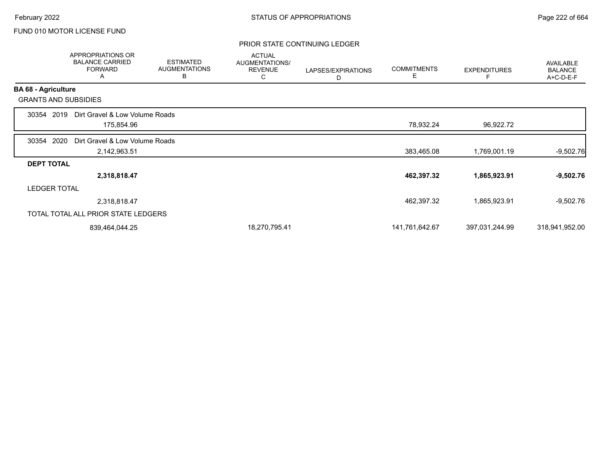## PRIOR STATE CONTINUING LEDGER

|                            | <b>APPROPRIATIONS OR</b><br><b>BALANCE CARRIED</b><br><b>FORWARD</b><br>A | <b>ESTIMATED</b><br><b>AUGMENTATIONS</b><br>B | <b>ACTUAL</b><br><b>AUGMENTATIONS/</b><br><b>REVENUE</b><br>С | LAPSES/EXPIRATIONS<br>D | <b>COMMITMENTS</b><br>Е | <b>EXPENDITURES</b> | AVAILABLE<br><b>BALANCE</b><br>A+C-D-E-F |
|----------------------------|---------------------------------------------------------------------------|-----------------------------------------------|---------------------------------------------------------------|-------------------------|-------------------------|---------------------|------------------------------------------|
| <b>BA 68 - Agriculture</b> |                                                                           |                                               |                                                               |                         |                         |                     |                                          |
|                            | <b>GRANTS AND SUBSIDIES</b>                                               |                                               |                                                               |                         |                         |                     |                                          |
| 30354                      | Dirt Gravel & Low Volume Roads<br>2019                                    |                                               |                                                               |                         |                         |                     |                                          |
|                            | 175,854.96                                                                |                                               |                                                               |                         | 78,932.24               | 96,922.72           |                                          |
| 30354                      | 2020<br>Dirt Gravel & Low Volume Roads                                    |                                               |                                                               |                         |                         |                     |                                          |
|                            | 2,142,963.51                                                              |                                               |                                                               |                         | 383,465.08              | 1,769,001.19        | $-9,502.76$                              |
| <b>DEPT TOTAL</b>          |                                                                           |                                               |                                                               |                         |                         |                     |                                          |
|                            | 2,318,818.47                                                              |                                               |                                                               |                         | 462,397.32              | 1,865,923.91        | $-9,502.76$                              |
| <b>LEDGER TOTAL</b>        |                                                                           |                                               |                                                               |                         |                         |                     |                                          |
|                            | 2,318,818.47                                                              |                                               |                                                               |                         | 462,397.32              | 1,865,923.91        | $-9,502.76$                              |
|                            | TOTAL TOTAL ALL PRIOR STATE LEDGERS                                       |                                               |                                                               |                         |                         |                     |                                          |
|                            | 839,464,044.25                                                            |                                               | 18,270,795.41                                                 |                         | 141,761,642.67          | 397,031,244.99      | 318,941,952.00                           |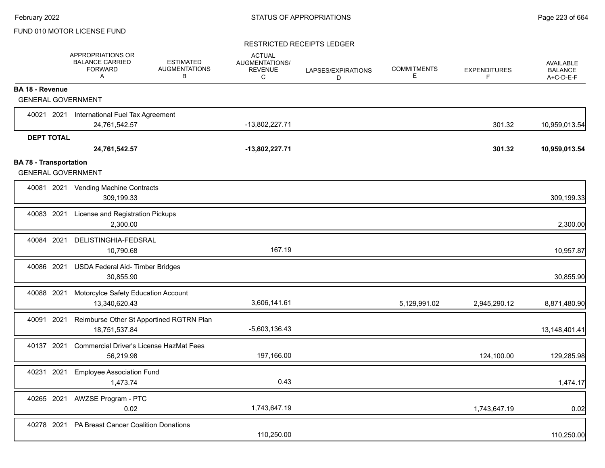#### RESTRICTED RECEIPTS LEDGER

|                                                            | APPROPRIATIONS OR<br><b>BALANCE CARRIED</b><br><b>FORWARD</b><br>A | <b>ESTIMATED</b><br><b>AUGMENTATIONS</b><br>B | <b>ACTUAL</b><br>AUGMENTATIONS/<br><b>REVENUE</b><br>C | LAPSES/EXPIRATIONS<br>D | <b>COMMITMENTS</b><br>E. | <b>EXPENDITURES</b><br>F | <b>AVAILABLE</b><br><b>BALANCE</b><br>A+C-D-E-F |
|------------------------------------------------------------|--------------------------------------------------------------------|-----------------------------------------------|--------------------------------------------------------|-------------------------|--------------------------|--------------------------|-------------------------------------------------|
| <b>BA 18 - Revenue</b>                                     |                                                                    |                                               |                                                        |                         |                          |                          |                                                 |
| <b>GENERAL GOVERNMENT</b>                                  |                                                                    |                                               |                                                        |                         |                          |                          |                                                 |
| 40021 2021                                                 | International Fuel Tax Agreement                                   |                                               |                                                        |                         |                          |                          |                                                 |
|                                                            | 24,761,542.57                                                      |                                               | $-13,802,227.71$                                       |                         |                          | 301.32                   | 10,959,013.54                                   |
| <b>DEPT TOTAL</b>                                          |                                                                    |                                               |                                                        |                         |                          |                          |                                                 |
|                                                            | 24,761,542.57                                                      |                                               | -13,802,227.71                                         |                         |                          | 301.32                   | 10,959,013.54                                   |
| <b>BA 78 - Transportation</b><br><b>GENERAL GOVERNMENT</b> |                                                                    |                                               |                                                        |                         |                          |                          |                                                 |
|                                                            | 40081 2021 Vending Machine Contracts<br>309,199.33                 |                                               |                                                        |                         |                          |                          | 309,199.33                                      |
| 40083 2021                                                 | License and Registration Pickups<br>2,300.00                       |                                               |                                                        |                         |                          |                          | 2,300.00                                        |
| 40084 2021                                                 | DELISTINGHIA-FEDSRAL<br>10,790.68                                  |                                               | 167.19                                                 |                         |                          |                          | 10,957.87                                       |
| 40086 2021                                                 | USDA Federal Aid- Timber Bridges<br>30.855.90                      |                                               |                                                        |                         |                          |                          | 30,855.90                                       |
| 40088 2021                                                 | Motorcylce Safety Education Account<br>13,340,620.43               |                                               | 3,606,141.61                                           |                         | 5,129,991.02             | 2,945,290.12             | 8,871,480.90                                    |
| 40091 2021                                                 | Reimburse Other St Apportined RGTRN Plan<br>18,751,537.84          |                                               | $-5,603,136.43$                                        |                         |                          |                          | 13,148,401.41                                   |
| 40137 2021                                                 | <b>Commercial Driver's License HazMat Fees</b><br>56,219.98        |                                               | 197,166.00                                             |                         |                          | 124,100.00               | 129,285.98                                      |
| 40231 2021                                                 | <b>Employee Association Fund</b><br>1,473.74                       |                                               | 0.43                                                   |                         |                          |                          | 1,474.17                                        |
| 40265 2021                                                 | AWZSE Program - PTC<br>0.02                                        |                                               | 1,743,647.19                                           |                         |                          | 1,743,647.19             | 0.02                                            |
| 40278 2021                                                 | PA Breast Cancer Coalition Donations                               |                                               | 110,250.00                                             |                         |                          |                          | 110,250.00                                      |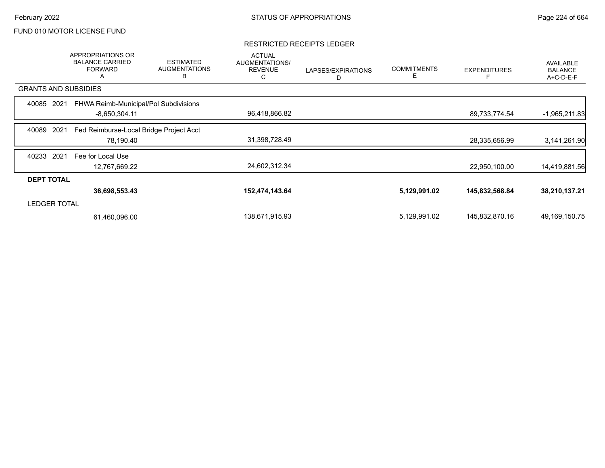## RESTRICTED RECEIPTS LEDGER

|                             | APPROPRIATIONS OR<br><b>BALANCE CARRIED</b><br><b>FORWARD</b><br>A | <b>ESTIMATED</b><br><b>AUGMENTATIONS</b><br>B | <b>ACTUAL</b><br>AUGMENTATIONS/<br><b>REVENUE</b><br>С | LAPSES/EXPIRATIONS<br>D | <b>COMMITMENTS</b><br>Е | <b>EXPENDITURES</b> | AVAILABLE<br><b>BALANCE</b><br>A+C-D-E-F |
|-----------------------------|--------------------------------------------------------------------|-----------------------------------------------|--------------------------------------------------------|-------------------------|-------------------------|---------------------|------------------------------------------|
| <b>GRANTS AND SUBSIDIES</b> |                                                                    |                                               |                                                        |                         |                         |                     |                                          |
| 40085<br>2021               | FHWA Reimb-Municipal/Pol Subdivisions                              |                                               |                                                        |                         |                         |                     |                                          |
|                             | $-8,650,304.11$                                                    |                                               | 96,418,866.82                                          |                         |                         | 89,733,774.54       | $-1,965,211.83$                          |
| 2021<br>40089               | Fed Reimburse-Local Bridge Project Acct                            |                                               |                                                        |                         |                         |                     |                                          |
|                             | 78,190.40                                                          |                                               | 31,398,728.49                                          |                         |                         | 28,335,656.99       | 3,141,261.90                             |
| 2021<br>40233               | Fee for Local Use                                                  |                                               |                                                        |                         |                         |                     |                                          |
|                             | 12,767,669.22                                                      |                                               | 24,602,312.34                                          |                         |                         | 22,950,100.00       | 14,419,881.56                            |
| <b>DEPT TOTAL</b>           |                                                                    |                                               |                                                        |                         |                         |                     |                                          |
|                             | 36,698,553.43                                                      |                                               | 152,474,143.64                                         |                         | 5,129,991.02            | 145,832,568.84      | 38,210,137.21                            |
| <b>LEDGER TOTAL</b>         |                                                                    |                                               |                                                        |                         |                         |                     |                                          |
|                             | 61,460,096.00                                                      |                                               | 138,671,915.93                                         |                         | 5,129,991.02            | 145,832,870.16      | 49,169,150.75                            |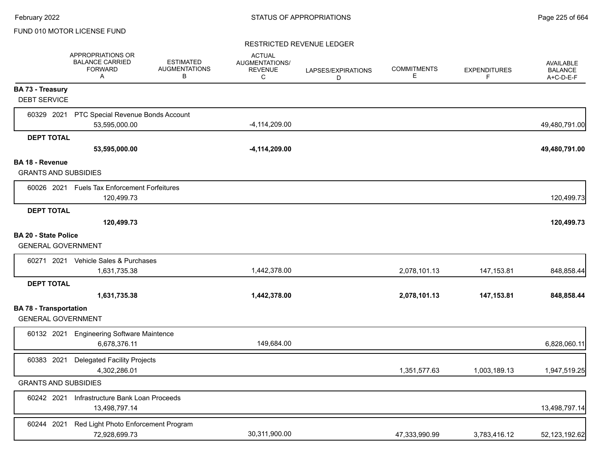#### RESTRICTED REVENUE LEDGER

|                                                            | APPROPRIATIONS OR<br><b>BALANCE CARRIED</b><br><b>FORWARD</b><br>A | <b>ESTIMATED</b><br><b>AUGMENTATIONS</b><br>В | <b>ACTUAL</b><br>AUGMENTATIONS/<br><b>REVENUE</b><br>C | LAPSES/EXPIRATIONS<br>D | <b>COMMITMENTS</b><br>Е | <b>EXPENDITURES</b><br>F | <b>AVAILABLE</b><br><b>BALANCE</b><br>A+C-D-E-F |
|------------------------------------------------------------|--------------------------------------------------------------------|-----------------------------------------------|--------------------------------------------------------|-------------------------|-------------------------|--------------------------|-------------------------------------------------|
| <b>BA 73 - Treasury</b><br><b>DEBT SERVICE</b>             |                                                                    |                                               |                                                        |                         |                         |                          |                                                 |
|                                                            | 60329 2021 PTC Special Revenue Bonds Account                       |                                               |                                                        |                         |                         |                          |                                                 |
|                                                            | 53,595,000.00                                                      |                                               | $-4,114,209.00$                                        |                         |                         |                          | 49,480,791.00                                   |
| <b>DEPT TOTAL</b>                                          |                                                                    |                                               |                                                        |                         |                         |                          |                                                 |
|                                                            | 53,595,000.00                                                      |                                               | $-4,114,209.00$                                        |                         |                         |                          | 49,480,791.00                                   |
| BA 18 - Revenue<br><b>GRANTS AND SUBSIDIES</b>             |                                                                    |                                               |                                                        |                         |                         |                          |                                                 |
|                                                            | 60026 2021 Fuels Tax Enforcement Forfeitures<br>120,499.73         |                                               |                                                        |                         |                         |                          | 120,499.73                                      |
| <b>DEPT TOTAL</b>                                          |                                                                    |                                               |                                                        |                         |                         |                          |                                                 |
|                                                            | 120,499.73                                                         |                                               |                                                        |                         |                         |                          | 120,499.73                                      |
| <b>BA 20 - State Police</b><br><b>GENERAL GOVERNMENT</b>   |                                                                    |                                               |                                                        |                         |                         |                          |                                                 |
|                                                            | 60271 2021 Vehicle Sales & Purchases                               |                                               |                                                        |                         |                         |                          |                                                 |
|                                                            | 1,631,735.38                                                       |                                               | 1,442,378.00                                           |                         | 2,078,101.13            | 147, 153.81              | 848,858.44                                      |
| <b>DEPT TOTAL</b>                                          |                                                                    |                                               |                                                        |                         |                         |                          |                                                 |
|                                                            | 1,631,735.38                                                       |                                               | 1,442,378.00                                           |                         | 2,078,101.13            | 147, 153.81              | 848,858.44                                      |
| <b>BA 78 - Transportation</b><br><b>GENERAL GOVERNMENT</b> |                                                                    |                                               |                                                        |                         |                         |                          |                                                 |
|                                                            | 60132 2021 Engineering Software Maintence<br>6.678.376.11          |                                               | 149,684.00                                             |                         |                         |                          | 6,828,060.11                                    |
| 60383 2021                                                 | <b>Delegated Facility Projects</b><br>4,302,286.01                 |                                               |                                                        |                         | 1,351,577.63            | 1,003,189.13             | 1,947,519.25                                    |
| <b>GRANTS AND SUBSIDIES</b>                                |                                                                    |                                               |                                                        |                         |                         |                          |                                                 |
| 60242 2021                                                 | Infrastructure Bank Loan Proceeds<br>13,498,797.14                 |                                               |                                                        |                         |                         |                          | 13,498,797.14                                   |
| 60244 2021                                                 | Red Light Photo Enforcement Program<br>72,928,699.73               |                                               | 30,311,900.00                                          |                         | 47,333,990.99           | 3,783,416.12             | 52,123,192.62                                   |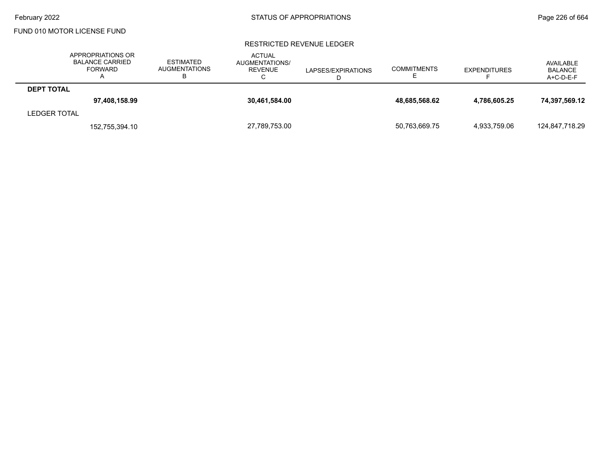#### RESTRICTED REVENUE LEDGER

|                     | APPROPRIATIONS OR<br><b>BALANCE CARRIED</b><br><b>FORWARD</b> | <b>ESTIMATED</b><br><b>AUGMENTATIONS</b> | <b>ACTUAL</b><br>AUGMENTATIONS/<br>REVENUE<br>С | LAPSES/EXPIRATIONS | <b>COMMITMENTS</b> | <b>EXPENDITURES</b> | AVAILABLE<br><b>BALANCE</b><br>$A+C-D-E-F$ |
|---------------------|---------------------------------------------------------------|------------------------------------------|-------------------------------------------------|--------------------|--------------------|---------------------|--------------------------------------------|
| <b>DEPT TOTAL</b>   |                                                               |                                          |                                                 |                    |                    |                     |                                            |
|                     | 97,408,158.99                                                 |                                          | 30,461,584.00                                   |                    | 48,685,568.62      | 4,786,605.25        | 74,397,569.12                              |
| <b>LEDGER TOTAL</b> |                                                               |                                          |                                                 |                    |                    |                     |                                            |
|                     | 152,755,394.10                                                |                                          | 27.789.753.00                                   |                    | 50,763,669.75      | 4.933.759.06        | 124,847,718.29                             |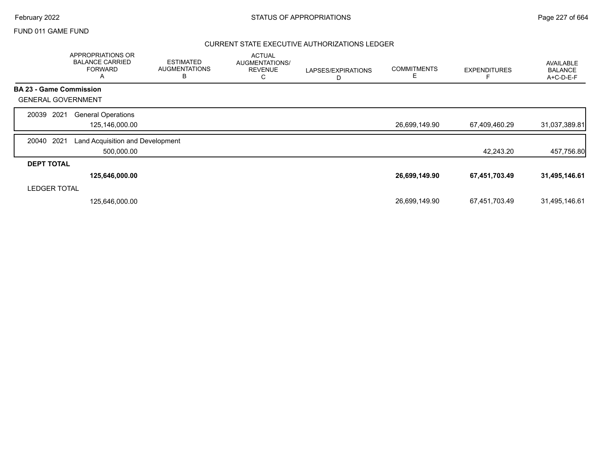# February 2022 **Example 227** of 664 STATUS OF APPROPRIATIONS

## FUND 011 GAME FUND

## CURRENT STATE EXECUTIVE AUTHORIZATIONS LEDGER

|                                | APPROPRIATIONS OR<br><b>BALANCE CARRIED</b><br><b>FORWARD</b><br>Α | <b>ESTIMATED</b><br><b>AUGMENTATIONS</b><br>В | <b>ACTUAL</b><br>AUGMENTATIONS/<br><b>REVENUE</b><br>С | LAPSES/EXPIRATIONS<br>D | <b>COMMITMENTS</b><br>Е | <b>EXPENDITURES</b> | <b>AVAILABLE</b><br><b>BALANCE</b><br>A+C-D-E-F |
|--------------------------------|--------------------------------------------------------------------|-----------------------------------------------|--------------------------------------------------------|-------------------------|-------------------------|---------------------|-------------------------------------------------|
| <b>BA 23 - Game Commission</b> |                                                                    |                                               |                                                        |                         |                         |                     |                                                 |
| <b>GENERAL GOVERNMENT</b>      |                                                                    |                                               |                                                        |                         |                         |                     |                                                 |
| 2021<br>20039                  | <b>General Operations</b><br>125,146,000.00                        |                                               |                                                        |                         | 26,699,149.90           | 67,409,460.29       | 31,037,389.81                                   |
| 2021<br>20040                  | Land Acquisition and Development<br>500,000.00                     |                                               |                                                        |                         |                         | 42,243.20           | 457,756.80                                      |
| <b>DEPT TOTAL</b>              |                                                                    |                                               |                                                        |                         |                         |                     |                                                 |
|                                | 125,646,000.00                                                     |                                               |                                                        |                         | 26,699,149.90           | 67,451,703.49       | 31,495,146.61                                   |
| <b>LEDGER TOTAL</b>            |                                                                    |                                               |                                                        |                         |                         |                     |                                                 |
|                                | 125,646,000.00                                                     |                                               |                                                        |                         | 26,699,149.90           | 67,451,703.49       | 31,495,146.61                                   |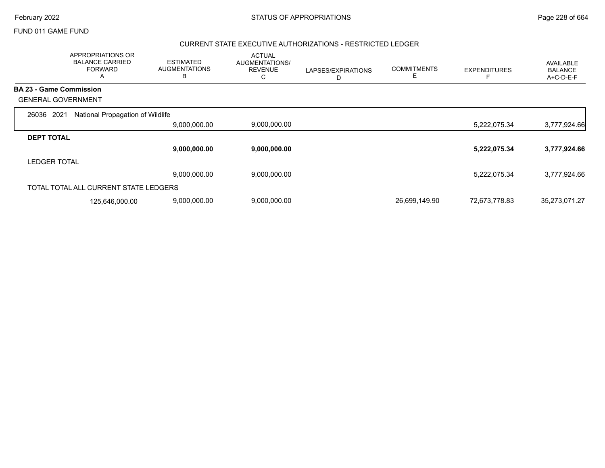|                                | APPROPRIATIONS OR<br><b>BALANCE CARRIED</b><br><b>FORWARD</b><br>A | <b>ESTIMATED</b><br><b>AUGMENTATIONS</b><br>B | <b>ACTUAL</b><br>AUGMENTATIONS/<br><b>REVENUE</b><br>С | LAPSES/EXPIRATIONS<br>D | <b>COMMITMENTS</b><br>E | <b>EXPENDITURES</b> | AVAILABLE<br><b>BALANCE</b><br>A+C-D-E-F |
|--------------------------------|--------------------------------------------------------------------|-----------------------------------------------|--------------------------------------------------------|-------------------------|-------------------------|---------------------|------------------------------------------|
| <b>BA 23 - Game Commission</b> |                                                                    |                                               |                                                        |                         |                         |                     |                                          |
| <b>GENERAL GOVERNMENT</b>      |                                                                    |                                               |                                                        |                         |                         |                     |                                          |
| 2021<br>26036                  | National Propagation of Wildlife                                   |                                               |                                                        |                         |                         |                     |                                          |
|                                |                                                                    | 9,000,000.00                                  | 9,000,000.00                                           |                         |                         | 5,222,075.34        | 3,777,924.66                             |
| <b>DEPT TOTAL</b>              |                                                                    |                                               |                                                        |                         |                         |                     |                                          |
|                                |                                                                    | 9,000,000.00                                  | 9,000,000.00                                           |                         |                         | 5,222,075.34        | 3,777,924.66                             |
| <b>LEDGER TOTAL</b>            |                                                                    |                                               |                                                        |                         |                         |                     |                                          |
|                                |                                                                    | 9,000,000.00                                  | 9,000,000.00                                           |                         |                         | 5,222,075.34        | 3,777,924.66                             |
|                                | TOTAL TOTAL ALL CURRENT STATE LEDGERS                              |                                               |                                                        |                         |                         |                     |                                          |
|                                | 125,646,000.00                                                     | 9,000,000.00                                  | 9,000,000.00                                           |                         | 26,699,149.90           | 72,673,778.83       | 35,273,071.27                            |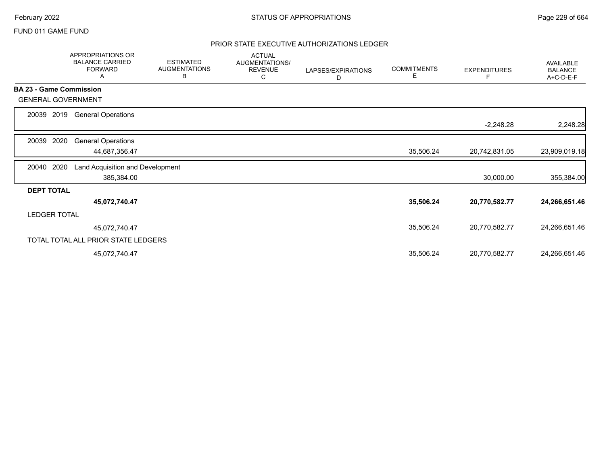## PRIOR STATE EXECUTIVE AUTHORIZATIONS LEDGER

|                   | APPROPRIATIONS OR<br><b>BALANCE CARRIED</b><br><b>FORWARD</b><br>A | <b>ESTIMATED</b><br><b>AUGMENTATIONS</b><br>В | <b>ACTUAL</b><br>AUGMENTATIONS/<br><b>REVENUE</b><br>С | LAPSES/EXPIRATIONS<br>D | <b>COMMITMENTS</b><br>Е | <b>EXPENDITURES</b> | <b>AVAILABLE</b><br><b>BALANCE</b><br>A+C-D-E-F |
|-------------------|--------------------------------------------------------------------|-----------------------------------------------|--------------------------------------------------------|-------------------------|-------------------------|---------------------|-------------------------------------------------|
|                   | <b>BA 23 - Game Commission</b>                                     |                                               |                                                        |                         |                         |                     |                                                 |
|                   | <b>GENERAL GOVERNMENT</b>                                          |                                               |                                                        |                         |                         |                     |                                                 |
| 20039             | 2019<br><b>General Operations</b>                                  |                                               |                                                        |                         |                         | $-2,248.28$         | 2,248.28                                        |
|                   |                                                                    |                                               |                                                        |                         |                         |                     |                                                 |
| 20039             | 2020<br><b>General Operations</b><br>44,687,356.47                 |                                               |                                                        |                         | 35,506.24               | 20,742,831.05       | 23,909,019.18                                   |
| 20040             | 2020<br>Land Acquisition and Development                           |                                               |                                                        |                         |                         |                     |                                                 |
|                   | 385,384.00                                                         |                                               |                                                        |                         |                         | 30,000.00           | 355,384.00                                      |
| <b>DEPT TOTAL</b> |                                                                    |                                               |                                                        |                         |                         |                     |                                                 |
|                   | 45,072,740.47                                                      |                                               |                                                        |                         | 35,506.24               | 20,770,582.77       | 24,266,651.46                                   |
|                   | <b>LEDGER TOTAL</b>                                                |                                               |                                                        |                         |                         |                     |                                                 |
|                   | 45,072,740.47                                                      |                                               |                                                        |                         | 35,506.24               | 20,770,582.77       | 24,266,651.46                                   |
|                   | TOTAL TOTAL ALL PRIOR STATE LEDGERS                                |                                               |                                                        |                         |                         |                     |                                                 |
|                   | 45,072,740.47                                                      |                                               |                                                        |                         | 35,506.24               | 20,770,582.77       | 24,266,651.46                                   |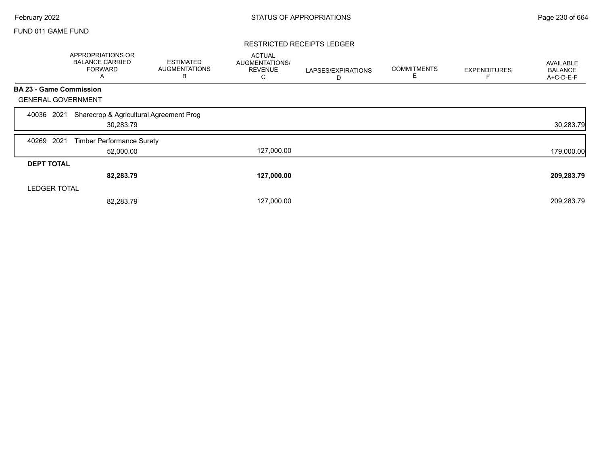#### RESTRICTED RECEIPTS LEDGER

|                                | APPROPRIATIONS OR<br><b>BALANCE CARRIED</b><br><b>FORWARD</b><br>A | <b>ESTIMATED</b><br><b>AUGMENTATIONS</b><br>В | <b>ACTUAL</b><br><b>AUGMENTATIONS/</b><br><b>REVENUE</b><br>C | LAPSES/EXPIRATIONS<br>D | <b>COMMITMENTS</b><br>Е | <b>EXPENDITURES</b> | AVAILABLE<br><b>BALANCE</b><br>A+C-D-E-F |
|--------------------------------|--------------------------------------------------------------------|-----------------------------------------------|---------------------------------------------------------------|-------------------------|-------------------------|---------------------|------------------------------------------|
| <b>BA 23 - Game Commission</b> |                                                                    |                                               |                                                               |                         |                         |                     |                                          |
| <b>GENERAL GOVERNMENT</b>      |                                                                    |                                               |                                                               |                         |                         |                     |                                          |
| 2021<br>40036                  | Sharecrop & Agricultural Agreement Prog<br>30,283.79               |                                               |                                                               |                         |                         |                     | 30,283.79                                |
| 2021<br>40269                  | <b>Timber Performance Surety</b>                                   |                                               |                                                               |                         |                         |                     |                                          |
|                                | 52,000.00                                                          |                                               | 127,000.00                                                    |                         |                         |                     | 179,000.00                               |
| <b>DEPT TOTAL</b>              |                                                                    |                                               |                                                               |                         |                         |                     |                                          |
|                                | 82,283.79                                                          |                                               | 127,000.00                                                    |                         |                         |                     | 209,283.79                               |
| <b>LEDGER TOTAL</b>            |                                                                    |                                               |                                                               |                         |                         |                     |                                          |
|                                | 82,283.79                                                          |                                               | 127,000.00                                                    |                         |                         |                     | 209,283.79                               |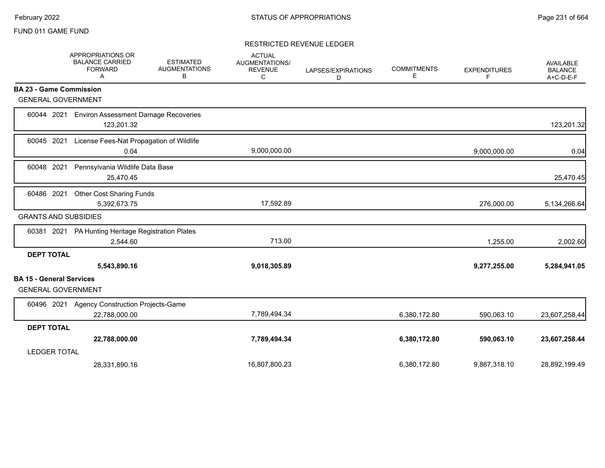#### RESTRICTED REVENUE LEDGER

|                                 | APPROPRIATIONS OR<br><b>BALANCE CARRIED</b><br><b>FORWARD</b><br>Α | <b>ESTIMATED</b><br><b>AUGMENTATIONS</b><br>В | <b>ACTUAL</b><br><b>AUGMENTATIONS/</b><br><b>REVENUE</b><br>С | LAPSES/EXPIRATIONS<br>D | <b>COMMITMENTS</b><br>Е | <b>EXPENDITURES</b><br>F | <b>AVAILABLE</b><br><b>BALANCE</b><br>A+C-D-E-F |
|---------------------------------|--------------------------------------------------------------------|-----------------------------------------------|---------------------------------------------------------------|-------------------------|-------------------------|--------------------------|-------------------------------------------------|
|                                 | <b>BA 23 - Game Commission</b>                                     |                                               |                                                               |                         |                         |                          |                                                 |
|                                 | <b>GENERAL GOVERNMENT</b>                                          |                                               |                                                               |                         |                         |                          |                                                 |
| 60044 2021                      | <b>Environ Assessment Damage Recoveries</b><br>123,201.32          |                                               |                                                               |                         |                         |                          | 123,201.32                                      |
| 60045                           | 2021<br>License Fees-Nat Propagation of Wildlife<br>0.04           |                                               | 9,000,000.00                                                  |                         |                         | 9,000,000.00             | 0.04                                            |
| 60048 2021                      | Pennsylvania Wildlife Data Base<br>25,470.45                       |                                               |                                                               |                         |                         |                          | 25,470.45                                       |
| 60486 2021                      | <b>Other Cost Sharing Funds</b><br>5,392,673.75                    |                                               | 17,592.89                                                     |                         |                         | 276,000.00               | 5,134,266.64                                    |
|                                 | <b>GRANTS AND SUBSIDIES</b>                                        |                                               |                                                               |                         |                         |                          |                                                 |
| 60381 2021                      | PA Hunting Heritage Registration Plates<br>2,544.60                |                                               | 713.00                                                        |                         |                         | 1,255.00                 | 2,002.60                                        |
| <b>DEPT TOTAL</b>               | 5,543,890.16                                                       |                                               | 9,018,305.89                                                  |                         |                         | 9,277,255.00             | 5,284,941.05                                    |
| <b>BA 15 - General Services</b> | <b>GENERAL GOVERNMENT</b>                                          |                                               |                                                               |                         |                         |                          |                                                 |
| 60496 2021                      | <b>Agency Construction Projects-Game</b><br>22,788,000.00          |                                               | 7,789,494.34                                                  |                         | 6,380,172.80            | 590,063.10               | 23,607,258.44                                   |
| <b>DEPT TOTAL</b>               |                                                                    |                                               |                                                               |                         |                         |                          |                                                 |
|                                 | 22,788,000.00                                                      |                                               | 7,789,494.34                                                  |                         | 6,380,172.80            | 590,063.10               | 23,607,258.44                                   |
| <b>LEDGER TOTAL</b>             |                                                                    |                                               |                                                               |                         |                         |                          |                                                 |
|                                 | 28,331,890.16                                                      |                                               | 16,807,800.23                                                 |                         | 6,380,172.80            | 9,867,318.10             | 28,892,199.49                                   |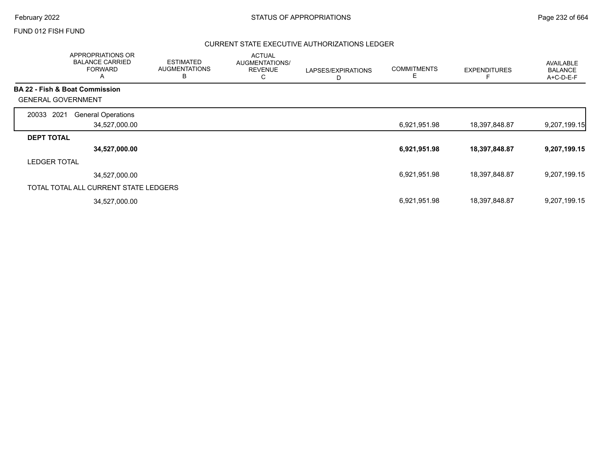## FUND 012 FISH FUND

## CURRENT STATE EXECUTIVE AUTHORIZATIONS LEDGER

|                           | APPROPRIATIONS OR<br><b>BALANCE CARRIED</b><br><b>FORWARD</b><br>A | <b>ESTIMATED</b><br><b>AUGMENTATIONS</b><br>В | <b>ACTUAL</b><br>AUGMENTATIONS/<br><b>REVENUE</b><br>С | LAPSES/EXPIRATIONS<br>D | <b>COMMITMENTS</b><br>Е | <b>EXPENDITURES</b> | AVAILABLE<br><b>BALANCE</b><br>A+C-D-E-F |
|---------------------------|--------------------------------------------------------------------|-----------------------------------------------|--------------------------------------------------------|-------------------------|-------------------------|---------------------|------------------------------------------|
|                           | <b>BA 22 - Fish &amp; Boat Commission</b>                          |                                               |                                                        |                         |                         |                     |                                          |
| <b>GENERAL GOVERNMENT</b> |                                                                    |                                               |                                                        |                         |                         |                     |                                          |
| 2021<br>20033             | <b>General Operations</b>                                          |                                               |                                                        |                         |                         |                     |                                          |
|                           | 34,527,000.00                                                      |                                               |                                                        |                         | 6,921,951.98            | 18,397,848.87       | 9,207,199.15                             |
| <b>DEPT TOTAL</b>         |                                                                    |                                               |                                                        |                         |                         |                     |                                          |
|                           | 34,527,000.00                                                      |                                               |                                                        |                         | 6,921,951.98            | 18,397,848.87       | 9,207,199.15                             |
| <b>LEDGER TOTAL</b>       |                                                                    |                                               |                                                        |                         |                         |                     |                                          |
|                           | 34,527,000.00                                                      |                                               |                                                        |                         | 6,921,951.98            | 18,397,848.87       | 9,207,199.15                             |
|                           | TOTAL TOTAL ALL CURRENT STATE LEDGERS                              |                                               |                                                        |                         |                         |                     |                                          |
|                           | 34,527,000.00                                                      |                                               |                                                        |                         | 6,921,951.98            | 18,397,848.87       | 9,207,199.15                             |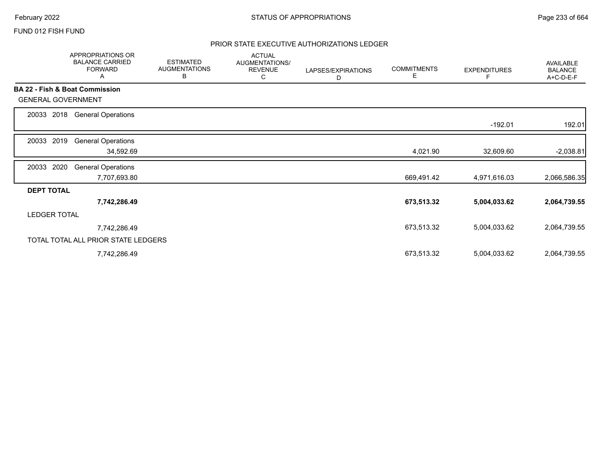## FUND 012 FISH FUND

## PRIOR STATE EXECUTIVE AUTHORIZATIONS LEDGER

|                                           | APPROPRIATIONS OR<br><b>BALANCE CARRIED</b><br><b>FORWARD</b><br>Α | <b>ESTIMATED</b><br><b>AUGMENTATIONS</b><br>В | <b>ACTUAL</b><br>AUGMENTATIONS/<br><b>REVENUE</b><br>С | LAPSES/EXPIRATIONS<br>D | <b>COMMITMENTS</b><br>Е | <b>EXPENDITURES</b> | <b>AVAILABLE</b><br><b>BALANCE</b><br>A+C-D-E-F |
|-------------------------------------------|--------------------------------------------------------------------|-----------------------------------------------|--------------------------------------------------------|-------------------------|-------------------------|---------------------|-------------------------------------------------|
| <b>BA 22 - Fish &amp; Boat Commission</b> |                                                                    |                                               |                                                        |                         |                         |                     |                                                 |
| <b>GENERAL GOVERNMENT</b>                 |                                                                    |                                               |                                                        |                         |                         |                     |                                                 |
| 2018<br>20033                             | <b>General Operations</b>                                          |                                               |                                                        |                         |                         |                     |                                                 |
|                                           |                                                                    |                                               |                                                        |                         |                         | $-192.01$           | 192.01                                          |
| 20033<br>2019                             | <b>General Operations</b>                                          |                                               |                                                        |                         |                         |                     |                                                 |
|                                           | 34,592.69                                                          |                                               |                                                        |                         | 4,021.90                | 32,609.60           | $-2,038.81$                                     |
| 2020<br>20033                             | <b>General Operations</b>                                          |                                               |                                                        |                         |                         |                     |                                                 |
|                                           | 7,707,693.80                                                       |                                               |                                                        |                         | 669,491.42              | 4,971,616.03        | 2,066,586.35                                    |
| <b>DEPT TOTAL</b>                         |                                                                    |                                               |                                                        |                         |                         |                     |                                                 |
|                                           | 7,742,286.49                                                       |                                               |                                                        |                         | 673,513.32              | 5,004,033.62        | 2,064,739.55                                    |
| <b>LEDGER TOTAL</b>                       |                                                                    |                                               |                                                        |                         |                         |                     |                                                 |
|                                           | 7,742,286.49                                                       |                                               |                                                        |                         | 673,513.32              | 5,004,033.62        | 2,064,739.55                                    |
|                                           | TOTAL TOTAL ALL PRIOR STATE LEDGERS                                |                                               |                                                        |                         |                         |                     |                                                 |
|                                           | 7,742,286.49                                                       |                                               |                                                        |                         | 673,513.32              | 5,004,033.62        | 2,064,739.55                                    |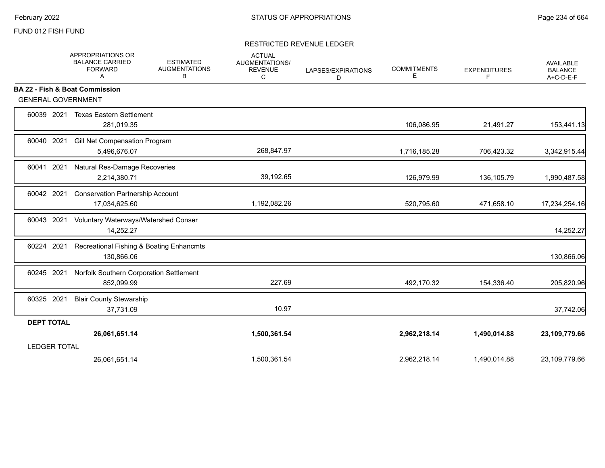## FUND 012 FISH FUND

## RESTRICTED REVENUE LEDGER

|                           | APPROPRIATIONS OR<br><b>BALANCE CARRIED</b><br><b>FORWARD</b><br>Α | <b>ESTIMATED</b><br><b>AUGMENTATIONS</b><br>в | <b>ACTUAL</b><br><b>AUGMENTATIONS/</b><br><b>REVENUE</b><br>C | LAPSES/EXPIRATIONS<br>D | <b>COMMITMENTS</b><br>E. | <b>EXPENDITURES</b><br>F | <b>AVAILABLE</b><br><b>BALANCE</b><br>A+C-D-E-F |
|---------------------------|--------------------------------------------------------------------|-----------------------------------------------|---------------------------------------------------------------|-------------------------|--------------------------|--------------------------|-------------------------------------------------|
|                           | <b>BA 22 - Fish &amp; Boat Commission</b>                          |                                               |                                                               |                         |                          |                          |                                                 |
| <b>GENERAL GOVERNMENT</b> |                                                                    |                                               |                                                               |                         |                          |                          |                                                 |
| 60039 2021                | <b>Texas Eastern Settlement</b><br>281,019.35                      |                                               |                                                               |                         | 106,086.95               | 21,491.27                | 153,441.13                                      |
| 60040 2021                | Gill Net Compensation Program<br>5,496,676.07                      |                                               | 268,847.97                                                    |                         | 1,716,185.28             | 706,423.32               | 3,342,915.44                                    |
| 60041 2021                | Natural Res-Damage Recoveries<br>2,214,380.71                      |                                               | 39,192.65                                                     |                         | 126,979.99               | 136,105.79               | 1,990,487.58                                    |
| 60042 2021                | <b>Conservation Partnership Account</b><br>17,034,625.60           |                                               | 1,192,082.26                                                  |                         | 520,795.60               | 471,658.10               | 17,234,254.16                                   |
| 60043 2021                | Voluntary Waterways/Watershed Conser<br>14,252.27                  |                                               |                                                               |                         |                          |                          | 14,252.27                                       |
| 60224 2021                | Recreational Fishing & Boating Enhancmts<br>130,866.06             |                                               |                                                               |                         |                          |                          | 130,866.06                                      |
| 60245 2021                | Norfolk Southern Corporation Settlement<br>852,099.99              |                                               | 227.69                                                        |                         | 492,170.32               | 154,336.40               | 205,820.96                                      |
| 60325 2021                | <b>Blair County Stewarship</b><br>37,731.09                        |                                               | 10.97                                                         |                         |                          |                          | 37,742.06                                       |
| <b>DEPT TOTAL</b>         |                                                                    |                                               |                                                               |                         |                          |                          |                                                 |
|                           | 26,061,651.14                                                      |                                               | 1,500,361.54                                                  |                         | 2,962,218.14             | 1,490,014.88             | 23,109,779.66                                   |
| <b>LEDGER TOTAL</b>       |                                                                    |                                               |                                                               |                         |                          |                          |                                                 |
|                           | 26,061,651.14                                                      |                                               | 1,500,361.54                                                  |                         | 2,962,218.14             | 1,490,014.88             | 23,109,779.66                                   |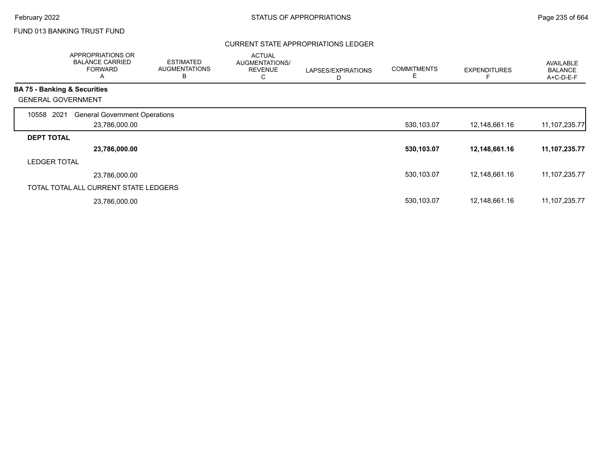## FUND 013 BANKING TRUST FUND

## CURRENT STATE APPROPRIATIONS LEDGER

|                     | APPROPRIATIONS OR<br><b>BALANCE CARRIED</b><br><b>FORWARD</b><br>Α | <b>ESTIMATED</b><br><b>AUGMENTATIONS</b><br>B | <b>ACTUAL</b><br><b>AUGMENTATIONS/</b><br><b>REVENUE</b><br>С | LAPSES/EXPIRATIONS<br>D | <b>COMMITMENTS</b><br>Е | <b>EXPENDITURES</b> | AVAILABLE<br><b>BALANCE</b><br>A+C-D-E-F |
|---------------------|--------------------------------------------------------------------|-----------------------------------------------|---------------------------------------------------------------|-------------------------|-------------------------|---------------------|------------------------------------------|
|                     | <b>BA 75 - Banking &amp; Securities</b>                            |                                               |                                                               |                         |                         |                     |                                          |
|                     | <b>GENERAL GOVERNMENT</b>                                          |                                               |                                                               |                         |                         |                     |                                          |
| 2021<br>10558       | <b>General Government Operations</b>                               |                                               |                                                               |                         |                         |                     |                                          |
|                     | 23,786,000.00                                                      |                                               |                                                               |                         | 530,103.07              | 12,148,661.16       | 11, 107, 235. 77                         |
| <b>DEPT TOTAL</b>   |                                                                    |                                               |                                                               |                         |                         |                     |                                          |
|                     | 23,786,000.00                                                      |                                               |                                                               |                         | 530,103.07              | 12,148,661.16       | 11,107,235.77                            |
| <b>LEDGER TOTAL</b> |                                                                    |                                               |                                                               |                         |                         |                     |                                          |
|                     | 23,786,000.00                                                      |                                               |                                                               |                         | 530,103.07              | 12,148,661.16       | 11, 107, 235. 77                         |
|                     | TOTAL TOTAL ALL CURRENT STATE LEDGERS                              |                                               |                                                               |                         |                         |                     |                                          |
|                     | 23,786,000.00                                                      |                                               |                                                               |                         | 530,103.07              | 12,148,661.16       | 11, 107, 235. 77                         |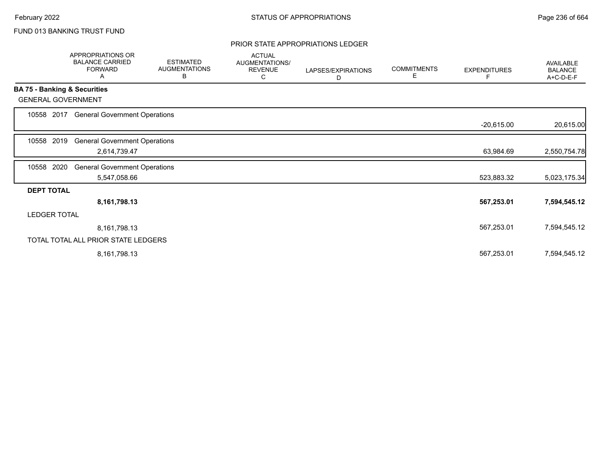# FUND 013 BANKING TRUST FUND

### PRIOR STATE APPROPRIATIONS LEDGER

|                              | APPROPRIATIONS OR<br><b>BALANCE CARRIED</b><br><b>FORWARD</b><br>A | <b>ESTIMATED</b><br><b>AUGMENTATIONS</b><br>В | <b>ACTUAL</b><br>AUGMENTATIONS/<br><b>REVENUE</b><br>С | LAPSES/EXPIRATIONS<br>D | <b>COMMITMENTS</b><br>Е | <b>EXPENDITURES</b><br>F | <b>AVAILABLE</b><br><b>BALANCE</b><br>A+C-D-E-F |
|------------------------------|--------------------------------------------------------------------|-----------------------------------------------|--------------------------------------------------------|-------------------------|-------------------------|--------------------------|-------------------------------------------------|
| BA 75 - Banking & Securities |                                                                    |                                               |                                                        |                         |                         |                          |                                                 |
| <b>GENERAL GOVERNMENT</b>    |                                                                    |                                               |                                                        |                         |                         |                          |                                                 |
| 10558 2017                   | <b>General Government Operations</b>                               |                                               |                                                        |                         |                         |                          |                                                 |
|                              |                                                                    |                                               |                                                        |                         |                         | $-20,615.00$             | 20,615.00                                       |
| 2019<br>10558                | <b>General Government Operations</b>                               |                                               |                                                        |                         |                         |                          |                                                 |
|                              | 2,614,739.47                                                       |                                               |                                                        |                         |                         | 63,984.69                | 2,550,754.78                                    |
| 2020<br>10558                | <b>General Government Operations</b>                               |                                               |                                                        |                         |                         |                          |                                                 |
|                              | 5,547,058.66                                                       |                                               |                                                        |                         |                         | 523,883.32               | 5,023,175.34                                    |
| <b>DEPT TOTAL</b>            |                                                                    |                                               |                                                        |                         |                         |                          |                                                 |
|                              | 8,161,798.13                                                       |                                               |                                                        |                         |                         | 567,253.01               | 7,594,545.12                                    |
| <b>LEDGER TOTAL</b>          |                                                                    |                                               |                                                        |                         |                         |                          |                                                 |
|                              | 8,161,798.13                                                       |                                               |                                                        |                         |                         | 567,253.01               | 7,594,545.12                                    |
|                              | TOTAL TOTAL ALL PRIOR STATE LEDGERS                                |                                               |                                                        |                         |                         |                          |                                                 |
|                              | 8,161,798.13                                                       |                                               |                                                        |                         |                         | 567,253.01               | 7,594,545.12                                    |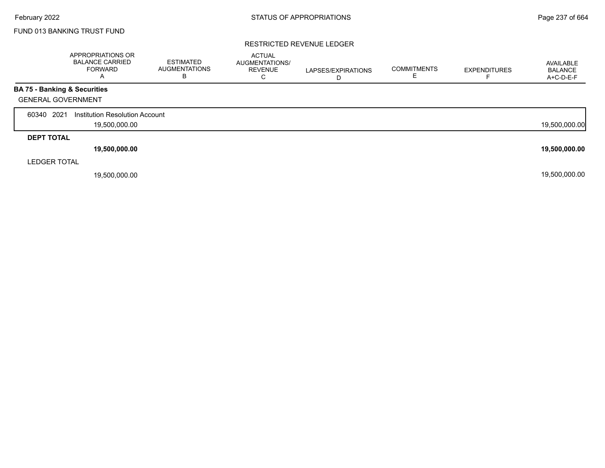## FUND 013 BANKING TRUST FUND

#### RESTRICTED REVENUE LEDGER

|                                         | APPROPRIATIONS OR<br><b>BALANCE CARRIED</b><br><b>FORWARD</b><br>$\overline{\mathsf{A}}$ | <b>ESTIMATED</b><br><b>AUGMENTATIONS</b><br>в | <b>ACTUAL</b><br>AUGMENTATIONS/<br><b>REVENUE</b><br>С | LAPSES/EXPIRATIONS<br>D | <b>COMMITMENTS</b> | <b>EXPENDITURES</b> | AVAILABLE<br><b>BALANCE</b><br>A+C-D-E-F |
|-----------------------------------------|------------------------------------------------------------------------------------------|-----------------------------------------------|--------------------------------------------------------|-------------------------|--------------------|---------------------|------------------------------------------|
| <b>BA 75 - Banking &amp; Securities</b> |                                                                                          |                                               |                                                        |                         |                    |                     |                                          |
| <b>GENERAL GOVERNMENT</b>               |                                                                                          |                                               |                                                        |                         |                    |                     |                                          |
| 2021<br>60340                           | Institution Resolution Account                                                           |                                               |                                                        |                         |                    |                     |                                          |
|                                         | 19,500,000.00                                                                            |                                               |                                                        |                         |                    |                     | 19,500,000.00                            |
| <b>DEPT TOTAL</b>                       |                                                                                          |                                               |                                                        |                         |                    |                     |                                          |
|                                         | 19,500,000.00                                                                            |                                               |                                                        |                         |                    |                     | 19,500,000.00                            |
| <b>LEDGER TOTAL</b>                     |                                                                                          |                                               |                                                        |                         |                    |                     |                                          |
|                                         | 19,500,000.00                                                                            |                                               |                                                        |                         |                    |                     | 19,500,000.00                            |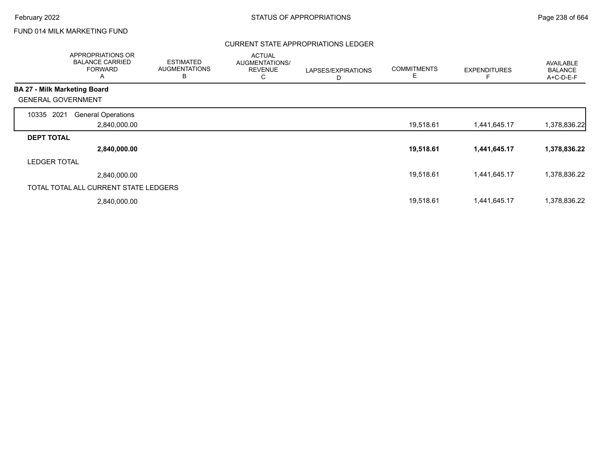# FUND 014 MILK MARKETING FUND

## CURRENT STATE APPROPRIATIONS LEDGER

|                              | APPROPRIATIONS OR<br><b>BALANCE CARRIED</b><br><b>FORWARD</b><br>A | <b>ESTIMATED</b><br><b>AUGMENTATIONS</b><br>в | <b>ACTUAL</b><br>AUGMENTATIONS/<br><b>REVENUE</b><br>С | LAPSES/EXPIRATIONS<br>D | <b>COMMITMENTS</b><br>E. | <b>EXPENDITURES</b> | <b>AVAILABLE</b><br><b>BALANCE</b><br>A+C-D-E-F |
|------------------------------|--------------------------------------------------------------------|-----------------------------------------------|--------------------------------------------------------|-------------------------|--------------------------|---------------------|-------------------------------------------------|
| BA 27 - Milk Marketing Board |                                                                    |                                               |                                                        |                         |                          |                     |                                                 |
| <b>GENERAL GOVERNMENT</b>    |                                                                    |                                               |                                                        |                         |                          |                     |                                                 |
| 2021<br>10335                | <b>General Operations</b>                                          |                                               |                                                        |                         |                          |                     |                                                 |
|                              | 2,840,000.00                                                       |                                               |                                                        |                         | 19,518.61                | 1,441,645.17        | 1,378,836.22                                    |
| <b>DEPT TOTAL</b>            |                                                                    |                                               |                                                        |                         |                          |                     |                                                 |
|                              | 2,840,000.00                                                       |                                               |                                                        |                         | 19,518.61                | 1,441,645.17        | 1,378,836.22                                    |
| <b>LEDGER TOTAL</b>          |                                                                    |                                               |                                                        |                         |                          |                     |                                                 |
|                              | 2,840,000.00                                                       |                                               |                                                        |                         | 19,518.61                | 1,441,645.17        | 1,378,836.22                                    |
|                              | TOTAL TOTAL ALL CURRENT STATE LEDGERS                              |                                               |                                                        |                         |                          |                     |                                                 |
|                              | 2,840,000.00                                                       |                                               |                                                        |                         | 19,518.61                | 1,441,645.17        | 1,378,836.22                                    |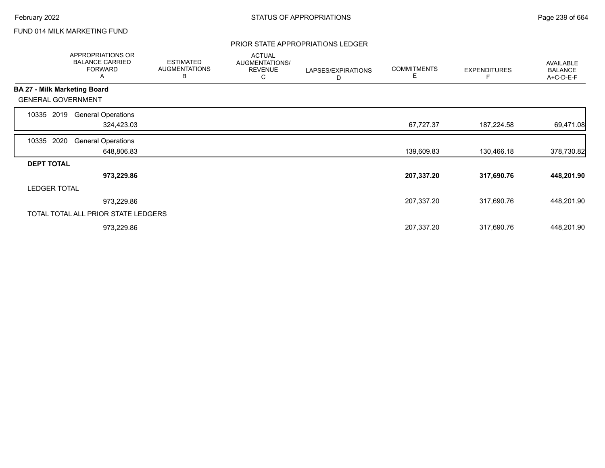# FUND 014 MILK MARKETING FUND

## PRIOR STATE APPROPRIATIONS LEDGER

|                     | <b>APPROPRIATIONS OR</b><br><b>BALANCE CARRIED</b><br><b>FORWARD</b><br>A | <b>ESTIMATED</b><br><b>AUGMENTATIONS</b><br>В | <b>ACTUAL</b><br>AUGMENTATIONS/<br><b>REVENUE</b><br>С | LAPSES/EXPIRATIONS<br>D | <b>COMMITMENTS</b><br>Е | <b>EXPENDITURES</b> | <b>AVAILABLE</b><br><b>BALANCE</b><br>A+C-D-E-F |
|---------------------|---------------------------------------------------------------------------|-----------------------------------------------|--------------------------------------------------------|-------------------------|-------------------------|---------------------|-------------------------------------------------|
|                     | <b>BA 27 - Milk Marketing Board</b>                                       |                                               |                                                        |                         |                         |                     |                                                 |
|                     | <b>GENERAL GOVERNMENT</b>                                                 |                                               |                                                        |                         |                         |                     |                                                 |
| 10335               | <b>General Operations</b><br>2019                                         |                                               |                                                        |                         |                         |                     |                                                 |
|                     | 324,423.03                                                                |                                               |                                                        |                         | 67,727.37               | 187,224.58          | 69,471.08                                       |
| 10335               | 2020<br><b>General Operations</b>                                         |                                               |                                                        |                         |                         |                     |                                                 |
|                     | 648,806.83                                                                |                                               |                                                        |                         | 139,609.83              | 130,466.18          | 378,730.82                                      |
| <b>DEPT TOTAL</b>   |                                                                           |                                               |                                                        |                         |                         |                     |                                                 |
|                     | 973,229.86                                                                |                                               |                                                        |                         | 207,337.20              | 317,690.76          | 448,201.90                                      |
| <b>LEDGER TOTAL</b> |                                                                           |                                               |                                                        |                         |                         |                     |                                                 |
|                     | 973,229.86                                                                |                                               |                                                        |                         | 207,337.20              | 317,690.76          | 448,201.90                                      |
|                     | TOTAL TOTAL ALL PRIOR STATE LEDGERS                                       |                                               |                                                        |                         |                         |                     |                                                 |
|                     | 973,229.86                                                                |                                               |                                                        |                         | 207,337.20              | 317,690.76          | 448,201.90                                      |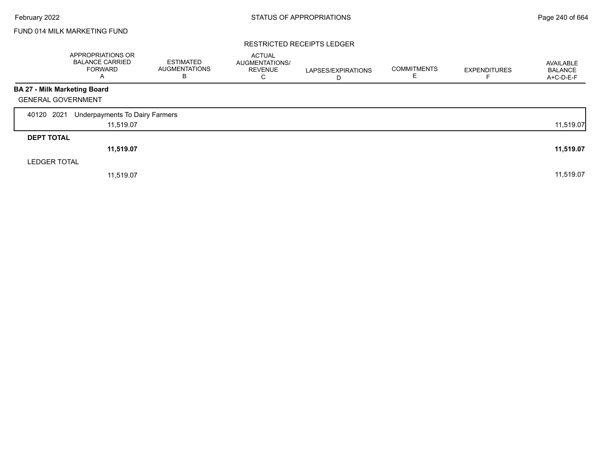# FUND 014 MILK MARKETING FUND

#### RESTRICTED RECEIPTS LEDGER

|                                     | APPROPRIATIONS OR<br><b>BALANCE CARRIED</b><br><b>FORWARD</b><br>A | <b>ESTIMATED</b><br><b>AUGMENTATIONS</b><br>B | <b>ACTUAL</b><br>AUGMENTATIONS/<br><b>REVENUE</b><br>С | LAPSES/EXPIRATIONS<br>D | <b>COMMITMENTS</b> | <b>EXPENDITURES</b><br>F | AVAILABLE<br><b>BALANCE</b><br>A+C-D-E-F |
|-------------------------------------|--------------------------------------------------------------------|-----------------------------------------------|--------------------------------------------------------|-------------------------|--------------------|--------------------------|------------------------------------------|
| <b>BA 27 - Milk Marketing Board</b> |                                                                    |                                               |                                                        |                         |                    |                          |                                          |
| <b>GENERAL GOVERNMENT</b>           |                                                                    |                                               |                                                        |                         |                    |                          |                                          |
| 40120 2021                          | Underpayments To Dairy Farmers                                     |                                               |                                                        |                         |                    |                          |                                          |
|                                     | 11,519.07                                                          |                                               |                                                        |                         |                    |                          | 11,519.07                                |
| <b>DEPT TOTAL</b>                   |                                                                    |                                               |                                                        |                         |                    |                          |                                          |
|                                     | 11,519.07                                                          |                                               |                                                        |                         |                    |                          | 11,519.07                                |
| <b>LEDGER TOTAL</b>                 |                                                                    |                                               |                                                        |                         |                    |                          |                                          |
|                                     | 11,519.07                                                          |                                               |                                                        |                         |                    |                          | 11,519.07                                |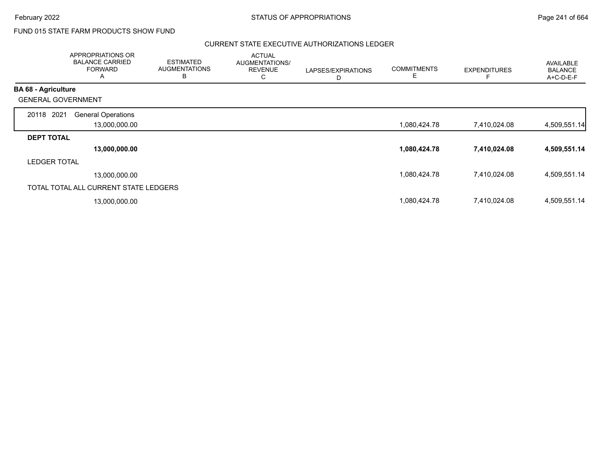# FUND 015 STATE FARM PRODUCTS SHOW FUND

## CURRENT STATE EXECUTIVE AUTHORIZATIONS LEDGER

|                            | APPROPRIATIONS OR<br><b>BALANCE CARRIED</b><br><b>FORWARD</b><br>A | <b>ESTIMATED</b><br><b>AUGMENTATIONS</b><br>B | <b>ACTUAL</b><br>AUGMENTATIONS/<br><b>REVENUE</b><br>С | LAPSES/EXPIRATIONS<br>D | <b>COMMITMENTS</b><br>E | <b>EXPENDITURES</b> | <b>AVAILABLE</b><br><b>BALANCE</b><br>A+C-D-E-F |
|----------------------------|--------------------------------------------------------------------|-----------------------------------------------|--------------------------------------------------------|-------------------------|-------------------------|---------------------|-------------------------------------------------|
| <b>BA 68 - Agriculture</b> |                                                                    |                                               |                                                        |                         |                         |                     |                                                 |
| <b>GENERAL GOVERNMENT</b>  |                                                                    |                                               |                                                        |                         |                         |                     |                                                 |
| 2021<br>20118              | <b>General Operations</b>                                          |                                               |                                                        |                         |                         |                     |                                                 |
|                            | 13,000,000.00                                                      |                                               |                                                        |                         | 1,080,424.78            | 7,410,024.08        | 4,509,551.14                                    |
| <b>DEPT TOTAL</b>          |                                                                    |                                               |                                                        |                         |                         |                     |                                                 |
|                            | 13,000,000.00                                                      |                                               |                                                        |                         | 1,080,424.78            | 7,410,024.08        | 4,509,551.14                                    |
| <b>LEDGER TOTAL</b>        |                                                                    |                                               |                                                        |                         |                         |                     |                                                 |
|                            | 13,000,000.00                                                      |                                               |                                                        |                         | 1,080,424.78            | 7,410,024.08        | 4,509,551.14                                    |
|                            | TOTAL TOTAL ALL CURRENT STATE LEDGERS                              |                                               |                                                        |                         |                         |                     |                                                 |
|                            | 13,000,000.00                                                      |                                               |                                                        |                         | 1,080,424.78            | 7,410,024.08        | 4,509,551.14                                    |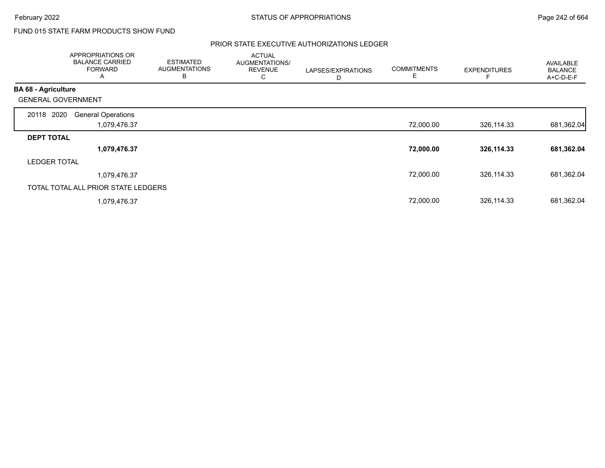# FUND 015 STATE FARM PRODUCTS SHOW FUND

## PRIOR STATE EXECUTIVE AUTHORIZATIONS LEDGER

|                            | APPROPRIATIONS OR<br><b>BALANCE CARRIED</b><br><b>FORWARD</b><br>A | <b>ESTIMATED</b><br><b>AUGMENTATIONS</b><br>B | <b>ACTUAL</b><br>AUGMENTATIONS/<br><b>REVENUE</b><br>С | LAPSES/EXPIRATIONS<br>D | <b>COMMITMENTS</b><br>E | <b>EXPENDITURES</b> | <b>AVAILABLE</b><br><b>BALANCE</b><br>A+C-D-E-F |
|----------------------------|--------------------------------------------------------------------|-----------------------------------------------|--------------------------------------------------------|-------------------------|-------------------------|---------------------|-------------------------------------------------|
| <b>BA 68 - Agriculture</b> |                                                                    |                                               |                                                        |                         |                         |                     |                                                 |
| <b>GENERAL GOVERNMENT</b>  |                                                                    |                                               |                                                        |                         |                         |                     |                                                 |
| 20118 2020                 | <b>General Operations</b>                                          |                                               |                                                        |                         |                         |                     |                                                 |
|                            | 1,079,476.37                                                       |                                               |                                                        |                         | 72,000.00               | 326,114.33          | 681,362.04                                      |
| <b>DEPT TOTAL</b>          |                                                                    |                                               |                                                        |                         |                         |                     |                                                 |
|                            | 1,079,476.37                                                       |                                               |                                                        |                         | 72,000.00               | 326,114.33          | 681,362.04                                      |
| <b>LEDGER TOTAL</b>        |                                                                    |                                               |                                                        |                         |                         |                     |                                                 |
|                            | 1,079,476.37                                                       |                                               |                                                        |                         | 72,000.00               | 326,114.33          | 681,362.04                                      |
|                            | TOTAL TOTAL ALL PRIOR STATE LEDGERS                                |                                               |                                                        |                         |                         |                     |                                                 |
|                            | 1,079,476.37                                                       |                                               |                                                        |                         | 72,000.00               | 326,114.33          | 681,362.04                                      |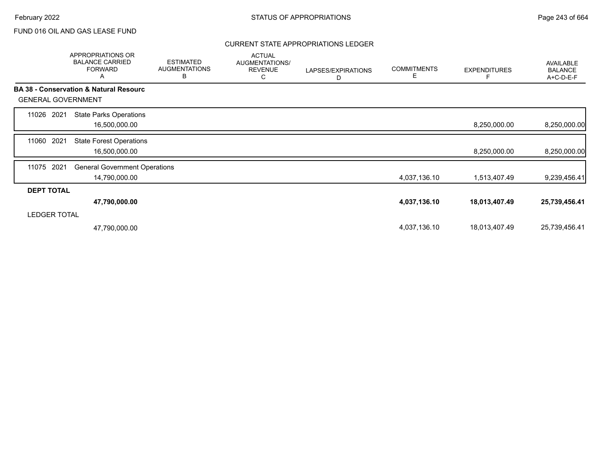## CURRENT STATE APPROPRIATIONS LEDGER

|                           | <b>APPROPRIATIONS OR</b><br><b>BALANCE CARRIED</b><br><b>FORWARD</b><br>A | <b>ESTIMATED</b><br><b>AUGMENTATIONS</b><br>B | <b>ACTUAL</b><br>AUGMENTATIONS/<br><b>REVENUE</b><br>С | LAPSES/EXPIRATIONS<br>D | <b>COMMITMENTS</b><br>E | <b>EXPENDITURES</b> | AVAILABLE<br><b>BALANCE</b><br>A+C-D-E-F |
|---------------------------|---------------------------------------------------------------------------|-----------------------------------------------|--------------------------------------------------------|-------------------------|-------------------------|---------------------|------------------------------------------|
|                           | <b>BA 38 - Conservation &amp; Natural Resourc</b>                         |                                               |                                                        |                         |                         |                     |                                          |
| <b>GENERAL GOVERNMENT</b> |                                                                           |                                               |                                                        |                         |                         |                     |                                          |
| 2021<br>11026             | <b>State Parks Operations</b>                                             |                                               |                                                        |                         |                         |                     |                                          |
|                           | 16,500,000.00                                                             |                                               |                                                        |                         |                         | 8,250,000.00        | 8,250,000.00                             |
| 2021<br>11060             | <b>State Forest Operations</b>                                            |                                               |                                                        |                         |                         |                     |                                          |
|                           | 16,500,000.00                                                             |                                               |                                                        |                         |                         | 8,250,000.00        | 8,250,000.00                             |
| 2021<br>11075             | <b>General Government Operations</b>                                      |                                               |                                                        |                         |                         |                     |                                          |
|                           | 14,790,000.00                                                             |                                               |                                                        |                         | 4,037,136.10            | 1,513,407.49        | 9,239,456.41                             |
| <b>DEPT TOTAL</b>         |                                                                           |                                               |                                                        |                         |                         |                     |                                          |
|                           | 47,790,000.00                                                             |                                               |                                                        |                         | 4,037,136.10            | 18,013,407.49       | 25,739,456.41                            |
| <b>LEDGER TOTAL</b>       |                                                                           |                                               |                                                        |                         |                         |                     |                                          |
|                           | 47,790,000.00                                                             |                                               |                                                        |                         | 4,037,136.10            | 18,013,407.49       | 25,739,456.41                            |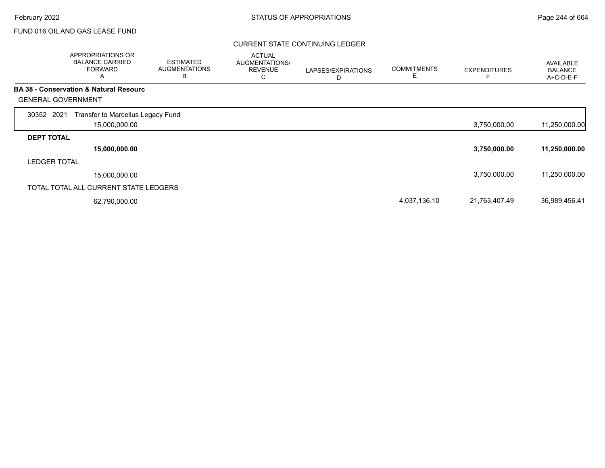## CURRENT STATE CONTINUING LEDGER

|                           | APPROPRIATIONS OR<br><b>BALANCE CARRIED</b><br><b>FORWARD</b><br>A | <b>ESTIMATED</b><br><b>AUGMENTATIONS</b><br>B | <b>ACTUAL</b><br>AUGMENTATIONS/<br><b>REVENUE</b><br>С | LAPSES/EXPIRATIONS<br>D | <b>COMMITMENTS</b><br>Е | <b>EXPENDITURES</b> | AVAILABLE<br><b>BALANCE</b><br>A+C-D-E-F |
|---------------------------|--------------------------------------------------------------------|-----------------------------------------------|--------------------------------------------------------|-------------------------|-------------------------|---------------------|------------------------------------------|
|                           | <b>BA 38 - Conservation &amp; Natural Resourc</b>                  |                                               |                                                        |                         |                         |                     |                                          |
| <b>GENERAL GOVERNMENT</b> |                                                                    |                                               |                                                        |                         |                         |                     |                                          |
| 30352 2021                | Transfer to Marcellus Legacy Fund<br>15,000,000.00                 |                                               |                                                        |                         |                         | 3,750,000.00        | 11,250,000.00                            |
| <b>DEPT TOTAL</b>         |                                                                    |                                               |                                                        |                         |                         |                     |                                          |
|                           | 15,000,000.00                                                      |                                               |                                                        |                         |                         | 3,750,000.00        | 11,250,000.00                            |
| <b>LEDGER TOTAL</b>       |                                                                    |                                               |                                                        |                         |                         |                     |                                          |
|                           | 15,000,000.00                                                      |                                               |                                                        |                         |                         | 3,750,000.00        | 11,250,000.00                            |
|                           | TOTAL TOTAL ALL CURRENT STATE LEDGERS                              |                                               |                                                        |                         |                         |                     |                                          |
|                           | 62,790,000.00                                                      |                                               |                                                        |                         | 4,037,136.10            | 21,763,407.49       | 36,989,456.41                            |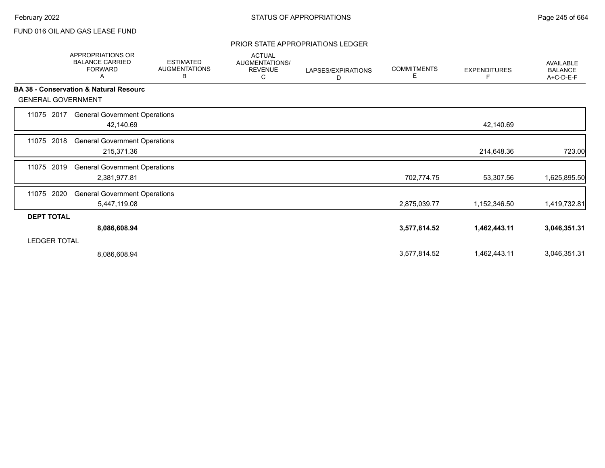### PRIOR STATE APPROPRIATIONS LEDGER

|                           | <b>APPROPRIATIONS OR</b><br><b>BALANCE CARRIED</b><br><b>FORWARD</b><br>Α | <b>ESTIMATED</b><br><b>AUGMENTATIONS</b><br>В | <b>ACTUAL</b><br>AUGMENTATIONS/<br><b>REVENUE</b><br>С | LAPSES/EXPIRATIONS<br>D | <b>COMMITMENTS</b><br>Е | <b>EXPENDITURES</b> | <b>AVAILABLE</b><br><b>BALANCE</b><br>A+C-D-E-F |
|---------------------------|---------------------------------------------------------------------------|-----------------------------------------------|--------------------------------------------------------|-------------------------|-------------------------|---------------------|-------------------------------------------------|
|                           | <b>BA 38 - Conservation &amp; Natural Resourc</b>                         |                                               |                                                        |                         |                         |                     |                                                 |
| <b>GENERAL GOVERNMENT</b> |                                                                           |                                               |                                                        |                         |                         |                     |                                                 |
| 2017<br>11075             | <b>General Government Operations</b>                                      |                                               |                                                        |                         |                         |                     |                                                 |
|                           | 42,140.69                                                                 |                                               |                                                        |                         |                         | 42,140.69           |                                                 |
| 2018<br>11075             | <b>General Government Operations</b>                                      |                                               |                                                        |                         |                         |                     |                                                 |
|                           | 215,371.36                                                                |                                               |                                                        |                         |                         | 214,648.36          | 723.00                                          |
| 2019<br>11075             | <b>General Government Operations</b>                                      |                                               |                                                        |                         |                         |                     |                                                 |
|                           | 2,381,977.81                                                              |                                               |                                                        |                         | 702,774.75              | 53,307.56           | 1,625,895.50                                    |
| 2020<br>11075             | <b>General Government Operations</b>                                      |                                               |                                                        |                         |                         |                     |                                                 |
|                           | 5,447,119.08                                                              |                                               |                                                        |                         | 2,875,039.77            | 1,152,346.50        | 1,419,732.81                                    |
| <b>DEPT TOTAL</b>         |                                                                           |                                               |                                                        |                         |                         |                     |                                                 |
|                           | 8,086,608.94                                                              |                                               |                                                        |                         | 3,577,814.52            | 1,462,443.11        | 3,046,351.31                                    |
| <b>LEDGER TOTAL</b>       |                                                                           |                                               |                                                        |                         |                         |                     |                                                 |
|                           | 8,086,608.94                                                              |                                               |                                                        |                         | 3,577,814.52            | 1,462,443.11        | 3,046,351.31                                    |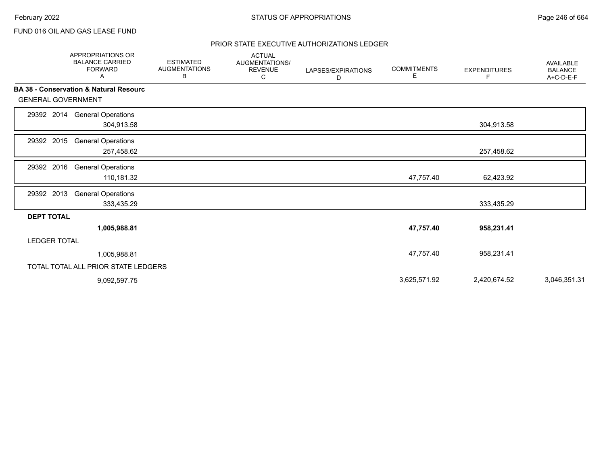## PRIOR STATE EXECUTIVE AUTHORIZATIONS LEDGER

|                           | <b>APPROPRIATIONS OR</b><br><b>BALANCE CARRIED</b><br><b>FORWARD</b><br>Α | <b>ESTIMATED</b><br><b>AUGMENTATIONS</b><br>в | <b>ACTUAL</b><br><b>AUGMENTATIONS/</b><br><b>REVENUE</b><br>С | LAPSES/EXPIRATIONS<br>D | <b>COMMITMENTS</b><br>E. | <b>EXPENDITURES</b><br>F | <b>AVAILABLE</b><br><b>BALANCE</b><br>A+C-D-E-F |
|---------------------------|---------------------------------------------------------------------------|-----------------------------------------------|---------------------------------------------------------------|-------------------------|--------------------------|--------------------------|-------------------------------------------------|
|                           | <b>BA 38 - Conservation &amp; Natural Resourc</b>                         |                                               |                                                               |                         |                          |                          |                                                 |
| <b>GENERAL GOVERNMENT</b> |                                                                           |                                               |                                                               |                         |                          |                          |                                                 |
| 29392 2014                | <b>General Operations</b><br>304,913.58                                   |                                               |                                                               |                         |                          | 304,913.58               |                                                 |
| 29392 2015                | <b>General Operations</b><br>257,458.62                                   |                                               |                                                               |                         |                          | 257,458.62               |                                                 |
| 29392 2016                | <b>General Operations</b><br>110,181.32                                   |                                               |                                                               |                         | 47,757.40                | 62,423.92                |                                                 |
| 29392 2013                | <b>General Operations</b><br>333,435.29                                   |                                               |                                                               |                         |                          | 333,435.29               |                                                 |
| <b>DEPT TOTAL</b>         |                                                                           |                                               |                                                               |                         |                          |                          |                                                 |
|                           | 1,005,988.81                                                              |                                               |                                                               |                         | 47,757.40                | 958,231.41               |                                                 |
| <b>LEDGER TOTAL</b>       |                                                                           |                                               |                                                               |                         |                          |                          |                                                 |
|                           | 1,005,988.81                                                              |                                               |                                                               |                         | 47,757.40                | 958,231.41               |                                                 |
|                           | TOTAL TOTAL ALL PRIOR STATE LEDGERS                                       |                                               |                                                               |                         |                          |                          |                                                 |
|                           | 9,092,597.75                                                              |                                               |                                                               |                         | 3,625,571.92             | 2,420,674.52             | 3,046,351.31                                    |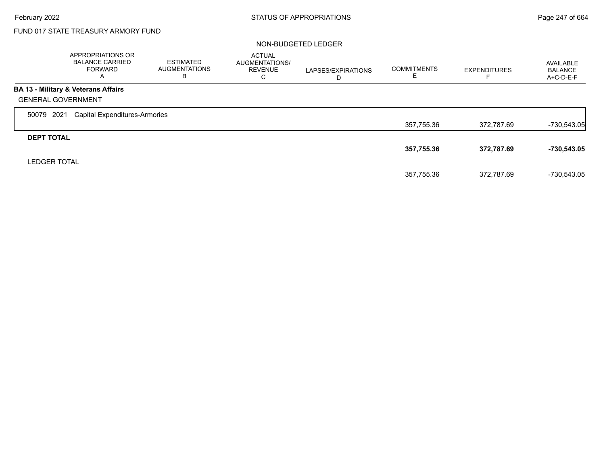$\Gamma$ 

# FUND 017 STATE TREASURY ARMORY FUND

#### NON-BUDGETED LEDGER

|                           | <b>APPROPRIATIONS OR</b><br><b>BALANCE CARRIED</b><br><b>FORWARD</b><br>$\overline{A}$ | <b>ESTIMATED</b><br><b>AUGMENTATIONS</b><br>в | <b>ACTUAL</b><br><b>AUGMENTATIONS/</b><br><b>REVENUE</b><br>С | LAPSES/EXPIRATIONS<br>D | <b>COMMITMENTS</b><br>E | <b>EXPENDITURES</b> | AVAILABLE<br><b>BALANCE</b><br>A+C-D-E-F |
|---------------------------|----------------------------------------------------------------------------------------|-----------------------------------------------|---------------------------------------------------------------|-------------------------|-------------------------|---------------------|------------------------------------------|
|                           | BA 13 - Military & Veterans Affairs                                                    |                                               |                                                               |                         |                         |                     |                                          |
| <b>GENERAL GOVERNMENT</b> |                                                                                        |                                               |                                                               |                         |                         |                     |                                          |
| 2021<br>50079             | <b>Capital Expenditures-Armories</b>                                                   |                                               |                                                               |                         |                         |                     |                                          |
|                           |                                                                                        |                                               |                                                               |                         | 357,755.36              | 372,787.69          | $-730,543.05$                            |
| <b>DEPT TOTAL</b>         |                                                                                        |                                               |                                                               |                         |                         |                     |                                          |
|                           |                                                                                        |                                               |                                                               |                         | 357,755.36              | 372,787.69          | -730,543.05                              |
| <b>LEDGER TOTAL</b>       |                                                                                        |                                               |                                                               |                         |                         |                     |                                          |
|                           |                                                                                        |                                               |                                                               |                         | 357.755.36              | 372.787.69          | -730,543.05                              |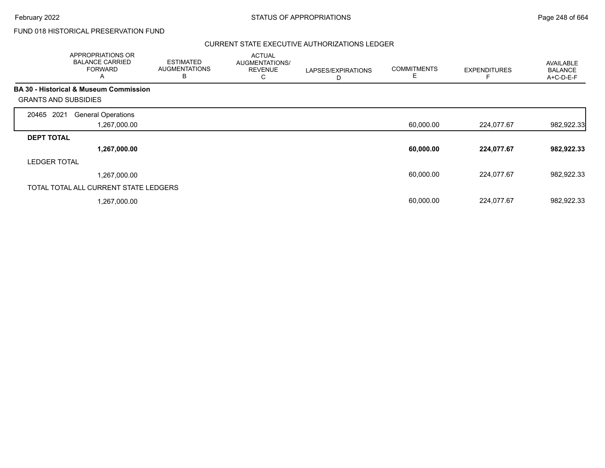# FUND 018 HISTORICAL PRESERVATION FUND

## CURRENT STATE EXECUTIVE AUTHORIZATIONS LEDGER

|                             | <b>APPROPRIATIONS OR</b><br><b>BALANCE CARRIED</b><br><b>FORWARD</b><br>A | <b>ESTIMATED</b><br><b>AUGMENTATIONS</b><br>B | <b>ACTUAL</b><br>AUGMENTATIONS/<br><b>REVENUE</b><br>С | LAPSES/EXPIRATIONS<br>D | <b>COMMITMENTS</b><br>Ε | <b>EXPENDITURES</b> | <b>AVAILABLE</b><br><b>BALANCE</b><br>A+C-D-E-F |
|-----------------------------|---------------------------------------------------------------------------|-----------------------------------------------|--------------------------------------------------------|-------------------------|-------------------------|---------------------|-------------------------------------------------|
|                             | <b>BA 30 - Historical &amp; Museum Commission</b>                         |                                               |                                                        |                         |                         |                     |                                                 |
| <b>GRANTS AND SUBSIDIES</b> |                                                                           |                                               |                                                        |                         |                         |                     |                                                 |
| 2021<br>20465               | <b>General Operations</b>                                                 |                                               |                                                        |                         |                         |                     |                                                 |
|                             | 1,267,000.00                                                              |                                               |                                                        |                         | 60,000.00               | 224,077.67          | 982,922.33                                      |
| <b>DEPT TOTAL</b>           |                                                                           |                                               |                                                        |                         |                         |                     |                                                 |
|                             | 1,267,000.00                                                              |                                               |                                                        |                         | 60,000.00               | 224,077.67          | 982,922.33                                      |
| <b>LEDGER TOTAL</b>         |                                                                           |                                               |                                                        |                         |                         |                     |                                                 |
|                             | 1,267,000.00                                                              |                                               |                                                        |                         | 60,000.00               | 224,077.67          | 982,922.33                                      |
|                             | TOTAL TOTAL ALL CURRENT STATE LEDGERS                                     |                                               |                                                        |                         |                         |                     |                                                 |
|                             | 1,267,000.00                                                              |                                               |                                                        |                         | 60,000.00               | 224,077.67          | 982,922.33                                      |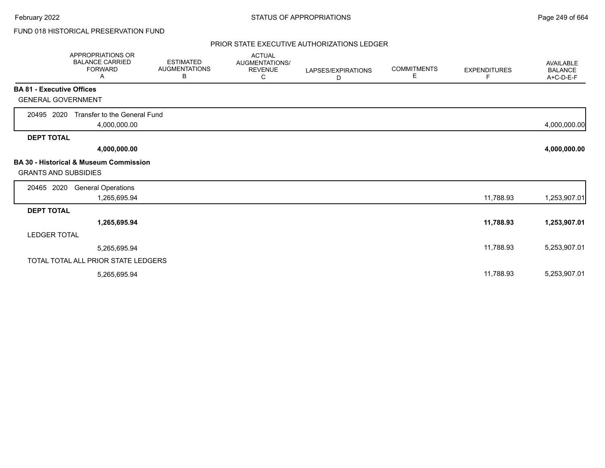# FUND 018 HISTORICAL PRESERVATION FUND

### PRIOR STATE EXECUTIVE AUTHORIZATIONS LEDGER

|                                  | APPROPRIATIONS OR<br><b>BALANCE CARRIED</b><br><b>FORWARD</b><br>Α | <b>ESTIMATED</b><br><b>AUGMENTATIONS</b><br>В | <b>ACTUAL</b><br>AUGMENTATIONS/<br><b>REVENUE</b><br>C | LAPSES/EXPIRATIONS<br>D | <b>COMMITMENTS</b><br>E. | <b>EXPENDITURES</b><br>F | <b>AVAILABLE</b><br><b>BALANCE</b><br>A+C-D-E-F |
|----------------------------------|--------------------------------------------------------------------|-----------------------------------------------|--------------------------------------------------------|-------------------------|--------------------------|--------------------------|-------------------------------------------------|
| <b>BA 81 - Executive Offices</b> |                                                                    |                                               |                                                        |                         |                          |                          |                                                 |
| <b>GENERAL GOVERNMENT</b>        |                                                                    |                                               |                                                        |                         |                          |                          |                                                 |
| 20495 2020                       | Transfer to the General Fund<br>4,000,000.00                       |                                               |                                                        |                         |                          |                          | 4,000,000.00                                    |
| <b>DEPT TOTAL</b>                |                                                                    |                                               |                                                        |                         |                          |                          |                                                 |
|                                  | 4,000,000.00                                                       |                                               |                                                        |                         |                          |                          | 4,000,000.00                                    |
| <b>GRANTS AND SUBSIDIES</b>      | <b>BA 30 - Historical &amp; Museum Commission</b>                  |                                               |                                                        |                         |                          |                          |                                                 |
| 20465 2020                       | <b>General Operations</b><br>1,265,695.94                          |                                               |                                                        |                         |                          | 11,788.93                | 1,253,907.01                                    |
| <b>DEPT TOTAL</b>                |                                                                    |                                               |                                                        |                         |                          |                          |                                                 |
|                                  | 1,265,695.94                                                       |                                               |                                                        |                         |                          | 11,788.93                | 1,253,907.01                                    |
| <b>LEDGER TOTAL</b>              |                                                                    |                                               |                                                        |                         |                          |                          |                                                 |
|                                  | 5,265,695.94                                                       |                                               |                                                        |                         |                          | 11,788.93                | 5,253,907.01                                    |
|                                  | TOTAL TOTAL ALL PRIOR STATE LEDGERS                                |                                               |                                                        |                         |                          |                          |                                                 |
|                                  | 5,265,695.94                                                       |                                               |                                                        |                         |                          | 11,788.93                | 5,253,907.01                                    |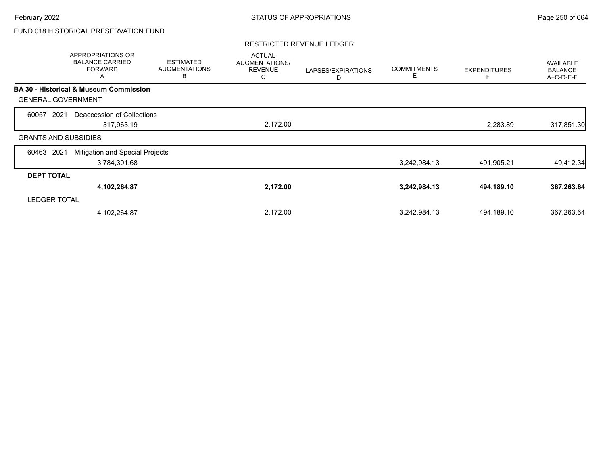# FUND 018 HISTORICAL PRESERVATION FUND

### RESTRICTED REVENUE LEDGER

|                             | APPROPRIATIONS OR<br><b>BALANCE CARRIED</b><br><b>FORWARD</b><br>A | <b>ESTIMATED</b><br><b>AUGMENTATIONS</b><br>В | <b>ACTUAL</b><br>AUGMENTATIONS/<br><b>REVENUE</b><br>С | LAPSES/EXPIRATIONS<br>D | <b>COMMITMENTS</b><br>E | <b>EXPENDITURES</b> | AVAILABLE<br><b>BALANCE</b><br>A+C-D-E-F |
|-----------------------------|--------------------------------------------------------------------|-----------------------------------------------|--------------------------------------------------------|-------------------------|-------------------------|---------------------|------------------------------------------|
|                             | <b>BA 30 - Historical &amp; Museum Commission</b>                  |                                               |                                                        |                         |                         |                     |                                          |
| <b>GENERAL GOVERNMENT</b>   |                                                                    |                                               |                                                        |                         |                         |                     |                                          |
| 2021<br>60057               | Deaccession of Collections                                         |                                               |                                                        |                         |                         |                     |                                          |
|                             | 317,963.19                                                         |                                               | 2,172.00                                               |                         |                         | 2,283.89            | 317,851.30                               |
| <b>GRANTS AND SUBSIDIES</b> |                                                                    |                                               |                                                        |                         |                         |                     |                                          |
| 2021<br>60463               | Mitigation and Special Projects                                    |                                               |                                                        |                         |                         |                     |                                          |
|                             | 3,784,301.68                                                       |                                               |                                                        |                         | 3,242,984.13            | 491,905.21          | 49,412.34                                |
| <b>DEPT TOTAL</b>           |                                                                    |                                               |                                                        |                         |                         |                     |                                          |
|                             | 4,102,264.87                                                       |                                               | 2,172.00                                               |                         | 3,242,984.13            | 494,189.10          | 367,263.64                               |
| <b>LEDGER TOTAL</b>         |                                                                    |                                               |                                                        |                         |                         |                     |                                          |
|                             | 4,102,264.87                                                       |                                               | 2,172.00                                               |                         | 3,242,984.13            | 494,189.10          | 367,263.64                               |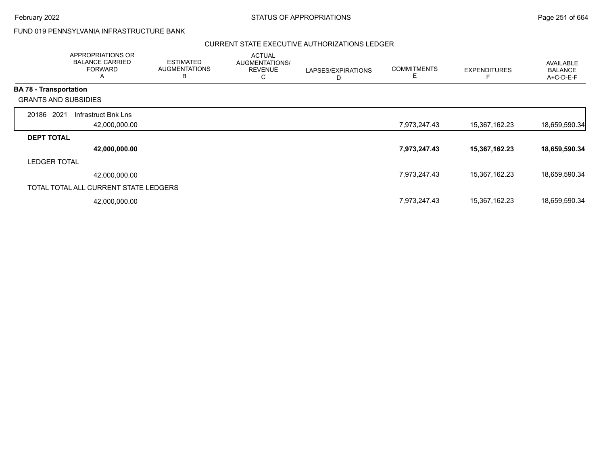# FUND 019 PENNSYLVANIA INFRASTRUCTURE BANK

#### CURRENT STATE EXECUTIVE AUTHORIZATIONS LEDGER

|                               | APPROPRIATIONS OR<br><b>BALANCE CARRIED</b><br><b>FORWARD</b><br>A | <b>ESTIMATED</b><br><b>AUGMENTATIONS</b><br>B | <b>ACTUAL</b><br>AUGMENTATIONS/<br><b>REVENUE</b><br>С | LAPSES/EXPIRATIONS<br>D | <b>COMMITMENTS</b><br>Е | <b>EXPENDITURES</b> | AVAILABLE<br><b>BALANCE</b><br>A+C-D-E-F |
|-------------------------------|--------------------------------------------------------------------|-----------------------------------------------|--------------------------------------------------------|-------------------------|-------------------------|---------------------|------------------------------------------|
| <b>BA 78 - Transportation</b> |                                                                    |                                               |                                                        |                         |                         |                     |                                          |
| <b>GRANTS AND SUBSIDIES</b>   |                                                                    |                                               |                                                        |                         |                         |                     |                                          |
| 20186 2021                    | Infrastruct Bnk Lns                                                |                                               |                                                        |                         |                         |                     |                                          |
|                               | 42,000,000.00                                                      |                                               |                                                        |                         | 7,973,247.43            | 15,367,162.23       | 18,659,590.34                            |
| <b>DEPT TOTAL</b>             |                                                                    |                                               |                                                        |                         |                         |                     |                                          |
|                               | 42,000,000.00                                                      |                                               |                                                        |                         | 7,973,247.43            | 15,367,162.23       | 18,659,590.34                            |
| <b>LEDGER TOTAL</b>           |                                                                    |                                               |                                                        |                         |                         |                     |                                          |
|                               | 42,000,000.00                                                      |                                               |                                                        |                         | 7,973,247.43            | 15,367,162.23       | 18,659,590.34                            |
|                               | TOTAL TOTAL ALL CURRENT STATE LEDGERS                              |                                               |                                                        |                         |                         |                     |                                          |
|                               | 42,000,000.00                                                      |                                               |                                                        |                         | 7,973,247.43            | 15,367,162.23       | 18,659,590.34                            |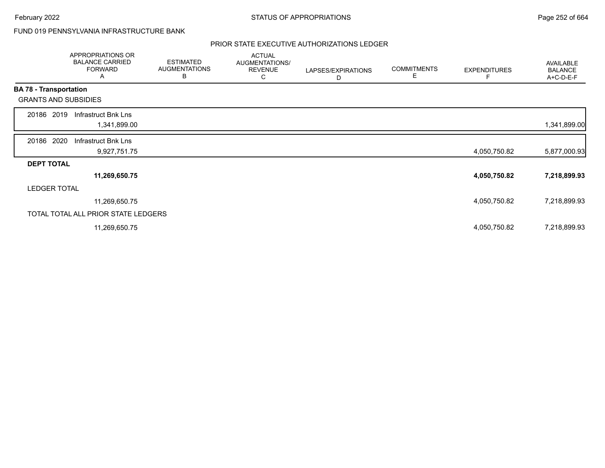# FUND 019 PENNSYLVANIA INFRASTRUCTURE BANK

## PRIOR STATE EXECUTIVE AUTHORIZATIONS LEDGER

|                               | APPROPRIATIONS OR<br><b>BALANCE CARRIED</b><br><b>FORWARD</b><br>A | <b>ESTIMATED</b><br><b>AUGMENTATIONS</b><br>В | <b>ACTUAL</b><br>AUGMENTATIONS/<br><b>REVENUE</b><br>С | LAPSES/EXPIRATIONS<br>D | <b>COMMITMENTS</b><br>Е | <b>EXPENDITURES</b> | AVAILABLE<br><b>BALANCE</b><br>A+C-D-E-F |
|-------------------------------|--------------------------------------------------------------------|-----------------------------------------------|--------------------------------------------------------|-------------------------|-------------------------|---------------------|------------------------------------------|
| <b>BA 78 - Transportation</b> |                                                                    |                                               |                                                        |                         |                         |                     |                                          |
|                               | <b>GRANTS AND SUBSIDIES</b>                                        |                                               |                                                        |                         |                         |                     |                                          |
| 20186 2019                    | Infrastruct Bnk Lns                                                |                                               |                                                        |                         |                         |                     |                                          |
|                               | 1,341,899.00                                                       |                                               |                                                        |                         |                         |                     | 1,341,899.00                             |
| 20186 2020                    | Infrastruct Bnk Lns                                                |                                               |                                                        |                         |                         |                     |                                          |
|                               | 9,927,751.75                                                       |                                               |                                                        |                         |                         | 4,050,750.82        | 5,877,000.93                             |
| <b>DEPT TOTAL</b>             |                                                                    |                                               |                                                        |                         |                         |                     |                                          |
|                               | 11,269,650.75                                                      |                                               |                                                        |                         |                         | 4,050,750.82        | 7,218,899.93                             |
|                               | <b>LEDGER TOTAL</b>                                                |                                               |                                                        |                         |                         |                     |                                          |
|                               | 11,269,650.75                                                      |                                               |                                                        |                         |                         | 4,050,750.82        | 7,218,899.93                             |
|                               | TOTAL TOTAL ALL PRIOR STATE LEDGERS                                |                                               |                                                        |                         |                         |                     |                                          |
|                               | 11,269,650.75                                                      |                                               |                                                        |                         |                         | 4,050,750.82        | 7,218,899.93                             |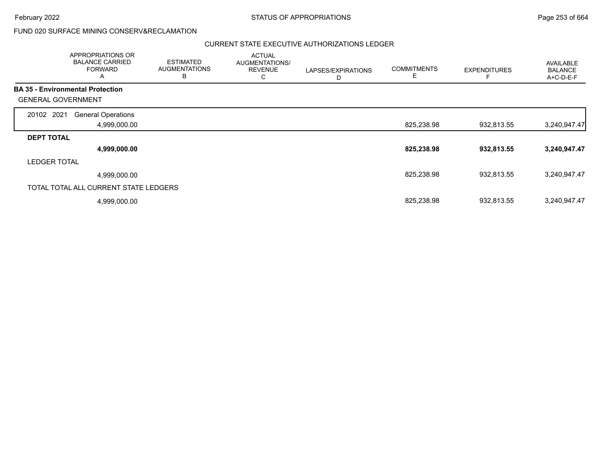February 2022 **Example 253 of 664** STATUS OF APPROPRIATIONS **Page 253 of 664** 

### FUND 020 SURFACE MINING CONSERV&RECLAMATION

|                                         | <b>APPROPRIATIONS OR</b><br><b>BALANCE CARRIED</b><br><b>FORWARD</b><br>$\overline{A}$ | <b>ESTIMATED</b><br><b>AUGMENTATIONS</b><br>B | <b>ACTUAL</b><br>AUGMENTATIONS/<br><b>REVENUE</b><br>С | LAPSES/EXPIRATIONS<br>D | <b>COMMITMENTS</b><br>Е | <b>EXPENDITURES</b> | AVAILABLE<br><b>BALANCE</b><br>A+C-D-E-F |
|-----------------------------------------|----------------------------------------------------------------------------------------|-----------------------------------------------|--------------------------------------------------------|-------------------------|-------------------------|---------------------|------------------------------------------|
| <b>BA 35 - Environmental Protection</b> |                                                                                        |                                               |                                                        |                         |                         |                     |                                          |
| <b>GENERAL GOVERNMENT</b>               |                                                                                        |                                               |                                                        |                         |                         |                     |                                          |
| 20102 2021                              | <b>General Operations</b>                                                              |                                               |                                                        |                         |                         |                     |                                          |
|                                         | 4,999,000.00                                                                           |                                               |                                                        |                         | 825,238.98              | 932,813.55          | 3,240,947.47                             |
| <b>DEPT TOTAL</b>                       |                                                                                        |                                               |                                                        |                         |                         |                     |                                          |
|                                         | 4,999,000.00                                                                           |                                               |                                                        |                         | 825,238.98              | 932,813.55          | 3,240,947.47                             |
| <b>LEDGER TOTAL</b>                     |                                                                                        |                                               |                                                        |                         |                         |                     |                                          |
|                                         | 4,999,000.00                                                                           |                                               |                                                        |                         | 825,238.98              | 932.813.55          | 3,240,947.47                             |
|                                         | TOTAL TOTAL ALL CURRENT STATE LEDGERS                                                  |                                               |                                                        |                         |                         |                     |                                          |
|                                         | 4,999,000.00                                                                           |                                               |                                                        |                         | 825,238.98              | 932,813.55          | 3,240,947.47                             |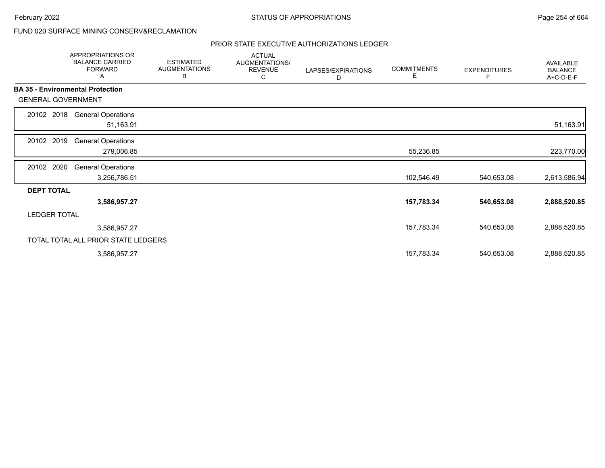### FUND 020 SURFACE MINING CONSERV&RECLAMATION

|                           | APPROPRIATIONS OR<br><b>BALANCE CARRIED</b><br><b>FORWARD</b><br>Α | <b>ESTIMATED</b><br><b>AUGMENTATIONS</b><br>В | <b>ACTUAL</b><br>AUGMENTATIONS/<br><b>REVENUE</b><br>С | LAPSES/EXPIRATIONS<br>D | <b>COMMITMENTS</b><br>Е | <b>EXPENDITURES</b><br>F | AVAILABLE<br><b>BALANCE</b><br>A+C-D-E-F |
|---------------------------|--------------------------------------------------------------------|-----------------------------------------------|--------------------------------------------------------|-------------------------|-------------------------|--------------------------|------------------------------------------|
|                           | <b>BA 35 - Environmental Protection</b>                            |                                               |                                                        |                         |                         |                          |                                          |
| <b>GENERAL GOVERNMENT</b> |                                                                    |                                               |                                                        |                         |                         |                          |                                          |
| 20102 2018                | <b>General Operations</b><br>51,163.91                             |                                               |                                                        |                         |                         |                          | 51,163.91                                |
| 2019<br>20102             | <b>General Operations</b><br>279,006.85                            |                                               |                                                        |                         | 55,236.85               |                          | 223,770.00                               |
| 20102 2020                | <b>General Operations</b><br>3,256,786.51                          |                                               |                                                        |                         | 102,546.49              | 540,653.08               | 2,613,586.94                             |
| <b>DEPT TOTAL</b>         |                                                                    |                                               |                                                        |                         |                         |                          |                                          |
|                           | 3,586,957.27                                                       |                                               |                                                        |                         | 157,783.34              | 540,653.08               | 2,888,520.85                             |
| <b>LEDGER TOTAL</b>       |                                                                    |                                               |                                                        |                         |                         |                          |                                          |
|                           | 3,586,957.27                                                       |                                               |                                                        |                         | 157,783.34              | 540,653.08               | 2,888,520.85                             |
|                           | TOTAL TOTAL ALL PRIOR STATE LEDGERS                                |                                               |                                                        |                         |                         |                          |                                          |
|                           | 3,586,957.27                                                       |                                               |                                                        |                         | 157,783.34              | 540,653.08               | 2,888,520.85                             |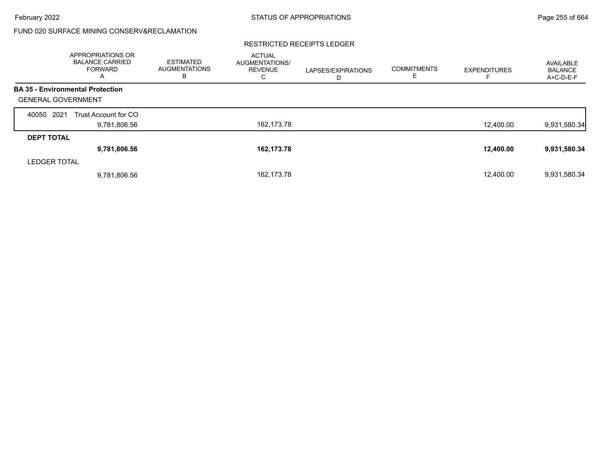## FUND 020 SURFACE MINING CONSERV&RECLAMATION

#### RESTRICTED RECEIPTS LEDGER

|                           | <b>APPROPRIATIONS OR</b><br><b>BALANCE CARRIED</b><br><b>FORWARD</b><br>A | <b>ESTIMATED</b><br><b>AUGMENTATIONS</b><br>в | <b>ACTUAL</b><br><b>AUGMENTATIONS/</b><br><b>REVENUE</b><br>С | LAPSES/EXPIRATIONS<br>D | <b>COMMITMENTS</b><br>ᄂ | <b>EXPENDITURES</b> | AVAILABLE<br><b>BALANCE</b><br>A+C-D-E-F |
|---------------------------|---------------------------------------------------------------------------|-----------------------------------------------|---------------------------------------------------------------|-------------------------|-------------------------|---------------------|------------------------------------------|
|                           | <b>BA 35 - Environmental Protection</b>                                   |                                               |                                                               |                         |                         |                     |                                          |
| <b>GENERAL GOVERNMENT</b> |                                                                           |                                               |                                                               |                         |                         |                     |                                          |
| 2021<br>40050             | Trust Account for CO                                                      |                                               |                                                               |                         |                         |                     |                                          |
|                           | 9,781,806.56                                                              |                                               | 162,173.78                                                    |                         |                         | 12,400.00           | 9,931,580.34                             |
| <b>DEPT TOTAL</b>         |                                                                           |                                               |                                                               |                         |                         |                     |                                          |
|                           | 9,781,806.56                                                              |                                               | 162,173.78                                                    |                         |                         | 12,400.00           | 9,931,580.34                             |
| <b>LEDGER TOTAL</b>       |                                                                           |                                               |                                                               |                         |                         |                     |                                          |
|                           | 9,781,806.56                                                              |                                               | 162,173.78                                                    |                         |                         | 12,400.00           | 9,931,580.34                             |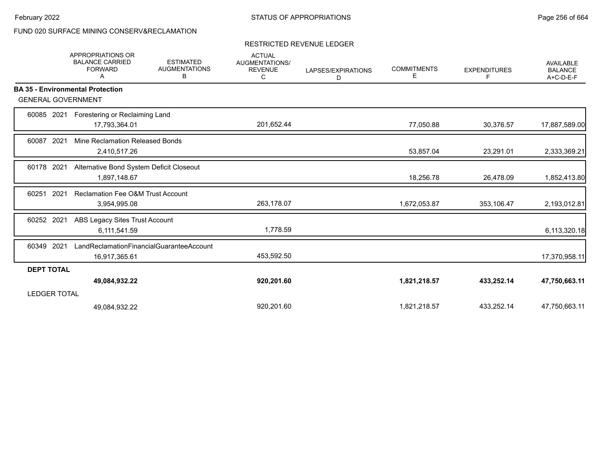## FUND 020 SURFACE MINING CONSERV&RECLAMATION

### RESTRICTED REVENUE LEDGER

|                           | <b>APPROPRIATIONS OR</b><br><b>BALANCE CARRIED</b><br><b>FORWARD</b><br>Α | <b>ESTIMATED</b><br><b>AUGMENTATIONS</b><br>В | <b>ACTUAL</b><br><b>AUGMENTATIONS/</b><br><b>REVENUE</b><br>С | LAPSES/EXPIRATIONS<br>D | <b>COMMITMENTS</b><br>Е | <b>EXPENDITURES</b><br>F. | <b>AVAILABLE</b><br><b>BALANCE</b><br>A+C-D-E-F |
|---------------------------|---------------------------------------------------------------------------|-----------------------------------------------|---------------------------------------------------------------|-------------------------|-------------------------|---------------------------|-------------------------------------------------|
|                           | <b>BA 35 - Environmental Protection</b>                                   |                                               |                                                               |                         |                         |                           |                                                 |
| <b>GENERAL GOVERNMENT</b> |                                                                           |                                               |                                                               |                         |                         |                           |                                                 |
| 60085 2021                | Forestering or Reclaiming Land                                            |                                               |                                                               |                         |                         |                           |                                                 |
|                           | 17,793,364.01                                                             |                                               | 201,652.44                                                    |                         | 77,050.88               | 30,376.57                 | 17,887,589.00                                   |
| 60087<br>2021             | Mine Reclamation Released Bonds                                           |                                               |                                                               |                         |                         |                           |                                                 |
|                           | 2,410,517.26                                                              |                                               |                                                               |                         | 53,857.04               | 23,291.01                 | 2,333,369.21                                    |
| 2021<br>60178             | Alternative Bond System Deficit Closeout                                  |                                               |                                                               |                         |                         |                           |                                                 |
|                           | 1,897,148.67                                                              |                                               |                                                               |                         | 18,256.78               | 26,478.09                 | 1,852,413.80                                    |
| 2021<br>60251             | <b>Reclamation Fee O&amp;M Trust Account</b>                              |                                               |                                                               |                         |                         |                           |                                                 |
|                           | 3,954,995.08                                                              |                                               | 263,178.07                                                    |                         | 1,672,053.87            | 353,106.47                | 2,193,012.81                                    |
| 60252 2021                | ABS Legacy Sites Trust Account                                            |                                               |                                                               |                         |                         |                           |                                                 |
|                           | 6,111,541.59                                                              |                                               | 1,778.59                                                      |                         |                         |                           | 6,113,320.18                                    |
| 60349 2021                | LandReclamationFinancialGuaranteeAccount                                  |                                               |                                                               |                         |                         |                           |                                                 |
|                           | 16,917,365.61                                                             |                                               | 453,592.50                                                    |                         |                         |                           | 17,370,958.11                                   |
| <b>DEPT TOTAL</b>         |                                                                           |                                               |                                                               |                         |                         |                           |                                                 |
|                           | 49,084,932.22                                                             |                                               | 920,201.60                                                    |                         | 1,821,218.57            | 433,252.14                | 47,750,663.11                                   |
| <b>LEDGER TOTAL</b>       |                                                                           |                                               |                                                               |                         |                         |                           |                                                 |
|                           | 49,084,932.22                                                             |                                               | 920,201.60                                                    |                         | 1,821,218.57            | 433,252.14                | 47,750,663.11                                   |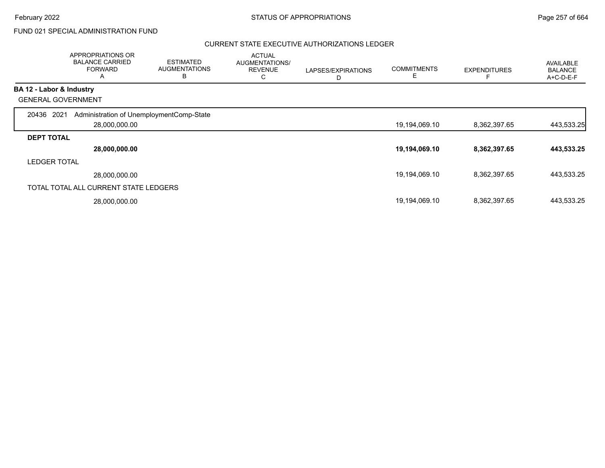## FUND 021 SPECIAL ADMINISTRATION FUND

|                          | APPROPRIATIONS OR<br><b>BALANCE CARRIED</b><br><b>FORWARD</b><br>A | <b>ESTIMATED</b><br><b>AUGMENTATIONS</b><br>B | <b>ACTUAL</b><br>AUGMENTATIONS/<br><b>REVENUE</b><br>С | LAPSES/EXPIRATIONS<br>D | <b>COMMITMENTS</b><br>E | <b>EXPENDITURES</b> | <b>AVAILABLE</b><br><b>BALANCE</b><br>A+C-D-E-F |
|--------------------------|--------------------------------------------------------------------|-----------------------------------------------|--------------------------------------------------------|-------------------------|-------------------------|---------------------|-------------------------------------------------|
| BA 12 - Labor & Industry |                                                                    |                                               |                                                        |                         |                         |                     |                                                 |
|                          | <b>GENERAL GOVERNMENT</b>                                          |                                               |                                                        |                         |                         |                     |                                                 |
| 20436 2021               | Administration of UnemploymentComp-State<br>28,000,000.00          |                                               |                                                        |                         | 19,194,069.10           | 8,362,397.65        | 443,533.25                                      |
| <b>DEPT TOTAL</b>        |                                                                    |                                               |                                                        |                         |                         |                     |                                                 |
|                          | 28,000,000.00                                                      |                                               |                                                        |                         | 19,194,069.10           | 8,362,397.65        | 443,533.25                                      |
| <b>LEDGER TOTAL</b>      |                                                                    |                                               |                                                        |                         |                         |                     |                                                 |
|                          | 28,000,000.00                                                      |                                               |                                                        |                         | 19,194,069.10           | 8,362,397.65        | 443,533.25                                      |
|                          | TOTAL TOTAL ALL CURRENT STATE LEDGERS                              |                                               |                                                        |                         |                         |                     |                                                 |
|                          | 28,000,000.00                                                      |                                               |                                                        |                         | 19,194,069.10           | 8,362,397.65        | 443,533.25                                      |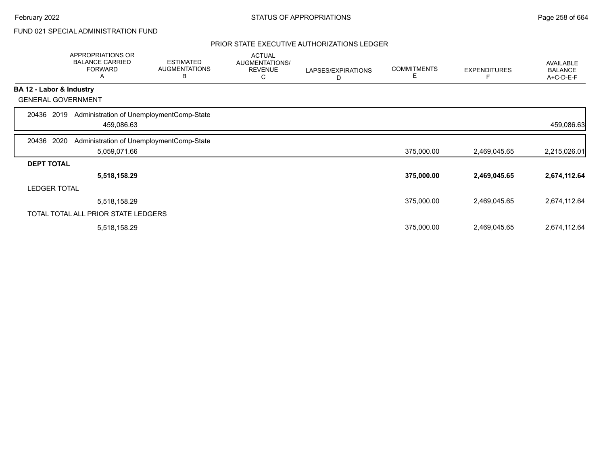## FUND 021 SPECIAL ADMINISTRATION FUND

|                          | APPROPRIATIONS OR<br><b>BALANCE CARRIED</b><br><b>FORWARD</b><br>Α | <b>ESTIMATED</b><br><b>AUGMENTATIONS</b><br>B | <b>ACTUAL</b><br>AUGMENTATIONS/<br><b>REVENUE</b><br>С | LAPSES/EXPIRATIONS<br>D | <b>COMMITMENTS</b><br>Е | <b>EXPENDITURES</b> | <b>AVAILABLE</b><br><b>BALANCE</b><br>A+C-D-E-F |
|--------------------------|--------------------------------------------------------------------|-----------------------------------------------|--------------------------------------------------------|-------------------------|-------------------------|---------------------|-------------------------------------------------|
| BA 12 - Labor & Industry |                                                                    |                                               |                                                        |                         |                         |                     |                                                 |
|                          | <b>GENERAL GOVERNMENT</b>                                          |                                               |                                                        |                         |                         |                     |                                                 |
| 2019<br>20436            | Administration of UnemploymentComp-State<br>459,086.63             |                                               |                                                        |                         |                         |                     | 459,086.63                                      |
| 20436 2020               | Administration of UnemploymentComp-State                           |                                               |                                                        |                         |                         |                     |                                                 |
|                          | 5,059,071.66                                                       |                                               |                                                        |                         | 375,000.00              | 2,469,045.65        | 2,215,026.01                                    |
| <b>DEPT TOTAL</b>        |                                                                    |                                               |                                                        |                         |                         |                     |                                                 |
|                          | 5,518,158.29                                                       |                                               |                                                        |                         | 375,000.00              | 2,469,045.65        | 2,674,112.64                                    |
| <b>LEDGER TOTAL</b>      |                                                                    |                                               |                                                        |                         |                         |                     |                                                 |
|                          | 5,518,158.29                                                       |                                               |                                                        |                         | 375,000.00              | 2,469,045.65        | 2,674,112.64                                    |
|                          | TOTAL TOTAL ALL PRIOR STATE LEDGERS                                |                                               |                                                        |                         |                         |                     |                                                 |
|                          | 5,518,158.29                                                       |                                               |                                                        |                         | 375,000.00              | 2,469,045.65        | 2,674,112.64                                    |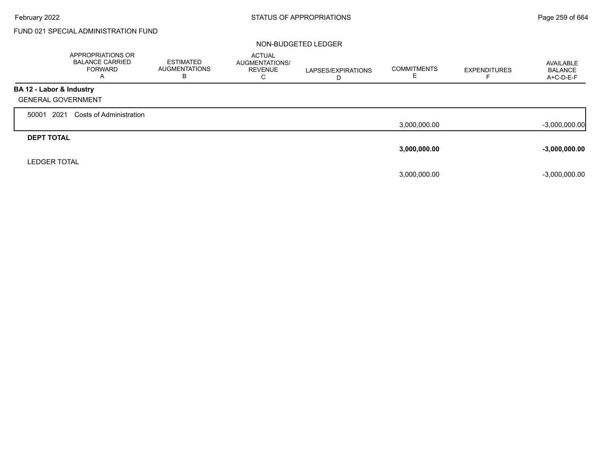Г

## FUND 021 SPECIAL ADMINISTRATION FUND

|                           | APPROPRIATIONS OR<br><b>BALANCE CARRIED</b><br><b>FORWARD</b><br>A | <b>ESTIMATED</b><br><b>AUGMENTATIONS</b><br>в | <b>ACTUAL</b><br><b>AUGMENTATIONS/</b><br><b>REVENUE</b><br>С | LAPSES/EXPIRATIONS<br>D | <b>COMMITMENTS</b> | <b>EXPENDITURES</b> | AVAILABLE<br><b>BALANCE</b><br>A+C-D-E-F |
|---------------------------|--------------------------------------------------------------------|-----------------------------------------------|---------------------------------------------------------------|-------------------------|--------------------|---------------------|------------------------------------------|
| BA 12 - Labor & Industry  |                                                                    |                                               |                                                               |                         |                    |                     |                                          |
| <b>GENERAL GOVERNMENT</b> |                                                                    |                                               |                                                               |                         |                    |                     |                                          |
| 2021<br>50001             | Costs of Administration                                            |                                               |                                                               |                         |                    |                     |                                          |
|                           |                                                                    |                                               |                                                               |                         | 3,000,000.00       |                     | $-3,000,000.00$                          |
| <b>DEPT TOTAL</b>         |                                                                    |                                               |                                                               |                         |                    |                     |                                          |
|                           |                                                                    |                                               |                                                               |                         | 3,000,000.00       |                     | $-3,000,000.00$                          |
| <b>LEDGER TOTAL</b>       |                                                                    |                                               |                                                               |                         |                    |                     |                                          |
|                           |                                                                    |                                               |                                                               |                         | 3,000,000.00       |                     | $-3,000,000.00$                          |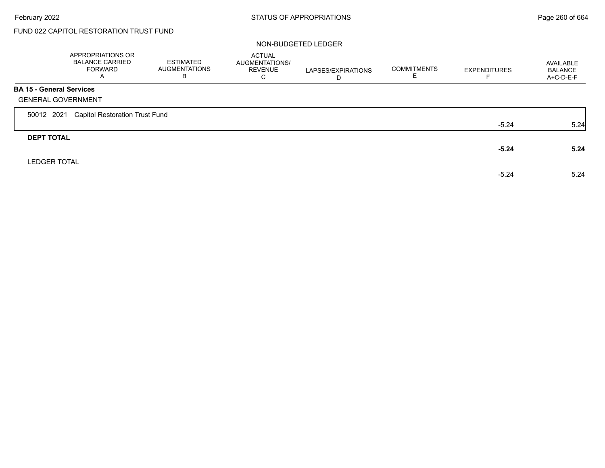Г

## FUND 022 CAPITOL RESTORATION TRUST FUND

|                                 | APPROPRIATIONS OR<br><b>BALANCE CARRIED</b><br><b>FORWARD</b><br>A | ESTIMATED<br><b>AUGMENTATIONS</b><br>В | <b>ACTUAL</b><br>AUGMENTATIONS/<br><b>REVENUE</b><br>C | LAPSES/EXPIRATIONS<br>D | <b>COMMITMENTS</b> | <b>EXPENDITURES</b> | AVAILABLE<br><b>BALANCE</b><br>$A+C-D-E-F$ |
|---------------------------------|--------------------------------------------------------------------|----------------------------------------|--------------------------------------------------------|-------------------------|--------------------|---------------------|--------------------------------------------|
| <b>BA 15 - General Services</b> |                                                                    |                                        |                                                        |                         |                    |                     |                                            |
|                                 | <b>GENERAL GOVERNMENT</b>                                          |                                        |                                                        |                         |                    |                     |                                            |
| 50012 2021                      | <b>Capitol Restoration Trust Fund</b>                              |                                        |                                                        |                         |                    |                     |                                            |
|                                 |                                                                    |                                        |                                                        |                         |                    | $-5.24$             | 5.24                                       |
| <b>DEPT TOTAL</b>               |                                                                    |                                        |                                                        |                         |                    |                     |                                            |
|                                 |                                                                    |                                        |                                                        |                         |                    | $-5.24$             | 5.24                                       |
| <b>LEDGER TOTAL</b>             |                                                                    |                                        |                                                        |                         |                    |                     |                                            |
|                                 |                                                                    |                                        |                                                        |                         |                    | $-5.24$             | 5.24                                       |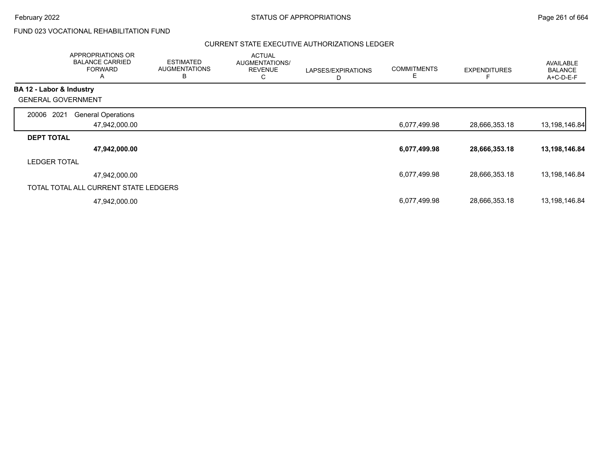## FUND 023 VOCATIONAL REHABILITATION FUND

|                           | APPROPRIATIONS OR<br><b>BALANCE CARRIED</b><br><b>FORWARD</b><br>A | <b>ESTIMATED</b><br><b>AUGMENTATIONS</b><br>B | <b>ACTUAL</b><br>AUGMENTATIONS/<br><b>REVENUE</b><br>С | LAPSES/EXPIRATIONS<br>D | <b>COMMITMENTS</b><br>E | <b>EXPENDITURES</b> | <b>AVAILABLE</b><br><b>BALANCE</b><br>A+C-D-E-F |
|---------------------------|--------------------------------------------------------------------|-----------------------------------------------|--------------------------------------------------------|-------------------------|-------------------------|---------------------|-------------------------------------------------|
| BA 12 - Labor & Industry  |                                                                    |                                               |                                                        |                         |                         |                     |                                                 |
| <b>GENERAL GOVERNMENT</b> |                                                                    |                                               |                                                        |                         |                         |                     |                                                 |
| 2021<br>20006             | <b>General Operations</b>                                          |                                               |                                                        |                         |                         |                     |                                                 |
|                           | 47,942,000.00                                                      |                                               |                                                        |                         | 6,077,499.98            | 28,666,353.18       | 13,198,146.84                                   |
| <b>DEPT TOTAL</b>         |                                                                    |                                               |                                                        |                         |                         |                     |                                                 |
|                           | 47,942,000.00                                                      |                                               |                                                        |                         | 6,077,499.98            | 28,666,353.18       | 13,198,146.84                                   |
| <b>LEDGER TOTAL</b>       |                                                                    |                                               |                                                        |                         |                         |                     |                                                 |
|                           | 47.942.000.00                                                      |                                               |                                                        |                         | 6,077,499.98            | 28,666,353.18       | 13,198,146.84                                   |
|                           | TOTAL TOTAL ALL CURRENT STATE LEDGERS                              |                                               |                                                        |                         |                         |                     |                                                 |
|                           | 47,942,000.00                                                      |                                               |                                                        |                         | 6,077,499.98            | 28,666,353.18       | 13,198,146.84                                   |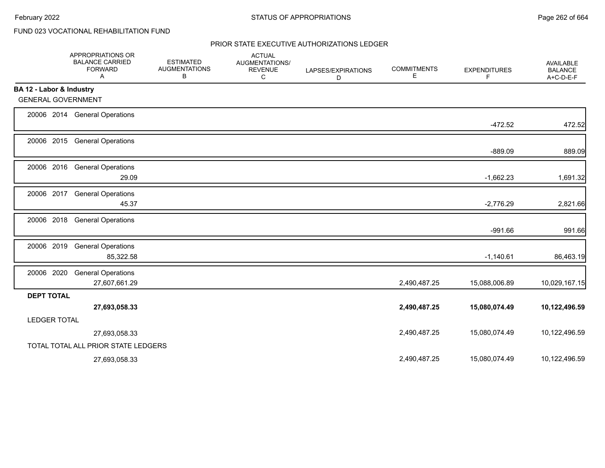## FUND 023 VOCATIONAL REHABILITATION FUND

|                           | APPROPRIATIONS OR<br><b>BALANCE CARRIED</b><br><b>FORWARD</b><br>Α | <b>ESTIMATED</b><br><b>AUGMENTATIONS</b><br>В | <b>ACTUAL</b><br>AUGMENTATIONS/<br><b>REVENUE</b><br>C | LAPSES/EXPIRATIONS<br>D | <b>COMMITMENTS</b><br>Ε | <b>EXPENDITURES</b><br>F. | AVAILABLE<br><b>BALANCE</b><br>$A+C-D-E-F$ |
|---------------------------|--------------------------------------------------------------------|-----------------------------------------------|--------------------------------------------------------|-------------------------|-------------------------|---------------------------|--------------------------------------------|
| BA 12 - Labor & Industry  |                                                                    |                                               |                                                        |                         |                         |                           |                                            |
| <b>GENERAL GOVERNMENT</b> |                                                                    |                                               |                                                        |                         |                         |                           |                                            |
|                           | 20006 2014 General Operations                                      |                                               |                                                        |                         |                         | $-472.52$                 | 472.52                                     |
|                           | 20006 2015 General Operations                                      |                                               |                                                        |                         |                         | $-889.09$                 | 889.09                                     |
| 20006 2016                | <b>General Operations</b><br>29.09                                 |                                               |                                                        |                         |                         | $-1,662.23$               | 1,691.32                                   |
| 20006 2017                | <b>General Operations</b><br>45.37                                 |                                               |                                                        |                         |                         | $-2,776.29$               | 2,821.66                                   |
| 20006 2018                | <b>General Operations</b>                                          |                                               |                                                        |                         |                         | $-991.66$                 | 991.66                                     |
| 20006 2019                | <b>General Operations</b><br>85,322.58                             |                                               |                                                        |                         |                         | $-1,140.61$               | 86,463.19                                  |
| 20006 2020                | <b>General Operations</b><br>27,607,661.29                         |                                               |                                                        |                         | 2,490,487.25            | 15,088,006.89             | 10,029,167.15                              |
| <b>DEPT TOTAL</b>         |                                                                    |                                               |                                                        |                         |                         |                           |                                            |
|                           | 27,693,058.33                                                      |                                               |                                                        |                         | 2,490,487.25            | 15,080,074.49             | 10,122,496.59                              |
| <b>LEDGER TOTAL</b>       |                                                                    |                                               |                                                        |                         |                         |                           |                                            |
|                           | 27,693,058.33                                                      |                                               |                                                        |                         | 2,490,487.25            | 15,080,074.49             | 10,122,496.59                              |
|                           | TOTAL TOTAL ALL PRIOR STATE LEDGERS                                |                                               |                                                        |                         |                         |                           |                                            |
|                           | 27,693,058.33                                                      |                                               |                                                        |                         | 2,490,487.25            | 15,080,074.49             | 10,122,496.59                              |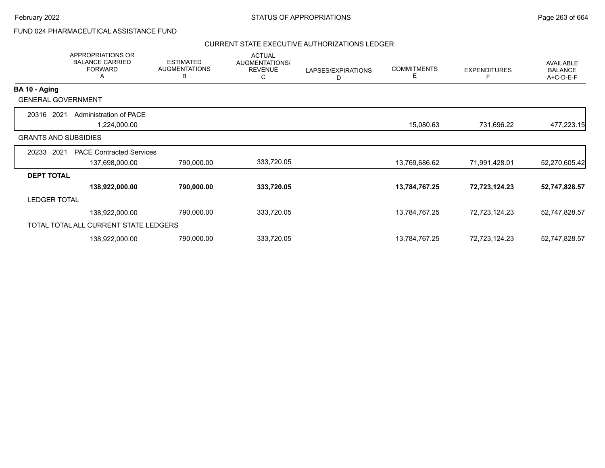## FUND 024 PHARMACEUTICAL ASSISTANCE FUND

|                     | APPROPRIATIONS OR<br><b>BALANCE CARRIED</b><br><b>FORWARD</b><br>A | <b>ESTIMATED</b><br><b>AUGMENTATIONS</b><br>В | <b>ACTUAL</b><br>AUGMENTATIONS/<br><b>REVENUE</b><br>С | LAPSES/EXPIRATIONS<br>D | <b>COMMITMENTS</b><br>Е | <b>EXPENDITURES</b> | AVAILABLE<br><b>BALANCE</b><br>A+C-D-E-F |
|---------------------|--------------------------------------------------------------------|-----------------------------------------------|--------------------------------------------------------|-------------------------|-------------------------|---------------------|------------------------------------------|
| BA 10 - Aging       |                                                                    |                                               |                                                        |                         |                         |                     |                                          |
|                     | <b>GENERAL GOVERNMENT</b>                                          |                                               |                                                        |                         |                         |                     |                                          |
| 2021<br>20316       | <b>Administration of PACE</b>                                      |                                               |                                                        |                         |                         |                     |                                          |
|                     | 1,224,000.00                                                       |                                               |                                                        |                         | 15,080.63               | 731,696.22          | 477,223.15                               |
|                     | <b>GRANTS AND SUBSIDIES</b>                                        |                                               |                                                        |                         |                         |                     |                                          |
| 2021<br>20233       | <b>PACE Contracted Services</b>                                    |                                               |                                                        |                         |                         |                     |                                          |
|                     | 137,698,000.00                                                     | 790,000.00                                    | 333,720.05                                             |                         | 13,769,686.62           | 71,991,428.01       | 52,270,605.42                            |
| <b>DEPT TOTAL</b>   |                                                                    |                                               |                                                        |                         |                         |                     |                                          |
|                     | 138,922,000.00                                                     | 790,000.00                                    | 333,720.05                                             |                         | 13,784,767.25           | 72,723,124.23       | 52,747,828.57                            |
| <b>LEDGER TOTAL</b> |                                                                    |                                               |                                                        |                         |                         |                     |                                          |
|                     | 138,922,000.00                                                     | 790,000.00                                    | 333,720.05                                             |                         | 13,784,767.25           | 72,723,124.23       | 52,747,828.57                            |
|                     | TOTAL TOTAL ALL CURRENT STATE LEDGERS                              |                                               |                                                        |                         |                         |                     |                                          |
|                     | 138,922,000.00                                                     | 790,000.00                                    | 333,720.05                                             |                         | 13,784,767.25           | 72,723,124.23       | 52,747,828.57                            |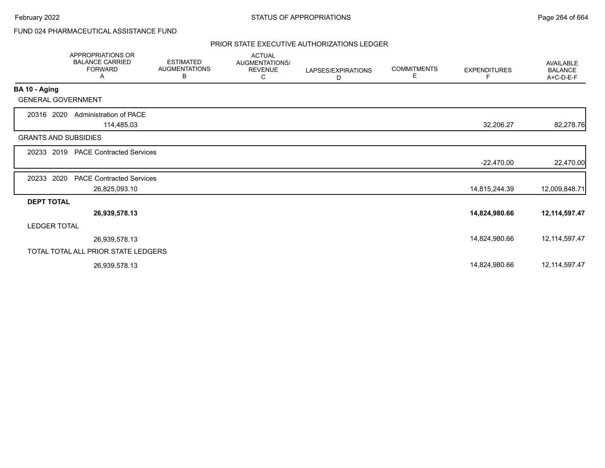## FUND 024 PHARMACEUTICAL ASSISTANCE FUND

|                             | <b>APPROPRIATIONS OR</b><br><b>BALANCE CARRIED</b><br><b>FORWARD</b><br>Α | <b>ESTIMATED</b><br><b>AUGMENTATIONS</b><br>В | <b>ACTUAL</b><br><b>AUGMENTATIONS/</b><br><b>REVENUE</b><br>C | LAPSES/EXPIRATIONS<br>D | <b>COMMITMENTS</b><br>Е | <b>EXPENDITURES</b> | <b>AVAILABLE</b><br><b>BALANCE</b><br>A+C-D-E-F |
|-----------------------------|---------------------------------------------------------------------------|-----------------------------------------------|---------------------------------------------------------------|-------------------------|-------------------------|---------------------|-------------------------------------------------|
| BA 10 - Aging               |                                                                           |                                               |                                                               |                         |                         |                     |                                                 |
| <b>GENERAL GOVERNMENT</b>   |                                                                           |                                               |                                                               |                         |                         |                     |                                                 |
| 20316 2020                  | Administration of PACE                                                    |                                               |                                                               |                         |                         |                     |                                                 |
|                             | 114,485.03                                                                |                                               |                                                               |                         |                         | 32,206.27           | 82,278.76                                       |
| <b>GRANTS AND SUBSIDIES</b> |                                                                           |                                               |                                                               |                         |                         |                     |                                                 |
| 20233 2019                  | <b>PACE Contracted Services</b>                                           |                                               |                                                               |                         |                         |                     |                                                 |
|                             |                                                                           |                                               |                                                               |                         |                         | $-22,470.00$        | 22,470.00                                       |
| 2020<br>20233               | <b>PACE Contracted Services</b>                                           |                                               |                                                               |                         |                         |                     |                                                 |
|                             | 26,825,093.10                                                             |                                               |                                                               |                         |                         | 14,815,244.39       | 12,009,848.71                                   |
| <b>DEPT TOTAL</b>           |                                                                           |                                               |                                                               |                         |                         |                     |                                                 |
|                             | 26,939,578.13                                                             |                                               |                                                               |                         |                         | 14,824,980.66       | 12,114,597.47                                   |
| <b>LEDGER TOTAL</b>         |                                                                           |                                               |                                                               |                         |                         |                     |                                                 |
|                             | 26,939,578.13                                                             |                                               |                                                               |                         |                         | 14,824,980.66       | 12, 114, 597. 47                                |
|                             | TOTAL TOTAL ALL PRIOR STATE LEDGERS                                       |                                               |                                                               |                         |                         |                     |                                                 |
|                             | 26,939,578.13                                                             |                                               |                                                               |                         |                         | 14,824,980.66       | 12, 114, 597. 47                                |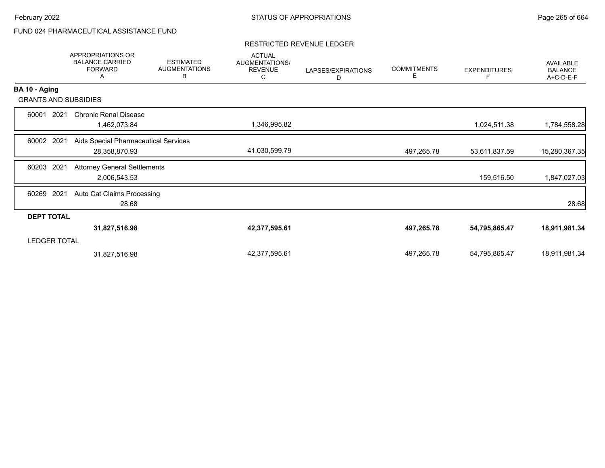# FUND 024 PHARMACEUTICAL ASSISTANCE FUND

### RESTRICTED REVENUE LEDGER

|                     | <b>APPROPRIATIONS OR</b><br><b>BALANCE CARRIED</b><br><b>FORWARD</b><br>Α | <b>ESTIMATED</b><br><b>AUGMENTATIONS</b><br>В | <b>ACTUAL</b><br>AUGMENTATIONS/<br><b>REVENUE</b><br>С | LAPSES/EXPIRATIONS<br>D | <b>COMMITMENTS</b><br>Е | <b>EXPENDITURES</b> | AVAILABLE<br><b>BALANCE</b><br>A+C-D-E-F |
|---------------------|---------------------------------------------------------------------------|-----------------------------------------------|--------------------------------------------------------|-------------------------|-------------------------|---------------------|------------------------------------------|
| BA 10 - Aging       |                                                                           |                                               |                                                        |                         |                         |                     |                                          |
|                     | <b>GRANTS AND SUBSIDIES</b>                                               |                                               |                                                        |                         |                         |                     |                                          |
| 60001               | 2021<br><b>Chronic Renal Disease</b><br>1,462,073.84                      |                                               | 1,346,995.82                                           |                         |                         | 1,024,511.38        | 1,784,558.28                             |
| 60002 2021          | Aids Special Pharmaceutical Services<br>28,358,870.93                     |                                               | 41,030,599.79                                          |                         | 497,265.78              | 53,611,837.59       | 15,280,367.35                            |
| 60203               | 2021<br><b>Attorney General Settlements</b><br>2,006,543.53               |                                               |                                                        |                         |                         | 159,516.50          | 1,847,027.03                             |
| 2021<br>60269       | Auto Cat Claims Processing<br>28.68                                       |                                               |                                                        |                         |                         |                     | 28.68                                    |
| <b>DEPT TOTAL</b>   |                                                                           |                                               |                                                        |                         |                         |                     |                                          |
|                     | 31,827,516.98                                                             |                                               | 42,377,595.61                                          |                         | 497,265.78              | 54,795,865.47       | 18,911,981.34                            |
| <b>LEDGER TOTAL</b> |                                                                           |                                               |                                                        |                         |                         |                     |                                          |
|                     | 31,827,516.98                                                             |                                               | 42,377,595.61                                          |                         | 497,265.78              | 54,795,865.47       | 18,911,981.34                            |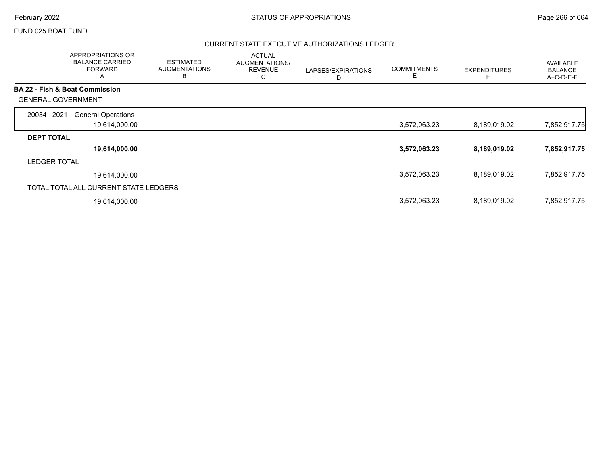### FUND 025 BOAT FUND

|                                           | APPROPRIATIONS OR<br><b>BALANCE CARRIED</b><br><b>FORWARD</b><br>$\mathsf{A}$ | <b>ESTIMATED</b><br><b>AUGMENTATIONS</b><br>В | <b>ACTUAL</b><br><b>AUGMENTATIONS/</b><br><b>REVENUE</b><br>С | LAPSES/EXPIRATIONS<br>D | <b>COMMITMENTS</b><br>Е | <b>EXPENDITURES</b> | AVAILABLE<br><b>BALANCE</b><br>A+C-D-E-F |
|-------------------------------------------|-------------------------------------------------------------------------------|-----------------------------------------------|---------------------------------------------------------------|-------------------------|-------------------------|---------------------|------------------------------------------|
| <b>BA 22 - Fish &amp; Boat Commission</b> |                                                                               |                                               |                                                               |                         |                         |                     |                                          |
| <b>GENERAL GOVERNMENT</b>                 |                                                                               |                                               |                                                               |                         |                         |                     |                                          |
| 2021<br>20034                             | <b>General Operations</b>                                                     |                                               |                                                               |                         |                         |                     |                                          |
|                                           | 19,614,000.00                                                                 |                                               |                                                               |                         | 3,572,063.23            | 8,189,019.02        | 7,852,917.75                             |
| <b>DEPT TOTAL</b>                         |                                                                               |                                               |                                                               |                         |                         |                     |                                          |
|                                           | 19,614,000.00                                                                 |                                               |                                                               |                         | 3,572,063.23            | 8,189,019.02        | 7,852,917.75                             |
| <b>LEDGER TOTAL</b>                       |                                                                               |                                               |                                                               |                         |                         |                     |                                          |
|                                           | 19.614.000.00                                                                 |                                               |                                                               |                         | 3,572,063.23            | 8,189,019.02        | 7,852,917.75                             |
|                                           | TOTAL TOTAL ALL CURRENT STATE LEDGERS                                         |                                               |                                                               |                         |                         |                     |                                          |
|                                           | 19,614,000.00                                                                 |                                               |                                                               |                         | 3,572,063.23            | 8,189,019.02        | 7,852,917.75                             |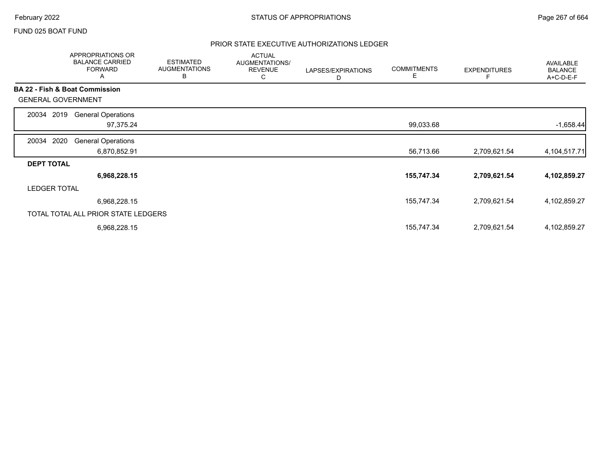### FUND 025 BOAT FUND

|                                           | APPROPRIATIONS OR<br><b>BALANCE CARRIED</b><br><b>FORWARD</b><br>A | <b>ESTIMATED</b><br><b>AUGMENTATIONS</b><br>В | <b>ACTUAL</b><br>AUGMENTATIONS/<br><b>REVENUE</b><br>С | LAPSES/EXPIRATIONS<br>D | <b>COMMITMENTS</b><br>Е | <b>EXPENDITURES</b> | AVAILABLE<br><b>BALANCE</b><br>A+C-D-E-F |
|-------------------------------------------|--------------------------------------------------------------------|-----------------------------------------------|--------------------------------------------------------|-------------------------|-------------------------|---------------------|------------------------------------------|
| <b>BA 22 - Fish &amp; Boat Commission</b> |                                                                    |                                               |                                                        |                         |                         |                     |                                          |
| <b>GENERAL GOVERNMENT</b>                 |                                                                    |                                               |                                                        |                         |                         |                     |                                          |
| 2019<br>20034                             | <b>General Operations</b>                                          |                                               |                                                        |                         |                         |                     |                                          |
|                                           | 97,375.24                                                          |                                               |                                                        |                         | 99,033.68               |                     | $-1,658.44$                              |
| 2020<br>20034                             | <b>General Operations</b>                                          |                                               |                                                        |                         |                         |                     |                                          |
|                                           | 6,870,852.91                                                       |                                               |                                                        |                         | 56,713.66               | 2,709,621.54        | 4,104,517.71                             |
| <b>DEPT TOTAL</b>                         |                                                                    |                                               |                                                        |                         |                         |                     |                                          |
|                                           | 6,968,228.15                                                       |                                               |                                                        |                         | 155,747.34              | 2,709,621.54        | 4,102,859.27                             |
| <b>LEDGER TOTAL</b>                       |                                                                    |                                               |                                                        |                         |                         |                     |                                          |
|                                           | 6,968,228.15                                                       |                                               |                                                        |                         | 155,747.34              | 2,709,621.54        | 4,102,859.27                             |
|                                           | TOTAL TOTAL ALL PRIOR STATE LEDGERS                                |                                               |                                                        |                         |                         |                     |                                          |
|                                           | 6,968,228.15                                                       |                                               |                                                        |                         | 155,747.34              | 2,709,621.54        | 4,102,859.27                             |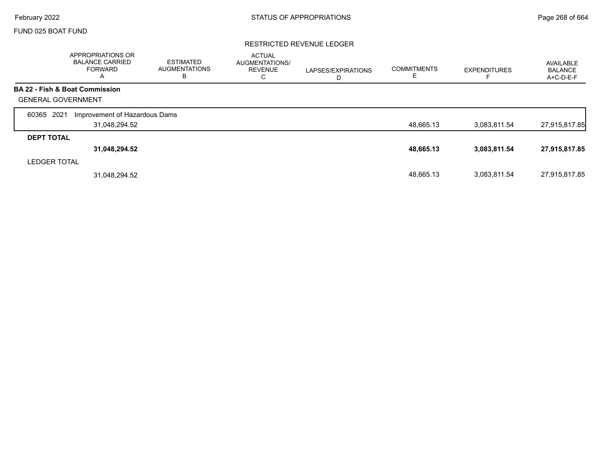Г

### FUND 025 BOAT FUND

### RESTRICTED REVENUE LEDGER

|                           | <b>APPROPRIATIONS OR</b><br><b>BALANCE CARRIED</b><br><b>FORWARD</b><br>A | <b>ESTIMATED</b><br><b>AUGMENTATIONS</b><br>в | <b>ACTUAL</b><br><b>AUGMENTATIONS/</b><br><b>REVENUE</b><br>С | LAPSES/EXPIRATIONS<br>D | <b>COMMITMENTS</b><br>ᄂ | <b>EXPENDITURES</b> | AVAILABLE<br><b>BALANCE</b><br>A+C-D-E-F |
|---------------------------|---------------------------------------------------------------------------|-----------------------------------------------|---------------------------------------------------------------|-------------------------|-------------------------|---------------------|------------------------------------------|
|                           | BA 22 - Fish & Boat Commission                                            |                                               |                                                               |                         |                         |                     |                                          |
| <b>GENERAL GOVERNMENT</b> |                                                                           |                                               |                                                               |                         |                         |                     |                                          |
| 2021<br>60365             | Improvement of Hazardous Dams                                             |                                               |                                                               |                         |                         |                     |                                          |
|                           | 31,048,294.52                                                             |                                               |                                                               |                         | 48,665.13               | 3,083,811.54        | 27,915,817.85                            |
| <b>DEPT TOTAL</b>         |                                                                           |                                               |                                                               |                         |                         |                     |                                          |
|                           | 31,048,294.52                                                             |                                               |                                                               |                         | 48,665.13               | 3,083,811.54        | 27,915,817.85                            |
| <b>LEDGER TOTAL</b>       |                                                                           |                                               |                                                               |                         |                         |                     |                                          |
|                           | 31,048,294.52                                                             |                                               |                                                               |                         | 48.665.13               | 3,083,811.54        | 27,915,817.85                            |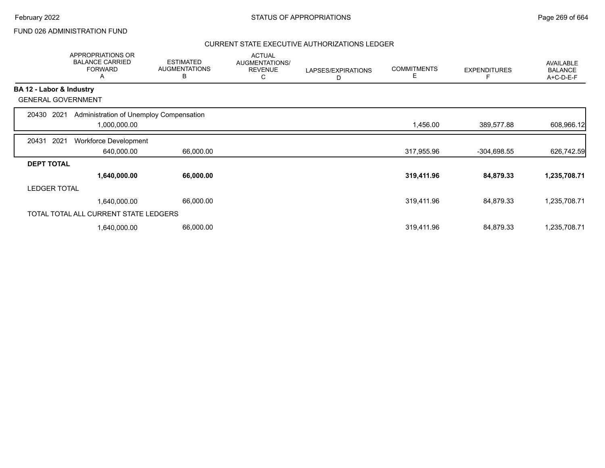## FUND 026 ADMINISTRATION FUND

|                   | <b>APPROPRIATIONS OR</b><br><b>BALANCE CARRIED</b><br><b>FORWARD</b><br>A | <b>ESTIMATED</b><br><b>AUGMENTATIONS</b><br>В | <b>ACTUAL</b><br>AUGMENTATIONS/<br><b>REVENUE</b><br>С | LAPSES/EXPIRATIONS<br>D | <b>COMMITMENTS</b><br>Е | <b>EXPENDITURES</b> | AVAILABLE<br><b>BALANCE</b><br>A+C-D-E-F |
|-------------------|---------------------------------------------------------------------------|-----------------------------------------------|--------------------------------------------------------|-------------------------|-------------------------|---------------------|------------------------------------------|
|                   | BA 12 - Labor & Industry                                                  |                                               |                                                        |                         |                         |                     |                                          |
|                   | <b>GENERAL GOVERNMENT</b>                                                 |                                               |                                                        |                         |                         |                     |                                          |
| 20430             | Administration of Unemploy Compensation<br>2021                           |                                               |                                                        |                         |                         |                     |                                          |
|                   | 1,000,000.00                                                              |                                               |                                                        |                         | 1,456.00                | 389,577.88          | 608,966.12                               |
| 20431             | 2021<br>Workforce Development                                             |                                               |                                                        |                         |                         |                     |                                          |
|                   | 640,000.00                                                                | 66,000.00                                     |                                                        |                         | 317,955.96              | $-304,698.55$       | 626,742.59                               |
| <b>DEPT TOTAL</b> |                                                                           |                                               |                                                        |                         |                         |                     |                                          |
|                   | 1,640,000.00                                                              | 66,000.00                                     |                                                        |                         | 319,411.96              | 84,879.33           | 1,235,708.71                             |
|                   | <b>LEDGER TOTAL</b>                                                       |                                               |                                                        |                         |                         |                     |                                          |
|                   | 1,640,000.00                                                              | 66,000.00                                     |                                                        |                         | 319,411.96              | 84,879.33           | 1,235,708.71                             |
|                   | TOTAL TOTAL ALL CURRENT STATE LEDGERS                                     |                                               |                                                        |                         |                         |                     |                                          |
|                   | 1,640,000.00                                                              | 66,000.00                                     |                                                        |                         | 319,411.96              | 84,879.33           | 1,235,708.71                             |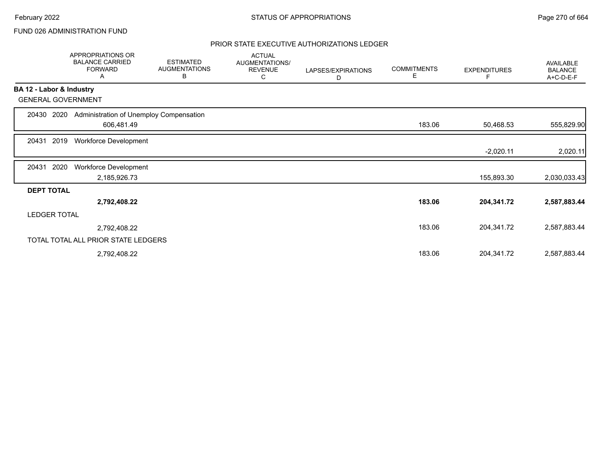## FUND 026 ADMINISTRATION FUND

|                          | APPROPRIATIONS OR<br><b>BALANCE CARRIED</b><br><b>FORWARD</b><br>Α | <b>ESTIMATED</b><br><b>AUGMENTATIONS</b><br>В | <b>ACTUAL</b><br>AUGMENTATIONS/<br><b>REVENUE</b><br>С | LAPSES/EXPIRATIONS<br>D | <b>COMMITMENTS</b><br>Е | <b>EXPENDITURES</b> | AVAILABLE<br><b>BALANCE</b><br>A+C-D-E-F |
|--------------------------|--------------------------------------------------------------------|-----------------------------------------------|--------------------------------------------------------|-------------------------|-------------------------|---------------------|------------------------------------------|
| BA 12 - Labor & Industry |                                                                    |                                               |                                                        |                         |                         |                     |                                          |
|                          | <b>GENERAL GOVERNMENT</b>                                          |                                               |                                                        |                         |                         |                     |                                          |
| 20430                    | 2020<br>Administration of Unemploy Compensation                    |                                               |                                                        |                         |                         |                     |                                          |
|                          | 606,481.49                                                         |                                               |                                                        |                         | 183.06                  | 50,468.53           | 555,829.90                               |
| 20431                    | 2019<br><b>Workforce Development</b>                               |                                               |                                                        |                         |                         |                     |                                          |
|                          |                                                                    |                                               |                                                        |                         |                         | $-2,020.11$         | 2,020.11                                 |
| 20431                    | 2020<br>Workforce Development                                      |                                               |                                                        |                         |                         |                     |                                          |
|                          | 2,185,926.73                                                       |                                               |                                                        |                         |                         | 155,893.30          | 2,030,033.43                             |
| <b>DEPT TOTAL</b>        |                                                                    |                                               |                                                        |                         |                         |                     |                                          |
|                          | 2,792,408.22                                                       |                                               |                                                        |                         | 183.06                  | 204,341.72          | 2,587,883.44                             |
| <b>LEDGER TOTAL</b>      |                                                                    |                                               |                                                        |                         |                         |                     |                                          |
|                          | 2,792,408.22                                                       |                                               |                                                        |                         | 183.06                  | 204,341.72          | 2,587,883.44                             |
|                          | TOTAL TOTAL ALL PRIOR STATE LEDGERS                                |                                               |                                                        |                         |                         |                     |                                          |
|                          | 2,792,408.22                                                       |                                               |                                                        |                         | 183.06                  | 204,341.72          | 2,587,883.44                             |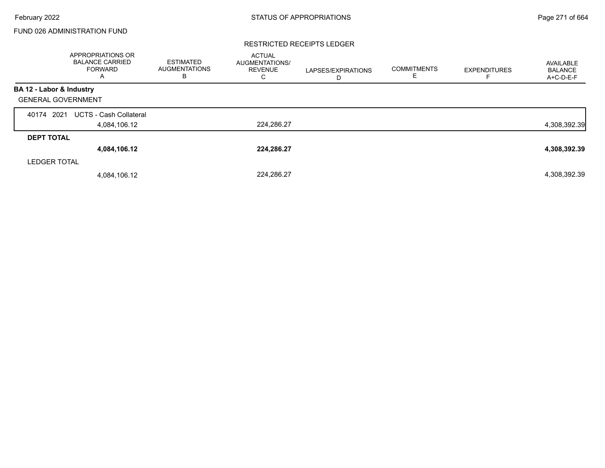## FUND 026 ADMINISTRATION FUND

#### RESTRICTED RECEIPTS LEDGER

|                           | APPROPRIATIONS OR<br><b>BALANCE CARRIED</b><br><b>FORWARD</b><br>A | <b>ESTIMATED</b><br><b>AUGMENTATIONS</b><br>в | <b>ACTUAL</b><br>AUGMENTATIONS/<br><b>REVENUE</b><br>С | LAPSES/EXPIRATIONS<br>D | <b>COMMITMENTS</b><br>E. | <b>EXPENDITURES</b> | AVAILABLE<br><b>BALANCE</b><br>A+C-D-E-F |
|---------------------------|--------------------------------------------------------------------|-----------------------------------------------|--------------------------------------------------------|-------------------------|--------------------------|---------------------|------------------------------------------|
| BA 12 - Labor & Industry  |                                                                    |                                               |                                                        |                         |                          |                     |                                          |
| <b>GENERAL GOVERNMENT</b> |                                                                    |                                               |                                                        |                         |                          |                     |                                          |
| 2021<br>40174             | <b>UCTS - Cash Collateral</b>                                      |                                               |                                                        |                         |                          |                     |                                          |
|                           | 4,084,106.12                                                       |                                               | 224,286.27                                             |                         |                          |                     | 4,308,392.39                             |
| <b>DEPT TOTAL</b>         |                                                                    |                                               |                                                        |                         |                          |                     |                                          |
|                           | 4,084,106.12                                                       |                                               | 224,286.27                                             |                         |                          |                     | 4,308,392.39                             |
| <b>LEDGER TOTAL</b>       |                                                                    |                                               |                                                        |                         |                          |                     |                                          |
|                           | 4,084,106.12                                                       |                                               | 224,286.27                                             |                         |                          |                     | 4,308,392.39                             |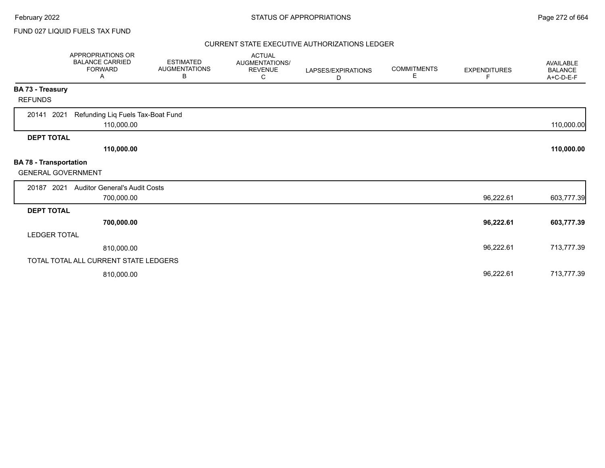### FUND 027 LIQUID FUELS TAX FUND

|                                                            | APPROPRIATIONS OR<br><b>BALANCE CARRIED</b><br><b>FORWARD</b><br>A | <b>ESTIMATED</b><br><b>AUGMENTATIONS</b><br>В | <b>ACTUAL</b><br>AUGMENTATIONS/<br><b>REVENUE</b><br>C | LAPSES/EXPIRATIONS<br>D | <b>COMMITMENTS</b><br>Е | <b>EXPENDITURES</b><br>F | <b>AVAILABLE</b><br><b>BALANCE</b><br>A+C-D-E-F |
|------------------------------------------------------------|--------------------------------------------------------------------|-----------------------------------------------|--------------------------------------------------------|-------------------------|-------------------------|--------------------------|-------------------------------------------------|
| BA 73 - Treasury                                           |                                                                    |                                               |                                                        |                         |                         |                          |                                                 |
| <b>REFUNDS</b>                                             |                                                                    |                                               |                                                        |                         |                         |                          |                                                 |
| 20141<br>2021                                              | Refunding Liq Fuels Tax-Boat Fund<br>110,000.00                    |                                               |                                                        |                         |                         |                          | 110,000.00                                      |
| <b>DEPT TOTAL</b>                                          |                                                                    |                                               |                                                        |                         |                         |                          |                                                 |
|                                                            | 110,000.00                                                         |                                               |                                                        |                         |                         |                          | 110,000.00                                      |
| <b>BA 78 - Transportation</b><br><b>GENERAL GOVERNMENT</b> |                                                                    |                                               |                                                        |                         |                         |                          |                                                 |
| 20187 2021                                                 | <b>Auditor General's Audit Costs</b>                               |                                               |                                                        |                         |                         |                          |                                                 |
|                                                            | 700,000.00                                                         |                                               |                                                        |                         |                         | 96,222.61                | 603,777.39                                      |
| <b>DEPT TOTAL</b>                                          |                                                                    |                                               |                                                        |                         |                         |                          |                                                 |
|                                                            | 700,000.00                                                         |                                               |                                                        |                         |                         | 96,222.61                | 603,777.39                                      |
| <b>LEDGER TOTAL</b>                                        |                                                                    |                                               |                                                        |                         |                         |                          |                                                 |
|                                                            | 810,000.00                                                         |                                               |                                                        |                         |                         | 96,222.61                | 713,777.39                                      |
|                                                            | TOTAL TOTAL ALL CURRENT STATE LEDGERS                              |                                               |                                                        |                         |                         |                          |                                                 |
|                                                            | 810,000.00                                                         |                                               |                                                        |                         |                         | 96,222.61                | 713,777.39                                      |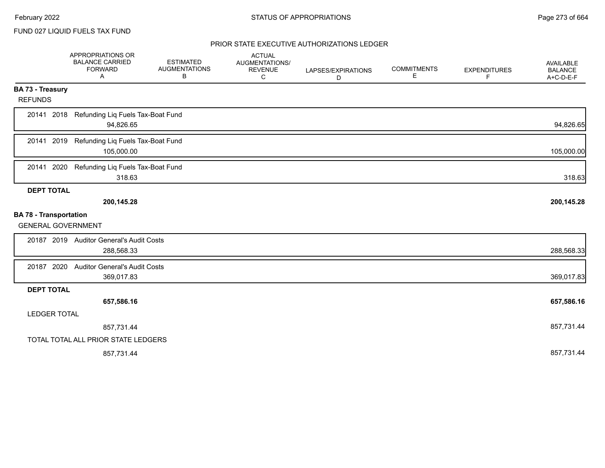FUND 027 LIQUID FUELS TAX FUND

|                                           | APPROPRIATIONS OR<br><b>BALANCE CARRIED</b><br><b>FORWARD</b><br>A | <b>ESTIMATED</b><br><b>AUGMENTATIONS</b><br>В | <b>ACTUAL</b><br>AUGMENTATIONS/<br><b>REVENUE</b><br>C | LAPSES/EXPIRATIONS<br>D | <b>COMMITMENTS</b><br>Е | <b>EXPENDITURES</b><br>F | AVAILABLE<br><b>BALANCE</b><br>A+C-D-E-F |
|-------------------------------------------|--------------------------------------------------------------------|-----------------------------------------------|--------------------------------------------------------|-------------------------|-------------------------|--------------------------|------------------------------------------|
| <b>BA 73 - Treasury</b><br><b>REFUNDS</b> |                                                                    |                                               |                                                        |                         |                         |                          |                                          |
| 20141 2018                                | Refunding Liq Fuels Tax-Boat Fund<br>94,826.65                     |                                               |                                                        |                         |                         |                          | 94,826.65                                |
| 20141 2019                                | Refunding Liq Fuels Tax-Boat Fund<br>105,000.00                    |                                               |                                                        |                         |                         |                          | 105,000.00                               |
| 2020<br>20141                             | Refunding Liq Fuels Tax-Boat Fund<br>318.63                        |                                               |                                                        |                         |                         |                          | 318.63                                   |
| <b>DEPT TOTAL</b>                         |                                                                    |                                               |                                                        |                         |                         |                          |                                          |
|                                           | 200,145.28                                                         |                                               |                                                        |                         |                         |                          | 200,145.28                               |
| <b>BA 78 - Transportation</b>             |                                                                    |                                               |                                                        |                         |                         |                          |                                          |
| <b>GENERAL GOVERNMENT</b>                 |                                                                    |                                               |                                                        |                         |                         |                          |                                          |
|                                           | 20187 2019 Auditor General's Audit Costs<br>288,568.33             |                                               |                                                        |                         |                         |                          | 288,568.33                               |
| 20187 2020                                | <b>Auditor General's Audit Costs</b>                               |                                               |                                                        |                         |                         |                          |                                          |
|                                           | 369,017.83                                                         |                                               |                                                        |                         |                         |                          | 369,017.83                               |
| <b>DEPT TOTAL</b>                         |                                                                    |                                               |                                                        |                         |                         |                          |                                          |
|                                           | 657,586.16                                                         |                                               |                                                        |                         |                         |                          | 657,586.16                               |
| <b>LEDGER TOTAL</b>                       |                                                                    |                                               |                                                        |                         |                         |                          |                                          |
|                                           | 857,731.44                                                         |                                               |                                                        |                         |                         |                          | 857,731.44                               |
|                                           | TOTAL TOTAL ALL PRIOR STATE LEDGERS                                |                                               |                                                        |                         |                         |                          |                                          |
|                                           | 857,731.44                                                         |                                               |                                                        |                         |                         |                          | 857,731.44                               |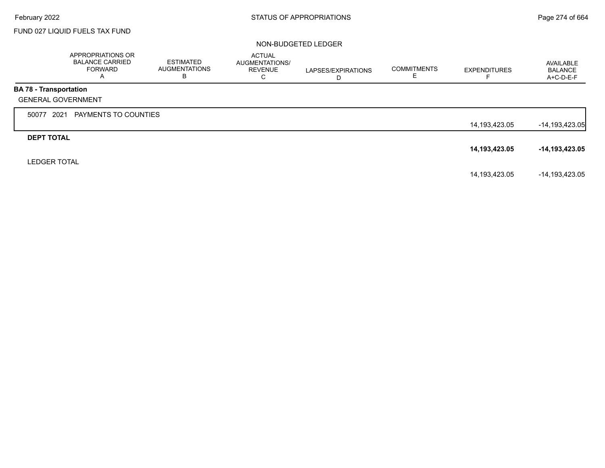## FUND 027 LIQUID FUELS TAX FUND

|                               | APPROPRIATIONS OR<br><b>BALANCE CARRIED</b><br><b>FORWARD</b><br>A | ESTIMATED<br><b>AUGMENTATIONS</b><br>в | <b>ACTUAL</b><br>AUGMENTATIONS/<br><b>REVENUE</b><br>С | LAPSES/EXPIRATIONS<br>D | <b>COMMITMENTS</b> | <b>EXPENDITURES</b> | AVAILABLE<br><b>BALANCE</b><br>A+C-D-E-F |
|-------------------------------|--------------------------------------------------------------------|----------------------------------------|--------------------------------------------------------|-------------------------|--------------------|---------------------|------------------------------------------|
| <b>BA 78 - Transportation</b> |                                                                    |                                        |                                                        |                         |                    |                     |                                          |
|                               | <b>GENERAL GOVERNMENT</b>                                          |                                        |                                                        |                         |                    |                     |                                          |
| 50077                         | 2021<br>PAYMENTS TO COUNTIES                                       |                                        |                                                        |                         |                    |                     |                                          |
|                               |                                                                    |                                        |                                                        |                         |                    | 14,193,423.05       | $-14,193,423.05$                         |
| <b>DEPT TOTAL</b>             |                                                                    |                                        |                                                        |                         |                    |                     |                                          |
|                               |                                                                    |                                        |                                                        |                         |                    | 14,193,423.05       | -14,193,423.05                           |
| <b>LEDGER TOTAL</b>           |                                                                    |                                        |                                                        |                         |                    |                     |                                          |
|                               |                                                                    |                                        |                                                        |                         |                    | 14,193,423.05       | -14,193,423.05                           |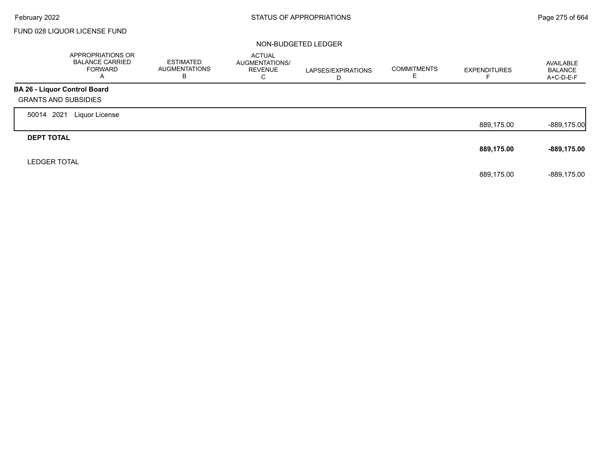$\Gamma$ 

## FUND 028 LIQUOR LICENSE FUND

|                              | APPROPRIATIONS OR<br><b>BALANCE CARRIED</b><br><b>FORWARD</b><br>A | <b>ESTIMATED</b><br>AUGMENTATIONS<br>в | <b>ACTUAL</b><br><b>AUGMENTATIONS/</b><br><b>REVENUE</b><br>С | LAPSES/EXPIRATIONS<br>D | <b>COMMITMENTS</b><br>ᄇ | <b>EXPENDITURES</b> | AVAILABLE<br><b>BALANCE</b><br>A+C-D-E-F |
|------------------------------|--------------------------------------------------------------------|----------------------------------------|---------------------------------------------------------------|-------------------------|-------------------------|---------------------|------------------------------------------|
| BA 26 - Liquor Control Board |                                                                    |                                        |                                                               |                         |                         |                     |                                          |
| <b>GRANTS AND SUBSIDIES</b>  |                                                                    |                                        |                                                               |                         |                         |                     |                                          |
| 2021<br>50014                | Liquor License                                                     |                                        |                                                               |                         |                         |                     |                                          |
|                              |                                                                    |                                        |                                                               |                         |                         | 889,175.00          | $-889,175.00$                            |
| <b>DEPT TOTAL</b>            |                                                                    |                                        |                                                               |                         |                         |                     |                                          |
|                              |                                                                    |                                        |                                                               |                         |                         | 889,175.00          | -889,175.00                              |
| <b>LEDGER TOTAL</b>          |                                                                    |                                        |                                                               |                         |                         |                     |                                          |
|                              |                                                                    |                                        |                                                               |                         |                         | 889,175.00          | $-889.175.00$                            |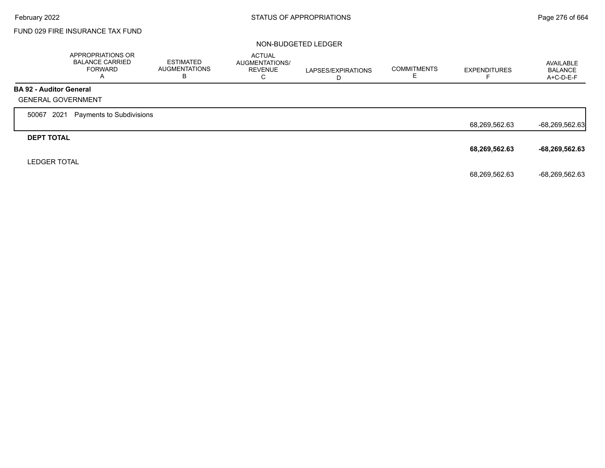## FUND 029 FIRE INSURANCE TAX FUND

|                                | APPROPRIATIONS OR<br><b>BALANCE CARRIED</b><br><b>FORWARD</b><br>A | <b>ESTIMATED</b><br><b>AUGMENTATIONS</b><br>в | <b>ACTUAL</b><br>AUGMENTATIONS/<br><b>REVENUE</b><br>С | LAPSES/EXPIRATIONS<br>D | <b>COMMITMENTS</b><br>ᆮ | <b>EXPENDITURES</b> | AVAILABLE<br><b>BALANCE</b><br>$A+C-D-E-F$ |
|--------------------------------|--------------------------------------------------------------------|-----------------------------------------------|--------------------------------------------------------|-------------------------|-------------------------|---------------------|--------------------------------------------|
| <b>BA 92 - Auditor General</b> |                                                                    |                                               |                                                        |                         |                         |                     |                                            |
|                                | <b>GENERAL GOVERNMENT</b>                                          |                                               |                                                        |                         |                         |                     |                                            |
| 2021<br>50067                  | Payments to Subdivisions                                           |                                               |                                                        |                         |                         |                     |                                            |
|                                |                                                                    |                                               |                                                        |                         |                         | 68,269,562.63       | $-68,269,562.63$                           |
| <b>DEPT TOTAL</b>              |                                                                    |                                               |                                                        |                         |                         |                     |                                            |
|                                |                                                                    |                                               |                                                        |                         |                         | 68,269,562.63       | $-68,269,562.63$                           |
| <b>LEDGER TOTAL</b>            |                                                                    |                                               |                                                        |                         |                         |                     |                                            |
|                                |                                                                    |                                               |                                                        |                         |                         | 68,269,562.63       | -68,269,562.63                             |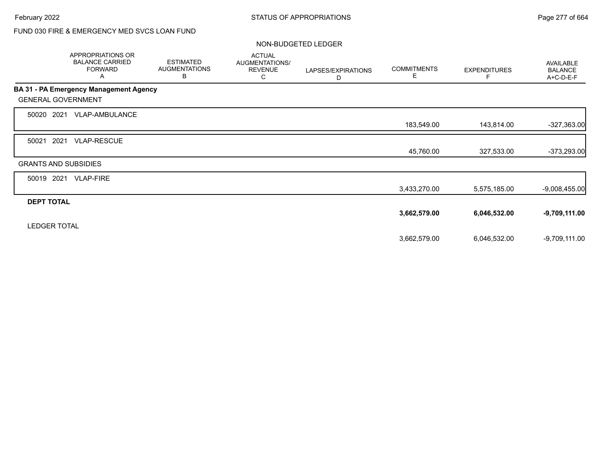## FUND 030 FIRE & EMERGENCY MED SVCS LOAN FUND

|                             | <b>APPROPRIATIONS OR</b><br><b>BALANCE CARRIED</b><br><b>FORWARD</b><br>A | <b>ESTIMATED</b><br><b>AUGMENTATIONS</b><br>B | <b>ACTUAL</b><br>AUGMENTATIONS/<br><b>REVENUE</b><br>С | LAPSES/EXPIRATIONS<br>D | <b>COMMITMENTS</b><br>Е | <b>EXPENDITURES</b><br>F. | <b>AVAILABLE</b><br><b>BALANCE</b><br>A+C-D-E-F |
|-----------------------------|---------------------------------------------------------------------------|-----------------------------------------------|--------------------------------------------------------|-------------------------|-------------------------|---------------------------|-------------------------------------------------|
|                             | BA 31 - PA Emergency Management Agency                                    |                                               |                                                        |                         |                         |                           |                                                 |
| <b>GENERAL GOVERNMENT</b>   |                                                                           |                                               |                                                        |                         |                         |                           |                                                 |
| 2021<br>50020               | VLAP-AMBULANCE                                                            |                                               |                                                        |                         |                         |                           |                                                 |
|                             |                                                                           |                                               |                                                        |                         | 183,549.00              | 143,814.00                | $-327,363.00$                                   |
| 2021<br>50021               | <b>VLAP-RESCUE</b>                                                        |                                               |                                                        |                         |                         |                           |                                                 |
|                             |                                                                           |                                               |                                                        |                         | 45,760.00               | 327,533.00                | $-373,293.00$                                   |
| <b>GRANTS AND SUBSIDIES</b> |                                                                           |                                               |                                                        |                         |                         |                           |                                                 |
| 50019 2021                  | <b>VLAP-FIRE</b>                                                          |                                               |                                                        |                         |                         |                           |                                                 |
|                             |                                                                           |                                               |                                                        |                         | 3,433,270.00            | 5,575,185.00              | $-9,008,455.00$                                 |
| <b>DEPT TOTAL</b>           |                                                                           |                                               |                                                        |                         |                         |                           |                                                 |
|                             |                                                                           |                                               |                                                        |                         | 3,662,579.00            | 6,046,532.00              | $-9,709,111.00$                                 |
| <b>LEDGER TOTAL</b>         |                                                                           |                                               |                                                        |                         |                         |                           |                                                 |
|                             |                                                                           |                                               |                                                        |                         | 3,662,579.00            | 6,046,532.00              | $-9,709,111.00$                                 |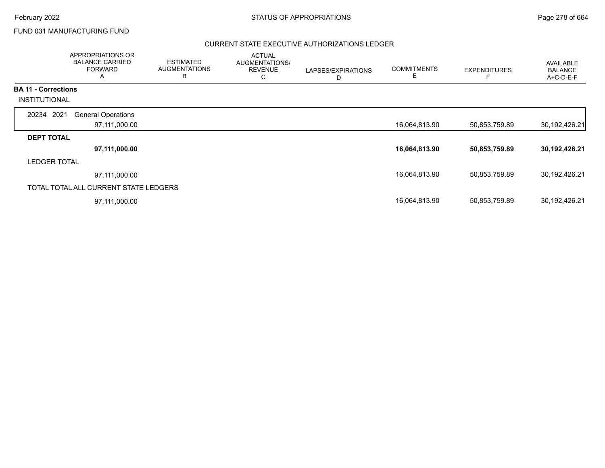Г

## FUND 031 MANUFACTURING FUND

|                                                    | APPROPRIATIONS OR<br><b>BALANCE CARRIED</b><br><b>FORWARD</b><br>Α | <b>ESTIMATED</b><br><b>AUGMENTATIONS</b><br>B | <b>ACTUAL</b><br><b>AUGMENTATIONS/</b><br><b>REVENUE</b><br>С | LAPSES/EXPIRATIONS<br>D | <b>COMMITMENTS</b> | <b>EXPENDITURES</b> | AVAILABLE<br><b>BALANCE</b><br>A+C-D-E-F |
|----------------------------------------------------|--------------------------------------------------------------------|-----------------------------------------------|---------------------------------------------------------------|-------------------------|--------------------|---------------------|------------------------------------------|
| <b>BA 11 - Corrections</b><br><b>INSTITUTIONAL</b> |                                                                    |                                               |                                                               |                         |                    |                     |                                          |
| 20234 2021                                         | <b>General Operations</b>                                          |                                               |                                                               |                         |                    |                     |                                          |
|                                                    | 97,111,000.00                                                      |                                               |                                                               |                         | 16,064,813.90      | 50,853,759.89       | 30,192,426.21                            |
| <b>DEPT TOTAL</b>                                  |                                                                    |                                               |                                                               |                         |                    |                     |                                          |
|                                                    | 97,111,000.00                                                      |                                               |                                                               |                         | 16,064,813.90      | 50,853,759.89       | 30,192,426.21                            |
| <b>LEDGER TOTAL</b>                                |                                                                    |                                               |                                                               |                         |                    |                     |                                          |
|                                                    | 97,111,000.00                                                      |                                               |                                                               |                         | 16,064,813.90      | 50,853,759.89       | 30,192,426.21                            |
|                                                    | TOTAL TOTAL ALL CURRENT STATE LEDGERS                              |                                               |                                                               |                         |                    |                     |                                          |
|                                                    | 97,111,000.00                                                      |                                               |                                                               |                         | 16,064,813.90      | 50,853,759.89       | 30,192,426.21                            |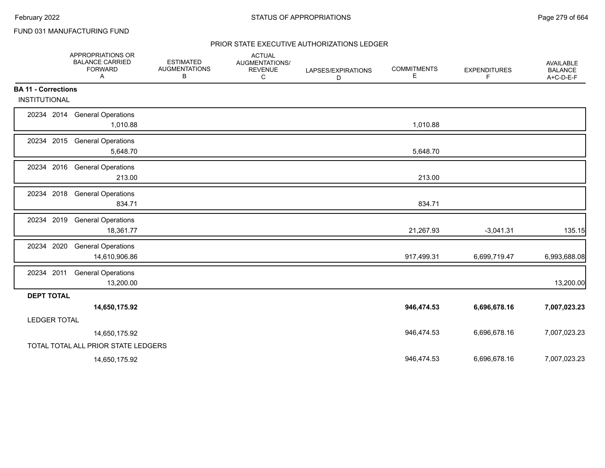## FUND 031 MANUFACTURING FUND

|                            | APPROPRIATIONS OR<br><b>BALANCE CARRIED</b><br><b>FORWARD</b><br>Α | <b>ESTIMATED</b><br><b>AUGMENTATIONS</b><br>В | <b>ACTUAL</b><br>AUGMENTATIONS/<br><b>REVENUE</b><br>C | LAPSES/EXPIRATIONS<br>D | <b>COMMITMENTS</b><br>E | <b>EXPENDITURES</b><br>F | AVAILABLE<br><b>BALANCE</b><br>A+C-D-E-F |
|----------------------------|--------------------------------------------------------------------|-----------------------------------------------|--------------------------------------------------------|-------------------------|-------------------------|--------------------------|------------------------------------------|
| <b>BA 11 - Corrections</b> |                                                                    |                                               |                                                        |                         |                         |                          |                                          |
| <b>INSTITUTIONAL</b>       |                                                                    |                                               |                                                        |                         |                         |                          |                                          |
|                            | 20234 2014 General Operations<br>1,010.88                          |                                               |                                                        |                         | 1,010.88                |                          |                                          |
|                            | 20234 2015 General Operations<br>5,648.70                          |                                               |                                                        |                         | 5,648.70                |                          |                                          |
|                            | 20234 2016 General Operations<br>213.00                            |                                               |                                                        |                         | 213.00                  |                          |                                          |
| 20234 2018                 | <b>General Operations</b><br>834.71                                |                                               |                                                        |                         | 834.71                  |                          |                                          |
| 20234 2019                 | <b>General Operations</b><br>18,361.77                             |                                               |                                                        |                         | 21,267.93               | $-3,041.31$              | 135.15                                   |
| 20234 2020                 | <b>General Operations</b><br>14,610,906.86                         |                                               |                                                        |                         | 917,499.31              | 6,699,719.47             | 6,993,688.08                             |
| 20234 2011                 | <b>General Operations</b><br>13,200.00                             |                                               |                                                        |                         |                         |                          | 13,200.00                                |
| <b>DEPT TOTAL</b>          |                                                                    |                                               |                                                        |                         |                         |                          |                                          |
|                            | 14,650,175.92                                                      |                                               |                                                        |                         | 946,474.53              | 6,696,678.16             | 7,007,023.23                             |
| <b>LEDGER TOTAL</b>        |                                                                    |                                               |                                                        |                         |                         |                          |                                          |
|                            | 14,650,175.92                                                      |                                               |                                                        |                         | 946,474.53              | 6,696,678.16             | 7,007,023.23                             |
|                            | TOTAL TOTAL ALL PRIOR STATE LEDGERS                                |                                               |                                                        |                         |                         |                          |                                          |
|                            | 14,650,175.92                                                      |                                               |                                                        |                         | 946,474.53              | 6,696,678.16             | 7,007,023.23                             |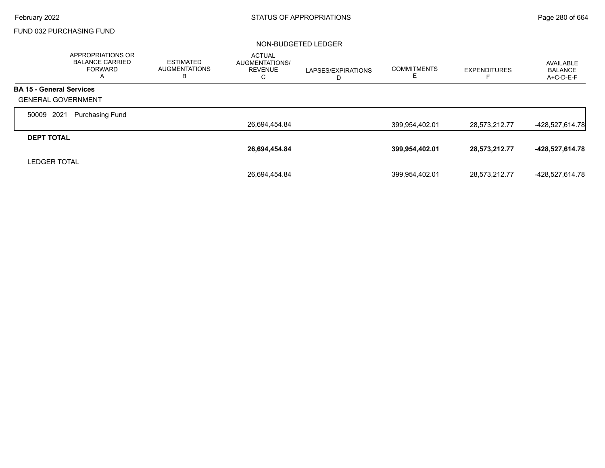### FUND 032 PURCHASING FUND

|                                 | APPROPRIATIONS OR<br><b>BALANCE CARRIED</b><br><b>FORWARD</b><br>A | <b>ESTIMATED</b><br><b>AUGMENTATIONS</b><br>в | <b>ACTUAL</b><br><b>AUGMENTATIONS/</b><br><b>REVENUE</b><br>С | LAPSES/EXPIRATIONS<br>D | <b>COMMITMENTS</b><br>ᄂ | <b>EXPENDITURES</b> | AVAILABLE<br><b>BALANCE</b><br>A+C-D-E-F |
|---------------------------------|--------------------------------------------------------------------|-----------------------------------------------|---------------------------------------------------------------|-------------------------|-------------------------|---------------------|------------------------------------------|
| <b>BA 15 - General Services</b> |                                                                    |                                               |                                                               |                         |                         |                     |                                          |
| <b>GENERAL GOVERNMENT</b>       |                                                                    |                                               |                                                               |                         |                         |                     |                                          |
| 2021<br>50009                   | <b>Purchasing Fund</b>                                             |                                               |                                                               |                         |                         |                     |                                          |
|                                 |                                                                    |                                               | 26,694,454.84                                                 |                         | 399,954,402.01          | 28,573,212.77       | $-428,527,614.78$                        |
| <b>DEPT TOTAL</b>               |                                                                    |                                               |                                                               |                         |                         |                     |                                          |
|                                 |                                                                    |                                               | 26,694,454.84                                                 |                         | 399,954,402.01          | 28,573,212.77       | -428,527,614.78                          |
| <b>LEDGER TOTAL</b>             |                                                                    |                                               |                                                               |                         |                         |                     |                                          |
|                                 |                                                                    |                                               | 26.694.454.84                                                 |                         | 399,954,402.01          | 28,573,212.77       | -428,527,614.78                          |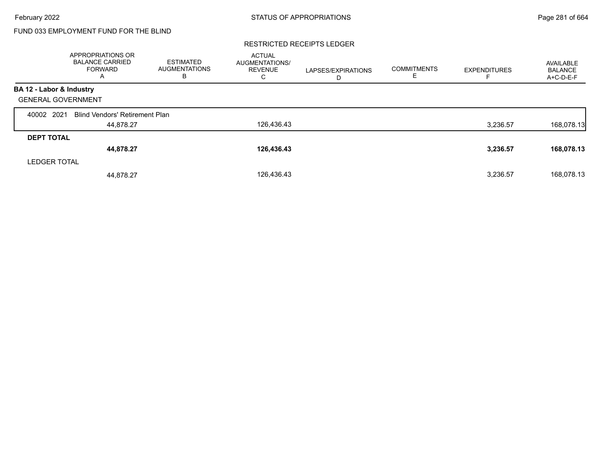## FUND 033 EMPLOYMENT FUND FOR THE BLIND

#### RESTRICTED RECEIPTS LEDGER

|                           | APPROPRIATIONS OR<br><b>BALANCE CARRIED</b><br><b>FORWARD</b><br>$\mathsf{A}$ | <b>ESTIMATED</b><br><b>AUGMENTATIONS</b><br>В | <b>ACTUAL</b><br>AUGMENTATIONS/<br><b>REVENUE</b><br>C. | LAPSES/EXPIRATIONS<br>D | <b>COMMITMENTS</b><br>E. | <b>EXPENDITURES</b> | AVAILABLE<br><b>BALANCE</b><br>A+C-D-E-F |
|---------------------------|-------------------------------------------------------------------------------|-----------------------------------------------|---------------------------------------------------------|-------------------------|--------------------------|---------------------|------------------------------------------|
| BA 12 - Labor & Industry  |                                                                               |                                               |                                                         |                         |                          |                     |                                          |
| <b>GENERAL GOVERNMENT</b> |                                                                               |                                               |                                                         |                         |                          |                     |                                          |
| 2021<br>40002             | <b>Blind Vendors' Retirement Plan</b>                                         |                                               |                                                         |                         |                          |                     |                                          |
|                           | 44,878.27                                                                     |                                               | 126,436.43                                              |                         |                          | 3,236.57            | 168,078.13                               |
| <b>DEPT TOTAL</b>         |                                                                               |                                               |                                                         |                         |                          |                     |                                          |
|                           | 44,878.27                                                                     |                                               | 126,436.43                                              |                         |                          | 3,236.57            | 168,078.13                               |
| <b>LEDGER TOTAL</b>       |                                                                               |                                               |                                                         |                         |                          |                     |                                          |
|                           | 44.878.27                                                                     |                                               | 126,436.43                                              |                         |                          | 3,236.57            | 168.078.13                               |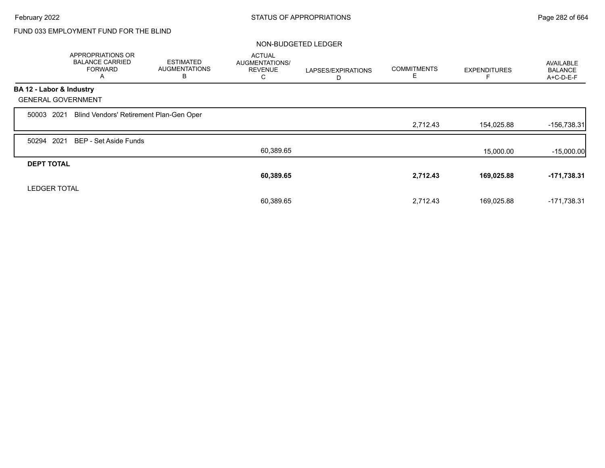## FUND 033 EMPLOYMENT FUND FOR THE BLIND

|                           | APPROPRIATIONS OR<br><b>BALANCE CARRIED</b><br><b>FORWARD</b><br>A | <b>ESTIMATED</b><br><b>AUGMENTATIONS</b><br>B | <b>ACTUAL</b><br>AUGMENTATIONS/<br><b>REVENUE</b><br>С | LAPSES/EXPIRATIONS<br>D | <b>COMMITMENTS</b><br>E | <b>EXPENDITURES</b> | <b>AVAILABLE</b><br><b>BALANCE</b><br>A+C-D-E-F |
|---------------------------|--------------------------------------------------------------------|-----------------------------------------------|--------------------------------------------------------|-------------------------|-------------------------|---------------------|-------------------------------------------------|
| BA 12 - Labor & Industry  |                                                                    |                                               |                                                        |                         |                         |                     |                                                 |
| <b>GENERAL GOVERNMENT</b> |                                                                    |                                               |                                                        |                         |                         |                     |                                                 |
| 2021<br>50003             | Blind Vendors' Retirement Plan-Gen Oper                            |                                               |                                                        |                         |                         |                     |                                                 |
|                           |                                                                    |                                               |                                                        |                         | 2,712.43                | 154,025.88          | -156,738.31                                     |
| 2021<br>50294             | <b>BEP - Set Aside Funds</b>                                       |                                               |                                                        |                         |                         |                     |                                                 |
|                           |                                                                    |                                               | 60,389.65                                              |                         |                         | 15,000.00           | $-15,000.00$                                    |
| <b>DEPT TOTAL</b>         |                                                                    |                                               |                                                        |                         |                         |                     |                                                 |
|                           |                                                                    |                                               | 60,389.65                                              |                         | 2,712.43                | 169,025.88          | $-171,738.31$                                   |
| <b>LEDGER TOTAL</b>       |                                                                    |                                               |                                                        |                         |                         |                     |                                                 |
|                           |                                                                    |                                               | 60,389.65                                              |                         | 2,712.43                | 169,025.88          | $-171,738.31$                                   |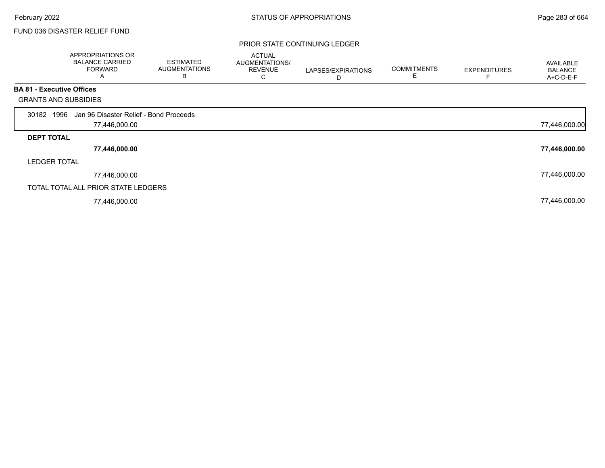## FUND 036 DISASTER RELIEF FUND

### PRIOR STATE CONTINUING LEDGER

|                                  | <b>APPROPRIATIONS OR</b><br><b>BALANCE CARRIED</b><br><b>FORWARD</b><br>A | <b>ESTIMATED</b><br><b>AUGMENTATIONS</b><br>В | <b>ACTUAL</b><br>AUGMENTATIONS/<br><b>REVENUE</b><br>Ü | LAPSES/EXPIRATIONS<br>D | <b>COMMITMENTS</b><br>E | <b>EXPENDITURES</b> | AVAILABLE<br><b>BALANCE</b><br>A+C-D-E-F |
|----------------------------------|---------------------------------------------------------------------------|-----------------------------------------------|--------------------------------------------------------|-------------------------|-------------------------|---------------------|------------------------------------------|
| <b>BA 81 - Executive Offices</b> |                                                                           |                                               |                                                        |                         |                         |                     |                                          |
| <b>GRANTS AND SUBSIDIES</b>      |                                                                           |                                               |                                                        |                         |                         |                     |                                          |
| 1996<br>30182                    | Jan 96 Disaster Relief - Bond Proceeds                                    |                                               |                                                        |                         |                         |                     |                                          |
|                                  | 77,446,000.00                                                             |                                               |                                                        |                         |                         |                     | 77,446,000.00                            |
| <b>DEPT TOTAL</b>                |                                                                           |                                               |                                                        |                         |                         |                     |                                          |
|                                  | 77,446,000.00                                                             |                                               |                                                        |                         |                         |                     | 77,446,000.00                            |
| <b>LEDGER TOTAL</b>              |                                                                           |                                               |                                                        |                         |                         |                     |                                          |
|                                  | 77,446,000.00                                                             |                                               |                                                        |                         |                         |                     | 77,446,000.00                            |
|                                  | TOTAL TOTAL ALL PRIOR STATE LEDGERS                                       |                                               |                                                        |                         |                         |                     |                                          |
|                                  | 77,446,000.00                                                             |                                               |                                                        |                         |                         |                     | 77,446,000.00                            |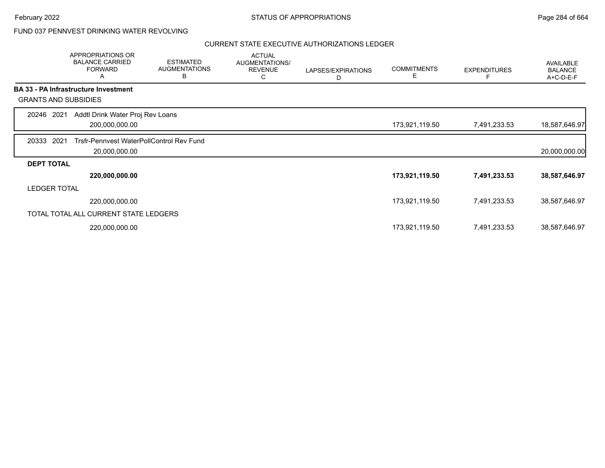## FUND 037 PENNVEST DRINKING WATER REVOLVING

|                     | APPROPRIATIONS OR<br><b>BALANCE CARRIED</b><br><b>FORWARD</b><br>Α | <b>ESTIMATED</b><br><b>AUGMENTATIONS</b><br>в | <b>ACTUAL</b><br>AUGMENTATIONS/<br><b>REVENUE</b><br>С | LAPSES/EXPIRATIONS<br>D | <b>COMMITMENTS</b><br>E. | <b>EXPENDITURES</b> | <b>AVAILABLE</b><br><b>BALANCE</b><br>A+C-D-E-F |
|---------------------|--------------------------------------------------------------------|-----------------------------------------------|--------------------------------------------------------|-------------------------|--------------------------|---------------------|-------------------------------------------------|
|                     | <b>BA 33 - PA Infrastructure Investment</b>                        |                                               |                                                        |                         |                          |                     |                                                 |
|                     | <b>GRANTS AND SUBSIDIES</b>                                        |                                               |                                                        |                         |                          |                     |                                                 |
| 20246 2021          | Addtl Drink Water Proj Rev Loans                                   |                                               |                                                        |                         |                          |                     |                                                 |
|                     | 200,000,000.00                                                     |                                               |                                                        |                         | 173,921,119.50           | 7,491,233.53        | 18,587,646.97                                   |
| 20333               | 2021<br>Trsfr-Pennyest WaterPollControl Rev Fund                   |                                               |                                                        |                         |                          |                     |                                                 |
|                     | 20,000,000.00                                                      |                                               |                                                        |                         |                          |                     | 20,000,000.00                                   |
| <b>DEPT TOTAL</b>   |                                                                    |                                               |                                                        |                         |                          |                     |                                                 |
|                     | 220,000,000.00                                                     |                                               |                                                        |                         | 173,921,119.50           | 7,491,233.53        | 38,587,646.97                                   |
| <b>LEDGER TOTAL</b> |                                                                    |                                               |                                                        |                         |                          |                     |                                                 |
|                     | 220,000,000.00                                                     |                                               |                                                        |                         | 173,921,119.50           | 7,491,233.53        | 38,587,646.97                                   |
|                     | TOTAL TOTAL ALL CURRENT STATE LEDGERS                              |                                               |                                                        |                         |                          |                     |                                                 |
|                     | 220,000,000.00                                                     |                                               |                                                        |                         | 173,921,119.50           | 7,491,233.53        | 38,587,646.97                                   |
|                     |                                                                    |                                               |                                                        |                         |                          |                     |                                                 |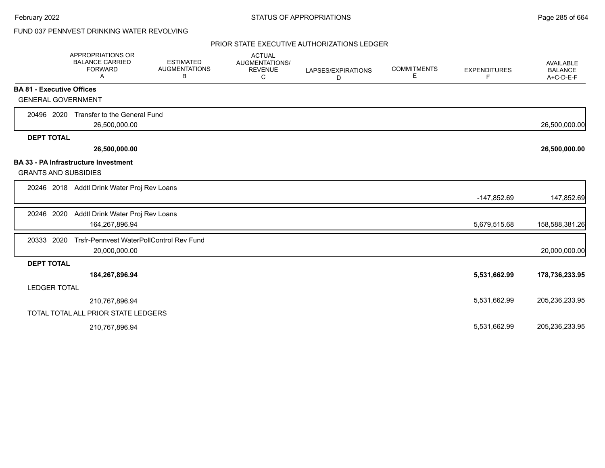## FUND 037 PENNVEST DRINKING WATER REVOLVING

|                                  | <b>APPROPRIATIONS OR</b><br><b>BALANCE CARRIED</b><br><b>FORWARD</b><br>A | <b>ESTIMATED</b><br><b>AUGMENTATIONS</b><br>В | <b>ACTUAL</b><br><b>AUGMENTATIONS/</b><br><b>REVENUE</b><br>С | LAPSES/EXPIRATIONS<br>D | <b>COMMITMENTS</b><br>E | <b>EXPENDITURES</b><br>F | <b>AVAILABLE</b><br><b>BALANCE</b><br>A+C-D-E-F |
|----------------------------------|---------------------------------------------------------------------------|-----------------------------------------------|---------------------------------------------------------------|-------------------------|-------------------------|--------------------------|-------------------------------------------------|
| <b>BA 81 - Executive Offices</b> |                                                                           |                                               |                                                               |                         |                         |                          |                                                 |
| <b>GENERAL GOVERNMENT</b>        |                                                                           |                                               |                                                               |                         |                         |                          |                                                 |
| 20496 2020                       | Transfer to the General Fund<br>26,500,000.00                             |                                               |                                                               |                         |                         |                          | 26,500,000.00                                   |
| <b>DEPT TOTAL</b>                |                                                                           |                                               |                                                               |                         |                         |                          |                                                 |
|                                  | 26,500,000.00                                                             |                                               |                                                               |                         |                         |                          | 26,500,000.00                                   |
|                                  | <b>BA 33 - PA Infrastructure Investment</b>                               |                                               |                                                               |                         |                         |                          |                                                 |
| <b>GRANTS AND SUBSIDIES</b>      |                                                                           |                                               |                                                               |                         |                         |                          |                                                 |
|                                  | 20246 2018 Addtl Drink Water Proj Rev Loans                               |                                               |                                                               |                         |                         |                          |                                                 |
|                                  |                                                                           |                                               |                                                               |                         |                         | -147,852.69              | 147,852.69                                      |
| 20246 2020                       | Addtl Drink Water Proj Rev Loans                                          |                                               |                                                               |                         |                         |                          |                                                 |
|                                  | 164,267,896.94                                                            |                                               |                                                               |                         |                         | 5,679,515.68             | 158,588,381.26                                  |
| 20333 2020                       | Trsfr-Pennvest WaterPollControl Rev Fund                                  |                                               |                                                               |                         |                         |                          |                                                 |
|                                  | 20,000,000.00                                                             |                                               |                                                               |                         |                         |                          | 20,000,000.00                                   |
| <b>DEPT TOTAL</b>                |                                                                           |                                               |                                                               |                         |                         |                          |                                                 |
|                                  | 184,267,896.94                                                            |                                               |                                                               |                         |                         | 5,531,662.99             | 178,736,233.95                                  |
| <b>LEDGER TOTAL</b>              |                                                                           |                                               |                                                               |                         |                         |                          |                                                 |
|                                  | 210,767,896.94                                                            |                                               |                                                               |                         |                         | 5,531,662.99             | 205,236,233.95                                  |
|                                  | TOTAL TOTAL ALL PRIOR STATE LEDGERS                                       |                                               |                                                               |                         |                         |                          |                                                 |
|                                  | 210,767,896.94                                                            |                                               |                                                               |                         |                         | 5,531,662.99             | 205,236,233.95                                  |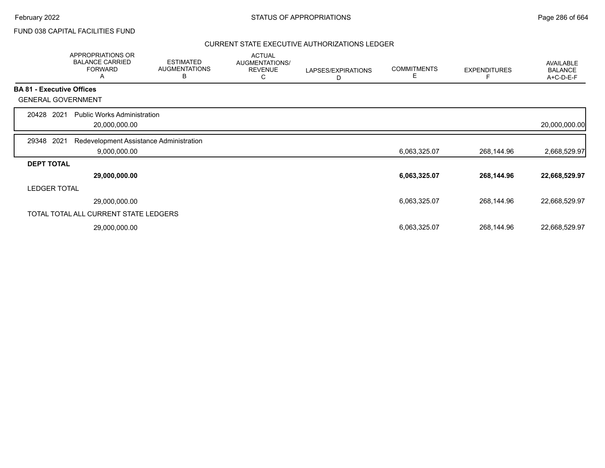## FUND 038 CAPITAL FACILITIES FUND

|                   | <b>APPROPRIATIONS OR</b><br><b>BALANCE CARRIED</b><br><b>FORWARD</b><br>A | <b>ESTIMATED</b><br><b>AUGMENTATIONS</b><br>В | <b>ACTUAL</b><br>AUGMENTATIONS/<br><b>REVENUE</b><br>С | LAPSES/EXPIRATIONS<br>D | <b>COMMITMENTS</b><br>Е | <b>EXPENDITURES</b> | AVAILABLE<br><b>BALANCE</b><br>A+C-D-E-F |
|-------------------|---------------------------------------------------------------------------|-----------------------------------------------|--------------------------------------------------------|-------------------------|-------------------------|---------------------|------------------------------------------|
|                   | <b>BA 81 - Executive Offices</b>                                          |                                               |                                                        |                         |                         |                     |                                          |
|                   | <b>GENERAL GOVERNMENT</b>                                                 |                                               |                                                        |                         |                         |                     |                                          |
| 20428             | 2021<br><b>Public Works Administration</b><br>20,000,000.00               |                                               |                                                        |                         |                         |                     | 20,000,000.00                            |
| 29348             | 2021<br>Redevelopment Assistance Administration<br>9,000,000.00           |                                               |                                                        |                         | 6,063,325.07            | 268,144.96          | 2,668,529.97                             |
| <b>DEPT TOTAL</b> | 29,000,000.00                                                             |                                               |                                                        |                         | 6,063,325.07            | 268,144.96          | 22,668,529.97                            |
|                   | <b>LEDGER TOTAL</b>                                                       |                                               |                                                        |                         |                         |                     |                                          |
|                   | 29,000,000.00                                                             |                                               |                                                        |                         | 6,063,325.07            | 268,144.96          | 22,668,529.97                            |
|                   | TOTAL TOTAL ALL CURRENT STATE LEDGERS                                     |                                               |                                                        |                         |                         |                     |                                          |
|                   | 29,000,000.00                                                             |                                               |                                                        |                         | 6,063,325.07            | 268,144.96          | 22,668,529.97                            |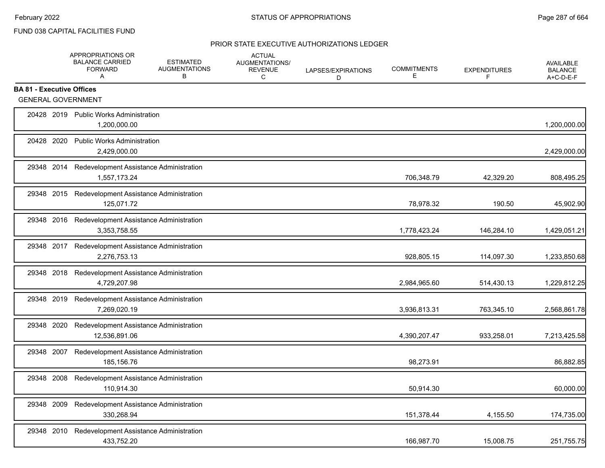## FUND 038 CAPITAL FACILITIES FUND

|                                  | <b>APPROPRIATIONS OR</b><br><b>BALANCE CARRIED</b><br><b>FORWARD</b><br>A | <b>ESTIMATED</b><br><b>AUGMENTATIONS</b><br>В | <b>ACTUAL</b><br>AUGMENTATIONS/<br><b>REVENUE</b><br>C | LAPSES/EXPIRATIONS<br>D | <b>COMMITMENTS</b><br>Е | <b>EXPENDITURES</b><br>F | <b>AVAILABLE</b><br><b>BALANCE</b><br>A+C-D-E-F |
|----------------------------------|---------------------------------------------------------------------------|-----------------------------------------------|--------------------------------------------------------|-------------------------|-------------------------|--------------------------|-------------------------------------------------|
| <b>BA 81 - Executive Offices</b> |                                                                           |                                               |                                                        |                         |                         |                          |                                                 |
|                                  | <b>GENERAL GOVERNMENT</b>                                                 |                                               |                                                        |                         |                         |                          |                                                 |
|                                  | 20428 2019 Public Works Administration<br>1,200,000.00                    |                                               |                                                        |                         |                         |                          | 1,200,000.00                                    |
| 20428 2020                       | <b>Public Works Administration</b><br>2,429,000.00                        |                                               |                                                        |                         |                         |                          | 2,429,000.00                                    |
|                                  | 29348 2014 Redevelopment Assistance Administration<br>1,557,173.24        |                                               |                                                        |                         | 706,348.79              | 42,329.20                | 808,495.25                                      |
|                                  | 29348 2015 Redevelopment Assistance Administration<br>125,071.72          |                                               |                                                        |                         | 78,978.32               | 190.50                   | 45,902.90                                       |
|                                  | 29348 2016 Redevelopment Assistance Administration<br>3,353,758.55        |                                               |                                                        |                         | 1,778,423.24            | 146,284.10               | 1,429,051.21                                    |
|                                  | 29348 2017 Redevelopment Assistance Administration<br>2,276,753.13        |                                               |                                                        |                         | 928,805.15              | 114,097.30               | 1,233,850.68                                    |
|                                  | 29348 2018 Redevelopment Assistance Administration<br>4,729,207.98        |                                               |                                                        |                         | 2,984,965.60            | 514,430.13               | 1,229,812.25                                    |
|                                  | 29348 2019 Redevelopment Assistance Administration<br>7,269,020.19        |                                               |                                                        |                         | 3,936,813.31            | 763,345.10               | 2,568,861.78                                    |
| 29348 2020                       | Redevelopment Assistance Administration<br>12,536,891.06                  |                                               |                                                        |                         | 4,390,207.47            | 933,258.01               | 7,213,425.58                                    |
| 29348 2007                       | Redevelopment Assistance Administration<br>185,156.76                     |                                               |                                                        |                         | 98,273.91               |                          | 86,882.85                                       |
| 29348 2008                       | Redevelopment Assistance Administration<br>110,914.30                     |                                               |                                                        |                         | 50,914.30               |                          | 60,000.00                                       |
| 29348 2009                       | Redevelopment Assistance Administration<br>330,268.94                     |                                               |                                                        |                         | 151,378.44              | 4,155.50                 | 174,735.00                                      |
| 29348 2010                       | Redevelopment Assistance Administration<br>433,752.20                     |                                               |                                                        |                         | 166,987.70              | 15,008.75                | 251,755.75                                      |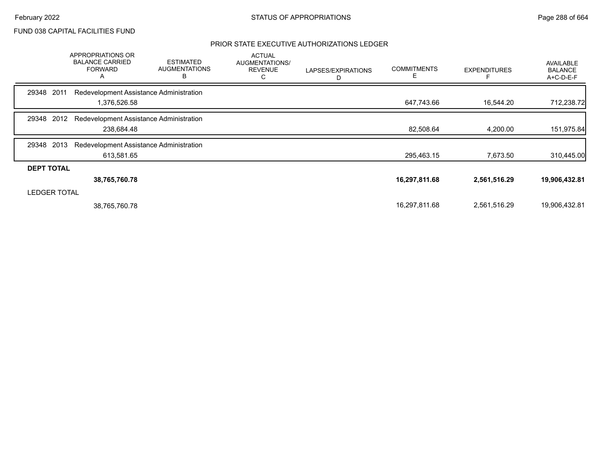## FUND 038 CAPITAL FACILITIES FUND

|                     | APPROPRIATIONS OR<br><b>BALANCE CARRIED</b><br><b>FORWARD</b><br>A | <b>ESTIMATED</b><br><b>AUGMENTATIONS</b><br>В | <b>ACTUAL</b><br>AUGMENTATIONS/<br><b>REVENUE</b><br>С | LAPSES/EXPIRATIONS<br>D | <b>COMMITMENTS</b><br>Е | <b>EXPENDITURES</b> | <b>AVAILABLE</b><br><b>BALANCE</b><br>A+C-D-E-F |
|---------------------|--------------------------------------------------------------------|-----------------------------------------------|--------------------------------------------------------|-------------------------|-------------------------|---------------------|-------------------------------------------------|
| 2011<br>29348       | Redevelopment Assistance Administration                            |                                               |                                                        |                         |                         |                     |                                                 |
|                     | 1,376,526.58                                                       |                                               |                                                        |                         | 647,743.66              | 16,544.20           | 712,238.72                                      |
| 2012<br>29348       | Redevelopment Assistance Administration                            |                                               |                                                        |                         |                         |                     |                                                 |
|                     | 238,684.48                                                         |                                               |                                                        |                         | 82,508.64               | 4,200.00            | 151,975.84                                      |
| 2013<br>29348       | Redevelopment Assistance Administration                            |                                               |                                                        |                         |                         |                     |                                                 |
|                     | 613,581.65                                                         |                                               |                                                        |                         | 295,463.15              | 7,673.50            | 310,445.00                                      |
| <b>DEPT TOTAL</b>   |                                                                    |                                               |                                                        |                         |                         |                     |                                                 |
|                     | 38,765,760.78                                                      |                                               |                                                        |                         | 16,297,811.68           | 2,561,516.29        | 19,906,432.81                                   |
| <b>LEDGER TOTAL</b> |                                                                    |                                               |                                                        |                         |                         |                     |                                                 |
|                     | 38,765,760.78                                                      |                                               |                                                        |                         | 16,297,811.68           | 2,561,516.29        | 19,906,432.81                                   |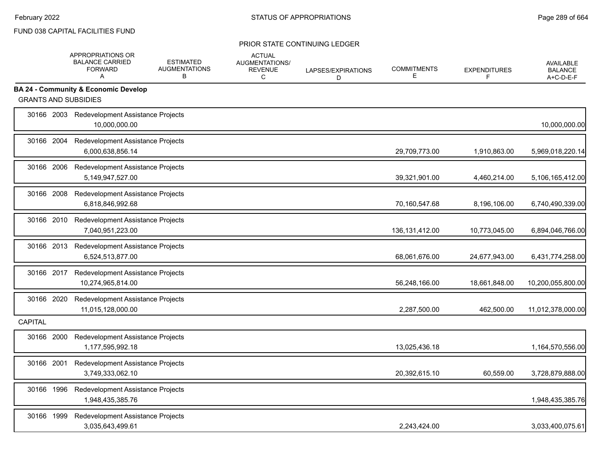|                | APPROPRIATIONS OR<br><b>BALANCE CARRIED</b><br>FORWARD<br>A      | <b>ESTIMATED</b><br><b>AUGMENTATIONS</b><br>B | <b>ACTUAL</b><br><b>AUGMENTATIONS/</b><br><b>REVENUE</b><br>C | LAPSES/EXPIRATIONS<br>D | <b>COMMITMENTS</b><br>E | <b>EXPENDITURES</b><br>F | <b>AVAILABLE</b><br><b>BALANCE</b><br>A+C-D-E-F |
|----------------|------------------------------------------------------------------|-----------------------------------------------|---------------------------------------------------------------|-------------------------|-------------------------|--------------------------|-------------------------------------------------|
|                | <b>BA 24 - Community &amp; Economic Develop</b>                  |                                               |                                                               |                         |                         |                          |                                                 |
|                | <b>GRANTS AND SUBSIDIES</b>                                      |                                               |                                                               |                         |                         |                          |                                                 |
|                | 30166 2003 Redevelopment Assistance Projects<br>10,000,000.00    |                                               |                                                               |                         |                         |                          | 10,000,000.00                                   |
|                | 30166 2004 Redevelopment Assistance Projects<br>6,000,638,856.14 |                                               |                                                               |                         | 29,709,773.00           | 1,910,863.00             | 5,969,018,220.14                                |
|                | 30166 2006 Redevelopment Assistance Projects<br>5,149,947,527.00 |                                               |                                                               |                         | 39,321,901.00           | 4,460,214.00             | 5,106,165,412.00                                |
| 30166 2008     | Redevelopment Assistance Projects<br>6,818,846,992.68            |                                               |                                                               |                         | 70,160,547.68           | 8,196,106.00             | 6,740,490,339.00                                |
|                | 30166 2010 Redevelopment Assistance Projects<br>7,040,951,223.00 |                                               |                                                               |                         | 136, 131, 412.00        | 10,773,045.00            | 6,894,046,766.00                                |
|                | 30166 2013 Redevelopment Assistance Projects<br>6,524,513,877.00 |                                               |                                                               |                         | 68,061,676.00           | 24,677,943.00            | 6,431,774,258.00                                |
| 30166 2017     | Redevelopment Assistance Projects<br>10,274,965,814.00           |                                               |                                                               |                         | 56,248,166.00           | 18,661,848.00            | 10,200,055,800.00                               |
| 30166 2020     | Redevelopment Assistance Projects<br>11,015,128,000.00           |                                               |                                                               |                         | 2,287,500.00            | 462,500.00               | 11,012,378,000.00                               |
| <b>CAPITAL</b> |                                                                  |                                               |                                                               |                         |                         |                          |                                                 |
| 30166 2000     | Redevelopment Assistance Projects<br>1,177,595,992.18            |                                               |                                                               |                         | 13,025,436.18           |                          | 1,164,570,556.00                                |
| 30166 2001     | Redevelopment Assistance Projects<br>3,749,333,062.10            |                                               |                                                               |                         | 20,392,615.10           | 60,559.00                | 3,728,879,888.00                                |
| 30166 1996     | Redevelopment Assistance Projects<br>1,948,435,385.76            |                                               |                                                               |                         |                         |                          | 1,948,435,385.76                                |
| 30166 1999     | Redevelopment Assistance Projects<br>3,035,643,499.61            |                                               |                                                               |                         | 2,243,424.00            |                          | 3,033,400,075.61                                |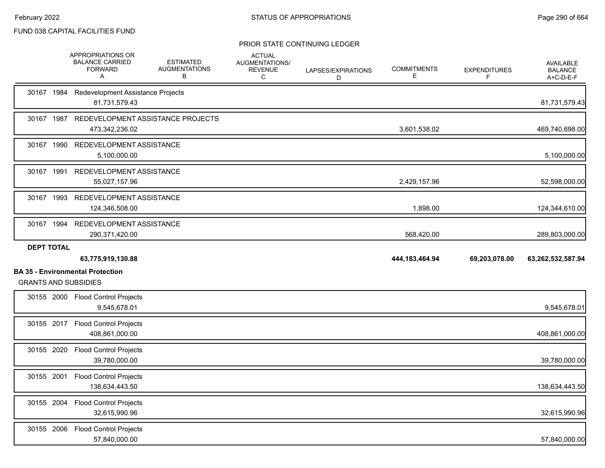|                             | APPROPRIATIONS OR<br><b>BALANCE CARRIED</b><br><b>FORWARD</b><br>A | <b>ESTIMATED</b><br><b>AUGMENTATIONS</b><br>В | <b>ACTUAL</b><br>AUGMENTATIONS/<br><b>REVENUE</b><br>С | LAPSES/EXPIRATIONS<br>D | <b>COMMITMENTS</b><br>Е | <b>EXPENDITURES</b><br>F | <b>AVAILABLE</b><br><b>BALANCE</b><br>A+C-D-E-F |
|-----------------------------|--------------------------------------------------------------------|-----------------------------------------------|--------------------------------------------------------|-------------------------|-------------------------|--------------------------|-------------------------------------------------|
|                             | 30167 1984 Redevelopment Assistance Projects<br>81,731,579.43      |                                               |                                                        |                         |                         |                          | 81,731,579.43                                   |
|                             | 30167 1987 REDEVELOPMENT ASSISTANCE PROJECTS<br>473,342,236.02     |                                               |                                                        |                         | 3,601,538.02            |                          | 469,740,698.00                                  |
|                             | 30167 1990 REDEVELOPMENT ASSISTANCE<br>5,100,000.00                |                                               |                                                        |                         |                         |                          | 5,100,000.00                                    |
|                             | 30167 1991 REDEVELOPMENT ASSISTANCE<br>55,027,157.96               |                                               |                                                        |                         | 2,429,157.96            |                          | 52,598,000.00                                   |
|                             | 30167 1993 REDEVELOPMENT ASSISTANCE<br>124,346,508.00              |                                               |                                                        |                         | 1,898.00                |                          | 124,344,610.00                                  |
|                             | 30167 1994 REDEVELOPMENT ASSISTANCE<br>290,371,420.00              |                                               |                                                        |                         | 568,420.00              |                          | 289,803,000.00                                  |
|                             |                                                                    |                                               |                                                        |                         |                         |                          |                                                 |
| <b>DEPT TOTAL</b>           | 63,775,919,130.88                                                  |                                               |                                                        |                         | 444, 183, 464. 94       | 69,203,078.00            | 63,262,532,587.94                               |
| <b>GRANTS AND SUBSIDIES</b> | <b>BA 35 - Environmental Protection</b>                            |                                               |                                                        |                         |                         |                          |                                                 |
|                             | 30155 2000 Flood Control Projects<br>9,545,678.01                  |                                               |                                                        |                         |                         |                          | 9,545,678.01                                    |
|                             | 30155 2017 Flood Control Projects<br>408,861,000.00                |                                               |                                                        |                         |                         |                          | 408,861,000.00                                  |
|                             | 30155 2020 Flood Control Projects<br>39,780,000.00                 |                                               |                                                        |                         |                         |                          | 39,780,000.00                                   |
| 30155 2001                  | <b>Flood Control Projects</b><br>138,634,443.50                    |                                               |                                                        |                         |                         |                          | 138,634,443.50                                  |
|                             | 30155 2004 Flood Control Projects<br>32,615,990.96                 |                                               |                                                        |                         |                         |                          | 32,615,990.96                                   |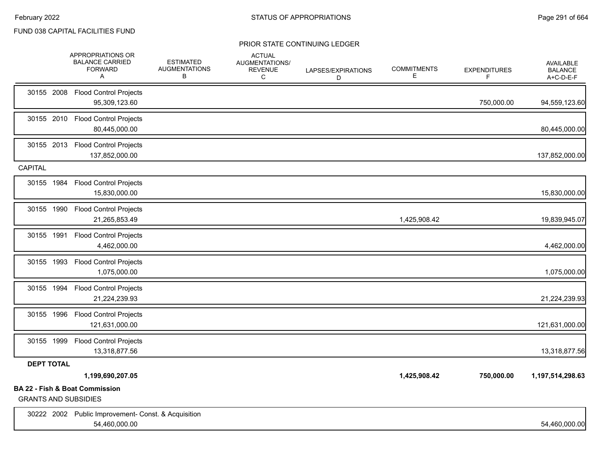|                   | APPROPRIATIONS OR<br><b>BALANCE CARRIED</b><br><b>FORWARD</b><br>Α       | <b>ESTIMATED</b><br><b>AUGMENTATIONS</b><br>В | <b>ACTUAL</b><br>AUGMENTATIONS/<br><b>REVENUE</b><br>С | LAPSES/EXPIRATIONS<br>D | <b>COMMITMENTS</b><br>Е | <b>EXPENDITURES</b><br>F | <b>AVAILABLE</b><br><b>BALANCE</b><br>A+C-D-E-F |
|-------------------|--------------------------------------------------------------------------|-----------------------------------------------|--------------------------------------------------------|-------------------------|-------------------------|--------------------------|-------------------------------------------------|
| 30155 2008        | <b>Flood Control Projects</b><br>95,309,123.60                           |                                               |                                                        |                         |                         | 750,000.00               | 94,559,123.60                                   |
| 30155 2010        | <b>Flood Control Projects</b><br>80,445,000.00                           |                                               |                                                        |                         |                         |                          | 80,445,000.00                                   |
| 30155 2013        | <b>Flood Control Projects</b><br>137,852,000.00                          |                                               |                                                        |                         |                         |                          | 137,852,000.00                                  |
| <b>CAPITAL</b>    |                                                                          |                                               |                                                        |                         |                         |                          |                                                 |
| 30155 1984        | <b>Flood Control Projects</b><br>15,830,000.00                           |                                               |                                                        |                         |                         |                          | 15,830,000.00                                   |
| 30155 1990        | <b>Flood Control Projects</b><br>21,265,853.49                           |                                               |                                                        |                         | 1,425,908.42            |                          | 19,839,945.07                                   |
| 30155 1991        | <b>Flood Control Projects</b><br>4,462,000.00                            |                                               |                                                        |                         |                         |                          | 4,462,000.00                                    |
| 30155 1993        | <b>Flood Control Projects</b><br>1,075,000.00                            |                                               |                                                        |                         |                         |                          | 1,075,000.00                                    |
| 30155 1994        | <b>Flood Control Projects</b><br>21,224,239.93                           |                                               |                                                        |                         |                         |                          | 21,224,239.93                                   |
| 30155 1996        | <b>Flood Control Projects</b><br>121,631,000.00                          |                                               |                                                        |                         |                         |                          | 121,631,000.00                                  |
| 30155 1999        | <b>Flood Control Projects</b><br>13,318,877.56                           |                                               |                                                        |                         |                         |                          | 13,318,877.56                                   |
| <b>DEPT TOTAL</b> |                                                                          |                                               |                                                        |                         |                         |                          |                                                 |
|                   | 1,199,690,207.05                                                         |                                               |                                                        |                         | 1,425,908.42            | 750,000.00               | 1,197,514,298.63                                |
|                   | <b>BA 22 - Fish &amp; Boat Commission</b><br><b>GRANTS AND SUBSIDIES</b> |                                               |                                                        |                         |                         |                          |                                                 |
|                   | 30222 2002 Public Improvement- Const. & Acquisition<br>54,460,000.00     |                                               |                                                        |                         |                         |                          | 54,460,000.00                                   |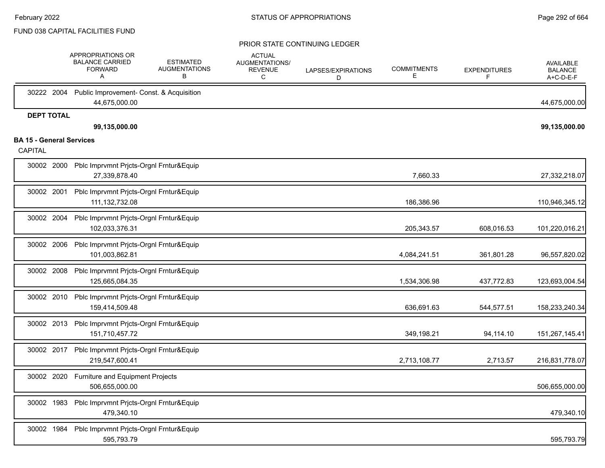|                                 |            | APPROPRIATIONS OR<br><b>BALANCE CARRIED</b><br><b>FORWARD</b><br>Α   | <b>ESTIMATED</b><br><b>AUGMENTATIONS</b><br>В | <b>ACTUAL</b><br>AUGMENTATIONS/<br><b>REVENUE</b><br>С | LAPSES/EXPIRATIONS<br>D | <b>COMMITMENTS</b><br>Е | <b>EXPENDITURES</b><br>F | <b>AVAILABLE</b><br><b>BALANCE</b><br>A+C-D-E-F |
|---------------------------------|------------|----------------------------------------------------------------------|-----------------------------------------------|--------------------------------------------------------|-------------------------|-------------------------|--------------------------|-------------------------------------------------|
| 30222 2004                      |            | Public Improvement- Const. & Acquisition<br>44,675,000.00            |                                               |                                                        |                         |                         |                          | 44,675,000.00                                   |
| <b>DEPT TOTAL</b>               |            | 99,135,000.00                                                        |                                               |                                                        |                         |                         |                          | 99,135,000.00                                   |
| <b>BA 15 - General Services</b> |            |                                                                      |                                               |                                                        |                         |                         |                          |                                                 |
| CAPITAL                         |            |                                                                      |                                               |                                                        |                         |                         |                          |                                                 |
| 30002 2000                      |            | Pblc Imprvmnt Prjcts-Orgnl Frntur&Equip<br>27,339,878.40             |                                               |                                                        |                         | 7,660.33                |                          | 27,332,218.07                                   |
| 30002 2001                      |            | Pblc Imprvmnt Prjcts-Orgnl Frntur&Equip<br>111, 132, 732.08          |                                               |                                                        |                         | 186,386.96              |                          | 110,946,345.12                                  |
|                                 | 30002 2004 | Pblc Imprvmnt Prjcts-Orgnl Frntur&Equip<br>102,033,376.31            |                                               |                                                        |                         | 205,343.57              | 608,016.53               | 101,220,016.21                                  |
|                                 | 30002 2006 | Pblc Imprvmnt Prjcts-Orgnl Frntur&Equip<br>101,003,862.81            |                                               |                                                        |                         | 4,084,241.51            | 361,801.28               | 96,557,820.02                                   |
|                                 | 30002 2008 | Pblc Imprvmnt Prjcts-Orgnl Frntur&Equip<br>125,665,084.35            |                                               |                                                        |                         | 1,534,306.98            | 437,772.83               | 123,693,004.54                                  |
|                                 | 30002 2010 | Pblc Imprvmnt Prjcts-Orgnl Frntur&Equip<br>159,414,509.48            |                                               |                                                        |                         | 636,691.63              | 544,577.51               | 158,233,240.34                                  |
| 30002 2013                      |            | Pblc Imprvmnt Prjcts-Orgnl Frntur&Equip<br>151,710,457.72            |                                               |                                                        |                         | 349,198.21              | 94,114.10                | 151,267,145.41                                  |
|                                 |            | 30002 2017 Pblc Imprvmnt Prjcts-Orgnl Frntur&Equip<br>219,547,600.41 |                                               |                                                        |                         | 2,713,108.77            | 2,713.57                 | 216,831,778.07                                  |
|                                 | 30002 2020 | Furniture and Equipment Projects<br>506,655,000.00                   |                                               |                                                        |                         |                         |                          | 506,655,000.00                                  |
|                                 | 30002 1983 | Pblc Imprvmnt Prjcts-Orgnl Frntur&Equip<br>479,340.10                |                                               |                                                        |                         |                         |                          | 479,340.10                                      |
|                                 | 30002 1984 | Pblc Imprvmnt Prjcts-Orgnl Frntur&Equip<br>595,793.79                |                                               |                                                        |                         |                         |                          | 595,793.79                                      |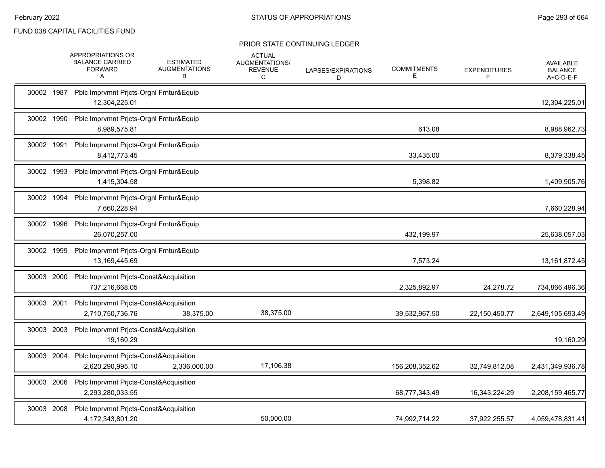|            | APPROPRIATIONS OR<br><b>BALANCE CARRIED</b><br><b>FORWARD</b><br>Α    | <b>ESTIMATED</b><br><b>AUGMENTATIONS</b><br>B | <b>ACTUAL</b><br>AUGMENTATIONS/<br><b>REVENUE</b><br>C | LAPSES/EXPIRATIONS<br>D | <b>COMMITMENTS</b><br>Е | <b>EXPENDITURES</b><br>F | <b>AVAILABLE</b><br><b>BALANCE</b><br>A+C-D-E-F |
|------------|-----------------------------------------------------------------------|-----------------------------------------------|--------------------------------------------------------|-------------------------|-------------------------|--------------------------|-------------------------------------------------|
| 30002 1987 | Pblc Imprvmnt Prjcts-Orgnl Frntur&Equip<br>12,304,225.01              |                                               |                                                        |                         |                         |                          | 12,304,225.01                                   |
| 30002 1990 | Pblc Imprvmnt Prjcts-Orgnl Frntur&Equip<br>8,989,575.81               |                                               |                                                        |                         | 613.08                  |                          | 8,988,962.73                                    |
| 30002 1991 | Pblc Imprvmnt Prjcts-Orgnl Frntur&Equip<br>8,412,773.45               |                                               |                                                        |                         | 33,435.00               |                          | 8,379,338.45                                    |
| 30002 1993 | Pblc Imprvmnt Prjcts-Orgnl Frntur&Equip<br>1,415,304.58               |                                               |                                                        |                         | 5,398.82                |                          | 1,409,905.76                                    |
| 30002 1994 | Pblc Imprvmnt Prjcts-Orgnl Frntur&Equip<br>7,660,228.94               |                                               |                                                        |                         |                         |                          | 7,660,228.94                                    |
| 30002 1996 | Pblc Imprvmnt Prjcts-Orgnl Frntur&Equip<br>26,070,257.00              |                                               |                                                        |                         | 432,199.97              |                          | 25,638,057.03                                   |
| 30002 1999 | Pblc Imprvmnt Prjcts-Orgnl Frntur&Equip<br>13,169,445.69              |                                               |                                                        |                         | 7,573.24                |                          | 13, 161, 872. 45                                |
| 30003 2000 | Pblc Imprvmnt Prjcts-Const&Acquisition<br>737,216,668.05              |                                               |                                                        |                         | 2,325,892.97            | 24,278.72                | 734,866,496.36                                  |
| 30003 2001 | Pblc Imprvmnt Pricts-Const&Acquisition<br>2,710,750,736.76            | 38,375.00                                     | 38,375.00                                              |                         | 39,532,967.50           | 22,150,450.77            | 2,649,105,693.49                                |
| 30003 2003 | Pblc Imprvmnt Prjcts-Const&Acquisition<br>19,160.29                   |                                               |                                                        |                         |                         |                          | 19,160.29                                       |
|            | 30003 2004 Pblc Imprvmnt Pricts-Const&Acquisition<br>2,620,290,995.10 | 2,336,000.00                                  | 17,106.38                                              |                         | 156,208,352.62          | 32,749,812.08            | 2,431,349,936.78                                |
|            | 30003 2006 Pblc Imprvmnt Prjcts-Const&Acquisition<br>2,293,280,033.55 |                                               |                                                        |                         | 68,777,343.49           | 16,343,224.29            | 2,208,159,465.77                                |
| 30003 2008 | Pblc Imprvmnt Prjcts-Const&Acquisition<br>4,172,343,801.20            |                                               | 50,000.00                                              |                         | 74,992,714.22           | 37,922,255.57            | 4,059,478,831.41                                |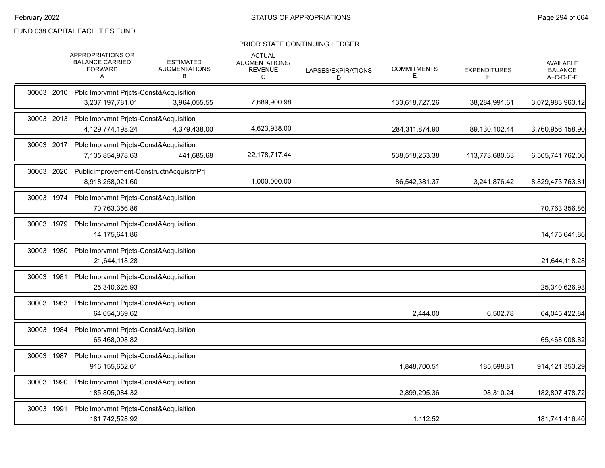|            | APPROPRIATIONS OR<br><b>BALANCE CARRIED</b><br><b>FORWARD</b><br>A    | <b>ESTIMATED</b><br><b>AUGMENTATIONS</b><br>В | <b>ACTUAL</b><br>AUGMENTATIONS/<br><b>REVENUE</b><br>C | LAPSES/EXPIRATIONS<br>D | <b>COMMITMENTS</b><br>Е | <b>EXPENDITURES</b><br>F | <b>AVAILABLE</b><br><b>BALANCE</b><br>A+C-D-E-F |
|------------|-----------------------------------------------------------------------|-----------------------------------------------|--------------------------------------------------------|-------------------------|-------------------------|--------------------------|-------------------------------------------------|
|            | 30003 2010 Pblc Imprvmnt Pricts-Const&Acquisition<br>3,237,197,781.01 | 3,964,055.55                                  | 7,689,900.98                                           |                         | 133,618,727.26          | 38,284,991.61            | 3,072,983,963.12                                |
|            | 30003 2013 Pblc Imprvmnt Prjcts-Const&Acquisition<br>4,129,774,198.24 | 4,379,438.00                                  | 4,623,938.00                                           |                         | 284,311,874.90          | 89,130,102.44            | 3,760,956,158.90                                |
|            | 30003 2017 Pblc Imprvmnt Prjcts-Const&Acquisition<br>7,135,854,978.63 | 441,685.68                                    | 22,178,717.44                                          |                         | 538,518,253.38          | 113,773,680.63           | 6,505,741,762.06                                |
| 30003 2020 | PublicImprovement-ConstructnAcquisitnPrj<br>8,918,258,021.60          |                                               | 1,000,000.00                                           |                         | 86,542,381.37           | 3,241,876.42             | 8,829,473,763.81                                |
| 30003 1974 | Pblc Imprvmnt Pricts-Const&Acquisition<br>70,763,356.86               |                                               |                                                        |                         |                         |                          | 70,763,356.86                                   |
| 30003 1979 | Pblc Imprvmnt Pricts-Const&Acquisition<br>14,175,641.86               |                                               |                                                        |                         |                         |                          | 14,175,641.86                                   |
| 30003 1980 | Pblc Imprvmnt Prjcts-Const&Acquisition<br>21,644,118.28               |                                               |                                                        |                         |                         |                          | 21,644,118.28                                   |
| 30003 1981 | Pblc Imprvmnt Prjcts-Const&Acquisition<br>25,340,626.93               |                                               |                                                        |                         |                         |                          | 25,340,626.93                                   |
| 30003 1983 | Pblc Imprvmnt Prjcts-Const&Acquisition<br>64,054,369.62               |                                               |                                                        |                         | 2,444.00                | 6,502.78                 | 64,045,422.84                                   |
| 30003 1984 | Pblc Imprvmnt Prjcts-Const&Acquisition<br>65,468,008.82               |                                               |                                                        |                         |                         |                          | 65,468,008.82                                   |
| 30003 1987 | Pblc Imprvmnt Prjcts-Const&Acquisition<br>916, 155, 652.61            |                                               |                                                        |                         | 1,848,700.51            | 185,598.81               | 914, 121, 353. 29                               |
| 30003 1990 | Pblc Imprvmnt Pricts-Const&Acquisition<br>185,805,084.32              |                                               |                                                        |                         | 2,899,295.36            | 98,310.24                | 182,807,478.72                                  |
| 30003 1991 | Pblc Imprvmnt Prjcts-Const&Acquisition<br>181,742,528.92              |                                               |                                                        |                         | 1,112.52                |                          | 181,741,416.40                                  |
|            |                                                                       |                                               |                                                        |                         |                         |                          |                                                 |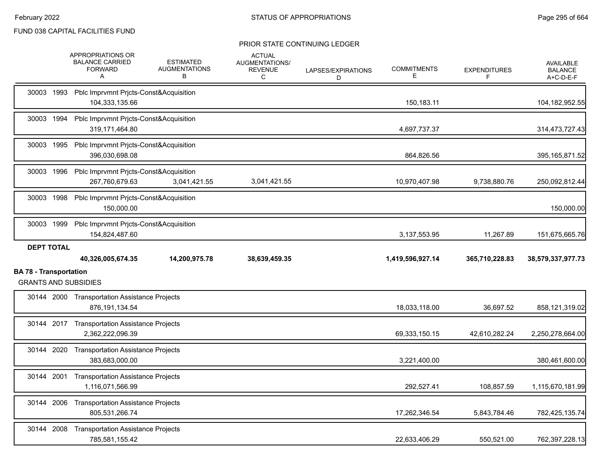|                                                              | APPROPRIATIONS OR<br><b>BALANCE CARRIED</b><br><b>FORWARD</b><br>Α  | <b>ESTIMATED</b><br><b>AUGMENTATIONS</b><br>В | <b>ACTUAL</b><br>AUGMENTATIONS/<br><b>REVENUE</b><br>C | LAPSES/EXPIRATIONS<br>D | <b>COMMITMENTS</b><br>Е | <b>EXPENDITURES</b><br>F | <b>AVAILABLE</b><br><b>BALANCE</b><br>A+C-D-E-F |
|--------------------------------------------------------------|---------------------------------------------------------------------|-----------------------------------------------|--------------------------------------------------------|-------------------------|-------------------------|--------------------------|-------------------------------------------------|
|                                                              | 30003 1993 Pblc Imprvmnt Prjcts-Const&Acquisition<br>104,333,135.66 |                                               |                                                        |                         | 150,183.11              |                          | 104,182,952.55                                  |
|                                                              | 30003 1994 Pblc Imprvmnt Prjcts-Const&Acquisition<br>319,171,464.80 |                                               |                                                        |                         | 4,697,737.37            |                          | 314,473,727.43                                  |
|                                                              | 30003 1995 Pblc Imprvmnt Prjcts-Const&Acquisition<br>396.030.698.08 |                                               |                                                        |                         | 864,826.56              |                          | 395, 165, 871.52                                |
|                                                              | 30003 1996 Pblc Imprvmnt Prjcts-Const&Acquisition<br>267,760,679.63 | 3,041,421.55                                  | 3,041,421.55                                           |                         | 10,970,407.98           | 9,738,880.76             | 250,092,812.44                                  |
|                                                              | 30003 1998 Pblc Imprvmnt Prjcts-Const&Acquisition<br>150.000.00     |                                               |                                                        |                         |                         |                          | 150,000.00                                      |
| 30003 1999                                                   | Pblc Imprvmnt Prjcts-Const&Acquisition<br>154,824,487.60            |                                               |                                                        |                         | 3,137,553.95            | 11,267.89                | 151,675,665.76                                  |
| <b>DEPT TOTAL</b>                                            |                                                                     |                                               |                                                        |                         |                         |                          |                                                 |
|                                                              | 40,326,005,674.35                                                   | 14,200,975.78                                 | 38,639,459.35                                          |                         | 1,419,596,927.14        | 365,710,228.83           | 38,579,337,977.73                               |
| <b>BA 78 - Transportation</b><br><b>GRANTS AND SUBSIDIES</b> |                                                                     |                                               |                                                        |                         |                         |                          |                                                 |
|                                                              | 30144 2000 Transportation Assistance Projects<br>876, 191, 134.54   |                                               |                                                        |                         | 18,033,118.00           | 36,697.52                | 858,121,319.02                                  |
|                                                              | 30144 2017 Transportation Assistance Projects<br>2,362,222,096.39   |                                               |                                                        |                         | 69,333,150.15           | 42,610,282.24            |                                                 |
|                                                              | 30144 2020 Transportation Assistance Projects<br>383,683,000.00     |                                               |                                                        |                         | 3,221,400.00            |                          | 2,250,278,664.00<br>380,461,600.00              |
|                                                              | 30144 2001 Transportation Assistance Projects<br>1,116,071,566.99   |                                               |                                                        |                         | 292,527.41              | 108,857.59               | 1,115,670,181.99                                |
|                                                              | 30144 2006 Transportation Assistance Projects<br>805,531,266.74     |                                               |                                                        |                         | 17,262,346.54           | 5,843,784.46             | 782,425,135.74                                  |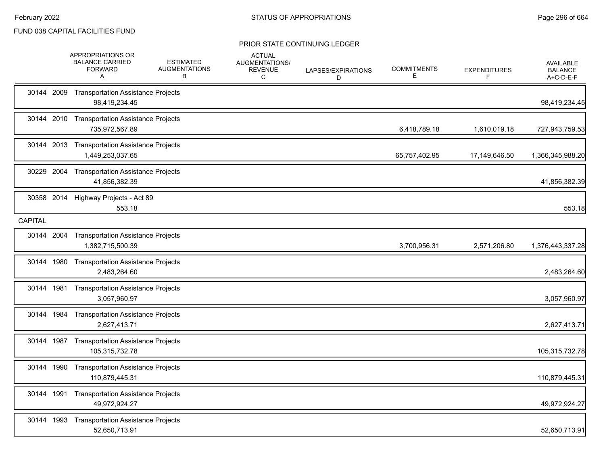|            | <b>APPROPRIATIONS OR</b><br><b>BALANCE CARRIED</b><br><b>FORWARD</b><br>Α | <b>ESTIMATED</b><br><b>AUGMENTATIONS</b><br>B | <b>ACTUAL</b><br>AUGMENTATIONS/<br><b>REVENUE</b><br>C | LAPSES/EXPIRATIONS<br>D | <b>COMMITMENTS</b><br>E. | <b>EXPENDITURES</b><br>F. | AVAILABLE<br><b>BALANCE</b><br>A+C-D-E-F |
|------------|---------------------------------------------------------------------------|-----------------------------------------------|--------------------------------------------------------|-------------------------|--------------------------|---------------------------|------------------------------------------|
| 30144 2009 | <b>Transportation Assistance Projects</b><br>98,419,234.45                |                                               |                                                        |                         |                          |                           | 98,419,234.45                            |
|            | 30144 2010 Transportation Assistance Projects<br>735,972,567.89           |                                               |                                                        |                         | 6,418,789.18             | 1,610,019.18              | 727,943,759.53                           |
|            | 30144 2013 Transportation Assistance Projects<br>1,449,253,037.65         |                                               |                                                        |                         | 65,757,402.95            | 17,149,646.50             | 1,366,345,988.20                         |
| 30229 2004 | <b>Transportation Assistance Projects</b><br>41,856,382.39                |                                               |                                                        |                         |                          |                           | 41,856,382.39                            |
| 30358 2014 | Highway Projects - Act 89<br>553.18                                       |                                               |                                                        |                         |                          |                           | 553.18                                   |
| CAPITAL    |                                                                           |                                               |                                                        |                         |                          |                           |                                          |
|            | 30144 2004 Transportation Assistance Projects<br>1,382,715,500.39         |                                               |                                                        |                         | 3,700,956.31             | 2,571,206.80              | 1,376,443,337.28                         |
|            | 30144 1980 Transportation Assistance Projects<br>2,483,264.60             |                                               |                                                        |                         |                          |                           | 2,483,264.60                             |
| 30144 1981 | <b>Transportation Assistance Projects</b><br>3,057,960.97                 |                                               |                                                        |                         |                          |                           | 3,057,960.97                             |
| 30144 1984 | <b>Transportation Assistance Projects</b><br>2,627,413.71                 |                                               |                                                        |                         |                          |                           | 2,627,413.71                             |
| 30144 1987 | <b>Transportation Assistance Projects</b><br>105,315,732.78               |                                               |                                                        |                         |                          |                           | 105,315,732.78                           |
| 30144 1990 | <b>Transportation Assistance Projects</b><br>110,879,445.31               |                                               |                                                        |                         |                          |                           | 110,879,445.31                           |
| 30144 1991 | <b>Transportation Assistance Projects</b><br>49,972,924.27                |                                               |                                                        |                         |                          |                           | 49,972,924.27                            |
| 30144 1993 | <b>Transportation Assistance Projects</b><br>52,650,713.91                |                                               |                                                        |                         |                          |                           | 52,650,713.91                            |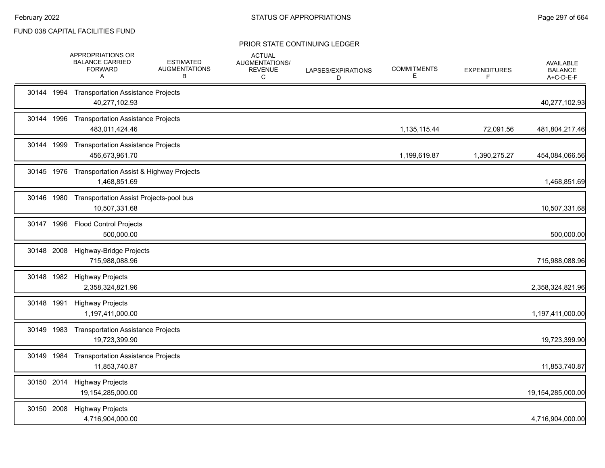|            | APPROPRIATIONS OR<br><b>BALANCE CARRIED</b><br><b>FORWARD</b><br>A | <b>ESTIMATED</b><br><b>AUGMENTATIONS</b><br>В | <b>ACTUAL</b><br>AUGMENTATIONS/<br>REVENUE<br>C | LAPSES/EXPIRATIONS<br>D | <b>COMMITMENTS</b><br>Е | <b>EXPENDITURES</b><br>F | <b>AVAILABLE</b><br><b>BALANCE</b><br>A+C-D-E-F |
|------------|--------------------------------------------------------------------|-----------------------------------------------|-------------------------------------------------|-------------------------|-------------------------|--------------------------|-------------------------------------------------|
|            | 30144 1994 Transportation Assistance Projects<br>40,277,102.93     |                                               |                                                 |                         |                         |                          | 40,277,102.93                                   |
| 30144 1996 | <b>Transportation Assistance Projects</b><br>483,011,424.46        |                                               |                                                 |                         | 1,135,115.44            | 72,091.56                | 481,804,217.46                                  |
| 30144 1999 | <b>Transportation Assistance Projects</b><br>456,673,961.70        |                                               |                                                 |                         | 1,199,619.87            | 1,390,275.27             | 454,084,066.56                                  |
| 30145 1976 | Transportation Assist & Highway Projects<br>1,468,851.69           |                                               |                                                 |                         |                         |                          | 1,468,851.69                                    |
| 30146 1980 | Transportation Assist Projects-pool bus<br>10,507,331.68           |                                               |                                                 |                         |                         |                          | 10,507,331.68                                   |
| 30147 1996 | <b>Flood Control Projects</b><br>500,000.00                        |                                               |                                                 |                         |                         |                          | 500,000.00                                      |
| 30148 2008 | Highway-Bridge Projects<br>715,988,088.96                          |                                               |                                                 |                         |                         |                          | 715,988,088.96                                  |
|            | 30148 1982 Highway Projects<br>2,358,324,821.96                    |                                               |                                                 |                         |                         |                          | 2,358,324,821.96                                |
|            | 30148 1991 Highway Projects<br>1,197,411,000.00                    |                                               |                                                 |                         |                         |                          | 1,197,411,000.00                                |
| 30149 1983 | <b>Transportation Assistance Projects</b><br>19,723,399.90         |                                               |                                                 |                         |                         |                          | 19,723,399.90                                   |
| 30149 1984 | <b>Transportation Assistance Projects</b><br>11,853,740.87         |                                               |                                                 |                         |                         |                          | 11,853,740.87                                   |
|            | 30150 2014 Highway Projects<br>19,154,285,000.00                   |                                               |                                                 |                         |                         |                          | 19,154,285,000.00                               |
| 30150 2008 | <b>Highway Projects</b><br>4,716,904,000.00                        |                                               |                                                 |                         |                         |                          | 4,716,904,000.00                                |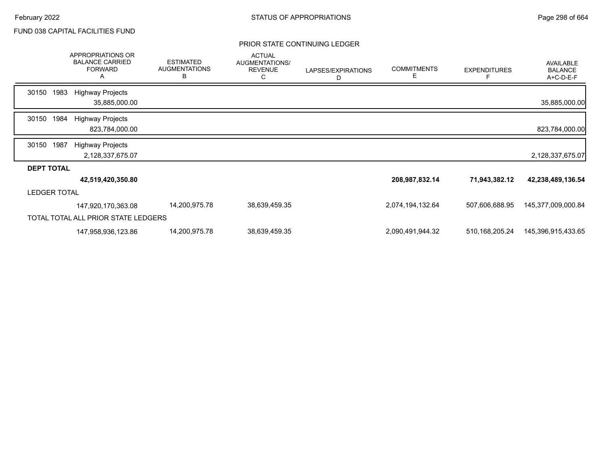|                     |      | APPROPRIATIONS OR<br><b>BALANCE CARRIED</b><br><b>FORWARD</b><br>Α | <b>ESTIMATED</b><br><b>AUGMENTATIONS</b><br>B | <b>ACTUAL</b><br>AUGMENTATIONS/<br><b>REVENUE</b><br>С | LAPSES/EXPIRATIONS<br>D | <b>COMMITMENTS</b><br>Е | <b>EXPENDITURES</b><br>F | <b>AVAILABLE</b><br><b>BALANCE</b><br>A+C-D-E-F |
|---------------------|------|--------------------------------------------------------------------|-----------------------------------------------|--------------------------------------------------------|-------------------------|-------------------------|--------------------------|-------------------------------------------------|
| 30150               | 1983 | <b>Highway Projects</b>                                            |                                               |                                                        |                         |                         |                          |                                                 |
|                     |      | 35,885,000.00                                                      |                                               |                                                        |                         |                         |                          | 35,885,000.00                                   |
| 30150               | 1984 | <b>Highway Projects</b>                                            |                                               |                                                        |                         |                         |                          |                                                 |
|                     |      | 823,784,000.00                                                     |                                               |                                                        |                         |                         |                          | 823,784,000.00                                  |
| 30150               | 1987 | <b>Highway Projects</b>                                            |                                               |                                                        |                         |                         |                          |                                                 |
|                     |      | 2,128,337,675.07                                                   |                                               |                                                        |                         |                         |                          | 2,128,337,675.07                                |
| <b>DEPT TOTAL</b>   |      |                                                                    |                                               |                                                        |                         |                         |                          |                                                 |
|                     |      | 42,519,420,350.80                                                  |                                               |                                                        |                         | 208,987,832.14          | 71,943,382.12            | 42,238,489,136.54                               |
| <b>LEDGER TOTAL</b> |      |                                                                    |                                               |                                                        |                         |                         |                          |                                                 |
|                     |      | 147,920,170,363.08                                                 | 14,200,975.78                                 | 38,639,459.35                                          |                         | 2,074,194,132.64        | 507,606,688.95           | 145,377,009,000.84                              |
|                     |      | TOTAL TOTAL ALL PRIOR STATE LEDGERS                                |                                               |                                                        |                         |                         |                          |                                                 |
|                     |      | 147,958,936,123.86                                                 | 14,200,975.78                                 | 38,639,459.35                                          |                         | 2,090,491,944.32        | 510, 168, 205. 24        | 145,396,915,433.65                              |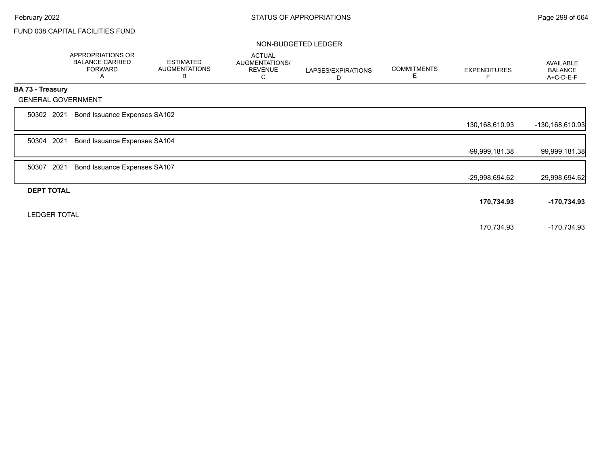|                         | APPROPRIATIONS OR<br><b>BALANCE CARRIED</b><br><b>FORWARD</b><br>A | <b>ESTIMATED</b><br><b>AUGMENTATIONS</b><br>B | <b>ACTUAL</b><br>AUGMENTATIONS/<br><b>REVENUE</b><br>C | LAPSES/EXPIRATIONS<br>D | <b>COMMITMENTS</b><br>Е | <b>EXPENDITURES</b> | AVAILABLE<br><b>BALANCE</b><br>A+C-D-E-F |
|-------------------------|--------------------------------------------------------------------|-----------------------------------------------|--------------------------------------------------------|-------------------------|-------------------------|---------------------|------------------------------------------|
| <b>BA 73 - Treasury</b> |                                                                    |                                               |                                                        |                         |                         |                     |                                          |
|                         | <b>GENERAL GOVERNMENT</b>                                          |                                               |                                                        |                         |                         |                     |                                          |
| 50302 2021              | Bond Issuance Expenses SA102                                       |                                               |                                                        |                         |                         |                     |                                          |
|                         |                                                                    |                                               |                                                        |                         |                         | 130,168,610.93      | -130,168,610.93                          |
| 50304 2021              | Bond Issuance Expenses SA104                                       |                                               |                                                        |                         |                         |                     |                                          |
|                         |                                                                    |                                               |                                                        |                         |                         | -99,999,181.38      | 99,999,181.38                            |
| 2021<br>50307           | Bond Issuance Expenses SA107                                       |                                               |                                                        |                         |                         |                     |                                          |
|                         |                                                                    |                                               |                                                        |                         |                         | -29,998,694.62      | 29,998,694.62                            |
| <b>DEPT TOTAL</b>       |                                                                    |                                               |                                                        |                         |                         |                     |                                          |
|                         |                                                                    |                                               |                                                        |                         |                         | 170,734.93          | -170,734.93                              |
| <b>LEDGER TOTAL</b>     |                                                                    |                                               |                                                        |                         |                         |                     |                                          |
|                         |                                                                    |                                               |                                                        |                         |                         | 170,734.93          | -170,734.93                              |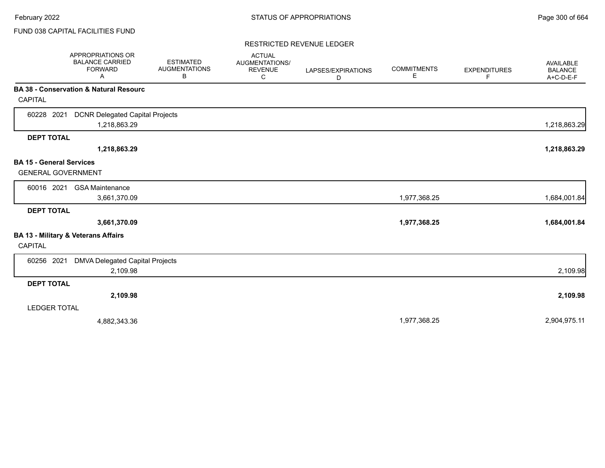#### RESTRICTED REVENUE LEDGER

|                                 | APPROPRIATIONS OR<br><b>BALANCE CARRIED</b><br><b>FORWARD</b><br>Α | <b>ESTIMATED</b><br><b>AUGMENTATIONS</b><br>В | <b>ACTUAL</b><br>AUGMENTATIONS/<br><b>REVENUE</b><br>С | LAPSES/EXPIRATIONS<br>D | <b>COMMITMENTS</b><br>Е | <b>EXPENDITURES</b><br>F | AVAILABLE<br><b>BALANCE</b><br>A+C-D-E-F |
|---------------------------------|--------------------------------------------------------------------|-----------------------------------------------|--------------------------------------------------------|-------------------------|-------------------------|--------------------------|------------------------------------------|
|                                 | <b>BA 38 - Conservation &amp; Natural Resourc</b>                  |                                               |                                                        |                         |                         |                          |                                          |
| <b>CAPITAL</b>                  |                                                                    |                                               |                                                        |                         |                         |                          |                                          |
| 60228 2021                      | <b>DCNR Delegated Capital Projects</b>                             |                                               |                                                        |                         |                         |                          |                                          |
|                                 | 1,218,863.29                                                       |                                               |                                                        |                         |                         |                          | 1,218,863.29                             |
| <b>DEPT TOTAL</b>               |                                                                    |                                               |                                                        |                         |                         |                          |                                          |
|                                 | 1,218,863.29                                                       |                                               |                                                        |                         |                         |                          | 1,218,863.29                             |
| <b>BA 15 - General Services</b> |                                                                    |                                               |                                                        |                         |                         |                          |                                          |
| <b>GENERAL GOVERNMENT</b>       |                                                                    |                                               |                                                        |                         |                         |                          |                                          |
| 60016 2021                      | <b>GSA Maintenance</b>                                             |                                               |                                                        |                         |                         |                          |                                          |
|                                 | 3,661,370.09                                                       |                                               |                                                        |                         | 1,977,368.25            |                          | 1,684,001.84                             |
| <b>DEPT TOTAL</b>               |                                                                    |                                               |                                                        |                         |                         |                          |                                          |
|                                 | 3,661,370.09                                                       |                                               |                                                        |                         | 1,977,368.25            |                          | 1,684,001.84                             |
|                                 | BA 13 - Military & Veterans Affairs                                |                                               |                                                        |                         |                         |                          |                                          |
| CAPITAL                         |                                                                    |                                               |                                                        |                         |                         |                          |                                          |
| 60256 2021                      | <b>DMVA Delegated Capital Projects</b>                             |                                               |                                                        |                         |                         |                          |                                          |
|                                 | 2,109.98                                                           |                                               |                                                        |                         |                         |                          | 2,109.98                                 |
| <b>DEPT TOTAL</b>               |                                                                    |                                               |                                                        |                         |                         |                          |                                          |
|                                 | 2,109.98                                                           |                                               |                                                        |                         |                         |                          | 2,109.98                                 |
| <b>LEDGER TOTAL</b>             |                                                                    |                                               |                                                        |                         |                         |                          |                                          |
|                                 | 4,882,343.36                                                       |                                               |                                                        |                         | 1,977,368.25            |                          | 2,904,975.11                             |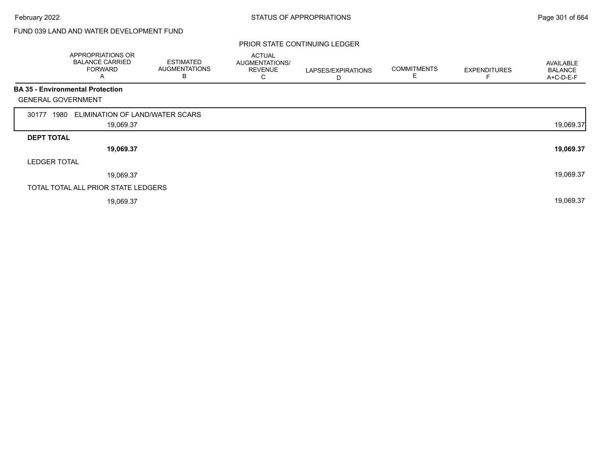# FUND 039 LAND AND WATER DEVELOPMENT FUND

|                           | APPROPRIATIONS OR<br><b>BALANCE CARRIED</b><br><b>FORWARD</b><br>A | <b>ESTIMATED</b><br><b>AUGMENTATIONS</b><br>B | <b>ACTUAL</b><br>AUGMENTATIONS/<br><b>REVENUE</b><br>C | LAPSES/EXPIRATIONS<br>D | <b>COMMITMENTS</b><br>E | <b>EXPENDITURES</b> | AVAILABLE<br><b>BALANCE</b><br>A+C-D-E-F |
|---------------------------|--------------------------------------------------------------------|-----------------------------------------------|--------------------------------------------------------|-------------------------|-------------------------|---------------------|------------------------------------------|
|                           | <b>BA 35 - Environmental Protection</b>                            |                                               |                                                        |                         |                         |                     |                                          |
| <b>GENERAL GOVERNMENT</b> |                                                                    |                                               |                                                        |                         |                         |                     |                                          |
| 1980<br>30177             | ELIMINATION OF LAND/WATER SCARS                                    |                                               |                                                        |                         |                         |                     |                                          |
|                           | 19,069.37                                                          |                                               |                                                        |                         |                         |                     | 19,069.37                                |
| <b>DEPT TOTAL</b>         |                                                                    |                                               |                                                        |                         |                         |                     |                                          |
|                           | 19,069.37                                                          |                                               |                                                        |                         |                         |                     | 19,069.37                                |
| <b>LEDGER TOTAL</b>       |                                                                    |                                               |                                                        |                         |                         |                     |                                          |
|                           | 19,069.37                                                          |                                               |                                                        |                         |                         |                     | 19,069.37                                |
|                           | TOTAL TOTAL ALL PRIOR STATE LEDGERS                                |                                               |                                                        |                         |                         |                     |                                          |
|                           | 19,069.37                                                          |                                               |                                                        |                         |                         |                     | 19,069.37                                |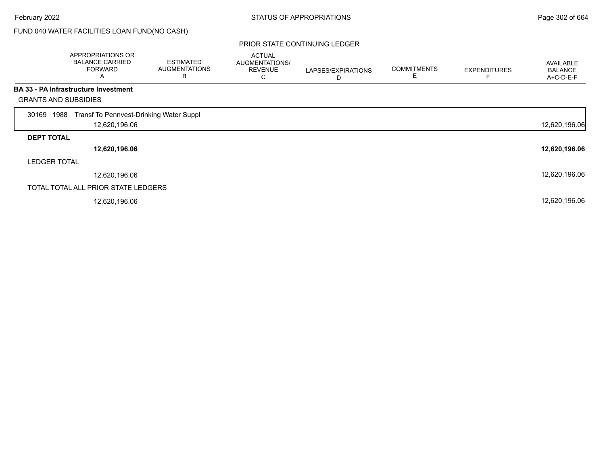# FUND 040 WATER FACILITIES LOAN FUND(NO CASH)

|                             | APPROPRIATIONS OR<br><b>BALANCE CARRIED</b><br><b>FORWARD</b><br>Α | <b>ESTIMATED</b><br><b>AUGMENTATIONS</b><br>B | <b>ACTUAL</b><br>AUGMENTATIONS/<br><b>REVENUE</b><br>◡ | LAPSES/EXPIRATIONS<br>D | <b>COMMITMENTS</b><br>E | <b>EXPENDITURES</b> | <b>AVAILABLE</b><br><b>BALANCE</b><br>A+C-D-E-F |
|-----------------------------|--------------------------------------------------------------------|-----------------------------------------------|--------------------------------------------------------|-------------------------|-------------------------|---------------------|-------------------------------------------------|
|                             | <b>BA 33 - PA Infrastructure Investment</b>                        |                                               |                                                        |                         |                         |                     |                                                 |
| <b>GRANTS AND SUBSIDIES</b> |                                                                    |                                               |                                                        |                         |                         |                     |                                                 |
| 1988<br>30169               | Transf To Pennvest-Drinking Water Suppl                            |                                               |                                                        |                         |                         |                     |                                                 |
|                             | 12,620,196.06                                                      |                                               |                                                        |                         |                         |                     | 12,620,196.06                                   |
| <b>DEPT TOTAL</b>           |                                                                    |                                               |                                                        |                         |                         |                     |                                                 |
|                             | 12,620,196.06                                                      |                                               |                                                        |                         |                         |                     | 12,620,196.06                                   |
| <b>LEDGER TOTAL</b>         |                                                                    |                                               |                                                        |                         |                         |                     |                                                 |
|                             | 12,620,196.06                                                      |                                               |                                                        |                         |                         |                     | 12,620,196.06                                   |
|                             | TOTAL TOTAL ALL PRIOR STATE LEDGERS                                |                                               |                                                        |                         |                         |                     |                                                 |
|                             | 12,620,196.06                                                      |                                               |                                                        |                         |                         |                     | 12,620,196.06                                   |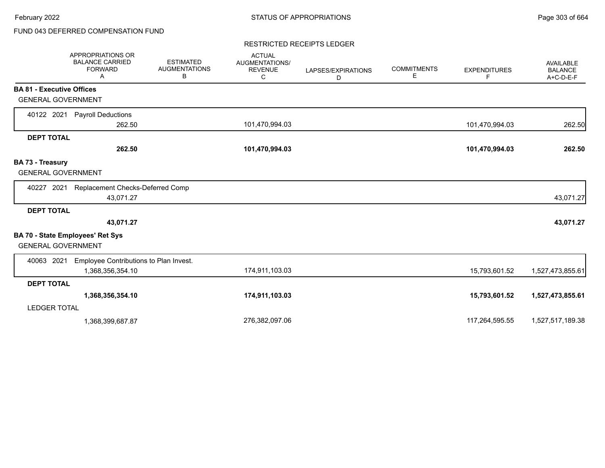# FUND 043 DEFERRED COMPENSATION FUND

#### RESTRICTED RECEIPTS LEDGER

|                                               | <b>APPROPRIATIONS OR</b><br><b>BALANCE CARRIED</b><br><b>FORWARD</b><br>A | <b>ESTIMATED</b><br><b>AUGMENTATIONS</b><br>В | <b>ACTUAL</b><br><b>AUGMENTATIONS/</b><br><b>REVENUE</b><br>C | LAPSES/EXPIRATIONS<br>D | <b>COMMITMENTS</b><br>Е | <b>EXPENDITURES</b><br>F | <b>AVAILABLE</b><br><b>BALANCE</b><br>$A+C-D-E-F$ |
|-----------------------------------------------|---------------------------------------------------------------------------|-----------------------------------------------|---------------------------------------------------------------|-------------------------|-------------------------|--------------------------|---------------------------------------------------|
| <b>BA 81 - Executive Offices</b>              |                                                                           |                                               |                                                               |                         |                         |                          |                                                   |
| <b>GENERAL GOVERNMENT</b>                     |                                                                           |                                               |                                                               |                         |                         |                          |                                                   |
| 40122 2021                                    | <b>Payroll Deductions</b>                                                 |                                               |                                                               |                         |                         |                          |                                                   |
|                                               | 262.50                                                                    |                                               | 101,470,994.03                                                |                         |                         | 101,470,994.03           | 262.50                                            |
| <b>DEPT TOTAL</b>                             |                                                                           |                                               |                                                               |                         |                         |                          |                                                   |
|                                               | 262.50                                                                    |                                               | 101,470,994.03                                                |                         |                         | 101,470,994.03           | 262.50                                            |
| BA 73 - Treasury<br><b>GENERAL GOVERNMENT</b> |                                                                           |                                               |                                                               |                         |                         |                          |                                                   |
| 2021<br>40227                                 | Replacement Checks-Deferred Comp<br>43,071.27                             |                                               |                                                               |                         |                         |                          | 43,071.27                                         |
| <b>DEPT TOTAL</b>                             | 43,071.27                                                                 |                                               |                                                               |                         |                         |                          | 43,071.27                                         |
| <b>GENERAL GOVERNMENT</b>                     | <b>BA 70 - State Employees' Ret Sys</b>                                   |                                               |                                                               |                         |                         |                          |                                                   |
| 40063 2021                                    | Employee Contributions to Plan Invest.<br>1,368,356,354.10                |                                               | 174,911,103.03                                                |                         |                         | 15,793,601.52            | 1,527,473,855.61                                  |
| <b>DEPT TOTAL</b>                             |                                                                           |                                               |                                                               |                         |                         |                          |                                                   |
|                                               | 1,368,356,354.10                                                          |                                               | 174,911,103.03                                                |                         |                         | 15,793,601.52            | 1,527,473,855.61                                  |
| <b>LEDGER TOTAL</b>                           |                                                                           |                                               |                                                               |                         |                         |                          |                                                   |
|                                               | 1,368,399,687.87                                                          |                                               | 276,382,097.06                                                |                         |                         | 117,264,595.55           | 1,527,517,189.38                                  |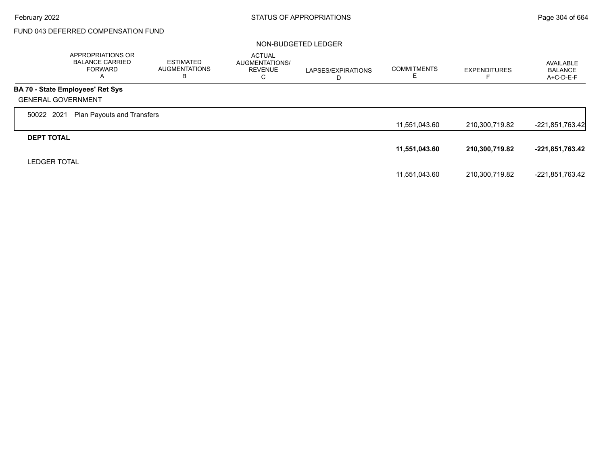Г

# FUND 043 DEFERRED COMPENSATION FUND

|                           | APPROPRIATIONS OR<br><b>BALANCE CARRIED</b><br>FORWARD<br>A | <b>ESTIMATED</b><br><b>AUGMENTATIONS</b><br>в | <b>ACTUAL</b><br>AUGMENTATIONS/<br><b>REVENUE</b><br>C | LAPSES/EXPIRATIONS<br>D | <b>COMMITMENTS</b><br>F. | <b>EXPENDITURES</b> | AVAILABLE<br><b>BALANCE</b><br>$A+C-D-E-F$ |
|---------------------------|-------------------------------------------------------------|-----------------------------------------------|--------------------------------------------------------|-------------------------|--------------------------|---------------------|--------------------------------------------|
|                           | <b>BA 70 - State Employees' Ret Sys</b>                     |                                               |                                                        |                         |                          |                     |                                            |
| <b>GENERAL GOVERNMENT</b> |                                                             |                                               |                                                        |                         |                          |                     |                                            |
| 50022 2021                | Plan Payouts and Transfers                                  |                                               |                                                        |                         |                          |                     |                                            |
|                           |                                                             |                                               |                                                        |                         | 11,551,043.60            | 210,300,719.82      | $-221,851,763.42$                          |
| <b>DEPT TOTAL</b>         |                                                             |                                               |                                                        |                         |                          |                     |                                            |
|                           |                                                             |                                               |                                                        |                         | 11,551,043.60            | 210,300,719.82      | -221,851,763.42                            |
| <b>LEDGER TOTAL</b>       |                                                             |                                               |                                                        |                         |                          |                     |                                            |
|                           |                                                             |                                               |                                                        |                         | 11,551,043.60            | 210,300,719.82      | -221,851,763.42                            |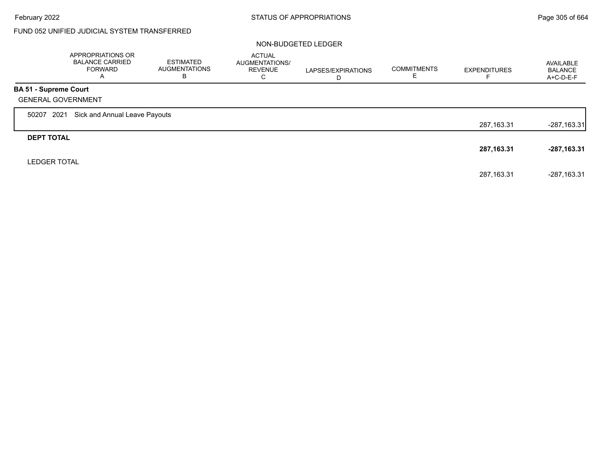$\Gamma$ 

## FUND 052 UNIFIED JUDICIAL SYSTEM TRANSFERRED

|                              | APPROPRIATIONS OR<br><b>BALANCE CARRIED</b><br><b>FORWARD</b><br>$\overline{\mathsf{A}}$ | ESTIMATED<br><b>AUGMENTATIONS</b><br>в | <b>ACTUAL</b><br>AUGMENTATIONS/<br><b>REVENUE</b><br>С | LAPSES/EXPIRATIONS<br>D | <b>COMMITMENTS</b> | <b>EXPENDITURES</b> | AVAILABLE<br><b>BALANCE</b><br>A+C-D-E-F |
|------------------------------|------------------------------------------------------------------------------------------|----------------------------------------|--------------------------------------------------------|-------------------------|--------------------|---------------------|------------------------------------------|
| <b>BA 51 - Supreme Court</b> |                                                                                          |                                        |                                                        |                         |                    |                     |                                          |
|                              | <b>GENERAL GOVERNMENT</b>                                                                |                                        |                                                        |                         |                    |                     |                                          |
| 50207                        | Sick and Annual Leave Payouts<br>2021                                                    |                                        |                                                        |                         |                    |                     |                                          |
|                              |                                                                                          |                                        |                                                        |                         |                    | 287,163.31          | $-287,163.31$                            |
| <b>DEPT TOTAL</b>            |                                                                                          |                                        |                                                        |                         |                    |                     |                                          |
|                              |                                                                                          |                                        |                                                        |                         |                    | 287,163.31          | $-287,163.31$                            |
| <b>LEDGER TOTAL</b>          |                                                                                          |                                        |                                                        |                         |                    |                     |                                          |
|                              |                                                                                          |                                        |                                                        |                         |                    | 287.163.31          | $-287.163.31$                            |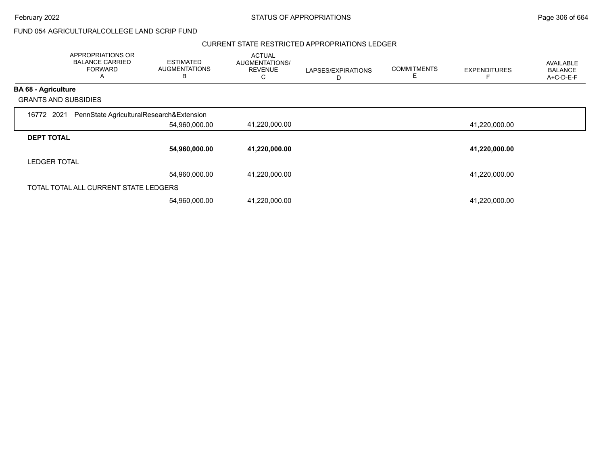February 2022 **Example 2008** STATUS OF APPROPRIATIONS **Page 306 of 664** 

### FUND 054 AGRICULTURALCOLLEGE LAND SCRIP FUND

#### CURRENT STATE RESTRICTED APPROPRIATIONS LEDGER

|                             | APPROPRIATIONS OR<br><b>BALANCE CARRIED</b><br><b>FORWARD</b><br>Α | <b>ESTIMATED</b><br><b>AUGMENTATIONS</b><br>В | <b>ACTUAL</b><br>AUGMENTATIONS/<br><b>REVENUE</b><br>С | LAPSES/EXPIRATIONS<br>D | <b>COMMITMENTS</b><br>E | <b>EXPENDITURES</b> | <b>AVAILABLE</b><br><b>BALANCE</b><br>$A+C-D-E-F$ |
|-----------------------------|--------------------------------------------------------------------|-----------------------------------------------|--------------------------------------------------------|-------------------------|-------------------------|---------------------|---------------------------------------------------|
| <b>BA 68 - Agriculture</b>  |                                                                    |                                               |                                                        |                         |                         |                     |                                                   |
| <b>GRANTS AND SUBSIDIES</b> |                                                                    |                                               |                                                        |                         |                         |                     |                                                   |
| 16772 2021                  | PennState AgriculturalResearch&Extension                           |                                               |                                                        |                         |                         |                     |                                                   |
|                             |                                                                    | 54,960,000.00                                 | 41,220,000.00                                          |                         |                         | 41,220,000.00       |                                                   |
| <b>DEPT TOTAL</b>           |                                                                    |                                               |                                                        |                         |                         |                     |                                                   |
|                             |                                                                    | 54,960,000.00                                 | 41,220,000.00                                          |                         |                         | 41,220,000.00       |                                                   |
| <b>LEDGER TOTAL</b>         |                                                                    |                                               |                                                        |                         |                         |                     |                                                   |
|                             |                                                                    | 54,960,000.00                                 | 41,220,000.00                                          |                         |                         | 41,220,000.00       |                                                   |
|                             | TOTAL TOTAL ALL CURRENT STATE LEDGERS                              |                                               |                                                        |                         |                         |                     |                                                   |
|                             |                                                                    | 54,960,000.00                                 | 41,220,000.00                                          |                         |                         | 41,220,000.00       |                                                   |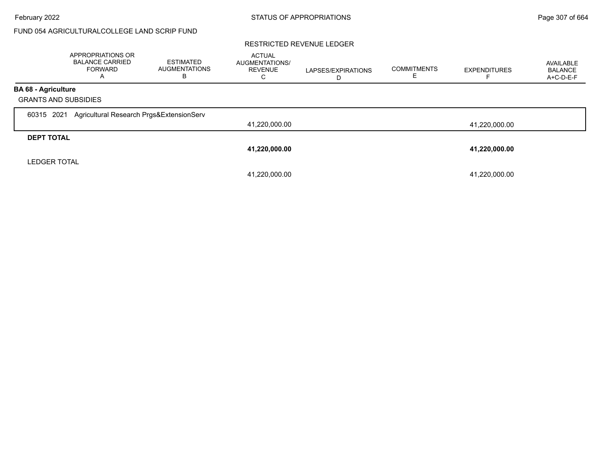## FUND 054 AGRICULTURALCOLLEGE LAND SCRIP FUND

#### RESTRICTED REVENUE LEDGER

|                                                           | <b>APPROPRIATIONS OR</b><br><b>BALANCE CARRIED</b><br>FORWARD<br>$\mathsf{A}$ | <b>ESTIMATED</b><br><b>AUGMENTATIONS</b><br>В | <b>ACTUAL</b><br>AUGMENTATIONS/<br><b>REVENUE</b><br>⌒<br>◡ | LAPSES/EXPIRATIONS | <b>COMMITMENTS</b> | <b>EXPENDITURES</b> | AVAILABLE<br><b>BALANCE</b><br>A+C-D-E-F |
|-----------------------------------------------------------|-------------------------------------------------------------------------------|-----------------------------------------------|-------------------------------------------------------------|--------------------|--------------------|---------------------|------------------------------------------|
| <b>BA 68 - Agriculture</b><br><b>GRANTS AND SUBSIDIES</b> |                                                                               |                                               |                                                             |                    |                    |                     |                                          |
| 2021<br>60315                                             | Agricultural Research Prgs&ExtensionServ                                      |                                               | 41,220,000.00                                               |                    |                    | 41,220,000.00       |                                          |
| <b>DEPT TOTAL</b>                                         |                                                                               |                                               | 41,220,000.00                                               |                    |                    | 41,220,000.00       |                                          |
| <b>LEDGER TOTAL</b>                                       |                                                                               |                                               | 41,220,000.00                                               |                    |                    | 41,220,000.00       |                                          |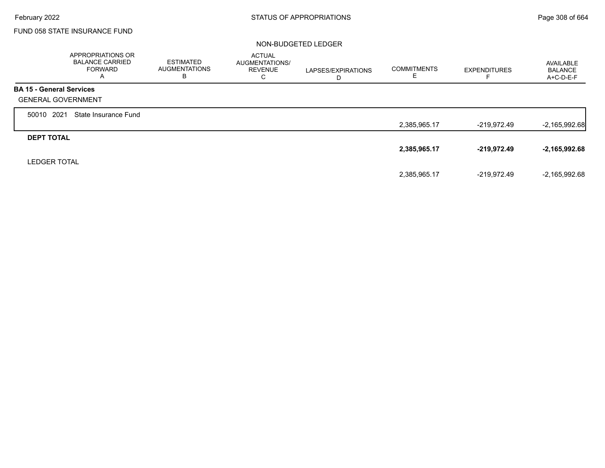г

## FUND 058 STATE INSURANCE FUND

|                                 | <b>APPROPRIATIONS OR</b><br><b>BALANCE CARRIED</b><br><b>FORWARD</b><br>A | <b>ESTIMATED</b><br><b>AUGMENTATIONS</b><br>в | <b>ACTUAL</b><br><b>AUGMENTATIONS/</b><br><b>REVENUE</b><br>С | LAPSES/EXPIRATIONS<br>D | <b>COMMITMENTS</b><br>E | <b>EXPENDITURES</b> | AVAILABLE<br><b>BALANCE</b><br>$A+C-D-E-F$ |
|---------------------------------|---------------------------------------------------------------------------|-----------------------------------------------|---------------------------------------------------------------|-------------------------|-------------------------|---------------------|--------------------------------------------|
| <b>BA 15 - General Services</b> |                                                                           |                                               |                                                               |                         |                         |                     |                                            |
| <b>GENERAL GOVERNMENT</b>       |                                                                           |                                               |                                                               |                         |                         |                     |                                            |
| 2021<br>50010                   | State Insurance Fund                                                      |                                               |                                                               |                         |                         |                     |                                            |
|                                 |                                                                           |                                               |                                                               |                         | 2,385,965.17            | $-219,972.49$       | $-2,165,992.68$                            |
| <b>DEPT TOTAL</b>               |                                                                           |                                               |                                                               |                         |                         |                     |                                            |
|                                 |                                                                           |                                               |                                                               |                         | 2,385,965.17            | $-219,972.49$       | $-2,165,992.68$                            |
| <b>LEDGER TOTAL</b>             |                                                                           |                                               |                                                               |                         |                         |                     |                                            |
|                                 |                                                                           |                                               |                                                               |                         | 2,385,965.17            | -219,972.49         | $-2,165,992.68$                            |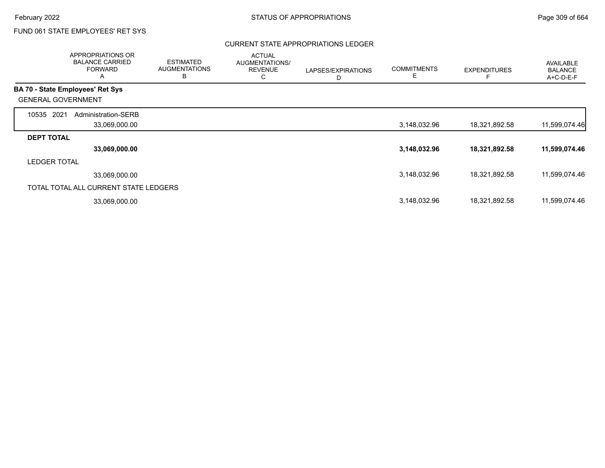### CURRENT STATE APPROPRIATIONS LEDGER

|                                         | APPROPRIATIONS OR<br><b>BALANCE CARRIED</b><br><b>FORWARD</b><br>A | <b>ESTIMATED</b><br><b>AUGMENTATIONS</b><br>B | <b>ACTUAL</b><br>AUGMENTATIONS/<br><b>REVENUE</b><br>С | LAPSES/EXPIRATIONS<br>D | <b>COMMITMENTS</b><br>E | <b>EXPENDITURES</b> | <b>AVAILABLE</b><br><b>BALANCE</b><br>$A+C-D-E-F$ |
|-----------------------------------------|--------------------------------------------------------------------|-----------------------------------------------|--------------------------------------------------------|-------------------------|-------------------------|---------------------|---------------------------------------------------|
| <b>BA 70 - State Employees' Ret Sys</b> |                                                                    |                                               |                                                        |                         |                         |                     |                                                   |
| <b>GENERAL GOVERNMENT</b>               |                                                                    |                                               |                                                        |                         |                         |                     |                                                   |
| 2021<br>10535                           | Administration-SERB                                                |                                               |                                                        |                         |                         |                     |                                                   |
|                                         | 33,069,000.00                                                      |                                               |                                                        |                         | 3,148,032.96            | 18,321,892.58       | 11,599,074.46                                     |
| <b>DEPT TOTAL</b>                       |                                                                    |                                               |                                                        |                         |                         |                     |                                                   |
|                                         | 33,069,000.00                                                      |                                               |                                                        |                         | 3,148,032.96            | 18,321,892.58       | 11,599,074.46                                     |
| <b>LEDGER TOTAL</b>                     |                                                                    |                                               |                                                        |                         |                         |                     |                                                   |
|                                         | 33,069,000.00                                                      |                                               |                                                        |                         | 3,148,032.96            | 18,321,892.58       | 11,599,074.46                                     |
| TOTAL TOTAL ALL CURRENT STATE LEDGERS   |                                                                    |                                               |                                                        |                         |                         |                     |                                                   |
|                                         | 33,069,000.00                                                      |                                               |                                                        |                         | 3,148,032.96            | 18,321,892.58       | 11,599,074.46                                     |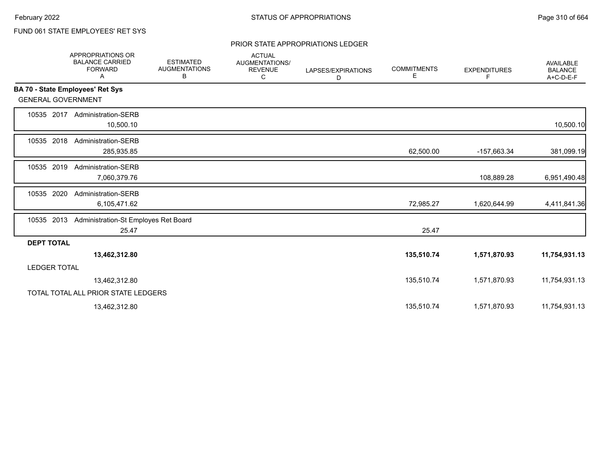### PRIOR STATE APPROPRIATIONS LEDGER

|                           | APPROPRIATIONS OR<br><b>BALANCE CARRIED</b><br><b>FORWARD</b><br>Α | <b>ESTIMATED</b><br><b>AUGMENTATIONS</b><br>В | <b>ACTUAL</b><br>AUGMENTATIONS/<br><b>REVENUE</b><br>С | LAPSES/EXPIRATIONS<br>D | <b>COMMITMENTS</b><br>Е | <b>EXPENDITURES</b><br>F | AVAILABLE<br><b>BALANCE</b><br>A+C-D-E-F |
|---------------------------|--------------------------------------------------------------------|-----------------------------------------------|--------------------------------------------------------|-------------------------|-------------------------|--------------------------|------------------------------------------|
|                           | BA 70 - State Employees' Ret Sys                                   |                                               |                                                        |                         |                         |                          |                                          |
| <b>GENERAL GOVERNMENT</b> |                                                                    |                                               |                                                        |                         |                         |                          |                                          |
| 10535 2017                | <b>Administration-SERB</b><br>10,500.10                            |                                               |                                                        |                         |                         |                          | 10,500.10                                |
| 10535 2018                | <b>Administration-SERB</b><br>285,935.85                           |                                               |                                                        |                         | 62,500.00               | -157,663.34              | 381,099.19                               |
| 10535 2019                | <b>Administration-SERB</b><br>7,060,379.76                         |                                               |                                                        |                         |                         | 108,889.28               | 6,951,490.48                             |
| 2020<br>10535             | Administration-SERB<br>6,105,471.62                                |                                               |                                                        |                         | 72,985.27               | 1,620,644.99             | 4,411,841.36                             |
| 10535 2013                | Administration-St Employes Ret Board<br>25.47                      |                                               |                                                        |                         | 25.47                   |                          |                                          |
| <b>DEPT TOTAL</b>         |                                                                    |                                               |                                                        |                         |                         |                          |                                          |
|                           | 13,462,312.80                                                      |                                               |                                                        |                         | 135,510.74              | 1,571,870.93             | 11,754,931.13                            |
| <b>LEDGER TOTAL</b>       |                                                                    |                                               |                                                        |                         |                         |                          |                                          |
|                           | 13,462,312.80                                                      |                                               |                                                        |                         | 135,510.74              | 1,571,870.93             | 11,754,931.13                            |
|                           | TOTAL TOTAL ALL PRIOR STATE LEDGERS                                |                                               |                                                        |                         |                         |                          |                                          |
|                           | 13,462,312.80                                                      |                                               |                                                        |                         | 135,510.74              | 1,571,870.93             | 11,754,931.13                            |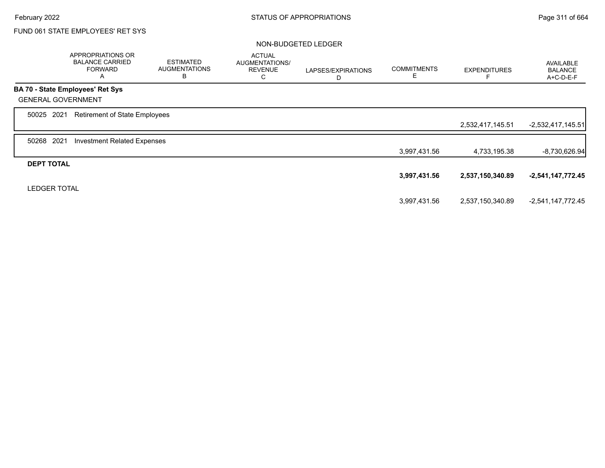|                           | APPROPRIATIONS OR<br><b>BALANCE CARRIED</b><br><b>FORWARD</b><br>A | <b>ESTIMATED</b><br><b>AUGMENTATIONS</b><br>B | <b>ACTUAL</b><br>AUGMENTATIONS/<br><b>REVENUE</b><br>С | LAPSES/EXPIRATIONS<br>D | <b>COMMITMENTS</b><br>Е | <b>EXPENDITURES</b> | <b>AVAILABLE</b><br><b>BALANCE</b><br>A+C-D-E-F |
|---------------------------|--------------------------------------------------------------------|-----------------------------------------------|--------------------------------------------------------|-------------------------|-------------------------|---------------------|-------------------------------------------------|
|                           | BA 70 - State Employees' Ret Sys                                   |                                               |                                                        |                         |                         |                     |                                                 |
| <b>GENERAL GOVERNMENT</b> |                                                                    |                                               |                                                        |                         |                         |                     |                                                 |
| 50025 2021                | <b>Retirement of State Employees</b>                               |                                               |                                                        |                         |                         |                     |                                                 |
|                           |                                                                    |                                               |                                                        |                         |                         | 2,532,417,145.51    | $-2,532,417,145.51$                             |
| 2021<br>50268             | <b>Investment Related Expenses</b>                                 |                                               |                                                        |                         |                         |                     |                                                 |
|                           |                                                                    |                                               |                                                        |                         | 3,997,431.56            | 4,733,195.38        | $-8,730,626.94$                                 |
| <b>DEPT TOTAL</b>         |                                                                    |                                               |                                                        |                         |                         |                     |                                                 |
|                           |                                                                    |                                               |                                                        |                         | 3,997,431.56            | 2,537,150,340.89    | $-2,541,147,772.45$                             |
| <b>LEDGER TOTAL</b>       |                                                                    |                                               |                                                        |                         |                         |                     |                                                 |
|                           |                                                                    |                                               |                                                        |                         | 3,997,431.56            | 2,537,150,340.89    | -2,541,147,772.45                               |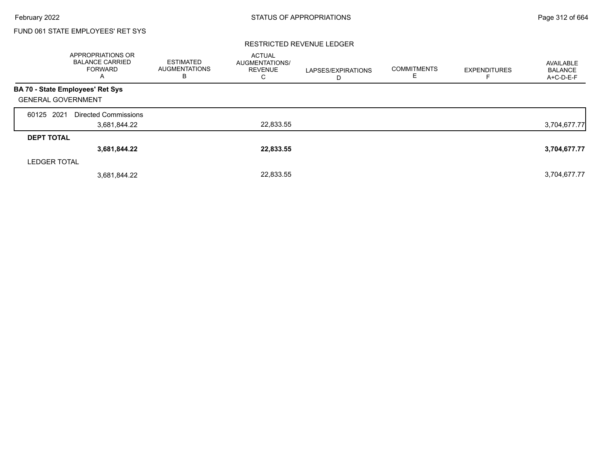#### RESTRICTED REVENUE LEDGER

|                           | APPROPRIATIONS OR<br><b>BALANCE CARRIED</b><br><b>FORWARD</b><br>$\mathsf{A}$ | <b>ESTIMATED</b><br><b>AUGMENTATIONS</b><br>В | <b>ACTUAL</b><br>AUGMENTATIONS/<br><b>REVENUE</b><br>С | LAPSES/EXPIRATIONS<br>D | <b>COMMITMENTS</b><br>Е | <b>EXPENDITURES</b> | AVAILABLE<br><b>BALANCE</b><br>A+C-D-E-F |
|---------------------------|-------------------------------------------------------------------------------|-----------------------------------------------|--------------------------------------------------------|-------------------------|-------------------------|---------------------|------------------------------------------|
|                           | <b>BA 70 - State Employees' Ret Sys</b>                                       |                                               |                                                        |                         |                         |                     |                                          |
| <b>GENERAL GOVERNMENT</b> |                                                                               |                                               |                                                        |                         |                         |                     |                                          |
| 2021<br>60125             | <b>Directed Commissions</b>                                                   |                                               |                                                        |                         |                         |                     |                                          |
|                           | 3,681,844.22                                                                  |                                               | 22,833.55                                              |                         |                         |                     | 3,704,677.77                             |
| <b>DEPT TOTAL</b>         |                                                                               |                                               |                                                        |                         |                         |                     |                                          |
|                           | 3,681,844.22                                                                  |                                               | 22,833.55                                              |                         |                         |                     | 3,704,677.77                             |
| <b>LEDGER TOTAL</b>       |                                                                               |                                               |                                                        |                         |                         |                     |                                          |
|                           | 3,681,844.22                                                                  |                                               | 22,833.55                                              |                         |                         |                     | 3,704,677.77                             |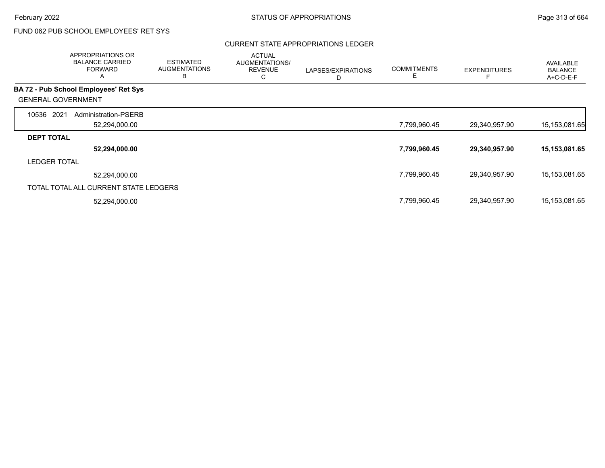### CURRENT STATE APPROPRIATIONS LEDGER

|                           | APPROPRIATIONS OR<br><b>BALANCE CARRIED</b><br><b>FORWARD</b><br>A | <b>ESTIMATED</b><br><b>AUGMENTATIONS</b><br>B | <b>ACTUAL</b><br>AUGMENTATIONS/<br><b>REVENUE</b><br>С | LAPSES/EXPIRATIONS<br>D | <b>COMMITMENTS</b><br>E. | <b>EXPENDITURES</b> | <b>AVAILABLE</b><br><b>BALANCE</b><br>$A+C-D-E-F$ |
|---------------------------|--------------------------------------------------------------------|-----------------------------------------------|--------------------------------------------------------|-------------------------|--------------------------|---------------------|---------------------------------------------------|
|                           | <b>BA 72 - Pub School Employees' Ret Sys</b>                       |                                               |                                                        |                         |                          |                     |                                                   |
| <b>GENERAL GOVERNMENT</b> |                                                                    |                                               |                                                        |                         |                          |                     |                                                   |
| 10536<br>2021             | Administration-PSERB                                               |                                               |                                                        |                         |                          |                     |                                                   |
|                           | 52,294,000.00                                                      |                                               |                                                        |                         | 7,799,960.45             | 29,340,957.90       | 15, 153, 081. 65                                  |
| <b>DEPT TOTAL</b>         |                                                                    |                                               |                                                        |                         |                          |                     |                                                   |
|                           | 52,294,000.00                                                      |                                               |                                                        |                         | 7,799,960.45             | 29,340,957.90       | 15,153,081.65                                     |
| <b>LEDGER TOTAL</b>       |                                                                    |                                               |                                                        |                         |                          |                     |                                                   |
|                           | 52,294,000.00                                                      |                                               |                                                        |                         | 7,799,960.45             | 29,340,957.90       | 15,153,081.65                                     |
|                           | TOTAL TOTAL ALL CURRENT STATE LEDGERS                              |                                               |                                                        |                         |                          |                     |                                                   |
|                           | 52,294,000.00                                                      |                                               |                                                        |                         | 7,799,960.45             | 29,340,957.90       | 15,153,081.65                                     |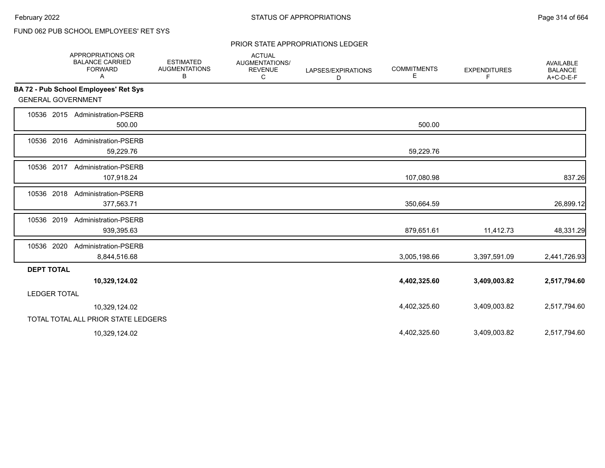### PRIOR STATE APPROPRIATIONS LEDGER

|                           | APPROPRIATIONS OR<br><b>BALANCE CARRIED</b><br><b>FORWARD</b><br>Α | <b>ESTIMATED</b><br><b>AUGMENTATIONS</b><br>В | <b>ACTUAL</b><br>AUGMENTATIONS/<br><b>REVENUE</b><br>C | LAPSES/EXPIRATIONS<br>D | <b>COMMITMENTS</b><br>Е | <b>EXPENDITURES</b><br>F | <b>AVAILABLE</b><br><b>BALANCE</b><br>A+C-D-E-F |
|---------------------------|--------------------------------------------------------------------|-----------------------------------------------|--------------------------------------------------------|-------------------------|-------------------------|--------------------------|-------------------------------------------------|
|                           | BA 72 - Pub School Employees' Ret Sys                              |                                               |                                                        |                         |                         |                          |                                                 |
| <b>GENERAL GOVERNMENT</b> |                                                                    |                                               |                                                        |                         |                         |                          |                                                 |
|                           | 10536 2015 Administration-PSERB<br>500.00                          |                                               |                                                        |                         | 500.00                  |                          |                                                 |
| 10536 2016                | <b>Administration-PSERB</b><br>59,229.76                           |                                               |                                                        |                         | 59,229.76               |                          |                                                 |
| 10536 2017                | <b>Administration-PSERB</b><br>107,918.24                          |                                               |                                                        |                         | 107,080.98              |                          | 837.26                                          |
| 10536 2018                | Administration-PSERB<br>377,563.71                                 |                                               |                                                        |                         | 350,664.59              |                          | 26,899.12                                       |
| 10536 2019                | Administration-PSERB<br>939,395.63                                 |                                               |                                                        |                         | 879,651.61              | 11,412.73                | 48,331.29                                       |
| 10536 2020                | <b>Administration-PSERB</b><br>8,844,516.68                        |                                               |                                                        |                         | 3,005,198.66            | 3,397,591.09             | 2,441,726.93                                    |
| <b>DEPT TOTAL</b>         |                                                                    |                                               |                                                        |                         |                         |                          |                                                 |
|                           | 10,329,124.02                                                      |                                               |                                                        |                         | 4,402,325.60            | 3,409,003.82             | 2,517,794.60                                    |
| <b>LEDGER TOTAL</b>       |                                                                    |                                               |                                                        |                         |                         |                          |                                                 |
|                           | 10,329,124.02                                                      |                                               |                                                        |                         | 4,402,325.60            | 3,409,003.82             | 2,517,794.60                                    |
|                           | TOTAL TOTAL ALL PRIOR STATE LEDGERS                                |                                               |                                                        |                         |                         |                          |                                                 |
|                           | 10,329,124.02                                                      |                                               |                                                        |                         | 4,402,325.60            | 3,409,003.82             | 2,517,794.60                                    |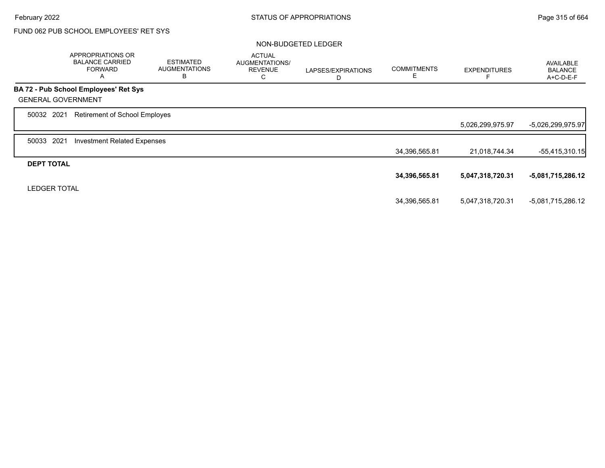|                           | APPROPRIATIONS OR<br><b>BALANCE CARRIED</b><br><b>FORWARD</b><br>A | <b>ESTIMATED</b><br><b>AUGMENTATIONS</b><br>B | <b>ACTUAL</b><br>AUGMENTATIONS/<br><b>REVENUE</b><br>С | LAPSES/EXPIRATIONS<br>D | <b>COMMITMENTS</b> | <b>EXPENDITURES</b> | <b>AVAILABLE</b><br><b>BALANCE</b><br>A+C-D-E-F |
|---------------------------|--------------------------------------------------------------------|-----------------------------------------------|--------------------------------------------------------|-------------------------|--------------------|---------------------|-------------------------------------------------|
|                           | BA 72 - Pub School Employees' Ret Sys                              |                                               |                                                        |                         |                    |                     |                                                 |
| <b>GENERAL GOVERNMENT</b> |                                                                    |                                               |                                                        |                         |                    |                     |                                                 |
| 50032 2021                | Retirement of School Employes                                      |                                               |                                                        |                         |                    |                     |                                                 |
|                           |                                                                    |                                               |                                                        |                         |                    | 5,026,299,975.97    | -5,026,299,975.97                               |
| 2021<br>50033             | <b>Investment Related Expenses</b>                                 |                                               |                                                        |                         |                    |                     |                                                 |
|                           |                                                                    |                                               |                                                        |                         | 34,396,565.81      | 21,018,744.34       | -55,415,310.15                                  |
| <b>DEPT TOTAL</b>         |                                                                    |                                               |                                                        |                         |                    |                     |                                                 |
|                           |                                                                    |                                               |                                                        |                         | 34,396,565.81      | 5,047,318,720.31    | -5,081,715,286.12                               |
| <b>LEDGER TOTAL</b>       |                                                                    |                                               |                                                        |                         |                    |                     |                                                 |
|                           |                                                                    |                                               |                                                        |                         | 34,396,565.81      | 5,047,318,720.31    | -5,081,715,286.12                               |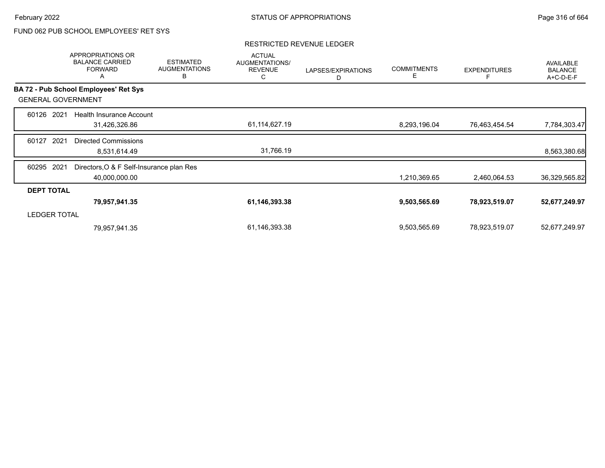#### RESTRICTED REVENUE LEDGER

|                   | APPROPRIATIONS OR<br><b>BALANCE CARRIED</b><br><b>FORWARD</b><br>Α | <b>ESTIMATED</b><br><b>AUGMENTATIONS</b><br>B | <b>ACTUAL</b><br>AUGMENTATIONS/<br><b>REVENUE</b><br>С | LAPSES/EXPIRATIONS<br>D | <b>COMMITMENTS</b><br>Е | <b>EXPENDITURES</b> | <b>AVAILABLE</b><br><b>BALANCE</b><br>A+C-D-E-F |
|-------------------|--------------------------------------------------------------------|-----------------------------------------------|--------------------------------------------------------|-------------------------|-------------------------|---------------------|-------------------------------------------------|
|                   | <b>BA 72 - Pub School Employees' Ret Sys</b>                       |                                               |                                                        |                         |                         |                     |                                                 |
|                   | <b>GENERAL GOVERNMENT</b>                                          |                                               |                                                        |                         |                         |                     |                                                 |
| 60126             | 2021<br>Health Insurance Account                                   |                                               |                                                        |                         |                         |                     |                                                 |
|                   | 31,426,326.86                                                      |                                               | 61,114,627.19                                          |                         | 8,293,196.04            | 76,463,454.54       | 7,784,303.47                                    |
| 60127             | 2021<br><b>Directed Commissions</b>                                |                                               |                                                        |                         |                         |                     |                                                 |
|                   | 8,531,614.49                                                       |                                               | 31,766.19                                              |                         |                         |                     | 8,563,380.68                                    |
| 60295             | Directors, O & F Self-Insurance plan Res<br>2021                   |                                               |                                                        |                         |                         |                     |                                                 |
|                   | 40,000,000.00                                                      |                                               |                                                        |                         | 1,210,369.65            | 2,460,064.53        | 36,329,565.82                                   |
| <b>DEPT TOTAL</b> |                                                                    |                                               |                                                        |                         |                         |                     |                                                 |
|                   | 79,957,941.35                                                      |                                               | 61,146,393.38                                          |                         | 9,503,565.69            | 78,923,519.07       | 52,677,249.97                                   |
|                   | <b>LEDGER TOTAL</b>                                                |                                               |                                                        |                         |                         |                     |                                                 |
|                   | 79,957,941.35                                                      |                                               | 61,146,393.38                                          |                         | 9,503,565.69            | 78,923,519.07       | 52,677,249.97                                   |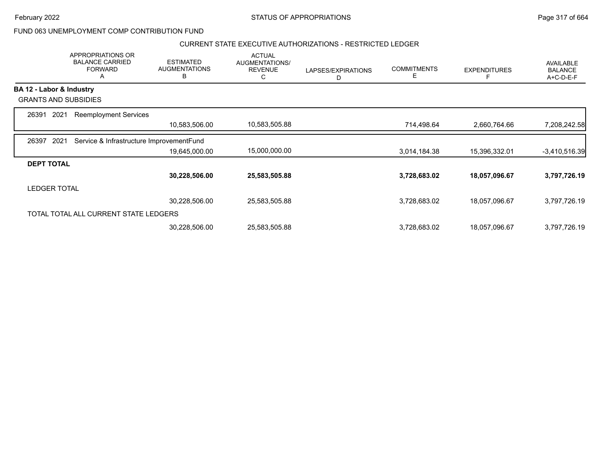February 2022 **Example 2022** Page 317 of 664

### FUND 063 UNEMPLOYMENT COMP CONTRIBUTION FUND

### CURRENT STATE EXECUTIVE AUTHORIZATIONS - RESTRICTED LEDGER

|                          | APPROPRIATIONS OR<br><b>BALANCE CARRIED</b><br><b>FORWARD</b><br>Α | <b>ESTIMATED</b><br><b>AUGMENTATIONS</b><br>B | <b>ACTUAL</b><br><b>AUGMENTATIONS/</b><br><b>REVENUE</b><br>С | LAPSES/EXPIRATIONS<br>D | <b>COMMITMENTS</b><br>E | <b>EXPENDITURES</b> | <b>AVAILABLE</b><br><b>BALANCE</b><br>A+C-D-E-F |
|--------------------------|--------------------------------------------------------------------|-----------------------------------------------|---------------------------------------------------------------|-------------------------|-------------------------|---------------------|-------------------------------------------------|
| BA 12 - Labor & Industry |                                                                    |                                               |                                                               |                         |                         |                     |                                                 |
|                          | <b>GRANTS AND SUBSIDIES</b>                                        |                                               |                                                               |                         |                         |                     |                                                 |
| 2021<br>26391            | <b>Reemployment Services</b>                                       |                                               |                                                               |                         |                         |                     |                                                 |
|                          |                                                                    | 10,583,506.00                                 | 10,583,505.88                                                 |                         | 714,498.64              | 2,660,764.66        | 7,208,242.58                                    |
| 2021<br>26397            | Service & Infrastructure ImprovementFund                           |                                               |                                                               |                         |                         |                     |                                                 |
|                          |                                                                    | 19,645,000.00                                 | 15,000,000.00                                                 |                         | 3,014,184.38            | 15,396,332.01       | $-3,410,516.39$                                 |
| <b>DEPT TOTAL</b>        |                                                                    |                                               |                                                               |                         |                         |                     |                                                 |
|                          |                                                                    | 30,228,506.00                                 | 25,583,505.88                                                 |                         | 3,728,683.02            | 18,057,096.67       | 3,797,726.19                                    |
| <b>LEDGER TOTAL</b>      |                                                                    |                                               |                                                               |                         |                         |                     |                                                 |
|                          |                                                                    | 30,228,506.00                                 | 25,583,505.88                                                 |                         | 3,728,683.02            | 18,057,096.67       | 3,797,726.19                                    |
|                          | TOTAL TOTAL ALL CURRENT STATE LEDGERS                              |                                               |                                                               |                         |                         |                     |                                                 |
|                          |                                                                    | 30,228,506.00                                 | 25,583,505.88                                                 |                         | 3,728,683.02            | 18,057,096.67       | 3,797,726.19                                    |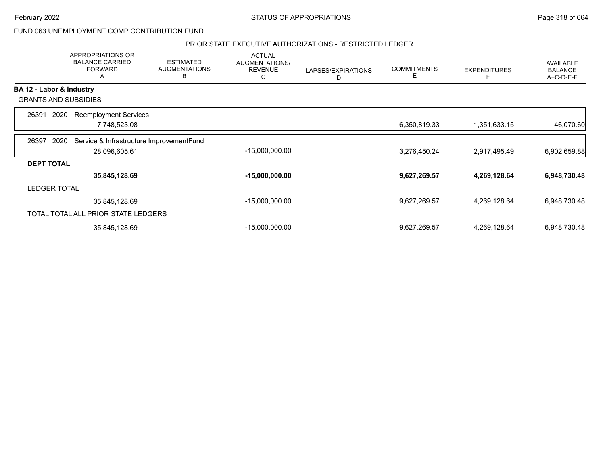February 2022 **Example 2022** Page 318 of 664

FUND 063 UNEMPLOYMENT COMP CONTRIBUTION FUND

#### PRIOR STATE EXECUTIVE AUTHORIZATIONS - RESTRICTED LEDGER

|                   | <b>APPROPRIATIONS OR</b><br><b>BALANCE CARRIED</b><br><b>FORWARD</b><br>A | <b>ESTIMATED</b><br><b>AUGMENTATIONS</b><br>В | <b>ACTUAL</b><br>AUGMENTATIONS/<br><b>REVENUE</b><br>С | LAPSES/EXPIRATIONS<br>D | <b>COMMITMENTS</b><br>Е | <b>EXPENDITURES</b> | AVAILABLE<br><b>BALANCE</b><br>A+C-D-E-F |
|-------------------|---------------------------------------------------------------------------|-----------------------------------------------|--------------------------------------------------------|-------------------------|-------------------------|---------------------|------------------------------------------|
|                   | BA 12 - Labor & Industry                                                  |                                               |                                                        |                         |                         |                     |                                          |
|                   | <b>GRANTS AND SUBSIDIES</b>                                               |                                               |                                                        |                         |                         |                     |                                          |
| 26391             | 2020<br><b>Reemployment Services</b>                                      |                                               |                                                        |                         |                         |                     |                                          |
|                   | 7,748,523.08                                                              |                                               |                                                        |                         | 6,350,819.33            | 1,351,633.15        | 46,070.60                                |
| 26397             | 2020<br>Service & Infrastructure ImprovementFund                          |                                               |                                                        |                         |                         |                     |                                          |
|                   | 28,096,605.61                                                             |                                               | $-15,000,000.00$                                       |                         | 3,276,450.24            | 2,917,495.49        | 6,902,659.88                             |
| <b>DEPT TOTAL</b> |                                                                           |                                               |                                                        |                         |                         |                     |                                          |
|                   | 35,845,128.69                                                             |                                               | $-15,000,000.00$                                       |                         | 9,627,269.57            | 4,269,128.64        | 6,948,730.48                             |
|                   | <b>LEDGER TOTAL</b>                                                       |                                               |                                                        |                         |                         |                     |                                          |
|                   | 35,845,128.69                                                             |                                               | $-15,000,000.00$                                       |                         | 9,627,269.57            | 4,269,128.64        | 6,948,730.48                             |
|                   | TOTAL TOTAL ALL PRIOR STATE LEDGERS                                       |                                               |                                                        |                         |                         |                     |                                          |
|                   | 35,845,128.69                                                             |                                               | $-15,000,000.00$                                       |                         | 9,627,269.57            | 4,269,128.64        | 6,948,730.48                             |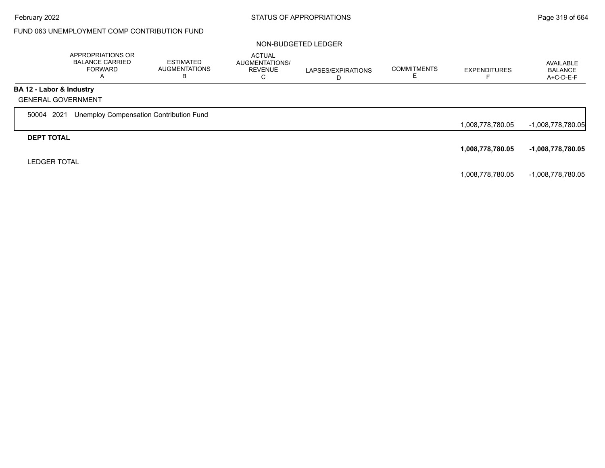## FUND 063 UNEMPLOYMENT COMP CONTRIBUTION FUND

|                          | APPROPRIATIONS OR<br><b>BALANCE CARRIED</b><br><b>FORWARD</b><br>A | <b>ESTIMATED</b><br><b>AUGMENTATIONS</b><br>В | <b>ACTUAL</b><br><b>AUGMENTATIONS/</b><br><b>REVENUE</b><br>С | LAPSES/EXPIRATIONS | <b>COMMITMENTS</b><br>ᄂ | <b>EXPENDITURES</b> | AVAILABLE<br><b>BALANCE</b><br>A+C-D-E-F |
|--------------------------|--------------------------------------------------------------------|-----------------------------------------------|---------------------------------------------------------------|--------------------|-------------------------|---------------------|------------------------------------------|
| BA 12 - Labor & Industry |                                                                    |                                               |                                                               |                    |                         |                     |                                          |
|                          | <b>GENERAL GOVERNMENT</b>                                          |                                               |                                                               |                    |                         |                     |                                          |
| 2021<br>50004            | Unemploy Compensation Contribution Fund                            |                                               |                                                               |                    |                         |                     |                                          |
|                          |                                                                    |                                               |                                                               |                    |                         | 1,008,778,780.05    | -1,008,778,780.05                        |
| <b>DEPT TOTAL</b>        |                                                                    |                                               |                                                               |                    |                         |                     |                                          |
|                          |                                                                    |                                               |                                                               |                    |                         | 1,008,778,780.05    | $-1,008,778,780.05$                      |
| <b>LEDGER TOTAL</b>      |                                                                    |                                               |                                                               |                    |                         |                     |                                          |
|                          |                                                                    |                                               |                                                               |                    |                         | 1,008,778,780.05    | -1,008,778,780.05                        |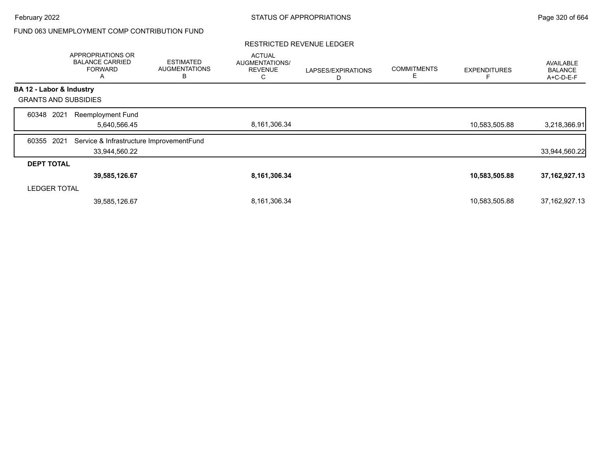### FUND 063 UNEMPLOYMENT COMP CONTRIBUTION FUND

#### RESTRICTED REVENUE LEDGER

|                             | APPROPRIATIONS OR<br><b>BALANCE CARRIED</b><br><b>FORWARD</b><br>$\mathsf{A}$ | <b>ESTIMATED</b><br><b>AUGMENTATIONS</b><br>B | <b>ACTUAL</b><br>AUGMENTATIONS/<br><b>REVENUE</b><br>С | LAPSES/EXPIRATIONS<br>D | <b>COMMITMENTS</b><br>Е | <b>EXPENDITURES</b> | <b>AVAILABLE</b><br><b>BALANCE</b><br>A+C-D-E-F |
|-----------------------------|-------------------------------------------------------------------------------|-----------------------------------------------|--------------------------------------------------------|-------------------------|-------------------------|---------------------|-------------------------------------------------|
| BA 12 - Labor & Industry    |                                                                               |                                               |                                                        |                         |                         |                     |                                                 |
| <b>GRANTS AND SUBSIDIES</b> |                                                                               |                                               |                                                        |                         |                         |                     |                                                 |
| 2021<br>60348               | <b>Reemployment Fund</b><br>5,640,566.45                                      |                                               | 8,161,306.34                                           |                         |                         | 10,583,505.88       | 3,218,366.91                                    |
| 2021<br>60355               | Service & Infrastructure ImprovementFund<br>33,944,560.22                     |                                               |                                                        |                         |                         |                     | 33,944,560.22                                   |
| <b>DEPT TOTAL</b>           |                                                                               |                                               |                                                        |                         |                         |                     |                                                 |
|                             | 39,585,126.67                                                                 |                                               | 8,161,306.34                                           |                         |                         | 10,583,505.88       | 37, 162, 927. 13                                |
| <b>LEDGER TOTAL</b>         |                                                                               |                                               |                                                        |                         |                         |                     |                                                 |
|                             | 39,585,126.67                                                                 |                                               | 8,161,306.34                                           |                         |                         | 10,583,505.88       | 37, 162, 927. 13                                |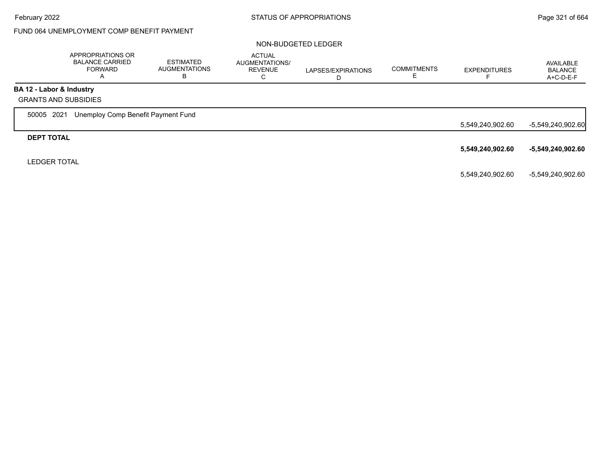# FUND 064 UNEMPLOYMENT COMP BENEFIT PAYMENT

|                             | APPROPRIATIONS OR<br><b>BALANCE CARRIED</b><br><b>FORWARD</b><br>A | <b>ESTIMATED</b><br><b>AUGMENTATIONS</b><br>В | <b>ACTUAL</b><br>AUGMENTATIONS/<br><b>REVENUE</b><br>С | LAPSES/EXPIRATIONS | <b>COMMITMENTS</b><br>ᄂ | <b>EXPENDITURES</b> | AVAILABLE<br><b>BALANCE</b><br>$A+C-D-E-F$ |
|-----------------------------|--------------------------------------------------------------------|-----------------------------------------------|--------------------------------------------------------|--------------------|-------------------------|---------------------|--------------------------------------------|
| BA 12 - Labor & Industry    |                                                                    |                                               |                                                        |                    |                         |                     |                                            |
| <b>GRANTS AND SUBSIDIES</b> |                                                                    |                                               |                                                        |                    |                         |                     |                                            |
| 2021<br>50005               | Unemploy Comp Benefit Payment Fund                                 |                                               |                                                        |                    |                         |                     |                                            |
|                             |                                                                    |                                               |                                                        |                    |                         | 5,549,240,902.60    | -5,549,240,902.60                          |
| <b>DEPT TOTAL</b>           |                                                                    |                                               |                                                        |                    |                         |                     |                                            |
|                             |                                                                    |                                               |                                                        |                    |                         | 5,549,240,902.60    | -5,549,240,902.60                          |
| <b>LEDGER TOTAL</b>         |                                                                    |                                               |                                                        |                    |                         |                     |                                            |
|                             |                                                                    |                                               |                                                        |                    |                         | 5,549,240,902.60    | -5,549,240,902.60                          |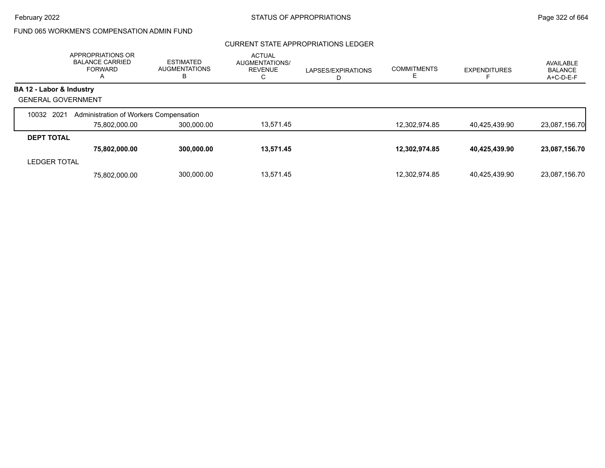# FUND 065 WORKMEN'S COMPENSATION ADMIN FUND

### CURRENT STATE APPROPRIATIONS LEDGER

|                           | APPROPRIATIONS OR<br><b>BALANCE CARRIED</b><br><b>FORWARD</b><br>A | <b>ESTIMATED</b><br><b>AUGMENTATIONS</b><br>В | <b>ACTUAL</b><br>AUGMENTATIONS/<br><b>REVENUE</b><br>С | LAPSES/EXPIRATIONS<br>D | <b>COMMITMENTS</b> | <b>EXPENDITURES</b> | AVAILABLE<br><b>BALANCE</b><br>A+C-D-E-F |
|---------------------------|--------------------------------------------------------------------|-----------------------------------------------|--------------------------------------------------------|-------------------------|--------------------|---------------------|------------------------------------------|
| BA 12 - Labor & Industry  |                                                                    |                                               |                                                        |                         |                    |                     |                                          |
| <b>GENERAL GOVERNMENT</b> |                                                                    |                                               |                                                        |                         |                    |                     |                                          |
| 10032 2021                | Administration of Workers Compensation                             |                                               |                                                        |                         |                    |                     |                                          |
|                           | 75,802,000.00                                                      | 300,000.00                                    | 13.571.45                                              |                         | 12,302,974.85      | 40,425,439.90       | 23,087,156.70                            |
| <b>DEPT TOTAL</b>         |                                                                    |                                               |                                                        |                         |                    |                     |                                          |
|                           | 75,802,000.00                                                      | 300,000.00                                    | 13,571.45                                              |                         | 12,302,974.85      | 40,425,439.90       | 23,087,156.70                            |
| <b>LEDGER TOTAL</b>       |                                                                    |                                               |                                                        |                         |                    |                     |                                          |
|                           | 75.802.000.00                                                      | 300,000.00                                    | 13.571.45                                              |                         | 12.302.974.85      | 40.425.439.90       | 23.087.156.70                            |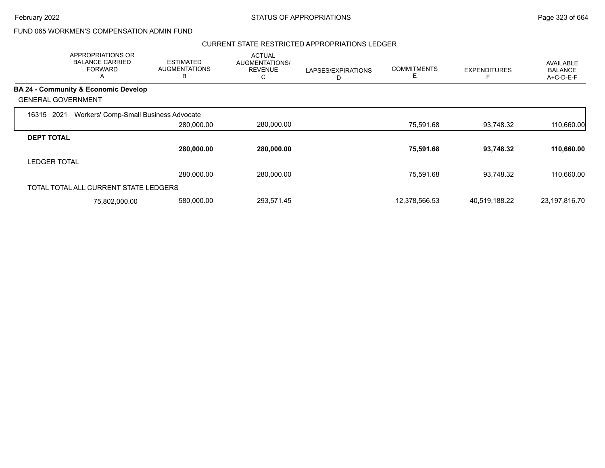### FUND 065 WORKMEN'S COMPENSATION ADMIN FUND

### CURRENT STATE RESTRICTED APPROPRIATIONS LEDGER

|                     | <b>APPROPRIATIONS OR</b><br><b>BALANCE CARRIED</b><br><b>FORWARD</b><br>А | <b>ESTIMATED</b><br><b>AUGMENTATIONS</b><br>в | <b>ACTUAL</b><br>AUGMENTATIONS/<br><b>REVENUE</b><br>С | LAPSES/EXPIRATIONS | <b>COMMITMENTS</b><br>Е | <b>EXPENDITURES</b> | <b>AVAILABLE</b><br><b>BALANCE</b><br>A+C-D-E-F |
|---------------------|---------------------------------------------------------------------------|-----------------------------------------------|--------------------------------------------------------|--------------------|-------------------------|---------------------|-------------------------------------------------|
|                     | <b>BA 24 - Community &amp; Economic Develop</b>                           |                                               |                                                        |                    |                         |                     |                                                 |
|                     | <b>GENERAL GOVERNMENT</b>                                                 |                                               |                                                        |                    |                         |                     |                                                 |
| 16315               | Workers' Comp-Small Business Advocate<br>2021                             |                                               |                                                        |                    |                         |                     |                                                 |
|                     |                                                                           | 280,000.00                                    | 280,000.00                                             |                    | 75,591.68               | 93.748.32           | 110,660.00                                      |
| <b>DEPT TOTAL</b>   |                                                                           |                                               |                                                        |                    |                         |                     |                                                 |
|                     |                                                                           | 280,000.00                                    | 280,000.00                                             |                    | 75,591.68               | 93,748.32           | 110,660.00                                      |
| <b>LEDGER TOTAL</b> |                                                                           |                                               |                                                        |                    |                         |                     |                                                 |
|                     |                                                                           | 280,000.00                                    | 280,000.00                                             |                    | 75,591.68               | 93.748.32           | 110,660.00                                      |
|                     | TOTAL TOTAL ALL CURRENT STATE LEDGERS                                     |                                               |                                                        |                    |                         |                     |                                                 |
|                     | 75,802,000.00                                                             | 580,000.00                                    | 293,571.45                                             |                    | 12,378,566.53           | 40,519,188.22       | 23, 197, 816. 70                                |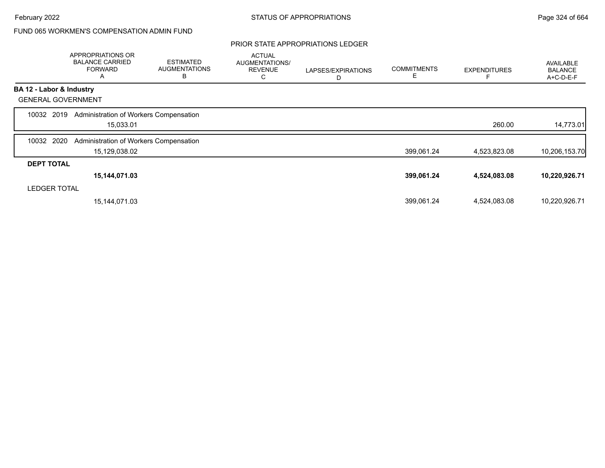# FUND 065 WORKMEN'S COMPENSATION ADMIN FUND

### PRIOR STATE APPROPRIATIONS LEDGER

|                           | APPROPRIATIONS OR<br><b>BALANCE CARRIED</b><br><b>FORWARD</b><br>Α | <b>ESTIMATED</b><br><b>AUGMENTATIONS</b><br>B | <b>ACTUAL</b><br>AUGMENTATIONS/<br><b>REVENUE</b><br>С | LAPSES/EXPIRATIONS<br>D | <b>COMMITMENTS</b><br>Ε | <b>EXPENDITURES</b> | AVAILABLE<br><b>BALANCE</b><br>A+C-D-E-F |
|---------------------------|--------------------------------------------------------------------|-----------------------------------------------|--------------------------------------------------------|-------------------------|-------------------------|---------------------|------------------------------------------|
| BA 12 - Labor & Industry  |                                                                    |                                               |                                                        |                         |                         |                     |                                          |
| <b>GENERAL GOVERNMENT</b> |                                                                    |                                               |                                                        |                         |                         |                     |                                          |
| 10032 2019                | Administration of Workers Compensation                             |                                               |                                                        |                         |                         |                     |                                          |
|                           | 15,033.01                                                          |                                               |                                                        |                         |                         | 260.00              | 14,773.01                                |
| 2020<br>10032             | Administration of Workers Compensation                             |                                               |                                                        |                         |                         |                     |                                          |
|                           | 15,129,038.02                                                      |                                               |                                                        |                         | 399,061.24              | 4,523,823.08        | 10,206,153.70                            |
| <b>DEPT TOTAL</b>         |                                                                    |                                               |                                                        |                         |                         |                     |                                          |
|                           | 15,144,071.03                                                      |                                               |                                                        |                         | 399,061.24              | 4,524,083.08        | 10,220,926.71                            |
| <b>LEDGER TOTAL</b>       |                                                                    |                                               |                                                        |                         |                         |                     |                                          |
|                           | 15,144,071.03                                                      |                                               |                                                        |                         | 399,061.24              | 4,524,083.08        | 10,220,926.71                            |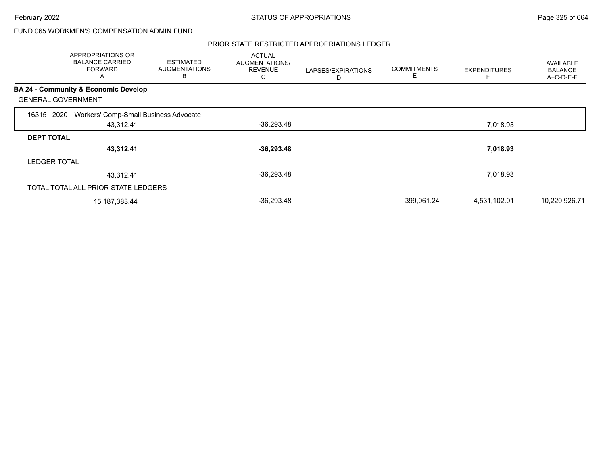February 2022 **Example 2022** Page 325 of 664

## FUND 065 WORKMEN'S COMPENSATION ADMIN FUND

### PRIOR STATE RESTRICTED APPROPRIATIONS LEDGER

|                           | APPROPRIATIONS OR<br><b>BALANCE CARRIED</b><br><b>FORWARD</b><br>A | <b>ESTIMATED</b><br><b>AUGMENTATIONS</b><br>в | <b>ACTUAL</b><br>AUGMENTATIONS/<br><b>REVENUE</b><br>С | LAPSES/EXPIRATIONS | <b>COMMITMENTS</b><br>E | <b>EXPENDITURES</b> | AVAILABLE<br><b>BALANCE</b><br>A+C-D-E-F |
|---------------------------|--------------------------------------------------------------------|-----------------------------------------------|--------------------------------------------------------|--------------------|-------------------------|---------------------|------------------------------------------|
|                           | BA 24 - Community & Economic Develop                               |                                               |                                                        |                    |                         |                     |                                          |
| <b>GENERAL GOVERNMENT</b> |                                                                    |                                               |                                                        |                    |                         |                     |                                          |
| 2020<br>16315             | Workers' Comp-Small Business Advocate                              |                                               |                                                        |                    |                         |                     |                                          |
|                           | 43,312.41                                                          |                                               | $-36,293.48$                                           |                    |                         | 7,018.93            |                                          |
| <b>DEPT TOTAL</b>         |                                                                    |                                               |                                                        |                    |                         |                     |                                          |
|                           | 43,312.41                                                          |                                               | $-36,293.48$                                           |                    |                         | 7,018.93            |                                          |
| <b>LEDGER TOTAL</b>       |                                                                    |                                               |                                                        |                    |                         |                     |                                          |
|                           | 43,312.41                                                          |                                               | $-36,293.48$                                           |                    |                         | 7,018.93            |                                          |
|                           | TOTAL TOTAL ALL PRIOR STATE LEDGERS                                |                                               |                                                        |                    |                         |                     |                                          |
|                           | 15, 187, 383. 44                                                   |                                               | $-36,293.48$                                           |                    | 399.061.24              | 4,531,102.01        | 10,220,926.71                            |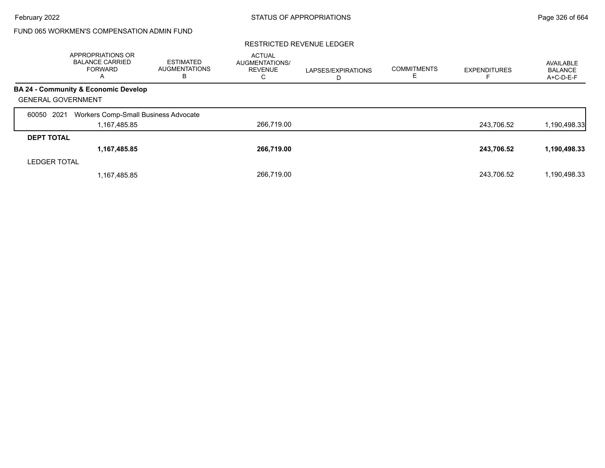## FUND 065 WORKMEN'S COMPENSATION ADMIN FUND

|                           | <b>APPROPRIATIONS OR</b><br><b>BALANCE CARRIED</b><br><b>FORWARD</b><br>A | <b>ESTIMATED</b><br><b>AUGMENTATIONS</b><br>в | <b>ACTUAL</b><br>AUGMENTATIONS/<br><b>REVENUE</b><br>C | LAPSES/EXPIRATIONS<br>D | <b>COMMITMENTS</b><br>E. | <b>EXPENDITURES</b> | AVAILABLE<br><b>BALANCE</b><br>$A+C-D-E-F$ |
|---------------------------|---------------------------------------------------------------------------|-----------------------------------------------|--------------------------------------------------------|-------------------------|--------------------------|---------------------|--------------------------------------------|
|                           | BA 24 - Community & Economic Develop                                      |                                               |                                                        |                         |                          |                     |                                            |
| <b>GENERAL GOVERNMENT</b> |                                                                           |                                               |                                                        |                         |                          |                     |                                            |
| 2021<br>60050             | Workers Comp-Small Business Advocate                                      |                                               |                                                        |                         |                          |                     |                                            |
|                           | 1,167,485.85                                                              |                                               | 266.719.00                                             |                         |                          | 243,706.52          | 1,190,498.33                               |
| <b>DEPT TOTAL</b>         |                                                                           |                                               |                                                        |                         |                          |                     |                                            |
|                           | 1,167,485.85                                                              |                                               | 266,719.00                                             |                         |                          | 243,706.52          | 1,190,498.33                               |
| <b>LEDGER TOTAL</b>       |                                                                           |                                               |                                                        |                         |                          |                     |                                            |
|                           | 1,167,485.85                                                              |                                               | 266.719.00                                             |                         |                          | 243.706.52          | 1,190,498.33                               |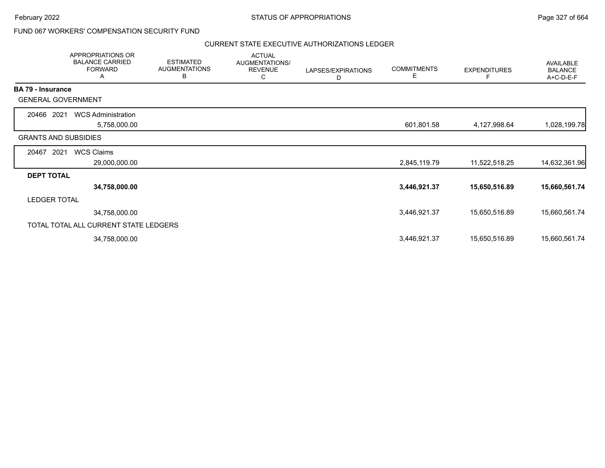February 2022 **Example 2022** Page 327 of 664

### FUND 067 WORKERS' COMPENSATION SECURITY FUND

#### CURRENT STATE EXECUTIVE AUTHORIZATIONS LEDGER

|                          | APPROPRIATIONS OR<br><b>BALANCE CARRIED</b><br><b>FORWARD</b><br>A | <b>ESTIMATED</b><br><b>AUGMENTATIONS</b><br>В | <b>ACTUAL</b><br>AUGMENTATIONS/<br><b>REVENUE</b><br>C | LAPSES/EXPIRATIONS<br>D | <b>COMMITMENTS</b><br>Е | <b>EXPENDITURES</b><br>F | AVAILABLE<br><b>BALANCE</b><br>A+C-D-E-F |
|--------------------------|--------------------------------------------------------------------|-----------------------------------------------|--------------------------------------------------------|-------------------------|-------------------------|--------------------------|------------------------------------------|
| <b>BA 79 - Insurance</b> |                                                                    |                                               |                                                        |                         |                         |                          |                                          |
|                          | <b>GENERAL GOVERNMENT</b>                                          |                                               |                                                        |                         |                         |                          |                                          |
| 20466 2021               | <b>WCS Administration</b>                                          |                                               |                                                        |                         |                         |                          |                                          |
|                          | 5,758,000.00                                                       |                                               |                                                        |                         | 601,801.58              | 4,127,998.64             | 1,028,199.78                             |
|                          | <b>GRANTS AND SUBSIDIES</b>                                        |                                               |                                                        |                         |                         |                          |                                          |
| 20467                    | <b>WCS Claims</b><br>2021                                          |                                               |                                                        |                         |                         |                          |                                          |
|                          | 29,000,000.00                                                      |                                               |                                                        |                         | 2,845,119.79            | 11,522,518.25            | 14,632,361.96                            |
| <b>DEPT TOTAL</b>        |                                                                    |                                               |                                                        |                         |                         |                          |                                          |
|                          | 34,758,000.00                                                      |                                               |                                                        |                         | 3,446,921.37            | 15,650,516.89            | 15,660,561.74                            |
| <b>LEDGER TOTAL</b>      |                                                                    |                                               |                                                        |                         |                         |                          |                                          |
|                          | 34,758,000.00                                                      |                                               |                                                        |                         | 3,446,921.37            | 15,650,516.89            | 15,660,561.74                            |
|                          | TOTAL TOTAL ALL CURRENT STATE LEDGERS                              |                                               |                                                        |                         |                         |                          |                                          |
|                          | 34,758,000.00                                                      |                                               |                                                        |                         | 3,446,921.37            | 15,650,516.89            | 15,660,561.74                            |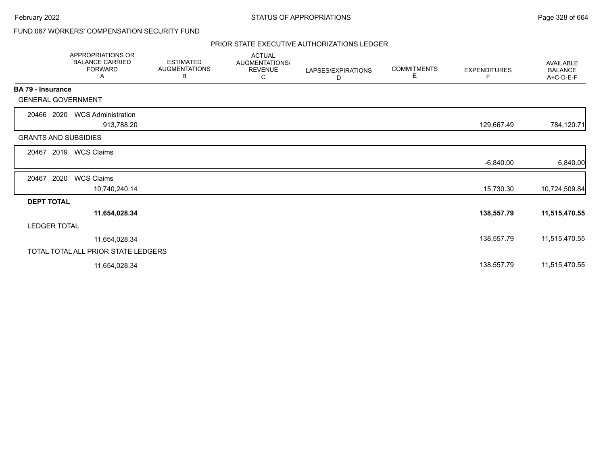February 2022 **STATUS OF APPROPRIATIONS** STATUS OF APPROPRIATIONS

### FUND 067 WORKERS' COMPENSATION SECURITY FUND

### PRIOR STATE EXECUTIVE AUTHORIZATIONS LEDGER

|                             | APPROPRIATIONS OR<br><b>BALANCE CARRIED</b><br><b>FORWARD</b><br>Α | <b>ESTIMATED</b><br><b>AUGMENTATIONS</b><br>В | <b>ACTUAL</b><br>AUGMENTATIONS/<br><b>REVENUE</b><br>С | LAPSES/EXPIRATIONS<br>D | <b>COMMITMENTS</b><br>Е | <b>EXPENDITURES</b><br>F | <b>AVAILABLE</b><br><b>BALANCE</b><br>A+C-D-E-F |
|-----------------------------|--------------------------------------------------------------------|-----------------------------------------------|--------------------------------------------------------|-------------------------|-------------------------|--------------------------|-------------------------------------------------|
| BA 79 - Insurance           |                                                                    |                                               |                                                        |                         |                         |                          |                                                 |
| <b>GENERAL GOVERNMENT</b>   |                                                                    |                                               |                                                        |                         |                         |                          |                                                 |
| 20466 2020                  | <b>WCS Administration</b><br>913,788.20                            |                                               |                                                        |                         |                         | 129,667.49               | 784,120.71                                      |
| <b>GRANTS AND SUBSIDIES</b> |                                                                    |                                               |                                                        |                         |                         |                          |                                                 |
| 2019<br>20467               | <b>WCS Claims</b>                                                  |                                               |                                                        |                         |                         |                          |                                                 |
|                             |                                                                    |                                               |                                                        |                         |                         | $-6,840.00$              | 6,840.00                                        |
| 2020<br>20467               | <b>WCS Claims</b>                                                  |                                               |                                                        |                         |                         |                          |                                                 |
|                             | 10,740,240.14                                                      |                                               |                                                        |                         |                         | 15,730.30                | 10,724,509.84                                   |
| <b>DEPT TOTAL</b>           |                                                                    |                                               |                                                        |                         |                         |                          |                                                 |
|                             | 11,654,028.34                                                      |                                               |                                                        |                         |                         | 138,557.79               | 11,515,470.55                                   |
| <b>LEDGER TOTAL</b>         |                                                                    |                                               |                                                        |                         |                         |                          |                                                 |
|                             | 11,654,028.34                                                      |                                               |                                                        |                         |                         | 138,557.79               | 11,515,470.55                                   |
|                             | TOTAL TOTAL ALL PRIOR STATE LEDGERS                                |                                               |                                                        |                         |                         |                          |                                                 |
|                             | 11,654,028.34                                                      |                                               |                                                        |                         |                         | 138,557.79               | 11,515,470.55                                   |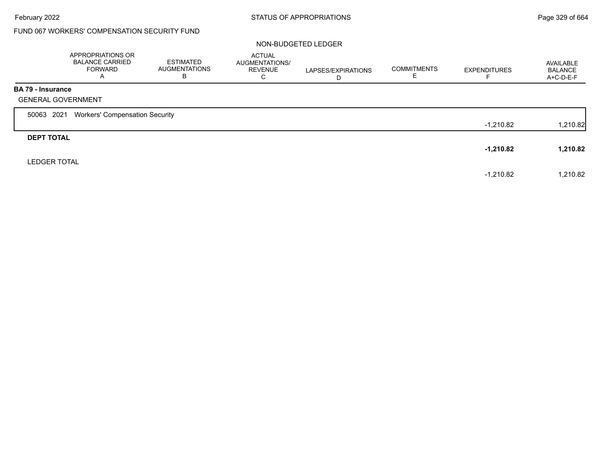## FUND 067 WORKERS' COMPENSATION SECURITY FUND

#### NON-BUDGETED LEDGER

|                          | APPROPRIATIONS OR<br><b>BALANCE CARRIED</b><br><b>FORWARD</b><br>A | <b>ESTIMATED</b><br><b>AUGMENTATIONS</b><br>B | <b>ACTUAL</b><br>AUGMENTATIONS/<br><b>REVENUE</b><br>C | LAPSES/EXPIRATIONS<br>D | <b>COMMITMENTS</b> | <b>EXPENDITURES</b> | AVAILABLE<br><b>BALANCE</b><br>A+C-D-E-F |
|--------------------------|--------------------------------------------------------------------|-----------------------------------------------|--------------------------------------------------------|-------------------------|--------------------|---------------------|------------------------------------------|
| <b>BA 79 - Insurance</b> | <b>GENERAL GOVERNMENT</b>                                          |                                               |                                                        |                         |                    |                     |                                          |
| 50063 2021               | <b>Workers' Compensation Security</b>                              |                                               |                                                        |                         |                    |                     |                                          |
|                          |                                                                    |                                               |                                                        |                         |                    | $-1,210.82$         | 1,210.82                                 |
| <b>DEPT TOTAL</b>        |                                                                    |                                               |                                                        |                         |                    |                     |                                          |
|                          |                                                                    |                                               |                                                        |                         |                    | $-1,210.82$         | 1,210.82                                 |
| <b>LEDGER TOTAL</b>      |                                                                    |                                               |                                                        |                         |                    |                     |                                          |
|                          |                                                                    |                                               |                                                        |                         |                    | $-1,210.82$         | 1,210.82                                 |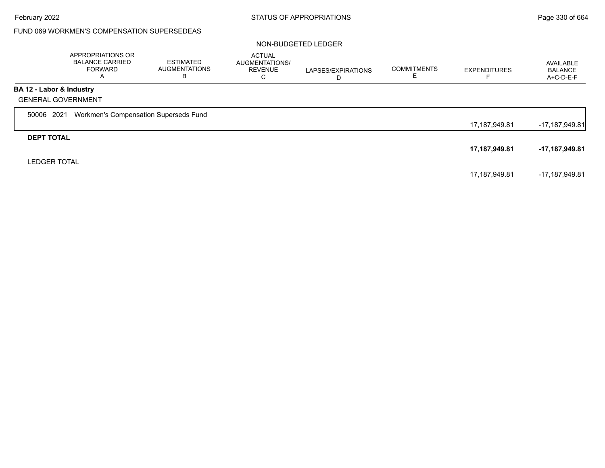### FUND 069 WORKMEN'S COMPENSATION SUPERSEDEAS

#### NON-BUDGETED LEDGER

|                          | APPROPRIATIONS OR<br><b>BALANCE CARRIED</b><br><b>FORWARD</b><br>A | <b>ESTIMATED</b><br>AUGMENTATIONS<br>В | <b>ACTUAL</b><br>AUGMENTATIONS/<br><b>REVENUE</b><br>С | LAPSES/EXPIRATIONS<br>D | <b>COMMITMENTS</b><br>⊏ | <b>EXPENDITURES</b> | AVAILABLE<br><b>BALANCE</b><br>A+C-D-E-F |
|--------------------------|--------------------------------------------------------------------|----------------------------------------|--------------------------------------------------------|-------------------------|-------------------------|---------------------|------------------------------------------|
| BA 12 - Labor & Industry |                                                                    |                                        |                                                        |                         |                         |                     |                                          |
|                          | <b>GENERAL GOVERNMENT</b>                                          |                                        |                                                        |                         |                         |                     |                                          |
| 50006 2021               | Workmen's Compensation Superseds Fund                              |                                        |                                                        |                         |                         |                     |                                          |
|                          |                                                                    |                                        |                                                        |                         |                         | 17,187,949.81       | -17,187,949.81                           |
| <b>DEPT TOTAL</b>        |                                                                    |                                        |                                                        |                         |                         |                     |                                          |
|                          |                                                                    |                                        |                                                        |                         |                         | 17,187,949.81       | -17,187,949.81                           |
| <b>LEDGER TOTAL</b>      |                                                                    |                                        |                                                        |                         |                         |                     |                                          |
|                          |                                                                    |                                        |                                                        |                         |                         | 17,187,949.81       | -17,187,949.81                           |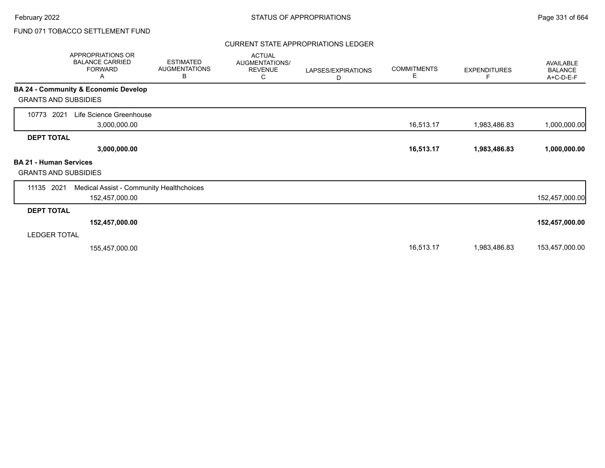### CURRENT STATE APPROPRIATIONS LEDGER

| APPROPRIATIONS OR<br><b>BALANCE CARRIED</b><br><b>FORWARD</b><br>A       | <b>ESTIMATED</b><br><b>AUGMENTATIONS</b><br>В | <b>ACTUAL</b><br>AUGMENTATIONS/<br><b>REVENUE</b><br>С | LAPSES/EXPIRATIONS<br>D | <b>COMMITMENTS</b><br>Е | <b>EXPENDITURES</b> | AVAILABLE<br><b>BALANCE</b><br>A+C-D-E-F |
|--------------------------------------------------------------------------|-----------------------------------------------|--------------------------------------------------------|-------------------------|-------------------------|---------------------|------------------------------------------|
| BA 24 - Community & Economic Develop<br><b>GRANTS AND SUBSIDIES</b>      |                                               |                                                        |                         |                         |                     |                                          |
| Life Science Greenhouse<br>10773<br>2021<br>3,000,000.00                 |                                               |                                                        |                         | 16,513.17               | 1,983,486.83        | 1,000,000.00                             |
| <b>DEPT TOTAL</b><br>3,000,000.00                                        |                                               |                                                        |                         | 16,513.17               | 1,983,486.83        | 1,000,000.00                             |
| <b>BA 21 - Human Services</b><br><b>GRANTS AND SUBSIDIES</b>             |                                               |                                                        |                         |                         |                     |                                          |
| 11135 2021<br>Medical Assist - Community Healthchoices<br>152,457,000.00 |                                               |                                                        |                         |                         |                     | 152,457,000.00                           |
| <b>DEPT TOTAL</b>                                                        |                                               |                                                        |                         |                         |                     |                                          |
| 152,457,000.00                                                           |                                               |                                                        |                         |                         |                     | 152,457,000.00                           |
| <b>LEDGER TOTAL</b>                                                      |                                               |                                                        |                         |                         |                     |                                          |
| 155,457,000.00                                                           |                                               |                                                        |                         | 16,513.17               | 1,983,486.83        | 153,457,000.00                           |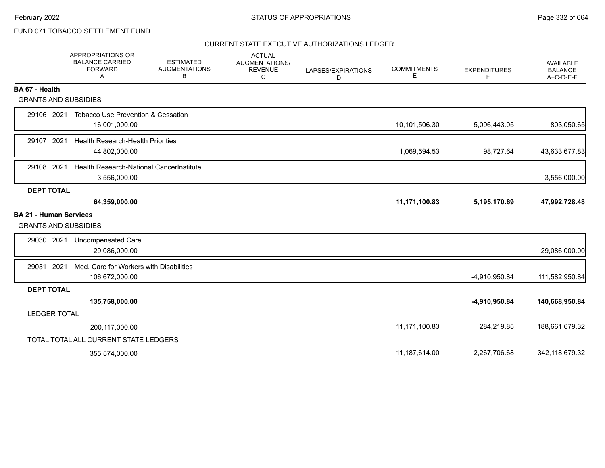### CURRENT STATE EXECUTIVE AUTHORIZATIONS LEDGER

|                                                              | <b>APPROPRIATIONS OR</b><br><b>BALANCE CARRIED</b><br><b>FORWARD</b><br>A | <b>ESTIMATED</b><br><b>AUGMENTATIONS</b><br>В | <b>ACTUAL</b><br>AUGMENTATIONS/<br><b>REVENUE</b><br>C | LAPSES/EXPIRATIONS<br>D | <b>COMMITMENTS</b><br>Е | <b>EXPENDITURES</b><br>F | <b>AVAILABLE</b><br><b>BALANCE</b><br>$A+C-D-E-F$ |
|--------------------------------------------------------------|---------------------------------------------------------------------------|-----------------------------------------------|--------------------------------------------------------|-------------------------|-------------------------|--------------------------|---------------------------------------------------|
| BA 67 - Health                                               |                                                                           |                                               |                                                        |                         |                         |                          |                                                   |
| <b>GRANTS AND SUBSIDIES</b>                                  |                                                                           |                                               |                                                        |                         |                         |                          |                                                   |
| 29106 2021                                                   | <b>Tobacco Use Prevention &amp; Cessation</b><br>16,001,000.00            |                                               |                                                        |                         | 10,101,506.30           | 5,096,443.05             | 803,050.65                                        |
| 29107 2021                                                   | <b>Health Research-Health Priorities</b><br>44,802,000.00                 |                                               |                                                        |                         | 1,069,594.53            | 98,727.64                | 43,633,677.83                                     |
| 29108 2021                                                   | Health Research-National CancerInstitute<br>3,556,000.00                  |                                               |                                                        |                         |                         |                          | 3,556,000.00                                      |
| <b>DEPT TOTAL</b>                                            |                                                                           |                                               |                                                        |                         |                         |                          |                                                   |
|                                                              | 64,359,000.00                                                             |                                               |                                                        |                         | 11,171,100.83           | 5,195,170.69             | 47,992,728.48                                     |
| <b>BA 21 - Human Services</b><br><b>GRANTS AND SUBSIDIES</b> |                                                                           |                                               |                                                        |                         |                         |                          |                                                   |
| 29030 2021                                                   | Uncompensated Care<br>29,086,000.00                                       |                                               |                                                        |                         |                         |                          | 29,086,000.00                                     |
| 2021<br>29031                                                | Med. Care for Workers with Disabilities<br>106,672,000.00                 |                                               |                                                        |                         |                         | -4,910,950.84            | 111,582,950.84                                    |
| <b>DEPT TOTAL</b>                                            |                                                                           |                                               |                                                        |                         |                         |                          |                                                   |
|                                                              | 135,758,000.00                                                            |                                               |                                                        |                         |                         | -4,910,950.84            | 140,668,950.84                                    |
| <b>LEDGER TOTAL</b>                                          |                                                                           |                                               |                                                        |                         |                         |                          |                                                   |
|                                                              | 200,117,000.00                                                            |                                               |                                                        |                         | 11,171,100.83           | 284,219.85               | 188,661,679.32                                    |
|                                                              | TOTAL TOTAL ALL CURRENT STATE LEDGERS                                     |                                               |                                                        |                         |                         |                          |                                                   |
|                                                              | 355,574,000.00                                                            |                                               |                                                        |                         | 11,187,614.00           | 2.267.706.68             | 342,118,679.32                                    |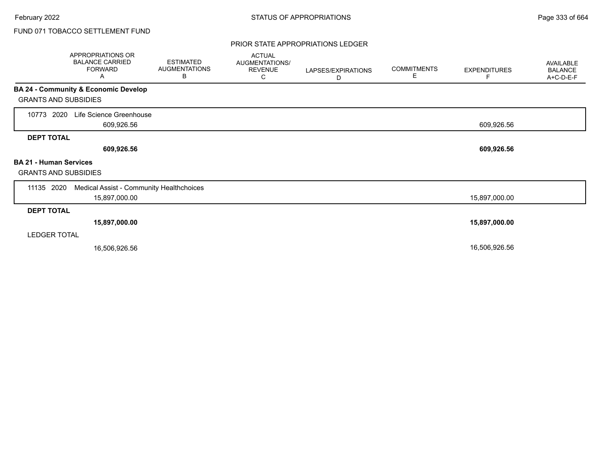#### PRIOR STATE APPROPRIATIONS LEDGER

|                                                              | APPROPRIATIONS OR<br><b>BALANCE CARRIED</b><br><b>FORWARD</b><br>A | <b>ESTIMATED</b><br><b>AUGMENTATIONS</b><br>В | <b>ACTUAL</b><br>AUGMENTATIONS/<br><b>REVENUE</b><br>С | LAPSES/EXPIRATIONS<br>D | <b>COMMITMENTS</b><br>E | <b>EXPENDITURES</b><br>F | AVAILABLE<br><b>BALANCE</b><br>A+C-D-E-F |
|--------------------------------------------------------------|--------------------------------------------------------------------|-----------------------------------------------|--------------------------------------------------------|-------------------------|-------------------------|--------------------------|------------------------------------------|
|                                                              | BA 24 - Community & Economic Develop                               |                                               |                                                        |                         |                         |                          |                                          |
| <b>GRANTS AND SUBSIDIES</b>                                  |                                                                    |                                               |                                                        |                         |                         |                          |                                          |
| 2020<br>10773                                                | Life Science Greenhouse<br>609,926.56                              |                                               |                                                        |                         |                         | 609,926.56               |                                          |
| <b>DEPT TOTAL</b>                                            |                                                                    |                                               |                                                        |                         |                         |                          |                                          |
|                                                              | 609,926.56                                                         |                                               |                                                        |                         |                         | 609,926.56               |                                          |
| <b>BA 21 - Human Services</b><br><b>GRANTS AND SUBSIDIES</b> |                                                                    |                                               |                                                        |                         |                         |                          |                                          |
| 11135 2020                                                   | Medical Assist - Community Healthchoices                           |                                               |                                                        |                         |                         |                          |                                          |
|                                                              | 15,897,000.00                                                      |                                               |                                                        |                         |                         | 15,897,000.00            |                                          |
| <b>DEPT TOTAL</b>                                            |                                                                    |                                               |                                                        |                         |                         |                          |                                          |
|                                                              | 15,897,000.00                                                      |                                               |                                                        |                         |                         | 15,897,000.00            |                                          |
| <b>LEDGER TOTAL</b>                                          |                                                                    |                                               |                                                        |                         |                         |                          |                                          |
|                                                              | 16,506,926.56                                                      |                                               |                                                        |                         |                         | 16,506,926.56            |                                          |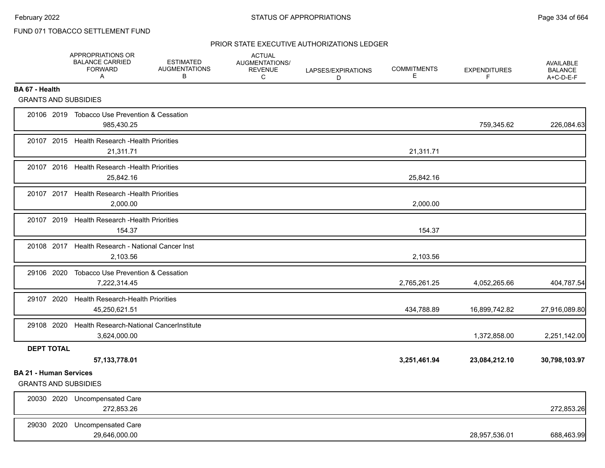### PRIOR STATE EXECUTIVE AUTHORIZATIONS LEDGER

|                                                              | APPROPRIATIONS OR<br><b>BALANCE CARRIED</b><br><b>FORWARD</b><br>Α   | <b>ESTIMATED</b><br><b>AUGMENTATIONS</b><br>В | <b>ACTUAL</b><br>AUGMENTATIONS/<br><b>REVENUE</b><br>C | LAPSES/EXPIRATIONS<br>D | <b>COMMITMENTS</b><br>E. | <b>EXPENDITURES</b><br>F. | <b>AVAILABLE</b><br><b>BALANCE</b><br>A+C-D-E-F |
|--------------------------------------------------------------|----------------------------------------------------------------------|-----------------------------------------------|--------------------------------------------------------|-------------------------|--------------------------|---------------------------|-------------------------------------------------|
| BA 67 - Health                                               |                                                                      |                                               |                                                        |                         |                          |                           |                                                 |
| <b>GRANTS AND SUBSIDIES</b>                                  |                                                                      |                                               |                                                        |                         |                          |                           |                                                 |
|                                                              | 20106 2019 Tobacco Use Prevention & Cessation<br>985,430.25          |                                               |                                                        |                         |                          | 759,345.62                | 226,084.63                                      |
|                                                              | 20107 2015 Health Research - Health Priorities<br>21,311.71          |                                               |                                                        |                         | 21,311.71                |                           |                                                 |
|                                                              | 20107 2016 Health Research - Health Priorities<br>25.842.16          |                                               |                                                        |                         | 25,842.16                |                           |                                                 |
|                                                              | 20107 2017 Health Research - Health Priorities<br>2,000.00           |                                               |                                                        |                         | 2,000.00                 |                           |                                                 |
|                                                              | 20107 2019 Health Research - Health Priorities<br>154.37             |                                               |                                                        |                         | 154.37                   |                           |                                                 |
|                                                              | 20108 2017 Health Research - National Cancer Inst<br>2,103.56        |                                               |                                                        |                         | 2,103.56                 |                           |                                                 |
| 29106 2020                                                   | Tobacco Use Prevention & Cessation<br>7,222,314.45                   |                                               |                                                        |                         | 2,765,261.25             | 4,052,265.66              | 404,787.54                                      |
| 29107 2020                                                   | <b>Health Research-Health Priorities</b><br>45,250,621.51            |                                               |                                                        |                         | 434,788.89               | 16,899,742.82             | 27,916,089.80                                   |
|                                                              | 29108 2020 Health Research-National Cancer Institute<br>3,624,000.00 |                                               |                                                        |                         |                          | 1,372,858.00              | 2,251,142.00                                    |
| <b>DEPT TOTAL</b>                                            | 57, 133, 778.01                                                      |                                               |                                                        |                         | 3,251,461.94             | 23,084,212.10             | 30,798,103.97                                   |
| <b>BA 21 - Human Services</b><br><b>GRANTS AND SUBSIDIES</b> |                                                                      |                                               |                                                        |                         |                          |                           |                                                 |
|                                                              | 20030 2020 Uncompensated Care<br>272,853.26                          |                                               |                                                        |                         |                          |                           | 272,853.26                                      |
| 29030 2020                                                   | <b>Uncompensated Care</b><br>29,646,000.00                           |                                               |                                                        |                         |                          | 28,957,536.01             | 688,463.99                                      |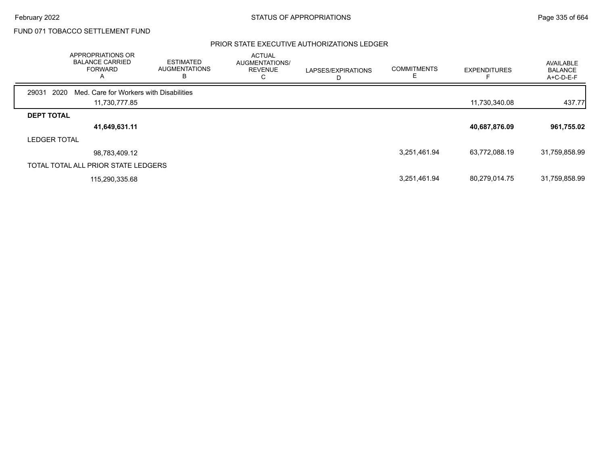#### PRIOR STATE EXECUTIVE AUTHORIZATIONS LEDGER

|                     | APPROPRIATIONS OR<br><b>BALANCE CARRIED</b><br><b>FORWARD</b><br>$\mathsf{A}$ | <b>ESTIMATED</b><br><b>AUGMENTATIONS</b><br>в | <b>ACTUAL</b><br>AUGMENTATIONS/<br><b>REVENUE</b><br>С | LAPSES/EXPIRATIONS | <b>COMMITMENTS</b> | <b>EXPENDITURES</b> | AVAILABLE<br><b>BALANCE</b><br>A+C-D-E-F |
|---------------------|-------------------------------------------------------------------------------|-----------------------------------------------|--------------------------------------------------------|--------------------|--------------------|---------------------|------------------------------------------|
| 2020<br>29031       | Med. Care for Workers with Disabilities                                       |                                               |                                                        |                    |                    |                     |                                          |
|                     | 11,730,777.85                                                                 |                                               |                                                        |                    |                    | 11,730,340.08       | 437.77                                   |
| <b>DEPT TOTAL</b>   |                                                                               |                                               |                                                        |                    |                    |                     |                                          |
|                     | 41,649,631.11                                                                 |                                               |                                                        |                    |                    | 40,687,876.09       | 961,755.02                               |
| <b>LEDGER TOTAL</b> |                                                                               |                                               |                                                        |                    |                    |                     |                                          |
|                     | 98,783,409.12                                                                 |                                               |                                                        |                    | 3,251,461.94       | 63,772,088.19       | 31,759,858.99                            |
|                     | TOTAL TOTAL ALL PRIOR STATE LEDGERS                                           |                                               |                                                        |                    |                    |                     |                                          |
|                     | 115,290,335.68                                                                |                                               |                                                        |                    | 3,251,461.94       | 80,279,014.75       | 31,759,858.99                            |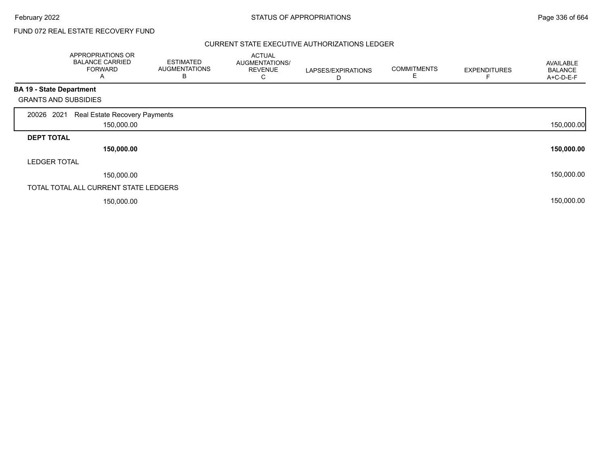Г

## FUND 072 REAL ESTATE RECOVERY FUND

#### CURRENT STATE EXECUTIVE AUTHORIZATIONS LEDGER

|                             | APPROPRIATIONS OR<br><b>BALANCE CARRIED</b><br><b>FORWARD</b><br>A | <b>ESTIMATED</b><br><b>AUGMENTATIONS</b><br>В | <b>ACTUAL</b><br>AUGMENTATIONS/<br><b>REVENUE</b><br>С | LAPSES/EXPIRATIONS<br>D | <b>COMMITMENTS</b><br>E | <b>EXPENDITURES</b> | <b>AVAILABLE</b><br><b>BALANCE</b><br>A+C-D-E-F |
|-----------------------------|--------------------------------------------------------------------|-----------------------------------------------|--------------------------------------------------------|-------------------------|-------------------------|---------------------|-------------------------------------------------|
| BA 19 - State Department    |                                                                    |                                               |                                                        |                         |                         |                     |                                                 |
| <b>GRANTS AND SUBSIDIES</b> |                                                                    |                                               |                                                        |                         |                         |                     |                                                 |
| 2021<br>20026               | Real Estate Recovery Payments                                      |                                               |                                                        |                         |                         |                     |                                                 |
|                             | 150,000.00                                                         |                                               |                                                        |                         |                         |                     | 150,000.00                                      |
| <b>DEPT TOTAL</b>           |                                                                    |                                               |                                                        |                         |                         |                     |                                                 |
|                             | 150,000.00                                                         |                                               |                                                        |                         |                         |                     | 150,000.00                                      |
| <b>LEDGER TOTAL</b>         |                                                                    |                                               |                                                        |                         |                         |                     |                                                 |
|                             | 150,000.00                                                         |                                               |                                                        |                         |                         |                     | 150,000.00                                      |
|                             | TOTAL TOTAL ALL CURRENT STATE LEDGERS                              |                                               |                                                        |                         |                         |                     |                                                 |
|                             | 150,000.00                                                         |                                               |                                                        |                         |                         |                     | 150,000.00                                      |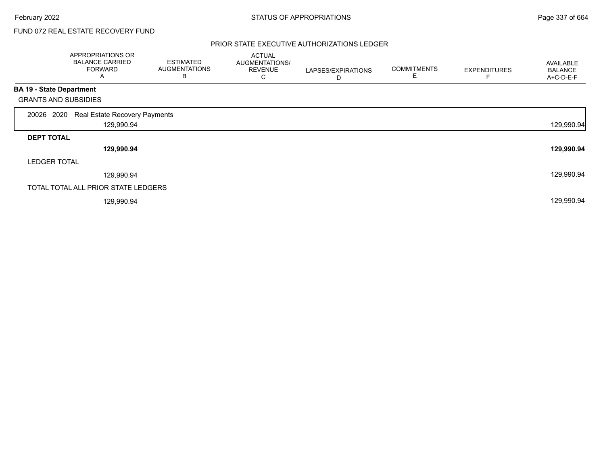Г

# FUND 072 REAL ESTATE RECOVERY FUND

### PRIOR STATE EXECUTIVE AUTHORIZATIONS LEDGER

|                                 | APPROPRIATIONS OR<br><b>BALANCE CARRIED</b><br><b>FORWARD</b><br>A | <b>ESTIMATED</b><br><b>AUGMENTATIONS</b><br>В | <b>ACTUAL</b><br>AUGMENTATIONS/<br><b>REVENUE</b><br>С | LAPSES/EXPIRATIONS<br>D | <b>COMMITMENTS</b><br>E | <b>EXPENDITURES</b> | <b>AVAILABLE</b><br><b>BALANCE</b><br>A+C-D-E-F |
|---------------------------------|--------------------------------------------------------------------|-----------------------------------------------|--------------------------------------------------------|-------------------------|-------------------------|---------------------|-------------------------------------------------|
| <b>BA 19 - State Department</b> |                                                                    |                                               |                                                        |                         |                         |                     |                                                 |
| <b>GRANTS AND SUBSIDIES</b>     |                                                                    |                                               |                                                        |                         |                         |                     |                                                 |
| 2020<br>20026                   | Real Estate Recovery Payments                                      |                                               |                                                        |                         |                         |                     |                                                 |
|                                 | 129,990.94                                                         |                                               |                                                        |                         |                         |                     | 129,990.94                                      |
| <b>DEPT TOTAL</b>               |                                                                    |                                               |                                                        |                         |                         |                     |                                                 |
|                                 | 129,990.94                                                         |                                               |                                                        |                         |                         |                     | 129,990.94                                      |
| <b>LEDGER TOTAL</b>             |                                                                    |                                               |                                                        |                         |                         |                     |                                                 |
|                                 | 129,990.94                                                         |                                               |                                                        |                         |                         |                     | 129,990.94                                      |
|                                 | TOTAL TOTAL ALL PRIOR STATE LEDGERS                                |                                               |                                                        |                         |                         |                     |                                                 |
|                                 | 129,990.94                                                         |                                               |                                                        |                         |                         |                     | 129,990.94                                      |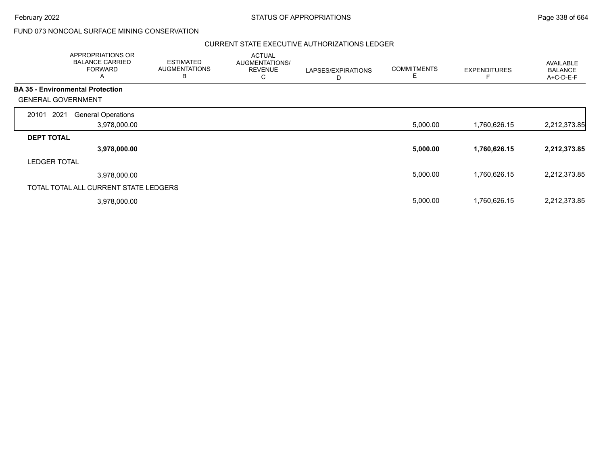### CURRENT STATE EXECUTIVE AUTHORIZATIONS LEDGER

|                                         | <b>APPROPRIATIONS OR</b><br><b>BALANCE CARRIED</b><br><b>FORWARD</b><br>A | <b>ESTIMATED</b><br><b>AUGMENTATIONS</b><br>B | <b>ACTUAL</b><br><b>AUGMENTATIONS/</b><br><b>REVENUE</b><br>С | LAPSES/EXPIRATIONS<br>D | <b>COMMITMENTS</b> | <b>EXPENDITURES</b> | <b>AVAILABLE</b><br><b>BALANCE</b><br>A+C-D-E-F |
|-----------------------------------------|---------------------------------------------------------------------------|-----------------------------------------------|---------------------------------------------------------------|-------------------------|--------------------|---------------------|-------------------------------------------------|
| <b>BA 35 - Environmental Protection</b> |                                                                           |                                               |                                                               |                         |                    |                     |                                                 |
| <b>GENERAL GOVERNMENT</b>               |                                                                           |                                               |                                                               |                         |                    |                     |                                                 |
| 2021<br>20101                           | <b>General Operations</b>                                                 |                                               |                                                               |                         |                    |                     |                                                 |
|                                         | 3,978,000.00                                                              |                                               |                                                               |                         | 5,000.00           | 1,760,626.15        | 2,212,373.85                                    |
| <b>DEPT TOTAL</b>                       |                                                                           |                                               |                                                               |                         |                    |                     |                                                 |
|                                         | 3,978,000.00                                                              |                                               |                                                               |                         | 5,000.00           | 1,760,626.15        | 2,212,373.85                                    |
| <b>LEDGER TOTAL</b>                     |                                                                           |                                               |                                                               |                         |                    |                     |                                                 |
|                                         | 3,978,000.00                                                              |                                               |                                                               |                         | 5,000.00           | 1,760,626.15        | 2,212,373.85                                    |
|                                         | TOTAL TOTAL ALL CURRENT STATE LEDGERS                                     |                                               |                                                               |                         |                    |                     |                                                 |
|                                         | 3,978,000.00                                                              |                                               |                                                               |                         | 5,000.00           | 1,760,626.15        | 2,212,373.85                                    |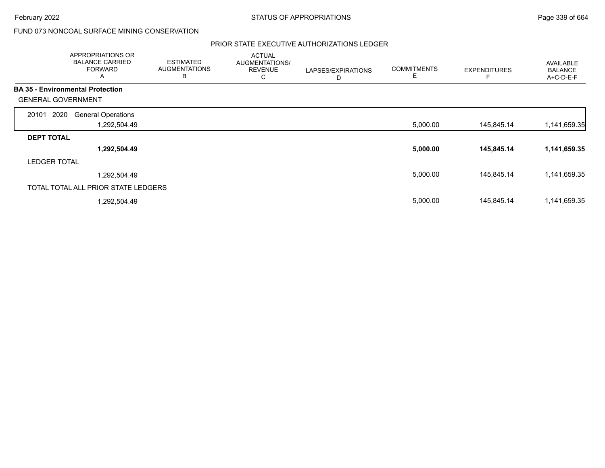### PRIOR STATE EXECUTIVE AUTHORIZATIONS LEDGER

|                                         | APPROPRIATIONS OR<br><b>BALANCE CARRIED</b><br><b>FORWARD</b><br>A | <b>ESTIMATED</b><br><b>AUGMENTATIONS</b><br>В | <b>ACTUAL</b><br>AUGMENTATIONS/<br><b>REVENUE</b><br>С | LAPSES/EXPIRATIONS<br>D | <b>COMMITMENTS</b><br>E | <b>EXPENDITURES</b> | AVAILABLE<br><b>BALANCE</b><br>A+C-D-E-F |
|-----------------------------------------|--------------------------------------------------------------------|-----------------------------------------------|--------------------------------------------------------|-------------------------|-------------------------|---------------------|------------------------------------------|
| <b>BA 35 - Environmental Protection</b> |                                                                    |                                               |                                                        |                         |                         |                     |                                          |
| <b>GENERAL GOVERNMENT</b>               |                                                                    |                                               |                                                        |                         |                         |                     |                                          |
| 2020<br>20101                           | <b>General Operations</b>                                          |                                               |                                                        |                         |                         |                     |                                          |
|                                         | 1,292,504.49                                                       |                                               |                                                        |                         | 5,000.00                | 145,845.14          | 1,141,659.35                             |
| <b>DEPT TOTAL</b>                       |                                                                    |                                               |                                                        |                         |                         |                     |                                          |
|                                         | 1,292,504.49                                                       |                                               |                                                        |                         | 5,000.00                | 145,845.14          | 1,141,659.35                             |
| <b>LEDGER TOTAL</b>                     |                                                                    |                                               |                                                        |                         |                         |                     |                                          |
|                                         | 1,292,504.49                                                       |                                               |                                                        |                         | 5,000.00                | 145,845.14          | 1,141,659.35                             |
| TOTAL TOTAL ALL PRIOR STATE LEDGERS     |                                                                    |                                               |                                                        |                         |                         |                     |                                          |
|                                         | 1,292,504.49                                                       |                                               |                                                        |                         | 5,000.00                | 145,845.14          | 1,141,659.35                             |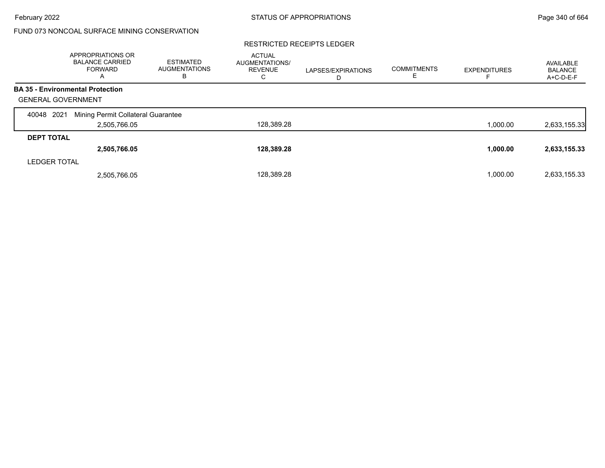#### RESTRICTED RECEIPTS LEDGER

|                           | APPROPRIATIONS OR<br><b>BALANCE CARRIED</b><br><b>FORWARD</b><br>A | <b>ESTIMATED</b><br><b>AUGMENTATIONS</b><br>В | <b>ACTUAL</b><br><b>AUGMENTATIONS/</b><br><b>REVENUE</b><br>С | LAPSES/EXPIRATIONS<br>D | <b>COMMITMENTS</b> | <b>EXPENDITURES</b> | AVAILABLE<br><b>BALANCE</b><br>A+C-D-E-F |
|---------------------------|--------------------------------------------------------------------|-----------------------------------------------|---------------------------------------------------------------|-------------------------|--------------------|---------------------|------------------------------------------|
|                           | <b>BA 35 - Environmental Protection</b>                            |                                               |                                                               |                         |                    |                     |                                          |
| <b>GENERAL GOVERNMENT</b> |                                                                    |                                               |                                                               |                         |                    |                     |                                          |
| 2021<br>40048             | Mining Permit Collateral Guarantee                                 |                                               |                                                               |                         |                    |                     |                                          |
|                           | 2,505,766.05                                                       |                                               | 128,389.28                                                    |                         |                    | 1.000.00            | 2,633,155.33                             |
| <b>DEPT TOTAL</b>         |                                                                    |                                               |                                                               |                         |                    |                     |                                          |
|                           | 2,505,766.05                                                       |                                               | 128,389.28                                                    |                         |                    | 1,000.00            | 2,633,155.33                             |
| <b>LEDGER TOTAL</b>       |                                                                    |                                               |                                                               |                         |                    |                     |                                          |
|                           | 2,505,766.05                                                       |                                               | 128.389.28                                                    |                         |                    | 1,000.00            | 2,633,155.33                             |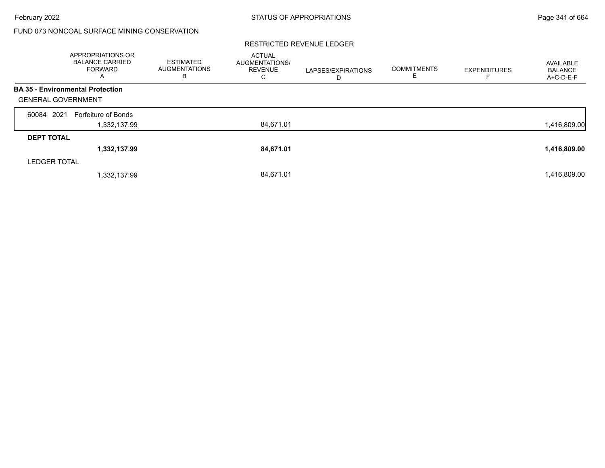|                           | <b>APPROPRIATIONS OR</b><br><b>BALANCE CARRIED</b><br><b>FORWARD</b><br>A | <b>ESTIMATED</b><br><b>AUGMENTATIONS</b><br>в | <b>ACTUAL</b><br>AUGMENTATIONS/<br><b>REVENUE</b><br>С | LAPSES/EXPIRATIONS<br>D | <b>COMMITMENTS</b><br>E | <b>EXPENDITURES</b> | AVAILABLE<br><b>BALANCE</b><br>A+C-D-E-F |
|---------------------------|---------------------------------------------------------------------------|-----------------------------------------------|--------------------------------------------------------|-------------------------|-------------------------|---------------------|------------------------------------------|
|                           | <b>BA 35 - Environmental Protection</b>                                   |                                               |                                                        |                         |                         |                     |                                          |
| <b>GENERAL GOVERNMENT</b> |                                                                           |                                               |                                                        |                         |                         |                     |                                          |
| 60084 2021                | Forfeiture of Bonds                                                       |                                               |                                                        |                         |                         |                     |                                          |
|                           | 1,332,137.99                                                              |                                               | 84,671.01                                              |                         |                         |                     | 1,416,809.00                             |
| <b>DEPT TOTAL</b>         |                                                                           |                                               |                                                        |                         |                         |                     |                                          |
|                           | 1,332,137.99                                                              |                                               | 84,671.01                                              |                         |                         |                     | 1,416,809.00                             |
| <b>LEDGER TOTAL</b>       |                                                                           |                                               |                                                        |                         |                         |                     |                                          |
|                           | 1,332,137.99                                                              |                                               | 84.671.01                                              |                         |                         |                     | 1,416,809.00                             |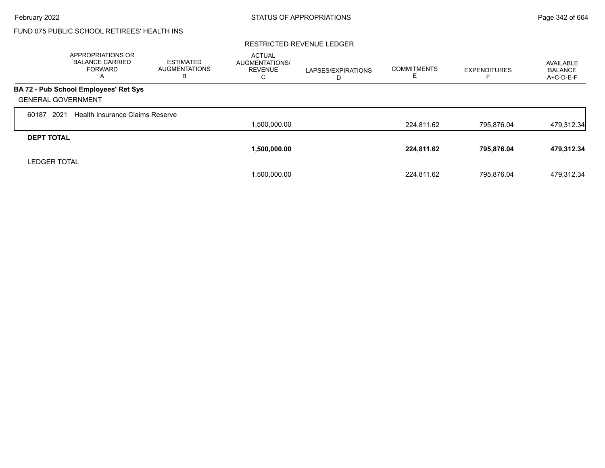# FUND 075 PUBLIC SCHOOL RETIREES' HEALTH INS

|                           | APPROPRIATIONS OR<br><b>BALANCE CARRIED</b><br><b>FORWARD</b><br>A | <b>ESTIMATED</b><br><b>AUGMENTATIONS</b><br>в | <b>ACTUAL</b><br><b>AUGMENTATIONS/</b><br><b>REVENUE</b><br>С | LAPSES/EXPIRATIONS<br>D | <b>COMMITMENTS</b><br>ᄇ | <b>EXPENDITURES</b> | AVAILABLE<br><b>BALANCE</b><br>A+C-D-E-F |
|---------------------------|--------------------------------------------------------------------|-----------------------------------------------|---------------------------------------------------------------|-------------------------|-------------------------|---------------------|------------------------------------------|
|                           | BA 72 - Pub School Employees' Ret Sys                              |                                               |                                                               |                         |                         |                     |                                          |
| <b>GENERAL GOVERNMENT</b> |                                                                    |                                               |                                                               |                         |                         |                     |                                          |
| 2021<br>60187             | Health Insurance Claims Reserve                                    |                                               |                                                               |                         |                         |                     |                                          |
|                           |                                                                    |                                               | 1,500,000.00                                                  |                         | 224.811.62              | 795.876.04          | 479,312.34                               |
| <b>DEPT TOTAL</b>         |                                                                    |                                               |                                                               |                         |                         |                     |                                          |
|                           |                                                                    |                                               | 1,500,000.00                                                  |                         | 224,811.62              | 795,876.04          | 479,312.34                               |
| <b>LEDGER TOTAL</b>       |                                                                    |                                               |                                                               |                         |                         |                     |                                          |
|                           |                                                                    |                                               | 1,500,000.00                                                  |                         | 224.811.62              | 795.876.04          | 479.312.34                               |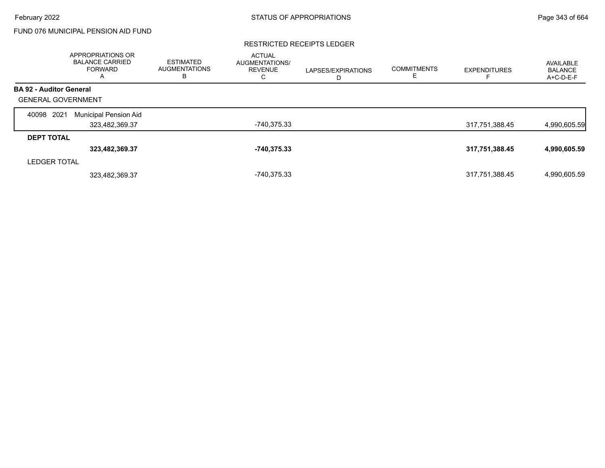### FUND 076 MUNICIPAL PENSION AID FUND

#### RESTRICTED RECEIPTS LEDGER

|                                | APPROPRIATIONS OR<br><b>BALANCE CARRIED</b><br>FORWARD<br>A | <b>ESTIMATED</b><br><b>AUGMENTATIONS</b><br>в | <b>ACTUAL</b><br>AUGMENTATIONS/<br><b>REVENUE</b><br>C | LAPSES/EXPIRATIONS<br>D | <b>COMMITMENTS</b><br>E. | <b>EXPENDITURES</b> | AVAILABLE<br><b>BALANCE</b><br>A+C-D-E-F |
|--------------------------------|-------------------------------------------------------------|-----------------------------------------------|--------------------------------------------------------|-------------------------|--------------------------|---------------------|------------------------------------------|
| <b>BA 92 - Auditor General</b> |                                                             |                                               |                                                        |                         |                          |                     |                                          |
| <b>GENERAL GOVERNMENT</b>      |                                                             |                                               |                                                        |                         |                          |                     |                                          |
| 2021<br>40098                  | Municipal Pension Aid                                       |                                               |                                                        |                         |                          |                     |                                          |
|                                | 323,482,369.37                                              |                                               | -740,375.33                                            |                         |                          | 317,751,388.45      | 4,990,605.59                             |
| <b>DEPT TOTAL</b>              |                                                             |                                               |                                                        |                         |                          |                     |                                          |
|                                | 323,482,369.37                                              |                                               | -740,375.33                                            |                         |                          | 317,751,388.45      | 4,990,605.59                             |
| <b>LEDGER TOTAL</b>            |                                                             |                                               |                                                        |                         |                          |                     |                                          |
|                                | 323,482,369.37                                              |                                               | -740.375.33                                            |                         |                          | 317,751,388.45      | 4,990,605.59                             |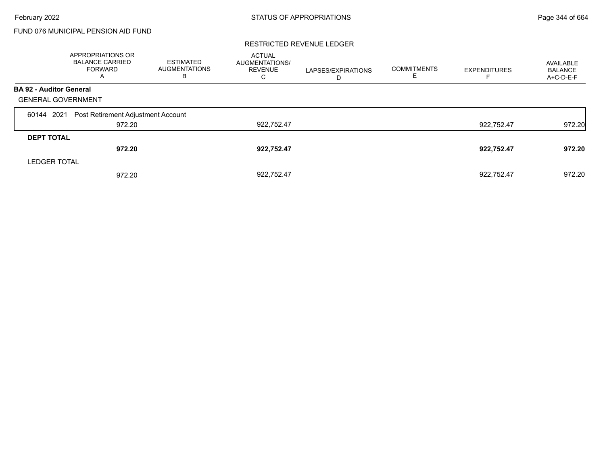## FUND 076 MUNICIPAL PENSION AID FUND

|                                | APPROPRIATIONS OR<br><b>BALANCE CARRIED</b><br><b>FORWARD</b><br>$\mathsf{A}$ | <b>ESTIMATED</b><br><b>AUGMENTATIONS</b><br>в | <b>ACTUAL</b><br>AUGMENTATIONS/<br><b>REVENUE</b><br>С | LAPSES/EXPIRATIONS<br>D | <b>COMMITMENTS</b> | <b>EXPENDITURES</b> | AVAILABLE<br><b>BALANCE</b><br>A+C-D-E-F |
|--------------------------------|-------------------------------------------------------------------------------|-----------------------------------------------|--------------------------------------------------------|-------------------------|--------------------|---------------------|------------------------------------------|
| <b>BA 92 - Auditor General</b> |                                                                               |                                               |                                                        |                         |                    |                     |                                          |
| <b>GENERAL GOVERNMENT</b>      |                                                                               |                                               |                                                        |                         |                    |                     |                                          |
| 2021<br>60144                  | Post Retirement Adjustment Account                                            |                                               |                                                        |                         |                    |                     |                                          |
|                                | 972.20                                                                        |                                               | 922,752.47                                             |                         |                    | 922.752.47          | 972.20                                   |
| <b>DEPT TOTAL</b>              |                                                                               |                                               |                                                        |                         |                    |                     |                                          |
|                                | 972.20                                                                        |                                               | 922,752.47                                             |                         |                    | 922,752.47          | 972.20                                   |
| <b>LEDGER TOTAL</b>            |                                                                               |                                               |                                                        |                         |                    |                     |                                          |
|                                | 972.20                                                                        |                                               | 922.752.47                                             |                         |                    | 922.752.47          | 972.20                                   |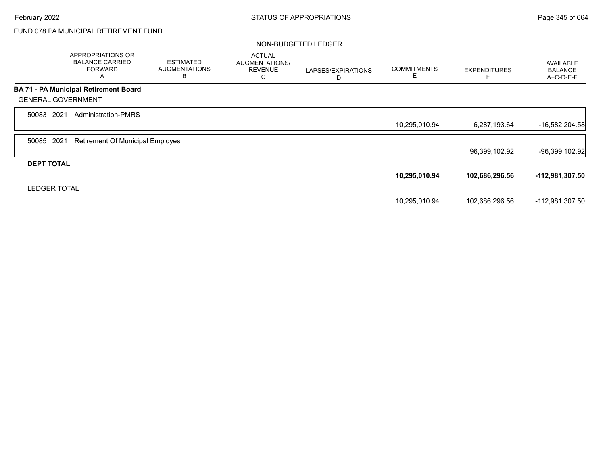## FUND 078 PA MUNICIPAL RETIREMENT FUND

#### NON-BUDGETED LEDGER

|                           | APPROPRIATIONS OR<br><b>BALANCE CARRIED</b><br><b>FORWARD</b><br>A | <b>ESTIMATED</b><br><b>AUGMENTATIONS</b><br>В | <b>ACTUAL</b><br>AUGMENTATIONS/<br><b>REVENUE</b><br>C | LAPSES/EXPIRATIONS<br>D | <b>COMMITMENTS</b><br>Е | <b>EXPENDITURES</b> | <b>AVAILABLE</b><br><b>BALANCE</b><br>A+C-D-E-F |
|---------------------------|--------------------------------------------------------------------|-----------------------------------------------|--------------------------------------------------------|-------------------------|-------------------------|---------------------|-------------------------------------------------|
|                           | <b>BA 71 - PA Municipal Retirement Board</b>                       |                                               |                                                        |                         |                         |                     |                                                 |
| <b>GENERAL GOVERNMENT</b> |                                                                    |                                               |                                                        |                         |                         |                     |                                                 |
| 50083 2021                | <b>Administration-PMRS</b>                                         |                                               |                                                        |                         |                         |                     |                                                 |
|                           |                                                                    |                                               |                                                        |                         | 10,295,010.94           | 6,287,193.64        | $-16,582,204.58$                                |
| 2021<br>50085             | <b>Retirement Of Municipal Employes</b>                            |                                               |                                                        |                         |                         |                     |                                                 |
|                           |                                                                    |                                               |                                                        |                         |                         | 96,399,102.92       | $-96,399,102.92$                                |
| <b>DEPT TOTAL</b>         |                                                                    |                                               |                                                        |                         |                         |                     |                                                 |
|                           |                                                                    |                                               |                                                        |                         | 10,295,010.94           | 102,686,296.56      | -112,981,307.50                                 |
| <b>LEDGER TOTAL</b>       |                                                                    |                                               |                                                        |                         |                         |                     |                                                 |
|                           |                                                                    |                                               |                                                        |                         | 10,295,010.94           | 102,686,296.56      | -112,981,307.50                                 |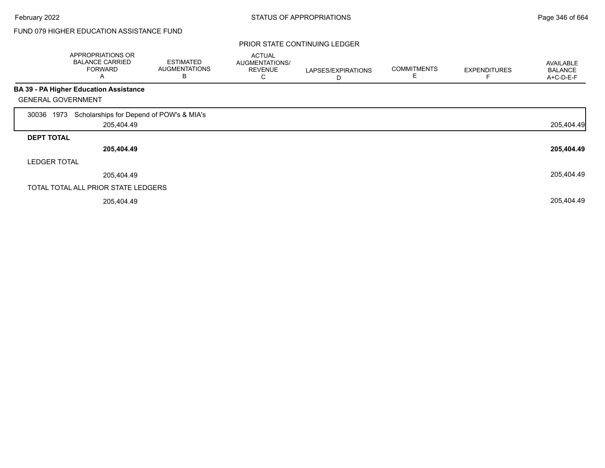#### PRIOR STATE CONTINUING LEDGER

|                           | APPROPRIATIONS OR<br><b>BALANCE CARRIED</b><br><b>FORWARD</b><br>Α | <b>ESTIMATED</b><br><b>AUGMENTATIONS</b><br>В | <b>ACTUAL</b><br>AUGMENTATIONS/<br><b>REVENUE</b><br>С | LAPSES/EXPIRATIONS<br>D | <b>COMMITMENTS</b><br>Ε | <b>EXPENDITURES</b> | AVAILABLE<br><b>BALANCE</b><br>A+C-D-E-F |
|---------------------------|--------------------------------------------------------------------|-----------------------------------------------|--------------------------------------------------------|-------------------------|-------------------------|---------------------|------------------------------------------|
|                           | <b>BA 39 - PA Higher Education Assistance</b>                      |                                               |                                                        |                         |                         |                     |                                          |
| <b>GENERAL GOVERNMENT</b> |                                                                    |                                               |                                                        |                         |                         |                     |                                          |
| 1973<br>30036             | Scholarships for Depend of POW's & MIA's                           |                                               |                                                        |                         |                         |                     |                                          |
|                           | 205,404.49                                                         |                                               |                                                        |                         |                         |                     | 205,404.49                               |
| <b>DEPT TOTAL</b>         |                                                                    |                                               |                                                        |                         |                         |                     |                                          |
|                           | 205,404.49                                                         |                                               |                                                        |                         |                         |                     | 205,404.49                               |
| <b>LEDGER TOTAL</b>       |                                                                    |                                               |                                                        |                         |                         |                     |                                          |
|                           | 205,404.49                                                         |                                               |                                                        |                         |                         |                     | 205,404.49                               |
|                           | TOTAL TOTAL ALL PRIOR STATE LEDGERS                                |                                               |                                                        |                         |                         |                     |                                          |
|                           | 205,404.49                                                         |                                               |                                                        |                         |                         |                     | 205,404.49                               |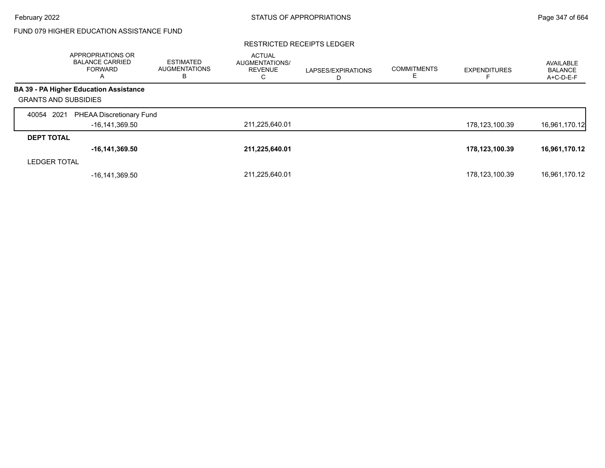#### RESTRICTED RECEIPTS LEDGER

|                             | APPROPRIATIONS OR<br><b>BALANCE CARRIED</b><br><b>FORWARD</b><br>A | ESTIMATED<br><b>AUGMENTATIONS</b><br>в | <b>ACTUAL</b><br>AUGMENTATIONS/<br><b>REVENUE</b><br>С | LAPSES/EXPIRATIONS<br>D | <b>COMMITMENTS</b><br>Е | <b>EXPENDITURES</b> | AVAILABLE<br><b>BALANCE</b><br>$A+C-D-E-F$ |
|-----------------------------|--------------------------------------------------------------------|----------------------------------------|--------------------------------------------------------|-------------------------|-------------------------|---------------------|--------------------------------------------|
|                             | <b>BA 39 - PA Higher Education Assistance</b>                      |                                        |                                                        |                         |                         |                     |                                            |
| <b>GRANTS AND SUBSIDIES</b> |                                                                    |                                        |                                                        |                         |                         |                     |                                            |
| 2021<br>40054               | PHEAA Discretionary Fund                                           |                                        |                                                        |                         |                         |                     |                                            |
|                             | -16,141,369.50                                                     |                                        | 211,225,640.01                                         |                         |                         | 178,123,100.39      | 16,961,170.12                              |
| <b>DEPT TOTAL</b>           |                                                                    |                                        |                                                        |                         |                         |                     |                                            |
|                             | $-16, 141, 369.50$                                                 |                                        | 211,225,640.01                                         |                         |                         | 178,123,100.39      | 16,961,170.12                              |
| <b>LEDGER TOTAL</b>         |                                                                    |                                        |                                                        |                         |                         |                     |                                            |
|                             | -16,141,369.50                                                     |                                        | 211,225,640.01                                         |                         |                         | 178,123,100.39      | 16,961,170.12                              |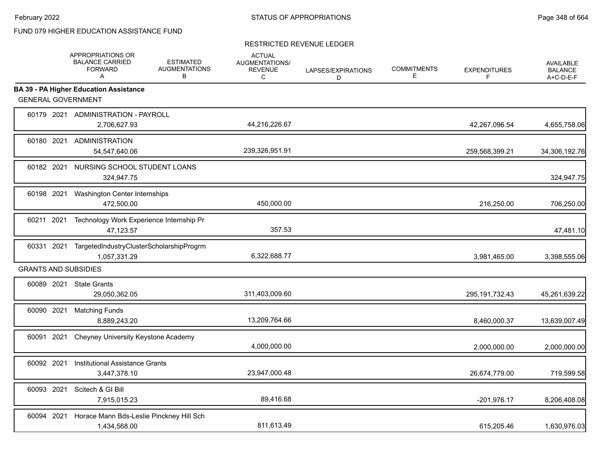|                             | APPROPRIATIONS OR<br><b>BALANCE CARRIED</b><br><b>FORWARD</b><br>A | <b>ESTIMATED</b><br><b>AUGMENTATIONS</b><br>B | <b>ACTUAL</b><br><b>AUGMENTATIONS/</b><br><b>REVENUE</b><br>C | LAPSES/EXPIRATIONS<br>D | <b>COMMITMENTS</b><br>E | <b>EXPENDITURES</b><br>F | <b>AVAILABLE</b><br><b>BALANCE</b><br>$A+C-D-E-F$ |
|-----------------------------|--------------------------------------------------------------------|-----------------------------------------------|---------------------------------------------------------------|-------------------------|-------------------------|--------------------------|---------------------------------------------------|
|                             | <b>BA 39 - PA Higher Education Assistance</b>                      |                                               |                                                               |                         |                         |                          |                                                   |
| <b>GENERAL GOVERNMENT</b>   |                                                                    |                                               |                                                               |                         |                         |                          |                                                   |
|                             | 60179 2021 ADMINISTRATION - PAYROLL<br>2,706,627.93                |                                               | 44,216,226.67                                                 |                         |                         | 42,267,096.54            | 4,655,758.06                                      |
| 60180 2021                  | <b>ADMINISTRATION</b><br>54,547,640.06                             |                                               | 239,326,951.91                                                |                         |                         | 259,568,399.21           | 34,306,192.76                                     |
| 60182 2021                  | NURSING SCHOOL STUDENT LOANS<br>324,947.75                         |                                               |                                                               |                         |                         |                          | 324,947.75                                        |
| 60198 2021                  | Washington Center Internships<br>472,500.00                        |                                               | 450,000.00                                                    |                         |                         | 216,250.00               | 706,250.00                                        |
| 60211 2021                  | Technology Work Experience Internship Pr<br>47,123.57              |                                               | 357.53                                                        |                         |                         |                          | 47,481.10                                         |
| 60331 2021                  | TargetedIndustryClusterScholarshipProgrm<br>1,057,331.29           |                                               | 6,322,688.77                                                  |                         |                         | 3,981,465.00             | 3,398,555.06                                      |
| <b>GRANTS AND SUBSIDIES</b> |                                                                    |                                               |                                                               |                         |                         |                          |                                                   |
|                             | 60089 2021 State Grants<br>29,050,362.05                           |                                               | 311,403,009.60                                                |                         |                         | 295, 191, 732. 43        | 45,261,639.22                                     |
| 60090 2021                  | <b>Matching Funds</b><br>8,889,243.20                              |                                               | 13,209,764.66                                                 |                         |                         | 8,460,000.37             | 13,639,007.49                                     |
| 60091 2021                  | Cheyney University Keystone Academy                                |                                               | 4,000,000.00                                                  |                         |                         | 2,000,000.00             | 2,000,000.00                                      |
| 60092 2021                  | <b>Institutional Assistance Grants</b><br>3,447,378.10             |                                               | 23,947,000.48                                                 |                         |                         | 26,674,779.00            | 719,599.58                                        |
| 60093 2021                  | Scitech & GI Bill<br>7,915,015.23                                  |                                               | 89,416.68                                                     |                         |                         | $-201,976.17$            | 8,206,408.08                                      |
| 60094 2021                  | Horace Mann Bds-Leslie Pinckney Hill Sch<br>1,434,568.00           |                                               | 811,613.49                                                    |                         |                         | 615,205.46               | 1,630,976.03                                      |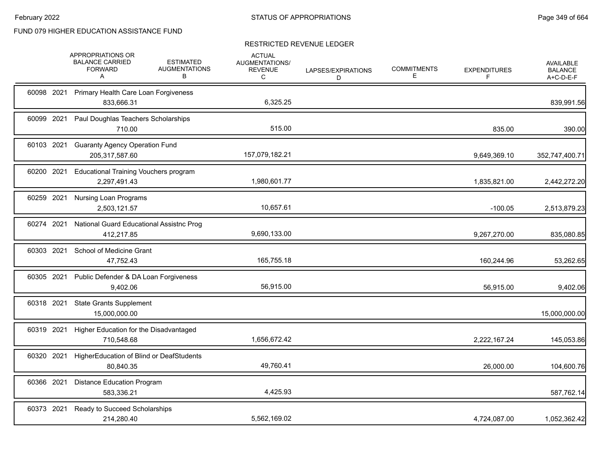|            | APPROPRIATIONS OR<br><b>BALANCE CARRIED</b><br><b>FORWARD</b><br>A | <b>ESTIMATED</b><br><b>AUGMENTATIONS</b><br>B | <b>ACTUAL</b><br>AUGMENTATIONS/<br><b>REVENUE</b><br>C | LAPSES/EXPIRATIONS<br>D | <b>COMMITMENTS</b><br>E | <b>EXPENDITURES</b><br>F | AVAILABLE<br><b>BALANCE</b><br>A+C-D-E-F |
|------------|--------------------------------------------------------------------|-----------------------------------------------|--------------------------------------------------------|-------------------------|-------------------------|--------------------------|------------------------------------------|
| 60098 2021 | Primary Health Care Loan Forgiveness<br>833,666.31                 |                                               | 6,325.25                                               |                         |                         |                          | 839,991.56                               |
| 60099 2021 | Paul Doughlas Teachers Scholarships<br>710.00                      |                                               | 515.00                                                 |                         |                         | 835.00                   | 390.00                                   |
| 60103 2021 | <b>Guaranty Agency Operation Fund</b><br>205,317,587.60            |                                               | 157,079,182.21                                         |                         |                         | 9,649,369.10             | 352,747,400.71                           |
| 60200 2021 | <b>Educational Training Vouchers program</b><br>2,297,491.43       |                                               | 1,980,601.77                                           |                         |                         | 1,835,821.00             | 2,442,272.20                             |
| 60259 2021 | <b>Nursing Loan Programs</b><br>2,503,121.57                       |                                               | 10,657.61                                              |                         |                         | $-100.05$                | 2,513,879.23                             |
| 60274 2021 | National Guard Educational Assistnc Prog<br>412.217.85             |                                               | 9,690,133.00                                           |                         |                         | 9,267,270.00             | 835,080.85                               |
|            | 60303 2021 School of Medicine Grant<br>47,752.43                   |                                               | 165,755.18                                             |                         |                         | 160,244.96               | 53,262.65                                |
| 60305 2021 | Public Defender & DA Loan Forgiveness<br>9.402.06                  |                                               | 56,915.00                                              |                         |                         | 56,915.00                | 9,402.06                                 |
|            | 60318 2021 State Grants Supplement<br>15,000,000.00                |                                               |                                                        |                         |                         |                          | 15,000,000.00                            |
| 60319 2021 | Higher Education for the Disadvantaged<br>710,548.68               |                                               | 1,656,672.42                                           |                         |                         | 2,222,167.24             | 145,053.86                               |
| 60320 2021 | HigherEducation of Blind or DeafStudents<br>80,840.35              |                                               | 49,760.41                                              |                         |                         | 26,000.00                | 104,600.76                               |
| 60366 2021 | <b>Distance Education Program</b><br>583,336.21                    |                                               | 4,425.93                                               |                         |                         |                          | 587,762.14                               |
| 60373 2021 | Ready to Succeed Scholarships<br>214,280.40                        |                                               | 5,562,169.02                                           |                         |                         | 4,724,087.00             | 1,052,362.42                             |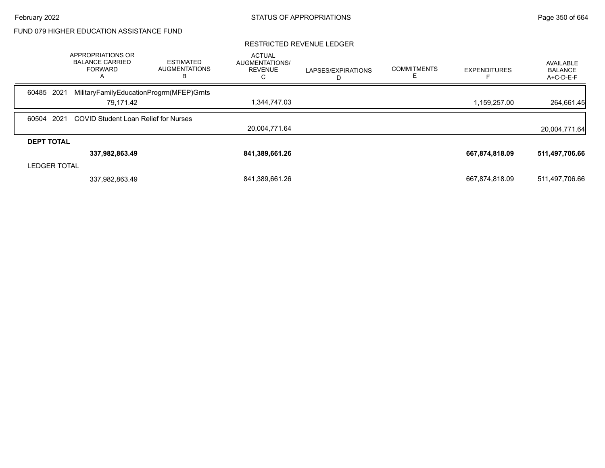|                     | APPROPRIATIONS OR<br><b>BALANCE CARRIED</b><br><b>FORWARD</b><br>A | <b>ESTIMATED</b><br><b>AUGMENTATIONS</b><br>в | <b>ACTUAL</b><br>AUGMENTATIONS/<br><b>REVENUE</b> | LAPSES/EXPIRATIONS<br>D | <b>COMMITMENTS</b> | <b>EXPENDITURES</b> | AVAILABLE<br><b>BALANCE</b><br>A+C-D-E-F |
|---------------------|--------------------------------------------------------------------|-----------------------------------------------|---------------------------------------------------|-------------------------|--------------------|---------------------|------------------------------------------|
| 60485 2021          | MilitaryFamilyEducationProgrm(MFEP)Grnts                           |                                               |                                                   |                         |                    |                     |                                          |
|                     | 79.171.42                                                          |                                               | 1,344,747.03                                      |                         |                    | 1,159,257.00        | 264,661.45                               |
| 60504 2021          | <b>COVID Student Loan Relief for Nurses</b>                        |                                               |                                                   |                         |                    |                     |                                          |
|                     |                                                                    |                                               | 20.004.771.64                                     |                         |                    |                     | 20,004,771.64                            |
| <b>DEPT TOTAL</b>   |                                                                    |                                               |                                                   |                         |                    |                     |                                          |
|                     | 337,982,863.49                                                     |                                               | 841,389,661.26                                    |                         |                    | 667,874,818.09      | 511,497,706.66                           |
| <b>LEDGER TOTAL</b> |                                                                    |                                               |                                                   |                         |                    |                     |                                          |
|                     | 337,982,863.49                                                     |                                               | 841,389,661.26                                    |                         |                    | 667,874,818.09      | 511,497,706.66                           |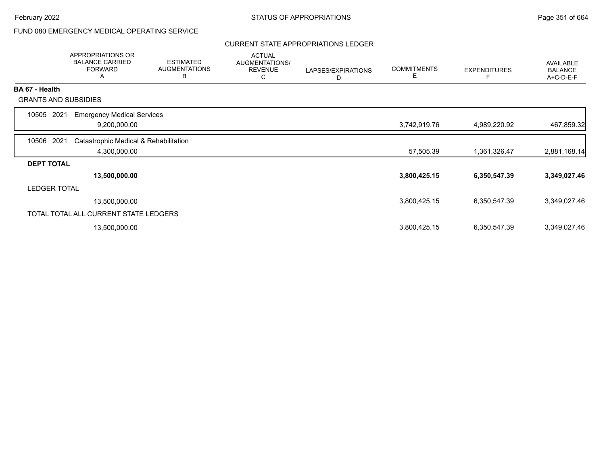## FUND 080 EMERGENCY MEDICAL OPERATING SERVICE

### CURRENT STATE APPROPRIATIONS LEDGER

|                             | <b>APPROPRIATIONS OR</b><br><b>BALANCE CARRIED</b><br><b>FORWARD</b><br>A | <b>ESTIMATED</b><br><b>AUGMENTATIONS</b><br>B | <b>ACTUAL</b><br>AUGMENTATIONS/<br><b>REVENUE</b><br>C | LAPSES/EXPIRATIONS<br>D | <b>COMMITMENTS</b><br>Е | <b>EXPENDITURES</b><br>F | AVAILABLE<br><b>BALANCE</b><br>A+C-D-E-F |
|-----------------------------|---------------------------------------------------------------------------|-----------------------------------------------|--------------------------------------------------------|-------------------------|-------------------------|--------------------------|------------------------------------------|
| <b>BA 67 - Health</b>       |                                                                           |                                               |                                                        |                         |                         |                          |                                          |
| <b>GRANTS AND SUBSIDIES</b> |                                                                           |                                               |                                                        |                         |                         |                          |                                          |
| 10505<br>2021               | <b>Emergency Medical Services</b>                                         |                                               |                                                        |                         |                         |                          |                                          |
|                             | 9,200,000.00                                                              |                                               |                                                        |                         | 3,742,919.76            | 4,989,220.92             | 467,859.32                               |
| 10506 2021                  | Catastrophic Medical & Rehabilitation                                     |                                               |                                                        |                         |                         |                          |                                          |
|                             | 4,300,000.00                                                              |                                               |                                                        |                         | 57,505.39               | 1,361,326.47             | 2,881,168.14                             |
| <b>DEPT TOTAL</b>           |                                                                           |                                               |                                                        |                         |                         |                          |                                          |
|                             | 13,500,000.00                                                             |                                               |                                                        |                         | 3,800,425.15            | 6,350,547.39             | 3,349,027.46                             |
| LEDGER TOTAL                |                                                                           |                                               |                                                        |                         |                         |                          |                                          |
|                             | 13,500,000.00                                                             |                                               |                                                        |                         | 3,800,425.15            | 6,350,547.39             | 3,349,027.46                             |
|                             | TOTAL TOTAL ALL CURRENT STATE LEDGERS                                     |                                               |                                                        |                         |                         |                          |                                          |
|                             | 13,500,000.00                                                             |                                               |                                                        |                         | 3,800,425.15            | 6,350,547.39             | 3,349,027.46                             |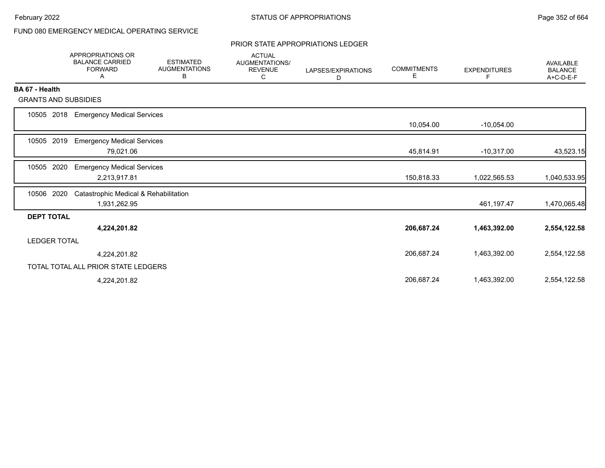## FUND 080 EMERGENCY MEDICAL OPERATING SERVICE

#### PRIOR STATE APPROPRIATIONS LEDGER

|                             | <b>APPROPRIATIONS OR</b><br><b>BALANCE CARRIED</b><br><b>FORWARD</b><br>A | <b>ESTIMATED</b><br><b>AUGMENTATIONS</b><br>В | <b>ACTUAL</b><br><b>AUGMENTATIONS/</b><br><b>REVENUE</b><br>С | LAPSES/EXPIRATIONS<br>D | <b>COMMITMENTS</b><br>E. | <b>EXPENDITURES</b><br>F | <b>AVAILABLE</b><br><b>BALANCE</b><br>A+C-D-E-F |
|-----------------------------|---------------------------------------------------------------------------|-----------------------------------------------|---------------------------------------------------------------|-------------------------|--------------------------|--------------------------|-------------------------------------------------|
| BA 67 - Health              |                                                                           |                                               |                                                               |                         |                          |                          |                                                 |
| <b>GRANTS AND SUBSIDIES</b> |                                                                           |                                               |                                                               |                         |                          |                          |                                                 |
| 10505 2018                  | <b>Emergency Medical Services</b>                                         |                                               |                                                               |                         |                          |                          |                                                 |
|                             |                                                                           |                                               |                                                               |                         | 10,054.00                | $-10,054.00$             |                                                 |
| 10505 2019                  | <b>Emergency Medical Services</b>                                         |                                               |                                                               |                         |                          |                          |                                                 |
|                             | 79,021.06                                                                 |                                               |                                                               |                         | 45,814.91                | $-10,317.00$             | 43,523.15                                       |
| 2020<br>10505               | <b>Emergency Medical Services</b>                                         |                                               |                                                               |                         |                          |                          |                                                 |
|                             | 2,213,917.81                                                              |                                               |                                                               |                         | 150,818.33               | 1,022,565.53             | 1,040,533.95                                    |
| 2020<br>10506               | Catastrophic Medical & Rehabilitation                                     |                                               |                                                               |                         |                          |                          |                                                 |
|                             | 1,931,262.95                                                              |                                               |                                                               |                         |                          | 461,197.47               | 1,470,065.48                                    |
| <b>DEPT TOTAL</b>           |                                                                           |                                               |                                                               |                         |                          |                          |                                                 |
|                             | 4,224,201.82                                                              |                                               |                                                               |                         | 206,687.24               | 1,463,392.00             | 2,554,122.58                                    |
| <b>LEDGER TOTAL</b>         |                                                                           |                                               |                                                               |                         |                          |                          |                                                 |
|                             | 4,224,201.82                                                              |                                               |                                                               |                         | 206,687.24               | 1,463,392.00             | 2,554,122.58                                    |
|                             | TOTAL TOTAL ALL PRIOR STATE LEDGERS                                       |                                               |                                                               |                         |                          |                          |                                                 |
|                             | 4,224,201.82                                                              |                                               |                                                               |                         | 206,687.24               | 1,463,392.00             | 2,554,122.58                                    |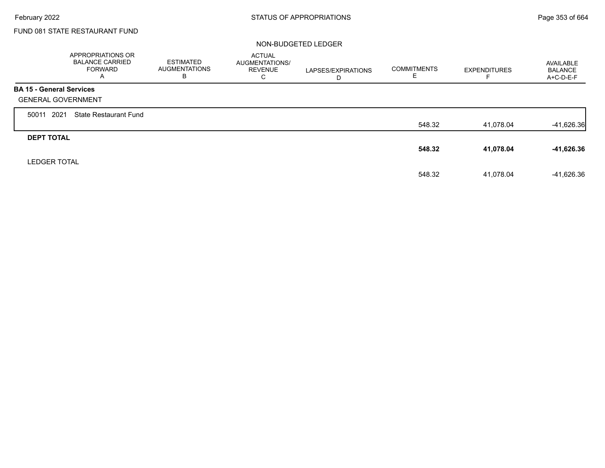Г

## FUND 081 STATE RESTAURANT FUND

#### NON-BUDGETED LEDGER

|                                 | APPROPRIATIONS OR<br><b>BALANCE CARRIED</b><br><b>FORWARD</b><br>A | <b>ESTIMATED</b><br><b>AUGMENTATIONS</b><br>в | <b>ACTUAL</b><br>AUGMENTATIONS/<br><b>REVENUE</b><br>С | LAPSES/EXPIRATIONS<br>D | <b>COMMITMENTS</b><br>Е | <b>EXPENDITURES</b> | AVAILABLE<br><b>BALANCE</b><br>$A+C-D-E-F$ |
|---------------------------------|--------------------------------------------------------------------|-----------------------------------------------|--------------------------------------------------------|-------------------------|-------------------------|---------------------|--------------------------------------------|
| <b>BA 15 - General Services</b> |                                                                    |                                               |                                                        |                         |                         |                     |                                            |
| <b>GENERAL GOVERNMENT</b>       |                                                                    |                                               |                                                        |                         |                         |                     |                                            |
| 2021<br>50011                   | <b>State Restaurant Fund</b>                                       |                                               |                                                        |                         |                         |                     |                                            |
|                                 |                                                                    |                                               |                                                        |                         | 548.32                  | 41,078.04           | $-41,626.36$                               |
| <b>DEPT TOTAL</b>               |                                                                    |                                               |                                                        |                         |                         |                     |                                            |
|                                 |                                                                    |                                               |                                                        |                         | 548.32                  | 41,078.04           | -41,626.36                                 |
| <b>LEDGER TOTAL</b>             |                                                                    |                                               |                                                        |                         |                         |                     |                                            |
|                                 |                                                                    |                                               |                                                        |                         | 548.32                  | 41,078.04           | -41,626.36                                 |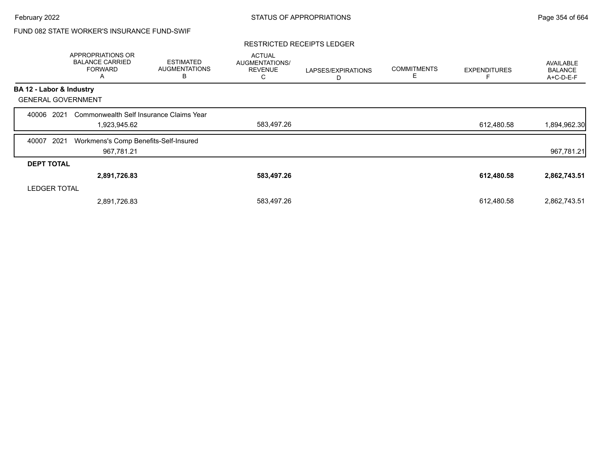## FUND 082 STATE WORKER'S INSURANCE FUND-SWIF

#### RESTRICTED RECEIPTS LEDGER

|                           | APPROPRIATIONS OR<br><b>BALANCE CARRIED</b><br><b>FORWARD</b><br>A | <b>ESTIMATED</b><br><b>AUGMENTATIONS</b><br>в | <b>ACTUAL</b><br>AUGMENTATIONS/<br><b>REVENUE</b><br>С | LAPSES/EXPIRATIONS<br>D | <b>COMMITMENTS</b><br>Е | <b>EXPENDITURES</b> | AVAILABLE<br><b>BALANCE</b><br>A+C-D-E-F |
|---------------------------|--------------------------------------------------------------------|-----------------------------------------------|--------------------------------------------------------|-------------------------|-------------------------|---------------------|------------------------------------------|
| BA 12 - Labor & Industry  |                                                                    |                                               |                                                        |                         |                         |                     |                                          |
| <b>GENERAL GOVERNMENT</b> |                                                                    |                                               |                                                        |                         |                         |                     |                                          |
| 2021<br>40006             | Commonwealth Self Insurance Claims Year                            |                                               |                                                        |                         |                         |                     |                                          |
|                           | 1,923,945.62                                                       |                                               | 583,497.26                                             |                         |                         | 612,480.58          | 1,894,962.30                             |
| 2021<br>40007             | Workmens's Comp Benefits-Self-Insured                              |                                               |                                                        |                         |                         |                     |                                          |
|                           | 967,781.21                                                         |                                               |                                                        |                         |                         |                     | 967,781.21                               |
| <b>DEPT TOTAL</b>         |                                                                    |                                               |                                                        |                         |                         |                     |                                          |
|                           | 2,891,726.83                                                       |                                               | 583,497.26                                             |                         |                         | 612,480.58          | 2,862,743.51                             |
| <b>LEDGER TOTAL</b>       |                                                                    |                                               |                                                        |                         |                         |                     |                                          |
|                           | 2,891,726.83                                                       |                                               | 583,497.26                                             |                         |                         | 612.480.58          | 2,862,743.51                             |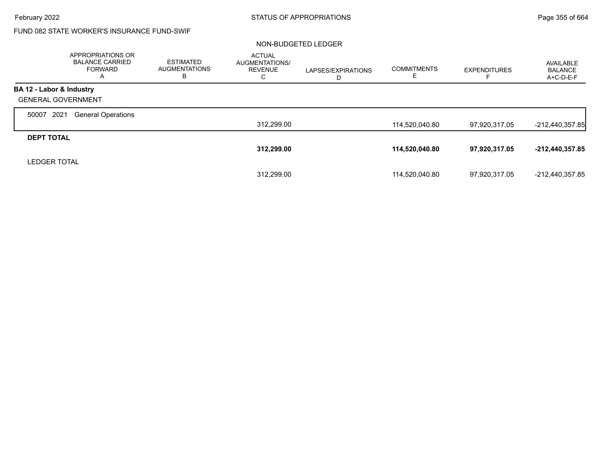## FUND 082 STATE WORKER'S INSURANCE FUND-SWIF

#### NON-BUDGETED LEDGER

|                           | APPROPRIATIONS OR<br><b>BALANCE CARRIED</b><br><b>FORWARD</b> | <b>ESTIMATED</b><br><b>AUGMENTATIONS</b><br>ь | <b>ACTUAL</b><br>AUGMENTATIONS/<br><b>REVENUE</b><br>С | LAPSES/EXPIRATIONS<br>D | <b>COMMITMENTS</b><br>ᄇ | <b>EXPENDITURES</b> | AVAILABLE<br><b>BALANCE</b><br>A+C-D-E-F |
|---------------------------|---------------------------------------------------------------|-----------------------------------------------|--------------------------------------------------------|-------------------------|-------------------------|---------------------|------------------------------------------|
| BA 12 - Labor & Industry  |                                                               |                                               |                                                        |                         |                         |                     |                                          |
| <b>GENERAL GOVERNMENT</b> |                                                               |                                               |                                                        |                         |                         |                     |                                          |
| 2021<br>50007             | <b>General Operations</b>                                     |                                               |                                                        |                         |                         |                     |                                          |
|                           |                                                               |                                               | 312,299.00                                             |                         | 114,520,040.80          | 97,920,317.05       | $-212,440,357.85$                        |
| <b>DEPT TOTAL</b>         |                                                               |                                               |                                                        |                         |                         |                     |                                          |
|                           |                                                               |                                               | 312,299.00                                             |                         | 114,520,040.80          | 97,920,317.05       | -212,440,357.85                          |
| <b>LEDGER TOTAL</b>       |                                                               |                                               |                                                        |                         |                         |                     |                                          |
|                           |                                                               |                                               | 312.299.00                                             |                         | 114,520,040.80          | 97.920.317.05       | -212,440,357.85                          |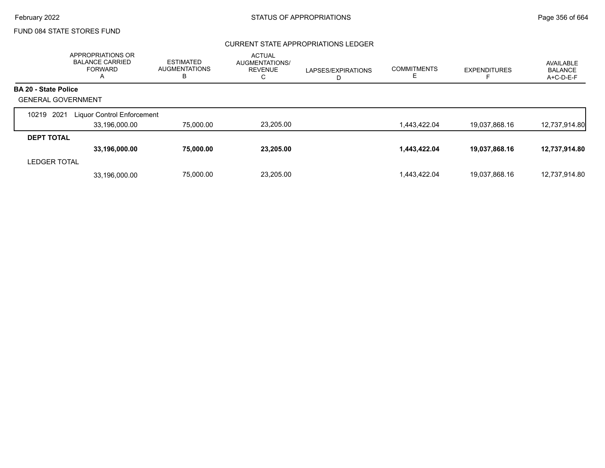### CURRENT STATE APPROPRIATIONS LEDGER

|                             | APPROPRIATIONS OR<br><b>BALANCE CARRIED</b><br><b>FORWARD</b><br>A | <b>ESTIMATED</b><br><b>AUGMENTATIONS</b><br>в | <b>ACTUAL</b><br>AUGMENTATIONS/<br><b>REVENUE</b><br>C | LAPSES/EXPIRATIONS<br>D | <b>COMMITMENTS</b><br>ᄂ | <b>EXPENDITURES</b> | AVAILABLE<br><b>BALANCE</b><br>A+C-D-E-F |
|-----------------------------|--------------------------------------------------------------------|-----------------------------------------------|--------------------------------------------------------|-------------------------|-------------------------|---------------------|------------------------------------------|
| <b>BA 20 - State Police</b> |                                                                    |                                               |                                                        |                         |                         |                     |                                          |
| <b>GENERAL GOVERNMENT</b>   |                                                                    |                                               |                                                        |                         |                         |                     |                                          |
| 2021<br>10219               | Liquor Control Enforcement                                         |                                               |                                                        |                         |                         |                     |                                          |
|                             | 33,196,000.00                                                      | 75,000.00                                     | 23,205.00                                              |                         | 1,443,422.04            | 19,037,868.16       | 12,737,914.80                            |
| <b>DEPT TOTAL</b>           |                                                                    |                                               |                                                        |                         |                         |                     |                                          |
|                             | 33,196,000.00                                                      | 75,000.00                                     | 23,205.00                                              |                         | 1,443,422.04            | 19,037,868.16       | 12,737,914.80                            |
| <b>LEDGER TOTAL</b>         |                                                                    |                                               |                                                        |                         |                         |                     |                                          |
|                             | 33.196.000.00                                                      | 75.000.00                                     | 23.205.00                                              |                         | 1.443.422.04            | 19,037,868.16       | 12,737,914.80                            |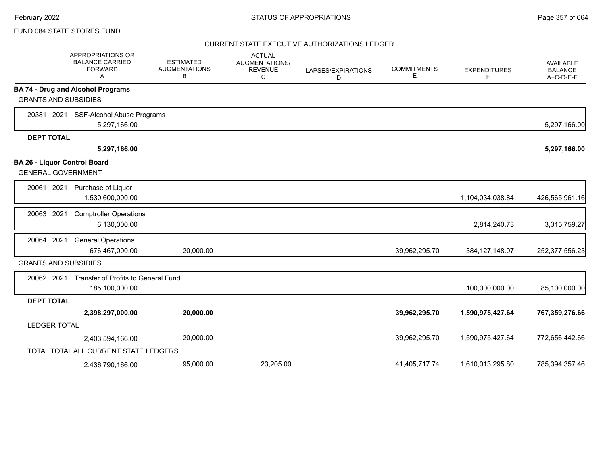#### CURRENT STATE EXECUTIVE AUTHORIZATIONS LEDGER

|                             | APPROPRIATIONS OR<br><b>BALANCE CARRIED</b><br><b>FORWARD</b><br>A | <b>ESTIMATED</b><br><b>AUGMENTATIONS</b><br>в | <b>ACTUAL</b><br>AUGMENTATIONS/<br><b>REVENUE</b><br>C | LAPSES/EXPIRATIONS<br>D | <b>COMMITMENTS</b><br>Е | <b>EXPENDITURES</b><br>F | AVAILABLE<br><b>BALANCE</b><br>$A+C-D-E-F$ |
|-----------------------------|--------------------------------------------------------------------|-----------------------------------------------|--------------------------------------------------------|-------------------------|-------------------------|--------------------------|--------------------------------------------|
|                             | <b>BA 74 - Drug and Alcohol Programs</b>                           |                                               |                                                        |                         |                         |                          |                                            |
| <b>GRANTS AND SUBSIDIES</b> |                                                                    |                                               |                                                        |                         |                         |                          |                                            |
| 20381 2021                  | SSF-Alcohol Abuse Programs                                         |                                               |                                                        |                         |                         |                          |                                            |
|                             | 5,297,166.00                                                       |                                               |                                                        |                         |                         |                          | 5,297,166.00                               |
| <b>DEPT TOTAL</b>           |                                                                    |                                               |                                                        |                         |                         |                          |                                            |
|                             | 5,297,166.00                                                       |                                               |                                                        |                         |                         |                          | 5,297,166.00                               |
| <b>GENERAL GOVERNMENT</b>   | <b>BA 26 - Liquor Control Board</b>                                |                                               |                                                        |                         |                         |                          |                                            |
| 20061 2021                  | Purchase of Liquor<br>1,530,600,000.00                             |                                               |                                                        |                         |                         | 1,104,034,038.84         | 426,565,961.16                             |
| 20063 2021                  | <b>Comptroller Operations</b><br>6,130,000.00                      |                                               |                                                        |                         |                         | 2,814,240.73             | 3,315,759.27                               |
| 20064 2021                  | <b>General Operations</b><br>676,467,000.00                        | 20,000.00                                     |                                                        |                         | 39,962,295.70           | 384, 127, 148.07         | 252,377,556.23                             |
| <b>GRANTS AND SUBSIDIES</b> |                                                                    |                                               |                                                        |                         |                         |                          |                                            |
| 20062 2021                  | Transfer of Profits to General Fund<br>185,100,000.00              |                                               |                                                        |                         |                         | 100,000,000.00           | 85,100,000.00                              |
| <b>DEPT TOTAL</b>           |                                                                    |                                               |                                                        |                         |                         |                          |                                            |
|                             | 2,398,297,000.00                                                   | 20,000.00                                     |                                                        |                         | 39,962,295.70           | 1,590,975,427.64         | 767,359,276.66                             |
| <b>LEDGER TOTAL</b>         |                                                                    |                                               |                                                        |                         |                         |                          |                                            |
|                             | 2,403,594,166.00                                                   | 20,000.00                                     |                                                        |                         | 39,962,295.70           | 1,590,975,427.64         | 772,656,442.66                             |
|                             | TOTAL TOTAL ALL CURRENT STATE LEDGERS                              |                                               |                                                        |                         |                         |                          |                                            |
|                             | 2,436,790,166.00                                                   | 95,000.00                                     | 23,205.00                                              |                         | 41,405,717.74           | 1,610,013,295.80         | 785,394,357.46                             |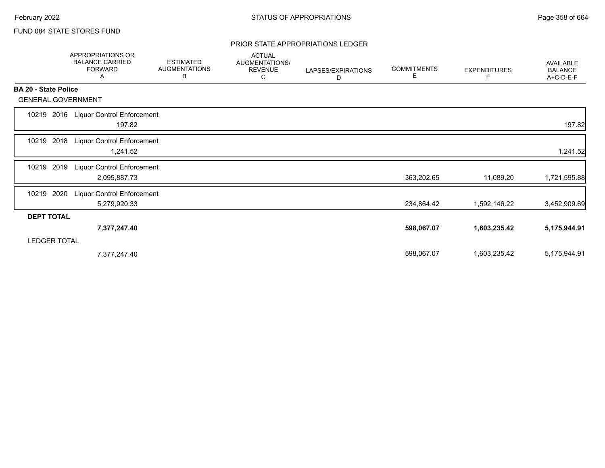#### PRIOR STATE APPROPRIATIONS LEDGER

|                             | APPROPRIATIONS OR<br><b>BALANCE CARRIED</b><br><b>FORWARD</b><br>A | <b>ESTIMATED</b><br><b>AUGMENTATIONS</b><br>В | <b>ACTUAL</b><br>AUGMENTATIONS/<br><b>REVENUE</b><br>С | LAPSES/EXPIRATIONS<br>D | <b>COMMITMENTS</b><br>Е | <b>EXPENDITURES</b><br>F | <b>AVAILABLE</b><br><b>BALANCE</b><br>A+C-D-E-F |
|-----------------------------|--------------------------------------------------------------------|-----------------------------------------------|--------------------------------------------------------|-------------------------|-------------------------|--------------------------|-------------------------------------------------|
| <b>BA 20 - State Police</b> |                                                                    |                                               |                                                        |                         |                         |                          |                                                 |
| <b>GENERAL GOVERNMENT</b>   |                                                                    |                                               |                                                        |                         |                         |                          |                                                 |
| 10219 2016                  | <b>Liquor Control Enforcement</b><br>197.82                        |                                               |                                                        |                         |                         |                          | 197.82                                          |
| 2018<br>10219               | <b>Liquor Control Enforcement</b><br>1,241.52                      |                                               |                                                        |                         |                         |                          | 1,241.52                                        |
| 2019<br>10219               | Liquor Control Enforcement<br>2,095,887.73                         |                                               |                                                        |                         | 363,202.65              | 11,089.20                | 1,721,595.88                                    |
| 2020<br>10219               | <b>Liquor Control Enforcement</b><br>5,279,920.33                  |                                               |                                                        |                         | 234,864.42              | 1,592,146.22             | 3,452,909.69                                    |
| <b>DEPT TOTAL</b>           |                                                                    |                                               |                                                        |                         |                         |                          |                                                 |
|                             | 7,377,247.40                                                       |                                               |                                                        |                         | 598,067.07              | 1,603,235.42             | 5,175,944.91                                    |
| <b>LEDGER TOTAL</b>         |                                                                    |                                               |                                                        |                         |                         |                          |                                                 |
|                             | 7,377,247.40                                                       |                                               |                                                        |                         | 598,067.07              | 1,603,235.42             | 5,175,944.91                                    |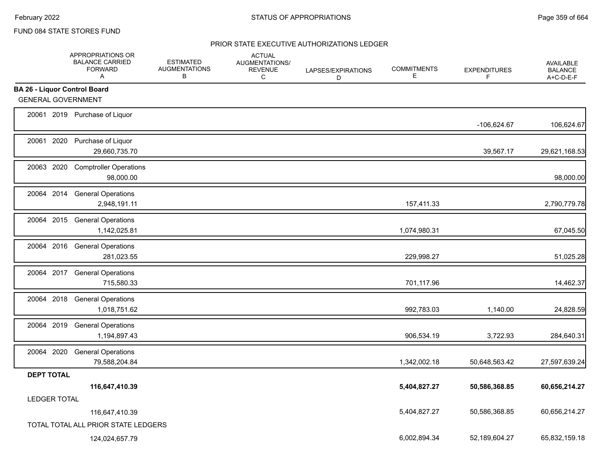### PRIOR STATE EXECUTIVE AUTHORIZATIONS LEDGER

|                                     | APPROPRIATIONS OR<br><b>BALANCE CARRIED</b><br><b>FORWARD</b><br>A | <b>ESTIMATED</b><br><b>AUGMENTATIONS</b><br>В | <b>ACTUAL</b><br>AUGMENTATIONS/<br><b>REVENUE</b><br>C | LAPSES/EXPIRATIONS<br>D | <b>COMMITMENTS</b><br>Е | <b>EXPENDITURES</b><br>F | AVAILABLE<br><b>BALANCE</b><br>A+C-D-E-F |
|-------------------------------------|--------------------------------------------------------------------|-----------------------------------------------|--------------------------------------------------------|-------------------------|-------------------------|--------------------------|------------------------------------------|
| <b>BA 26 - Liquor Control Board</b> |                                                                    |                                               |                                                        |                         |                         |                          |                                          |
| <b>GENERAL GOVERNMENT</b>           |                                                                    |                                               |                                                        |                         |                         |                          |                                          |
|                                     | 20061 2019 Purchase of Liquor                                      |                                               |                                                        |                         |                         | -106,624.67              | 106,624.67                               |
|                                     | 20061 2020 Purchase of Liquor<br>29,660,735.70                     |                                               |                                                        |                         |                         | 39,567.17                | 29,621,168.53                            |
| 20063 2020                          | <b>Comptroller Operations</b><br>98,000.00                         |                                               |                                                        |                         |                         |                          | 98,000.00                                |
|                                     | 20064 2014 General Operations<br>2,948,191.11                      |                                               |                                                        |                         | 157,411.33              |                          | 2,790,779.78                             |
|                                     | 20064 2015 General Operations<br>1,142,025.81                      |                                               |                                                        |                         | 1,074,980.31            |                          | 67,045.50                                |
|                                     | 20064 2016 General Operations<br>281,023.55                        |                                               |                                                        |                         | 229,998.27              |                          | 51,025.28                                |
|                                     | 20064 2017 General Operations<br>715,580.33                        |                                               |                                                        |                         | 701,117.96              |                          | 14,462.37                                |
|                                     | 20064 2018 General Operations<br>1,018,751.62                      |                                               |                                                        |                         | 992,783.03              | 1,140.00                 | 24,828.59                                |
|                                     | 20064 2019 General Operations<br>1,194,897.43                      |                                               |                                                        |                         | 906,534.19              | 3,722.93                 | 284,640.31                               |
| 20064 2020                          | <b>General Operations</b><br>79,588,204.84                         |                                               |                                                        |                         | 1,342,002.18            | 50,648,563.42            | 27,597,639.24                            |
| <b>DEPT TOTAL</b>                   |                                                                    |                                               |                                                        |                         |                         |                          |                                          |
|                                     | 116,647,410.39                                                     |                                               |                                                        |                         | 5,404,827.27            | 50,586,368.85            | 60,656,214.27                            |
| <b>LEDGER TOTAL</b>                 |                                                                    |                                               |                                                        |                         |                         |                          |                                          |
|                                     | 116,647,410.39                                                     |                                               |                                                        |                         | 5,404,827.27            | 50,586,368.85            | 60,656,214.27                            |
|                                     | TOTAL TOTAL ALL PRIOR STATE LEDGERS                                |                                               |                                                        |                         |                         |                          |                                          |
|                                     | 124,024,657.79                                                     |                                               |                                                        |                         | 6,002,894.34            | 52,189,604.27            | 65,832,159.18                            |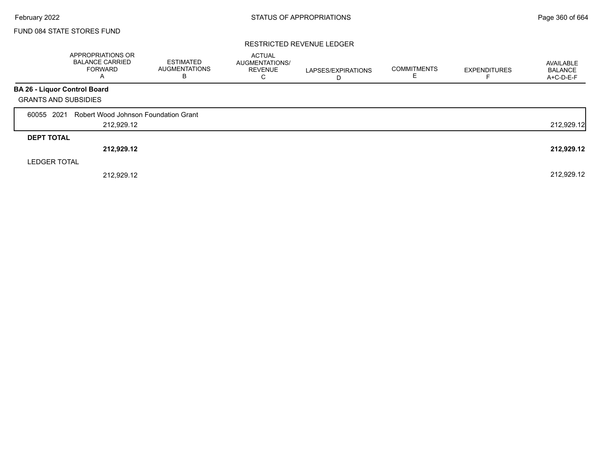|                              | APPROPRIATIONS OR<br><b>BALANCE CARRIED</b><br><b>FORWARD</b><br>A | ESTIMATED<br><b>AUGMENTATIONS</b><br>В | <b>ACTUAL</b><br>AUGMENTATIONS/<br><b>REVENUE</b><br>С | LAPSES/EXPIRATIONS<br>D | <b>COMMITMENTS</b> | <b>EXPENDITURES</b> | AVAILABLE<br><b>BALANCE</b><br>A+C-D-E-F |
|------------------------------|--------------------------------------------------------------------|----------------------------------------|--------------------------------------------------------|-------------------------|--------------------|---------------------|------------------------------------------|
| BA 26 - Liquor Control Board |                                                                    |                                        |                                                        |                         |                    |                     |                                          |
| <b>GRANTS AND SUBSIDIES</b>  |                                                                    |                                        |                                                        |                         |                    |                     |                                          |
| 60055 2021                   | Robert Wood Johnson Foundation Grant                               |                                        |                                                        |                         |                    |                     |                                          |
|                              | 212,929.12                                                         |                                        |                                                        |                         |                    |                     | 212,929.12                               |
| <b>DEPT TOTAL</b>            |                                                                    |                                        |                                                        |                         |                    |                     |                                          |
|                              | 212,929.12                                                         |                                        |                                                        |                         |                    |                     | 212,929.12                               |
| <b>LEDGER TOTAL</b>          |                                                                    |                                        |                                                        |                         |                    |                     |                                          |
|                              | 212.929.12                                                         |                                        |                                                        |                         |                    |                     | 212,929.12                               |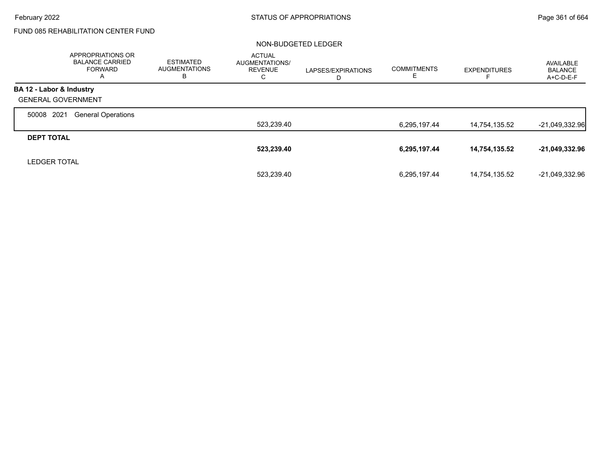# FUND 085 REHABILITATION CENTER FUND

#### NON-BUDGETED LEDGER

|                           | <b>APPROPRIATIONS OR</b><br><b>BALANCE CARRIED</b><br><b>FORWARD</b><br>$\overline{A}$ | <b>ESTIMATED</b><br><b>AUGMENTATIONS</b><br>ь | <b>ACTUAL</b><br><b>AUGMENTATIONS/</b><br><b>REVENUE</b><br>С | LAPSES/EXPIRATIONS<br>D | <b>COMMITMENTS</b> | <b>EXPENDITURES</b> | AVAILABLE<br><b>BALANCE</b><br>A+C-D-E-F |
|---------------------------|----------------------------------------------------------------------------------------|-----------------------------------------------|---------------------------------------------------------------|-------------------------|--------------------|---------------------|------------------------------------------|
| BA 12 - Labor & Industry  |                                                                                        |                                               |                                                               |                         |                    |                     |                                          |
| <b>GENERAL GOVERNMENT</b> |                                                                                        |                                               |                                                               |                         |                    |                     |                                          |
| 2021<br>50008             | <b>General Operations</b>                                                              |                                               |                                                               |                         |                    |                     |                                          |
|                           |                                                                                        |                                               | 523,239.40                                                    |                         | 6,295,197.44       | 14,754,135.52       | $-21,049,332.96$                         |
| <b>DEPT TOTAL</b>         |                                                                                        |                                               |                                                               |                         |                    |                     |                                          |
|                           |                                                                                        |                                               | 523,239.40                                                    |                         | 6,295,197.44       | 14,754,135.52       | $-21,049,332.96$                         |
| <b>LEDGER TOTAL</b>       |                                                                                        |                                               |                                                               |                         |                    |                     |                                          |
|                           |                                                                                        |                                               | 523.239.40                                                    |                         | 6,295,197.44       | 14,754,135.52       | -21.049.332.96                           |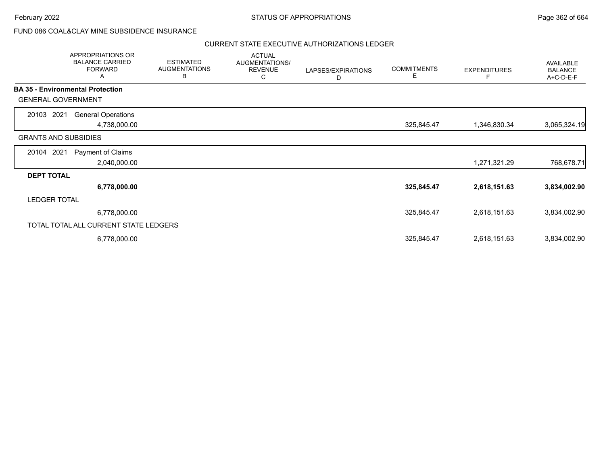# FUND 086 COAL&CLAY MINE SUBSIDENCE INSURANCE

|                                         | APPROPRIATIONS OR<br><b>BALANCE CARRIED</b><br><b>FORWARD</b><br>A | <b>ESTIMATED</b><br><b>AUGMENTATIONS</b><br>В | <b>ACTUAL</b><br>AUGMENTATIONS/<br><b>REVENUE</b><br>С | LAPSES/EXPIRATIONS<br>D | <b>COMMITMENTS</b><br>Е | <b>EXPENDITURES</b> | AVAILABLE<br><b>BALANCE</b><br>A+C-D-E-F |
|-----------------------------------------|--------------------------------------------------------------------|-----------------------------------------------|--------------------------------------------------------|-------------------------|-------------------------|---------------------|------------------------------------------|
| <b>BA 35 - Environmental Protection</b> |                                                                    |                                               |                                                        |                         |                         |                     |                                          |
| <b>GENERAL GOVERNMENT</b>               |                                                                    |                                               |                                                        |                         |                         |                     |                                          |
| 20103 2021                              | <b>General Operations</b>                                          |                                               |                                                        |                         |                         |                     |                                          |
|                                         | 4,738,000.00                                                       |                                               |                                                        |                         | 325,845.47              | 1,346,830.34        | 3,065,324.19                             |
| <b>GRANTS AND SUBSIDIES</b>             |                                                                    |                                               |                                                        |                         |                         |                     |                                          |
| 20104 2021                              | Payment of Claims                                                  |                                               |                                                        |                         |                         |                     |                                          |
|                                         | 2,040,000.00                                                       |                                               |                                                        |                         |                         | 1,271,321.29        | 768,678.71                               |
| <b>DEPT TOTAL</b>                       |                                                                    |                                               |                                                        |                         |                         |                     |                                          |
|                                         | 6,778,000.00                                                       |                                               |                                                        |                         | 325,845.47              | 2,618,151.63        | 3,834,002.90                             |
| <b>LEDGER TOTAL</b>                     |                                                                    |                                               |                                                        |                         |                         |                     |                                          |
|                                         | 6,778,000.00                                                       |                                               |                                                        |                         | 325,845.47              | 2,618,151.63        | 3,834,002.90                             |
|                                         | TOTAL TOTAL ALL CURRENT STATE LEDGERS                              |                                               |                                                        |                         |                         |                     |                                          |
|                                         | 6,778,000.00                                                       |                                               |                                                        |                         | 325,845.47              | 2,618,151.63        | 3,834,002.90                             |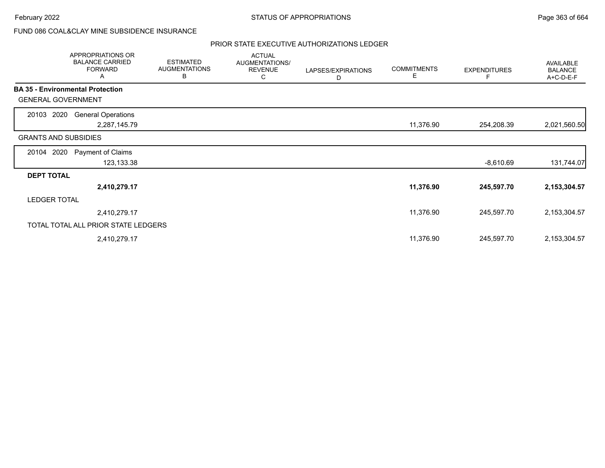# FUND 086 COAL&CLAY MINE SUBSIDENCE INSURANCE

|                                         | APPROPRIATIONS OR<br><b>BALANCE CARRIED</b><br><b>FORWARD</b><br>A | <b>ESTIMATED</b><br><b>AUGMENTATIONS</b><br>B | <b>ACTUAL</b><br>AUGMENTATIONS/<br><b>REVENUE</b><br>С | LAPSES/EXPIRATIONS<br>D | <b>COMMITMENTS</b><br>Е | <b>EXPENDITURES</b><br>F | AVAILABLE<br><b>BALANCE</b><br>A+C-D-E-F |
|-----------------------------------------|--------------------------------------------------------------------|-----------------------------------------------|--------------------------------------------------------|-------------------------|-------------------------|--------------------------|------------------------------------------|
| <b>BA 35 - Environmental Protection</b> |                                                                    |                                               |                                                        |                         |                         |                          |                                          |
| <b>GENERAL GOVERNMENT</b>               |                                                                    |                                               |                                                        |                         |                         |                          |                                          |
| 20103 2020                              | <b>General Operations</b>                                          |                                               |                                                        |                         |                         |                          |                                          |
|                                         | 2,287,145.79                                                       |                                               |                                                        |                         | 11,376.90               | 254,208.39               | 2,021,560.50                             |
| <b>GRANTS AND SUBSIDIES</b>             |                                                                    |                                               |                                                        |                         |                         |                          |                                          |
| 20104 2020                              | Payment of Claims                                                  |                                               |                                                        |                         |                         |                          |                                          |
|                                         | 123,133.38                                                         |                                               |                                                        |                         |                         | -8,610.69                | 131,744.07                               |
| <b>DEPT TOTAL</b>                       |                                                                    |                                               |                                                        |                         |                         |                          |                                          |
|                                         | 2,410,279.17                                                       |                                               |                                                        |                         | 11,376.90               | 245,597.70               | 2,153,304.57                             |
| <b>LEDGER TOTAL</b>                     |                                                                    |                                               |                                                        |                         |                         |                          |                                          |
|                                         | 2,410,279.17                                                       |                                               |                                                        |                         | 11,376.90               | 245,597.70               | 2,153,304.57                             |
|                                         | TOTAL TOTAL ALL PRIOR STATE LEDGERS                                |                                               |                                                        |                         |                         |                          |                                          |
|                                         | 2,410,279.17                                                       |                                               |                                                        |                         | 11,376.90               | 245,597.70               | 2,153,304.57                             |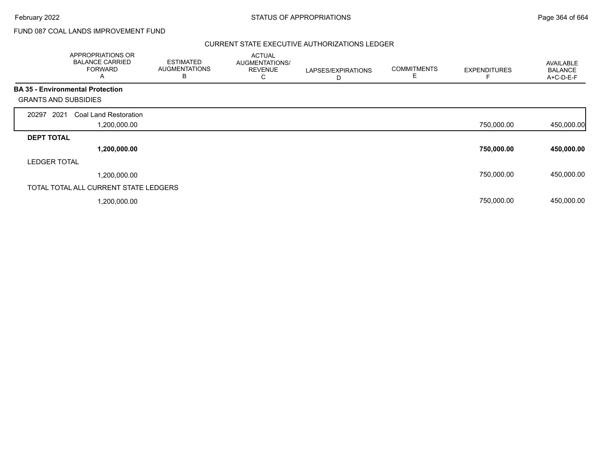# FUND 087 COAL LANDS IMPROVEMENT FUND

|                             | APPROPRIATIONS OR<br><b>BALANCE CARRIED</b><br><b>FORWARD</b><br>A | <b>ESTIMATED</b><br><b>AUGMENTATIONS</b><br>В | <b>ACTUAL</b><br>AUGMENTATIONS/<br><b>REVENUE</b><br>С | LAPSES/EXPIRATIONS<br>D | <b>COMMITMENTS</b><br>E | <b>EXPENDITURES</b> | <b>AVAILABLE</b><br><b>BALANCE</b><br>A+C-D-E-F |
|-----------------------------|--------------------------------------------------------------------|-----------------------------------------------|--------------------------------------------------------|-------------------------|-------------------------|---------------------|-------------------------------------------------|
|                             | <b>BA 35 - Environmental Protection</b>                            |                                               |                                                        |                         |                         |                     |                                                 |
| <b>GRANTS AND SUBSIDIES</b> |                                                                    |                                               |                                                        |                         |                         |                     |                                                 |
| 2021<br>20297               | Coal Land Restoration                                              |                                               |                                                        |                         |                         |                     |                                                 |
|                             | 1,200,000.00                                                       |                                               |                                                        |                         |                         | 750,000.00          | 450,000.00                                      |
| <b>DEPT TOTAL</b>           |                                                                    |                                               |                                                        |                         |                         |                     |                                                 |
|                             | 1,200,000.00                                                       |                                               |                                                        |                         |                         | 750,000.00          | 450,000.00                                      |
| <b>LEDGER TOTAL</b>         |                                                                    |                                               |                                                        |                         |                         |                     |                                                 |
|                             | 1,200,000.00                                                       |                                               |                                                        |                         |                         | 750,000.00          | 450,000.00                                      |
|                             | TOTAL TOTAL ALL CURRENT STATE LEDGERS                              |                                               |                                                        |                         |                         |                     |                                                 |
|                             | ,200,000.00                                                        |                                               |                                                        |                         |                         | 750,000.00          | 450,000.00                                      |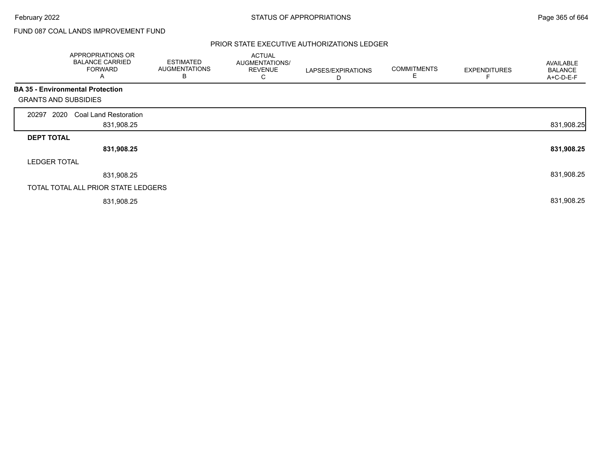# FUND 087 COAL LANDS IMPROVEMENT FUND

|                             | APPROPRIATIONS OR<br><b>BALANCE CARRIED</b><br><b>FORWARD</b><br>A | <b>ESTIMATED</b><br><b>AUGMENTATIONS</b><br>В | <b>ACTUAL</b><br>AUGMENTATIONS/<br><b>REVENUE</b><br>С | LAPSES/EXPIRATIONS<br>D | <b>COMMITMENTS</b><br>E | <b>EXPENDITURES</b> | AVAILABLE<br><b>BALANCE</b><br>A+C-D-E-F |
|-----------------------------|--------------------------------------------------------------------|-----------------------------------------------|--------------------------------------------------------|-------------------------|-------------------------|---------------------|------------------------------------------|
|                             | <b>BA 35 - Environmental Protection</b>                            |                                               |                                                        |                         |                         |                     |                                          |
| <b>GRANTS AND SUBSIDIES</b> |                                                                    |                                               |                                                        |                         |                         |                     |                                          |
| 2020<br>20297               | <b>Coal Land Restoration</b>                                       |                                               |                                                        |                         |                         |                     |                                          |
|                             | 831,908.25                                                         |                                               |                                                        |                         |                         |                     | 831,908.25                               |
| <b>DEPT TOTAL</b>           |                                                                    |                                               |                                                        |                         |                         |                     |                                          |
|                             | 831,908.25                                                         |                                               |                                                        |                         |                         |                     | 831,908.25                               |
| <b>LEDGER TOTAL</b>         |                                                                    |                                               |                                                        |                         |                         |                     |                                          |
|                             | 831,908.25                                                         |                                               |                                                        |                         |                         |                     | 831,908.25                               |
|                             | TOTAL TOTAL ALL PRIOR STATE LEDGERS                                |                                               |                                                        |                         |                         |                     |                                          |
|                             | 831,908.25                                                         |                                               |                                                        |                         |                         |                     | 831,908.25                               |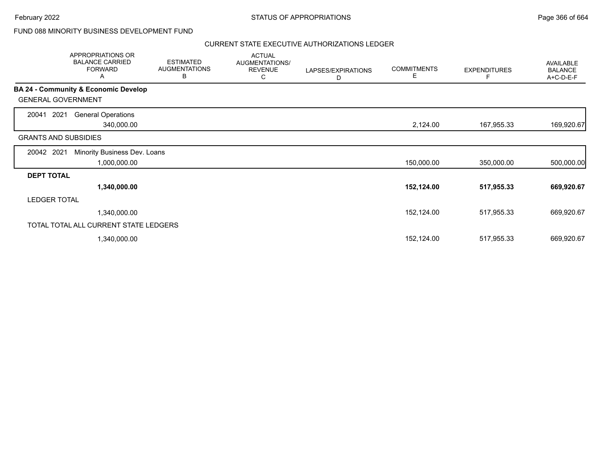# FUND 088 MINORITY BUSINESS DEVELOPMENT FUND

|                             | APPROPRIATIONS OR<br><b>BALANCE CARRIED</b><br><b>FORWARD</b><br>Α | <b>ESTIMATED</b><br><b>AUGMENTATIONS</b><br>В | <b>ACTUAL</b><br>AUGMENTATIONS/<br><b>REVENUE</b><br>С | LAPSES/EXPIRATIONS<br>D | <b>COMMITMENTS</b><br>Е | <b>EXPENDITURES</b> | AVAILABLE<br><b>BALANCE</b><br>A+C-D-E-F |
|-----------------------------|--------------------------------------------------------------------|-----------------------------------------------|--------------------------------------------------------|-------------------------|-------------------------|---------------------|------------------------------------------|
|                             | <b>BA 24 - Community &amp; Economic Develop</b>                    |                                               |                                                        |                         |                         |                     |                                          |
| <b>GENERAL GOVERNMENT</b>   |                                                                    |                                               |                                                        |                         |                         |                     |                                          |
| 2021<br>20041               | <b>General Operations</b>                                          |                                               |                                                        |                         |                         |                     |                                          |
|                             | 340,000.00                                                         |                                               |                                                        |                         | 2,124.00                | 167,955.33          | 169,920.67                               |
| <b>GRANTS AND SUBSIDIES</b> |                                                                    |                                               |                                                        |                         |                         |                     |                                          |
| 20042 2021                  | Minority Business Dev. Loans                                       |                                               |                                                        |                         |                         |                     |                                          |
|                             | 1,000,000.00                                                       |                                               |                                                        |                         | 150,000.00              | 350,000.00          | 500,000.00                               |
| <b>DEPT TOTAL</b>           |                                                                    |                                               |                                                        |                         |                         |                     |                                          |
|                             | 1,340,000.00                                                       |                                               |                                                        |                         | 152,124.00              | 517,955.33          | 669,920.67                               |
| <b>LEDGER TOTAL</b>         |                                                                    |                                               |                                                        |                         |                         |                     |                                          |
|                             | 1,340,000.00                                                       |                                               |                                                        |                         | 152,124.00              | 517,955.33          | 669,920.67                               |
|                             | TOTAL TOTAL ALL CURRENT STATE LEDGERS                              |                                               |                                                        |                         |                         |                     |                                          |
|                             | 1,340,000.00                                                       |                                               |                                                        |                         | 152,124.00              | 517,955.33          | 669,920.67                               |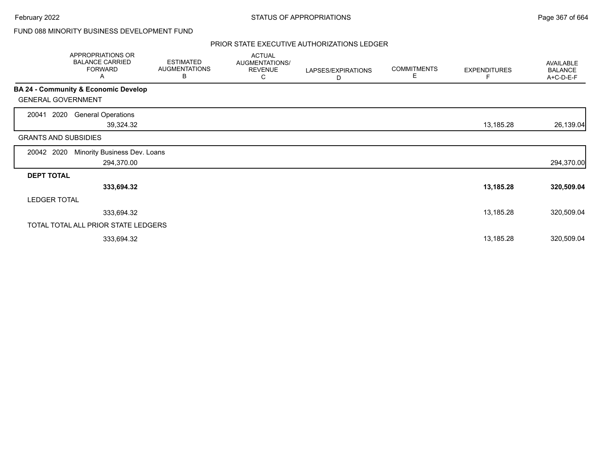# FUND 088 MINORITY BUSINESS DEVELOPMENT FUND

|                             | APPROPRIATIONS OR<br><b>BALANCE CARRIED</b><br><b>FORWARD</b><br>A | <b>ESTIMATED</b><br><b>AUGMENTATIONS</b><br>B | <b>ACTUAL</b><br>AUGMENTATIONS/<br><b>REVENUE</b><br>С | LAPSES/EXPIRATIONS<br>D | <b>COMMITMENTS</b><br>E. | <b>EXPENDITURES</b><br>F | AVAILABLE<br><b>BALANCE</b><br>A+C-D-E-F |
|-----------------------------|--------------------------------------------------------------------|-----------------------------------------------|--------------------------------------------------------|-------------------------|--------------------------|--------------------------|------------------------------------------|
|                             | <b>BA 24 - Community &amp; Economic Develop</b>                    |                                               |                                                        |                         |                          |                          |                                          |
| <b>GENERAL GOVERNMENT</b>   |                                                                    |                                               |                                                        |                         |                          |                          |                                          |
| 2020<br>20041               | <b>General Operations</b><br>39,324.32                             |                                               |                                                        |                         |                          | 13,185.28                | 26,139.04                                |
| <b>GRANTS AND SUBSIDIES</b> |                                                                    |                                               |                                                        |                         |                          |                          |                                          |
| 20042 2020                  | Minority Business Dev. Loans<br>294,370.00                         |                                               |                                                        |                         |                          |                          | 294,370.00                               |
| <b>DEPT TOTAL</b>           |                                                                    |                                               |                                                        |                         |                          |                          |                                          |
|                             | 333,694.32                                                         |                                               |                                                        |                         |                          | 13,185.28                | 320,509.04                               |
| <b>LEDGER TOTAL</b>         |                                                                    |                                               |                                                        |                         |                          |                          |                                          |
|                             | 333,694.32                                                         |                                               |                                                        |                         |                          | 13,185.28                | 320,509.04                               |
|                             | TOTAL TOTAL ALL PRIOR STATE LEDGERS                                |                                               |                                                        |                         |                          |                          |                                          |
|                             | 333,694.32                                                         |                                               |                                                        |                         |                          | 13,185.28                | 320,509.04                               |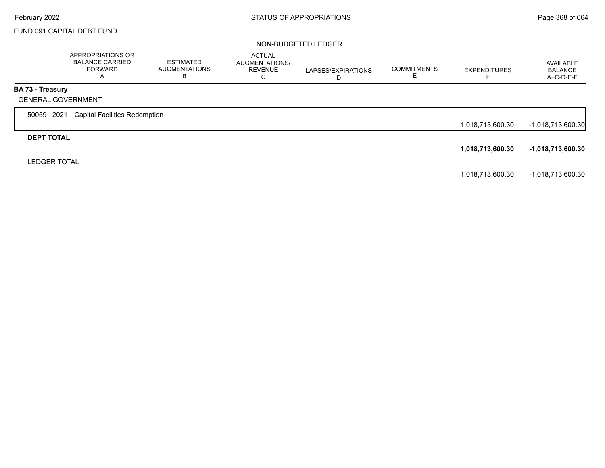# FUND 091 CAPITAL DEBT FUND

#### NON-BUDGETED LEDGER

|                                               | APPROPRIATIONS OR<br><b>BALANCE CARRIED</b><br>FORWARD<br>$\overline{P}$ | ESTIMATED<br><b>AUGMENTATIONS</b><br>n | <b>ACTUAL</b><br>AUGMENTATIONS/<br><b>REVENUE</b><br>U | LAPSES/EXPIRATIONS<br>D | <b>COMMITMENTS</b> | <b>EXPENDITURES</b> | AVAILABLE<br><b>BALANCE</b><br>A+C-D-E-F |
|-----------------------------------------------|--------------------------------------------------------------------------|----------------------------------------|--------------------------------------------------------|-------------------------|--------------------|---------------------|------------------------------------------|
| BA 73 - Treasury<br><b>GENERAL GOVERNMENT</b> |                                                                          |                                        |                                                        |                         |                    |                     |                                          |
| 50059 2021                                    | <b>Capital Facilities Redemption</b>                                     |                                        |                                                        |                         |                    | 1,018,713,600.30    | -1,018,713,600.30                        |
| <b>DEPT TOTAL</b>                             |                                                                          |                                        |                                                        |                         |                    | 1,018,713,600.30    | -1,018,713,600.30                        |
| <b>LEDGER TOTAL</b>                           |                                                                          |                                        |                                                        |                         |                    |                     |                                          |

1,018,713,600.30 -1,018,713,600.30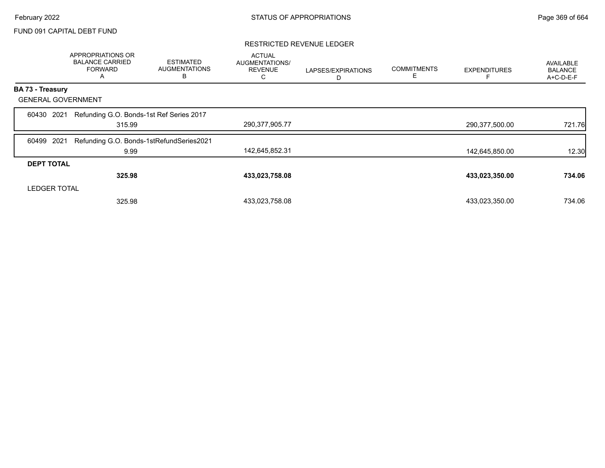## FUND 091 CAPITAL DEBT FUND

### RESTRICTED REVENUE LEDGER

|                           | APPROPRIATIONS OR<br><b>BALANCE CARRIED</b><br><b>FORWARD</b><br>A | <b>ESTIMATED</b><br><b>AUGMENTATIONS</b><br>B | <b>ACTUAL</b><br>AUGMENTATIONS/<br><b>REVENUE</b><br>С | LAPSES/EXPIRATIONS<br>D | <b>COMMITMENTS</b><br>Ε | <b>EXPENDITURES</b> | <b>AVAILABLE</b><br><b>BALANCE</b><br>A+C-D-E-F |
|---------------------------|--------------------------------------------------------------------|-----------------------------------------------|--------------------------------------------------------|-------------------------|-------------------------|---------------------|-------------------------------------------------|
| <b>BA 73 - Treasury</b>   |                                                                    |                                               |                                                        |                         |                         |                     |                                                 |
| <b>GENERAL GOVERNMENT</b> |                                                                    |                                               |                                                        |                         |                         |                     |                                                 |
| 60430 2021                | Refunding G.O. Bonds-1st Ref Series 2017<br>315.99                 |                                               | 290,377,905.77                                         |                         |                         | 290,377,500.00      | 721.76                                          |
| 2021<br>60499             | Refunding G.O. Bonds-1stRefundSeries2021<br>9.99                   |                                               | 142,645,852.31                                         |                         |                         | 142,645,850.00      | 12.30                                           |
| <b>DEPT TOTAL</b>         |                                                                    |                                               |                                                        |                         |                         |                     |                                                 |
|                           | 325.98                                                             |                                               | 433,023,758.08                                         |                         |                         | 433,023,350.00      | 734.06                                          |
| <b>LEDGER TOTAL</b>       |                                                                    |                                               |                                                        |                         |                         |                     |                                                 |
|                           | 325.98                                                             |                                               | 433,023,758.08                                         |                         |                         | 433,023,350.00      | 734.06                                          |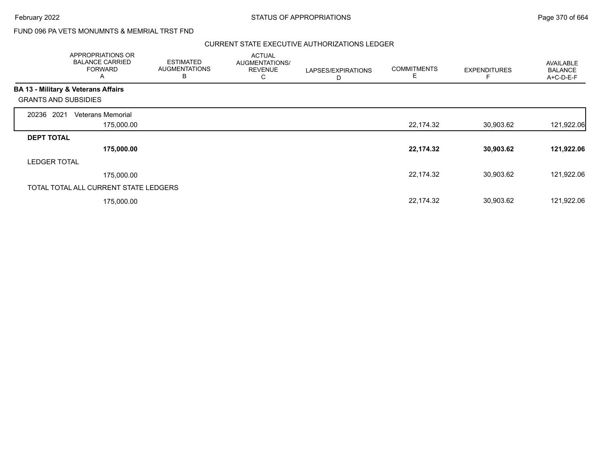# FUND 096 PA VETS MONUMNTS & MEMRIAL TRST FND

|                                                | APPROPRIATIONS OR<br><b>BALANCE CARRIED</b><br><b>FORWARD</b><br>A | <b>ESTIMATED</b><br><b>AUGMENTATIONS</b><br>B | <b>ACTUAL</b><br>AUGMENTATIONS/<br><b>REVENUE</b><br>С | LAPSES/EXPIRATIONS<br>D | <b>COMMITMENTS</b><br>Е | <b>EXPENDITURES</b> | <b>AVAILABLE</b><br><b>BALANCE</b><br>A+C-D-E-F |
|------------------------------------------------|--------------------------------------------------------------------|-----------------------------------------------|--------------------------------------------------------|-------------------------|-------------------------|---------------------|-------------------------------------------------|
| <b>BA 13 - Military &amp; Veterans Affairs</b> |                                                                    |                                               |                                                        |                         |                         |                     |                                                 |
| <b>GRANTS AND SUBSIDIES</b>                    |                                                                    |                                               |                                                        |                         |                         |                     |                                                 |
| 2021<br>20236                                  | Veterans Memorial                                                  |                                               |                                                        |                         |                         |                     |                                                 |
|                                                | 175,000.00                                                         |                                               |                                                        |                         | 22,174.32               | 30,903.62           | 121,922.06                                      |
| <b>DEPT TOTAL</b>                              |                                                                    |                                               |                                                        |                         |                         |                     |                                                 |
|                                                | 175,000.00                                                         |                                               |                                                        |                         | 22,174.32               | 30,903.62           | 121,922.06                                      |
| <b>LEDGER TOTAL</b>                            |                                                                    |                                               |                                                        |                         |                         |                     |                                                 |
|                                                | 175,000.00                                                         |                                               |                                                        |                         | 22,174.32               | 30,903.62           | 121,922.06                                      |
|                                                | TOTAL TOTAL ALL CURRENT STATE LEDGERS                              |                                               |                                                        |                         |                         |                     |                                                 |
|                                                | 175,000.00                                                         |                                               |                                                        |                         | 22,174.32               | 30,903.62           | 121,922.06                                      |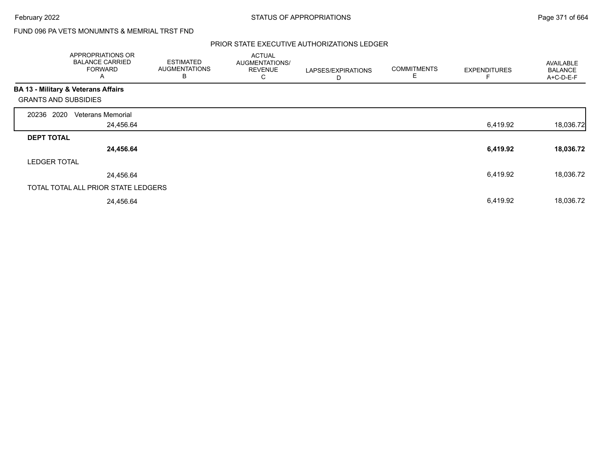February 2022 **Example 2022** Page 371 of 664

# FUND 096 PA VETS MONUMNTS & MEMRIAL TRST FND

|                                                | APPROPRIATIONS OR<br><b>BALANCE CARRIED</b><br><b>FORWARD</b><br>A | <b>ESTIMATED</b><br><b>AUGMENTATIONS</b><br>B | <b>ACTUAL</b><br>AUGMENTATIONS/<br><b>REVENUE</b><br>С | LAPSES/EXPIRATIONS<br>D | <b>COMMITMENTS</b><br>E | <b>EXPENDITURES</b> | AVAILABLE<br><b>BALANCE</b><br>A+C-D-E-F |
|------------------------------------------------|--------------------------------------------------------------------|-----------------------------------------------|--------------------------------------------------------|-------------------------|-------------------------|---------------------|------------------------------------------|
| <b>BA 13 - Military &amp; Veterans Affairs</b> |                                                                    |                                               |                                                        |                         |                         |                     |                                          |
| <b>GRANTS AND SUBSIDIES</b>                    |                                                                    |                                               |                                                        |                         |                         |                     |                                          |
| 20236 2020                                     | <b>Veterans Memorial</b>                                           |                                               |                                                        |                         |                         |                     |                                          |
|                                                | 24,456.64                                                          |                                               |                                                        |                         |                         | 6,419.92            | 18,036.72                                |
| <b>DEPT TOTAL</b>                              |                                                                    |                                               |                                                        |                         |                         |                     |                                          |
|                                                | 24,456.64                                                          |                                               |                                                        |                         |                         | 6,419.92            | 18,036.72                                |
| <b>LEDGER TOTAL</b>                            |                                                                    |                                               |                                                        |                         |                         |                     |                                          |
|                                                | 24,456.64                                                          |                                               |                                                        |                         |                         | 6,419.92            | 18,036.72                                |
|                                                | TOTAL TOTAL ALL PRIOR STATE LEDGERS                                |                                               |                                                        |                         |                         |                     |                                          |
|                                                | 24,456.64                                                          |                                               |                                                        |                         |                         | 6,419.92            | 18,036.72                                |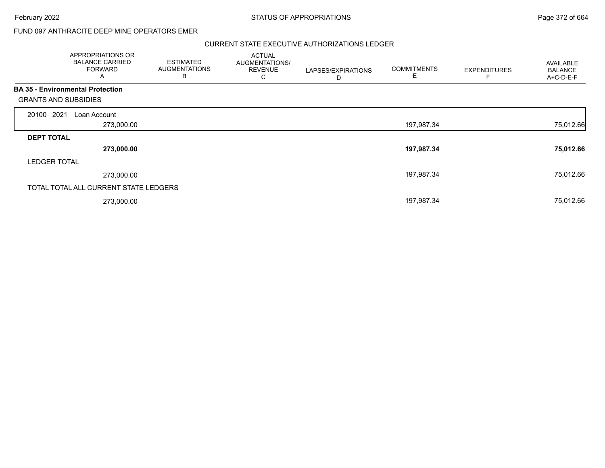$\overline{\phantom{a}}$ 

February 2022 **Example 2022** Page 372 of 664

## FUND 097 ANTHRACITE DEEP MINE OPERATORS EMER

|                                         | APPROPRIATIONS OR<br><b>BALANCE CARRIED</b><br><b>FORWARD</b><br>A | <b>ESTIMATED</b><br><b>AUGMENTATIONS</b><br>В | <b>ACTUAL</b><br>AUGMENTATIONS/<br><b>REVENUE</b><br>С | LAPSES/EXPIRATIONS<br>D | <b>COMMITMENTS</b> | <b>EXPENDITURES</b> | <b>AVAILABLE</b><br><b>BALANCE</b><br>A+C-D-E-F |
|-----------------------------------------|--------------------------------------------------------------------|-----------------------------------------------|--------------------------------------------------------|-------------------------|--------------------|---------------------|-------------------------------------------------|
| <b>BA 35 - Environmental Protection</b> |                                                                    |                                               |                                                        |                         |                    |                     |                                                 |
| <b>GRANTS AND SUBSIDIES</b>             |                                                                    |                                               |                                                        |                         |                    |                     |                                                 |
| 20100 2021                              | Loan Account                                                       |                                               |                                                        |                         |                    |                     |                                                 |
|                                         | 273,000.00                                                         |                                               |                                                        |                         | 197,987.34         |                     | 75,012.66                                       |
| <b>DEPT TOTAL</b>                       |                                                                    |                                               |                                                        |                         |                    |                     |                                                 |
|                                         | 273,000.00                                                         |                                               |                                                        |                         | 197,987.34         |                     | 75,012.66                                       |
| <b>LEDGER TOTAL</b>                     |                                                                    |                                               |                                                        |                         |                    |                     |                                                 |
|                                         | 273,000.00                                                         |                                               |                                                        |                         | 197,987.34         |                     | 75,012.66                                       |
|                                         | TOTAL TOTAL ALL CURRENT STATE LEDGERS                              |                                               |                                                        |                         |                    |                     |                                                 |
|                                         | 273,000.00                                                         |                                               |                                                        |                         | 197,987.34         |                     | 75,012.66                                       |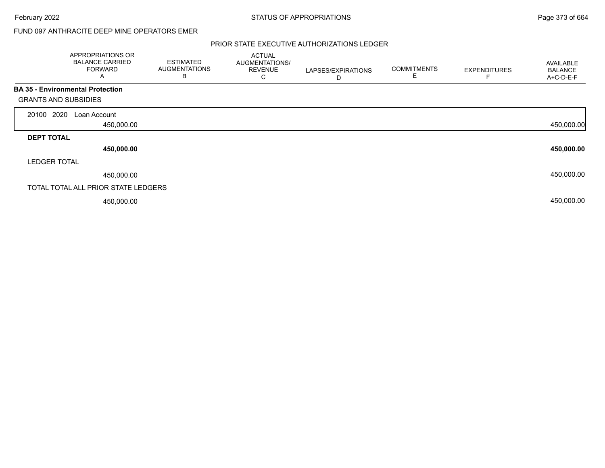# FUND 097 ANTHRACITE DEEP MINE OPERATORS EMER

|                                                                        | APPROPRIATIONS OR<br><b>BALANCE CARRIED</b><br><b>FORWARD</b><br>A | <b>ESTIMATED</b><br><b>AUGMENTATIONS</b><br>B | <b>ACTUAL</b><br>AUGMENTATIONS/<br><b>REVENUE</b><br>С | LAPSES/EXPIRATIONS<br>D | <b>COMMITMENTS</b><br>E | <b>EXPENDITURES</b> | AVAILABLE<br><b>BALANCE</b><br>A+C-D-E-F |
|------------------------------------------------------------------------|--------------------------------------------------------------------|-----------------------------------------------|--------------------------------------------------------|-------------------------|-------------------------|---------------------|------------------------------------------|
| <b>BA 35 - Environmental Protection</b><br><b>GRANTS AND SUBSIDIES</b> |                                                                    |                                               |                                                        |                         |                         |                     |                                          |
| 20100 2020                                                             | Loan Account                                                       |                                               |                                                        |                         |                         |                     |                                          |
|                                                                        | 450,000.00                                                         |                                               |                                                        |                         |                         |                     | 450,000.00                               |
| <b>DEPT TOTAL</b>                                                      |                                                                    |                                               |                                                        |                         |                         |                     |                                          |
|                                                                        | 450,000.00                                                         |                                               |                                                        |                         |                         |                     | 450,000.00                               |
| <b>LEDGER TOTAL</b>                                                    |                                                                    |                                               |                                                        |                         |                         |                     |                                          |
|                                                                        | 450,000.00                                                         |                                               |                                                        |                         |                         |                     | 450,000.00                               |
| TOTAL TOTAL ALL PRIOR STATE LEDGERS                                    |                                                                    |                                               |                                                        |                         |                         |                     |                                          |
|                                                                        | 450,000.00                                                         |                                               |                                                        |                         |                         |                     | 450,000.00                               |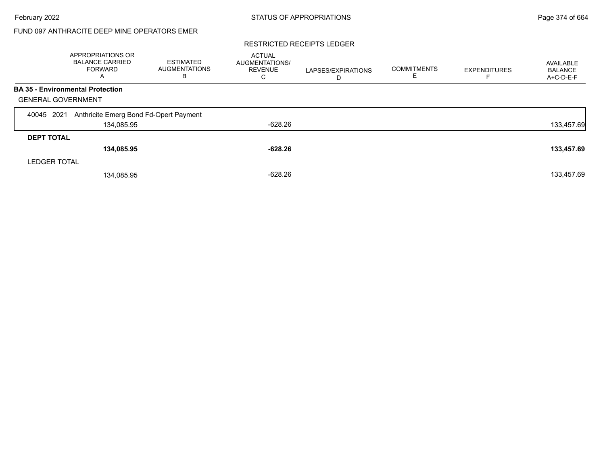# FUND 097 ANTHRACITE DEEP MINE OPERATORS EMER

#### RESTRICTED RECEIPTS LEDGER

|                                         | APPROPRIATIONS OR<br><b>BALANCE CARRIED</b><br>FORWARD<br>A | <b>ESTIMATED</b><br><b>AUGMENTATIONS</b><br>в | <b>ACTUAL</b><br>AUGMENTATIONS/<br><b>REVENUE</b><br>С | LAPSES/EXPIRATIONS<br>D | <b>COMMITMENTS</b><br>E. | <b>EXPENDITURES</b> | AVAILABLE<br><b>BALANCE</b><br>A+C-D-E-F |
|-----------------------------------------|-------------------------------------------------------------|-----------------------------------------------|--------------------------------------------------------|-------------------------|--------------------------|---------------------|------------------------------------------|
| <b>BA 35 - Environmental Protection</b> |                                                             |                                               |                                                        |                         |                          |                     |                                          |
| <b>GENERAL GOVERNMENT</b>               |                                                             |                                               |                                                        |                         |                          |                     |                                          |
| 2021<br>40045                           | Anthricite Emerg Bond Fd-Opert Payment                      |                                               |                                                        |                         |                          |                     |                                          |
|                                         | 134,085.95                                                  |                                               | -628.26                                                |                         |                          |                     | 133,457.69                               |
| <b>DEPT TOTAL</b>                       |                                                             |                                               |                                                        |                         |                          |                     |                                          |
|                                         | 134,085.95                                                  |                                               | $-628.26$                                              |                         |                          |                     | 133,457.69                               |
| <b>LEDGER TOTAL</b>                     |                                                             |                                               |                                                        |                         |                          |                     |                                          |
|                                         | 134,085.95                                                  |                                               | $-628.26$                                              |                         |                          |                     | 133,457.69                               |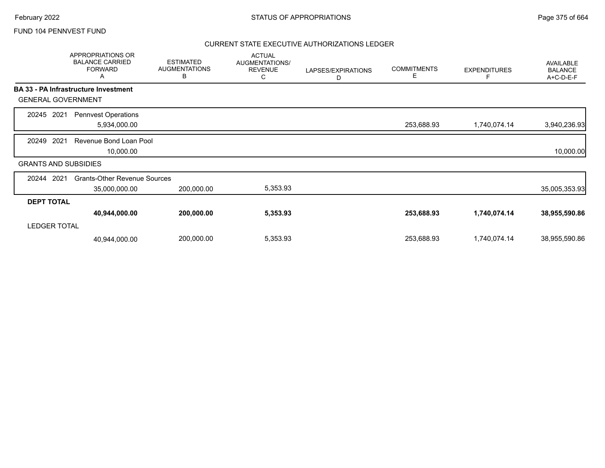|                             | APPROPRIATIONS OR<br><b>BALANCE CARRIED</b><br><b>FORWARD</b><br>Α | <b>ESTIMATED</b><br><b>AUGMENTATIONS</b><br>В | <b>ACTUAL</b><br>AUGMENTATIONS/<br><b>REVENUE</b><br>С | LAPSES/EXPIRATIONS<br>D | <b>COMMITMENTS</b><br>Е | <b>EXPENDITURES</b><br>F | AVAILABLE<br><b>BALANCE</b><br>A+C-D-E-F |
|-----------------------------|--------------------------------------------------------------------|-----------------------------------------------|--------------------------------------------------------|-------------------------|-------------------------|--------------------------|------------------------------------------|
|                             | <b>BA 33 - PA Infrastructure Investment</b>                        |                                               |                                                        |                         |                         |                          |                                          |
| <b>GENERAL GOVERNMENT</b>   |                                                                    |                                               |                                                        |                         |                         |                          |                                          |
| 2021<br>20245               | <b>Pennvest Operations</b><br>5,934,000.00                         |                                               |                                                        |                         | 253,688.93              | 1,740,074.14             | 3,940,236.93                             |
| 2021<br>20249               | Revenue Bond Loan Pool<br>10,000.00                                |                                               |                                                        |                         |                         |                          | 10,000.00                                |
| <b>GRANTS AND SUBSIDIES</b> |                                                                    |                                               |                                                        |                         |                         |                          |                                          |
| 2021<br>20244               | <b>Grants-Other Revenue Sources</b><br>35,000,000.00               | 200,000.00                                    | 5,353.93                                               |                         |                         |                          | 35,005,353.93                            |
| <b>DEPT TOTAL</b>           |                                                                    |                                               |                                                        |                         |                         |                          |                                          |
|                             | 40,944,000.00                                                      | 200,000.00                                    | 5,353.93                                               |                         | 253,688.93              | 1,740,074.14             | 38,955,590.86                            |
| <b>LEDGER TOTAL</b>         |                                                                    |                                               |                                                        |                         |                         |                          |                                          |
|                             | 40,944,000.00                                                      | 200,000.00                                    | 5,353.93                                               |                         | 253,688.93              | 1,740,074.14             | 38,955,590.86                            |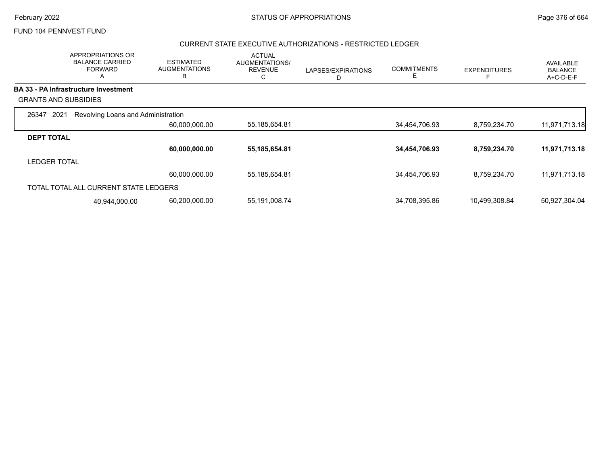## CURRENT STATE EXECUTIVE AUTHORIZATIONS - RESTRICTED LEDGER

|                             | APPROPRIATIONS OR<br><b>BALANCE CARRIED</b><br><b>FORWARD</b><br>Α | <b>ESTIMATED</b><br><b>AUGMENTATIONS</b><br>B | <b>ACTUAL</b><br>AUGMENTATIONS/<br><b>REVENUE</b><br>С | LAPSES/EXPIRATIONS<br>D | <b>COMMITMENTS</b><br>Ε | <b>EXPENDITURES</b> | AVAILABLE<br><b>BALANCE</b><br>A+C-D-E-F |
|-----------------------------|--------------------------------------------------------------------|-----------------------------------------------|--------------------------------------------------------|-------------------------|-------------------------|---------------------|------------------------------------------|
|                             | <b>BA 33 - PA Infrastructure Investment</b>                        |                                               |                                                        |                         |                         |                     |                                          |
| <b>GRANTS AND SUBSIDIES</b> |                                                                    |                                               |                                                        |                         |                         |                     |                                          |
| 2021<br>26347               | Revolving Loans and Administration                                 |                                               |                                                        |                         |                         |                     |                                          |
|                             |                                                                    | 60,000,000.00                                 | 55, 185, 654.81                                        |                         | 34,454,706.93           | 8,759,234.70        | 11,971,713.18                            |
| <b>DEPT TOTAL</b>           |                                                                    |                                               |                                                        |                         |                         |                     |                                          |
|                             |                                                                    | 60,000,000.00                                 | 55,185,654.81                                          |                         | 34,454,706.93           | 8,759,234.70        | 11,971,713.18                            |
| <b>LEDGER TOTAL</b>         |                                                                    |                                               |                                                        |                         |                         |                     |                                          |
|                             |                                                                    | 60,000,000.00                                 | 55, 185, 654.81                                        |                         | 34,454,706.93           | 8,759,234.70        | 11,971,713.18                            |
|                             | TOTAL TOTAL ALL CURRENT STATE LEDGERS                              |                                               |                                                        |                         |                         |                     |                                          |
|                             | 40,944,000.00                                                      | 60,200,000.00                                 | 55,191,008.74                                          |                         | 34,708,395.86           | 10,499,308.84       | 50,927,304.04                            |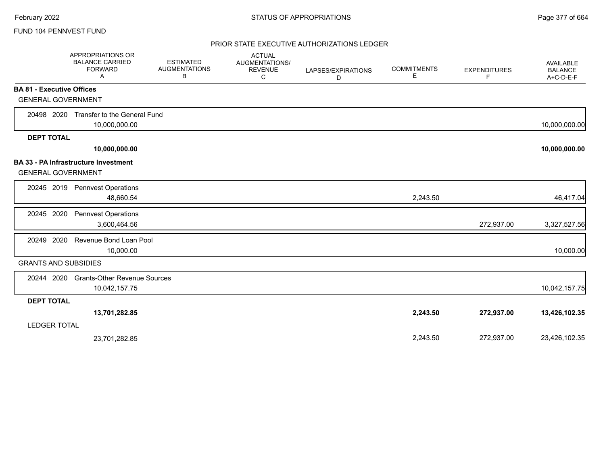|                                  | APPROPRIATIONS OR<br><b>BALANCE CARRIED</b><br><b>FORWARD</b><br>A | <b>ESTIMATED</b><br><b>AUGMENTATIONS</b><br>В | <b>ACTUAL</b><br>AUGMENTATIONS/<br><b>REVENUE</b><br>С | LAPSES/EXPIRATIONS<br>D | <b>COMMITMENTS</b><br>Е | <b>EXPENDITURES</b><br>F | AVAILABLE<br><b>BALANCE</b><br>A+C-D-E-F |
|----------------------------------|--------------------------------------------------------------------|-----------------------------------------------|--------------------------------------------------------|-------------------------|-------------------------|--------------------------|------------------------------------------|
| <b>BA 81 - Executive Offices</b> |                                                                    |                                               |                                                        |                         |                         |                          |                                          |
| <b>GENERAL GOVERNMENT</b>        |                                                                    |                                               |                                                        |                         |                         |                          |                                          |
| 20498 2020                       | Transfer to the General Fund                                       |                                               |                                                        |                         |                         |                          |                                          |
|                                  | 10,000,000.00                                                      |                                               |                                                        |                         |                         |                          | 10,000,000.00                            |
| <b>DEPT TOTAL</b>                |                                                                    |                                               |                                                        |                         |                         |                          |                                          |
|                                  | 10,000,000.00                                                      |                                               |                                                        |                         |                         |                          | 10,000,000.00                            |
| <b>GENERAL GOVERNMENT</b>        | <b>BA 33 - PA Infrastructure Investment</b>                        |                                               |                                                        |                         |                         |                          |                                          |
|                                  | 20245 2019 Pennvest Operations<br>48,660.54                        |                                               |                                                        |                         | 2,243.50                |                          | 46,417.04                                |
| 20245 2020                       | <b>Pennvest Operations</b><br>3,600,464.56                         |                                               |                                                        |                         |                         | 272,937.00               | 3,327,527.56                             |
| 2020<br>20249                    | Revenue Bond Loan Pool<br>10,000.00                                |                                               |                                                        |                         |                         |                          | 10,000.00                                |
| <b>GRANTS AND SUBSIDIES</b>      |                                                                    |                                               |                                                        |                         |                         |                          |                                          |
| 20244 2020                       | <b>Grants-Other Revenue Sources</b><br>10,042,157.75               |                                               |                                                        |                         |                         |                          | 10,042,157.75                            |
| <b>DEPT TOTAL</b>                |                                                                    |                                               |                                                        |                         |                         |                          |                                          |
|                                  | 13,701,282.85                                                      |                                               |                                                        |                         | 2,243.50                | 272,937.00               | 13,426,102.35                            |
| <b>LEDGER TOTAL</b>              |                                                                    |                                               |                                                        |                         |                         |                          |                                          |
|                                  | 23,701,282.85                                                      |                                               |                                                        |                         | 2,243.50                | 272,937.00               | 23,426,102.35                            |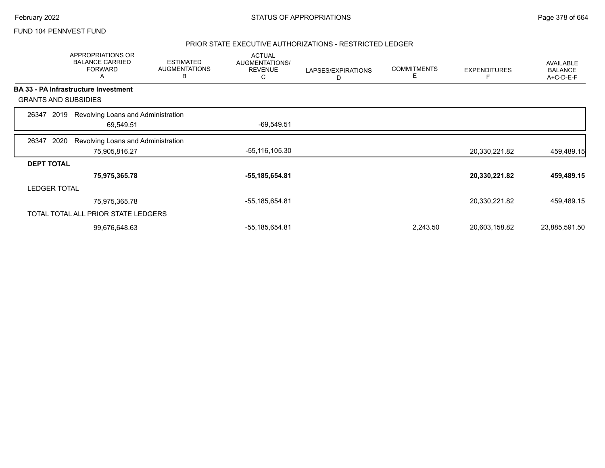#### PRIOR STATE EXECUTIVE AUTHORIZATIONS - RESTRICTED LEDGER

|                             |      | APPROPRIATIONS OR<br><b>BALANCE CARRIED</b><br><b>FORWARD</b><br>A | <b>ESTIMATED</b><br><b>AUGMENTATIONS</b><br>в | <b>ACTUAL</b><br>AUGMENTATIONS/<br><b>REVENUE</b><br>С | LAPSES/EXPIRATIONS<br>D | <b>COMMITMENTS</b><br>E | <b>EXPENDITURES</b> | AVAILABLE<br><b>BALANCE</b><br>A+C-D-E-F |
|-----------------------------|------|--------------------------------------------------------------------|-----------------------------------------------|--------------------------------------------------------|-------------------------|-------------------------|---------------------|------------------------------------------|
|                             |      | BA 33 - PA Infrastructure Investment                               |                                               |                                                        |                         |                         |                     |                                          |
| <b>GRANTS AND SUBSIDIES</b> |      |                                                                    |                                               |                                                        |                         |                         |                     |                                          |
| 26347                       | 2019 | Revolving Loans and Administration                                 |                                               |                                                        |                         |                         |                     |                                          |
|                             |      | 69,549.51                                                          |                                               | $-69,549.51$                                           |                         |                         |                     |                                          |
| 26347                       | 2020 | Revolving Loans and Administration                                 |                                               |                                                        |                         |                         |                     |                                          |
|                             |      | 75,905,816.27                                                      |                                               | -55,116,105.30                                         |                         |                         | 20,330,221.82       | 459,489.15                               |
| <b>DEPT TOTAL</b>           |      |                                                                    |                                               |                                                        |                         |                         |                     |                                          |
|                             |      | 75,975,365.78                                                      |                                               | -55,185,654.81                                         |                         |                         | 20,330,221.82       | 459,489.15                               |
| <b>LEDGER TOTAL</b>         |      |                                                                    |                                               |                                                        |                         |                         |                     |                                          |
|                             |      | 75,975,365.78                                                      |                                               | -55,185,654.81                                         |                         |                         | 20,330,221.82       | 459,489.15                               |
|                             |      | TOTAL TOTAL ALL PRIOR STATE LEDGERS                                |                                               |                                                        |                         |                         |                     |                                          |
|                             |      | 99,676,648.63                                                      |                                               | -55,185,654.81                                         |                         | 2,243.50                | 20,603,158.82       | 23,885,591.50                            |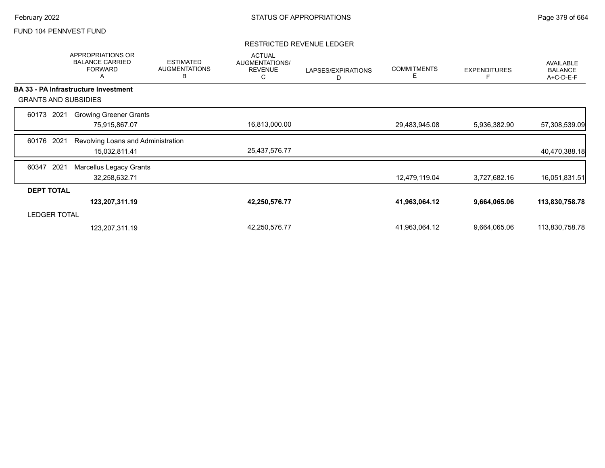### RESTRICTED REVENUE LEDGER

|                     | APPROPRIATIONS OR<br><b>BALANCE CARRIED</b><br><b>FORWARD</b><br>Α | <b>ESTIMATED</b><br><b>AUGMENTATIONS</b><br>B | <b>ACTUAL</b><br>AUGMENTATIONS/<br><b>REVENUE</b><br>C | LAPSES/EXPIRATIONS<br>D | <b>COMMITMENTS</b><br>Е | <b>EXPENDITURES</b> | AVAILABLE<br><b>BALANCE</b><br>A+C-D-E-F |
|---------------------|--------------------------------------------------------------------|-----------------------------------------------|--------------------------------------------------------|-------------------------|-------------------------|---------------------|------------------------------------------|
|                     | <b>BA 33 - PA Infrastructure Investment</b>                        |                                               |                                                        |                         |                         |                     |                                          |
|                     | <b>GRANTS AND SUBSIDIES</b>                                        |                                               |                                                        |                         |                         |                     |                                          |
| 2021<br>60173       | <b>Growing Greener Grants</b>                                      |                                               |                                                        |                         |                         |                     |                                          |
|                     | 75,915,867.07                                                      |                                               | 16,813,000.00                                          |                         | 29,483,945.08           | 5,936,382.90        | 57,308,539.09                            |
| 2021<br>60176       | Revolving Loans and Administration                                 |                                               |                                                        |                         |                         |                     |                                          |
|                     | 15,032,811.41                                                      |                                               | 25,437,576.77                                          |                         |                         |                     | 40,470,388.18                            |
| 2021<br>60347       | <b>Marcellus Legacy Grants</b>                                     |                                               |                                                        |                         |                         |                     |                                          |
|                     | 32,258,632.71                                                      |                                               |                                                        |                         | 12,479,119.04           | 3,727,682.16        | 16,051,831.51                            |
| <b>DEPT TOTAL</b>   |                                                                    |                                               |                                                        |                         |                         |                     |                                          |
|                     | 123,207,311.19                                                     |                                               | 42,250,576.77                                          |                         | 41,963,064.12           | 9,664,065.06        | 113,830,758.78                           |
| <b>LEDGER TOTAL</b> |                                                                    |                                               |                                                        |                         |                         |                     |                                          |
|                     | 123,207,311.19                                                     |                                               | 42,250,576.77                                          |                         | 41,963,064.12           | 9,664,065.06        | 113,830,758.78                           |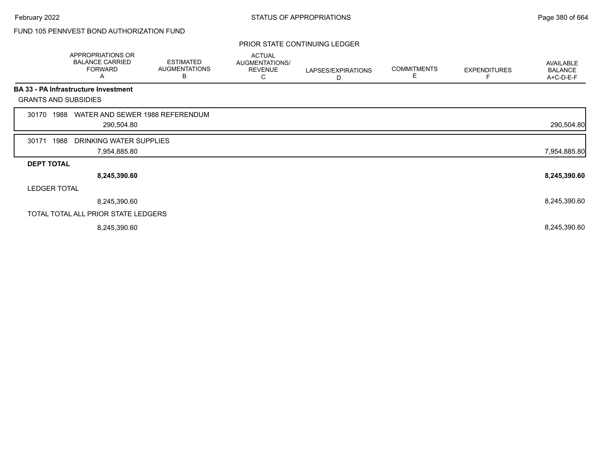# FUND 105 PENNVEST BOND AUTHORIZATION FUND

#### PRIOR STATE CONTINUING LEDGER

|                   | APPROPRIATIONS OR<br><b>BALANCE CARRIED</b><br><b>FORWARD</b><br>A | <b>ESTIMATED</b><br><b>AUGMENTATIONS</b><br>В | <b>ACTUAL</b><br>AUGMENTATIONS/<br><b>REVENUE</b><br>С | LAPSES/EXPIRATIONS<br>D | <b>COMMITMENTS</b><br>E | <b>EXPENDITURES</b> | AVAILABLE<br><b>BALANCE</b><br>A+C-D-E-F |
|-------------------|--------------------------------------------------------------------|-----------------------------------------------|--------------------------------------------------------|-------------------------|-------------------------|---------------------|------------------------------------------|
|                   | <b>BA 33 - PA Infrastructure Investment</b>                        |                                               |                                                        |                         |                         |                     |                                          |
|                   | <b>GRANTS AND SUBSIDIES</b>                                        |                                               |                                                        |                         |                         |                     |                                          |
| 30170             | WATER AND SEWER 1988 REFERENDUM<br>1988                            |                                               |                                                        |                         |                         |                     |                                          |
|                   | 290,504.80                                                         |                                               |                                                        |                         |                         |                     | 290,504.80                               |
| 30171             | 1988<br>DRINKING WATER SUPPLIES                                    |                                               |                                                        |                         |                         |                     |                                          |
|                   | 7,954,885.80                                                       |                                               |                                                        |                         |                         |                     | 7,954,885.80                             |
| <b>DEPT TOTAL</b> |                                                                    |                                               |                                                        |                         |                         |                     |                                          |
|                   | 8,245,390.60                                                       |                                               |                                                        |                         |                         |                     | 8,245,390.60                             |
|                   | <b>LEDGER TOTAL</b>                                                |                                               |                                                        |                         |                         |                     |                                          |
|                   | 8,245,390.60                                                       |                                               |                                                        |                         |                         |                     | 8,245,390.60                             |
|                   | TOTAL TOTAL ALL PRIOR STATE LEDGERS                                |                                               |                                                        |                         |                         |                     |                                          |
|                   | 8,245,390.60                                                       |                                               |                                                        |                         |                         |                     | 8,245,390.60                             |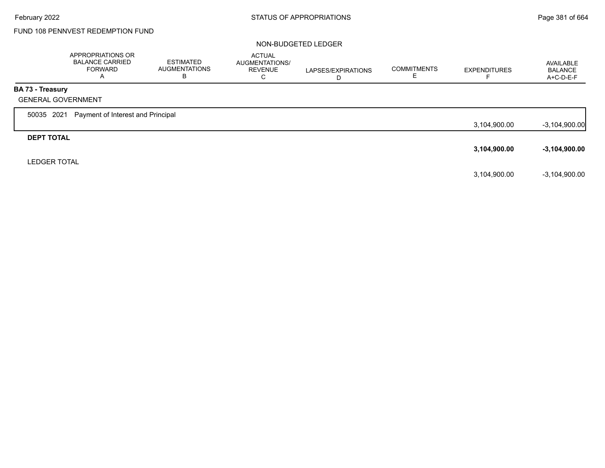# FUND 108 PENNVEST REDEMPTION FUND

#### NON-BUDGETED LEDGER

|                         | APPROPRIATIONS OR<br><b>BALANCE CARRIED</b><br><b>FORWARD</b><br>$\mathsf{A}$ | ESTIMATED<br><b>AUGMENTATIONS</b><br>в | <b>ACTUAL</b><br>AUGMENTATIONS/<br><b>REVENUE</b><br>С | LAPSES/EXPIRATIONS<br>D | <b>COMMITMENTS</b> | <b>EXPENDITURES</b> | AVAILABLE<br><b>BALANCE</b><br>A+C-D-E-F |
|-------------------------|-------------------------------------------------------------------------------|----------------------------------------|--------------------------------------------------------|-------------------------|--------------------|---------------------|------------------------------------------|
| <b>BA 73 - Treasury</b> |                                                                               |                                        |                                                        |                         |                    |                     |                                          |
|                         | <b>GENERAL GOVERNMENT</b>                                                     |                                        |                                                        |                         |                    |                     |                                          |
| 50035 2021              | Payment of Interest and Principal                                             |                                        |                                                        |                         |                    |                     |                                          |
|                         |                                                                               |                                        |                                                        |                         |                    | 3,104,900.00        | $-3,104,900.00$                          |
| <b>DEPT TOTAL</b>       |                                                                               |                                        |                                                        |                         |                    |                     |                                          |
|                         |                                                                               |                                        |                                                        |                         |                    | 3,104,900.00        | $-3,104,900.00$                          |
| <b>LEDGER TOTAL</b>     |                                                                               |                                        |                                                        |                         |                    |                     |                                          |
|                         |                                                                               |                                        |                                                        |                         |                    | 3,104,900.00        | $-3,104,900.00$                          |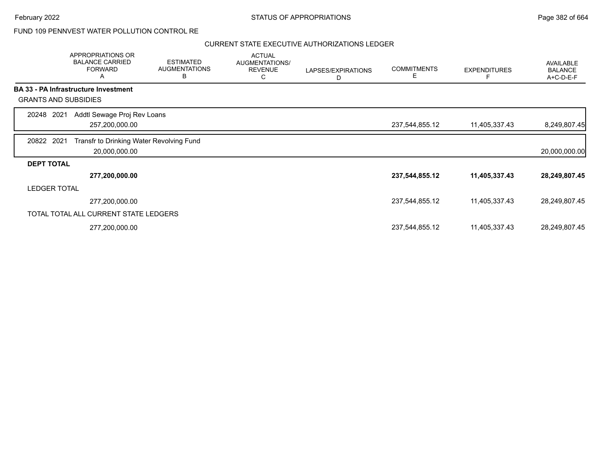# FUND 109 PENNVEST WATER POLLUTION CONTROL RE

| APPROPRIATIONS OR<br><b>BALANCE CARRIED</b><br><b>FORWARD</b><br>Α | <b>ESTIMATED</b><br><b>AUGMENTATIONS</b><br>В | <b>ACTUAL</b><br><b>AUGMENTATIONS/</b><br><b>REVENUE</b><br>С                                                    | LAPSES/EXPIRATIONS<br>D | <b>COMMITMENTS</b><br>Е | <b>EXPENDITURES</b> | AVAILABLE<br><b>BALANCE</b><br>A+C-D-E-F |
|--------------------------------------------------------------------|-----------------------------------------------|------------------------------------------------------------------------------------------------------------------|-------------------------|-------------------------|---------------------|------------------------------------------|
| <b>BA 33 - PA Infrastructure Investment</b>                        |                                               |                                                                                                                  |                         |                         |                     |                                          |
| <b>GRANTS AND SUBSIDIES</b>                                        |                                               |                                                                                                                  |                         |                         |                     |                                          |
| 20248 2021                                                         |                                               |                                                                                                                  |                         |                         |                     |                                          |
| 257,200,000.00                                                     |                                               |                                                                                                                  |                         | 237,544,855.12          | 11,405,337.43       | 8,249,807.45                             |
| 20822 2021                                                         |                                               |                                                                                                                  |                         |                         |                     |                                          |
| 20,000,000.00                                                      |                                               |                                                                                                                  |                         |                         |                     | 20,000,000.00                            |
| <b>DEPT TOTAL</b>                                                  |                                               |                                                                                                                  |                         |                         |                     |                                          |
| 277,200,000.00                                                     |                                               |                                                                                                                  |                         | 237,544,855.12          | 11,405,337.43       | 28,249,807.45                            |
| <b>LEDGER TOTAL</b>                                                |                                               |                                                                                                                  |                         |                         |                     |                                          |
| 277,200,000.00                                                     |                                               |                                                                                                                  |                         | 237,544,855.12          | 11,405,337.43       | 28,249,807.45                            |
|                                                                    |                                               |                                                                                                                  |                         |                         |                     |                                          |
|                                                                    |                                               |                                                                                                                  |                         | 237,544,855.12          | 11,405,337.43       | 28,249,807.45                            |
|                                                                    |                                               | Addtl Sewage Proj Rev Loans<br>Transfr to Drinking Water Revolving Fund<br>TOTAL TOTAL ALL CURRENT STATE LEDGERS |                         |                         |                     |                                          |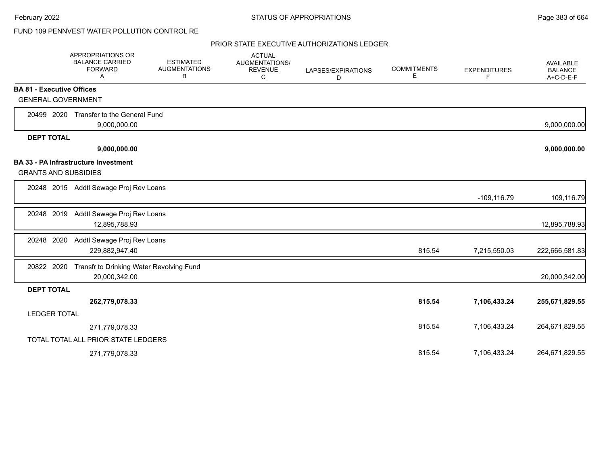# FUND 109 PENNVEST WATER POLLUTION CONTROL RE

|                     | APPROPRIATIONS OR<br><b>BALANCE CARRIED</b><br><b>FORWARD</b><br>Α | <b>ESTIMATED</b><br><b>AUGMENTATIONS</b><br>В | <b>ACTUAL</b><br>AUGMENTATIONS/<br><b>REVENUE</b><br>C | LAPSES/EXPIRATIONS<br>D | <b>COMMITMENTS</b><br>E | <b>EXPENDITURES</b><br>F | AVAILABLE<br><b>BALANCE</b><br>A+C-D-E-F |
|---------------------|--------------------------------------------------------------------|-----------------------------------------------|--------------------------------------------------------|-------------------------|-------------------------|--------------------------|------------------------------------------|
|                     | <b>BA 81 - Executive Offices</b>                                   |                                               |                                                        |                         |                         |                          |                                          |
|                     | <b>GENERAL GOVERNMENT</b>                                          |                                               |                                                        |                         |                         |                          |                                          |
| 20499 2020          | Transfer to the General Fund<br>9,000,000.00                       |                                               |                                                        |                         |                         |                          | 9,000,000.00                             |
| <b>DEPT TOTAL</b>   |                                                                    |                                               |                                                        |                         |                         |                          |                                          |
|                     | 9,000,000.00                                                       |                                               |                                                        |                         |                         |                          | 9,000,000.00                             |
|                     | BA 33 - PA Infrastructure Investment                               |                                               |                                                        |                         |                         |                          |                                          |
|                     | <b>GRANTS AND SUBSIDIES</b>                                        |                                               |                                                        |                         |                         |                          |                                          |
|                     | 20248 2015 Addtl Sewage Proj Rev Loans                             |                                               |                                                        |                         |                         | $-109, 116.79$           | 109,116.79                               |
| 20248 2019          | Addtl Sewage Proj Rev Loans<br>12,895,788.93                       |                                               |                                                        |                         |                         |                          | 12,895,788.93                            |
| 20248 2020          | Addtl Sewage Proj Rev Loans<br>229,882,947.40                      |                                               |                                                        |                         | 815.54                  | 7,215,550.03             | 222,666,581.83                           |
| 20822 2020          | 20,000,342.00                                                      | Transfr to Drinking Water Revolving Fund      |                                                        |                         |                         |                          | 20,000,342.00                            |
| <b>DEPT TOTAL</b>   |                                                                    |                                               |                                                        |                         |                         |                          |                                          |
|                     | 262,779,078.33                                                     |                                               |                                                        |                         | 815.54                  | 7,106,433.24             | 255,671,829.55                           |
| <b>LEDGER TOTAL</b> |                                                                    |                                               |                                                        |                         |                         |                          |                                          |
|                     | 271,779,078.33                                                     |                                               |                                                        |                         | 815.54                  | 7,106,433.24             | 264,671,829.55                           |
|                     | TOTAL TOTAL ALL PRIOR STATE LEDGERS                                |                                               |                                                        |                         |                         |                          |                                          |
|                     | 271,779,078.33                                                     |                                               |                                                        |                         | 815.54                  | 7,106,433.24             | 264,671,829.55                           |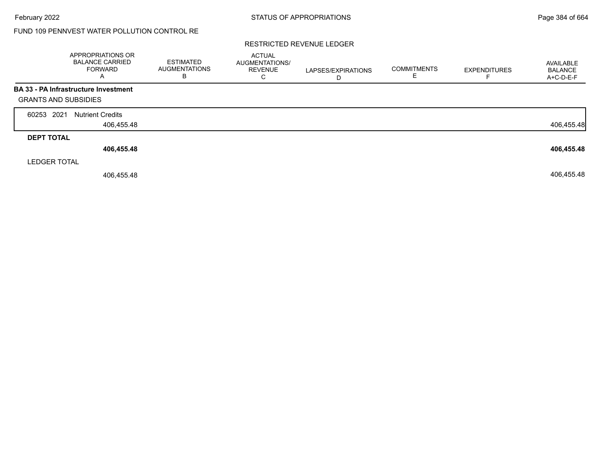# FUND 109 PENNVEST WATER POLLUTION CONTROL RE

#### RESTRICTED REVENUE LEDGER

|                             | APPROPRIATIONS OR<br><b>BALANCE CARRIED</b><br><b>FORWARD</b><br>$\mathsf{A}$ | <b>ESTIMATED</b><br><b>AUGMENTATIONS</b><br>B | <b>ACTUAL</b><br><b>AUGMENTATIONS/</b><br><b>REVENUE</b><br>C | LAPSES/EXPIRATIONS<br>D | <b>COMMITMENTS</b><br>E | <b>EXPENDITURES</b> | AVAILABLE<br><b>BALANCE</b><br>A+C-D-E-F |
|-----------------------------|-------------------------------------------------------------------------------|-----------------------------------------------|---------------------------------------------------------------|-------------------------|-------------------------|---------------------|------------------------------------------|
|                             | <b>BA 33 - PA Infrastructure Investment</b>                                   |                                               |                                                               |                         |                         |                     |                                          |
| <b>GRANTS AND SUBSIDIES</b> |                                                                               |                                               |                                                               |                         |                         |                     |                                          |
| 2021<br>60253               | <b>Nutrient Credits</b>                                                       |                                               |                                                               |                         |                         |                     |                                          |
|                             | 406,455.48                                                                    |                                               |                                                               |                         |                         |                     | 406,455.48                               |
| <b>DEPT TOTAL</b>           |                                                                               |                                               |                                                               |                         |                         |                     |                                          |
|                             | 406,455.48                                                                    |                                               |                                                               |                         |                         |                     | 406,455.48                               |
| <b>LEDGER TOTAL</b>         |                                                                               |                                               |                                                               |                         |                         |                     |                                          |
|                             | 406,455.48                                                                    |                                               |                                                               |                         |                         |                     | 406,455.48                               |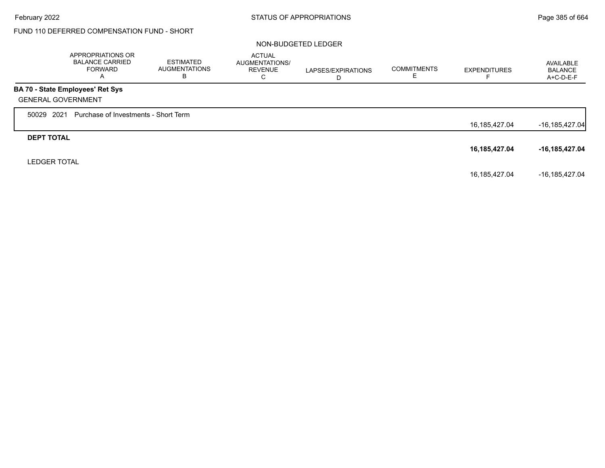# FUND 110 DEFERRED COMPENSATION FUND - SHORT

#### NON-BUDGETED LEDGER

|                           | APPROPRIATIONS OR<br><b>BALANCE CARRIED</b><br><b>FORWARD</b><br>A | <b>ESTIMATED</b><br>AUGMENTATIONS<br>В | <b>ACTUAL</b><br><b>AUGMENTATIONS/</b><br><b>REVENUE</b><br>⌒<br>◡ | LAPSES/EXPIRATIONS<br>D | <b>COMMITMENTS</b><br>ᄂ | <b>EXPENDITURES</b> | AVAILABLE<br><b>BALANCE</b><br>A+C-D-E-F |
|---------------------------|--------------------------------------------------------------------|----------------------------------------|--------------------------------------------------------------------|-------------------------|-------------------------|---------------------|------------------------------------------|
|                           | <b>BA 70 - State Employees' Ret Sys</b>                            |                                        |                                                                    |                         |                         |                     |                                          |
| <b>GENERAL GOVERNMENT</b> |                                                                    |                                        |                                                                    |                         |                         |                     |                                          |
| 50029 2021                | Purchase of Investments - Short Term                               |                                        |                                                                    |                         |                         |                     |                                          |
|                           |                                                                    |                                        |                                                                    |                         |                         | 16, 185, 427.04     | $-16, 185, 427.04$                       |
| <b>DEPT TOTAL</b>         |                                                                    |                                        |                                                                    |                         |                         |                     |                                          |
|                           |                                                                    |                                        |                                                                    |                         |                         | 16,185,427.04       | $-16, 185, 427.04$                       |
| <b>LEDGER TOTAL</b>       |                                                                    |                                        |                                                                    |                         |                         |                     |                                          |
|                           |                                                                    |                                        |                                                                    |                         |                         | 16,185,427.04       | -16,185,427.04                           |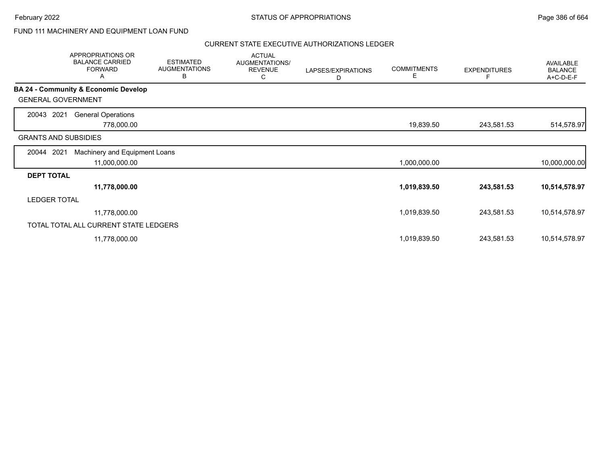## FUND 111 MACHINERY AND EQUIPMENT LOAN FUND

|                             | APPROPRIATIONS OR<br><b>BALANCE CARRIED</b><br><b>FORWARD</b><br>Α | <b>ESTIMATED</b><br><b>AUGMENTATIONS</b><br>В | <b>ACTUAL</b><br>AUGMENTATIONS/<br><b>REVENUE</b><br>С | LAPSES/EXPIRATIONS<br>D | <b>COMMITMENTS</b><br>Е | <b>EXPENDITURES</b><br>F | <b>AVAILABLE</b><br><b>BALANCE</b><br>A+C-D-E-F |
|-----------------------------|--------------------------------------------------------------------|-----------------------------------------------|--------------------------------------------------------|-------------------------|-------------------------|--------------------------|-------------------------------------------------|
|                             | <b>BA 24 - Community &amp; Economic Develop</b>                    |                                               |                                                        |                         |                         |                          |                                                 |
| <b>GENERAL GOVERNMENT</b>   |                                                                    |                                               |                                                        |                         |                         |                          |                                                 |
| 2021<br>20043               | <b>General Operations</b>                                          |                                               |                                                        |                         |                         |                          |                                                 |
|                             | 778,000.00                                                         |                                               |                                                        |                         | 19,839.50               | 243,581.53               | 514,578.97                                      |
| <b>GRANTS AND SUBSIDIES</b> |                                                                    |                                               |                                                        |                         |                         |                          |                                                 |
| 2021<br>20044               | Machinery and Equipment Loans                                      |                                               |                                                        |                         |                         |                          |                                                 |
|                             | 11,000,000.00                                                      |                                               |                                                        |                         | 1,000,000.00            |                          | 10,000,000.00                                   |
| <b>DEPT TOTAL</b>           |                                                                    |                                               |                                                        |                         |                         |                          |                                                 |
|                             | 11,778,000.00                                                      |                                               |                                                        |                         | 1,019,839.50            | 243,581.53               | 10,514,578.97                                   |
| <b>LEDGER TOTAL</b>         |                                                                    |                                               |                                                        |                         |                         |                          |                                                 |
|                             | 11,778,000.00                                                      |                                               |                                                        |                         | 1,019,839.50            | 243,581.53               | 10,514,578.97                                   |
|                             | TOTAL TOTAL ALL CURRENT STATE LEDGERS                              |                                               |                                                        |                         |                         |                          |                                                 |
|                             | 11,778,000.00                                                      |                                               |                                                        |                         | 1,019,839.50            | 243,581.53               | 10,514,578.97                                   |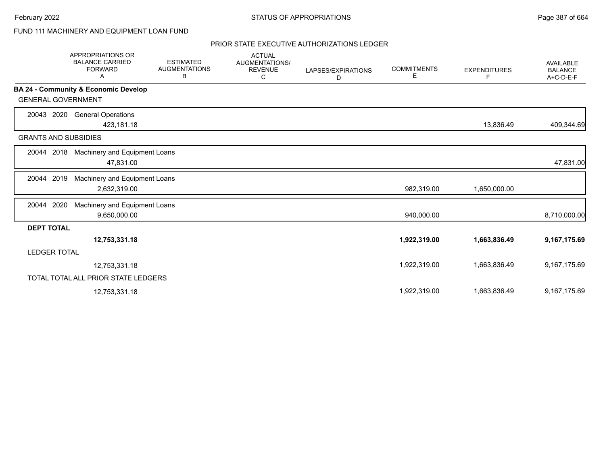# FUND 111 MACHINERY AND EQUIPMENT LOAN FUND

|                             | <b>APPROPRIATIONS OR</b><br><b>BALANCE CARRIED</b><br><b>FORWARD</b><br>A | <b>ESTIMATED</b><br><b>AUGMENTATIONS</b><br>В | <b>ACTUAL</b><br>AUGMENTATIONS/<br><b>REVENUE</b><br>C | LAPSES/EXPIRATIONS<br>D | <b>COMMITMENTS</b><br>Е | <b>EXPENDITURES</b><br>F | <b>AVAILABLE</b><br><b>BALANCE</b><br>A+C-D-E-F |
|-----------------------------|---------------------------------------------------------------------------|-----------------------------------------------|--------------------------------------------------------|-------------------------|-------------------------|--------------------------|-------------------------------------------------|
|                             | BA 24 - Community & Economic Develop                                      |                                               |                                                        |                         |                         |                          |                                                 |
| <b>GENERAL GOVERNMENT</b>   |                                                                           |                                               |                                                        |                         |                         |                          |                                                 |
| 2020<br>20043               | <b>General Operations</b>                                                 |                                               |                                                        |                         |                         |                          |                                                 |
|                             | 423,181.18                                                                |                                               |                                                        |                         |                         | 13,836.49                | 409,344.69                                      |
| <b>GRANTS AND SUBSIDIES</b> |                                                                           |                                               |                                                        |                         |                         |                          |                                                 |
| 20044 2018                  | Machinery and Equipment Loans                                             |                                               |                                                        |                         |                         |                          |                                                 |
|                             | 47,831.00                                                                 |                                               |                                                        |                         |                         |                          | 47,831.00                                       |
| 2019<br>20044               | Machinery and Equipment Loans                                             |                                               |                                                        |                         |                         |                          |                                                 |
|                             | 2,632,319.00                                                              |                                               |                                                        |                         | 982,319.00              | 1,650,000.00             |                                                 |
| 2020<br>20044               | Machinery and Equipment Loans                                             |                                               |                                                        |                         |                         |                          |                                                 |
|                             | 9,650,000.00                                                              |                                               |                                                        |                         | 940,000.00              |                          | 8,710,000.00                                    |
| <b>DEPT TOTAL</b>           |                                                                           |                                               |                                                        |                         |                         |                          |                                                 |
|                             | 12,753,331.18                                                             |                                               |                                                        |                         | 1,922,319.00            | 1,663,836.49             | 9,167,175.69                                    |
| <b>LEDGER TOTAL</b>         |                                                                           |                                               |                                                        |                         |                         |                          |                                                 |
|                             | 12,753,331.18                                                             |                                               |                                                        |                         | 1,922,319.00            | 1,663,836.49             | 9,167,175.69                                    |
|                             | TOTAL TOTAL ALL PRIOR STATE LEDGERS                                       |                                               |                                                        |                         |                         |                          |                                                 |
|                             | 12,753,331.18                                                             |                                               |                                                        |                         | 1,922,319.00            | 1,663,836.49             | 9,167,175.69                                    |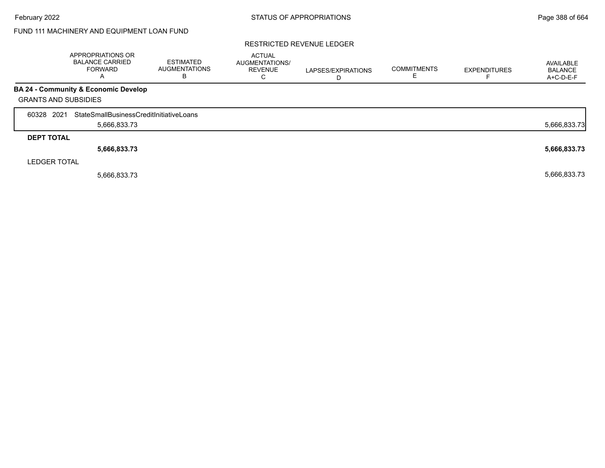# FUND 111 MACHINERY AND EQUIPMENT LOAN FUND

#### RESTRICTED REVENUE LEDGER

|                             | APPROPRIATIONS OR<br><b>BALANCE CARRIED</b><br><b>FORWARD</b><br>$\mathsf{A}$ | <b>ESTIMATED</b><br><b>AUGMENTATIONS</b><br>B | <b>ACTUAL</b><br>AUGMENTATIONS/<br><b>REVENUE</b><br>C | LAPSES/EXPIRATIONS<br>D | <b>COMMITMENTS</b> | <b>EXPENDITURES</b> | AVAILABLE<br><b>BALANCE</b><br>A+C-D-E-F |
|-----------------------------|-------------------------------------------------------------------------------|-----------------------------------------------|--------------------------------------------------------|-------------------------|--------------------|---------------------|------------------------------------------|
|                             | <b>BA 24 - Community &amp; Economic Develop</b>                               |                                               |                                                        |                         |                    |                     |                                          |
| <b>GRANTS AND SUBSIDIES</b> |                                                                               |                                               |                                                        |                         |                    |                     |                                          |
| 60328 2021                  | StateSmallBusinessCreditInitiativeLoans                                       |                                               |                                                        |                         |                    |                     |                                          |
|                             | 5,666,833.73                                                                  |                                               |                                                        |                         |                    |                     | 5,666,833.73                             |
| <b>DEPT TOTAL</b>           |                                                                               |                                               |                                                        |                         |                    |                     |                                          |
|                             | 5,666,833.73                                                                  |                                               |                                                        |                         |                    |                     | 5,666,833.73                             |
| <b>LEDGER TOTAL</b>         |                                                                               |                                               |                                                        |                         |                    |                     |                                          |
|                             | 5,666,833.73                                                                  |                                               |                                                        |                         |                    |                     | 5,666,833.73                             |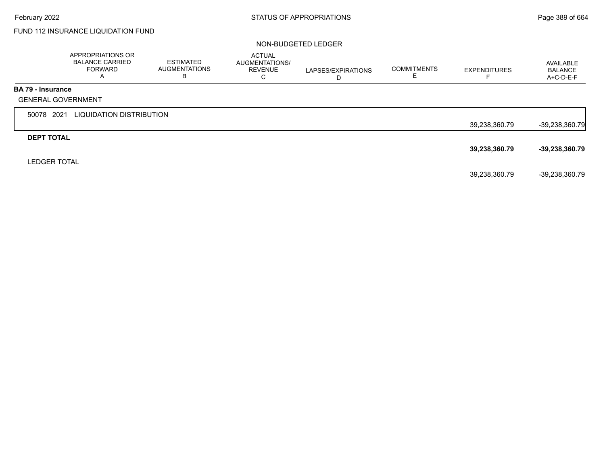# FUND 112 INSURANCE LIQUIDATION FUND

#### NON-BUDGETED LEDGER

|                          | APPROPRIATIONS OR<br><b>BALANCE CARRIED</b><br><b>FORWARD</b><br>A | <b>ESTIMATED</b><br><b>AUGMENTATIONS</b><br>В | <b>ACTUAL</b><br>AUGMENTATIONS/<br><b>REVENUE</b><br>C | LAPSES/EXPIRATIONS<br>D | <b>COMMITMENTS</b> | <b>EXPENDITURES</b> | AVAILABLE<br><b>BALANCE</b><br>$A+C-D-E-F$ |
|--------------------------|--------------------------------------------------------------------|-----------------------------------------------|--------------------------------------------------------|-------------------------|--------------------|---------------------|--------------------------------------------|
| <b>BA 79 - Insurance</b> |                                                                    |                                               |                                                        |                         |                    |                     |                                            |
|                          | <b>GENERAL GOVERNMENT</b>                                          |                                               |                                                        |                         |                    |                     |                                            |
| 50078 2021               | LIQUIDATION DISTRIBUTION                                           |                                               |                                                        |                         |                    |                     |                                            |
|                          |                                                                    |                                               |                                                        |                         |                    | 39,238,360.79       | $-39,238,360.79$                           |
| <b>DEPT TOTAL</b>        |                                                                    |                                               |                                                        |                         |                    |                     |                                            |
|                          |                                                                    |                                               |                                                        |                         |                    | 39,238,360.79       | $-39,238,360.79$                           |
| <b>LEDGER TOTAL</b>      |                                                                    |                                               |                                                        |                         |                    |                     |                                            |
|                          |                                                                    |                                               |                                                        |                         |                    | 39,238,360.79       | -39,238,360.79                             |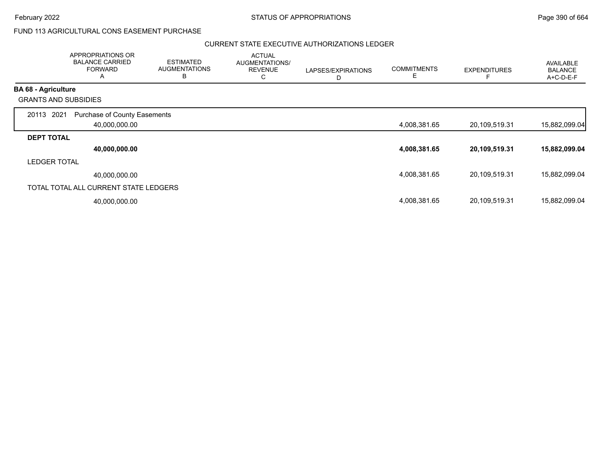# FUND 113 AGRICULTURAL CONS EASEMENT PURCHASE

|                            | APPROPRIATIONS OR<br><b>BALANCE CARRIED</b><br><b>FORWARD</b><br>A | <b>ESTIMATED</b><br><b>AUGMENTATIONS</b><br>B | <b>ACTUAL</b><br>AUGMENTATIONS/<br><b>REVENUE</b><br>C | LAPSES/EXPIRATIONS<br>D | <b>COMMITMENTS</b><br>E | <b>EXPENDITURES</b> | <b>AVAILABLE</b><br><b>BALANCE</b><br>A+C-D-E-F |
|----------------------------|--------------------------------------------------------------------|-----------------------------------------------|--------------------------------------------------------|-------------------------|-------------------------|---------------------|-------------------------------------------------|
| <b>BA 68 - Agriculture</b> |                                                                    |                                               |                                                        |                         |                         |                     |                                                 |
|                            | <b>GRANTS AND SUBSIDIES</b>                                        |                                               |                                                        |                         |                         |                     |                                                 |
| 20113                      | 2021<br>Purchase of County Easements<br>40,000,000.00              |                                               |                                                        |                         | 4,008,381.65            | 20,109,519.31       | 15,882,099.04                                   |
| <b>DEPT TOTAL</b>          |                                                                    |                                               |                                                        |                         |                         |                     |                                                 |
|                            | 40,000,000.00                                                      |                                               |                                                        |                         | 4,008,381.65            | 20,109,519.31       | 15,882,099.04                                   |
| <b>LEDGER TOTAL</b>        |                                                                    |                                               |                                                        |                         |                         |                     |                                                 |
|                            | 40,000,000.00                                                      |                                               |                                                        |                         | 4,008,381.65            | 20,109,519.31       | 15,882,099.04                                   |
|                            | TOTAL TOTAL ALL CURRENT STATE LEDGERS                              |                                               |                                                        |                         |                         |                     |                                                 |
|                            | 40,000,000.00                                                      |                                               |                                                        |                         | 4,008,381.65            | 20,109,519.31       | 15,882,099.04                                   |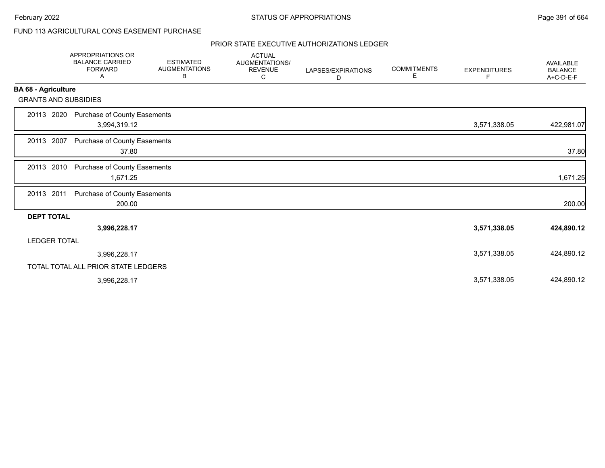# FUND 113 AGRICULTURAL CONS EASEMENT PURCHASE

|                             | <b>APPROPRIATIONS OR</b><br><b>BALANCE CARRIED</b><br><b>FORWARD</b><br>Α | <b>ESTIMATED</b><br><b>AUGMENTATIONS</b><br>В | <b>ACTUAL</b><br>AUGMENTATIONS/<br><b>REVENUE</b><br>С | LAPSES/EXPIRATIONS<br>D | <b>COMMITMENTS</b><br>Е | <b>EXPENDITURES</b><br>F. | <b>AVAILABLE</b><br><b>BALANCE</b><br>A+C-D-E-F |
|-----------------------------|---------------------------------------------------------------------------|-----------------------------------------------|--------------------------------------------------------|-------------------------|-------------------------|---------------------------|-------------------------------------------------|
| <b>BA 68 - Agriculture</b>  |                                                                           |                                               |                                                        |                         |                         |                           |                                                 |
| <b>GRANTS AND SUBSIDIES</b> |                                                                           |                                               |                                                        |                         |                         |                           |                                                 |
| 20113 2020                  | Purchase of County Easements<br>3,994,319.12                              |                                               |                                                        |                         |                         | 3,571,338.05              | 422,981.07                                      |
| 20113 2007                  | Purchase of County Easements<br>37.80                                     |                                               |                                                        |                         |                         |                           | 37.80                                           |
| 20113 2010                  | Purchase of County Easements<br>1,671.25                                  |                                               |                                                        |                         |                         |                           | 1,671.25                                        |
| 20113 2011                  | Purchase of County Easements<br>200.00                                    |                                               |                                                        |                         |                         |                           | 200.00                                          |
| <b>DEPT TOTAL</b>           |                                                                           |                                               |                                                        |                         |                         |                           |                                                 |
|                             | 3,996,228.17                                                              |                                               |                                                        |                         |                         | 3,571,338.05              | 424,890.12                                      |
| <b>LEDGER TOTAL</b>         |                                                                           |                                               |                                                        |                         |                         |                           |                                                 |
|                             | 3,996,228.17                                                              |                                               |                                                        |                         |                         | 3,571,338.05              | 424,890.12                                      |
|                             | TOTAL TOTAL ALL PRIOR STATE LEDGERS                                       |                                               |                                                        |                         |                         |                           |                                                 |
|                             | 3,996,228.17                                                              |                                               |                                                        |                         |                         | 3,571,338.05              | 424,890.12                                      |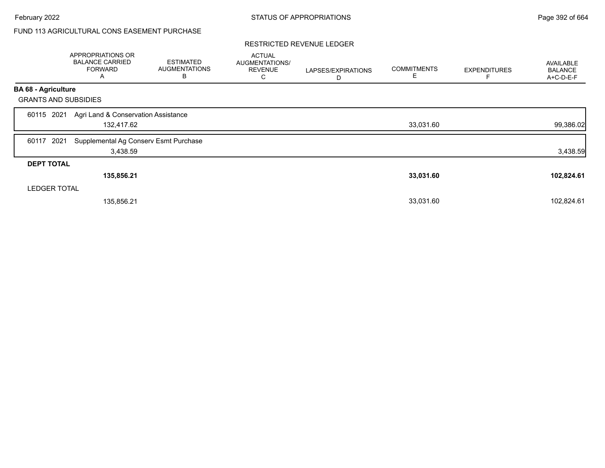# FUND 113 AGRICULTURAL CONS EASEMENT PURCHASE

#### RESTRICTED REVENUE LEDGER

|                             | APPROPRIATIONS OR<br><b>BALANCE CARRIED</b><br><b>FORWARD</b><br>A | <b>ESTIMATED</b><br><b>AUGMENTATIONS</b><br>В | <b>ACTUAL</b><br>AUGMENTATIONS/<br><b>REVENUE</b><br>С | LAPSES/EXPIRATIONS<br>D | <b>COMMITMENTS</b><br>Е | <b>EXPENDITURES</b> | <b>AVAILABLE</b><br><b>BALANCE</b><br>A+C-D-E-F |
|-----------------------------|--------------------------------------------------------------------|-----------------------------------------------|--------------------------------------------------------|-------------------------|-------------------------|---------------------|-------------------------------------------------|
| <b>BA 68 - Agriculture</b>  |                                                                    |                                               |                                                        |                         |                         |                     |                                                 |
| <b>GRANTS AND SUBSIDIES</b> |                                                                    |                                               |                                                        |                         |                         |                     |                                                 |
| 2021<br>60115               | Agri Land & Conservation Assistance<br>132,417.62                  |                                               |                                                        |                         | 33,031.60               |                     | 99,386.02                                       |
| 2021<br>60117               | Supplemental Ag Conserv Esmt Purchase<br>3,438.59                  |                                               |                                                        |                         |                         |                     | 3,438.59                                        |
| <b>DEPT TOTAL</b>           |                                                                    |                                               |                                                        |                         |                         |                     |                                                 |
|                             | 135,856.21                                                         |                                               |                                                        |                         | 33,031.60               |                     | 102,824.61                                      |
| <b>LEDGER TOTAL</b>         |                                                                    |                                               |                                                        |                         |                         |                     |                                                 |
|                             | 135,856.21                                                         |                                               |                                                        |                         | 33,031.60               |                     | 102,824.61                                      |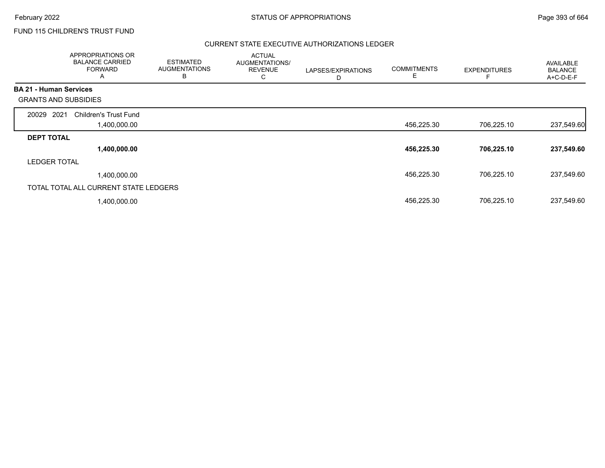# FUND 115 CHILDREN'S TRUST FUND

| APPROPRIATIONS OR<br><b>BALANCE CARRIED</b><br><b>FORWARD</b><br>A | <b>ESTIMATED</b><br><b>AUGMENTATIONS</b><br>в | <b>ACTUAL</b><br>AUGMENTATIONS/<br><b>REVENUE</b><br>С | LAPSES/EXPIRATIONS<br>D | <b>COMMITMENTS</b><br>Е | <b>EXPENDITURES</b> | AVAILABLE<br><b>BALANCE</b><br>A+C-D-E-F |
|--------------------------------------------------------------------|-----------------------------------------------|--------------------------------------------------------|-------------------------|-------------------------|---------------------|------------------------------------------|
| <b>BA 21 - Human Services</b>                                      |                                               |                                                        |                         |                         |                     |                                          |
| <b>GRANTS AND SUBSIDIES</b>                                        |                                               |                                                        |                         |                         |                     |                                          |
| 2021<br>20029<br><b>Children's Trust Fund</b>                      |                                               |                                                        |                         |                         |                     |                                          |
| 1,400,000.00                                                       |                                               |                                                        |                         | 456,225.30              | 706,225.10          | 237,549.60                               |
| <b>DEPT TOTAL</b>                                                  |                                               |                                                        |                         |                         |                     |                                          |
| 1,400,000.00                                                       |                                               |                                                        |                         | 456,225.30              | 706,225.10          | 237,549.60                               |
| <b>LEDGER TOTAL</b>                                                |                                               |                                                        |                         |                         |                     |                                          |
| 1,400,000.00                                                       |                                               |                                                        |                         | 456,225.30              | 706,225.10          | 237,549.60                               |
| TOTAL TOTAL ALL CURRENT STATE LEDGERS                              |                                               |                                                        |                         |                         |                     |                                          |
| 1,400,000.00                                                       |                                               |                                                        |                         | 456,225.30              | 706,225.10          | 237,549.60                               |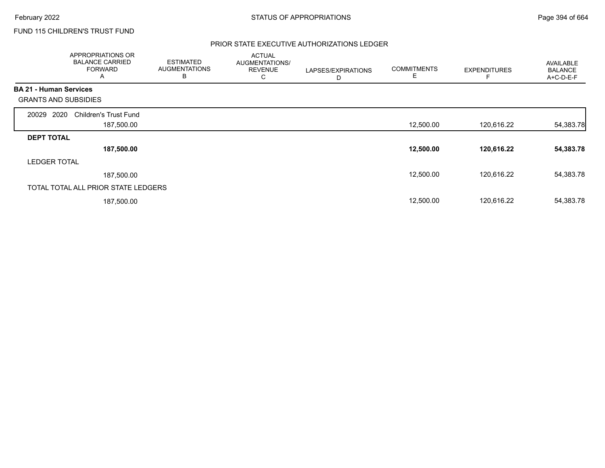# FUND 115 CHILDREN'S TRUST FUND

|                               | APPROPRIATIONS OR<br><b>BALANCE CARRIED</b><br><b>FORWARD</b><br>A | <b>ESTIMATED</b><br><b>AUGMENTATIONS</b><br>в | <b>ACTUAL</b><br>AUGMENTATIONS/<br><b>REVENUE</b><br>С | LAPSES/EXPIRATIONS<br>D | <b>COMMITMENTS</b><br>Е | <b>EXPENDITURES</b> | AVAILABLE<br><b>BALANCE</b><br>A+C-D-E-F |
|-------------------------------|--------------------------------------------------------------------|-----------------------------------------------|--------------------------------------------------------|-------------------------|-------------------------|---------------------|------------------------------------------|
| <b>BA 21 - Human Services</b> |                                                                    |                                               |                                                        |                         |                         |                     |                                          |
| <b>GRANTS AND SUBSIDIES</b>   |                                                                    |                                               |                                                        |                         |                         |                     |                                          |
| 2020<br>20029                 | <b>Children's Trust Fund</b>                                       |                                               |                                                        |                         |                         |                     |                                          |
|                               | 187,500.00                                                         |                                               |                                                        |                         | 12,500.00               | 120,616.22          | 54,383.78                                |
| <b>DEPT TOTAL</b>             |                                                                    |                                               |                                                        |                         |                         |                     |                                          |
|                               | 187,500.00                                                         |                                               |                                                        |                         | 12,500.00               | 120,616.22          | 54,383.78                                |
| <b>LEDGER TOTAL</b>           |                                                                    |                                               |                                                        |                         |                         |                     |                                          |
|                               | 187,500.00                                                         |                                               |                                                        |                         | 12,500.00               | 120.616.22          | 54,383.78                                |
|                               | TOTAL TOTAL ALL PRIOR STATE LEDGERS                                |                                               |                                                        |                         |                         |                     |                                          |
|                               | 187,500.00                                                         |                                               |                                                        |                         | 12,500.00               | 120,616.22          | 54,383.78                                |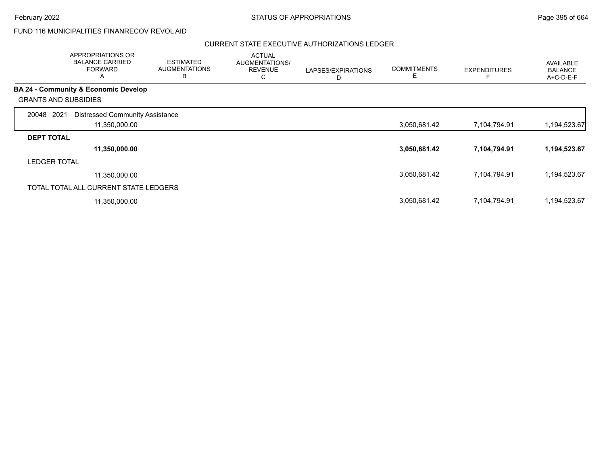# FUND 116 MUNICIPALITIES FINANRECOV REVOL AID

|                     | APPROPRIATIONS OR<br><b>BALANCE CARRIED</b><br><b>FORWARD</b><br>A | <b>ESTIMATED</b><br><b>AUGMENTATIONS</b><br>B | <b>ACTUAL</b><br>AUGMENTATIONS/<br><b>REVENUE</b><br>С | LAPSES/EXPIRATIONS<br>D | <b>COMMITMENTS</b><br>Е | <b>EXPENDITURES</b> | <b>AVAILABLE</b><br><b>BALANCE</b><br>A+C-D-E-F |
|---------------------|--------------------------------------------------------------------|-----------------------------------------------|--------------------------------------------------------|-------------------------|-------------------------|---------------------|-------------------------------------------------|
|                     | <b>BA 24 - Community &amp; Economic Develop</b>                    |                                               |                                                        |                         |                         |                     |                                                 |
|                     | <b>GRANTS AND SUBSIDIES</b>                                        |                                               |                                                        |                         |                         |                     |                                                 |
| 2021<br>20048       | <b>Distressed Community Assistance</b>                             |                                               |                                                        |                         |                         |                     |                                                 |
|                     | 11,350,000.00                                                      |                                               |                                                        |                         | 3,050,681.42            | 7,104,794.91        | 1,194,523.67                                    |
| <b>DEPT TOTAL</b>   |                                                                    |                                               |                                                        |                         |                         |                     |                                                 |
|                     | 11,350,000.00                                                      |                                               |                                                        |                         | 3,050,681.42            | 7,104,794.91        | 1,194,523.67                                    |
| <b>LEDGER TOTAL</b> |                                                                    |                                               |                                                        |                         |                         |                     |                                                 |
|                     | 11,350,000.00                                                      |                                               |                                                        |                         | 3,050,681.42            | 7,104,794.91        | 1,194,523.67                                    |
|                     | TOTAL TOTAL ALL CURRENT STATE LEDGERS                              |                                               |                                                        |                         |                         |                     |                                                 |
|                     | 11,350,000.00                                                      |                                               |                                                        |                         | 3,050,681.42            | 7,104,794.91        | 1,194,523.67                                    |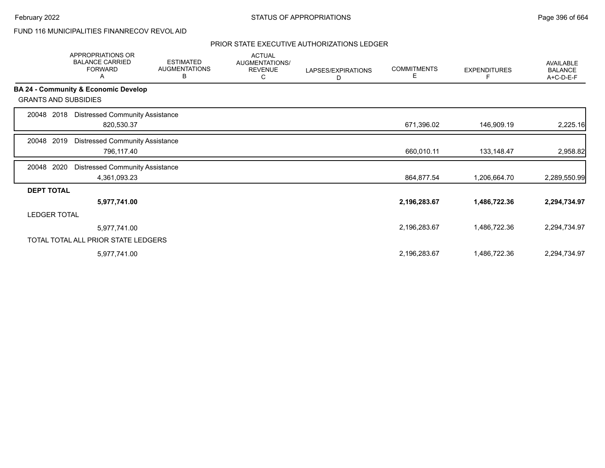# FUND 116 MUNICIPALITIES FINANRECOV REVOL AID

|                             | APPROPRIATIONS OR<br><b>BALANCE CARRIED</b><br><b>FORWARD</b><br>A | <b>ESTIMATED</b><br><b>AUGMENTATIONS</b><br>В | <b>ACTUAL</b><br>AUGMENTATIONS/<br><b>REVENUE</b><br>С | LAPSES/EXPIRATIONS<br>D | <b>COMMITMENTS</b><br>E | <b>EXPENDITURES</b> | <b>AVAILABLE</b><br><b>BALANCE</b><br>A+C-D-E-F |
|-----------------------------|--------------------------------------------------------------------|-----------------------------------------------|--------------------------------------------------------|-------------------------|-------------------------|---------------------|-------------------------------------------------|
|                             | BA 24 - Community & Economic Develop                               |                                               |                                                        |                         |                         |                     |                                                 |
| <b>GRANTS AND SUBSIDIES</b> |                                                                    |                                               |                                                        |                         |                         |                     |                                                 |
| 2018<br>20048               | <b>Distressed Community Assistance</b><br>820,530.37               |                                               |                                                        |                         | 671,396.02              | 146,909.19          | 2,225.16                                        |
| 2019<br>20048               | <b>Distressed Community Assistance</b><br>796,117.40               |                                               |                                                        |                         | 660,010.11              | 133,148.47          | 2,958.82                                        |
| 2020<br>20048               | <b>Distressed Community Assistance</b><br>4,361,093.23             |                                               |                                                        |                         | 864,877.54              | 1,206,664.70        | 2,289,550.99                                    |
| <b>DEPT TOTAL</b>           |                                                                    |                                               |                                                        |                         |                         |                     |                                                 |
|                             | 5,977,741.00                                                       |                                               |                                                        |                         | 2,196,283.67            | 1,486,722.36        | 2,294,734.97                                    |
| <b>LEDGER TOTAL</b>         |                                                                    |                                               |                                                        |                         |                         |                     |                                                 |
|                             | 5,977,741.00                                                       |                                               |                                                        |                         | 2,196,283.67            | 1,486,722.36        | 2,294,734.97                                    |
|                             | TOTAL TOTAL ALL PRIOR STATE LEDGERS                                |                                               |                                                        |                         |                         |                     |                                                 |
|                             | 5,977,741.00                                                       |                                               |                                                        |                         | 2,196,283.67            | 1,486,722.36        | 2,294,734.97                                    |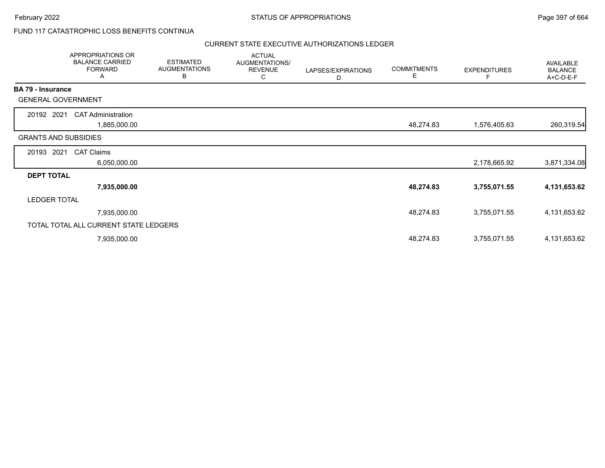## FUND 117 CATASTROPHIC LOSS BENEFITS CONTINUA

|                             | APPROPRIATIONS OR<br><b>BALANCE CARRIED</b><br><b>FORWARD</b><br>Α | <b>ESTIMATED</b><br><b>AUGMENTATIONS</b><br>В | <b>ACTUAL</b><br>AUGMENTATIONS/<br><b>REVENUE</b><br>C | LAPSES/EXPIRATIONS<br>D | <b>COMMITMENTS</b><br>E | <b>EXPENDITURES</b><br>F | <b>AVAILABLE</b><br><b>BALANCE</b><br>A+C-D-E-F |
|-----------------------------|--------------------------------------------------------------------|-----------------------------------------------|--------------------------------------------------------|-------------------------|-------------------------|--------------------------|-------------------------------------------------|
| <b>BA 79 - Insurance</b>    |                                                                    |                                               |                                                        |                         |                         |                          |                                                 |
| <b>GENERAL GOVERNMENT</b>   |                                                                    |                                               |                                                        |                         |                         |                          |                                                 |
| 20192 2021                  | <b>CAT Administration</b>                                          |                                               |                                                        |                         |                         |                          |                                                 |
|                             | 1,885,000.00                                                       |                                               |                                                        |                         | 48,274.83               | 1,576,405.63             | 260,319.54                                      |
| <b>GRANTS AND SUBSIDIES</b> |                                                                    |                                               |                                                        |                         |                         |                          |                                                 |
| 20193 2021                  | <b>CAT Claims</b>                                                  |                                               |                                                        |                         |                         |                          |                                                 |
|                             | 6,050,000.00                                                       |                                               |                                                        |                         |                         | 2,178,665.92             | 3,871,334.08                                    |
| <b>DEPT TOTAL</b>           |                                                                    |                                               |                                                        |                         |                         |                          |                                                 |
|                             | 7,935,000.00                                                       |                                               |                                                        |                         | 48,274.83               | 3,755,071.55             | 4,131,653.62                                    |
| <b>LEDGER TOTAL</b>         |                                                                    |                                               |                                                        |                         |                         |                          |                                                 |
|                             | 7,935,000.00                                                       |                                               |                                                        |                         | 48,274.83               | 3,755,071.55             | 4,131,653.62                                    |
|                             | TOTAL TOTAL ALL CURRENT STATE LEDGERS                              |                                               |                                                        |                         |                         |                          |                                                 |
|                             | 7,935,000.00                                                       |                                               |                                                        |                         | 48,274.83               | 3,755,071.55             | 4,131,653.62                                    |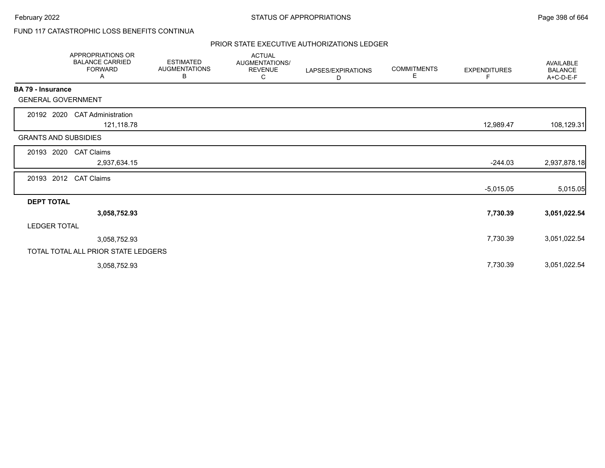# FUND 117 CATASTROPHIC LOSS BENEFITS CONTINUA

|                             | <b>APPROPRIATIONS OR</b><br><b>BALANCE CARRIED</b><br><b>FORWARD</b><br>Α | <b>ESTIMATED</b><br><b>AUGMENTATIONS</b><br>В | <b>ACTUAL</b><br>AUGMENTATIONS/<br><b>REVENUE</b><br>С | LAPSES/EXPIRATIONS<br>D | <b>COMMITMENTS</b><br>Е | <b>EXPENDITURES</b> | AVAILABLE<br><b>BALANCE</b><br>A+C-D-E-F |
|-----------------------------|---------------------------------------------------------------------------|-----------------------------------------------|--------------------------------------------------------|-------------------------|-------------------------|---------------------|------------------------------------------|
| <b>BA 79 - Insurance</b>    |                                                                           |                                               |                                                        |                         |                         |                     |                                          |
| <b>GENERAL GOVERNMENT</b>   |                                                                           |                                               |                                                        |                         |                         |                     |                                          |
| 20192 2020                  | <b>CAT Administration</b><br>121,118.78                                   |                                               |                                                        |                         |                         | 12,989.47           | 108,129.31                               |
| <b>GRANTS AND SUBSIDIES</b> |                                                                           |                                               |                                                        |                         |                         |                     |                                          |
| 20193 2020                  | <b>CAT Claims</b>                                                         |                                               |                                                        |                         |                         |                     |                                          |
|                             | 2,937,634.15                                                              |                                               |                                                        |                         |                         | $-244.03$           | 2,937,878.18                             |
| 20193 2012                  | <b>CAT Claims</b>                                                         |                                               |                                                        |                         |                         |                     |                                          |
|                             |                                                                           |                                               |                                                        |                         |                         | $-5,015.05$         | 5,015.05                                 |
| <b>DEPT TOTAL</b>           |                                                                           |                                               |                                                        |                         |                         |                     |                                          |
|                             | 3,058,752.93                                                              |                                               |                                                        |                         |                         | 7,730.39            | 3,051,022.54                             |
| <b>LEDGER TOTAL</b>         |                                                                           |                                               |                                                        |                         |                         |                     |                                          |
|                             | 3,058,752.93                                                              |                                               |                                                        |                         |                         | 7,730.39            | 3,051,022.54                             |
|                             | TOTAL TOTAL ALL PRIOR STATE LEDGERS                                       |                                               |                                                        |                         |                         |                     |                                          |
|                             | 3,058,752.93                                                              |                                               |                                                        |                         |                         | 7,730.39            | 3,051,022.54                             |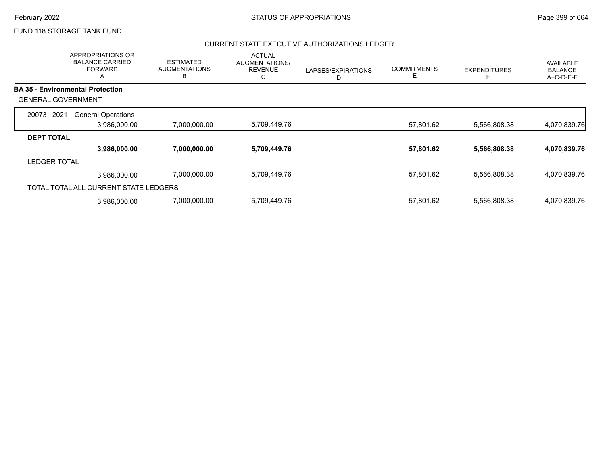## FUND 118 STORAGE TANK FUND

|                           | APPROPRIATIONS OR<br><b>BALANCE CARRIED</b><br><b>FORWARD</b><br>A | <b>ESTIMATED</b><br><b>AUGMENTATIONS</b><br>B | <b>ACTUAL</b><br>AUGMENTATIONS/<br><b>REVENUE</b><br>С | LAPSES/EXPIRATIONS<br>D | <b>COMMITMENTS</b><br>Ε | <b>EXPENDITURES</b> | AVAILABLE<br><b>BALANCE</b><br>A+C-D-E-F |
|---------------------------|--------------------------------------------------------------------|-----------------------------------------------|--------------------------------------------------------|-------------------------|-------------------------|---------------------|------------------------------------------|
|                           | <b>BA 35 - Environmental Protection</b>                            |                                               |                                                        |                         |                         |                     |                                          |
| <b>GENERAL GOVERNMENT</b> |                                                                    |                                               |                                                        |                         |                         |                     |                                          |
| 20073 2021                | <b>General Operations</b>                                          |                                               |                                                        |                         |                         |                     |                                          |
|                           | 3,986,000.00                                                       | 7,000,000.00                                  | 5,709,449.76                                           |                         | 57,801.62               | 5,566,808.38        | 4,070,839.76                             |
| <b>DEPT TOTAL</b>         |                                                                    |                                               |                                                        |                         |                         |                     |                                          |
|                           | 3,986,000.00                                                       | 7,000,000.00                                  | 5,709,449.76                                           |                         | 57,801.62               | 5,566,808.38        | 4,070,839.76                             |
| <b>LEDGER TOTAL</b>       |                                                                    |                                               |                                                        |                         |                         |                     |                                          |
|                           | 3.986.000.00                                                       | 7,000,000.00                                  | 5,709,449.76                                           |                         | 57,801.62               | 5,566,808.38        | 4,070,839.76                             |
|                           | TOTAL TOTAL ALL CURRENT STATE LEDGERS                              |                                               |                                                        |                         |                         |                     |                                          |
|                           | 3.986.000.00                                                       | 7,000,000.00                                  | 5,709,449.76                                           |                         | 57,801.62               | 5,566,808.38        | 4,070,839.76                             |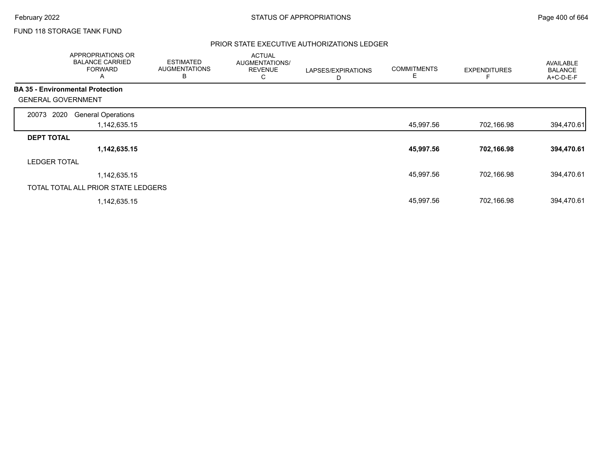# FUND 118 STORAGE TANK FUND

|                                         | <b>APPROPRIATIONS OR</b><br><b>BALANCE CARRIED</b><br><b>FORWARD</b><br>A | <b>ESTIMATED</b><br><b>AUGMENTATIONS</b><br>в | <b>ACTUAL</b><br>AUGMENTATIONS/<br><b>REVENUE</b><br>С | LAPSES/EXPIRATIONS<br>D | <b>COMMITMENTS</b><br>E | <b>EXPENDITURES</b> | AVAILABLE<br><b>BALANCE</b><br>A+C-D-E-F |
|-----------------------------------------|---------------------------------------------------------------------------|-----------------------------------------------|--------------------------------------------------------|-------------------------|-------------------------|---------------------|------------------------------------------|
| <b>BA 35 - Environmental Protection</b> |                                                                           |                                               |                                                        |                         |                         |                     |                                          |
| <b>GENERAL GOVERNMENT</b>               |                                                                           |                                               |                                                        |                         |                         |                     |                                          |
| 2020<br>20073                           | <b>General Operations</b>                                                 |                                               |                                                        |                         |                         |                     |                                          |
|                                         | 1,142,635.15                                                              |                                               |                                                        |                         | 45,997.56               | 702,166.98          | 394,470.61                               |
| <b>DEPT TOTAL</b>                       |                                                                           |                                               |                                                        |                         |                         |                     |                                          |
|                                         | 1,142,635.15                                                              |                                               |                                                        |                         | 45,997.56               | 702,166.98          | 394,470.61                               |
| <b>LEDGER TOTAL</b>                     |                                                                           |                                               |                                                        |                         |                         |                     |                                          |
|                                         | 1,142,635.15                                                              |                                               |                                                        |                         | 45,997.56               | 702,166.98          | 394,470.61                               |
|                                         | TOTAL TOTAL ALL PRIOR STATE LEDGERS                                       |                                               |                                                        |                         |                         |                     |                                          |
|                                         | 1,142,635.15                                                              |                                               |                                                        |                         | 45,997.56               | 702,166.98          | 394,470.61                               |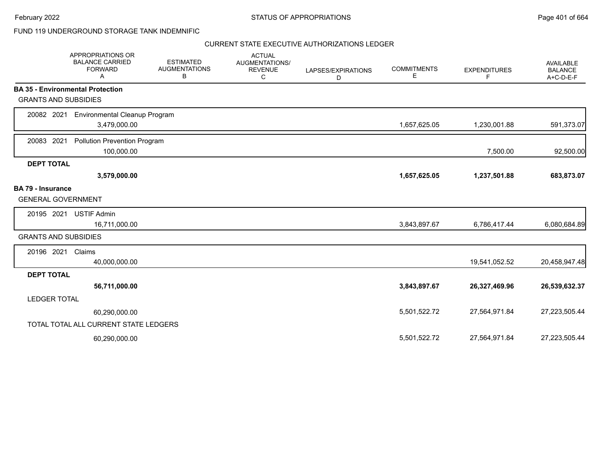### FUND 119 UNDERGROUND STORAGE TANK INDEMNIFIC

|                             | APPROPRIATIONS OR<br><b>BALANCE CARRIED</b><br><b>FORWARD</b><br>A | <b>ESTIMATED</b><br><b>AUGMENTATIONS</b><br>B | <b>ACTUAL</b><br>AUGMENTATIONS/<br><b>REVENUE</b><br>С | LAPSES/EXPIRATIONS<br>D | <b>COMMITMENTS</b><br>Е | <b>EXPENDITURES</b><br>F | <b>AVAILABLE</b><br><b>BALANCE</b><br>A+C-D-E-F |
|-----------------------------|--------------------------------------------------------------------|-----------------------------------------------|--------------------------------------------------------|-------------------------|-------------------------|--------------------------|-------------------------------------------------|
|                             | <b>BA 35 - Environmental Protection</b>                            |                                               |                                                        |                         |                         |                          |                                                 |
| <b>GRANTS AND SUBSIDIES</b> |                                                                    |                                               |                                                        |                         |                         |                          |                                                 |
| 20082 2021                  | <b>Environmental Cleanup Program</b>                               |                                               |                                                        |                         |                         |                          |                                                 |
|                             | 3,479,000.00                                                       |                                               |                                                        |                         | 1,657,625.05            | 1,230,001.88             | 591,373.07                                      |
| 20083 2021                  | <b>Pollution Prevention Program</b>                                |                                               |                                                        |                         |                         |                          |                                                 |
|                             | 100,000.00                                                         |                                               |                                                        |                         |                         | 7,500.00                 | 92,500.00                                       |
| <b>DEPT TOTAL</b>           |                                                                    |                                               |                                                        |                         |                         |                          |                                                 |
|                             | 3,579,000.00                                                       |                                               |                                                        |                         | 1,657,625.05            | 1,237,501.88             | 683,873.07                                      |
| <b>BA 79 - Insurance</b>    |                                                                    |                                               |                                                        |                         |                         |                          |                                                 |
| <b>GENERAL GOVERNMENT</b>   |                                                                    |                                               |                                                        |                         |                         |                          |                                                 |
| 20195 2021                  | <b>USTIF Admin</b>                                                 |                                               |                                                        |                         |                         |                          |                                                 |
|                             | 16,711,000.00                                                      |                                               |                                                        |                         | 3,843,897.67            | 6,786,417.44             | 6,080,684.89                                    |
| <b>GRANTS AND SUBSIDIES</b> |                                                                    |                                               |                                                        |                         |                         |                          |                                                 |
| 20196 2021                  | Claims                                                             |                                               |                                                        |                         |                         |                          |                                                 |
|                             | 40,000,000.00                                                      |                                               |                                                        |                         |                         | 19,541,052.52            | 20,458,947.48                                   |
| <b>DEPT TOTAL</b>           |                                                                    |                                               |                                                        |                         |                         |                          |                                                 |
|                             | 56,711,000.00                                                      |                                               |                                                        |                         | 3,843,897.67            | 26,327,469.96            | 26,539,632.37                                   |
| <b>LEDGER TOTAL</b>         |                                                                    |                                               |                                                        |                         |                         |                          |                                                 |
|                             | 60,290,000.00                                                      |                                               |                                                        |                         | 5,501,522.72            | 27,564,971.84            | 27,223,505.44                                   |
|                             | TOTAL TOTAL ALL CURRENT STATE LEDGERS                              |                                               |                                                        |                         |                         |                          |                                                 |
|                             | 60,290,000.00                                                      |                                               |                                                        |                         | 5,501,522.72            | 27,564,971.84            | 27,223,505.44                                   |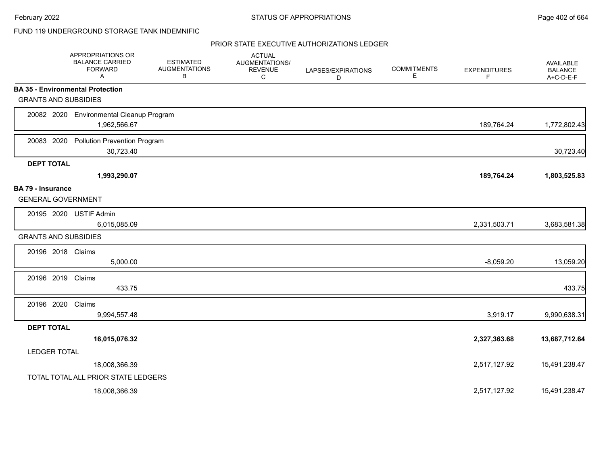### FUND 119 UNDERGROUND STORAGE TANK INDEMNIFIC

|                                                       | APPROPRIATIONS OR<br><b>BALANCE CARRIED</b><br><b>FORWARD</b><br>A | <b>ESTIMATED</b><br><b>AUGMENTATIONS</b><br>В | <b>ACTUAL</b><br>AUGMENTATIONS/<br><b>REVENUE</b><br>С | LAPSES/EXPIRATIONS<br>D | <b>COMMITMENTS</b><br>Е | <b>EXPENDITURES</b><br>F | AVAILABLE<br><b>BALANCE</b><br>A+C-D-E-F |
|-------------------------------------------------------|--------------------------------------------------------------------|-----------------------------------------------|--------------------------------------------------------|-------------------------|-------------------------|--------------------------|------------------------------------------|
|                                                       | <b>BA 35 - Environmental Protection</b>                            |                                               |                                                        |                         |                         |                          |                                          |
| <b>GRANTS AND SUBSIDIES</b>                           |                                                                    |                                               |                                                        |                         |                         |                          |                                          |
|                                                       | 20082 2020 Environmental Cleanup Program<br>1,962,566.67           |                                               |                                                        |                         |                         | 189,764.24               | 1,772,802.43                             |
| 20083 2020                                            | <b>Pollution Prevention Program</b><br>30,723.40                   |                                               |                                                        |                         |                         |                          | 30,723.40                                |
| <b>DEPT TOTAL</b>                                     |                                                                    |                                               |                                                        |                         |                         |                          |                                          |
|                                                       | 1,993,290.07                                                       |                                               |                                                        |                         |                         | 189,764.24               | 1,803,525.83                             |
| <b>BA 79 - Insurance</b><br><b>GENERAL GOVERNMENT</b> |                                                                    |                                               |                                                        |                         |                         |                          |                                          |
|                                                       | 20195 2020 USTIF Admin<br>6,015,085.09                             |                                               |                                                        |                         |                         | 2,331,503.71             | 3,683,581.38                             |
| <b>GRANTS AND SUBSIDIES</b>                           |                                                                    |                                               |                                                        |                         |                         |                          |                                          |
| 20196 2018 Claims                                     | 5,000.00                                                           |                                               |                                                        |                         |                         | $-8,059.20$              | 13,059.20                                |
| 20196 2019                                            | Claims<br>433.75                                                   |                                               |                                                        |                         |                         |                          | 433.75                                   |
| 20196 2020 Claims                                     | 9,994,557.48                                                       |                                               |                                                        |                         |                         | 3,919.17                 | 9,990,638.31                             |
| <b>DEPT TOTAL</b>                                     |                                                                    |                                               |                                                        |                         |                         |                          |                                          |
|                                                       | 16,015,076.32                                                      |                                               |                                                        |                         |                         | 2,327,363.68             | 13,687,712.64                            |
| <b>LEDGER TOTAL</b>                                   |                                                                    |                                               |                                                        |                         |                         |                          |                                          |
|                                                       | 18,008,366.39                                                      |                                               |                                                        |                         |                         | 2,517,127.92             | 15,491,238.47                            |
|                                                       | TOTAL TOTAL ALL PRIOR STATE LEDGERS                                |                                               |                                                        |                         |                         |                          |                                          |
|                                                       | 18,008,366.39                                                      |                                               |                                                        |                         |                         | 2,517,127.92             | 15,491,238.47                            |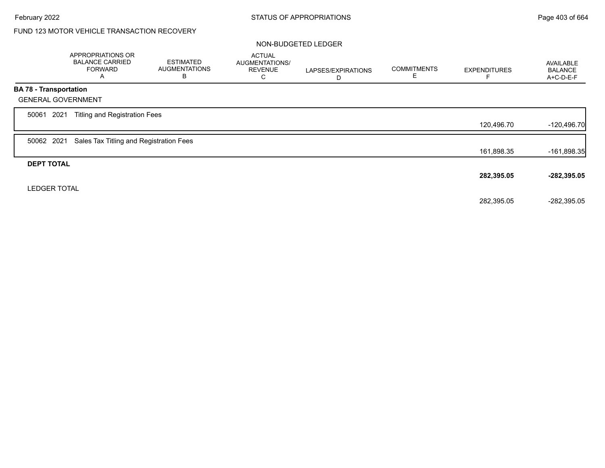# FUND 123 MOTOR VEHICLE TRANSACTION RECOVERY

#### NON-BUDGETED LEDGER

|                               | APPROPRIATIONS OR<br><b>BALANCE CARRIED</b><br><b>FORWARD</b><br>A | <b>ESTIMATED</b><br><b>AUGMENTATIONS</b><br>В | <b>ACTUAL</b><br><b>AUGMENTATIONS/</b><br><b>REVENUE</b><br>С | LAPSES/EXPIRATIONS<br>D | <b>COMMITMENTS</b><br>E. | <b>EXPENDITURES</b> | AVAILABLE<br><b>BALANCE</b><br>A+C-D-E-F |
|-------------------------------|--------------------------------------------------------------------|-----------------------------------------------|---------------------------------------------------------------|-------------------------|--------------------------|---------------------|------------------------------------------|
| <b>BA 78 - Transportation</b> |                                                                    |                                               |                                                               |                         |                          |                     |                                          |
|                               | <b>GENERAL GOVERNMENT</b>                                          |                                               |                                                               |                         |                          |                     |                                          |
| 2021<br>50061                 | <b>Titling and Registration Fees</b>                               |                                               |                                                               |                         |                          |                     |                                          |
|                               |                                                                    |                                               |                                                               |                         |                          | 120,496.70          | $-120,496.70$                            |
| 50062 2021                    | Sales Tax Titling and Registration Fees                            |                                               |                                                               |                         |                          |                     |                                          |
|                               |                                                                    |                                               |                                                               |                         |                          | 161,898.35          | -161,898.35                              |
| <b>DEPT TOTAL</b>             |                                                                    |                                               |                                                               |                         |                          |                     |                                          |
|                               |                                                                    |                                               |                                                               |                         |                          | 282,395.05          | $-282,395.05$                            |
| <b>LEDGER TOTAL</b>           |                                                                    |                                               |                                                               |                         |                          |                     |                                          |
|                               |                                                                    |                                               |                                                               |                         |                          | 282,395.05          | $-282,395.05$                            |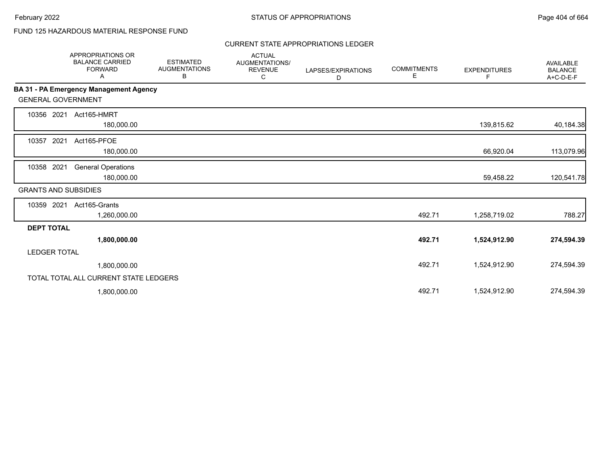# FUND 125 HAZARDOUS MATERIAL RESPONSE FUND

#### CURRENT STATE APPROPRIATIONS LEDGER

|                             | <b>APPROPRIATIONS OR</b><br><b>BALANCE CARRIED</b><br><b>FORWARD</b><br>Α | <b>ESTIMATED</b><br><b>AUGMENTATIONS</b><br>В | <b>ACTUAL</b><br><b>AUGMENTATIONS/</b><br><b>REVENUE</b><br>С | LAPSES/EXPIRATIONS<br>D | <b>COMMITMENTS</b><br>Е | <b>EXPENDITURES</b><br>F. | <b>AVAILABLE</b><br><b>BALANCE</b><br>A+C-D-E-F |
|-----------------------------|---------------------------------------------------------------------------|-----------------------------------------------|---------------------------------------------------------------|-------------------------|-------------------------|---------------------------|-------------------------------------------------|
|                             | <b>BA 31 - PA Emergency Management Agency</b>                             |                                               |                                                               |                         |                         |                           |                                                 |
| <b>GENERAL GOVERNMENT</b>   |                                                                           |                                               |                                                               |                         |                         |                           |                                                 |
| 10356 2021                  | Act165-HMRT<br>180,000.00                                                 |                                               |                                                               |                         |                         | 139,815.62                | 40,184.38                                       |
| 10357<br>2021               | Act165-PFOE<br>180,000.00                                                 |                                               |                                                               |                         |                         | 66,920.04                 | 113,079.96                                      |
| 10358 2021                  | <b>General Operations</b><br>180,000.00                                   |                                               |                                                               |                         |                         | 59,458.22                 | 120,541.78                                      |
| <b>GRANTS AND SUBSIDIES</b> |                                                                           |                                               |                                                               |                         |                         |                           |                                                 |
| 10359 2021                  | Act165-Grants<br>1,260,000.00                                             |                                               |                                                               |                         | 492.71                  | 1,258,719.02              | 788.27                                          |
| <b>DEPT TOTAL</b>           |                                                                           |                                               |                                                               |                         |                         |                           |                                                 |
|                             | 1,800,000.00                                                              |                                               |                                                               |                         | 492.71                  | 1,524,912.90              | 274,594.39                                      |
| <b>LEDGER TOTAL</b>         |                                                                           |                                               |                                                               |                         |                         |                           |                                                 |
|                             | 1,800,000.00                                                              |                                               |                                                               |                         | 492.71                  | 1,524,912.90              | 274,594.39                                      |
|                             | TOTAL TOTAL ALL CURRENT STATE LEDGERS                                     |                                               |                                                               |                         |                         |                           |                                                 |
|                             | 1,800,000.00                                                              |                                               |                                                               |                         | 492.71                  | 1,524,912.90              | 274,594.39                                      |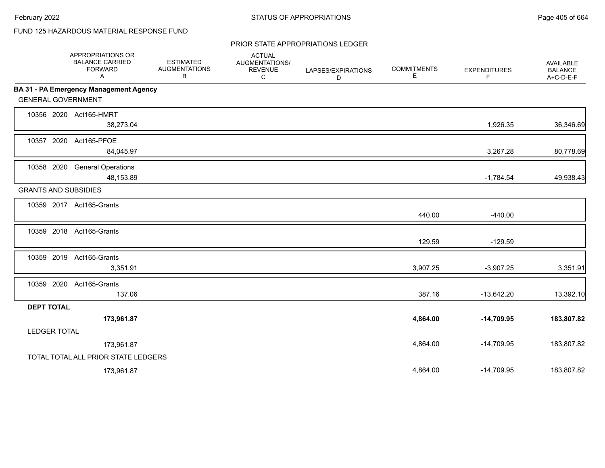# FUND 125 HAZARDOUS MATERIAL RESPONSE FUND

#### PRIOR STATE APPROPRIATIONS LEDGER

|                     | APPROPRIATIONS OR<br><b>BALANCE CARRIED</b><br><b>FORWARD</b><br>Α | <b>ESTIMATED</b><br><b>AUGMENTATIONS</b><br>В | <b>ACTUAL</b><br>AUGMENTATIONS/<br><b>REVENUE</b><br>C | LAPSES/EXPIRATIONS<br>D | <b>COMMITMENTS</b><br>Е | <b>EXPENDITURES</b><br>F | <b>AVAILABLE</b><br><b>BALANCE</b><br>$A+C-D-E-F$ |
|---------------------|--------------------------------------------------------------------|-----------------------------------------------|--------------------------------------------------------|-------------------------|-------------------------|--------------------------|---------------------------------------------------|
|                     | <b>BA 31 - PA Emergency Management Agency</b>                      |                                               |                                                        |                         |                         |                          |                                                   |
|                     | <b>GENERAL GOVERNMENT</b>                                          |                                               |                                                        |                         |                         |                          |                                                   |
|                     | 10356 2020 Act165-HMRT                                             |                                               |                                                        |                         |                         |                          |                                                   |
|                     | 38,273.04                                                          |                                               |                                                        |                         |                         | 1,926.35                 | 36,346.69                                         |
|                     | 10357 2020 Act165-PFOE                                             |                                               |                                                        |                         |                         |                          |                                                   |
|                     | 84,045.97                                                          |                                               |                                                        |                         |                         | 3,267.28                 | 80,778.69                                         |
|                     | 10358 2020 General Operations                                      |                                               |                                                        |                         |                         |                          |                                                   |
|                     | 48,153.89                                                          |                                               |                                                        |                         |                         | $-1,784.54$              | 49,938.43                                         |
|                     | <b>GRANTS AND SUBSIDIES</b>                                        |                                               |                                                        |                         |                         |                          |                                                   |
|                     | 10359 2017 Act165-Grants                                           |                                               |                                                        |                         |                         |                          |                                                   |
|                     |                                                                    |                                               |                                                        |                         | 440.00                  | $-440.00$                |                                                   |
|                     | 10359 2018 Act165-Grants                                           |                                               |                                                        |                         |                         |                          |                                                   |
|                     |                                                                    |                                               |                                                        |                         | 129.59                  | $-129.59$                |                                                   |
|                     | 10359 2019 Act165-Grants                                           |                                               |                                                        |                         |                         |                          |                                                   |
|                     | 3,351.91                                                           |                                               |                                                        |                         | 3,907.25                | $-3,907.25$              | 3,351.91                                          |
|                     | 10359 2020 Act165-Grants                                           |                                               |                                                        |                         |                         |                          |                                                   |
|                     | 137.06                                                             |                                               |                                                        |                         | 387.16                  | $-13,642.20$             | 13,392.10                                         |
| <b>DEPT TOTAL</b>   |                                                                    |                                               |                                                        |                         |                         |                          |                                                   |
|                     | 173,961.87                                                         |                                               |                                                        |                         | 4,864.00                | $-14,709.95$             | 183,807.82                                        |
| <b>LEDGER TOTAL</b> |                                                                    |                                               |                                                        |                         |                         |                          |                                                   |
|                     | 173,961.87                                                         |                                               |                                                        |                         | 4,864.00                | $-14,709.95$             | 183,807.82                                        |
|                     | TOTAL TOTAL ALL PRIOR STATE LEDGERS                                |                                               |                                                        |                         |                         |                          |                                                   |
|                     | 173,961.87                                                         |                                               |                                                        |                         | 4,864.00                | $-14,709.95$             | 183,807.82                                        |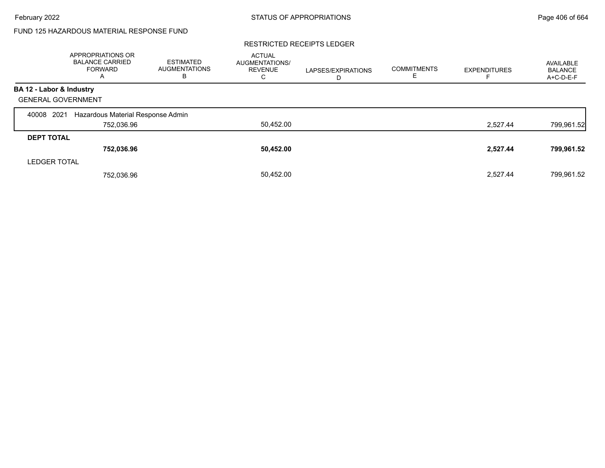# FUND 125 HAZARDOUS MATERIAL RESPONSE FUND

#### RESTRICTED RECEIPTS LEDGER

|                           | <b>APPROPRIATIONS OR</b><br><b>BALANCE CARRIED</b><br><b>FORWARD</b><br>A | <b>ESTIMATED</b><br>AUGMENTATIONS<br>в | <b>ACTUAL</b><br><b>AUGMENTATIONS/</b><br><b>REVENUE</b><br>С | LAPSES/EXPIRATIONS<br>D | <b>COMMITMENTS</b><br>ᄂ | <b>EXPENDITURES</b> | AVAILABLE<br><b>BALANCE</b><br>A+C-D-E-F |
|---------------------------|---------------------------------------------------------------------------|----------------------------------------|---------------------------------------------------------------|-------------------------|-------------------------|---------------------|------------------------------------------|
| BA 12 - Labor & Industry  |                                                                           |                                        |                                                               |                         |                         |                     |                                          |
| <b>GENERAL GOVERNMENT</b> |                                                                           |                                        |                                                               |                         |                         |                     |                                          |
| 2021<br>40008             | Hazardous Material Response Admin                                         |                                        |                                                               |                         |                         |                     |                                          |
|                           | 752,036.96                                                                |                                        | 50,452.00                                                     |                         |                         | 2,527.44            | 799,961.52                               |
| <b>DEPT TOTAL</b>         |                                                                           |                                        |                                                               |                         |                         |                     |                                          |
|                           | 752,036.96                                                                |                                        | 50,452.00                                                     |                         |                         | 2,527.44            | 799,961.52                               |
| <b>LEDGER TOTAL</b>       |                                                                           |                                        |                                                               |                         |                         |                     |                                          |
|                           | 752.036.96                                                                |                                        | 50,452.00                                                     |                         |                         | 2.527.44            | 799.961.52                               |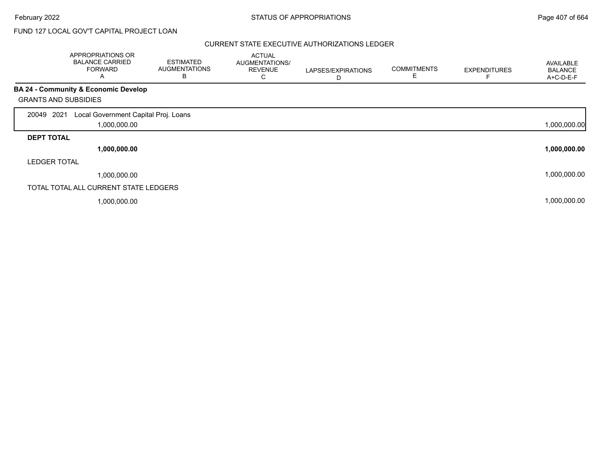# FUND 127 LOCAL GOV'T CAPITAL PROJECT LOAN

|                             | APPROPRIATIONS OR<br><b>BALANCE CARRIED</b><br><b>FORWARD</b><br>A | <b>ESTIMATED</b><br><b>AUGMENTATIONS</b><br>в | <b>ACTUAL</b><br>AUGMENTATIONS/<br><b>REVENUE</b><br>С | LAPSES/EXPIRATIONS<br>D | <b>COMMITMENTS</b><br>Е | <b>EXPENDITURES</b> | AVAILABLE<br><b>BALANCE</b><br>A+C-D-E-F |
|-----------------------------|--------------------------------------------------------------------|-----------------------------------------------|--------------------------------------------------------|-------------------------|-------------------------|---------------------|------------------------------------------|
|                             | BA 24 - Community & Economic Develop                               |                                               |                                                        |                         |                         |                     |                                          |
| <b>GRANTS AND SUBSIDIES</b> |                                                                    |                                               |                                                        |                         |                         |                     |                                          |
| 2021<br>20049               | Local Government Capital Proj. Loans                               |                                               |                                                        |                         |                         |                     |                                          |
|                             | 1,000,000.00                                                       |                                               |                                                        |                         |                         |                     | 1,000,000.00                             |
| <b>DEPT TOTAL</b>           |                                                                    |                                               |                                                        |                         |                         |                     |                                          |
|                             | 1,000,000.00                                                       |                                               |                                                        |                         |                         |                     | 1,000,000.00                             |
| <b>LEDGER TOTAL</b>         |                                                                    |                                               |                                                        |                         |                         |                     |                                          |
|                             | 1,000,000.00                                                       |                                               |                                                        |                         |                         |                     | 1,000,000.00                             |
|                             | TOTAL TOTAL ALL CURRENT STATE LEDGERS                              |                                               |                                                        |                         |                         |                     |                                          |
|                             | 1,000,000.00                                                       |                                               |                                                        |                         |                         |                     | 1,000,000.00                             |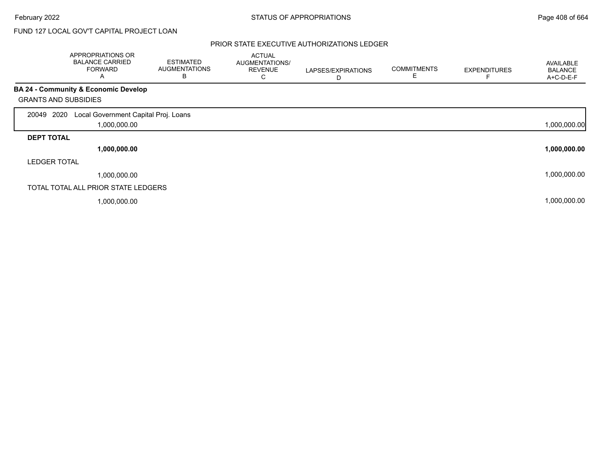# FUND 127 LOCAL GOV'T CAPITAL PROJECT LOAN

|                             | APPROPRIATIONS OR<br><b>BALANCE CARRIED</b><br><b>FORWARD</b><br>A | <b>ESTIMATED</b><br><b>AUGMENTATIONS</b><br>в | <b>ACTUAL</b><br>AUGMENTATIONS/<br><b>REVENUE</b><br>C | LAPSES/EXPIRATIONS<br>D | <b>COMMITMENTS</b><br>Е | <b>EXPENDITURES</b> | AVAILABLE<br><b>BALANCE</b><br>A+C-D-E-F |
|-----------------------------|--------------------------------------------------------------------|-----------------------------------------------|--------------------------------------------------------|-------------------------|-------------------------|---------------------|------------------------------------------|
|                             | BA 24 - Community & Economic Develop                               |                                               |                                                        |                         |                         |                     |                                          |
| <b>GRANTS AND SUBSIDIES</b> |                                                                    |                                               |                                                        |                         |                         |                     |                                          |
| 2020<br>20049               | Local Government Capital Proj. Loans                               |                                               |                                                        |                         |                         |                     |                                          |
|                             | 1,000,000.00                                                       |                                               |                                                        |                         |                         |                     | 1,000,000.00                             |
| <b>DEPT TOTAL</b>           |                                                                    |                                               |                                                        |                         |                         |                     |                                          |
|                             | 1,000,000.00                                                       |                                               |                                                        |                         |                         |                     | 1,000,000.00                             |
| <b>LEDGER TOTAL</b>         |                                                                    |                                               |                                                        |                         |                         |                     |                                          |
|                             | 1,000,000.00                                                       |                                               |                                                        |                         |                         |                     | 1,000,000.00                             |
|                             | TOTAL TOTAL ALL PRIOR STATE LEDGERS                                |                                               |                                                        |                         |                         |                     |                                          |
|                             | 1,000,000.00                                                       |                                               |                                                        |                         |                         |                     | 1,000,000.00                             |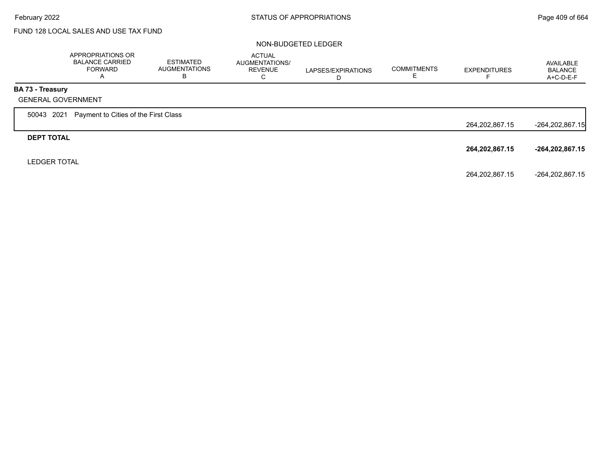# FUND 128 LOCAL SALES AND USE TAX FUND

#### NON-BUDGETED LEDGER

|                         | APPROPRIATIONS OR<br><b>BALANCE CARRIED</b><br><b>FORWARD</b><br>A | <b>ESTIMATED</b><br><b>AUGMENTATIONS</b><br>В | <b>ACTUAL</b><br>AUGMENTATIONS/<br><b>REVENUE</b><br>C | LAPSES/EXPIRATIONS<br>D | <b>COMMITMENTS</b> | <b>EXPENDITURES</b><br>− | AVAILABLE<br><b>BALANCE</b><br>$A+C-D-E-F$ |
|-------------------------|--------------------------------------------------------------------|-----------------------------------------------|--------------------------------------------------------|-------------------------|--------------------|--------------------------|--------------------------------------------|
| <b>BA 73 - Treasury</b> |                                                                    |                                               |                                                        |                         |                    |                          |                                            |
|                         | <b>GENERAL GOVERNMENT</b>                                          |                                               |                                                        |                         |                    |                          |                                            |
| 50043 2021              | Payment to Cities of the First Class                               |                                               |                                                        |                         |                    |                          |                                            |
|                         |                                                                    |                                               |                                                        |                         |                    | 264,202,867.15           | -264,202,867.15                            |
| <b>DEPT TOTAL</b>       |                                                                    |                                               |                                                        |                         |                    |                          |                                            |
|                         |                                                                    |                                               |                                                        |                         |                    | 264,202,867.15           | $-264, 202, 867.15$                        |
| <b>LEDGER TOTAL</b>     |                                                                    |                                               |                                                        |                         |                    |                          |                                            |
|                         |                                                                    |                                               |                                                        |                         |                    | 264,202,867.15           | -264,202,867.15                            |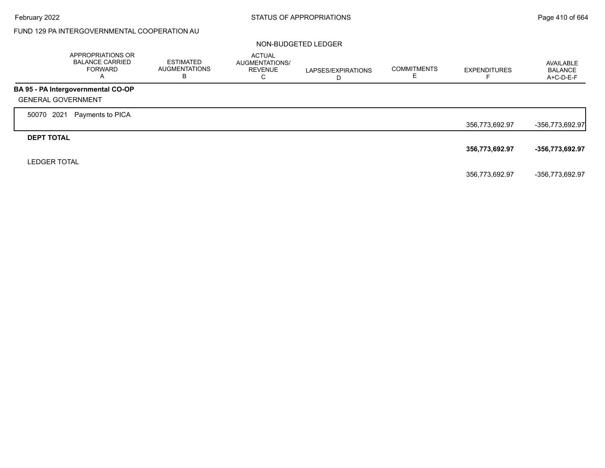# FUND 129 PA INTERGOVERNMENTAL COOPERATION AU

#### NON-BUDGETED LEDGER

|                           | APPROPRIATIONS OR<br><b>BALANCE CARRIED</b><br><b>FORWARD</b><br>A | <b>ESTIMATED</b><br>AUGMENTATIONS<br>В | <b>ACTUAL</b><br>AUGMENTATIONS/<br><b>REVENUE</b><br>С | LAPSES/EXPIRATIONS<br>D | <b>COMMITMENTS</b><br>⊏ | <b>EXPENDITURES</b> | AVAILABLE<br><b>BALANCE</b><br>A+C-D-E-F |
|---------------------------|--------------------------------------------------------------------|----------------------------------------|--------------------------------------------------------|-------------------------|-------------------------|---------------------|------------------------------------------|
|                           | BA 95 - PA Intergovernmental CO-OP                                 |                                        |                                                        |                         |                         |                     |                                          |
| <b>GENERAL GOVERNMENT</b> |                                                                    |                                        |                                                        |                         |                         |                     |                                          |
| 2021<br>50070             | Payments to PICA                                                   |                                        |                                                        |                         |                         |                     |                                          |
|                           |                                                                    |                                        |                                                        |                         |                         | 356,773,692.97      | $-356,773,692.97$                        |
| <b>DEPT TOTAL</b>         |                                                                    |                                        |                                                        |                         |                         |                     |                                          |
|                           |                                                                    |                                        |                                                        |                         |                         | 356,773,692.97      | -356,773,692.97                          |
| <b>LEDGER TOTAL</b>       |                                                                    |                                        |                                                        |                         |                         |                     |                                          |
|                           |                                                                    |                                        |                                                        |                         |                         | 356,773,692.97      | -356,773,692.97                          |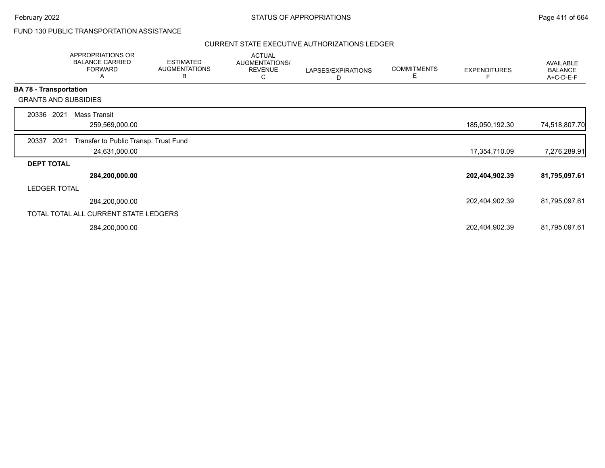### FUND 130 PUBLIC TRANSPORTATION ASSISTANCE

|                               |                     | APPROPRIATIONS OR<br><b>BALANCE CARRIED</b><br><b>FORWARD</b><br>Α | <b>ESTIMATED</b><br><b>AUGMENTATIONS</b><br>B | <b>ACTUAL</b><br>AUGMENTATIONS/<br><b>REVENUE</b><br>С | LAPSES/EXPIRATIONS<br>D | <b>COMMITMENTS</b><br>Е | <b>EXPENDITURES</b> | AVAILABLE<br><b>BALANCE</b><br>A+C-D-E-F |
|-------------------------------|---------------------|--------------------------------------------------------------------|-----------------------------------------------|--------------------------------------------------------|-------------------------|-------------------------|---------------------|------------------------------------------|
| <b>BA 78 - Transportation</b> |                     |                                                                    |                                               |                                                        |                         |                         |                     |                                          |
| <b>GRANTS AND SUBSIDIES</b>   |                     |                                                                    |                                               |                                                        |                         |                         |                     |                                          |
| 20336                         | 2021                | <b>Mass Transit</b>                                                |                                               |                                                        |                         |                         |                     |                                          |
|                               |                     | 259,569,000.00                                                     |                                               |                                                        |                         |                         | 185,050,192.30      | 74,518,807.70                            |
| 20337                         | 2021                | Transfer to Public Transp. Trust Fund                              |                                               |                                                        |                         |                         |                     |                                          |
|                               |                     | 24,631,000.00                                                      |                                               |                                                        |                         |                         | 17,354,710.09       | 7,276,289.91                             |
| <b>DEPT TOTAL</b>             |                     |                                                                    |                                               |                                                        |                         |                         |                     |                                          |
|                               |                     | 284,200,000.00                                                     |                                               |                                                        |                         |                         | 202,404,902.39      | 81,795,097.61                            |
|                               | <b>LEDGER TOTAL</b> |                                                                    |                                               |                                                        |                         |                         |                     |                                          |
|                               |                     | 284,200,000.00                                                     |                                               |                                                        |                         |                         | 202,404,902.39      | 81,795,097.61                            |
|                               |                     | TOTAL TOTAL ALL CURRENT STATE LEDGERS                              |                                               |                                                        |                         |                         |                     |                                          |
|                               |                     | 284,200,000.00                                                     |                                               |                                                        |                         |                         | 202,404,902.39      | 81,795,097.61                            |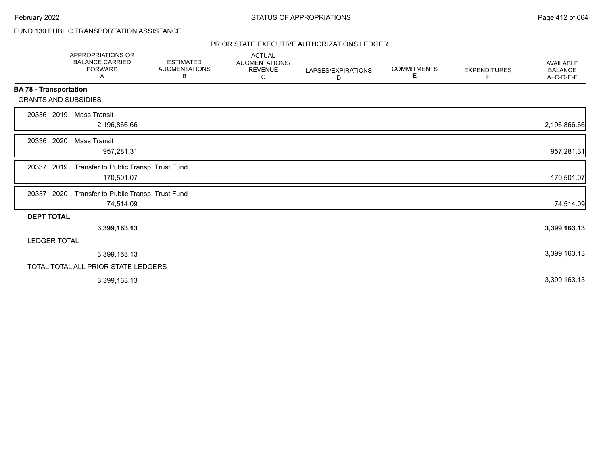# FUND 130 PUBLIC TRANSPORTATION ASSISTANCE

|                               | APPROPRIATIONS OR<br><b>BALANCE CARRIED</b><br><b>FORWARD</b><br>Α | <b>ESTIMATED</b><br><b>AUGMENTATIONS</b><br>В | <b>ACTUAL</b><br><b>AUGMENTATIONS/</b><br><b>REVENUE</b><br>С | LAPSES/EXPIRATIONS<br>D | <b>COMMITMENTS</b><br>Е | <b>EXPENDITURES</b><br>F | <b>AVAILABLE</b><br><b>BALANCE</b><br>A+C-D-E-F |
|-------------------------------|--------------------------------------------------------------------|-----------------------------------------------|---------------------------------------------------------------|-------------------------|-------------------------|--------------------------|-------------------------------------------------|
| <b>BA 78 - Transportation</b> |                                                                    |                                               |                                                               |                         |                         |                          |                                                 |
|                               | <b>GRANTS AND SUBSIDIES</b>                                        |                                               |                                                               |                         |                         |                          |                                                 |
| 20336 2019                    | Mass Transit<br>2,196,866.66                                       |                                               |                                                               |                         |                         |                          | 2,196,866.66                                    |
| 20336 2020                    | Mass Transit<br>957,281.31                                         |                                               |                                                               |                         |                         |                          | 957,281.31                                      |
| 20337                         | 2019<br>Transfer to Public Transp. Trust Fund<br>170,501.07        |                                               |                                                               |                         |                         |                          | 170,501.07                                      |
| 20337 2020                    | Transfer to Public Transp. Trust Fund<br>74,514.09                 |                                               |                                                               |                         |                         |                          | 74,514.09                                       |
| <b>DEPT TOTAL</b>             |                                                                    |                                               |                                                               |                         |                         |                          |                                                 |
|                               | 3,399,163.13                                                       |                                               |                                                               |                         |                         |                          | 3,399,163.13                                    |
| <b>LEDGER TOTAL</b>           |                                                                    |                                               |                                                               |                         |                         |                          |                                                 |
|                               | 3,399,163.13                                                       |                                               |                                                               |                         |                         |                          | 3,399,163.13                                    |
|                               | TOTAL TOTAL ALL PRIOR STATE LEDGERS                                |                                               |                                                               |                         |                         |                          |                                                 |
|                               | 3,399,163.13                                                       |                                               |                                                               |                         |                         |                          | 3,399,163.13                                    |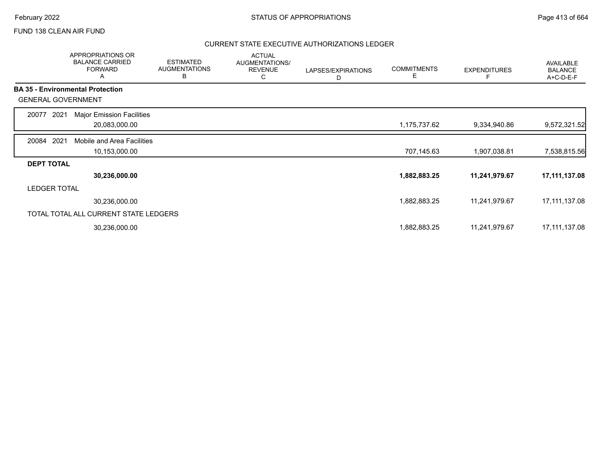### FUND 138 CLEAN AIR FUND

|                           | APPROPRIATIONS OR<br><b>BALANCE CARRIED</b><br><b>FORWARD</b><br>A | <b>ESTIMATED</b><br><b>AUGMENTATIONS</b><br>В | <b>ACTUAL</b><br>AUGMENTATIONS/<br><b>REVENUE</b><br>С | LAPSES/EXPIRATIONS<br>D | <b>COMMITMENTS</b><br>E. | <b>EXPENDITURES</b> | AVAILABLE<br><b>BALANCE</b><br>A+C-D-E-F |
|---------------------------|--------------------------------------------------------------------|-----------------------------------------------|--------------------------------------------------------|-------------------------|--------------------------|---------------------|------------------------------------------|
|                           | <b>BA 35 - Environmental Protection</b>                            |                                               |                                                        |                         |                          |                     |                                          |
| <b>GENERAL GOVERNMENT</b> |                                                                    |                                               |                                                        |                         |                          |                     |                                          |
| 20077<br>2021             | <b>Major Emission Facilities</b>                                   |                                               |                                                        |                         |                          |                     |                                          |
|                           | 20,083,000.00                                                      |                                               |                                                        |                         | 1,175,737.62             | 9,334,940.86        | 9,572,321.52                             |
| 20084 2021                | Mobile and Area Facilities                                         |                                               |                                                        |                         |                          |                     |                                          |
|                           | 10,153,000.00                                                      |                                               |                                                        |                         | 707,145.63               | 1,907,038.81        | 7,538,815.56                             |
| <b>DEPT TOTAL</b>         |                                                                    |                                               |                                                        |                         |                          |                     |                                          |
|                           | 30,236,000.00                                                      |                                               |                                                        |                         | 1,882,883.25             | 11,241,979.67       | 17,111,137.08                            |
| <b>LEDGER TOTAL</b>       |                                                                    |                                               |                                                        |                         |                          |                     |                                          |
|                           | 30,236,000.00                                                      |                                               |                                                        |                         | 1,882,883.25             | 11,241,979.67       | 17,111,137.08                            |
|                           | TOTAL TOTAL ALL CURRENT STATE LEDGERS                              |                                               |                                                        |                         |                          |                     |                                          |
|                           | 30,236,000.00                                                      |                                               |                                                        |                         | 1,882,883.25             | 11,241,979.67       | 17,111,137.08                            |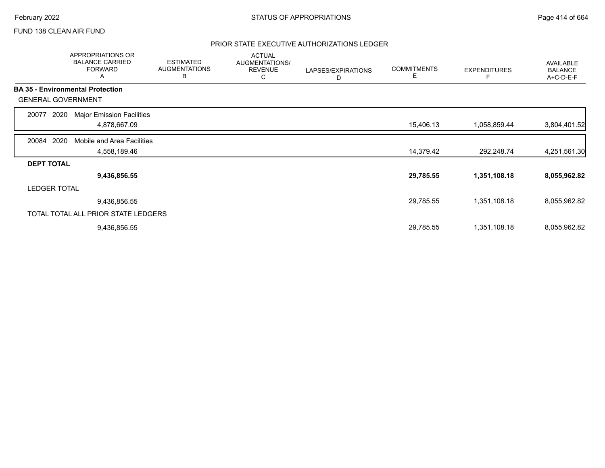### FUND 138 CLEAN AIR FUND

|                           | APPROPRIATIONS OR<br><b>BALANCE CARRIED</b><br><b>FORWARD</b><br>A | <b>ESTIMATED</b><br><b>AUGMENTATIONS</b><br>В | <b>ACTUAL</b><br>AUGMENTATIONS/<br><b>REVENUE</b><br>С | LAPSES/EXPIRATIONS<br>D | <b>COMMITMENTS</b><br>Е | <b>EXPENDITURES</b> | AVAILABLE<br><b>BALANCE</b><br>A+C-D-E-F |
|---------------------------|--------------------------------------------------------------------|-----------------------------------------------|--------------------------------------------------------|-------------------------|-------------------------|---------------------|------------------------------------------|
|                           | <b>BA 35 - Environmental Protection</b>                            |                                               |                                                        |                         |                         |                     |                                          |
| <b>GENERAL GOVERNMENT</b> |                                                                    |                                               |                                                        |                         |                         |                     |                                          |
| 2020<br>20077             | <b>Major Emission Facilities</b>                                   |                                               |                                                        |                         |                         |                     |                                          |
|                           | 4,878,667.09                                                       |                                               |                                                        |                         | 15,406.13               | 1,058,859.44        | 3,804,401.52                             |
| 2020<br>20084             | Mobile and Area Facilities                                         |                                               |                                                        |                         |                         |                     |                                          |
|                           | 4,558,189.46                                                       |                                               |                                                        |                         | 14,379.42               | 292,248.74          | 4,251,561.30                             |
| <b>DEPT TOTAL</b>         |                                                                    |                                               |                                                        |                         |                         |                     |                                          |
|                           | 9,436,856.55                                                       |                                               |                                                        |                         | 29,785.55               | 1,351,108.18        | 8,055,962.82                             |
| <b>LEDGER TOTAL</b>       |                                                                    |                                               |                                                        |                         |                         |                     |                                          |
|                           | 9,436,856.55                                                       |                                               |                                                        |                         | 29,785.55               | 1,351,108.18        | 8,055,962.82                             |
|                           | TOTAL TOTAL ALL PRIOR STATE LEDGERS                                |                                               |                                                        |                         |                         |                     |                                          |
|                           | 9,436,856.55                                                       |                                               |                                                        |                         | 29,785.55               | 1,351,108.18        | 8,055,962.82                             |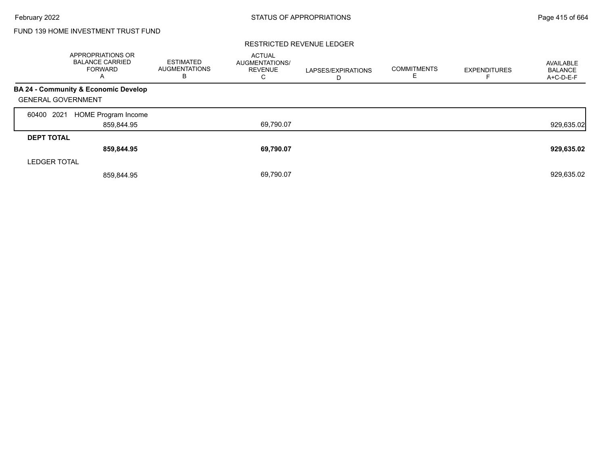# FUND 139 HOME INVESTMENT TRUST FUND

|                           | APPROPRIATIONS OR<br><b>BALANCE CARRIED</b><br><b>FORWARD</b><br>A | <b>ESTIMATED</b><br><b>AUGMENTATIONS</b><br>В | <b>ACTUAL</b><br>AUGMENTATIONS/<br><b>REVENUE</b><br>С | LAPSES/EXPIRATIONS<br>D | <b>COMMITMENTS</b><br>ᄇ | <b>EXPENDITURES</b> | AVAILABLE<br><b>BALANCE</b><br>A+C-D-E-F |
|---------------------------|--------------------------------------------------------------------|-----------------------------------------------|--------------------------------------------------------|-------------------------|-------------------------|---------------------|------------------------------------------|
|                           | BA 24 - Community & Economic Develop                               |                                               |                                                        |                         |                         |                     |                                          |
| <b>GENERAL GOVERNMENT</b> |                                                                    |                                               |                                                        |                         |                         |                     |                                          |
| 2021<br>60400             | HOME Program Income                                                |                                               |                                                        |                         |                         |                     |                                          |
|                           | 859,844.95                                                         |                                               | 69,790.07                                              |                         |                         |                     | 929,635.02                               |
| <b>DEPT TOTAL</b>         |                                                                    |                                               |                                                        |                         |                         |                     |                                          |
|                           | 859,844.95                                                         |                                               | 69,790.07                                              |                         |                         |                     | 929,635.02                               |
| <b>LEDGER TOTAL</b>       |                                                                    |                                               |                                                        |                         |                         |                     |                                          |
|                           | 859.844.95                                                         |                                               | 69,790.07                                              |                         |                         |                     | 929,635.02                               |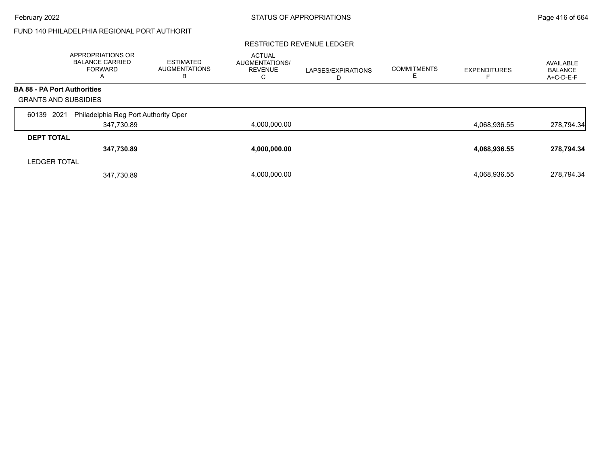# FUND 140 PHILADELPHIA REGIONAL PORT AUTHORIT

|                                    | APPROPRIATIONS OR<br><b>BALANCE CARRIED</b><br><b>FORWARD</b><br>A | <b>ESTIMATED</b><br><b>AUGMENTATIONS</b><br>в | <b>ACTUAL</b><br>AUGMENTATIONS/<br><b>REVENUE</b><br>С | LAPSES/EXPIRATIONS<br>D | <b>COMMITMENTS</b> | <b>EXPENDITURES</b> | AVAILABLE<br><b>BALANCE</b><br>A+C-D-E-F |
|------------------------------------|--------------------------------------------------------------------|-----------------------------------------------|--------------------------------------------------------|-------------------------|--------------------|---------------------|------------------------------------------|
| <b>BA 88 - PA Port Authorities</b> |                                                                    |                                               |                                                        |                         |                    |                     |                                          |
| <b>GRANTS AND SUBSIDIES</b>        |                                                                    |                                               |                                                        |                         |                    |                     |                                          |
| 2021<br>60139                      | Philadelphia Reg Port Authority Oper                               |                                               |                                                        |                         |                    |                     |                                          |
|                                    | 347,730.89                                                         |                                               | 4,000,000.00                                           |                         |                    | 4,068,936.55        | 278,794.34                               |
| <b>DEPT TOTAL</b>                  |                                                                    |                                               |                                                        |                         |                    |                     |                                          |
|                                    | 347,730.89                                                         |                                               | 4,000,000.00                                           |                         |                    | 4,068,936.55        | 278,794.34                               |
| <b>LEDGER TOTAL</b>                |                                                                    |                                               |                                                        |                         |                    |                     |                                          |
|                                    | 347,730.89                                                         |                                               | 4.000.000.00                                           |                         |                    | 4,068,936.55        | 278.794.34                               |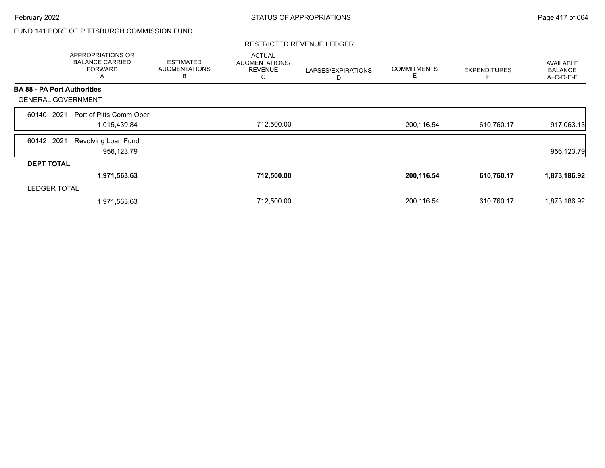# FUND 141 PORT OF PITTSBURGH COMMISSION FUND

|                                    | APPROPRIATIONS OR<br><b>BALANCE CARRIED</b><br><b>FORWARD</b><br>A | <b>ESTIMATED</b><br><b>AUGMENTATIONS</b><br>B | <b>ACTUAL</b><br>AUGMENTATIONS/<br><b>REVENUE</b><br>С | LAPSES/EXPIRATIONS<br>D | <b>COMMITMENTS</b><br>Е | <b>EXPENDITURES</b> | AVAILABLE<br><b>BALANCE</b><br>A+C-D-E-F |
|------------------------------------|--------------------------------------------------------------------|-----------------------------------------------|--------------------------------------------------------|-------------------------|-------------------------|---------------------|------------------------------------------|
| <b>BA 88 - PA Port Authorities</b> |                                                                    |                                               |                                                        |                         |                         |                     |                                          |
| <b>GENERAL GOVERNMENT</b>          |                                                                    |                                               |                                                        |                         |                         |                     |                                          |
| 2021<br>60140                      | Port of Pitts Comm Oper                                            |                                               |                                                        |                         |                         |                     |                                          |
|                                    | 1,015,439.84                                                       |                                               | 712,500.00                                             |                         | 200,116.54              | 610,760.17          | 917,063.13                               |
| 60142 2021                         | Revolving Loan Fund                                                |                                               |                                                        |                         |                         |                     |                                          |
|                                    | 956,123.79                                                         |                                               |                                                        |                         |                         |                     | 956,123.79                               |
| <b>DEPT TOTAL</b>                  |                                                                    |                                               |                                                        |                         |                         |                     |                                          |
|                                    | 1,971,563.63                                                       |                                               | 712,500.00                                             |                         | 200,116.54              | 610,760.17          | 1,873,186.92                             |
| <b>LEDGER TOTAL</b>                |                                                                    |                                               |                                                        |                         |                         |                     |                                          |
|                                    | 1,971,563.63                                                       |                                               | 712,500.00                                             |                         | 200,116.54              | 610,760.17          | 1,873,186.92                             |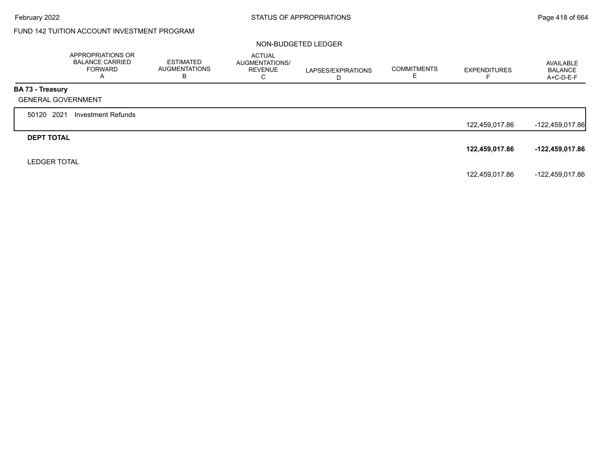# FUND 142 TUITION ACCOUNT INVESTMENT PROGRAM

#### NON-BUDGETED LEDGER

|                           | APPROPRIATIONS OR<br><b>BALANCE CARRIED</b><br><b>FORWARD</b><br>A | <b>ESTIMATED</b><br>AUGMENTATIONS<br>В | <b>ACTUAL</b><br><b>AUGMENTATIONS/</b><br><b>REVENUE</b><br>C | LAPSES/EXPIRATIONS<br>D | <b>COMMITMENTS</b><br>ᄂ | <b>EXPENDITURES</b> | AVAILABLE<br><b>BALANCE</b><br>A+C-D-E-F |
|---------------------------|--------------------------------------------------------------------|----------------------------------------|---------------------------------------------------------------|-------------------------|-------------------------|---------------------|------------------------------------------|
| BA 73 - Treasury          |                                                                    |                                        |                                                               |                         |                         |                     |                                          |
| <b>GENERAL GOVERNMENT</b> |                                                                    |                                        |                                                               |                         |                         |                     |                                          |
| 50120 2021                | Investment Refunds                                                 |                                        |                                                               |                         |                         |                     |                                          |
|                           |                                                                    |                                        |                                                               |                         |                         | 122,459,017.86      | -122,459,017.86                          |
| <b>DEPT TOTAL</b>         |                                                                    |                                        |                                                               |                         |                         |                     |                                          |
|                           |                                                                    |                                        |                                                               |                         |                         | 122,459,017.86      | -122,459,017.86                          |
| <b>LEDGER TOTAL</b>       |                                                                    |                                        |                                                               |                         |                         |                     |                                          |
|                           |                                                                    |                                        |                                                               |                         |                         | 122,459,017.86      | -122,459,017.86                          |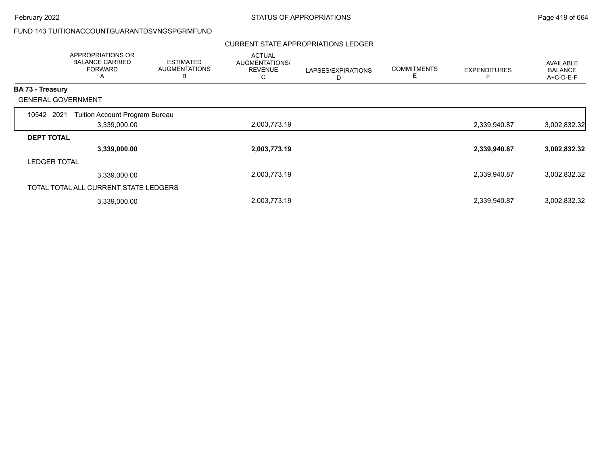# FUND 143 TUITIONACCOUNTGUARANTDSVNGSPGRMFUND

#### CURRENT STATE APPROPRIATIONS LEDGER

|                           | APPROPRIATIONS OR<br><b>BALANCE CARRIED</b><br><b>FORWARD</b><br>A | <b>ESTIMATED</b><br><b>AUGMENTATIONS</b><br>В | <b>ACTUAL</b><br>AUGMENTATIONS/<br><b>REVENUE</b><br>U | LAPSES/EXPIRATIONS<br>D | <b>COMMITMENTS</b><br>E | <b>EXPENDITURES</b> | AVAILABLE<br><b>BALANCE</b><br>A+C-D-E-F |
|---------------------------|--------------------------------------------------------------------|-----------------------------------------------|--------------------------------------------------------|-------------------------|-------------------------|---------------------|------------------------------------------|
| BA 73 - Treasury          |                                                                    |                                               |                                                        |                         |                         |                     |                                          |
| <b>GENERAL GOVERNMENT</b> |                                                                    |                                               |                                                        |                         |                         |                     |                                          |
| 10542 2021                | Tuition Account Program Bureau                                     |                                               |                                                        |                         |                         |                     |                                          |
|                           | 3,339,000.00                                                       |                                               | 2,003,773.19                                           |                         |                         | 2,339,940.87        | 3,002,832.32                             |
| <b>DEPT TOTAL</b>         |                                                                    |                                               |                                                        |                         |                         |                     |                                          |
|                           | 3,339,000.00                                                       |                                               | 2,003,773.19                                           |                         |                         | 2,339,940.87        | 3,002,832.32                             |
| <b>LEDGER TOTAL</b>       |                                                                    |                                               |                                                        |                         |                         |                     |                                          |
|                           | 3,339,000.00                                                       |                                               | 2,003,773.19                                           |                         |                         | 2,339,940.87        | 3,002,832.32                             |
|                           | TOTAL TOTAL ALL CURRENT STATE LEDGERS                              |                                               |                                                        |                         |                         |                     |                                          |
|                           | 3,339,000.00                                                       |                                               | 2,003,773.19                                           |                         |                         | 2,339,940.87        | 3,002,832.32                             |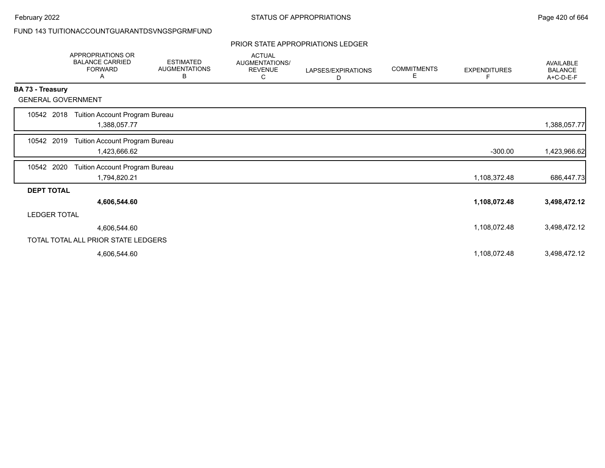# FUND 143 TUITIONACCOUNTGUARANTDSVNGSPGRMFUND

# PRIOR STATE APPROPRIATIONS LEDGER

|                           | <b>APPROPRIATIONS OR</b><br><b>BALANCE CARRIED</b><br><b>FORWARD</b><br>A | <b>ESTIMATED</b><br><b>AUGMENTATIONS</b><br>В | <b>ACTUAL</b><br>AUGMENTATIONS/<br><b>REVENUE</b><br>С | LAPSES/EXPIRATIONS<br>D | <b>COMMITMENTS</b><br>Е | <b>EXPENDITURES</b><br>F. | <b>AVAILABLE</b><br><b>BALANCE</b><br>A+C-D-E-F |
|---------------------------|---------------------------------------------------------------------------|-----------------------------------------------|--------------------------------------------------------|-------------------------|-------------------------|---------------------------|-------------------------------------------------|
| <b>BA 73 - Treasury</b>   |                                                                           |                                               |                                                        |                         |                         |                           |                                                 |
| <b>GENERAL GOVERNMENT</b> |                                                                           |                                               |                                                        |                         |                         |                           |                                                 |
| 10542 2018                | Tuition Account Program Bureau<br>1,388,057.77                            |                                               |                                                        |                         |                         |                           | 1,388,057.77                                    |
| 10542 2019                | Tuition Account Program Bureau<br>1,423,666.62                            |                                               |                                                        |                         |                         | $-300.00$                 | 1,423,966.62                                    |
| 10542 2020                | Tuition Account Program Bureau<br>1,794,820.21                            |                                               |                                                        |                         |                         | 1,108,372.48              | 686,447.73                                      |
| <b>DEPT TOTAL</b>         |                                                                           |                                               |                                                        |                         |                         |                           |                                                 |
|                           | 4,606,544.60                                                              |                                               |                                                        |                         |                         | 1,108,072.48              | 3,498,472.12                                    |
| <b>LEDGER TOTAL</b>       |                                                                           |                                               |                                                        |                         |                         |                           |                                                 |
|                           | 4,606,544.60                                                              |                                               |                                                        |                         |                         | 1,108,072.48              | 3,498,472.12                                    |
|                           | TOTAL TOTAL ALL PRIOR STATE LEDGERS                                       |                                               |                                                        |                         |                         |                           |                                                 |
|                           | 4,606,544.60                                                              |                                               |                                                        |                         |                         | 1,108,072.48              | 3,498,472.12                                    |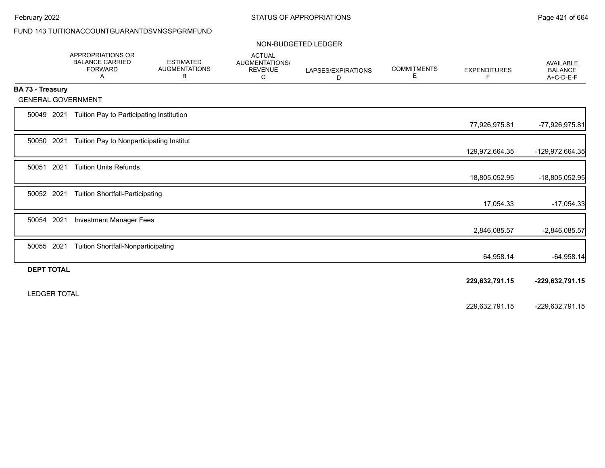# FUND 143 TUITIONACCOUNTGUARANTDSVNGSPGRMFUND

#### NON-BUDGETED LEDGER

|                         | <b>APPROPRIATIONS OR</b><br><b>BALANCE CARRIED</b><br><b>FORWARD</b><br>A | <b>ESTIMATED</b><br><b>AUGMENTATIONS</b><br>в | <b>ACTUAL</b><br><b>AUGMENTATIONS/</b><br><b>REVENUE</b><br>С | LAPSES/EXPIRATIONS<br>D | <b>COMMITMENTS</b><br>Е | <b>EXPENDITURES</b><br>F | AVAILABLE<br><b>BALANCE</b><br>A+C-D-E-F |
|-------------------------|---------------------------------------------------------------------------|-----------------------------------------------|---------------------------------------------------------------|-------------------------|-------------------------|--------------------------|------------------------------------------|
| <b>BA 73 - Treasury</b> |                                                                           |                                               |                                                               |                         |                         |                          |                                          |
|                         | <b>GENERAL GOVERNMENT</b>                                                 |                                               |                                                               |                         |                         |                          |                                          |
| 50049 2021              | Tuition Pay to Participating Institution                                  |                                               |                                                               |                         |                         | 77,926,975.81            | -77,926,975.81                           |
| 50050 2021              | Tuition Pay to Nonparticipating Institut                                  |                                               |                                                               |                         |                         | 129,972,664.35           | -129,972,664.35                          |
| 50051                   | 2021<br><b>Tuition Units Refunds</b>                                      |                                               |                                                               |                         |                         | 18,805,052.95            | -18,805,052.95                           |
| 50052 2021              | <b>Tuition Shortfall-Participating</b>                                    |                                               |                                                               |                         |                         | 17,054.33                | $-17,054.33$                             |
| 50054 2021              | <b>Investment Manager Fees</b>                                            |                                               |                                                               |                         |                         | 2,846,085.57             | -2,846,085.57                            |
| 50055 2021              | <b>Tuition Shortfall-Nonparticipating</b>                                 |                                               |                                                               |                         |                         | 64,958.14                | $-64,958.14$                             |
| <b>DEPT TOTAL</b>       |                                                                           |                                               |                                                               |                         |                         | 229,632,791.15           | -229,632,791.15                          |
| <b>LEDGER TOTAL</b>     |                                                                           |                                               |                                                               |                         |                         | 229,632,791.15           | -229,632,791.15                          |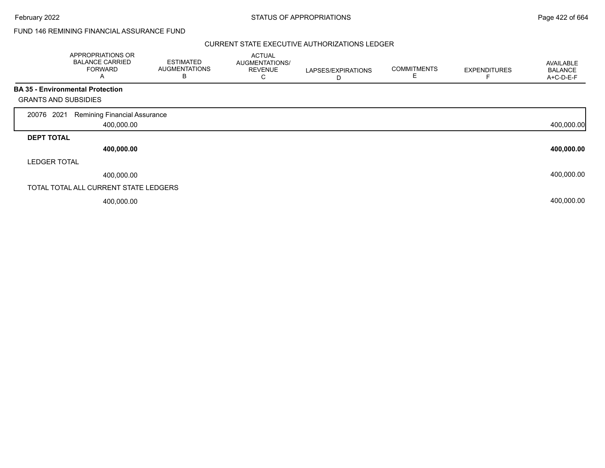## FUND 146 REMINING FINANCIAL ASSURANCE FUND

|                             | APPROPRIATIONS OR<br><b>BALANCE CARRIED</b><br><b>FORWARD</b><br>$\mathsf{A}$ | <b>ESTIMATED</b><br><b>AUGMENTATIONS</b><br>B | <b>ACTUAL</b><br>AUGMENTATIONS/<br><b>REVENUE</b><br>С | LAPSES/EXPIRATIONS<br>D | <b>COMMITMENTS</b><br>E. | <b>EXPENDITURES</b> | AVAILABLE<br><b>BALANCE</b><br>A+C-D-E-F |
|-----------------------------|-------------------------------------------------------------------------------|-----------------------------------------------|--------------------------------------------------------|-------------------------|--------------------------|---------------------|------------------------------------------|
|                             | <b>BA 35 - Environmental Protection</b>                                       |                                               |                                                        |                         |                          |                     |                                          |
| <b>GRANTS AND SUBSIDIES</b> |                                                                               |                                               |                                                        |                         |                          |                     |                                          |
| 2021<br>20076               | <b>Remining Financial Assurance</b>                                           |                                               |                                                        |                         |                          |                     |                                          |
|                             | 400,000.00                                                                    |                                               |                                                        |                         |                          |                     | 400,000.00                               |
| <b>DEPT TOTAL</b>           |                                                                               |                                               |                                                        |                         |                          |                     |                                          |
|                             | 400,000.00                                                                    |                                               |                                                        |                         |                          |                     | 400,000.00                               |
| <b>LEDGER TOTAL</b>         |                                                                               |                                               |                                                        |                         |                          |                     |                                          |
|                             | 400,000.00                                                                    |                                               |                                                        |                         |                          |                     | 400,000.00                               |
|                             | TOTAL TOTAL ALL CURRENT STATE LEDGERS                                         |                                               |                                                        |                         |                          |                     |                                          |
|                             | 400,000.00                                                                    |                                               |                                                        |                         |                          |                     | 400,000.00                               |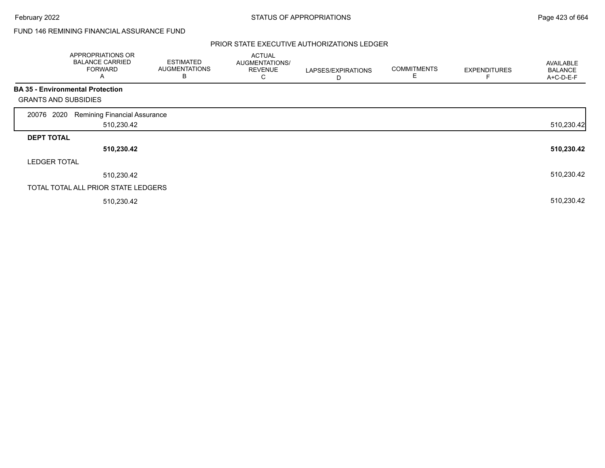## FUND 146 REMINING FINANCIAL ASSURANCE FUND

|                             | APPROPRIATIONS OR<br><b>BALANCE CARRIED</b><br><b>FORWARD</b><br>$\mathsf{A}$ | <b>ESTIMATED</b><br><b>AUGMENTATIONS</b><br>B | <b>ACTUAL</b><br>AUGMENTATIONS/<br><b>REVENUE</b><br>C | LAPSES/EXPIRATIONS<br>D | <b>COMMITMENTS</b><br>Е | <b>EXPENDITURES</b> | <b>AVAILABLE</b><br><b>BALANCE</b><br>A+C-D-E-F |
|-----------------------------|-------------------------------------------------------------------------------|-----------------------------------------------|--------------------------------------------------------|-------------------------|-------------------------|---------------------|-------------------------------------------------|
|                             | <b>BA 35 - Environmental Protection</b>                                       |                                               |                                                        |                         |                         |                     |                                                 |
| <b>GRANTS AND SUBSIDIES</b> |                                                                               |                                               |                                                        |                         |                         |                     |                                                 |
| 2020<br>20076               | <b>Remining Financial Assurance</b>                                           |                                               |                                                        |                         |                         |                     |                                                 |
|                             | 510,230.42                                                                    |                                               |                                                        |                         |                         |                     | 510,230.42                                      |
| <b>DEPT TOTAL</b>           |                                                                               |                                               |                                                        |                         |                         |                     |                                                 |
|                             | 510,230.42                                                                    |                                               |                                                        |                         |                         |                     | 510,230.42                                      |
| <b>LEDGER TOTAL</b>         |                                                                               |                                               |                                                        |                         |                         |                     |                                                 |
|                             | 510,230.42                                                                    |                                               |                                                        |                         |                         |                     | 510,230.42                                      |
|                             | TOTAL TOTAL ALL PRIOR STATE LEDGERS                                           |                                               |                                                        |                         |                         |                     |                                                 |
|                             | 510,230.42                                                                    |                                               |                                                        |                         |                         |                     | 510,230.42                                      |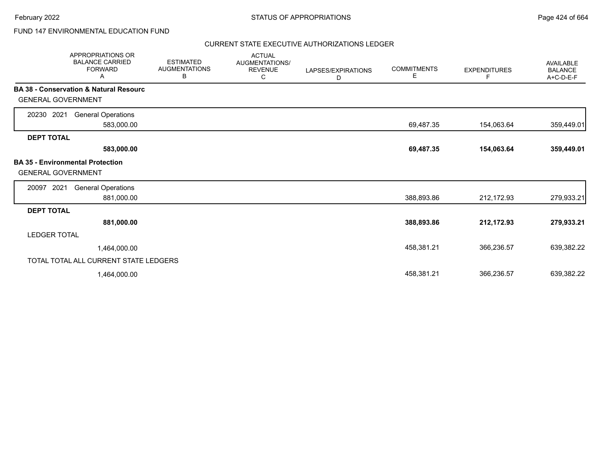# FUND 147 ENVIRONMENTAL EDUCATION FUND

| <b>APPROPRIATIONS OR</b><br><b>BALANCE CARRIED</b><br><b>FORWARD</b><br>Α | <b>ESTIMATED</b><br><b>AUGMENTATIONS</b><br>В | <b>ACTUAL</b><br><b>AUGMENTATIONS/</b><br><b>REVENUE</b><br>С | LAPSES/EXPIRATIONS<br>D | <b>COMMITMENTS</b><br>E | <b>EXPENDITURES</b><br>F | <b>AVAILABLE</b><br><b>BALANCE</b><br>A+C-D-E-F |
|---------------------------------------------------------------------------|-----------------------------------------------|---------------------------------------------------------------|-------------------------|-------------------------|--------------------------|-------------------------------------------------|
| <b>BA 38 - Conservation &amp; Natural Resourc</b>                         |                                               |                                                               |                         |                         |                          |                                                 |
| <b>GENERAL GOVERNMENT</b>                                                 |                                               |                                                               |                         |                         |                          |                                                 |
| 2021<br><b>General Operations</b><br>20230                                |                                               |                                                               |                         |                         |                          |                                                 |
| 583,000.00                                                                |                                               |                                                               |                         | 69,487.35               | 154,063.64               | 359,449.01                                      |
| <b>DEPT TOTAL</b>                                                         |                                               |                                                               |                         |                         |                          |                                                 |
| 583,000.00                                                                |                                               |                                                               |                         | 69,487.35               | 154,063.64               | 359,449.01                                      |
| <b>BA 35 - Environmental Protection</b><br><b>GENERAL GOVERNMENT</b>      |                                               |                                                               |                         |                         |                          |                                                 |
| 2021<br><b>General Operations</b><br>20097                                |                                               |                                                               |                         |                         |                          |                                                 |
| 881,000.00                                                                |                                               |                                                               |                         | 388,893.86              | 212,172.93               | 279,933.21                                      |
| <b>DEPT TOTAL</b>                                                         |                                               |                                                               |                         |                         |                          |                                                 |
| 881,000.00                                                                |                                               |                                                               |                         | 388,893.86              | 212,172.93               | 279,933.21                                      |
| <b>LEDGER TOTAL</b>                                                       |                                               |                                                               |                         |                         |                          |                                                 |
| 1,464,000.00                                                              |                                               |                                                               |                         | 458,381.21              | 366,236.57               | 639,382.22                                      |
| TOTAL TOTAL ALL CURRENT STATE LEDGERS                                     |                                               |                                                               |                         |                         |                          |                                                 |
| 1,464,000.00                                                              |                                               |                                                               |                         | 458,381.21              | 366,236.57               | 639,382.22                                      |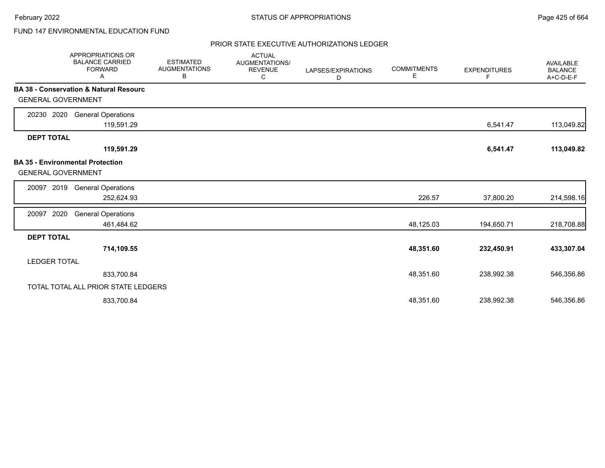# FUND 147 ENVIRONMENTAL EDUCATION FUND

|                           | <b>APPROPRIATIONS OR</b><br><b>BALANCE CARRIED</b><br><b>FORWARD</b><br>Α | <b>ESTIMATED</b><br><b>AUGMENTATIONS</b><br>В | <b>ACTUAL</b><br>AUGMENTATIONS/<br><b>REVENUE</b><br>С | LAPSES/EXPIRATIONS<br>D | <b>COMMITMENTS</b><br>Е | <b>EXPENDITURES</b><br>F | AVAILABLE<br><b>BALANCE</b><br>A+C-D-E-F |
|---------------------------|---------------------------------------------------------------------------|-----------------------------------------------|--------------------------------------------------------|-------------------------|-------------------------|--------------------------|------------------------------------------|
| <b>GENERAL GOVERNMENT</b> | <b>BA 38 - Conservation &amp; Natural Resourc</b>                         |                                               |                                                        |                         |                         |                          |                                          |
| 20230 2020                | <b>General Operations</b><br>119,591.29                                   |                                               |                                                        |                         |                         | 6,541.47                 | 113,049.82                               |
| <b>DEPT TOTAL</b>         | 119,591.29                                                                |                                               |                                                        |                         |                         | 6,541.47                 | 113,049.82                               |
| <b>GENERAL GOVERNMENT</b> | <b>BA 35 - Environmental Protection</b>                                   |                                               |                                                        |                         |                         |                          |                                          |
| 2019<br>20097             | <b>General Operations</b><br>252,624.93                                   |                                               |                                                        |                         | 226.57                  | 37,800.20                | 214,598.16                               |
| 2020<br>20097             | <b>General Operations</b><br>461,484.62                                   |                                               |                                                        |                         | 48,125.03               | 194,650.71               | 218,708.88                               |
| <b>DEPT TOTAL</b>         | 714,109.55                                                                |                                               |                                                        |                         | 48,351.60               | 232,450.91               | 433,307.04                               |
| <b>LEDGER TOTAL</b>       |                                                                           |                                               |                                                        |                         |                         |                          |                                          |
|                           | 833,700.84                                                                |                                               |                                                        |                         | 48,351.60               | 238,992.38               | 546,356.86                               |
|                           | TOTAL TOTAL ALL PRIOR STATE LEDGERS                                       |                                               |                                                        |                         |                         |                          |                                          |
|                           | 833,700.84                                                                |                                               |                                                        |                         | 48,351.60               | 238,992.38               | 546,356.86                               |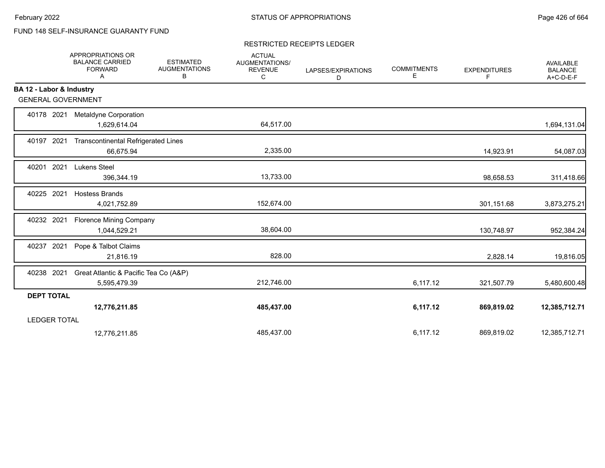# FUND 148 SELF-INSURANCE GUARANTY FUND

#### RESTRICTED RECEIPTS LEDGER

|                          | APPROPRIATIONS OR<br><b>BALANCE CARRIED</b><br><b>FORWARD</b><br>Α | <b>ESTIMATED</b><br><b>AUGMENTATIONS</b><br>В | <b>ACTUAL</b><br>AUGMENTATIONS/<br><b>REVENUE</b><br>C | LAPSES/EXPIRATIONS<br>D | <b>COMMITMENTS</b><br>Е | <b>EXPENDITURES</b><br>F | AVAILABLE<br><b>BALANCE</b><br>A+C-D-E-F |
|--------------------------|--------------------------------------------------------------------|-----------------------------------------------|--------------------------------------------------------|-------------------------|-------------------------|--------------------------|------------------------------------------|
| BA 12 - Labor & Industry |                                                                    |                                               |                                                        |                         |                         |                          |                                          |
|                          | <b>GENERAL GOVERNMENT</b>                                          |                                               |                                                        |                         |                         |                          |                                          |
| 40178 2021               | Metaldyne Corporation<br>1,629,614.04                              |                                               | 64,517.00                                              |                         |                         |                          | 1,694,131.04                             |
| 40197 2021               | <b>Transcontinental Refrigerated Lines</b><br>66,675.94            |                                               | 2,335.00                                               |                         |                         | 14,923.91                | 54,087.03                                |
| 40201 2021               | Lukens Steel<br>396,344.19                                         |                                               | 13,733.00                                              |                         |                         | 98,658.53                | 311,418.66                               |
| 40225 2021               | <b>Hostess Brands</b><br>4,021,752.89                              |                                               | 152,674.00                                             |                         |                         | 301,151.68               | 3,873,275.21                             |
| 40232 2021               | <b>Florence Mining Company</b><br>1,044,529.21                     |                                               | 38,604.00                                              |                         |                         | 130,748.97               | 952,384.24                               |
| 40237 2021               | Pope & Talbot Claims<br>21,816.19                                  |                                               | 828.00                                                 |                         |                         | 2,828.14                 | 19,816.05                                |
| 40238 2021               | Great Atlantic & Pacific Tea Co (A&P)<br>5,595,479.39              |                                               | 212,746.00                                             |                         | 6,117.12                | 321,507.79               | 5,480,600.48                             |
| <b>DEPT TOTAL</b>        |                                                                    |                                               |                                                        |                         |                         |                          |                                          |
|                          | 12,776,211.85                                                      |                                               | 485,437.00                                             |                         | 6,117.12                | 869,819.02               | 12,385,712.71                            |
| <b>LEDGER TOTAL</b>      |                                                                    |                                               |                                                        |                         |                         |                          |                                          |
|                          | 12,776,211.85                                                      |                                               | 485,437.00                                             |                         | 6,117.12                | 869,819.02               | 12,385,712.71                            |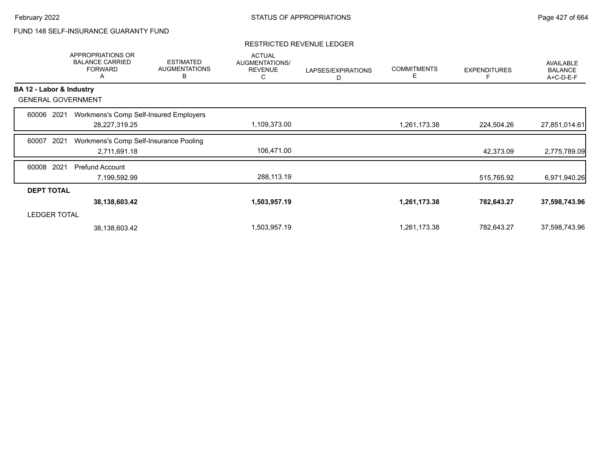# FUND 148 SELF-INSURANCE GUARANTY FUND

|                           |                     | APPROPRIATIONS OR<br><b>BALANCE CARRIED</b><br><b>FORWARD</b><br>А | <b>ESTIMATED</b><br><b>AUGMENTATIONS</b><br>B | <b>ACTUAL</b><br>AUGMENTATIONS/<br><b>REVENUE</b><br>С | LAPSES/EXPIRATIONS<br>D | <b>COMMITMENTS</b><br>Е | <b>EXPENDITURES</b> | <b>AVAILABLE</b><br><b>BALANCE</b><br>A+C-D-E-F |
|---------------------------|---------------------|--------------------------------------------------------------------|-----------------------------------------------|--------------------------------------------------------|-------------------------|-------------------------|---------------------|-------------------------------------------------|
| BA 12 - Labor & Industry  |                     |                                                                    |                                               |                                                        |                         |                         |                     |                                                 |
| <b>GENERAL GOVERNMENT</b> |                     |                                                                    |                                               |                                                        |                         |                         |                     |                                                 |
| 60006                     | 2021                |                                                                    | Workmens's Comp Self-Insured Employers        |                                                        |                         |                         |                     |                                                 |
|                           |                     | 28,227,319.25                                                      |                                               | 1,109,373.00                                           |                         | 1,261,173.38            | 224,504.26          | 27,851,014.61                                   |
| 60007                     | 2021                | Workmens's Comp Self-Insurance Pooling                             |                                               |                                                        |                         |                         |                     |                                                 |
|                           |                     | 2,711,691.18                                                       |                                               | 106,471.00                                             |                         |                         | 42,373.09           | 2,775,789.09                                    |
| 60008                     | 2021                | <b>Prefund Account</b>                                             |                                               |                                                        |                         |                         |                     |                                                 |
|                           |                     | 7,199,592.99                                                       |                                               | 288,113.19                                             |                         |                         | 515,765.92          | 6,971,940.26                                    |
| <b>DEPT TOTAL</b>         |                     |                                                                    |                                               |                                                        |                         |                         |                     |                                                 |
|                           |                     | 38, 138, 603. 42                                                   |                                               | 1,503,957.19                                           |                         | 1,261,173.38            | 782,643.27          | 37,598,743.96                                   |
|                           | <b>LEDGER TOTAL</b> |                                                                    |                                               |                                                        |                         |                         |                     |                                                 |
|                           |                     | 38,138,603.42                                                      |                                               | 1,503,957.19                                           |                         | 1,261,173.38            | 782,643.27          | 37,598,743.96                                   |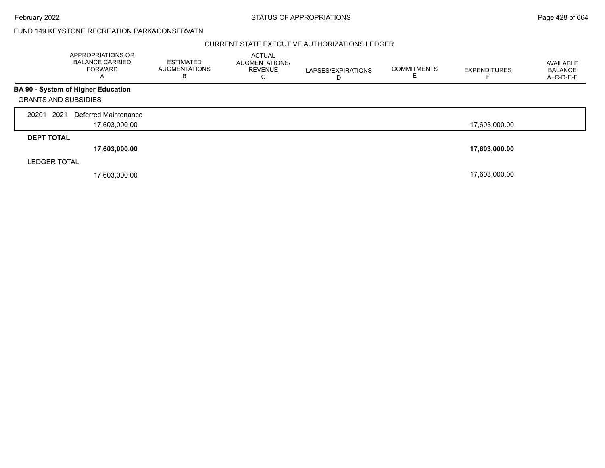February 2022 **Example 2022** Page 428 of 664

### FUND 149 KEYSTONE RECREATION PARK&CONSERVATN

|                             | APPROPRIATIONS OR<br><b>BALANCE CARRIED</b><br><b>FORWARD</b><br>A | <b>ESTIMATED</b><br><b>AUGMENTATIONS</b><br>в | <b>ACTUAL</b><br>AUGMENTATIONS/<br><b>REVENUE</b><br>C | LAPSES/EXPIRATIONS<br>D | <b>COMMITMENTS</b> | <b>EXPENDITURES</b> | AVAILABLE<br><b>BALANCE</b><br>A+C-D-E-F |
|-----------------------------|--------------------------------------------------------------------|-----------------------------------------------|--------------------------------------------------------|-------------------------|--------------------|---------------------|------------------------------------------|
|                             | <b>BA 90 - System of Higher Education</b>                          |                                               |                                                        |                         |                    |                     |                                          |
| <b>GRANTS AND SUBSIDIES</b> |                                                                    |                                               |                                                        |                         |                    |                     |                                          |
| 2021<br>20201               | Deferred Maintenance                                               |                                               |                                                        |                         |                    |                     |                                          |
|                             | 17,603,000.00                                                      |                                               |                                                        |                         |                    | 17,603,000.00       |                                          |
| <b>DEPT TOTAL</b>           |                                                                    |                                               |                                                        |                         |                    |                     |                                          |
|                             | 17,603,000.00                                                      |                                               |                                                        |                         |                    | 17,603,000.00       |                                          |
| <b>LEDGER TOTAL</b>         |                                                                    |                                               |                                                        |                         |                    |                     |                                          |
|                             | 17,603,000.00                                                      |                                               |                                                        |                         |                    | 17,603,000.00       |                                          |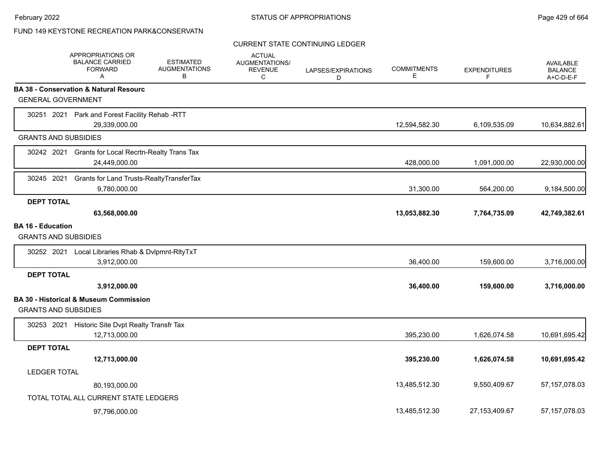# FUND 149 KEYSTONE RECREATION PARK&CONSERVATN

### CURRENT STATE CONTINUING LEDGER

|                                                  | APPROPRIATIONS OR<br><b>BALANCE CARRIED</b><br><b>FORWARD</b><br>A | <b>ESTIMATED</b><br><b>AUGMENTATIONS</b><br>В | <b>ACTUAL</b><br><b>AUGMENTATIONS/</b><br><b>REVENUE</b><br>C | LAPSES/EXPIRATIONS<br>D | <b>COMMITMENTS</b><br>Е | <b>EXPENDITURES</b><br>F. | <b>AVAILABLE</b><br><b>BALANCE</b><br>$A+C-D-E-F$ |
|--------------------------------------------------|--------------------------------------------------------------------|-----------------------------------------------|---------------------------------------------------------------|-------------------------|-------------------------|---------------------------|---------------------------------------------------|
|                                                  | <b>BA 38 - Conservation &amp; Natural Resourc</b>                  |                                               |                                                               |                         |                         |                           |                                                   |
| <b>GENERAL GOVERNMENT</b>                        |                                                                    |                                               |                                                               |                         |                         |                           |                                                   |
|                                                  | 30251 2021 Park and Forest Facility Rehab -RTT<br>29,339,000.00    |                                               |                                                               |                         | 12,594,582.30           | 6,109,535.09              | 10,634,882.61                                     |
| <b>GRANTS AND SUBSIDIES</b>                      |                                                                    |                                               |                                                               |                         |                         |                           |                                                   |
| 30242 2021                                       | <b>Grants for Local Recrtn-Realty Trans Tax</b><br>24,449,000.00   |                                               |                                                               |                         | 428,000.00              | 1,091,000.00              | 22,930,000.00                                     |
| 30245 2021                                       | Grants for Land Trusts-RealtyTransferTax<br>9,780,000.00           |                                               |                                                               |                         | 31,300.00               | 564,200.00                | 9,184,500.00                                      |
| <b>DEPT TOTAL</b>                                |                                                                    |                                               |                                                               |                         |                         |                           |                                                   |
|                                                  | 63,568,000.00                                                      |                                               |                                                               |                         | 13,053,882.30           | 7,764,735.09              | 42,749,382.61                                     |
| BA 16 - Education<br><b>GRANTS AND SUBSIDIES</b> |                                                                    |                                               |                                                               |                         |                         |                           |                                                   |
| 30252 2021                                       | Local Libraries Rhab & Dvlpmnt-RltyTxT<br>3,912,000.00             |                                               |                                                               |                         | 36,400.00               | 159,600.00                | 3,716,000.00                                      |
| <b>DEPT TOTAL</b>                                |                                                                    |                                               |                                                               |                         |                         |                           |                                                   |
|                                                  | 3,912,000.00                                                       |                                               |                                                               |                         | 36,400.00               | 159,600.00                | 3,716,000.00                                      |
| <b>GRANTS AND SUBSIDIES</b>                      | <b>BA 30 - Historical &amp; Museum Commission</b>                  |                                               |                                                               |                         |                         |                           |                                                   |
|                                                  | 30253 2021 Historic Site Dvpt Realty Transfr Tax<br>12,713,000.00  |                                               |                                                               |                         | 395,230.00              | 1,626,074.58              | 10,691,695.42                                     |
| <b>DEPT TOTAL</b>                                |                                                                    |                                               |                                                               |                         |                         |                           |                                                   |
|                                                  | 12,713,000.00                                                      |                                               |                                                               |                         | 395,230.00              | 1,626,074.58              | 10,691,695.42                                     |
| <b>LEDGER TOTAL</b>                              |                                                                    |                                               |                                                               |                         |                         |                           |                                                   |
|                                                  | 80,193,000.00                                                      |                                               |                                                               |                         | 13,485,512.30           | 9,550,409.67              | 57, 157, 078.03                                   |
|                                                  | TOTAL TOTAL ALL CURRENT STATE LEDGERS                              |                                               |                                                               |                         |                         |                           |                                                   |
|                                                  | 97,796,000.00                                                      |                                               |                                                               |                         | 13,485,512.30           | 27, 153, 409. 67          | 57, 157, 078.03                                   |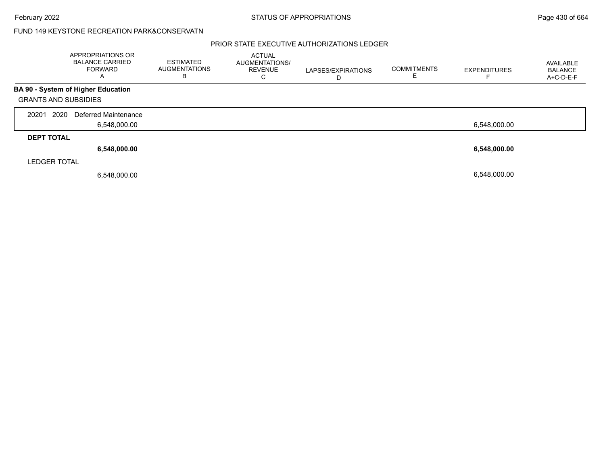February 2022 **Example 2022** Page 430 of 664

### FUND 149 KEYSTONE RECREATION PARK&CONSERVATN

|                             | APPROPRIATIONS OR<br><b>BALANCE CARRIED</b><br><b>FORWARD</b><br>A | <b>ESTIMATED</b><br><b>AUGMENTATIONS</b><br>в | <b>ACTUAL</b><br>AUGMENTATIONS/<br><b>REVENUE</b><br>С | LAPSES/EXPIRATIONS<br>D | <b>COMMITMENTS</b> | <b>EXPENDITURES</b> | AVAILABLE<br>BALANCE<br>A+C-D-E-F |
|-----------------------------|--------------------------------------------------------------------|-----------------------------------------------|--------------------------------------------------------|-------------------------|--------------------|---------------------|-----------------------------------|
|                             | <b>BA 90 - System of Higher Education</b>                          |                                               |                                                        |                         |                    |                     |                                   |
| <b>GRANTS AND SUBSIDIES</b> |                                                                    |                                               |                                                        |                         |                    |                     |                                   |
| 2020<br>20201               | Deferred Maintenance                                               |                                               |                                                        |                         |                    |                     |                                   |
|                             | 6,548,000.00                                                       |                                               |                                                        |                         |                    | 6,548,000.00        |                                   |
| <b>DEPT TOTAL</b>           |                                                                    |                                               |                                                        |                         |                    |                     |                                   |
|                             | 6,548,000.00                                                       |                                               |                                                        |                         |                    | 6,548,000.00        |                                   |
| <b>LEDGER TOTAL</b>         |                                                                    |                                               |                                                        |                         |                    |                     |                                   |
|                             | 6,548,000.00                                                       |                                               |                                                        |                         |                    | 6.548.000.00        |                                   |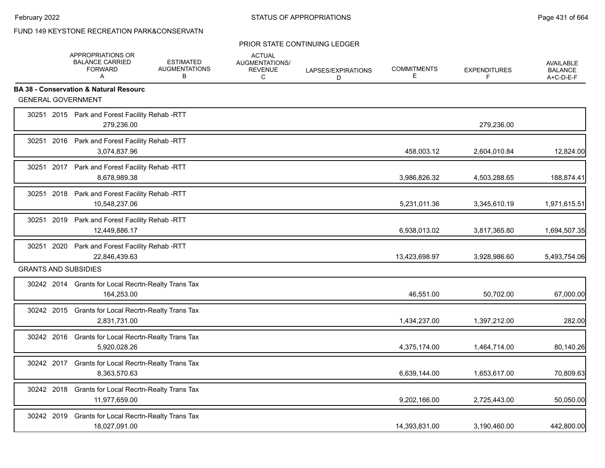# FUND 149 KEYSTONE RECREATION PARK&CONSERVATN

#### PRIOR STATE CONTINUING LEDGER

|                             | APPROPRIATIONS OR<br><b>BALANCE CARRIED</b><br><b>FORWARD</b><br>A   | <b>ESTIMATED</b><br><b>AUGMENTATIONS</b><br>B | <b>ACTUAL</b><br>AUGMENTATIONS/<br><b>REVENUE</b><br>C | LAPSES/EXPIRATIONS<br>D | <b>COMMITMENTS</b><br>Е | <b>EXPENDITURES</b> | <b>AVAILABLE</b><br><b>BALANCE</b><br>A+C-D-E-F |
|-----------------------------|----------------------------------------------------------------------|-----------------------------------------------|--------------------------------------------------------|-------------------------|-------------------------|---------------------|-------------------------------------------------|
|                             | <b>BA 38 - Conservation &amp; Natural Resourc</b>                    |                                               |                                                        |                         |                         |                     |                                                 |
| <b>GENERAL GOVERNMENT</b>   |                                                                      |                                               |                                                        |                         |                         |                     |                                                 |
|                             | 30251 2015 Park and Forest Facility Rehab-RTT<br>279,236.00          |                                               |                                                        |                         |                         | 279,236.00          |                                                 |
|                             | 30251 2016 Park and Forest Facility Rehab -RTT<br>3,074,837.96       |                                               |                                                        |                         | 458,003.12              | 2,604,010.84        | 12,824.00                                       |
|                             | 30251 2017 Park and Forest Facility Rehab -RTT<br>8,678,989.38       |                                               |                                                        |                         | 3,986,826.32            | 4,503,288.65        | 188,874.41                                      |
|                             | 30251 2018 Park and Forest Facility Rehab -RTT<br>10,548,237.06      |                                               |                                                        |                         | 5,231,011.36            | 3,345,610.19        | 1,971,615.51                                    |
|                             | 30251 2019 Park and Forest Facility Rehab -RTT<br>12,449,886.17      |                                               |                                                        |                         | 6,938,013.02            | 3,817,365.80        | 1,694,507.35                                    |
|                             | 30251 2020 Park and Forest Facility Rehab -RTT<br>22,846,439.63      |                                               |                                                        |                         | 13,423,698.97           | 3,928,986.60        | 5,493,754.06                                    |
| <b>GRANTS AND SUBSIDIES</b> |                                                                      |                                               |                                                        |                         |                         |                     |                                                 |
|                             | 30242 2014 Grants for Local Recrtn-Realty Trans Tax<br>164,253.00    |                                               |                                                        |                         | 46,551.00               | 50,702.00           | 67,000.00                                       |
|                             | 30242 2015 Grants for Local Recrtn-Realty Trans Tax<br>2,831,731.00  |                                               |                                                        |                         | 1,434,237.00            | 1,397,212.00        | 282.00                                          |
|                             | 30242 2016 Grants for Local Recrtn-Realty Trans Tax<br>5,920,028.26  |                                               |                                                        |                         | 4,375,174.00            | 1,464,714.00        | 80,140.26                                       |
|                             | 30242 2017 Grants for Local Recrtn-Realty Trans Tax<br>8,363,570.63  |                                               |                                                        |                         | 6,639,144.00            | 1,653,617.00        | 70,809.63                                       |
|                             | 30242 2018 Grants for Local Recrtn-Realty Trans Tax<br>11,977,659.00 |                                               |                                                        |                         | 9,202,166.00            | 2,725,443.00        | 50,050.00                                       |
|                             | 30242 2019 Grants for Local Recrtn-Realty Trans Tax<br>18,027,091.00 |                                               |                                                        |                         | 14,393,831.00           | 3,190,460.00        | 442,800.00                                      |
|                             |                                                                      |                                               |                                                        |                         |                         |                     |                                                 |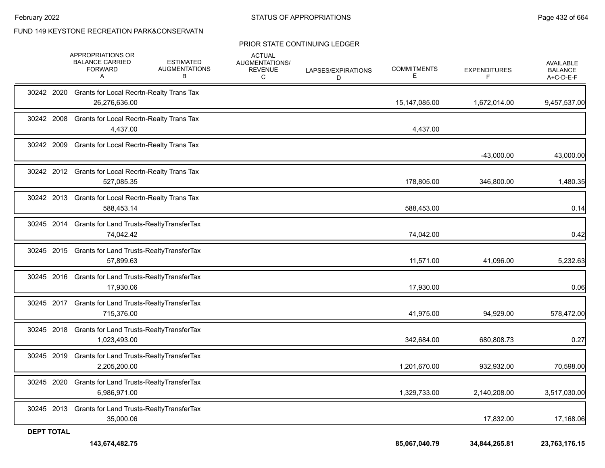### FUND 149 KEYSTONE RECREATION PARK&CONSERVATN

#### PRIOR STATE CONTINUING LEDGER

|                   | APPROPRIATIONS OR<br><b>BALANCE CARRIED</b><br><b>FORWARD</b><br>A   | <b>ESTIMATED</b><br><b>AUGMENTATIONS</b><br>в | <b>ACTUAL</b><br>AUGMENTATIONS/<br><b>REVENUE</b><br>C | LAPSES/EXPIRATIONS<br>D | <b>COMMITMENTS</b><br>E. | <b>EXPENDITURES</b> | AVAILABLE<br><b>BALANCE</b><br>A+C-D-E-F |
|-------------------|----------------------------------------------------------------------|-----------------------------------------------|--------------------------------------------------------|-------------------------|--------------------------|---------------------|------------------------------------------|
|                   | 30242 2020 Grants for Local Recrtn-Realty Trans Tax<br>26,276,636.00 |                                               |                                                        |                         | 15,147,085.00            | 1,672,014.00        | 9,457,537.00                             |
| 30242 2008        | <b>Grants for Local Recrtn-Realty Trans Tax</b><br>4,437.00          |                                               |                                                        |                         | 4,437.00                 |                     |                                          |
| 30242 2009        | <b>Grants for Local Recrtn-Realty Trans Tax</b>                      |                                               |                                                        |                         |                          | $-43,000.00$        | 43,000.00                                |
|                   | 30242 2012 Grants for Local Recrtn-Realty Trans Tax<br>527,085.35    |                                               |                                                        |                         | 178,805.00               | 346,800.00          | 1,480.35                                 |
|                   | 30242 2013 Grants for Local Recrtn-Realty Trans Tax<br>588,453.14    |                                               |                                                        |                         | 588,453.00               |                     | 0.14                                     |
|                   | 30245 2014 Grants for Land Trusts-RealtyTransferTax<br>74,042.42     |                                               |                                                        |                         | 74,042.00                |                     | 0.42                                     |
|                   | 30245 2015 Grants for Land Trusts-RealtyTransferTax<br>57,899.63     |                                               |                                                        |                         | 11,571.00                | 41,096.00           | 5,232.63                                 |
|                   | 30245 2016 Grants for Land Trusts-RealtyTransferTax<br>17,930.06     |                                               |                                                        |                         | 17,930.00                |                     | 0.06                                     |
|                   | 30245 2017 Grants for Land Trusts-RealtyTransferTax<br>715,376.00    |                                               |                                                        |                         | 41,975.00                | 94,929.00           | 578,472.00                               |
| 30245 2018        | Grants for Land Trusts-Realty Transfer Tax<br>1,023,493.00           |                                               |                                                        |                         | 342,684.00               | 680,808.73          | 0.27                                     |
| 30245 2019        | Grants for Land Trusts-RealtyTransferTax<br>2,205,200.00             |                                               |                                                        |                         | 1,201,670.00             | 932,932.00          | 70,598.00                                |
| 30245 2020        | Grants for Land Trusts-RealtyTransferTax<br>6.986.971.00             |                                               |                                                        |                         | 1,329,733.00             | 2,140,208.00        | 3,517,030.00                             |
|                   | 30245 2013 Grants for Land Trusts-RealtyTransferTax<br>35,000.06     |                                               |                                                        |                         |                          | 17,832.00           | 17,168.06                                |
| <b>DEPT TOTAL</b> | 143,674,482.75                                                       |                                               |                                                        |                         | 85,067,040.79            | 34,844,265.81       | 23,763,176.15                            |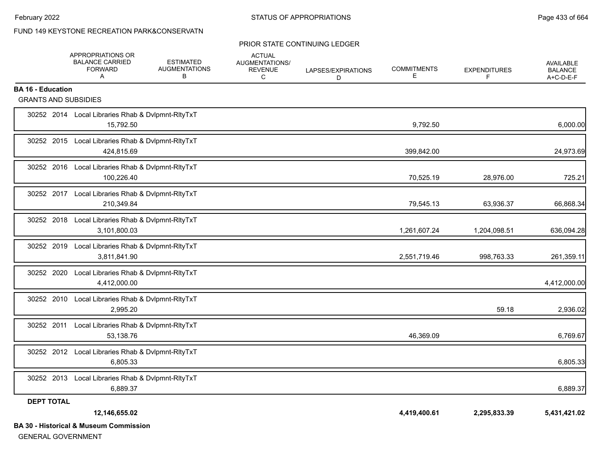## FUND 149 KEYSTONE RECREATION PARK&CONSERVATN

#### PRIOR STATE CONTINUING LEDGER

|                             | APPROPRIATIONS OR<br><b>BALANCE CARRIED</b><br><b>FORWARD</b><br>A | <b>ESTIMATED</b><br><b>AUGMENTATIONS</b><br>В | <b>ACTUAL</b><br>AUGMENTATIONS/<br><b>REVENUE</b><br>C | LAPSES/EXPIRATIONS<br>D | <b>COMMITMENTS</b><br>Е | <b>EXPENDITURES</b><br>F | AVAILABLE<br><b>BALANCE</b><br>A+C-D-E-F |
|-----------------------------|--------------------------------------------------------------------|-----------------------------------------------|--------------------------------------------------------|-------------------------|-------------------------|--------------------------|------------------------------------------|
| <b>BA 16 - Education</b>    |                                                                    |                                               |                                                        |                         |                         |                          |                                          |
| <b>GRANTS AND SUBSIDIES</b> |                                                                    |                                               |                                                        |                         |                         |                          |                                          |
|                             | 30252 2014 Local Libraries Rhab & Dvlpmnt-RltyTxT<br>15,792.50     |                                               |                                                        |                         | 9,792.50                |                          | 6,000.00                                 |
|                             | 30252 2015 Local Libraries Rhab & Dvlpmnt-RltyTxT<br>424,815.69    |                                               |                                                        |                         | 399,842.00              |                          | 24,973.69                                |
|                             | 30252 2016 Local Libraries Rhab & Dvlpmnt-RltyTxT<br>100,226.40    |                                               |                                                        |                         | 70,525.19               | 28,976.00                | 725.21                                   |
|                             | 30252 2017 Local Libraries Rhab & Dvlpmnt-RltyTxT<br>210,349.84    |                                               |                                                        |                         | 79,545.13               | 63,936.37                | 66,868.34                                |
|                             | 30252 2018 Local Libraries Rhab & Dvlpmnt-RltyTxT<br>3,101,800.03  |                                               |                                                        |                         | 1,261,607.24            | 1,204,098.51             | 636,094.28                               |
| 30252 2019                  | Local Libraries Rhab & Dvlpmnt-RltyTxT<br>3,811,841.90             |                                               |                                                        |                         | 2,551,719.46            | 998,763.33               | 261,359.11                               |
| 30252 2020                  | Local Libraries Rhab & Dvlpmnt-RltyTxT<br>4,412,000.00             |                                               |                                                        |                         |                         |                          | 4,412,000.00                             |
|                             | 30252 2010 Local Libraries Rhab & Dvlpmnt-RltyTxT<br>2,995.20      |                                               |                                                        |                         |                         | 59.18                    | 2,936.02                                 |
| 30252 2011                  | Local Libraries Rhab & Dvlpmnt-RltyTxT<br>53,138.76                |                                               |                                                        |                         | 46,369.09               |                          | 6,769.67                                 |
|                             | 30252 2012 Local Libraries Rhab & Dvlpmnt-RltyTxT<br>6,805.33      |                                               |                                                        |                         |                         |                          | 6,805.33                                 |
|                             | 30252 2013 Local Libraries Rhab & Dvlpmnt-RltyTxT<br>6,889.37      |                                               |                                                        |                         |                         |                          | 6,889.37                                 |
| <b>DEPT TOTAL</b>           |                                                                    |                                               |                                                        |                         |                         |                          |                                          |
|                             | 12,146,655.02                                                      |                                               |                                                        |                         | 4,419,400.61            | 2,295,833.39             | 5,431,421.02                             |
|                             | <b>BA 30 - Historical &amp; Museum Commission</b>                  |                                               |                                                        |                         |                         |                          |                                          |

GENERAL GOVERNMENT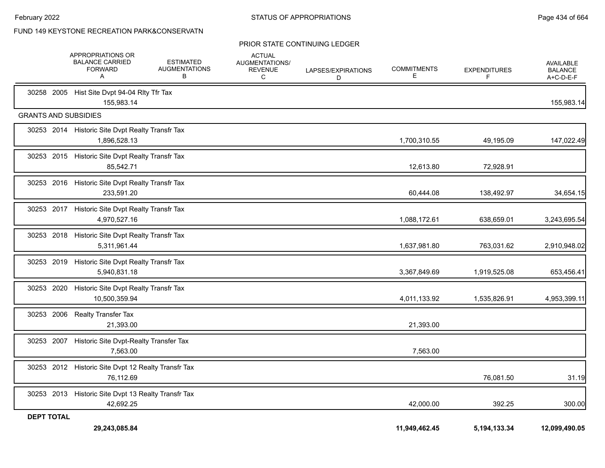### FUND 149 KEYSTONE RECREATION PARK&CONSERVATN

#### PRIOR STATE CONTINUING LEDGER

|                             | APPROPRIATIONS OR<br><b>BALANCE CARRIED</b><br><b>FORWARD</b><br>Α | <b>ESTIMATED</b><br><b>AUGMENTATIONS</b><br>В | <b>ACTUAL</b><br>AUGMENTATIONS/<br><b>REVENUE</b><br>C | LAPSES/EXPIRATIONS<br>D | <b>COMMITMENTS</b><br>E. | <b>EXPENDITURES</b><br>F | AVAILABLE<br><b>BALANCE</b><br>A+C-D-E-F |
|-----------------------------|--------------------------------------------------------------------|-----------------------------------------------|--------------------------------------------------------|-------------------------|--------------------------|--------------------------|------------------------------------------|
|                             | 30258 2005 Hist Site Dvpt 94-04 Rlty Tfr Tax<br>155,983.14         |                                               |                                                        |                         |                          |                          | 155,983.14                               |
| <b>GRANTS AND SUBSIDIES</b> |                                                                    |                                               |                                                        |                         |                          |                          |                                          |
|                             | 30253 2014 Historic Site Dvpt Realty Transfr Tax<br>1,896,528.13   |                                               |                                                        |                         | 1,700,310.55             | 49,195.09                | 147,022.49                               |
|                             | 30253 2015 Historic Site Dvpt Realty Transfr Tax<br>85,542.71      |                                               |                                                        |                         | 12,613.80                | 72,928.91                |                                          |
|                             | 30253 2016 Historic Site Dvpt Realty Transfr Tax<br>233,591.20     |                                               |                                                        |                         | 60,444.08                | 138,492.97               | 34,654.15                                |
|                             | 30253 2017 Historic Site Dvpt Realty Transfr Tax<br>4,970,527.16   |                                               |                                                        |                         | 1,088,172.61             | 638,659.01               | 3,243,695.54                             |
| 30253 2018                  | Historic Site Dvpt Realty Transfr Tax<br>5,311,961.44              |                                               |                                                        |                         | 1,637,981.80             | 763,031.62               | 2,910,948.02                             |
| 30253 2019                  | Historic Site Dvpt Realty Transfr Tax<br>5,940,831.18              |                                               |                                                        |                         | 3,367,849.69             | 1,919,525.08             | 653,456.41                               |
| 30253 2020                  | Historic Site Dvpt Realty Transfr Tax<br>10,500,359.94             |                                               |                                                        |                         | 4,011,133.92             | 1,535,826.91             | 4,953,399.11                             |
| 30253 2006                  | <b>Realty Transfer Tax</b><br>21,393.00                            |                                               |                                                        |                         | 21,393.00                |                          |                                          |
| 30253 2007                  | Historic Site Dvpt-Realty Transfer Tax<br>7,563.00                 |                                               |                                                        |                         | 7,563.00                 |                          |                                          |
|                             | 30253 2012 Historic Site Dvpt 12 Realty Transfr Tax<br>76,112.69   |                                               |                                                        |                         |                          | 76,081.50                | 31.19                                    |
|                             | 30253 2013 Historic Site Dvpt 13 Realty Transfr Tax<br>42,692.25   |                                               |                                                        |                         | 42,000.00                | 392.25                   | 300.00                                   |
| <b>DEPT TOTAL</b>           | 29,243,085.84                                                      |                                               |                                                        |                         | 11,949,462.45            | 5,194,133.34             | 12,099,490.05                            |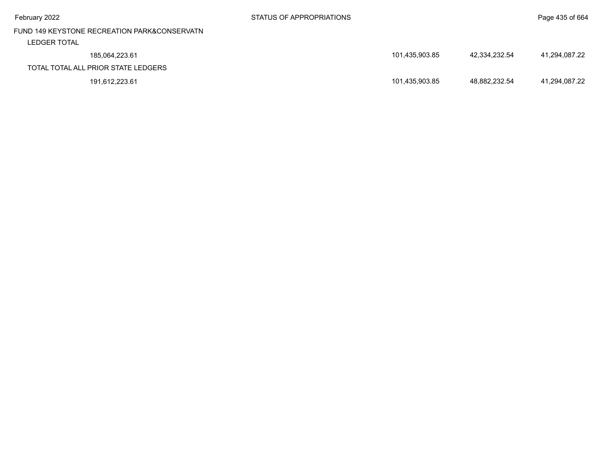| February 2022                                                | STATUS OF APPROPRIATIONS | Page 435 of 664                |
|--------------------------------------------------------------|--------------------------|--------------------------------|
| FUND 149 KEYSTONE RECREATION PARK&CONSERVATN<br>LEDGER TOTAL |                          |                                |
| 185,064,223.61                                               | 101,435,903.85           | 42.334.232.54<br>41.294.087.22 |
| TOTAL TOTAL ALL PRIOR STATE LEDGERS                          |                          |                                |
| 191,612,223.61                                               | 101,435,903.85           | 48.882.232.54<br>41.294.087.22 |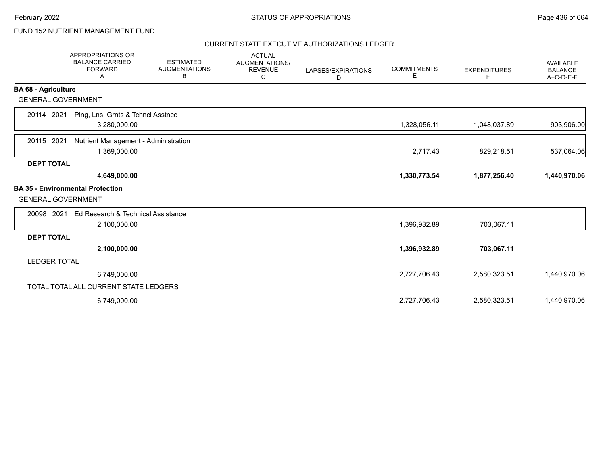## FUND 152 NUTRIENT MANAGEMENT FUND

|                            | <b>APPROPRIATIONS OR</b><br><b>BALANCE CARRIED</b><br><b>FORWARD</b><br>Α | <b>ESTIMATED</b><br><b>AUGMENTATIONS</b><br>В | <b>ACTUAL</b><br>AUGMENTATIONS/<br><b>REVENUE</b><br>C | LAPSES/EXPIRATIONS<br>D | <b>COMMITMENTS</b><br>Е | <b>EXPENDITURES</b><br>F | <b>AVAILABLE</b><br><b>BALANCE</b><br>A+C-D-E-F |
|----------------------------|---------------------------------------------------------------------------|-----------------------------------------------|--------------------------------------------------------|-------------------------|-------------------------|--------------------------|-------------------------------------------------|
| <b>BA 68 - Agriculture</b> |                                                                           |                                               |                                                        |                         |                         |                          |                                                 |
| <b>GENERAL GOVERNMENT</b>  |                                                                           |                                               |                                                        |                         |                         |                          |                                                 |
| 20114 2021                 | Plng, Lns, Grnts & Tchncl Asstnce<br>3,280,000.00                         |                                               |                                                        |                         | 1,328,056.11            | 1,048,037.89             | 903,906.00                                      |
| 20115 2021                 | Nutrient Management - Administration<br>1,369,000.00                      |                                               |                                                        |                         | 2,717.43                | 829,218.51               | 537,064.06                                      |
| <b>DEPT TOTAL</b>          |                                                                           |                                               |                                                        |                         |                         |                          |                                                 |
|                            | 4,649,000.00                                                              |                                               |                                                        |                         | 1,330,773.54            | 1,877,256.40             | 1,440,970.06                                    |
| <b>GENERAL GOVERNMENT</b>  | <b>BA 35 - Environmental Protection</b>                                   |                                               |                                                        |                         |                         |                          |                                                 |
| 20098 2021                 | Ed Research & Technical Assistance                                        |                                               |                                                        |                         |                         |                          |                                                 |
|                            | 2,100,000.00                                                              |                                               |                                                        |                         | 1,396,932.89            | 703,067.11               |                                                 |
| <b>DEPT TOTAL</b>          |                                                                           |                                               |                                                        |                         |                         |                          |                                                 |
|                            | 2,100,000.00                                                              |                                               |                                                        |                         | 1,396,932.89            | 703,067.11               |                                                 |
| <b>LEDGER TOTAL</b>        |                                                                           |                                               |                                                        |                         |                         |                          |                                                 |
|                            | 6,749,000.00                                                              |                                               |                                                        |                         | 2,727,706.43            | 2,580,323.51             | 1,440,970.06                                    |
|                            | TOTAL TOTAL ALL CURRENT STATE LEDGERS                                     |                                               |                                                        |                         |                         |                          |                                                 |
|                            | 6,749,000.00                                                              |                                               |                                                        |                         | 2,727,706.43            | 2,580,323.51             | 1,440,970.06                                    |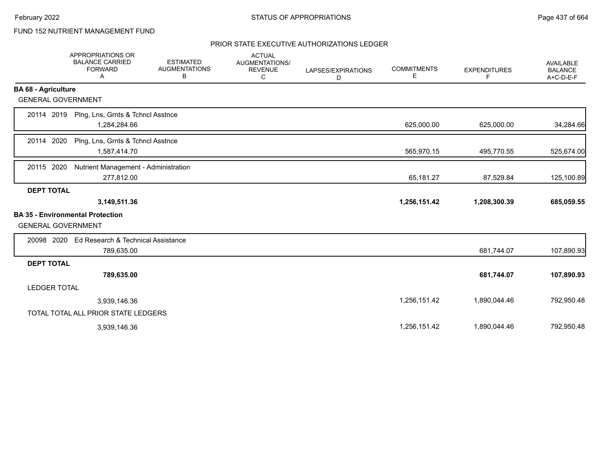# FUND 152 NUTRIENT MANAGEMENT FUND

|                            | APPROPRIATIONS OR<br><b>BALANCE CARRIED</b><br><b>FORWARD</b><br>Α | <b>ESTIMATED</b><br><b>AUGMENTATIONS</b><br>В | <b>ACTUAL</b><br>AUGMENTATIONS/<br><b>REVENUE</b><br>C | LAPSES/EXPIRATIONS<br>D | <b>COMMITMENTS</b><br>Е | <b>EXPENDITURES</b><br>F. | <b>AVAILABLE</b><br><b>BALANCE</b><br>A+C-D-E-F |
|----------------------------|--------------------------------------------------------------------|-----------------------------------------------|--------------------------------------------------------|-------------------------|-------------------------|---------------------------|-------------------------------------------------|
| <b>BA 68 - Agriculture</b> |                                                                    |                                               |                                                        |                         |                         |                           |                                                 |
| <b>GENERAL GOVERNMENT</b>  |                                                                    |                                               |                                                        |                         |                         |                           |                                                 |
| 20114 2019                 | Plng, Lns, Grnts & Tchncl Asstnce<br>1,284,284.66                  |                                               |                                                        |                         | 625,000.00              | 625,000.00                | 34,284.66                                       |
| 20114 2020                 | Plng, Lns, Grnts & Tchncl Asstnce<br>1,587,414.70                  |                                               |                                                        |                         | 565,970.15              | 495,770.55                | 525,674.00                                      |
| 20115 2020                 | Nutrient Management - Administration<br>277,812.00                 |                                               |                                                        |                         | 65,181.27               | 87,529.84                 | 125,100.89                                      |
| <b>DEPT TOTAL</b>          |                                                                    |                                               |                                                        |                         |                         |                           |                                                 |
|                            | 3,149,511.36                                                       |                                               |                                                        |                         | 1,256,151.42            | 1,208,300.39              | 685,059.55                                      |
| <b>GENERAL GOVERNMENT</b>  | <b>BA 35 - Environmental Protection</b>                            |                                               |                                                        |                         |                         |                           |                                                 |
| 20098 2020                 | Ed Research & Technical Assistance<br>789,635.00                   |                                               |                                                        |                         |                         | 681,744.07                | 107,890.93                                      |
| <b>DEPT TOTAL</b>          |                                                                    |                                               |                                                        |                         |                         |                           |                                                 |
|                            | 789,635.00                                                         |                                               |                                                        |                         |                         | 681,744.07                | 107,890.93                                      |
| <b>LEDGER TOTAL</b>        |                                                                    |                                               |                                                        |                         |                         |                           |                                                 |
|                            | 3,939,146.36                                                       |                                               |                                                        |                         | 1,256,151.42            | 1,890,044.46              | 792,950.48                                      |
|                            | TOTAL TOTAL ALL PRIOR STATE LEDGERS                                |                                               |                                                        |                         |                         |                           |                                                 |
|                            | 3,939,146.36                                                       |                                               |                                                        |                         | 1,256,151.42            | 1,890,044.46              | 792,950.48                                      |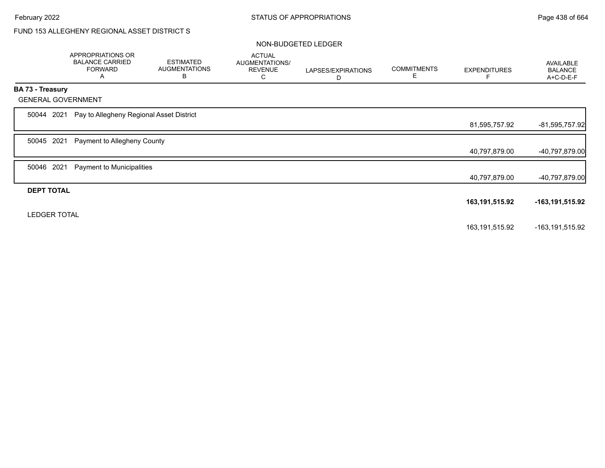# FUND 153 ALLEGHENY REGIONAL ASSET DISTRICT S

#### NON-BUDGETED LEDGER

|                     | APPROPRIATIONS OR<br><b>BALANCE CARRIED</b><br><b>FORWARD</b><br>A | <b>ESTIMATED</b><br><b>AUGMENTATIONS</b><br>В | <b>ACTUAL</b><br>AUGMENTATIONS/<br><b>REVENUE</b><br>С | LAPSES/EXPIRATIONS<br>D | <b>COMMITMENTS</b><br>Е | <b>EXPENDITURES</b> | AVAILABLE<br><b>BALANCE</b><br>A+C-D-E-F |
|---------------------|--------------------------------------------------------------------|-----------------------------------------------|--------------------------------------------------------|-------------------------|-------------------------|---------------------|------------------------------------------|
| BA 73 - Treasury    |                                                                    |                                               |                                                        |                         |                         |                     |                                          |
|                     | <b>GENERAL GOVERNMENT</b>                                          |                                               |                                                        |                         |                         |                     |                                          |
| 50044               | Pay to Allegheny Regional Asset District<br>2021                   |                                               |                                                        |                         |                         |                     |                                          |
|                     |                                                                    |                                               |                                                        |                         |                         | 81,595,757.92       | $-81,595,757.92$                         |
| 50045               | 2021<br>Payment to Allegheny County                                |                                               |                                                        |                         |                         |                     |                                          |
|                     |                                                                    |                                               |                                                        |                         |                         | 40,797,879.00       | -40,797,879.00                           |
| 50046               | 2021<br>Payment to Municipalities                                  |                                               |                                                        |                         |                         |                     |                                          |
|                     |                                                                    |                                               |                                                        |                         |                         | 40,797,879.00       | -40,797,879.00                           |
| <b>DEPT TOTAL</b>   |                                                                    |                                               |                                                        |                         |                         |                     |                                          |
|                     |                                                                    |                                               |                                                        |                         |                         | 163, 191, 515. 92   | -163,191,515.92                          |
| <b>LEDGER TOTAL</b> |                                                                    |                                               |                                                        |                         |                         |                     |                                          |
|                     |                                                                    |                                               |                                                        |                         |                         | 163,191,515.92      | -163,191,515.92                          |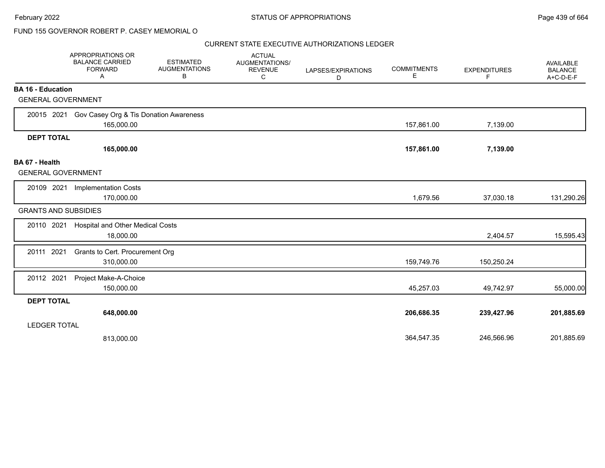## FUND 155 GOVERNOR ROBERT P. CASEY MEMORIAL O

|                                                       | APPROPRIATIONS OR<br><b>BALANCE CARRIED</b><br><b>FORWARD</b><br>A | <b>ESTIMATED</b><br><b>AUGMENTATIONS</b><br>В | <b>ACTUAL</b><br>AUGMENTATIONS/<br><b>REVENUE</b><br>C | LAPSES/EXPIRATIONS<br>D | <b>COMMITMENTS</b><br>E | <b>EXPENDITURES</b><br>F | <b>AVAILABLE</b><br><b>BALANCE</b><br>A+C-D-E-F |
|-------------------------------------------------------|--------------------------------------------------------------------|-----------------------------------------------|--------------------------------------------------------|-------------------------|-------------------------|--------------------------|-------------------------------------------------|
| <b>BA 16 - Education</b><br><b>GENERAL GOVERNMENT</b> |                                                                    |                                               |                                                        |                         |                         |                          |                                                 |
|                                                       |                                                                    |                                               |                                                        |                         |                         |                          |                                                 |
| 20015 2021                                            | Gov Casey Org & Tis Donation Awareness<br>165,000.00               |                                               |                                                        |                         | 157,861.00              | 7,139.00                 |                                                 |
| <b>DEPT TOTAL</b>                                     |                                                                    |                                               |                                                        |                         |                         |                          |                                                 |
|                                                       | 165,000.00                                                         |                                               |                                                        |                         | 157,861.00              | 7,139.00                 |                                                 |
| BA 67 - Health<br><b>GENERAL GOVERNMENT</b>           |                                                                    |                                               |                                                        |                         |                         |                          |                                                 |
| 20109 2021                                            | <b>Implementation Costs</b>                                        |                                               |                                                        |                         |                         |                          |                                                 |
|                                                       | 170,000.00                                                         |                                               |                                                        |                         | 1,679.56                | 37,030.18                | 131,290.26                                      |
| <b>GRANTS AND SUBSIDIES</b>                           |                                                                    |                                               |                                                        |                         |                         |                          |                                                 |
| 20110 2021                                            | <b>Hospital and Other Medical Costs</b><br>18,000.00               |                                               |                                                        |                         |                         | 2,404.57                 | 15,595.43                                       |
| 20111 2021                                            | Grants to Cert. Procurement Org<br>310,000.00                      |                                               |                                                        |                         | 159,749.76              | 150,250.24               |                                                 |
| 20112 2021                                            | Project Make-A-Choice<br>150,000.00                                |                                               |                                                        |                         | 45,257.03               | 49,742.97                | 55,000.00                                       |
| <b>DEPT TOTAL</b>                                     |                                                                    |                                               |                                                        |                         |                         |                          |                                                 |
|                                                       | 648,000.00                                                         |                                               |                                                        |                         | 206,686.35              | 239,427.96               | 201,885.69                                      |
| <b>LEDGER TOTAL</b>                                   |                                                                    |                                               |                                                        |                         |                         |                          |                                                 |
|                                                       | 813,000.00                                                         |                                               |                                                        |                         | 364,547.35              | 246,566.96               | 201,885.69                                      |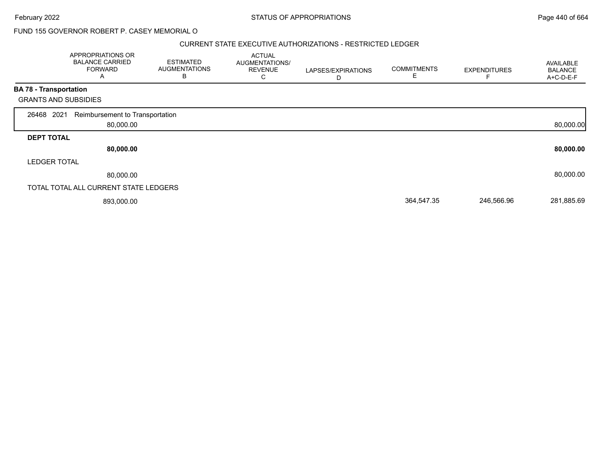#### February 2022 **STATUS OF APPROPRIATIONS** STATUS OF APPROPRIATIONS

## FUND 155 GOVERNOR ROBERT P. CASEY MEMORIAL O

#### CURRENT STATE EXECUTIVE AUTHORIZATIONS - RESTRICTED LEDGER

|                               | APPROPRIATIONS OR<br><b>BALANCE CARRIED</b><br><b>FORWARD</b><br>A | <b>ESTIMATED</b><br><b>AUGMENTATIONS</b><br>в | <b>ACTUAL</b><br>AUGMENTATIONS/<br><b>REVENUE</b><br>С | LAPSES/EXPIRATIONS<br>D | <b>COMMITMENTS</b><br>E. | <b>EXPENDITURES</b> | <b>AVAILABLE</b><br><b>BALANCE</b><br>A+C-D-E-F |
|-------------------------------|--------------------------------------------------------------------|-----------------------------------------------|--------------------------------------------------------|-------------------------|--------------------------|---------------------|-------------------------------------------------|
| <b>BA 78 - Transportation</b> |                                                                    |                                               |                                                        |                         |                          |                     |                                                 |
|                               | <b>GRANTS AND SUBSIDIES</b>                                        |                                               |                                                        |                         |                          |                     |                                                 |
| 26468 2021                    | Reimbursement to Transportation                                    |                                               |                                                        |                         |                          |                     |                                                 |
|                               | 80,000.00                                                          |                                               |                                                        |                         |                          |                     | 80,000.00                                       |
| <b>DEPT TOTAL</b>             |                                                                    |                                               |                                                        |                         |                          |                     |                                                 |
|                               | 80,000.00                                                          |                                               |                                                        |                         |                          |                     | 80,000.00                                       |
| <b>LEDGER TOTAL</b>           |                                                                    |                                               |                                                        |                         |                          |                     |                                                 |
|                               | 80,000.00                                                          |                                               |                                                        |                         |                          |                     | 80,000.00                                       |
|                               | TOTAL TOTAL ALL CURRENT STATE LEDGERS                              |                                               |                                                        |                         |                          |                     |                                                 |
|                               | 893,000.00                                                         |                                               |                                                        |                         | 364,547.35               | 246,566.96          | 281,885.69                                      |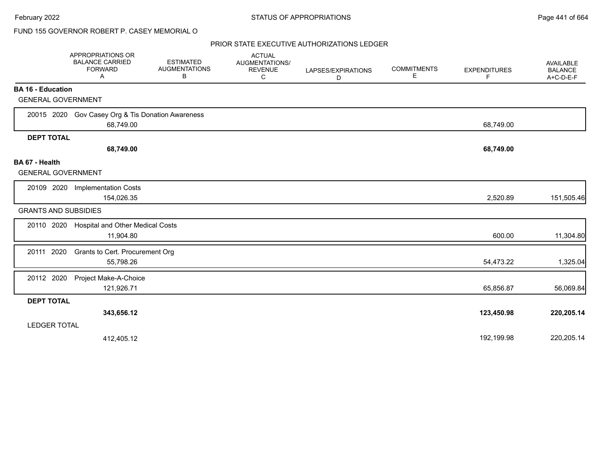## FUND 155 GOVERNOR ROBERT P. CASEY MEMORIAL O

|                                             | APPROPRIATIONS OR<br><b>BALANCE CARRIED</b><br><b>FORWARD</b><br>Α | <b>ESTIMATED</b><br><b>AUGMENTATIONS</b><br>В | <b>ACTUAL</b><br><b>AUGMENTATIONS/</b><br><b>REVENUE</b><br>C | LAPSES/EXPIRATIONS<br>D | <b>COMMITMENTS</b><br>E. | <b>EXPENDITURES</b><br>F | <b>AVAILABLE</b><br><b>BALANCE</b><br>A+C-D-E-F |
|---------------------------------------------|--------------------------------------------------------------------|-----------------------------------------------|---------------------------------------------------------------|-------------------------|--------------------------|--------------------------|-------------------------------------------------|
| <b>BA 16 - Education</b>                    |                                                                    |                                               |                                                               |                         |                          |                          |                                                 |
| <b>GENERAL GOVERNMENT</b>                   |                                                                    |                                               |                                                               |                         |                          |                          |                                                 |
| 20015 2020                                  | Gov Casey Org & Tis Donation Awareness<br>68,749.00                |                                               |                                                               |                         |                          | 68,749.00                |                                                 |
| <b>DEPT TOTAL</b>                           |                                                                    |                                               |                                                               |                         |                          |                          |                                                 |
|                                             | 68,749.00                                                          |                                               |                                                               |                         |                          | 68,749.00                |                                                 |
| BA 67 - Health<br><b>GENERAL GOVERNMENT</b> |                                                                    |                                               |                                                               |                         |                          |                          |                                                 |
| 20109 2020                                  | <b>Implementation Costs</b><br>154,026.35                          |                                               |                                                               |                         |                          | 2,520.89                 | 151,505.46                                      |
| <b>GRANTS AND SUBSIDIES</b>                 |                                                                    |                                               |                                                               |                         |                          |                          |                                                 |
| 20110 2020                                  | Hospital and Other Medical Costs<br>11,904.80                      |                                               |                                                               |                         |                          | 600.00                   | 11,304.80                                       |
| 20111 2020                                  | Grants to Cert. Procurement Org<br>55,798.26                       |                                               |                                                               |                         |                          | 54,473.22                | 1,325.04                                        |
| 20112 2020                                  | Project Make-A-Choice<br>121,926.71                                |                                               |                                                               |                         |                          | 65,856.87                | 56,069.84                                       |
| <b>DEPT TOTAL</b>                           |                                                                    |                                               |                                                               |                         |                          |                          |                                                 |
|                                             | 343,656.12                                                         |                                               |                                                               |                         |                          | 123,450.98               | 220,205.14                                      |
| <b>LEDGER TOTAL</b>                         |                                                                    |                                               |                                                               |                         |                          |                          |                                                 |
|                                             | 412,405.12                                                         |                                               |                                                               |                         |                          | 192,199.98               | 220,205.14                                      |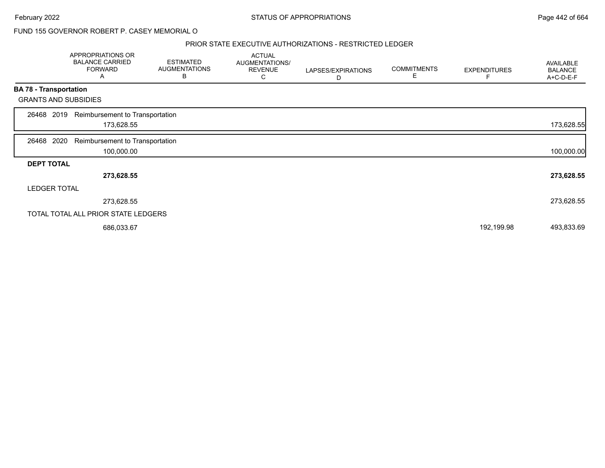#### February 2022 **Example 2022** Page 442 of 664

FUND 155 GOVERNOR ROBERT P. CASEY MEMORIAL O

#### PRIOR STATE EXECUTIVE AUTHORIZATIONS - RESTRICTED LEDGER

|                   | APPROPRIATIONS OR<br><b>BALANCE CARRIED</b><br><b>FORWARD</b><br>A | <b>ESTIMATED</b><br><b>AUGMENTATIONS</b><br>В | <b>ACTUAL</b><br>AUGMENTATIONS/<br><b>REVENUE</b><br>C | LAPSES/EXPIRATIONS<br>D | <b>COMMITMENTS</b><br>Е | <b>EXPENDITURES</b> | AVAILABLE<br><b>BALANCE</b><br>A+C-D-E-F |
|-------------------|--------------------------------------------------------------------|-----------------------------------------------|--------------------------------------------------------|-------------------------|-------------------------|---------------------|------------------------------------------|
|                   | <b>BA 78 - Transportation</b>                                      |                                               |                                                        |                         |                         |                     |                                          |
|                   | <b>GRANTS AND SUBSIDIES</b>                                        |                                               |                                                        |                         |                         |                     |                                          |
| 26468 2019        | Reimbursement to Transportation<br>173,628.55                      |                                               |                                                        |                         |                         |                     | 173,628.55                               |
| 26468             | 2020<br>Reimbursement to Transportation<br>100,000.00              |                                               |                                                        |                         |                         |                     | 100,000.00                               |
| <b>DEPT TOTAL</b> |                                                                    |                                               |                                                        |                         |                         |                     |                                          |
|                   | 273,628.55                                                         |                                               |                                                        |                         |                         |                     | 273,628.55                               |
|                   | <b>LEDGER TOTAL</b>                                                |                                               |                                                        |                         |                         |                     |                                          |
|                   | 273,628.55                                                         |                                               |                                                        |                         |                         |                     | 273,628.55                               |
|                   | TOTAL TOTAL ALL PRIOR STATE LEDGERS                                |                                               |                                                        |                         |                         |                     |                                          |
|                   | 686,033.67                                                         |                                               |                                                        |                         |                         | 192,199.98          | 493,833.69                               |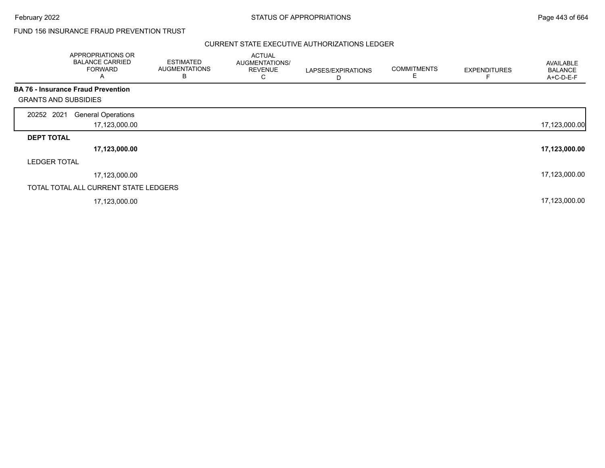## FUND 156 INSURANCE FRAUD PREVENTION TRUST

|                             | APPROPRIATIONS OR<br><b>BALANCE CARRIED</b><br><b>FORWARD</b><br>A | <b>ESTIMATED</b><br><b>AUGMENTATIONS</b><br>B | <b>ACTUAL</b><br>AUGMENTATIONS/<br><b>REVENUE</b><br>С | LAPSES/EXPIRATIONS<br>D | <b>COMMITMENTS</b><br>Е | <b>EXPENDITURES</b> | AVAILABLE<br><b>BALANCE</b><br>A+C-D-E-F |
|-----------------------------|--------------------------------------------------------------------|-----------------------------------------------|--------------------------------------------------------|-------------------------|-------------------------|---------------------|------------------------------------------|
|                             | <b>BA 76 - Insurance Fraud Prevention</b>                          |                                               |                                                        |                         |                         |                     |                                          |
| <b>GRANTS AND SUBSIDIES</b> |                                                                    |                                               |                                                        |                         |                         |                     |                                          |
| 20252 2021                  | <b>General Operations</b>                                          |                                               |                                                        |                         |                         |                     |                                          |
|                             | 17,123,000.00                                                      |                                               |                                                        |                         |                         |                     | 17,123,000.00                            |
| <b>DEPT TOTAL</b>           |                                                                    |                                               |                                                        |                         |                         |                     |                                          |
|                             | 17,123,000.00                                                      |                                               |                                                        |                         |                         |                     | 17,123,000.00                            |
| <b>LEDGER TOTAL</b>         |                                                                    |                                               |                                                        |                         |                         |                     |                                          |
|                             | 17,123,000.00                                                      |                                               |                                                        |                         |                         |                     | 17,123,000.00                            |
|                             | TOTAL TOTAL ALL CURRENT STATE LEDGERS                              |                                               |                                                        |                         |                         |                     |                                          |
|                             | 17,123,000.00                                                      |                                               |                                                        |                         |                         |                     | 17,123,000.00                            |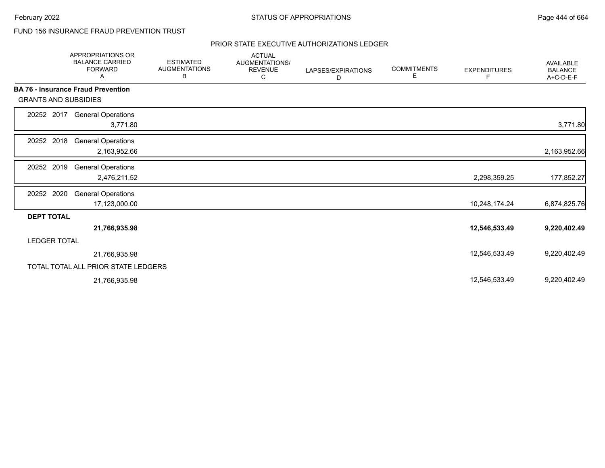## FUND 156 INSURANCE FRAUD PREVENTION TRUST

|                             | <b>APPROPRIATIONS OR</b><br><b>BALANCE CARRIED</b><br><b>FORWARD</b><br>Α | <b>ESTIMATED</b><br><b>AUGMENTATIONS</b><br>В | <b>ACTUAL</b><br><b>AUGMENTATIONS/</b><br><b>REVENUE</b><br>С | LAPSES/EXPIRATIONS<br>D | <b>COMMITMENTS</b><br>Е | <b>EXPENDITURES</b><br>F | <b>AVAILABLE</b><br><b>BALANCE</b><br>A+C-D-E-F |
|-----------------------------|---------------------------------------------------------------------------|-----------------------------------------------|---------------------------------------------------------------|-------------------------|-------------------------|--------------------------|-------------------------------------------------|
|                             | <b>BA 76 - Insurance Fraud Prevention</b>                                 |                                               |                                                               |                         |                         |                          |                                                 |
| <b>GRANTS AND SUBSIDIES</b> |                                                                           |                                               |                                                               |                         |                         |                          |                                                 |
| 20252 2017                  | <b>General Operations</b><br>3,771.80                                     |                                               |                                                               |                         |                         |                          | 3,771.80                                        |
| 20252 2018                  | <b>General Operations</b><br>2,163,952.66                                 |                                               |                                                               |                         |                         |                          | 2,163,952.66                                    |
| 20252 2019                  | <b>General Operations</b><br>2,476,211.52                                 |                                               |                                                               |                         |                         | 2,298,359.25             | 177,852.27                                      |
| 20252 2020                  | <b>General Operations</b><br>17,123,000.00                                |                                               |                                                               |                         |                         | 10,248,174.24            | 6,874,825.76                                    |
| <b>DEPT TOTAL</b>           |                                                                           |                                               |                                                               |                         |                         |                          |                                                 |
|                             | 21,766,935.98                                                             |                                               |                                                               |                         |                         | 12,546,533.49            | 9,220,402.49                                    |
| <b>LEDGER TOTAL</b>         |                                                                           |                                               |                                                               |                         |                         |                          |                                                 |
|                             | 21,766,935.98                                                             |                                               |                                                               |                         |                         | 12,546,533.49            | 9,220,402.49                                    |
|                             | TOTAL TOTAL ALL PRIOR STATE LEDGERS                                       |                                               |                                                               |                         |                         |                          |                                                 |
|                             | 21,766,935.98                                                             |                                               |                                                               |                         |                         | 12,546,533.49            | 9,220,402.49                                    |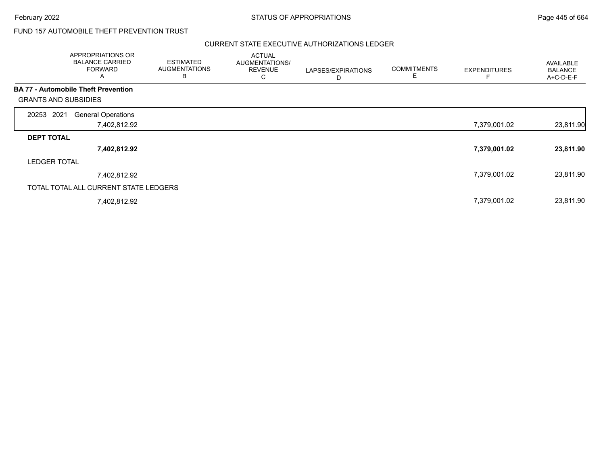## FUND 157 AUTOMOBILE THEFT PREVENTION TRUST

| APPROPRIATIONS OR<br><b>BALANCE CARRIED</b><br><b>FORWARD</b><br>A |              | <b>ESTIMATED</b><br><b>AUGMENTATIONS</b><br>B | <b>ACTUAL</b><br>AUGMENTATIONS/<br><b>REVENUE</b><br>С | LAPSES/EXPIRATIONS<br>D | <b>COMMITMENTS</b><br>Е | <b>EXPENDITURES</b> | AVAILABLE<br><b>BALANCE</b><br>A+C-D-E-F |
|--------------------------------------------------------------------|--------------|-----------------------------------------------|--------------------------------------------------------|-------------------------|-------------------------|---------------------|------------------------------------------|
| <b>BA 77 - Automobile Theft Prevention</b>                         |              |                                               |                                                        |                         |                         |                     |                                          |
| <b>GRANTS AND SUBSIDIES</b>                                        |              |                                               |                                                        |                         |                         |                     |                                          |
| 20253 2021<br><b>General Operations</b>                            |              |                                               |                                                        |                         |                         |                     |                                          |
|                                                                    | 7,402,812.92 |                                               |                                                        |                         |                         | 7,379,001.02        | 23,811.90                                |
| <b>DEPT TOTAL</b>                                                  |              |                                               |                                                        |                         |                         |                     |                                          |
|                                                                    | 7,402,812.92 |                                               |                                                        |                         |                         | 7,379,001.02        | 23,811.90                                |
| <b>LEDGER TOTAL</b>                                                |              |                                               |                                                        |                         |                         |                     |                                          |
|                                                                    | 7,402,812.92 |                                               |                                                        |                         |                         | 7,379,001.02        | 23,811.90                                |
| TOTAL TOTAL ALL CURRENT STATE LEDGERS                              |              |                                               |                                                        |                         |                         |                     |                                          |
|                                                                    | 7,402,812.92 |                                               |                                                        |                         |                         | 7,379,001.02        | 23,811.90                                |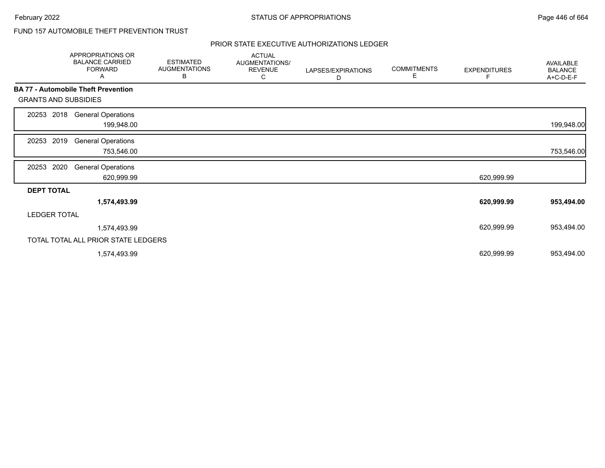## FUND 157 AUTOMOBILE THEFT PREVENTION TRUST

|                             | APPROPRIATIONS OR<br><b>BALANCE CARRIED</b><br><b>FORWARD</b><br>Α | <b>ESTIMATED</b><br><b>AUGMENTATIONS</b><br>В | <b>ACTUAL</b><br>AUGMENTATIONS/<br><b>REVENUE</b><br>С | LAPSES/EXPIRATIONS<br>D | <b>COMMITMENTS</b><br>Е | <b>EXPENDITURES</b> | AVAILABLE<br><b>BALANCE</b><br>A+C-D-E-F |
|-----------------------------|--------------------------------------------------------------------|-----------------------------------------------|--------------------------------------------------------|-------------------------|-------------------------|---------------------|------------------------------------------|
|                             | <b>BA 77 - Automobile Theft Prevention</b>                         |                                               |                                                        |                         |                         |                     |                                          |
| <b>GRANTS AND SUBSIDIES</b> |                                                                    |                                               |                                                        |                         |                         |                     |                                          |
| 2018<br>20253               | <b>General Operations</b><br>199,948.00                            |                                               |                                                        |                         |                         |                     | 199,948.00                               |
| 2019<br>20253               | <b>General Operations</b><br>753,546.00                            |                                               |                                                        |                         |                         |                     | 753,546.00                               |
| 2020<br>20253               | <b>General Operations</b><br>620,999.99                            |                                               |                                                        |                         |                         | 620,999.99          |                                          |
| <b>DEPT TOTAL</b>           |                                                                    |                                               |                                                        |                         |                         |                     |                                          |
|                             | 1,574,493.99                                                       |                                               |                                                        |                         |                         | 620,999.99          | 953,494.00                               |
| <b>LEDGER TOTAL</b>         |                                                                    |                                               |                                                        |                         |                         |                     |                                          |
|                             | 1,574,493.99                                                       |                                               |                                                        |                         |                         | 620,999.99          | 953,494.00                               |
|                             | TOTAL TOTAL ALL PRIOR STATE LEDGERS                                |                                               |                                                        |                         |                         |                     |                                          |
|                             | 1,574,493.99                                                       |                                               |                                                        |                         |                         | 620,999.99          | 953,494.00                               |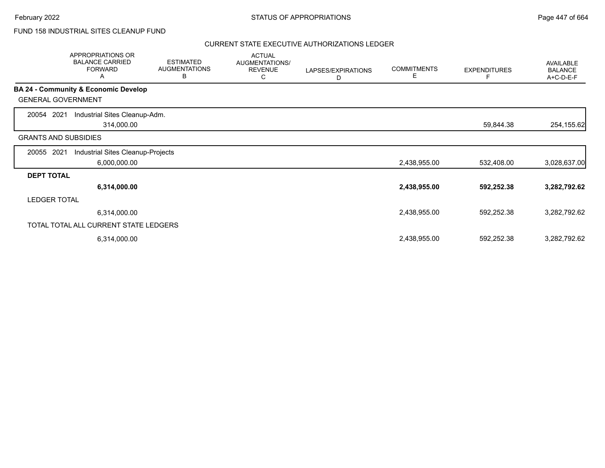## FUND 158 INDUSTRIAL SITES CLEANUP FUND

|                             | APPROPRIATIONS OR<br><b>BALANCE CARRIED</b><br><b>FORWARD</b><br>Α | <b>ESTIMATED</b><br><b>AUGMENTATIONS</b><br>В | <b>ACTUAL</b><br><b>AUGMENTATIONS/</b><br><b>REVENUE</b><br>С | LAPSES/EXPIRATIONS<br>D | <b>COMMITMENTS</b><br>E | <b>EXPENDITURES</b> | AVAILABLE<br><b>BALANCE</b><br>A+C-D-E-F |
|-----------------------------|--------------------------------------------------------------------|-----------------------------------------------|---------------------------------------------------------------|-------------------------|-------------------------|---------------------|------------------------------------------|
|                             | <b>BA 24 - Community &amp; Economic Develop</b>                    |                                               |                                                               |                         |                         |                     |                                          |
| <b>GENERAL GOVERNMENT</b>   |                                                                    |                                               |                                                               |                         |                         |                     |                                          |
| 2021<br>20054               | Industrial Sites Cleanup-Adm.                                      |                                               |                                                               |                         |                         |                     |                                          |
|                             | 314,000.00                                                         |                                               |                                                               |                         |                         | 59,844.38           | 254,155.62                               |
| <b>GRANTS AND SUBSIDIES</b> |                                                                    |                                               |                                                               |                         |                         |                     |                                          |
| 2021<br>20055               | Industrial Sites Cleanup-Projects                                  |                                               |                                                               |                         |                         |                     |                                          |
|                             | 6,000,000.00                                                       |                                               |                                                               |                         | 2,438,955.00            | 532,408.00          | 3,028,637.00                             |
| <b>DEPT TOTAL</b>           |                                                                    |                                               |                                                               |                         |                         |                     |                                          |
|                             | 6,314,000.00                                                       |                                               |                                                               |                         | 2,438,955.00            | 592,252.38          | 3,282,792.62                             |
| <b>LEDGER TOTAL</b>         |                                                                    |                                               |                                                               |                         |                         |                     |                                          |
|                             | 6,314,000.00                                                       |                                               |                                                               |                         | 2,438,955.00            | 592,252.38          | 3,282,792.62                             |
|                             | TOTAL TOTAL ALL CURRENT STATE LEDGERS                              |                                               |                                                               |                         |                         |                     |                                          |
|                             | 6,314,000.00                                                       |                                               |                                                               |                         | 2,438,955.00            | 592,252.38          | 3,282,792.62                             |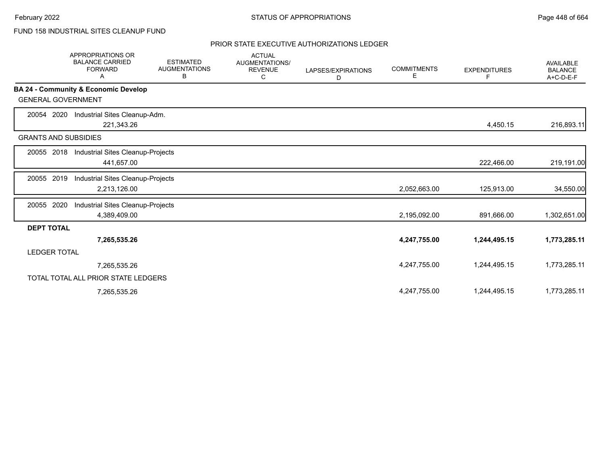# FUND 158 INDUSTRIAL SITES CLEANUP FUND

|                             | <b>APPROPRIATIONS OR</b><br><b>BALANCE CARRIED</b><br><b>FORWARD</b><br>A | <b>ESTIMATED</b><br><b>AUGMENTATIONS</b><br>В | <b>ACTUAL</b><br><b>AUGMENTATIONS/</b><br><b>REVENUE</b><br>С | LAPSES/EXPIRATIONS<br>D | <b>COMMITMENTS</b><br>Е | <b>EXPENDITURES</b><br>F | <b>AVAILABLE</b><br><b>BALANCE</b><br>A+C-D-E-F |
|-----------------------------|---------------------------------------------------------------------------|-----------------------------------------------|---------------------------------------------------------------|-------------------------|-------------------------|--------------------------|-------------------------------------------------|
|                             | BA 24 - Community & Economic Develop                                      |                                               |                                                               |                         |                         |                          |                                                 |
| <b>GENERAL GOVERNMENT</b>   |                                                                           |                                               |                                                               |                         |                         |                          |                                                 |
| 2020<br>20054               | Industrial Sites Cleanup-Adm.                                             |                                               |                                                               |                         |                         |                          |                                                 |
|                             | 221,343.26                                                                |                                               |                                                               |                         |                         | 4,450.15                 | 216,893.11                                      |
| <b>GRANTS AND SUBSIDIES</b> |                                                                           |                                               |                                                               |                         |                         |                          |                                                 |
| 20055 2018                  | Industrial Sites Cleanup-Projects                                         |                                               |                                                               |                         |                         |                          |                                                 |
|                             | 441,657.00                                                                |                                               |                                                               |                         |                         | 222,466.00               | 219,191.00                                      |
| 20055 2019                  | Industrial Sites Cleanup-Projects                                         |                                               |                                                               |                         |                         |                          |                                                 |
|                             | 2,213,126.00                                                              |                                               |                                                               |                         | 2,052,663.00            | 125,913.00               | 34,550.00                                       |
| 2020<br>20055               | Industrial Sites Cleanup-Projects                                         |                                               |                                                               |                         |                         |                          |                                                 |
|                             | 4,389,409.00                                                              |                                               |                                                               |                         | 2,195,092.00            | 891,666.00               | 1,302,651.00                                    |
| <b>DEPT TOTAL</b>           |                                                                           |                                               |                                                               |                         |                         |                          |                                                 |
|                             | 7,265,535.26                                                              |                                               |                                                               |                         | 4,247,755.00            | 1,244,495.15             | 1,773,285.11                                    |
| <b>LEDGER TOTAL</b>         |                                                                           |                                               |                                                               |                         |                         |                          |                                                 |
|                             | 7,265,535.26                                                              |                                               |                                                               |                         | 4,247,755.00            | 1,244,495.15             | 1,773,285.11                                    |
|                             | TOTAL TOTAL ALL PRIOR STATE LEDGERS                                       |                                               |                                                               |                         |                         |                          |                                                 |
|                             | 7,265,535.26                                                              |                                               |                                                               |                         | 4,247,755.00            | 1,244,495.15             | 1,773,285.11                                    |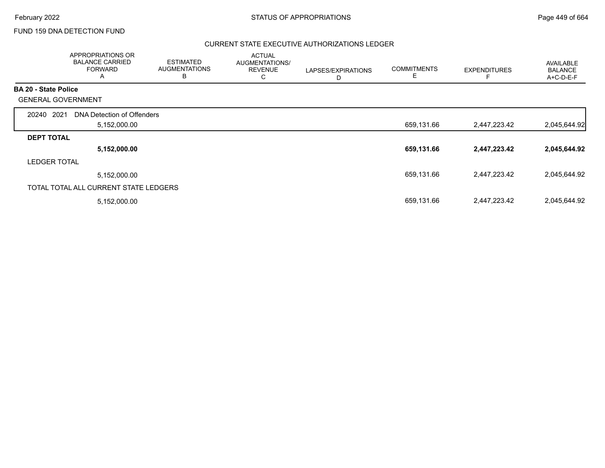## FUND 159 DNA DETECTION FUND

|                             | APPROPRIATIONS OR<br><b>BALANCE CARRIED</b><br><b>FORWARD</b><br>A | <b>ESTIMATED</b><br><b>AUGMENTATIONS</b><br>В | <b>ACTUAL</b><br>AUGMENTATIONS/<br><b>REVENUE</b><br>С | LAPSES/EXPIRATIONS<br>D | <b>COMMITMENTS</b><br>Е | <b>EXPENDITURES</b> | <b>AVAILABLE</b><br><b>BALANCE</b><br>A+C-D-E-F |
|-----------------------------|--------------------------------------------------------------------|-----------------------------------------------|--------------------------------------------------------|-------------------------|-------------------------|---------------------|-------------------------------------------------|
| <b>BA 20 - State Police</b> |                                                                    |                                               |                                                        |                         |                         |                     |                                                 |
|                             | <b>GENERAL GOVERNMENT</b>                                          |                                               |                                                        |                         |                         |                     |                                                 |
| 20240                       | 2021<br>DNA Detection of Offenders                                 |                                               |                                                        |                         |                         |                     |                                                 |
|                             | 5,152,000.00                                                       |                                               |                                                        |                         | 659,131.66              | 2,447,223.42        | 2,045,644.92                                    |
| <b>DEPT TOTAL</b>           |                                                                    |                                               |                                                        |                         |                         |                     |                                                 |
|                             | 5,152,000.00                                                       |                                               |                                                        |                         | 659,131.66              | 2,447,223.42        | 2,045,644.92                                    |
| <b>LEDGER TOTAL</b>         |                                                                    |                                               |                                                        |                         |                         |                     |                                                 |
|                             | 5,152,000.00                                                       |                                               |                                                        |                         | 659,131.66              | 2,447,223.42        | 2,045,644.92                                    |
|                             | TOTAL TOTAL ALL CURRENT STATE LEDGERS                              |                                               |                                                        |                         |                         |                     |                                                 |
|                             | 5,152,000.00                                                       |                                               |                                                        |                         | 659,131.66              | 2,447,223.42        | 2,045,644.92                                    |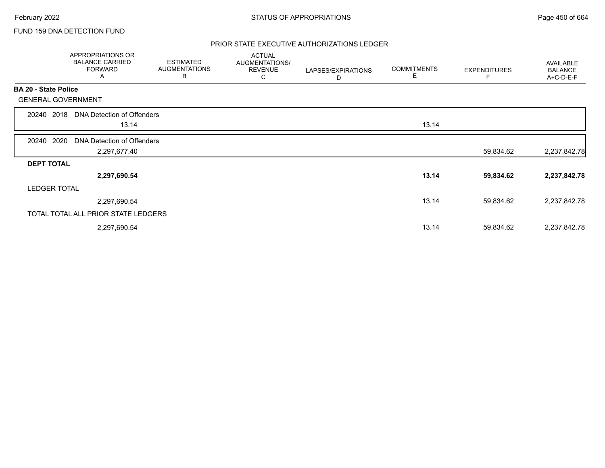## FUND 159 DNA DETECTION FUND

|                           | APPROPRIATIONS OR<br><b>BALANCE CARRIED</b><br><b>FORWARD</b><br>A | <b>ESTIMATED</b><br><b>AUGMENTATIONS</b><br>В | <b>ACTUAL</b><br>AUGMENTATIONS/<br><b>REVENUE</b><br>С | LAPSES/EXPIRATIONS<br>D | <b>COMMITMENTS</b><br>Е | <b>EXPENDITURES</b> | AVAILABLE<br><b>BALANCE</b><br>A+C-D-E-F |
|---------------------------|--------------------------------------------------------------------|-----------------------------------------------|--------------------------------------------------------|-------------------------|-------------------------|---------------------|------------------------------------------|
| BA 20 - State Police      |                                                                    |                                               |                                                        |                         |                         |                     |                                          |
| <b>GENERAL GOVERNMENT</b> |                                                                    |                                               |                                                        |                         |                         |                     |                                          |
| 2018<br>20240             | DNA Detection of Offenders                                         |                                               |                                                        |                         |                         |                     |                                          |
|                           | 13.14                                                              |                                               |                                                        |                         | 13.14                   |                     |                                          |
| 2020<br>20240             | DNA Detection of Offenders                                         |                                               |                                                        |                         |                         |                     |                                          |
|                           | 2,297,677.40                                                       |                                               |                                                        |                         |                         | 59,834.62           | 2,237,842.78                             |
| <b>DEPT TOTAL</b>         |                                                                    |                                               |                                                        |                         |                         |                     |                                          |
|                           | 2,297,690.54                                                       |                                               |                                                        |                         | 13.14                   | 59,834.62           | 2,237,842.78                             |
| <b>LEDGER TOTAL</b>       |                                                                    |                                               |                                                        |                         |                         |                     |                                          |
|                           | 2,297,690.54                                                       |                                               |                                                        |                         | 13.14                   | 59,834.62           | 2,237,842.78                             |
|                           | TOTAL TOTAL ALL PRIOR STATE LEDGERS                                |                                               |                                                        |                         |                         |                     |                                          |
|                           | 2,297,690.54                                                       |                                               |                                                        |                         | 13.14                   | 59,834.62           | 2,237,842.78                             |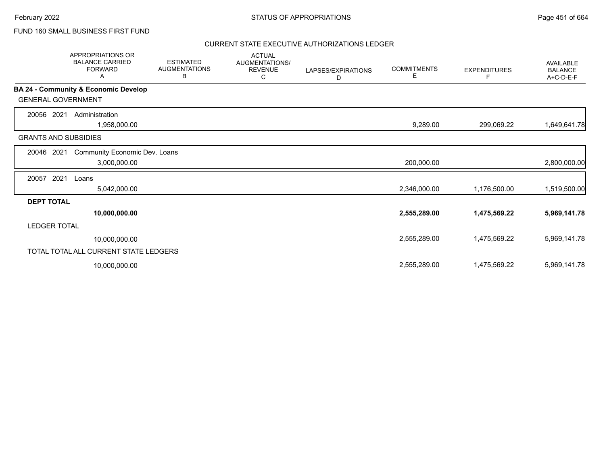## FUND 160 SMALL BUSINESS FIRST FUND

|                             | <b>APPROPRIATIONS OR</b><br><b>BALANCE CARRIED</b><br><b>FORWARD</b><br>Α | <b>ESTIMATED</b><br><b>AUGMENTATIONS</b><br>В | <b>ACTUAL</b><br><b>AUGMENTATIONS/</b><br><b>REVENUE</b><br>C | LAPSES/EXPIRATIONS<br>D | <b>COMMITMENTS</b><br>Е | <b>EXPENDITURES</b> | <b>AVAILABLE</b><br><b>BALANCE</b><br>A+C-D-E-F |
|-----------------------------|---------------------------------------------------------------------------|-----------------------------------------------|---------------------------------------------------------------|-------------------------|-------------------------|---------------------|-------------------------------------------------|
|                             | BA 24 - Community & Economic Develop                                      |                                               |                                                               |                         |                         |                     |                                                 |
| <b>GENERAL GOVERNMENT</b>   |                                                                           |                                               |                                                               |                         |                         |                     |                                                 |
| 20056<br>2021               | Administration                                                            |                                               |                                                               |                         |                         |                     |                                                 |
|                             | 1,958,000.00                                                              |                                               |                                                               |                         | 9,289.00                | 299,069.22          | 1,649,641.78                                    |
| <b>GRANTS AND SUBSIDIES</b> |                                                                           |                                               |                                                               |                         |                         |                     |                                                 |
| 2021<br>20046               | Community Economic Dev. Loans                                             |                                               |                                                               |                         |                         |                     |                                                 |
|                             | 3,000,000.00                                                              |                                               |                                                               |                         | 200,000.00              |                     | 2,800,000.00                                    |
| 2021<br>20057               | Loans                                                                     |                                               |                                                               |                         |                         |                     |                                                 |
|                             | 5,042,000.00                                                              |                                               |                                                               |                         | 2,346,000.00            | 1,176,500.00        | 1,519,500.00                                    |
| <b>DEPT TOTAL</b>           |                                                                           |                                               |                                                               |                         |                         |                     |                                                 |
|                             | 10,000,000.00                                                             |                                               |                                                               |                         | 2,555,289.00            | 1,475,569.22        | 5,969,141.78                                    |
| <b>LEDGER TOTAL</b>         |                                                                           |                                               |                                                               |                         |                         |                     |                                                 |
|                             | 10,000,000.00                                                             |                                               |                                                               |                         | 2,555,289.00            | 1,475,569.22        | 5,969,141.78                                    |
|                             | TOTAL TOTAL ALL CURRENT STATE LEDGERS                                     |                                               |                                                               |                         |                         |                     |                                                 |
|                             | 10,000,000.00                                                             |                                               |                                                               |                         | 2,555,289.00            | 1,475,569.22        | 5,969,141.78                                    |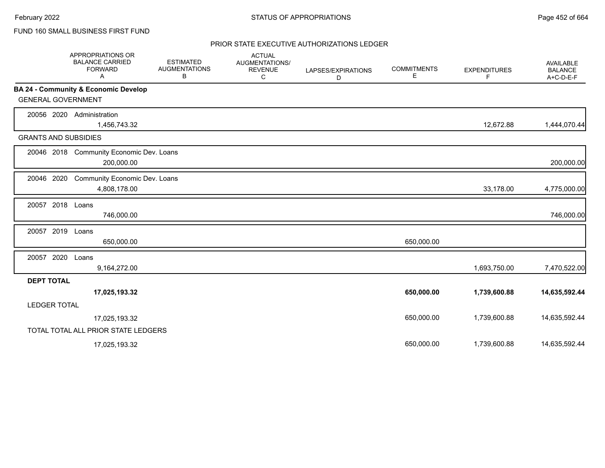## FUND 160 SMALL BUSINESS FIRST FUND

|                             | <b>APPROPRIATIONS OR</b><br><b>BALANCE CARRIED</b><br><b>FORWARD</b><br>A | <b>ESTIMATED</b><br><b>AUGMENTATIONS</b><br>В | <b>ACTUAL</b><br>AUGMENTATIONS/<br><b>REVENUE</b><br>C | LAPSES/EXPIRATIONS<br>D | <b>COMMITMENTS</b><br>Е | <b>EXPENDITURES</b><br>F | <b>AVAILABLE</b><br><b>BALANCE</b><br>A+C-D-E-F |
|-----------------------------|---------------------------------------------------------------------------|-----------------------------------------------|--------------------------------------------------------|-------------------------|-------------------------|--------------------------|-------------------------------------------------|
|                             | BA 24 - Community & Economic Develop                                      |                                               |                                                        |                         |                         |                          |                                                 |
| <b>GENERAL GOVERNMENT</b>   |                                                                           |                                               |                                                        |                         |                         |                          |                                                 |
| 20056 2020                  | Administration<br>1,456,743.32                                            |                                               |                                                        |                         |                         | 12,672.88                | 1,444,070.44                                    |
| <b>GRANTS AND SUBSIDIES</b> |                                                                           |                                               |                                                        |                         |                         |                          |                                                 |
|                             | 20046 2018 Community Economic Dev. Loans<br>200,000.00                    |                                               |                                                        |                         |                         |                          | 200,000.00                                      |
| 20046 2020                  | Community Economic Dev. Loans<br>4,808,178.00                             |                                               |                                                        |                         |                         | 33,178.00                | 4,775,000.00                                    |
| 20057 2018 Loans            | 746,000.00                                                                |                                               |                                                        |                         |                         |                          | 746,000.00                                      |
| 20057                       | 2019 Loans<br>650,000.00                                                  |                                               |                                                        |                         | 650,000.00              |                          |                                                 |
| 20057 2020                  | Loans<br>9,164,272.00                                                     |                                               |                                                        |                         |                         | 1,693,750.00             | 7,470,522.00                                    |
| <b>DEPT TOTAL</b>           |                                                                           |                                               |                                                        |                         |                         |                          |                                                 |
|                             | 17,025,193.32                                                             |                                               |                                                        |                         | 650,000.00              | 1,739,600.88             | 14,635,592.44                                   |
| <b>LEDGER TOTAL</b>         |                                                                           |                                               |                                                        |                         |                         |                          |                                                 |
|                             | 17,025,193.32                                                             |                                               |                                                        |                         | 650,000.00              | 1,739,600.88             | 14,635,592.44                                   |
|                             | TOTAL TOTAL ALL PRIOR STATE LEDGERS                                       |                                               |                                                        |                         |                         |                          |                                                 |
|                             | 17,025,193.32                                                             |                                               |                                                        |                         | 650,000.00              | 1,739,600.88             | 14,635,592.44                                   |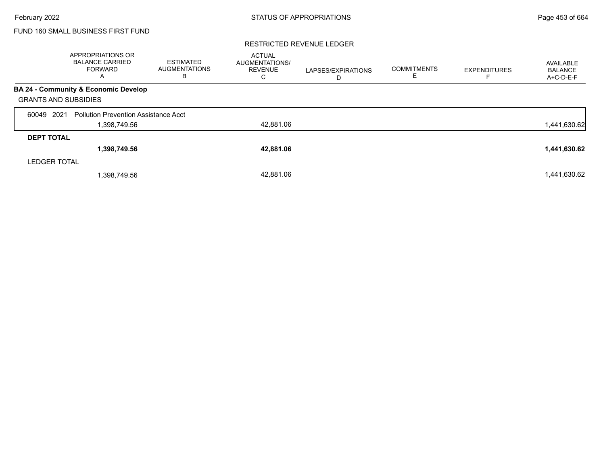## FUND 160 SMALL BUSINESS FIRST FUND

#### RESTRICTED REVENUE LEDGER

|                             | <b>APPROPRIATIONS OR</b><br><b>BALANCE CARRIED</b><br><b>FORWARD</b><br>A | <b>ESTIMATED</b><br><b>AUGMENTATIONS</b><br>в | <b>ACTUAL</b><br><b>AUGMENTATIONS/</b><br><b>REVENUE</b><br>С | LAPSES/EXPIRATIONS<br>D | <b>COMMITMENTS</b><br>╘ | <b>EXPENDITURES</b> | AVAILABLE<br><b>BALANCE</b><br>A+C-D-E-F |
|-----------------------------|---------------------------------------------------------------------------|-----------------------------------------------|---------------------------------------------------------------|-------------------------|-------------------------|---------------------|------------------------------------------|
|                             | BA 24 - Community & Economic Develop                                      |                                               |                                                               |                         |                         |                     |                                          |
| <b>GRANTS AND SUBSIDIES</b> |                                                                           |                                               |                                                               |                         |                         |                     |                                          |
| 2021<br>60049               | <b>Pollution Prevention Assistance Acct</b>                               |                                               |                                                               |                         |                         |                     |                                          |
|                             | 1,398,749.56                                                              |                                               | 42,881.06                                                     |                         |                         |                     | 1,441,630.62                             |
| <b>DEPT TOTAL</b>           |                                                                           |                                               |                                                               |                         |                         |                     |                                          |
|                             | 1,398,749.56                                                              |                                               | 42,881.06                                                     |                         |                         |                     | 1,441,630.62                             |
| <b>LEDGER TOTAL</b>         |                                                                           |                                               |                                                               |                         |                         |                     |                                          |
|                             | 1,398,749.56                                                              |                                               | 42,881.06                                                     |                         |                         |                     | 1,441,630.62                             |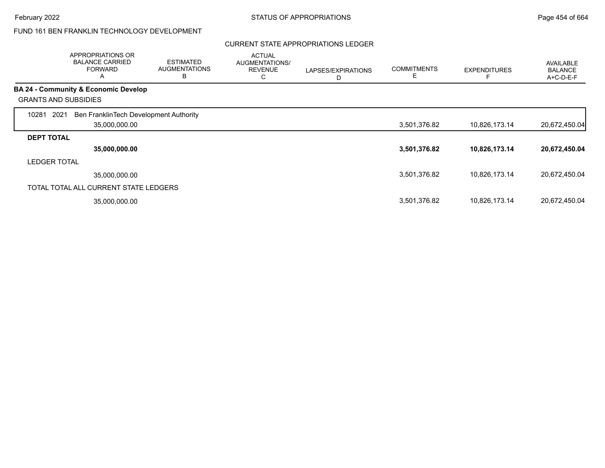### CURRENT STATE APPROPRIATIONS LEDGER

|                     | APPROPRIATIONS OR<br><b>BALANCE CARRIED</b><br><b>FORWARD</b><br>A | <b>ESTIMATED</b><br><b>AUGMENTATIONS</b><br>B | <b>ACTUAL</b><br>AUGMENTATIONS/<br><b>REVENUE</b><br>C | LAPSES/EXPIRATIONS<br>D | <b>COMMITMENTS</b><br>Е | <b>EXPENDITURES</b> | <b>AVAILABLE</b><br><b>BALANCE</b><br>A+C-D-E-F |
|---------------------|--------------------------------------------------------------------|-----------------------------------------------|--------------------------------------------------------|-------------------------|-------------------------|---------------------|-------------------------------------------------|
|                     | <b>BA 24 - Community &amp; Economic Develop</b>                    |                                               |                                                        |                         |                         |                     |                                                 |
|                     | <b>GRANTS AND SUBSIDIES</b>                                        |                                               |                                                        |                         |                         |                     |                                                 |
| 10281               | 2021<br>Ben FranklinTech Development Authority                     |                                               |                                                        |                         |                         |                     |                                                 |
|                     | 35,000,000.00                                                      |                                               |                                                        |                         | 3,501,376.82            | 10,826,173.14       | 20,672,450.04                                   |
| <b>DEPT TOTAL</b>   |                                                                    |                                               |                                                        |                         |                         |                     |                                                 |
|                     | 35,000,000.00                                                      |                                               |                                                        |                         | 3,501,376.82            | 10,826,173.14       | 20,672,450.04                                   |
| <b>LEDGER TOTAL</b> |                                                                    |                                               |                                                        |                         |                         |                     |                                                 |
|                     | 35,000,000.00                                                      |                                               |                                                        |                         | 3,501,376.82            | 10,826,173.14       | 20,672,450.04                                   |
|                     | TOTAL TOTAL ALL CURRENT STATE LEDGERS                              |                                               |                                                        |                         |                         |                     |                                                 |
|                     | 35,000,000.00                                                      |                                               |                                                        |                         | 3,501,376.82            | 10,826,173.14       | 20,672,450.04                                   |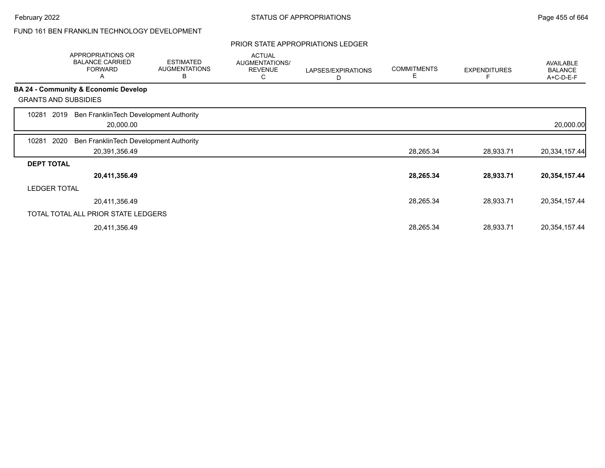## PRIOR STATE APPROPRIATIONS LEDGER

|                   | APPROPRIATIONS OR<br><b>BALANCE CARRIED</b><br><b>FORWARD</b><br>A | <b>ESTIMATED</b><br><b>AUGMENTATIONS</b><br>B | <b>ACTUAL</b><br>AUGMENTATIONS/<br><b>REVENUE</b><br>С | LAPSES/EXPIRATIONS<br>D | <b>COMMITMENTS</b><br>Е | <b>EXPENDITURES</b> | <b>AVAILABLE</b><br><b>BALANCE</b><br>A+C-D-E-F |
|-------------------|--------------------------------------------------------------------|-----------------------------------------------|--------------------------------------------------------|-------------------------|-------------------------|---------------------|-------------------------------------------------|
|                   | BA 24 - Community & Economic Develop                               |                                               |                                                        |                         |                         |                     |                                                 |
|                   | <b>GRANTS AND SUBSIDIES</b>                                        |                                               |                                                        |                         |                         |                     |                                                 |
| 10281             | Ben FranklinTech Development Authority<br>2019<br>20,000.00        |                                               |                                                        |                         |                         |                     | 20,000.00                                       |
| 10281             | 2020<br>Ben FranklinTech Development Authority                     |                                               |                                                        |                         |                         |                     |                                                 |
|                   | 20,391,356.49                                                      |                                               |                                                        |                         | 28,265.34               | 28,933.71           | 20,334,157.44                                   |
| <b>DEPT TOTAL</b> |                                                                    |                                               |                                                        |                         |                         |                     |                                                 |
|                   | 20,411,356.49                                                      |                                               |                                                        |                         | 28,265.34               | 28,933.71           | 20,354,157.44                                   |
|                   | <b>LEDGER TOTAL</b>                                                |                                               |                                                        |                         |                         |                     |                                                 |
|                   | 20,411,356.49                                                      |                                               |                                                        |                         | 28,265.34               | 28,933.71           | 20,354,157.44                                   |
|                   | TOTAL TOTAL ALL PRIOR STATE LEDGERS                                |                                               |                                                        |                         |                         |                     |                                                 |
|                   | 20,411,356.49                                                      |                                               |                                                        |                         | 28,265.34               | 28,933.71           | 20,354,157.44                                   |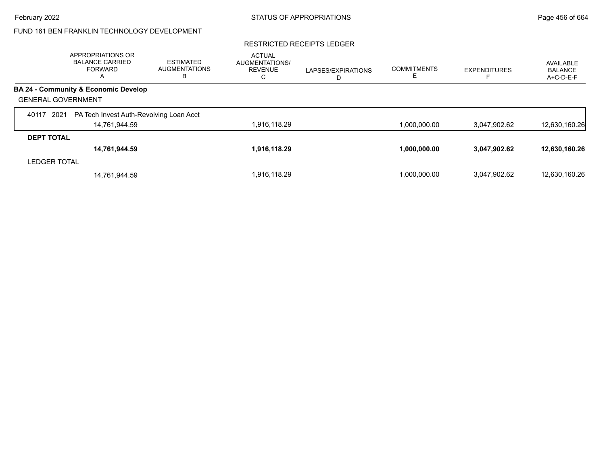#### RESTRICTED RECEIPTS LEDGER

|                           | APPROPRIATIONS OR<br><b>BALANCE CARRIED</b><br><b>FORWARD</b><br>$\overline{A}$ | <b>ESTIMATED</b><br><b>AUGMENTATIONS</b><br>В | <b>ACTUAL</b><br><b>AUGMENTATIONS/</b><br><b>REVENUE</b><br>С | LAPSES/EXPIRATIONS<br>D | <b>COMMITMENTS</b> | <b>EXPENDITURES</b> | AVAILABLE<br><b>BALANCE</b><br>A+C-D-E-F |
|---------------------------|---------------------------------------------------------------------------------|-----------------------------------------------|---------------------------------------------------------------|-------------------------|--------------------|---------------------|------------------------------------------|
|                           | <b>BA 24 - Community &amp; Economic Develop</b>                                 |                                               |                                                               |                         |                    |                     |                                          |
| <b>GENERAL GOVERNMENT</b> |                                                                                 |                                               |                                                               |                         |                    |                     |                                          |
| 2021<br>40117             | PA Tech Invest Auth-Revolving Loan Acct                                         |                                               |                                                               |                         |                    |                     |                                          |
|                           | 14,761,944.59                                                                   |                                               | 1,916,118.29                                                  |                         | 1,000,000.00       | 3,047,902.62        | 12,630,160.26                            |
| <b>DEPT TOTAL</b>         |                                                                                 |                                               |                                                               |                         |                    |                     |                                          |
|                           | 14,761,944.59                                                                   |                                               | 1,916,118.29                                                  |                         | 1,000,000.00       | 3,047,902.62        | 12,630,160.26                            |
| <b>LEDGER TOTAL</b>       |                                                                                 |                                               |                                                               |                         |                    |                     |                                          |
|                           | 14,761,944.59                                                                   |                                               | 1,916,118.29                                                  |                         | 1.000.000.00       | 3.047.902.62        | 12,630,160.26                            |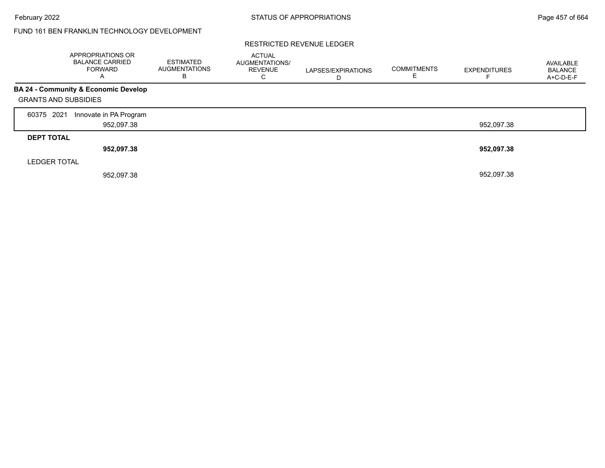#### RESTRICTED REVENUE LEDGER

|                             | APPROPRIATIONS OR<br><b>BALANCE CARRIED</b><br><b>FORWARD</b><br>A | <b>ESTIMATED</b><br><b>AUGMENTATIONS</b><br>B | <b>ACTUAL</b><br>AUGMENTATIONS/<br><b>REVENUE</b><br>C | LAPSES/EXPIRATIONS | <b>COMMITMENTS</b> | <b>EXPENDITURES</b> | AVAILABLE<br><b>BALANCE</b><br>A+C-D-E-F |
|-----------------------------|--------------------------------------------------------------------|-----------------------------------------------|--------------------------------------------------------|--------------------|--------------------|---------------------|------------------------------------------|
| <b>GRANTS AND SUBSIDIES</b> | <b>BA 24 - Community &amp; Economic Develop</b>                    |                                               |                                                        |                    |                    |                     |                                          |
| 2021<br>60375               | Innovate in PA Program<br>952,097.38                               |                                               |                                                        |                    |                    | 952,097.38          |                                          |
| <b>DEPT TOTAL</b>           | 952,097.38                                                         |                                               |                                                        |                    |                    | 952,097.38          |                                          |
| <b>LEDGER TOTAL</b>         | 952,097.38                                                         |                                               |                                                        |                    |                    | 952,097.38          |                                          |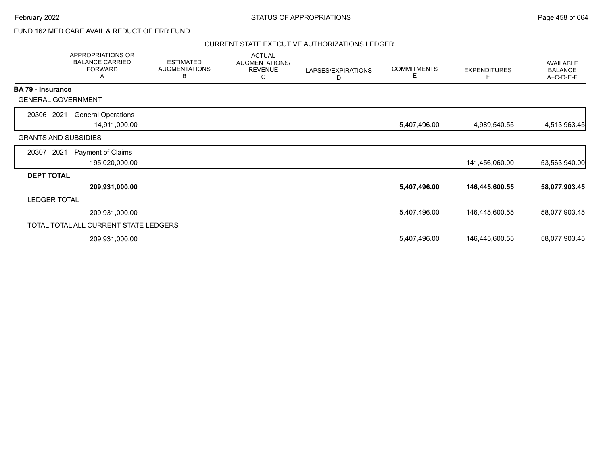## FUND 162 MED CARE AVAIL & REDUCT OF ERR FUND

|                             | APPROPRIATIONS OR<br><b>BALANCE CARRIED</b><br><b>FORWARD</b><br>Α | <b>ESTIMATED</b><br><b>AUGMENTATIONS</b><br>В | <b>ACTUAL</b><br>AUGMENTATIONS/<br><b>REVENUE</b><br>С | LAPSES/EXPIRATIONS<br>D | <b>COMMITMENTS</b><br>Е | <b>EXPENDITURES</b><br>F | <b>AVAILABLE</b><br><b>BALANCE</b><br>A+C-D-E-F |
|-----------------------------|--------------------------------------------------------------------|-----------------------------------------------|--------------------------------------------------------|-------------------------|-------------------------|--------------------------|-------------------------------------------------|
| <b>BA 79 - Insurance</b>    |                                                                    |                                               |                                                        |                         |                         |                          |                                                 |
| <b>GENERAL GOVERNMENT</b>   |                                                                    |                                               |                                                        |                         |                         |                          |                                                 |
| 20306 2021                  | <b>General Operations</b>                                          |                                               |                                                        |                         |                         |                          |                                                 |
|                             | 14,911,000.00                                                      |                                               |                                                        |                         | 5,407,496.00            | 4,989,540.55             | 4,513,963.45                                    |
| <b>GRANTS AND SUBSIDIES</b> |                                                                    |                                               |                                                        |                         |                         |                          |                                                 |
| 2021<br>20307               | Payment of Claims                                                  |                                               |                                                        |                         |                         |                          |                                                 |
|                             | 195,020,000.00                                                     |                                               |                                                        |                         |                         | 141,456,060.00           | 53,563,940.00                                   |
| <b>DEPT TOTAL</b>           |                                                                    |                                               |                                                        |                         |                         |                          |                                                 |
|                             | 209,931,000.00                                                     |                                               |                                                        |                         | 5,407,496.00            | 146,445,600.55           | 58,077,903.45                                   |
| <b>LEDGER TOTAL</b>         |                                                                    |                                               |                                                        |                         |                         |                          |                                                 |
|                             | 209,931,000.00                                                     |                                               |                                                        |                         | 5,407,496.00            | 146,445,600.55           | 58,077,903.45                                   |
|                             | TOTAL TOTAL ALL CURRENT STATE LEDGERS                              |                                               |                                                        |                         |                         |                          |                                                 |
|                             | 209,931,000.00                                                     |                                               |                                                        |                         | 5,407,496.00            | 146,445,600.55           | 58,077,903.45                                   |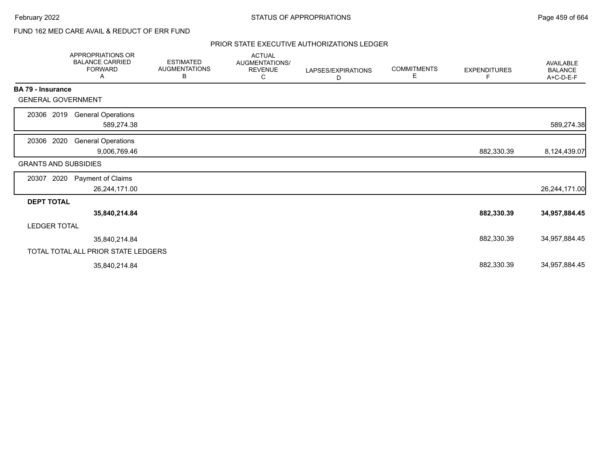# FUND 162 MED CARE AVAIL & REDUCT OF ERR FUND

|                             | <b>APPROPRIATIONS OR</b><br><b>BALANCE CARRIED</b><br><b>FORWARD</b><br>Α | <b>ESTIMATED</b><br><b>AUGMENTATIONS</b><br>В | <b>ACTUAL</b><br>AUGMENTATIONS/<br><b>REVENUE</b><br>C | LAPSES/EXPIRATIONS<br>D | <b>COMMITMENTS</b><br>Е | <b>EXPENDITURES</b><br>F | AVAILABLE<br><b>BALANCE</b><br>A+C-D-E-F |
|-----------------------------|---------------------------------------------------------------------------|-----------------------------------------------|--------------------------------------------------------|-------------------------|-------------------------|--------------------------|------------------------------------------|
| <b>BA 79 - Insurance</b>    |                                                                           |                                               |                                                        |                         |                         |                          |                                          |
| <b>GENERAL GOVERNMENT</b>   |                                                                           |                                               |                                                        |                         |                         |                          |                                          |
| 2019<br>20306               | <b>General Operations</b>                                                 |                                               |                                                        |                         |                         |                          |                                          |
|                             | 589,274.38                                                                |                                               |                                                        |                         |                         |                          | 589,274.38                               |
| 2020<br>20306               | <b>General Operations</b>                                                 |                                               |                                                        |                         |                         |                          |                                          |
|                             | 9,006,769.46                                                              |                                               |                                                        |                         |                         | 882,330.39               | 8,124,439.07                             |
| <b>GRANTS AND SUBSIDIES</b> |                                                                           |                                               |                                                        |                         |                         |                          |                                          |
| 20307<br>2020               | Payment of Claims                                                         |                                               |                                                        |                         |                         |                          |                                          |
|                             | 26,244,171.00                                                             |                                               |                                                        |                         |                         |                          | 26,244,171.00                            |
| <b>DEPT TOTAL</b>           |                                                                           |                                               |                                                        |                         |                         |                          |                                          |
|                             | 35,840,214.84                                                             |                                               |                                                        |                         |                         | 882,330.39               | 34,957,884.45                            |
| <b>LEDGER TOTAL</b>         |                                                                           |                                               |                                                        |                         |                         |                          |                                          |
|                             | 35,840,214.84                                                             |                                               |                                                        |                         |                         | 882,330.39               | 34,957,884.45                            |
|                             | TOTAL TOTAL ALL PRIOR STATE LEDGERS                                       |                                               |                                                        |                         |                         |                          |                                          |
|                             | 35,840,214.84                                                             |                                               |                                                        |                         |                         | 882,330.39               | 34,957,884.45                            |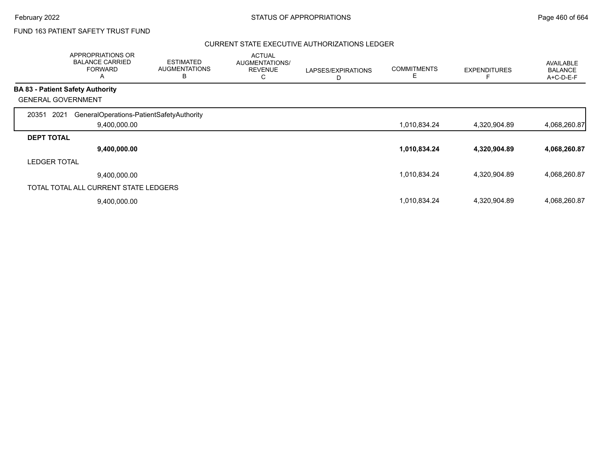# FUND 163 PATIENT SAFETY TRUST FUND

|                     | APPROPRIATIONS OR<br><b>BALANCE CARRIED</b><br><b>FORWARD</b><br>A | <b>ESTIMATED</b><br><b>AUGMENTATIONS</b><br>B | <b>ACTUAL</b><br>AUGMENTATIONS/<br><b>REVENUE</b><br>С | LAPSES/EXPIRATIONS<br>D | <b>COMMITMENTS</b><br>E | <b>EXPENDITURES</b> | <b>AVAILABLE</b><br><b>BALANCE</b><br>A+C-D-E-F |
|---------------------|--------------------------------------------------------------------|-----------------------------------------------|--------------------------------------------------------|-------------------------|-------------------------|---------------------|-------------------------------------------------|
|                     | <b>BA 83 - Patient Safety Authority</b>                            |                                               |                                                        |                         |                         |                     |                                                 |
|                     | <b>GENERAL GOVERNMENT</b>                                          |                                               |                                                        |                         |                         |                     |                                                 |
| 20351               | 2021<br>GeneralOperations-PatientSafetyAuthority                   |                                               |                                                        |                         |                         |                     |                                                 |
|                     | 9,400,000.00                                                       |                                               |                                                        |                         | 1,010,834.24            | 4,320,904.89        | 4,068,260.87                                    |
| <b>DEPT TOTAL</b>   |                                                                    |                                               |                                                        |                         |                         |                     |                                                 |
|                     | 9,400,000.00                                                       |                                               |                                                        |                         | 1,010,834.24            | 4,320,904.89        | 4,068,260.87                                    |
| <b>LEDGER TOTAL</b> |                                                                    |                                               |                                                        |                         |                         |                     |                                                 |
|                     | 9,400,000.00                                                       |                                               |                                                        |                         | 1,010,834.24            | 4,320,904.89        | 4,068,260.87                                    |
|                     | TOTAL TOTAL ALL CURRENT STATE LEDGERS                              |                                               |                                                        |                         |                         |                     |                                                 |
|                     | 9,400,000.00                                                       |                                               |                                                        |                         | 1,010,834.24            | 4,320,904.89        | 4,068,260.87                                    |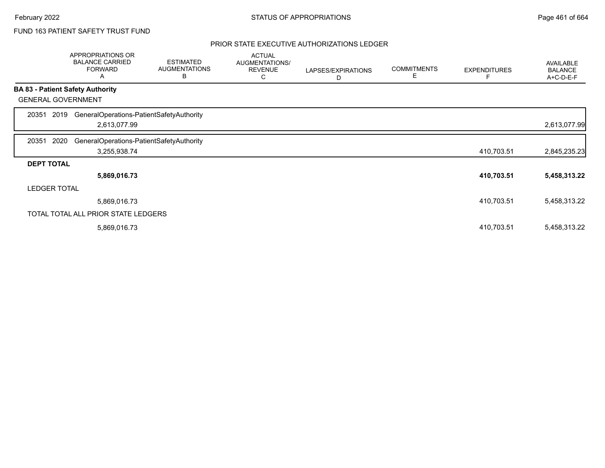## FUND 163 PATIENT SAFETY TRUST FUND

| A                         | <b>ESTIMATED</b><br><b>AUGMENTATIONS</b><br>B                                                                                                                                            | <b>ACTUAL</b><br>AUGMENTATIONS/<br><b>REVENUE</b><br>C                                                                      | LAPSES/EXPIRATIONS<br>D | <b>COMMITMENTS</b><br>Е | <b>EXPENDITURES</b> | AVAILABLE<br><b>BALANCE</b><br>A+C-D-E-F |
|---------------------------|------------------------------------------------------------------------------------------------------------------------------------------------------------------------------------------|-----------------------------------------------------------------------------------------------------------------------------|-------------------------|-------------------------|---------------------|------------------------------------------|
|                           |                                                                                                                                                                                          |                                                                                                                             |                         |                         |                     |                                          |
| <b>GENERAL GOVERNMENT</b> |                                                                                                                                                                                          |                                                                                                                             |                         |                         |                     |                                          |
| 2019                      |                                                                                                                                                                                          |                                                                                                                             |                         |                         |                     |                                          |
|                           |                                                                                                                                                                                          |                                                                                                                             |                         |                         |                     | 2,613,077.99                             |
| 2020                      |                                                                                                                                                                                          |                                                                                                                             |                         |                         |                     |                                          |
|                           |                                                                                                                                                                                          |                                                                                                                             |                         |                         | 410,703.51          | 2,845,235.23                             |
| <b>DEPT TOTAL</b>         |                                                                                                                                                                                          |                                                                                                                             |                         |                         |                     |                                          |
|                           |                                                                                                                                                                                          |                                                                                                                             |                         |                         | 410,703.51          | 5,458,313.22                             |
| <b>LEDGER TOTAL</b>       |                                                                                                                                                                                          |                                                                                                                             |                         |                         |                     |                                          |
|                           |                                                                                                                                                                                          |                                                                                                                             |                         |                         | 410,703.51          | 5,458,313.22                             |
|                           |                                                                                                                                                                                          |                                                                                                                             |                         |                         |                     |                                          |
|                           |                                                                                                                                                                                          |                                                                                                                             |                         |                         | 410,703.51          | 5,458,313.22                             |
|                           | APPROPRIATIONS OR<br><b>BALANCE CARRIED</b><br><b>FORWARD</b><br><b>BA 83 - Patient Safety Authority</b><br>2,613,077.99<br>3,255,938.74<br>5,869,016.73<br>5,869,016.73<br>5,869,016.73 | GeneralOperations-PatientSafetyAuthority<br>GeneralOperations-PatientSafetyAuthority<br>TOTAL TOTAL ALL PRIOR STATE LEDGERS |                         |                         |                     |                                          |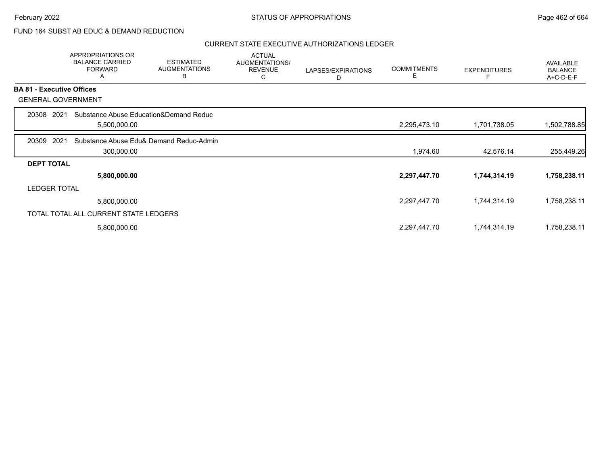## FUND 164 SUBST AB EDUC & DEMAND REDUCTION

|                   | APPROPRIATIONS OR<br><b>BALANCE CARRIED</b><br><b>FORWARD</b><br>Α | <b>ESTIMATED</b><br><b>AUGMENTATIONS</b><br>B | <b>ACTUAL</b><br>AUGMENTATIONS/<br><b>REVENUE</b><br>C | LAPSES/EXPIRATIONS<br>D | <b>COMMITMENTS</b><br>Е | <b>EXPENDITURES</b> | <b>AVAILABLE</b><br><b>BALANCE</b><br>A+C-D-E-F |
|-------------------|--------------------------------------------------------------------|-----------------------------------------------|--------------------------------------------------------|-------------------------|-------------------------|---------------------|-------------------------------------------------|
|                   | <b>BA 81 - Executive Offices</b>                                   |                                               |                                                        |                         |                         |                     |                                                 |
|                   | <b>GENERAL GOVERNMENT</b>                                          |                                               |                                                        |                         |                         |                     |                                                 |
| 20308             | 2021                                                               | Substance Abuse Education&Demand Reduc        |                                                        |                         |                         |                     |                                                 |
|                   | 5,500,000.00                                                       |                                               |                                                        |                         | 2,295,473.10            | 1,701,738.05        | 1,502,788.85                                    |
| 20309             | 2021                                                               | Substance Abuse Edu& Demand Reduc-Admin       |                                                        |                         |                         |                     |                                                 |
|                   | 300,000.00                                                         |                                               |                                                        |                         | 1,974.60                | 42,576.14           | 255,449.26                                      |
| <b>DEPT TOTAL</b> |                                                                    |                                               |                                                        |                         |                         |                     |                                                 |
|                   | 5,800,000.00                                                       |                                               |                                                        |                         | 2,297,447.70            | 1,744,314.19        | 1,758,238.11                                    |
|                   | <b>LEDGER TOTAL</b>                                                |                                               |                                                        |                         |                         |                     |                                                 |
|                   | 5,800,000.00                                                       |                                               |                                                        |                         | 2,297,447.70            | 1,744,314.19        | 1,758,238.11                                    |
|                   | TOTAL TOTAL ALL CURRENT STATE LEDGERS                              |                                               |                                                        |                         |                         |                     |                                                 |
|                   | 5,800,000.00                                                       |                                               |                                                        |                         | 2,297,447.70            | 1,744,314.19        | 1,758,238.11                                    |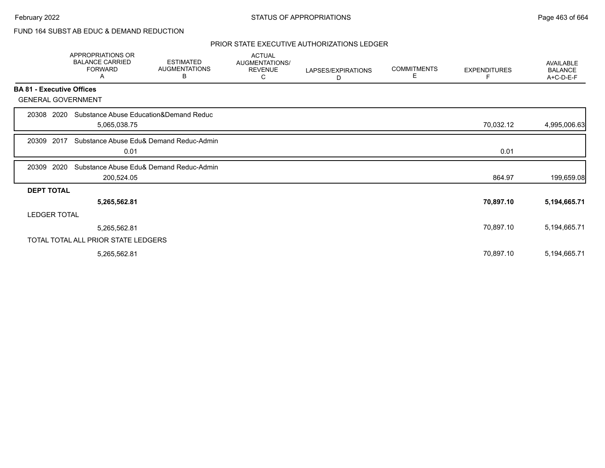## FUND 164 SUBST AB EDUC & DEMAND REDUCTION

|                                  | <b>APPROPRIATIONS OR</b><br><b>BALANCE CARRIED</b><br><b>FORWARD</b><br>Α | <b>ESTIMATED</b><br><b>AUGMENTATIONS</b><br>В | <b>ACTUAL</b><br>AUGMENTATIONS/<br><b>REVENUE</b><br>C | LAPSES/EXPIRATIONS<br>D | <b>COMMITMENTS</b><br>E. | <b>EXPENDITURES</b> | <b>AVAILABLE</b><br><b>BALANCE</b><br>A+C-D-E-F |
|----------------------------------|---------------------------------------------------------------------------|-----------------------------------------------|--------------------------------------------------------|-------------------------|--------------------------|---------------------|-------------------------------------------------|
| <b>BA 81 - Executive Offices</b> |                                                                           |                                               |                                                        |                         |                          |                     |                                                 |
| <b>GENERAL GOVERNMENT</b>        |                                                                           |                                               |                                                        |                         |                          |                     |                                                 |
| 20308 2020                       | Substance Abuse Education&Demand Reduc<br>5,065,038.75                    |                                               |                                                        |                         |                          | 70,032.12           | 4,995,006.63                                    |
| 2017<br>20309                    | 0.01                                                                      | Substance Abuse Edu& Demand Reduc-Admin       |                                                        |                         |                          | 0.01                |                                                 |
| 2020<br>20309                    | 200,524.05                                                                | Substance Abuse Edu& Demand Reduc-Admin       |                                                        |                         |                          | 864.97              | 199,659.08                                      |
| <b>DEPT TOTAL</b>                |                                                                           |                                               |                                                        |                         |                          |                     |                                                 |
|                                  | 5,265,562.81                                                              |                                               |                                                        |                         |                          | 70,897.10           | 5,194,665.71                                    |
| <b>LEDGER TOTAL</b>              |                                                                           |                                               |                                                        |                         |                          |                     |                                                 |
|                                  | 5,265,562.81                                                              |                                               |                                                        |                         |                          | 70,897.10           | 5,194,665.71                                    |
|                                  | TOTAL TOTAL ALL PRIOR STATE LEDGERS                                       |                                               |                                                        |                         |                          |                     |                                                 |
|                                  | 5,265,562.81                                                              |                                               |                                                        |                         |                          | 70,897.10           | 5,194,665.71                                    |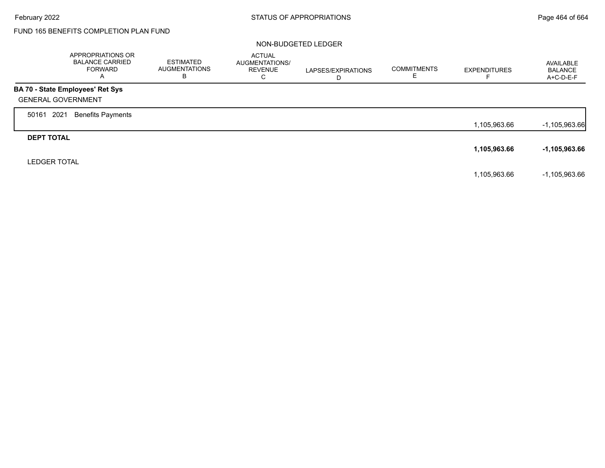Г

# FUND 165 BENEFITS COMPLETION PLAN FUND

#### NON-BUDGETED LEDGER

|                           | APPROPRIATIONS OR<br><b>BALANCE CARRIED</b><br><b>FORWARD</b><br>A | <b>ESTIMATED</b><br><b>AUGMENTATIONS</b><br>в | <b>ACTUAL</b><br>AUGMENTATIONS/<br><b>REVENUE</b><br>С | LAPSES/EXPIRATIONS<br>D | <b>COMMITMENTS</b><br>ᄇ | <b>EXPENDITURES</b> | AVAILABLE<br><b>BALANCE</b><br>A+C-D-E-F |
|---------------------------|--------------------------------------------------------------------|-----------------------------------------------|--------------------------------------------------------|-------------------------|-------------------------|---------------------|------------------------------------------|
|                           | BA 70 - State Employees' Ret Sys                                   |                                               |                                                        |                         |                         |                     |                                          |
| <b>GENERAL GOVERNMENT</b> |                                                                    |                                               |                                                        |                         |                         |                     |                                          |
| 2021<br>50161             | Benefits Payments                                                  |                                               |                                                        |                         |                         |                     |                                          |
|                           |                                                                    |                                               |                                                        |                         |                         | 1,105,963.66        | $-1,105,963.66$                          |
| <b>DEPT TOTAL</b>         |                                                                    |                                               |                                                        |                         |                         |                     |                                          |
|                           |                                                                    |                                               |                                                        |                         |                         | 1,105,963.66        | $-1,105,963.66$                          |
| <b>LEDGER TOTAL</b>       |                                                                    |                                               |                                                        |                         |                         |                     |                                          |
|                           |                                                                    |                                               |                                                        |                         |                         | 1,105,963.66        | $-1,105,963.66$                          |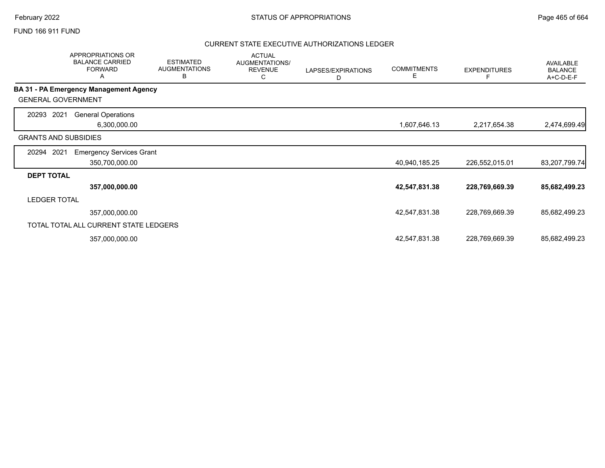#### FUND 166 911 FUND

|                             | APPROPRIATIONS OR<br><b>BALANCE CARRIED</b><br><b>FORWARD</b><br>A | <b>ESTIMATED</b><br><b>AUGMENTATIONS</b><br>В | <b>ACTUAL</b><br>AUGMENTATIONS/<br><b>REVENUE</b><br>С | LAPSES/EXPIRATIONS<br>D | <b>COMMITMENTS</b><br>Е | <b>EXPENDITURES</b> | AVAILABLE<br><b>BALANCE</b><br>A+C-D-E-F |
|-----------------------------|--------------------------------------------------------------------|-----------------------------------------------|--------------------------------------------------------|-------------------------|-------------------------|---------------------|------------------------------------------|
|                             | BA 31 - PA Emergency Management Agency                             |                                               |                                                        |                         |                         |                     |                                          |
| <b>GENERAL GOVERNMENT</b>   |                                                                    |                                               |                                                        |                         |                         |                     |                                          |
| 2021<br>20293               | <b>General Operations</b><br>6,300,000.00                          |                                               |                                                        |                         | 1,607,646.13            | 2,217,654.38        | 2,474,699.49                             |
| <b>GRANTS AND SUBSIDIES</b> |                                                                    |                                               |                                                        |                         |                         |                     |                                          |
| 2021<br>20294               | <b>Emergency Services Grant</b>                                    |                                               |                                                        |                         |                         |                     |                                          |
|                             | 350,700,000.00                                                     |                                               |                                                        |                         | 40,940,185.25           | 226,552,015.01      | 83,207,799.74                            |
| <b>DEPT TOTAL</b>           |                                                                    |                                               |                                                        |                         |                         |                     |                                          |
|                             | 357,000,000.00                                                     |                                               |                                                        |                         | 42,547,831.38           | 228,769,669.39      | 85,682,499.23                            |
| <b>LEDGER TOTAL</b>         |                                                                    |                                               |                                                        |                         |                         |                     |                                          |
|                             | 357,000,000.00                                                     |                                               |                                                        |                         | 42,547,831.38           | 228,769,669.39      | 85,682,499.23                            |
|                             | TOTAL TOTAL ALL CURRENT STATE LEDGERS                              |                                               |                                                        |                         |                         |                     |                                          |
|                             | 357,000,000.00                                                     |                                               |                                                        |                         | 42,547,831.38           | 228,769,669.39      | 85,682,499.23                            |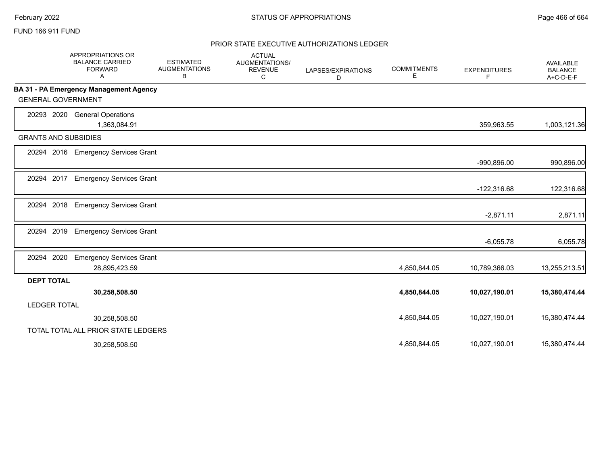#### FUND 166 911 FUND

|                             | <b>APPROPRIATIONS OR</b><br><b>BALANCE CARRIED</b><br><b>FORWARD</b><br>A | <b>ESTIMATED</b><br><b>AUGMENTATIONS</b><br>В | <b>ACTUAL</b><br>AUGMENTATIONS/<br><b>REVENUE</b><br>С | LAPSES/EXPIRATIONS<br>D | <b>COMMITMENTS</b><br>Е | <b>EXPENDITURES</b><br>F | <b>AVAILABLE</b><br><b>BALANCE</b><br>A+C-D-E-F |
|-----------------------------|---------------------------------------------------------------------------|-----------------------------------------------|--------------------------------------------------------|-------------------------|-------------------------|--------------------------|-------------------------------------------------|
|                             | <b>BA 31 - PA Emergency Management Agency</b>                             |                                               |                                                        |                         |                         |                          |                                                 |
| <b>GENERAL GOVERNMENT</b>   |                                                                           |                                               |                                                        |                         |                         |                          |                                                 |
| 20293 2020                  | <b>General Operations</b>                                                 |                                               |                                                        |                         |                         |                          |                                                 |
|                             | 1,363,084.91                                                              |                                               |                                                        |                         |                         | 359,963.55               | 1,003,121.36                                    |
| <b>GRANTS AND SUBSIDIES</b> |                                                                           |                                               |                                                        |                         |                         |                          |                                                 |
|                             | 20294 2016 Emergency Services Grant                                       |                                               |                                                        |                         |                         |                          |                                                 |
|                             |                                                                           |                                               |                                                        |                         |                         | -990,896.00              | 990,896.00                                      |
| 20294 2017                  | <b>Emergency Services Grant</b>                                           |                                               |                                                        |                         |                         |                          |                                                 |
|                             |                                                                           |                                               |                                                        |                         |                         | $-122,316.68$            | 122,316.68                                      |
| 2018<br>20294               | <b>Emergency Services Grant</b>                                           |                                               |                                                        |                         |                         |                          |                                                 |
|                             |                                                                           |                                               |                                                        |                         |                         | $-2,871.11$              | 2,871.11                                        |
| 2019<br>20294               | <b>Emergency Services Grant</b>                                           |                                               |                                                        |                         |                         |                          |                                                 |
|                             |                                                                           |                                               |                                                        |                         |                         | $-6,055.78$              | 6,055.78                                        |
| 20294 2020                  | <b>Emergency Services Grant</b>                                           |                                               |                                                        |                         |                         |                          |                                                 |
|                             | 28,895,423.59                                                             |                                               |                                                        |                         | 4,850,844.05            | 10,789,366.03            | 13,255,213.51                                   |
| <b>DEPT TOTAL</b>           |                                                                           |                                               |                                                        |                         |                         |                          |                                                 |
|                             | 30,258,508.50                                                             |                                               |                                                        |                         | 4,850,844.05            | 10,027,190.01            | 15,380,474.44                                   |
| <b>LEDGER TOTAL</b>         |                                                                           |                                               |                                                        |                         |                         |                          |                                                 |
|                             | 30,258,508.50                                                             |                                               |                                                        |                         | 4,850,844.05            | 10,027,190.01            | 15,380,474.44                                   |
|                             | TOTAL TOTAL ALL PRIOR STATE LEDGERS                                       |                                               |                                                        |                         |                         |                          |                                                 |
|                             | 30,258,508.50                                                             |                                               |                                                        |                         | 4,850,844.05            | 10,027,190.01            | 15,380,474.44                                   |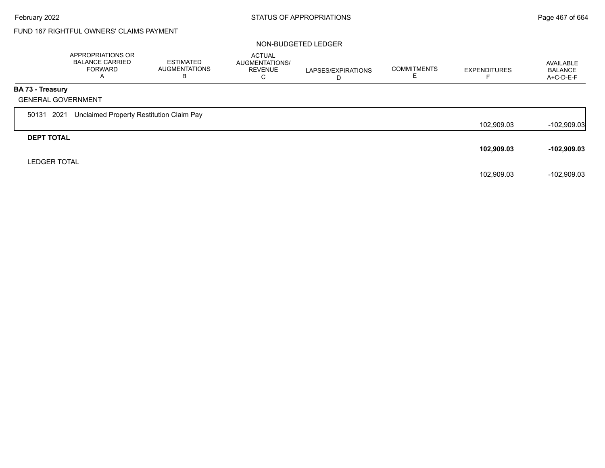# FUND 167 RIGHTFUL OWNERS' CLAIMS PAYMENT

#### NON-BUDGETED LEDGER

|                         | APPROPRIATIONS OR<br><b>BALANCE CARRIED</b><br>FORWARD<br>$\overline{A}$ | ESTIMATED<br><b>AUGMENTATIONS</b><br>В | <b>ACTUAL</b><br>AUGMENTATIONS/<br><b>REVENUE</b><br>С | LAPSES/EXPIRATIONS<br>D | <b>COMMITMENTS</b> | <b>EXPENDITURES</b> | AVAILABLE<br><b>BALANCE</b><br>$A+C-D-E-F$ |
|-------------------------|--------------------------------------------------------------------------|----------------------------------------|--------------------------------------------------------|-------------------------|--------------------|---------------------|--------------------------------------------|
| <b>BA 73 - Treasury</b> |                                                                          |                                        |                                                        |                         |                    |                     |                                            |
|                         | <b>GENERAL GOVERNMENT</b>                                                |                                        |                                                        |                         |                    |                     |                                            |
| 50131 2021              | Unclaimed Property Restitution Claim Pay                                 |                                        |                                                        |                         |                    |                     |                                            |
|                         |                                                                          |                                        |                                                        |                         |                    | 102,909.03          | $-102,909.03$                              |
| <b>DEPT TOTAL</b>       |                                                                          |                                        |                                                        |                         |                    |                     |                                            |
|                         |                                                                          |                                        |                                                        |                         |                    | 102,909.03          | $-102,909.03$                              |
| <b>LEDGER TOTAL</b>     |                                                                          |                                        |                                                        |                         |                    |                     |                                            |
|                         |                                                                          |                                        |                                                        |                         |                    | 102,909.03          | -102,909.03                                |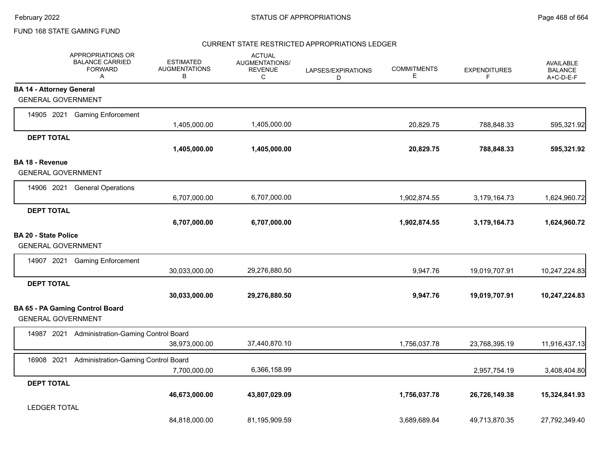### FUND 168 STATE GAMING FUND

#### CURRENT STATE RESTRICTED APPROPRIATIONS LEDGER

|                                 | APPROPRIATIONS OR<br><b>BALANCE CARRIED</b><br><b>FORWARD</b><br>Α | <b>ESTIMATED</b><br><b>AUGMENTATIONS</b><br>в | <b>ACTUAL</b><br>AUGMENTATIONS/<br><b>REVENUE</b><br>C | LAPSES/EXPIRATIONS<br>D | <b>COMMITMENTS</b><br>Е | <b>EXPENDITURES</b><br>F | <b>AVAILABLE</b><br><b>BALANCE</b><br>A+C-D-E-F |
|---------------------------------|--------------------------------------------------------------------|-----------------------------------------------|--------------------------------------------------------|-------------------------|-------------------------|--------------------------|-------------------------------------------------|
| <b>BA 14 - Attorney General</b> |                                                                    |                                               |                                                        |                         |                         |                          |                                                 |
|                                 | <b>GENERAL GOVERNMENT</b>                                          |                                               |                                                        |                         |                         |                          |                                                 |
|                                 | 14905 2021 Gaming Enforcement                                      |                                               |                                                        |                         |                         |                          |                                                 |
|                                 |                                                                    | 1,405,000.00                                  | 1,405,000.00                                           |                         | 20,829.75               | 788,848.33               | 595,321.92                                      |
| <b>DEPT TOTAL</b>               |                                                                    |                                               |                                                        |                         |                         |                          |                                                 |
|                                 |                                                                    | 1,405,000.00                                  | 1,405,000.00                                           |                         | 20,829.75               | 788,848.33               | 595,321.92                                      |
| <b>BA 18 - Revenue</b>          |                                                                    |                                               |                                                        |                         |                         |                          |                                                 |
|                                 | <b>GENERAL GOVERNMENT</b>                                          |                                               |                                                        |                         |                         |                          |                                                 |
| 14906 2021                      | <b>General Operations</b>                                          |                                               |                                                        |                         |                         |                          |                                                 |
|                                 |                                                                    | 6,707,000.00                                  | 6,707,000.00                                           |                         | 1,902,874.55            | 3,179,164.73             | 1,624,960.72                                    |
| <b>DEPT TOTAL</b>               |                                                                    |                                               |                                                        |                         |                         |                          |                                                 |
|                                 |                                                                    | 6,707,000.00                                  | 6,707,000.00                                           |                         | 1,902,874.55            | 3,179,164.73             | 1,624,960.72                                    |
| <b>BA 20 - State Police</b>     |                                                                    |                                               |                                                        |                         |                         |                          |                                                 |
|                                 | <b>GENERAL GOVERNMENT</b>                                          |                                               |                                                        |                         |                         |                          |                                                 |
| 14907 2021                      | <b>Gaming Enforcement</b>                                          |                                               |                                                        |                         |                         |                          |                                                 |
|                                 |                                                                    | 30,033,000.00                                 | 29,276,880.50                                          |                         | 9,947.76                | 19,019,707.91            | 10,247,224.83                                   |
| <b>DEPT TOTAL</b>               |                                                                    |                                               |                                                        |                         |                         |                          |                                                 |
|                                 |                                                                    | 30,033,000.00                                 | 29,276,880.50                                          |                         | 9,947.76                | 19,019,707.91            | 10,247,224.83                                   |
|                                 | BA 65 - PA Gaming Control Board<br><b>GENERAL GOVERNMENT</b>       |                                               |                                                        |                         |                         |                          |                                                 |
| 14987 2021                      | <b>Administration-Gaming Control Board</b>                         |                                               |                                                        |                         |                         |                          |                                                 |
|                                 |                                                                    | 38,973,000.00                                 | 37,440,870.10                                          |                         | 1,756,037.78            | 23,768,395.19            | 11,916,437.13                                   |
| 16908 2021                      | Administration-Gaming Control Board                                |                                               |                                                        |                         |                         |                          |                                                 |
|                                 |                                                                    | 7,700,000.00                                  | 6,366,158.99                                           |                         |                         | 2,957,754.19             | 3,408,404.80                                    |
| <b>DEPT TOTAL</b>               |                                                                    |                                               |                                                        |                         |                         |                          |                                                 |
|                                 |                                                                    | 46,673,000.00                                 | 43,807,029.09                                          |                         | 1,756,037.78            | 26,726,149.38            | 15,324,841.93                                   |
| <b>LEDGER TOTAL</b>             |                                                                    |                                               |                                                        |                         |                         |                          |                                                 |
|                                 |                                                                    | 84,818,000.00                                 | 81,195,909.59                                          |                         | 3,689,689.84            | 49,713,870.35            | 27,792,349.40                                   |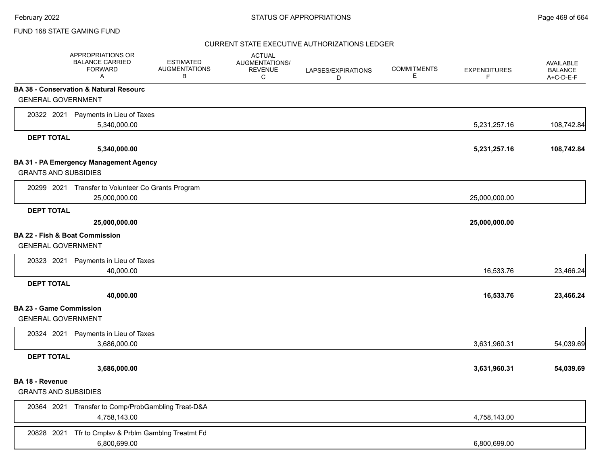### CURRENT STATE EXECUTIVE AUTHORIZATIONS LEDGER

|                                | APPROPRIATIONS OR<br><b>BALANCE CARRIED</b><br><b>FORWARD</b><br>A | <b>ESTIMATED</b><br><b>AUGMENTATIONS</b><br>В | <b>ACTUAL</b><br>AUGMENTATIONS/<br><b>REVENUE</b><br>C | LAPSES/EXPIRATIONS<br>D | <b>COMMITMENTS</b><br>Е | <b>EXPENDITURES</b><br>F | AVAILABLE<br><b>BALANCE</b><br>A+C-D-E-F |
|--------------------------------|--------------------------------------------------------------------|-----------------------------------------------|--------------------------------------------------------|-------------------------|-------------------------|--------------------------|------------------------------------------|
|                                | BA 38 - Conservation & Natural Resourc                             |                                               |                                                        |                         |                         |                          |                                          |
| <b>GENERAL GOVERNMENT</b>      |                                                                    |                                               |                                                        |                         |                         |                          |                                          |
|                                | 20322 2021 Payments in Lieu of Taxes                               |                                               |                                                        |                         |                         |                          |                                          |
|                                | 5,340,000.00                                                       |                                               |                                                        |                         |                         | 5,231,257.16             | 108,742.84                               |
| <b>DEPT TOTAL</b>              |                                                                    |                                               |                                                        |                         |                         |                          |                                          |
|                                | 5,340,000.00                                                       |                                               |                                                        |                         |                         | 5,231,257.16             | 108,742.84                               |
|                                | BA 31 - PA Emergency Management Agency                             |                                               |                                                        |                         |                         |                          |                                          |
| <b>GRANTS AND SUBSIDIES</b>    |                                                                    |                                               |                                                        |                         |                         |                          |                                          |
|                                | 20299 2021 Transfer to Volunteer Co Grants Program                 |                                               |                                                        |                         |                         |                          |                                          |
|                                | 25,000,000.00                                                      |                                               |                                                        |                         |                         | 25,000,000.00            |                                          |
| <b>DEPT TOTAL</b>              |                                                                    |                                               |                                                        |                         |                         |                          |                                          |
|                                | 25,000,000.00                                                      |                                               |                                                        |                         |                         | 25,000,000.00            |                                          |
| BA 22 - Fish & Boat Commission |                                                                    |                                               |                                                        |                         |                         |                          |                                          |
| <b>GENERAL GOVERNMENT</b>      |                                                                    |                                               |                                                        |                         |                         |                          |                                          |
|                                | 20323 2021 Payments in Lieu of Taxes                               |                                               |                                                        |                         |                         |                          |                                          |
|                                | 40,000.00                                                          |                                               |                                                        |                         |                         | 16,533.76                | 23,466.24                                |
| <b>DEPT TOTAL</b>              |                                                                    |                                               |                                                        |                         |                         |                          |                                          |
|                                | 40,000.00                                                          |                                               |                                                        |                         |                         | 16,533.76                | 23,466.24                                |
| <b>BA 23 - Game Commission</b> |                                                                    |                                               |                                                        |                         |                         |                          |                                          |
| <b>GENERAL GOVERNMENT</b>      |                                                                    |                                               |                                                        |                         |                         |                          |                                          |
| 20324 2021                     | Payments in Lieu of Taxes                                          |                                               |                                                        |                         |                         |                          |                                          |
|                                | 3,686,000.00                                                       |                                               |                                                        |                         |                         | 3,631,960.31             | 54,039.69                                |
| <b>DEPT TOTAL</b>              |                                                                    |                                               |                                                        |                         |                         |                          |                                          |
|                                | 3,686,000.00                                                       |                                               |                                                        |                         |                         | 3,631,960.31             | 54,039.69                                |
| BA 18 - Revenue                |                                                                    |                                               |                                                        |                         |                         |                          |                                          |
| <b>GRANTS AND SUBSIDIES</b>    |                                                                    |                                               |                                                        |                         |                         |                          |                                          |
|                                | 20364 2021 Transfer to Comp/ProbGambling Treat-D&A                 |                                               |                                                        |                         |                         |                          |                                          |
|                                | 4,758,143.00                                                       |                                               |                                                        |                         |                         | 4,758,143.00             |                                          |
| 20828 2021                     | Tfr to Cmplsv & Prblm Gamblng Treatmt Fd                           |                                               |                                                        |                         |                         |                          |                                          |
|                                | 6,800,699.00                                                       |                                               |                                                        |                         |                         | 6,800,699.00             |                                          |
|                                |                                                                    |                                               |                                                        |                         |                         |                          |                                          |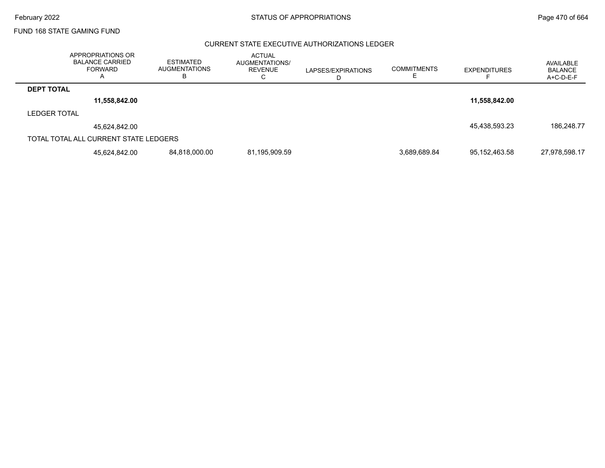$\overline{\phantom{0}}$ 

### FUND 168 STATE GAMING FUND

### CURRENT STATE EXECUTIVE AUTHORIZATIONS LEDGER

|                     | APPROPRIATIONS OR<br><b>BALANCE CARRIED</b><br><b>FORWARD</b><br>A | <b>ESTIMATED</b><br><b>AUGMENTATIONS</b> | <b>ACTUAL</b><br>AUGMENTATIONS/<br>REVENUE | LAPSES/EXPIRATIONS | <b>COMMITMENTS</b> | <b>EXPENDITURES</b> | AVAILABLE<br><b>BALANCE</b><br>A+C-D-E-F |
|---------------------|--------------------------------------------------------------------|------------------------------------------|--------------------------------------------|--------------------|--------------------|---------------------|------------------------------------------|
| <b>DEPT TOTAL</b>   |                                                                    |                                          |                                            |                    |                    |                     |                                          |
|                     | 11,558,842.00                                                      |                                          |                                            |                    |                    | 11,558,842.00       |                                          |
| <b>LEDGER TOTAL</b> |                                                                    |                                          |                                            |                    |                    |                     |                                          |
|                     | 45,624,842.00                                                      |                                          |                                            |                    |                    | 45,438,593.23       | 186,248.77                               |
|                     | TOTAL TOTAL ALL CURRENT STATE LEDGERS                              |                                          |                                            |                    |                    |                     |                                          |
|                     | 45.624.842.00                                                      | 84,818,000.00                            | 81,195,909.59                              |                    | 3,689,689.84       | 95,152,463.58       | 27,978,598.17                            |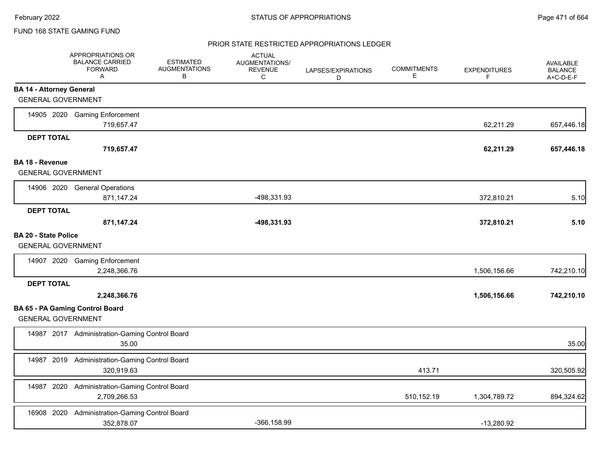### PRIOR STATE RESTRICTED APPROPRIATIONS LEDGER

|                                                              | APPROPRIATIONS OR<br><b>BALANCE CARRIED</b><br><b>FORWARD</b><br>$\mathsf{A}$ | <b>ESTIMATED</b><br><b>AUGMENTATIONS</b><br>В | <b>ACTUAL</b><br>AUGMENTATIONS/<br><b>REVENUE</b><br>C | LAPSES/EXPIRATIONS<br>D | <b>COMMITMENTS</b><br>Е | <b>EXPENDITURES</b><br>F. | <b>AVAILABLE</b><br><b>BALANCE</b><br>A+C-D-E-F |
|--------------------------------------------------------------|-------------------------------------------------------------------------------|-----------------------------------------------|--------------------------------------------------------|-------------------------|-------------------------|---------------------------|-------------------------------------------------|
| <b>BA 14 - Attorney General</b><br><b>GENERAL GOVERNMENT</b> |                                                                               |                                               |                                                        |                         |                         |                           |                                                 |
|                                                              | 14905 2020 Gaming Enforcement<br>719,657.47                                   |                                               |                                                        |                         |                         | 62,211.29                 | 657,446.18                                      |
| <b>DEPT TOTAL</b>                                            | 719,657.47                                                                    |                                               |                                                        |                         |                         | 62,211.29                 | 657,446.18                                      |
| <b>BA 18 - Revenue</b><br><b>GENERAL GOVERNMENT</b>          |                                                                               |                                               |                                                        |                         |                         |                           |                                                 |
|                                                              | 14906 2020 General Operations<br>871,147.24                                   |                                               | -498,331.93                                            |                         |                         | 372,810.21                | 5.10                                            |
| <b>DEPT TOTAL</b>                                            | 871,147.24                                                                    |                                               | -498,331.93                                            |                         |                         | 372,810.21                | 5.10                                            |
| <b>BA 20 - State Police</b><br><b>GENERAL GOVERNMENT</b>     |                                                                               |                                               |                                                        |                         |                         |                           |                                                 |
|                                                              | 14907 2020 Gaming Enforcement<br>2,248,366.76                                 |                                               |                                                        |                         |                         | 1,506,156.66              | 742,210.10                                      |
| <b>DEPT TOTAL</b>                                            | 2,248,366.76                                                                  |                                               |                                                        |                         |                         | 1,506,156.66              | 742,210.10                                      |
| <b>GENERAL GOVERNMENT</b>                                    | <b>BA 65 - PA Gaming Control Board</b>                                        |                                               |                                                        |                         |                         |                           |                                                 |
|                                                              | 14987 2017 Administration-Gaming Control Board<br>35.00                       |                                               |                                                        |                         |                         |                           | 35.00                                           |
| 14987                                                        | 2019 Administration-Gaming Control Board<br>320,919.63                        |                                               |                                                        |                         | 413.71                  |                           | 320,505.92                                      |
|                                                              | 14987 2020 Administration-Gaming Control Board<br>2,709,266.53                |                                               |                                                        |                         | 510,152.19              | 1,304,789.72              | 894,324.62                                      |
| 16908 2020                                                   | Administration-Gaming Control Board<br>352,878.07                             |                                               | $-366, 158.99$                                         |                         |                         | $-13,280.92$              |                                                 |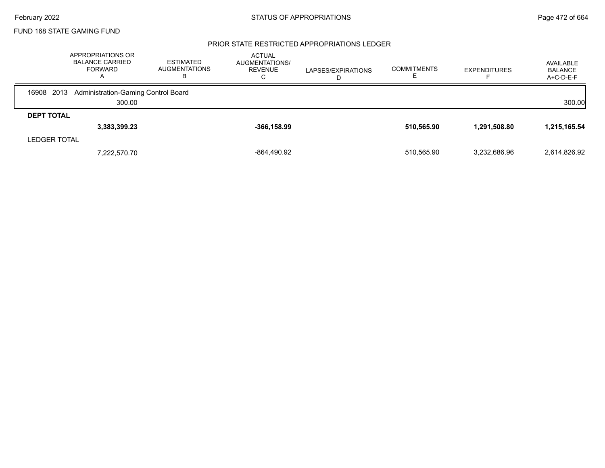### PRIOR STATE RESTRICTED APPROPRIATIONS LEDGER

|                   | APPROPRIATIONS OR<br><b>BALANCE CARRIED</b><br><b>FORWARD</b><br>A | <b>ESTIMATED</b><br><b>AUGMENTATIONS</b><br>в | <b>ACTUAL</b><br>AUGMENTATIONS/<br><b>REVENUE</b><br>U | LAPSES/EXPIRATIONS<br>D | <b>COMMITMENTS</b> | <b>EXPENDITURES</b> | AVAILABLE<br><b>BALANCE</b><br>$A+C-D-E-F$ |
|-------------------|--------------------------------------------------------------------|-----------------------------------------------|--------------------------------------------------------|-------------------------|--------------------|---------------------|--------------------------------------------|
|                   | 16908 2013 Administration-Gaming Control Board                     |                                               |                                                        |                         |                    |                     |                                            |
|                   | 300.00                                                             |                                               |                                                        |                         |                    |                     | 300.00                                     |
| <b>DEPT TOTAL</b> |                                                                    |                                               |                                                        |                         |                    |                     |                                            |
|                   | 3,383,399.23                                                       |                                               | $-366, 158.99$                                         |                         | 510,565.90         | 1,291,508.80        | 1,215,165.54                               |
| LEDGER TOTAL      |                                                                    |                                               |                                                        |                         |                    |                     |                                            |
|                   | 7,222,570.70                                                       |                                               | $-864,490.92$                                          |                         | 510.565.90         | 3.232.686.96        | 2,614,826.92                               |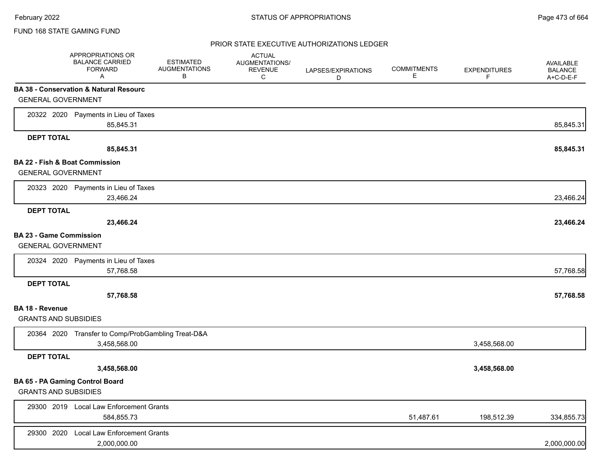### PRIOR STATE EXECUTIVE AUTHORIZATIONS LEDGER

|                                           | APPROPRIATIONS OR<br><b>BALANCE CARRIED</b><br><b>FORWARD</b><br>Α | <b>ESTIMATED</b><br><b>AUGMENTATIONS</b><br>В | <b>ACTUAL</b><br>AUGMENTATIONS/<br><b>REVENUE</b><br>C | LAPSES/EXPIRATIONS<br>D | <b>COMMITMENTS</b><br>Е | <b>EXPENDITURES</b><br>F | AVAILABLE<br><b>BALANCE</b><br>A+C-D-E-F |
|-------------------------------------------|--------------------------------------------------------------------|-----------------------------------------------|--------------------------------------------------------|-------------------------|-------------------------|--------------------------|------------------------------------------|
|                                           | <b>BA 38 - Conservation &amp; Natural Resourc</b>                  |                                               |                                                        |                         |                         |                          |                                          |
| <b>GENERAL GOVERNMENT</b>                 |                                                                    |                                               |                                                        |                         |                         |                          |                                          |
|                                           | 20322 2020 Payments in Lieu of Taxes                               |                                               |                                                        |                         |                         |                          |                                          |
|                                           | 85,845.31                                                          |                                               |                                                        |                         |                         |                          | 85,845.31                                |
| <b>DEPT TOTAL</b>                         |                                                                    |                                               |                                                        |                         |                         |                          |                                          |
|                                           | 85,845.31                                                          |                                               |                                                        |                         |                         |                          | 85,845.31                                |
| <b>BA 22 - Fish &amp; Boat Commission</b> |                                                                    |                                               |                                                        |                         |                         |                          |                                          |
| <b>GENERAL GOVERNMENT</b>                 |                                                                    |                                               |                                                        |                         |                         |                          |                                          |
| 20323 2020                                | Payments in Lieu of Taxes                                          |                                               |                                                        |                         |                         |                          |                                          |
|                                           | 23,466.24                                                          |                                               |                                                        |                         |                         |                          | 23,466.24                                |
| <b>DEPT TOTAL</b>                         |                                                                    |                                               |                                                        |                         |                         |                          |                                          |
|                                           | 23,466.24                                                          |                                               |                                                        |                         |                         |                          | 23,466.24                                |
| <b>BA 23 - Game Commission</b>            |                                                                    |                                               |                                                        |                         |                         |                          |                                          |
| <b>GENERAL GOVERNMENT</b>                 |                                                                    |                                               |                                                        |                         |                         |                          |                                          |
|                                           | 20324 2020 Payments in Lieu of Taxes                               |                                               |                                                        |                         |                         |                          |                                          |
|                                           | 57,768.58                                                          |                                               |                                                        |                         |                         |                          | 57,768.58                                |
| <b>DEPT TOTAL</b>                         |                                                                    |                                               |                                                        |                         |                         |                          |                                          |
|                                           | 57,768.58                                                          |                                               |                                                        |                         |                         |                          | 57,768.58                                |
| BA 18 - Revenue                           |                                                                    |                                               |                                                        |                         |                         |                          |                                          |
| <b>GRANTS AND SUBSIDIES</b>               |                                                                    |                                               |                                                        |                         |                         |                          |                                          |
|                                           | 20364 2020 Transfer to Comp/ProbGambling Treat-D&A                 |                                               |                                                        |                         |                         |                          |                                          |
|                                           | 3,458,568.00                                                       |                                               |                                                        |                         |                         | 3,458,568.00             |                                          |
| <b>DEPT TOTAL</b>                         |                                                                    |                                               |                                                        |                         |                         |                          |                                          |
|                                           | 3,458,568.00                                                       |                                               |                                                        |                         |                         | 3,458,568.00             |                                          |
|                                           | BA 65 - PA Gaming Control Board                                    |                                               |                                                        |                         |                         |                          |                                          |
| <b>GRANTS AND SUBSIDIES</b>               |                                                                    |                                               |                                                        |                         |                         |                          |                                          |
| 29300 2019                                | <b>Local Law Enforcement Grants</b>                                |                                               |                                                        |                         |                         |                          |                                          |
|                                           | 584,855.73                                                         |                                               |                                                        |                         | 51,487.61               | 198,512.39               | 334,855.73                               |
| 29300 2020                                | <b>Local Law Enforcement Grants</b>                                |                                               |                                                        |                         |                         |                          |                                          |
|                                           | 2,000,000.00                                                       |                                               |                                                        |                         |                         |                          | 2,000,000.00                             |
|                                           |                                                                    |                                               |                                                        |                         |                         |                          |                                          |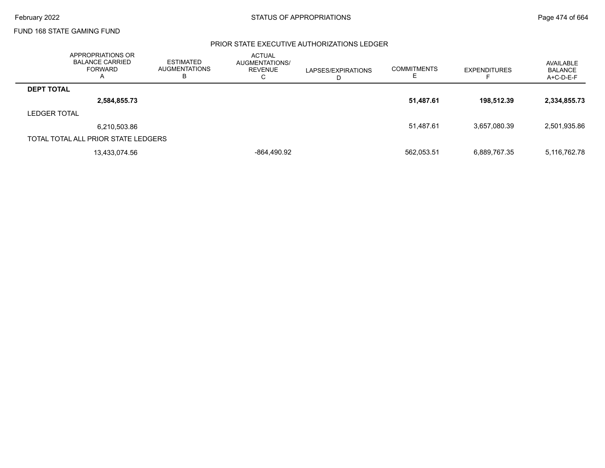### PRIOR STATE EXECUTIVE AUTHORIZATIONS LEDGER

|                     | APPROPRIATIONS OR<br><b>BALANCE CARRIED</b><br>FORWARD | <b>ESTIMATED</b><br><b>AUGMENTATIONS</b><br>В | <b>ACTUAL</b><br>AUGMENTATIONS/<br><b>REVENUE</b><br>⌒<br>◡ | LAPSES/EXPIRATIONS | <b>COMMITMENTS</b> | <b>EXPENDITURES</b> | AVAILABLE<br><b>BALANCE</b><br>A+C-D-E-F |
|---------------------|--------------------------------------------------------|-----------------------------------------------|-------------------------------------------------------------|--------------------|--------------------|---------------------|------------------------------------------|
| <b>DEPT TOTAL</b>   |                                                        |                                               |                                                             |                    |                    |                     |                                          |
|                     | 2,584,855.73                                           |                                               |                                                             |                    | 51,487.61          | 198.512.39          | 2,334,855.73                             |
| <b>LEDGER TOTAL</b> |                                                        |                                               |                                                             |                    |                    |                     |                                          |
|                     | 6,210,503.86                                           |                                               |                                                             |                    | 51,487.61          | 3,657,080.39        | 2,501,935.86                             |
|                     | TOTAL TOTAL ALL PRIOR STATE LEDGERS                    |                                               |                                                             |                    |                    |                     |                                          |
|                     | 13,433,074.56                                          |                                               | -864.490.92                                                 |                    | 562,053.51         | 6,889,767.35        | 5,116,762.78                             |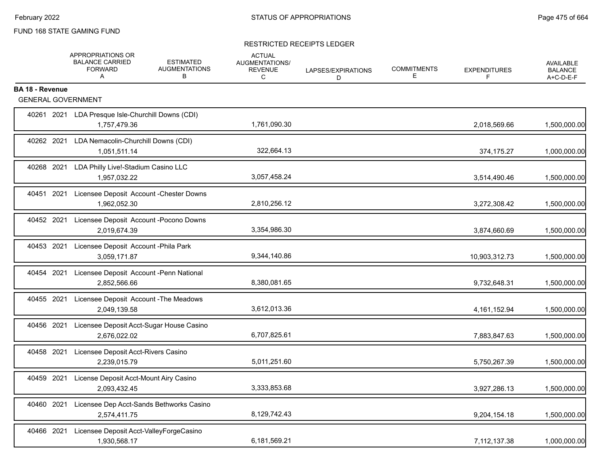### RESTRICTED RECEIPTS LEDGER

|                        | APPROPRIATIONS OR<br><b>BALANCE CARRIED</b><br><b>FORWARD</b><br>A | <b>ESTIMATED</b><br><b>AUGMENTATIONS</b><br>В     | <b>ACTUAL</b><br>AUGMENTATIONS/<br><b>REVENUE</b><br>C | LAPSES/EXPIRATIONS<br>D. | <b>COMMITMENTS</b><br>Е | <b>EXPENDITURES</b><br>F | <b>AVAILABLE</b><br><b>BALANCE</b><br>A+C-D-E-F |
|------------------------|--------------------------------------------------------------------|---------------------------------------------------|--------------------------------------------------------|--------------------------|-------------------------|--------------------------|-------------------------------------------------|
| <b>BA 18 - Revenue</b> | <b>GENERAL GOVERNMENT</b>                                          |                                                   |                                                        |                          |                         |                          |                                                 |
|                        |                                                                    |                                                   |                                                        |                          |                         |                          |                                                 |
|                        | 1,757,479.36                                                       | 40261 2021 LDA Presque Isle-Churchill Downs (CDI) | 1,761,090.30                                           |                          |                         | 2,018,569.66             | 1,500,000.00                                    |
| 40262 2021             | 1,051,511.14                                                       | LDA Nemacolin-Churchill Downs (CDI)               | 322,664.13                                             |                          |                         | 374,175.27               | 1,000,000.00                                    |
| 40268 2021             | 1,957,032.22                                                       | LDA Philly Live!-Stadium Casino LLC               | 3,057,458.24                                           |                          |                         | 3,514,490.46             | 1,500,000.00                                    |
| 40451 2021             | 1,962,052.30                                                       | Licensee Deposit Account - Chester Downs          | 2,810,256.12                                           |                          |                         | 3,272,308.42             | 1,500,000.00                                    |
| 40452 2021             | 2,019,674.39                                                       | Licensee Deposit Account - Pocono Downs           | 3,354,986.30                                           |                          |                         | 3,874,660.69             | 1,500,000.00                                    |
| 40453 2021             | 3,059,171.87                                                       | Licensee Deposit Account - Phila Park             | 9,344,140.86                                           |                          |                         | 10,903,312.73            | 1,500,000.00                                    |
| 40454 2021             | 2,852,566.66                                                       | Licensee Deposit Account -Penn National           | 8,380,081.65                                           |                          |                         | 9,732,648.31             | 1,500,000.00                                    |
| 40455 2021             | 2,049,139.58                                                       | Licensee Deposit Account - The Meadows            | 3,612,013.36                                           |                          |                         | 4, 161, 152.94           | 1,500,000.00                                    |
| 40456 2021             | 2,676,022.02                                                       | Licensee Deposit Acct-Sugar House Casino          | 6,707,825.61                                           |                          |                         | 7,883,847.63             | 1,500,000.00                                    |
| 40458 2021             | 2,239,015.79                                                       | Licensee Deposit Acct-Rivers Casino               | 5,011,251.60                                           |                          |                         | 5,750,267.39             | 1,500,000.00                                    |
| 40459 2021             | 2,093,432.45                                                       | License Deposit Acct-Mount Airy Casino            | 3,333,853.68                                           |                          |                         | 3,927,286.13             | 1,500,000.00                                    |
| 40460 2021             | 2,574,411.75                                                       | Licensee Dep Acct-Sands Bethworks Casino          | 8,129,742.43                                           |                          |                         | 9,204,154.18             | 1,500,000.00                                    |
| 40466 2021             | 1,930,568.17                                                       | Licensee Deposit Acct-ValleyForgeCasino           | 6,181,569.21                                           |                          |                         | 7,112,137.38             | 1,000,000.00                                    |
|                        |                                                                    |                                                   |                                                        |                          |                         |                          |                                                 |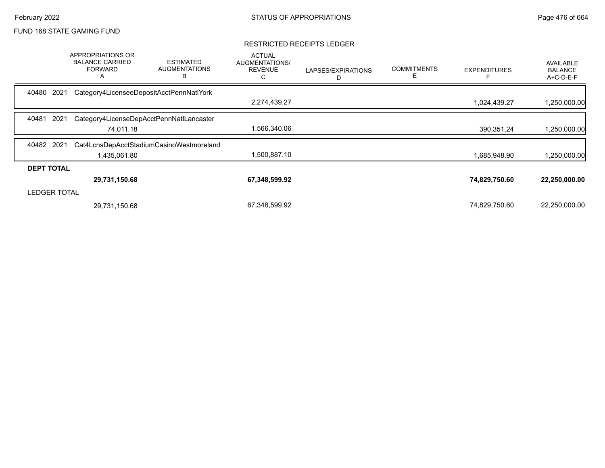### RESTRICTED RECEIPTS LEDGER

|                     | <b>APPROPRIATIONS OR</b><br><b>BALANCE CARRIED</b><br><b>FORWARD</b><br>A | <b>ESTIMATED</b><br><b>AUGMENTATIONS</b><br>в | <b>ACTUAL</b><br>AUGMENTATIONS/<br><b>REVENUE</b><br>С | LAPSES/EXPIRATIONS<br>D | <b>COMMITMENTS</b><br>Е | <b>EXPENDITURES</b> | <b>AVAILABLE</b><br><b>BALANCE</b><br>A+C-D-E-F |
|---------------------|---------------------------------------------------------------------------|-----------------------------------------------|--------------------------------------------------------|-------------------------|-------------------------|---------------------|-------------------------------------------------|
| 2021<br>40480       |                                                                           | Category4LicenseeDepositAcctPennNatlYork      |                                                        |                         |                         |                     |                                                 |
|                     |                                                                           |                                               | 2,274,439.27                                           |                         |                         | 1,024,439.27        | ,250,000.00                                     |
| 40481<br>2021       |                                                                           | Category4LicenseDepAcctPennNatILancaster      |                                                        |                         |                         |                     |                                                 |
|                     | 74.011.18                                                                 |                                               | 1,566,340.06                                           |                         |                         | 390,351.24          | 1,250,000.00                                    |
| 40482 2021          |                                                                           | Cat4LcnsDepAcctStadiumCasinoWestmoreland      |                                                        |                         |                         |                     |                                                 |
|                     | 1,435,061.80                                                              |                                               | 1,500,887.10                                           |                         |                         | 1,685,948.90        | 1,250,000.00                                    |
| <b>DEPT TOTAL</b>   |                                                                           |                                               |                                                        |                         |                         |                     |                                                 |
|                     | 29,731,150.68                                                             |                                               | 67,348,599.92                                          |                         |                         | 74,829,750.60       | 22,250,000.00                                   |
| <b>LEDGER TOTAL</b> |                                                                           |                                               |                                                        |                         |                         |                     |                                                 |
|                     | 29,731,150.68                                                             |                                               | 67,348,599.92                                          |                         |                         | 74,829,750.60       | 22,250,000.00                                   |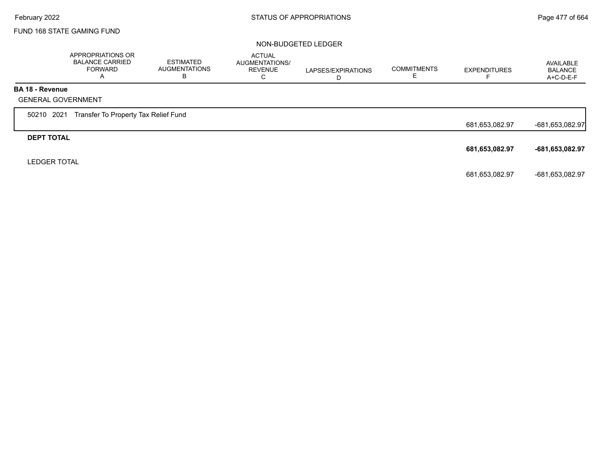#### NON-BUDGETED LEDGER

|                        | APPROPRIATIONS OR<br><b>BALANCE CARRIED</b><br><b>FORWARD</b><br>A | <b>ESTIMATED</b><br><b>AUGMENTATIONS</b><br>В | ACTUAL<br>AUGMENTATIONS/<br><b>REVENUE</b><br>C | LAPSES/EXPIRATIONS<br>D | <b>COMMITMENTS</b><br>E | <b>EXPENDITURES</b> | AVAILABLE<br><b>BALANCE</b><br>$A+C-D-E-F$ |
|------------------------|--------------------------------------------------------------------|-----------------------------------------------|-------------------------------------------------|-------------------------|-------------------------|---------------------|--------------------------------------------|
| <b>BA 18 - Revenue</b> |                                                                    |                                               |                                                 |                         |                         |                     |                                            |
|                        | <b>GENERAL GOVERNMENT</b>                                          |                                               |                                                 |                         |                         |                     |                                            |
| 50210 2021             | Transfer To Property Tax Relief Fund                               |                                               |                                                 |                         |                         |                     |                                            |
|                        |                                                                    |                                               |                                                 |                         |                         | 681,653,082.97      | -681,653,082.97                            |
| <b>DEPT TOTAL</b>      |                                                                    |                                               |                                                 |                         |                         |                     |                                            |
|                        |                                                                    |                                               |                                                 |                         |                         | 681,653,082.97      | -681,653,082.97                            |
| <b>LEDGER TOTAL</b>    |                                                                    |                                               |                                                 |                         |                         |                     |                                            |
|                        |                                                                    |                                               |                                                 |                         |                         | 681,653,082.97      | -681,653,082.97                            |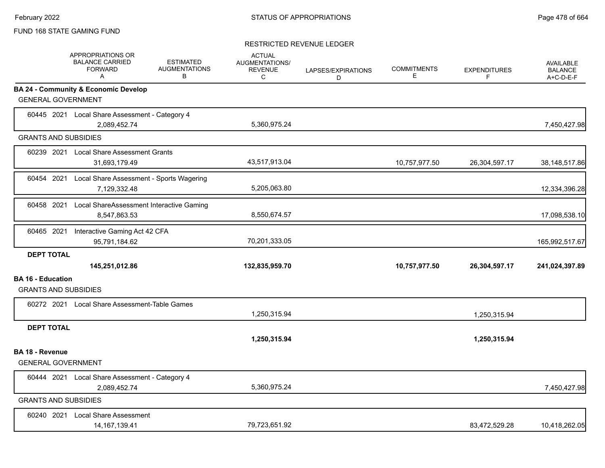#### RESTRICTED REVENUE LEDGER

|                          | <b>APPROPRIATIONS OR</b><br><b>BALANCE CARRIED</b><br><b>FORWARD</b><br>A | <b>ESTIMATED</b><br><b>AUGMENTATIONS</b><br>В | <b>ACTUAL</b><br><b>AUGMENTATIONS/</b><br><b>REVENUE</b><br>C | LAPSES/EXPIRATIONS<br>D | <b>COMMITMENTS</b><br>Е | <b>EXPENDITURES</b><br>F. | <b>AVAILABLE</b><br><b>BALANCE</b><br>A+C-D-E-F |
|--------------------------|---------------------------------------------------------------------------|-----------------------------------------------|---------------------------------------------------------------|-------------------------|-------------------------|---------------------------|-------------------------------------------------|
|                          | <b>BA 24 - Community &amp; Economic Develop</b>                           |                                               |                                                               |                         |                         |                           |                                                 |
|                          | <b>GENERAL GOVERNMENT</b>                                                 |                                               |                                                               |                         |                         |                           |                                                 |
|                          | 60445 2021 Local Share Assessment - Category 4<br>2,089,452.74            |                                               | 5,360,975.24                                                  |                         |                         |                           | 7,450,427.98                                    |
|                          | <b>GRANTS AND SUBSIDIES</b>                                               |                                               |                                                               |                         |                         |                           |                                                 |
|                          | 60239 2021 Local Share Assessment Grants<br>31,693,179.49                 |                                               | 43,517,913.04                                                 |                         | 10,757,977.50           | 26,304,597.17             | 38,148,517.86                                   |
| 60454 2021               | Local Share Assessment - Sports Wagering<br>7,129,332.48                  |                                               | 5,205,063.80                                                  |                         |                         |                           | 12,334,396.28                                   |
| 60458 2021               | Local ShareAssessment Interactive Gaming<br>8,547,863.53                  |                                               | 8,550,674.57                                                  |                         |                         |                           | 17,098,538.10                                   |
| 60465 2021               | Interactive Gaming Act 42 CFA<br>95,791,184.62                            |                                               | 70,201,333.05                                                 |                         |                         |                           | 165,992,517.67                                  |
| <b>DEPT TOTAL</b>        | 145,251,012.86                                                            |                                               | 132,835,959.70                                                |                         | 10,757,977.50           | 26,304,597.17             | 241,024,397.89                                  |
| <b>BA 16 - Education</b> | <b>GRANTS AND SUBSIDIES</b>                                               |                                               |                                                               |                         |                         |                           |                                                 |
|                          | 60272 2021 Local Share Assessment-Table Games                             |                                               | 1,250,315.94                                                  |                         |                         | 1,250,315.94              |                                                 |
| <b>DEPT TOTAL</b>        |                                                                           |                                               | 1,250,315.94                                                  |                         |                         | 1,250,315.94              |                                                 |
| <b>BA 18 - Revenue</b>   |                                                                           |                                               |                                                               |                         |                         |                           |                                                 |
|                          | <b>GENERAL GOVERNMENT</b>                                                 |                                               |                                                               |                         |                         |                           |                                                 |
|                          | 60444 2021 Local Share Assessment - Category 4<br>2,089,452.74            |                                               | 5,360,975.24                                                  |                         |                         |                           | 7,450,427.98                                    |
|                          | <b>GRANTS AND SUBSIDIES</b>                                               |                                               |                                                               |                         |                         |                           |                                                 |
| 60240 2021               | <b>Local Share Assessment</b><br>14, 167, 139. 41                         |                                               | 79.723.651.92                                                 |                         |                         | 83,472,529.28             | 10,418,262.05                                   |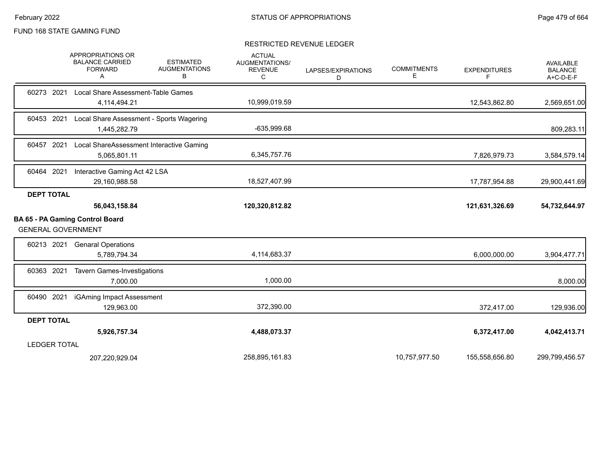### RESTRICTED REVENUE LEDGER

|                           | APPROPRIATIONS OR<br><b>BALANCE CARRIED</b><br><b>FORWARD</b><br>Α | <b>ESTIMATED</b><br><b>AUGMENTATIONS</b><br>В | <b>ACTUAL</b><br><b>AUGMENTATIONS/</b><br><b>REVENUE</b><br>C | LAPSES/EXPIRATIONS<br>D | <b>COMMITMENTS</b><br>Е | <b>EXPENDITURES</b><br>F | <b>AVAILABLE</b><br><b>BALANCE</b><br>A+C-D-E-F |
|---------------------------|--------------------------------------------------------------------|-----------------------------------------------|---------------------------------------------------------------|-------------------------|-------------------------|--------------------------|-------------------------------------------------|
| 60273 2021                | Local Share Assessment-Table Games                                 |                                               |                                                               |                         |                         |                          |                                                 |
|                           | 4,114,494.21                                                       |                                               | 10,999,019.59                                                 |                         |                         | 12,543,862.80            | 2,569,651.00                                    |
| 60453 2021                | Local Share Assessment - Sports Wagering                           |                                               |                                                               |                         |                         |                          |                                                 |
|                           | 1,445,282.79                                                       |                                               | -635,999.68                                                   |                         |                         |                          | 809,283.11                                      |
| 60457 2021                | Local ShareAssessment Interactive Gaming                           |                                               |                                                               |                         |                         |                          |                                                 |
|                           | 5,065,801.11                                                       |                                               | 6,345,757.76                                                  |                         |                         | 7,826,979.73             | 3,584,579.14                                    |
| 60464 2021                | Interactive Gaming Act 42 LSA                                      |                                               |                                                               |                         |                         |                          |                                                 |
|                           | 29,160,988.58                                                      |                                               | 18,527,407.99                                                 |                         |                         | 17,787,954.88            | 29,900,441.69                                   |
| <b>DEPT TOTAL</b>         |                                                                    |                                               |                                                               |                         |                         |                          |                                                 |
|                           | 56,043,158.84                                                      |                                               | 120,320,812.82                                                |                         |                         | 121,631,326.69           | 54,732,644.97                                   |
|                           | <b>BA 65 - PA Gaming Control Board</b>                             |                                               |                                                               |                         |                         |                          |                                                 |
| <b>GENERAL GOVERNMENT</b> |                                                                    |                                               |                                                               |                         |                         |                          |                                                 |
| 60213 2021                | <b>Genaral Operations</b>                                          |                                               |                                                               |                         |                         |                          |                                                 |
|                           | 5,789,794.34                                                       |                                               | 4,114,683.37                                                  |                         |                         | 6,000,000.00             | 3,904,477.71                                    |
| 60363 2021                | <b>Tavern Games-Investigations</b>                                 |                                               |                                                               |                         |                         |                          |                                                 |
|                           | 7,000.00                                                           |                                               | 1,000.00                                                      |                         |                         |                          | 8,000.00                                        |
| 60490 2021                | iGAming Impact Assessment                                          |                                               |                                                               |                         |                         |                          |                                                 |
|                           | 129,963.00                                                         |                                               | 372,390.00                                                    |                         |                         | 372,417.00               | 129,936.00                                      |
| <b>DEPT TOTAL</b>         |                                                                    |                                               |                                                               |                         |                         |                          |                                                 |
|                           | 5,926,757.34                                                       |                                               | 4,488,073.37                                                  |                         |                         | 6,372,417.00             | 4,042,413.71                                    |
| <b>LEDGER TOTAL</b>       |                                                                    |                                               |                                                               |                         |                         |                          |                                                 |
|                           | 207,220,929.04                                                     |                                               | 258,895,161.83                                                |                         | 10,757,977.50           | 155,558,656.80           | 299,799,456.57                                  |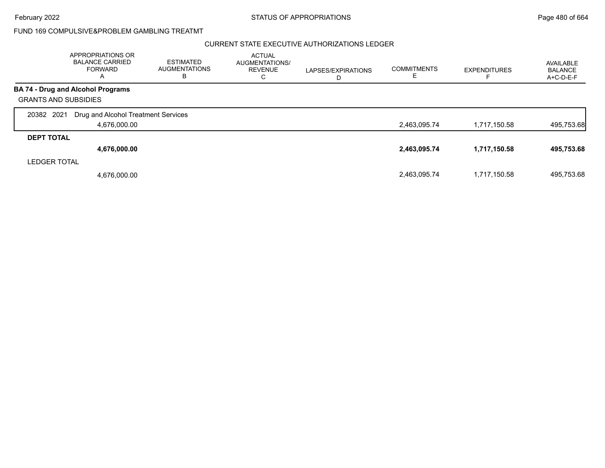February 2022 **Example 2022** Page 480 of 664

## FUND 169 COMPULSIVE&PROBLEM GAMBLING TREATMT

### CURRENT STATE EXECUTIVE AUTHORIZATIONS LEDGER

|                             | <b>APPROPRIATIONS OR</b><br><b>BALANCE CARRIED</b><br><b>FORWARD</b><br>$\overline{A}$ | <b>ESTIMATED</b><br><b>AUGMENTATIONS</b><br>в | <b>ACTUAL</b><br><b>AUGMENTATIONS/</b><br><b>REVENUE</b><br>С | LAPSES/EXPIRATIONS<br>D | <b>COMMITMENTS</b> | <b>EXPENDITURES</b> | AVAILABLE<br><b>BALANCE</b><br>A+C-D-E-F |
|-----------------------------|----------------------------------------------------------------------------------------|-----------------------------------------------|---------------------------------------------------------------|-------------------------|--------------------|---------------------|------------------------------------------|
|                             | <b>BA 74 - Drug and Alcohol Programs</b>                                               |                                               |                                                               |                         |                    |                     |                                          |
| <b>GRANTS AND SUBSIDIES</b> |                                                                                        |                                               |                                                               |                         |                    |                     |                                          |
| 2021<br>20382               | Drug and Alcohol Treatment Services                                                    |                                               |                                                               |                         |                    |                     |                                          |
|                             | 4,676,000.00                                                                           |                                               |                                                               |                         | 2,463,095.74       | 1,717,150.58        | 495,753.68                               |
| <b>DEPT TOTAL</b>           |                                                                                        |                                               |                                                               |                         |                    |                     |                                          |
|                             | 4,676,000.00                                                                           |                                               |                                                               |                         | 2,463,095.74       | 1,717,150.58        | 495,753.68                               |
| <b>LEDGER TOTAL</b>         |                                                                                        |                                               |                                                               |                         |                    |                     |                                          |
|                             | 4,676,000.00                                                                           |                                               |                                                               |                         | 2,463,095.74       | 1,717,150.58        | 495,753.68                               |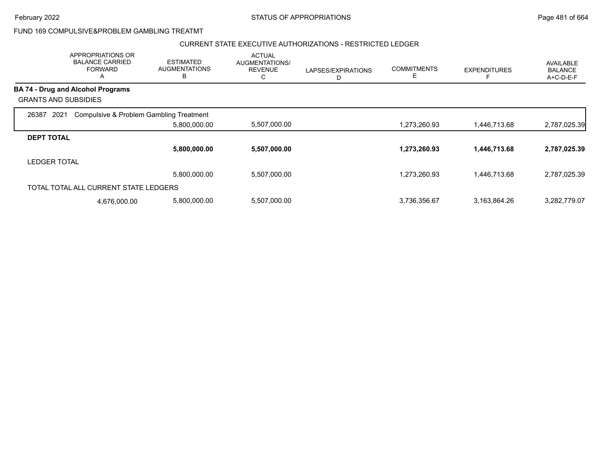## FUND 169 COMPULSIVE&PROBLEM GAMBLING TREATMT

### CURRENT STATE EXECUTIVE AUTHORIZATIONS - RESTRICTED LEDGER

|                             | APPROPRIATIONS OR<br><b>BALANCE CARRIED</b><br><b>FORWARD</b><br>A | <b>ESTIMATED</b><br><b>AUGMENTATIONS</b><br>в | <b>ACTUAL</b><br>AUGMENTATIONS/<br><b>REVENUE</b><br>С | LAPSES/EXPIRATIONS<br>D | <b>COMMITMENTS</b><br>Е | <b>EXPENDITURES</b> | AVAILABLE<br><b>BALANCE</b><br>A+C-D-E-F |
|-----------------------------|--------------------------------------------------------------------|-----------------------------------------------|--------------------------------------------------------|-------------------------|-------------------------|---------------------|------------------------------------------|
|                             | <b>BA 74 - Drug and Alcohol Programs</b>                           |                                               |                                                        |                         |                         |                     |                                          |
| <b>GRANTS AND SUBSIDIES</b> |                                                                    |                                               |                                                        |                         |                         |                     |                                          |
| 2021<br>26387               | Compulsive & Problem Gambling Treatment                            |                                               |                                                        |                         |                         |                     |                                          |
|                             |                                                                    | 5,800,000.00                                  | 5,507,000.00                                           |                         | 1,273,260.93            | 1,446,713.68        | 2,787,025.39                             |
| <b>DEPT TOTAL</b>           |                                                                    |                                               |                                                        |                         |                         |                     |                                          |
|                             |                                                                    | 5,800,000.00                                  | 5,507,000.00                                           |                         | 1,273,260.93            | 1,446,713.68        | 2,787,025.39                             |
| <b>LEDGER TOTAL</b>         |                                                                    |                                               |                                                        |                         |                         |                     |                                          |
|                             |                                                                    | 5.800.000.00                                  | 5.507.000.00                                           |                         | 1.273.260.93            | 1.446.713.68        | 2,787,025.39                             |
|                             | TOTAL TOTAL ALL CURRENT STATE LEDGERS                              |                                               |                                                        |                         |                         |                     |                                          |
|                             | 4,676,000.00                                                       | 5,800,000.00                                  | 5,507,000.00                                           |                         | 3,736,356.67            | 3,163,864.26        | 3,282,779.07                             |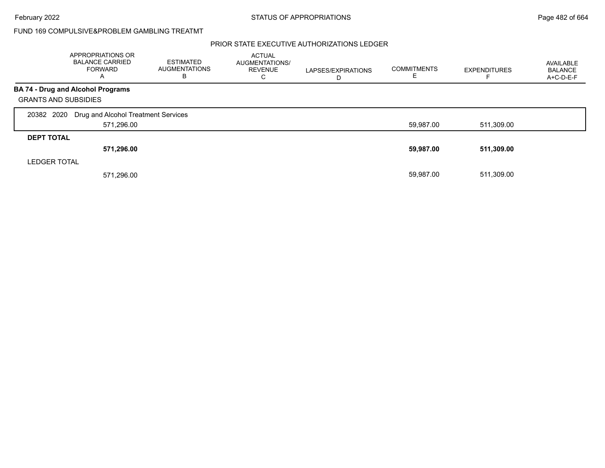## FUND 169 COMPULSIVE&PROBLEM GAMBLING TREATMT

### PRIOR STATE EXECUTIVE AUTHORIZATIONS LEDGER

|                             | APPROPRIATIONS OR<br><b>BALANCE CARRIED</b><br><b>FORWARD</b><br>$\mathsf{A}$ | <b>ESTIMATED</b><br><b>AUGMENTATIONS</b><br>В | <b>ACTUAL</b><br>AUGMENTATIONS/<br><b>REVENUE</b><br>С | LAPSES/EXPIRATIONS<br>D | <b>COMMITMENTS</b><br>E | <b>EXPENDITURES</b> | AVAILABLE<br><b>BALANCE</b><br>A+C-D-E-F |
|-----------------------------|-------------------------------------------------------------------------------|-----------------------------------------------|--------------------------------------------------------|-------------------------|-------------------------|---------------------|------------------------------------------|
|                             | <b>BA 74 - Drug and Alcohol Programs</b>                                      |                                               |                                                        |                         |                         |                     |                                          |
| <b>GRANTS AND SUBSIDIES</b> |                                                                               |                                               |                                                        |                         |                         |                     |                                          |
| 20382 2020                  | Drug and Alcohol Treatment Services                                           |                                               |                                                        |                         |                         |                     |                                          |
|                             | 571,296.00                                                                    |                                               |                                                        |                         | 59,987.00               | 511,309.00          |                                          |
| <b>DEPT TOTAL</b>           |                                                                               |                                               |                                                        |                         |                         |                     |                                          |
|                             | 571,296.00                                                                    |                                               |                                                        |                         | 59,987.00               | 511,309.00          |                                          |
| <b>LEDGER TOTAL</b>         |                                                                               |                                               |                                                        |                         |                         |                     |                                          |
|                             | 571.296.00                                                                    |                                               |                                                        |                         | 59.987.00               | 511,309.00          |                                          |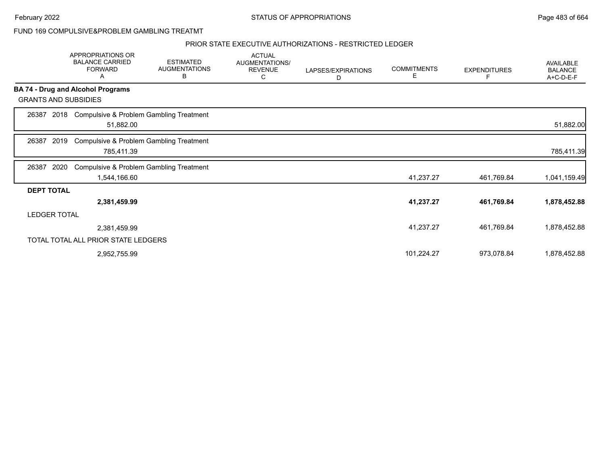February 2022 **Example 2022** Page 483 of 664

FUND 169 COMPULSIVE&PROBLEM GAMBLING TREATMT

### PRIOR STATE EXECUTIVE AUTHORIZATIONS - RESTRICTED LEDGER

|                             | APPROPRIATIONS OR<br><b>BALANCE CARRIED</b><br><b>FORWARD</b><br>Α | <b>ESTIMATED</b><br><b>AUGMENTATIONS</b><br>В | <b>ACTUAL</b><br><b>AUGMENTATIONS/</b><br><b>REVENUE</b><br>C | LAPSES/EXPIRATIONS<br>D | <b>COMMITMENTS</b><br>E. | <b>EXPENDITURES</b><br>F | <b>AVAILABLE</b><br><b>BALANCE</b><br>A+C-D-E-F |
|-----------------------------|--------------------------------------------------------------------|-----------------------------------------------|---------------------------------------------------------------|-------------------------|--------------------------|--------------------------|-------------------------------------------------|
|                             | <b>BA 74 - Drug and Alcohol Programs</b>                           |                                               |                                                               |                         |                          |                          |                                                 |
| <b>GRANTS AND SUBSIDIES</b> |                                                                    |                                               |                                                               |                         |                          |                          |                                                 |
| 26387<br>2018               | Compulsive & Problem Gambling Treatment<br>51,882.00               |                                               |                                                               |                         |                          |                          | 51,882.00                                       |
| 2019<br>26387               | <b>Compulsive &amp; Problem Gambling Treatment</b><br>785,411.39   |                                               |                                                               |                         |                          |                          | 785,411.39                                      |
| 26387<br>2020               | <b>Compulsive &amp; Problem Gambling Treatment</b><br>1,544,166.60 |                                               |                                                               |                         | 41,237.27                | 461,769.84               | 1,041,159.49                                    |
| <b>DEPT TOTAL</b>           |                                                                    |                                               |                                                               |                         |                          |                          |                                                 |
|                             | 2,381,459.99                                                       |                                               |                                                               |                         | 41,237.27                | 461,769.84               | 1,878,452.88                                    |
| <b>LEDGER TOTAL</b>         |                                                                    |                                               |                                                               |                         |                          |                          |                                                 |
|                             | 2,381,459.99                                                       |                                               |                                                               |                         | 41,237.27                | 461,769.84               | 1,878,452.88                                    |
|                             | TOTAL TOTAL ALL PRIOR STATE LEDGERS                                |                                               |                                                               |                         |                          |                          |                                                 |
|                             | 2,952,755.99                                                       |                                               |                                                               |                         | 101,224.27               | 973,078.84               | 1,878,452.88                                    |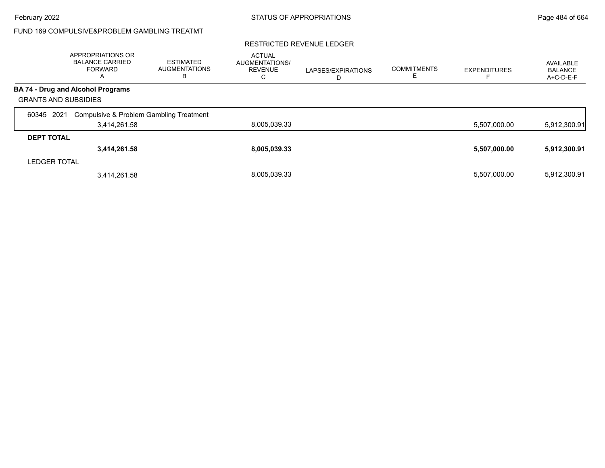## FUND 169 COMPULSIVE&PROBLEM GAMBLING TREATMT

### RESTRICTED REVENUE LEDGER

|                             | APPROPRIATIONS OR<br><b>BALANCE CARRIED</b><br><b>FORWARD</b><br>A | <b>ESTIMATED</b><br><b>AUGMENTATIONS</b><br>в | <b>ACTUAL</b><br>AUGMENTATIONS/<br><b>REVENUE</b><br>◡ | LAPSES/EXPIRATIONS<br>ш | <b>COMMITMENTS</b> | <b>EXPENDITURES</b> | AVAILABLE<br><b>BALANCE</b><br>A+C-D-E-F |
|-----------------------------|--------------------------------------------------------------------|-----------------------------------------------|--------------------------------------------------------|-------------------------|--------------------|---------------------|------------------------------------------|
|                             | <b>BA 74 - Drug and Alcohol Programs</b>                           |                                               |                                                        |                         |                    |                     |                                          |
| <b>GRANTS AND SUBSIDIES</b> |                                                                    |                                               |                                                        |                         |                    |                     |                                          |
| 2021<br>60345               | Compulsive & Problem Gambling Treatment                            |                                               |                                                        |                         |                    |                     |                                          |
|                             | 3,414,261.58                                                       |                                               | 8,005,039.33                                           |                         |                    | 5,507,000.00        | 5,912,300.91                             |
| <b>DEPT TOTAL</b>           |                                                                    |                                               |                                                        |                         |                    |                     |                                          |
|                             | 3,414,261.58                                                       |                                               | 8,005,039.33                                           |                         |                    | 5,507,000.00        | 5,912,300.91                             |
| <b>LEDGER TOTAL</b>         |                                                                    |                                               |                                                        |                         |                    |                     |                                          |
|                             | 3,414,261.58                                                       |                                               | 8.005.039.33                                           |                         |                    | 5,507,000.00        | 5,912,300.91                             |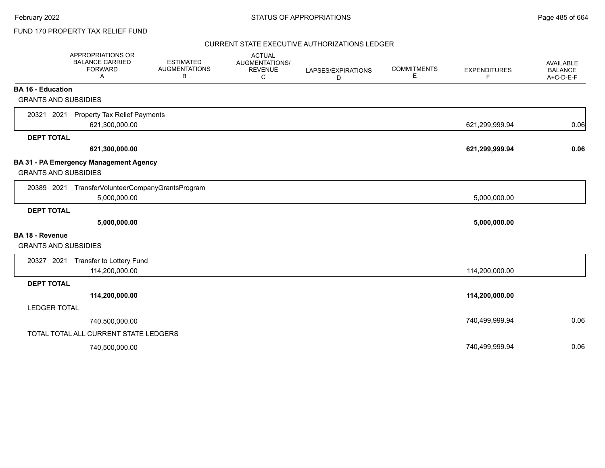### CURRENT STATE EXECUTIVE AUTHORIZATIONS LEDGER

|                                                         | <b>APPROPRIATIONS OR</b><br><b>BALANCE CARRIED</b><br><b>FORWARD</b><br>A | <b>ESTIMATED</b><br><b>AUGMENTATIONS</b><br>B | <b>ACTUAL</b><br><b>AUGMENTATIONS/</b><br><b>REVENUE</b><br>С | LAPSES/EXPIRATIONS<br>D | <b>COMMITMENTS</b><br>E. | <b>EXPENDITURES</b><br>F | <b>AVAILABLE</b><br><b>BALANCE</b><br>A+C-D-E-F |
|---------------------------------------------------------|---------------------------------------------------------------------------|-----------------------------------------------|---------------------------------------------------------------|-------------------------|--------------------------|--------------------------|-------------------------------------------------|
| <b>BA 16 - Education</b><br><b>GRANTS AND SUBSIDIES</b> |                                                                           |                                               |                                                               |                         |                          |                          |                                                 |
| 20321 2021                                              | <b>Property Tax Relief Payments</b><br>621,300,000.00                     |                                               |                                                               |                         |                          | 621,299,999.94           | 0.06                                            |
| <b>DEPT TOTAL</b>                                       | 621,300,000.00                                                            |                                               |                                                               |                         |                          | 621,299,999.94           | 0.06                                            |
| <b>GRANTS AND SUBSIDIES</b>                             | <b>BA 31 - PA Emergency Management Agency</b>                             |                                               |                                                               |                         |                          |                          |                                                 |
|                                                         | 20389 2021 TransferVolunteerCompanyGrantsProgram<br>5,000,000.00          |                                               |                                                               |                         |                          | 5,000,000.00             |                                                 |
| <b>DEPT TOTAL</b>                                       | 5,000,000.00                                                              |                                               |                                                               |                         |                          | 5,000,000.00             |                                                 |
| <b>BA 18 - Revenue</b>                                  |                                                                           |                                               |                                                               |                         |                          |                          |                                                 |
| <b>GRANTS AND SUBSIDIES</b>                             |                                                                           |                                               |                                                               |                         |                          |                          |                                                 |
| 20327 2021                                              | Transfer to Lottery Fund<br>114,200,000.00                                |                                               |                                                               |                         |                          | 114,200,000.00           |                                                 |
| <b>DEPT TOTAL</b>                                       |                                                                           |                                               |                                                               |                         |                          |                          |                                                 |
|                                                         | 114,200,000.00                                                            |                                               |                                                               |                         |                          | 114,200,000.00           |                                                 |
| <b>LEDGER TOTAL</b>                                     |                                                                           |                                               |                                                               |                         |                          |                          |                                                 |
|                                                         | 740,500,000.00                                                            |                                               |                                                               |                         |                          | 740,499,999.94           | 0.06                                            |
|                                                         | TOTAL TOTAL ALL CURRENT STATE LEDGERS                                     |                                               |                                                               |                         |                          |                          |                                                 |
|                                                         | 740,500,000.00                                                            |                                               |                                                               |                         |                          | 740,499,999.94           | 0.06                                            |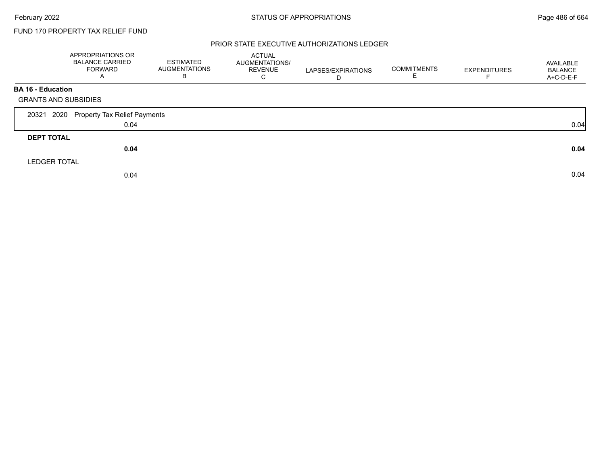### PRIOR STATE EXECUTIVE AUTHORIZATIONS LEDGER

|                             | APPROPRIATIONS OR<br><b>BALANCE CARRIED</b><br><b>FORWARD</b><br>A | <b>ESTIMATED</b><br>AUGMENTATIONS<br>В | ACTUAL<br><b>AUGMENTATIONS/</b><br><b>REVENUE</b><br>C | LAPSES/EXPIRATIONS<br>D | <b>COMMITMENTS</b><br>Е | <b>EXPENDITURES</b> | AVAILABLE<br><b>BALANCE</b><br>A+C-D-E-F |
|-----------------------------|--------------------------------------------------------------------|----------------------------------------|--------------------------------------------------------|-------------------------|-------------------------|---------------------|------------------------------------------|
| <b>BA 16 - Education</b>    |                                                                    |                                        |                                                        |                         |                         |                     |                                          |
| <b>GRANTS AND SUBSIDIES</b> |                                                                    |                                        |                                                        |                         |                         |                     |                                          |
| 2020<br>20321               | Property Tax Relief Payments                                       |                                        |                                                        |                         |                         |                     |                                          |
|                             | 0.04                                                               |                                        |                                                        |                         |                         |                     | 0.04                                     |
| <b>DEPT TOTAL</b>           |                                                                    |                                        |                                                        |                         |                         |                     |                                          |
|                             | 0.04                                                               |                                        |                                                        |                         |                         |                     | 0.04                                     |
| <b>LEDGER TOTAL</b>         |                                                                    |                                        |                                                        |                         |                         |                     |                                          |
|                             | 0.04                                                               |                                        |                                                        |                         |                         |                     | 0.04                                     |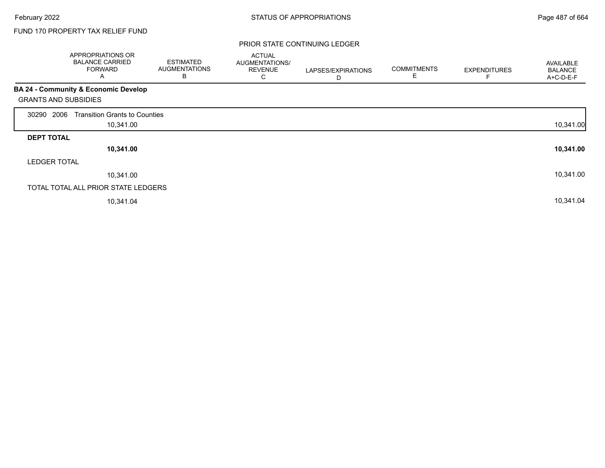### PRIOR STATE CONTINUING LEDGER

|                             | APPROPRIATIONS OR<br><b>BALANCE CARRIED</b><br><b>FORWARD</b><br>A | <b>ESTIMATED</b><br><b>AUGMENTATIONS</b><br>B | <b>ACTUAL</b><br>AUGMENTATIONS/<br><b>REVENUE</b><br>С | LAPSES/EXPIRATIONS<br>D | <b>COMMITMENTS</b><br>E | <b>EXPENDITURES</b> | AVAILABLE<br><b>BALANCE</b><br>A+C-D-E-F |
|-----------------------------|--------------------------------------------------------------------|-----------------------------------------------|--------------------------------------------------------|-------------------------|-------------------------|---------------------|------------------------------------------|
|                             | BA 24 - Community & Economic Develop                               |                                               |                                                        |                         |                         |                     |                                          |
| <b>GRANTS AND SUBSIDIES</b> |                                                                    |                                               |                                                        |                         |                         |                     |                                          |
| 2006<br>30290               | <b>Transition Grants to Counties</b>                               |                                               |                                                        |                         |                         |                     |                                          |
|                             | 10,341.00                                                          |                                               |                                                        |                         |                         |                     | 10,341.00                                |
| <b>DEPT TOTAL</b>           |                                                                    |                                               |                                                        |                         |                         |                     |                                          |
|                             | 10,341.00                                                          |                                               |                                                        |                         |                         |                     | 10,341.00                                |
| <b>LEDGER TOTAL</b>         |                                                                    |                                               |                                                        |                         |                         |                     |                                          |
|                             | 10,341.00                                                          |                                               |                                                        |                         |                         |                     | 10,341.00                                |
|                             | TOTAL TOTAL ALL PRIOR STATE LEDGERS                                |                                               |                                                        |                         |                         |                     |                                          |
|                             | 10,341.04                                                          |                                               |                                                        |                         |                         |                     | 10,341.04                                |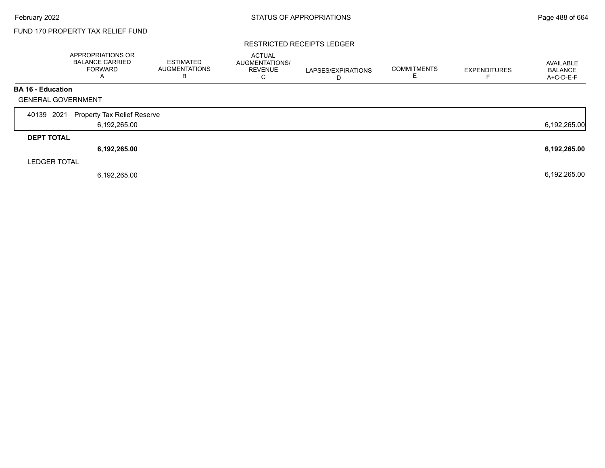### RESTRICTED RECEIPTS LEDGER

|                           | APPROPRIATIONS OR<br><b>BALANCE CARRIED</b><br><b>FORWARD</b><br>А | <b>ESTIMATED</b><br><b>AUGMENTATIONS</b><br>B | <b>ACTUAL</b><br>AUGMENTATIONS/<br><b>REVENUE</b><br>C | LAPSES/EXPIRATIONS<br>D | <b>COMMITMENTS</b> | <b>EXPENDITURES</b> | AVAILABLE<br><b>BALANCE</b><br>A+C-D-E-F |
|---------------------------|--------------------------------------------------------------------|-----------------------------------------------|--------------------------------------------------------|-------------------------|--------------------|---------------------|------------------------------------------|
| <b>BA 16 - Education</b>  |                                                                    |                                               |                                                        |                         |                    |                     |                                          |
| <b>GENERAL GOVERNMENT</b> |                                                                    |                                               |                                                        |                         |                    |                     |                                          |
| 2021<br>40139             | <b>Property Tax Relief Reserve</b>                                 |                                               |                                                        |                         |                    |                     |                                          |
|                           | 6,192,265.00                                                       |                                               |                                                        |                         |                    |                     | 6,192,265.00                             |
| <b>DEPT TOTAL</b>         |                                                                    |                                               |                                                        |                         |                    |                     |                                          |
|                           | 6,192,265.00                                                       |                                               |                                                        |                         |                    |                     | 6,192,265.00                             |
| <b>LEDGER TOTAL</b>       |                                                                    |                                               |                                                        |                         |                    |                     |                                          |
|                           | 6,192,265.00                                                       |                                               |                                                        |                         |                    |                     | 6,192,265.00                             |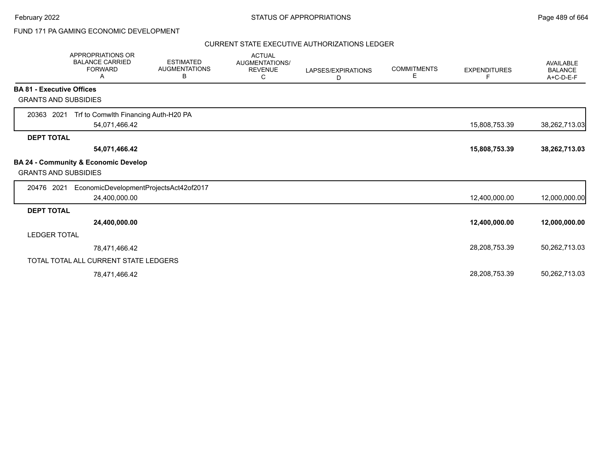## FUND 171 PA GAMING ECONOMIC DEVELOPMENT

### CURRENT STATE EXECUTIVE AUTHORIZATIONS LEDGER

|                                  | <b>APPROPRIATIONS OR</b><br><b>BALANCE CARRIED</b><br><b>FORWARD</b><br>Α | <b>ESTIMATED</b><br><b>AUGMENTATIONS</b><br>В | <b>ACTUAL</b><br>AUGMENTATIONS/<br><b>REVENUE</b><br>С | LAPSES/EXPIRATIONS<br>D | <b>COMMITMENTS</b><br>Е | <b>EXPENDITURES</b><br>F. | <b>AVAILABLE</b><br><b>BALANCE</b><br>A+C-D-E-F |
|----------------------------------|---------------------------------------------------------------------------|-----------------------------------------------|--------------------------------------------------------|-------------------------|-------------------------|---------------------------|-------------------------------------------------|
| <b>BA 81 - Executive Offices</b> |                                                                           |                                               |                                                        |                         |                         |                           |                                                 |
| <b>GRANTS AND SUBSIDIES</b>      |                                                                           |                                               |                                                        |                         |                         |                           |                                                 |
| 2021<br>20363                    | Trf to Comwlth Financing Auth-H20 PA                                      |                                               |                                                        |                         |                         |                           |                                                 |
|                                  | 54,071,466.42                                                             |                                               |                                                        |                         |                         | 15,808,753.39             | 38,262,713.03                                   |
| <b>DEPT TOTAL</b>                |                                                                           |                                               |                                                        |                         |                         |                           |                                                 |
|                                  | 54,071,466.42                                                             |                                               |                                                        |                         |                         | 15,808,753.39             | 38,262,713.03                                   |
| <b>GRANTS AND SUBSIDIES</b>      | BA 24 - Community & Economic Develop                                      |                                               |                                                        |                         |                         |                           |                                                 |
| 20476 2021                       | EconomicDevelopmentProjectsAct42of2017                                    |                                               |                                                        |                         |                         |                           |                                                 |
|                                  | 24,400,000.00                                                             |                                               |                                                        |                         |                         | 12,400,000.00             | 12,000,000.00                                   |
| <b>DEPT TOTAL</b>                |                                                                           |                                               |                                                        |                         |                         |                           |                                                 |
|                                  | 24,400,000.00                                                             |                                               |                                                        |                         |                         | 12,400,000.00             | 12,000,000.00                                   |
| <b>LEDGER TOTAL</b>              |                                                                           |                                               |                                                        |                         |                         |                           |                                                 |
|                                  | 78,471,466.42                                                             |                                               |                                                        |                         |                         | 28,208,753.39             | 50,262,713.03                                   |
|                                  | TOTAL TOTAL ALL CURRENT STATE LEDGERS                                     |                                               |                                                        |                         |                         |                           |                                                 |
|                                  | 78,471,466.42                                                             |                                               |                                                        |                         |                         | 28,208,753.39             | 50,262,713.03                                   |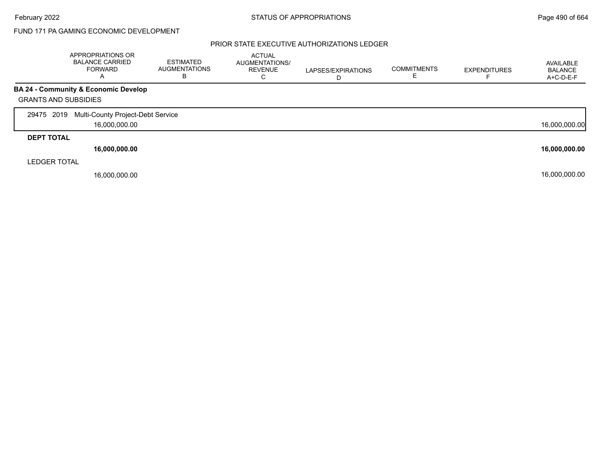## FUND 171 PA GAMING ECONOMIC DEVELOPMENT

### PRIOR STATE EXECUTIVE AUTHORIZATIONS LEDGER

|                             | APPROPRIATIONS OR<br><b>BALANCE CARRIED</b><br><b>FORWARD</b><br>Α | <b>ESTIMATED</b><br><b>AUGMENTATIONS</b><br>В | <b>ACTUAL</b><br>AUGMENTATIONS/<br><b>REVENUE</b><br>С | LAPSES/EXPIRATIONS<br>D | <b>COMMITMENTS</b><br>E | <b>EXPENDITURES</b> | AVAILABLE<br><b>BALANCE</b><br>A+C-D-E-F |
|-----------------------------|--------------------------------------------------------------------|-----------------------------------------------|--------------------------------------------------------|-------------------------|-------------------------|---------------------|------------------------------------------|
|                             | <b>BA 24 - Community &amp; Economic Develop</b>                    |                                               |                                                        |                         |                         |                     |                                          |
| <b>GRANTS AND SUBSIDIES</b> |                                                                    |                                               |                                                        |                         |                         |                     |                                          |
| 29475 2019                  | Multi-County Project-Debt Service                                  |                                               |                                                        |                         |                         |                     |                                          |
|                             | 16,000,000.00                                                      |                                               |                                                        |                         |                         |                     | 16,000,000.00                            |
| <b>DEPT TOTAL</b>           |                                                                    |                                               |                                                        |                         |                         |                     |                                          |
|                             | 16,000,000.00                                                      |                                               |                                                        |                         |                         |                     | 16,000,000.00                            |
| <b>LEDGER TOTAL</b>         |                                                                    |                                               |                                                        |                         |                         |                     |                                          |
|                             | 16.000.000.00                                                      |                                               |                                                        |                         |                         |                     | 16,000,000.00                            |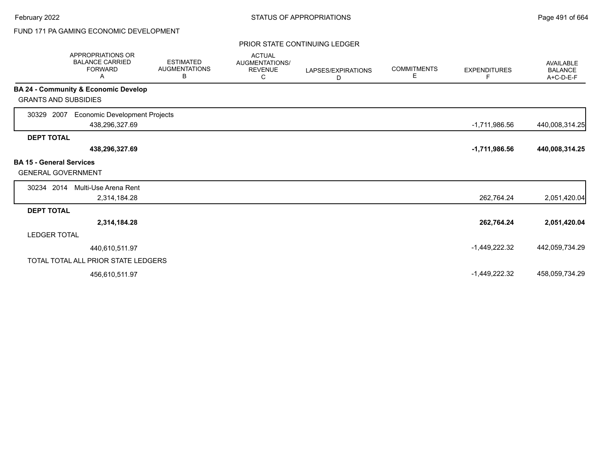# FUND 171 PA GAMING ECONOMIC DEVELOPMENT

### PRIOR STATE CONTINUING LEDGER

|                                                              | <b>APPROPRIATIONS OR</b><br><b>BALANCE CARRIED</b><br><b>FORWARD</b><br>Α | <b>ESTIMATED</b><br><b>AUGMENTATIONS</b><br>В | <b>ACTUAL</b><br>AUGMENTATIONS/<br><b>REVENUE</b><br>С | LAPSES/EXPIRATIONS<br>D | <b>COMMITMENTS</b><br>Е | <b>EXPENDITURES</b><br>F | <b>AVAILABLE</b><br><b>BALANCE</b><br>A+C-D-E-F |
|--------------------------------------------------------------|---------------------------------------------------------------------------|-----------------------------------------------|--------------------------------------------------------|-------------------------|-------------------------|--------------------------|-------------------------------------------------|
|                                                              | BA 24 - Community & Economic Develop                                      |                                               |                                                        |                         |                         |                          |                                                 |
| <b>GRANTS AND SUBSIDIES</b>                                  |                                                                           |                                               |                                                        |                         |                         |                          |                                                 |
| 2007<br>30329                                                | <b>Economic Development Projects</b><br>438,296,327.69                    |                                               |                                                        |                         |                         | $-1,711,986.56$          | 440,008,314.25                                  |
| <b>DEPT TOTAL</b>                                            |                                                                           |                                               |                                                        |                         |                         |                          |                                                 |
|                                                              | 438,296,327.69                                                            |                                               |                                                        |                         |                         | $-1,711,986.56$          | 440,008,314.25                                  |
| <b>BA 15 - General Services</b><br><b>GENERAL GOVERNMENT</b> |                                                                           |                                               |                                                        |                         |                         |                          |                                                 |
| 30234 2014                                                   | Multi-Use Arena Rent                                                      |                                               |                                                        |                         |                         |                          |                                                 |
|                                                              | 2,314,184.28                                                              |                                               |                                                        |                         |                         | 262,764.24               | 2,051,420.04                                    |
| <b>DEPT TOTAL</b>                                            |                                                                           |                                               |                                                        |                         |                         |                          |                                                 |
|                                                              | 2,314,184.28                                                              |                                               |                                                        |                         |                         | 262,764.24               | 2,051,420.04                                    |
| <b>LEDGER TOTAL</b>                                          |                                                                           |                                               |                                                        |                         |                         |                          |                                                 |
|                                                              | 440,610,511.97                                                            |                                               |                                                        |                         |                         | $-1,449,222.32$          | 442,059,734.29                                  |
|                                                              | TOTAL TOTAL ALL PRIOR STATE LEDGERS                                       |                                               |                                                        |                         |                         |                          |                                                 |
|                                                              | 456,610,511.97                                                            |                                               |                                                        |                         |                         | $-1,449,222.32$          | 458,059,734.29                                  |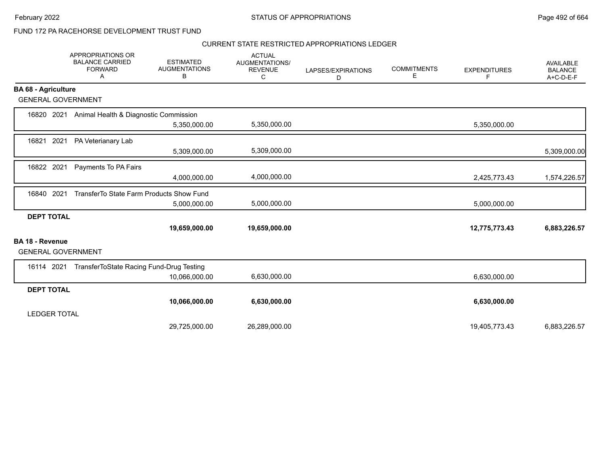February 2022 **Example 2022** Page 492 of 664

## FUND 172 PA RACEHORSE DEVELOPMENT TRUST FUND

### CURRENT STATE RESTRICTED APPROPRIATIONS LEDGER

|                            |                           | APPROPRIATIONS OR<br><b>BALANCE CARRIED</b><br><b>FORWARD</b><br>Α | <b>ESTIMATED</b><br><b>AUGMENTATIONS</b><br>в | <b>ACTUAL</b><br>AUGMENTATIONS/<br><b>REVENUE</b><br>С | LAPSES/EXPIRATIONS<br>D | <b>COMMITMENTS</b><br>Ε | <b>EXPENDITURES</b><br>F | <b>AVAILABLE</b><br><b>BALANCE</b><br>A+C-D-E-F |
|----------------------------|---------------------------|--------------------------------------------------------------------|-----------------------------------------------|--------------------------------------------------------|-------------------------|-------------------------|--------------------------|-------------------------------------------------|
| <b>BA 68 - Agriculture</b> |                           |                                                                    |                                               |                                                        |                         |                         |                          |                                                 |
|                            | <b>GENERAL GOVERNMENT</b> |                                                                    |                                               |                                                        |                         |                         |                          |                                                 |
| 16820                      | 2021                      | Animal Health & Diagnostic Commission                              |                                               |                                                        |                         |                         |                          |                                                 |
|                            |                           |                                                                    | 5,350,000.00                                  | 5,350,000.00                                           |                         |                         | 5,350,000.00             |                                                 |
| 16821                      | 2021                      | PA Veterianary Lab                                                 |                                               |                                                        |                         |                         |                          |                                                 |
|                            |                           |                                                                    | 5,309,000.00                                  | 5,309,000.00                                           |                         |                         |                          | 5,309,000.00                                    |
| 16822 2021                 |                           | Payments To PA Fairs                                               |                                               |                                                        |                         |                         |                          |                                                 |
|                            |                           |                                                                    | 4,000,000.00                                  | 4,000,000.00                                           |                         |                         | 2,425,773.43             | 1,574,226.57                                    |
| 16840                      | 2021                      |                                                                    | TransferTo State Farm Products Show Fund      |                                                        |                         |                         |                          |                                                 |
|                            |                           |                                                                    | 5,000,000.00                                  | 5,000,000.00                                           |                         |                         | 5,000,000.00             |                                                 |
| <b>DEPT TOTAL</b>          |                           |                                                                    |                                               |                                                        |                         |                         |                          |                                                 |
|                            |                           |                                                                    | 19,659,000.00                                 | 19,659,000.00                                          |                         |                         | 12,775,773.43            | 6,883,226.57                                    |
| BA 18 - Revenue            | <b>GENERAL GOVERNMENT</b> |                                                                    |                                               |                                                        |                         |                         |                          |                                                 |
| 16114 2021                 |                           |                                                                    | TransferToState Racing Fund-Drug Testing      |                                                        |                         |                         |                          |                                                 |
|                            |                           |                                                                    | 10,066,000.00                                 | 6,630,000.00                                           |                         |                         | 6,630,000.00             |                                                 |
| <b>DEPT TOTAL</b>          |                           |                                                                    |                                               |                                                        |                         |                         |                          |                                                 |
|                            |                           |                                                                    | 10,066,000.00                                 | 6,630,000.00                                           |                         |                         | 6,630,000.00             |                                                 |
| <b>LEDGER TOTAL</b>        |                           |                                                                    |                                               |                                                        |                         |                         |                          |                                                 |
|                            |                           |                                                                    | 29,725,000.00                                 | 26,289,000.00                                          |                         |                         | 19,405,773.43            | 6,883,226.57                                    |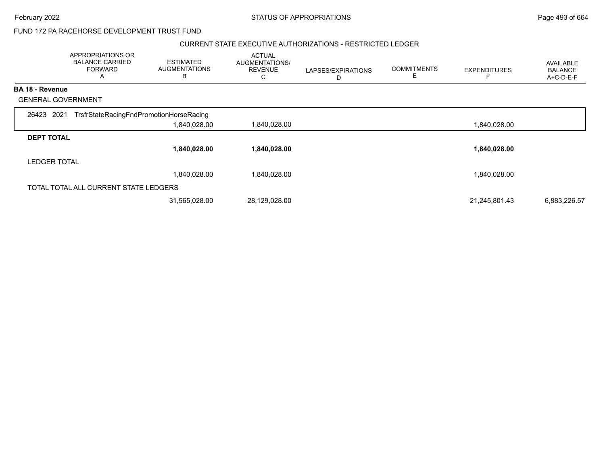February 2022 **STATUS OF APPROPRIATIONS** STATUS OF APPROPRIATIONS

## FUND 172 PA RACEHORSE DEVELOPMENT TRUST FUND

### CURRENT STATE EXECUTIVE AUTHORIZATIONS - RESTRICTED LEDGER

|                           | APPROPRIATIONS OR<br><b>BALANCE CARRIED</b><br><b>FORWARD</b><br>A | <b>ESTIMATED</b><br><b>AUGMENTATIONS</b><br>В | <b>ACTUAL</b><br>AUGMENTATIONS/<br><b>REVENUE</b><br>C | LAPSES/EXPIRATIONS<br>D | <b>COMMITMENTS</b><br>E | <b>EXPENDITURES</b> | AVAILABLE<br><b>BALANCE</b><br>A+C-D-E-F |
|---------------------------|--------------------------------------------------------------------|-----------------------------------------------|--------------------------------------------------------|-------------------------|-------------------------|---------------------|------------------------------------------|
| <b>BA 18 - Revenue</b>    |                                                                    |                                               |                                                        |                         |                         |                     |                                          |
| <b>GENERAL GOVERNMENT</b> |                                                                    |                                               |                                                        |                         |                         |                     |                                          |
| 26423 2021                | TrsfrStateRacingFndPromotionHorseRacing                            |                                               |                                                        |                         |                         |                     |                                          |
|                           |                                                                    | 1,840,028.00                                  | 1,840,028.00                                           |                         |                         | 1,840,028.00        |                                          |
| <b>DEPT TOTAL</b>         |                                                                    |                                               |                                                        |                         |                         |                     |                                          |
|                           |                                                                    | 1,840,028.00                                  | 1,840,028.00                                           |                         |                         | 1,840,028.00        |                                          |
| <b>LEDGER TOTAL</b>       |                                                                    |                                               |                                                        |                         |                         |                     |                                          |
|                           |                                                                    | 1,840,028.00                                  | 1,840,028.00                                           |                         |                         | 1,840,028.00        |                                          |
|                           | TOTAL TOTAL ALL CURRENT STATE LEDGERS                              |                                               |                                                        |                         |                         |                     |                                          |
|                           |                                                                    | 31,565,028.00                                 | 28,129,028.00                                          |                         |                         | 21,245,801.43       | 6,883,226.57                             |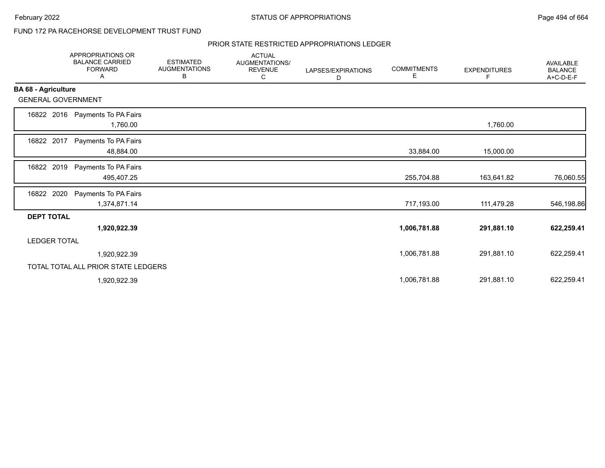## FUND 172 PA RACEHORSE DEVELOPMENT TRUST FUND

### PRIOR STATE RESTRICTED APPROPRIATIONS LEDGER

|                            | APPROPRIATIONS OR<br><b>BALANCE CARRIED</b><br><b>FORWARD</b><br>A | <b>ESTIMATED</b><br><b>AUGMENTATIONS</b><br>В | <b>ACTUAL</b><br>AUGMENTATIONS/<br><b>REVENUE</b><br>С | LAPSES/EXPIRATIONS<br>D | <b>COMMITMENTS</b><br>Е | <b>EXPENDITURES</b><br>F | <b>AVAILABLE</b><br><b>BALANCE</b><br>A+C-D-E-F |
|----------------------------|--------------------------------------------------------------------|-----------------------------------------------|--------------------------------------------------------|-------------------------|-------------------------|--------------------------|-------------------------------------------------|
| <b>BA 68 - Agriculture</b> |                                                                    |                                               |                                                        |                         |                         |                          |                                                 |
| <b>GENERAL GOVERNMENT</b>  |                                                                    |                                               |                                                        |                         |                         |                          |                                                 |
| 16822 2016                 | Payments To PA Fairs<br>1,760.00                                   |                                               |                                                        |                         |                         | 1,760.00                 |                                                 |
| 16822 2017                 | Payments To PA Fairs<br>48,884.00                                  |                                               |                                                        |                         | 33,884.00               | 15,000.00                |                                                 |
| 2019<br>16822              | Payments To PA Fairs<br>495,407.25                                 |                                               |                                                        |                         | 255,704.88              | 163,641.82               | 76,060.55                                       |
| 2020<br>16822              | Payments To PA Fairs<br>1,374,871.14                               |                                               |                                                        |                         | 717,193.00              | 111,479.28               | 546,198.86                                      |
| <b>DEPT TOTAL</b>          |                                                                    |                                               |                                                        |                         |                         |                          |                                                 |
|                            | 1,920,922.39                                                       |                                               |                                                        |                         | 1,006,781.88            | 291,881.10               | 622,259.41                                      |
| <b>LEDGER TOTAL</b>        |                                                                    |                                               |                                                        |                         |                         |                          |                                                 |
|                            | 1,920,922.39                                                       |                                               |                                                        |                         | 1,006,781.88            | 291,881.10               | 622,259.41                                      |
|                            | TOTAL TOTAL ALL PRIOR STATE LEDGERS                                |                                               |                                                        |                         |                         |                          |                                                 |
|                            | 1,920,922.39                                                       |                                               |                                                        |                         | 1,006,781.88            | 291,881.10               | 622,259.41                                      |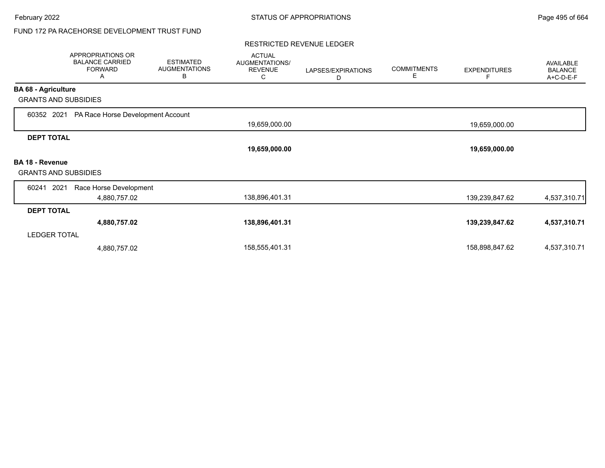## FUND 172 PA RACEHORSE DEVELOPMENT TRUST FUND

#### RESTRICTED REVENUE LEDGER

|                             | APPROPRIATIONS OR<br><b>BALANCE CARRIED</b><br><b>FORWARD</b><br>Α | <b>ESTIMATED</b><br><b>AUGMENTATIONS</b><br>B | <b>ACTUAL</b><br>AUGMENTATIONS/<br><b>REVENUE</b><br>С | LAPSES/EXPIRATIONS<br>D | <b>COMMITMENTS</b><br>Е | <b>EXPENDITURES</b> | <b>AVAILABLE</b><br><b>BALANCE</b><br>A+C-D-E-F |
|-----------------------------|--------------------------------------------------------------------|-----------------------------------------------|--------------------------------------------------------|-------------------------|-------------------------|---------------------|-------------------------------------------------|
| <b>BA 68 - Agriculture</b>  |                                                                    |                                               |                                                        |                         |                         |                     |                                                 |
| <b>GRANTS AND SUBSIDIES</b> |                                                                    |                                               |                                                        |                         |                         |                     |                                                 |
| 60352 2021                  | PA Race Horse Development Account                                  |                                               |                                                        |                         |                         |                     |                                                 |
|                             |                                                                    |                                               | 19,659,000.00                                          |                         |                         | 19,659,000.00       |                                                 |
| <b>DEPT TOTAL</b>           |                                                                    |                                               |                                                        |                         |                         |                     |                                                 |
|                             |                                                                    |                                               | 19,659,000.00                                          |                         |                         | 19,659,000.00       |                                                 |
| <b>BA 18 - Revenue</b>      |                                                                    |                                               |                                                        |                         |                         |                     |                                                 |
| <b>GRANTS AND SUBSIDIES</b> |                                                                    |                                               |                                                        |                         |                         |                     |                                                 |
| 60241<br>2021               | Race Horse Development                                             |                                               |                                                        |                         |                         |                     |                                                 |
|                             | 4,880,757.02                                                       |                                               | 138,896,401.31                                         |                         |                         | 139,239,847.62      | 4,537,310.71                                    |
| <b>DEPT TOTAL</b>           |                                                                    |                                               |                                                        |                         |                         |                     |                                                 |
|                             | 4,880,757.02                                                       |                                               | 138,896,401.31                                         |                         |                         | 139,239,847.62      | 4,537,310.71                                    |
| <b>LEDGER TOTAL</b>         |                                                                    |                                               |                                                        |                         |                         |                     |                                                 |
|                             | 4,880,757.02                                                       |                                               | 158,555,401.31                                         |                         |                         | 158,898,847.62      | 4,537,310.71                                    |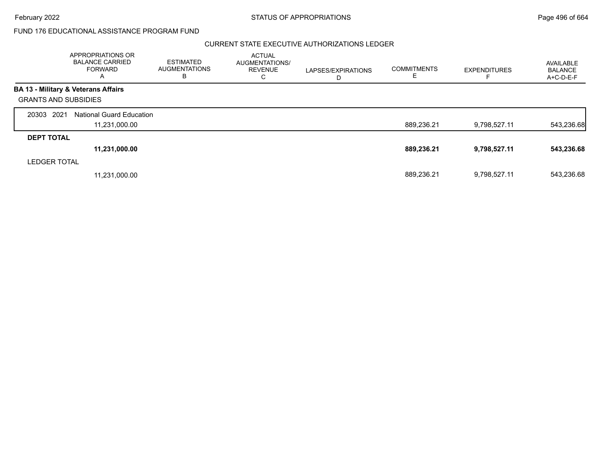### CURRENT STATE EXECUTIVE AUTHORIZATIONS LEDGER

|                     | APPROPRIATIONS OR<br><b>BALANCE CARRIED</b><br>FORWARD<br>A | <b>ESTIMATED</b><br><b>AUGMENTATIONS</b><br>в | <b>ACTUAL</b><br>AUGMENTATIONS/<br><b>REVENUE</b><br>C | LAPSES/EXPIRATIONS<br>D | <b>COMMITMENTS</b><br>E | <b>EXPENDITURES</b> | AVAILABLE<br><b>BALANCE</b><br>$A+C-D-E-F$ |
|---------------------|-------------------------------------------------------------|-----------------------------------------------|--------------------------------------------------------|-------------------------|-------------------------|---------------------|--------------------------------------------|
|                     | <b>BA 13 - Military &amp; Veterans Affairs</b>              |                                               |                                                        |                         |                         |                     |                                            |
|                     | <b>GRANTS AND SUBSIDIES</b>                                 |                                               |                                                        |                         |                         |                     |                                            |
| 2021<br>20303       | <b>National Guard Education</b>                             |                                               |                                                        |                         |                         |                     |                                            |
|                     | 11,231,000.00                                               |                                               |                                                        |                         | 889,236.21              | 9,798,527.11        | 543,236.68                                 |
| <b>DEPT TOTAL</b>   |                                                             |                                               |                                                        |                         |                         |                     |                                            |
|                     | 11,231,000.00                                               |                                               |                                                        |                         | 889,236.21              | 9,798,527.11        | 543,236.68                                 |
| <b>LEDGER TOTAL</b> |                                                             |                                               |                                                        |                         |                         |                     |                                            |
|                     | 11,231,000.00                                               |                                               |                                                        |                         | 889.236.21              | 9,798,527.11        | 543,236.68                                 |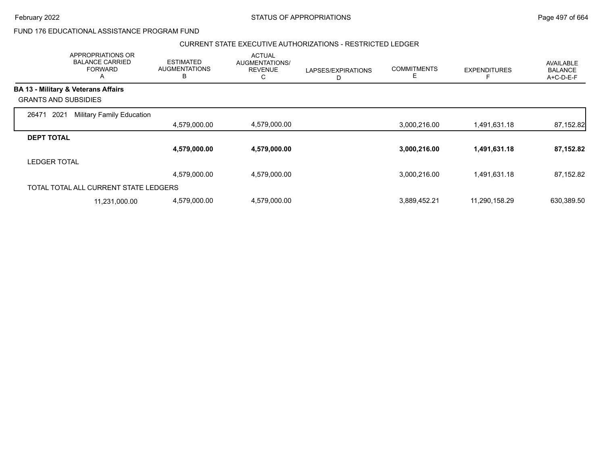### CURRENT STATE EXECUTIVE AUTHORIZATIONS - RESTRICTED LEDGER

|                                                | APPROPRIATIONS OR<br><b>BALANCE CARRIED</b><br><b>FORWARD</b><br>A | <b>ESTIMATED</b><br><b>AUGMENTATIONS</b><br>B | <b>ACTUAL</b><br><b>AUGMENTATIONS/</b><br><b>REVENUE</b><br>С | LAPSES/EXPIRATIONS<br>D | <b>COMMITMENTS</b><br>E. | <b>EXPENDITURES</b> | <b>AVAILABLE</b><br><b>BALANCE</b><br>A+C-D-E-F |
|------------------------------------------------|--------------------------------------------------------------------|-----------------------------------------------|---------------------------------------------------------------|-------------------------|--------------------------|---------------------|-------------------------------------------------|
| <b>BA 13 - Military &amp; Veterans Affairs</b> |                                                                    |                                               |                                                               |                         |                          |                     |                                                 |
| <b>GRANTS AND SUBSIDIES</b>                    |                                                                    |                                               |                                                               |                         |                          |                     |                                                 |
| 2021<br>26471                                  | <b>Military Family Education</b>                                   |                                               |                                                               |                         |                          |                     |                                                 |
|                                                |                                                                    | 4,579,000.00                                  | 4,579,000.00                                                  |                         | 3,000,216.00             | 1,491,631.18        | 87,152.82                                       |
| <b>DEPT TOTAL</b>                              |                                                                    |                                               |                                                               |                         |                          |                     |                                                 |
|                                                |                                                                    | 4,579,000.00                                  | 4,579,000.00                                                  |                         | 3,000,216.00             | 1,491,631.18        | 87,152.82                                       |
| <b>LEDGER TOTAL</b>                            |                                                                    |                                               |                                                               |                         |                          |                     |                                                 |
|                                                |                                                                    | 4,579,000.00                                  | 4,579,000.00                                                  |                         | 3,000,216.00             | 1,491,631.18        | 87,152.82                                       |
| TOTAL TOTAL ALL CURRENT STATE LEDGERS          |                                                                    |                                               |                                                               |                         |                          |                     |                                                 |
|                                                | 11,231,000.00                                                      | 4,579,000.00                                  | 4,579,000.00                                                  |                         | 3,889,452.21             | 11,290,158.29       | 630,389.50                                      |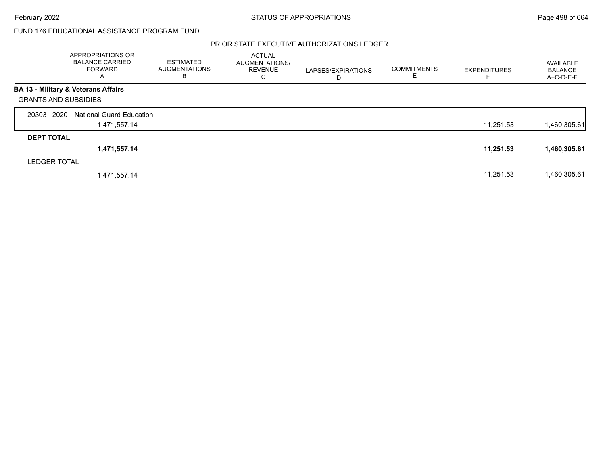### PRIOR STATE EXECUTIVE AUTHORIZATIONS LEDGER

|                             | APPROPRIATIONS OR<br><b>BALANCE CARRIED</b><br>FORWARD<br>A | <b>ESTIMATED</b><br><b>AUGMENTATIONS</b><br>В | <b>ACTUAL</b><br>AUGMENTATIONS/<br><b>REVENUE</b><br>C | LAPSES/EXPIRATIONS<br>D | <b>COMMITMENTS</b><br>ட | <b>EXPENDITURES</b> | AVAILABLE<br><b>BALANCE</b><br>A+C-D-E-F |
|-----------------------------|-------------------------------------------------------------|-----------------------------------------------|--------------------------------------------------------|-------------------------|-------------------------|---------------------|------------------------------------------|
|                             | <b>BA 13 - Military &amp; Veterans Affairs</b>              |                                               |                                                        |                         |                         |                     |                                          |
| <b>GRANTS AND SUBSIDIES</b> |                                                             |                                               |                                                        |                         |                         |                     |                                          |
| 20303 2020                  | <b>National Guard Education</b>                             |                                               |                                                        |                         |                         |                     |                                          |
|                             | 1,471,557.14                                                |                                               |                                                        |                         |                         | 11,251.53           | 1,460,305.61                             |
| <b>DEPT TOTAL</b>           |                                                             |                                               |                                                        |                         |                         |                     |                                          |
|                             | 1,471,557.14                                                |                                               |                                                        |                         |                         | 11,251.53           | 1,460,305.61                             |
| <b>LEDGER TOTAL</b>         |                                                             |                                               |                                                        |                         |                         |                     |                                          |
|                             | 1,471,557.14                                                |                                               |                                                        |                         |                         | 11,251.53           | 1,460,305.61                             |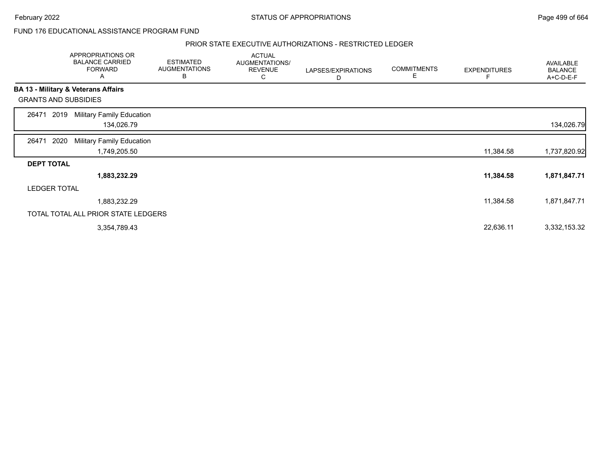### February 2022 **Example 2022** Page 499 of 664

### FUND 176 EDUCATIONAL ASSISTANCE PROGRAM FUND

### PRIOR STATE EXECUTIVE AUTHORIZATIONS - RESTRICTED LEDGER

|                             |                     | <b>APPROPRIATIONS OR</b><br><b>BALANCE CARRIED</b><br><b>FORWARD</b><br>Α | <b>ESTIMATED</b><br><b>AUGMENTATIONS</b><br>B | <b>ACTUAL</b><br>AUGMENTATIONS/<br><b>REVENUE</b><br>С | LAPSES/EXPIRATIONS<br>D | <b>COMMITMENTS</b><br>Е | <b>EXPENDITURES</b> | AVAILABLE<br><b>BALANCE</b><br>A+C-D-E-F |
|-----------------------------|---------------------|---------------------------------------------------------------------------|-----------------------------------------------|--------------------------------------------------------|-------------------------|-------------------------|---------------------|------------------------------------------|
|                             |                     | <b>BA 13 - Military &amp; Veterans Affairs</b>                            |                                               |                                                        |                         |                         |                     |                                          |
| <b>GRANTS AND SUBSIDIES</b> |                     |                                                                           |                                               |                                                        |                         |                         |                     |                                          |
| 26471                       | 2019                | <b>Military Family Education</b><br>134,026.79                            |                                               |                                                        |                         |                         |                     | 134,026.79                               |
| 26471                       | 2020                | Military Family Education<br>1,749,205.50                                 |                                               |                                                        |                         |                         | 11,384.58           | 1,737,820.92                             |
| <b>DEPT TOTAL</b>           |                     |                                                                           |                                               |                                                        |                         |                         |                     |                                          |
|                             |                     | 1,883,232.29                                                              |                                               |                                                        |                         |                         | 11,384.58           | 1,871,847.71                             |
|                             | <b>LEDGER TOTAL</b> |                                                                           |                                               |                                                        |                         |                         |                     |                                          |
|                             |                     | 1,883,232.29                                                              |                                               |                                                        |                         |                         | 11,384.58           | 1,871,847.71                             |
|                             |                     | TOTAL TOTAL ALL PRIOR STATE LEDGERS                                       |                                               |                                                        |                         |                         |                     |                                          |
|                             |                     | 3,354,789.43                                                              |                                               |                                                        |                         |                         | 22,636.11           | 3,332,153.32                             |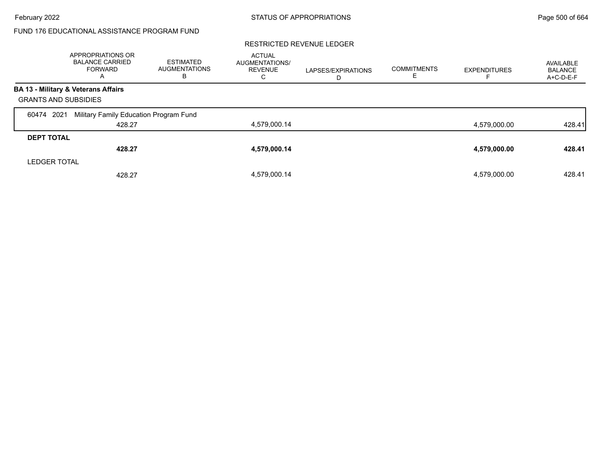### RESTRICTED REVENUE LEDGER

|                             | APPROPRIATIONS OR<br><b>BALANCE CARRIED</b><br>FORWARD<br>$\overline{\mathsf{A}}$ | ESTIMATED<br><b>AUGMENTATIONS</b><br>В | <b>ACTUAL</b><br>AUGMENTATIONS/<br><b>REVENUE</b><br>С | LAPSES/EXPIRATIONS<br>D | <b>COMMITMENTS</b> | <b>EXPENDITURES</b> | AVAILABLE<br><b>BALANCE</b><br>A+C-D-E-F |
|-----------------------------|-----------------------------------------------------------------------------------|----------------------------------------|--------------------------------------------------------|-------------------------|--------------------|---------------------|------------------------------------------|
|                             | BA 13 - Military & Veterans Affairs                                               |                                        |                                                        |                         |                    |                     |                                          |
| <b>GRANTS AND SUBSIDIES</b> |                                                                                   |                                        |                                                        |                         |                    |                     |                                          |
| 2021<br>60474               | Military Family Education Program Fund                                            |                                        |                                                        |                         |                    |                     |                                          |
|                             | 428.27                                                                            |                                        | 4,579,000.14                                           |                         |                    | 4,579,000.00        | 428.41                                   |
| <b>DEPT TOTAL</b>           |                                                                                   |                                        |                                                        |                         |                    |                     |                                          |
|                             | 428.27                                                                            |                                        | 4,579,000.14                                           |                         |                    | 4,579,000.00        | 428.41                                   |
| <b>LEDGER TOTAL</b>         |                                                                                   |                                        |                                                        |                         |                    |                     |                                          |
|                             | 428.27                                                                            |                                        | 4,579,000.14                                           |                         |                    | 4,579,000.00        | 428.41                                   |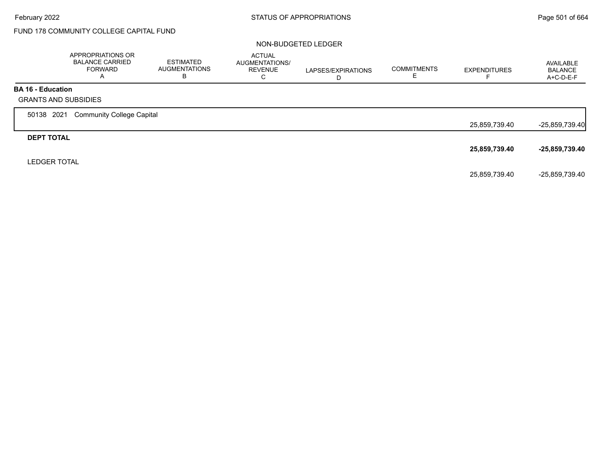# FUND 178 COMMUNITY COLLEGE CAPITAL FUND

### NON-BUDGETED LEDGER

|                                                         | APPROPRIATIONS OR<br><b>BALANCE CARRIED</b><br><b>FORWARD</b><br>A | <b>ESTIMATED</b><br><b>AUGMENTATIONS</b><br>B | <b>ACTUAL</b><br>AUGMENTATIONS/<br><b>REVENUE</b><br>С | LAPSES/EXPIRATIONS | <b>COMMITMENTS</b> | <b>EXPENDITURES</b> | AVAILABLE<br><b>BALANCE</b><br>A+C-D-E-F |
|---------------------------------------------------------|--------------------------------------------------------------------|-----------------------------------------------|--------------------------------------------------------|--------------------|--------------------|---------------------|------------------------------------------|
| <b>BA 16 - Education</b><br><b>GRANTS AND SUBSIDIES</b> |                                                                    |                                               |                                                        |                    |                    |                     |                                          |
| 50138 2021                                              | <b>Community College Capital</b>                                   |                                               |                                                        |                    |                    |                     |                                          |
|                                                         |                                                                    |                                               |                                                        |                    |                    | 25,859,739.40       | $-25,859,739.40$                         |
| <b>DEPT TOTAL</b>                                       |                                                                    |                                               |                                                        |                    |                    |                     |                                          |
|                                                         |                                                                    |                                               |                                                        |                    |                    | 25,859,739.40       | -25,859,739.40                           |
| <b>LEDGER TOTAL</b>                                     |                                                                    |                                               |                                                        |                    |                    |                     |                                          |
|                                                         |                                                                    |                                               |                                                        |                    |                    | 25,859,739.40       | -25,859,739.40                           |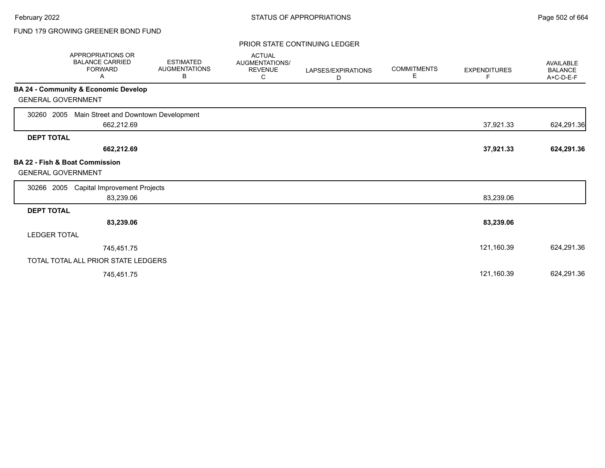# FUND 179 GROWING GREENER BOND FUND

### PRIOR STATE CONTINUING LEDGER

| APPROPRIATIONS OR<br><b>BALANCE CARRIED</b><br><b>FORWARD</b><br>Α     | <b>ESTIMATED</b><br><b>AUGMENTATIONS</b><br>В | <b>ACTUAL</b><br>AUGMENTATIONS/<br><b>REVENUE</b><br>С | LAPSES/EXPIRATIONS<br>D | <b>COMMITMENTS</b><br>Е | <b>EXPENDITURES</b><br>F | <b>AVAILABLE</b><br><b>BALANCE</b><br>A+C-D-E-F |
|------------------------------------------------------------------------|-----------------------------------------------|--------------------------------------------------------|-------------------------|-------------------------|--------------------------|-------------------------------------------------|
| <b>BA 24 - Community &amp; Economic Develop</b>                        |                                               |                                                        |                         |                         |                          |                                                 |
| <b>GENERAL GOVERNMENT</b>                                              |                                               |                                                        |                         |                         |                          |                                                 |
| Main Street and Downtown Development<br>30260<br>2005                  |                                               |                                                        |                         |                         |                          |                                                 |
| 662,212.69                                                             |                                               |                                                        |                         |                         | 37,921.33                | 624,291.36                                      |
| <b>DEPT TOTAL</b>                                                      |                                               |                                                        |                         |                         |                          |                                                 |
| 662,212.69                                                             |                                               |                                                        |                         |                         | 37,921.33                | 624,291.36                                      |
| <b>BA 22 - Fish &amp; Boat Commission</b><br><b>GENERAL GOVERNMENT</b> |                                               |                                                        |                         |                         |                          |                                                 |
| <b>Capital Improvement Projects</b><br>30266<br>2005                   |                                               |                                                        |                         |                         |                          |                                                 |
| 83,239.06                                                              |                                               |                                                        |                         |                         | 83,239.06                |                                                 |
| <b>DEPT TOTAL</b>                                                      |                                               |                                                        |                         |                         |                          |                                                 |
| 83,239.06                                                              |                                               |                                                        |                         |                         | 83,239.06                |                                                 |
| <b>LEDGER TOTAL</b>                                                    |                                               |                                                        |                         |                         |                          |                                                 |
| 745,451.75                                                             |                                               |                                                        |                         |                         | 121,160.39               | 624,291.36                                      |
| TOTAL TOTAL ALL PRIOR STATE LEDGERS                                    |                                               |                                                        |                         |                         |                          |                                                 |
| 745,451.75                                                             |                                               |                                                        |                         |                         | 121,160.39               | 624,291.36                                      |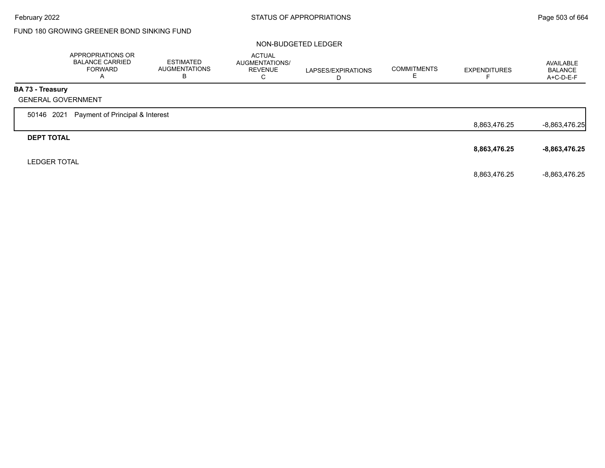# FUND 180 GROWING GREENER BOND SINKING FUND

### NON-BUDGETED LEDGER

|                     | APPROPRIATIONS OR<br><b>BALANCE CARRIED</b><br><b>FORWARD</b><br>A | <b>ESTIMATED</b><br><b>AUGMENTATIONS</b><br>В | <b>ACTUAL</b><br>AUGMENTATIONS/<br><b>REVENUE</b><br>C | LAPSES/EXPIRATIONS<br>D | <b>COMMITMENTS</b> | <b>EXPENDITURES</b> | AVAILABLE<br><b>BALANCE</b><br>A+C-D-E-F |
|---------------------|--------------------------------------------------------------------|-----------------------------------------------|--------------------------------------------------------|-------------------------|--------------------|---------------------|------------------------------------------|
| BA 73 - Treasury    |                                                                    |                                               |                                                        |                         |                    |                     |                                          |
|                     | <b>GENERAL GOVERNMENT</b>                                          |                                               |                                                        |                         |                    |                     |                                          |
| 50146 2021          | Payment of Principal & Interest                                    |                                               |                                                        |                         |                    |                     |                                          |
|                     |                                                                    |                                               |                                                        |                         |                    | 8,863,476.25        | $-8,863,476.25$                          |
| <b>DEPT TOTAL</b>   |                                                                    |                                               |                                                        |                         |                    |                     |                                          |
|                     |                                                                    |                                               |                                                        |                         |                    | 8,863,476.25        | $-8,863,476.25$                          |
| <b>LEDGER TOTAL</b> |                                                                    |                                               |                                                        |                         |                    |                     |                                          |
|                     |                                                                    |                                               |                                                        |                         |                    | 8,863,476.25        | $-8,863,476.25$                          |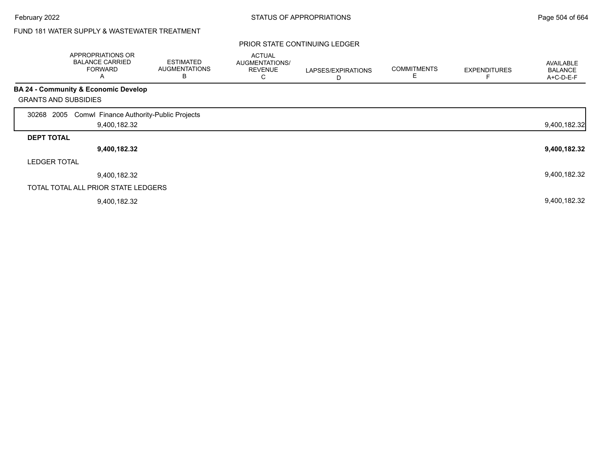# FUND 181 WATER SUPPLY & WASTEWATER TREATMENT

### PRIOR STATE CONTINUING LEDGER

|                             | APPROPRIATIONS OR<br><b>BALANCE CARRIED</b><br><b>FORWARD</b><br>Α | <b>ESTIMATED</b><br><b>AUGMENTATIONS</b><br>В | <b>ACTUAL</b><br>AUGMENTATIONS/<br><b>REVENUE</b><br>◡ | LAPSES/EXPIRATIONS<br>D | <b>COMMITMENTS</b><br>E | <b>EXPENDITURES</b> | <b>AVAILABLE</b><br><b>BALANCE</b><br>A+C-D-E-F |
|-----------------------------|--------------------------------------------------------------------|-----------------------------------------------|--------------------------------------------------------|-------------------------|-------------------------|---------------------|-------------------------------------------------|
|                             | <b>BA 24 - Community &amp; Economic Develop</b>                    |                                               |                                                        |                         |                         |                     |                                                 |
| <b>GRANTS AND SUBSIDIES</b> |                                                                    |                                               |                                                        |                         |                         |                     |                                                 |
| 2005<br>30268               | Comwl Finance Authority-Public Projects                            |                                               |                                                        |                         |                         |                     |                                                 |
|                             | 9,400,182.32                                                       |                                               |                                                        |                         |                         |                     | 9,400,182.32                                    |
| <b>DEPT TOTAL</b>           |                                                                    |                                               |                                                        |                         |                         |                     |                                                 |
|                             | 9,400,182.32                                                       |                                               |                                                        |                         |                         |                     | 9,400,182.32                                    |
| <b>LEDGER TOTAL</b>         |                                                                    |                                               |                                                        |                         |                         |                     |                                                 |
|                             | 9,400,182.32                                                       |                                               |                                                        |                         |                         |                     | 9,400,182.32                                    |
|                             | TOTAL TOTAL ALL PRIOR STATE LEDGERS                                |                                               |                                                        |                         |                         |                     |                                                 |
|                             | 9,400,182.32                                                       |                                               |                                                        |                         |                         |                     | 9,400,182.32                                    |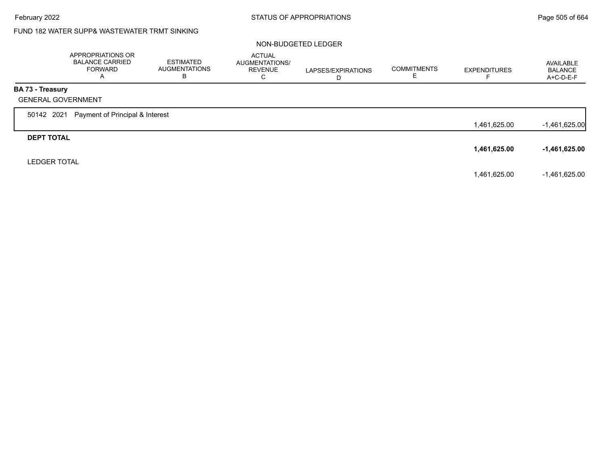# FUND 182 WATER SUPP& WASTEWATER TRMT SINKING

### NON-BUDGETED LEDGER

|                         | APPROPRIATIONS OR<br><b>BALANCE CARRIED</b><br><b>FORWARD</b><br>A | <b>ESTIMATED</b><br><b>AUGMENTATIONS</b><br>В | <b>ACTUAL</b><br>AUGMENTATIONS/<br><b>REVENUE</b><br>C | LAPSES/EXPIRATIONS<br>D | <b>COMMITMENTS</b><br>ᄇ | <b>EXPENDITURES</b><br>⊢ | AVAILABLE<br><b>BALANCE</b><br>A+C-D-E-F |
|-------------------------|--------------------------------------------------------------------|-----------------------------------------------|--------------------------------------------------------|-------------------------|-------------------------|--------------------------|------------------------------------------|
| <b>BA 73 - Treasury</b> |                                                                    |                                               |                                                        |                         |                         |                          |                                          |
|                         | <b>GENERAL GOVERNMENT</b>                                          |                                               |                                                        |                         |                         |                          |                                          |
| 50142 2021              | Payment of Principal & Interest                                    |                                               |                                                        |                         |                         |                          |                                          |
|                         |                                                                    |                                               |                                                        |                         |                         | 1,461,625.00             | $-1,461,625.00$                          |
| <b>DEPT TOTAL</b>       |                                                                    |                                               |                                                        |                         |                         |                          |                                          |
|                         |                                                                    |                                               |                                                        |                         |                         | 1,461,625.00             | $-1,461,625.00$                          |
| <b>LEDGER TOTAL</b>     |                                                                    |                                               |                                                        |                         |                         |                          |                                          |
|                         |                                                                    |                                               |                                                        |                         |                         | 1,461,625.00             | $-1,461,625.00$                          |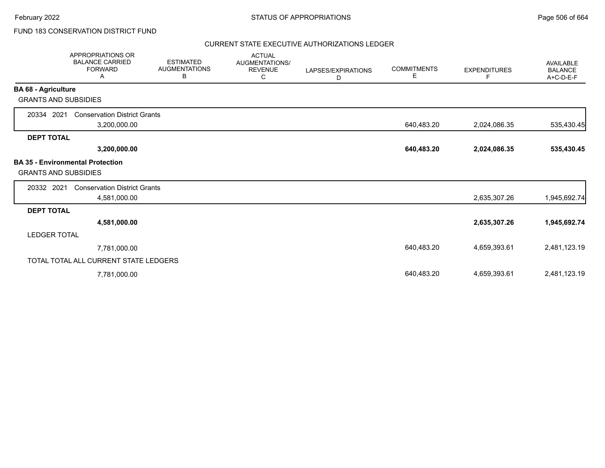# FUND 183 CONSERVATION DISTRICT FUND

### CURRENT STATE EXECUTIVE AUTHORIZATIONS LEDGER

|                             | <b>APPROPRIATIONS OR</b><br><b>BALANCE CARRIED</b><br><b>FORWARD</b><br>Α | <b>ESTIMATED</b><br><b>AUGMENTATIONS</b><br>В | <b>ACTUAL</b><br>AUGMENTATIONS/<br><b>REVENUE</b><br>С | LAPSES/EXPIRATIONS<br>D | <b>COMMITMENTS</b><br>Е | <b>EXPENDITURES</b><br>F | AVAILABLE<br><b>BALANCE</b><br>A+C-D-E-F |
|-----------------------------|---------------------------------------------------------------------------|-----------------------------------------------|--------------------------------------------------------|-------------------------|-------------------------|--------------------------|------------------------------------------|
| <b>BA 68 - Agriculture</b>  |                                                                           |                                               |                                                        |                         |                         |                          |                                          |
| <b>GRANTS AND SUBSIDIES</b> |                                                                           |                                               |                                                        |                         |                         |                          |                                          |
| 20334 2021                  | <b>Conservation District Grants</b>                                       |                                               |                                                        |                         |                         |                          |                                          |
|                             | 3,200,000.00                                                              |                                               |                                                        |                         | 640,483.20              | 2,024,086.35             | 535,430.45                               |
| <b>DEPT TOTAL</b>           |                                                                           |                                               |                                                        |                         |                         |                          |                                          |
|                             | 3,200,000.00                                                              |                                               |                                                        |                         | 640,483.20              | 2,024,086.35             | 535,430.45                               |
| <b>GRANTS AND SUBSIDIES</b> | <b>BA 35 - Environmental Protection</b>                                   |                                               |                                                        |                         |                         |                          |                                          |
| 20332 2021                  | <b>Conservation District Grants</b>                                       |                                               |                                                        |                         |                         |                          |                                          |
|                             | 4,581,000.00                                                              |                                               |                                                        |                         |                         | 2,635,307.26             | 1,945,692.74                             |
| <b>DEPT TOTAL</b>           |                                                                           |                                               |                                                        |                         |                         |                          |                                          |
|                             | 4,581,000.00                                                              |                                               |                                                        |                         |                         | 2,635,307.26             | 1,945,692.74                             |
| <b>LEDGER TOTAL</b>         |                                                                           |                                               |                                                        |                         |                         |                          |                                          |
|                             | 7,781,000.00                                                              |                                               |                                                        |                         | 640,483.20              | 4,659,393.61             | 2,481,123.19                             |
|                             | TOTAL TOTAL ALL CURRENT STATE LEDGERS                                     |                                               |                                                        |                         |                         |                          |                                          |
|                             | 7,781,000.00                                                              |                                               |                                                        |                         | 640,483.20              | 4,659,393.61             | 2,481,123.19                             |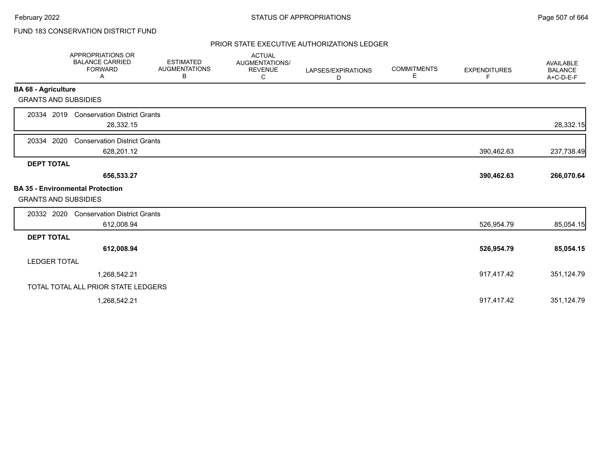# FUND 183 CONSERVATION DISTRICT FUND

### PRIOR STATE EXECUTIVE AUTHORIZATIONS LEDGER

|                             | APPROPRIATIONS OR<br><b>BALANCE CARRIED</b><br><b>FORWARD</b><br>Α | <b>ESTIMATED</b><br><b>AUGMENTATIONS</b><br>В | <b>ACTUAL</b><br>AUGMENTATIONS/<br><b>REVENUE</b><br>С | LAPSES/EXPIRATIONS<br>D | <b>COMMITMENTS</b><br>Е | <b>EXPENDITURES</b><br>F | <b>AVAILABLE</b><br><b>BALANCE</b><br>A+C-D-E-F |
|-----------------------------|--------------------------------------------------------------------|-----------------------------------------------|--------------------------------------------------------|-------------------------|-------------------------|--------------------------|-------------------------------------------------|
| <b>BA 68 - Agriculture</b>  |                                                                    |                                               |                                                        |                         |                         |                          |                                                 |
| <b>GRANTS AND SUBSIDIES</b> |                                                                    |                                               |                                                        |                         |                         |                          |                                                 |
| 20334 2019                  | <b>Conservation District Grants</b><br>28,332.15                   |                                               |                                                        |                         |                         |                          | 28,332.15                                       |
| 2020<br>20334               | <b>Conservation District Grants</b><br>628,201.12                  |                                               |                                                        |                         |                         | 390,462.63               | 237,738.49                                      |
| <b>DEPT TOTAL</b>           |                                                                    |                                               |                                                        |                         |                         |                          |                                                 |
|                             | 656,533.27                                                         |                                               |                                                        |                         |                         | 390,462.63               | 266,070.64                                      |
| <b>GRANTS AND SUBSIDIES</b> | <b>BA 35 - Environmental Protection</b>                            |                                               |                                                        |                         |                         |                          |                                                 |
| 20332 2020                  | <b>Conservation District Grants</b>                                |                                               |                                                        |                         |                         |                          |                                                 |
|                             | 612,008.94                                                         |                                               |                                                        |                         |                         | 526,954.79               | 85,054.15                                       |
| <b>DEPT TOTAL</b>           |                                                                    |                                               |                                                        |                         |                         |                          |                                                 |
|                             | 612,008.94                                                         |                                               |                                                        |                         |                         | 526,954.79               | 85,054.15                                       |
| <b>LEDGER TOTAL</b>         |                                                                    |                                               |                                                        |                         |                         |                          |                                                 |
|                             | 1,268,542.21                                                       |                                               |                                                        |                         |                         | 917,417.42               | 351,124.79                                      |
|                             | TOTAL TOTAL ALL PRIOR STATE LEDGERS                                |                                               |                                                        |                         |                         |                          |                                                 |
|                             | 1,268,542.21                                                       |                                               |                                                        |                         |                         | 917,417.42               | 351,124.79                                      |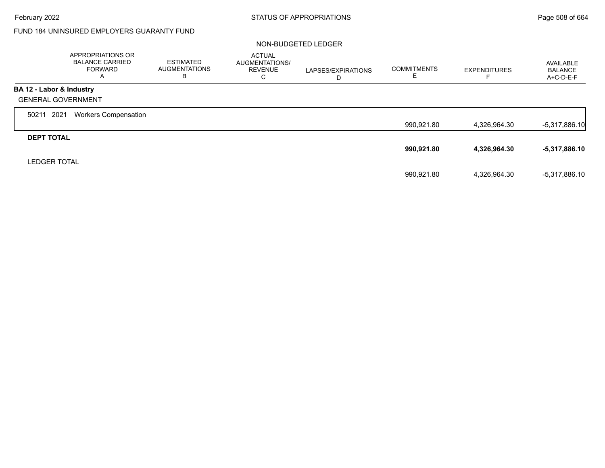Г

### FUND 184 UNINSURED EMPLOYERS GUARANTY FUND

### NON-BUDGETED LEDGER

|                           | APPROPRIATIONS OR<br><b>BALANCE CARRIED</b><br><b>FORWARD</b><br>A | ESTIMATED<br><b>AUGMENTATIONS</b><br>В | <b>ACTUAL</b><br>AUGMENTATIONS/<br><b>REVENUE</b><br>С | LAPSES/EXPIRATIONS<br>D | <b>COMMITMENTS</b> | <b>EXPENDITURES</b> | AVAILABLE<br><b>BALANCE</b><br>A+C-D-E-F |
|---------------------------|--------------------------------------------------------------------|----------------------------------------|--------------------------------------------------------|-------------------------|--------------------|---------------------|------------------------------------------|
| BA 12 - Labor & Industry  |                                                                    |                                        |                                                        |                         |                    |                     |                                          |
| <b>GENERAL GOVERNMENT</b> |                                                                    |                                        |                                                        |                         |                    |                     |                                          |
| 2021<br>50211             | <b>Workers Compensation</b>                                        |                                        |                                                        |                         |                    |                     |                                          |
|                           |                                                                    |                                        |                                                        |                         | 990,921.80         | 4,326,964.30        | $-5,317,886.10$                          |
| <b>DEPT TOTAL</b>         |                                                                    |                                        |                                                        |                         |                    |                     |                                          |
|                           |                                                                    |                                        |                                                        |                         | 990,921.80         | 4,326,964.30        | $-5,317,886.10$                          |
| <b>LEDGER TOTAL</b>       |                                                                    |                                        |                                                        |                         |                    |                     |                                          |
|                           |                                                                    |                                        |                                                        |                         | 990,921.80         | 4,326,964.30        | -5,317,886.10                            |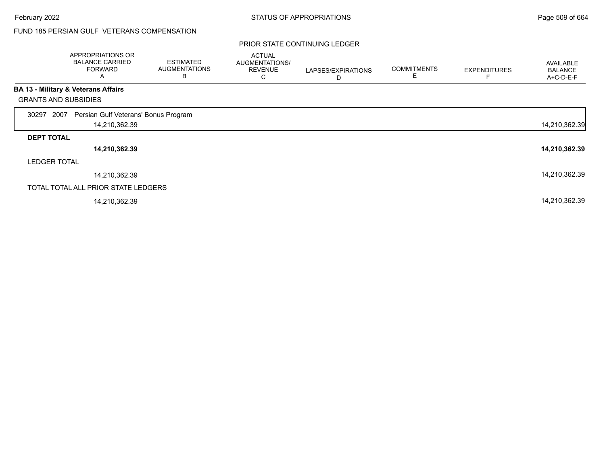# FUND 185 PERSIAN GULF VETERANS COMPENSATION

|                             | APPROPRIATIONS OR<br><b>BALANCE CARRIED</b><br><b>FORWARD</b><br>A | <b>ESTIMATED</b><br><b>AUGMENTATIONS</b><br>В | <b>ACTUAL</b><br><b>AUGMENTATIONS/</b><br><b>REVENUE</b><br>С | LAPSES/EXPIRATIONS<br>D | <b>COMMITMENTS</b> | <b>EXPENDITURES</b> | AVAILABLE<br><b>BALANCE</b><br>A+C-D-E-F |
|-----------------------------|--------------------------------------------------------------------|-----------------------------------------------|---------------------------------------------------------------|-------------------------|--------------------|---------------------|------------------------------------------|
|                             | <b>BA 13 - Military &amp; Veterans Affairs</b>                     |                                               |                                                               |                         |                    |                     |                                          |
| <b>GRANTS AND SUBSIDIES</b> |                                                                    |                                               |                                                               |                         |                    |                     |                                          |
| 2007<br>30297               | Persian Gulf Veterans' Bonus Program                               |                                               |                                                               |                         |                    |                     |                                          |
|                             | 14,210,362.39                                                      |                                               |                                                               |                         |                    |                     | 14,210,362.39                            |
| <b>DEPT TOTAL</b>           |                                                                    |                                               |                                                               |                         |                    |                     |                                          |
|                             | 14,210,362.39                                                      |                                               |                                                               |                         |                    |                     | 14,210,362.39                            |
| <b>LEDGER TOTAL</b>         |                                                                    |                                               |                                                               |                         |                    |                     |                                          |
|                             | 14,210,362.39                                                      |                                               |                                                               |                         |                    |                     | 14,210,362.39                            |
|                             | TOTAL TOTAL ALL PRIOR STATE LEDGERS                                |                                               |                                                               |                         |                    |                     |                                          |
|                             | 14,210,362.39                                                      |                                               |                                                               |                         |                    |                     | 14,210,362.39                            |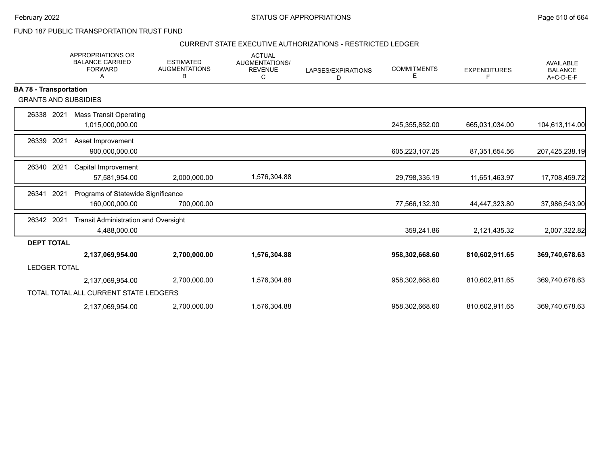FUND 187 PUBLIC TRANSPORTATION TRUST FUND

### CURRENT STATE EXECUTIVE AUTHORIZATIONS - RESTRICTED LEDGER

|                               | <b>APPROPRIATIONS OR</b><br><b>BALANCE CARRIED</b><br><b>FORWARD</b><br>A | <b>ESTIMATED</b><br><b>AUGMENTATIONS</b><br>В | <b>ACTUAL</b><br><b>AUGMENTATIONS/</b><br><b>REVENUE</b><br>С | LAPSES/EXPIRATIONS<br>D | <b>COMMITMENTS</b><br>Е | <b>EXPENDITURES</b><br>F | <b>AVAILABLE</b><br><b>BALANCE</b><br>A+C-D-E-F |
|-------------------------------|---------------------------------------------------------------------------|-----------------------------------------------|---------------------------------------------------------------|-------------------------|-------------------------|--------------------------|-------------------------------------------------|
| <b>BA 78 - Transportation</b> |                                                                           |                                               |                                                               |                         |                         |                          |                                                 |
| <b>GRANTS AND SUBSIDIES</b>   |                                                                           |                                               |                                                               |                         |                         |                          |                                                 |
| 2021<br>26338                 | <b>Mass Transit Operating</b><br>1,015,000,000.00                         |                                               |                                                               |                         | 245,355,852.00          | 665,031,034.00           | 104,613,114.00                                  |
| 2021<br>26339                 | Asset Improvement<br>900,000,000.00                                       |                                               |                                                               |                         | 605,223,107.25          | 87,351,654.56            | 207,425,238.19                                  |
| 2021<br>26340                 | Capital Improvement<br>57,581,954.00                                      | 2,000,000.00                                  | 1,576,304.88                                                  |                         | 29,798,335.19           | 11,651,463.97            | 17,708,459.72                                   |
| 2021<br>26341                 | Programs of Statewide Significance<br>160,000,000.00                      | 700,000.00                                    |                                                               |                         | 77,566,132.30           | 44,447,323.80            | 37,986,543.90                                   |
| 26342 2021                    | <b>Transit Administration and Oversight</b><br>4,488,000.00               |                                               |                                                               |                         | 359,241.86              | 2,121,435.32             | 2,007,322.82                                    |
| <b>DEPT TOTAL</b>             |                                                                           |                                               |                                                               |                         |                         |                          |                                                 |
|                               | 2,137,069,954.00                                                          | 2,700,000.00                                  | 1,576,304.88                                                  |                         | 958,302,668.60          | 810,602,911.65           | 369,740,678.63                                  |
| <b>LEDGER TOTAL</b>           |                                                                           |                                               |                                                               |                         |                         |                          |                                                 |
|                               | 2,137,069,954.00                                                          | 2,700,000.00                                  | 1,576,304.88                                                  |                         | 958,302,668.60          | 810,602,911.65           | 369,740,678.63                                  |
|                               | TOTAL TOTAL ALL CURRENT STATE LEDGERS                                     |                                               |                                                               |                         |                         |                          |                                                 |
|                               | 2,137,069,954.00                                                          | 2,700,000.00                                  | 1,576,304.88                                                  |                         | 958,302,668.60          | 810,602,911.65           | 369,740,678.63                                  |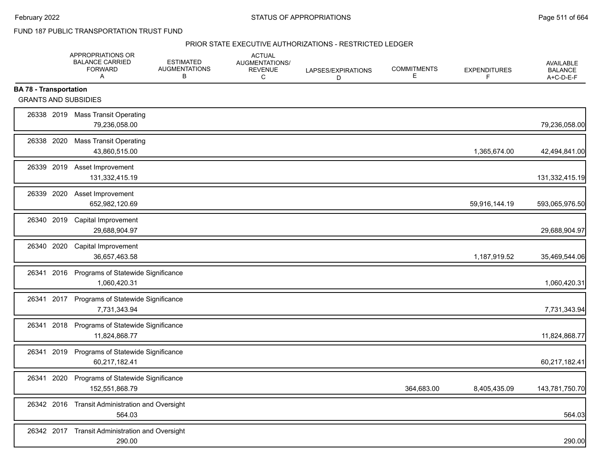FUND 187 PUBLIC TRANSPORTATION TRUST FUND

#### PRIOR STATE EXECUTIVE AUTHORIZATIONS - RESTRICTED LEDGER

|                                                              |      | APPROPRIATIONS OR<br><b>BALANCE CARRIED</b><br><b>FORWARD</b><br>A | <b>ESTIMATED</b><br><b>AUGMENTATIONS</b><br>В | <b>ACTUAL</b><br><b>AUGMENTATIONS/</b><br><b>REVENUE</b><br>C | LAPSES/EXPIRATIONS<br>D | <b>COMMITMENTS</b><br>Е | <b>EXPENDITURES</b><br>F | <b>AVAILABLE</b><br><b>BALANCE</b><br>A+C-D-E-F |
|--------------------------------------------------------------|------|--------------------------------------------------------------------|-----------------------------------------------|---------------------------------------------------------------|-------------------------|-------------------------|--------------------------|-------------------------------------------------|
| <b>BA 78 - Transportation</b><br><b>GRANTS AND SUBSIDIES</b> |      |                                                                    |                                               |                                                               |                         |                         |                          |                                                 |
|                                                              |      | 26338 2019 Mass Transit Operating<br>79,236,058.00                 |                                               |                                                               |                         |                         |                          | 79,236,058.00                                   |
| 26338 2020                                                   |      | <b>Mass Transit Operating</b><br>43,860,515.00                     |                                               |                                                               |                         |                         | 1,365,674.00             | 42,494,841.00                                   |
| 26339 2019                                                   |      | Asset Improvement<br>131,332,415.19                                |                                               |                                                               |                         |                         |                          | 131,332,415.19                                  |
| 26339 2020                                                   |      | Asset Improvement<br>652,982,120.69                                |                                               |                                                               |                         |                         | 59,916,144.19            | 593,065,976.50                                  |
| 26340 2019                                                   |      | Capital Improvement<br>29.688.904.97                               |                                               |                                                               |                         |                         |                          | 29,688,904.97                                   |
| 26340 2020                                                   |      | Capital Improvement<br>36,657,463.58                               |                                               |                                                               |                         |                         | 1,187,919.52             | 35,469,544.06                                   |
| 26341 2016                                                   |      | Programs of Statewide Significance<br>1,060,420.31                 |                                               |                                                               |                         |                         |                          | 1,060,420.31                                    |
| 26341 2017                                                   |      | Programs of Statewide Significance<br>7,731,343.94                 |                                               |                                                               |                         |                         |                          | 7,731,343.94                                    |
| 26341                                                        | 2018 | Programs of Statewide Significance<br>11,824,868.77                |                                               |                                                               |                         |                         |                          | 11,824,868.77                                   |
| 26341 2019                                                   |      | Programs of Statewide Significance<br>60,217,182.41                |                                               |                                                               |                         |                         |                          | 60,217,182.41                                   |
| 26341                                                        | 2020 | Programs of Statewide Significance<br>152,551,868.79               |                                               |                                                               |                         | 364,683.00              | 8,405,435.09             | 143,781,750.70                                  |
| 26342 2016                                                   |      | <b>Transit Administration and Oversight</b><br>564.03              |                                               |                                                               |                         |                         |                          | 564.03                                          |
|                                                              |      | 26342 2017 Transit Administration and Oversight<br>290.00          |                                               |                                                               |                         |                         |                          | 290.00                                          |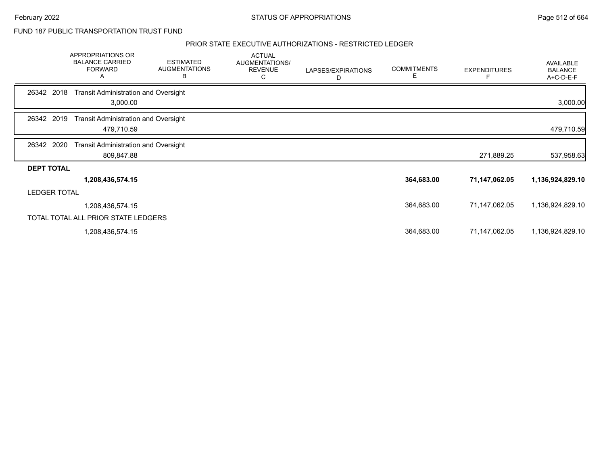### FUND 187 PUBLIC TRANSPORTATION TRUST FUND

#### PRIOR STATE EXECUTIVE AUTHORIZATIONS - RESTRICTED LEDGER

|                     | <b>APPROPRIATIONS OR</b><br><b>BALANCE CARRIED</b><br><b>FORWARD</b><br>Α | <b>ESTIMATED</b><br><b>AUGMENTATIONS</b><br>В | <b>ACTUAL</b><br>AUGMENTATIONS/<br><b>REVENUE</b><br>C | LAPSES/EXPIRATIONS<br>D | <b>COMMITMENTS</b><br>E | <b>EXPENDITURES</b> | <b>AVAILABLE</b><br><b>BALANCE</b><br>A+C-D-E-F |
|---------------------|---------------------------------------------------------------------------|-----------------------------------------------|--------------------------------------------------------|-------------------------|-------------------------|---------------------|-------------------------------------------------|
| 26342 2018          | <b>Transit Administration and Oversight</b><br>3,000.00                   |                                               |                                                        |                         |                         |                     | 3,000.00                                        |
| 26342 2019          | <b>Transit Administration and Oversight</b><br>479,710.59                 |                                               |                                                        |                         |                         |                     | 479,710.59                                      |
| 26342<br>2020       | <b>Transit Administration and Oversight</b><br>809,847.88                 |                                               |                                                        |                         |                         | 271,889.25          | 537,958.63                                      |
| <b>DEPT TOTAL</b>   |                                                                           |                                               |                                                        |                         |                         |                     |                                                 |
|                     | 1,208,436,574.15                                                          |                                               |                                                        |                         | 364,683.00              | 71,147,062.05       | 1,136,924,829.10                                |
| <b>LEDGER TOTAL</b> |                                                                           |                                               |                                                        |                         |                         |                     |                                                 |
|                     | 1,208,436,574.15                                                          |                                               |                                                        |                         | 364,683.00              | 71,147,062.05       | 1,136,924,829.10                                |
|                     | TOTAL TOTAL ALL PRIOR STATE LEDGERS                                       |                                               |                                                        |                         |                         |                     |                                                 |
|                     | 1,208,436,574.15                                                          |                                               |                                                        |                         | 364,683.00              | 71,147,062.05       | 1,136,924,829.10                                |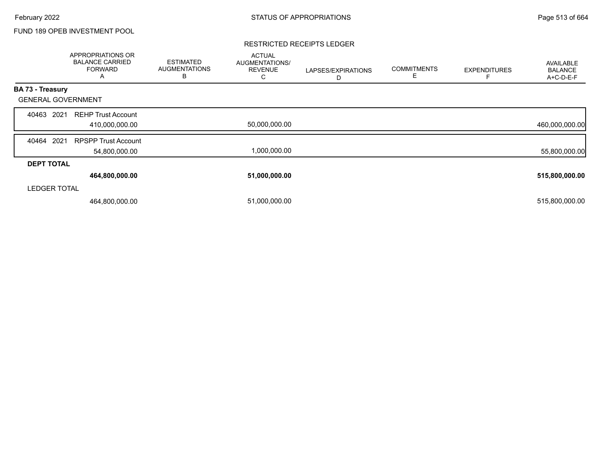# FUND 189 OPEB INVESTMENT POOL

#### RESTRICTED RECEIPTS LEDGER

|                           | APPROPRIATIONS OR<br><b>BALANCE CARRIED</b><br><b>FORWARD</b><br>А | <b>ESTIMATED</b><br><b>AUGMENTATIONS</b><br>B | <b>ACTUAL</b><br>AUGMENTATIONS/<br><b>REVENUE</b><br>Ō | LAPSES/EXPIRATIONS<br>D | <b>COMMITMENTS</b><br>E | <b>EXPENDITURES</b> | AVAILABLE<br><b>BALANCE</b><br>A+C-D-E-F |
|---------------------------|--------------------------------------------------------------------|-----------------------------------------------|--------------------------------------------------------|-------------------------|-------------------------|---------------------|------------------------------------------|
| BA 73 - Treasury          |                                                                    |                                               |                                                        |                         |                         |                     |                                          |
| <b>GENERAL GOVERNMENT</b> |                                                                    |                                               |                                                        |                         |                         |                     |                                          |
| 2021<br>40463             | <b>REHP Trust Account</b><br>410,000,000.00                        |                                               | 50,000,000.00                                          |                         |                         |                     | 460,000,000.00                           |
| 2021<br>40464             | <b>RPSPP Trust Account</b><br>54,800,000.00                        |                                               | 1,000,000.00                                           |                         |                         |                     | 55,800,000.00                            |
| <b>DEPT TOTAL</b>         |                                                                    |                                               |                                                        |                         |                         |                     |                                          |
|                           | 464,800,000.00                                                     |                                               | 51,000,000.00                                          |                         |                         |                     | 515,800,000.00                           |
| <b>LEDGER TOTAL</b>       |                                                                    |                                               |                                                        |                         |                         |                     |                                          |
|                           | 464,800,000.00                                                     |                                               | 51,000,000.00                                          |                         |                         |                     | 515,800,000.00                           |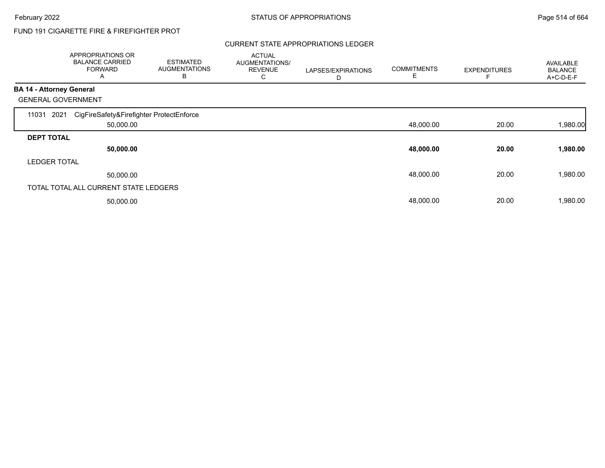# FUND 191 CIGARETTE FIRE & FIREFIGHTER PROT

### CURRENT STATE APPROPRIATIONS LEDGER

|                                 | APPROPRIATIONS OR<br><b>BALANCE CARRIED</b><br><b>FORWARD</b><br>A | <b>ESTIMATED</b><br><b>AUGMENTATIONS</b><br>B | <b>ACTUAL</b><br>AUGMENTATIONS/<br><b>REVENUE</b><br>С | LAPSES/EXPIRATIONS<br>D | <b>COMMITMENTS</b><br>E | <b>EXPENDITURES</b> | <b>AVAILABLE</b><br><b>BALANCE</b><br>A+C-D-E-F |
|---------------------------------|--------------------------------------------------------------------|-----------------------------------------------|--------------------------------------------------------|-------------------------|-------------------------|---------------------|-------------------------------------------------|
| <b>BA 14 - Attorney General</b> |                                                                    |                                               |                                                        |                         |                         |                     |                                                 |
|                                 | <b>GENERAL GOVERNMENT</b>                                          |                                               |                                                        |                         |                         |                     |                                                 |
| 11031                           | CigFireSafety&Firefighter ProtectEnforce<br>2021                   |                                               |                                                        |                         |                         |                     |                                                 |
|                                 | 50,000.00                                                          |                                               |                                                        |                         | 48,000.00               | 20.00               | 1,980.00                                        |
| <b>DEPT TOTAL</b>               |                                                                    |                                               |                                                        |                         |                         |                     |                                                 |
|                                 | 50,000.00                                                          |                                               |                                                        |                         | 48,000.00               | 20.00               | 1,980.00                                        |
| <b>LEDGER TOTAL</b>             |                                                                    |                                               |                                                        |                         |                         |                     |                                                 |
|                                 | 50,000.00                                                          |                                               |                                                        |                         | 48,000.00               | 20.00               | 1,980.00                                        |
|                                 | TOTAL TOTAL ALL CURRENT STATE LEDGERS                              |                                               |                                                        |                         |                         |                     |                                                 |
|                                 | 50,000.00                                                          |                                               |                                                        |                         | 48,000.00               | 20.00               | 1,980.00                                        |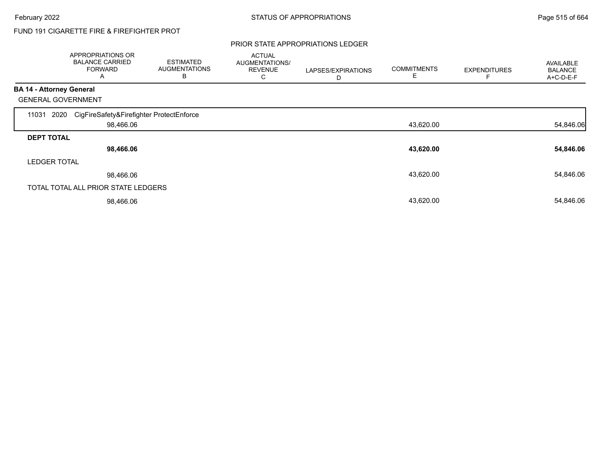# FUND 191 CIGARETTE FIRE & FIREFIGHTER PROT

### PRIOR STATE APPROPRIATIONS LEDGER

|                          | APPROPRIATIONS OR<br><b>BALANCE CARRIED</b><br><b>FORWARD</b><br>A | <b>ESTIMATED</b><br><b>AUGMENTATIONS</b><br>B | <b>ACTUAL</b><br>AUGMENTATIONS/<br><b>REVENUE</b><br>С | LAPSES/EXPIRATIONS<br>D | <b>COMMITMENTS</b><br>Е | <b>EXPENDITURES</b> | AVAILABLE<br><b>BALANCE</b><br>A+C-D-E-F |
|--------------------------|--------------------------------------------------------------------|-----------------------------------------------|--------------------------------------------------------|-------------------------|-------------------------|---------------------|------------------------------------------|
| BA 14 - Attorney General |                                                                    |                                               |                                                        |                         |                         |                     |                                          |
|                          | <b>GENERAL GOVERNMENT</b>                                          |                                               |                                                        |                         |                         |                     |                                          |
| 11031                    | 2020<br>CigFireSafety&Firefighter ProtectEnforce                   |                                               |                                                        |                         |                         |                     |                                          |
|                          | 98,466.06                                                          |                                               |                                                        |                         | 43,620.00               |                     | 54,846.06                                |
| <b>DEPT TOTAL</b>        |                                                                    |                                               |                                                        |                         |                         |                     |                                          |
|                          | 98,466.06                                                          |                                               |                                                        |                         | 43,620.00               |                     | 54,846.06                                |
| <b>LEDGER TOTAL</b>      |                                                                    |                                               |                                                        |                         |                         |                     |                                          |
|                          | 98,466.06                                                          |                                               |                                                        |                         | 43,620.00               |                     | 54,846.06                                |
|                          | TOTAL TOTAL ALL PRIOR STATE LEDGERS                                |                                               |                                                        |                         |                         |                     |                                          |
|                          | 98,466.06                                                          |                                               |                                                        |                         | 43,620.00               |                     | 54,846.06                                |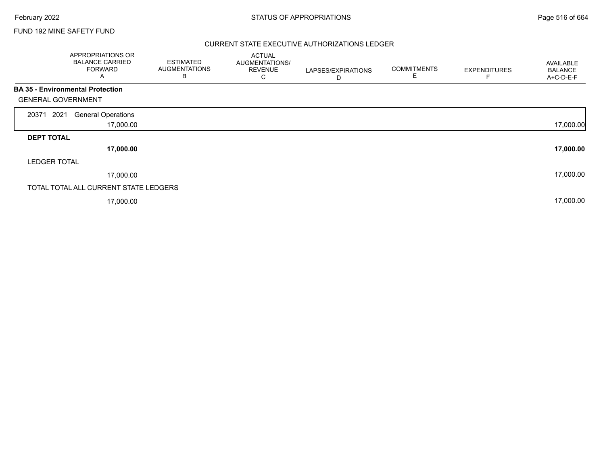### FUND 192 MINE SAFETY FUND

### CURRENT STATE EXECUTIVE AUTHORIZATIONS LEDGER

| APPROPRIATIONS OR<br><b>BALANCE CARRIED</b><br><b>FORWARD</b><br>A   | <b>ESTIMATED</b><br><b>AUGMENTATIONS</b><br>В | <b>ACTUAL</b><br>AUGMENTATIONS/<br><b>REVENUE</b><br>С | LAPSES/EXPIRATIONS<br>D | <b>COMMITMENTS</b><br>Е | <b>EXPENDITURES</b> | AVAILABLE<br><b>BALANCE</b><br>A+C-D-E-F |
|----------------------------------------------------------------------|-----------------------------------------------|--------------------------------------------------------|-------------------------|-------------------------|---------------------|------------------------------------------|
| <b>BA 35 - Environmental Protection</b><br><b>GENERAL GOVERNMENT</b> |                                               |                                                        |                         |                         |                     |                                          |
| 2021<br><b>General Operations</b><br>20371                           |                                               |                                                        |                         |                         |                     |                                          |
|                                                                      | 17,000.00                                     |                                                        |                         |                         |                     | 17,000.00                                |
| <b>DEPT TOTAL</b>                                                    |                                               |                                                        |                         |                         |                     |                                          |
|                                                                      | 17,000.00                                     |                                                        |                         |                         |                     | 17,000.00                                |
| <b>LEDGER TOTAL</b>                                                  |                                               |                                                        |                         |                         |                     |                                          |
|                                                                      | 17,000.00                                     |                                                        |                         |                         |                     | 17,000.00                                |
| TOTAL TOTAL ALL CURRENT STATE LEDGERS                                |                                               |                                                        |                         |                         |                     |                                          |
|                                                                      | 17,000.00                                     |                                                        |                         |                         |                     | 17,000.00                                |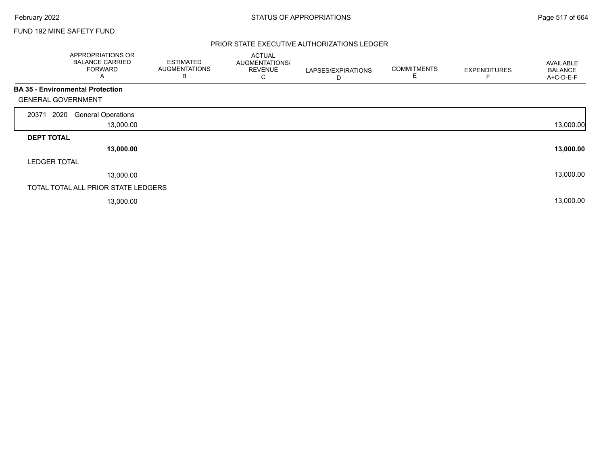Г

### FUND 192 MINE SAFETY FUND

### PRIOR STATE EXECUTIVE AUTHORIZATIONS LEDGER

|                                         | APPROPRIATIONS OR<br><b>BALANCE CARRIED</b><br><b>FORWARD</b><br>A | <b>ESTIMATED</b><br><b>AUGMENTATIONS</b><br>В | <b>ACTUAL</b><br>AUGMENTATIONS/<br><b>REVENUE</b><br>С | LAPSES/EXPIRATIONS<br>D | <b>COMMITMENTS</b><br>E | <b>EXPENDITURES</b> | AVAILABLE<br><b>BALANCE</b><br>A+C-D-E-F |
|-----------------------------------------|--------------------------------------------------------------------|-----------------------------------------------|--------------------------------------------------------|-------------------------|-------------------------|---------------------|------------------------------------------|
| <b>BA 35 - Environmental Protection</b> |                                                                    |                                               |                                                        |                         |                         |                     |                                          |
| <b>GENERAL GOVERNMENT</b>               |                                                                    |                                               |                                                        |                         |                         |                     |                                          |
| 2020<br>20371                           | <b>General Operations</b>                                          |                                               |                                                        |                         |                         |                     |                                          |
|                                         | 13,000.00                                                          |                                               |                                                        |                         |                         |                     | 13,000.00                                |
| <b>DEPT TOTAL</b>                       |                                                                    |                                               |                                                        |                         |                         |                     |                                          |
|                                         | 13,000.00                                                          |                                               |                                                        |                         |                         |                     | 13,000.00                                |
| <b>LEDGER TOTAL</b>                     |                                                                    |                                               |                                                        |                         |                         |                     |                                          |
|                                         | 13,000.00                                                          |                                               |                                                        |                         |                         |                     | 13,000.00                                |
|                                         | TOTAL TOTAL ALL PRIOR STATE LEDGERS                                |                                               |                                                        |                         |                         |                     |                                          |
|                                         | 13,000.00                                                          |                                               |                                                        |                         |                         |                     | 13,000.00                                |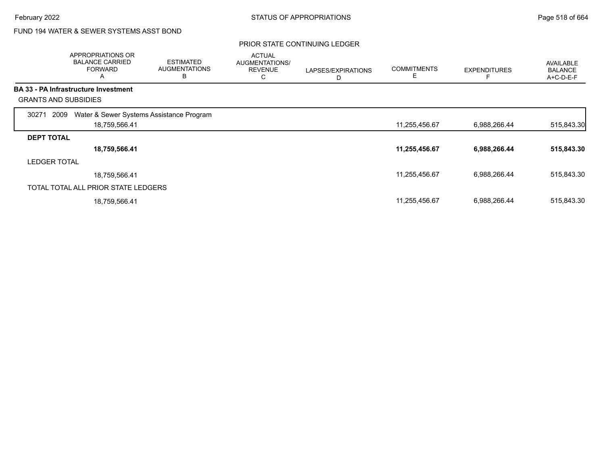# FUND 194 WATER & SEWER SYSTEMS ASST BOND

|                     | APPROPRIATIONS OR<br><b>BALANCE CARRIED</b><br><b>FORWARD</b><br>A | <b>ESTIMATED</b><br><b>AUGMENTATIONS</b><br>В | <b>ACTUAL</b><br>AUGMENTATIONS/<br><b>REVENUE</b><br>С | LAPSES/EXPIRATIONS<br>D | <b>COMMITMENTS</b><br>Е | <b>EXPENDITURES</b> | AVAILABLE<br><b>BALANCE</b><br>A+C-D-E-F |
|---------------------|--------------------------------------------------------------------|-----------------------------------------------|--------------------------------------------------------|-------------------------|-------------------------|---------------------|------------------------------------------|
|                     | <b>BA 33 - PA Infrastructure Investment</b>                        |                                               |                                                        |                         |                         |                     |                                          |
|                     | <b>GRANTS AND SUBSIDIES</b>                                        |                                               |                                                        |                         |                         |                     |                                          |
| 30271               | Water & Sewer Systems Assistance Program<br>2009                   |                                               |                                                        |                         |                         |                     |                                          |
|                     | 18,759,566.41                                                      |                                               |                                                        |                         | 11,255,456.67           | 6,988,266.44        | 515,843.30                               |
| <b>DEPT TOTAL</b>   |                                                                    |                                               |                                                        |                         |                         |                     |                                          |
|                     | 18,759,566.41                                                      |                                               |                                                        |                         | 11,255,456.67           | 6,988,266.44        | 515,843.30                               |
| <b>LEDGER TOTAL</b> |                                                                    |                                               |                                                        |                         |                         |                     |                                          |
|                     | 18,759,566.41                                                      |                                               |                                                        |                         | 11,255,456.67           | 6,988,266.44        | 515,843.30                               |
|                     | TOTAL TOTAL ALL PRIOR STATE LEDGERS                                |                                               |                                                        |                         |                         |                     |                                          |
|                     | 18,759,566.41                                                      |                                               |                                                        |                         | 11,255,456.67           | 6,988,266.44        | 515,843.30                               |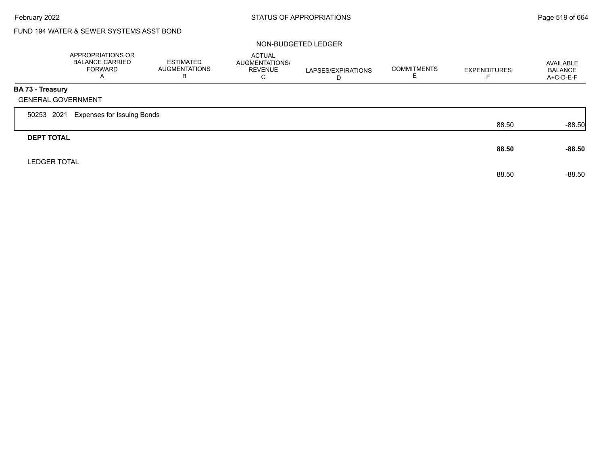# FUND 194 WATER & SEWER SYSTEMS ASST BOND

### NON-BUDGETED LEDGER

|                                                      | APPROPRIATIONS OR<br><b>BALANCE CARRIED</b><br><b>FORWARD</b><br>$\overline{A}$ | <b>ESTIMATED</b><br><b>AUGMENTATIONS</b><br>B | <b>ACTUAL</b><br>AUGMENTATIONS/<br><b>REVENUE</b><br>C | LAPSES/EXPIRATIONS<br>D | <b>COMMITMENTS</b> | <b>EXPENDITURES</b> | AVAILABLE<br><b>BALANCE</b><br>A+C-D-E-F |
|------------------------------------------------------|---------------------------------------------------------------------------------|-----------------------------------------------|--------------------------------------------------------|-------------------------|--------------------|---------------------|------------------------------------------|
| <b>BA 73 - Treasury</b><br><b>GENERAL GOVERNMENT</b> |                                                                                 |                                               |                                                        |                         |                    |                     |                                          |
| 50253 2021                                           | <b>Expenses for Issuing Bonds</b>                                               |                                               |                                                        |                         |                    |                     |                                          |
|                                                      |                                                                                 |                                               |                                                        |                         |                    | 88.50               | $-88.50$                                 |
| <b>DEPT TOTAL</b>                                    |                                                                                 |                                               |                                                        |                         |                    | 88.50               | $-88.50$                                 |
| <b>LEDGER TOTAL</b>                                  |                                                                                 |                                               |                                                        |                         |                    | 88.50               | $-88.50$                                 |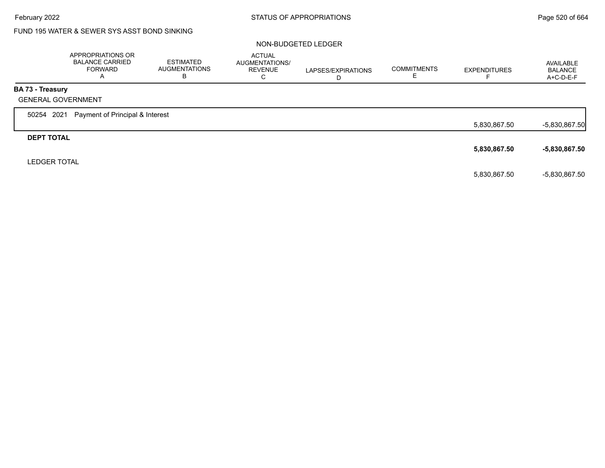# FUND 195 WATER & SEWER SYS ASST BOND SINKING

### NON-BUDGETED LEDGER

|                           | APPROPRIATIONS OR<br><b>BALANCE CARRIED</b><br><b>FORWARD</b><br>$\mathsf{A}$ | <b>ESTIMATED</b><br><b>AUGMENTATIONS</b><br>В | <b>ACTUAL</b><br>AUGMENTATIONS/<br><b>REVENUE</b><br>C | LAPSES/EXPIRATIONS<br>D | <b>COMMITMENTS</b> | <b>EXPENDITURES</b> | AVAILABLE<br><b>BALANCE</b><br>A+C-D-E-F |
|---------------------------|-------------------------------------------------------------------------------|-----------------------------------------------|--------------------------------------------------------|-------------------------|--------------------|---------------------|------------------------------------------|
| <b>BA 73 - Treasury</b>   |                                                                               |                                               |                                                        |                         |                    |                     |                                          |
| <b>GENERAL GOVERNMENT</b> |                                                                               |                                               |                                                        |                         |                    |                     |                                          |
| 50254 2021                | Payment of Principal & Interest                                               |                                               |                                                        |                         |                    |                     |                                          |
|                           |                                                                               |                                               |                                                        |                         |                    | 5,830,867.50        | $-5,830,867.50$                          |
| <b>DEPT TOTAL</b>         |                                                                               |                                               |                                                        |                         |                    |                     |                                          |
|                           |                                                                               |                                               |                                                        |                         |                    | 5,830,867.50        | $-5,830,867.50$                          |
| <b>LEDGER TOTAL</b>       |                                                                               |                                               |                                                        |                         |                    |                     |                                          |
|                           |                                                                               |                                               |                                                        |                         |                    | 5,830,867.50        | $-5,830,867.50$                          |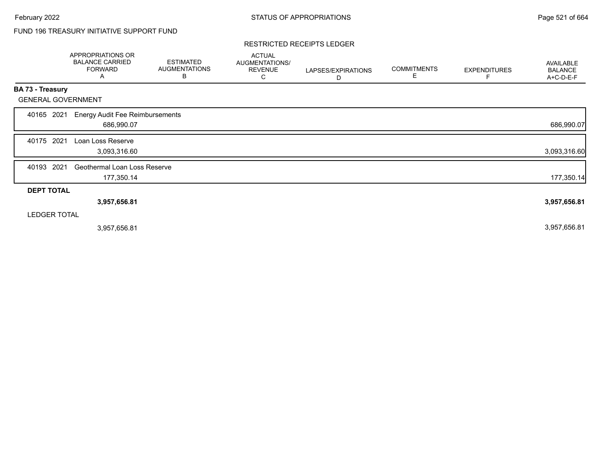# FUND 196 TREASURY INITIATIVE SUPPORT FUND

### RESTRICTED RECEIPTS LEDGER

|                           | APPROPRIATIONS OR<br><b>BALANCE CARRIED</b><br><b>FORWARD</b><br>A | <b>ESTIMATED</b><br><b>AUGMENTATIONS</b><br>B | <b>ACTUAL</b><br>AUGMENTATIONS/<br><b>REVENUE</b><br>С | LAPSES/EXPIRATIONS<br>D | <b>COMMITMENTS</b><br>Е | <b>EXPENDITURES</b> | <b>AVAILABLE</b><br><b>BALANCE</b><br>A+C-D-E-F |
|---------------------------|--------------------------------------------------------------------|-----------------------------------------------|--------------------------------------------------------|-------------------------|-------------------------|---------------------|-------------------------------------------------|
| <b>BA 73 - Treasury</b>   |                                                                    |                                               |                                                        |                         |                         |                     |                                                 |
| <b>GENERAL GOVERNMENT</b> |                                                                    |                                               |                                                        |                         |                         |                     |                                                 |
| 40165<br>2021             | <b>Energy Audit Fee Reimbursements</b><br>686,990.07               |                                               |                                                        |                         |                         |                     | 686,990.07                                      |
| 2021<br>40175             | Loan Loss Reserve<br>3,093,316.60                                  |                                               |                                                        |                         |                         |                     | 3,093,316.60                                    |
| 40193 2021                | Geothermal Loan Loss Reserve<br>177,350.14                         |                                               |                                                        |                         |                         |                     | 177,350.14                                      |
| <b>DEPT TOTAL</b>         |                                                                    |                                               |                                                        |                         |                         |                     |                                                 |
|                           | 3,957,656.81                                                       |                                               |                                                        |                         |                         |                     | 3,957,656.81                                    |
| <b>LEDGER TOTAL</b>       |                                                                    |                                               |                                                        |                         |                         |                     |                                                 |
|                           | 3,957,656.81                                                       |                                               |                                                        |                         |                         |                     | 3,957,656.81                                    |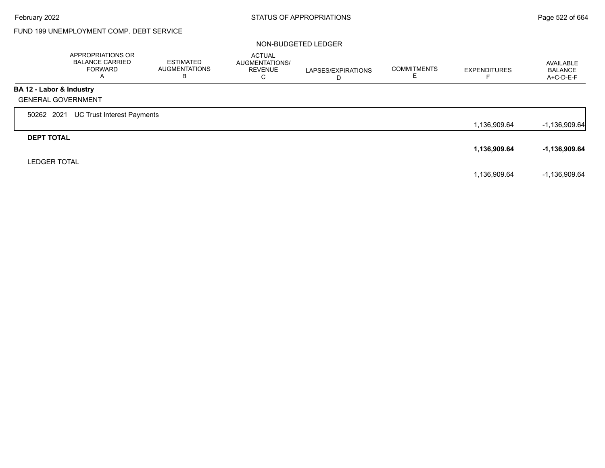г

# FUND 199 UNEMPLOYMENT COMP. DEBT SERVICE

### NON-BUDGETED LEDGER

|                           | APPROPRIATIONS OR<br><b>BALANCE CARRIED</b><br>FORWARD<br>A | <b>ESTIMATED</b><br><b>AUGMENTATIONS</b><br>в | <b>ACTUAL</b><br>AUGMENTATIONS/<br><b>REVENUE</b><br>C | LAPSES/EXPIRATIONS<br>D | <b>COMMITMENTS</b><br>Е | <b>EXPENDITURES</b> | AVAILABLE<br><b>BALANCE</b><br>A+C-D-E-F |
|---------------------------|-------------------------------------------------------------|-----------------------------------------------|--------------------------------------------------------|-------------------------|-------------------------|---------------------|------------------------------------------|
| BA 12 - Labor & Industry  |                                                             |                                               |                                                        |                         |                         |                     |                                          |
| <b>GENERAL GOVERNMENT</b> |                                                             |                                               |                                                        |                         |                         |                     |                                          |
| 50262 2021                | UC Trust Interest Payments                                  |                                               |                                                        |                         |                         |                     |                                          |
|                           |                                                             |                                               |                                                        |                         |                         | 1,136,909.64        | $-1,136,909.64$                          |
| <b>DEPT TOTAL</b>         |                                                             |                                               |                                                        |                         |                         |                     |                                          |
|                           |                                                             |                                               |                                                        |                         |                         | 1,136,909.64        | -1,136,909.64                            |
| <b>LEDGER TOTAL</b>       |                                                             |                                               |                                                        |                         |                         |                     |                                          |
|                           |                                                             |                                               |                                                        |                         |                         | 1,136,909.64        | $-1,136,909.64$                          |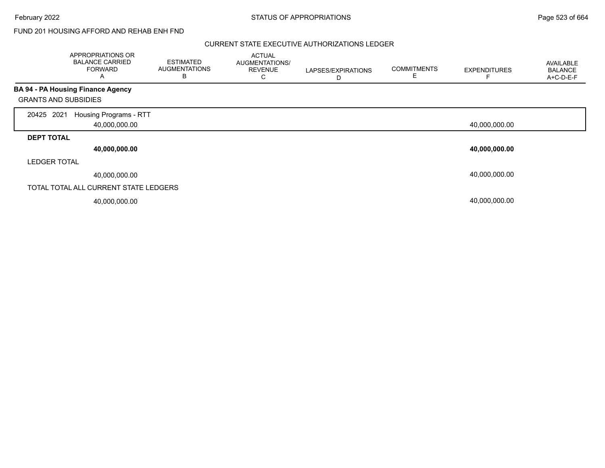February 2022 **Example 2022** Page 523 of 664

### FUND 201 HOUSING AFFORD AND REHAB ENH FND

### CURRENT STATE EXECUTIVE AUTHORIZATIONS LEDGER

|                             | APPROPRIATIONS OR<br><b>BALANCE CARRIED</b><br><b>FORWARD</b><br>$\mathsf{A}$ | <b>ESTIMATED</b><br><b>AUGMENTATIONS</b><br>B | <b>ACTUAL</b><br>AUGMENTATIONS/<br><b>REVENUE</b><br>С | LAPSES/EXPIRATIONS<br>D | <b>COMMITMENTS</b><br>E | <b>EXPENDITURES</b> | AVAILABLE<br><b>BALANCE</b><br>A+C-D-E-F |
|-----------------------------|-------------------------------------------------------------------------------|-----------------------------------------------|--------------------------------------------------------|-------------------------|-------------------------|---------------------|------------------------------------------|
|                             | <b>BA 94 - PA Housing Finance Agency</b>                                      |                                               |                                                        |                         |                         |                     |                                          |
| <b>GRANTS AND SUBSIDIES</b> |                                                                               |                                               |                                                        |                         |                         |                     |                                          |
| 2021<br>20425               | Housing Programs - RTT<br>40,000,000.00                                       |                                               |                                                        |                         |                         | 40,000,000.00       |                                          |
| <b>DEPT TOTAL</b>           |                                                                               |                                               |                                                        |                         |                         |                     |                                          |
|                             | 40,000,000.00                                                                 |                                               |                                                        |                         |                         | 40,000,000.00       |                                          |
| <b>LEDGER TOTAL</b>         |                                                                               |                                               |                                                        |                         |                         |                     |                                          |
|                             | 40,000,000.00                                                                 |                                               |                                                        |                         |                         | 40,000,000.00       |                                          |
|                             | TOTAL TOTAL ALL CURRENT STATE LEDGERS                                         |                                               |                                                        |                         |                         |                     |                                          |
|                             | 40,000,000.00                                                                 |                                               |                                                        |                         |                         | 40,000,000.00       |                                          |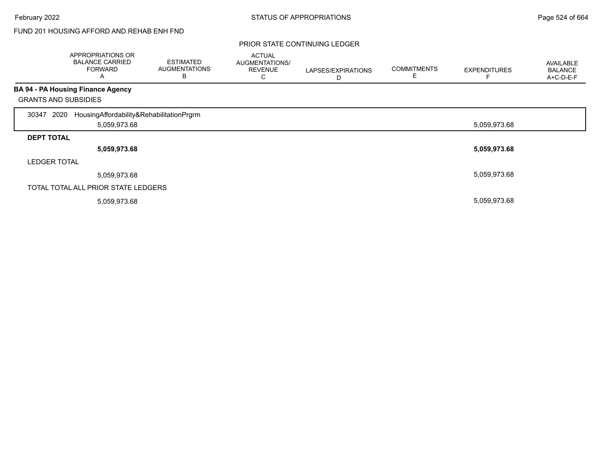# FUND 201 HOUSING AFFORD AND REHAB ENH FND

|                             | APPROPRIATIONS OR<br><b>BALANCE CARRIED</b><br><b>FORWARD</b><br>A | <b>ESTIMATED</b><br><b>AUGMENTATIONS</b><br>В | <b>ACTUAL</b><br>AUGMENTATIONS/<br><b>REVENUE</b><br>С | LAPSES/EXPIRATIONS<br>D | <b>COMMITMENTS</b> | <b>EXPENDITURES</b> | <b>AVAILABLE</b><br><b>BALANCE</b><br>A+C-D-E-F |
|-----------------------------|--------------------------------------------------------------------|-----------------------------------------------|--------------------------------------------------------|-------------------------|--------------------|---------------------|-------------------------------------------------|
|                             | BA 94 - PA Housing Finance Agency                                  |                                               |                                                        |                         |                    |                     |                                                 |
| <b>GRANTS AND SUBSIDIES</b> |                                                                    |                                               |                                                        |                         |                    |                     |                                                 |
| 2020<br>30347               | HousingAffordability&RehabilitationPrgrm                           |                                               |                                                        |                         |                    |                     |                                                 |
|                             | 5,059,973.68                                                       |                                               |                                                        |                         |                    | 5,059,973.68        |                                                 |
| <b>DEPT TOTAL</b>           |                                                                    |                                               |                                                        |                         |                    |                     |                                                 |
|                             | 5,059,973.68                                                       |                                               |                                                        |                         |                    | 5,059,973.68        |                                                 |
| <b>LEDGER TOTAL</b>         |                                                                    |                                               |                                                        |                         |                    |                     |                                                 |
|                             | 5,059,973.68                                                       |                                               |                                                        |                         |                    | 5,059,973.68        |                                                 |
|                             | TOTAL TOTAL ALL PRIOR STATE LEDGERS                                |                                               |                                                        |                         |                    |                     |                                                 |
|                             | 5,059,973.68                                                       |                                               |                                                        |                         |                    | 5,059,973.68        |                                                 |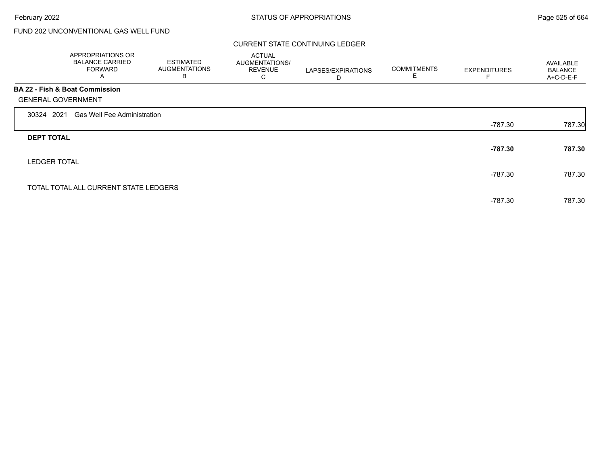### CURRENT STATE CONTINUING LEDGER

|                     | APPROPRIATIONS OR<br><b>BALANCE CARRIED</b><br><b>FORWARD</b><br>Α | <b>ESTIMATED</b><br><b>AUGMENTATIONS</b><br>В | <b>ACTUAL</b><br>AUGMENTATIONS/<br><b>REVENUE</b><br>С | LAPSES/EXPIRATIONS<br>D | <b>COMMITMENTS</b><br>Е | <b>EXPENDITURES</b> | AVAILABLE<br><b>BALANCE</b><br>A+C-D-E-F |
|---------------------|--------------------------------------------------------------------|-----------------------------------------------|--------------------------------------------------------|-------------------------|-------------------------|---------------------|------------------------------------------|
|                     | <b>BA 22 - Fish &amp; Boat Commission</b>                          |                                               |                                                        |                         |                         |                     |                                          |
|                     | <b>GENERAL GOVERNMENT</b>                                          |                                               |                                                        |                         |                         |                     |                                          |
| 30324 2021          | <b>Gas Well Fee Administration</b>                                 |                                               |                                                        |                         |                         |                     |                                          |
|                     |                                                                    |                                               |                                                        |                         |                         | -787.30             | 787.30                                   |
| <b>DEPT TOTAL</b>   |                                                                    |                                               |                                                        |                         |                         |                     |                                          |
|                     |                                                                    |                                               |                                                        |                         |                         | $-787.30$           | 787.30                                   |
| <b>LEDGER TOTAL</b> |                                                                    |                                               |                                                        |                         |                         |                     |                                          |
|                     |                                                                    |                                               |                                                        |                         |                         | -787.30             | 787.30                                   |
|                     | TOTAL TOTAL ALL CURRENT STATE LEDGERS                              |                                               |                                                        |                         |                         |                     |                                          |
|                     |                                                                    |                                               |                                                        |                         |                         | -787.30             | 787.30                                   |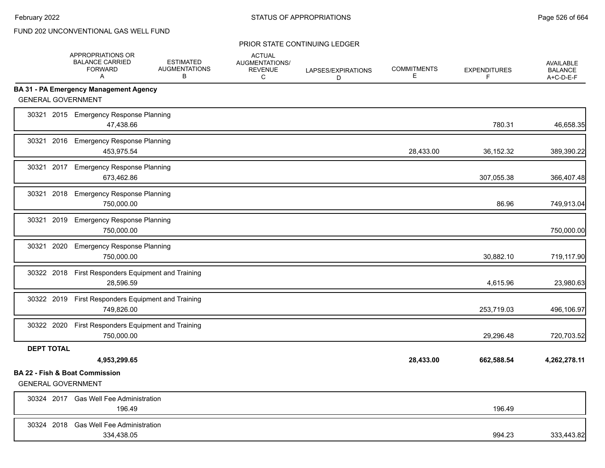|                           | APPROPRIATIONS OR<br><b>BALANCE CARRIED</b><br><b>FORWARD</b><br>A | <b>ESTIMATED</b><br><b>AUGMENTATIONS</b><br>B | <b>ACTUAL</b><br>AUGMENTATIONS/<br><b>REVENUE</b><br>C | LAPSES/EXPIRATIONS<br>D | <b>COMMITMENTS</b><br>Е | <b>EXPENDITURES</b><br>F | <b>AVAILABLE</b><br><b>BALANCE</b><br>A+C-D-E-F |
|---------------------------|--------------------------------------------------------------------|-----------------------------------------------|--------------------------------------------------------|-------------------------|-------------------------|--------------------------|-------------------------------------------------|
|                           | <b>BA 31 - PA Emergency Management Agency</b>                      |                                               |                                                        |                         |                         |                          |                                                 |
| <b>GENERAL GOVERNMENT</b> |                                                                    |                                               |                                                        |                         |                         |                          |                                                 |
|                           | 30321 2015 Emergency Response Planning<br>47,438.66                |                                               |                                                        |                         |                         | 780.31                   | 46,658.35                                       |
|                           | 30321 2016 Emergency Response Planning<br>453,975.54               |                                               |                                                        |                         | 28,433.00               | 36,152.32                | 389,390.22                                      |
|                           | 30321 2017 Emergency Response Planning<br>673,462.86               |                                               |                                                        |                         |                         | 307,055.38               | 366,407.48                                      |
|                           | 30321 2018 Emergency Response Planning<br>750,000.00               |                                               |                                                        |                         |                         | 86.96                    | 749,913.04                                      |
|                           | 30321 2019 Emergency Response Planning<br>750,000.00               |                                               |                                                        |                         |                         |                          | 750,000.00                                      |
|                           | 30321 2020 Emergency Response Planning<br>750,000.00               |                                               |                                                        |                         |                         | 30,882.10                | 719,117.90                                      |
|                           | 30322 2018 First Responders Equipment and Training<br>28,596.59    |                                               |                                                        |                         |                         | 4,615.96                 | 23,980.63                                       |
|                           | 30322 2019 First Responders Equipment and Training<br>749,826.00   |                                               |                                                        |                         |                         | 253,719.03               | 496,106.97                                      |
|                           | 30322 2020 First Responders Equipment and Training<br>750,000.00   |                                               |                                                        |                         |                         | 29,296.48                | 720,703.52                                      |
| <b>DEPT TOTAL</b>         | 4,953,299.65                                                       |                                               |                                                        |                         | 28,433.00               | 662,588.54               | 4,262,278.11                                    |
|                           | <b>BA 22 - Fish &amp; Boat Commission</b>                          |                                               |                                                        |                         |                         |                          |                                                 |
| <b>GENERAL GOVERNMENT</b> |                                                                    |                                               |                                                        |                         |                         |                          |                                                 |
|                           | 30324 2017 Gas Well Fee Administration<br>196.49                   |                                               |                                                        |                         |                         | 196.49                   |                                                 |
|                           | 30324 2018 Gas Well Fee Administration<br>334,438.05               |                                               |                                                        |                         |                         | 994.23                   | 333,443.82                                      |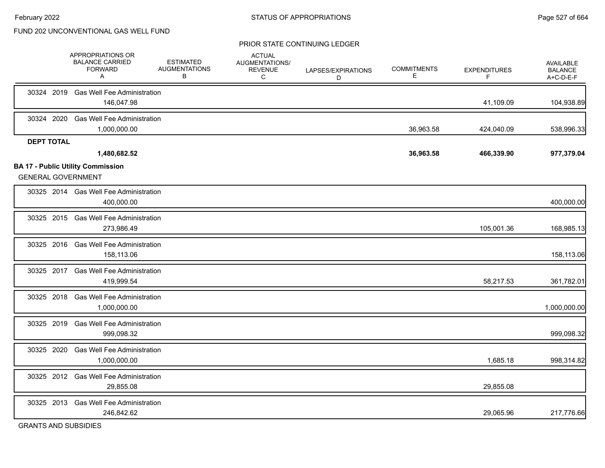#### PRIOR STATE CONTINUING LEDGER

|                   | APPROPRIATIONS OR<br><b>BALANCE CARRIED</b><br><b>FORWARD</b><br>A | <b>ESTIMATED</b><br><b>AUGMENTATIONS</b><br>В | <b>ACTUAL</b><br>AUGMENTATIONS/<br><b>REVENUE</b><br>С | LAPSES/EXPIRATIONS<br>D | <b>COMMITMENTS</b><br>Е | <b>EXPENDITURES</b><br>F | AVAILABLE<br><b>BALANCE</b><br>A+C-D-E-F |
|-------------------|--------------------------------------------------------------------|-----------------------------------------------|--------------------------------------------------------|-------------------------|-------------------------|--------------------------|------------------------------------------|
| 30324 2019        | <b>Gas Well Fee Administration</b><br>146,047.98                   |                                               |                                                        |                         |                         | 41,109.09                | 104,938.89                               |
| 30324 2020        | <b>Gas Well Fee Administration</b><br>1,000,000.00                 |                                               |                                                        |                         | 36,963.58               | 424,040.09               | 538,996.33                               |
| <b>DEPT TOTAL</b> | 1,480,682.52<br><b>BA 17 - Public Utility Commission</b>           |                                               |                                                        |                         | 36,963.58               | 466,339.90               | 977,379.04                               |
|                   | <b>GENERAL GOVERNMENT</b>                                          |                                               |                                                        |                         |                         |                          |                                          |
|                   | 30325 2014 Gas Well Fee Administration<br>400,000.00               |                                               |                                                        |                         |                         |                          | 400,000.00                               |
|                   | 30325 2015 Gas Well Fee Administration<br>273,986.49               |                                               |                                                        |                         |                         | 105,001.36               | 168,985.13                               |
|                   | 30325 2016 Gas Well Fee Administration<br>158,113.06               |                                               |                                                        |                         |                         |                          | 158,113.06                               |
|                   | 30325 2017 Gas Well Fee Administration<br>419,999.54               |                                               |                                                        |                         |                         | 58,217.53                | 361,782.01                               |
| 30325 2018        | <b>Gas Well Fee Administration</b><br>1,000,000.00                 |                                               |                                                        |                         |                         |                          | 1,000,000.00                             |
|                   | 30325 2019 Gas Well Fee Administration<br>999,098.32               |                                               |                                                        |                         |                         |                          | 999,098.32                               |
| 30325 2020        | <b>Gas Well Fee Administration</b><br>1,000,000.00                 |                                               |                                                        |                         |                         | 1,685.18                 | 998,314.82                               |
|                   | 30325 2012 Gas Well Fee Administration<br>29,855.08                |                                               |                                                        |                         |                         | 29,855.08                |                                          |
| 30325 2013        | <b>Gas Well Fee Administration</b><br>246,842.62                   |                                               |                                                        |                         |                         | 29,065.96                | 217,776.66                               |
|                   |                                                                    |                                               |                                                        |                         |                         |                          |                                          |

GRANTS AND SUBSIDIES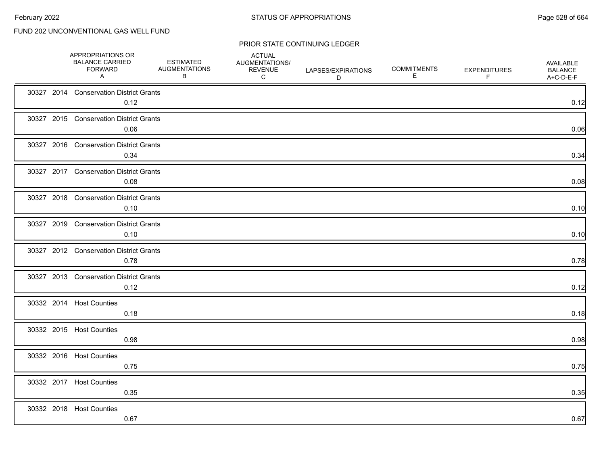|  | APPROPRIATIONS OR<br><b>BALANCE CARRIED</b><br><b>FORWARD</b><br>A | <b>ESTIMATED</b><br><b>AUGMENTATIONS</b><br>В | <b>ACTUAL</b><br>AUGMENTATIONS/<br><b>REVENUE</b><br>C | LAPSES/EXPIRATIONS<br>D | <b>COMMITMENTS</b><br>Е | <b>EXPENDITURES</b><br>F | <b>AVAILABLE</b><br><b>BALANCE</b><br>A+C-D-E-F |
|--|--------------------------------------------------------------------|-----------------------------------------------|--------------------------------------------------------|-------------------------|-------------------------|--------------------------|-------------------------------------------------|
|  | 30327 2014 Conservation District Grants<br>0.12                    |                                               |                                                        |                         |                         |                          | 0.12                                            |
|  | 30327 2015 Conservation District Grants<br>0.06                    |                                               |                                                        |                         |                         |                          | 0.06                                            |
|  | 30327 2016 Conservation District Grants<br>0.34                    |                                               |                                                        |                         |                         |                          | 0.34                                            |
|  | 30327 2017 Conservation District Grants<br>0.08                    |                                               |                                                        |                         |                         |                          | 0.08                                            |
|  | 30327 2018 Conservation District Grants<br>0.10                    |                                               |                                                        |                         |                         |                          | 0.10                                            |
|  | 30327 2019 Conservation District Grants<br>0.10                    |                                               |                                                        |                         |                         |                          | 0.10                                            |
|  | 30327 2012 Conservation District Grants<br>0.78                    |                                               |                                                        |                         |                         |                          | 0.78                                            |
|  | 30327 2013 Conservation District Grants<br>0.12                    |                                               |                                                        |                         |                         |                          | 0.12                                            |
|  | 30332 2014 Host Counties<br>0.18                                   |                                               |                                                        |                         |                         |                          | 0.18                                            |
|  | 30332 2015 Host Counties<br>0.98                                   |                                               |                                                        |                         |                         |                          | 0.98                                            |
|  | 30332 2016 Host Counties<br>0.75                                   |                                               |                                                        |                         |                         |                          | 0.75                                            |
|  | 30332 2017 Host Counties<br>0.35                                   |                                               |                                                        |                         |                         |                          | 0.35                                            |
|  | 30332 2018 Host Counties<br>0.67                                   |                                               |                                                        |                         |                         |                          | 0.67                                            |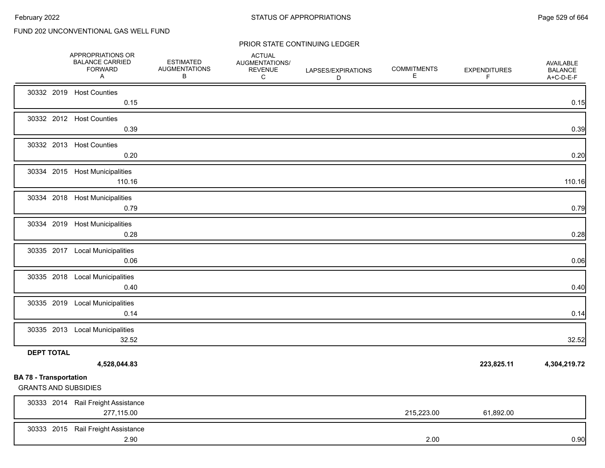|                                                              | APPROPRIATIONS OR<br><b>BALANCE CARRIED</b><br><b>FORWARD</b><br>A | <b>ESTIMATED</b><br><b>AUGMENTATIONS</b><br>В | <b>ACTUAL</b><br>AUGMENTATIONS/<br><b>REVENUE</b><br>C | LAPSES/EXPIRATIONS<br>D | <b>COMMITMENTS</b><br>Е | <b>EXPENDITURES</b><br>F | AVAILABLE<br><b>BALANCE</b><br>A+C-D-E-F |
|--------------------------------------------------------------|--------------------------------------------------------------------|-----------------------------------------------|--------------------------------------------------------|-------------------------|-------------------------|--------------------------|------------------------------------------|
|                                                              | 30332 2019 Host Counties<br>0.15                                   |                                               |                                                        |                         |                         |                          | 0.15                                     |
|                                                              | 30332 2012 Host Counties<br>0.39                                   |                                               |                                                        |                         |                         |                          | 0.39                                     |
|                                                              | 30332 2013 Host Counties<br>0.20                                   |                                               |                                                        |                         |                         |                          | 0.20                                     |
|                                                              | 30334 2015 Host Municipalities<br>110.16                           |                                               |                                                        |                         |                         |                          | 110.16                                   |
|                                                              | 30334 2018 Host Municipalities<br>0.79                             |                                               |                                                        |                         |                         |                          | 0.79                                     |
|                                                              | 30334 2019 Host Municipalities<br>0.28                             |                                               |                                                        |                         |                         |                          | 0.28                                     |
|                                                              | 30335 2017 Local Municipalities<br>0.06                            |                                               |                                                        |                         |                         |                          | 0.06                                     |
|                                                              | 30335 2018 Local Municipalities<br>0.40                            |                                               |                                                        |                         |                         |                          | 0.40                                     |
|                                                              | 30335 2019 Local Municipalities<br>0.14                            |                                               |                                                        |                         |                         |                          | 0.14                                     |
|                                                              | 30335 2013 Local Municipalities<br>32.52                           |                                               |                                                        |                         |                         |                          | 32.52                                    |
| <b>DEPT TOTAL</b>                                            | 4,528,044.83                                                       |                                               |                                                        |                         |                         | 223,825.11               | 4,304,219.72                             |
| <b>BA 78 - Transportation</b><br><b>GRANTS AND SUBSIDIES</b> |                                                                    |                                               |                                                        |                         |                         |                          |                                          |
|                                                              | 30333 2014 Rail Freight Assistance<br>277,115.00                   |                                               |                                                        |                         | 215,223.00              | 61,892.00                |                                          |
|                                                              | 30333 2015 Rail Freight Assistance<br>2.90                         |                                               |                                                        |                         | 2.00                    |                          | 0.90                                     |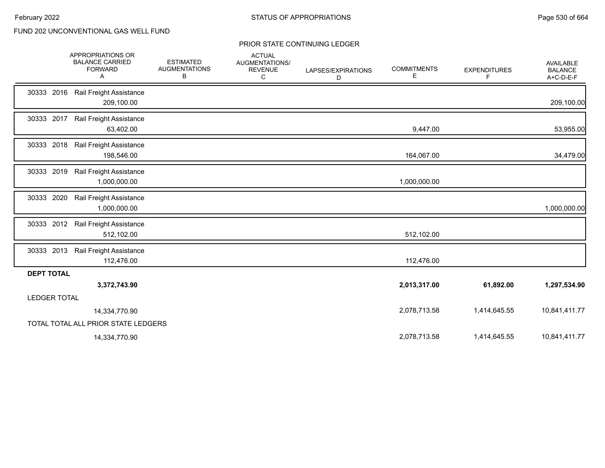|                     | APPROPRIATIONS OR<br><b>BALANCE CARRIED</b><br><b>FORWARD</b><br>Α | <b>ESTIMATED</b><br><b>AUGMENTATIONS</b><br>В | <b>ACTUAL</b><br>AUGMENTATIONS/<br><b>REVENUE</b><br>C | LAPSES/EXPIRATIONS<br>D | <b>COMMITMENTS</b><br>Е | <b>EXPENDITURES</b><br>F | <b>AVAILABLE</b><br><b>BALANCE</b><br>A+C-D-E-F |
|---------------------|--------------------------------------------------------------------|-----------------------------------------------|--------------------------------------------------------|-------------------------|-------------------------|--------------------------|-------------------------------------------------|
| 30333<br>2016       | Rail Freight Assistance<br>209,100.00                              |                                               |                                                        |                         |                         |                          | 209,100.00                                      |
| 30333 2017          | Rail Freight Assistance<br>63,402.00                               |                                               |                                                        |                         | 9,447.00                |                          | 53,955.00                                       |
| 30333 2018          | Rail Freight Assistance<br>198,546.00                              |                                               |                                                        |                         | 164,067.00              |                          | 34,479.00                                       |
| 30333 2019          | Rail Freight Assistance<br>1,000,000.00                            |                                               |                                                        |                         | 1,000,000.00            |                          |                                                 |
| 30333 2020          | Rail Freight Assistance<br>1,000,000.00                            |                                               |                                                        |                         |                         |                          | 1,000,000.00                                    |
| 30333 2012          | Rail Freight Assistance<br>512,102.00                              |                                               |                                                        |                         | 512,102.00              |                          |                                                 |
| 30333 2013          | Rail Freight Assistance<br>112,476.00                              |                                               |                                                        |                         | 112,476.00              |                          |                                                 |
| <b>DEPT TOTAL</b>   |                                                                    |                                               |                                                        |                         |                         |                          |                                                 |
|                     | 3,372,743.90                                                       |                                               |                                                        |                         | 2,013,317.00            | 61,892.00                | 1,297,534.90                                    |
| <b>LEDGER TOTAL</b> |                                                                    |                                               |                                                        |                         |                         |                          |                                                 |
|                     | 14,334,770.90                                                      |                                               |                                                        |                         | 2,078,713.58            | 1,414,645.55             | 10,841,411.77                                   |
|                     | TOTAL TOTAL ALL PRIOR STATE LEDGERS                                |                                               |                                                        |                         |                         |                          |                                                 |
|                     | 14,334,770.90                                                      |                                               |                                                        |                         | 2,078,713.58            | 1,414,645.55             | 10,841,411.77                                   |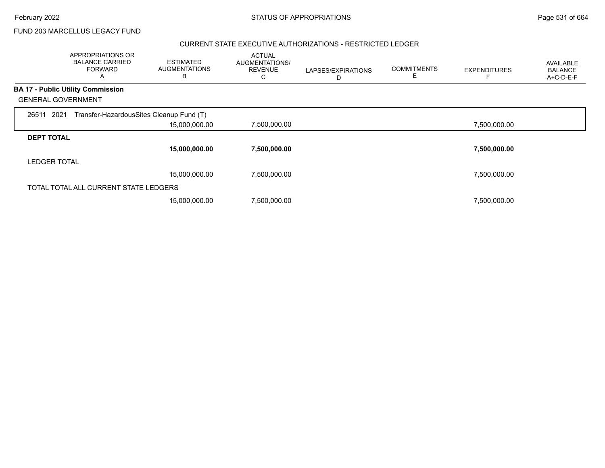FUND 203 MARCELLUS LEGACY FUND

### CURRENT STATE EXECUTIVE AUTHORIZATIONS - RESTRICTED LEDGER

|                     | APPROPRIATIONS OR<br><b>BALANCE CARRIED</b><br>FORWARD<br>A | <b>ESTIMATED</b><br><b>AUGMENTATIONS</b><br>В | <b>ACTUAL</b><br>AUGMENTATIONS/<br><b>REVENUE</b> | LAPSES/EXPIRATIONS<br>D | <b>COMMITMENTS</b><br>Е | <b>EXPENDITURES</b> | AVAILABLE<br><b>BALANCE</b><br>A+C-D-E-F |
|---------------------|-------------------------------------------------------------|-----------------------------------------------|---------------------------------------------------|-------------------------|-------------------------|---------------------|------------------------------------------|
|                     | <b>BA 17 - Public Utility Commission</b>                    |                                               |                                                   |                         |                         |                     |                                          |
|                     | <b>GENERAL GOVERNMENT</b>                                   |                                               |                                                   |                         |                         |                     |                                          |
| 26511 2021          | Transfer-HazardousSites Cleanup Fund (T)                    |                                               |                                                   |                         |                         |                     |                                          |
|                     |                                                             | 15,000,000.00                                 | 7,500,000.00                                      |                         |                         | 7,500,000.00        |                                          |
| <b>DEPT TOTAL</b>   |                                                             |                                               |                                                   |                         |                         |                     |                                          |
|                     |                                                             | 15,000,000.00                                 | 7,500,000.00                                      |                         |                         | 7,500,000.00        |                                          |
| <b>LEDGER TOTAL</b> |                                                             |                                               |                                                   |                         |                         |                     |                                          |
|                     |                                                             | 15,000,000.00                                 | 7,500,000.00                                      |                         |                         | 7,500,000.00        |                                          |
|                     | TOTAL TOTAL ALL CURRENT STATE LEDGERS                       |                                               |                                                   |                         |                         |                     |                                          |
|                     |                                                             | 15,000,000.00                                 | 7,500,000.00                                      |                         |                         | 7,500,000.00        |                                          |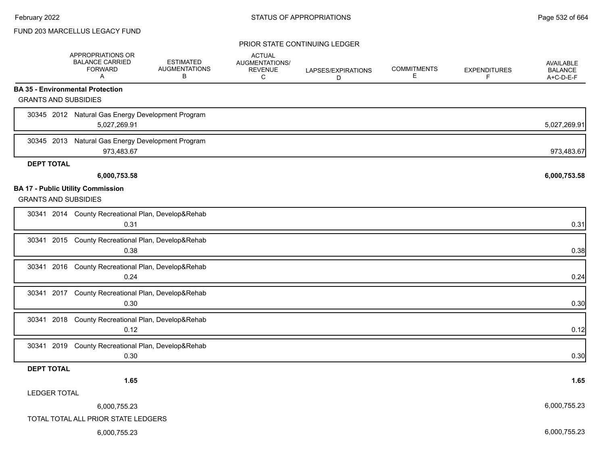### FUND 203 MARCELLUS LEGACY FUND

|                             | APPROPRIATIONS OR<br><b>BALANCE CARRIED</b><br><b>FORWARD</b><br>A | <b>ESTIMATED</b><br><b>AUGMENTATIONS</b><br>В | <b>ACTUAL</b><br>AUGMENTATIONS/<br><b>REVENUE</b><br>С | LAPSES/EXPIRATIONS<br>D | <b>COMMITMENTS</b><br>Е | <b>EXPENDITURES</b><br>F | <b>AVAILABLE</b><br><b>BALANCE</b><br>A+C-D-E-F |
|-----------------------------|--------------------------------------------------------------------|-----------------------------------------------|--------------------------------------------------------|-------------------------|-------------------------|--------------------------|-------------------------------------------------|
|                             | <b>BA 35 - Environmental Protection</b>                            |                                               |                                                        |                         |                         |                          |                                                 |
| <b>GRANTS AND SUBSIDIES</b> |                                                                    |                                               |                                                        |                         |                         |                          |                                                 |
|                             | 30345 2012 Natural Gas Energy Development Program<br>5,027,269.91  |                                               |                                                        |                         |                         |                          | 5,027,269.91                                    |
|                             | 30345 2013 Natural Gas Energy Development Program<br>973,483.67    |                                               |                                                        |                         |                         |                          | 973,483.67                                      |
| <b>DEPT TOTAL</b>           |                                                                    |                                               |                                                        |                         |                         |                          |                                                 |
|                             | 6,000,753.58                                                       |                                               |                                                        |                         |                         |                          | 6,000,753.58                                    |
| <b>GRANTS AND SUBSIDIES</b> | <b>BA 17 - Public Utility Commission</b>                           |                                               |                                                        |                         |                         |                          |                                                 |
|                             | 30341 2014 County Recreational Plan, Develop&Rehab<br>0.31         |                                               |                                                        |                         |                         |                          | 0.31                                            |
|                             | 30341 2015 County Recreational Plan, Develop&Rehab<br>0.38         |                                               |                                                        |                         |                         |                          | 0.38                                            |
|                             | 30341 2016 County Recreational Plan, Develop&Rehab<br>0.24         |                                               |                                                        |                         |                         |                          | 0.24                                            |
|                             | 30341 2017 County Recreational Plan, Develop&Rehab<br>0.30         |                                               |                                                        |                         |                         |                          | 0.30                                            |
| 30341 2018                  | County Recreational Plan, Develop&Rehab<br>0.12                    |                                               |                                                        |                         |                         |                          | 0.12                                            |
|                             | 30341 2019 County Recreational Plan, Develop&Rehab<br>0.30         |                                               |                                                        |                         |                         |                          | 0.30                                            |
| <b>DEPT TOTAL</b>           |                                                                    |                                               |                                                        |                         |                         |                          |                                                 |
|                             | 1.65                                                               |                                               |                                                        |                         |                         |                          | 1.65                                            |
| <b>LEDGER TOTAL</b>         |                                                                    |                                               |                                                        |                         |                         |                          |                                                 |
|                             | 6,000,755.23                                                       |                                               |                                                        |                         |                         |                          | 6,000,755.23                                    |
|                             | TOTAL TOTAL ALL PRIOR STATE LEDGERS                                |                                               |                                                        |                         |                         |                          |                                                 |
|                             | 6,000,755.23                                                       |                                               |                                                        |                         |                         |                          | 6,000,755.23                                    |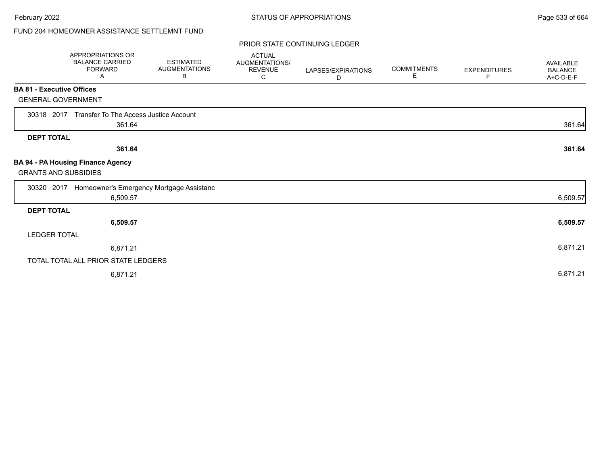# FUND 204 HOMEOWNER ASSISTANCE SETTLEMNT FUND

|                                  | APPROPRIATIONS OR<br><b>BALANCE CARRIED</b><br><b>FORWARD</b><br>A | <b>ESTIMATED</b><br><b>AUGMENTATIONS</b><br>B | <b>ACTUAL</b><br><b>AUGMENTATIONS/</b><br><b>REVENUE</b><br>С | LAPSES/EXPIRATIONS<br>D | <b>COMMITMENTS</b><br>E. | <b>EXPENDITURES</b><br>F. | <b>AVAILABLE</b><br><b>BALANCE</b><br>A+C-D-E-F |
|----------------------------------|--------------------------------------------------------------------|-----------------------------------------------|---------------------------------------------------------------|-------------------------|--------------------------|---------------------------|-------------------------------------------------|
| <b>BA 81 - Executive Offices</b> |                                                                    |                                               |                                                               |                         |                          |                           |                                                 |
| <b>GENERAL GOVERNMENT</b>        |                                                                    |                                               |                                                               |                         |                          |                           |                                                 |
| 30318 2017                       | Transfer To The Access Justice Account<br>361.64                   |                                               |                                                               |                         |                          |                           | 361.64                                          |
| <b>DEPT TOTAL</b>                |                                                                    |                                               |                                                               |                         |                          |                           |                                                 |
|                                  | 361.64                                                             |                                               |                                                               |                         |                          |                           | 361.64                                          |
| <b>GRANTS AND SUBSIDIES</b>      | BA 94 - PA Housing Finance Agency                                  |                                               |                                                               |                         |                          |                           |                                                 |
| 30320 2017                       | Homeowner's Emergency Mortgage Assistanc                           |                                               |                                                               |                         |                          |                           |                                                 |
|                                  | 6,509.57                                                           |                                               |                                                               |                         |                          |                           | 6,509.57                                        |
| <b>DEPT TOTAL</b>                |                                                                    |                                               |                                                               |                         |                          |                           |                                                 |
|                                  | 6,509.57                                                           |                                               |                                                               |                         |                          |                           | 6,509.57                                        |
| <b>LEDGER TOTAL</b>              |                                                                    |                                               |                                                               |                         |                          |                           |                                                 |
|                                  | 6,871.21                                                           |                                               |                                                               |                         |                          |                           | 6,871.21                                        |
|                                  | TOTAL TOTAL ALL PRIOR STATE LEDGERS                                |                                               |                                                               |                         |                          |                           |                                                 |
|                                  | 6,871.21                                                           |                                               |                                                               |                         |                          |                           | 6,871.21                                        |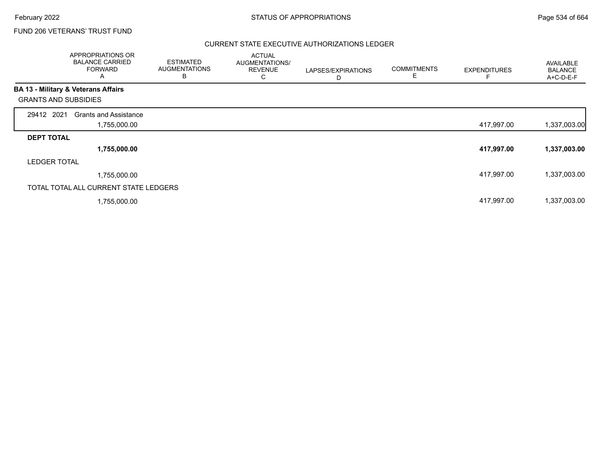### FUND 206 VETERANS' TRUST FUND

### CURRENT STATE EXECUTIVE AUTHORIZATIONS LEDGER

|                             | APPROPRIATIONS OR<br><b>BALANCE CARRIED</b><br><b>FORWARD</b><br>A | <b>ESTIMATED</b><br><b>AUGMENTATIONS</b><br>B | <b>ACTUAL</b><br>AUGMENTATIONS/<br><b>REVENUE</b><br>ں | LAPSES/EXPIRATIONS<br>D | <b>COMMITMENTS</b> | <b>EXPENDITURES</b> | <b>AVAILABLE</b><br><b>BALANCE</b><br>A+C-D-E-F |
|-----------------------------|--------------------------------------------------------------------|-----------------------------------------------|--------------------------------------------------------|-------------------------|--------------------|---------------------|-------------------------------------------------|
|                             | BA 13 - Military & Veterans Affairs                                |                                               |                                                        |                         |                    |                     |                                                 |
| <b>GRANTS AND SUBSIDIES</b> |                                                                    |                                               |                                                        |                         |                    |                     |                                                 |
| 29412 2021                  | <b>Grants and Assistance</b>                                       |                                               |                                                        |                         |                    |                     |                                                 |
|                             | 1,755,000.00                                                       |                                               |                                                        |                         |                    | 417,997.00          | 1,337,003.00                                    |
| <b>DEPT TOTAL</b>           |                                                                    |                                               |                                                        |                         |                    |                     |                                                 |
|                             | 1,755,000.00                                                       |                                               |                                                        |                         |                    | 417,997.00          | 1,337,003.00                                    |
| <b>LEDGER TOTAL</b>         |                                                                    |                                               |                                                        |                         |                    |                     |                                                 |
|                             | 1,755,000.00                                                       |                                               |                                                        |                         |                    | 417,997.00          | 1,337,003.00                                    |
|                             | TOTAL TOTAL ALL CURRENT STATE LEDGERS                              |                                               |                                                        |                         |                    |                     |                                                 |
|                             | 1,755,000.00                                                       |                                               |                                                        |                         |                    | 417,997.00          | 1,337,003.00                                    |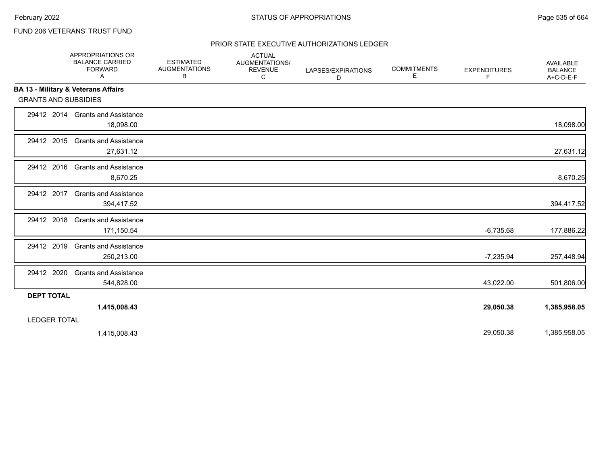# FUND 206 VETERANS' TRUST FUND

### PRIOR STATE EXECUTIVE AUTHORIZATIONS LEDGER

|                                                | APPROPRIATIONS OR<br><b>BALANCE CARRIED</b><br><b>FORWARD</b><br>Α | <b>ESTIMATED</b><br><b>AUGMENTATIONS</b><br>в | <b>ACTUAL</b><br><b>AUGMENTATIONS/</b><br><b>REVENUE</b><br>C | LAPSES/EXPIRATIONS<br>D | <b>COMMITMENTS</b><br>Ε | <b>EXPENDITURES</b><br>F. | <b>AVAILABLE</b><br><b>BALANCE</b><br>A+C-D-E-F |
|------------------------------------------------|--------------------------------------------------------------------|-----------------------------------------------|---------------------------------------------------------------|-------------------------|-------------------------|---------------------------|-------------------------------------------------|
| <b>BA 13 - Military &amp; Veterans Affairs</b> |                                                                    |                                               |                                                               |                         |                         |                           |                                                 |
| <b>GRANTS AND SUBSIDIES</b>                    |                                                                    |                                               |                                                               |                         |                         |                           |                                                 |
|                                                | 29412 2014 Grants and Assistance<br>18,098.00                      |                                               |                                                               |                         |                         |                           | 18,098.00                                       |
| 29412 2015                                     | <b>Grants and Assistance</b><br>27,631.12                          |                                               |                                                               |                         |                         |                           | 27,631.12                                       |
| 29412 2016                                     | <b>Grants and Assistance</b><br>8,670.25                           |                                               |                                                               |                         |                         |                           | 8,670.25                                        |
| 29412 2017                                     | <b>Grants and Assistance</b><br>394,417.52                         |                                               |                                                               |                         |                         |                           | 394,417.52                                      |
| 29412 2018                                     | <b>Grants and Assistance</b><br>171,150.54                         |                                               |                                                               |                         |                         | $-6,735.68$               | 177,886.22                                      |
| 29412 2019                                     | <b>Grants and Assistance</b><br>250,213.00                         |                                               |                                                               |                         |                         | $-7,235.94$               | 257,448.94                                      |
| 29412 2020                                     | <b>Grants and Assistance</b><br>544,828.00                         |                                               |                                                               |                         |                         | 43,022.00                 | 501,806.00                                      |
| <b>DEPT TOTAL</b>                              |                                                                    |                                               |                                                               |                         |                         |                           |                                                 |
|                                                | 1,415,008.43                                                       |                                               |                                                               |                         |                         | 29,050.38                 | 1,385,958.05                                    |
| <b>LEDGER TOTAL</b>                            |                                                                    |                                               |                                                               |                         |                         |                           |                                                 |
|                                                | 1,415,008.43                                                       |                                               |                                                               |                         |                         | 29,050.38                 | 1,385,958.05                                    |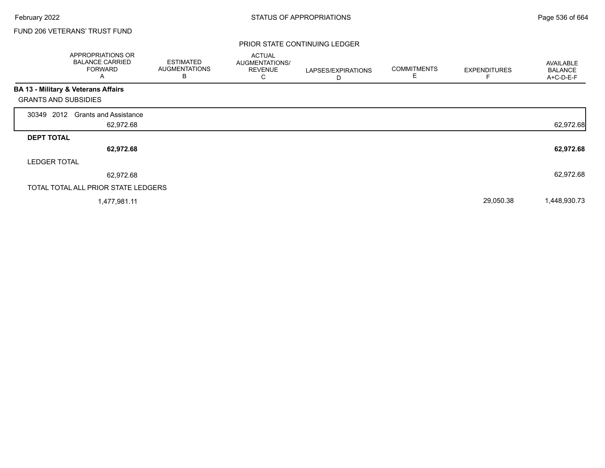Г

### FUND 206 VETERANS' TRUST FUND

|                             | <b>APPROPRIATIONS OR</b><br><b>BALANCE CARRIED</b><br><b>FORWARD</b><br>A | <b>ESTIMATED</b><br><b>AUGMENTATIONS</b><br>В | <b>ACTUAL</b><br>AUGMENTATIONS/<br><b>REVENUE</b><br>С | LAPSES/EXPIRATIONS<br>D | <b>COMMITMENTS</b><br>E | <b>EXPENDITURES</b> | AVAILABLE<br><b>BALANCE</b><br>A+C-D-E-F |
|-----------------------------|---------------------------------------------------------------------------|-----------------------------------------------|--------------------------------------------------------|-------------------------|-------------------------|---------------------|------------------------------------------|
|                             | BA 13 - Military & Veterans Affairs                                       |                                               |                                                        |                         |                         |                     |                                          |
| <b>GRANTS AND SUBSIDIES</b> |                                                                           |                                               |                                                        |                         |                         |                     |                                          |
| 2012<br>30349               | <b>Grants and Assistance</b>                                              |                                               |                                                        |                         |                         |                     |                                          |
|                             | 62,972.68                                                                 |                                               |                                                        |                         |                         |                     | 62,972.68                                |
| <b>DEPT TOTAL</b>           |                                                                           |                                               |                                                        |                         |                         |                     |                                          |
|                             | 62,972.68                                                                 |                                               |                                                        |                         |                         |                     | 62,972.68                                |
| <b>LEDGER TOTAL</b>         |                                                                           |                                               |                                                        |                         |                         |                     |                                          |
|                             | 62,972.68                                                                 |                                               |                                                        |                         |                         |                     | 62,972.68                                |
|                             | TOTAL TOTAL ALL PRIOR STATE LEDGERS                                       |                                               |                                                        |                         |                         |                     |                                          |
|                             | 1,477,981.11                                                              |                                               |                                                        |                         |                         | 29,050.38           | 1,448,930.73                             |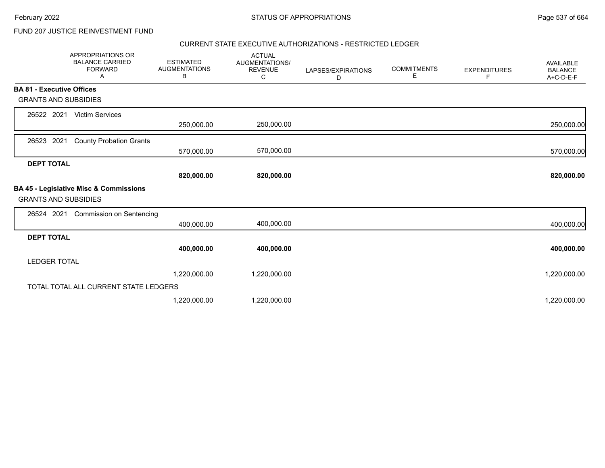# FUND 207 JUSTICE REINVESTMENT FUND

### CURRENT STATE EXECUTIVE AUTHORIZATIONS - RESTRICTED LEDGER

|                                  | <b>APPROPRIATIONS OR</b><br><b>BALANCE CARRIED</b><br><b>FORWARD</b><br>A | <b>ESTIMATED</b><br><b>AUGMENTATIONS</b><br>В | <b>ACTUAL</b><br>AUGMENTATIONS/<br><b>REVENUE</b><br>C | LAPSES/EXPIRATIONS<br>D | <b>COMMITMENTS</b><br>E | <b>EXPENDITURES</b><br>F | <b>AVAILABLE</b><br><b>BALANCE</b><br>A+C-D-E-F |
|----------------------------------|---------------------------------------------------------------------------|-----------------------------------------------|--------------------------------------------------------|-------------------------|-------------------------|--------------------------|-------------------------------------------------|
| <b>BA 81 - Executive Offices</b> |                                                                           |                                               |                                                        |                         |                         |                          |                                                 |
| <b>GRANTS AND SUBSIDIES</b>      |                                                                           |                                               |                                                        |                         |                         |                          |                                                 |
| 26522 2021                       | <b>Victim Services</b>                                                    |                                               |                                                        |                         |                         |                          |                                                 |
|                                  |                                                                           | 250,000.00                                    | 250,000.00                                             |                         |                         |                          | 250,000.00                                      |
| 26523<br>2021                    | <b>County Probation Grants</b>                                            |                                               |                                                        |                         |                         |                          |                                                 |
|                                  |                                                                           | 570,000.00                                    | 570,000.00                                             |                         |                         |                          | 570,000.00                                      |
| <b>DEPT TOTAL</b>                |                                                                           |                                               |                                                        |                         |                         |                          |                                                 |
|                                  |                                                                           | 820,000.00                                    | 820,000.00                                             |                         |                         |                          | 820,000.00                                      |
| <b>GRANTS AND SUBSIDIES</b>      | BA 45 - Legislative Misc & Commissions                                    |                                               |                                                        |                         |                         |                          |                                                 |
| 26524 2021                       | <b>Commission on Sentencing</b>                                           |                                               |                                                        |                         |                         |                          |                                                 |
|                                  |                                                                           | 400,000.00                                    | 400,000.00                                             |                         |                         |                          | 400,000.00                                      |
| <b>DEPT TOTAL</b>                |                                                                           |                                               |                                                        |                         |                         |                          |                                                 |
|                                  |                                                                           | 400,000.00                                    | 400,000.00                                             |                         |                         |                          | 400,000.00                                      |
| <b>LEDGER TOTAL</b>              |                                                                           |                                               |                                                        |                         |                         |                          |                                                 |
|                                  |                                                                           | 1,220,000.00                                  | 1,220,000.00                                           |                         |                         |                          | 1,220,000.00                                    |
|                                  | TOTAL TOTAL ALL CURRENT STATE LEDGERS                                     |                                               |                                                        |                         |                         |                          |                                                 |
|                                  |                                                                           | 1,220,000.00                                  | 1,220,000.00                                           |                         |                         |                          | 1,220,000.00                                    |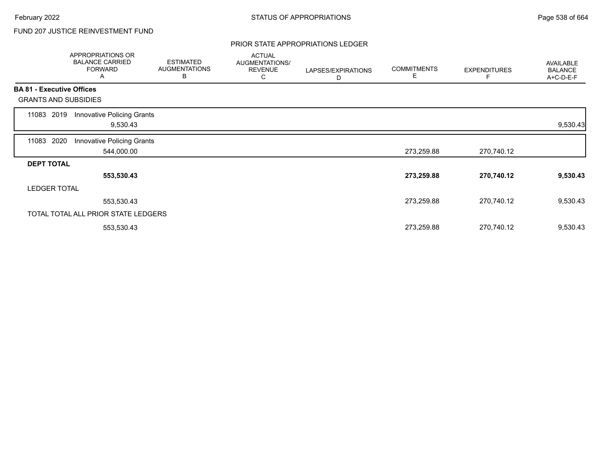# FUND 207 JUSTICE REINVESTMENT FUND

### PRIOR STATE APPROPRIATIONS LEDGER

|       | APPROPRIATIONS OR<br><b>BALANCE CARRIED</b><br><b>FORWARD</b><br>Α | <b>ESTIMATED</b><br><b>AUGMENTATIONS</b><br>B | <b>ACTUAL</b><br>AUGMENTATIONS/<br><b>REVENUE</b><br>С | LAPSES/EXPIRATIONS<br>D | <b>COMMITMENTS</b><br>Е | <b>EXPENDITURES</b> | <b>AVAILABLE</b><br><b>BALANCE</b><br>A+C-D-E-F |
|-------|--------------------------------------------------------------------|-----------------------------------------------|--------------------------------------------------------|-------------------------|-------------------------|---------------------|-------------------------------------------------|
|       | <b>BA 81 - Executive Offices</b>                                   |                                               |                                                        |                         |                         |                     |                                                 |
|       | <b>GRANTS AND SUBSIDIES</b>                                        |                                               |                                                        |                         |                         |                     |                                                 |
| 11083 | Innovative Policing Grants<br>2019<br>9,530.43                     |                                               |                                                        |                         |                         |                     | 9,530.43                                        |
| 11083 | 2020<br>Innovative Policing Grants<br>544,000.00                   |                                               |                                                        |                         | 273,259.88              | 270,740.12          |                                                 |
|       | <b>DEPT TOTAL</b>                                                  |                                               |                                                        |                         |                         |                     |                                                 |
|       | 553,530.43                                                         |                                               |                                                        |                         | 273,259.88              | 270,740.12          | 9,530.43                                        |
|       | <b>LEDGER TOTAL</b>                                                |                                               |                                                        |                         |                         |                     |                                                 |
|       | 553,530.43                                                         |                                               |                                                        |                         | 273,259.88              | 270,740.12          | 9,530.43                                        |
|       | TOTAL TOTAL ALL PRIOR STATE LEDGERS                                |                                               |                                                        |                         |                         |                     |                                                 |
|       | 553,530.43                                                         |                                               |                                                        |                         | 273,259.88              | 270,740.12          | 9,530.43                                        |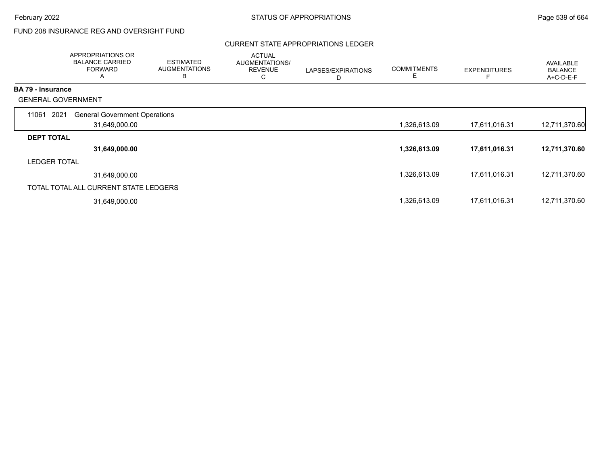# FUND 208 INSURANCE REG AND OVERSIGHT FUND

### CURRENT STATE APPROPRIATIONS LEDGER

|                          | APPROPRIATIONS OR<br><b>BALANCE CARRIED</b><br><b>FORWARD</b><br>Α | <b>ESTIMATED</b><br><b>AUGMENTATIONS</b><br>B | <b>ACTUAL</b><br>AUGMENTATIONS/<br><b>REVENUE</b><br>С | LAPSES/EXPIRATIONS<br>D | <b>COMMITMENTS</b><br>Ε | <b>EXPENDITURES</b> | AVAILABLE<br><b>BALANCE</b><br>A+C-D-E-F |
|--------------------------|--------------------------------------------------------------------|-----------------------------------------------|--------------------------------------------------------|-------------------------|-------------------------|---------------------|------------------------------------------|
| <b>BA 79 - Insurance</b> |                                                                    |                                               |                                                        |                         |                         |                     |                                          |
|                          | <b>GENERAL GOVERNMENT</b>                                          |                                               |                                                        |                         |                         |                     |                                          |
| 11061                    | 2021<br><b>General Government Operations</b>                       |                                               |                                                        |                         |                         |                     |                                          |
|                          | 31,649,000.00                                                      |                                               |                                                        |                         | 1,326,613.09            | 17,611,016.31       | 12,711,370.60                            |
| <b>DEPT TOTAL</b>        |                                                                    |                                               |                                                        |                         |                         |                     |                                          |
|                          | 31,649,000.00                                                      |                                               |                                                        |                         | 1,326,613.09            | 17,611,016.31       | 12,711,370.60                            |
| <b>LEDGER TOTAL</b>      |                                                                    |                                               |                                                        |                         |                         |                     |                                          |
|                          | 31,649,000.00                                                      |                                               |                                                        |                         | 1,326,613.09            | 17,611,016.31       | 12,711,370.60                            |
|                          | TOTAL TOTAL ALL CURRENT STATE LEDGERS                              |                                               |                                                        |                         |                         |                     |                                          |
|                          | 31,649,000.00                                                      |                                               |                                                        |                         | 1,326,613.09            | 17,611,016.31       | 12,711,370.60                            |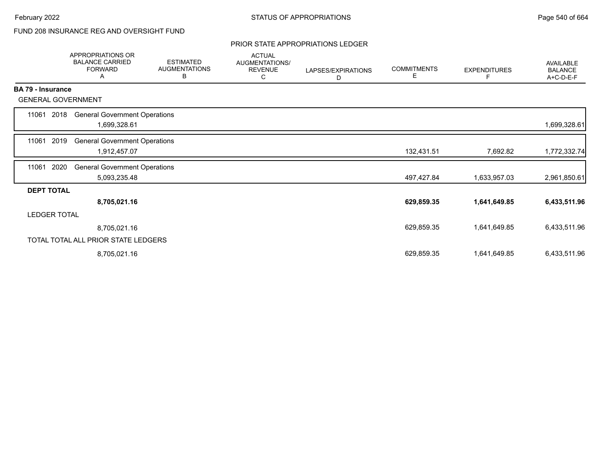# FUND 208 INSURANCE REG AND OVERSIGHT FUND

### PRIOR STATE APPROPRIATIONS LEDGER

|                           | <b>APPROPRIATIONS OR</b><br><b>BALANCE CARRIED</b><br><b>FORWARD</b><br>A | <b>ESTIMATED</b><br><b>AUGMENTATIONS</b><br>В | <b>ACTUAL</b><br>AUGMENTATIONS/<br><b>REVENUE</b><br>С | LAPSES/EXPIRATIONS<br>D | <b>COMMITMENTS</b><br>Е | <b>EXPENDITURES</b><br>F | AVAILABLE<br><b>BALANCE</b><br>A+C-D-E-F |
|---------------------------|---------------------------------------------------------------------------|-----------------------------------------------|--------------------------------------------------------|-------------------------|-------------------------|--------------------------|------------------------------------------|
| <b>BA 79 - Insurance</b>  |                                                                           |                                               |                                                        |                         |                         |                          |                                          |
| <b>GENERAL GOVERNMENT</b> |                                                                           |                                               |                                                        |                         |                         |                          |                                          |
| 11061<br>2018             | <b>General Government Operations</b><br>1,699,328.61                      |                                               |                                                        |                         |                         |                          | 1,699,328.61                             |
| 2019<br>11061             | <b>General Government Operations</b><br>1,912,457.07                      |                                               |                                                        |                         | 132,431.51              | 7,692.82                 | 1,772,332.74                             |
| 2020<br>11061             | <b>General Government Operations</b><br>5,093,235.48                      |                                               |                                                        |                         | 497,427.84              | 1,633,957.03             | 2,961,850.61                             |
| <b>DEPT TOTAL</b>         |                                                                           |                                               |                                                        |                         |                         |                          |                                          |
|                           | 8,705,021.16                                                              |                                               |                                                        |                         | 629,859.35              | 1,641,649.85             | 6,433,511.96                             |
| <b>LEDGER TOTAL</b>       |                                                                           |                                               |                                                        |                         |                         |                          |                                          |
|                           | 8,705,021.16                                                              |                                               |                                                        |                         | 629,859.35              | 1,641,649.85             | 6,433,511.96                             |
|                           | TOTAL TOTAL ALL PRIOR STATE LEDGERS                                       |                                               |                                                        |                         |                         |                          |                                          |
|                           | 8,705,021.16                                                              |                                               |                                                        |                         | 629,859.35              | 1,641,649.85             | 6,433,511.96                             |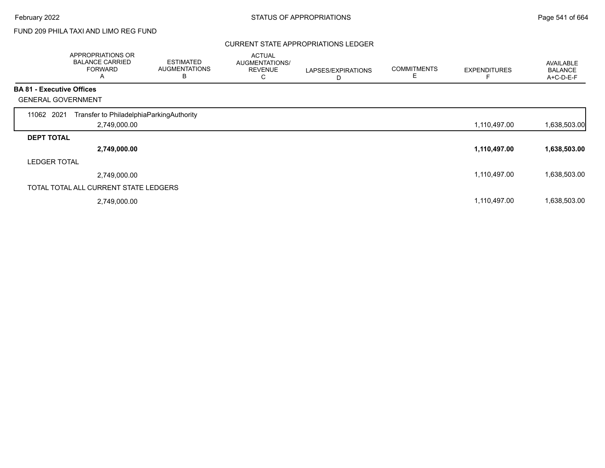# FUND 209 PHILA TAXI AND LIMO REG FUND

### CURRENT STATE APPROPRIATIONS LEDGER

|                                  | APPROPRIATIONS OR<br><b>BALANCE CARRIED</b><br><b>FORWARD</b><br>Α | <b>ESTIMATED</b><br><b>AUGMENTATIONS</b><br>B | <b>ACTUAL</b><br>AUGMENTATIONS/<br><b>REVENUE</b><br>С | LAPSES/EXPIRATIONS<br>D | <b>COMMITMENTS</b> | <b>EXPENDITURES</b> | AVAILABLE<br><b>BALANCE</b><br>A+C-D-E-F |
|----------------------------------|--------------------------------------------------------------------|-----------------------------------------------|--------------------------------------------------------|-------------------------|--------------------|---------------------|------------------------------------------|
| <b>BA 81 - Executive Offices</b> |                                                                    |                                               |                                                        |                         |                    |                     |                                          |
|                                  | <b>GENERAL GOVERNMENT</b>                                          |                                               |                                                        |                         |                    |                     |                                          |
| 11062 2021                       | Transfer to PhiladelphiaParkingAuthority                           |                                               |                                                        |                         |                    |                     |                                          |
|                                  | 2,749,000.00                                                       |                                               |                                                        |                         |                    | 1,110,497.00        | 1,638,503.00                             |
| <b>DEPT TOTAL</b>                |                                                                    |                                               |                                                        |                         |                    |                     |                                          |
|                                  | 2,749,000.00                                                       |                                               |                                                        |                         |                    | 1,110,497.00        | 1,638,503.00                             |
| <b>LEDGER TOTAL</b>              |                                                                    |                                               |                                                        |                         |                    |                     |                                          |
|                                  | 2,749,000.00                                                       |                                               |                                                        |                         |                    | 1,110,497.00        | 1,638,503.00                             |
|                                  | TOTAL TOTAL ALL CURRENT STATE LEDGERS                              |                                               |                                                        |                         |                    |                     |                                          |
|                                  | 2,749,000.00                                                       |                                               |                                                        |                         |                    | 1,110,497.00        | 1,638,503.00                             |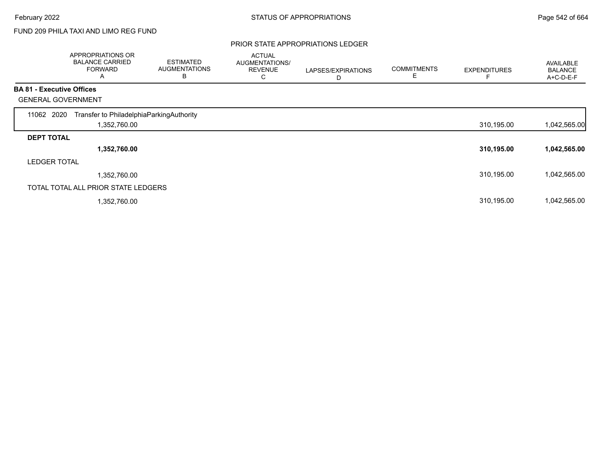# FUND 209 PHILA TAXI AND LIMO REG FUND

### PRIOR STATE APPROPRIATIONS LEDGER

|                                  | APPROPRIATIONS OR<br><b>BALANCE CARRIED</b><br><b>FORWARD</b><br>A | <b>ESTIMATED</b><br><b>AUGMENTATIONS</b><br>В | <b>ACTUAL</b><br><b>AUGMENTATIONS/</b><br><b>REVENUE</b><br>С | LAPSES/EXPIRATIONS<br>D | <b>COMMITMENTS</b> | <b>EXPENDITURES</b> | AVAILABLE<br><b>BALANCE</b><br>A+C-D-E-F |
|----------------------------------|--------------------------------------------------------------------|-----------------------------------------------|---------------------------------------------------------------|-------------------------|--------------------|---------------------|------------------------------------------|
| <b>BA 81 - Executive Offices</b> |                                                                    |                                               |                                                               |                         |                    |                     |                                          |
|                                  | <b>GENERAL GOVERNMENT</b>                                          |                                               |                                                               |                         |                    |                     |                                          |
| 11062 2020                       | Transfer to PhiladelphiaParkingAuthority                           |                                               |                                                               |                         |                    |                     |                                          |
|                                  | 1,352,760.00                                                       |                                               |                                                               |                         |                    | 310,195.00          | 1,042,565.00                             |
| <b>DEPT TOTAL</b>                |                                                                    |                                               |                                                               |                         |                    |                     |                                          |
|                                  | 1,352,760.00                                                       |                                               |                                                               |                         |                    | 310,195.00          | 1,042,565.00                             |
| <b>LEDGER TOTAL</b>              |                                                                    |                                               |                                                               |                         |                    |                     |                                          |
|                                  | 1,352,760.00                                                       |                                               |                                                               |                         |                    | 310,195.00          | 1,042,565.00                             |
|                                  | TOTAL TOTAL ALL PRIOR STATE LEDGERS                                |                                               |                                                               |                         |                    |                     |                                          |
|                                  | 1,352,760.00                                                       |                                               |                                                               |                         |                    | 310,195.00          | 1,042,565.00                             |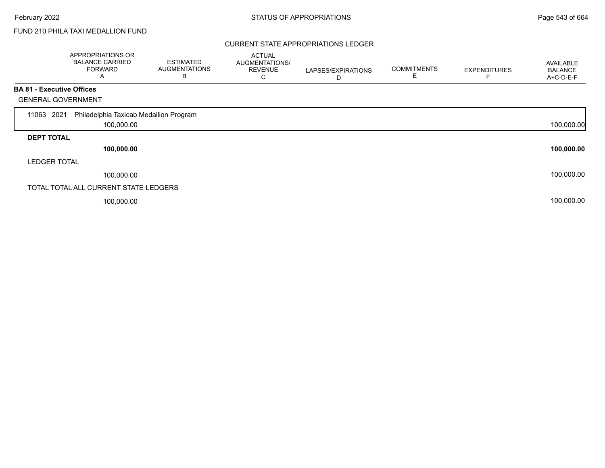Г

# FUND 210 PHILA TAXI MEDALLION FUND

### CURRENT STATE APPROPRIATIONS LEDGER

|                                  | APPROPRIATIONS OR<br><b>BALANCE CARRIED</b><br><b>FORWARD</b><br>A | <b>ESTIMATED</b><br><b>AUGMENTATIONS</b><br>В | <b>ACTUAL</b><br><b>AUGMENTATIONS/</b><br><b>REVENUE</b><br>С | LAPSES/EXPIRATIONS<br>D | <b>COMMITMENTS</b> | <b>EXPENDITURES</b> | AVAILABLE<br><b>BALANCE</b><br>A+C-D-E-F |
|----------------------------------|--------------------------------------------------------------------|-----------------------------------------------|---------------------------------------------------------------|-------------------------|--------------------|---------------------|------------------------------------------|
| <b>BA 81 - Executive Offices</b> |                                                                    |                                               |                                                               |                         |                    |                     |                                          |
| <b>GENERAL GOVERNMENT</b>        |                                                                    |                                               |                                                               |                         |                    |                     |                                          |
| 2021<br>11063                    | Philadelphia Taxicab Medallion Program                             |                                               |                                                               |                         |                    |                     |                                          |
|                                  | 100,000.00                                                         |                                               |                                                               |                         |                    |                     | 100,000.00                               |
| <b>DEPT TOTAL</b>                |                                                                    |                                               |                                                               |                         |                    |                     |                                          |
|                                  | 100,000.00                                                         |                                               |                                                               |                         |                    |                     | 100,000.00                               |
| <b>LEDGER TOTAL</b>              |                                                                    |                                               |                                                               |                         |                    |                     |                                          |
|                                  | 100,000.00                                                         |                                               |                                                               |                         |                    |                     | 100,000.00                               |
|                                  | TOTAL TOTAL ALL CURRENT STATE LEDGERS                              |                                               |                                                               |                         |                    |                     |                                          |
|                                  | 100,000.00                                                         |                                               |                                                               |                         |                    |                     | 100,000.00                               |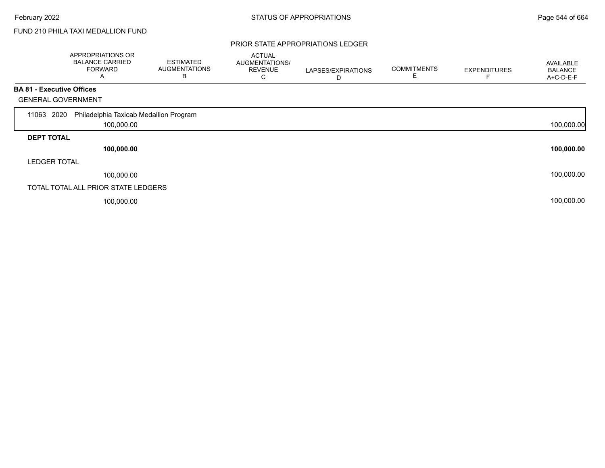Г

# FUND 210 PHILA TAXI MEDALLION FUND

### PRIOR STATE APPROPRIATIONS LEDGER

|                                  | APPROPRIATIONS OR<br><b>BALANCE CARRIED</b><br><b>FORWARD</b><br>Α | <b>ESTIMATED</b><br><b>AUGMENTATIONS</b><br>В | <b>ACTUAL</b><br>AUGMENTATIONS/<br><b>REVENUE</b><br>С | LAPSES/EXPIRATIONS<br>D | <b>COMMITMENTS</b> | <b>EXPENDITURES</b> | <b>AVAILABLE</b><br><b>BALANCE</b><br>A+C-D-E-F |
|----------------------------------|--------------------------------------------------------------------|-----------------------------------------------|--------------------------------------------------------|-------------------------|--------------------|---------------------|-------------------------------------------------|
| <b>BA 81 - Executive Offices</b> |                                                                    |                                               |                                                        |                         |                    |                     |                                                 |
| <b>GENERAL GOVERNMENT</b>        |                                                                    |                                               |                                                        |                         |                    |                     |                                                 |
| 2020<br>11063                    | Philadelphia Taxicab Medallion Program                             |                                               |                                                        |                         |                    |                     |                                                 |
|                                  | 100,000.00                                                         |                                               |                                                        |                         |                    |                     | 100,000.00                                      |
| <b>DEPT TOTAL</b>                |                                                                    |                                               |                                                        |                         |                    |                     |                                                 |
|                                  | 100,000.00                                                         |                                               |                                                        |                         |                    |                     | 100,000.00                                      |
| <b>LEDGER TOTAL</b>              |                                                                    |                                               |                                                        |                         |                    |                     |                                                 |
|                                  | 100,000.00                                                         |                                               |                                                        |                         |                    |                     | 100,000.00                                      |
|                                  | TOTAL TOTAL ALL PRIOR STATE LEDGERS                                |                                               |                                                        |                         |                    |                     |                                                 |
|                                  | 100,000.00                                                         |                                               |                                                        |                         |                    |                     | 100,000.00                                      |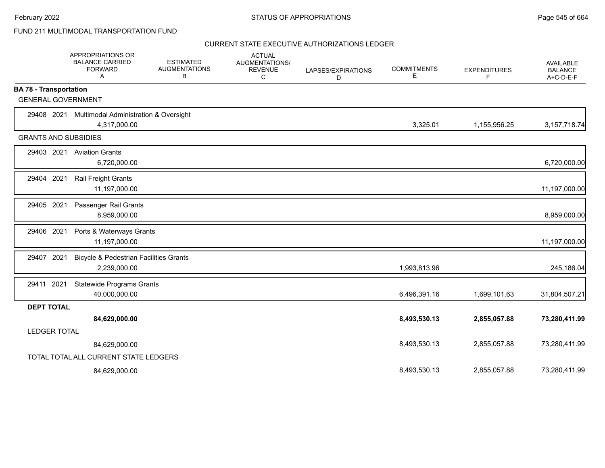|                               | APPROPRIATIONS OR<br><b>BALANCE CARRIED</b><br><b>FORWARD</b><br>Α | <b>ESTIMATED</b><br><b>AUGMENTATIONS</b><br>В | <b>ACTUAL</b><br><b>AUGMENTATIONS/</b><br><b>REVENUE</b><br>C | LAPSES/EXPIRATIONS<br>D | <b>COMMITMENTS</b><br>Е | <b>EXPENDITURES</b><br>F | <b>AVAILABLE</b><br><b>BALANCE</b><br>$A+C-D-E-F$ |
|-------------------------------|--------------------------------------------------------------------|-----------------------------------------------|---------------------------------------------------------------|-------------------------|-------------------------|--------------------------|---------------------------------------------------|
| <b>BA 78 - Transportation</b> |                                                                    |                                               |                                                               |                         |                         |                          |                                                   |
| <b>GENERAL GOVERNMENT</b>     |                                                                    |                                               |                                                               |                         |                         |                          |                                                   |
| 29408 2021                    | <b>Multimodal Administration &amp; Oversight</b>                   |                                               |                                                               |                         |                         |                          |                                                   |
|                               | 4,317,000.00                                                       |                                               |                                                               |                         | 3,325.01                | 1,155,956.25             | 3, 157, 718. 74                                   |
| <b>GRANTS AND SUBSIDIES</b>   |                                                                    |                                               |                                                               |                         |                         |                          |                                                   |
|                               | 29403 2021 Aviation Grants                                         |                                               |                                                               |                         |                         |                          |                                                   |
|                               | 6,720,000.00                                                       |                                               |                                                               |                         |                         |                          | 6,720,000.00                                      |
| 2021<br>29404                 | Rail Freight Grants                                                |                                               |                                                               |                         |                         |                          |                                                   |
|                               | 11,197,000.00                                                      |                                               |                                                               |                         |                         |                          | 11,197,000.00                                     |
| 29405 2021                    | Passenger Rail Grants                                              |                                               |                                                               |                         |                         |                          |                                                   |
|                               | 8,959,000.00                                                       |                                               |                                                               |                         |                         |                          | 8,959,000.00                                      |
| 29406 2021                    | Ports & Waterways Grants                                           |                                               |                                                               |                         |                         |                          |                                                   |
|                               | 11,197,000.00                                                      |                                               |                                                               |                         |                         |                          | 11,197,000.00                                     |
| 29407 2021                    | <b>Bicycle &amp; Pedestrian Facilities Grants</b>                  |                                               |                                                               |                         |                         |                          |                                                   |
|                               | 2,239,000.00                                                       |                                               |                                                               |                         | 1,993,813.96            |                          | 245,186.04                                        |
| 29411 2021                    | <b>Statewide Programs Grants</b>                                   |                                               |                                                               |                         |                         |                          |                                                   |
|                               | 40,000,000.00                                                      |                                               |                                                               |                         | 6,496,391.16            | 1,699,101.63             | 31,804,507.21                                     |
| <b>DEPT TOTAL</b>             |                                                                    |                                               |                                                               |                         |                         |                          |                                                   |
|                               | 84,629,000.00                                                      |                                               |                                                               |                         | 8,493,530.13            | 2,855,057.88             | 73,280,411.99                                     |
| <b>LEDGER TOTAL</b>           |                                                                    |                                               |                                                               |                         |                         |                          |                                                   |
|                               | 84,629,000.00                                                      |                                               |                                                               |                         | 8,493,530.13            | 2,855,057.88             | 73,280,411.99                                     |
|                               | TOTAL TOTAL ALL CURRENT STATE LEDGERS                              |                                               |                                                               |                         |                         |                          |                                                   |
|                               | 84,629,000.00                                                      |                                               |                                                               |                         | 8,493,530.13            | 2,855,057.88             | 73,280,411.99                                     |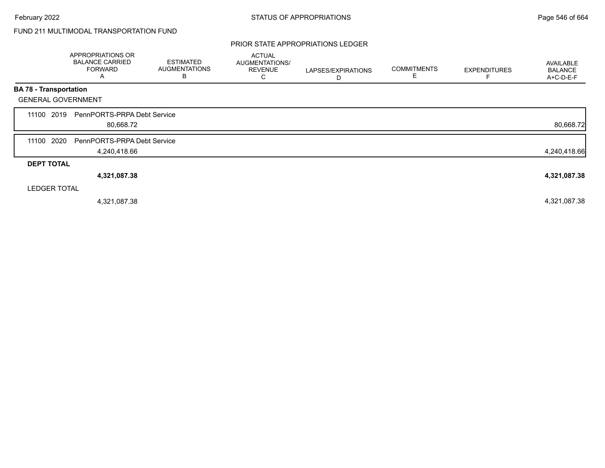### PRIOR STATE APPROPRIATIONS LEDGER

|                               | APPROPRIATIONS OR<br><b>BALANCE CARRIED</b><br><b>FORWARD</b><br>A | <b>ESTIMATED</b><br><b>AUGMENTATIONS</b><br>В | <b>ACTUAL</b><br>AUGMENTATIONS/<br><b>REVENUE</b><br>С | LAPSES/EXPIRATIONS<br>D | <b>COMMITMENTS</b><br>E | <b>EXPENDITURES</b> | AVAILABLE<br><b>BALANCE</b><br>A+C-D-E-F |
|-------------------------------|--------------------------------------------------------------------|-----------------------------------------------|--------------------------------------------------------|-------------------------|-------------------------|---------------------|------------------------------------------|
| <b>BA 78 - Transportation</b> |                                                                    |                                               |                                                        |                         |                         |                     |                                          |
| <b>GENERAL GOVERNMENT</b>     |                                                                    |                                               |                                                        |                         |                         |                     |                                          |
| 2019<br>11100                 | PennPORTS-PRPA Debt Service<br>80,668.72                           |                                               |                                                        |                         |                         |                     | 80,668.72                                |
| 2020<br>11100                 | PennPORTS-PRPA Debt Service                                        |                                               |                                                        |                         |                         |                     |                                          |
|                               | 4,240,418.66                                                       |                                               |                                                        |                         |                         |                     | 4,240,418.66                             |
| <b>DEPT TOTAL</b>             |                                                                    |                                               |                                                        |                         |                         |                     |                                          |
|                               | 4,321,087.38                                                       |                                               |                                                        |                         |                         |                     | 4,321,087.38                             |
| <b>LEDGER TOTAL</b>           |                                                                    |                                               |                                                        |                         |                         |                     |                                          |
|                               | 4,321,087.38                                                       |                                               |                                                        |                         |                         |                     | 4,321,087.38                             |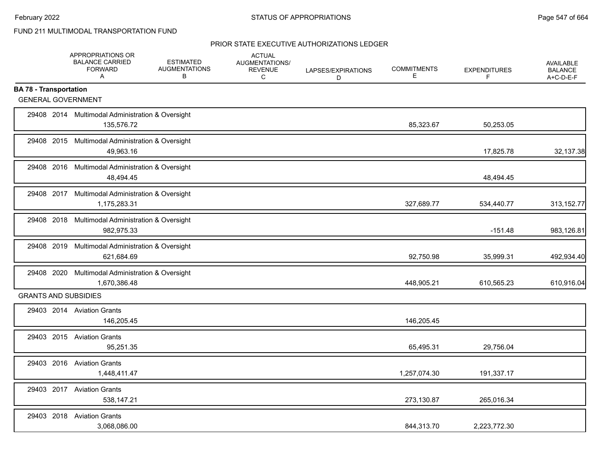|                               | APPROPRIATIONS OR<br><b>BALANCE CARRIED</b><br><b>FORWARD</b><br>$\mathsf{A}$ | <b>ESTIMATED</b><br><b>AUGMENTATIONS</b><br>В | <b>ACTUAL</b><br>AUGMENTATIONS/<br><b>REVENUE</b><br>C | LAPSES/EXPIRATIONS<br>D | <b>COMMITMENTS</b><br>Е | <b>EXPENDITURES</b><br>F | <b>AVAILABLE</b><br><b>BALANCE</b><br>A+C-D-E-F |
|-------------------------------|-------------------------------------------------------------------------------|-----------------------------------------------|--------------------------------------------------------|-------------------------|-------------------------|--------------------------|-------------------------------------------------|
| <b>BA 78 - Transportation</b> |                                                                               |                                               |                                                        |                         |                         |                          |                                                 |
| <b>GENERAL GOVERNMENT</b>     |                                                                               |                                               |                                                        |                         |                         |                          |                                                 |
|                               | 29408 2014 Multimodal Administration & Oversight<br>135,576.72                |                                               |                                                        |                         | 85,323.67               | 50,253.05                |                                                 |
|                               | 29408 2015 Multimodal Administration & Oversight<br>49,963.16                 |                                               |                                                        |                         |                         | 17,825.78                | 32,137.38                                       |
|                               | 29408 2016 Multimodal Administration & Oversight<br>48,494.45                 |                                               |                                                        |                         |                         | 48,494.45                |                                                 |
|                               | 29408 2017 Multimodal Administration & Oversight<br>1,175,283.31              |                                               |                                                        |                         | 327,689.77              | 534,440.77               | 313,152.77                                      |
|                               | 29408 2018 Multimodal Administration & Oversight<br>982,975.33                |                                               |                                                        |                         |                         | $-151.48$                | 983,126.81                                      |
|                               | 29408 2019 Multimodal Administration & Oversight<br>621,684.69                |                                               |                                                        |                         | 92,750.98               | 35,999.31                | 492,934.40                                      |
|                               | 29408 2020 Multimodal Administration & Oversight<br>1,670,386.48              |                                               |                                                        |                         | 448,905.21              | 610,565.23               | 610,916.04                                      |
| <b>GRANTS AND SUBSIDIES</b>   |                                                                               |                                               |                                                        |                         |                         |                          |                                                 |
|                               | 29403 2014 Aviation Grants<br>146,205.45                                      |                                               |                                                        |                         | 146,205.45              |                          |                                                 |
|                               | 29403 2015 Aviation Grants<br>95,251.35                                       |                                               |                                                        |                         | 65,495.31               | 29,756.04                |                                                 |
|                               | 29403 2016 Aviation Grants<br>1,448,411.47                                    |                                               |                                                        |                         | 1,257,074.30            | 191,337.17               |                                                 |
|                               | 29403 2017 Aviation Grants<br>538,147.21                                      |                                               |                                                        |                         | 273,130.87              | 265,016.34               |                                                 |
|                               | 29403 2018 Aviation Grants<br>3,068,086.00                                    |                                               |                                                        |                         | 844,313.70              | 2,223,772.30             |                                                 |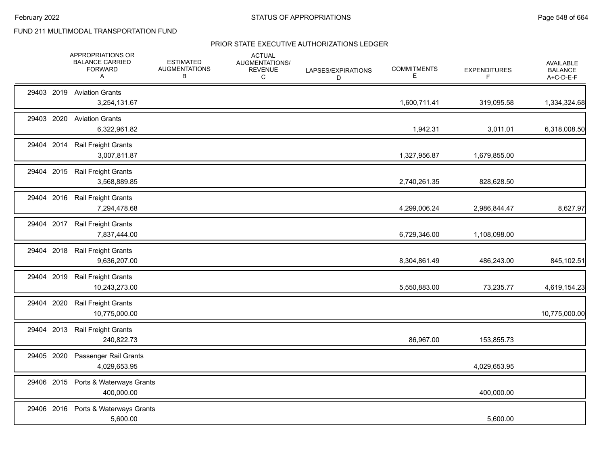|            | APPROPRIATIONS OR<br><b>BALANCE CARRIED</b><br><b>FORWARD</b><br>A | <b>ESTIMATED</b><br><b>AUGMENTATIONS</b><br>В | <b>ACTUAL</b><br>AUGMENTATIONS/<br><b>REVENUE</b><br>$\mathsf{C}$ | LAPSES/EXPIRATIONS<br>D | <b>COMMITMENTS</b><br>Е | <b>EXPENDITURES</b><br>F | <b>AVAILABLE</b><br><b>BALANCE</b><br>A+C-D-E-F |
|------------|--------------------------------------------------------------------|-----------------------------------------------|-------------------------------------------------------------------|-------------------------|-------------------------|--------------------------|-------------------------------------------------|
|            | 29403 2019 Aviation Grants<br>3,254,131.67                         |                                               |                                                                   |                         | 1,600,711.41            | 319,095.58               | 1,334,324.68                                    |
| 29403 2020 | <b>Aviation Grants</b><br>6,322,961.82                             |                                               |                                                                   |                         | 1,942.31                | 3,011.01                 | 6,318,008.50                                    |
| 29404      | 2014<br>Rail Freight Grants<br>3,007,811.87                        |                                               |                                                                   |                         | 1,327,956.87            | 1,679,855.00             |                                                 |
|            | 29404 2015 Rail Freight Grants<br>3,568,889.85                     |                                               |                                                                   |                         | 2,740,261.35            | 828,628.50               |                                                 |
|            | 29404 2016 Rail Freight Grants<br>7,294,478.68                     |                                               |                                                                   |                         | 4,299,006.24            | 2,986,844.47             | 8,627.97                                        |
|            | 29404 2017 Rail Freight Grants<br>7,837,444.00                     |                                               |                                                                   |                         | 6,729,346.00            | 1,108,098.00             |                                                 |
| 29404      | 2018<br>Rail Freight Grants<br>9,636,207.00                        |                                               |                                                                   |                         | 8,304,861.49            | 486,243.00               | 845,102.51                                      |
| 29404 2019 | <b>Rail Freight Grants</b><br>10,243,273.00                        |                                               |                                                                   |                         | 5,550,883.00            | 73,235.77                | 4,619,154.23                                    |
| 29404      | 2020<br>Rail Freight Grants<br>10,775,000.00                       |                                               |                                                                   |                         |                         |                          | 10,775,000.00                                   |
| 29404 2013 | <b>Rail Freight Grants</b><br>240,822.73                           |                                               |                                                                   |                         | 86,967.00               | 153,855.73               |                                                 |
| 29405 2020 | Passenger Rail Grants<br>4,029,653.95                              |                                               |                                                                   |                         |                         | 4,029,653.95             |                                                 |
| 29406 2015 | Ports & Waterways Grants<br>400,000.00                             |                                               |                                                                   |                         |                         | 400,000.00               |                                                 |
|            | 29406 2016 Ports & Waterways Grants<br>5,600.00                    |                                               |                                                                   |                         |                         | 5,600.00                 |                                                 |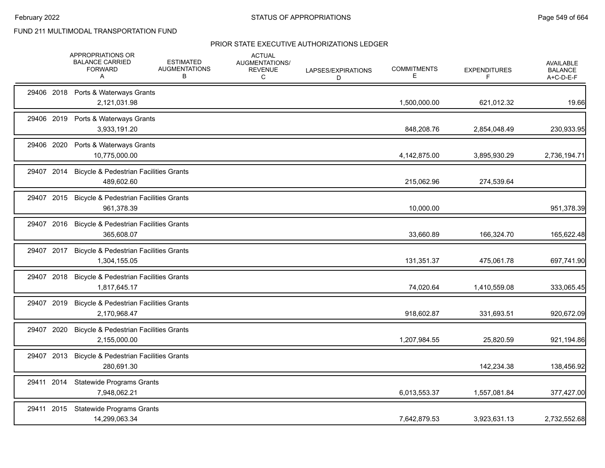| 29406 2018 Ports & Waterways Grants<br>2,121,031.98<br>1,500,000.00<br>621,012.32<br>29406 2019 Ports & Waterways Grants<br>3,933,191.20<br>848,208.76<br>2,854,048.49<br>Ports & Waterways Grants<br>29406 2020<br>10,775,000.00<br>4,142,875.00<br>3,895,930.29<br>29407 2014<br><b>Bicycle &amp; Pedestrian Facilities Grants</b><br>489,602.60<br>215,062.96<br>274,539.64<br>29407 2015 Bicycle & Pedestrian Facilities Grants<br>961,378.39<br>10,000.00<br>29407 2016<br><b>Bicycle &amp; Pedestrian Facilities Grants</b><br>33,660.89<br>365,608.07<br>166,324.70<br><b>Bicycle &amp; Pedestrian Facilities Grants</b><br>29407 2017<br>1,304,155.05<br>131,351.37<br>475,061.78<br><b>Bicycle &amp; Pedestrian Facilities Grants</b><br>29407 2018<br>1,817,645.17<br>74,020.64<br>1,410,559.08<br>29407 2019<br><b>Bicycle &amp; Pedestrian Facilities Grants</b><br>918,602.87<br>2,170,968.47<br>331,693.51<br>29407 2020<br><b>Bicycle &amp; Pedestrian Facilities Grants</b><br>2,155,000.00<br>1,207,984.55<br>25,820.59<br>29407 2013<br><b>Bicycle &amp; Pedestrian Facilities Grants</b><br>280,691.30<br>142,234.38<br>Statewide Programs Grants<br>29411 2014<br>7,948,062.21<br>6,013,553.37<br>1,557,081.84<br><b>Statewide Programs Grants</b><br>29411 2015 |  | APPROPRIATIONS OR<br><b>BALANCE CARRIED</b><br><b>FORWARD</b><br>A | <b>ESTIMATED</b><br><b>AUGMENTATIONS</b><br>В | <b>ACTUAL</b><br>AUGMENTATIONS/<br><b>REVENUE</b><br>С | LAPSES/EXPIRATIONS<br>D | <b>COMMITMENTS</b><br>Е | <b>EXPENDITURES</b><br>F. | <b>AVAILABLE</b><br><b>BALANCE</b><br>A+C-D-E-F |
|--------------------------------------------------------------------------------------------------------------------------------------------------------------------------------------------------------------------------------------------------------------------------------------------------------------------------------------------------------------------------------------------------------------------------------------------------------------------------------------------------------------------------------------------------------------------------------------------------------------------------------------------------------------------------------------------------------------------------------------------------------------------------------------------------------------------------------------------------------------------------------------------------------------------------------------------------------------------------------------------------------------------------------------------------------------------------------------------------------------------------------------------------------------------------------------------------------------------------------------------------------------------------------------|--|--------------------------------------------------------------------|-----------------------------------------------|--------------------------------------------------------|-------------------------|-------------------------|---------------------------|-------------------------------------------------|
|                                                                                                                                                                                                                                                                                                                                                                                                                                                                                                                                                                                                                                                                                                                                                                                                                                                                                                                                                                                                                                                                                                                                                                                                                                                                                      |  |                                                                    |                                               |                                                        |                         |                         |                           | 19.66                                           |
|                                                                                                                                                                                                                                                                                                                                                                                                                                                                                                                                                                                                                                                                                                                                                                                                                                                                                                                                                                                                                                                                                                                                                                                                                                                                                      |  |                                                                    |                                               |                                                        |                         |                         |                           | 230,933.95                                      |
|                                                                                                                                                                                                                                                                                                                                                                                                                                                                                                                                                                                                                                                                                                                                                                                                                                                                                                                                                                                                                                                                                                                                                                                                                                                                                      |  |                                                                    |                                               |                                                        |                         |                         |                           | 2,736,194.71                                    |
|                                                                                                                                                                                                                                                                                                                                                                                                                                                                                                                                                                                                                                                                                                                                                                                                                                                                                                                                                                                                                                                                                                                                                                                                                                                                                      |  |                                                                    |                                               |                                                        |                         |                         |                           |                                                 |
|                                                                                                                                                                                                                                                                                                                                                                                                                                                                                                                                                                                                                                                                                                                                                                                                                                                                                                                                                                                                                                                                                                                                                                                                                                                                                      |  |                                                                    |                                               |                                                        |                         |                         |                           | 951,378.39                                      |
|                                                                                                                                                                                                                                                                                                                                                                                                                                                                                                                                                                                                                                                                                                                                                                                                                                                                                                                                                                                                                                                                                                                                                                                                                                                                                      |  |                                                                    |                                               |                                                        |                         |                         |                           | 165,622.48                                      |
|                                                                                                                                                                                                                                                                                                                                                                                                                                                                                                                                                                                                                                                                                                                                                                                                                                                                                                                                                                                                                                                                                                                                                                                                                                                                                      |  |                                                                    |                                               |                                                        |                         |                         |                           | 697,741.90                                      |
|                                                                                                                                                                                                                                                                                                                                                                                                                                                                                                                                                                                                                                                                                                                                                                                                                                                                                                                                                                                                                                                                                                                                                                                                                                                                                      |  |                                                                    |                                               |                                                        |                         |                         |                           | 333,065.45                                      |
|                                                                                                                                                                                                                                                                                                                                                                                                                                                                                                                                                                                                                                                                                                                                                                                                                                                                                                                                                                                                                                                                                                                                                                                                                                                                                      |  |                                                                    |                                               |                                                        |                         |                         |                           | 920,672.09                                      |
|                                                                                                                                                                                                                                                                                                                                                                                                                                                                                                                                                                                                                                                                                                                                                                                                                                                                                                                                                                                                                                                                                                                                                                                                                                                                                      |  |                                                                    |                                               |                                                        |                         |                         |                           | 921,194.86                                      |
|                                                                                                                                                                                                                                                                                                                                                                                                                                                                                                                                                                                                                                                                                                                                                                                                                                                                                                                                                                                                                                                                                                                                                                                                                                                                                      |  |                                                                    |                                               |                                                        |                         |                         |                           | 138,456.92                                      |
|                                                                                                                                                                                                                                                                                                                                                                                                                                                                                                                                                                                                                                                                                                                                                                                                                                                                                                                                                                                                                                                                                                                                                                                                                                                                                      |  |                                                                    |                                               |                                                        |                         |                         |                           | 377,427.00                                      |
| 14,299,063.34<br>7,642,879.53<br>3,923,631.13                                                                                                                                                                                                                                                                                                                                                                                                                                                                                                                                                                                                                                                                                                                                                                                                                                                                                                                                                                                                                                                                                                                                                                                                                                        |  |                                                                    |                                               |                                                        |                         |                         |                           | 2,732,552.68                                    |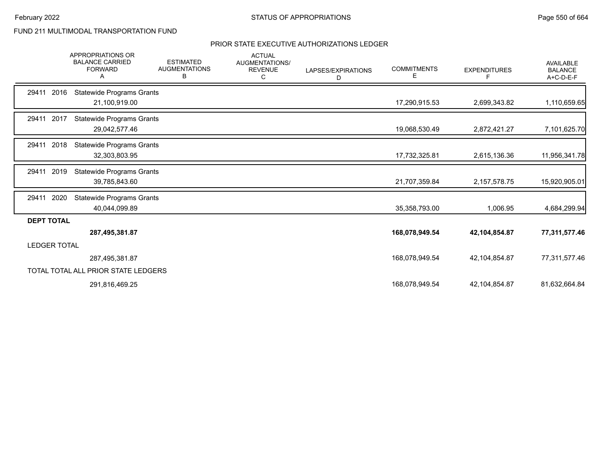|                     | <b>APPROPRIATIONS OR</b><br><b>BALANCE CARRIED</b><br><b>FORWARD</b><br>A | <b>ESTIMATED</b><br><b>AUGMENTATIONS</b><br>В | <b>ACTUAL</b><br>AUGMENTATIONS/<br><b>REVENUE</b><br>C | LAPSES/EXPIRATIONS<br>D | <b>COMMITMENTS</b><br>E | <b>EXPENDITURES</b><br>F | <b>AVAILABLE</b><br><b>BALANCE</b><br>A+C-D-E-F |
|---------------------|---------------------------------------------------------------------------|-----------------------------------------------|--------------------------------------------------------|-------------------------|-------------------------|--------------------------|-------------------------------------------------|
| 29411<br>2016       | <b>Statewide Programs Grants</b><br>21,100,919.00                         |                                               |                                                        |                         | 17,290,915.53           | 2,699,343.82             | 1,110,659.65                                    |
| 29411 2017          | <b>Statewide Programs Grants</b><br>29,042,577.46                         |                                               |                                                        |                         | 19,068,530.49           | 2,872,421.27             | 7,101,625.70                                    |
| 2018<br>29411       | <b>Statewide Programs Grants</b><br>32,303,803.95                         |                                               |                                                        |                         | 17,732,325.81           | 2,615,136.36             | 11,956,341.78                                   |
| 2019<br>29411       | <b>Statewide Programs Grants</b><br>39,785,843.60                         |                                               |                                                        |                         | 21,707,359.84           | 2, 157, 578. 75          | 15,920,905.01                                   |
| 2020<br>29411       | <b>Statewide Programs Grants</b><br>40,044,099.89                         |                                               |                                                        |                         | 35,358,793.00           | 1,006.95                 | 4,684,299.94                                    |
| <b>DEPT TOTAL</b>   | 287,495,381.87                                                            |                                               |                                                        |                         | 168,078,949.54          | 42,104,854.87            | 77,311,577.46                                   |
| <b>LEDGER TOTAL</b> |                                                                           |                                               |                                                        |                         |                         |                          |                                                 |
|                     | 287,495,381.87<br>TOTAL TOTAL ALL PRIOR STATE LEDGERS                     |                                               |                                                        |                         | 168,078,949.54          | 42,104,854.87            | 77,311,577.46                                   |
|                     | 291,816,469.25                                                            |                                               |                                                        |                         | 168,078,949.54          | 42,104,854.87            | 81,632,664.84                                   |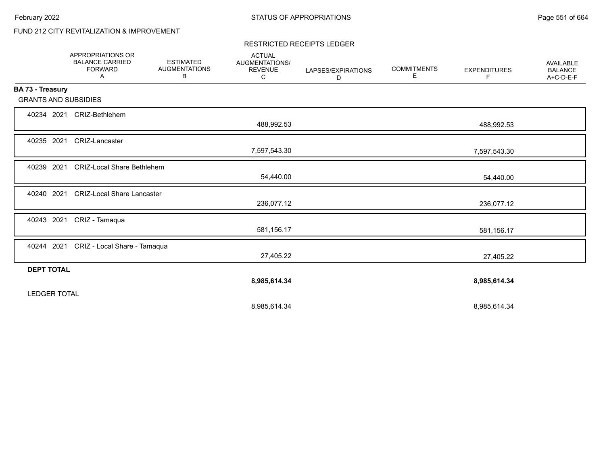# FUND 212 CITY REVITALIZATION & IMPROVEMENT

#### RESTRICTED RECEIPTS LEDGER

|                             | <b>APPROPRIATIONS OR</b><br><b>BALANCE CARRIED</b><br><b>FORWARD</b><br>Α | <b>ESTIMATED</b><br><b>AUGMENTATIONS</b><br>В | <b>ACTUAL</b><br>AUGMENTATIONS/<br><b>REVENUE</b><br>C | LAPSES/EXPIRATIONS<br>D | <b>COMMITMENTS</b><br>Е | <b>EXPENDITURES</b><br>F | <b>AVAILABLE</b><br><b>BALANCE</b><br>A+C-D-E-F |
|-----------------------------|---------------------------------------------------------------------------|-----------------------------------------------|--------------------------------------------------------|-------------------------|-------------------------|--------------------------|-------------------------------------------------|
| BA 73 - Treasury            |                                                                           |                                               |                                                        |                         |                         |                          |                                                 |
| <b>GRANTS AND SUBSIDIES</b> |                                                                           |                                               |                                                        |                         |                         |                          |                                                 |
| 40234 2021                  | CRIZ-Bethlehem                                                            |                                               |                                                        |                         |                         |                          |                                                 |
|                             |                                                                           |                                               | 488,992.53                                             |                         |                         | 488,992.53               |                                                 |
| 40235 2021                  | <b>CRIZ-Lancaster</b>                                                     |                                               |                                                        |                         |                         |                          |                                                 |
|                             |                                                                           |                                               | 7,597,543.30                                           |                         |                         | 7,597,543.30             |                                                 |
| 40239 2021                  | <b>CRIZ-Local Share Bethlehem</b>                                         |                                               |                                                        |                         |                         |                          |                                                 |
|                             |                                                                           |                                               | 54,440.00                                              |                         |                         | 54,440.00                |                                                 |
| 40240 2021                  | <b>CRIZ-Local Share Lancaster</b>                                         |                                               |                                                        |                         |                         |                          |                                                 |
|                             |                                                                           |                                               | 236,077.12                                             |                         |                         | 236,077.12               |                                                 |
| 40243 2021                  | CRIZ - Tamaqua                                                            |                                               |                                                        |                         |                         |                          |                                                 |
|                             |                                                                           |                                               | 581,156.17                                             |                         |                         | 581,156.17               |                                                 |
| 40244 2021                  | CRIZ - Local Share - Tamaqua                                              |                                               |                                                        |                         |                         |                          |                                                 |
|                             |                                                                           |                                               | 27,405.22                                              |                         |                         | 27,405.22                |                                                 |
| <b>DEPT TOTAL</b>           |                                                                           |                                               |                                                        |                         |                         |                          |                                                 |
|                             |                                                                           |                                               | 8,985,614.34                                           |                         |                         | 8,985,614.34             |                                                 |
| <b>LEDGER TOTAL</b>         |                                                                           |                                               |                                                        |                         |                         |                          |                                                 |
|                             |                                                                           |                                               | 8,985,614.34                                           |                         |                         | 8,985,614.34             |                                                 |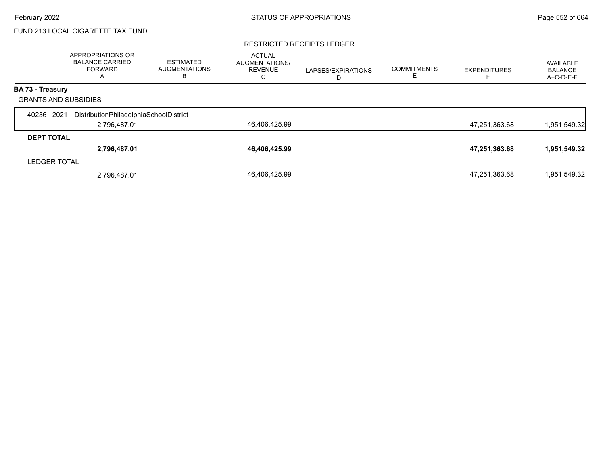# FUND 213 LOCAL CIGARETTE TAX FUND

#### RESTRICTED RECEIPTS LEDGER

|                             | APPROPRIATIONS OR<br><b>BALANCE CARRIED</b><br>FORWARD<br>A | <b>ESTIMATED</b><br><b>AUGMENTATIONS</b><br>в | <b>ACTUAL</b><br>AUGMENTATIONS/<br><b>REVENUE</b><br>◡ | LAPSES/EXPIRATIONS<br>ш | <b>COMMITMENTS</b> | <b>EXPENDITURES</b> | AVAILABLE<br><b>BALANCE</b><br>A+C-D-E-F |
|-----------------------------|-------------------------------------------------------------|-----------------------------------------------|--------------------------------------------------------|-------------------------|--------------------|---------------------|------------------------------------------|
| <b>BA 73 - Treasury</b>     |                                                             |                                               |                                                        |                         |                    |                     |                                          |
| <b>GRANTS AND SUBSIDIES</b> |                                                             |                                               |                                                        |                         |                    |                     |                                          |
| 2021<br>40236               | DistributionPhiladelphiaSchoolDistrict                      |                                               |                                                        |                         |                    |                     |                                          |
|                             | 2,796,487.01                                                |                                               | 46,406,425.99                                          |                         |                    | 47,251,363.68       | 1,951,549.32                             |
| <b>DEPT TOTAL</b>           |                                                             |                                               |                                                        |                         |                    |                     |                                          |
|                             | 2,796,487.01                                                |                                               | 46,406,425.99                                          |                         |                    | 47,251,363.68       | 1,951,549.32                             |
| <b>LEDGER TOTAL</b>         |                                                             |                                               |                                                        |                         |                    |                     |                                          |
|                             | 2,796,487.01                                                |                                               | 46,406,425.99                                          |                         |                    | 47,251,363.68       | 1,951,549.32                             |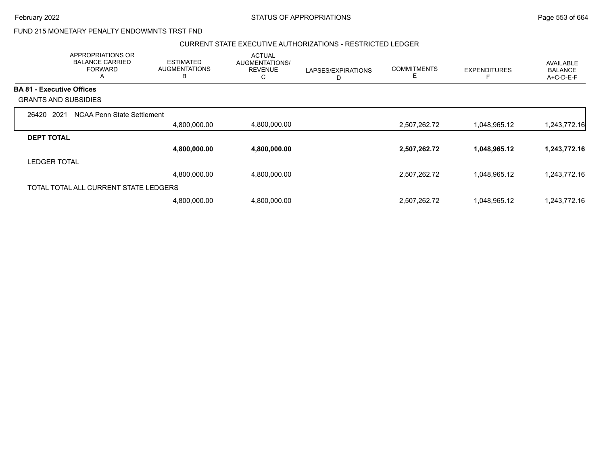February 2022 **Example 2022** Page 553 of 664

# FUND 215 MONETARY PENALTY ENDOWMNTS TRST FND

### CURRENT STATE EXECUTIVE AUTHORIZATIONS - RESTRICTED LEDGER

|                                  | APPROPRIATIONS OR<br><b>BALANCE CARRIED</b><br><b>FORWARD</b><br>A | <b>ESTIMATED</b><br><b>AUGMENTATIONS</b><br>B | <b>ACTUAL</b><br>AUGMENTATIONS/<br><b>REVENUE</b><br>С | LAPSES/EXPIRATIONS<br>D | <b>COMMITMENTS</b><br>E. | <b>EXPENDITURES</b> | AVAILABLE<br><b>BALANCE</b><br>A+C-D-E-F |
|----------------------------------|--------------------------------------------------------------------|-----------------------------------------------|--------------------------------------------------------|-------------------------|--------------------------|---------------------|------------------------------------------|
| <b>BA 81 - Executive Offices</b> |                                                                    |                                               |                                                        |                         |                          |                     |                                          |
|                                  | <b>GRANTS AND SUBSIDIES</b>                                        |                                               |                                                        |                         |                          |                     |                                          |
| 2021<br>26420                    | NCAA Penn State Settlement                                         |                                               |                                                        |                         |                          |                     |                                          |
|                                  |                                                                    | 4,800,000.00                                  | 4,800,000.00                                           |                         | 2,507,262.72             | 1,048,965.12        | 1,243,772.16                             |
| <b>DEPT TOTAL</b>                |                                                                    |                                               |                                                        |                         |                          |                     |                                          |
|                                  |                                                                    | 4,800,000.00                                  | 4,800,000.00                                           |                         | 2,507,262.72             | 1,048,965.12        | 1,243,772.16                             |
| <b>LEDGER TOTAL</b>              |                                                                    |                                               |                                                        |                         |                          |                     |                                          |
|                                  |                                                                    | 4,800,000.00                                  | 4,800,000.00                                           |                         | 2,507,262.72             | 1,048,965.12        | 1,243,772.16                             |
|                                  | TOTAL TOTAL ALL CURRENT STATE LEDGERS                              |                                               |                                                        |                         |                          |                     |                                          |
|                                  |                                                                    | 4,800,000.00                                  | 4,800,000.00                                           |                         | 2,507,262.72             | 1,048,965.12        | 1.243.772.16                             |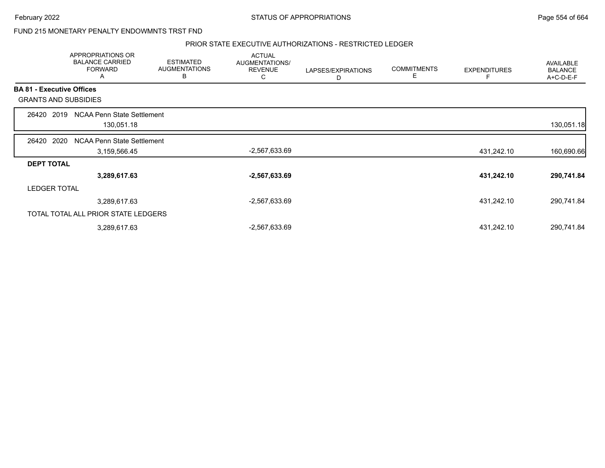February 2022 **Example 2022** Page 554 of 664

FUND 215 MONETARY PENALTY ENDOWMNTS TRST FND

### PRIOR STATE EXECUTIVE AUTHORIZATIONS - RESTRICTED LEDGER

|                                  | <b>APPROPRIATIONS OR</b><br><b>BALANCE CARRIED</b><br><b>FORWARD</b><br>A | <b>ESTIMATED</b><br><b>AUGMENTATIONS</b><br>В | <b>ACTUAL</b><br>AUGMENTATIONS/<br><b>REVENUE</b><br>С | LAPSES/EXPIRATIONS<br>D | <b>COMMITMENTS</b><br>Е | <b>EXPENDITURES</b> | AVAILABLE<br><b>BALANCE</b><br>A+C-D-E-F |
|----------------------------------|---------------------------------------------------------------------------|-----------------------------------------------|--------------------------------------------------------|-------------------------|-------------------------|---------------------|------------------------------------------|
| <b>BA 81 - Executive Offices</b> |                                                                           |                                               |                                                        |                         |                         |                     |                                          |
|                                  | <b>GRANTS AND SUBSIDIES</b>                                               |                                               |                                                        |                         |                         |                     |                                          |
| 26420                            | NCAA Penn State Settlement<br>2019                                        |                                               |                                                        |                         |                         |                     |                                          |
|                                  | 130,051.18                                                                |                                               |                                                        |                         |                         |                     | 130,051.18                               |
| 26420                            | 2020<br>NCAA Penn State Settlement                                        |                                               |                                                        |                         |                         |                     |                                          |
|                                  | 3,159,566.45                                                              |                                               | -2,567,633.69                                          |                         |                         | 431,242.10          | 160,690.66                               |
| <b>DEPT TOTAL</b>                |                                                                           |                                               |                                                        |                         |                         |                     |                                          |
|                                  | 3,289,617.63                                                              |                                               | $-2,567,633.69$                                        |                         |                         | 431,242.10          | 290,741.84                               |
| <b>LEDGER TOTAL</b>              |                                                                           |                                               |                                                        |                         |                         |                     |                                          |
|                                  | 3,289,617.63                                                              |                                               | $-2,567,633.69$                                        |                         |                         | 431,242.10          | 290,741.84                               |
|                                  | TOTAL TOTAL ALL PRIOR STATE LEDGERS                                       |                                               |                                                        |                         |                         |                     |                                          |
|                                  | 3,289,617.63                                                              |                                               | $-2,567,633.69$                                        |                         |                         | 431,242.10          | 290,741.84                               |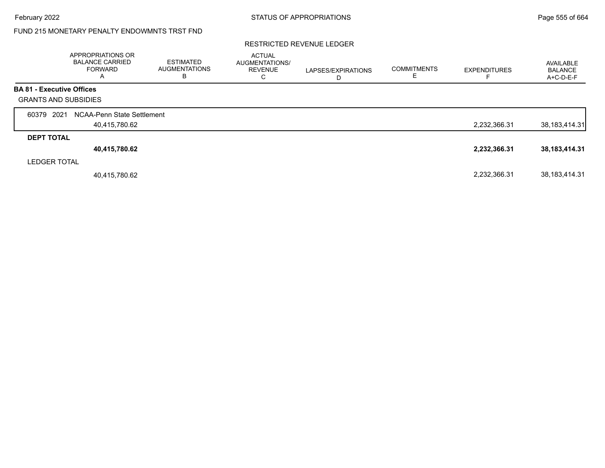# FUND 215 MONETARY PENALTY ENDOWMNTS TRST FND

### RESTRICTED REVENUE LEDGER

|                                  | APPROPRIATIONS OR<br><b>BALANCE CARRIED</b><br><b>FORWARD</b><br>A | <b>ESTIMATED</b><br><b>AUGMENTATIONS</b><br>В | <b>ACTUAL</b><br>AUGMENTATIONS/<br><b>REVENUE</b><br>◠<br>◡ | LAPSES/EXPIRATIONS | <b>COMMITMENTS</b> | <b>EXPENDITURES</b> | AVAILABLE<br><b>BALANCE</b><br>A+C-D-E-F |
|----------------------------------|--------------------------------------------------------------------|-----------------------------------------------|-------------------------------------------------------------|--------------------|--------------------|---------------------|------------------------------------------|
| <b>BA 81 - Executive Offices</b> |                                                                    |                                               |                                                             |                    |                    |                     |                                          |
| <b>GRANTS AND SUBSIDIES</b>      |                                                                    |                                               |                                                             |                    |                    |                     |                                          |
| 60379 2021                       | NCAA-Penn State Settlement                                         |                                               |                                                             |                    |                    |                     |                                          |
|                                  | 40,415,780.62                                                      |                                               |                                                             |                    |                    | 2,232,366.31        | 38,183,414.31                            |
| <b>DEPT TOTAL</b>                |                                                                    |                                               |                                                             |                    |                    |                     |                                          |
|                                  | 40,415,780.62                                                      |                                               |                                                             |                    |                    | 2,232,366.31        | 38,183,414.31                            |
| <b>LEDGER TOTAL</b>              |                                                                    |                                               |                                                             |                    |                    |                     |                                          |
|                                  | 40,415,780.62                                                      |                                               |                                                             |                    |                    | 2,232,366.31        | 38,183,414.31                            |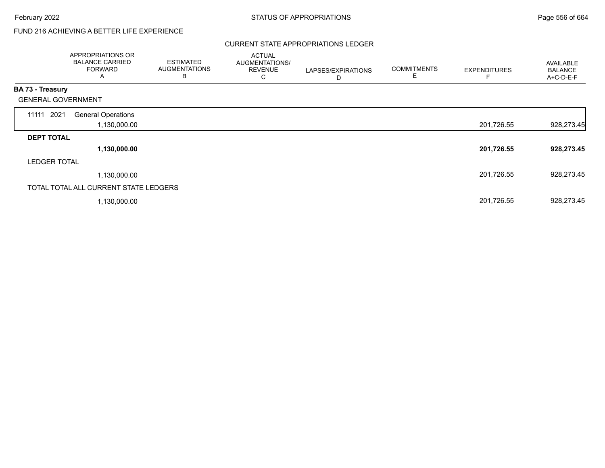# FUND 216 ACHIEVING A BETTER LIFE EXPERIENCE

### CURRENT STATE APPROPRIATIONS LEDGER

|                           | APPROPRIATIONS OR<br><b>BALANCE CARRIED</b><br><b>FORWARD</b><br>A | <b>ESTIMATED</b><br><b>AUGMENTATIONS</b><br>В | <b>ACTUAL</b><br>AUGMENTATIONS/<br><b>REVENUE</b><br>С | LAPSES/EXPIRATIONS<br>D | <b>COMMITMENTS</b><br>Ε | <b>EXPENDITURES</b> | AVAILABLE<br><b>BALANCE</b><br>A+C-D-E-F |
|---------------------------|--------------------------------------------------------------------|-----------------------------------------------|--------------------------------------------------------|-------------------------|-------------------------|---------------------|------------------------------------------|
| <b>BA 73 - Treasury</b>   |                                                                    |                                               |                                                        |                         |                         |                     |                                          |
| <b>GENERAL GOVERNMENT</b> |                                                                    |                                               |                                                        |                         |                         |                     |                                          |
| 11111 2021                | <b>General Operations</b>                                          |                                               |                                                        |                         |                         |                     |                                          |
|                           | 1,130,000.00                                                       |                                               |                                                        |                         |                         | 201,726.55          | 928,273.45                               |
| <b>DEPT TOTAL</b>         |                                                                    |                                               |                                                        |                         |                         |                     |                                          |
|                           | 1,130,000.00                                                       |                                               |                                                        |                         |                         | 201,726.55          | 928,273.45                               |
| <b>LEDGER TOTAL</b>       |                                                                    |                                               |                                                        |                         |                         |                     |                                          |
|                           | 1,130,000.00                                                       |                                               |                                                        |                         |                         | 201,726.55          | 928,273.45                               |
|                           | TOTAL TOTAL ALL CURRENT STATE LEDGERS                              |                                               |                                                        |                         |                         |                     |                                          |
|                           | 1,130,000.00                                                       |                                               |                                                        |                         |                         | 201,726.55          | 928,273.45                               |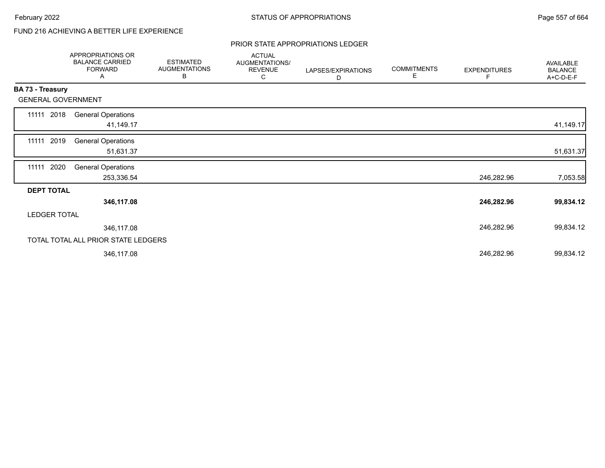# FUND 216 ACHIEVING A BETTER LIFE EXPERIENCE

### PRIOR STATE APPROPRIATIONS LEDGER

|                           | APPROPRIATIONS OR<br><b>BALANCE CARRIED</b><br><b>FORWARD</b><br>A | <b>ESTIMATED</b><br><b>AUGMENTATIONS</b><br>В | <b>ACTUAL</b><br>AUGMENTATIONS/<br><b>REVENUE</b><br>С | LAPSES/EXPIRATIONS<br>D | <b>COMMITMENTS</b><br>Е | <b>EXPENDITURES</b><br>F | <b>AVAILABLE</b><br><b>BALANCE</b><br>A+C-D-E-F |
|---------------------------|--------------------------------------------------------------------|-----------------------------------------------|--------------------------------------------------------|-------------------------|-------------------------|--------------------------|-------------------------------------------------|
| BA 73 - Treasury          |                                                                    |                                               |                                                        |                         |                         |                          |                                                 |
| <b>GENERAL GOVERNMENT</b> |                                                                    |                                               |                                                        |                         |                         |                          |                                                 |
| 2018<br>11111             | <b>General Operations</b><br>41,149.17                             |                                               |                                                        |                         |                         |                          | 41,149.17                                       |
| 2019<br>11111             | <b>General Operations</b><br>51,631.37                             |                                               |                                                        |                         |                         |                          | 51,631.37                                       |
| 2020<br>11111             | <b>General Operations</b><br>253,336.54                            |                                               |                                                        |                         |                         | 246,282.96               | 7,053.58                                        |
| <b>DEPT TOTAL</b>         |                                                                    |                                               |                                                        |                         |                         |                          |                                                 |
|                           | 346,117.08                                                         |                                               |                                                        |                         |                         | 246,282.96               | 99,834.12                                       |
| <b>LEDGER TOTAL</b>       |                                                                    |                                               |                                                        |                         |                         |                          |                                                 |
|                           | 346,117.08                                                         |                                               |                                                        |                         |                         | 246,282.96               | 99,834.12                                       |
|                           | TOTAL TOTAL ALL PRIOR STATE LEDGERS                                |                                               |                                                        |                         |                         |                          |                                                 |
|                           | 346,117.08                                                         |                                               |                                                        |                         |                         | 246,282.96               | 99,834.12                                       |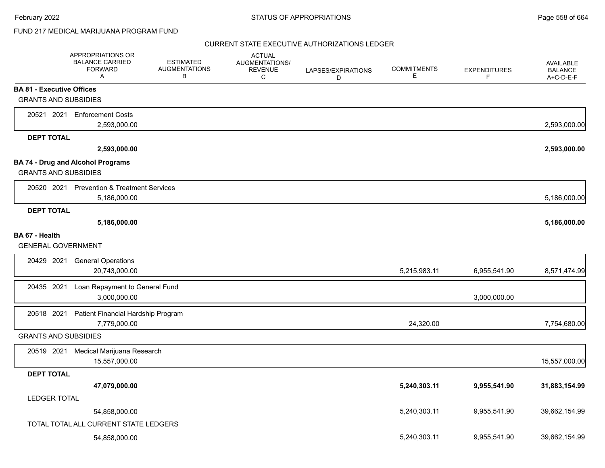# FUND 217 MEDICAL MARIJUANA PROGRAM FUND

|                                  | APPROPRIATIONS OR<br><b>BALANCE CARRIED</b><br><b>FORWARD</b><br>$\mathsf{A}$ | <b>ESTIMATED</b><br><b>AUGMENTATIONS</b><br>B | <b>ACTUAL</b><br>AUGMENTATIONS/<br><b>REVENUE</b><br>C | LAPSES/EXPIRATIONS<br>D | <b>COMMITMENTS</b><br>E | <b>EXPENDITURES</b><br>F | <b>AVAILABLE</b><br><b>BALANCE</b><br>A+C-D-E-F |
|----------------------------------|-------------------------------------------------------------------------------|-----------------------------------------------|--------------------------------------------------------|-------------------------|-------------------------|--------------------------|-------------------------------------------------|
| <b>BA 81 - Executive Offices</b> |                                                                               |                                               |                                                        |                         |                         |                          |                                                 |
| <b>GRANTS AND SUBSIDIES</b>      |                                                                               |                                               |                                                        |                         |                         |                          |                                                 |
| 20521 2021                       | <b>Enforcement Costs</b>                                                      |                                               |                                                        |                         |                         |                          |                                                 |
|                                  | 2,593,000.00                                                                  |                                               |                                                        |                         |                         |                          | 2,593,000.00                                    |
| <b>DEPT TOTAL</b>                |                                                                               |                                               |                                                        |                         |                         |                          |                                                 |
|                                  | 2,593,000.00                                                                  |                                               |                                                        |                         |                         |                          | 2,593,000.00                                    |
|                                  | <b>BA 74 - Drug and Alcohol Programs</b>                                      |                                               |                                                        |                         |                         |                          |                                                 |
| <b>GRANTS AND SUBSIDIES</b>      |                                                                               |                                               |                                                        |                         |                         |                          |                                                 |
|                                  | 20520 2021 Prevention & Treatment Services                                    |                                               |                                                        |                         |                         |                          |                                                 |
|                                  | 5,186,000.00                                                                  |                                               |                                                        |                         |                         |                          | 5,186,000.00                                    |
| <b>DEPT TOTAL</b>                |                                                                               |                                               |                                                        |                         |                         |                          |                                                 |
|                                  | 5,186,000.00                                                                  |                                               |                                                        |                         |                         |                          | 5,186,000.00                                    |
| BA 67 - Health                   |                                                                               |                                               |                                                        |                         |                         |                          |                                                 |
| <b>GENERAL GOVERNMENT</b>        |                                                                               |                                               |                                                        |                         |                         |                          |                                                 |
| 20429 2021                       | <b>General Operations</b>                                                     |                                               |                                                        |                         |                         |                          |                                                 |
|                                  | 20,743,000.00                                                                 |                                               |                                                        |                         | 5,215,983.11            | 6,955,541.90             | 8,571,474.99                                    |
| 20435 2021                       | Loan Repayment to General Fund                                                |                                               |                                                        |                         |                         |                          |                                                 |
|                                  | 3,000,000.00                                                                  |                                               |                                                        |                         |                         | 3,000,000.00             |                                                 |
| 20518 2021                       | Patient Financial Hardship Program                                            |                                               |                                                        |                         |                         |                          |                                                 |
|                                  | 7,779,000.00                                                                  |                                               |                                                        |                         | 24,320.00               |                          | 7,754,680.00                                    |
| <b>GRANTS AND SUBSIDIES</b>      |                                                                               |                                               |                                                        |                         |                         |                          |                                                 |
| 20519 2021                       | Medical Marijuana Research                                                    |                                               |                                                        |                         |                         |                          |                                                 |
|                                  | 15,557,000.00                                                                 |                                               |                                                        |                         |                         |                          | 15,557,000.00                                   |
| <b>DEPT TOTAL</b>                |                                                                               |                                               |                                                        |                         |                         |                          |                                                 |
|                                  | 47,079,000.00                                                                 |                                               |                                                        |                         | 5,240,303.11            | 9,955,541.90             | 31,883,154.99                                   |
| <b>LEDGER TOTAL</b>              |                                                                               |                                               |                                                        |                         |                         |                          |                                                 |
|                                  | 54,858,000.00                                                                 |                                               |                                                        |                         | 5,240,303.11            | 9,955,541.90             | 39,662,154.99                                   |
|                                  | TOTAL TOTAL ALL CURRENT STATE LEDGERS                                         |                                               |                                                        |                         |                         |                          |                                                 |
|                                  | 54,858,000.00                                                                 |                                               |                                                        |                         | 5,240,303.11            | 9,955,541.90             | 39,662,154.99                                   |
|                                  |                                                                               |                                               |                                                        |                         |                         |                          |                                                 |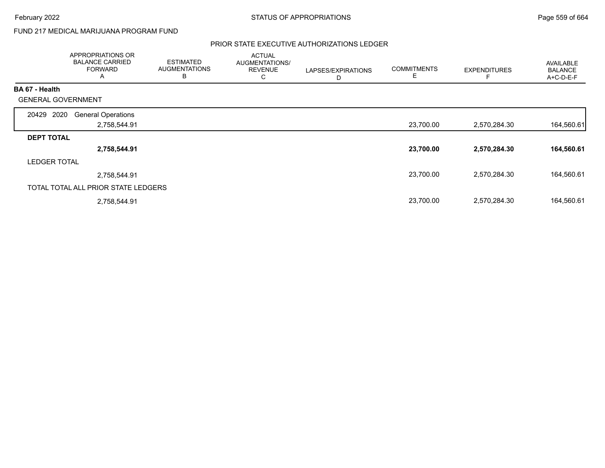# FUND 217 MEDICAL MARIJUANA PROGRAM FUND

|                           | <b>APPROPRIATIONS OR</b><br><b>BALANCE CARRIED</b><br><b>FORWARD</b><br>A | <b>ESTIMATED</b><br><b>AUGMENTATIONS</b><br>B | <b>ACTUAL</b><br>AUGMENTATIONS/<br><b>REVENUE</b><br>С | LAPSES/EXPIRATIONS<br>D | <b>COMMITMENTS</b><br>Е | <b>EXPENDITURES</b> | <b>AVAILABLE</b><br><b>BALANCE</b><br>A+C-D-E-F |
|---------------------------|---------------------------------------------------------------------------|-----------------------------------------------|--------------------------------------------------------|-------------------------|-------------------------|---------------------|-------------------------------------------------|
| <b>BA 67 - Health</b>     |                                                                           |                                               |                                                        |                         |                         |                     |                                                 |
| <b>GENERAL GOVERNMENT</b> |                                                                           |                                               |                                                        |                         |                         |                     |                                                 |
| 2020<br>20429             | <b>General Operations</b>                                                 |                                               |                                                        |                         |                         |                     |                                                 |
|                           | 2,758,544.91                                                              |                                               |                                                        |                         | 23,700.00               | 2,570,284.30        | 164,560.61                                      |
| <b>DEPT TOTAL</b>         |                                                                           |                                               |                                                        |                         |                         |                     |                                                 |
|                           | 2,758,544.91                                                              |                                               |                                                        |                         | 23,700.00               | 2,570,284.30        | 164,560.61                                      |
| <b>LEDGER TOTAL</b>       |                                                                           |                                               |                                                        |                         |                         |                     |                                                 |
|                           | 2,758,544.91                                                              |                                               |                                                        |                         | 23,700.00               | 2,570,284.30        | 164,560.61                                      |
|                           | TOTAL TOTAL ALL PRIOR STATE LEDGERS                                       |                                               |                                                        |                         |                         |                     |                                                 |
|                           | 2,758,544.91                                                              |                                               |                                                        |                         | 23,700.00               | 2,570,284.30        | 164,560.61                                      |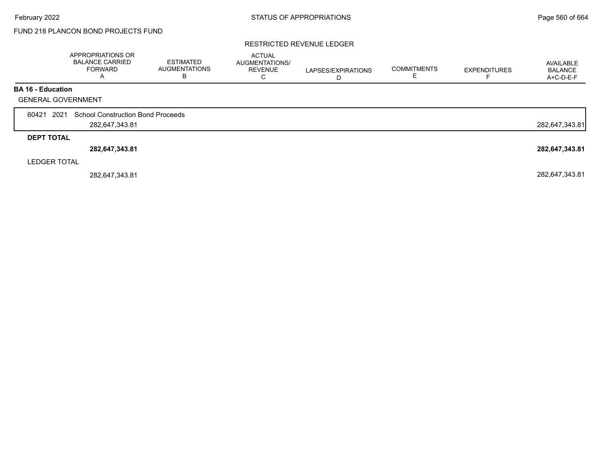# FUND 218 PLANCON BOND PROJECTS FUND

### RESTRICTED REVENUE LEDGER

|                           | APPROPRIATIONS OR<br><b>BALANCE CARRIED</b><br><b>FORWARD</b><br>$\overline{A}$ | <b>ESTIMATED</b><br><b>AUGMENTATIONS</b><br>в | <b>ACTUAL</b><br>AUGMENTATIONS/<br><b>REVENUE</b> | LAPSES/EXPIRATIONS<br>D | <b>COMMITMENTS</b> | <b>EXPENDITURES</b> | AVAILABLE<br><b>BALANCE</b><br>A+C-D-E-F |
|---------------------------|---------------------------------------------------------------------------------|-----------------------------------------------|---------------------------------------------------|-------------------------|--------------------|---------------------|------------------------------------------|
| <b>BA 16 - Education</b>  |                                                                                 |                                               |                                                   |                         |                    |                     |                                          |
| <b>GENERAL GOVERNMENT</b> |                                                                                 |                                               |                                                   |                         |                    |                     |                                          |
| 2021<br>60421             | <b>School Construction Bond Proceeds</b>                                        |                                               |                                                   |                         |                    |                     |                                          |
|                           | 282,647,343.81                                                                  |                                               |                                                   |                         |                    |                     | 282,647,343.81                           |
| <b>DEPT TOTAL</b>         |                                                                                 |                                               |                                                   |                         |                    |                     |                                          |
|                           | 282,647,343.81                                                                  |                                               |                                                   |                         |                    |                     | 282,647,343.81                           |
| <b>LEDGER TOTAL</b>       |                                                                                 |                                               |                                                   |                         |                    |                     |                                          |
|                           | 282,647,343.81                                                                  |                                               |                                                   |                         |                    |                     | 282,647,343.81                           |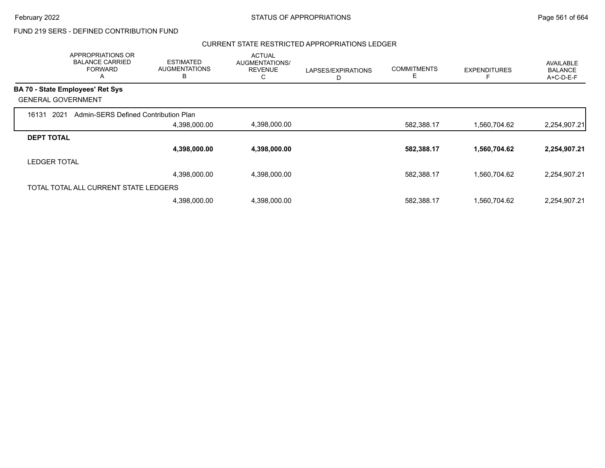#### CURRENT STATE RESTRICTED APPROPRIATIONS LEDGER

|                           | APPROPRIATIONS OR<br><b>BALANCE CARRIED</b><br><b>FORWARD</b><br>A | <b>ESTIMATED</b><br><b>AUGMENTATIONS</b><br>B | <b>ACTUAL</b><br>AUGMENTATIONS/<br><b>REVENUE</b><br>С | LAPSES/EXPIRATIONS<br>D | <b>COMMITMENTS</b><br>Ε | <b>EXPENDITURES</b> | AVAILABLE<br><b>BALANCE</b><br>A+C-D-E-F |
|---------------------------|--------------------------------------------------------------------|-----------------------------------------------|--------------------------------------------------------|-------------------------|-------------------------|---------------------|------------------------------------------|
|                           | <b>BA 70 - State Employees' Ret Sys</b>                            |                                               |                                                        |                         |                         |                     |                                          |
| <b>GENERAL GOVERNMENT</b> |                                                                    |                                               |                                                        |                         |                         |                     |                                          |
| 2021<br>16131             | Admin-SERS Defined Contribution Plan                               |                                               |                                                        |                         |                         |                     |                                          |
|                           |                                                                    | 4,398,000.00                                  | 4,398,000.00                                           |                         | 582,388.17              | 1,560,704.62        | 2,254,907.21                             |
| <b>DEPT TOTAL</b>         |                                                                    |                                               |                                                        |                         |                         |                     |                                          |
|                           |                                                                    | 4,398,000.00                                  | 4,398,000.00                                           |                         | 582,388.17              | 1,560,704.62        | 2,254,907.21                             |
| <b>LEDGER TOTAL</b>       |                                                                    |                                               |                                                        |                         |                         |                     |                                          |
|                           |                                                                    | 4,398,000.00                                  | 4,398,000.00                                           |                         | 582,388.17              | 1,560,704.62        | 2,254,907.21                             |
|                           | TOTAL TOTAL ALL CURRENT STATE LEDGERS                              |                                               |                                                        |                         |                         |                     |                                          |
|                           |                                                                    | 4,398,000.00                                  | 4,398,000.00                                           |                         | 582,388.17              | 1,560,704.62        | 2,254,907.21                             |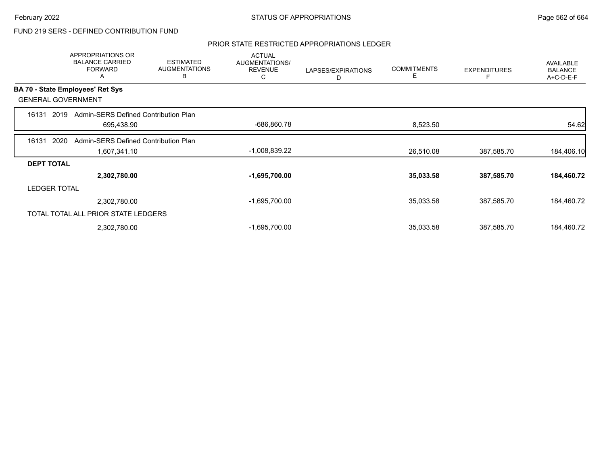### PRIOR STATE RESTRICTED APPROPRIATIONS LEDGER

|                     | <b>APPROPRIATIONS OR</b><br><b>BALANCE CARRIED</b><br><b>FORWARD</b><br>A | <b>ESTIMATED</b><br><b>AUGMENTATIONS</b><br>в | <b>ACTUAL</b><br>AUGMENTATIONS/<br><b>REVENUE</b><br>С | LAPSES/EXPIRATIONS<br>D | <b>COMMITMENTS</b><br>Е | <b>EXPENDITURES</b> | AVAILABLE<br><b>BALANCE</b><br>A+C-D-E-F |
|---------------------|---------------------------------------------------------------------------|-----------------------------------------------|--------------------------------------------------------|-------------------------|-------------------------|---------------------|------------------------------------------|
|                     | BA 70 - State Employees' Ret Sys                                          |                                               |                                                        |                         |                         |                     |                                          |
|                     | <b>GENERAL GOVERNMENT</b>                                                 |                                               |                                                        |                         |                         |                     |                                          |
| 16131               | Admin-SERS Defined Contribution Plan<br>2019                              |                                               |                                                        |                         |                         |                     |                                          |
|                     | 695,438.90                                                                |                                               | -686,860.78                                            |                         | 8,523.50                |                     | 54.62                                    |
| 16131               | 2020<br>Admin-SERS Defined Contribution Plan                              |                                               |                                                        |                         |                         |                     |                                          |
|                     | 1,607,341.10                                                              |                                               | $-1,008,839.22$                                        |                         | 26,510.08               | 387,585.70          | 184,406.10                               |
| <b>DEPT TOTAL</b>   |                                                                           |                                               |                                                        |                         |                         |                     |                                          |
|                     | 2,302,780.00                                                              |                                               | $-1,695,700.00$                                        |                         | 35,033.58               | 387,585.70          | 184,460.72                               |
| <b>LEDGER TOTAL</b> |                                                                           |                                               |                                                        |                         |                         |                     |                                          |
|                     | 2,302,780.00                                                              |                                               | $-1,695,700.00$                                        |                         | 35,033.58               | 387,585.70          | 184,460.72                               |
|                     | TOTAL TOTAL ALL PRIOR STATE LEDGERS                                       |                                               |                                                        |                         |                         |                     |                                          |
|                     | 2,302,780.00                                                              |                                               | $-1,695,700.00$                                        |                         | 35,033.58               | 387,585.70          | 184,460.72                               |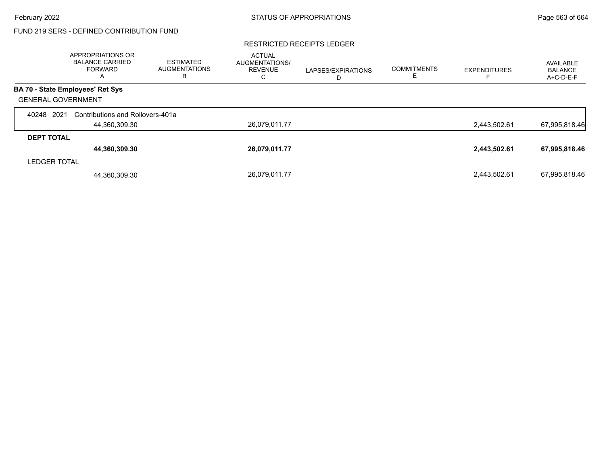### RESTRICTED RECEIPTS LEDGER

|                           | <b>APPROPRIATIONS OR</b><br><b>BALANCE CARRIED</b><br><b>FORWARD</b><br>A | <b>ESTIMATED</b><br><b>AUGMENTATIONS</b><br>в | <b>ACTUAL</b><br><b>AUGMENTATIONS/</b><br><b>REVENUE</b><br>С | LAPSES/EXPIRATIONS<br>D | <b>COMMITMENTS</b> | <b>EXPENDITURES</b> | AVAILABLE<br><b>BALANCE</b><br>A+C-D-E-F |
|---------------------------|---------------------------------------------------------------------------|-----------------------------------------------|---------------------------------------------------------------|-------------------------|--------------------|---------------------|------------------------------------------|
|                           | BA 70 - State Employees' Ret Sys                                          |                                               |                                                               |                         |                    |                     |                                          |
| <b>GENERAL GOVERNMENT</b> |                                                                           |                                               |                                                               |                         |                    |                     |                                          |
| 2021<br>40248             | Contributions and Rollovers-401a                                          |                                               |                                                               |                         |                    |                     |                                          |
|                           | 44,360,309.30                                                             |                                               | 26,079,011.77                                                 |                         |                    | 2,443,502.61        | 67,995,818.46                            |
| <b>DEPT TOTAL</b>         |                                                                           |                                               |                                                               |                         |                    |                     |                                          |
|                           | 44,360,309.30                                                             |                                               | 26,079,011.77                                                 |                         |                    | 2,443,502.61        | 67,995,818.46                            |
| <b>LEDGER TOTAL</b>       |                                                                           |                                               |                                                               |                         |                    |                     |                                          |
|                           | 44,360,309.30                                                             |                                               | 26,079,011.77                                                 |                         |                    | 2.443.502.61        | 67,995,818.46                            |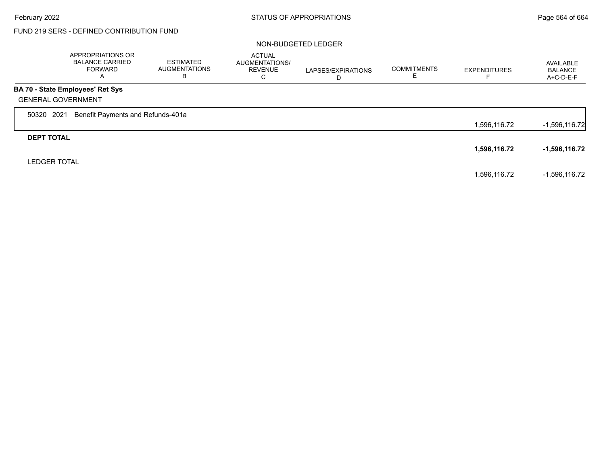$\Gamma$ 

# FUND 219 SERS - DEFINED CONTRIBUTION FUND

### NON-BUDGETED LEDGER

|                           | APPROPRIATIONS OR<br><b>BALANCE CARRIED</b><br>FORWARD<br>A | <b>ESTIMATED</b><br><b>AUGMENTATIONS</b><br>в | <b>ACTUAL</b><br>AUGMENTATIONS/<br><b>REVENUE</b><br>C | LAPSES/EXPIRATIONS<br>D | <b>COMMITMENTS</b><br>Е | <b>EXPENDITURES</b> | AVAILABLE<br><b>BALANCE</b><br>A+C-D-E-F |
|---------------------------|-------------------------------------------------------------|-----------------------------------------------|--------------------------------------------------------|-------------------------|-------------------------|---------------------|------------------------------------------|
|                           | <b>BA 70 - State Employees' Ret Sys</b>                     |                                               |                                                        |                         |                         |                     |                                          |
| <b>GENERAL GOVERNMENT</b> |                                                             |                                               |                                                        |                         |                         |                     |                                          |
| 2021<br>50320             | Benefit Payments and Refunds-401a                           |                                               |                                                        |                         |                         |                     |                                          |
|                           |                                                             |                                               |                                                        |                         |                         | 1,596,116.72        | $-1,596,116.72$                          |
| <b>DEPT TOTAL</b>         |                                                             |                                               |                                                        |                         |                         |                     |                                          |
|                           |                                                             |                                               |                                                        |                         |                         | 1,596,116.72        | $-1,596,116.72$                          |
| <b>LEDGER TOTAL</b>       |                                                             |                                               |                                                        |                         |                         |                     |                                          |
|                           |                                                             |                                               |                                                        |                         |                         | 1,596,116.72        | -1,596,116.72                            |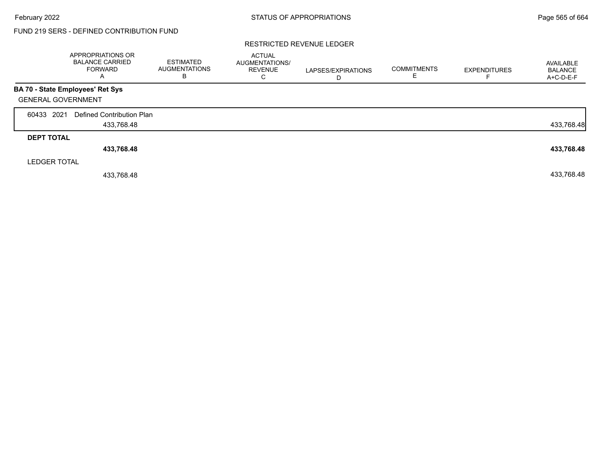### RESTRICTED REVENUE LEDGER

|                     | APPROPRIATIONS OR<br><b>BALANCE CARRIED</b><br><b>FORWARD</b><br>A | <b>ESTIMATED</b><br><b>AUGMENTATIONS</b><br>в | <b>ACTUAL</b><br><b>AUGMENTATIONS/</b><br><b>REVENUE</b><br>C | LAPSES/EXPIRATIONS<br>D | <b>COMMITMENTS</b> | <b>EXPENDITURES</b> | AVAILABLE<br><b>BALANCE</b><br>A+C-D-E-F |
|---------------------|--------------------------------------------------------------------|-----------------------------------------------|---------------------------------------------------------------|-------------------------|--------------------|---------------------|------------------------------------------|
|                     | BA 70 - State Employees' Ret Sys                                   |                                               |                                                               |                         |                    |                     |                                          |
|                     | <b>GENERAL GOVERNMENT</b>                                          |                                               |                                                               |                         |                    |                     |                                          |
| 60433 2021          | Defined Contribution Plan                                          |                                               |                                                               |                         |                    |                     |                                          |
|                     | 433,768.48                                                         |                                               |                                                               |                         |                    |                     | 433,768.48                               |
| <b>DEPT TOTAL</b>   |                                                                    |                                               |                                                               |                         |                    |                     |                                          |
|                     | 433,768.48                                                         |                                               |                                                               |                         |                    |                     | 433,768.48                               |
| <b>LEDGER TOTAL</b> |                                                                    |                                               |                                                               |                         |                    |                     |                                          |
|                     | 433.768.48                                                         |                                               |                                                               |                         |                    |                     | 433,768.48                               |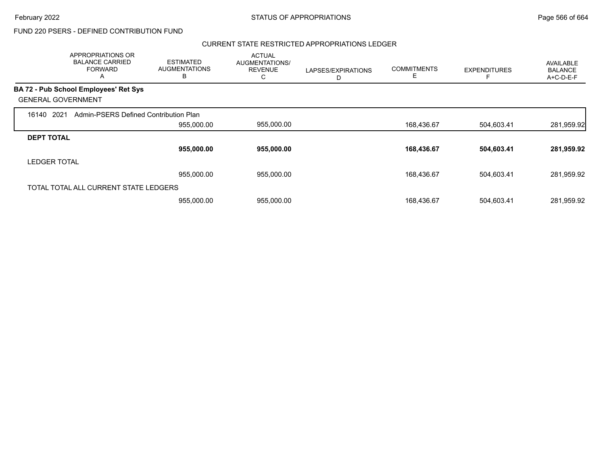### CURRENT STATE RESTRICTED APPROPRIATIONS LEDGER

|                     | APPROPRIATIONS OR<br><b>BALANCE CARRIED</b><br><b>FORWARD</b><br>A | <b>ESTIMATED</b><br><b>AUGMENTATIONS</b><br>B | <b>ACTUAL</b><br>AUGMENTATIONS/<br><b>REVENUE</b><br>С | LAPSES/EXPIRATIONS<br>D | <b>COMMITMENTS</b><br>Е | <b>EXPENDITURES</b> | AVAILABLE<br><b>BALANCE</b><br>A+C-D-E-F |
|---------------------|--------------------------------------------------------------------|-----------------------------------------------|--------------------------------------------------------|-------------------------|-------------------------|---------------------|------------------------------------------|
|                     | <b>BA 72 - Pub School Employees' Ret Sys</b>                       |                                               |                                                        |                         |                         |                     |                                          |
|                     | <b>GENERAL GOVERNMENT</b>                                          |                                               |                                                        |                         |                         |                     |                                          |
| 16140               | 2021<br>Admin-PSERS Defined Contribution Plan                      |                                               |                                                        |                         |                         |                     |                                          |
|                     |                                                                    | 955,000.00                                    | 955,000.00                                             |                         | 168,436.67              | 504,603.41          | 281,959.92                               |
| <b>DEPT TOTAL</b>   |                                                                    |                                               |                                                        |                         |                         |                     |                                          |
|                     |                                                                    | 955,000.00                                    | 955,000.00                                             |                         | 168,436.67              | 504,603.41          | 281,959.92                               |
| <b>LEDGER TOTAL</b> |                                                                    |                                               |                                                        |                         |                         |                     |                                          |
|                     |                                                                    | 955,000.00                                    | 955,000.00                                             |                         | 168,436.67              | 504,603.41          | 281,959.92                               |
|                     | TOTAL TOTAL ALL CURRENT STATE LEDGERS                              |                                               |                                                        |                         |                         |                     |                                          |
|                     |                                                                    | 955,000.00                                    | 955,000.00                                             |                         | 168.436.67              | 504,603.41          | 281,959.92                               |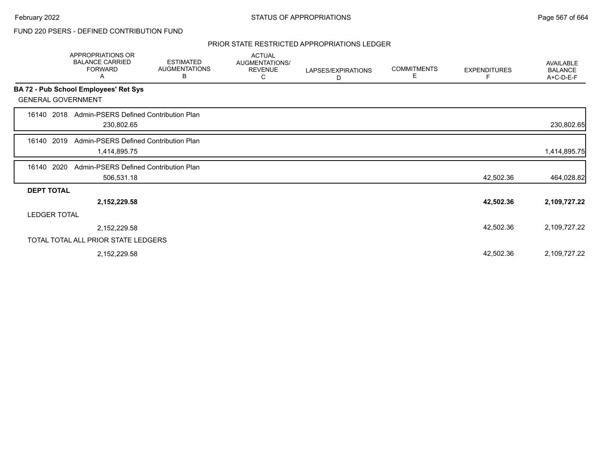### PRIOR STATE RESTRICTED APPROPRIATIONS LEDGER

|                           | APPROPRIATIONS OR<br><b>BALANCE CARRIED</b><br><b>FORWARD</b><br>Α | <b>ESTIMATED</b><br><b>AUGMENTATIONS</b><br>В | <b>ACTUAL</b><br>AUGMENTATIONS/<br><b>REVENUE</b><br>С | LAPSES/EXPIRATIONS<br>D | <b>COMMITMENTS</b><br>Е | <b>EXPENDITURES</b><br>F | AVAILABLE<br><b>BALANCE</b><br>A+C-D-E-F |
|---------------------------|--------------------------------------------------------------------|-----------------------------------------------|--------------------------------------------------------|-------------------------|-------------------------|--------------------------|------------------------------------------|
|                           | BA 72 - Pub School Employees' Ret Sys                              |                                               |                                                        |                         |                         |                          |                                          |
| <b>GENERAL GOVERNMENT</b> |                                                                    |                                               |                                                        |                         |                         |                          |                                          |
| 16140 2018                | Admin-PSERS Defined Contribution Plan<br>230,802.65                |                                               |                                                        |                         |                         |                          | 230,802.65                               |
| 16140 2019                | Admin-PSERS Defined Contribution Plan<br>1,414,895.75              |                                               |                                                        |                         |                         |                          | 1,414,895.75                             |
| 2020<br>16140             | Admin-PSERS Defined Contribution Plan<br>506,531.18                |                                               |                                                        |                         |                         | 42,502.36                | 464,028.82                               |
| <b>DEPT TOTAL</b>         |                                                                    |                                               |                                                        |                         |                         |                          |                                          |
|                           | 2,152,229.58                                                       |                                               |                                                        |                         |                         | 42,502.36                | 2,109,727.22                             |
| <b>LEDGER TOTAL</b>       |                                                                    |                                               |                                                        |                         |                         |                          |                                          |
|                           | 2,152,229.58                                                       |                                               |                                                        |                         |                         | 42,502.36                | 2,109,727.22                             |
|                           | TOTAL TOTAL ALL PRIOR STATE LEDGERS                                |                                               |                                                        |                         |                         |                          |                                          |
|                           | 2,152,229.58                                                       |                                               |                                                        |                         |                         | 42,502.36                | 2,109,727.22                             |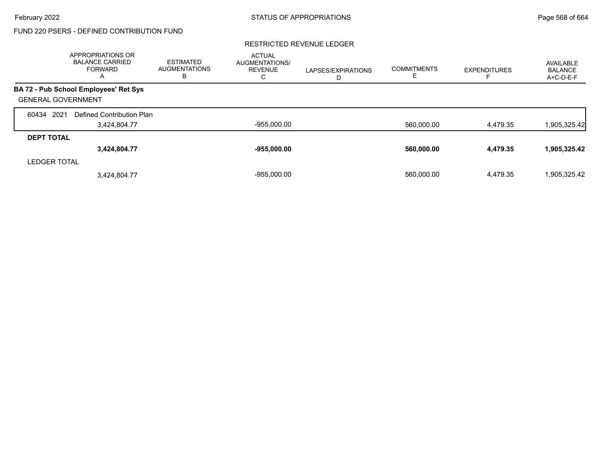### RESTRICTED REVENUE LEDGER

|                           | APPROPRIATIONS OR<br><b>BALANCE CARRIED</b><br><b>FORWARD</b><br>A | <b>ESTIMATED</b><br><b>AUGMENTATIONS</b><br>в | <b>ACTUAL</b><br><b>AUGMENTATIONS/</b><br><b>REVENUE</b><br>С | LAPSES/EXPIRATIONS<br>D | <b>COMMITMENTS</b> | <b>EXPENDITURES</b> | AVAILABLE<br>BALANCE<br>A+C-D-E-F |
|---------------------------|--------------------------------------------------------------------|-----------------------------------------------|---------------------------------------------------------------|-------------------------|--------------------|---------------------|-----------------------------------|
|                           | BA 72 - Pub School Employees' Ret Sys                              |                                               |                                                               |                         |                    |                     |                                   |
| <b>GENERAL GOVERNMENT</b> |                                                                    |                                               |                                                               |                         |                    |                     |                                   |
| 2021<br>60434             | Defined Contribution Plan                                          |                                               |                                                               |                         |                    |                     |                                   |
|                           | 3,424,804.77                                                       |                                               | $-955,000.00$                                                 |                         | 560,000.00         | 4,479.35            | 1,905,325.42                      |
| <b>DEPT TOTAL</b>         |                                                                    |                                               |                                                               |                         |                    |                     |                                   |
|                           | 3,424,804.77                                                       |                                               | $-955,000.00$                                                 |                         | 560,000.00         | 4,479.35            | 1,905,325.42                      |
| <b>LEDGER TOTAL</b>       |                                                                    |                                               |                                                               |                         |                    |                     |                                   |
|                           | 3.424.804.77                                                       |                                               | $-955.000.00$                                                 |                         | 560.000.00         | 4.479.35            | 1,905,325.42                      |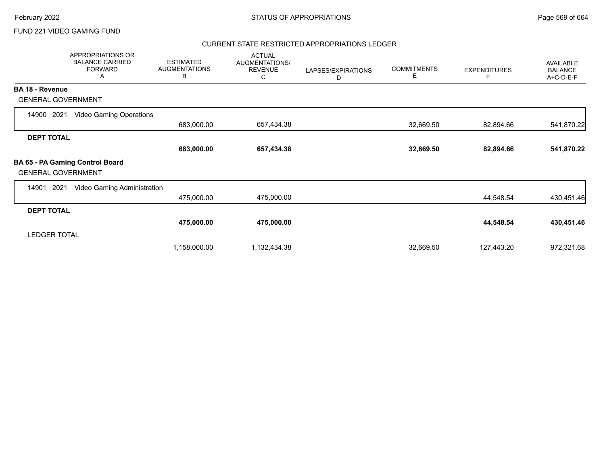### CURRENT STATE RESTRICTED APPROPRIATIONS LEDGER

|                           | <b>APPROPRIATIONS OR</b><br><b>BALANCE CARRIED</b><br><b>FORWARD</b><br>Α | <b>ESTIMATED</b><br><b>AUGMENTATIONS</b><br>В | <b>ACTUAL</b><br>AUGMENTATIONS/<br><b>REVENUE</b><br>С | LAPSES/EXPIRATIONS<br>D | <b>COMMITMENTS</b><br>Е | <b>EXPENDITURES</b> | AVAILABLE<br><b>BALANCE</b><br>A+C-D-E-F |
|---------------------------|---------------------------------------------------------------------------|-----------------------------------------------|--------------------------------------------------------|-------------------------|-------------------------|---------------------|------------------------------------------|
| <b>BA 18 - Revenue</b>    |                                                                           |                                               |                                                        |                         |                         |                     |                                          |
| <b>GENERAL GOVERNMENT</b> |                                                                           |                                               |                                                        |                         |                         |                     |                                          |
| 2021<br>14900             | <b>Video Gaming Operations</b>                                            |                                               |                                                        |                         |                         |                     |                                          |
|                           |                                                                           | 683,000.00                                    | 657,434.38                                             |                         | 32,669.50               | 82,894.66           | 541,870.22                               |
| <b>DEPT TOTAL</b>         |                                                                           |                                               |                                                        |                         |                         |                     |                                          |
|                           |                                                                           | 683,000.00                                    | 657,434.38                                             |                         | 32,669.50               | 82,894.66           | 541,870.22                               |
| <b>GENERAL GOVERNMENT</b> | BA 65 - PA Gaming Control Board                                           |                                               |                                                        |                         |                         |                     |                                          |
| 2021<br>14901             | Video Gaming Administration                                               |                                               |                                                        |                         |                         |                     |                                          |
|                           |                                                                           | 475,000.00                                    | 475,000.00                                             |                         |                         | 44,548.54           | 430,451.46                               |
| <b>DEPT TOTAL</b>         |                                                                           |                                               |                                                        |                         |                         |                     |                                          |
|                           |                                                                           | 475,000.00                                    | 475,000.00                                             |                         |                         | 44,548.54           | 430,451.46                               |
| <b>LEDGER TOTAL</b>       |                                                                           |                                               |                                                        |                         |                         |                     |                                          |
|                           |                                                                           | 1,158,000.00                                  | 1,132,434.38                                           |                         | 32,669.50               | 127,443.20          | 972,321.68                               |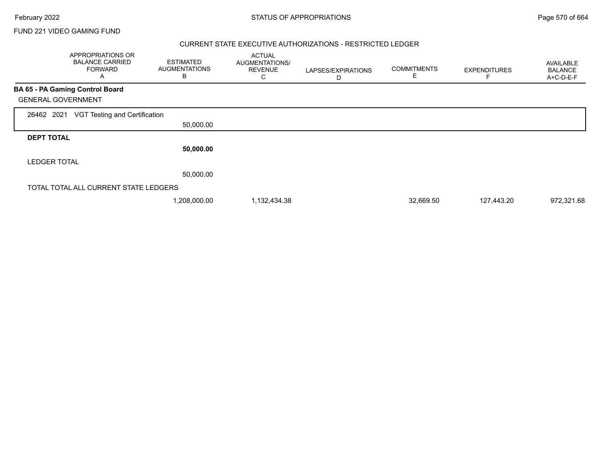Г

FUND 221 VIDEO GAMING FUND

### CURRENT STATE EXECUTIVE AUTHORIZATIONS - RESTRICTED LEDGER

|                     | APPROPRIATIONS OR<br><b>BALANCE CARRIED</b><br><b>FORWARD</b><br>Α | <b>ESTIMATED</b><br><b>AUGMENTATIONS</b><br>B | <b>ACTUAL</b><br>AUGMENTATIONS/<br><b>REVENUE</b><br>С | LAPSES/EXPIRATIONS<br>D | <b>COMMITMENTS</b><br>Ε | <b>EXPENDITURES</b> | AVAILABLE<br><b>BALANCE</b><br>A+C-D-E-F |
|---------------------|--------------------------------------------------------------------|-----------------------------------------------|--------------------------------------------------------|-------------------------|-------------------------|---------------------|------------------------------------------|
|                     | <b>BA 65 - PA Gaming Control Board</b>                             |                                               |                                                        |                         |                         |                     |                                          |
|                     | <b>GENERAL GOVERNMENT</b>                                          |                                               |                                                        |                         |                         |                     |                                          |
| 26462 2021          | VGT Testing and Certification                                      |                                               |                                                        |                         |                         |                     |                                          |
|                     |                                                                    | 50,000.00                                     |                                                        |                         |                         |                     |                                          |
| <b>DEPT TOTAL</b>   |                                                                    |                                               |                                                        |                         |                         |                     |                                          |
|                     |                                                                    | 50,000.00                                     |                                                        |                         |                         |                     |                                          |
| <b>LEDGER TOTAL</b> |                                                                    |                                               |                                                        |                         |                         |                     |                                          |
|                     |                                                                    | 50,000.00                                     |                                                        |                         |                         |                     |                                          |
|                     | TOTAL TOTAL ALL CURRENT STATE LEDGERS                              |                                               |                                                        |                         |                         |                     |                                          |
|                     |                                                                    | 1,208,000.00                                  | 1,132,434.38                                           |                         | 32,669.50               | 127,443.20          | 972,321.68                               |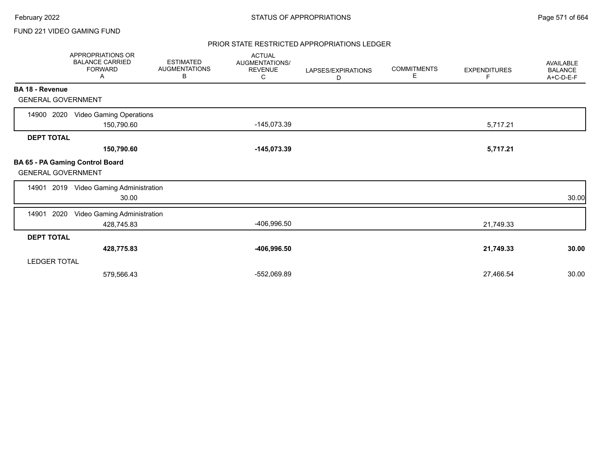### PRIOR STATE RESTRICTED APPROPRIATIONS LEDGER

|                           | <b>APPROPRIATIONS OR</b><br><b>BALANCE CARRIED</b><br><b>FORWARD</b><br>A | <b>ESTIMATED</b><br><b>AUGMENTATIONS</b><br>В | <b>ACTUAL</b><br>AUGMENTATIONS/<br><b>REVENUE</b><br>C | LAPSES/EXPIRATIONS<br>D | <b>COMMITMENTS</b><br>Е | <b>EXPENDITURES</b><br>F | <b>AVAILABLE</b><br><b>BALANCE</b><br>A+C-D-E-F |
|---------------------------|---------------------------------------------------------------------------|-----------------------------------------------|--------------------------------------------------------|-------------------------|-------------------------|--------------------------|-------------------------------------------------|
| BA 18 - Revenue           |                                                                           |                                               |                                                        |                         |                         |                          |                                                 |
| <b>GENERAL GOVERNMENT</b> |                                                                           |                                               |                                                        |                         |                         |                          |                                                 |
| 14900 2020                | <b>Video Gaming Operations</b><br>150,790.60                              |                                               | -145,073.39                                            |                         |                         | 5,717.21                 |                                                 |
| <b>DEPT TOTAL</b>         |                                                                           |                                               |                                                        |                         |                         |                          |                                                 |
|                           | 150,790.60                                                                |                                               | $-145,073.39$                                          |                         |                         | 5,717.21                 |                                                 |
| <b>GENERAL GOVERNMENT</b> | <b>BA 65 - PA Gaming Control Board</b>                                    |                                               |                                                        |                         |                         |                          |                                                 |
| 14901                     | 2019 Video Gaming Administration<br>30.00                                 |                                               |                                                        |                         |                         |                          | 30.00                                           |
| 2020<br>14901             | Video Gaming Administration<br>428,745.83                                 |                                               | -406,996.50                                            |                         |                         | 21,749.33                |                                                 |
| <b>DEPT TOTAL</b>         |                                                                           |                                               |                                                        |                         |                         |                          |                                                 |
|                           | 428,775.83                                                                |                                               | -406,996.50                                            |                         |                         | 21,749.33                | 30.00                                           |
| <b>LEDGER TOTAL</b>       |                                                                           |                                               |                                                        |                         |                         |                          |                                                 |
|                           | 579,566.43                                                                |                                               | -552,069.89                                            |                         |                         | 27,466.54                | 30.00                                           |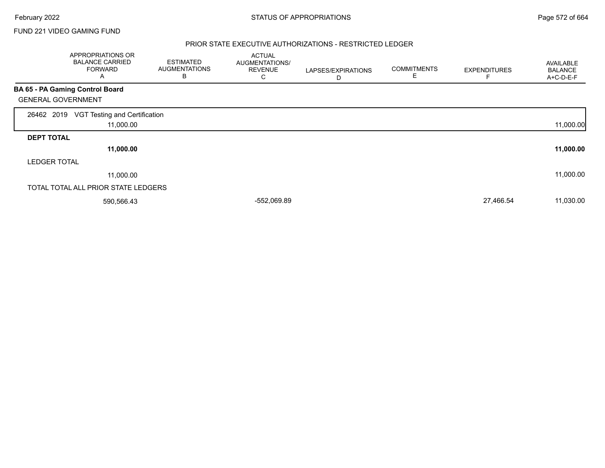### PRIOR STATE EXECUTIVE AUTHORIZATIONS - RESTRICTED LEDGER

|                     | APPROPRIATIONS OR<br><b>BALANCE CARRIED</b><br><b>FORWARD</b><br>A | <b>ESTIMATED</b><br><b>AUGMENTATIONS</b><br>B | <b>ACTUAL</b><br>AUGMENTATIONS/<br><b>REVENUE</b><br>С | LAPSES/EXPIRATIONS<br>D | <b>COMMITMENTS</b><br>E | <b>EXPENDITURES</b> | <b>AVAILABLE</b><br><b>BALANCE</b><br>A+C-D-E-F |
|---------------------|--------------------------------------------------------------------|-----------------------------------------------|--------------------------------------------------------|-------------------------|-------------------------|---------------------|-------------------------------------------------|
|                     | <b>BA 65 - PA Gaming Control Board</b>                             |                                               |                                                        |                         |                         |                     |                                                 |
|                     | <b>GENERAL GOVERNMENT</b>                                          |                                               |                                                        |                         |                         |                     |                                                 |
| 26462 2019          | VGT Testing and Certification<br>11,000.00                         |                                               |                                                        |                         |                         |                     | 11,000.00                                       |
| <b>DEPT TOTAL</b>   |                                                                    |                                               |                                                        |                         |                         |                     |                                                 |
|                     | 11,000.00                                                          |                                               |                                                        |                         |                         |                     | 11,000.00                                       |
| <b>LEDGER TOTAL</b> |                                                                    |                                               |                                                        |                         |                         |                     |                                                 |
|                     | 11,000.00                                                          |                                               |                                                        |                         |                         |                     | 11,000.00                                       |
|                     | TOTAL TOTAL ALL PRIOR STATE LEDGERS                                |                                               |                                                        |                         |                         |                     |                                                 |
|                     | 590,566.43                                                         |                                               | -552,069.89                                            |                         |                         | 27,466.54           | 11,030.00                                       |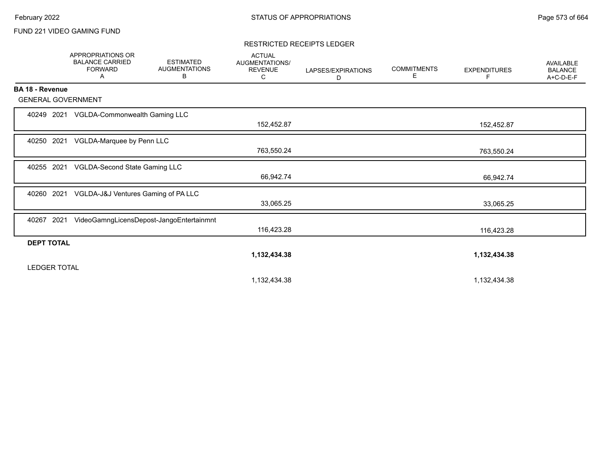### RESTRICTED RECEIPTS LEDGER

|                     | <b>APPROPRIATIONS OR</b><br><b>BALANCE CARRIED</b><br><b>FORWARD</b><br>Α | <b>ESTIMATED</b><br><b>AUGMENTATIONS</b><br>В | <b>ACTUAL</b><br>AUGMENTATIONS/<br><b>REVENUE</b><br>С | LAPSES/EXPIRATIONS<br>D | <b>COMMITMENTS</b><br>Е | <b>EXPENDITURES</b><br>F | <b>AVAILABLE</b><br><b>BALANCE</b><br>A+C-D-E-F |
|---------------------|---------------------------------------------------------------------------|-----------------------------------------------|--------------------------------------------------------|-------------------------|-------------------------|--------------------------|-------------------------------------------------|
| BA 18 - Revenue     |                                                                           |                                               |                                                        |                         |                         |                          |                                                 |
|                     | <b>GENERAL GOVERNMENT</b>                                                 |                                               |                                                        |                         |                         |                          |                                                 |
| 40249 2021          | VGLDA-Commonwealth Gaming LLC                                             |                                               | 152,452.87                                             |                         |                         | 152,452.87               |                                                 |
| 40250 2021          | VGLDA-Marquee by Penn LLC                                                 |                                               | 763,550.24                                             |                         |                         | 763,550.24               |                                                 |
| 40255               | VGLDA-Second State Gaming LLC<br>2021                                     |                                               | 66,942.74                                              |                         |                         | 66,942.74                |                                                 |
| 40260               | 2021<br>VGLDA-J&J Ventures Gaming of PA LLC                               |                                               | 33,065.25                                              |                         |                         | 33,065.25                |                                                 |
| 40267               | 2021                                                                      | VideoGamngLicensDepost-JangoEntertainmnt      | 116,423.28                                             |                         |                         | 116,423.28               |                                                 |
| <b>DEPT TOTAL</b>   |                                                                           |                                               |                                                        |                         |                         |                          |                                                 |
| <b>LEDGER TOTAL</b> |                                                                           |                                               | 1,132,434.38                                           |                         |                         | 1,132,434.38             |                                                 |
|                     |                                                                           |                                               | 1,132,434.38                                           |                         |                         | 1,132,434.38             |                                                 |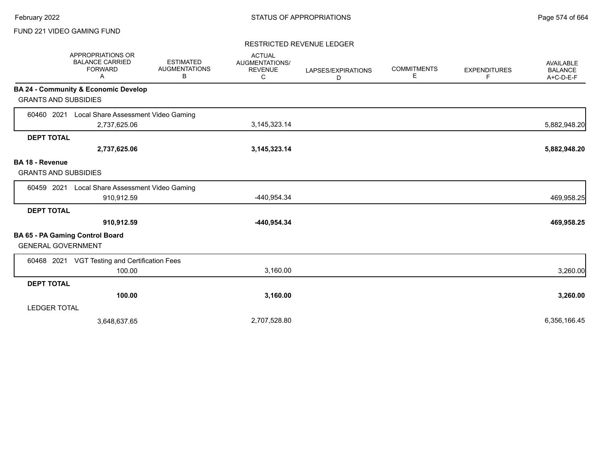### RESTRICTED REVENUE LEDGER

|                             | APPROPRIATIONS OR<br><b>BALANCE CARRIED</b><br><b>FORWARD</b><br>Α | <b>ESTIMATED</b><br><b>AUGMENTATIONS</b><br>B | <b>ACTUAL</b><br>AUGMENTATIONS/<br><b>REVENUE</b><br>C | LAPSES/EXPIRATIONS<br>D | <b>COMMITMENTS</b><br>Е | <b>EXPENDITURES</b><br>F. | <b>AVAILABLE</b><br><b>BALANCE</b><br>A+C-D-E-F |
|-----------------------------|--------------------------------------------------------------------|-----------------------------------------------|--------------------------------------------------------|-------------------------|-------------------------|---------------------------|-------------------------------------------------|
|                             | <b>BA 24 - Community &amp; Economic Develop</b>                    |                                               |                                                        |                         |                         |                           |                                                 |
| <b>GRANTS AND SUBSIDIES</b> |                                                                    |                                               |                                                        |                         |                         |                           |                                                 |
| 60460 2021                  | Local Share Assessment Video Gaming                                |                                               |                                                        |                         |                         |                           |                                                 |
|                             | 2,737,625.06                                                       |                                               | 3,145,323.14                                           |                         |                         |                           | 5,882,948.20                                    |
| <b>DEPT TOTAL</b>           |                                                                    |                                               |                                                        |                         |                         |                           |                                                 |
|                             | 2,737,625.06                                                       |                                               | 3, 145, 323. 14                                        |                         |                         |                           | 5,882,948.20                                    |
| <b>BA 18 - Revenue</b>      |                                                                    |                                               |                                                        |                         |                         |                           |                                                 |
| <b>GRANTS AND SUBSIDIES</b> |                                                                    |                                               |                                                        |                         |                         |                           |                                                 |
| 60459 2021                  | Local Share Assessment Video Gaming                                |                                               |                                                        |                         |                         |                           |                                                 |
|                             | 910,912.59                                                         |                                               | -440,954.34                                            |                         |                         |                           | 469,958.25                                      |
| <b>DEPT TOTAL</b>           |                                                                    |                                               |                                                        |                         |                         |                           |                                                 |
|                             | 910,912.59                                                         |                                               | -440,954.34                                            |                         |                         |                           | 469,958.25                                      |
|                             | BA 65 - PA Gaming Control Board                                    |                                               |                                                        |                         |                         |                           |                                                 |
| <b>GENERAL GOVERNMENT</b>   |                                                                    |                                               |                                                        |                         |                         |                           |                                                 |
| 60468 2021                  | VGT Testing and Certification Fees                                 |                                               |                                                        |                         |                         |                           |                                                 |
|                             | 100.00                                                             |                                               | 3,160.00                                               |                         |                         |                           | 3,260.00                                        |
| <b>DEPT TOTAL</b>           |                                                                    |                                               |                                                        |                         |                         |                           |                                                 |
|                             | 100.00                                                             |                                               | 3,160.00                                               |                         |                         |                           | 3,260.00                                        |
| <b>LEDGER TOTAL</b>         |                                                                    |                                               |                                                        |                         |                         |                           |                                                 |
|                             | 3,648,637.65                                                       |                                               | 2,707,528.80                                           |                         |                         |                           | 6,356,166.45                                    |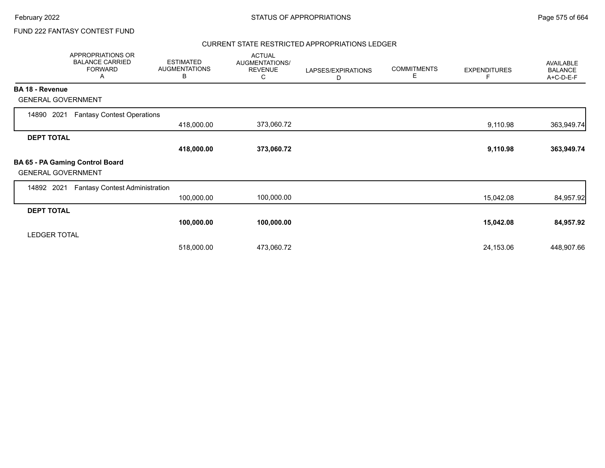# FUND 222 FANTASY CONTEST FUND

### CURRENT STATE RESTRICTED APPROPRIATIONS LEDGER

|                           | APPROPRIATIONS OR<br><b>BALANCE CARRIED</b><br><b>FORWARD</b><br>A | <b>ESTIMATED</b><br><b>AUGMENTATIONS</b><br>В | <b>ACTUAL</b><br>AUGMENTATIONS/<br><b>REVENUE</b><br>C | LAPSES/EXPIRATIONS<br>D | <b>COMMITMENTS</b><br>Е | <b>EXPENDITURES</b> | AVAILABLE<br><b>BALANCE</b><br>A+C-D-E-F |
|---------------------------|--------------------------------------------------------------------|-----------------------------------------------|--------------------------------------------------------|-------------------------|-------------------------|---------------------|------------------------------------------|
| <b>BA 18 - Revenue</b>    |                                                                    |                                               |                                                        |                         |                         |                     |                                          |
| <b>GENERAL GOVERNMENT</b> |                                                                    |                                               |                                                        |                         |                         |                     |                                          |
| 2021<br>14890             | <b>Fantasy Contest Operations</b>                                  |                                               |                                                        |                         |                         |                     |                                          |
|                           |                                                                    | 418,000.00                                    | 373,060.72                                             |                         |                         | 9,110.98            | 363,949.74                               |
| <b>DEPT TOTAL</b>         |                                                                    |                                               |                                                        |                         |                         |                     |                                          |
|                           |                                                                    | 418,000.00                                    | 373,060.72                                             |                         |                         | 9,110.98            | 363,949.74                               |
| <b>GENERAL GOVERNMENT</b> | BA 65 - PA Gaming Control Board                                    |                                               |                                                        |                         |                         |                     |                                          |
| 14892<br>2021             | <b>Fantasy Contest Administration</b>                              |                                               |                                                        |                         |                         |                     |                                          |
|                           |                                                                    | 100,000.00                                    | 100,000.00                                             |                         |                         | 15,042.08           | 84,957.92                                |
| <b>DEPT TOTAL</b>         |                                                                    |                                               |                                                        |                         |                         |                     |                                          |
|                           |                                                                    | 100,000.00                                    | 100,000.00                                             |                         |                         | 15,042.08           | 84,957.92                                |
| <b>LEDGER TOTAL</b>       |                                                                    |                                               |                                                        |                         |                         |                     |                                          |
|                           |                                                                    | 518,000.00                                    | 473,060.72                                             |                         |                         | 24,153.06           | 448,907.66                               |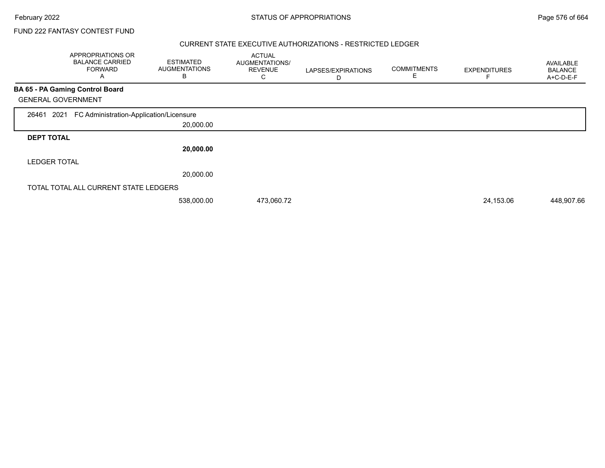FUND 222 FANTASY CONTEST FUND

### CURRENT STATE EXECUTIVE AUTHORIZATIONS - RESTRICTED LEDGER

|                           | APPROPRIATIONS OR<br><b>BALANCE CARRIED</b><br><b>FORWARD</b><br>A | <b>ESTIMATED</b><br><b>AUGMENTATIONS</b><br>В | <b>ACTUAL</b><br>AUGMENTATIONS/<br><b>REVENUE</b><br>С | LAPSES/EXPIRATIONS<br>D | <b>COMMITMENTS</b><br>Е | <b>EXPENDITURES</b> | <b>AVAILABLE</b><br><b>BALANCE</b><br>A+C-D-E-F |
|---------------------------|--------------------------------------------------------------------|-----------------------------------------------|--------------------------------------------------------|-------------------------|-------------------------|---------------------|-------------------------------------------------|
|                           | <b>BA 65 - PA Gaming Control Board</b>                             |                                               |                                                        |                         |                         |                     |                                                 |
| <b>GENERAL GOVERNMENT</b> |                                                                    |                                               |                                                        |                         |                         |                     |                                                 |
| 2021<br>26461             | FC Administration-Application/Licensure                            |                                               |                                                        |                         |                         |                     |                                                 |
|                           |                                                                    | 20,000.00                                     |                                                        |                         |                         |                     |                                                 |
| <b>DEPT TOTAL</b>         |                                                                    |                                               |                                                        |                         |                         |                     |                                                 |
|                           |                                                                    | 20,000.00                                     |                                                        |                         |                         |                     |                                                 |
| <b>LEDGER TOTAL</b>       |                                                                    |                                               |                                                        |                         |                         |                     |                                                 |
|                           |                                                                    | 20,000.00                                     |                                                        |                         |                         |                     |                                                 |
|                           | TOTAL TOTAL ALL CURRENT STATE LEDGERS                              |                                               |                                                        |                         |                         |                     |                                                 |
|                           |                                                                    | 538,000.00                                    | 473,060.72                                             |                         |                         | 24,153.06           | 448,907.66                                      |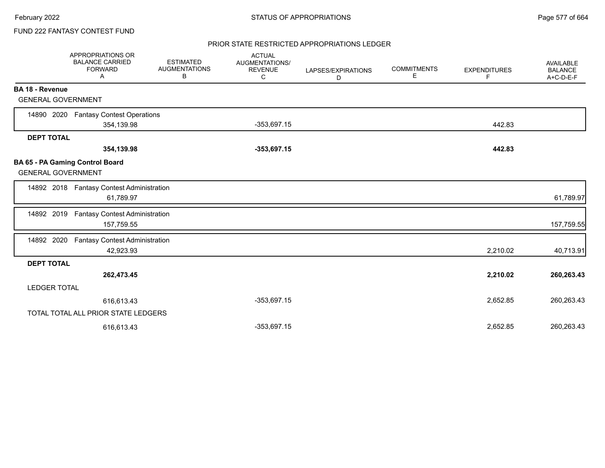## FUND 222 FANTASY CONTEST FUND

#### PRIOR STATE RESTRICTED APPROPRIATIONS LEDGER

|                           | APPROPRIATIONS OR<br><b>BALANCE CARRIED</b><br><b>FORWARD</b><br>Α | <b>ESTIMATED</b><br><b>AUGMENTATIONS</b><br>В | <b>ACTUAL</b><br>AUGMENTATIONS/<br><b>REVENUE</b><br>С | LAPSES/EXPIRATIONS<br>D | <b>COMMITMENTS</b><br>Ε | <b>EXPENDITURES</b><br>F | AVAILABLE<br><b>BALANCE</b><br>A+C-D-E-F |
|---------------------------|--------------------------------------------------------------------|-----------------------------------------------|--------------------------------------------------------|-------------------------|-------------------------|--------------------------|------------------------------------------|
| BA 18 - Revenue           |                                                                    |                                               |                                                        |                         |                         |                          |                                          |
| <b>GENERAL GOVERNMENT</b> |                                                                    |                                               |                                                        |                         |                         |                          |                                          |
|                           | 14890 2020 Fantasy Contest Operations                              |                                               |                                                        |                         |                         |                          |                                          |
|                           | 354,139.98                                                         |                                               | $-353,697.15$                                          |                         |                         | 442.83                   |                                          |
| <b>DEPT TOTAL</b>         |                                                                    |                                               |                                                        |                         |                         |                          |                                          |
|                           | 354,139.98                                                         |                                               | $-353,697.15$                                          |                         |                         | 442.83                   |                                          |
| <b>GENERAL GOVERNMENT</b> | BA 65 - PA Gaming Control Board                                    |                                               |                                                        |                         |                         |                          |                                          |
|                           | 14892 2018 Fantasy Contest Administration<br>61,789.97             |                                               |                                                        |                         |                         |                          | 61,789.97                                |
| 14892 2019                | <b>Fantasy Contest Administration</b><br>157,759.55                |                                               |                                                        |                         |                         |                          | 157,759.55                               |
| 14892 2020                | <b>Fantasy Contest Administration</b><br>42,923.93                 |                                               |                                                        |                         |                         | 2,210.02                 | 40,713.91                                |
| <b>DEPT TOTAL</b>         |                                                                    |                                               |                                                        |                         |                         |                          |                                          |
|                           | 262,473.45                                                         |                                               |                                                        |                         |                         | 2,210.02                 | 260,263.43                               |
| <b>LEDGER TOTAL</b>       |                                                                    |                                               |                                                        |                         |                         |                          |                                          |
|                           | 616,613.43                                                         |                                               | $-353,697.15$                                          |                         |                         | 2,652.85                 | 260,263.43                               |
|                           | TOTAL TOTAL ALL PRIOR STATE LEDGERS                                |                                               |                                                        |                         |                         |                          |                                          |
|                           | 616,613.43                                                         |                                               | $-353,697.15$                                          |                         |                         | 2,652.85                 | 260,263.43                               |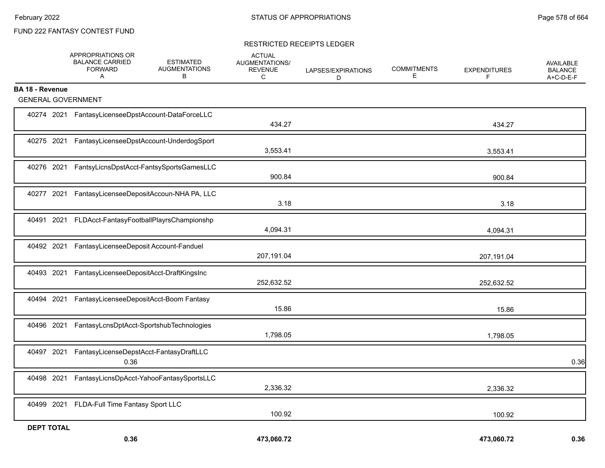## FUND 222 FANTASY CONTEST FUND

#### RESTRICTED RECEIPTS LEDGER

|                           | APPROPRIATIONS OR<br><b>BALANCE CARRIED</b><br><b>FORWARD</b><br>A | <b>ESTIMATED</b><br><b>AUGMENTATIONS</b><br>В | <b>ACTUAL</b><br>AUGMENTATIONS/<br><b>REVENUE</b><br>C | LAPSES/EXPIRATIONS<br>D | <b>COMMITMENTS</b><br>Е | <b>EXPENDITURES</b><br>F | <b>AVAILABLE</b><br><b>BALANCE</b><br>A+C-D-E-F |
|---------------------------|--------------------------------------------------------------------|-----------------------------------------------|--------------------------------------------------------|-------------------------|-------------------------|--------------------------|-------------------------------------------------|
| <b>BA 18 - Revenue</b>    |                                                                    |                                               |                                                        |                         |                         |                          |                                                 |
| <b>GENERAL GOVERNMENT</b> |                                                                    |                                               |                                                        |                         |                         |                          |                                                 |
|                           | 40274 2021 FantasyLicenseeDpstAccount-DataForceLLC                 |                                               | 434.27                                                 |                         |                         | 434.27                   |                                                 |
|                           | 40275 2021 FantasyLicenseeDpstAccount-UnderdogSport                |                                               | 3,553.41                                               |                         |                         | 3,553.41                 |                                                 |
|                           | 40276 2021 FantsyLicnsDpstAcct-FantsySportsGamesLLC                |                                               | 900.84                                                 |                         |                         | 900.84                   |                                                 |
|                           | 40277 2021 FantasyLicenseeDepositAccoun-NHA PA, LLC                |                                               | 3.18                                                   |                         |                         | 3.18                     |                                                 |
|                           | 40491 2021 FLDAcct-FantasyFootballPlayrsChampionshp                |                                               | 4,094.31                                               |                         |                         | 4,094.31                 |                                                 |
|                           | 40492 2021 FantasyLicenseeDeposit Account-Fanduel                  |                                               | 207,191.04                                             |                         |                         | 207,191.04               |                                                 |
|                           | 40493 2021 FantasyLicenseeDepositAcct-DraftKingsInc                |                                               | 252,632.52                                             |                         |                         | 252,632.52               |                                                 |
| 40494<br>2021             | FantasyLicenseeDepositAcct-Boom Fantasy                            |                                               | 15.86                                                  |                         |                         | 15.86                    |                                                 |
| 40496 2021                | FantasyLcnsDptAcct-SportshubTechnologies                           |                                               | 1,798.05                                               |                         |                         | 1,798.05                 |                                                 |
| 40497 2021                | FantasyLicenseDepstAcct-FantasyDraftLLC<br>0.36                    |                                               |                                                        |                         |                         |                          | 0.36                                            |
| 40498 2021                |                                                                    | FantasyLicnsDpAcct-YahooFantasySportsLLC      | 2,336.32                                               |                         |                         | 2,336.32                 |                                                 |
|                           | 40499 2021 FLDA-Full Time Fantasy Sport LLC                        |                                               | 100.92                                                 |                         |                         | 100.92                   |                                                 |
| <b>DEPT TOTAL</b>         | 0.36                                                               |                                               | 473.060.72                                             |                         |                         | 473,060.72               | 0.36                                            |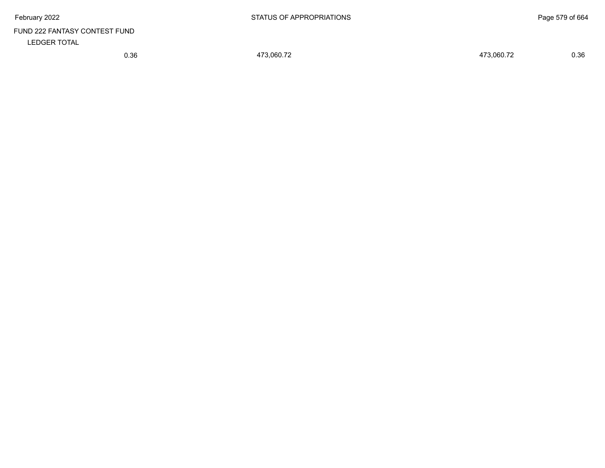# FUND 222 FANTASY CONTEST FUND LEDGER TOTAL

0.36 473,060.72 473,060.72 0.36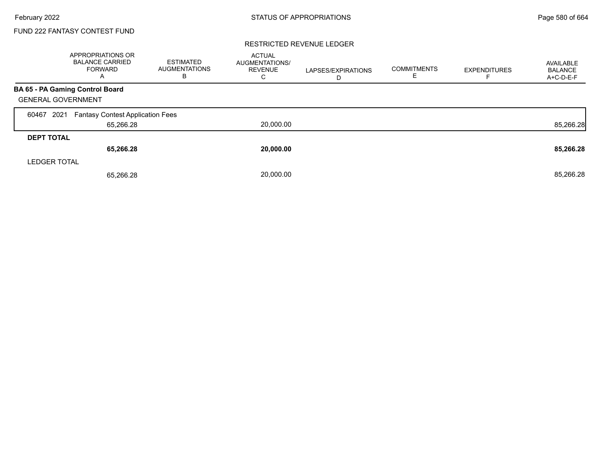## FUND 222 FANTASY CONTEST FUND

#### RESTRICTED REVENUE LEDGER

|                           | <b>APPROPRIATIONS OR</b><br><b>BALANCE CARRIED</b><br><b>FORWARD</b><br>A | <b>ESTIMATED</b><br><b>AUGMENTATIONS</b><br>в | <b>ACTUAL</b><br>AUGMENTATIONS/<br><b>REVENUE</b><br>C | LAPSES/EXPIRATIONS<br>D | <b>COMMITMENTS</b><br>Е | <b>EXPENDITURES</b> | AVAILABLE<br><b>BALANCE</b><br>A+C-D-E-F |
|---------------------------|---------------------------------------------------------------------------|-----------------------------------------------|--------------------------------------------------------|-------------------------|-------------------------|---------------------|------------------------------------------|
|                           | BA 65 - PA Gaming Control Board                                           |                                               |                                                        |                         |                         |                     |                                          |
| <b>GENERAL GOVERNMENT</b> |                                                                           |                                               |                                                        |                         |                         |                     |                                          |
| 2021<br>60467             | <b>Fantasy Contest Application Fees</b>                                   |                                               |                                                        |                         |                         |                     |                                          |
|                           | 65,266.28                                                                 |                                               | 20,000.00                                              |                         |                         |                     | 85,266.28                                |
| <b>DEPT TOTAL</b>         |                                                                           |                                               |                                                        |                         |                         |                     |                                          |
|                           | 65,266.28                                                                 |                                               | 20,000.00                                              |                         |                         |                     | 85,266.28                                |
| <b>LEDGER TOTAL</b>       |                                                                           |                                               |                                                        |                         |                         |                     |                                          |
|                           | 65,266.28                                                                 |                                               | 20.000.00                                              |                         |                         |                     | 85,266.28                                |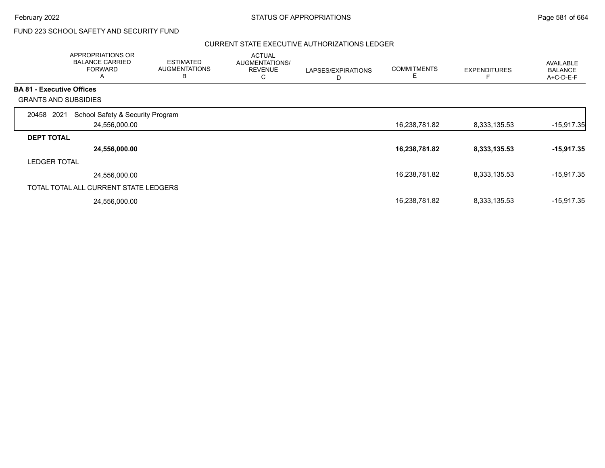# FUND 223 SCHOOL SAFETY AND SECURITY FUND

#### CURRENT STATE EXECUTIVE AUTHORIZATIONS LEDGER

|                   | APPROPRIATIONS OR<br><b>BALANCE CARRIED</b><br><b>FORWARD</b><br>A | <b>ESTIMATED</b><br><b>AUGMENTATIONS</b><br>B | <b>ACTUAL</b><br>AUGMENTATIONS/<br><b>REVENUE</b><br>С | LAPSES/EXPIRATIONS<br>D | <b>COMMITMENTS</b><br>E | <b>EXPENDITURES</b> | <b>AVAILABLE</b><br><b>BALANCE</b><br>$A+C-D-E-F$ |
|-------------------|--------------------------------------------------------------------|-----------------------------------------------|--------------------------------------------------------|-------------------------|-------------------------|---------------------|---------------------------------------------------|
|                   | <b>BA 81 - Executive Offices</b>                                   |                                               |                                                        |                         |                         |                     |                                                   |
|                   | <b>GRANTS AND SUBSIDIES</b>                                        |                                               |                                                        |                         |                         |                     |                                                   |
| 20458             | School Safety & Security Program<br>2021                           |                                               |                                                        |                         |                         |                     |                                                   |
|                   | 24,556,000.00                                                      |                                               |                                                        |                         | 16,238,781.82           | 8,333,135.53        | $-15,917.35$                                      |
| <b>DEPT TOTAL</b> |                                                                    |                                               |                                                        |                         |                         |                     |                                                   |
|                   | 24,556,000.00                                                      |                                               |                                                        |                         | 16,238,781.82           | 8,333,135.53        | $-15,917.35$                                      |
|                   | <b>LEDGER TOTAL</b>                                                |                                               |                                                        |                         |                         |                     |                                                   |
|                   | 24,556,000.00                                                      |                                               |                                                        |                         | 16,238,781.82           | 8,333,135.53        | $-15,917.35$                                      |
|                   | TOTAL TOTAL ALL CURRENT STATE LEDGERS                              |                                               |                                                        |                         |                         |                     |                                                   |
|                   | 24,556,000.00                                                      |                                               |                                                        |                         | 16,238,781.82           | 8,333,135.53        | -15,917.35                                        |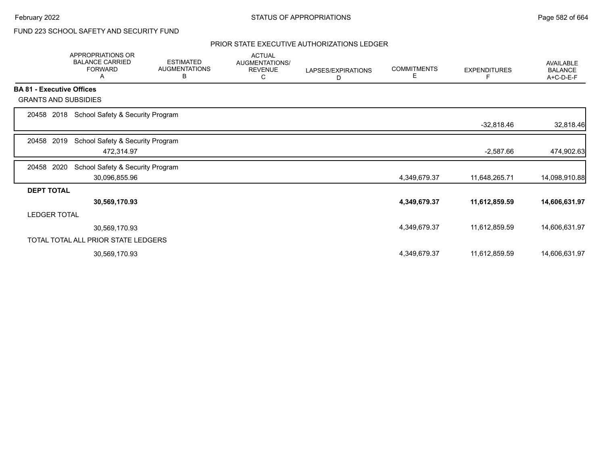# FUND 223 SCHOOL SAFETY AND SECURITY FUND

#### PRIOR STATE EXECUTIVE AUTHORIZATIONS LEDGER

|                                  | <b>APPROPRIATIONS OR</b><br><b>BALANCE CARRIED</b><br><b>FORWARD</b><br>А | <b>ESTIMATED</b><br><b>AUGMENTATIONS</b><br>В | <b>ACTUAL</b><br>AUGMENTATIONS/<br><b>REVENUE</b><br>С | LAPSES/EXPIRATIONS<br>D | <b>COMMITMENTS</b><br>Е | <b>EXPENDITURES</b> | AVAILABLE<br><b>BALANCE</b><br>A+C-D-E-F |
|----------------------------------|---------------------------------------------------------------------------|-----------------------------------------------|--------------------------------------------------------|-------------------------|-------------------------|---------------------|------------------------------------------|
| <b>BA 81 - Executive Offices</b> |                                                                           |                                               |                                                        |                         |                         |                     |                                          |
| <b>GRANTS AND SUBSIDIES</b>      |                                                                           |                                               |                                                        |                         |                         |                     |                                          |
| 2018<br>20458                    | School Safety & Security Program                                          |                                               |                                                        |                         |                         |                     |                                          |
|                                  |                                                                           |                                               |                                                        |                         |                         | $-32,818.46$        | 32,818.46                                |
| 2019<br>20458                    | School Safety & Security Program                                          |                                               |                                                        |                         |                         |                     |                                          |
|                                  | 472,314.97                                                                |                                               |                                                        |                         |                         | $-2,587.66$         | 474,902.63                               |
| 20458<br>2020                    | School Safety & Security Program                                          |                                               |                                                        |                         |                         |                     |                                          |
|                                  | 30,096,855.96                                                             |                                               |                                                        |                         | 4,349,679.37            | 11,648,265.71       | 14,098,910.88                            |
| <b>DEPT TOTAL</b>                |                                                                           |                                               |                                                        |                         |                         |                     |                                          |
|                                  | 30,569,170.93                                                             |                                               |                                                        |                         | 4,349,679.37            | 11,612,859.59       | 14,606,631.97                            |
| <b>LEDGER TOTAL</b>              |                                                                           |                                               |                                                        |                         |                         |                     |                                          |
|                                  | 30,569,170.93                                                             |                                               |                                                        |                         | 4,349,679.37            | 11,612,859.59       | 14,606,631.97                            |
|                                  | TOTAL TOTAL ALL PRIOR STATE LEDGERS                                       |                                               |                                                        |                         |                         |                     |                                          |
|                                  | 30,569,170.93                                                             |                                               |                                                        |                         | 4,349,679.37            | 11,612,859.59       | 14,606,631.97                            |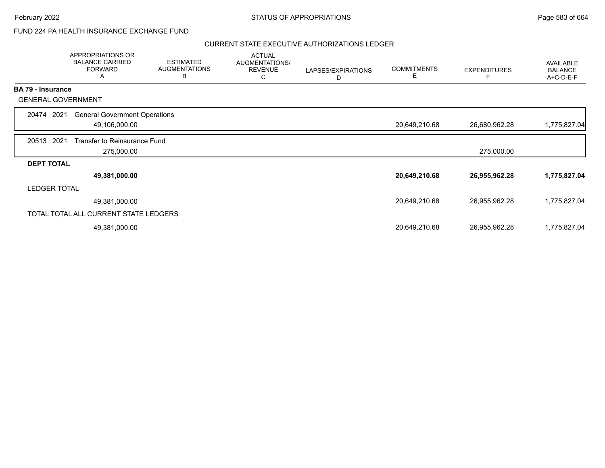## FUND 224 PA HEALTH INSURANCE EXCHANGE FUND

#### CURRENT STATE EXECUTIVE AUTHORIZATIONS LEDGER

|                          | APPROPRIATIONS OR<br><b>BALANCE CARRIED</b><br><b>FORWARD</b><br>Α | <b>ESTIMATED</b><br><b>AUGMENTATIONS</b><br>B | <b>ACTUAL</b><br>AUGMENTATIONS/<br><b>REVENUE</b><br>С | LAPSES/EXPIRATIONS<br>D | <b>COMMITMENTS</b><br>Е | <b>EXPENDITURES</b> | AVAILABLE<br><b>BALANCE</b><br>A+C-D-E-F |
|--------------------------|--------------------------------------------------------------------|-----------------------------------------------|--------------------------------------------------------|-------------------------|-------------------------|---------------------|------------------------------------------|
| <b>BA 79 - Insurance</b> |                                                                    |                                               |                                                        |                         |                         |                     |                                          |
|                          | <b>GENERAL GOVERNMENT</b>                                          |                                               |                                                        |                         |                         |                     |                                          |
| 20474                    | <b>General Government Operations</b><br>2021                       |                                               |                                                        |                         |                         |                     |                                          |
|                          | 49,106,000.00                                                      |                                               |                                                        |                         | 20,649,210.68           | 26,680,962.28       | 1,775,827.04                             |
| 20513                    | 2021<br>Transfer to Reinsurance Fund                               |                                               |                                                        |                         |                         |                     |                                          |
|                          | 275,000.00                                                         |                                               |                                                        |                         |                         | 275,000.00          |                                          |
| <b>DEPT TOTAL</b>        |                                                                    |                                               |                                                        |                         |                         |                     |                                          |
|                          | 49,381,000.00                                                      |                                               |                                                        |                         | 20,649,210.68           | 26,955,962.28       | 1,775,827.04                             |
|                          | <b>LEDGER TOTAL</b>                                                |                                               |                                                        |                         |                         |                     |                                          |
|                          | 49,381,000.00                                                      |                                               |                                                        |                         | 20,649,210.68           | 26,955,962.28       | 1,775,827.04                             |
|                          | TOTAL TOTAL ALL CURRENT STATE LEDGERS                              |                                               |                                                        |                         |                         |                     |                                          |
|                          | 49,381,000.00                                                      |                                               |                                                        |                         | 20,649,210.68           | 26,955,962.28       | 1,775,827.04                             |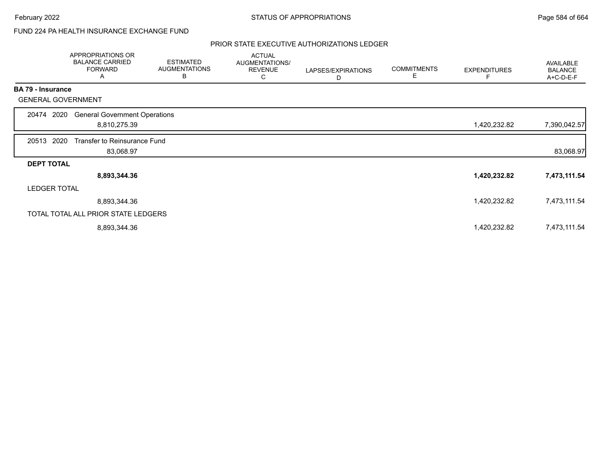February 2022 **Example 2022** Page 584 of 664

## FUND 224 PA HEALTH INSURANCE EXCHANGE FUND

#### PRIOR STATE EXECUTIVE AUTHORIZATIONS LEDGER

|                          | APPROPRIATIONS OR<br><b>BALANCE CARRIED</b><br><b>FORWARD</b><br>A | <b>ESTIMATED</b><br><b>AUGMENTATIONS</b><br>В | <b>ACTUAL</b><br>AUGMENTATIONS/<br><b>REVENUE</b><br>C | LAPSES/EXPIRATIONS<br>D | <b>COMMITMENTS</b><br>Е | <b>EXPENDITURES</b> | AVAILABLE<br><b>BALANCE</b><br>A+C-D-E-F |
|--------------------------|--------------------------------------------------------------------|-----------------------------------------------|--------------------------------------------------------|-------------------------|-------------------------|---------------------|------------------------------------------|
| <b>BA 79 - Insurance</b> |                                                                    |                                               |                                                        |                         |                         |                     |                                          |
|                          | <b>GENERAL GOVERNMENT</b>                                          |                                               |                                                        |                         |                         |                     |                                          |
| 20474                    | <b>General Government Operations</b><br>2020                       |                                               |                                                        |                         |                         |                     |                                          |
|                          | 8,810,275.39                                                       |                                               |                                                        |                         |                         | 1,420,232.82        | 7,390,042.57                             |
| 20513                    | Transfer to Reinsurance Fund<br>2020                               |                                               |                                                        |                         |                         |                     |                                          |
|                          | 83,068.97                                                          |                                               |                                                        |                         |                         |                     | 83,068.97                                |
| <b>DEPT TOTAL</b>        |                                                                    |                                               |                                                        |                         |                         |                     |                                          |
|                          | 8,893,344.36                                                       |                                               |                                                        |                         |                         | 1,420,232.82        | 7,473,111.54                             |
|                          | <b>LEDGER TOTAL</b>                                                |                                               |                                                        |                         |                         |                     |                                          |
|                          | 8,893,344.36                                                       |                                               |                                                        |                         |                         | 1,420,232.82        | 7,473,111.54                             |
|                          | TOTAL TOTAL ALL PRIOR STATE LEDGERS                                |                                               |                                                        |                         |                         |                     |                                          |
|                          | 8,893,344.36                                                       |                                               |                                                        |                         |                         | 1,420,232.82        | 7,473,111.54                             |
|                          |                                                                    |                                               |                                                        |                         |                         |                     |                                          |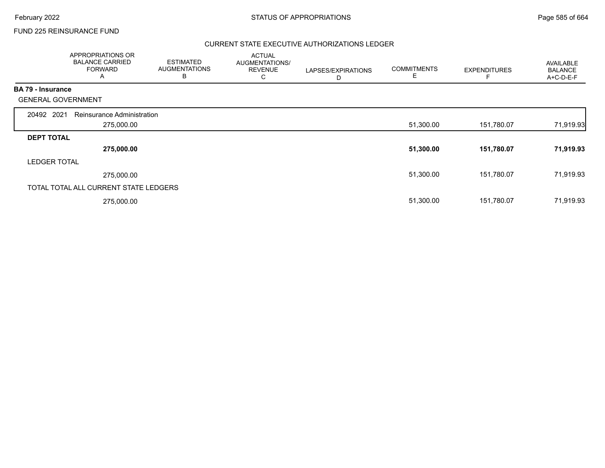## FUND 225 REINSURANCE FUND

#### CURRENT STATE EXECUTIVE AUTHORIZATIONS LEDGER

|                          | APPROPRIATIONS OR<br><b>BALANCE CARRIED</b><br><b>FORWARD</b><br>Α | <b>ESTIMATED</b><br><b>AUGMENTATIONS</b><br>В | <b>ACTUAL</b><br>AUGMENTATIONS/<br><b>REVENUE</b><br>С | LAPSES/EXPIRATIONS<br>D | <b>COMMITMENTS</b><br>Е | <b>EXPENDITURES</b> | AVAILABLE<br><b>BALANCE</b><br>A+C-D-E-F |
|--------------------------|--------------------------------------------------------------------|-----------------------------------------------|--------------------------------------------------------|-------------------------|-------------------------|---------------------|------------------------------------------|
| <b>BA 79 - Insurance</b> |                                                                    |                                               |                                                        |                         |                         |                     |                                          |
|                          | <b>GENERAL GOVERNMENT</b>                                          |                                               |                                                        |                         |                         |                     |                                          |
| 20492 2021               | Reinsurance Administration                                         |                                               |                                                        |                         |                         |                     |                                          |
|                          | 275,000.00                                                         |                                               |                                                        |                         | 51,300.00               | 151,780.07          | 71,919.93                                |
| <b>DEPT TOTAL</b>        |                                                                    |                                               |                                                        |                         |                         |                     |                                          |
|                          | 275,000.00                                                         |                                               |                                                        |                         | 51,300.00               | 151,780.07          | 71,919.93                                |
| <b>LEDGER TOTAL</b>      |                                                                    |                                               |                                                        |                         |                         |                     |                                          |
|                          | 275,000.00                                                         |                                               |                                                        |                         | 51,300.00               | 151,780.07          | 71,919.93                                |
|                          | TOTAL TOTAL ALL CURRENT STATE LEDGERS                              |                                               |                                                        |                         |                         |                     |                                          |
|                          | 275,000.00                                                         |                                               |                                                        |                         | 51,300.00               | 151,780.07          | 71,919.93                                |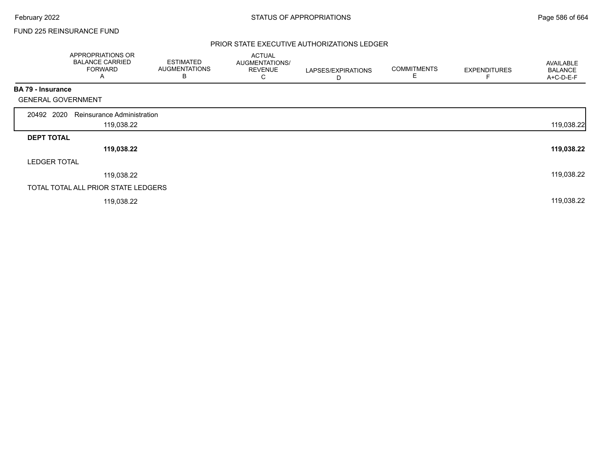## FUND 225 REINSURANCE FUND

#### PRIOR STATE EXECUTIVE AUTHORIZATIONS LEDGER

|                           | APPROPRIATIONS OR<br><b>BALANCE CARRIED</b><br><b>FORWARD</b><br>A | <b>ESTIMATED</b><br><b>AUGMENTATIONS</b><br>B | <b>ACTUAL</b><br>AUGMENTATIONS/<br><b>REVENUE</b><br>C | LAPSES/EXPIRATIONS<br>D | <b>COMMITMENTS</b><br>Е | <b>EXPENDITURES</b> | AVAILABLE<br><b>BALANCE</b><br>A+C-D-E-F |
|---------------------------|--------------------------------------------------------------------|-----------------------------------------------|--------------------------------------------------------|-------------------------|-------------------------|---------------------|------------------------------------------|
| <b>BA 79 - Insurance</b>  |                                                                    |                                               |                                                        |                         |                         |                     |                                          |
| <b>GENERAL GOVERNMENT</b> |                                                                    |                                               |                                                        |                         |                         |                     |                                          |
| 20492 2020                | Reinsurance Administration                                         |                                               |                                                        |                         |                         |                     |                                          |
|                           | 119,038.22                                                         |                                               |                                                        |                         |                         |                     | 119,038.22                               |
| <b>DEPT TOTAL</b>         |                                                                    |                                               |                                                        |                         |                         |                     |                                          |
|                           | 119,038.22                                                         |                                               |                                                        |                         |                         |                     | 119,038.22                               |
| <b>LEDGER TOTAL</b>       |                                                                    |                                               |                                                        |                         |                         |                     |                                          |
|                           | 119,038.22                                                         |                                               |                                                        |                         |                         |                     | 119,038.22                               |
|                           | TOTAL TOTAL ALL PRIOR STATE LEDGERS                                |                                               |                                                        |                         |                         |                     |                                          |
|                           | 119,038.22                                                         |                                               |                                                        |                         |                         |                     | 119,038.22                               |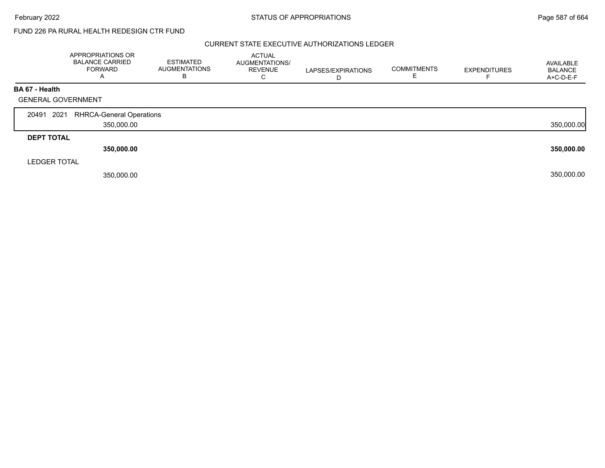#### CURRENT STATE EXECUTIVE AUTHORIZATIONS LEDGER

|                     | APPROPRIATIONS OR<br><b>BALANCE CARRIED</b><br><b>FORWARD</b><br>A | <b>ESTIMATED</b><br><b>AUGMENTATIONS</b><br>в | ACTUAL<br>AUGMENTATIONS/<br><b>REVENUE</b><br>⌒<br>Ü | LAPSES/EXPIRATIONS<br>D | <b>COMMITMENTS</b> | <b>EXPENDITURES</b> | AVAILABLE<br><b>BALANCE</b><br>A+C-D-E-F |
|---------------------|--------------------------------------------------------------------|-----------------------------------------------|------------------------------------------------------|-------------------------|--------------------|---------------------|------------------------------------------|
| BA 67 - Health      |                                                                    |                                               |                                                      |                         |                    |                     |                                          |
|                     | <b>GENERAL GOVERNMENT</b>                                          |                                               |                                                      |                         |                    |                     |                                          |
|                     |                                                                    |                                               |                                                      |                         |                    |                     |                                          |
| 20491 2021          | <b>RHRCA-General Operations</b>                                    |                                               |                                                      |                         |                    |                     |                                          |
|                     | 350,000.00                                                         |                                               |                                                      |                         |                    |                     | 350,000.00                               |
| <b>DEPT TOTAL</b>   |                                                                    |                                               |                                                      |                         |                    |                     |                                          |
|                     | 350,000.00                                                         |                                               |                                                      |                         |                    |                     | 350,000.00                               |
| <b>LEDGER TOTAL</b> |                                                                    |                                               |                                                      |                         |                    |                     |                                          |
|                     | 350,000.00                                                         |                                               |                                                      |                         |                    |                     | 350,000.00                               |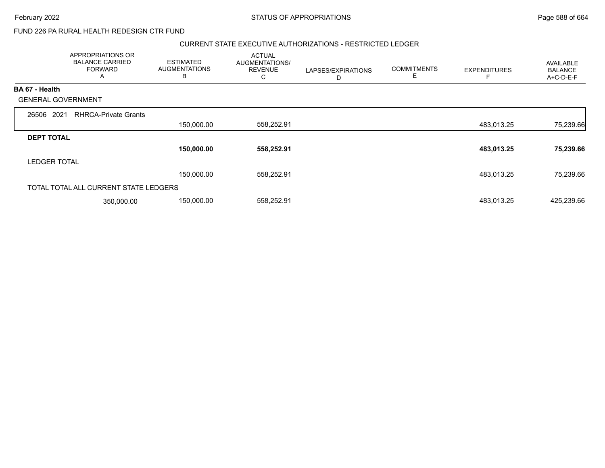#### CURRENT STATE EXECUTIVE AUTHORIZATIONS - RESTRICTED LEDGER

|                           | <b>APPROPRIATIONS OR</b><br><b>BALANCE CARRIED</b><br><b>FORWARD</b><br>$\overline{A}$ | <b>ESTIMATED</b><br><b>AUGMENTATIONS</b><br>B | <b>ACTUAL</b><br>AUGMENTATIONS/<br><b>REVENUE</b><br>С | LAPSES/EXPIRATIONS<br>D | <b>COMMITMENTS</b> | <b>EXPENDITURES</b> | AVAILABLE<br><b>BALANCE</b><br>A+C-D-E-F |
|---------------------------|----------------------------------------------------------------------------------------|-----------------------------------------------|--------------------------------------------------------|-------------------------|--------------------|---------------------|------------------------------------------|
| <b>BA 67 - Health</b>     |                                                                                        |                                               |                                                        |                         |                    |                     |                                          |
| <b>GENERAL GOVERNMENT</b> |                                                                                        |                                               |                                                        |                         |                    |                     |                                          |
| 2021<br>26506             | <b>RHRCA-Private Grants</b>                                                            |                                               |                                                        |                         |                    |                     |                                          |
|                           |                                                                                        | 150,000.00                                    | 558,252.91                                             |                         |                    | 483,013.25          | 75,239.66                                |
| <b>DEPT TOTAL</b>         |                                                                                        |                                               |                                                        |                         |                    |                     |                                          |
|                           |                                                                                        | 150,000.00                                    | 558,252.91                                             |                         |                    | 483,013.25          | 75,239.66                                |
| <b>LEDGER TOTAL</b>       |                                                                                        |                                               |                                                        |                         |                    |                     |                                          |
|                           |                                                                                        | 150,000.00                                    | 558,252.91                                             |                         |                    | 483,013.25          | 75,239.66                                |
|                           | TOTAL TOTAL ALL CURRENT STATE LEDGERS                                                  |                                               |                                                        |                         |                    |                     |                                          |
|                           | 350,000.00                                                                             | 150,000.00                                    | 558,252.91                                             |                         |                    | 483,013.25          | 425,239.66                               |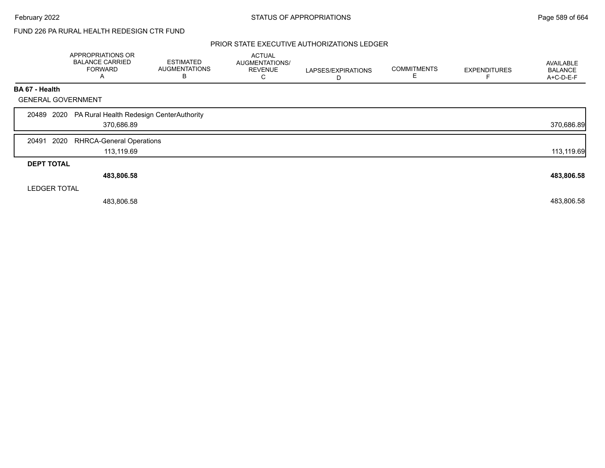#### PRIOR STATE EXECUTIVE AUTHORIZATIONS LEDGER

|                           | APPROPRIATIONS OR                                                 |                                               |                                                        |                         |                         |                     |                                          |
|---------------------------|-------------------------------------------------------------------|-----------------------------------------------|--------------------------------------------------------|-------------------------|-------------------------|---------------------|------------------------------------------|
|                           | <b>BALANCE CARRIED</b><br><b>FORWARD</b><br>A                     | <b>ESTIMATED</b><br><b>AUGMENTATIONS</b><br>В | <b>ACTUAL</b><br>AUGMENTATIONS/<br><b>REVENUE</b><br>C | LAPSES/EXPIRATIONS<br>D | <b>COMMITMENTS</b><br>E | <b>EXPENDITURES</b> | AVAILABLE<br><b>BALANCE</b><br>A+C-D-E-F |
| BA 67 - Health            |                                                                   |                                               |                                                        |                         |                         |                     |                                          |
| <b>GENERAL GOVERNMENT</b> |                                                                   |                                               |                                                        |                         |                         |                     |                                          |
|                           | 20489 2020 PA Rural Health Redesign CenterAuthority<br>370,686.89 |                                               |                                                        |                         |                         |                     | 370,686.89                               |
| 2020<br>20491             | <b>RHRCA-General Operations</b>                                   |                                               |                                                        |                         |                         |                     |                                          |
|                           | 113,119.69                                                        |                                               |                                                        |                         |                         |                     | 113,119.69                               |
| <b>DEPT TOTAL</b>         |                                                                   |                                               |                                                        |                         |                         |                     |                                          |
|                           | 483,806.58                                                        |                                               |                                                        |                         |                         |                     | 483,806.58                               |
| <b>LEDGER TOTAL</b>       |                                                                   |                                               |                                                        |                         |                         |                     |                                          |
|                           | 483,806.58                                                        |                                               |                                                        |                         |                         |                     | 483,806.58                               |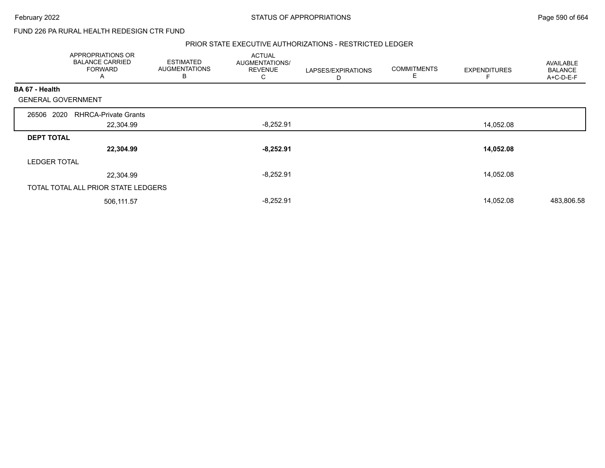#### PRIOR STATE EXECUTIVE AUTHORIZATIONS - RESTRICTED LEDGER

|                           | APPROPRIATIONS OR<br><b>BALANCE CARRIED</b><br><b>FORWARD</b><br>A | <b>ESTIMATED</b><br><b>AUGMENTATIONS</b><br>B | <b>ACTUAL</b><br>AUGMENTATIONS/<br><b>REVENUE</b><br>С | LAPSES/EXPIRATIONS<br>D | <b>COMMITMENTS</b><br>E | <b>EXPENDITURES</b> | <b>AVAILABLE</b><br><b>BALANCE</b><br>A+C-D-E-F |
|---------------------------|--------------------------------------------------------------------|-----------------------------------------------|--------------------------------------------------------|-------------------------|-------------------------|---------------------|-------------------------------------------------|
| BA 67 - Health            |                                                                    |                                               |                                                        |                         |                         |                     |                                                 |
| <b>GENERAL GOVERNMENT</b> |                                                                    |                                               |                                                        |                         |                         |                     |                                                 |
| 2020<br>26506             | <b>RHRCA-Private Grants</b>                                        |                                               |                                                        |                         |                         |                     |                                                 |
|                           | 22,304.99                                                          |                                               | $-8,252.91$                                            |                         |                         | 14,052.08           |                                                 |
| <b>DEPT TOTAL</b>         |                                                                    |                                               |                                                        |                         |                         |                     |                                                 |
|                           | 22,304.99                                                          |                                               | $-8,252.91$                                            |                         |                         | 14,052.08           |                                                 |
| <b>LEDGER TOTAL</b>       |                                                                    |                                               |                                                        |                         |                         |                     |                                                 |
|                           | 22,304.99                                                          |                                               | $-8,252.91$                                            |                         |                         | 14,052.08           |                                                 |
|                           | TOTAL TOTAL ALL PRIOR STATE LEDGERS                                |                                               |                                                        |                         |                         |                     |                                                 |
|                           | 506,111.57                                                         |                                               | $-8,252.91$                                            |                         |                         | 14,052.08           | 483,806.58                                      |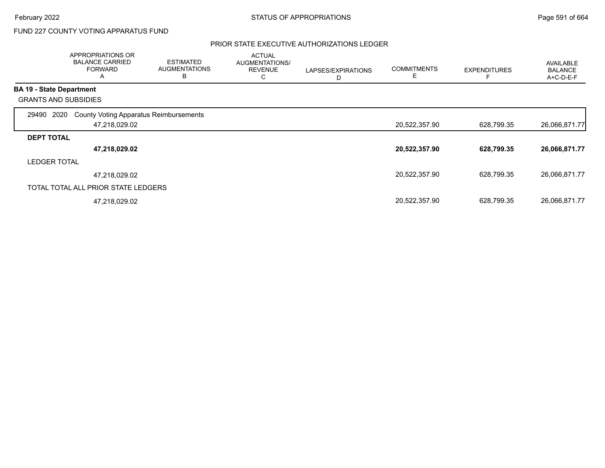## FUND 227 COUNTY VOTING APPARATUS FUND

#### PRIOR STATE EXECUTIVE AUTHORIZATIONS LEDGER

|                                 | APPROPRIATIONS OR<br><b>BALANCE CARRIED</b><br><b>FORWARD</b><br>A | <b>ESTIMATED</b><br><b>AUGMENTATIONS</b><br>В | <b>ACTUAL</b><br>AUGMENTATIONS/<br><b>REVENUE</b><br>С | LAPSES/EXPIRATIONS<br>D | <b>COMMITMENTS</b><br>Е | <b>EXPENDITURES</b> | <b>AVAILABLE</b><br><b>BALANCE</b><br>A+C-D-E-F |
|---------------------------------|--------------------------------------------------------------------|-----------------------------------------------|--------------------------------------------------------|-------------------------|-------------------------|---------------------|-------------------------------------------------|
| <b>BA 19 - State Department</b> |                                                                    |                                               |                                                        |                         |                         |                     |                                                 |
|                                 | <b>GRANTS AND SUBSIDIES</b>                                        |                                               |                                                        |                         |                         |                     |                                                 |
| 29490                           | <b>County Voting Apparatus Reimbursements</b><br>2020              |                                               |                                                        |                         |                         |                     |                                                 |
|                                 | 47,218,029.02                                                      |                                               |                                                        |                         | 20,522,357.90           | 628,799.35          | 26,066,871.77                                   |
| <b>DEPT TOTAL</b>               |                                                                    |                                               |                                                        |                         |                         |                     |                                                 |
|                                 | 47,218,029.02                                                      |                                               |                                                        |                         | 20,522,357.90           | 628,799.35          | 26,066,871.77                                   |
| <b>LEDGER TOTAL</b>             |                                                                    |                                               |                                                        |                         |                         |                     |                                                 |
|                                 | 47,218,029.02                                                      |                                               |                                                        |                         | 20,522,357.90           | 628,799.35          | 26,066,871.77                                   |
|                                 | TOTAL TOTAL ALL PRIOR STATE LEDGERS                                |                                               |                                                        |                         |                         |                     |                                                 |
|                                 | 47,218,029.02                                                      |                                               |                                                        |                         | 20,522,357.90           | 628,799.35          | 26,066,871.77                                   |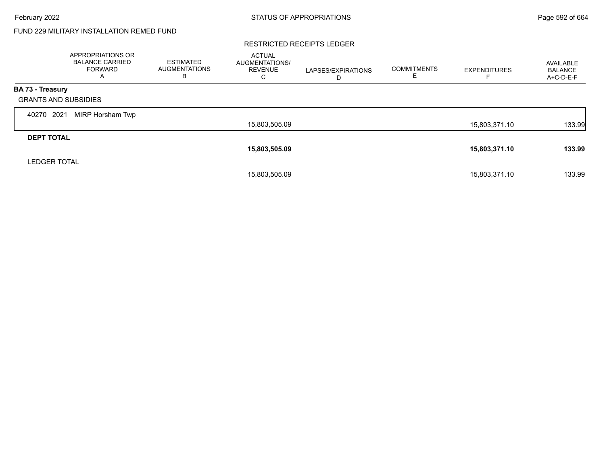# FUND 229 MILITARY INSTALLATION REMED FUND

#### RESTRICTED RECEIPTS LEDGER

|                             | APPROPRIATIONS OR<br><b>BALANCE CARRIED</b><br>FORWARD<br>A | <b>ESTIMATED</b><br>AUGMENTATIONS<br>в | <b>ACTUAL</b><br>AUGMENTATIONS/<br><b>REVENUE</b><br>С | LAPSES/EXPIRATIONS<br>D | <b>COMMITMENTS</b><br>Е | <b>EXPENDITURES</b> | AVAILABLE<br><b>BALANCE</b><br>A+C-D-E-F |
|-----------------------------|-------------------------------------------------------------|----------------------------------------|--------------------------------------------------------|-------------------------|-------------------------|---------------------|------------------------------------------|
| <b>BA 73 - Treasury</b>     |                                                             |                                        |                                                        |                         |                         |                     |                                          |
| <b>GRANTS AND SUBSIDIES</b> |                                                             |                                        |                                                        |                         |                         |                     |                                          |
| 2021<br>40270               | MIRP Horsham Twp                                            |                                        |                                                        |                         |                         |                     |                                          |
|                             |                                                             |                                        | 15,803,505.09                                          |                         |                         | 15,803,371.10       | 133.99                                   |
| <b>DEPT TOTAL</b>           |                                                             |                                        |                                                        |                         |                         |                     |                                          |
|                             |                                                             |                                        | 15,803,505.09                                          |                         |                         | 15,803,371.10       | 133.99                                   |
| <b>LEDGER TOTAL</b>         |                                                             |                                        |                                                        |                         |                         |                     |                                          |
|                             |                                                             |                                        | 15,803,505.09                                          |                         |                         | 15,803,371.10       | 133.99                                   |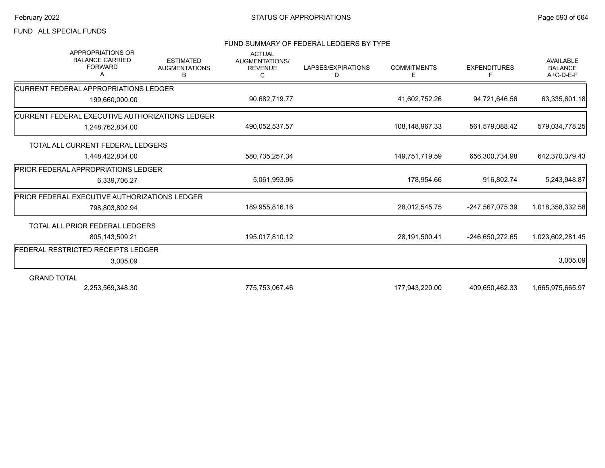## FUND ALL SPECIAL FUNDS

#### FUND SUMMARY OF FEDERAL LEDGERS BY TYPE

| <b>APPROPRIATIONS OR</b><br><b>BALANCE CARRIED</b><br><b>FORWARD</b><br>А | <b>ESTIMATED</b><br><b>AUGMENTATIONS</b><br>В | <b>ACTUAL</b><br>AUGMENTATIONS/<br><b>REVENUE</b><br>C | LAPSES/EXPIRATIONS<br>D | <b>COMMITMENTS</b><br>Е | <b>EXPENDITURES</b> | <b>AVAILABLE</b><br><b>BALANCE</b><br>A+C-D-E-F |
|---------------------------------------------------------------------------|-----------------------------------------------|--------------------------------------------------------|-------------------------|-------------------------|---------------------|-------------------------------------------------|
| <b>ICURRENT FEDERAL APPROPRIATIONS LEDGER</b>                             |                                               |                                                        |                         |                         |                     |                                                 |
| 199,660,000.00                                                            |                                               | 90,682,719.77                                          |                         | 41,602,752.26           | 94,721,646.56       | 63,335,601.18                                   |
| <b>ICURRENT FEDERAL EXECUTIVE AUTHORIZATIONS LEDGER</b>                   |                                               |                                                        |                         |                         |                     |                                                 |
| 1,248,762,834.00                                                          |                                               | 490,052,537.57                                         |                         | 108,148,967.33          | 561,579,088.42      | 579,034,778.25                                  |
| TOTAL ALL CURRENT FEDERAL LEDGERS                                         |                                               |                                                        |                         |                         |                     |                                                 |
| 1,448,422,834.00                                                          |                                               | 580,735,257.34                                         |                         | 149,751,719.59          | 656,300,734.98      | 642,370,379.43                                  |
| <b>IPRIOR FEDERAL APPROPRIATIONS LEDGER</b>                               |                                               |                                                        |                         |                         |                     |                                                 |
| 6,339,706.27                                                              |                                               | 5,061,993.96                                           |                         | 178,954.66              | 916.802.74          | 5,243,948.87                                    |
| <b>PRIOR FEDERAL EXECUTIVE AUTHORIZATIONS LEDGER</b>                      |                                               |                                                        |                         |                         |                     |                                                 |
| 798,803,802.94                                                            |                                               | 189,955,816.16                                         |                         | 28,012,545.75           | -247,567,075.39     | 1,018,358,332.58                                |
| TOTAL ALL PRIOR FEDERAL LEDGERS                                           |                                               |                                                        |                         |                         |                     |                                                 |
| 805,143,509.21                                                            |                                               | 195,017,810.12                                         |                         | 28,191,500.41           | -246,650,272.65     | 1,023,602,281.45                                |
| FEDERAL RESTRICTED RECEIPTS LEDGER                                        |                                               |                                                        |                         |                         |                     |                                                 |
| 3,005.09                                                                  |                                               |                                                        |                         |                         |                     | 3,005.09                                        |
| <b>GRAND TOTAL</b>                                                        |                                               |                                                        |                         |                         |                     |                                                 |
| 2,253,569,348.30                                                          |                                               | 775,753,067.46                                         |                         | 177,943,220.00          | 409,650,462.33      | 1,665,975,665.97                                |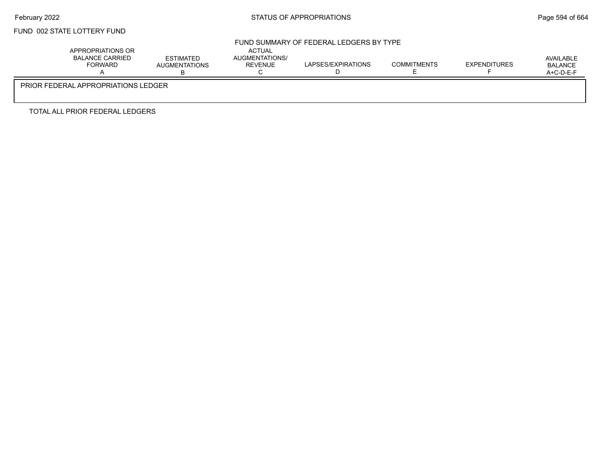## FUND 002 STATE LOTTERY FUND

## FUND SUMMARY OF FEDERAL LEDGERS BY TYPE

| APPROPRIATIONS OR<br>BALANCE CARRIED<br><b>FORWARD</b> | ESTIMATED<br><b>AUGMENTATIONS</b> | <b>ACTUAL</b><br>AUGMENTATIONS/<br><b>REVENUE</b> | LAPSES/EXPIRATIONS | <b>COMMITMENTS</b> | EXPENDITURES | AVAILABLE<br><b>BALANCE</b><br>$A+C-D-E-F$ |  |  |  |
|--------------------------------------------------------|-----------------------------------|---------------------------------------------------|--------------------|--------------------|--------------|--------------------------------------------|--|--|--|
| <b>PRIOR FEDERAL APPROPRIATIONS LEDGER</b>             |                                   |                                                   |                    |                    |              |                                            |  |  |  |

TOTAL ALL PRIOR FEDERAL LEDGERS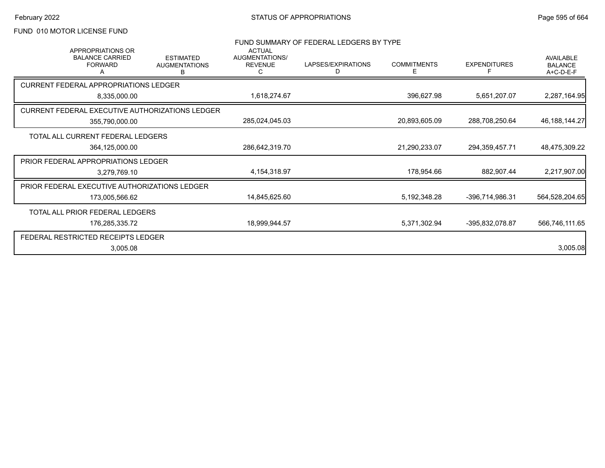## FUND 010 MOTOR LICENSE FUND

| FUND SUMMARY OF FEDERAL LEDGERS BY TYPE<br><b>APPROPRIATIONS OR</b><br><b>ACTUAL</b><br><b>BALANCE CARRIED</b><br>AUGMENTATIONS/<br><b>ESTIMATED</b> |                           |                |                         |                         | <b>AVAILABLE</b>    |                             |
|------------------------------------------------------------------------------------------------------------------------------------------------------|---------------------------|----------------|-------------------------|-------------------------|---------------------|-----------------------------|
| <b>FORWARD</b>                                                                                                                                       | <b>AUGMENTATIONS</b><br>В | <b>REVENUE</b> | LAPSES/EXPIRATIONS<br>D | <b>COMMITMENTS</b><br>Е | <b>EXPENDITURES</b> | <b>BALANCE</b><br>A+C-D-E-F |
| <b>CURRENT FEDERAL APPROPRIATIONS LEDGER</b>                                                                                                         |                           |                |                         |                         |                     |                             |
| 8,335,000.00                                                                                                                                         |                           | 1,618,274.67   |                         | 396,627.98              | 5,651,207.07        | 2,287,164.95                |
| CURRENT FEDERAL EXECUTIVE AUTHORIZATIONS LEDGER                                                                                                      |                           |                |                         |                         |                     |                             |
| 355,790,000.00                                                                                                                                       |                           | 285,024,045.03 |                         | 20,893,605.09           | 288,708,250.64      | 46, 188, 144. 27            |
| TOTAL ALL CURRENT FEDERAL LEDGERS                                                                                                                    |                           |                |                         |                         |                     |                             |
| 364,125,000.00                                                                                                                                       |                           | 286,642,319.70 |                         | 21,290,233.07           | 294,359,457.71      | 48,475,309.22               |
| PRIOR FEDERAL APPROPRIATIONS LEDGER                                                                                                                  |                           |                |                         |                         |                     |                             |
| 3,279,769.10                                                                                                                                         |                           | 4,154,318.97   |                         | 178,954.66              | 882,907.44          | 2,217,907.00                |
| PRIOR FEDERAL EXECUTIVE AUTHORIZATIONS LEDGER                                                                                                        |                           |                |                         |                         |                     |                             |
| 173,005,566.62                                                                                                                                       |                           | 14,845,625.60  |                         | 5,192,348.28            | -396,714,986.31     | 564,528,204.65              |
| TOTAL ALL PRIOR FEDERAL LEDGERS                                                                                                                      |                           |                |                         |                         |                     |                             |
| 176,285,335.72                                                                                                                                       |                           | 18,999,944.57  |                         | 5,371,302.94            | -395,832,078.87     | 566,746,111.65              |
| FEDERAL RESTRICTED RECEIPTS LEDGER                                                                                                                   |                           |                |                         |                         |                     |                             |
| 3,005.08                                                                                                                                             |                           |                |                         |                         |                     | 3,005.08                    |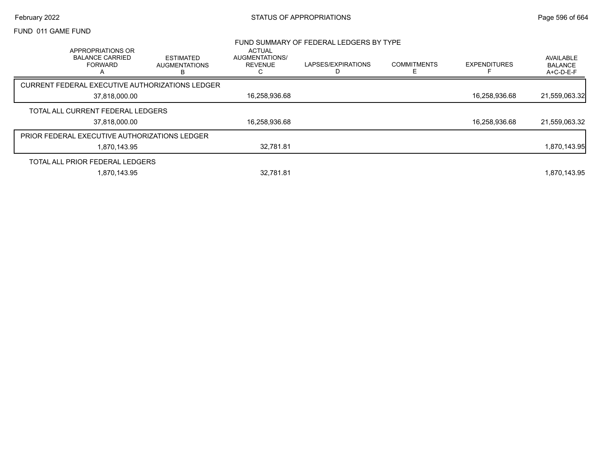#### February 2022 **Example 2022** Page 596 of 664

#### FUND 011 GAME FUND

|                                                                                 |                                               |                                                        | FUND SUMMARY OF FEDERAL LEDGERS BY TYPE |                    |                     |                                            |
|---------------------------------------------------------------------------------|-----------------------------------------------|--------------------------------------------------------|-----------------------------------------|--------------------|---------------------|--------------------------------------------|
| APPROPRIATIONS OR<br><b>BALANCE CARRIED</b><br><b>FORWARD</b><br>$\overline{A}$ | <b>ESTIMATED</b><br><b>AUGMENTATIONS</b><br>в | <b>ACTUAL</b><br>AUGMENTATIONS/<br><b>REVENUE</b><br>С | LAPSES/EXPIRATIONS                      | <b>COMMITMENTS</b> | <b>EXPENDITURES</b> | AVAILABLE<br><b>BALANCE</b><br>$A+C-D-E-F$ |
| CURRENT FEDERAL EXECUTIVE AUTHORIZATIONS LEDGER                                 |                                               |                                                        |                                         |                    |                     |                                            |
| 37,818,000.00                                                                   |                                               | 16,258,936.68                                          |                                         |                    | 16.258.936.68       | 21,559,063.32                              |
| TOTAL ALL CURRENT FEDERAL LEDGERS                                               |                                               |                                                        |                                         |                    |                     |                                            |
| 37.818.000.00                                                                   |                                               | 16.258.936.68                                          |                                         |                    | 16.258.936.68       | 21,559,063.32                              |
| <b>PRIOR FEDERAL EXECUTIVE AUTHORIZATIONS LEDGER</b>                            |                                               |                                                        |                                         |                    |                     |                                            |
| 1.870.143.95                                                                    |                                               | 32.781.81                                              |                                         |                    |                     | 1,870,143.95                               |
| TOTAL ALL PRIOR FEDERAL LEDGERS                                                 |                                               |                                                        |                                         |                    |                     |                                            |
| 1.870.143.95                                                                    |                                               | 32.781.81                                              |                                         |                    |                     | 1.870.143.95                               |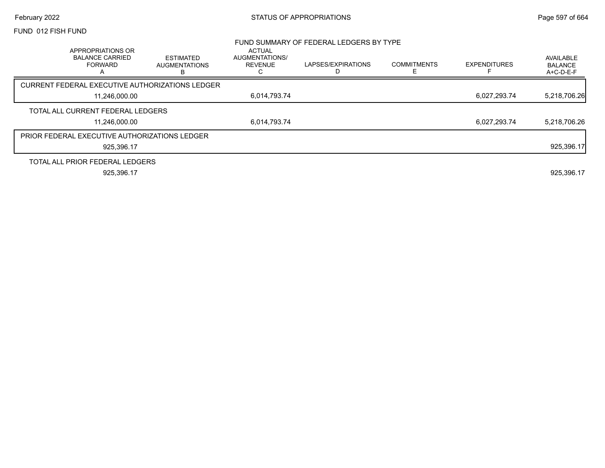# February 2022 **Example 2022** Page 597 of 664

#### FUND 012 FISH FUND

|                                                                    |                                        |                                                        | FUND SUMMARY OF FEDERAL LEDGERS BY TYPE |                    |                     |                                          |
|--------------------------------------------------------------------|----------------------------------------|--------------------------------------------------------|-----------------------------------------|--------------------|---------------------|------------------------------------------|
| APPROPRIATIONS OR<br><b>BALANCE CARRIED</b><br><b>FORWARD</b><br>A | ESTIMATED<br><b>AUGMENTATIONS</b><br>в | <b>ACTUAL</b><br>AUGMENTATIONS/<br><b>REVENUE</b><br>С | LAPSES/EXPIRATIONS                      | <b>COMMITMENTS</b> | <b>EXPENDITURES</b> | AVAILABLE<br><b>BALANCE</b><br>A+C-D-E-F |
| CURRENT FEDERAL EXECUTIVE AUTHORIZATIONS LEDGER                    |                                        |                                                        |                                         |                    |                     |                                          |
| 11.246.000.00                                                      |                                        | 6,014,793.74                                           |                                         |                    | 6,027,293.74        | 5,218,706.26                             |
| TOTAL ALL CURRENT FEDERAL LEDGERS                                  |                                        |                                                        |                                         |                    |                     |                                          |
| 11,246,000.00                                                      |                                        | 6,014,793.74                                           |                                         |                    | 6.027.293.74        | 5,218,706.26                             |
| <b>PRIOR FEDERAL EXECUTIVE AUTHORIZATIONS LEDGER</b>               |                                        |                                                        |                                         |                    |                     |                                          |
| 925,396.17                                                         |                                        |                                                        |                                         |                    |                     | 925,396.17                               |
| TOTAL ALL PRIOR FEDERAL LEDGERS                                    |                                        |                                                        |                                         |                    |                     |                                          |
| 925.396.17                                                         |                                        |                                                        |                                         |                    |                     | 925,396.17                               |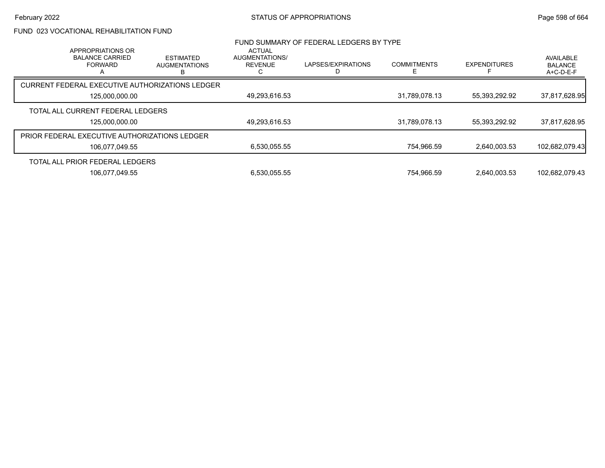## FUND 023 VOCATIONAL REHABILITATION FUND

| APPROPRIATIONS OR                               |                                               | <b>ACTUAL</b>                    | FUND SUMMARY OF FEDERAL LEDGERS BY TYPE |                         |                     |                                          |
|-------------------------------------------------|-----------------------------------------------|----------------------------------|-----------------------------------------|-------------------------|---------------------|------------------------------------------|
| <b>BALANCE CARRIED</b><br><b>FORWARD</b>        | <b>ESTIMATED</b><br><b>AUGMENTATIONS</b><br>B | AUGMENTATIONS/<br><b>REVENUE</b> | LAPSES/EXPIRATIONS                      | <b>COMMITMENTS</b><br>F | <b>EXPENDITURES</b> | AVAILABLE<br><b>BALANCE</b><br>A+C-D-E-F |
| CURRENT FEDERAL EXECUTIVE AUTHORIZATIONS LEDGER |                                               |                                  |                                         |                         |                     |                                          |
| 125,000,000.00                                  |                                               | 49,293,616.53                    |                                         | 31,789,078.13           | 55,393,292.92       | 37,817,628.95                            |
| TOTAL ALL CURRENT FEDERAL LEDGERS               |                                               |                                  |                                         |                         |                     |                                          |
| 125,000,000.00                                  |                                               | 49,293,616.53                    |                                         | 31,789,078.13           | 55,393,292.92       | 37,817,628.95                            |
| PRIOR FEDERAL EXECUTIVE AUTHORIZATIONS LEDGER   |                                               |                                  |                                         |                         |                     |                                          |
| 106.077.049.55                                  |                                               | 6,530,055.55                     |                                         | 754,966.59              | 2.640.003.53        | 102.682.079.43                           |
| TOTAL ALL PRIOR FEDERAL LEDGERS                 |                                               |                                  |                                         |                         |                     |                                          |
| 106.077.049.55                                  |                                               | 6,530,055.55                     |                                         | 754.966.59              | 2.640.003.53        | 102.682.079.43                           |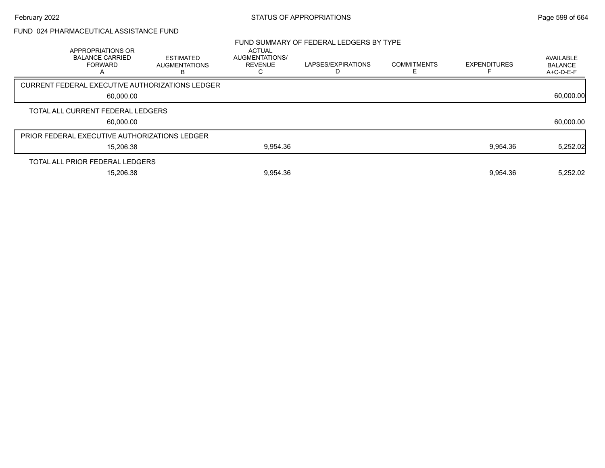# FUND 024 PHARMACEUTICAL ASSISTANCE FUND

|                                                      |                                                               |                                                 |                                                   | FUND SUMMARY OF FEDERAL LEDGERS BY TYPE |                    |                     |                                          |
|------------------------------------------------------|---------------------------------------------------------------|-------------------------------------------------|---------------------------------------------------|-----------------------------------------|--------------------|---------------------|------------------------------------------|
|                                                      | APPROPRIATIONS OR<br><b>BALANCE CARRIED</b><br><b>FORWARD</b> | <b>ESTIMATED</b><br><b>AUGMENTATIONS</b>        | <b>ACTUAL</b><br>AUGMENTATIONS/<br><b>REVENUE</b> | LAPSES/EXPIRATIONS                      | <b>COMMITMENTS</b> | <b>EXPENDITURES</b> | AVAILABLE<br><b>BALANCE</b><br>A+C-D-E-F |
|                                                      |                                                               | CURRENT FEDERAL EXECUTIVE AUTHORIZATIONS LEDGER |                                                   |                                         |                    |                     |                                          |
|                                                      | 60,000.00                                                     |                                                 |                                                   |                                         |                    |                     | 60,000.00                                |
| TOTAL ALL CURRENT FEDERAL LEDGERS                    |                                                               |                                                 |                                                   |                                         |                    |                     |                                          |
|                                                      | 60,000.00                                                     |                                                 |                                                   |                                         |                    |                     | 60,000.00                                |
| <b>PRIOR FEDERAL EXECUTIVE AUTHORIZATIONS LEDGER</b> |                                                               |                                                 |                                                   |                                         |                    |                     |                                          |
|                                                      | 15,206.38                                                     |                                                 | 9,954.36                                          |                                         |                    | 9,954.36            | 5,252.02                                 |
| TOTAL ALL PRIOR FEDERAL LEDGERS                      |                                                               |                                                 |                                                   |                                         |                    |                     |                                          |
|                                                      | 15,206.38                                                     |                                                 | 9,954.36                                          |                                         |                    | 9,954.36            | 5,252.02                                 |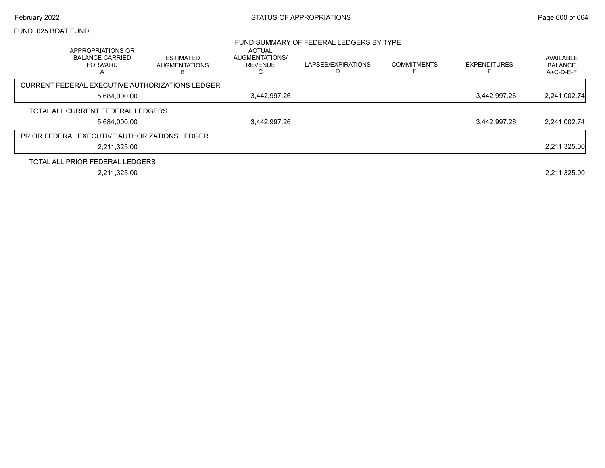#### February 2022 **Example 2022** Page 600 of 664

#### FUND 025 BOAT FUND

|                                                                    |                                               |                                                        | FUND SUMMARY OF FEDERAL LEDGERS BY TYPE |                    |                     |                                          |
|--------------------------------------------------------------------|-----------------------------------------------|--------------------------------------------------------|-----------------------------------------|--------------------|---------------------|------------------------------------------|
| APPROPRIATIONS OR<br><b>BALANCE CARRIED</b><br><b>FORWARD</b><br>A | <b>ESTIMATED</b><br><b>AUGMENTATIONS</b><br>в | <b>ACTUAL</b><br>AUGMENTATIONS/<br><b>REVENUE</b><br>◡ | LAPSES/EXPIRATIONS                      | <b>COMMITMENTS</b> | <b>EXPENDITURES</b> | AVAILABLE<br><b>BALANCE</b><br>A+C-D-E-F |
| CURRENT FEDERAL EXECUTIVE AUTHORIZATIONS LEDGER                    |                                               |                                                        |                                         |                    |                     |                                          |
| 5,684,000.00                                                       |                                               | 3,442,997.26                                           |                                         |                    | 3,442,997.26        | 2,241,002.74                             |
| TOTAL ALL CURRENT FEDERAL LEDGERS                                  |                                               |                                                        |                                         |                    |                     |                                          |
| 5,684,000.00                                                       |                                               | 3,442,997.26                                           |                                         |                    | 3,442,997.26        | 2,241,002.74                             |
| <b>PRIOR FEDERAL EXECUTIVE AUTHORIZATIONS LEDGER</b>               |                                               |                                                        |                                         |                    |                     |                                          |
| 2,211,325.00                                                       |                                               |                                                        |                                         |                    |                     | 2,211,325.00                             |
| TOTAL ALL PRIOR FEDERAL LEDGERS                                    |                                               |                                                        |                                         |                    |                     |                                          |
| 2,211,325.00                                                       |                                               |                                                        |                                         |                    |                     | 2,211,325.00                             |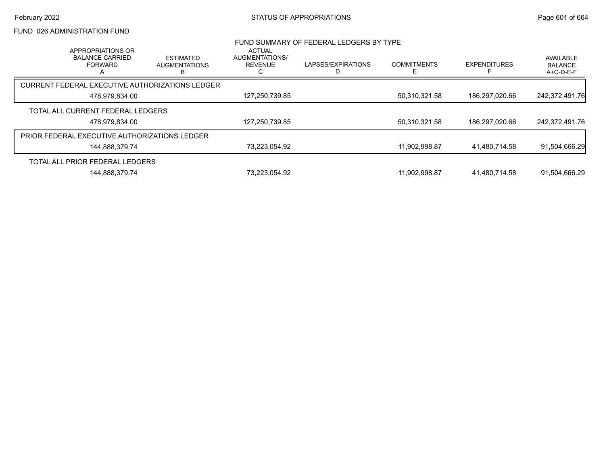## FUND 026 ADMINISTRATION FUND

|                                                      | FUND SUMMARY OF FEDERAL LEDGERS BY TYPE<br><b>ACTUAL</b><br>APPROPRIATIONS OR |                                               |                                  |                    |                    |                     |                                          |  |  |
|------------------------------------------------------|-------------------------------------------------------------------------------|-----------------------------------------------|----------------------------------|--------------------|--------------------|---------------------|------------------------------------------|--|--|
|                                                      | <b>BALANCE CARRIED</b><br><b>FORWARD</b>                                      | <b>ESTIMATED</b><br><b>AUGMENTATIONS</b><br>R | AUGMENTATIONS/<br><b>REVENUE</b> | LAPSES/EXPIRATIONS | <b>COMMITMENTS</b> | <b>EXPENDITURES</b> | AVAILABLE<br><b>BALANCE</b><br>A+C-D-E-F |  |  |
| CURRENT FEDERAL EXECUTIVE AUTHORIZATIONS LEDGER      |                                                                               |                                               |                                  |                    |                    |                     |                                          |  |  |
|                                                      | 478,979,834.00                                                                |                                               | 127,250,739.85                   |                    | 50,310,321.58      | 186,297,020.66      | 242,372,491.76                           |  |  |
| TOTAL ALL CURRENT FEDERAL LEDGERS                    |                                                                               |                                               |                                  |                    |                    |                     |                                          |  |  |
|                                                      | 478,979,834.00                                                                |                                               | 127,250,739.85                   |                    | 50,310,321.58      | 186,297,020.66      | 242,372,491.76                           |  |  |
| <b>PRIOR FEDERAL EXECUTIVE AUTHORIZATIONS LEDGER</b> |                                                                               |                                               |                                  |                    |                    |                     |                                          |  |  |
|                                                      | 144,888,379.74                                                                |                                               | 73,223,054.92                    |                    | 11,902,998.87      | 41,480,714.58       | 91,504,666.29                            |  |  |
| TOTAL ALL PRIOR FEDERAL LEDGERS                      |                                                                               |                                               |                                  |                    |                    |                     |                                          |  |  |
|                                                      | 144.888.379.74                                                                |                                               | 73.223.054.92                    |                    | 11.902.998.87      | 41.480.714.58       | 91.504.666.29                            |  |  |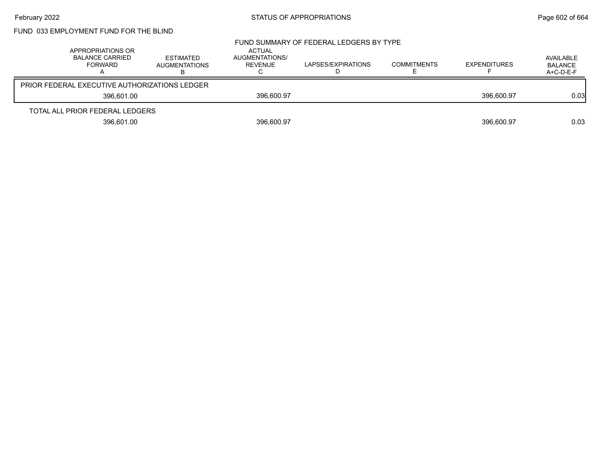# February 2022 **Example 2022** Page 602 of 664

# FUND 033 EMPLOYMENT FUND FOR THE BLIND

| APPROPRIATIONS OR<br><b>BALANCE CARRIED</b>          | FORWARD    | ESTIMATED<br><b>AUGMENTATIONS</b> | ACTUAL<br>AUGMENTATIONS/<br>REVENUE | FUND SUMMARY OF FEDERAL LEDGERS BY TYPE<br>LAPSES/EXPIRATIONS | COMMITMENTS | <b>EXPENDITURES</b> | AVAILABLE<br><b>BALANCE</b><br>$A+C-D-E-F$ |
|------------------------------------------------------|------------|-----------------------------------|-------------------------------------|---------------------------------------------------------------|-------------|---------------------|--------------------------------------------|
| <b>PRIOR FEDERAL EXECUTIVE AUTHORIZATIONS LEDGER</b> |            |                                   |                                     |                                                               |             |                     |                                            |
|                                                      | 396.601.00 |                                   | 396,600.97                          |                                                               |             | 396.600.97          | 0.03                                       |
| TOTAL ALL PRIOR FEDERAL LEDGERS                      |            |                                   |                                     |                                                               |             |                     |                                            |
|                                                      | 396,601.00 |                                   | 396,600.97                          |                                                               |             | 396.600.97          | 0.03                                       |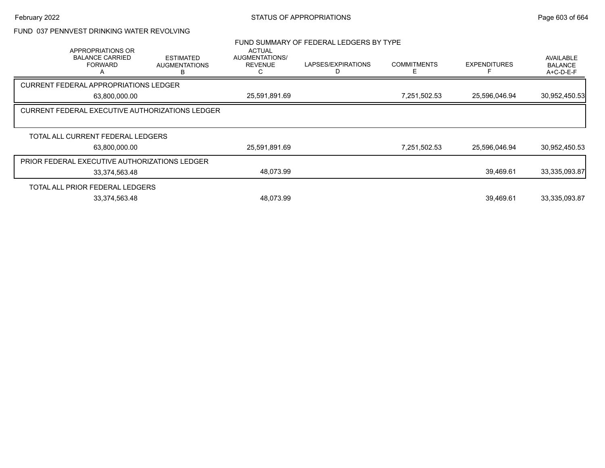# FUND 037 PENNVEST DRINKING WATER REVOLVING

|                                                                    |                                        |                                                   | FUND SUMMARY OF FEDERAL LEDGERS BY TYPE |                         |                     |                                            |
|--------------------------------------------------------------------|----------------------------------------|---------------------------------------------------|-----------------------------------------|-------------------------|---------------------|--------------------------------------------|
| APPROPRIATIONS OR<br><b>BALANCE CARRIED</b><br><b>FORWARD</b><br>A | ESTIMATED<br><b>AUGMENTATIONS</b><br>В | <b>ACTUAL</b><br>AUGMENTATIONS/<br><b>REVENUE</b> | LAPSES/EXPIRATIONS<br>D                 | <b>COMMITMENTS</b><br>Е | <b>EXPENDITURES</b> | AVAILABLE<br><b>BALANCE</b><br>$A+C-D-E-F$ |
| <b>CURRENT FEDERAL APPROPRIATIONS LEDGER</b>                       |                                        |                                                   |                                         |                         |                     |                                            |
| 63,800,000.00                                                      |                                        | 25,591,891.69                                     |                                         | 7,251,502.53            | 25,596,046.94       | 30,952,450.53                              |
| CURRENT FEDERAL EXECUTIVE AUTHORIZATIONS LEDGER                    |                                        |                                                   |                                         |                         |                     |                                            |
|                                                                    |                                        |                                                   |                                         |                         |                     |                                            |
| TOTAL ALL CURRENT FEDERAL LEDGERS                                  |                                        |                                                   |                                         |                         |                     |                                            |
| 63,800,000.00                                                      |                                        | 25,591,891.69                                     |                                         | 7,251,502.53            | 25,596,046.94       | 30,952,450.53                              |
| PRIOR FEDERAL EXECUTIVE AUTHORIZATIONS LEDGER                      |                                        |                                                   |                                         |                         |                     |                                            |
| 33,374,563.48                                                      |                                        | 48,073.99                                         |                                         |                         | 39,469.61           | 33,335,093.87                              |
| TOTAL ALL PRIOR FEDERAL LEDGERS                                    |                                        |                                                   |                                         |                         |                     |                                            |
| 33,374,563.48                                                      |                                        | 48.073.99                                         |                                         |                         | 39,469.61           | 33,335,093.87                              |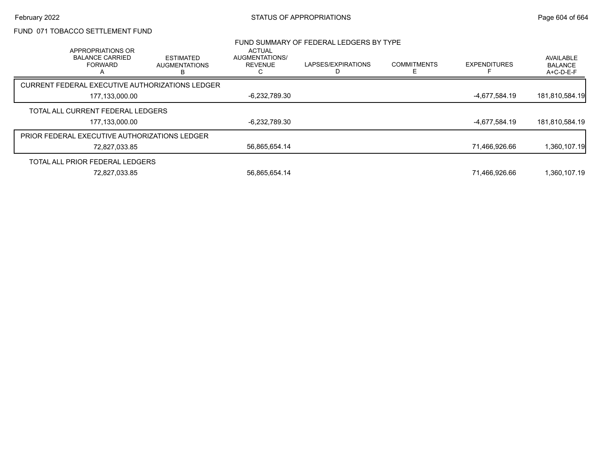## FUND 071 TOBACCO SETTLEMENT FUND

| APPROPRIATIONS OR                                    |                                               | <b>ACTUAL</b>                           | FUND SUMMARY OF FEDERAL LEDGERS BY TYPE |                         |                     |                                          |
|------------------------------------------------------|-----------------------------------------------|-----------------------------------------|-----------------------------------------|-------------------------|---------------------|------------------------------------------|
| <b>BALANCE CARRIED</b><br><b>FORWARD</b><br>А        | <b>ESTIMATED</b><br><b>AUGMENTATIONS</b><br>В | <b>AUGMENTATIONS/</b><br><b>REVENUE</b> | LAPSES/EXPIRATIONS                      | <b>COMMITMENTS</b><br>F | <b>EXPENDITURES</b> | AVAILABLE<br><b>BALANCE</b><br>A+C-D-E-F |
| CURRENT FEDERAL EXECUTIVE AUTHORIZATIONS LEDGER      |                                               |                                         |                                         |                         |                     |                                          |
| 177,133,000.00                                       |                                               | -6,232,789.30                           |                                         |                         | -4,677,584.19       | 181,810,584.19                           |
| TOTAL ALL CURRENT FEDERAL LEDGERS                    |                                               |                                         |                                         |                         |                     |                                          |
| 177,133,000.00                                       |                                               | -6,232,789.30                           |                                         |                         | -4,677,584.19       | 181,810,584.19                           |
| <b>PRIOR FEDERAL EXECUTIVE AUTHORIZATIONS LEDGER</b> |                                               |                                         |                                         |                         |                     |                                          |
| 72,827,033.85                                        |                                               | 56,865,654.14                           |                                         |                         | 71,466,926.66       | 1,360,107.19                             |
| TOTAL ALL PRIOR FEDERAL LEDGERS                      |                                               |                                         |                                         |                         |                     |                                          |
| 72,827,033.85                                        |                                               | 56,865,654.14                           |                                         |                         | 71,466,926.66       | 1,360,107.19                             |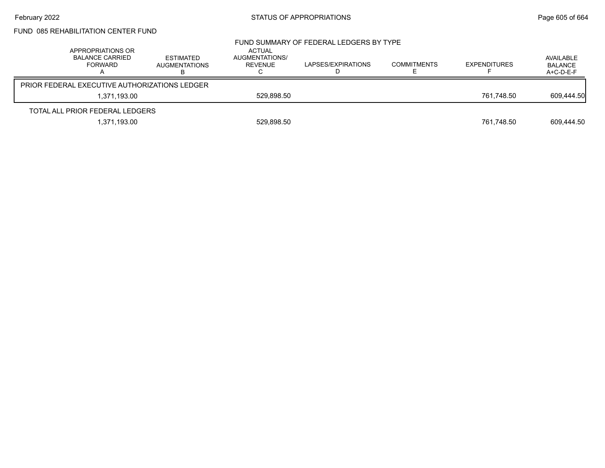# FUND 085 REHABILITATION CENTER FUND

|                                               | APPROPRIATIONS OR<br>BALANCE CARRIED<br><b>FORWARD</b> | ESTIMATED<br><b>AUGMENTATIONS</b> | <b>ACTUAL</b><br>AUGMENTATIONS/<br>REVENUE | FUND SUMMARY OF FEDERAL LEDGERS BY TYPE<br>LAPSES/EXPIRATIONS | <b>COMMITMENTS</b> | <b>EXPENDITURES</b> | AVAILABLE<br><b>BALANCE</b><br>A+C-D-E-F |
|-----------------------------------------------|--------------------------------------------------------|-----------------------------------|--------------------------------------------|---------------------------------------------------------------|--------------------|---------------------|------------------------------------------|
| PRIOR FEDERAL EXECUTIVE AUTHORIZATIONS LEDGER |                                                        |                                   |                                            |                                                               |                    |                     |                                          |
|                                               | 1.371.193.00                                           |                                   | 529.898.50                                 |                                                               |                    | 761.748.50          | 609,444.50                               |
|                                               | TOTAL ALL PRIOR FEDERAL LEDGERS                        |                                   |                                            |                                                               |                    |                     |                                          |
|                                               | 1,371,193.00                                           |                                   | 529,898.50                                 |                                                               |                    | 761,748.50          | 609,444.50                               |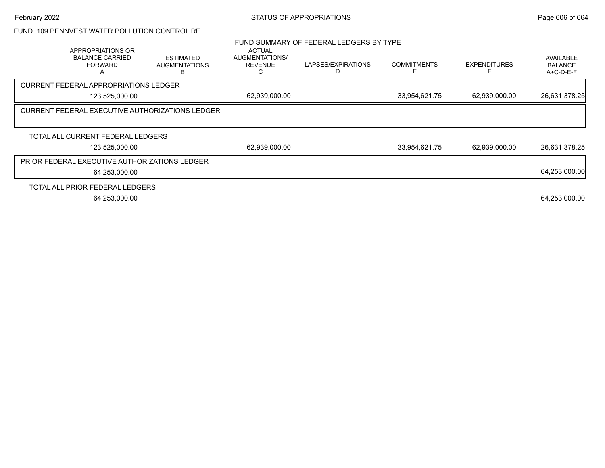## FUND 109 PENNVEST WATER POLLUTION CONTROL RE

|                |                                                               |                                                        |                                                   | FUND SUMMARY OF FEDERAL LEDGERS BY TYPE |                    |                     |                                                 |
|----------------|---------------------------------------------------------------|--------------------------------------------------------|---------------------------------------------------|-----------------------------------------|--------------------|---------------------|-------------------------------------------------|
|                | APPROPRIATIONS OR<br><b>BALANCE CARRIED</b><br><b>FORWARD</b> | <b>ESTIMATED</b><br><b>AUGMENTATIONS</b><br>B.         | <b>ACTUAL</b><br>AUGMENTATIONS/<br><b>REVENUE</b> | LAPSES/EXPIRATIONS                      | <b>COMMITMENTS</b> | <b>EXPENDITURES</b> | <b>AVAILABLE</b><br><b>BALANCE</b><br>A+C-D-E-F |
|                | <b>CURRENT FEDERAL APPROPRIATIONS LEDGER</b>                  |                                                        |                                                   |                                         |                    |                     |                                                 |
| 123,525,000.00 |                                                               |                                                        | 62,939,000.00                                     |                                         | 33,954,621.75      | 62,939,000.00       | 26,631,378.25                                   |
|                |                                                               | <b>CURRENT FEDERAL EXECUTIVE AUTHORIZATIONS LEDGER</b> |                                                   |                                         |                    |                     |                                                 |
|                |                                                               |                                                        |                                                   |                                         |                    |                     |                                                 |
|                | TOTAL ALL CURRENT FEDERAL LEDGERS                             |                                                        |                                                   |                                         |                    |                     |                                                 |
|                | 123,525,000.00                                                |                                                        | 62,939,000.00                                     |                                         | 33,954,621.75      | 62,939,000.00       | 26,631,378.25                                   |
|                | PRIOR FEDERAL EXECUTIVE AUTHORIZATIONS LEDGER                 |                                                        |                                                   |                                         |                    |                     |                                                 |
|                | 64,253,000.00                                                 |                                                        |                                                   |                                         |                    |                     | 64,253,000.00                                   |
|                | TOTAL ALL PRIOR FEDERAL LEDGERS                               |                                                        |                                                   |                                         |                    |                     |                                                 |
|                | 64,253,000.00                                                 |                                                        |                                                   |                                         |                    |                     | 64,253,000.00                                   |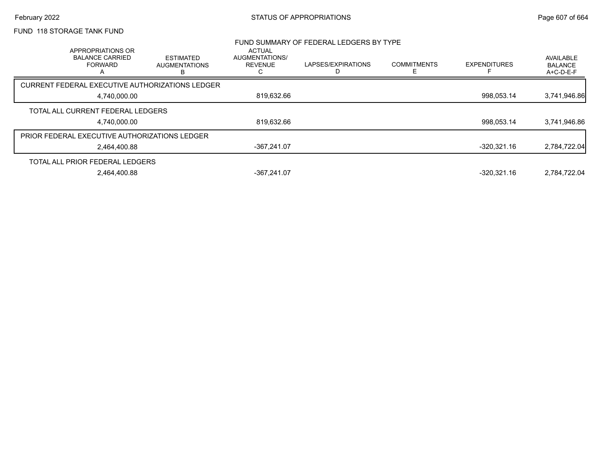# February 2022 **Example 2022 STATUS OF APPROPRIATIONS** STATUS OF APPROPRIATIONS

# FUND 118 STORAGE TANK FUND

|                                                                      |                                               |                                                   | FUND SUMMARY OF FEDERAL LEDGERS BY TYPE |                    |                     |                                          |
|----------------------------------------------------------------------|-----------------------------------------------|---------------------------------------------------|-----------------------------------------|--------------------|---------------------|------------------------------------------|
| <b>APPROPRIATIONS OR</b><br><b>BALANCE CARRIED</b><br><b>FORWARD</b> | <b>ESTIMATED</b><br><b>AUGMENTATIONS</b><br>в | <b>ACTUAL</b><br>AUGMENTATIONS/<br><b>REVENUE</b> | LAPSES/EXPIRATIONS                      | <b>COMMITMENTS</b> | <b>EXPENDITURES</b> | AVAILABLE<br><b>BALANCE</b><br>A+C-D-E-F |
| CURRENT FEDERAL EXECUTIVE AUTHORIZATIONS LEDGER                      |                                               |                                                   |                                         |                    |                     |                                          |
| 4.740.000.00                                                         |                                               | 819.632.66                                        |                                         |                    | 998.053.14          | 3,741,946.86                             |
| TOTAL ALL CURRENT FEDERAL LEDGERS                                    |                                               |                                                   |                                         |                    |                     |                                          |
| 4,740,000.00                                                         |                                               | 819,632.66                                        |                                         |                    | 998,053.14          | 3,741,946.86                             |
| <b>PRIOR FEDERAL EXECUTIVE AUTHORIZATIONS LEDGER</b>                 |                                               |                                                   |                                         |                    |                     |                                          |
| 2.464.400.88                                                         |                                               | -367.241.07                                       |                                         |                    | -320.321.16         | 2,784,722.04                             |
| TOTAL ALL PRIOR FEDERAL LEDGERS                                      |                                               |                                                   |                                         |                    |                     |                                          |
| 2.464.400.88                                                         |                                               | -367.241.07                                       |                                         |                    | -320.321.16         | 2.784.722.04                             |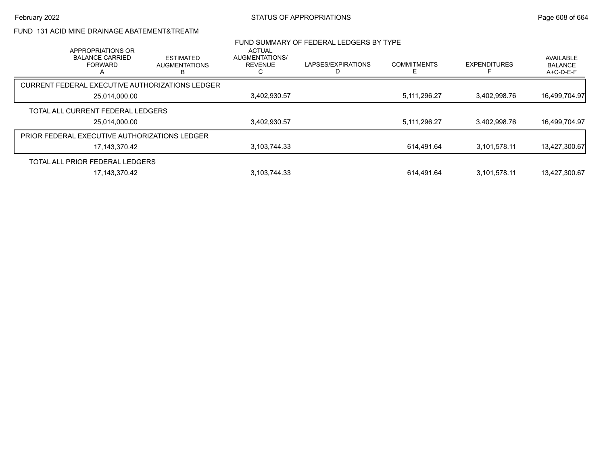## FUND 131 ACID MINE DRAINAGE ABATEMENT&TREATM

|                                                      | APPROPRIATIONS OR                        |                                                 | <b>ACTUAL</b>                    | FUND SUMMARY OF FEDERAL LEDGERS BY TYPE |                    |                     |                                          |
|------------------------------------------------------|------------------------------------------|-------------------------------------------------|----------------------------------|-----------------------------------------|--------------------|---------------------|------------------------------------------|
|                                                      | <b>BALANCE CARRIED</b><br><b>FORWARD</b> | <b>ESTIMATED</b><br><b>AUGMENTATIONS</b><br>B.  | AUGMENTATIONS/<br><b>REVENUE</b> | LAPSES/EXPIRATIONS                      | <b>COMMITMENTS</b> | <b>EXPENDITURES</b> | AVAILABLE<br><b>BALANCE</b><br>A+C-D-E-F |
|                                                      |                                          | CURRENT FEDERAL EXECUTIVE AUTHORIZATIONS LEDGER |                                  |                                         |                    |                     |                                          |
| 25,014,000.00                                        |                                          | 3,402,930.57                                    |                                  | 5,111,296.27                            | 3.402.998.76       | 16,499,704.97       |                                          |
|                                                      | TOTAL ALL CURRENT FEDERAL LEDGERS        |                                                 |                                  |                                         |                    |                     |                                          |
|                                                      | 25,014,000.00                            |                                                 | 3,402,930.57                     |                                         | 5,111,296.27       | 3,402,998.76        | 16,499,704.97                            |
| <b>PRIOR FEDERAL EXECUTIVE AUTHORIZATIONS LEDGER</b> |                                          |                                                 |                                  |                                         |                    |                     |                                          |
|                                                      | 17,143,370.42                            |                                                 | 3,103,744.33                     |                                         | 614.491.64         | 3.101.578.11        | 13,427,300.67                            |
|                                                      | TOTAL ALL PRIOR FEDERAL LEDGERS          |                                                 |                                  |                                         |                    |                     |                                          |
|                                                      | 17.143.370.42                            |                                                 | 3.103.744.33                     |                                         | 614.491.64         | 3.101.578.11        | 13.427.300.67                            |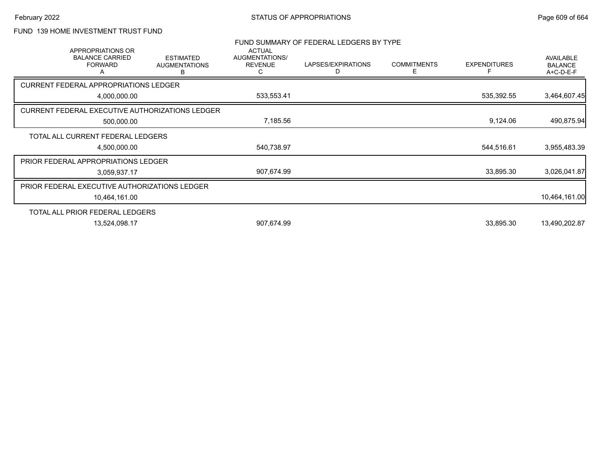## FUND 139 HOME INVESTMENT TRUST FUND

|            | <b>APPROPRIATIONS OR</b>                      |                                                        | <b>ACTUAL</b>                         | FUND SUMMARY OF FEDERAL LEDGERS BY TYPE |                         |                     |                                          |
|------------|-----------------------------------------------|--------------------------------------------------------|---------------------------------------|-----------------------------------------|-------------------------|---------------------|------------------------------------------|
|            | <b>BALANCE CARRIED</b><br><b>FORWARD</b><br>A | <b>ESTIMATED</b><br><b>AUGMENTATIONS</b><br>в          | AUGMENTATIONS/<br><b>REVENUE</b><br>С | LAPSES/EXPIRATIONS<br>D                 | <b>COMMITMENTS</b><br>Е | <b>EXPENDITURES</b> | <b>AVAILABLE</b><br>BALANCE<br>A+C-D-E-F |
|            | <b>CURRENT FEDERAL APPROPRIATIONS LEDGER</b>  |                                                        |                                       |                                         |                         |                     |                                          |
|            | 4,000,000.00                                  |                                                        | 533,553.41                            |                                         |                         | 535,392.55          | 3,464,607.45                             |
|            |                                               | <b>CURRENT FEDERAL EXECUTIVE AUTHORIZATIONS LEDGER</b> |                                       |                                         |                         |                     |                                          |
| 500,000.00 |                                               | 7,185.56                                               |                                       |                                         | 9,124.06                | 490,875.94          |                                          |
|            | TOTAL ALL CURRENT FEDERAL LEDGERS             |                                                        |                                       |                                         |                         |                     |                                          |
|            | 4,500,000.00                                  |                                                        | 540,738.97                            |                                         |                         | 544,516.61          | 3,955,483.39                             |
|            | PRIOR FEDERAL APPROPRIATIONS LEDGER           |                                                        |                                       |                                         |                         |                     |                                          |
|            | 3,059,937.17                                  |                                                        | 907,674.99                            |                                         |                         | 33,895.30           | 3,026,041.87                             |
|            | PRIOR FEDERAL EXECUTIVE AUTHORIZATIONS LEDGER |                                                        |                                       |                                         |                         |                     |                                          |
|            | 10,464,161.00                                 |                                                        |                                       |                                         |                         |                     | 10,464,161.00                            |
|            | TOTAL ALL PRIOR FEDERAL LEDGERS               |                                                        |                                       |                                         |                         |                     |                                          |
|            | 13,524,098.17                                 |                                                        | 907,674.99                            |                                         |                         | 33,895.30           | 13,490,202.87                            |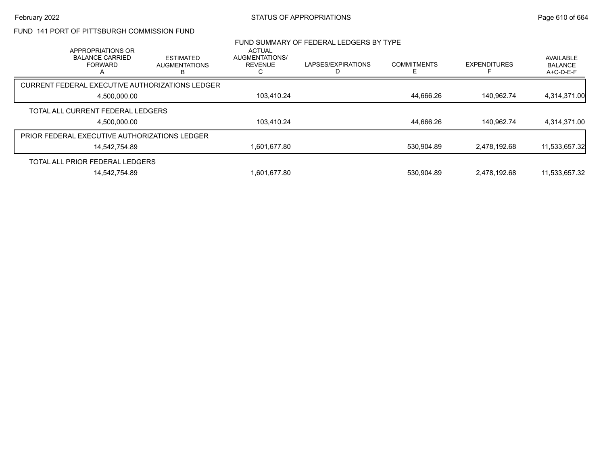## FUND 141 PORT OF PITTSBURGH COMMISSION FUND

| FUND SUMMARY OF FEDERAL LEDGERS BY TYPE<br><b>ACTUAL</b><br>APPROPRIATIONS OR |               |                                               |                                  |                    |                    |                     |                                          |
|-------------------------------------------------------------------------------|---------------|-----------------------------------------------|----------------------------------|--------------------|--------------------|---------------------|------------------------------------------|
| <b>BALANCE CARRIED</b><br><b>FORWARD</b>                                      |               | <b>ESTIMATED</b><br><b>AUGMENTATIONS</b><br>B | AUGMENTATIONS/<br><b>REVENUE</b> | LAPSES/EXPIRATIONS | <b>COMMITMENTS</b> | <b>EXPENDITURES</b> | AVAILABLE<br><b>BALANCE</b><br>A+C-D-E-F |
| CURRENT FEDERAL EXECUTIVE AUTHORIZATIONS LEDGER                               |               |                                               |                                  |                    |                    |                     |                                          |
| 4,500,000.00                                                                  |               | 103,410.24                                    |                                  | 44,666.26          | 140.962.74         | 4,314,371.00        |                                          |
| TOTAL ALL CURRENT FEDERAL LEDGERS                                             |               |                                               |                                  |                    |                    |                     |                                          |
|                                                                               | 4,500,000.00  |                                               | 103,410.24                       |                    | 44,666.26          | 140,962.74          | 4,314,371.00                             |
| <b>PRIOR FEDERAL EXECUTIVE AUTHORIZATIONS LEDGER</b>                          |               |                                               |                                  |                    |                    |                     |                                          |
|                                                                               | 14,542,754.89 |                                               | 1,601,677.80                     |                    | 530,904.89         | 2.478.192.68        | 11,533,657.32                            |
| TOTAL ALL PRIOR FEDERAL LEDGERS                                               |               |                                               |                                  |                    |                    |                     |                                          |
|                                                                               | 14.542.754.89 |                                               | 1.601.677.80                     |                    | 530.904.89         | 2.478.192.68        | 11.533.657.32                            |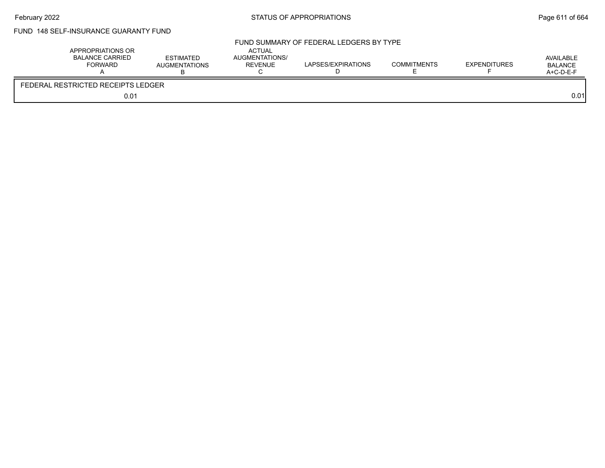# February 2022 **Example 2022** Page 611 of 664

# FUND 148 SELF-INSURANCE GUARANTY FUND

| APPROPRIATIONS OR<br><b>BALANCE CARRIED</b><br><b>FORWARD</b> | <b>ESTIMATED</b><br><b>AUGMENTATIONS</b> | ACTUAL<br>AUGMENTATIONS/<br><b>REVENUE</b><br>◡ | FUND SUMMARY OF FEDERAL LEDGERS BY TYPE<br>LAPSES/EXPIRATIONS | <b>COMMITMENTS</b> | <b>EXPENDITURES</b> | AVAILABLE<br><b>BALANCE</b><br>A+C-D-E-F |
|---------------------------------------------------------------|------------------------------------------|-------------------------------------------------|---------------------------------------------------------------|--------------------|---------------------|------------------------------------------|
| FEDERAL RESTRICTED RECEIPTS LEDGER                            |                                          |                                                 |                                                               |                    |                     |                                          |
| 0.01                                                          |                                          |                                                 |                                                               |                    |                     | 0.01                                     |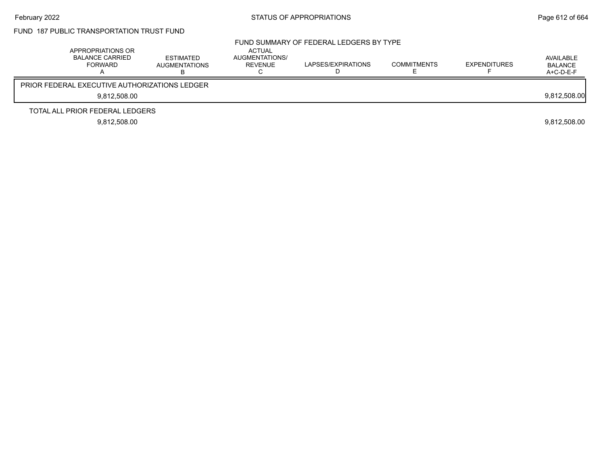# FUND 187 PUBLIC TRANSPORTATION TRUST FUND

| APPROPRIATIONS OR<br><b>BALANCE CARRIED</b><br>FORWARD | ESTIMATED<br><b>AUGMENTATIONS</b> | ACTUAL<br>AUGMENTATIONS/<br>REVENUE | FUND SUMMARY OF FEDERAL LEDGERS BY TYPE<br>LAPSES/EXPIRATIONS | <b>COMMITMENTS</b> | <b>EXPENDITURES</b> | AVAILABLE<br><b>BALANCE</b><br>$A+C-D-E-F$ |
|--------------------------------------------------------|-----------------------------------|-------------------------------------|---------------------------------------------------------------|--------------------|---------------------|--------------------------------------------|
| <b>PRIOR FEDERAL EXECUTIVE AUTHORIZATIONS LEDGER</b>   |                                   |                                     |                                                               |                    |                     |                                            |
| 9.812.508.00                                           |                                   |                                     |                                                               |                    |                     | 9,812,508.00                               |
| TOTAL ALL PRIOR FEDERAL LEDGERS                        |                                   |                                     |                                                               |                    |                     |                                            |
| 9.812.508.00                                           |                                   |                                     |                                                               |                    |                     | 9,812,508.00                               |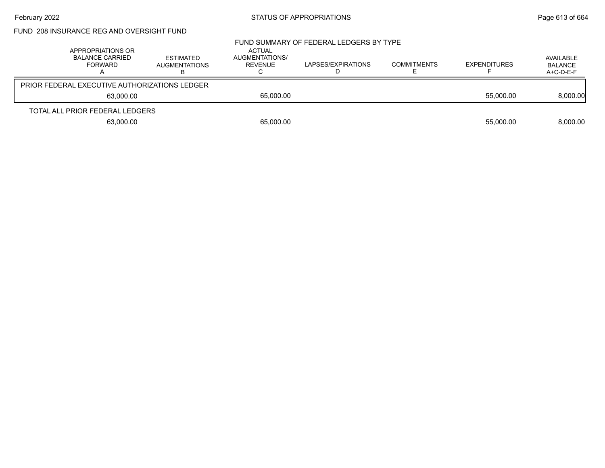# February 2022 **STATUS OF APPROPRIATIONS** STATUS OF APPROPRIATIONS

| FUND_208 INSURANCE REG AND OVERSIGHT FUND |
|-------------------------------------------|
|-------------------------------------------|

| APPROPRIATIONS OR<br><b>BALANCE CARRIED</b><br><b>FORWARD</b> | ESTIMATED<br><b>AUGMENTATIONS</b> | ACTUAL<br>AUGMENTATIONS/<br>REVENUE | FUND SUMMARY OF FEDERAL LEDGERS BY TYPE<br>LAPSES/EXPIRATIONS | <b>COMMITMENTS</b> | <b>EXPENDITURES</b> | AVAILABLE<br>BALANCE<br>$A+C-D-E-F$ |
|---------------------------------------------------------------|-----------------------------------|-------------------------------------|---------------------------------------------------------------|--------------------|---------------------|-------------------------------------|
| <b>PRIOR FEDERAL EXECUTIVE AUTHORIZATIONS LEDGER</b>          |                                   |                                     |                                                               |                    |                     |                                     |
| 63.000.00                                                     |                                   | 65,000.00                           |                                                               |                    | 55.000.00           | 8,000.00                            |
| TOTAL ALL PRIOR FEDERAL LEDGERS                               |                                   |                                     |                                                               |                    |                     |                                     |
| 63,000.00                                                     |                                   | 65,000.00                           |                                                               |                    | 55,000.00           | 8,000.00                            |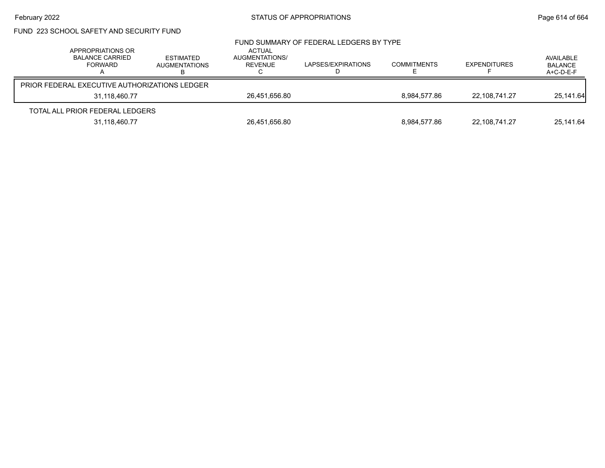# February 2022 **STATUS OF APPROPRIATIONS** STATUS OF APPROPRIATIONS

# FUND 223 SCHOOL SAFETY AND SECURITY FUND

| APPROPRIATIONS OR<br><b>BALANCE CARRIED</b><br>FORWARD | ESTIMATED<br><b>AUGMENTATIONS</b> | ACTUAL<br>AUGMENTATIONS/<br>REVENUE | FUND SUMMARY OF FEDERAL LEDGERS BY TYPE<br>LAPSES/EXPIRATIONS | <b>COMMITMENTS</b> | <b>EXPENDITURES</b> | AVAILABLE<br>BALANCE<br>$A+C-D-E-F$ |
|--------------------------------------------------------|-----------------------------------|-------------------------------------|---------------------------------------------------------------|--------------------|---------------------|-------------------------------------|
| <b>PRIOR FEDERAL EXECUTIVE AUTHORIZATIONS LEDGER</b>   |                                   |                                     |                                                               |                    |                     |                                     |
| 31,118,460.77                                          |                                   | 26,451,656.80                       |                                                               | 8.984.577.86       | 22.108.741.27       | 25,141.64                           |
| TOTAL ALL PRIOR FEDERAL LEDGERS                        |                                   |                                     |                                                               |                    |                     |                                     |
| 31,118,460.77                                          |                                   | 26,451,656.80                       |                                                               | 8,984,577.86       | 22,108,741.27       | 25,141.64                           |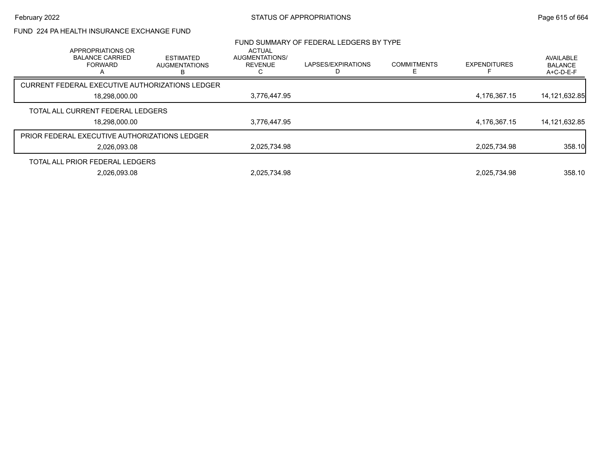#### FUND 224 PA HEALTH INSURANCE EXCHANGE FUND

|                                                      | APPROPRIATIONS OR                             |                                                 | <b>ACTUAL</b>                    | FUND SUMMARY OF FEDERAL LEDGERS BY TYPE |                          |                     |                                            |
|------------------------------------------------------|-----------------------------------------------|-------------------------------------------------|----------------------------------|-----------------------------------------|--------------------------|---------------------|--------------------------------------------|
|                                                      | <b>BALANCE CARRIED</b><br><b>FORWARD</b><br>А | <b>ESTIMATED</b><br><b>AUGMENTATIONS</b><br>В   | AUGMENTATIONS/<br><b>REVENUE</b> | LAPSES/EXPIRATIONS<br>D                 | <b>COMMITMENTS</b><br>F. | <b>EXPENDITURES</b> | AVAILABLE<br><b>BALANCE</b><br>$A+C-D-E-F$ |
|                                                      |                                               | CURRENT FEDERAL EXECUTIVE AUTHORIZATIONS LEDGER |                                  |                                         |                          |                     |                                            |
| 18,298,000.00                                        |                                               | 3,776,447.95                                    |                                  |                                         | 4,176,367.15             | 14, 121, 632.85     |                                            |
|                                                      | TOTAL ALL CURRENT FEDERAL LEDGERS             |                                                 |                                  |                                         |                          |                     |                                            |
|                                                      | 18,298,000.00                                 |                                                 | 3,776,447.95                     |                                         |                          | 4,176,367.15        | 14,121,632.85                              |
| <b>PRIOR FEDERAL EXECUTIVE AUTHORIZATIONS LEDGER</b> |                                               |                                                 |                                  |                                         |                          |                     |                                            |
|                                                      | 2,026,093.08                                  |                                                 | 2,025,734.98                     |                                         |                          | 2,025,734.98        | 358.10                                     |
|                                                      | TOTAL ALL PRIOR FEDERAL LEDGERS               |                                                 |                                  |                                         |                          |                     |                                            |
|                                                      | 2.026.093.08                                  |                                                 | 2.025.734.98                     |                                         |                          | 2.025.734.98        | 358.10                                     |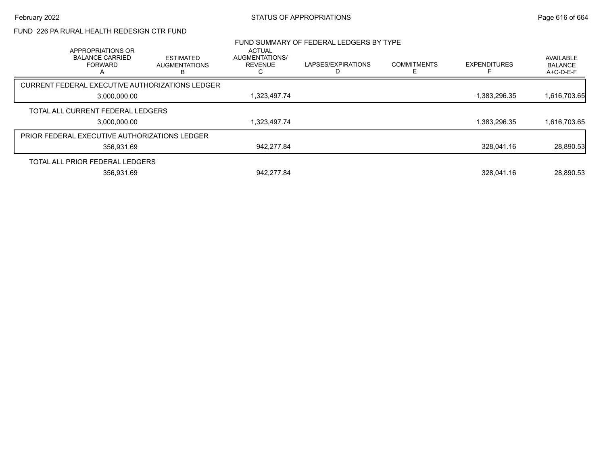### FUND 226 PA RURAL HEALTH REDESIGN CTR FUND

|                                                      | APPROPRIATIONS OR                        |                                               | <b>ACTUAL</b>                    | FUND SUMMARY OF FEDERAL LEDGERS BY TYPE |                         |                     |                                          |
|------------------------------------------------------|------------------------------------------|-----------------------------------------------|----------------------------------|-----------------------------------------|-------------------------|---------------------|------------------------------------------|
|                                                      | <b>BALANCE CARRIED</b><br><b>FORWARD</b> | <b>ESTIMATED</b><br><b>AUGMENTATIONS</b><br>В | AUGMENTATIONS/<br><b>REVENUE</b> | LAPSES/EXPIRATIONS                      | <b>COMMITMENTS</b><br>E | <b>EXPENDITURES</b> | AVAILABLE<br><b>BALANCE</b><br>A+C-D-E-F |
| CURRENT FEDERAL EXECUTIVE AUTHORIZATIONS LEDGER      |                                          |                                               |                                  |                                         |                         |                     |                                          |
| 3,000,000.00                                         |                                          | 1,323,497.74                                  |                                  |                                         | 1,383,296.35            | 1,616,703.65        |                                          |
| TOTAL ALL CURRENT FEDERAL LEDGERS                    |                                          |                                               |                                  |                                         |                         |                     |                                          |
|                                                      | 3,000,000.00                             |                                               | 1,323,497.74                     |                                         |                         | 1,383,296.35        | 1,616,703.65                             |
| <b>PRIOR FEDERAL EXECUTIVE AUTHORIZATIONS LEDGER</b> |                                          |                                               |                                  |                                         |                         |                     |                                          |
|                                                      | 356.931.69                               |                                               | 942,277.84                       |                                         |                         | 328.041.16          | 28,890.53                                |
| TOTAL ALL PRIOR FEDERAL LEDGERS                      |                                          |                                               |                                  |                                         |                         |                     |                                          |
|                                                      | 356,931.69                               |                                               | 942.277.84                       |                                         |                         | 328.041.16          | 28,890.53                                |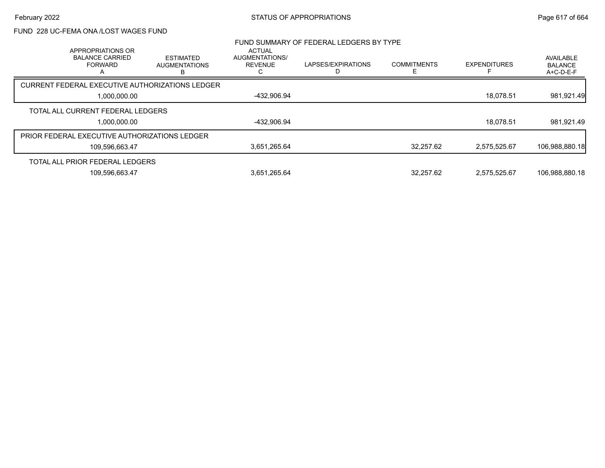### FUND 228 UC-FEMA ONA /LOST WAGES FUND

| APPROPRIATIONS OR                               |                |                                               | <b>ACTUAL</b>                    | FUND SUMMARY OF FEDERAL LEDGERS BY TYPE |                    |                     |                                          |
|-------------------------------------------------|----------------|-----------------------------------------------|----------------------------------|-----------------------------------------|--------------------|---------------------|------------------------------------------|
| <b>BALANCE CARRIED</b><br><b>FORWARD</b>        |                | <b>ESTIMATED</b><br><b>AUGMENTATIONS</b><br>в | AUGMENTATIONS/<br><b>REVENUE</b> | LAPSES/EXPIRATIONS                      | <b>COMMITMENTS</b> | <b>EXPENDITURES</b> | AVAILABLE<br><b>BALANCE</b><br>A+C-D-E-F |
| CURRENT FEDERAL EXECUTIVE AUTHORIZATIONS LEDGER |                |                                               |                                  |                                         |                    |                     |                                          |
| 1,000,000.00                                    |                | -432,906.94                                   |                                  |                                         | 18.078.51          | 981,921.49          |                                          |
| TOTAL ALL CURRENT FEDERAL LEDGERS               |                |                                               |                                  |                                         |                    |                     |                                          |
|                                                 | 1,000,000.00   |                                               | -432,906.94                      |                                         |                    | 18.078.51           | 981,921.49                               |
| PRIOR FEDERAL EXECUTIVE AUTHORIZATIONS LEDGER   |                |                                               |                                  |                                         |                    |                     |                                          |
|                                                 | 109.596.663.47 |                                               | 3,651,265.64                     |                                         | 32.257.62          | 2.575.525.67        | 106,988,880.18                           |
| TOTAL ALL PRIOR FEDERAL LEDGERS                 |                |                                               |                                  |                                         |                    |                     |                                          |
|                                                 | 109,596,663.47 |                                               | 3,651,265.64                     |                                         | 32.257.62          | 2.575.525.67        | 106,988,880.18                           |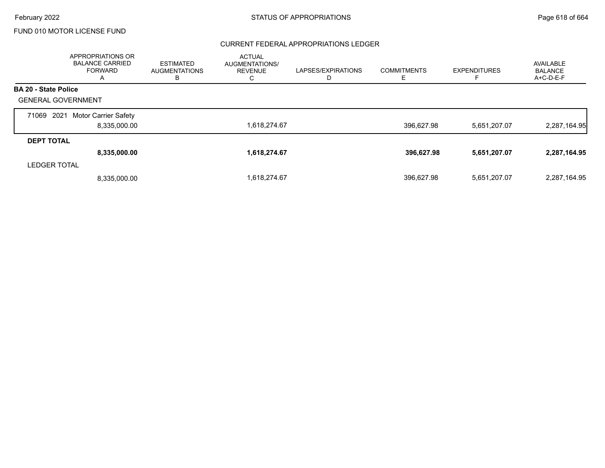#### CURRENT FEDERAL APPROPRIATIONS LEDGER

|                             | APPROPRIATIONS OR<br><b>BALANCE CARRIED</b><br><b>FORWARD</b><br>A | ESTIMATED<br><b>AUGMENTATIONS</b><br>в | <b>ACTUAL</b><br>AUGMENTATIONS/<br><b>REVENUE</b><br>С | LAPSES/EXPIRATIONS<br>D | <b>COMMITMENTS</b><br>E | <b>EXPENDITURES</b> | AVAILABLE<br><b>BALANCE</b><br>$A+C-D-E-F$ |
|-----------------------------|--------------------------------------------------------------------|----------------------------------------|--------------------------------------------------------|-------------------------|-------------------------|---------------------|--------------------------------------------|
| <b>BA 20 - State Police</b> |                                                                    |                                        |                                                        |                         |                         |                     |                                            |
| <b>GENERAL GOVERNMENT</b>   |                                                                    |                                        |                                                        |                         |                         |                     |                                            |
| 2021<br>71069               | Motor Carrier Safety                                               |                                        |                                                        |                         |                         |                     |                                            |
|                             | 8.335.000.00                                                       |                                        | 1,618,274.67                                           |                         | 396.627.98              | 5,651,207.07        | 2,287,164.95                               |
| <b>DEPT TOTAL</b>           |                                                                    |                                        |                                                        |                         |                         |                     |                                            |
|                             | 8,335,000.00                                                       |                                        | 1,618,274.67                                           |                         | 396,627.98              | 5,651,207.07        | 2,287,164.95                               |
| <b>LEDGER TOTAL</b>         |                                                                    |                                        |                                                        |                         |                         |                     |                                            |
|                             | 8.335.000.00                                                       |                                        | 1,618,274.67                                           |                         | 396,627.98              | 5,651,207.07        | 2,287,164.95                               |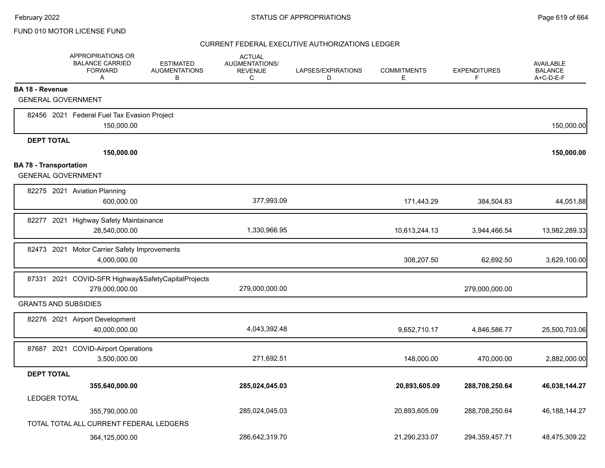|                               | APPROPRIATIONS OR<br><b>BALANCE CARRIED</b><br><b>FORWARD</b><br>Α | <b>ESTIMATED</b><br><b>AUGMENTATIONS</b><br>B | <b>ACTUAL</b><br>AUGMENTATIONS/<br><b>REVENUE</b><br>C | LAPSES/EXPIRATIONS<br>D | <b>COMMITMENTS</b><br>Е | <b>EXPENDITURES</b><br>F | <b>AVAILABLE</b><br><b>BALANCE</b><br>A+C-D-E-F |
|-------------------------------|--------------------------------------------------------------------|-----------------------------------------------|--------------------------------------------------------|-------------------------|-------------------------|--------------------------|-------------------------------------------------|
| <b>BA 18 - Revenue</b>        |                                                                    |                                               |                                                        |                         |                         |                          |                                                 |
|                               | <b>GENERAL GOVERNMENT</b>                                          |                                               |                                                        |                         |                         |                          |                                                 |
|                               | 82456 2021 Federal Fuel Tax Evasion Project                        |                                               |                                                        |                         |                         |                          |                                                 |
|                               | 150,000.00                                                         |                                               |                                                        |                         |                         |                          | 150,000.00                                      |
| <b>DEPT TOTAL</b>             |                                                                    |                                               |                                                        |                         |                         |                          |                                                 |
|                               | 150,000.00                                                         |                                               |                                                        |                         |                         |                          | 150,000.00                                      |
| <b>BA 78 - Transportation</b> |                                                                    |                                               |                                                        |                         |                         |                          |                                                 |
|                               | <b>GENERAL GOVERNMENT</b>                                          |                                               |                                                        |                         |                         |                          |                                                 |
|                               | 82275 2021 Aviation Planning                                       |                                               |                                                        |                         |                         |                          |                                                 |
|                               | 600,000.00                                                         |                                               | 377,993.09                                             |                         | 171,443.29              | 384,504.83               | 44,051.88                                       |
| 82277 2021                    | <b>Highway Safety Maintainance</b>                                 |                                               |                                                        |                         |                         |                          |                                                 |
|                               | 28,540,000.00                                                      |                                               | 1,330,966.95                                           |                         | 10,613,244.13           | 3,944,466.54             | 13,982,289.33                                   |
|                               | 82473 2021 Motor Carrier Safety Improvements                       |                                               |                                                        |                         |                         |                          |                                                 |
|                               | 4,000,000.00                                                       |                                               |                                                        |                         | 308,207.50              | 62,692.50                | 3,629,100.00                                    |
|                               | 87331 2021 COVID-SFR Highway&SafetyCapitalProjects                 |                                               |                                                        |                         |                         |                          |                                                 |
|                               | 279,000,000.00                                                     |                                               | 279,000,000.00                                         |                         |                         | 279,000,000.00           |                                                 |
|                               | <b>GRANTS AND SUBSIDIES</b>                                        |                                               |                                                        |                         |                         |                          |                                                 |
|                               | 82276 2021 Airport Development                                     |                                               |                                                        |                         |                         |                          |                                                 |
|                               | 40,000,000.00                                                      |                                               | 4,043,392.48                                           |                         | 9,652,710.17            | 4,846,586.77             | 25,500,703.06                                   |
|                               | 87687 2021 COVID-Airport Operations                                |                                               |                                                        |                         |                         |                          |                                                 |
|                               | 3,500,000.00                                                       |                                               | 271,692.51                                             |                         | 148,000.00              | 470,000.00               | 2,882,000.00                                    |
| <b>DEPT TOTAL</b>             |                                                                    |                                               |                                                        |                         |                         |                          |                                                 |
|                               | 355,640,000.00                                                     |                                               | 285,024,045.03                                         |                         | 20,893,605.09           | 288,708,250.64           | 46,038,144.27                                   |
| <b>LEDGER TOTAL</b>           |                                                                    |                                               |                                                        |                         |                         |                          |                                                 |
|                               | 355,790,000.00                                                     |                                               | 285,024,045.03                                         |                         | 20,893,605.09           | 288,708,250.64           | 46, 188, 144. 27                                |
|                               | TOTAL TOTAL ALL CURRENT FEDERAL LEDGERS                            |                                               |                                                        |                         |                         |                          |                                                 |
|                               | 364,125,000.00                                                     |                                               | 286,642,319.70                                         |                         | 21,290,233.07           | 294,359,457.71           | 48,475,309.22                                   |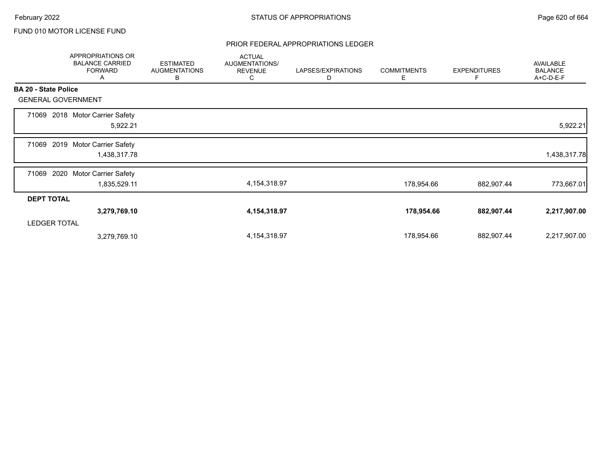#### PRIOR FEDERAL APPROPRIATIONS LEDGER

|                             | APPROPRIATIONS OR<br><b>BALANCE CARRIED</b><br><b>FORWARD</b><br>A | <b>ESTIMATED</b><br><b>AUGMENTATIONS</b><br>B | <b>ACTUAL</b><br>AUGMENTATIONS/<br><b>REVENUE</b><br>С | LAPSES/EXPIRATIONS<br>D | <b>COMMITMENTS</b><br>Е | <b>EXPENDITURES</b> | <b>AVAILABLE</b><br><b>BALANCE</b><br>A+C-D-E-F |
|-----------------------------|--------------------------------------------------------------------|-----------------------------------------------|--------------------------------------------------------|-------------------------|-------------------------|---------------------|-------------------------------------------------|
| <b>BA 20 - State Police</b> |                                                                    |                                               |                                                        |                         |                         |                     |                                                 |
|                             | <b>GENERAL GOVERNMENT</b>                                          |                                               |                                                        |                         |                         |                     |                                                 |
| 71069                       | 2018 Motor Carrier Safety<br>5,922.21                              |                                               |                                                        |                         |                         |                     | 5,922.21                                        |
| 71069                       | 2019 Motor Carrier Safety<br>1,438,317.78                          |                                               |                                                        |                         |                         |                     | 1,438,317.78                                    |
| 71069                       | 2020<br><b>Motor Carrier Safety</b><br>1,835,529.11                |                                               | 4, 154, 318.97                                         |                         | 178,954.66              | 882,907.44          | 773,667.01                                      |
| <b>DEPT TOTAL</b>           |                                                                    |                                               |                                                        |                         |                         |                     |                                                 |
|                             | 3,279,769.10                                                       |                                               | 4, 154, 318. 97                                        |                         | 178,954.66              | 882,907.44          | 2,217,907.00                                    |
| <b>LEDGER TOTAL</b>         |                                                                    |                                               |                                                        |                         |                         |                     |                                                 |
|                             | 3,279,769.10                                                       |                                               | 4, 154, 318.97                                         |                         | 178,954.66              | 882,907.44          | 2,217,907.00                                    |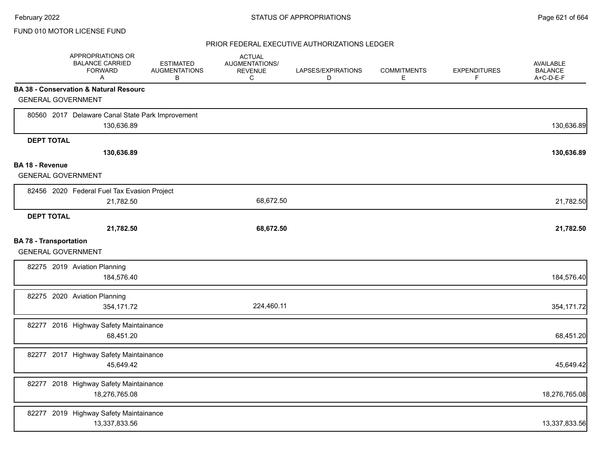|                               | APPROPRIATIONS OR<br><b>BALANCE CARRIED</b><br><b>FORWARD</b><br>Α | <b>ESTIMATED</b><br><b>AUGMENTATIONS</b><br>B | <b>ACTUAL</b><br>AUGMENTATIONS/<br><b>REVENUE</b><br>C | LAPSES/EXPIRATIONS<br>D | <b>COMMITMENTS</b><br>Е | <b>EXPENDITURES</b><br>F | <b>AVAILABLE</b><br><b>BALANCE</b><br>A+C-D-E-F |
|-------------------------------|--------------------------------------------------------------------|-----------------------------------------------|--------------------------------------------------------|-------------------------|-------------------------|--------------------------|-------------------------------------------------|
|                               | <b>BA 38 - Conservation &amp; Natural Resourc</b>                  |                                               |                                                        |                         |                         |                          |                                                 |
|                               | <b>GENERAL GOVERNMENT</b>                                          |                                               |                                                        |                         |                         |                          |                                                 |
|                               | 80560 2017 Delaware Canal State Park Improvement<br>130,636.89     |                                               |                                                        |                         |                         |                          | 130,636.89                                      |
| <b>DEPT TOTAL</b>             |                                                                    |                                               |                                                        |                         |                         |                          |                                                 |
|                               | 130,636.89                                                         |                                               |                                                        |                         |                         |                          | 130,636.89                                      |
| <b>BA 18 - Revenue</b>        |                                                                    |                                               |                                                        |                         |                         |                          |                                                 |
|                               | <b>GENERAL GOVERNMENT</b>                                          |                                               |                                                        |                         |                         |                          |                                                 |
|                               | 82456 2020 Federal Fuel Tax Evasion Project                        |                                               |                                                        |                         |                         |                          |                                                 |
|                               | 21,782.50                                                          |                                               | 68,672.50                                              |                         |                         |                          | 21,782.50                                       |
| <b>DEPT TOTAL</b>             |                                                                    |                                               |                                                        |                         |                         |                          |                                                 |
|                               | 21,782.50                                                          |                                               | 68,672.50                                              |                         |                         |                          | 21,782.50                                       |
| <b>BA 78 - Transportation</b> | <b>GENERAL GOVERNMENT</b>                                          |                                               |                                                        |                         |                         |                          |                                                 |
|                               | 82275 2019 Aviation Planning<br>184,576.40                         |                                               |                                                        |                         |                         |                          | 184,576.40                                      |
|                               | 82275 2020 Aviation Planning<br>354,171.72                         |                                               | 224,460.11                                             |                         |                         |                          | 354,171.72                                      |
|                               | 82277 2016 Highway Safety Maintainance<br>68,451.20                |                                               |                                                        |                         |                         |                          | 68,451.20                                       |
|                               | 82277 2017 Highway Safety Maintainance<br>45,649.42                |                                               |                                                        |                         |                         |                          | 45,649.42                                       |
|                               | 82277 2018 Highway Safety Maintainance<br>18,276,765.08            |                                               |                                                        |                         |                         |                          | 18,276,765.08                                   |
|                               | 82277 2019 Highway Safety Maintainance<br>13,337,833.56            |                                               |                                                        |                         |                         |                          | 13,337,833.56                                   |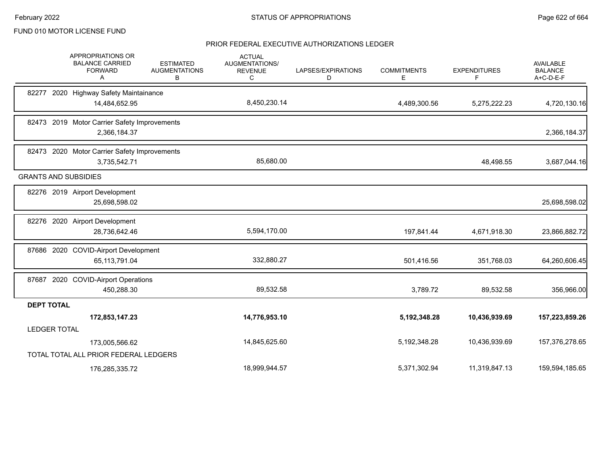|                     | <b>APPROPRIATIONS OR</b><br><b>BALANCE CARRIED</b><br><b>FORWARD</b><br>A | <b>ESTIMATED</b><br><b>AUGMENTATIONS</b><br>В | <b>ACTUAL</b><br><b>AUGMENTATIONS/</b><br><b>REVENUE</b><br>C | LAPSES/EXPIRATIONS<br>D | <b>COMMITMENTS</b><br>E. | <b>EXPENDITURES</b><br>F | <b>AVAILABLE</b><br><b>BALANCE</b><br>A+C-D-E-F |
|---------------------|---------------------------------------------------------------------------|-----------------------------------------------|---------------------------------------------------------------|-------------------------|--------------------------|--------------------------|-------------------------------------------------|
|                     | 82277 2020 Highway Safety Maintainance                                    |                                               |                                                               |                         |                          |                          |                                                 |
|                     | 14,484,652.95                                                             |                                               | 8,450,230.14                                                  |                         | 4,489,300.56             | 5,275,222.23             | 4,720,130.16                                    |
|                     | 82473 2019 Motor Carrier Safety Improvements                              |                                               |                                                               |                         |                          |                          |                                                 |
|                     | 2,366,184.37                                                              |                                               |                                                               |                         |                          |                          | 2,366,184.37                                    |
|                     | 82473 2020 Motor Carrier Safety Improvements                              |                                               |                                                               |                         |                          |                          |                                                 |
|                     | 3,735,542.71                                                              |                                               | 85,680.00                                                     |                         |                          | 48,498.55                | 3,687,044.16                                    |
|                     | <b>GRANTS AND SUBSIDIES</b>                                               |                                               |                                                               |                         |                          |                          |                                                 |
|                     | 82276 2019 Airport Development                                            |                                               |                                                               |                         |                          |                          |                                                 |
|                     | 25,698,598.02                                                             |                                               |                                                               |                         |                          |                          | 25,698,598.02                                   |
| 82276               | 2020 Airport Development                                                  |                                               |                                                               |                         |                          |                          |                                                 |
|                     | 28,736,642.46                                                             |                                               | 5,594,170.00                                                  |                         | 197,841.44               | 4,671,918.30             | 23,866,882.72                                   |
|                     | 87686 2020 COVID-Airport Development                                      |                                               |                                                               |                         |                          |                          |                                                 |
|                     | 65,113,791.04                                                             |                                               | 332,880.27                                                    |                         | 501,416.56               | 351,768.03               | 64,260,606.45                                   |
|                     | 87687 2020 COVID-Airport Operations                                       |                                               |                                                               |                         |                          |                          |                                                 |
|                     | 450,288.30                                                                |                                               | 89,532.58                                                     |                         | 3,789.72                 | 89,532.58                | 356,966.00                                      |
| <b>DEPT TOTAL</b>   |                                                                           |                                               |                                                               |                         |                          |                          |                                                 |
|                     | 172,853,147.23                                                            |                                               | 14,776,953.10                                                 |                         | 5, 192, 348. 28          | 10,436,939.69            | 157,223,859.26                                  |
| <b>LEDGER TOTAL</b> |                                                                           |                                               |                                                               |                         |                          |                          |                                                 |
|                     | 173,005,566.62                                                            |                                               | 14,845,625.60                                                 |                         | 5,192,348.28             | 10,436,939.69            | 157,376,278.65                                  |
|                     | TOTAL TOTAL ALL PRIOR FEDERAL LEDGERS                                     |                                               |                                                               |                         |                          |                          |                                                 |
|                     | 176,285,335.72                                                            |                                               | 18,999,944.57                                                 |                         | 5,371,302.94             | 11,319,847.13            | 159,594,185.65                                  |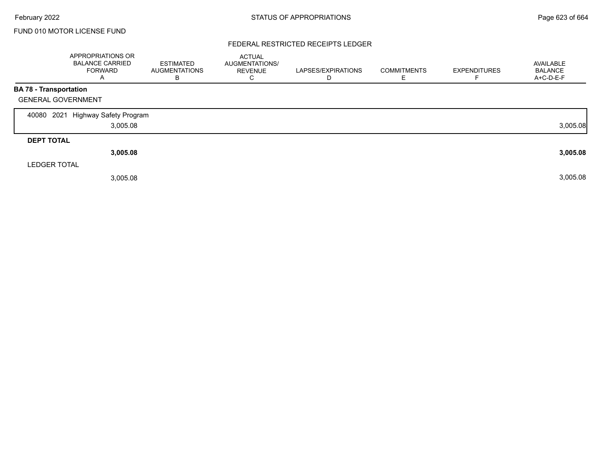#### FEDERAL RESTRICTED RECEIPTS LEDGER

|                           | <b>APPROPRIATIONS OR</b><br><b>BALANCE CARRIED</b><br><b>FORWARD</b><br>$\overline{A}$ | <b>ESTIMATED</b><br><b>AUGMENTATIONS</b><br>В | <b>ACTUAL</b><br>AUGMENTATIONS/<br><b>REVENUE</b><br>◡ | LAPSES/EXPIRATIONS<br>D | <b>COMMITMENTS</b> | <b>EXPENDITURES</b> | AVAILABLE<br><b>BALANCE</b><br>A+C-D-E-F |
|---------------------------|----------------------------------------------------------------------------------------|-----------------------------------------------|--------------------------------------------------------|-------------------------|--------------------|---------------------|------------------------------------------|
| BA 78 - Transportation    |                                                                                        |                                               |                                                        |                         |                    |                     |                                          |
| <b>GENERAL GOVERNMENT</b> |                                                                                        |                                               |                                                        |                         |                    |                     |                                          |
| 40080                     | 2021 Highway Safety Program                                                            |                                               |                                                        |                         |                    |                     |                                          |
|                           | 3,005.08                                                                               |                                               |                                                        |                         |                    |                     | 3,005.08                                 |
| <b>DEPT TOTAL</b>         |                                                                                        |                                               |                                                        |                         |                    |                     |                                          |
|                           | 3,005.08                                                                               |                                               |                                                        |                         |                    |                     | 3,005.08                                 |
| <b>LEDGER TOTAL</b>       |                                                                                        |                                               |                                                        |                         |                    |                     |                                          |
|                           | 3,005.08                                                                               |                                               |                                                        |                         |                    |                     | 3,005.08                                 |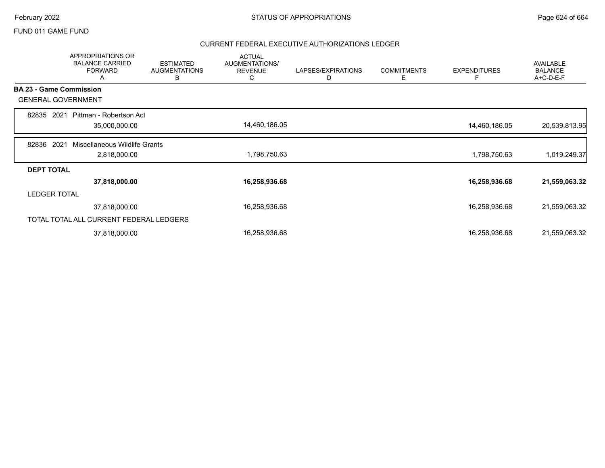#### FUND 011 GAME FUND

|                   | <b>APPROPRIATIONS OR</b><br><b>BALANCE CARRIED</b><br><b>FORWARD</b><br>Α | <b>ESTIMATED</b><br><b>AUGMENTATIONS</b><br>В | <b>ACTUAL</b><br>AUGMENTATIONS/<br><b>REVENUE</b><br>С | LAPSES/EXPIRATIONS<br>D | <b>COMMITMENTS</b><br>Е | <b>EXPENDITURES</b><br>F | <b>AVAILABLE</b><br><b>BALANCE</b><br>A+C-D-E-F |
|-------------------|---------------------------------------------------------------------------|-----------------------------------------------|--------------------------------------------------------|-------------------------|-------------------------|--------------------------|-------------------------------------------------|
|                   | <b>BA 23 - Game Commission</b>                                            |                                               |                                                        |                         |                         |                          |                                                 |
|                   | <b>GENERAL GOVERNMENT</b>                                                 |                                               |                                                        |                         |                         |                          |                                                 |
| 82835             | 2021<br>Pittman - Robertson Act<br>35,000,000.00                          |                                               | 14,460,186.05                                          |                         |                         | 14,460,186.05            | 20,539,813.95                                   |
| 82836             | 2021<br>Miscellaneous Wildlife Grants<br>2,818,000.00                     |                                               | 1,798,750.63                                           |                         |                         | 1,798,750.63             | 1,019,249.37                                    |
| <b>DEPT TOTAL</b> |                                                                           |                                               |                                                        |                         |                         |                          |                                                 |
|                   | 37,818,000.00                                                             |                                               | 16,258,936.68                                          |                         |                         | 16,258,936.68            | 21,559,063.32                                   |
|                   | <b>LEDGER TOTAL</b>                                                       |                                               |                                                        |                         |                         |                          |                                                 |
|                   | 37,818,000.00                                                             |                                               | 16,258,936.68                                          |                         |                         | 16,258,936.68            | 21,559,063.32                                   |
|                   | TOTAL TOTAL ALL CURRENT FEDERAL LEDGERS                                   |                                               |                                                        |                         |                         |                          |                                                 |
|                   | 37,818,000.00                                                             |                                               | 16,258,936.68                                          |                         |                         | 16,258,936.68            | 21,559,063.32                                   |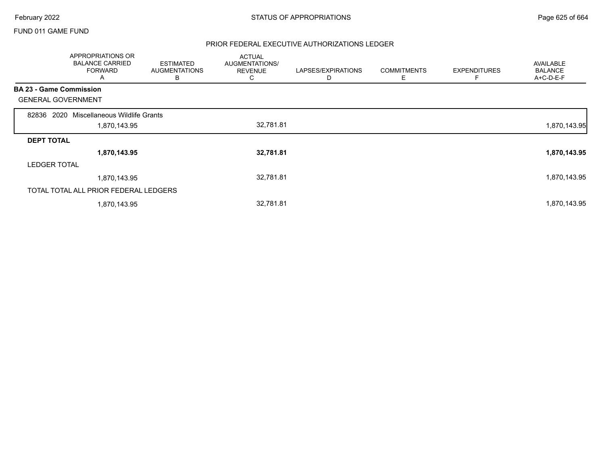#### FUND 011 GAME FUND

|                                | APPROPRIATIONS OR<br><b>BALANCE CARRIED</b><br><b>FORWARD</b><br>A | <b>ESTIMATED</b><br><b>AUGMENTATIONS</b><br>B | <b>ACTUAL</b><br>AUGMENTATIONS/<br><b>REVENUE</b><br>C | LAPSES/EXPIRATIONS<br>D | <b>COMMITMENTS</b><br>Ε | <b>EXPENDITURES</b><br>F | <b>AVAILABLE</b><br><b>BALANCE</b><br>A+C-D-E-F |
|--------------------------------|--------------------------------------------------------------------|-----------------------------------------------|--------------------------------------------------------|-------------------------|-------------------------|--------------------------|-------------------------------------------------|
| <b>BA 23 - Game Commission</b> |                                                                    |                                               |                                                        |                         |                         |                          |                                                 |
| <b>GENERAL GOVERNMENT</b>      |                                                                    |                                               |                                                        |                         |                         |                          |                                                 |
| 2020<br>82836                  | Miscellaneous Wildlife Grants                                      |                                               |                                                        |                         |                         |                          |                                                 |
|                                | 1,870,143.95                                                       |                                               | 32,781.81                                              |                         |                         |                          | 1,870,143.95                                    |
| <b>DEPT TOTAL</b>              |                                                                    |                                               |                                                        |                         |                         |                          |                                                 |
|                                | 1,870,143.95                                                       |                                               | 32,781.81                                              |                         |                         |                          | 1,870,143.95                                    |
| <b>LEDGER TOTAL</b>            |                                                                    |                                               |                                                        |                         |                         |                          |                                                 |
|                                | 1,870,143.95                                                       |                                               | 32,781.81                                              |                         |                         |                          | 1,870,143.95                                    |
|                                | TOTAL TOTAL ALL PRIOR FEDERAL LEDGERS                              |                                               |                                                        |                         |                         |                          |                                                 |
|                                | 1,870,143.95                                                       |                                               | 32,781.81                                              |                         |                         |                          | 1,870,143.95                                    |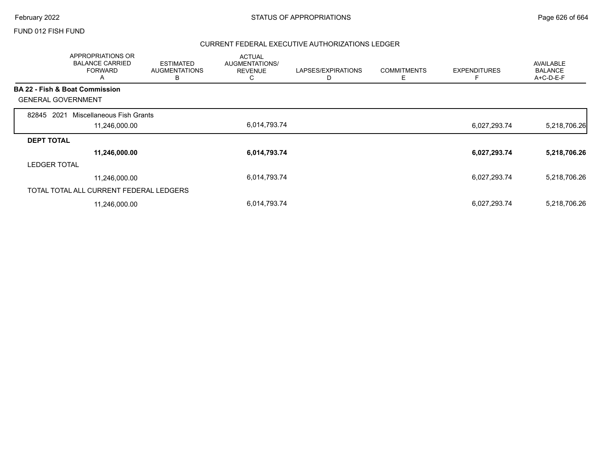#### FUND 012 FISH FUND

|                           | <b>APPROPRIATIONS OR</b><br><b>BALANCE CARRIED</b><br><b>FORWARD</b><br>A | <b>ESTIMATED</b><br><b>AUGMENTATIONS</b><br>B | <b>ACTUAL</b><br>AUGMENTATIONS/<br><b>REVENUE</b><br>◡ | LAPSES/EXPIRATIONS<br>D | <b>COMMITMENTS</b><br>Ε | <b>EXPENDITURES</b> | <b>AVAILABLE</b><br><b>BALANCE</b><br>A+C-D-E-F |
|---------------------------|---------------------------------------------------------------------------|-----------------------------------------------|--------------------------------------------------------|-------------------------|-------------------------|---------------------|-------------------------------------------------|
|                           | <b>BA 22 - Fish &amp; Boat Commission</b>                                 |                                               |                                                        |                         |                         |                     |                                                 |
| <b>GENERAL GOVERNMENT</b> |                                                                           |                                               |                                                        |                         |                         |                     |                                                 |
| 2021<br>82845             | Miscellaneous Fish Grants                                                 |                                               |                                                        |                         |                         |                     |                                                 |
|                           | 11,246,000.00                                                             |                                               | 6,014,793.74                                           |                         |                         | 6,027,293.74        | 5,218,706.26                                    |
| <b>DEPT TOTAL</b>         |                                                                           |                                               |                                                        |                         |                         |                     |                                                 |
|                           | 11,246,000.00                                                             |                                               | 6,014,793.74                                           |                         |                         | 6,027,293.74        | 5,218,706.26                                    |
| <b>LEDGER TOTAL</b>       |                                                                           |                                               |                                                        |                         |                         |                     |                                                 |
|                           | 11,246,000.00                                                             |                                               | 6,014,793.74                                           |                         |                         | 6,027,293.74        | 5,218,706.26                                    |
|                           | TOTAL TOTAL ALL CURRENT FEDERAL LEDGERS                                   |                                               |                                                        |                         |                         |                     |                                                 |
|                           | 11,246,000.00                                                             |                                               | 6,014,793.74                                           |                         |                         | 6,027,293.74        | 5,218,706.26                                    |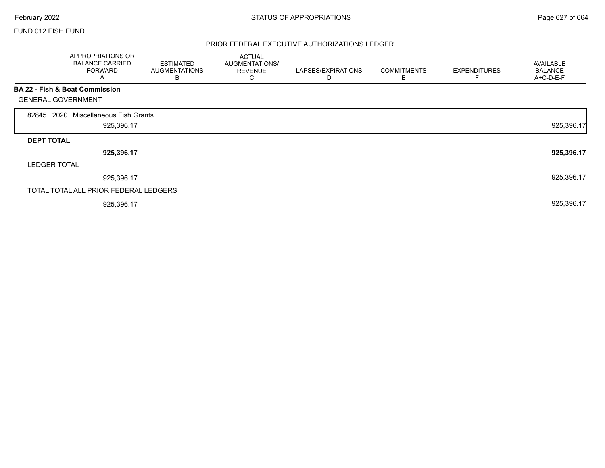Г

# FUND 012 FISH FUND

|                           | APPROPRIATIONS OR<br><b>BALANCE CARRIED</b><br><b>FORWARD</b><br>A | <b>ESTIMATED</b><br><b>AUGMENTATIONS</b><br>В | <b>ACTUAL</b><br>AUGMENTATIONS/<br><b>REVENUE</b><br>C. | LAPSES/EXPIRATIONS<br>D | <b>COMMITMENTS</b><br>Ε | <b>EXPENDITURES</b><br>F | AVAILABLE<br><b>BALANCE</b><br>A+C-D-E-F |
|---------------------------|--------------------------------------------------------------------|-----------------------------------------------|---------------------------------------------------------|-------------------------|-------------------------|--------------------------|------------------------------------------|
|                           | BA 22 - Fish & Boat Commission                                     |                                               |                                                         |                         |                         |                          |                                          |
| <b>GENERAL GOVERNMENT</b> |                                                                    |                                               |                                                         |                         |                         |                          |                                          |
| 2020<br>82845             | Miscellaneous Fish Grants                                          |                                               |                                                         |                         |                         |                          |                                          |
|                           | 925,396.17                                                         |                                               |                                                         |                         |                         |                          | 925,396.17                               |
| <b>DEPT TOTAL</b>         |                                                                    |                                               |                                                         |                         |                         |                          |                                          |
|                           | 925,396.17                                                         |                                               |                                                         |                         |                         |                          | 925,396.17                               |
| <b>LEDGER TOTAL</b>       |                                                                    |                                               |                                                         |                         |                         |                          |                                          |
|                           | 925,396.17                                                         |                                               |                                                         |                         |                         |                          | 925,396.17                               |
|                           | TOTAL TOTAL ALL PRIOR FEDERAL LEDGERS                              |                                               |                                                         |                         |                         |                          |                                          |
|                           | 925,396.17                                                         |                                               |                                                         |                         |                         |                          | 925,396.17                               |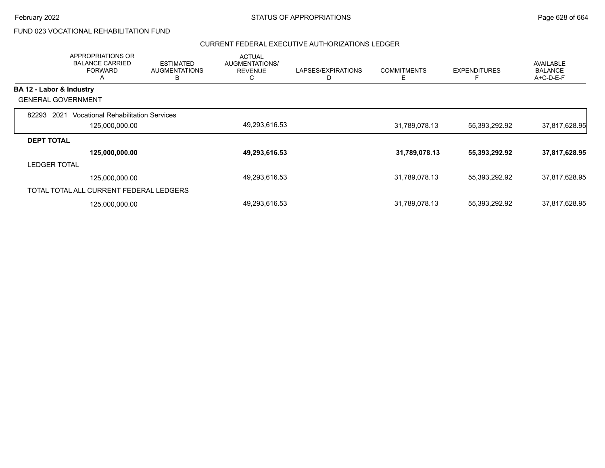# FUND 023 VOCATIONAL REHABILITATION FUND

|                           | <b>APPROPRIATIONS OR</b><br><b>BALANCE CARRIED</b><br><b>FORWARD</b><br>A | <b>ESTIMATED</b><br><b>AUGMENTATIONS</b><br>В | <b>ACTUAL</b><br><b>AUGMENTATIONS/</b><br><b>REVENUE</b><br>◡ | LAPSES/EXPIRATIONS | <b>COMMITMENTS</b><br>Е | <b>EXPENDITURES</b><br>E | AVAILABLE<br><b>BALANCE</b><br>$A+C-D-E-F$ |
|---------------------------|---------------------------------------------------------------------------|-----------------------------------------------|---------------------------------------------------------------|--------------------|-------------------------|--------------------------|--------------------------------------------|
| BA 12 - Labor & Industry  |                                                                           |                                               |                                                               |                    |                         |                          |                                            |
| <b>GENERAL GOVERNMENT</b> |                                                                           |                                               |                                                               |                    |                         |                          |                                            |
| 82293<br>2021             | <b>Vocational Rehabilitation Services</b>                                 |                                               |                                                               |                    |                         |                          |                                            |
|                           | 125,000,000.00                                                            |                                               | 49,293,616.53                                                 |                    | 31,789,078.13           | 55,393,292.92            | 37,817,628.95                              |
| <b>DEPT TOTAL</b>         |                                                                           |                                               |                                                               |                    |                         |                          |                                            |
|                           | 125,000,000.00                                                            |                                               | 49,293,616.53                                                 |                    | 31,789,078.13           | 55,393,292.92            | 37,817,628.95                              |
| <b>LEDGER TOTAL</b>       |                                                                           |                                               |                                                               |                    |                         |                          |                                            |
|                           | 125,000,000.00                                                            |                                               | 49,293,616.53                                                 |                    | 31,789,078.13           | 55,393,292.92            | 37,817,628.95                              |
|                           | TOTAL TOTAL ALL CURRENT FEDERAL LEDGERS                                   |                                               |                                                               |                    |                         |                          |                                            |
|                           | 125,000,000.00                                                            |                                               | 49,293,616.53                                                 |                    | 31,789,078.13           | 55,393,292.92            | 37,817,628.95                              |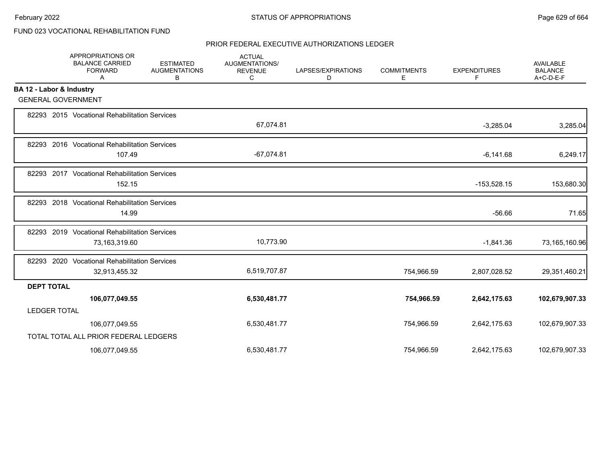# FUND 023 VOCATIONAL REHABILITATION FUND

|                          | APPROPRIATIONS OR<br><b>BALANCE CARRIED</b><br><b>FORWARD</b><br>Α | <b>ESTIMATED</b><br><b>AUGMENTATIONS</b><br>В | <b>ACTUAL</b><br><b>AUGMENTATIONS/</b><br><b>REVENUE</b><br>С | LAPSES/EXPIRATIONS<br>D | <b>COMMITMENTS</b><br>Е | <b>EXPENDITURES</b><br>F | <b>AVAILABLE</b><br><b>BALANCE</b><br>A+C-D-E-F |
|--------------------------|--------------------------------------------------------------------|-----------------------------------------------|---------------------------------------------------------------|-------------------------|-------------------------|--------------------------|-------------------------------------------------|
| BA 12 - Labor & Industry |                                                                    |                                               |                                                               |                         |                         |                          |                                                 |
|                          | <b>GENERAL GOVERNMENT</b>                                          |                                               |                                                               |                         |                         |                          |                                                 |
|                          | 82293 2015 Vocational Rehabilitation Services                      |                                               | 67,074.81                                                     |                         |                         | $-3,285.04$              | 3,285.04                                        |
|                          | 82293 2016 Vocational Rehabilitation Services<br>107.49            |                                               | $-67,074.81$                                                  |                         |                         | $-6,141.68$              | 6,249.17                                        |
|                          | 82293 2017 Vocational Rehabilitation Services<br>152.15            |                                               |                                                               |                         |                         | $-153,528.15$            | 153,680.30                                      |
|                          | 82293 2018 Vocational Rehabilitation Services<br>14.99             |                                               |                                                               |                         |                         | $-56.66$                 | 71.65                                           |
| 82293                    | 2019 Vocational Rehabilitation Services<br>73,163,319.60           |                                               | 10,773.90                                                     |                         |                         | $-1,841.36$              | 73,165,160.96                                   |
|                          | 82293 2020 Vocational Rehabilitation Services<br>32,913,455.32     |                                               | 6,519,707.87                                                  |                         | 754,966.59              | 2,807,028.52             | 29,351,460.21                                   |
| <b>DEPT TOTAL</b>        |                                                                    |                                               |                                                               |                         |                         |                          |                                                 |
|                          | 106,077,049.55                                                     |                                               | 6,530,481.77                                                  |                         | 754,966.59              | 2,642,175.63             | 102,679,907.33                                  |
| <b>LEDGER TOTAL</b>      |                                                                    |                                               |                                                               |                         |                         |                          |                                                 |
|                          | 106,077,049.55                                                     |                                               | 6,530,481.77                                                  |                         | 754,966.59              | 2,642,175.63             | 102,679,907.33                                  |
|                          | TOTAL TOTAL ALL PRIOR FEDERAL LEDGERS                              |                                               |                                                               |                         |                         |                          |                                                 |
|                          | 106,077,049.55                                                     |                                               | 6.530.481.77                                                  |                         | 754.966.59              | 2,642,175.63             | 102,679,907.33                                  |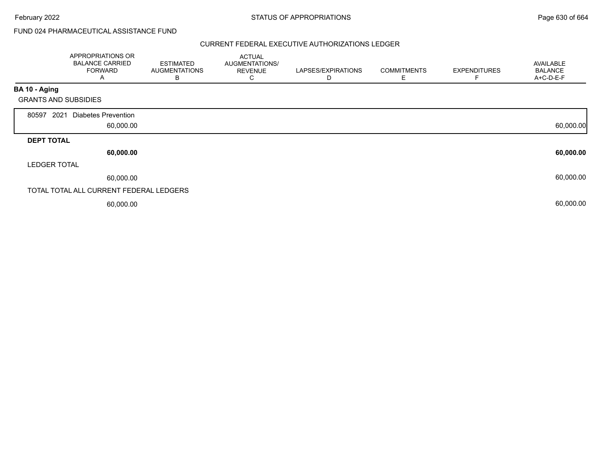# FUND 024 PHARMACEUTICAL ASSISTANCE FUND

|                             | APPROPRIATIONS OR<br><b>BALANCE CARRIED</b><br><b>FORWARD</b><br>A | <b>ESTIMATED</b><br><b>AUGMENTATIONS</b><br>В | <b>ACTUAL</b><br>AUGMENTATIONS/<br><b>REVENUE</b><br>С | LAPSES/EXPIRATIONS<br>D | <b>COMMITMENTS</b><br>Е | <b>EXPENDITURES</b> | AVAILABLE<br><b>BALANCE</b><br>A+C-D-E-F |
|-----------------------------|--------------------------------------------------------------------|-----------------------------------------------|--------------------------------------------------------|-------------------------|-------------------------|---------------------|------------------------------------------|
| BA 10 - Aging               |                                                                    |                                               |                                                        |                         |                         |                     |                                          |
| <b>GRANTS AND SUBSIDIES</b> |                                                                    |                                               |                                                        |                         |                         |                     |                                          |
| 2021<br>80597               | <b>Diabetes Prevention</b><br>60,000.00                            |                                               |                                                        |                         |                         |                     | 60,000.00                                |
| <b>DEPT TOTAL</b>           |                                                                    |                                               |                                                        |                         |                         |                     |                                          |
|                             | 60,000.00                                                          |                                               |                                                        |                         |                         |                     | 60,000.00                                |
| <b>LEDGER TOTAL</b>         |                                                                    |                                               |                                                        |                         |                         |                     |                                          |
|                             | 60,000.00                                                          |                                               |                                                        |                         |                         |                     | 60,000.00                                |
|                             | TOTAL TOTAL ALL CURRENT FEDERAL LEDGERS                            |                                               |                                                        |                         |                         |                     |                                          |
|                             | 60,000.00                                                          |                                               |                                                        |                         |                         |                     | 60,000.00                                |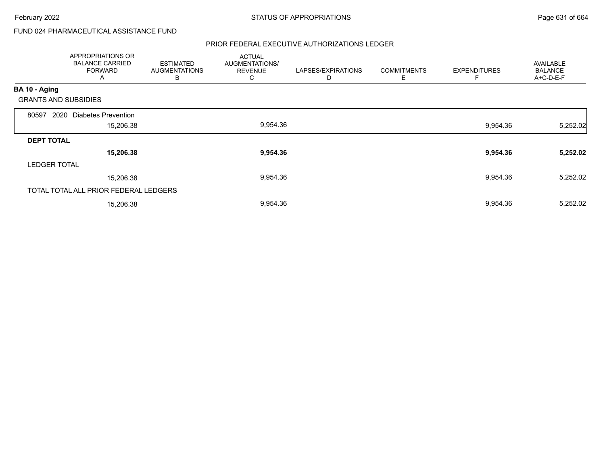# FUND 024 PHARMACEUTICAL ASSISTANCE FUND

|                             | APPROPRIATIONS OR<br><b>BALANCE CARRIED</b><br><b>FORWARD</b><br>Α | <b>ESTIMATED</b><br><b>AUGMENTATIONS</b><br>В | <b>ACTUAL</b><br>AUGMENTATIONS/<br><b>REVENUE</b><br>С | LAPSES/EXPIRATIONS<br>D | <b>COMMITMENTS</b><br>Е | <b>EXPENDITURES</b> | <b>AVAILABLE</b><br><b>BALANCE</b><br>A+C-D-E-F |
|-----------------------------|--------------------------------------------------------------------|-----------------------------------------------|--------------------------------------------------------|-------------------------|-------------------------|---------------------|-------------------------------------------------|
| BA 10 - Aging               |                                                                    |                                               |                                                        |                         |                         |                     |                                                 |
| <b>GRANTS AND SUBSIDIES</b> |                                                                    |                                               |                                                        |                         |                         |                     |                                                 |
| 2020<br>80597               | <b>Diabetes Prevention</b>                                         |                                               |                                                        |                         |                         |                     |                                                 |
|                             | 15,206.38                                                          |                                               | 9,954.36                                               |                         |                         | 9,954.36            | 5,252.02                                        |
| <b>DEPT TOTAL</b>           |                                                                    |                                               |                                                        |                         |                         |                     |                                                 |
|                             | 15,206.38                                                          |                                               | 9,954.36                                               |                         |                         | 9,954.36            | 5,252.02                                        |
| <b>LEDGER TOTAL</b>         |                                                                    |                                               |                                                        |                         |                         |                     |                                                 |
|                             | 15,206.38                                                          |                                               | 9,954.36                                               |                         |                         | 9,954.36            | 5,252.02                                        |
|                             | TOTAL TOTAL ALL PRIOR FEDERAL LEDGERS                              |                                               |                                                        |                         |                         |                     |                                                 |
|                             | 15,206.38                                                          |                                               | 9,954.36                                               |                         |                         | 9,954.36            | 5,252.02                                        |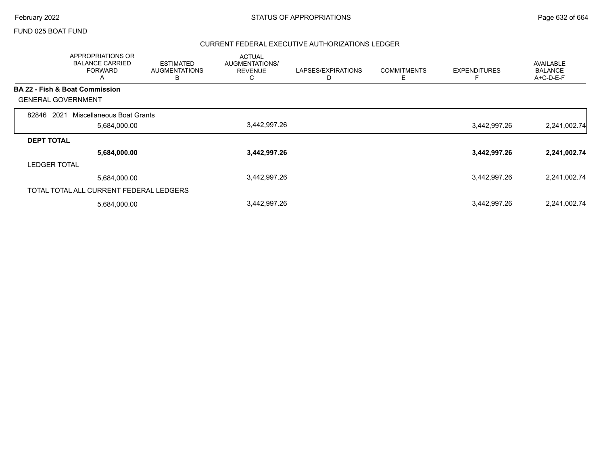#### FUND 025 BOAT FUND

|                                           | <b>APPROPRIATIONS OR</b><br><b>BALANCE CARRIED</b><br><b>FORWARD</b><br>A | <b>ESTIMATED</b><br><b>AUGMENTATIONS</b><br>B | <b>ACTUAL</b><br>AUGMENTATIONS/<br><b>REVENUE</b><br>Ü | LAPSES/EXPIRATIONS<br>D | <b>COMMITMENTS</b><br>Ε | <b>EXPENDITURES</b> | <b>AVAILABLE</b><br><b>BALANCE</b><br>A+C-D-E-F |
|-------------------------------------------|---------------------------------------------------------------------------|-----------------------------------------------|--------------------------------------------------------|-------------------------|-------------------------|---------------------|-------------------------------------------------|
| <b>BA 22 - Fish &amp; Boat Commission</b> |                                                                           |                                               |                                                        |                         |                         |                     |                                                 |
| <b>GENERAL GOVERNMENT</b>                 |                                                                           |                                               |                                                        |                         |                         |                     |                                                 |
| 2021<br>82846                             | Miscellaneous Boat Grants                                                 |                                               |                                                        |                         |                         |                     |                                                 |
|                                           | 5,684,000.00                                                              |                                               | 3,442,997.26                                           |                         |                         | 3,442,997.26        | 2,241,002.74                                    |
| <b>DEPT TOTAL</b>                         |                                                                           |                                               |                                                        |                         |                         |                     |                                                 |
|                                           | 5,684,000.00                                                              |                                               | 3,442,997.26                                           |                         |                         | 3,442,997.26        | 2,241,002.74                                    |
| <b>LEDGER TOTAL</b>                       |                                                                           |                                               |                                                        |                         |                         |                     |                                                 |
|                                           | 5,684,000.00                                                              |                                               | 3,442,997.26                                           |                         |                         | 3,442,997.26        | 2,241,002.74                                    |
|                                           | TOTAL TOTAL ALL CURRENT FEDERAL LEDGERS                                   |                                               |                                                        |                         |                         |                     |                                                 |
|                                           | 5,684,000.00                                                              |                                               | 3,442,997.26                                           |                         |                         | 3,442,997.26        | 2,241,002.74                                    |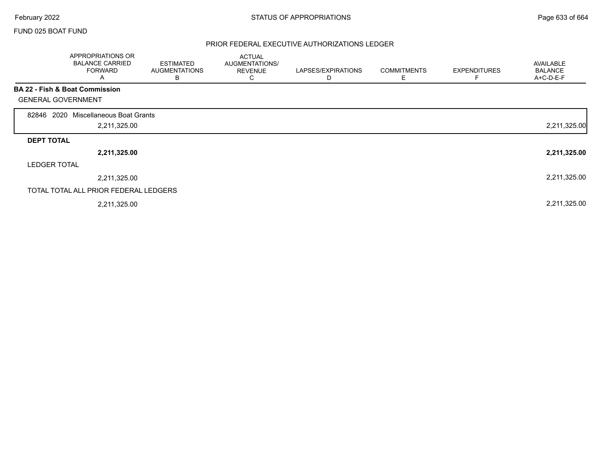Г

#### FUND 025 BOAT FUND

|                           | APPROPRIATIONS OR<br><b>BALANCE CARRIED</b><br><b>FORWARD</b><br>A | <b>ESTIMATED</b><br><b>AUGMENTATIONS</b><br>В | <b>ACTUAL</b><br>AUGMENTATIONS/<br><b>REVENUE</b><br>C | LAPSES/EXPIRATIONS | <b>COMMITMENTS</b><br>Ε | <b>EXPENDITURES</b><br>F | AVAILABLE<br><b>BALANCE</b><br>A+C-D-E-F |
|---------------------------|--------------------------------------------------------------------|-----------------------------------------------|--------------------------------------------------------|--------------------|-------------------------|--------------------------|------------------------------------------|
|                           | <b>BA 22 - Fish &amp; Boat Commission</b>                          |                                               |                                                        |                    |                         |                          |                                          |
| <b>GENERAL GOVERNMENT</b> |                                                                    |                                               |                                                        |                    |                         |                          |                                          |
| 2020<br>82846             | Miscellaneous Boat Grants                                          |                                               |                                                        |                    |                         |                          |                                          |
|                           | 2,211,325.00                                                       |                                               |                                                        |                    |                         |                          | 2,211,325.00                             |
| <b>DEPT TOTAL</b>         |                                                                    |                                               |                                                        |                    |                         |                          |                                          |
|                           | 2,211,325.00                                                       |                                               |                                                        |                    |                         |                          | 2,211,325.00                             |
| <b>LEDGER TOTAL</b>       |                                                                    |                                               |                                                        |                    |                         |                          |                                          |
|                           | 2,211,325.00                                                       |                                               |                                                        |                    |                         |                          | 2,211,325.00                             |
|                           | TOTAL TOTAL ALL PRIOR FEDERAL LEDGERS                              |                                               |                                                        |                    |                         |                          |                                          |
|                           | 2,211,325.00                                                       |                                               |                                                        |                    |                         |                          | 2,211,325.00                             |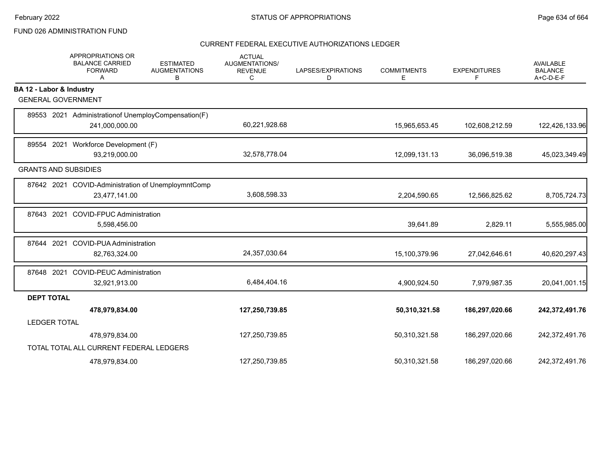## FUND 026 ADMINISTRATION FUND

|                          | <b>APPROPRIATIONS OR</b><br><b>BALANCE CARRIED</b><br><b>FORWARD</b><br>Α | <b>ESTIMATED</b><br><b>AUGMENTATIONS</b><br>В | <b>ACTUAL</b><br>AUGMENTATIONS/<br><b>REVENUE</b><br>С | LAPSES/EXPIRATIONS<br>D | <b>COMMITMENTS</b><br>Е | <b>EXPENDITURES</b><br>F | <b>AVAILABLE</b><br><b>BALANCE</b><br>A+C-D-E-F |
|--------------------------|---------------------------------------------------------------------------|-----------------------------------------------|--------------------------------------------------------|-------------------------|-------------------------|--------------------------|-------------------------------------------------|
| BA 12 - Labor & Industry |                                                                           |                                               |                                                        |                         |                         |                          |                                                 |
|                          | <b>GENERAL GOVERNMENT</b>                                                 |                                               |                                                        |                         |                         |                          |                                                 |
|                          | 89553 2021 Administrationof UnemployCompensation(F)                       |                                               |                                                        |                         |                         |                          |                                                 |
|                          | 241,000,000.00                                                            |                                               | 60,221,928.68                                          |                         | 15,965,653.45           | 102,608,212.59           | 122,426,133.96                                  |
|                          | 89554 2021 Workforce Development (F)                                      |                                               |                                                        |                         |                         |                          |                                                 |
|                          | 93,219,000.00                                                             |                                               | 32,578,778.04                                          |                         | 12,099,131.13           | 36,096,519.38            | 45,023,349.49                                   |
|                          | <b>GRANTS AND SUBSIDIES</b>                                               |                                               |                                                        |                         |                         |                          |                                                 |
|                          | 87642 2021 COVID-Administration of UnemploymntComp                        |                                               |                                                        |                         |                         |                          |                                                 |
|                          | 23,477,141.00                                                             |                                               | 3,608,598.33                                           |                         | 2,204,590.65            | 12,566,825.62            | 8,705,724.73                                    |
| 87643 2021               | <b>COVID-FPUC Administration</b>                                          |                                               |                                                        |                         |                         |                          |                                                 |
|                          | 5,598,456.00                                                              |                                               |                                                        |                         | 39,641.89               | 2,829.11                 | 5,555,985.00                                    |
| 87644 2021               | <b>COVID-PUA Administration</b>                                           |                                               |                                                        |                         |                         |                          |                                                 |
|                          | 82,763,324.00                                                             |                                               | 24,357,030.64                                          |                         | 15,100,379.96           | 27,042,646.61            | 40,620,297.43                                   |
| 87648 2021               | <b>COVID-PEUC Administration</b>                                          |                                               |                                                        |                         |                         |                          |                                                 |
|                          | 32,921,913.00                                                             |                                               | 6,484,404.16                                           |                         | 4,900,924.50            | 7,979,987.35             | 20,041,001.15                                   |
| <b>DEPT TOTAL</b>        |                                                                           |                                               |                                                        |                         |                         |                          |                                                 |
|                          | 478,979,834.00                                                            |                                               | 127,250,739.85                                         |                         | 50,310,321.58           | 186,297,020.66           | 242,372,491.76                                  |
| <b>LEDGER TOTAL</b>      |                                                                           |                                               |                                                        |                         |                         |                          |                                                 |
|                          | 478,979,834.00                                                            |                                               | 127,250,739.85                                         |                         | 50,310,321.58           | 186,297,020.66           | 242,372,491.76                                  |
|                          | TOTAL TOTAL ALL CURRENT FEDERAL LEDGERS                                   |                                               |                                                        |                         |                         |                          |                                                 |
|                          | 478,979,834.00                                                            |                                               | 127,250,739.85                                         |                         | 50,310,321.58           | 186,297,020.66           | 242,372,491.76                                  |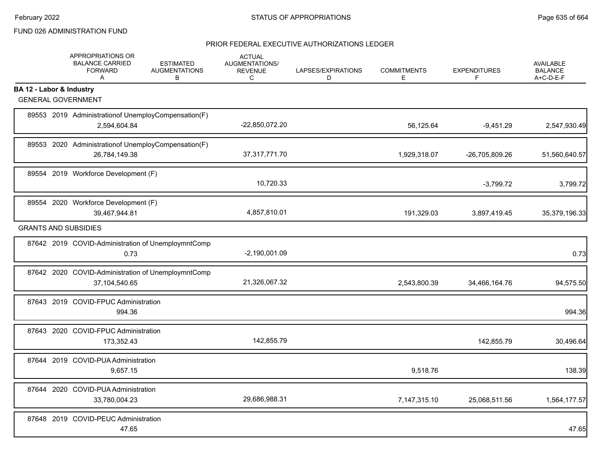## FUND 026 ADMINISTRATION FUND

|                          | APPROPRIATIONS OR<br><b>BALANCE CARRIED</b><br><b>FORWARD</b><br>A     | <b>ESTIMATED</b><br><b>AUGMENTATIONS</b><br>B | <b>ACTUAL</b><br>AUGMENTATIONS/<br><b>REVENUE</b><br>C | LAPSES/EXPIRATIONS<br>D | <b>COMMITMENTS</b><br>E. | <b>EXPENDITURES</b><br>F | <b>AVAILABLE</b><br><b>BALANCE</b><br>A+C-D-E-F |
|--------------------------|------------------------------------------------------------------------|-----------------------------------------------|--------------------------------------------------------|-------------------------|--------------------------|--------------------------|-------------------------------------------------|
| BA 12 - Labor & Industry |                                                                        |                                               |                                                        |                         |                          |                          |                                                 |
|                          | <b>GENERAL GOVERNMENT</b>                                              |                                               |                                                        |                         |                          |                          |                                                 |
|                          | 89553 2019 Administration of Unemploy Compensation (F)<br>2,594,604.84 |                                               | -22,850,072.20                                         |                         | 56,125.64                | $-9,451.29$              | 2,547,930.49                                    |
|                          | 89553 2020 Administrationof UnemployCompensation(F)<br>26,784,149.38   |                                               | 37, 317, 771. 70                                       |                         | 1,929,318.07             | -26,705,809.26           | 51,560,640.57                                   |
|                          | 89554 2019 Workforce Development (F)                                   |                                               | 10,720.33                                              |                         |                          | $-3,799.72$              | 3,799.72                                        |
|                          | 89554 2020 Workforce Development (F)<br>39,467,944.81                  |                                               | 4,857,810.01                                           |                         | 191,329.03               | 3,897,419.45             | 35,379,196.33                                   |
|                          | <b>GRANTS AND SUBSIDIES</b>                                            |                                               |                                                        |                         |                          |                          |                                                 |
|                          | 87642 2019 COVID-Administration of UnemploymntComp<br>0.73             |                                               | $-2,190,001.09$                                        |                         |                          |                          | 0.73                                            |
|                          | 87642 2020 COVID-Administration of UnemploymntComp<br>37,104,540.65    |                                               | 21,326,067.32                                          |                         | 2,543,800.39             | 34,466,164.76            | 94,575.50                                       |
|                          | 87643 2019 COVID-FPUC Administration<br>994.36                         |                                               |                                                        |                         |                          |                          | 994.36                                          |
|                          | 87643 2020 COVID-FPUC Administration<br>173,352.43                     |                                               | 142,855.79                                             |                         |                          | 142,855.79               | 30,496.64                                       |
|                          | 87644 2019 COVID-PUA Administration<br>9,657.15                        |                                               |                                                        |                         | 9,518.76                 |                          | 138.39                                          |
|                          | 87644 2020 COVID-PUA Administration<br>33,780,004.23                   |                                               | 29,686,988.31                                          |                         | 7,147,315.10             | 25,068,511.56            | 1,564,177.57                                    |
|                          | 87648 2019 COVID-PEUC Administration<br>47.65                          |                                               |                                                        |                         |                          |                          | 47.65                                           |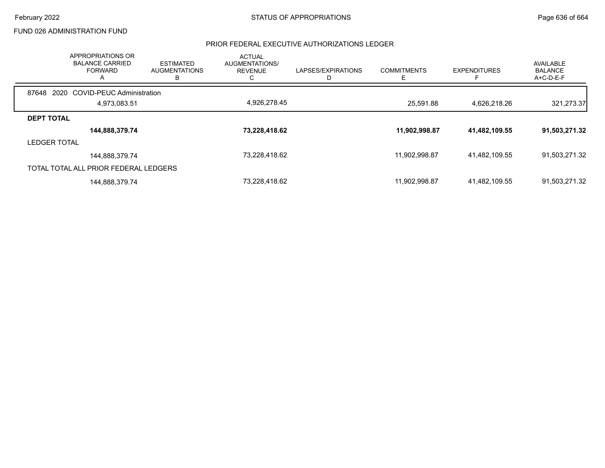### FUND 026 ADMINISTRATION FUND

| <b>APPROPRIATIONS OR</b><br><b>BALANCE CARRIED</b><br><b>FORWARD</b><br>A | <b>ESTIMATED</b><br><b>AUGMENTATIONS</b><br>В | <b>ACTUAL</b><br>AUGMENTATIONS/<br><b>REVENUE</b> | LAPSES/EXPIRATIONS | <b>COMMITMENTS</b><br>Е | <b>EXPENDITURES</b> | AVAILABLE<br><b>BALANCE</b><br>$A+C-D-E-F$ |
|---------------------------------------------------------------------------|-----------------------------------------------|---------------------------------------------------|--------------------|-------------------------|---------------------|--------------------------------------------|
| 2020 COVID-PEUC Administration<br>87648                                   |                                               |                                                   |                    |                         |                     |                                            |
| 4.973.083.51                                                              |                                               | 4,926,278.45                                      |                    | 25.591.88               | 4.626.218.26        | 321,273.37                                 |
| <b>DEPT TOTAL</b>                                                         |                                               |                                                   |                    |                         |                     |                                            |
| 144,888,379.74                                                            |                                               | 73,228,418.62                                     |                    | 11,902,998.87           | 41,482,109.55       | 91,503,271.32                              |
| <b>LEDGER TOTAL</b>                                                       |                                               |                                                   |                    |                         |                     |                                            |
| 144,888,379.74                                                            |                                               | 73,228,418.62                                     |                    | 11.902.998.87           | 41,482,109.55       | 91,503,271.32                              |
| TOTAL TOTAL ALL PRIOR FEDERAL LEDGERS                                     |                                               |                                                   |                    |                         |                     |                                            |
| 144,888,379.74                                                            |                                               | 73,228,418.62                                     |                    | 11,902,998.87           | 41,482,109.55       | 91,503,271.32                              |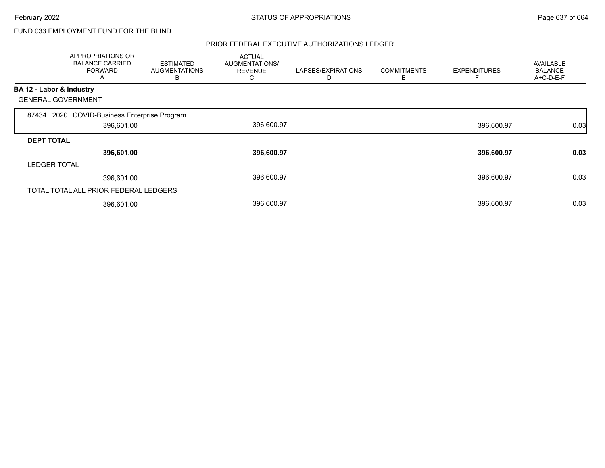# FUND 033 EMPLOYMENT FUND FOR THE BLIND

|                          | APPROPRIATIONS OR<br><b>BALANCE CARRIED</b><br><b>FORWARD</b><br>A | <b>ESTIMATED</b><br>AUGMENTATIONS<br>В | <b>ACTUAL</b><br>AUGMENTATIONS/<br><b>REVENUE</b><br>U | LAPSES/EXPIRATIONS<br>D | <b>COMMITMENTS</b><br>Е | <b>EXPENDITURES</b> | <b>AVAILABLE</b><br><b>BALANCE</b><br>$A+C-D-E-F$ |
|--------------------------|--------------------------------------------------------------------|----------------------------------------|--------------------------------------------------------|-------------------------|-------------------------|---------------------|---------------------------------------------------|
| BA 12 - Labor & Industry |                                                                    |                                        |                                                        |                         |                         |                     |                                                   |
|                          | <b>GENERAL GOVERNMENT</b>                                          |                                        |                                                        |                         |                         |                     |                                                   |
|                          | 87434 2020 COVID-Business Enterprise Program                       |                                        |                                                        |                         |                         |                     |                                                   |
|                          | 396,601.00                                                         |                                        | 396,600.97                                             |                         |                         | 396,600.97          | 0.03                                              |
| <b>DEPT TOTAL</b>        |                                                                    |                                        |                                                        |                         |                         |                     |                                                   |
|                          | 396,601.00                                                         |                                        | 396,600.97                                             |                         |                         | 396,600.97          | 0.03                                              |
| <b>LEDGER TOTAL</b>      |                                                                    |                                        |                                                        |                         |                         |                     |                                                   |
|                          | 396,601.00                                                         |                                        | 396,600.97                                             |                         |                         | 396,600.97          | 0.03                                              |
|                          | TOTAL TOTAL ALL PRIOR FEDERAL LEDGERS                              |                                        |                                                        |                         |                         |                     |                                                   |
|                          | 396,601.00                                                         |                                        | 396,600.97                                             |                         |                         | 396,600.97          | 0.03                                              |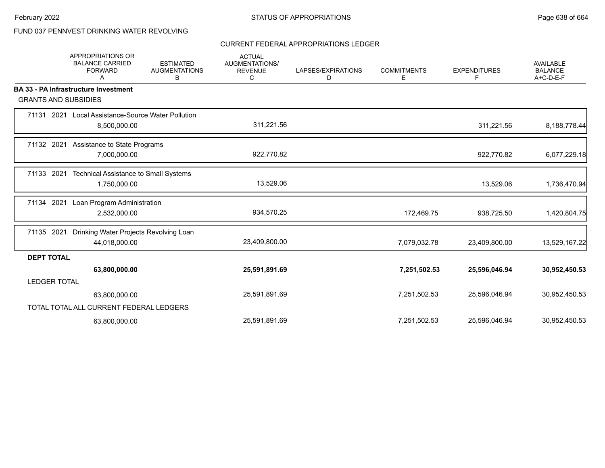# FUND 037 PENNVEST DRINKING WATER REVOLVING

#### CURRENT FEDERAL APPROPRIATIONS LEDGER

|                             | <b>APPROPRIATIONS OR</b><br><b>BALANCE CARRIED</b><br><b>FORWARD</b><br>Α | <b>ESTIMATED</b><br><b>AUGMENTATIONS</b><br>В | <b>ACTUAL</b><br><b>AUGMENTATIONS/</b><br><b>REVENUE</b><br>C | LAPSES/EXPIRATIONS<br>D | <b>COMMITMENTS</b><br>E. | <b>EXPENDITURES</b><br>F | <b>AVAILABLE</b><br><b>BALANCE</b><br>A+C-D-E-F |
|-----------------------------|---------------------------------------------------------------------------|-----------------------------------------------|---------------------------------------------------------------|-------------------------|--------------------------|--------------------------|-------------------------------------------------|
|                             | <b>BA 33 - PA Infrastructure Investment</b>                               |                                               |                                                               |                         |                          |                          |                                                 |
| <b>GRANTS AND SUBSIDIES</b> |                                                                           |                                               |                                                               |                         |                          |                          |                                                 |
|                             | 71131 2021 Local Assistance-Source Water Pollution<br>8,500,000.00        |                                               | 311,221.56                                                    |                         |                          | 311,221.56               | 8,188,778.44                                    |
| 71132 2021                  | Assistance to State Programs<br>7,000,000.00                              |                                               | 922,770.82                                                    |                         |                          | 922,770.82               | 6,077,229.18                                    |
| 71133 2021                  | <b>Technical Assistance to Small Systems</b><br>1,750,000.00              |                                               | 13,529.06                                                     |                         |                          | 13,529.06                | 1,736,470.94                                    |
| 71134 2021                  | Loan Program Administration<br>2,532,000.00                               |                                               | 934,570.25                                                    |                         | 172,469.75               | 938,725.50               | 1,420,804.75                                    |
| 71135 2021                  | Drinking Water Projects Revolving Loan<br>44,018,000.00                   |                                               | 23,409,800.00                                                 |                         | 7,079,032.78             | 23,409,800.00            | 13,529,167.22                                   |
| <b>DEPT TOTAL</b>           |                                                                           |                                               |                                                               |                         |                          |                          |                                                 |
|                             | 63,800,000.00                                                             |                                               | 25,591,891.69                                                 |                         | 7,251,502.53             | 25,596,046.94            | 30,952,450.53                                   |
| <b>LEDGER TOTAL</b>         |                                                                           |                                               |                                                               |                         |                          |                          |                                                 |
|                             | 63,800,000.00                                                             |                                               | 25,591,891.69                                                 |                         | 7,251,502.53             | 25,596,046.94            | 30,952,450.53                                   |
|                             | TOTAL TOTAL ALL CURRENT FEDERAL LEDGERS                                   |                                               |                                                               |                         |                          |                          |                                                 |
|                             | 63,800,000.00                                                             |                                               | 25,591,891.69                                                 |                         | 7,251,502.53             | 25,596,046.94            | 30,952,450.53                                   |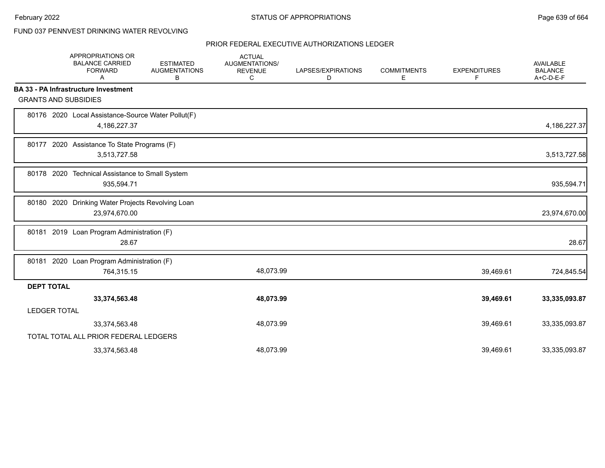## FUND 037 PENNVEST DRINKING WATER REVOLVING

|                     | APPROPRIATIONS OR<br><b>BALANCE CARRIED</b><br><b>FORWARD</b><br>A | <b>ESTIMATED</b><br><b>AUGMENTATIONS</b><br>В | <b>ACTUAL</b><br>AUGMENTATIONS/<br><b>REVENUE</b><br>C | LAPSES/EXPIRATIONS<br>D | <b>COMMITMENTS</b><br>Е | <b>EXPENDITURES</b><br>F | <b>AVAILABLE</b><br><b>BALANCE</b><br>A+C-D-E-F |
|---------------------|--------------------------------------------------------------------|-----------------------------------------------|--------------------------------------------------------|-------------------------|-------------------------|--------------------------|-------------------------------------------------|
|                     | <b>BA 33 - PA Infrastructure Investment</b>                        |                                               |                                                        |                         |                         |                          |                                                 |
|                     | <b>GRANTS AND SUBSIDIES</b>                                        |                                               |                                                        |                         |                         |                          |                                                 |
|                     | 80176 2020 Local Assistance-Source Water Pollut(F)<br>4,186,227.37 |                                               |                                                        |                         |                         |                          | 4,186,227.37                                    |
|                     | 80177 2020 Assistance To State Programs (F)<br>3,513,727.58        |                                               |                                                        |                         |                         |                          | 3,513,727.58                                    |
|                     | 80178 2020 Technical Assistance to Small System<br>935,594.71      |                                               |                                                        |                         |                         |                          | 935,594.71                                      |
|                     | 80180 2020 Drinking Water Projects Revolving Loan<br>23,974,670.00 |                                               |                                                        |                         |                         |                          | 23,974,670.00                                   |
|                     | 80181 2019 Loan Program Administration (F)<br>28.67                |                                               |                                                        |                         |                         |                          | 28.67                                           |
|                     | 80181 2020 Loan Program Administration (F)<br>764,315.15           |                                               | 48,073.99                                              |                         |                         | 39,469.61                | 724,845.54                                      |
| <b>DEPT TOTAL</b>   |                                                                    |                                               |                                                        |                         |                         |                          |                                                 |
|                     | 33,374,563.48                                                      |                                               | 48,073.99                                              |                         |                         | 39,469.61                | 33,335,093.87                                   |
| <b>LEDGER TOTAL</b> |                                                                    |                                               |                                                        |                         |                         |                          |                                                 |
|                     | 33,374,563.48                                                      |                                               | 48,073.99                                              |                         |                         | 39,469.61                | 33,335,093.87                                   |
|                     | TOTAL TOTAL ALL PRIOR FEDERAL LEDGERS                              |                                               |                                                        |                         |                         |                          |                                                 |
|                     | 33,374,563.48                                                      |                                               | 48,073.99                                              |                         |                         | 39,469.61                | 33,335,093.87                                   |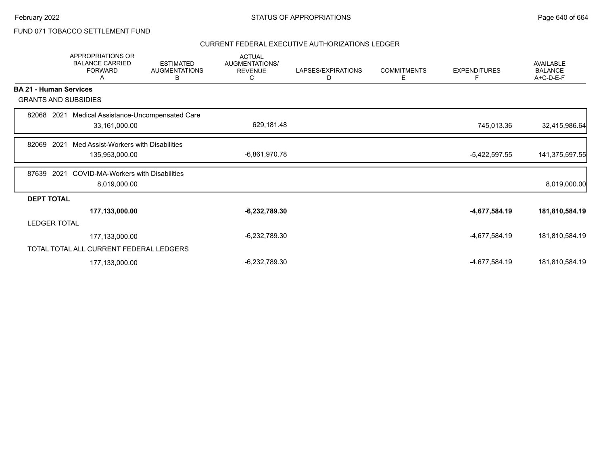# FUND 071 TOBACCO SETTLEMENT FUND

|                               | <b>APPROPRIATIONS OR</b><br><b>BALANCE CARRIED</b><br><b>FORWARD</b><br>Α | <b>ESTIMATED</b><br><b>AUGMENTATIONS</b><br>B | <b>ACTUAL</b><br>AUGMENTATIONS/<br><b>REVENUE</b><br>C | LAPSES/EXPIRATIONS<br>D | <b>COMMITMENTS</b><br>E | <b>EXPENDITURES</b><br>F | AVAILABLE<br><b>BALANCE</b><br>A+C-D-E-F |
|-------------------------------|---------------------------------------------------------------------------|-----------------------------------------------|--------------------------------------------------------|-------------------------|-------------------------|--------------------------|------------------------------------------|
| <b>BA 21 - Human Services</b> |                                                                           |                                               |                                                        |                         |                         |                          |                                          |
|                               | <b>GRANTS AND SUBSIDIES</b>                                               |                                               |                                                        |                         |                         |                          |                                          |
| 82068                         | Medical Assistance-Uncompensated Care<br>2021                             |                                               |                                                        |                         |                         |                          |                                          |
|                               | 33,161,000.00                                                             |                                               | 629,181.48                                             |                         |                         | 745,013.36               | 32,415,986.64                            |
| 2021<br>82069                 | Med Assist-Workers with Disabilities                                      |                                               |                                                        |                         |                         |                          |                                          |
|                               | 135,953,000.00                                                            |                                               | $-6,861,970.78$                                        |                         |                         | $-5,422,597.55$          | 141,375,597.55                           |
|                               |                                                                           |                                               |                                                        |                         |                         |                          |                                          |
| 2021<br>87639                 | <b>COVID-MA-Workers with Disabilities</b><br>8,019,000.00                 |                                               |                                                        |                         |                         |                          | 8,019,000.00                             |
|                               |                                                                           |                                               |                                                        |                         |                         |                          |                                          |
| <b>DEPT TOTAL</b>             |                                                                           |                                               |                                                        |                         |                         |                          | 181,810,584.19                           |
| <b>LEDGER TOTAL</b>           | 177,133,000.00                                                            |                                               | $-6,232,789.30$                                        |                         |                         | -4,677,584.19            |                                          |
|                               |                                                                           |                                               |                                                        |                         |                         |                          |                                          |
|                               | 177,133,000.00                                                            |                                               | $-6,232,789.30$                                        |                         |                         | -4,677,584.19            | 181,810,584.19                           |
|                               | TOTAL TOTAL ALL CURRENT FEDERAL LEDGERS                                   |                                               |                                                        |                         |                         |                          |                                          |
|                               | 177,133,000.00                                                            |                                               | $-6,232,789.30$                                        |                         |                         | -4,677,584.19            | 181,810,584.19                           |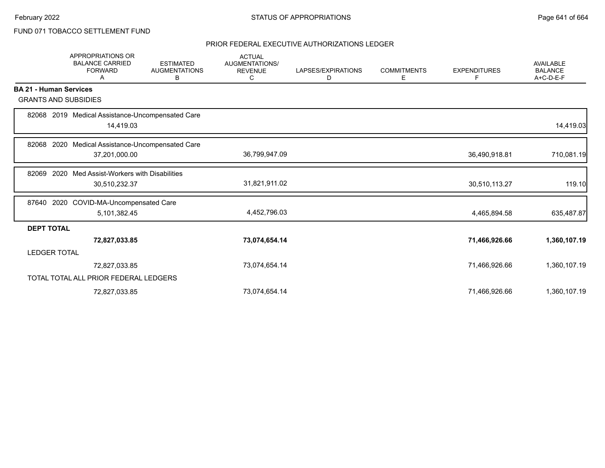# FUND 071 TOBACCO SETTLEMENT FUND

|                               | <b>APPROPRIATIONS OR</b><br><b>BALANCE CARRIED</b><br><b>FORWARD</b><br>A | <b>ESTIMATED</b><br><b>AUGMENTATIONS</b><br>в | <b>ACTUAL</b><br><b>AUGMENTATIONS/</b><br><b>REVENUE</b><br>C | LAPSES/EXPIRATIONS<br>D | <b>COMMITMENTS</b><br>Е | <b>EXPENDITURES</b><br>F | <b>AVAILABLE</b><br><b>BALANCE</b><br>$A+C-D-E-F$ |
|-------------------------------|---------------------------------------------------------------------------|-----------------------------------------------|---------------------------------------------------------------|-------------------------|-------------------------|--------------------------|---------------------------------------------------|
| <b>BA 21 - Human Services</b> |                                                                           |                                               |                                                               |                         |                         |                          |                                                   |
|                               | <b>GRANTS AND SUBSIDIES</b>                                               |                                               |                                                               |                         |                         |                          |                                                   |
|                               | 82068 2019 Medical Assistance-Uncompensated Care<br>14,419.03             |                                               |                                                               |                         |                         |                          | 14,419.03                                         |
| 82068                         | Medical Assistance-Uncompensated Care<br>2020                             |                                               |                                                               |                         |                         |                          |                                                   |
|                               | 37,201,000.00                                                             |                                               | 36,799,947.09                                                 |                         |                         | 36,490,918.81            | 710,081.19                                        |
|                               | 82069 2020 Med Assist-Workers with Disabilities                           |                                               |                                                               |                         |                         |                          |                                                   |
|                               | 30,510,232.37                                                             |                                               | 31,821,911.02                                                 |                         |                         | 30,510,113.27            | 119.10                                            |
| 87640                         | 2020 COVID-MA-Uncompensated Care                                          |                                               |                                                               |                         |                         |                          |                                                   |
|                               | 5,101,382.45                                                              |                                               | 4,452,796.03                                                  |                         |                         | 4,465,894.58             | 635,487.87                                        |
| <b>DEPT TOTAL</b>             |                                                                           |                                               |                                                               |                         |                         |                          |                                                   |
|                               | 72,827,033.85                                                             |                                               | 73,074,654.14                                                 |                         |                         | 71,466,926.66            | 1,360,107.19                                      |
| <b>LEDGER TOTAL</b>           |                                                                           |                                               |                                                               |                         |                         |                          |                                                   |
|                               | 72,827,033.85                                                             |                                               | 73,074,654.14                                                 |                         |                         | 71,466,926.66            | 1,360,107.19                                      |
|                               | TOTAL TOTAL ALL PRIOR FEDERAL LEDGERS                                     |                                               |                                                               |                         |                         |                          |                                                   |
|                               | 72,827,033.85                                                             |                                               | 73,074,654.14                                                 |                         |                         | 71,466,926.66            | 1,360,107.19                                      |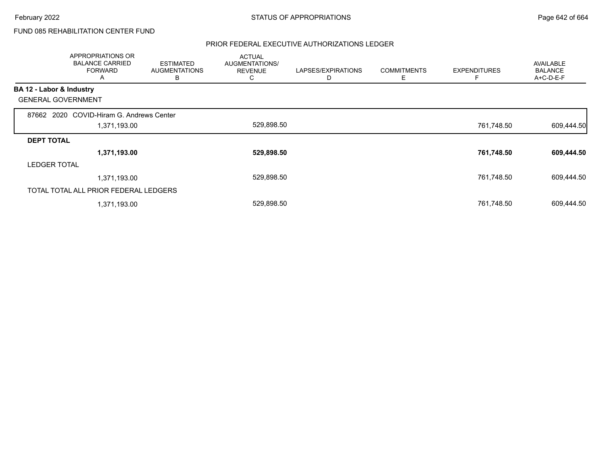# FUND 085 REHABILITATION CENTER FUND

|                          | <b>APPROPRIATIONS OR</b><br><b>BALANCE CARRIED</b><br><b>FORWARD</b><br>A | <b>ESTIMATED</b><br><b>AUGMENTATIONS</b><br>B | <b>ACTUAL</b><br>AUGMENTATIONS/<br><b>REVENUE</b><br>С | LAPSES/EXPIRATIONS<br>D | <b>COMMITMENTS</b><br>Ε | <b>EXPENDITURES</b> | <b>AVAILABLE</b><br><b>BALANCE</b><br>A+C-D-E-F |
|--------------------------|---------------------------------------------------------------------------|-----------------------------------------------|--------------------------------------------------------|-------------------------|-------------------------|---------------------|-------------------------------------------------|
| BA 12 - Labor & Industry |                                                                           |                                               |                                                        |                         |                         |                     |                                                 |
|                          | <b>GENERAL GOVERNMENT</b>                                                 |                                               |                                                        |                         |                         |                     |                                                 |
| 87662                    | 2020 COVID-Hiram G. Andrews Center                                        |                                               |                                                        |                         |                         |                     |                                                 |
|                          | 1,371,193.00                                                              |                                               | 529,898.50                                             |                         |                         | 761,748.50          | 609,444.50                                      |
| <b>DEPT TOTAL</b>        |                                                                           |                                               |                                                        |                         |                         |                     |                                                 |
|                          | 1,371,193.00                                                              |                                               | 529,898.50                                             |                         |                         | 761,748.50          | 609,444.50                                      |
| <b>LEDGER TOTAL</b>      |                                                                           |                                               |                                                        |                         |                         |                     |                                                 |
|                          | 1,371,193.00                                                              |                                               | 529,898.50                                             |                         |                         | 761,748.50          | 609,444.50                                      |
|                          | TOTAL TOTAL ALL PRIOR FEDERAL LEDGERS                                     |                                               |                                                        |                         |                         |                     |                                                 |
|                          | 1,371,193.00                                                              |                                               | 529,898.50                                             |                         |                         | 761,748.50          | 609,444.50                                      |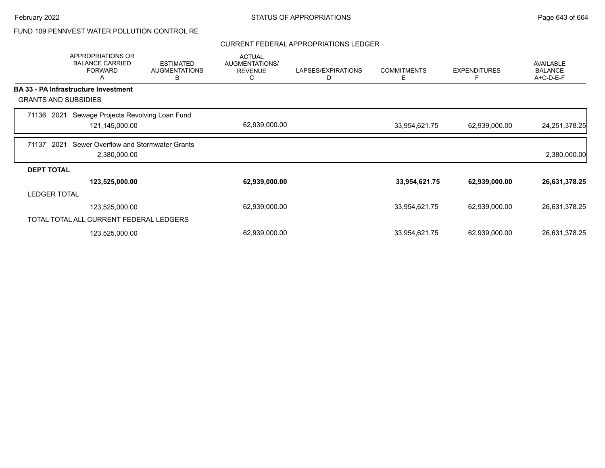# FUND 109 PENNVEST WATER POLLUTION CONTROL RE

#### CURRENT FEDERAL APPROPRIATIONS LEDGER

|                     | APPROPRIATIONS OR<br><b>BALANCE CARRIED</b><br><b>FORWARD</b><br>A | <b>ESTIMATED</b><br><b>AUGMENTATIONS</b><br>В | <b>ACTUAL</b><br><b>AUGMENTATIONS/</b><br><b>REVENUE</b><br>C | LAPSES/EXPIRATIONS<br>D | <b>COMMITMENTS</b><br>Ε | <b>EXPENDITURES</b><br>F | <b>AVAILABLE</b><br><b>BALANCE</b><br>A+C-D-E-F |
|---------------------|--------------------------------------------------------------------|-----------------------------------------------|---------------------------------------------------------------|-------------------------|-------------------------|--------------------------|-------------------------------------------------|
|                     | <b>BA 33 - PA Infrastructure Investment</b>                        |                                               |                                                               |                         |                         |                          |                                                 |
|                     | <b>GRANTS AND SUBSIDIES</b>                                        |                                               |                                                               |                         |                         |                          |                                                 |
| 71136<br>2021       | Sewage Projects Revolving Loan Fund                                |                                               |                                                               |                         |                         |                          |                                                 |
|                     | 121,145,000.00                                                     |                                               | 62,939,000.00                                                 |                         | 33,954,621.75           | 62,939,000.00            | 24, 251, 378. 25                                |
| 71137               | 2021<br>Sewer Overflow and Stormwater Grants                       |                                               |                                                               |                         |                         |                          |                                                 |
|                     | 2,380,000.00                                                       |                                               |                                                               |                         |                         |                          | 2,380,000.00                                    |
| <b>DEPT TOTAL</b>   |                                                                    |                                               |                                                               |                         |                         |                          |                                                 |
|                     | 123,525,000.00                                                     |                                               | 62,939,000.00                                                 |                         | 33,954,621.75           | 62,939,000.00            | 26,631,378.25                                   |
| <b>LEDGER TOTAL</b> |                                                                    |                                               |                                                               |                         |                         |                          |                                                 |
|                     | 123,525,000.00                                                     |                                               | 62,939,000.00                                                 |                         | 33,954,621.75           | 62,939,000.00            | 26,631,378.25                                   |
|                     | TOTAL TOTAL ALL CURRENT FEDERAL LEDGERS                            |                                               |                                                               |                         |                         |                          |                                                 |
|                     | 123,525,000.00                                                     |                                               | 62,939,000.00                                                 |                         | 33,954,621.75           | 62,939,000.00            | 26,631,378.25                                   |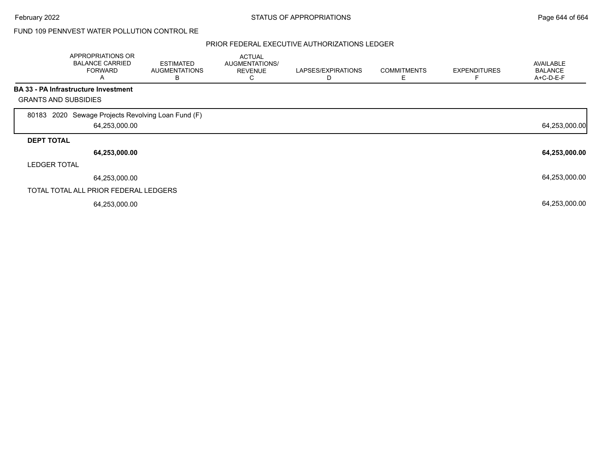## FUND 109 PENNVEST WATER POLLUTION CONTROL RE

|                             | <b>APPROPRIATIONS OR</b><br><b>BALANCE CARRIED</b><br><b>FORWARD</b><br>A | <b>ESTIMATED</b><br><b>AUGMENTATIONS</b><br>B | <b>ACTUAL</b><br>AUGMENTATIONS/<br><b>REVENUE</b><br>Ü | LAPSES/EXPIRATIONS | <b>COMMITMENTS</b><br>Ε | <b>EXPENDITURES</b> | <b>AVAILABLE</b><br><b>BALANCE</b><br>A+C-D-E-F |
|-----------------------------|---------------------------------------------------------------------------|-----------------------------------------------|--------------------------------------------------------|--------------------|-------------------------|---------------------|-------------------------------------------------|
|                             | <b>BA 33 - PA Infrastructure Investment</b>                               |                                               |                                                        |                    |                         |                     |                                                 |
| <b>GRANTS AND SUBSIDIES</b> |                                                                           |                                               |                                                        |                    |                         |                     |                                                 |
|                             | 80183 2020 Sewage Projects Revolving Loan Fund (F)<br>64,253,000.00       |                                               |                                                        |                    |                         |                     | 64,253,000.00                                   |
| <b>DEPT TOTAL</b>           |                                                                           |                                               |                                                        |                    |                         |                     |                                                 |
|                             | 64,253,000.00                                                             |                                               |                                                        |                    |                         |                     | 64,253,000.00                                   |
| <b>LEDGER TOTAL</b>         |                                                                           |                                               |                                                        |                    |                         |                     |                                                 |
|                             | 64,253,000.00                                                             |                                               |                                                        |                    |                         |                     | 64,253,000.00                                   |
|                             | TOTAL TOTAL ALL PRIOR FEDERAL LEDGERS                                     |                                               |                                                        |                    |                         |                     |                                                 |
|                             | 64,253,000.00                                                             |                                               |                                                        |                    |                         |                     | 64,253,000.00                                   |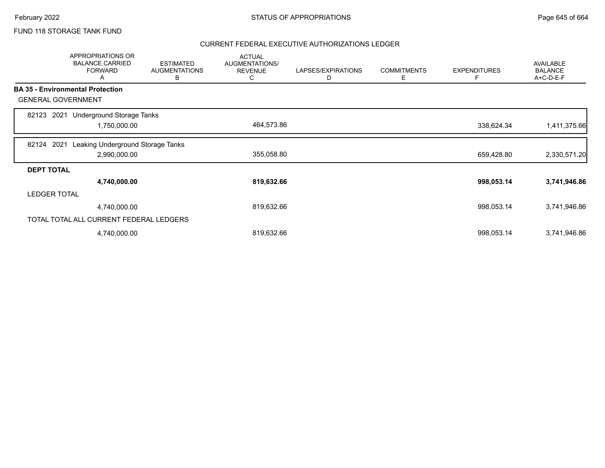## FUND 118 STORAGE TANK FUND

|                     | APPROPRIATIONS OR<br><b>BALANCE CARRIED</b><br><b>FORWARD</b><br>A | <b>ESTIMATED</b><br><b>AUGMENTATIONS</b><br>В | <b>ACTUAL</b><br>AUGMENTATIONS/<br><b>REVENUE</b><br>C | LAPSES/EXPIRATIONS<br>D | <b>COMMITMENTS</b><br>Ε | <b>EXPENDITURES</b><br>F | <b>AVAILABLE</b><br><b>BALANCE</b><br>A+C-D-E-F |
|---------------------|--------------------------------------------------------------------|-----------------------------------------------|--------------------------------------------------------|-------------------------|-------------------------|--------------------------|-------------------------------------------------|
|                     | <b>BA 35 - Environmental Protection</b>                            |                                               |                                                        |                         |                         |                          |                                                 |
|                     | <b>GENERAL GOVERNMENT</b>                                          |                                               |                                                        |                         |                         |                          |                                                 |
| 82123               | <b>Underground Storage Tanks</b><br>2021                           |                                               |                                                        |                         |                         |                          |                                                 |
|                     | 1,750,000.00                                                       |                                               | 464,573.86                                             |                         |                         | 338,624.34               | 1,411,375.66                                    |
| 82124               | Leaking Underground Storage Tanks<br>2021                          |                                               |                                                        |                         |                         |                          |                                                 |
|                     | 2,990,000.00                                                       |                                               | 355,058.80                                             |                         |                         | 659,428.80               | 2,330,571.20                                    |
| <b>DEPT TOTAL</b>   |                                                                    |                                               |                                                        |                         |                         |                          |                                                 |
|                     | 4,740,000.00                                                       |                                               | 819,632.66                                             |                         |                         | 998,053.14               | 3,741,946.86                                    |
| <b>LEDGER TOTAL</b> |                                                                    |                                               |                                                        |                         |                         |                          |                                                 |
|                     | 4,740,000.00                                                       |                                               | 819,632.66                                             |                         |                         | 998,053.14               | 3,741,946.86                                    |
|                     | TOTAL TOTAL ALL CURRENT FEDERAL LEDGERS                            |                                               |                                                        |                         |                         |                          |                                                 |
|                     | 4,740,000.00                                                       |                                               | 819,632.66                                             |                         |                         | 998,053.14               | 3,741,946.86                                    |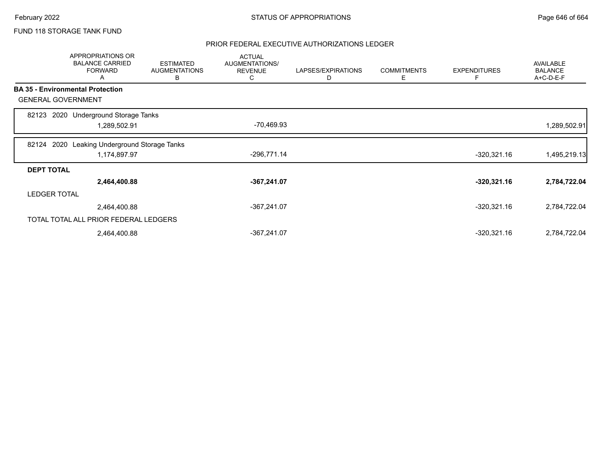## FUND 118 STORAGE TANK FUND

|                   | <b>APPROPRIATIONS OR</b><br><b>BALANCE CARRIED</b><br><b>FORWARD</b><br>A | <b>ESTIMATED</b><br><b>AUGMENTATIONS</b><br>B | <b>ACTUAL</b><br>AUGMENTATIONS/<br><b>REVENUE</b><br>C | LAPSES/EXPIRATIONS<br>D | <b>COMMITMENTS</b><br>Ε | <b>EXPENDITURES</b><br>Е | <b>AVAILABLE</b><br><b>BALANCE</b><br>A+C-D-E-F |
|-------------------|---------------------------------------------------------------------------|-----------------------------------------------|--------------------------------------------------------|-------------------------|-------------------------|--------------------------|-------------------------------------------------|
|                   | <b>BA 35 - Environmental Protection</b>                                   |                                               |                                                        |                         |                         |                          |                                                 |
|                   | <b>GENERAL GOVERNMENT</b>                                                 |                                               |                                                        |                         |                         |                          |                                                 |
| 82123             | 2020 Underground Storage Tanks<br>1,289,502.91                            |                                               | -70,469.93                                             |                         |                         |                          | 1,289,502.91                                    |
| 82124             | Leaking Underground Storage Tanks<br>2020<br>1,174,897.97                 |                                               | $-296,771.14$                                          |                         |                         | $-320,321.16$            | 1,495,219.13                                    |
| <b>DEPT TOTAL</b> |                                                                           |                                               |                                                        |                         |                         |                          |                                                 |
|                   | 2,464,400.88                                                              |                                               | $-367,241.07$                                          |                         |                         | $-320,321.16$            | 2,784,722.04                                    |
|                   | <b>LEDGER TOTAL</b>                                                       |                                               |                                                        |                         |                         |                          |                                                 |
|                   | 2,464,400.88                                                              |                                               | $-367,241.07$                                          |                         |                         | $-320,321.16$            | 2,784,722.04                                    |
|                   | TOTAL TOTAL ALL PRIOR FEDERAL LEDGERS                                     |                                               |                                                        |                         |                         |                          |                                                 |
|                   | 2,464,400.88                                                              |                                               | -367,241.07                                            |                         |                         | $-320,321.16$            | 2,784,722.04                                    |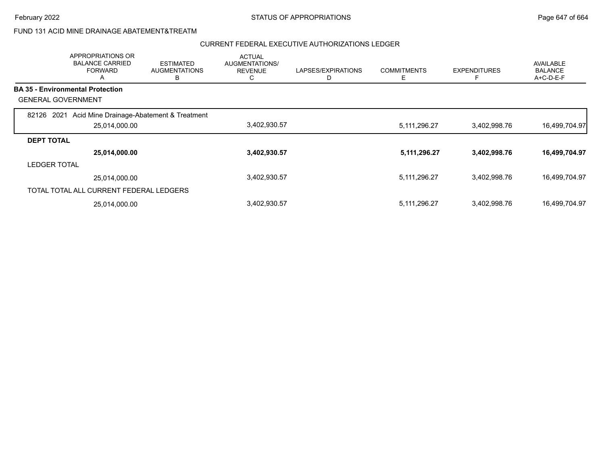## FUND 131 ACID MINE DRAINAGE ABATEMENT&TREATM

|                           | <b>APPROPRIATIONS OR</b><br><b>BALANCE CARRIED</b><br><b>FORWARD</b><br>A | <b>ESTIMATED</b><br><b>AUGMENTATIONS</b><br>В | <b>ACTUAL</b><br><b>AUGMENTATIONS/</b><br><b>REVENUE</b><br>◡ | LAPSES/EXPIRATIONS | <b>COMMITMENTS</b><br>Е | <b>EXPENDITURES</b><br>E | <b>AVAILABLE</b><br><b>BALANCE</b><br>$A+C-D-E-F$ |
|---------------------------|---------------------------------------------------------------------------|-----------------------------------------------|---------------------------------------------------------------|--------------------|-------------------------|--------------------------|---------------------------------------------------|
|                           | <b>BA 35 - Environmental Protection</b>                                   |                                               |                                                               |                    |                         |                          |                                                   |
| <b>GENERAL GOVERNMENT</b> |                                                                           |                                               |                                                               |                    |                         |                          |                                                   |
| 2021<br>82126             | Acid Mine Drainage-Abatement & Treatment                                  |                                               |                                                               |                    |                         |                          |                                                   |
|                           | 25,014,000.00                                                             |                                               | 3,402,930.57                                                  |                    | 5, 111, 296. 27         | 3,402,998.76             | 16,499,704.97                                     |
| <b>DEPT TOTAL</b>         |                                                                           |                                               |                                                               |                    |                         |                          |                                                   |
|                           | 25,014,000.00                                                             |                                               | 3,402,930.57                                                  |                    | 5, 111, 296. 27         | 3,402,998.76             | 16,499,704.97                                     |
| <b>LEDGER TOTAL</b>       |                                                                           |                                               |                                                               |                    |                         |                          |                                                   |
|                           | 25,014,000.00                                                             |                                               | 3,402,930.57                                                  |                    | 5,111,296.27            | 3,402,998.76             | 16,499,704.97                                     |
|                           | TOTAL TOTAL ALL CURRENT FEDERAL LEDGERS                                   |                                               |                                                               |                    |                         |                          |                                                   |
|                           | 25,014,000.00                                                             |                                               | 3,402,930.57                                                  |                    | 5,111,296.27            | 3,402,998.76             | 16,499,704.97                                     |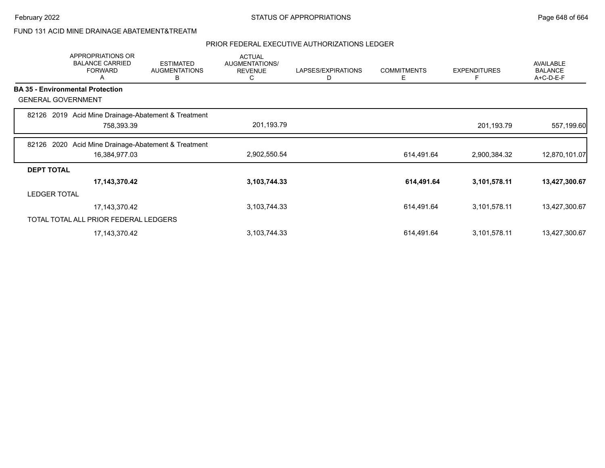## FUND 131 ACID MINE DRAINAGE ABATEMENT&TREATM

|                           | APPROPRIATIONS OR<br><b>BALANCE CARRIED</b><br><b>FORWARD</b><br>A | <b>ESTIMATED</b><br><b>AUGMENTATIONS</b><br>B | <b>ACTUAL</b><br>AUGMENTATIONS/<br><b>REVENUE</b><br>C | LAPSES/EXPIRATIONS<br>D | <b>COMMITMENTS</b><br>Е | <b>EXPENDITURES</b><br>F | <b>AVAILABLE</b><br><b>BALANCE</b><br>A+C-D-E-F |
|---------------------------|--------------------------------------------------------------------|-----------------------------------------------|--------------------------------------------------------|-------------------------|-------------------------|--------------------------|-------------------------------------------------|
|                           | <b>BA 35 - Environmental Protection</b>                            |                                               |                                                        |                         |                         |                          |                                                 |
| <b>GENERAL GOVERNMENT</b> |                                                                    |                                               |                                                        |                         |                         |                          |                                                 |
|                           | 82126 2019 Acid Mine Drainage-Abatement & Treatment<br>758,393.39  |                                               | 201,193.79                                             |                         |                         | 201,193.79               | 557,199.60                                      |
| 82126                     | Acid Mine Drainage-Abatement & Treatment<br>2020<br>16,384,977.03  |                                               | 2,902,550.54                                           |                         | 614,491.64              | 2,900,384.32             | 12,870,101.07                                   |
| <b>DEPT TOTAL</b>         |                                                                    |                                               |                                                        |                         |                         |                          |                                                 |
|                           | 17,143,370.42                                                      |                                               | 3,103,744.33                                           |                         | 614,491.64              | 3,101,578.11             | 13,427,300.67                                   |
| <b>LEDGER TOTAL</b>       |                                                                    |                                               |                                                        |                         |                         |                          |                                                 |
|                           | 17, 143, 370. 42                                                   |                                               | 3,103,744.33                                           |                         | 614,491.64              | 3,101,578.11             | 13,427,300.67                                   |
|                           | TOTAL TOTAL ALL PRIOR FEDERAL LEDGERS                              |                                               |                                                        |                         |                         |                          |                                                 |
|                           | 17, 143, 370. 42                                                   |                                               | 3,103,744.33                                           |                         | 614,491.64              | 3,101,578.11             | 13,427,300.67                                   |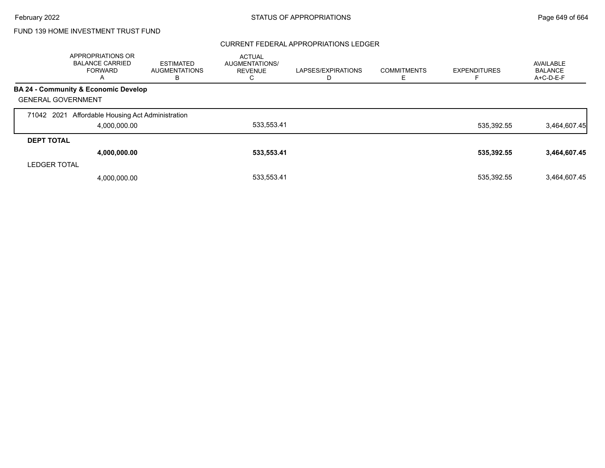#### CURRENT FEDERAL APPROPRIATIONS LEDGER

|                           | APPROPRIATIONS OR<br><b>BALANCE CARRIED</b><br><b>FORWARD</b><br>$\mathsf{A}$ | <b>ESTIMATED</b><br><b>AUGMENTATIONS</b><br>B | <b>ACTUAL</b><br>AUGMENTATIONS/<br><b>REVENUE</b> | LAPSES/EXPIRATIONS | <b>COMMITMENTS</b> | <b>EXPENDITURES</b> | <b>AVAILABLE</b><br><b>BALANCE</b><br>A+C-D-E-F |
|---------------------------|-------------------------------------------------------------------------------|-----------------------------------------------|---------------------------------------------------|--------------------|--------------------|---------------------|-------------------------------------------------|
|                           | <b>BA 24 - Community &amp; Economic Develop</b>                               |                                               |                                                   |                    |                    |                     |                                                 |
| <b>GENERAL GOVERNMENT</b> |                                                                               |                                               |                                                   |                    |                    |                     |                                                 |
|                           | 71042 2021 Affordable Housing Act Administration<br>4,000,000.00              |                                               | 533,553.41                                        |                    |                    | 535,392.55          | 3,464,607.45                                    |
| <b>DEPT TOTAL</b>         |                                                                               |                                               |                                                   |                    |                    |                     |                                                 |
|                           | 4,000,000.00                                                                  |                                               | 533,553.41                                        |                    |                    | 535,392.55          | 3,464,607.45                                    |
| <b>LEDGER TOTAL</b>       |                                                                               |                                               |                                                   |                    |                    |                     |                                                 |
|                           | 4,000,000.00                                                                  |                                               | 533.553.41                                        |                    |                    | 535.392.55          | 3.464.607.45                                    |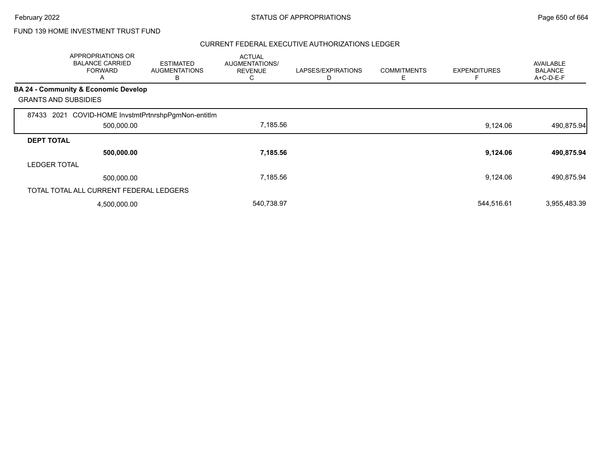|                             | APPROPRIATIONS OR<br><b>BALANCE CARRIED</b><br><b>FORWARD</b><br>A | <b>ESTIMATED</b><br><b>AUGMENTATIONS</b><br>в | <b>ACTUAL</b><br>AUGMENTATIONS/<br><b>REVENUE</b><br>С | LAPSES/EXPIRATIONS<br>D | <b>COMMITMENTS</b><br>Ε | <b>EXPENDITURES</b> | AVAILABLE<br><b>BALANCE</b><br>A+C-D-E-F |
|-----------------------------|--------------------------------------------------------------------|-----------------------------------------------|--------------------------------------------------------|-------------------------|-------------------------|---------------------|------------------------------------------|
|                             | BA 24 - Community & Economic Develop                               |                                               |                                                        |                         |                         |                     |                                          |
| <b>GRANTS AND SUBSIDIES</b> |                                                                    |                                               |                                                        |                         |                         |                     |                                          |
| 87433<br>2021               | COVID-HOME InvstmtPrtnrshpPgmNon-entitIm                           |                                               |                                                        |                         |                         |                     |                                          |
|                             | 500,000.00                                                         |                                               | 7,185.56                                               |                         |                         | 9,124.06            | 490,875.94                               |
| <b>DEPT TOTAL</b>           |                                                                    |                                               |                                                        |                         |                         |                     |                                          |
|                             | 500,000.00                                                         |                                               | 7,185.56                                               |                         |                         | 9,124.06            | 490,875.94                               |
| <b>LEDGER TOTAL</b>         |                                                                    |                                               |                                                        |                         |                         |                     |                                          |
|                             | 500,000.00                                                         |                                               | 7,185.56                                               |                         |                         | 9,124.06            | 490.875.94                               |
|                             | TOTAL TOTAL ALL CURRENT FEDERAL LEDGERS                            |                                               |                                                        |                         |                         |                     |                                          |
|                             | 4,500,000.00                                                       |                                               | 540,738.97                                             |                         |                         | 544,516.61          | 3,955,483.39                             |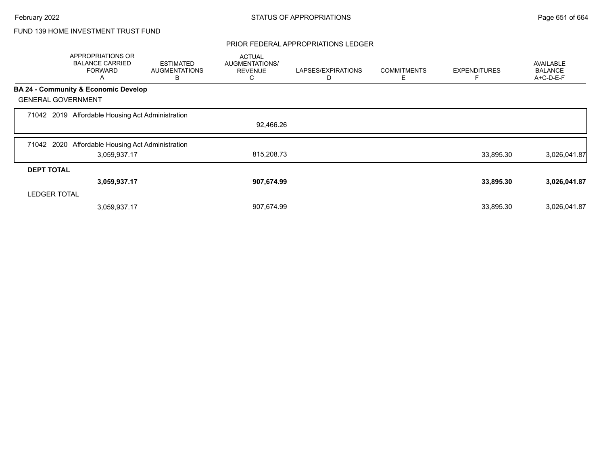#### PRIOR FEDERAL APPROPRIATIONS LEDGER

|                           | APPROPRIATIONS OR<br><b>BALANCE CARRIED</b><br><b>FORWARD</b><br>A | <b>ESTIMATED</b><br><b>AUGMENTATIONS</b><br>В | <b>ACTUAL</b><br>AUGMENTATIONS/<br><b>REVENUE</b><br>С | LAPSES/EXPIRATIONS<br>D | <b>COMMITMENTS</b><br>E. | <b>EXPENDITURES</b> | <b>AVAILABLE</b><br><b>BALANCE</b><br>A+C-D-E-F |
|---------------------------|--------------------------------------------------------------------|-----------------------------------------------|--------------------------------------------------------|-------------------------|--------------------------|---------------------|-------------------------------------------------|
|                           | <b>BA 24 - Community &amp; Economic Develop</b>                    |                                               |                                                        |                         |                          |                     |                                                 |
| <b>GENERAL GOVERNMENT</b> |                                                                    |                                               |                                                        |                         |                          |                     |                                                 |
|                           | 71042 2019 Affordable Housing Act Administration                   |                                               |                                                        |                         |                          |                     |                                                 |
|                           |                                                                    |                                               | 92,466.26                                              |                         |                          |                     |                                                 |
|                           | 71042 2020 Affordable Housing Act Administration                   |                                               |                                                        |                         |                          |                     |                                                 |
|                           | 3,059,937.17                                                       |                                               | 815,208.73                                             |                         |                          | 33,895.30           | 3,026,041.87                                    |
| <b>DEPT TOTAL</b>         |                                                                    |                                               |                                                        |                         |                          |                     |                                                 |
|                           | 3,059,937.17                                                       |                                               | 907,674.99                                             |                         |                          | 33,895.30           | 3,026,041.87                                    |
| <b>LEDGER TOTAL</b>       |                                                                    |                                               |                                                        |                         |                          |                     |                                                 |
|                           | 3,059,937.17                                                       |                                               | 907,674.99                                             |                         |                          | 33,895.30           | 3,026,041.87                                    |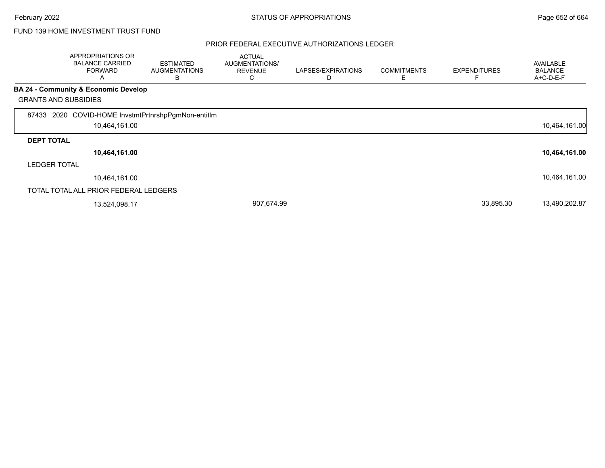|                             | APPROPRIATIONS OR<br><b>BALANCE CARRIED</b><br><b>FORWARD</b><br>A | ESTIMATED<br><b>AUGMENTATIONS</b><br>в | <b>ACTUAL</b><br>AUGMENTATIONS/<br><b>REVENUE</b><br>C. | LAPSES/EXPIRATIONS<br>D | <b>COMMITMENTS</b><br>Ε | <b>EXPENDITURES</b><br>F | <b>AVAILABLE</b><br><b>BALANCE</b><br>A+C-D-E-F |
|-----------------------------|--------------------------------------------------------------------|----------------------------------------|---------------------------------------------------------|-------------------------|-------------------------|--------------------------|-------------------------------------------------|
|                             | <b>BA 24 - Community &amp; Economic Develop</b>                    |                                        |                                                         |                         |                         |                          |                                                 |
| <b>GRANTS AND SUBSIDIES</b> |                                                                    |                                        |                                                         |                         |                         |                          |                                                 |
| 87433                       | 2020 COVID-HOME InvstmtPrtnrshpPgmNon-entitIm                      |                                        |                                                         |                         |                         |                          |                                                 |
|                             | 10,464,161.00                                                      |                                        |                                                         |                         |                         |                          | 10,464,161.00                                   |
| <b>DEPT TOTAL</b>           |                                                                    |                                        |                                                         |                         |                         |                          |                                                 |
|                             | 10,464,161.00                                                      |                                        |                                                         |                         |                         |                          | 10,464,161.00                                   |
| <b>LEDGER TOTAL</b>         |                                                                    |                                        |                                                         |                         |                         |                          |                                                 |
|                             | 10,464,161.00                                                      |                                        |                                                         |                         |                         |                          | 10,464,161.00                                   |
|                             | TOTAL TOTAL ALL PRIOR FEDERAL LEDGERS                              |                                        |                                                         |                         |                         |                          |                                                 |
|                             | 13,524,098.17                                                      |                                        | 907,674.99                                              |                         |                         | 33,895.30                | 13,490,202.87                                   |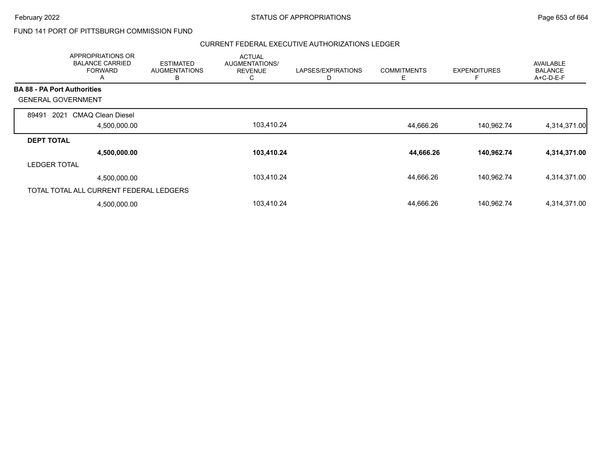### FUND 141 PORT OF PITTSBURGH COMMISSION FUND

| APPROPRIATIONS OR<br><b>BALANCE CARRIED</b><br><b>FORWARD</b><br>A | <b>ESTIMATED</b><br><b>AUGMENTATIONS</b><br>B | <b>ACTUAL</b><br>AUGMENTATIONS/<br><b>REVENUE</b><br>C | LAPSES/EXPIRATIONS<br>D | <b>COMMITMENTS</b><br>Ε | <b>EXPENDITURES</b><br>Е | <b>AVAILABLE</b><br><b>BALANCE</b><br>$A+C-D-E-F$ |
|--------------------------------------------------------------------|-----------------------------------------------|--------------------------------------------------------|-------------------------|-------------------------|--------------------------|---------------------------------------------------|
| <b>BA 88 - PA Port Authorities</b>                                 |                                               |                                                        |                         |                         |                          |                                                   |
| <b>GENERAL GOVERNMENT</b>                                          |                                               |                                                        |                         |                         |                          |                                                   |
| <b>CMAQ Clean Diesel</b><br>2021<br>89491                          |                                               |                                                        |                         |                         |                          |                                                   |
| 4,500,000.00                                                       |                                               | 103,410.24                                             |                         | 44,666.26               | 140,962.74               | 4,314,371.00                                      |
| <b>DEPT TOTAL</b>                                                  |                                               |                                                        |                         |                         |                          |                                                   |
| 4,500,000.00                                                       |                                               | 103,410.24                                             |                         | 44,666.26               | 140,962.74               | 4,314,371.00                                      |
| <b>LEDGER TOTAL</b>                                                |                                               |                                                        |                         |                         |                          |                                                   |
| 4,500,000.00                                                       |                                               | 103,410.24                                             |                         | 44,666.26               | 140,962.74               | 4,314,371.00                                      |
| TOTAL TOTAL ALL CURRENT FEDERAL LEDGERS                            |                                               |                                                        |                         |                         |                          |                                                   |
| 4,500,000.00                                                       |                                               | 103,410.24                                             |                         | 44,666.26               | 140,962.74               | 4,314,371.00                                      |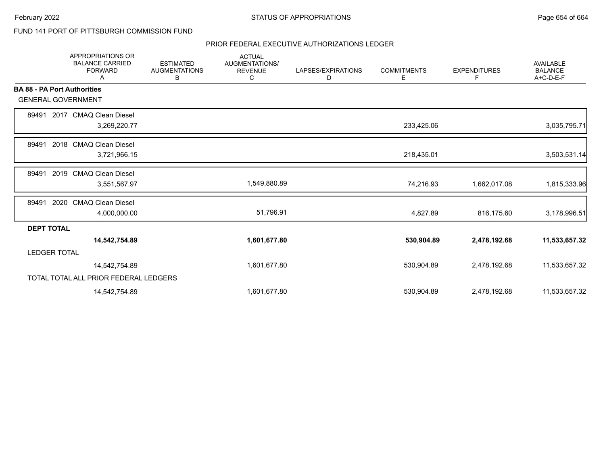### FUND 141 PORT OF PITTSBURGH COMMISSION FUND

|                                    | <b>APPROPRIATIONS OR</b><br><b>BALANCE CARRIED</b><br><b>FORWARD</b><br>Α | <b>ESTIMATED</b><br><b>AUGMENTATIONS</b><br>В | <b>ACTUAL</b><br>AUGMENTATIONS/<br><b>REVENUE</b><br>С | LAPSES/EXPIRATIONS<br>D | <b>COMMITMENTS</b><br>Е | <b>EXPENDITURES</b><br>F | <b>AVAILABLE</b><br><b>BALANCE</b><br>$A+C-D-E-F$ |
|------------------------------------|---------------------------------------------------------------------------|-----------------------------------------------|--------------------------------------------------------|-------------------------|-------------------------|--------------------------|---------------------------------------------------|
| <b>BA 88 - PA Port Authorities</b> |                                                                           |                                               |                                                        |                         |                         |                          |                                                   |
| <b>GENERAL GOVERNMENT</b>          |                                                                           |                                               |                                                        |                         |                         |                          |                                                   |
| 89491                              | 2017 CMAQ Clean Diesel                                                    |                                               |                                                        |                         |                         |                          |                                                   |
|                                    | 3,269,220.77                                                              |                                               |                                                        |                         | 233,425.06              |                          | 3,035,795.71                                      |
| 89491                              | 2018<br><b>CMAQ Clean Diesel</b>                                          |                                               |                                                        |                         |                         |                          |                                                   |
|                                    | 3,721,966.15                                                              |                                               |                                                        |                         | 218,435.01              |                          | 3,503,531.14                                      |
| 89491                              | 2019 CMAQ Clean Diesel                                                    |                                               |                                                        |                         |                         |                          |                                                   |
|                                    | 3,551,567.97                                                              |                                               | 1,549,880.89                                           |                         | 74,216.93               | 1,662,017.08             | 1,815,333.96                                      |
| 89491                              | 2020<br><b>CMAQ Clean Diesel</b>                                          |                                               |                                                        |                         |                         |                          |                                                   |
|                                    | 4,000,000.00                                                              |                                               | 51,796.91                                              |                         | 4,827.89                | 816,175.60               | 3,178,996.51                                      |
| <b>DEPT TOTAL</b>                  |                                                                           |                                               |                                                        |                         |                         |                          |                                                   |
|                                    | 14,542,754.89                                                             |                                               | 1,601,677.80                                           |                         | 530,904.89              | 2,478,192.68             | 11,533,657.32                                     |
| <b>LEDGER TOTAL</b>                |                                                                           |                                               |                                                        |                         |                         |                          |                                                   |
|                                    | 14,542,754.89                                                             |                                               | 1,601,677.80                                           |                         | 530,904.89              | 2,478,192.68             | 11,533,657.32                                     |
|                                    | TOTAL TOTAL ALL PRIOR FEDERAL LEDGERS                                     |                                               |                                                        |                         |                         |                          |                                                   |
|                                    | 14,542,754.89                                                             |                                               | 1,601,677.80                                           |                         | 530,904.89              | 2,478,192.68             | 11,533,657.32                                     |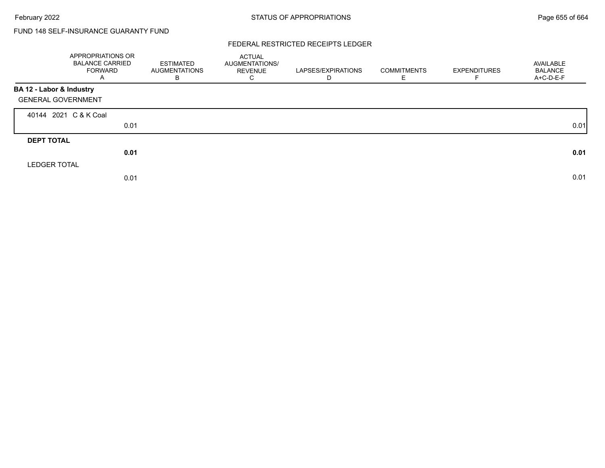# FUND 148 SELF-INSURANCE GUARANTY FUND

#### FEDERAL RESTRICTED RECEIPTS LEDGER

|                           | APPROPRIATIONS OR<br><b>BALANCE CARRIED</b><br><b>FORWARD</b><br>A | ESTIMATED<br><b>AUGMENTATIONS</b><br>B | ACTUAL<br>AUGMENTATIONS/<br><b>REVENUE</b><br>С | LAPSES/EXPIRATIONS<br>D | <b>COMMITMENTS</b><br>E. | <b>EXPENDITURES</b> | AVAILABLE<br><b>BALANCE</b><br>A+C-D-E-F |
|---------------------------|--------------------------------------------------------------------|----------------------------------------|-------------------------------------------------|-------------------------|--------------------------|---------------------|------------------------------------------|
| BA 12 - Labor & Industry  |                                                                    |                                        |                                                 |                         |                          |                     |                                          |
| <b>GENERAL GOVERNMENT</b> |                                                                    |                                        |                                                 |                         |                          |                     |                                          |
|                           | 40144 2021 C & K Coal                                              |                                        |                                                 |                         |                          |                     |                                          |
|                           | 0.01                                                               |                                        |                                                 |                         |                          |                     | 0.01                                     |
| <b>DEPT TOTAL</b>         |                                                                    |                                        |                                                 |                         |                          |                     |                                          |
|                           | 0.01                                                               |                                        |                                                 |                         |                          |                     | 0.01                                     |
| <b>LEDGER TOTAL</b>       |                                                                    |                                        |                                                 |                         |                          |                     |                                          |
|                           | 0.01                                                               |                                        |                                                 |                         |                          |                     | 0.01                                     |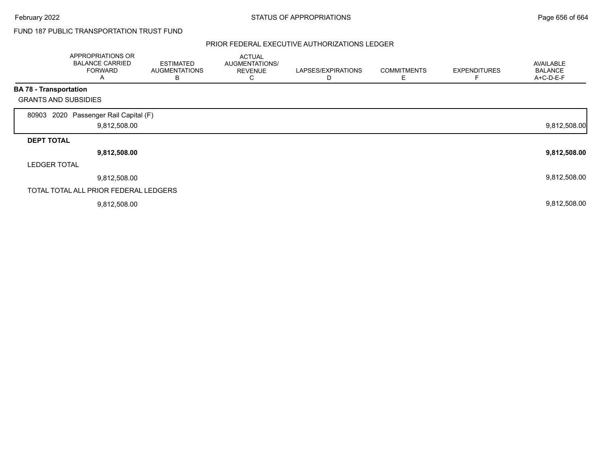## FUND 187 PUBLIC TRANSPORTATION TRUST FUND

|                               | APPROPRIATIONS OR<br><b>BALANCE CARRIED</b><br><b>FORWARD</b><br>A | <b>ESTIMATED</b><br><b>AUGMENTATIONS</b><br>В | <b>ACTUAL</b><br>AUGMENTATIONS/<br><b>REVENUE</b><br>С | LAPSES/EXPIRATIONS<br>D | <b>COMMITMENTS</b><br>Е | <b>EXPENDITURES</b> | <b>AVAILABLE</b><br><b>BALANCE</b><br>A+C-D-E-F |
|-------------------------------|--------------------------------------------------------------------|-----------------------------------------------|--------------------------------------------------------|-------------------------|-------------------------|---------------------|-------------------------------------------------|
| <b>BA 78 - Transportation</b> |                                                                    |                                               |                                                        |                         |                         |                     |                                                 |
| <b>GRANTS AND SUBSIDIES</b>   |                                                                    |                                               |                                                        |                         |                         |                     |                                                 |
| 80903                         | 2020 Passenger Rail Capital (F)<br>9,812,508.00                    |                                               |                                                        |                         |                         |                     | 9,812,508.00                                    |
| <b>DEPT TOTAL</b>             |                                                                    |                                               |                                                        |                         |                         |                     |                                                 |
|                               | 9,812,508.00                                                       |                                               |                                                        |                         |                         |                     | 9,812,508.00                                    |
| <b>LEDGER TOTAL</b>           |                                                                    |                                               |                                                        |                         |                         |                     |                                                 |
|                               | 9,812,508.00                                                       |                                               |                                                        |                         |                         |                     | 9,812,508.00                                    |
|                               | TOTAL TOTAL ALL PRIOR FEDERAL LEDGERS                              |                                               |                                                        |                         |                         |                     |                                                 |
|                               | 9,812,508.00                                                       |                                               |                                                        |                         |                         |                     | 9,812,508.00                                    |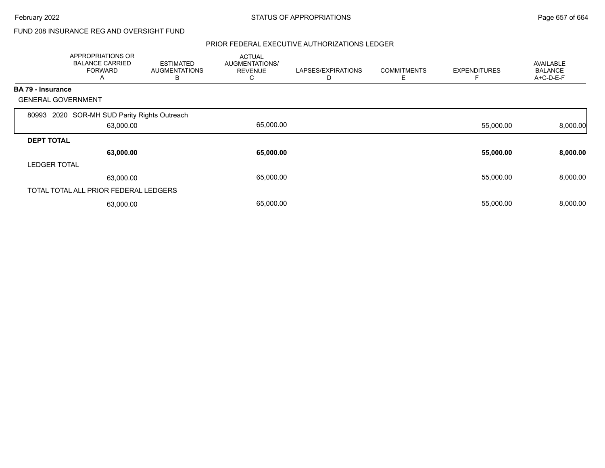## FUND 208 INSURANCE REG AND OVERSIGHT FUND

|                          | APPROPRIATIONS OR<br><b>BALANCE CARRIED</b><br><b>FORWARD</b><br>A | <b>ESTIMATED</b><br><b>AUGMENTATIONS</b><br>B | <b>ACTUAL</b><br>AUGMENTATIONS/<br><b>REVENUE</b><br>◡ | LAPSES/EXPIRATIONS<br>D | <b>COMMITMENTS</b><br>Ε | <b>EXPENDITURES</b> | <b>AVAILABLE</b><br><b>BALANCE</b><br>A+C-D-E-F |
|--------------------------|--------------------------------------------------------------------|-----------------------------------------------|--------------------------------------------------------|-------------------------|-------------------------|---------------------|-------------------------------------------------|
| <b>BA 79 - Insurance</b> |                                                                    |                                               |                                                        |                         |                         |                     |                                                 |
|                          | <b>GENERAL GOVERNMENT</b>                                          |                                               |                                                        |                         |                         |                     |                                                 |
| 80993                    | 2020 SOR-MH SUD Parity Rights Outreach                             |                                               |                                                        |                         |                         |                     |                                                 |
|                          | 63,000.00                                                          |                                               | 65,000.00                                              |                         |                         | 55,000.00           | 8,000.00                                        |
| <b>DEPT TOTAL</b>        |                                                                    |                                               |                                                        |                         |                         |                     |                                                 |
|                          | 63,000.00                                                          |                                               | 65,000.00                                              |                         |                         | 55,000.00           | 8,000.00                                        |
| <b>LEDGER TOTAL</b>      |                                                                    |                                               |                                                        |                         |                         |                     |                                                 |
|                          | 63,000.00                                                          |                                               | 65,000.00                                              |                         |                         | 55,000.00           | 8,000.00                                        |
|                          | TOTAL TOTAL ALL PRIOR FEDERAL LEDGERS                              |                                               |                                                        |                         |                         |                     |                                                 |
|                          | 63,000.00                                                          |                                               | 65,000.00                                              |                         |                         | 55,000.00           | 8,000.00                                        |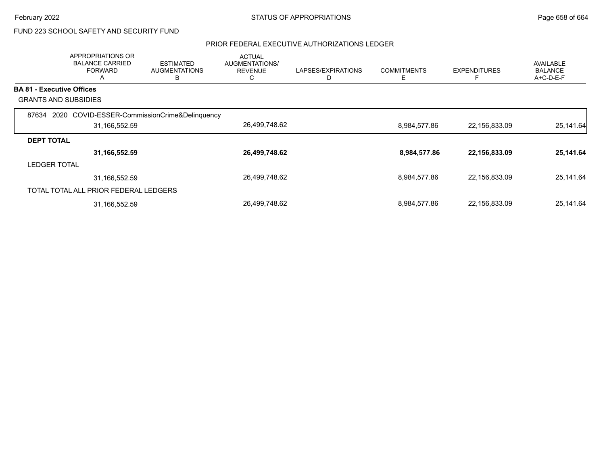# FUND 223 SCHOOL SAFETY AND SECURITY FUND

|                                  | APPROPRIATIONS OR<br><b>BALANCE CARRIED</b><br><b>FORWARD</b><br>$\mathsf{A}$ | <b>ESTIMATED</b><br><b>AUGMENTATIONS</b><br>в | <b>ACTUAL</b><br>AUGMENTATIONS/<br><b>REVENUE</b><br>С | LAPSES/EXPIRATIONS | <b>COMMITMENTS</b><br>Е | <b>EXPENDITURES</b> | <b>AVAILABLE</b><br><b>BALANCE</b><br>A+C-D-E-F |
|----------------------------------|-------------------------------------------------------------------------------|-----------------------------------------------|--------------------------------------------------------|--------------------|-------------------------|---------------------|-------------------------------------------------|
| <b>BA 81 - Executive Offices</b> |                                                                               |                                               |                                                        |                    |                         |                     |                                                 |
|                                  | <b>GRANTS AND SUBSIDIES</b>                                                   |                                               |                                                        |                    |                         |                     |                                                 |
|                                  | 87634 2020 COVID-ESSER-CommissionCrime&Delinquency                            |                                               |                                                        |                    |                         |                     |                                                 |
|                                  | 31,166,552.59                                                                 |                                               | 26,499,748.62                                          |                    | 8,984,577.86            | 22,156,833.09       | 25,141.64                                       |
| <b>DEPT TOTAL</b>                |                                                                               |                                               |                                                        |                    |                         |                     |                                                 |
|                                  | 31,166,552.59                                                                 |                                               | 26,499,748.62                                          |                    | 8,984,577.86            | 22,156,833.09       | 25,141.64                                       |
| <b>LEDGER TOTAL</b>              |                                                                               |                                               |                                                        |                    |                         |                     |                                                 |
|                                  | 31,166,552.59                                                                 |                                               | 26,499,748.62                                          |                    | 8,984,577.86            | 22,156,833.09       | 25,141.64                                       |
|                                  | TOTAL TOTAL ALL PRIOR FEDERAL LEDGERS                                         |                                               |                                                        |                    |                         |                     |                                                 |
|                                  | 31,166,552.59                                                                 |                                               | 26,499,748.62                                          |                    | 8,984,577.86            | 22,156,833.09       | 25,141.64                                       |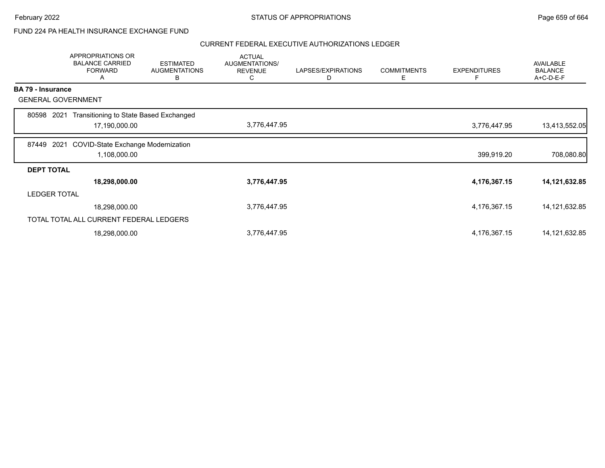### FUND 224 PA HEALTH INSURANCE EXCHANGE FUND

|                          | <b>APPROPRIATIONS OR</b><br><b>BALANCE CARRIED</b><br><b>FORWARD</b><br>A | <b>ESTIMATED</b><br><b>AUGMENTATIONS</b><br>В | <b>ACTUAL</b><br>AUGMENTATIONS/<br><b>REVENUE</b><br>C | LAPSES/EXPIRATIONS<br>D | <b>COMMITMENTS</b><br>Ε | <b>EXPENDITURES</b><br>Е | <b>AVAILABLE</b><br><b>BALANCE</b><br>A+C-D-E-F |
|--------------------------|---------------------------------------------------------------------------|-----------------------------------------------|--------------------------------------------------------|-------------------------|-------------------------|--------------------------|-------------------------------------------------|
| <b>BA 79 - Insurance</b> |                                                                           |                                               |                                                        |                         |                         |                          |                                                 |
|                          | <b>GENERAL GOVERNMENT</b>                                                 |                                               |                                                        |                         |                         |                          |                                                 |
| 80598                    | Transitioning to State Based Exchanged<br>2021                            |                                               |                                                        |                         |                         |                          |                                                 |
|                          | 17,190,000.00                                                             |                                               | 3,776,447.95                                           |                         |                         | 3,776,447.95             | 13,413,552.05                                   |
| 87449                    | <b>COVID-State Exchange Modernization</b><br>2021                         |                                               |                                                        |                         |                         |                          |                                                 |
|                          | 1,108,000.00                                                              |                                               |                                                        |                         |                         | 399,919.20               | 708,080.80                                      |
| <b>DEPT TOTAL</b>        |                                                                           |                                               |                                                        |                         |                         |                          |                                                 |
|                          | 18,298,000.00                                                             |                                               | 3,776,447.95                                           |                         |                         | 4,176,367.15             | 14,121,632.85                                   |
| <b>LEDGER TOTAL</b>      |                                                                           |                                               |                                                        |                         |                         |                          |                                                 |
|                          | 18,298,000.00                                                             |                                               | 3,776,447.95                                           |                         |                         | 4,176,367.15             | 14,121,632.85                                   |
|                          | TOTAL TOTAL ALL CURRENT FEDERAL LEDGERS                                   |                                               |                                                        |                         |                         |                          |                                                 |
|                          | 18,298,000.00                                                             |                                               | 3,776,447.95                                           |                         |                         | 4,176,367.15             | 14,121,632.85                                   |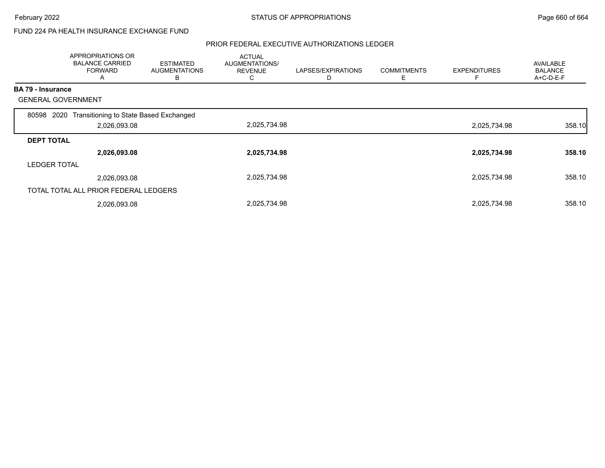### FUND 224 PA HEALTH INSURANCE EXCHANGE FUND

|                     | APPROPRIATIONS OR<br><b>BALANCE CARRIED</b><br><b>FORWARD</b><br>A | <b>ESTIMATED</b><br><b>AUGMENTATIONS</b><br>в | <b>ACTUAL</b><br><b>AUGMENTATIONS/</b><br><b>REVENUE</b><br>Ü | LAPSES/EXPIRATIONS<br>D | <b>COMMITMENTS</b><br>Ε | <b>EXPENDITURES</b> | <b>AVAILABLE</b><br><b>BALANCE</b><br>A+C-D-E-F |
|---------------------|--------------------------------------------------------------------|-----------------------------------------------|---------------------------------------------------------------|-------------------------|-------------------------|---------------------|-------------------------------------------------|
| BA 79 - Insurance   |                                                                    |                                               |                                                               |                         |                         |                     |                                                 |
|                     | <b>GENERAL GOVERNMENT</b>                                          |                                               |                                                               |                         |                         |                     |                                                 |
| 80598               | Transitioning to State Based Exchanged<br>2020                     |                                               |                                                               |                         |                         |                     |                                                 |
|                     | 2,026,093.08                                                       |                                               | 2,025,734.98                                                  |                         |                         | 2,025,734.98        | 358.10                                          |
| <b>DEPT TOTAL</b>   |                                                                    |                                               |                                                               |                         |                         |                     |                                                 |
|                     | 2,026,093.08                                                       |                                               | 2,025,734.98                                                  |                         |                         | 2,025,734.98        | 358.10                                          |
| <b>LEDGER TOTAL</b> |                                                                    |                                               |                                                               |                         |                         |                     |                                                 |
|                     | 2,026,093.08                                                       |                                               | 2,025,734.98                                                  |                         |                         | 2,025,734.98        | 358.10                                          |
|                     | TOTAL TOTAL ALL PRIOR FEDERAL LEDGERS                              |                                               |                                                               |                         |                         |                     |                                                 |
|                     | 2,026,093.08                                                       |                                               | 2,025,734.98                                                  |                         |                         | 2,025,734.98        | 358.10                                          |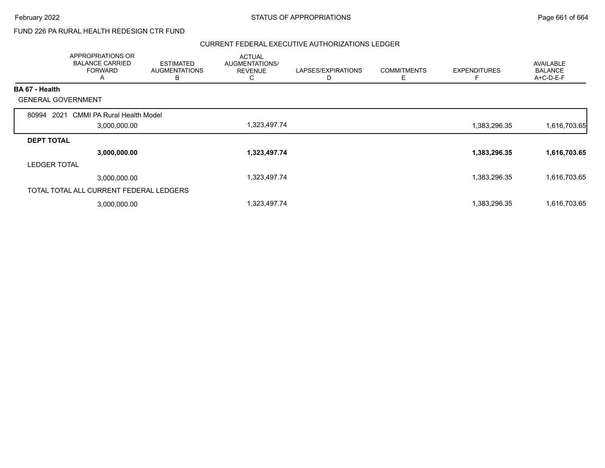## FUND 226 PA RURAL HEALTH REDESIGN CTR FUND

|                           | APPROPRIATIONS OR<br><b>BALANCE CARRIED</b><br><b>FORWARD</b><br>A | <b>ESTIMATED</b><br><b>AUGMENTATIONS</b><br>B | <b>ACTUAL</b><br>AUGMENTATIONS/<br><b>REVENUE</b><br>C | LAPSES/EXPIRATIONS<br>D | <b>COMMITMENTS</b><br>Ε | <b>EXPENDITURES</b><br>F | <b>AVAILABLE</b><br><b>BALANCE</b><br>A+C-D-E-F |
|---------------------------|--------------------------------------------------------------------|-----------------------------------------------|--------------------------------------------------------|-------------------------|-------------------------|--------------------------|-------------------------------------------------|
| BA 67 - Health            |                                                                    |                                               |                                                        |                         |                         |                          |                                                 |
| <b>GENERAL GOVERNMENT</b> |                                                                    |                                               |                                                        |                         |                         |                          |                                                 |
| 2021<br>80994             | <b>CMMI PA Rural Health Model</b>                                  |                                               |                                                        |                         |                         |                          |                                                 |
|                           | 3,000,000.00                                                       |                                               | 1,323,497.74                                           |                         |                         | 1,383,296.35             | 1,616,703.65                                    |
| <b>DEPT TOTAL</b>         |                                                                    |                                               |                                                        |                         |                         |                          |                                                 |
|                           | 3,000,000.00                                                       |                                               | 1,323,497.74                                           |                         |                         | 1,383,296.35             | 1,616,703.65                                    |
| <b>LEDGER TOTAL</b>       |                                                                    |                                               |                                                        |                         |                         |                          |                                                 |
|                           | 3,000,000.00                                                       |                                               | 1,323,497.74                                           |                         |                         | 1,383,296.35             | 1,616,703.65                                    |
|                           | TOTAL TOTAL ALL CURRENT FEDERAL LEDGERS                            |                                               |                                                        |                         |                         |                          |                                                 |
|                           | 3,000,000.00                                                       |                                               | 1,323,497.74                                           |                         |                         | 1,383,296.35             | 1,616,703.65                                    |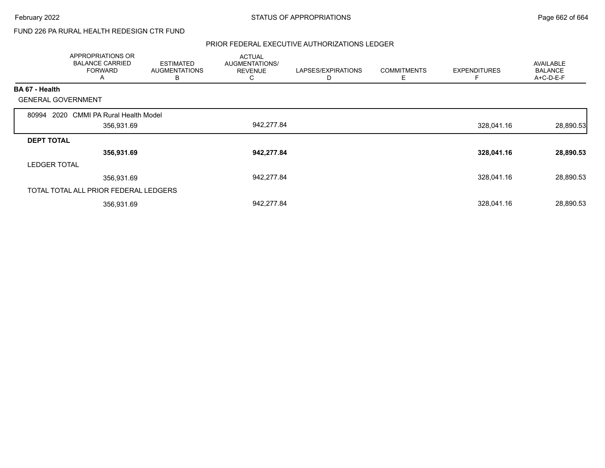## FUND 226 PA RURAL HEALTH REDESIGN CTR FUND

|                     | <b>APPROPRIATIONS OR</b><br><b>BALANCE CARRIED</b><br><b>FORWARD</b><br>A | <b>ESTIMATED</b><br><b>AUGMENTATIONS</b><br>B | <b>ACTUAL</b><br>AUGMENTATIONS/<br><b>REVENUE</b><br>C. | LAPSES/EXPIRATIONS<br>D | <b>COMMITMENTS</b><br>Ε | <b>EXPENDITURES</b> | <b>AVAILABLE</b><br><b>BALANCE</b><br>A+C-D-E-F |
|---------------------|---------------------------------------------------------------------------|-----------------------------------------------|---------------------------------------------------------|-------------------------|-------------------------|---------------------|-------------------------------------------------|
| BA 67 - Health      |                                                                           |                                               |                                                         |                         |                         |                     |                                                 |
|                     | <b>GENERAL GOVERNMENT</b>                                                 |                                               |                                                         |                         |                         |                     |                                                 |
| 80994               | 2020 CMMI PA Rural Health Model                                           |                                               |                                                         |                         |                         |                     |                                                 |
|                     | 356,931.69                                                                |                                               | 942,277.84                                              |                         |                         | 328,041.16          | 28,890.53                                       |
| <b>DEPT TOTAL</b>   |                                                                           |                                               |                                                         |                         |                         |                     |                                                 |
|                     | 356,931.69                                                                |                                               | 942,277.84                                              |                         |                         | 328,041.16          | 28,890.53                                       |
| <b>LEDGER TOTAL</b> |                                                                           |                                               |                                                         |                         |                         |                     |                                                 |
|                     | 356,931.69                                                                |                                               | 942,277.84                                              |                         |                         | 328,041.16          | 28,890.53                                       |
|                     | TOTAL TOTAL ALL PRIOR FEDERAL LEDGERS                                     |                                               |                                                         |                         |                         |                     |                                                 |
|                     | 356,931.69                                                                |                                               | 942,277.84                                              |                         |                         | 328,041.16          | 28,890.53                                       |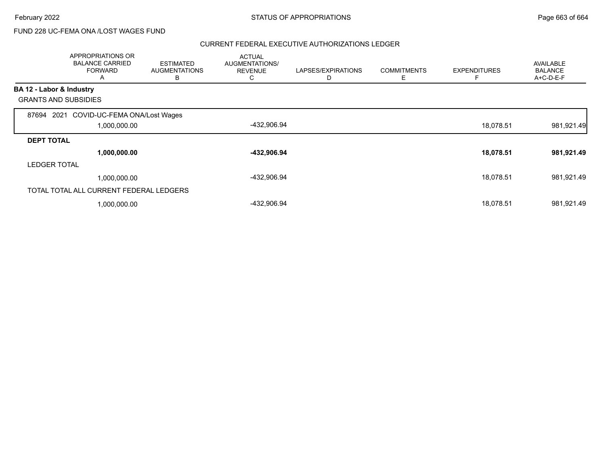## FUND 228 UC-FEMA ONA /LOST WAGES FUND

|                          | APPROPRIATIONS OR<br><b>BALANCE CARRIED</b><br><b>FORWARD</b><br>Α | <b>ESTIMATED</b><br><b>AUGMENTATIONS</b><br>в | <b>ACTUAL</b><br>AUGMENTATIONS/<br><b>REVENUE</b><br>C | LAPSES/EXPIRATIONS<br>D | <b>COMMITMENTS</b><br>Ε | <b>EXPENDITURES</b> | <b>AVAILABLE</b><br><b>BALANCE</b><br>A+C-D-E-F |
|--------------------------|--------------------------------------------------------------------|-----------------------------------------------|--------------------------------------------------------|-------------------------|-------------------------|---------------------|-------------------------------------------------|
| BA 12 - Labor & Industry |                                                                    |                                               |                                                        |                         |                         |                     |                                                 |
|                          | <b>GRANTS AND SUBSIDIES</b>                                        |                                               |                                                        |                         |                         |                     |                                                 |
| 87694                    | 2021 COVID-UC-FEMA ONA/Lost Wages                                  |                                               |                                                        |                         |                         |                     |                                                 |
| 1,000,000.00             |                                                                    |                                               | -432,906.94                                            |                         |                         | 18,078.51           | 981,921.49                                      |
| <b>DEPT TOTAL</b>        |                                                                    |                                               |                                                        |                         |                         |                     |                                                 |
|                          | 1,000,000.00                                                       |                                               | -432,906.94                                            |                         |                         | 18,078.51           | 981,921.49                                      |
| <b>LEDGER TOTAL</b>      |                                                                    |                                               |                                                        |                         |                         |                     |                                                 |
|                          | 1,000,000.00                                                       |                                               | -432,906.94                                            |                         |                         | 18,078.51           | 981,921.49                                      |
|                          | TOTAL TOTAL ALL CURRENT FEDERAL LEDGERS                            |                                               |                                                        |                         |                         |                     |                                                 |
|                          | 1,000,000.00                                                       |                                               | -432,906.94                                            |                         |                         | 18,078.51           | 981,921.49                                      |